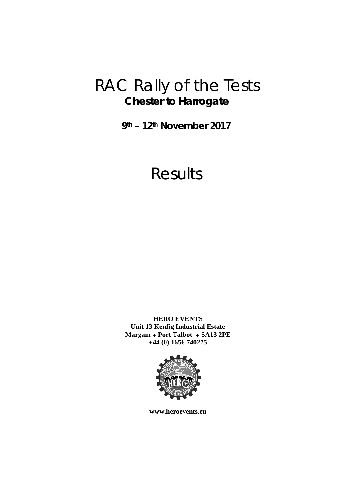## RAC Rally of the Tests **Chester to Harrogate**

**9th – 12th November 2017** 

# Results

**HERO EVENTS Unit 13 Kenfig Industrial Estate Margam Port Talbot SA13 2PE +44 (0) 1656 740275** 



**www.heroevents.eu**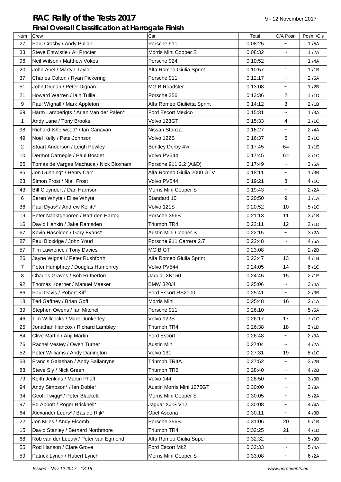### **RAC Rally of the Tests 2017** 9-12 November 2017 **Final Overall Classification at Harrogate Finish**

| Num            | Crew                                   | Car                         | Total   | O/A Posn                        | Posn. /Cls |
|----------------|----------------------------------------|-----------------------------|---------|---------------------------------|------------|
| 27             | Paul Crosby / Andy Pullan              | Porsche 911                 | 0:08:25 |                                 | 1/5A       |
| 33             | Steve Entwistle / Ali Procter          | Morris Mini Cooper S        | 0:08:32 | $\tilde{}$                      | 1/2A       |
| 96             | Neil Wilson / Matthew Vokes            | Porsche 924                 | 0:10:52 | $\tilde{}$                      | 1/4A       |
| 20             | John Abel / Martyn Taylor              | Alfa Romeo Giulia Sprint    | 0:10:57 | 1                               | 1/1B       |
| 37             | Charles Colton / Ryan Pickering        | Porsche 911                 | 0:12:17 | $\tilde{\phantom{a}}$           | 2/5A       |
| 51             | John Dignan / Peter Dignan             | <b>MG B Roadster</b>        | 0:13:08 | $\tilde{}$                      | 1/2B       |
| 21             | Howard Warren / Iain Tullie            | Porsche 356                 | 0:13:36 | $\overline{c}$                  | 1/1D       |
| 9              | Paul Wignall / Mark Appleton           | Alfa Romeo Giulietta Sprint | 0:14:12 | 3                               | 2/1B       |
| 69             | Harm Lamberigts / Arjan Van der Palen* | Ford Escort Mexico          | 0:15:31 | $\tilde{\phantom{a}}$           | 1/3A       |
| 1              | Andy Lane / Tony Brooks                | Volvo 123GT                 | 0:15:33 | 4                               | 1/1C       |
| 98             | Richard Isherwood* / Ian Canavan       | Nissan Stanza               | 0:16:27 | $\tilde{}$                      | 2/4A       |
| 49             | Noel Kelly / Pete Johnson              | Volvo 122S                  | 0:16:37 | 5                               | 2/1C       |
| $\overline{2}$ | Stuart Anderson / Leigh Powley         | Bentley Derby 41⁄4          | 0:17:45 | $6=$                            | 1/1E       |
| 10             | Dermot Carnegie / Paul Bosdet          | Volvo PV544                 | 0:17:45 | $6=$                            | 3/1C       |
| 65             | Tomas de Vargas Machuca / Nick Bloxham | Porsche 911 2.2 (A&D)       | 0:17:49 | $\tilde{}$                      | 3/5A       |
| 85             | Jon Dunning* / Henry Carr              | Alfa Romeo Giulia 2000 GTV  | 0:18:11 | $\tilde{}$                      | 1/3B       |
| 23             | Simon Frost / Niall Frost              | Volvo PV544                 | 0:19:21 | 8                               | 4/1C       |
| 43             | Bill Cleyndert / Dan Harrison          | Morris Mini Cooper S        | 0:19:43 | $\tilde{\phantom{a}}$           | 2/2A       |
| 6              | Seren Whyte / Elise Whyte              | Standard 10                 | 0:20:50 | 9                               | 1/1A       |
| 36             | Paul Dyas* / Andrew Kellitt*           | Volvo 121S                  | 0:20:52 | 10                              | 5/1C       |
| 19             | Peter Naaktgeboren / Bart den Hartog   | Porsche 356B                | 0:21:13 | 11                              | 3/1B       |
| 16             | David Hankin / Jake Ramsden            | Triumph TR4                 | 0:22:11 | 12                              | 2/1D       |
| 67             | Kevin Haselden / Gary Evans*           | Austin Mini Cooper S        | 0:22:15 | $\tilde{\phantom{a}}$           | 3/2A       |
| 87             | Paul Bloxidge / John Youd              | Porsche 911 Carrera 2.7     | 0:22:48 | $\tilde{}$                      | 4/5A       |
| 57             | Tim Lawrence / Tony Davies             | MG B GT                     | 0:23:08 | $\tilde{}$                      | 2/2B       |
| 26             | Jayne Wignall / Peter Rushforth        | Alfa Romeo Giulia Sprint    | 0:23:47 | 13                              | 4/1B       |
| $\overline{7}$ | Peter Humphrey / Douglas Humphrey      | Volvo PV544                 | 0:24:05 | 14                              | 6/1C       |
| 8              | Charles Graves / Bob Rutherford        | Jaguar XK150                | 0:24:45 | 15                              | 2/1E       |
| 92             | Thomas Koerner / Manuel Maeker         | <b>BMW 320/4</b>            | 0:25:06 | $\tilde{}$                      | 3/4A       |
| 86             | Paul Davis / Robert Kiff               | Ford Escort RS2000          | 0:25:41 | $\tilde{}$                      | 2/3B       |
| 18             | Ted Gaffney / Brian Goff               | Morris Mini                 | 0:25:48 | 16                              | 2/1A       |
| 39             | Stephen Owens / Ian Mitchell           | Porsche 911                 | 0:26:10 | $\tilde{\phantom{a}}$           | 5/5A       |
| 46             | Tim Willcocks / Mark Dunkerley         | Volvo 122S                  | 0:26:17 | 17                              | 7/1C       |
| 25             | Jonathan Hancox / Richard Lambley      | Triumph TR4                 | 0:26:38 | 18                              | 3/1D       |
| 84             | Clive Martin / Anji Martin             | Ford Escort                 | 0:26:48 | $\tilde{}$                      | 2/3A       |
| 76             | Rachel Vestey / Owen Turner            | Austin Mini                 | 0:27:04 |                                 | 4/2A       |
| 52             | Peter Williams / Andy Darlington       | Volvo 131                   | 0:27:31 | $\widetilde{\phantom{m}}$<br>19 | 8/1C       |
| 53             | Francis Galashan / Andy Ballantyne     | Triumph TR4A                | 0:27:52 |                                 | 3/2B       |
| 88             | Steve Sly / Nick Green                 | Triumph TR6                 | 0:28:40 | $\tilde{\phantom{a}}$           | 4/2B       |
|                | Keith Jenkins / Martin Phaff           | Volvo 144                   |         | $\tilde{}$                      |            |
| 79             |                                        |                             | 0:28:50 | $\tilde{}$                      | 3/3B       |
| 94             | Andy Simpson* / Ian Doble*             | Austin Morris Mini 1275GT   | 0:30:00 | $\tilde{}$                      | 3/3A       |
| 34             | Geoff Twigg* / Peter Blackett          | Morris Mini Cooper S        | 0:30:05 | $\tilde{}$                      | 5/2A       |
| 97             | Ed Abbott / Roger Bricknell*           | Jaguar XJ-S V12             | 0:30:08 | $\tilde{}$                      | 4/4A       |
| 64             | Alexander Leurs* / Bas de Rijk*        | Opel Ascona                 | 0:30:11 | $\tilde{}$                      | 4/3B       |
| 22             | Jon Miles / Andy Elcomb                | Porsche 356B                | 0:31:06 | 20                              | 5/1B       |
| 15             | David Stanley / Bernard Northmore      | Triumph TR4                 | 0:32:25 | 21                              | 4/1D       |
| 68             | Rob van der Leeuw / Peter van Egmond   | Alfa Romeo Giulia Super     | 0:32:32 | $\tilde{}$                      | 5/3B       |
| 55             | Rod Hanson / Clare Grove               | Ford Escort Mk2             | 0:32:33 | $\tilde{}$                      | 5/4A       |
| 59             | Patrick Lynch / Hubert Lynch           | Morris Mini Cooper S        | 0:33:08 | $\tilde{}$                      | 6/2A       |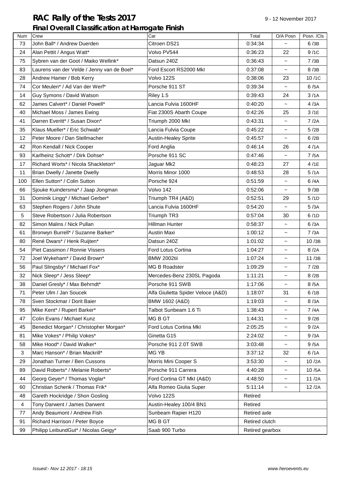## RAC Rally of the Tests 2017 **Participally 12 November 2017** 9 - 12 November 2017 **Final Overall Classification at Harrogate Finish**

| Num | Crew                                       | Car                                | Total           | O/A Posn                  | Posn. /Cls |
|-----|--------------------------------------------|------------------------------------|-----------------|---------------------------|------------|
| 73  | John Ball* / Andrew Duerden                | Citroen DS21                       | 0:34:34         |                           | 6/3B       |
| 24  | Alan Pettit / Angus Watt*                  | Volvo PV544                        | 0:36:23         | 22                        | 9/1C       |
| 75  | Sybren van der Goot / Maiko Wellink*       | Datsun 240Z                        | 0:36:43         | $\tilde{\phantom{a}}$     | 7/3B       |
| 83  | Laurens van der Velde / Jenny van de Boel* | Ford Escort RS2000 Mkl             | 0:37:08         | $\tilde{}$                | 8/3B       |
| 28  | Andrew Hamer / Bob Kerry                   | Volvo 122S                         | 0:38:06         | 23                        | 10/1C      |
| 74  | Cor Meulen* / Ad Van der Werf*             | Porsche 911 ST                     | 0:39:34         | $\widetilde{\phantom{m}}$ | 6/5A       |
| 14  | Guy Symons / David Watson                  | Riley 1.5                          | 0:39:43         | 24                        | 3/1A       |
| 62  | James Calvert* / Daniel Powell*            | Lancia Fulvia 1600HF               | 0:40:20         | $\widetilde{\phantom{m}}$ | 4/3A       |
| 40  | Michael Moss / James Ewing                 | Fiat 2300S Abarth Coupe            | 0:42:26         | 25                        | 3/1E       |
| 41  | Darren Everitt* / Susan Dixon*             | Triumph 2000 Mkl                   | 0:43:31         | $\widetilde{\phantom{m}}$ | 7/2A       |
| 35  | Klaus Mueller* / Eric Schwab*              | Lancia Fulvia Coupe                | 0:45:22         | $\tilde{\phantom{a}}$     | 5/2B       |
| 12  | Peter Moore / Dan Stellmacher              | <b>Austin-Healey Sprite</b>        | 0:45:57         | $\widetilde{\phantom{m}}$ | 6/2B       |
| 42  | Ron Kendall / Nick Cooper                  | Ford Anglia                        | 0:46:14         | 26                        | 4/1A       |
| 93  | Karlheinz Schott* / Dirk Dohse*            | Porsche 911 SC                     | 0:47:46         | $\widetilde{\phantom{m}}$ | 7/5A       |
| 17  | Richard Worts* / Nicola Shackleton*        | Jaguar Mk2                         | 0:48:23         | 27                        | 4/1E       |
| 11  | Brian Dwelly / Janette Dwelly              | Morris Minor 1000                  | 0:48:53         | 28                        | 5/1A       |
| 100 | Ellen Sutton* / Colin Sutton               | Porsche 924                        | 0:51:59         | $\tilde{}$                | 6/4A       |
| 66  | Sjouke Kuindersma* / Jaap Jongman          | Volvo 142                          | 0:52:06         | $\widetilde{\phantom{m}}$ | 9/3B       |
| 31  | Dominik Lingg* / Michael Gerber*           | Triumph TR4 (A&D)                  | 0:52:51         | 29                        | 5/1D       |
| 63  | Stephen Rogers / John Shute                | Lancia Fulvia 1600HF               | 0:54:20         | $\widetilde{\phantom{m}}$ | 5/3A       |
| 5   | Steve Robertson / Julia Robertson          | Triumph TR3                        | 0:57:04         | 30                        | 6/1D       |
| 82  | Simon Malins / Nick Pullan                 | Hillman Hunter                     | 0:58:37         | $\widetilde{\phantom{m}}$ | 6/3A       |
| 61  | Bronwyn Burrell* / Suzanne Barker*         | Austin Maxi                        | 1:00:12         | $\tilde{\phantom{a}}$     | 7/3A       |
| 80  | René Dwars* / Henk Ruijten*                | Datsun 240Z                        | 1:01:02         | $\tilde{}$                | 10/3B      |
| 54  | Piet Cassimon / Ronnie Vissers             | Ford Lotus Cortina                 | 1:04:27         | $\tilde{\phantom{a}}$     | 8/2A       |
| 72  | Joel Wykeham* / David Brown*               | <b>BMW 2002tii</b>                 | 1:07:24         | $\widetilde{\phantom{m}}$ | 11/3B      |
| 56  | Paul Slingsby* / Michael Fox*              | <b>MG B Roadster</b>               | 1:09:29         | $\tilde{\phantom{a}}$     | 7/2B       |
| 32  | Nick Sleep* / Jess Sleep*                  | Mercedes-Benz 230SL Pagoda         | 1:11:21         | $\widetilde{\phantom{m}}$ | 8/2B       |
| 38  | Daniel Gresly* / Max Behrndt*              | Porsche 911 SWB                    | 1:17:06         | $\tilde{}$                | 8/5A       |
| 71  | Peter Ulm / Jan Soucek                     | Alfa Giulietta Spider Veloce (A&D) | 1:18:07         | 31                        | 6/1B       |
| 78  | Sven Stockmar / Dorit Baier                | BMW 1602 (A&D)                     | 1:19:03         | $\tilde{}$                | 8/3A       |
| 95  | Mike Kent* / Rupert Barker*                | Talbot Sunbeam 1.6 Ti              | 1:38:43         | $\tilde{\phantom{a}}$     | 7/4A       |
| 47  | Colin Evans / Michael Kunz                 | MG B GT                            | 1:44:31         | $\tilde{\phantom{a}}$     | 9/2B       |
| 45  | Benedict Morgan* / Christopher Morgan*     | Ford Lotus Cortina Mkl             | 2:05:25         | $\tilde{\phantom{0}}$     | 9/2A       |
| 81  | Mike Vokes* / Philip Vokes*                | Ginetta G15                        | 2:24:02         | $\tilde{\phantom{0}}$     | 9/3A       |
| 58  | Mike Hood* / David Walker*                 | Porsche 911 2.0T SWB               | 3:03:48         | $\widetilde{\phantom{m}}$ | 9/5A       |
| 3   | Marc Hanson* / Brian Mackrill*             | MG YB                              | 3:37:12         | 32                        | 6/1A       |
| 29  | Jonathan Turner / Ben Cussons              | Morris Mini Cooper S               | 3:53:30         | $\tilde{\phantom{a}}$     | 10/2A      |
| 89  | David Roberts* / Melanie Roberts*          | Porsche 911 Carrera                | 4:40:28         | $\tilde{\phantom{a}}$     | 10/5A      |
| 44  | Georg Geyer* / Thomas Voglar*              | Ford Cortina GT MkI (A&D)          | 4:48:50         | $\tilde{\phantom{a}}$     | 11/2A      |
| 60  | Christian Schenk / Thomas Frik*            | Alfa Romeo Giulia Super            | 5:11:14         | ~                         | 12/2A      |
| 48  | Gareth Hockridge / Shon Gosling            | Volvo 122S                         | Retired         |                           |            |
| 4   | Tony Darwent / James Darwent               | Austin-Healey 100/4 BN1            | Retired         |                           |            |
| 77  | Andy Beaumont / Andrew Fish                | Sunbeam Rapier H120                | Retired axle    |                           |            |
| 91  | Richard Harrison / Peter Boyce             | MG B GT                            | Retired clutch  |                           |            |
| 99  | Philipp LeibundGut* / Nicolas Geigy*       | Saab 900 Turbo                     | Retired gearbox |                           |            |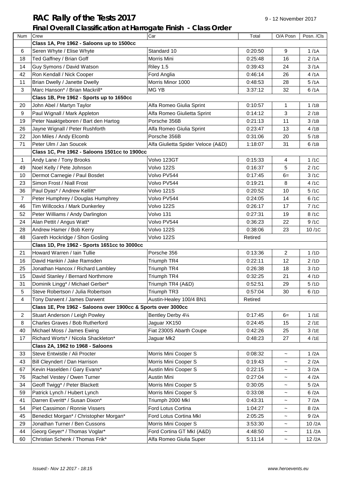## **RAC Rally of the Tests 2017** 9-12 November 2017

## **Final Overall Classification at Harrogate Finish - Class Order**

| Num            | Crew                                                          | Car                                | Total   | O/A Posn                  | Posn. /Cls |
|----------------|---------------------------------------------------------------|------------------------------------|---------|---------------------------|------------|
|                | Class 1A, Pre 1962 - Saloons up to 1500cc                     |                                    |         |                           |            |
| 6              | Seren Whyte / Elise Whyte                                     | Standard 10                        | 0:20:50 | 9                         | 1/1A       |
| 18             | Ted Gaffney / Brian Goff                                      | Morris Mini                        | 0:25:48 | 16                        | 2/1A       |
| 14             | Guy Symons / David Watson                                     | Riley 1.5                          | 0:39:43 | 24                        | 3/1A       |
| 42             | Ron Kendall / Nick Cooper                                     | Ford Anglia                        | 0:46:14 | 26                        | 4/1A       |
| 11             | Brian Dwelly / Janette Dwelly                                 | Morris Minor 1000                  |         | 28                        | 5/1A       |
| 3              | Marc Hanson* / Brian Mackrill*                                | MG YB                              | 3:37:12 | 32                        | 6/1A       |
|                | Class 1B, Pre 1962 - Sports up to 1650cc                      |                                    |         |                           |            |
| 20             | John Abel / Martyn Taylor                                     | Alfa Romeo Giulia Sprint           | 0:10:57 | 1                         | 1/1B       |
| 9              | Paul Wignall / Mark Appleton                                  | Alfa Romeo Giulietta Sprint        | 0:14:12 | 3                         | 2/1B       |
| 19             | Peter Naaktgeboren / Bart den Hartog                          | Porsche 356B                       | 0:21:13 | 11                        | 3/1B       |
| 26             | Jayne Wignall / Peter Rushforth                               | Alfa Romeo Giulia Sprint           | 0:23:47 | 13                        | 4/1B       |
| 22             | Jon Miles / Andy Elcomb                                       | Porsche 356B                       | 0:31:06 | 20                        | 5/1B       |
| 71             | Peter Ulm / Jan Soucek                                        | Alfa Giulietta Spider Veloce (A&D) | 1:18:07 | 31                        | 6/1B       |
|                | Class 1C, Pre 1962 - Saloons 1501cc to 1900cc                 |                                    |         |                           |            |
| 1              | Andy Lane / Tony Brooks                                       | Volvo 123GT                        | 0:15:33 | 4                         | 1/1C       |
| 49             | Noel Kelly / Pete Johnson                                     | Volvo 122S                         | 0:16:37 | 5                         | 2/1C       |
| 10             | Dermot Carnegie / Paul Bosdet                                 | Volvo PV544                        | 0:17:45 | $6=$                      | 3/1C       |
| 23             | Simon Frost / Niall Frost                                     | Volvo PV544                        | 0:19:21 | 8                         | 4/1C       |
| 36             | Paul Dyas* / Andrew Kellitt*                                  | Volvo 121S                         | 0:20:52 | 10                        | 5/1C       |
| 7              | Peter Humphrey / Douglas Humphrey                             | Volvo PV544                        | 0:24:05 | 14                        | 6/1C       |
| 46             | Tim Willcocks / Mark Dunkerley                                | Volvo 122S                         | 0:26:17 | 17                        | 7/1C       |
| 52             | Peter Williams / Andy Darlington                              | Volvo 131                          | 0:27:31 | 19                        | 8/1C       |
| 24             | Alan Pettit / Angus Watt*                                     | Volvo PV544                        | 0:36:23 | 22                        | 9/1C       |
| 28             | Andrew Hamer / Bob Kerry                                      | Volvo 122S                         | 0:38:06 | 23                        | 10/1C      |
| 48             | Gareth Hockridge / Shon Gosling<br>Volvo 122S                 |                                    | Retired |                           |            |
|                | Class 1D, Pre 1962 - Sports 1651cc to 3000cc                  |                                    |         |                           |            |
| 21             | Howard Warren / Iain Tullie                                   | Porsche 356                        | 0:13:36 | $\overline{2}$            | 1/1D       |
| 16             | David Hankin / Jake Ramsden                                   | Triumph TR4                        | 0:22:11 | 12                        | 2/1D       |
| 25             | Jonathan Hancox / Richard Lambley                             | Triumph TR4                        | 0:26:38 | 18                        | 3/1D       |
| 15             | David Stanley / Bernard Northmore                             | Triumph TR4                        | 0:32:25 | 21                        | 4/1D       |
| 31             | Dominik Lingg* / Michael Gerber*                              | Triumph TR4 (A&D)                  | 0:52:51 | 29                        | 5/1D       |
| 5              | Steve Robertson / Julia Robertson                             | Triumph TR3                        | 0:57:04 | 30                        | 6/1D       |
| 4              | Tony Darwent / James Darwent                                  | Austin-Healey 100/4 BN1            | Retired |                           |            |
|                | Class 1E, Pre 1962 - Saloons over 1900cc & Sports over 3000cc |                                    |         |                           |            |
| $\overline{c}$ | Stuart Anderson / Leigh Powley                                | Bentley Derby 41⁄4                 | 0:17:45 | $6=$                      | 1/1E       |
| 8              | Charles Graves / Bob Rutherford                               | Jaguar XK150                       | 0:24:45 | 15                        | 2/1E       |
| 40             | Michael Moss / James Ewing                                    | Fiat 2300S Abarth Coupe            | 0:42:26 | 25                        | 3/1E       |
| 17             | Richard Worts* / Nicola Shackleton*                           | Jaguar Mk2                         | 0:48:23 | 27                        | 4/1E       |
|                | Class 2A, 1962 to 1968 - Saloons                              |                                    |         |                           |            |
| 33             | Steve Entwistle / Ali Procter                                 | Morris Mini Cooper S               | 0:08:32 | $\tilde{}$                | 1/2A       |
| 43             | Bill Cleyndert / Dan Harrison                                 | Morris Mini Cooper S               | 0:19:43 | $\tilde{}$                | 2/2A       |
| 67             | Kevin Haselden / Gary Evans*                                  | Austin Mini Cooper S               | 0:22:15 | $\tilde{}$                | 3/2A       |
| 76             | Rachel Vestey / Owen Turner                                   | Austin Mini                        | 0:27:04 | $\tilde{\phantom{a}}$     | 4/2A       |
| 34             | Geoff Twigg* / Peter Blackett                                 | Morris Mini Cooper S               | 0:30:05 | $\tilde{}$                | 5/2A       |
| 59             | Patrick Lynch / Hubert Lynch                                  | Morris Mini Cooper S               | 0:33:08 | $\widetilde{\phantom{m}}$ | 6/2A       |
| 41             | Darren Everitt* / Susan Dixon*                                | Triumph 2000 Mkl                   | 0:43:31 | $\tilde{}$                | 7/2A       |
| 54             | Piet Cassimon / Ronnie Vissers                                | Ford Lotus Cortina                 | 1:04:27 | $\tilde{}$                | 8/2A       |
| 45             | Benedict Morgan* / Christopher Morgan*                        | Ford Lotus Cortina Mkl             | 2:05:25 | $\widetilde{\phantom{m}}$ | 9/2A       |
| 29             | Jonathan Turner / Ben Cussons                                 | Morris Mini Cooper S               | 3:53:30 | $\tilde{}$                | 10/2A      |
| 44             | Georg Geyer* / Thomas Voglar*                                 | Ford Cortina GT MkI (A&D)          | 4:48:50 | $\tilde{}$                | 11/2A      |
| 60             | Christian Schenk / Thomas Frik*                               | Alfa Romeo Giulia Super            | 5:11:14 | $\widetilde{\phantom{m}}$ | 12/2A      |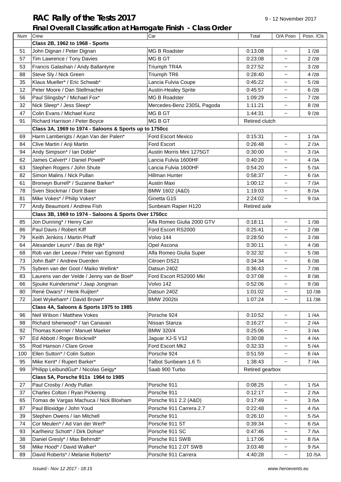## **RAC Rally of the Tests 2017** 9-12 November 2017

### **Final Overall Classification at Harrogate Finish - Class Order**

| Num | Crew                                                   | Car                         | Total               | O/A Posn                  | Posn. /Cls |
|-----|--------------------------------------------------------|-----------------------------|---------------------|---------------------------|------------|
|     | Class 2B, 1962 to 1968 - Sports                        |                             |                     |                           |            |
| 51  | John Dignan / Peter Dignan                             | <b>MG B Roadster</b>        | 0:13:08             | $\tilde{\phantom{a}}$     | 1/2B       |
| 57  | Tim Lawrence / Tony Davies                             | MG B GT                     | 0:23:08             | $\tilde{\phantom{a}}$     | 2/2B       |
| 53  | Francis Galashan / Andy Ballantyne                     | Triumph TR4A                | 0:27:52             | $\tilde{}$                | 3/2B       |
| 88  | Steve Sly / Nick Green                                 | Triumph TR6                 | 0:28:40             | $\tilde{}$                | 4/2B       |
| 35  | Klaus Mueller* / Eric Schwab*                          | Lancia Fulvia Coupe         | 0:45:22             | $\tilde{\phantom{a}}$     | 5/2B       |
| 12  | Peter Moore / Dan Stellmacher                          | <b>Austin-Healey Sprite</b> | 0:45:57             | $\tilde{}$                | 6/2B       |
| 56  | Paul Slingsby* / Michael Fox*                          | MG B Roadster               | 1:09:29             | $\tilde{}$                | 7/2B       |
| 32  | Nick Sleep* / Jess Sleep*                              | Mercedes-Benz 230SL Pagoda  | 1:11:21             | $\tilde{\phantom{a}}$     | 8/2B       |
| 47  | Colin Evans / Michael Kunz                             | MG B GT                     | 1:44:31             | $\tilde{\phantom{a}}$     | 9/2B       |
| 91  | Richard Harrison / Peter Boyce                         | MG B GT                     | Retired clutch      |                           |            |
|     | Class 3A, 1969 to 1974 - Saloons & Sports up to 1750cc |                             |                     |                           |            |
| 69  | Harm Lamberigts / Arjan Van der Palen*                 | Ford Escort Mexico          | 0:15:31             | $\tilde{\phantom{a}}$     | 1/3A       |
| 84  | Clive Martin / Anji Martin                             | Ford Escort                 | 0:26:48             | $\tilde{}$                | 2/3A       |
| 94  | Andy Simpson* / Ian Doble*                             | Austin Morris Mini 1275GT   | 0:30:00             |                           | 3/3A       |
| 62  | James Calvert* / Daniel Powell*                        | Lancia Fulvia 1600HF        | 0:40:20             | $\widetilde{\phantom{m}}$ | 4/3A       |
| 63  | Stephen Rogers / John Shute                            | Lancia Fulvia 1600HF        | 0:54:20             | $\tilde{\phantom{a}}$     | 5/3A       |
| 82  | Simon Malins / Nick Pullan                             | Hillman Hunter              | 0:58:37             | $\tilde{\phantom{a}}$     | 6/3A       |
| 61  | Bronwyn Burrell* / Suzanne Barker*                     | <b>Austin Maxi</b>          | 1:00:12             | $\tilde{}$                | 7/3A       |
| 78  | Sven Stockmar / Dorit Baier                            | BMW 1602 (A&D)              | 1:19:03             | $\widetilde{\phantom{m}}$ | 8/3A       |
| 81  | Mike Vokes* / Philip Vokes*                            | Ginetta G15                 | 2:24:02             | $\tilde{\phantom{a}}$     | 9/3A       |
| 77  | Andy Beaumont / Andrew Fish                            | Sunbeam Rapier H120         | <b>Retired axle</b> |                           |            |
|     | Class 3B, 1969 to 1974 - Saloons & Sports Over 1750cc  |                             |                     |                           |            |
| 85  | Jon Dunning* / Henry Carr                              | Alfa Romeo Giulia 2000 GTV  | 0:18:11             | $\tilde{}$                | 1/3B       |
| 86  | Paul Davis / Robert Kiff                               | Ford Escort RS2000          | 0:25:41             | $\tilde{\phantom{a}}$     | 2/3B       |
| 79  | Keith Jenkins / Martin Phaff                           | Volvo 144                   | 0:28:50             | $\tilde{}$                | 3/3B       |
| 64  | Alexander Leurs* / Bas de Rijk*                        | Opel Ascona                 | 0:30:11             | $\tilde{}$                | 4/3B       |
| 68  | Rob van der Leeuw / Peter van Egmond                   | Alfa Romeo Giulia Super     | 0:32:32             | $\tilde{}$                | 5/3B       |
| 73  | John Ball* / Andrew Duerden                            | Citroen DS21                | 0:34:34             | $\tilde{}$                | 6/3B       |
| 75  | Sybren van der Goot / Maiko Wellink*                   | Datsun 240Z                 | 0:36:43             | $\tilde{\phantom{a}}$     | 7/3B       |
| 83  | Laurens van der Velde / Jenny van de Boel*             | Ford Escort RS2000 Mkl      | 0:37:08             | $\widetilde{\phantom{m}}$ | 8/3B       |
| 66  | Sjouke Kuindersma* / Jaap Jongman                      | Volvo 142                   | 0:52:06             | $\sim$                    | 9/3B       |
| 80  | René Dwars* / Henk Ruijten*                            | Datsun 240Z                 | 1:01:02             | $\tilde{}$                | 10/3B      |
| 72  | Joel Wykeham* / David Brown*                           | <b>BMW 2002tii</b>          | 1:07:24             |                           | 11/3B      |
|     | Class 4A, Saloons & Sports 1975 to 1985                |                             |                     |                           |            |
| 96  | Neil Wilson / Matthew Vokes                            | Porsche 924                 | 0:10:52             | $\tilde{}$                | 1/4A       |
| 98  | Richard Isherwood* / Ian Canavan                       | Nissan Stanza               | 0:16:27             |                           | 2/4A       |
| 92  | Thomas Koerner / Manuel Maeker                         | BMW 320/4                   | 0:25:06             | $\widetilde{\phantom{m}}$ | 3/4A       |
| 97  | Ed Abbott / Roger Bricknell*                           | Jaguar XJ-S V12             | 0:30:08             | $\tilde{}$                | 4/4A       |
| 55  | Rod Hanson / Clare Grove                               | Ford Escort Mk2             | 0:32:33             | $\tilde{}$                | 5/4A       |
| 100 | Ellen Sutton* / Colin Sutton                           | Porsche 924                 | 0:51:59             |                           | 6/4A       |
| 95  | Mike Kent* / Rupert Barker*                            | Talbot Sunbeam 1.6 Ti       | 1:38:43             | $\tilde{}$                | 7/4A       |
| 99  | Philipp LeibundGut* / Nicolas Geigy*                   | Saab 900 Turbo              | Retired gearbox     |                           |            |
|     | Class 5A, Porsche 911s 1964 to 1985                    |                             |                     |                           |            |
| 27  | Paul Crosby / Andy Pullan                              | Porsche 911                 | 0:08:25             | $\tilde{\phantom{a}}$     | 1/5A       |
| 37  | Charles Colton / Ryan Pickering                        | Porsche 911                 | 0:12:17             | $\tilde{}$                | 2/5A       |
| 65  | Tomas de Vargas Machuca / Nick Bloxham                 | Porsche 911 2.2 (A&D)       | 0:17:49             | $\tilde{}$                | 3/5A       |
| 87  | Paul Bloxidge / John Youd                              | Porsche 911 Carrera 2.7     | 0:22:48             | $\tilde{}$                | 4/5A       |
| 39  | Stephen Owens / Ian Mitchell                           | Porsche 911                 | 0:26:10             | $\tilde{\phantom{a}}$     | 5/5A       |
| 74  | Cor Meulen* / Ad Van der Werf*                         | Porsche 911 ST              | 0:39:34             | $\tilde{}$                | 6/5A       |
| 93  | Karlheinz Schott* / Dirk Dohse*                        | Porsche 911 SC              | 0:47:46             | $\tilde{\phantom{a}}$     | 7/5A       |
| 38  | Daniel Gresly* / Max Behrndt*                          | Porsche 911 SWB             | 1:17:06             | $\tilde{}$                | 8/5A       |
| 58  | Mike Hood* / David Walker*                             | Porsche 911 2.0T SWB        | 3:03:48             | $\tilde{}$                | 9/5A       |
| 89  | David Roberts* / Melanie Roberts*                      | Porsche 911 Carrera         | 4:40:28             | $\tilde{}$                | 10/5A      |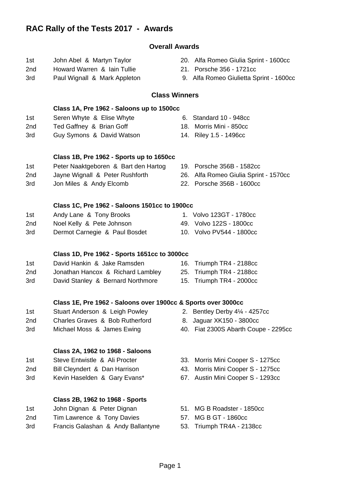## **RAC Rally of the Tests 2017 - Awards**

### **Overall Awards**

- 
- 2nd Howard Warren & Iain Tullie 21. Porsche 356 1721cc
- 
- 1st John Abel & Martyn Taylor 20. Alfa Romeo Giulia Sprint 1600cc
	-
- 3rd Paul Wignall & Mark Appleton 9. Alfa Romeo Giulietta Sprint 1600cc

### **Class Winners**

## **Class 1A, Pre 1962 - Saloons up to 1500cc** 1st Seren Whyte & Elise Whyte 6. Standard 10 - 948cc 2nd Ted Gaffney & Brian Goff 18. Morris Mini - 850cc 3rd Guy Symons & David Watson 14. Riley 1.5 - 1496cc **Class 1B, Pre 1962 - Sports up to 1650cc** 1st Peter Naaktgeboren & Bart den Hartog 19. Porsche 356B - 1582cc 2nd Jayne Wignall & Peter Rushforth 26. Alfa Romeo Giulia Sprint - 1570cc 3rd Jon Miles & Andy Elcomb 22. Porsche 356B - 1600cc **Class 1C, Pre 1962 - Saloons 1501cc to 1900cc** 1st Andy Lane & Tony Brooks 1. Volvo 123GT - 1780cc 2nd Noel Kelly & Pete Johnson 49. Volvo 122S - 1800cc 3rd Dermot Carnegie & Paul Bosdet 10. Volvo PV544 - 1800cc **Class 1D, Pre 1962 - Sports 1651cc to 3000cc** 1st David Hankin & Jake Ramsden 16. Triumph TR4 - 2188cc 2nd Jonathan Hancox & Richard Lambley 25. Triumph TR4 - 2188cc 3rd David Stanley & Bernard Northmore 15. Triumph TR4 - 2000cc **Class 1E, Pre 1962 - Saloons over 1900cc & Sports over 3000cc** 1st Stuart Anderson & Leigh Powley 2. Bentley Derby 4¼ - 4257cc 2nd Charles Graves & Bob Rutherford 8. Jaguar XK150 - 3800cc 3rd Michael Moss & James Ewing 40. Fiat 2300S Abarth Coupe - 2295cc **Class 2A, 1962 to 1968 - Saloons** 1st Steve Entwistle & Ali Procter 33. Morris Mini Cooper S - 1275cc 2nd Bill Cleyndert & Dan Harrison 43. Morris Mini Cooper S - 1275cc 3rd Kevin Haselden & Gary Evans\* 67. Austin Mini Cooper S - 1293cc **Class 2B, 1962 to 1968 - Sports** 1st John Dignan & Peter Dignan 51. MG B Roadster - 1850cc 2nd Tim Lawrence & Tony Davies 67. MG B GT - 1860cc

- 3rd Francis Galashan & Andy Ballantyne 53. Triumph TR4A 2138cc
- -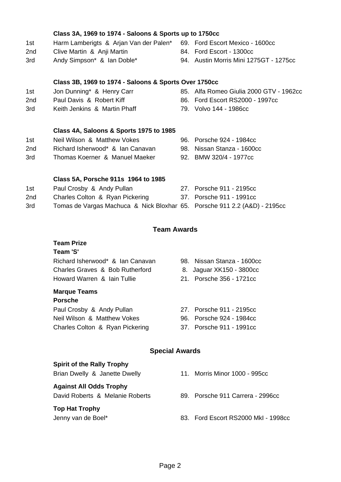|     | Class 3B, 1969 to 1974 - Saloons & Sports Over 1750cc                     |     |                                         |
|-----|---------------------------------------------------------------------------|-----|-----------------------------------------|
| 1st | Jon Dunning* & Henry Carr                                                 |     | 85. Alfa Romeo Giulia 2000 GTV - 1962cc |
| 2nd | Paul Davis & Robert Kiff                                                  | 86. | Ford Escort RS2000 - 1997cc             |
| 3rd | Keith Jenkins & Martin Phaff                                              |     | 79. Volvo 144 - 1986cc                  |
|     | Class 4A, Saloons & Sports 1975 to 1985                                   |     |                                         |
| 1st | Neil Wilson & Matthew Vokes                                               |     | 96. Porsche 924 - 1984cc                |
| 2nd | Richard Isherwood* & Ian Canavan                                          |     | 98. Nissan Stanza - 1600cc              |
| 3rd | Thomas Koerner & Manuel Maeker                                            |     | 92. BMW 320/4 - 1977cc                  |
|     | Class 5A, Porsche 911s 1964 to 1985                                       |     |                                         |
| 1st | Paul Crosby & Andy Pullan                                                 |     | 27. Porsche 911 - 2195cc                |
| 2nd | Charles Colton & Ryan Pickering                                           |     | 37. Porsche 911 - 1991cc                |
| 3rd | Tomas de Vargas Machuca & Nick Bloxhar 65. Porsche 911 2.2 (A&D) - 2195cc |     |                                         |
|     | <b>Team Awards</b>                                                        |     |                                         |
|     | <b>Team Prize</b>                                                         |     |                                         |
|     | Team 'S'                                                                  |     |                                         |
|     | Richard Isherwood* & Ian Canavan                                          |     | 98. Nissan Stanza - 1600cc              |
|     | Charles Graves & Bob Rutherford                                           |     | 8. Jaguar XK150 - 3800cc                |
|     | Howard Warren & Iain Tullie                                               |     | 21. Porsche 356 - 1721cc                |
|     | <b>Marque Teams</b><br><b>Porsche</b>                                     |     |                                         |
|     | Paul Crosby & Andy Pullan                                                 |     | 27. Porsche 911 - 2195cc                |
|     | Neil Wilson & Matthew Vokes                                               |     | 96. Porsche 924 - 1984cc                |
|     | Charles Colton & Ryan Pickering                                           |     | 37. Porsche 911 - 1991cc                |
|     | Spocial Awarde                                                            |     |                                         |

**Class 3A, 1969 to 1974 - Saloons & Sports up to 1750cc**

2nd Clive Martin & Anji Martin 84. Ford Escort - 1300cc

1st Harm Lamberigts & Arjan Van der Palen\* 69. Ford Escort Mexico - 1600cc

3rd Andy Simpson\* & Ian Doble\* 94. Austin Morris Mini 1275GT - 1275cc

### **Special Awards**

| <b>Spirit of the Rally Trophy</b>           |                                     |
|---------------------------------------------|-------------------------------------|
| Brian Dwelly & Janette Dwelly               | 11. Morris Minor 1000 - 995cc       |
| <b>Against All Odds Trophy</b>              |                                     |
| David Roberts & Melanie Roberts             | 89. Porsche 911 Carrera - 2996cc    |
| <b>Top Hat Trophy</b><br>Jenny van de Boel* | 83. Ford Escort RS2000 MkI - 1998cc |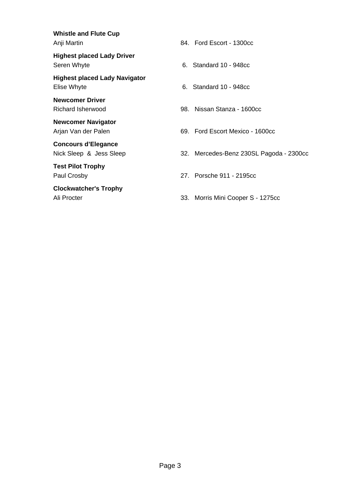**Whistle and Flute Cup**

**Highest placed Lady Driver** Seren Whyte **6. Standard 10 - 948cc** 

**Highest placed Lady Navigator** Elise Whyte **6. Standard 10 - 948cc** 

**Newcomer Driver**

**Newcomer Navigator**

**Concours d'Elegance**

**Test Pilot Trophy**

**Clockwatcher's Trophy**

Anji Martin **84. Ford Escort - 1300cc** 

Richard Isherwood 98. Nissan Stanza - 1600cc

Arjan Van der Palen **69. Ford Escort Mexico - 1600cc** 

Nick Sleep & Jess Sleep 32. Mercedes-Benz 230SL Pagoda - 2300cc

Paul Crosby 27. Porsche 911 - 2195cc

Ali Procter 2012 1275cc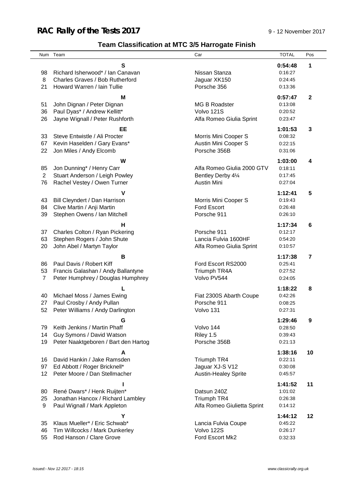## **RAC Rally of the Tests 2017** 9 - 12 November 2017

## **Team Classification at MTC 3/5 Harrogate Finish**

|                | Num Team                                                      | Car                         | <b>TOTAL</b>       | Pos                     |
|----------------|---------------------------------------------------------------|-----------------------------|--------------------|-------------------------|
|                | S                                                             |                             | 0:54:48            | 1                       |
| 98             | Richard Isherwood* / Ian Canavan                              | Nissan Stanza               | 0:16:27            |                         |
| 8              | Charles Graves / Bob Rutherford                               | Jaguar XK150                | 0:24:45            |                         |
| 21             | Howard Warren / Iain Tullie                                   | Porsche 356                 | 0:13:36            |                         |
|                |                                                               |                             |                    |                         |
|                | м                                                             |                             | 0:57:47            | $\mathbf{2}$            |
| 51             | John Dignan / Peter Dignan                                    | <b>MG B Roadster</b>        | 0:13:08            |                         |
| 36             | Paul Dyas* / Andrew Kellitt*                                  | Volvo 121S                  | 0:20:52            |                         |
| 26             | Jayne Wignall / Peter Rushforth                               | Alfa Romeo Giulia Sprint    | 0:23:47            |                         |
|                |                                                               |                             |                    |                         |
|                | EE                                                            |                             | 1:01:53            | 3                       |
| 33             | Steve Entwistle / Ali Procter                                 | Morris Mini Cooper S        | 0:08:32            |                         |
| 67             | Kevin Haselden / Gary Evans*                                  | Austin Mini Cooper S        | 0:22:15            |                         |
| 22             | Jon Miles / Andy Elcomb                                       | Porsche 356B                | 0:31:06            |                         |
|                | W                                                             |                             | 1:03:00            | 4                       |
| 85             | Jon Dunning* / Henry Carr                                     | Alfa Romeo Giulia 2000 GTV  | 0:18:11            |                         |
| $\overline{2}$ | Stuart Anderson / Leigh Powley                                | Bentley Derby 41⁄4          | 0:17:45            |                         |
| 76             | Rachel Vestey / Owen Turner                                   | <b>Austin Mini</b>          | 0:27:04            |                         |
|                |                                                               |                             |                    |                         |
|                | v                                                             |                             | 1:12:41            | 5                       |
| 43             | Bill Cleyndert / Dan Harrison                                 | Morris Mini Cooper S        | 0:19:43            |                         |
| 84             | Clive Martin / Anji Martin                                    | Ford Escort                 | 0:26:48            |                         |
| 39             | Stephen Owens / Ian Mitchell                                  | Porsche 911                 | 0:26:10            |                         |
|                | н                                                             |                             | 1:17:34            | 6                       |
| 37             | Charles Colton / Ryan Pickering                               | Porsche 911                 | 0:12:17            |                         |
| 63             | Stephen Rogers / John Shute                                   | Lancia Fulvia 1600HF        | 0:54:20            |                         |
| 20             | John Abel / Martyn Taylor                                     | Alfa Romeo Giulia Sprint    | 0:10:57            |                         |
|                |                                                               |                             |                    |                         |
|                | B                                                             |                             | 1:17:38            | $\overline{\mathbf{r}}$ |
| 86             | Paul Davis / Robert Kiff                                      | Ford Escort RS2000          | 0:25:41            |                         |
| 53             | Francis Galashan / Andy Ballantyne                            | Triumph TR4A                | 0:27:52            |                         |
| $\overline{7}$ | Peter Humphrey / Douglas Humphrey                             | Volvo PV544                 | 0:24:05            |                         |
|                |                                                               |                             | 1:18:22            | 8                       |
| 40             | Michael Moss / James Ewing                                    | Fiat 2300S Abarth Coupe     | 0:42:26            |                         |
| 27             | Paul Crosby / Andy Pullan                                     | Porsche 911                 | 0:08:25            |                         |
|                | 52 Peter Williams / Andy Darlington                           | Volvo 131                   | 0:27:31            |                         |
|                |                                                               |                             |                    |                         |
|                | G                                                             |                             | 1:29:46            | 9                       |
| 79             | Keith Jenkins / Martin Phaff                                  | Volvo 144                   | 0:28:50            |                         |
| 14             | Guy Symons / David Watson                                     | Riley 1.5                   | 0:39:43            |                         |
| 19             | Peter Naaktgeboren / Bart den Hartog                          | Porsche 356B                | 0:21:13            |                         |
|                | A                                                             |                             | 1:38:16            | 10                      |
| 16             | David Hankin / Jake Ramsden                                   | Triumph TR4                 | 0:22:11            |                         |
| 97             |                                                               | Jaguar XJ-S V12             |                    |                         |
| 12             | Ed Abbott / Roger Bricknell*<br>Peter Moore / Dan Stellmacher |                             | 0:30:08<br>0:45:57 |                         |
|                |                                                               | <b>Austin-Healey Sprite</b> |                    |                         |
|                |                                                               |                             | 1:41:52            | 11                      |
| 80             | René Dwars* / Henk Ruijten*                                   | Datsun 240Z                 | 1:01:02            |                         |
| 25             | Jonathan Hancox / Richard Lambley                             | Triumph TR4                 | 0:26:38            |                         |
| 9              | Paul Wignall / Mark Appleton                                  | Alfa Romeo Giulietta Sprint | 0:14:12            |                         |
|                |                                                               |                             |                    |                         |
|                | Υ                                                             |                             | 1:44:12            | 12                      |
| 35             | Klaus Mueller* / Eric Schwab*                                 | Lancia Fulvia Coupe         | 0:45:22            |                         |
| 46             | Tim Willcocks / Mark Dunkerley                                | Volvo 122S                  | 0:26:17            |                         |
| 55             | Rod Hanson / Clare Grove                                      | Ford Escort Mk2             | 0:32:33            |                         |
|                |                                                               |                             |                    |                         |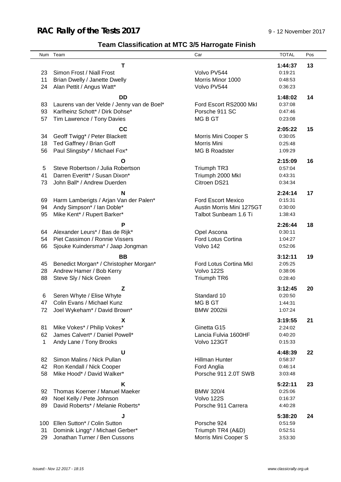## **RAC Rally of the Tests 2017** 9 - 12 November 2017

## **Team Classification at MTC 3/5 Harrogate Finish**

|              | Num Team                                   | Car                       | <b>TOTAL</b> | Pos |
|--------------|--------------------------------------------|---------------------------|--------------|-----|
|              | т                                          |                           | 1:44:37      | 13  |
| 23           | Simon Frost / Niall Frost                  | Volvo PV544               | 0:19:21      |     |
| 11           | Brian Dwelly / Janette Dwelly              | Morris Minor 1000         | 0:48:53      |     |
| 24           | Alan Pettit / Angus Watt*                  | Volvo PV544               | 0:36:23      |     |
|              |                                            |                           |              |     |
|              | <b>DD</b>                                  |                           | 1:48:02      | 14  |
| 83           | Laurens van der Velde / Jenny van de Boel* | Ford Escort RS2000 MkI    | 0:37:08      |     |
| 93           | Karlheinz Schott* / Dirk Dohse*            | Porsche 911 SC            | 0:47:46      |     |
| 57           | Tim Lawrence / Tony Davies                 | MG B GT                   | 0:23:08      |     |
|              | cc                                         |                           | 2:05:22      | 15  |
| 34           | Geoff Twigg* / Peter Blackett              | Morris Mini Cooper S      | 0:30:05      |     |
| 18           | Ted Gaffney / Brian Goff                   | Morris Mini               | 0:25:48      |     |
| 56           | Paul Slingsby* / Michael Fox*              | <b>MG B Roadster</b>      | 1:09:29      |     |
|              | O                                          |                           | 2:15:09      | 16  |
| 5            | Steve Robertson / Julia Robertson          | Triumph TR3               | 0:57:04      |     |
| 41           | Darren Everitt* / Susan Dixon*             | Triumph 2000 Mkl          | 0:43:31      |     |
| 73           | John Ball* / Andrew Duerden                | Citroen DS21              | 0:34:34      |     |
|              |                                            |                           |              |     |
|              | N                                          |                           | 2:24:14      | 17  |
| 69           | Harm Lamberigts / Arjan Van der Palen*     | <b>Ford Escort Mexico</b> | 0:15:31      |     |
| 94           | Andy Simpson* / Ian Doble*                 | Austin Morris Mini 1275GT | 0:30:00      |     |
| 95           | Mike Kent* / Rupert Barker*                | Talbot Sunbeam 1.6 Ti     | 1:38:43      |     |
|              | Ρ                                          |                           | 2:26:44      | 18  |
| 64           | Alexander Leurs* / Bas de Rijk*            | Opel Ascona               | 0:30:11      |     |
| 54           | Piet Cassimon / Ronnie Vissers             | Ford Lotus Cortina        | 1:04:27      |     |
| 66           | Sjouke Kuindersma* / Jaap Jongman          | Volvo 142                 | 0:52:06      |     |
|              | <b>BB</b>                                  |                           | 3:12:11      | 19  |
| 45           | Benedict Morgan* / Christopher Morgan*     | Ford Lotus Cortina MkI    | 2:05:25      |     |
| 28           | Andrew Hamer / Bob Kerry                   | Volvo 122S                | 0:38:06      |     |
| 88           | Steve Sly / Nick Green                     | Triumph TR6               | 0:28:40      |     |
|              | Z                                          |                           | 3:12:45      | 20  |
| 6            | Seren Whyte / Elise Whyte                  | Standard 10               | 0:20:50      |     |
| 47           | Colin Evans / Michael Kunz                 | MG B GT                   | 1:44:31      |     |
| 72.          | Joel Wykeham* / David Brown*               | <b>BMW 2002tii</b>        | 1:07:24      |     |
|              |                                            |                           |              |     |
|              | X                                          |                           | 3:19:55      | 21  |
| 81           | Mike Vokes* / Philip Vokes*                | Ginetta G15               | 2:24:02      |     |
| 62           | James Calvert* / Daniel Powell*            | Lancia Fulvia 1600HF      | 0:40:20      |     |
| $\mathbf{1}$ | Andy Lane / Tony Brooks                    | Volvo 123GT               | 0:15:33      |     |
|              | U                                          |                           | 4:48:39      | 22  |
| 82           | Simon Malins / Nick Pullan                 | Hillman Hunter            | 0:58:37      |     |
| 42           | Ron Kendall / Nick Cooper                  | Ford Anglia               | 0:46:14      |     |
| 58           | Mike Hood* / David Walker*                 | Porsche 911 2.0T SWB      | 3:03:48      |     |
|              | Κ                                          |                           | 5:22:11      | 23  |
| 92           | Thomas Koerner / Manuel Maeker             | <b>BMW 320/4</b>          | 0:25:06      |     |
| 49           | Noel Kelly / Pete Johnson                  | Volvo 122S                | 0:16:37      |     |
| 89           | David Roberts* / Melanie Roberts*          | Porsche 911 Carrera       | 4:40:28      |     |
|              | J                                          |                           | 5:38:20      | 24  |
| 100          | Ellen Sutton* / Colin Sutton               | Porsche 924               | 0:51:59      |     |
| 31           | Dominik Lingg* / Michael Gerber*           | Triumph TR4 (A&D)         | 0:52:51      |     |
| 29           | Jonathan Turner / Ben Cussons              | Morris Mini Cooper S      | 3:53:30      |     |
|              |                                            |                           |              |     |
|              |                                            |                           |              |     |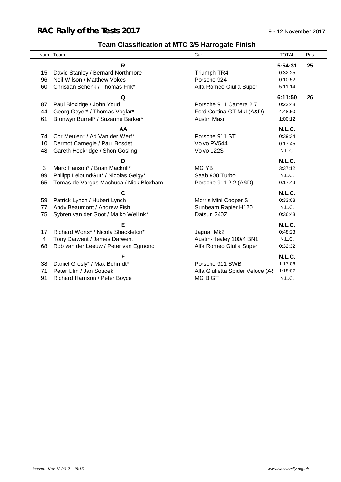## **RAC Rally of the Tests 2017** 9 - 12 November 2017

## **Team Classification at MTC 3/5 Harrogate Finish**

|    | Num Team                               | Car                              | <b>TOTAL</b>  | Pos |
|----|----------------------------------------|----------------------------------|---------------|-----|
|    | R                                      |                                  | 5:54:31       | 25  |
| 15 | David Stanley / Bernard Northmore      | Triumph TR4                      | 0:32:25       |     |
| 96 | Neil Wilson / Matthew Vokes            | Porsche 924                      | 0:10:52       |     |
| 60 | Christian Schenk / Thomas Frik*        | Alfa Romeo Giulia Super          | 5:11:14       |     |
|    | Q                                      |                                  | 6:11:50       | 26  |
| 87 | Paul Bloxidge / John Youd              | Porsche 911 Carrera 2.7          | 0:22:48       |     |
| 44 | Georg Geyer* / Thomas Voglar*          | Ford Cortina GT MkI (A&D)        | 4:48:50       |     |
| 61 | Bronwyn Burrell* / Suzanne Barker*     | Austin Maxi                      | 1:00:12       |     |
|    | AA                                     |                                  | <b>N.L.C.</b> |     |
| 74 | Cor Meulen* / Ad Van der Werf*         | Porsche 911 ST                   | 0:39:34       |     |
| 10 | Dermot Carnegie / Paul Bosdet          | Volvo PV544                      | 0:17:45       |     |
| 48 | Gareth Hockridge / Shon Gosling        | Volvo 122S                       | N.L.C.        |     |
|    | D                                      |                                  | <b>N.L.C.</b> |     |
| 3  | Marc Hanson* / Brian Mackrill*         | MG YB                            | 3:37:12       |     |
| 99 | Philipp LeibundGut* / Nicolas Geigy*   | Saab 900 Turbo                   | N.L.C.        |     |
| 65 | Tomas de Vargas Machuca / Nick Bloxham | Porsche 911 2.2 (A&D)            | 0:17:49       |     |
|    | С                                      |                                  | <b>N.L.C.</b> |     |
| 59 | Patrick Lynch / Hubert Lynch           | Morris Mini Cooper S             | 0:33:08       |     |
| 77 | Andy Beaumont / Andrew Fish            | Sunbeam Rapier H120              | N.L.C.        |     |
| 75 | Sybren van der Goot / Maiko Wellink*   | Datsun 240Z                      | 0:36:43       |     |
|    | Е                                      |                                  | <b>N.L.C.</b> |     |
| 17 | Richard Worts* / Nicola Shackleton*    | Jaguar Mk2                       | 0:48:23       |     |
| 4  | Tony Darwent / James Darwent           | Austin-Healey 100/4 BN1          | N.L.C.        |     |
| 68 | Rob van der Leeuw / Peter van Egmond   | Alfa Romeo Giulia Super          | 0:32:32       |     |
|    | F                                      |                                  | <b>N.L.C.</b> |     |
| 38 | Daniel Gresly* / Max Behrndt*          | Porsche 911 SWB                  | 1:17:06       |     |
| 71 | Peter Ulm / Jan Soucek                 | Alfa Giulietta Spider Veloce (A& | 1:18:07       |     |
| 91 | Richard Harrison / Peter Boyce         | <b>MGBGT</b>                     | N.L.C.        |     |
|    |                                        |                                  |               |     |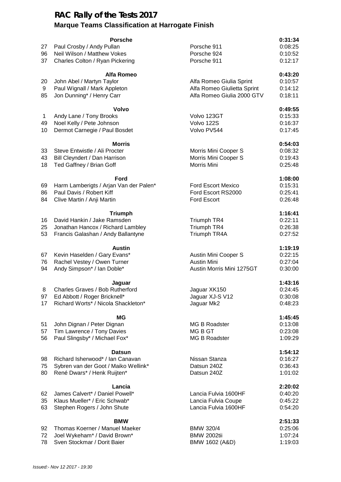### **RAC Rally of the Tests 2017 Marque Teams Classification at Harrogate Finish**

| 27<br>96<br>37 | <b>Porsche</b><br>Paul Crosby / Andy Pullan<br>Neil Wilson / Matthew Vokes<br>Charles Colton / Ryan Pickering            | Porsche 911<br>Porsche 924<br>Porsche 911                                             | 0:31:34<br>0:08:25<br>0:10:52<br>0:12:17 |
|----------------|--------------------------------------------------------------------------------------------------------------------------|---------------------------------------------------------------------------------------|------------------------------------------|
| 20<br>9<br>85  | <b>Alfa Romeo</b><br>John Abel / Martyn Taylor<br>Paul Wignall / Mark Appleton<br>Jon Dunning* / Henry Carr              | Alfa Romeo Giulia Sprint<br>Alfa Romeo Giulietta Sprint<br>Alfa Romeo Giulia 2000 GTV | 0:43:20<br>0:10:57<br>0:14:12<br>0:18:11 |
| 1<br>49<br>10  | Volvo<br>Andy Lane / Tony Brooks<br>Noel Kelly / Pete Johnson<br>Dermot Carnegie / Paul Bosdet                           | Volvo 123GT<br>Volvo 122S<br>Volvo PV544                                              | 0:49:55<br>0:15:33<br>0:16:37<br>0:17:45 |
| 33<br>43<br>18 | <b>Morris</b><br>Steve Entwistle / Ali Procter<br>Bill Cleyndert / Dan Harrison<br>Ted Gaffney / Brian Goff              | Morris Mini Cooper S<br>Morris Mini Cooper S<br>Morris Mini                           | 0:54:03<br>0:08:32<br>0:19:43<br>0:25:48 |
| 69<br>86<br>84 | Ford<br>Harm Lamberigts / Arjan Van der Palen*<br>Paul Davis / Robert Kiff<br>Clive Martin / Anji Martin                 | <b>Ford Escort Mexico</b><br>Ford Escort RS2000<br><b>Ford Escort</b>                 | 1:08:00<br>0:15:31<br>0:25:41<br>0:26:48 |
| 16<br>25<br>53 | <b>Triumph</b><br>David Hankin / Jake Ramsden<br>Jonathan Hancox / Richard Lambley<br>Francis Galashan / Andy Ballantyne | Triumph TR4<br>Triumph TR4<br>Triumph TR4A                                            | 1:16:41<br>0:22:11<br>0:26:38<br>0:27:52 |
| 67<br>76<br>94 | <b>Austin</b><br>Kevin Haselden / Gary Evans*<br>Rachel Vestey / Owen Turner<br>Andy Simpson* / Ian Doble*               | Austin Mini Cooper S<br><b>Austin Mini</b><br>Austin Morris Mini 1275GT               | 1:19:19<br>0:22:15<br>0:27:04<br>0:30:00 |
| 97<br>17       | Jaguar<br>8 Charles Graves / Bob Rutherford<br>Ed Abbott / Roger Bricknell*<br>Richard Worts* / Nicola Shackleton*       | Jaguar XK150<br>Jaguar XJ-S V12<br>Jaguar Mk2                                         | 1:43:16<br>0:24:45<br>0:30:08<br>0:48:23 |
| 51<br>57<br>56 | ΜG<br>John Dignan / Peter Dignan<br>Tim Lawrence / Tony Davies<br>Paul Slingsby* / Michael Fox*                          | <b>MG B Roadster</b><br>MG B GT<br><b>MG B Roadster</b>                               | 1:45:45<br>0:13:08<br>0:23:08<br>1:09:29 |
| 98<br>75<br>80 | <b>Datsun</b><br>Richard Isherwood* / Ian Canavan<br>Sybren van der Goot / Maiko Wellink*<br>René Dwars* / Henk Ruijten* | Nissan Stanza<br>Datsun 240Z<br>Datsun 240Z                                           | 1:54:12<br>0:16:27<br>0:36:43<br>1:01:02 |
| 62<br>35<br>63 | Lancia<br>James Calvert* / Daniel Powell*<br>Klaus Mueller* / Eric Schwab*<br>Stephen Rogers / John Shute                | Lancia Fulvia 1600HF<br>Lancia Fulvia Coupe<br>Lancia Fulvia 1600HF                   | 2:20:02<br>0:40:20<br>0:45:22<br>0:54:20 |
| 92<br>72<br>78 | <b>BMW</b><br>Thomas Koerner / Manuel Maeker<br>Joel Wykeham* / David Brown*<br>Sven Stockmar / Dorit Baier              | BMW 320/4<br><b>BMW 2002tii</b><br>BMW 1602 (A&D)                                     | 2:51:33<br>0:25:06<br>1:07:24<br>1:19:03 |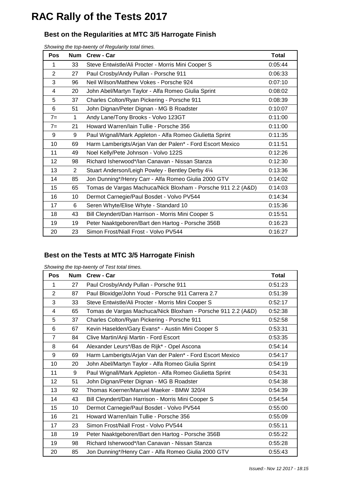## **RAC Rally of the Tests 2017**

### **Best on the Regularities at MTC 3/5 Harrogate Finish**

*Showing the top-twenty of Regularity total times.*

| <b>Pos</b>     | <b>Num</b>     | Crew - Car                                                   | Total   |
|----------------|----------------|--------------------------------------------------------------|---------|
| 1              | 33             | Steve Entwistle/Ali Procter - Morris Mini Cooper S           | 0:05:44 |
| $\overline{2}$ | 27             | Paul Crosby/Andy Pullan - Porsche 911                        | 0:06:33 |
| 3              | 96             | Neil Wilson/Matthew Vokes - Porsche 924                      | 0:07:10 |
| 4              | 20             | John Abel/Martyn Taylor - Alfa Romeo Giulia Sprint           | 0:08:02 |
| 5              | 37             | Charles Colton/Ryan Pickering - Porsche 911                  | 0:08:39 |
| 6              | 51             | John Dignan/Peter Dignan - MG B Roadster                     | 0:10:07 |
| $7=$           | 1              | Andy Lane/Tony Brooks - Volvo 123GT                          | 0:11:00 |
| $7=$           | 21             | Howard Warren/Iain Tullie - Porsche 356                      | 0:11:00 |
| 9              | 9              | Paul Wignall/Mark Appleton - Alfa Romeo Giulietta Sprint     | 0:11:35 |
| 10             | 69             | Harm Lamberigts/Arjan Van der Palen* - Ford Escort Mexico    | 0:11:51 |
| 11             | 49             | Noel Kelly/Pete Johnson - Volvo 122S                         | 0:12:26 |
| 12             | 98             | Richard Isherwood*/lan Canavan - Nissan Stanza               | 0:12:30 |
| 13             | $\overline{2}$ | Stuart Anderson/Leigh Powley - Bentley Derby 41/4            | 0:13:36 |
| 14             | 85             | Jon Dunning*/Henry Carr - Alfa Romeo Giulia 2000 GTV         | 0:14:02 |
| 15             | 65             | Tomas de Vargas Machuca/Nick Bloxham - Porsche 911 2.2 (A&D) | 0:14:03 |
| 16             | 10             | Dermot Carnegie/Paul Bosdet - Volvo PV544                    | 0:14:34 |
| 17             | 6              | Seren Whyte/Elise Whyte - Standard 10                        | 0:15:36 |
| 18             | 43             | Bill Cleyndert/Dan Harrison - Morris Mini Cooper S           | 0:15:51 |
| 19             | 19             | Peter Naaktgeboren/Bart den Hartog - Porsche 356B            | 0:16:23 |
| 20             | 23             | Simon Frost/Niall Frost - Volvo PV544                        | 0:16:27 |

### **Best on the Tests at MTC 3/5 Harrogate Finish**

|  | Showing the top-twenty of Test total times. |  |  |
|--|---------------------------------------------|--|--|
|  |                                             |  |  |

| <b>Pos</b>     | <b>Num</b> | Crew - Car                                                   | <b>Total</b> |
|----------------|------------|--------------------------------------------------------------|--------------|
| 1              | 27         | Paul Crosby/Andy Pullan - Porsche 911                        | 0:51:23      |
| $\overline{2}$ | 87         | Paul Bloxidge/John Youd - Porsche 911 Carrera 2.7            | 0:51:39      |
| 3              | 33         | Steve Entwistle/Ali Procter - Morris Mini Cooper S           | 0:52:17      |
| 4              | 65         | Tomas de Vargas Machuca/Nick Bloxham - Porsche 911 2.2 (A&D) | 0:52:38      |
| 5              | 37         | Charles Colton/Ryan Pickering - Porsche 911                  | 0:52:58      |
| 6              | 67         | Kevin Haselden/Gary Evans* - Austin Mini Cooper S            | 0:53:31      |
| $\overline{7}$ | 84         | Clive Martin/Anji Martin - Ford Escort                       | 0:53:35      |
| 8              | 64         | Alexander Leurs*/Bas de Rijk* - Opel Ascona                  | 0:54:14      |
| 9              | 69         | Harm Lamberigts/Arjan Van der Palen* - Ford Escort Mexico    | 0:54:17      |
| 10             | 20         | John Abel/Martyn Taylor - Alfa Romeo Giulia Sprint           | 0:54:19      |
| 11             | 9          | Paul Wignall/Mark Appleton - Alfa Romeo Giulietta Sprint     | 0:54:31      |
| 12             | 51         | John Dignan/Peter Dignan - MG B Roadster                     | 0:54:38      |
| 13             | 92         | Thomas Koerner/Manuel Maeker - BMW 320/4                     | 0:54:39      |
| 14             | 43         | Bill Cleyndert/Dan Harrison - Morris Mini Cooper S           | 0:54:54      |
| 15             | 10         | Dermot Carnegie/Paul Bosdet - Volvo PV544                    | 0:55:00      |
| 16             | 21         | Howard Warren/Iain Tullie - Porsche 356                      | 0:55:09      |
| 17             | 23         | Simon Frost/Niall Frost - Volvo PV544                        | 0:55:11      |
| 18             | 19         | Peter Naaktgeboren/Bart den Hartog - Porsche 356B            | 0:55:22      |
| 19             | 98         | Richard Isherwood*/lan Canavan - Nissan Stanza               | 0:55:28      |
| 20             | 85         | Jon Dunning*/Henry Carr - Alfa Romeo Giulia 2000 GTV         | 0:55:43      |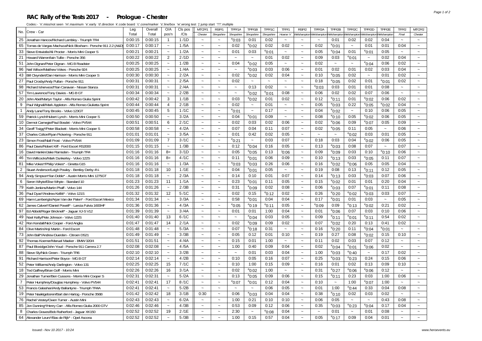#### **RAC Rally of the Tests 2017 - Prologue - Chester**

| No.            | Crew - Car                                                   | Leg     | Overall | O/A                   | Cls pos | MTCP/1                    | RSP/1                     | TPP/1A                    | TPP/1B                | TPP/1C               | TFP/1                 | RSP/2                               | TPP/2A          | TPP/2B                | TPP/2C                | TPP/2D                    | TPP/2E                | TFP/2                 | MTCP/2                |
|----------------|--------------------------------------------------------------|---------|---------|-----------------------|---------|---------------------------|---------------------------|---------------------------|-----------------------|----------------------|-----------------------|-------------------------------------|-----------------|-----------------------|-----------------------|---------------------------|-----------------------|-----------------------|-----------------------|
|                |                                                              | Total   | Total   | pos'n                 | /Cls    | Chester                   | Shropshire                | Shropshire                | Shropshire            | Shropshire           | Hoarse 'n'            | Welshampton Welshampton Welshamptor |                 |                       | Welshamptor           | Velshampto.               | Velshampto            | Final                 | Chester               |
| 25             | Jonathan Hancox/Richard Lambley - Triumph TR4                | 0:00:15 | 0:00:15 | $\overline{1}$        | 1/1D    | $\sim$                    | $\sim$                    | $^{\circ}$ 0:03           | 0:01                  | 0:02                 | $\sim$                |                                     | $\sim$          | 0:01                  | 0:02                  | 0:02                      | 0:04                  | $\sim$                | $\sim$                |
| 65             | Tomas de Vargas Machuca/Nick Bloxham - Porsche 911 2.2 (A&D) | 0:00:17 | 0:00:17 | $\tilde{\phantom{a}}$ | 1/5A    | $\ddot{\phantom{1}}$      | $\tilde{\phantom{a}}$     | 0:02                      | $^{\circ}$ 0:02       | 0:02                 | 0:02                  | $\tilde{\phantom{a}}$               | 0:02            | $^{\circ}$ 0:01       | $\sim$                | 0:01                      | 0:01                  | 0:04                  | $\tilde{\phantom{a}}$ |
| 33             | Steve Entwistle/Ali Procter - Morris Mini Cooper S           | 0:00:21 | 0:00:21 | $\tilde{\phantom{a}}$ | 1/2A    | $\tilde{\phantom{a}}$     | $\tilde{}$                | 0:01                      | 0:03                  | $^{\circ}$ 0:01      | $\tilde{}$            | $\tilde{\phantom{a}}$               | 0:05            | $^{\circ}$ 0:04       | 0:01                  | $^{\circ}$ 0:01           | 0:05                  | $\tilde{\phantom{a}}$ | $\tilde{\phantom{a}}$ |
| 21             | Howard Warren/lain Tullie - Porsche 356                      | 0:00:22 | 0:00:22 | $\overline{2}$        | 2/1D    | $\tilde{\phantom{a}}$     | $\tilde{\phantom{a}}$     | $\sim$                    | $\tilde{\phantom{a}}$ | 0:01                 | 0:02                  | $\sim$                              | 0:09            | 0:03                  | $^{\circ}$ 0:01       | $\tilde{\phantom{a}}$     | 0:02                  | 0:04                  | $\tilde{\phantom{a}}$ |
| 51             | John Dignan/Peter Dignan - MG B Roadster                     | 0:00:25 | 0:00:25 | $\tilde{\phantom{a}}$ | 1/2B    | $\tilde{}$                | $\tilde{}$                | 0:04                      | $^{\circ}$ 0:02       | 0:05                 | $\tilde{\phantom{a}}$ | $\tilde{\phantom{a}}$               | 0:02            | $\sim$                | $\tilde{\phantom{a}}$ | $^{\circ}$ 0:04           | 0:06                  | 0:02                  | $\tilde{\phantom{a}}$ |
| 96             | Neil Wilson/Matthew Vokes - Porsche 924                      | 0:00:25 | 0:00:25 | $\sim$                | 1/4A    | $\ddot{\phantom{1}}$      | $\sim$                    | $\sim$                    | $^{\circ}$ 0:03       | 0:03                 | 0:06                  | $\sim$                              | 0:01            | 0:02                  | 0:01                  | 0:02                      | 0:03                  | 0:04                  | $\sim$                |
| 43             | Bill Cleyndert/Dan Harrison - Morris Mini Cooper S           | 0:00:30 | 0:00:30 | $\sim$                | 2/2A    | $\sim$                    | $\ddot{ }$                | 0:02                      | $^{\circ}$ 0:02       | 0:02                 | 0:04                  | $\sim$                              | 0:10            | $^{\circ}$ 0:05       | 0:02                  | $\tilde{\phantom{a}}$     | 0:01                  | 0:02                  | $\tilde{\phantom{a}}$ |
| 27             | Paul Crosby/Andy Pullan - Porsche 911                        | 0:00:31 | 0:00:31 | $\tilde{}$            | 2/5A    |                           | $\tilde{\phantom{a}}$     | 0:02                      | $\tilde{\phantom{a}}$ | $\ddot{\phantom{0}}$ | $\tilde{\phantom{a}}$ | $\tilde{\phantom{a}}$               | 0:18            | $^{\circ}$ 0:05       | 0:02                  | 0:01                      | $^{\circ}$ 0:01       | 0:02                  | $\tilde{}$            |
| 98             | Richard Isherwood*/lan Canavan - Nissan Stanza               | 0:00:31 | 0:00:31 | $\tilde{\phantom{a}}$ | 2/4A    | $\sim$                    | $\sim$                    | $\tilde{\phantom{a}}$     | 0:13                  | 0:02                 | $\sim$                | $\sim$                              | $^{\circ}$ 0:03 | 0:03                  | 0:01                  | 0:01                      | 0:08                  | $\sim$                | $\tilde{\phantom{a}}$ |
| 57             | Tim Lawrence/Tony Davies - MG B GT                           | 0:00:34 | 0:00:34 | $\tilde{\phantom{a}}$ | 2/2B    | $\sim$                    | $\tilde{}$                |                           | $e_{0:02}$            | $^{\circ}$ 0:01      | 0:08                  | $\tilde{\phantom{a}}$               | 0:06            | 0:02                  | 0:02                  | 0:07                      | 0:06                  | $\ddot{\phantom{0}}$  | $\tilde{\phantom{a}}$ |
| 20             | John Abel/Martyn Taylor - Alfa Romeo Giulia Sprint           | 0:00:42 | 0:00:42 | 3                     | 1/1B    | $\ddot{\phantom{1}}$      | $\sim$                    | 0:03                      | $^{\rm e}$ 0:02       | 0:01                 | 0:02                  | $\sim$                              | 0:12            | $^{\circ}$ 0:11       | 0:01                  | $^{\circ}$ 0:02           | 0:06                  | 0:02                  | $\tilde{\phantom{a}}$ |
| 9              | Paul Wignall/Mark Appleton - Alfa Romeo Giulietta Sprint     | 0:00:44 | 0:00:44 | $\overline{4}$        | 2/1B    | $\sim$                    | $\sim$                    | 0:02                      | $\tilde{\phantom{a}}$ | 0:01                 | $\tilde{\phantom{a}}$ | $\tilde{\phantom{a}}$               | 0:05            | $^{\circ}0:03$        | 0:22                  | $^{\circ}$ 0:05           | $^{\circ}$ 0:02       | 0:04                  | $\tilde{\phantom{a}}$ |
| $\mathbf{1}$   | Andy Lane/Tony Brooks - Volvo 123GT                          | 0:00:45 | 0:00:45 | 5                     | 1/1C    | $\ddot{\phantom{1}}$      | $\tilde{\phantom{a}}$     | $^{\circ}$ 0:01           | $\tilde{\phantom{a}}$ | 0:17                 | $\sim$                | $\tilde{\phantom{a}}$               | 0:04            | $^{\circ}$ 0:02       | $\sim$                | 0:10                      | 0:06                  | 0:05                  | $\sim$                |
| 59             | Patrick Lynch/Hubert Lynch - Morris Mini Cooper S            | 0:00:50 | 0:00:50 | $\tilde{\phantom{a}}$ | 3/2A    | $\ddot{ }$                | $\tilde{}$                | 0:04                      | $^{\circ}$ 0:01       | 0:09                 | $\sim$                | $\tilde{\phantom{a}}$               | 0:08            | $^{\circ}$ 0:10       | 0:05                  | $^{\circ}$ 0:02           | 0:06                  | 0:05                  | $\tilde{\phantom{a}}$ |
| 10             | Dermot Carnegie/Paul Bosdet - Volvo PV544                    | 0:00:51 | 0:00:51 | 6                     | 2/1C    | $\sim$                    | $\sim$                    | 0:02                      | 0:03                  | 0:02                 | 0:06                  | $\sim$                              | 0:02            | $e_{0:06}$            | 0:09                  | $^{\circ}$ 0:07           | 0:05                  | 0:09                  | $\sim$                |
| 34             | Geoff Twigg*/Peter Blackett - Morris Mini Cooper S           | 0:00:58 | 0:00:58 | $\tilde{\phantom{a}}$ | 4/2A    | $\sim$                    | $\sim$                    | 0:07                      | 0:04                  | 0:11                 | 0:07                  | $\sim$                              | 0:02            | $^{\circ}$ 0:05       | 0:11                  | 0:05                      | $\tilde{\phantom{a}}$ | 0:06                  | $\sim$                |
| 37             | Charles Colton/Ryan Pickering - Porsche 911                  | 0:01:01 | 0:01:01 | $\sim$                | 3/5A    | $\tilde{\phantom{a}}$     | $\sim$                    | 0:01                      | 0:42                  | 0:02                 | 0:05                  | $\tilde{\phantom{a}}$               | $\sim$          | $\tilde{\phantom{a}}$ | $^{\circ}$ 0:02       | 0:03                      | 0:01                  | 0:05                  | $\tilde{\phantom{a}}$ |
| 23             | Simon Frost/Niall Frost - Volvo PV544                        | 0:01:09 | 0:01:09 | $\overline{7}$        | 3/1C    | $\sim$                    | $\sim$                    | $e$ 0:21                  | $\tilde{\phantom{a}}$ | 0:03                 | 0:07                  | $\sim$                              | 0:18            | 0:03                  | 0:04                  | $^{\circ}$ 0:02           | 0:06                  | 0:05                  | $\tilde{\phantom{a}}$ |
| 86             | Paul Davis/Robert Kiff - Ford Escort RS2000                  | 0:01:15 | 0:01:15 | $\tilde{\phantom{a}}$ | 1/3B    | $\sim$                    | $\sim$                    | 0:12                      | $^{\circ}$ 0:04       | 0:16                 | 0:05                  | $\tilde{\phantom{a}}$               | 0:13            | $^{\rm e}$ 0:03       | 0:08                  | 0:07                      | $\tilde{\phantom{a}}$ | 0:07                  | $\tilde{\phantom{a}}$ |
| 16             | David Hankin/Jake Ramsden - Triumph TR4                      | 0:01:16 | 0:01:16 | $8=$                  | 3/1D    | $\sim$                    | $\sim$                    | 0:05                      | $^{\circ}$ 0:05       | 0:13                 | 0:06                  | $\sim$                              | 0:09            | $^{\circ}0:09$        | 0:03                  | 0:10                      | $^{\circ}$ 0:10       | 0:06                  | $\sim$                |
| 46             | Tim Willcocks/Mark Dunkerley - Volvo 122S                    | 0:01:16 | 0:01:16 | $8=$                  | 4/1C    | $\tilde{}$                | $\tilde{}$                | 0:11                      | $^{\rm e}$ 0:01       | 0:06                 | 0:09                  | $\tilde{\phantom{a}}$               | 0:10            | $^{\circ}$ 0:13       | 0:03                  | $^{\circ}$ 0:05           | 0:11                  | 0:07                  | $\tilde{}$            |
| 81             | Mike Vokes*/Philip Vokes* - Ginetta G15                      | 0:01:16 | 0:01:16 | $\tilde{\phantom{a}}$ | 1/3A    | $\sim$                    | $\sim$                    | $^{\circ}$ 0:03           | $^{\circ}$ 0:03       | 0:26                 | 0:06                  | $\tilde{\phantom{a}}$               | 0:16            | $^{\circ}$ 0:02       | $^{\circ}$ 0:06       | 0:05                      | 0:05                  | 0:04                  | $\sim$                |
| $\overline{2}$ | Stuart Anderson/Leigh Powley - Bentley Derby 41/4            | 0:01:18 | 0:01:18 | 10                    | 1/1E    | $\tilde{}$                | $\tilde{}$                | 0:04                      | $^{\circ}$ 0:01       | 0:05                 | $\tilde{}$            | $\tilde{\phantom{a}}$               | 0:19            | 0:08                  | 0:13                  | $^{\circ}$ 0:11           | 0:12                  | 0:05                  | $\tilde{}$            |
| 94             | Andy Simpson*/Ian Doble* - Austin Morris Mini 1275GT         | 0:01:18 | 0:01:18 | $\tilde{\phantom{a}}$ | 2/3A    | $\sim$                    | $\tilde{}$                | 0:14                      | 0:10                  | 0:01                 | 0:07                  | $\tilde{\phantom{a}}$               | 0:14            | $^{\circ}$ 0:13       | 0:03                  | $^{\circ}$ 0:03           | 0:07                  | 0:06                  | $\tilde{\phantom{a}}$ |
| 6              | Seren Whyte/Elise Whyte - Standard 10                        | 0:01:23 | 0:01:23 | 11                    | 1/1A    | $\tilde{\phantom{a}}$     | $\tilde{\phantom{a}}$     | 0:23                      | $^{\circ}$ 0:01       | 0:11                 | 0:05                  | $\sim$                              | 0:15            | $^{\circ}$ 0:02       | 0:01                  | 0:01                      | 0:20                  | 0:04                  | $\tilde{\phantom{a}}$ |
|                | 79 Keith Jenkins/Martin Phaff - Volvo 144                    | 0:01:26 | 0:01:26 | $\tilde{\phantom{a}}$ | 2/3B    | $\sim$                    | $\tilde{}$                | 0:31                      | $^{\circ}$ 0:09       | 0:02                 | 0:08                  | $\tilde{\phantom{a}}$               | 0:06            | $^{\circ}$ 0:03       | 0:07                  | $^{\circ}$ 0:01           | 0:11                  | 0:08                  | $\tilde{\phantom{a}}$ |
| 36             | Paul Dyas*/Andrew Kellitt* - Volvo 121S                      | 0:01:32 | 0:01:32 | 12                    | 5/1C    | $\tilde{\phantom{a}}$     | $\tilde{\phantom{a}}$     | 0:02                      | 0:15                  | $^{\rm e}$ 0:12      | 0:02                  | $\sim$                              | 0:26            | $^{\circ}$ 0:20       | $^{\circ}$ 0:02       | $^{\circ}$ 0:03           | 0:03                  | 0:07                  | $\tilde{\phantom{a}}$ |
|                | 69 Harm Lamberigts/Arjan Van der Palen* - Ford Escort Mexico | 0:01:34 | 0:01:34 | $\tilde{\phantom{a}}$ | 3/3A    | $\tilde{\phantom{a}}$     | $\tilde{\phantom{a}}$     | 0:58                      | $^{\circ}$ 0:01       | 0:04                 | 0:04                  | $\tilde{\phantom{a}}$               | 0:17            | $^{\circ}$ 0:01       | 0:01                  | 0:03                      | $\tilde{\phantom{a}}$ | 0:05                  | $\tilde{\phantom{a}}$ |
| 62             | James Calvert*/Daniel Powell* - Lancia Fulvia 1600HF         | 0:01:36 | 0:01:36 | $\tilde{\phantom{a}}$ | 4/3A    | $\tilde{\phantom{a}}$     | $\widetilde{\phantom{m}}$ | $^{\circ}$ 0:05           | $^{\circ}$ 0:19       | $^{\rm e}$ 0:11      | 0:05                  | $\widetilde{\phantom{m}}$           | $e_{0:09}$      | 0:09                  | $^{\circ}$ 0:13       | $^{\circ}$ 0:02           | 0:21                  | 0:02                  | $\sim$                |
| 97             | Ed Abbott/Roger Bricknell* - Jaguar XJ-S V12                 | 0:01:39 | 0:01:39 | $\sim$                | 3/4A    | $\sim$                    | $\tilde{\phantom{a}}$     | 0:01                      | 0:01                  | 1:00                 | 0:04                  | $\tilde{\phantom{a}}$               | 0:01            | $^{\circ}0.06$        | 0:07                  | 0:03                      | 0:10                  | 0:06                  | $\tilde{\phantom{a}}$ |
|                | 49 Noel Kelly/Pete Johnson - Volvo 122S                      | 0:01:40 | 0:01:40 | 13                    | 6/1C    | $\tilde{\phantom{a}}$     | $\tilde{\phantom{a}}$     | $\widetilde{\phantom{m}}$ | $^{\circ}$ 0:04       | 0:03                 | 0:05                  | $\tilde{\phantom{a}}$               | 0:09            | $^{\circ}$ 0:11       | $^{\circ}$ 0:01       | $^{\circ}$ 0:11           | 0:54                  | 0:02                  | $\sim$                |
|                | 42 Ron Kendall/Nick Cooper - Ford Anglia                     | 0:01:47 | 0:01:47 | 14                    | 2/1A    | $\sim$                    | $\sim$                    | 0:02                      | $^{\rm e}$ 0:09       | 0:09                 | 0:02                  | $\sim$                              | 0:07            | $^{\circ}$ 0:02       | 0:20                  | 0:13                      | 0:41                  | 0:02                  | $\sim$                |
| 84             | Clive Martin/Anji Martin - Ford Escort                       | 0:01:48 | 0:01:48 | $\tilde{\phantom{a}}$ | 5/3A    | $\tilde{\phantom{a}}$     | $\tilde{\phantom{a}}$     | 0:07                      | $^{\rm e}$ 0:18       | 0:31                 | $\tilde{\phantom{a}}$ | $\tilde{\phantom{a}}$               | 0:16            | $^{\circ}$ 0:20       | 0:11                  | $^{\circ}$ 0:04           | $^{\circ}$ 0:01       | $\sim$                | $\tilde{\phantom{a}}$ |
| 73             | John Ball*/Andrew Duerden - Citroen DS21                     | 0:01:49 | 0:01:49 | $\tilde{\phantom{a}}$ | 3/3B    | $\sim$                    | $\sim$                    | 0:05                      | 0:12                  | 0:01                 | 0:10                  | $\sim$                              | 0:19            | 0:27                  | 0:08                  | $e_{0:02}$                | 0:15                  | 0:10                  | $\sim$                |
| 92             | Thomas Koerner/Manuel Maeker - BMW 320/4                     | 0:01:51 | 0:01:51 | $\tilde{\phantom{a}}$ | 4/4A    | $\tilde{\phantom{a}}$     | $\sim$                    | 0:15                      | 0:01                  | 1:00                 | $\tilde{}$            | $\tilde{\phantom{a}}$               | 0:11            | 0:02                  | 0:03                  | 0:07                      | 0:12                  | $\sim$                | $\sim$                |
| 87             | Paul Bloxidge/John Youd - Porsche 911 Carrera 2.7            | 0:02:08 | 0:02:08 | $\tilde{\phantom{a}}$ | 4/5A    | $\sim$                    | $\sim$                    | 1:00                      | 0:40                  | 0:09                 | 0:04                  | $\sim$                              | 0:02            | $^{\circ}$ 0:04       | $^{\circ}$ 0:01       | $e_{0:06}$                | 0:02                  | $\sim$                | $\sim$                |
| 88             | Steve Sly/Nick Green - Triumph TR6                           | 0:02:10 | 0:02:10 | $\tilde{\phantom{a}}$ | 3/2B    | $\tilde{}$                | $\sim$                    | $\sim$                    | 0:01                  | 0:03                 | 0:04                  | $\tilde{\phantom{a}}$               | 1:00            | $^{\circ}$ 0:03       | $^{\circ}$ 0:40       | $\widetilde{\phantom{m}}$ | 0:17                  | 0:02                  | $\tilde{\phantom{a}}$ |
| 91             | Richard Harrison/Peter Boyce - MG B GT                       | 0:02:14 | 0:02:14 | $\sim$                | 4/2B    | $\sim$                    | $\tilde{\phantom{a}}$     | 0:10                      | 0:05                  | 0:16                 | 0:07                  | $\tilde{\phantom{a}}$               | 0:25            | $^{\circ}$ 0:03       | $^{\circ}$ 0:23       | 0:24                      | 0:15                  | 0:06                  | $\tilde{\phantom{a}}$ |
| 52             | Peter Williams/Andy Darlington - Volvo 131                   | 0:02:25 | 0:02:25 | 15                    | 7/1C    | $\tilde{\phantom{a}}$     | $\thicksim$               | 0:10                      | 1:00                  | 0:15                 | 0:09                  | $\sim$                              | 0:16            | 0:01                  | 0:02                  | 0:13                      | 0:09                  | 0:10                  | $\sim$                |
| 18             | Ted Gaffney/Brian Goff - Morris Mini                         | 0:02:26 | 0:02:26 | 16                    | 3/1A    | $\sim$                    | $\sim$                    | 0:02                      | $^{\circ}$ 0:02       | 1:00                 | $\tilde{\phantom{a}}$ | $\tilde{\phantom{a}}$               | 0:31            | $^{\circ}$ 0:27       | $^{\circ}0:06$        | $^{\circ}$ 0:06           | 0:12                  | $\sim$                | $\sim$                |
| 29             | Jonathan Turner/Ben Cussons - Morris Mini Cooper S           | 0:02:31 | 0:02:31 | $\tilde{\phantom{a}}$ | 5/2A    | $\tilde{\phantom{a}}$     | $\sim$                    | 0:13                      | $^{\circ}$ 0:05       | 0:09                 | 0:06                  | $\sim$                              | 0:15            | $^{\circ}$ 0:11       | 0:23                  | 0:03                      | 1:00                  | 0:06                  | $\sim$                |
| $\overline{7}$ | Peter Humphrey/Douglas Humphrey - Volvo PV544                | 0:02:41 | 0:02:41 | 17                    | 8/1C    | $\tilde{}$                | $\tilde{}$                | $^{\circ}$ 0:07           | $^{\circ}$ 0:01       | 0:12                 | 0:04                  | $\tilde{\phantom{a}}$               | 0:10            | $\thicksim$           | 1:00                  | $^{\circ}$ 0:07           | 1:00                  | $\sim$                | $\tilde{}$            |
|                | 53 Francis Galashan/Andy Ballantyne - Triumph TR4A           | 0:02:41 | 0:02:41 | $\sim$                | 5/2B    | $\tilde{\phantom{a}}$     | $\widetilde{\phantom{m}}$ | $\tilde{\phantom{a}}$     | $\thicksim$           | 0:06                 | 0:05                  | $\tilde{\phantom{a}}$               | 0:01            | 1:00                  | $^{\circ}$ 0:44       | 0:33                      | 0:04                  | 0:08                  | $\tilde{\phantom{a}}$ |
|                | 19 Peter Naaktgeboren/Bart den Hartog - Porsche 356B         | 0:01:42 | 0:02:42 | 18                    | 3/1B    | 0:30                      | $\tilde{}$                | 0:06                      | $^{\circ}$ 0:03       | 0:04                 | 0:04                  | $\tilde{\phantom{a}}$               | 0:38            | $^{\circ}$ 0:10       | 0:02                  | 0:03                      | 0:02                  | $\tilde{}$            | $\tilde{}$            |
|                | 76 Rachel Vestey/Owen Turner - Austin Mini                   | 0:02:43 | 0:02:43 | $\sim$                | 6/2A    | $\tilde{\phantom{a}}$     | $\tilde{\phantom{a}}$     | 1:00                      | 0:21                  | 0:10                 | 0:10                  | $\sim$                              | 0:06            | 0:05                  | $\sim$                | $\tilde{\phantom{a}}$     | 0:43                  | 0:08                  | $\tilde{\phantom{a}}$ |
| 85             | Jon Dunning*/Henry Carr - Alfa Romeo Giulia 2000 GTV         | 0:02:46 | 0:02:46 | $\sim$                | 4/3B    | $\sim$                    | $\tilde{\phantom{a}}$     | 0:53                      | 0:09                  | 0:12                 | 0:06                  | $\sim$                              | 0:35            | $^{\circ}$ 0:03       | $^{\circ}$ 0:23       | $^{\circ}$ 0:04           | 0:17                  | 0:04                  | $\tilde{\phantom{a}}$ |
| 8              | Charles Graves/Bob Rutherford - Jaquar XK150                 | 0:02:52 | 0:02:52 | 19                    | 2/1E    | $\widetilde{\phantom{m}}$ | $\widetilde{\phantom{m}}$ | 2:30                      | $\tilde{}$            | $^{\rm e}$ 0:08      | 0:04                  | $\sim$                              | $\sim$          | 0:01                  | $\sim$                | 0:01                      | 0:08                  | $\tilde{\phantom{a}}$ | $\tilde{\phantom{a}}$ |
|                | 64 Alexander Leurs*/Bas de Rijk* - Opel Ascona               | 0:02:52 | 0:02:52 | $\tilde{\phantom{a}}$ | 5/3B    | $\sim$                    | $\sim$                    | 1:00                      | 0:15                  | 0:57                 | 0:04                  | $\sim$                              | 0:05            | $^{\circ}$ 0:17       | 0:09                  | 0:04                      | 0:01                  | $\sim$                | $\sim$                |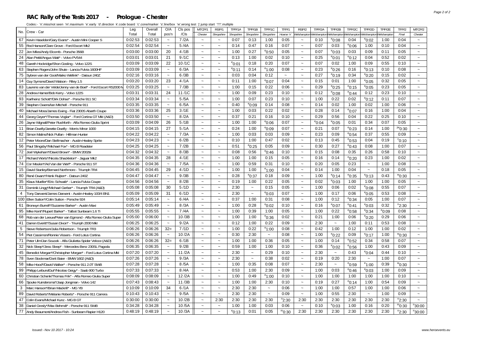#### **RAC Rally of the Tests 2017 - Prologue - Chester**

| No.            | Crew - Car                                                      | Leg     | Overall | O/A                       | CIs pos | MTCP/1                    | RSP/1                     | TPP/1A          | TPP/1B                | TPP/1C                | TFP/1                 | RSP/2                     | TPP/2A      | TPP/2B                | TPP/2C          | TPP/2D                | TPP/2E         | TFP/2                  | MTCP/2                |
|----------------|-----------------------------------------------------------------|---------|---------|---------------------------|---------|---------------------------|---------------------------|-----------------|-----------------------|-----------------------|-----------------------|---------------------------|-------------|-----------------------|-----------------|-----------------------|----------------|------------------------|-----------------------|
|                |                                                                 | Total   | Total   | pos'n                     | /CIs    | Chester                   | Shropshire                | Shropshire      | Shropshire            | Shropshire            | Hoarse 'n'            | /elshampton               | Velshampton | Welshampton           | Welshampton     | Welshampton           | Welshampto     | Final                  | Chester               |
| 67             | Kevin Haselden/Gary Evans* - Austin Mini Cooper S               | 0:02:53 | 0:02:53 | $\sim$                    | 7/2A    | $\sim$                    | $\tilde{\phantom{a}}$     | 0:07            | 0:13                  | 1:00                  | 0:05                  | $\tilde{\phantom{a}}$     | 0:10        | $^{\circ}$ 0:08       | 0:04            | $^{\circ}$ 0:02       | 1:00           | 0:04                   | $\tilde{\phantom{a}}$ |
| 55             | Rod Hanson/Clare Grove - Ford Escort Mk2                        | 0:02:54 | 0:02:54 | $\tilde{\phantom{a}}$     | 5/4A    | $\sim$                    | $\sim$                    | 0:14            | 0:47                  | 0:16                  | 0:07                  | $\tilde{\phantom{a}}$     | 0:07        | 0:03                  | $^{\circ}$ 0:06 | 1:00                  | 0:10           | 0:04                   | $\tilde{\phantom{a}}$ |
| 22             | Jon Miles/Andy Elcomb - Porsche 356B                            | 0:03:00 | 0:03:00 | 20                        | 4/1B    | $\tilde{\phantom{a}}$     | $\sim$                    | 1:00            | 0:27                  | $^{\rm e}$ 0:50       | 0:05                  | $\tilde{\phantom{a}}$     | 0:07        | $^{\circ}$ 0:03       | 0:03            | 0:09                  | 0:11           | 0:05                   | $\sim$                |
| 24             | Alan Pettit/Angus Watt* - Volvo PV544                           | 0:03:01 | 0:03:01 | 21                        | 9/1C    | $\sim$                    | $\sim$                    | 0:13            | 1:00                  | 0:02                  | 0:10                  | $\sim$                    | 0:25        | $^{\circ}$ 0:01       | $e$ 0:12        | 0:04                  | 0:52           | 0:02                   | $\sim$                |
| 48             | Gareth Hockridge/Shon Gosling - Volvo 122S                      | 0:03:09 | 0:03:09 | 22                        | 10/1C   | $\sim$                    | $\sim$                    | $^{\circ}$ 0:01 | 0:18                  | 0:20                  | 0:07                  | $\tilde{\phantom{a}}$     | 0:07        | 0:02                  | 1:00            | 0:09                  | 0:55           | 0:10                   | $\sim$                |
|                | 63 Stephen Rogers/John Shute - Lancia Fulvia 1600HF             | 0:03:09 | 0:03:09 | $\sim$                    | 6/3A    | $\sim$                    | $\sim$                    | $^{\circ}$ 0:11 | 0:14                  | $^{\circ}$ 1:00       | 0:08                  | $\tilde{\phantom{a}}$     | 0:23        | $^{\circ}$ 0:26       | 0:16            | $^{\circ}$ 0:13       | 0:10           | 0:08                   | $\sim$                |
| 75             | Sybren van der Goot/Maiko Wellink* - Datsun 240Z                | 0:02:16 | 0:03:16 | $\tilde{\phantom{a}}$     | 6/3B    | $\sim$                    | $\sim$                    | 0:03            | 0:04                  | 0:12                  | $\tilde{\phantom{a}}$ | $\tilde{\phantom{a}}$     | 0:27        | $^{\circ}$ 0:19       | 0:34            | $e_{0:20}$            | 0:15           | 0:02                   | $\sim$                |
|                | 14 Guy Symons/David Watson - Riley 1.5                          | 0:03:20 | 0:03:20 | 23                        | 4/1A    | $\sim$                    | $\tilde{\phantom{a}}$     | 0:11            | 1:00                  | $^{\circ}$ 0:07       | 0:04                  | $\tilde{\phantom{a}}$     | 0:15        | 0:01                  | 1:00            | $^{\circ}$ 0:05       | 0:32           | 0:05                   | $\sim$                |
| 83             | Laurens van der Velde/Jenny van de Boel* - Ford Escort RS2000 M | 0:03:25 | 0:03:25 | $\sim$                    | 7/3B    | $\sim$                    | $\sim$                    | 1:00            | 0:15                  | 0:22                  | 0:06                  | $\sim$                    | 0:29        | $^{\circ}$ 0:25       | $^{\circ}$ 0:15 | $^{\circ}$ 0:05       | 0:23           | 0:05                   | $\tilde{\phantom{a}}$ |
| 28             | Andrew Hamer/Bob Kerry - Volvo 122S                             | 0:03:31 | 0:03:31 | 24                        | 11/1C   | $\sim$                    | $\sim$                    | 1:00            | 0:09                  | 0:23                  | 0:10                  | $\tilde{\phantom{a}}$     | 0:12        | $^{\circ}$ 0:08       | $^{\circ}$ 0:44 | 0:12                  | 0:23           | 0:10                   | $\tilde{\phantom{a}}$ |
| 93             | Karlheinz Schott*/Dirk Dohse* - Porsche 911 SC                  | 0:03:34 | 0:03:34 | $\sim$                    | 5/5A    | $\sim$                    | $\sim$                    | 1:00            | 0:07                  | 0:23                  | 0:10                  | $\tilde{\phantom{a}}$     | 1:00        | 0:22                  | 0:02            | $e_{0:12}$            | 0:11           | 0:07                   | $\tilde{\phantom{a}}$ |
| 39             | Stephen Owens/Ian Mitchell - Porsche 911                        | 0:03:35 | 0:03:35 | $\sim$                    | 6/5A    | $\sim$                    | $\sim$                    | 0:40            | $^{\circ}$ 0:09       | 0:14                  | 0:08                  | $\tilde{\phantom{a}}$     | 0:14        | 0:02                  | 1:00            | 0:02                  | 1:00           | 0:06                   | $\sim$                |
| 40             | Michael Moss/James Ewing - Fiat 2300S Abarth Coupe              | 0:03:36 | 0:03:36 | 25                        | 3/1E    | $\ddot{\phantom{0}}$      | $\sim$                    | 1:00            | 0:03                  | 0:22                  | 0:02                  | $\tilde{\phantom{a}}$     | 0:28        | 0:14                  | $e_{0:07}$      | 0:16                  | 1:00           | 0:04                   | $\tilde{\phantom{a}}$ |
| 44             | Georg Geyer*/Thomas Voglar* - Ford Cortina GT MkI (A&D)         | 0:03:50 | 0:03:50 | $\tilde{\phantom{a}}$     | 8/2A    | $\sim$                    | $\tilde{\phantom{a}}$     | 0:37            | 0:21                  | 0:16                  | 0:10                  | $\tilde{\phantom{a}}$     | 0:29        | 0:56                  | 0:04            | 0:22                  | 0:25           | 0:10                   | $\tilde{\phantom{a}}$ |
| 26             | Jayne Wignall/Peter Rushforth - Alfa Romeo Giulia Sprint        | 0:03:09 | 0:04:09 | 26                        | 5/1B    | $\ddot{\phantom{0}}$      | $\tilde{}$                | 1:00            | 1:00                  | $e_{0:06}$            | 0:07                  | $\widetilde{\phantom{m}}$ | $e_{0:04}$  | $^{\circ}$ 0:05       | 0:01            | 0:34                  | 0:07           | 0:05                   | $\tilde{\phantom{a}}$ |
| 11             | Brian Dwelly/Janette Dwelly - Morris Minor 1000                 | 0:04:15 | 0:04:15 | 27                        | 5/1A    | $\sim$                    | $\sim$                    | 0:24            | 1:00                  | $^{\circ}$ 0:09       | 0:07                  | $\tilde{\phantom{a}}$     | 0:21        | 0:07                  | $^{\circ}$ 0:23 | 0:14                  | 1:00           | <sup>jw</sup> 0:30     | $\tilde{\phantom{a}}$ |
| 82             | Simon Malins/Nick Pullan - Hillman Hunter                       | 0:04:22 | 0:04:22 | $\sim$                    | 7/3A    | $\sim$                    | $\tilde{\phantom{a}}$     | 1:00            | 0:03                  | 0:03                  | 0:09                  | $\tilde{\phantom{a}}$     | 0:23        | 0:09                  | $^{\circ}$ 0:54 | 0:37                  | 0:55           | 0:09                   | $\tilde{\phantom{a}}$ |
| 12             | Peter Moore/Dan Stellmacher - Austin-Healey Sprite              | 0:04:23 | 0:04:23 | $\tilde{\phantom{a}}$     | 6/2B    | $\thicksim$               | $\widetilde{\phantom{m}}$ | 0:10            | 1:00                  | 0:47                  | 0:02                  | $\tilde{\phantom{a}}$     | 0:13        | 0:45                  | $^{\rm e}$ 0:53 | 0:04                  | 0:19           | °0:10                  | $\sim$                |
|                | 56 Paul Slingsby*/Michael Fox* - MG B Roadster                  | 0:04:25 | 0:04:25 | $\sim$                    | 7/2B    | $\sim$                    | $\sim$                    | 0:51            | $^{\circ}$ 0:25       | 0:05                  | 0:09                  | $\tilde{\phantom{a}}$     | 0:30        | 0:27                  | $^{\rm e}$ 0:43 | 0:08                  | 1:00           | 0:07                   | $\sim$                |
|                | 72 Joel Wykeham*/David Brown* - BMW 2002tii                     | 0:04:32 | 0:04:32 | $\tilde{\phantom{a}}$     | 8/3B    | $\sim$                    | $\tilde{\phantom{a}}$     | 0:08            | 0:56                  | $e$ 0:46              | 0:10                  | $\tilde{\phantom{a}}$     | 0:15        | 0:08                  | 0:35            | 0:26                  | 0:58           | 0:10                   | $\sim$                |
| 17             | Richard Worts*/Nicola Shackleton* - Jaquar Mk2                  | 0:04:35 | 0:04:35 | 28                        | 4/1E    | $\sim$                    | $\sim$                    | 1:00            | 1:00                  | 0:15                  | 0:05                  | $\tilde{\phantom{a}}$     | 0:16        | 0:14                  | $^{\circ}$ 0:20 | 0:23                  | 1:00           | 0:02                   | $\sim$                |
| 74             | Cor Meulen*/Ad Van der Werf* - Porsche 911 S1                   | 0:04:36 | 0:04:36 | $\tilde{\phantom{a}}$     | 7/5A    | $\sim$                    | $\sim$                    | 1:00            | 0:59                  | 0:31                  | 0:10                  | $\tilde{\phantom{a}}$     | 0:20        | 0:05                  | 0:23            | $\sim$                | 1:00           | 0:08                   | $\sim$                |
| 15             | David Stanley/Bernard Northmore - Triumph TR4                   | 0:04:45 | 0:04:45 | 29                        | 4/1D    | $\sim$                    | $\sim$                    | 1:00            | 1:00                  | $^{\circ}$ 1:00       | 0:04                  | $\tilde{\phantom{a}}$     | 0:14        | 1:00                  | 0:04            | $\sim$                | 0:18           | 0:05                   | $\sim$                |
| 80             | René Dwars*/Henk Ruijten* - Datsun 240Z                         | 0:04:47 | 0:04:47 | $\tilde{\phantom{a}}$     | 9/3B    | $\sim$                    | $\tilde{\phantom{a}}$     | 0:28            | $^{\circ}$ 0:37       | 0:18                  | 0:09                  | $\sim$                    | 1:00        | $^{\circ}$ 0:14       | $^{\circ}$ 0:35 | $^{\circ}$ 0:13       | 0:43           | $^{\rm w}$ 0:30        | $\sim$                |
| 35             | Klaus Mueller*/Eric Schwab* - Lancia Fulvia Coupe               | 0:04:56 | 0:04:56 | $\sim$                    | 8/2B    | $\sim$                    | $\sim$                    | 0:19            | 1:00                  | 0:22                  | 0:05                  | $\tilde{\phantom{a}}$     | 0:02        | $^{\circ}$ 0:03       | 1:00            | 1:00                  | 1:00           | 0:05                   | $\sim$                |
| 31             | Dominik Lingg*/Michael Gerber* - Triumph TR4 (A&D)              | 0:05:08 | 0:05:08 | 30                        | 5/1D    | $\tilde{\phantom{a}}$     | $\tilde{\phantom{a}}$     | 2:30            | $\tilde{\phantom{a}}$ | 0:15                  | 0:05                  | $\sim$                    | 1:00        | 0:06                  | 0:02            | $e_{0:08}$            | 0:55           | 0:07                   | $\tilde{\phantom{a}}$ |
| $\overline{4}$ | Tony Darwent/James Darwent - Austin-Healey 100/4 BN1            | 0:05:09 | 0:05:09 | 31                        | 6/1D    | $\sim$                    | $\sim$                    | 2:30            | $\tilde{\phantom{a}}$ | $^{\circ}$ 0:03       | 0:07                  | $\sim$                    | 1:00        | 0:17                  | 0:06            | $^{\rm e}$ 0:05       | 0:53           | 0:08                   | $\sim$                |
|                | 100 Ellen Sutton*/Colin Sutton - Porsche 924                    | 0:05:14 | 0:05:14 | $\tilde{\phantom{a}}$     | 6/4A    | $\tilde{}$                | $\tilde{}$                | 0:37            | 1:00                  | 0:31                  | 0:08                  | $\widetilde{\phantom{m}}$ | 1:00        | 0:12                  | $e_{0:34}$      | 0:05                  | 1:00           | 0:07                   | $\tilde{\phantom{a}}$ |
| 61             | Bronwyn Burrell*/Suzanne Barker* - Austin Maxi                  | 0:05:49 | 0:05:49 | $\tilde{\phantom{a}}$     | 8/3A    | $\tilde{\phantom{a}}$     | $\sim$                    | 1:00            | 0:28                  | $e_{0:02}$            | 0:10                  | $\tilde{\phantom{a}}$     | 0:16        | $e_{0:07}$            | $e_{0:41}$      | $^{\circ}$ 0:03       | 0:32           | $n_{2:30}$             | $\tilde{\phantom{a}}$ |
| 95             | Mike Kent*/Rupert Barker* - Talbot Sunbeam 1.6 Ti               | 0:05:55 | 0:05:55 | $\tilde{\phantom{a}}$     | 7/4A    | $\sim$                    | $\sim$                    | 1:00            | 0:39                  | 1:00                  | 0:05                  | $\sim$                    | 1:00        | 0:22                  | $^{\circ}$ 0:58 | $e_{0:34}$            | $^{\circ}0:09$ | 0:08                   | $\tilde{\phantom{a}}$ |
| 68             | Rob van der Leeuw/Peter van Egmond - Alfa Romeo Giulia Super    | 0:05:00 | 0:06:00 | $\sim$                    | 10/3B   | $\thicksim$               | $\widetilde{\phantom{m}}$ | 1:00            | 1:00                  | $e$ 0:36              | 0:02                  | $\tilde{\phantom{a}}$     | 0:21        | 1:00                  | 0:06            | $e_{0:20}$            | 0:29           | 0:06                   | $\tilde{\phantom{a}}$ |
| 41             | Darren Everitt*/Susan Dixon* - Triumph 2000 Mkl                 | 0:06:25 | 0:06:25 | $\sim$                    | 9/2A    | $\tilde{\phantom{a}}$     | $\tilde{\phantom{a}}$     | 0:12            | 1:00                  | 0:22                  | 0:09                  | $\tilde{\phantom{a}}$     | 2:30        | $\tilde{\phantom{a}}$ | 1:00            | 0:11                  | 0:53           | 0:08                   | $\tilde{\phantom{a}}$ |
| 5              | Steve Robertson/Julia Robertson - Triumph TR3                   | 0:06:26 | 0:06:26 | $32=$                     | 7/1D    | $\sim$                    | $\tilde{\phantom{a}}$     | 1:00            | 0:22                  | $^{\circ}1:00$        | 0:08                  | $\sim$                    | 0:42        | 1:00                  | 0:12            | 1:00                  | 1:00           | 0:02                   | $\tilde{\phantom{a}}$ |
| 54             | Piet Cassimon/Ronnie Vissers - Ford Lotus Cortina               | 0:06:26 | 0:06:26 | $\sim$                    | 10/2A   | $\tilde{\phantom{a}}$     | $\tilde{\phantom{a}}$     | 0:30            | 2:30                  | $\thicksim$           | 0:08                  | $\tilde{\phantom{a}}$     | 1:00        | $^{\circ}$ 0:22       | 0:09            | $e$ 0:17              | 1:00           | $^{\prime\prime}$ 0:30 | $\sim$                |
| 71             | Peter Ulm/Jan Soucek - Alfa Giulietta Spider Veloce (A&D)       | 0:06:26 | 0:06:26 | $32=$                     | 6/1B    | $\sim$                    | $\sim$                    | 1:00            | 1:00                  | 0:36                  | 0:05                  | $\tilde{\phantom{a}}$     | 1:00        | 0:14                  | $^{\circ}$ 0:52 | 0:34                  | 0:58           | 0:07                   | $\sim$                |
| 32             | Nick Sleep*/Jess Sleep* - Mercedes-Benz 230SL Pagoda            | 0:06:35 | 0:06:35 | $\sim$                    | 9/2B    | $\sim$                    | $\sim$                    | 0:59            | 1:00                  | 1:00                  | 0:10                  | $\tilde{\phantom{a}}$     | 0:36        | $^{\rm e}$ 0:02       | $^{\circ}$ 0:56 | 1:00                  | 0:43           | 0:09                   | $\sim$                |
| 45             | Benedict Morgan*/Christopher Morgan* - Ford Lotus Cortina MkI   | 0:07:20 | 0:07:20 | $\sim$                    | 11/2A   | $\sim$                    | $\sim$                    | 2:30            | $\sim$                | 0:29                  | 0:10                  | $\sim$                    | 2:30        | $\tilde{\phantom{a}}$ | 0:43            | $e_{0:04}$            | 0:44           | 0:10                   | $\sim$                |
| 78             | Sven Stockmar/Dorit Baier - BMW 1602 (A&D)                      | 0:07:26 | 0:07:26 | $\sim$                    | 9/3A    | $\sim$                    | $\sim$                    | 2:30            | $\sim$                | 0:38                  | 0:02                  | $\sim$                    | 0:19        | 0:20                  | 2:30            | $\sim$                | 1:00           | 0:07                   | $\sim$                |
| 58             | Mike Hood*/David Walker* - Porsche 911 2.0T SWB                 | 0:07:28 | 0:07:28 | $\tilde{\phantom{a}}$     | 8/5A    | $\sim$                    | $\sim$                    | 1:00            | 0:35                  | 0:08                  | 0:07                  | $\tilde{\phantom{a}}$     | 2:30        | $\tilde{\phantom{a}}$ | $^{\circ}$ 0:59 | $^{\circ}1:00$        | 0:39           | $W_{0:30}$             | $\tilde{\phantom{a}}$ |
| 99             | Philipp LeibundGut*/Nicolas Geigy* - Saab 900 Turbo             | 0:07:33 | 0:07:33 | $\tilde{\phantom{a}}$     | 8/4A    | $\sim$                    | $\sim$                    | 0:53            | 1:00                  | 2:30                  | 0:09                  | $\sim$                    | 1:00        | 0:03                  | $^{\circ}$ 0:46 | $^{\circ}$ 0:03       | 1:00           | 0:09                   | $\tilde{\phantom{a}}$ |
| 60             | Christian Schenk/Thomas Frik* - Alfa Romeo Giulia Super         | 0:08:09 | 0:08:09 | $\tilde{\phantom{a}}$     | 12/2A   | $\tilde{}$                | $\sim$                    | 1:00            | 0:49                  | $^{\circ}1:00$        | 0:10                  | $\tilde{}$                | 1:00        | 1:00                  | 1:00            | 1:00                  | 1:00           | 0:10                   | $\tilde{\phantom{a}}$ |
| 66             | Sjouke Kuindersma*/Jaap Jongman - Volvo 142                     | 0:07:43 | 0:08:43 | $\tilde{\phantom{a}}$     | 11/3B   | $\sim$                    | $\tilde{\phantom{a}}$     | 1:00            | 1:00                  | 2:30                  | 0:10                  | $\tilde{\phantom{a}}$     | 0:19        | 0:27                  | $e_{0:14}$      | 1:00                  | 0:54           | 0:09                   | $\tilde{\phantom{a}}$ |
| 3              | Marc Hanson*/Brian Mackrill* - MG YB                            | 0:10:09 | 0:10:09 | 34                        | 6/1A    | $\sim$                    | $\tilde{\phantom{a}}$     | 2:30            | 2:30                  | $\tilde{\phantom{a}}$ | 0:06                  | $\tilde{\phantom{a}}$     | 1:00        | 1:00                  | 0:57            | 1:00                  | 1:00           | 0:06                   | $\tilde{\phantom{a}}$ |
| 89             | David Roberts*/Melanie Roberts* - Porsche 911 Carrera           | 0:10:43 | 0:10:43 | $\tilde{\phantom{a}}$     | 9/5A    | $\sim$                    | $\sim$                    | 2:30            | 2:30                  | $\thicksim$           | 0:09                  | $\tilde{\phantom{a}}$     | 1:00        | 0:55                  | 2:30            | $\tilde{\phantom{a}}$ | 1:00           | 0:09                   | $\sim$                |
| 47             | Colin Evans/Michael Kunz - MG B GT                              | 0:30:00 | 0:30:00 | $\widetilde{\phantom{m}}$ | 10/2B   | $\widetilde{\phantom{m}}$ | 2:30                      | 2:30            | 2:30                  | 2:30                  | $n_{2:30}$            | 2:30                      | 2:30        | 2:30                  | 2:30            | 2:30                  | 2:30           | $n_{2:30}$             | $\tilde{\phantom{a}}$ |
|                | 38 Daniel Gresly*/Max Behrndt* - Porsche 911 SWB                | 0:34:28 | 0:34:28 | $\tilde{\phantom{a}}$     | 10/5A   | $\tilde{\phantom{a}}$     | $\tilde{\phantom{a}}$     | 1:00            | 1:00                  | 0:03                  | 0:06                  | $\tilde{\phantom{a}}$     | 0:10        | $^{\circ}$ 0:03       | 1:00            | 0:16                  | 0:20           | m <sub>0:30</sub>      | $n_{30:00}$           |
|                | 77 Andy Beaumont/Andrew Fish - Sunbeam Rapier H120              | 0:48:19 | 0:48:19 | $\tilde{\phantom{a}}$     | 10/3A   | $\sim$                    | $\sim$                    | $^{\circ}$ 0:13 | 0:01                  | 0:05                  | $m_{0:30}$            | 2:30                      | 2:30        | 2:30                  | 2:30            | 2:30                  | 2:30           | $n_{2:30}$             | $n_{30:00}$           |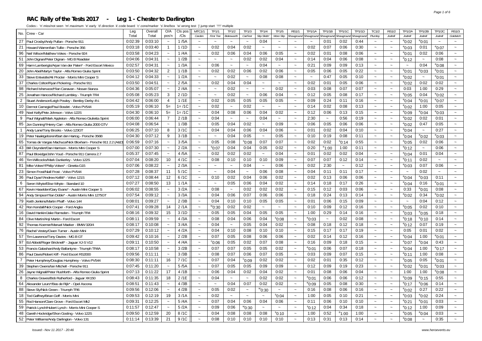#### **RAC Rally of the Tests 2017 - Leg 1 - Chester to Darlington**

|                                                                     | Leg     | Overall | O/A                   | CIs pos   | MTC1/1                    | TF1/1                 | TF1/2                     | TF1/3                     | TF1/4                 | TF1/5                 | <b>RS1/1</b>              | TP1/1A                          | <b>TP1/1B</b>         | <b>TP1/1C</b>         | <b>TP1/1D</b> | TC1/2                 | <b>RS1/2</b>              | TP1/2A                    | TP1/2B                | <b>TP1/2C</b>   | <b>RS1/3</b>              |
|---------------------------------------------------------------------|---------|---------|-----------------------|-----------|---------------------------|-----------------------|---------------------------|---------------------------|-----------------------|-----------------------|---------------------------|---------------------------------|-----------------------|-----------------------|---------------|-----------------------|---------------------------|---------------------------|-----------------------|-----------------|---------------------------|
| No. Crew - Car                                                      | Total   | Total   | pos'n                 | /Cls      | Carden                    | <b>First Tee</b>      | Bolesworth                | CarFest                   | <b>Slip Slidin</b>    | More Slip             |                           | Showground Showground Showgroun |                       | <b>Showground</b>     | Showground    | Plumley               | Jodrell                   | Jodrell                   | Jodrell               | Jodrell         | Goldsitch                 |
| 27 Paul Crosby/Andy Pullan - Porsche 911                            | 0:02:39 | 0:03:10 | $\sim$                | 1/5A      | $\sim$                    | $\sim$                |                           | $\sim$                    | 0:04                  |                       |                           |                                 | 0:01                  | 0:02                  | 0:44          | $\sim$                |                           | $^{\circ}$ 0:02           | $^{\rm e}$ 0:01       | $\sim$          |                           |
| 21<br>Howard Warren/Iain Tullie - Porsche 356                       | 0:03:18 | 0:03:40 | $\overline{1}$        | 1/1D      | $\sim$                    | 0:02                  | 0:04                      | 0:02                      | $\sim$                | $\sim$                | $\sim$                    | 0:02                            | 0:07                  | 0:06                  | 0:30          | $\sim$                | $\sim$                    | $^{\circ}$ 0:03           | 0:01                  | $^{\circ}$ 0:07 | $\sim$                    |
| 96<br>Neil Wilson/Matthew Vokes - Porsche 924                       | 0:03:58 | 0:04:23 | $\sim$                | 1/4A      | $\sim$                    | 0:02                  | 0:06                      | 0:04                      | 0:06                  | 0:05                  | $\sim$                    | 0:02                            | 0:01                  | 0:08                  | 0:06          | $\sim$                | $\sim$                    | $^{\circ}$ 0:01           | 0:02                  | 0:06            | $\sim$                    |
| 51<br>John Dignan/Peter Dignan - MG B Roadster                      | 0:04:06 | 0:04:31 | $\sim$                | 1/2B      | $\sim$                    | $\sim$                | $\widetilde{\phantom{m}}$ | 0:02                      | 0:02                  | 0:04                  | $\thicksim$               | 0:14                            | 0:04                  | 0:06                  | 0:08          | $\sim$                | $\tilde{}$                | $^{\circ}$ 0:12           | $\tilde{\phantom{a}}$ | 0:08            | $\sim$                    |
| 69<br>Harm Lamberigts/Arjan Van der Palen* - Ford Escort Mexico     | 0:02:57 | 0:04:31 | $\sim$                | 1/3A      | $\sim$                    | 0:06                  | $\sim$                    | $\sim$                    | 0:04                  | $\sim$                | $\sim$                    | 0:21                            | 0:09                  | 0:09                  | 0:13          | $\sim$                | $\sim$                    | $\sim$                    | 0:04                  | $^{\circ}$ 0:08 | $\sim$                    |
| 20<br>John Abel/Martyn Taylor - Alfa Romeo Giulia Sprint            | 0:03:50 | 0:04:32 | 2                     | 1/1B      | $\sim$                    | 0:02                  | 0:02                      | 0:06                      | 0:02                  | 0:06                  | $\tilde{\phantom{a}}$     | 0:05                            | 0:06                  | 0:05                  | 0:22          | $\sim$                | $\sim$                    | $^{\circ}$ 0:01           | $e_{0:03}$            | $^{\circ}$ 0:01 | $\sim$                    |
| 33<br>Steve Entwistle/Ali Procter - Morris Mini Cooper S            | 0:04:12 | 0:04:33 | $\sim$                | 1/2A      | $\sim$                    | $\sim$                | 0:02                      | $\sim$                    | 0:08                  | 0:08                  | $\sim$                    | $\sim$                          | 0:47                  | 0:05                  | 0:10          | $\sim$                | $\sim$                    | $^{\circ}$ 0:02           | $\tilde{\phantom{a}}$ | $^{\circ}$ 0:01 | $\sim$                    |
| 37<br>Charles Colton/Ryan Pickering - Porsche 911                   | 0:03:50 | 0:04:51 | $\sim$                | 2/5A      | $\sim$                    | 0:02                  | 0:04                      | 0:04                      | $\tilde{\phantom{a}}$ | $\tilde{\phantom{a}}$ | $\tilde{\phantom{a}}$     | 0:02                            | 0:01                  | 0:05                  | 0:06          | $\sim$                | $\ddot{\phantom{0}}$      | $^{\circ}$ 0:02           | 0:02                  | 0:02            | $\sim$                    |
| 98<br>Richard Isherwood*/lan Canavan - Nissan Stanza                | 0:04:36 | 0:05:07 | $\tilde{\phantom{a}}$ | 2/4A      | $\sim$                    | $\sim$                | 0:02                      | $\sim$                    | $\sim$                | 0:02                  | $\widetilde{\phantom{m}}$ | 0:03                            | 0:08                  | 0:07                  | 0:07          | $\sim$                | $\tilde{\phantom{a}}$     | 0:03                      | 1:00                  | 0:29            | $\thicksim$               |
| 25<br>Jonathan Hancox/Richard Lambley - Triumph TR4                 | 0:05:08 | 0:05:23 | 3                     | 2/1D      | $\sim$                    | $\sim$                | 0:02                      | $\tilde{\phantom{a}}$     | 0:06                  | 0:04                  | $\tilde{\phantom{a}}$     | 0:12                            | 0:05                  | 0:08                  | 0:17          | $\sim$                |                           | $^{\circ}$ 0:05           | 0:04                  | $^{\circ}$ 0:02 | $\thicksim$               |
| $\overline{2}$<br>Stuart Anderson/Leigh Powley - Bentley Derby 41/4 | 0:04:42 | 0:06:00 | $\overline{4}$        | 1/1E      | $\tilde{\phantom{a}}$     | 0:02                  | 0:05                      | 0:05                      | 0:05                  | 0:05                  | $\tilde{\phantom{a}}$     | 0:09                            | 0:24                  | 0:11                  | 0:16          | $\sim$                | $\tilde{}$                | $^{\circ}$ 0:04           | $^{\rm e}$ 0:01       | $^{\circ}$ 0:07 | $\thicksim$               |
| Dermot Carnegie/Paul Bosdet - Volvo PV544<br>10                     | 0:05:19 | 0:06:10 | $5=$                  | $1 = /10$ | $\sim$                    | 0:02                  | $\tilde{}$                | 0:02                      | $\tilde{\phantom{a}}$ | $\sim$                | $\tilde{\phantom{a}}$     | 0:14                            | 0:02                  | 0:08                  | 0:13          | $\sim$                | $\tilde{\phantom{a}}$     | $^{\circ}$ 0:02           | 1:00                  | 0:05            | $\sim$                    |
| 49<br>Noel Kelly/Pete Johnson - Volvo 122S                          | 0:04:30 | 0:06:10 | $5=$                  | $1 = /10$ | $\tilde{\phantom{a}}$     | 0:04                  | 0:08                      | 0:06                      | 0:04                  | 0:02                  | $\tilde{\phantom{a}}$     | 0:12                            | 0:06                  | 0:13                  | 0:15          | $\sim$                | $\sim$                    | $^{\rm e}0:09$            | $^{\circ}$ 0:04       | $^{\circ}$ 0:03 | $\sim$                    |
| 9<br>Paul Wignall/Mark Appleton - Alfa Romeo Giulietta Sprint       | 0:06:00 | 0:06:44 | $\overline{7}$        | 2/1B      | $\sim$                    | 0:04                  | $\thicksim$               | $\sim$                    | 0:04                  | $\tilde{}$            | $\tilde{\phantom{a}}$     | 2:30                            | $\tilde{\phantom{a}}$ | 0:56                  | 0:19          | $\sim$                | $\tilde{\phantom{a}}$     | $^{\circ}$ 0:02           | 0:02                  | 0:01            | $\sim$                    |
| 85<br>Jon Dunning*/Henry Carr - Alfa Romeo Giulia 2000 GTV          | 0:04:08 | 0:06:54 | $\sim$                | 1/3B      | $\sim$                    | 0:05                  | 0:04                      | 0:02                      | $\tilde{\phantom{a}}$ | 0:09                  | $\tilde{\phantom{a}}$     | 0:06                            | 0:05                  | 0:06                  | 0:06          | $\sim$                | $\sim$                    | $^{\rm e}$ 0:02           | 0:47                  | 0:05            | $\tilde{\phantom{a}}$     |
| $\mathbf{1}$<br>Andy Lane/Tony Brooks - Volvo 123GT                 | 0:06:25 | 0:07:10 | 8                     | 3/1C      | $\sim$                    | 0:04                  | 0:04                      | 0:06                      | 0:04                  | 0:06                  | $\thicksim$               | 0:01                            | 0:02                  | 0:04                  | 0:10          | $\sim$                | $\tilde{\phantom{a}}$     | $^{\circ}$ 0:04           | $\sim$                | 0:27            | $\sim$                    |
| 19 Peter Naaktgeboren/Bart den Hartog - Porsche 356B                | 0:04:30 | 0:07:12 | 9                     | 3/1B      | $\tilde{\phantom{a}}$     | $\tilde{\phantom{a}}$ | 0:04                      | 0:05                      | $\tilde{\phantom{a}}$ | 0:05                  | $\sim$                    | 0:10                            | 0:19                  | 0:08                  | 0:11          | $\sim$                | $\sim$                    | $^{\circ}$ 0:04           | °0:02                 | $^{\circ}$ 0:03 | $\sim$                    |
| 65<br>Tomas de Vargas Machuca/Nick Bloxham - Porsche 911 2.2 (A&D   | 0:06:59 | 0:07:16 | $\sim$                | 3/5A      | $\sim$                    | 0:05                  | 0:08                      | $^{\circ}0:08$            | 0:07                  | 0:07                  | $\tilde{\phantom{a}}$     | 0:02                            | 0:02                  | $^{\rm s}$ 0:14       | 0:55          | $\tilde{\phantom{a}}$ |                           | $^{\circ}$ 0:05           | 0:02                  | 0:06            | $\tilde{\phantom{a}}$     |
| 43<br>Bill Cleyndert/Dan Harrison - Morris Mini Cooper S            | 0:07:00 | 0:07:30 | $\sim$                | 2/2A      | $\sim$                    | $^{\circ}$ 0:07       | 0:04                      | 0:04                      | 0:05                  | 0:02                  | $\tilde{\phantom{a}}$     | 0:20                            | $^{\circ}$ 1:00       | 1:00                  | 0:11          | $\sim$                |                           | $^{\circ}$ 0:12           | $\sim$                | 0:06            | $\sim$                    |
| 87<br>Paul Bloxidge/John Youd - Porsche 911 Carrera 2.7             | 0:05:37 | 0:07:45 | $\sim$                | 4/5A      | $\sim$                    | 0:02                  | 0:02                      | 0:02                      | $\tilde{\phantom{a}}$ | 0:04                  | $\tilde{\phantom{a}}$     | 0:01                            | 0:02                  | 0:02                  | 0:04          | $\thicksim$           | $\tilde{\phantom{a}}$     | $^{\circ}$ 0:04           | 0:01                  | 0:04            | $\tilde{\phantom{a}}$     |
| 46<br>Tim Willcocks/Mark Dunkerley - Volvo 122S                     | 0:07:04 | 0:08:20 | 10                    | 4/1C      | $\sim$                    | 0:08                  | 0:10                      | 0:10                      | 0:10                  | 0:09                  | $\widetilde{\phantom{m}}$ | 0:07                            | 0:07                  | 0:12                  | 0:14          | $\sim$                | $\sim$                    | $^{\circ}$ 0:11           | 0:02                  |                 | $\sim$                    |
| 81<br>Mike Vokes*/Philip Vokes* - Ginetta G15                       | 0:07:06 | 0:08:22 | $\sim$                | 2/3A      | $\sim$                    | $\sim$                | $\sim$                    | 0:04                      | $\tilde{\phantom{a}}$ | 0:06                  | $\sim$                    | 0:02                            | 2:30                  | $\tilde{\phantom{a}}$ | 0:12          | $\thicksim$           | $\tilde{\phantom{a}}$     | $^{\circ}$ 0:03           | 0:07                  | 0:06            | $\tilde{\phantom{a}}$     |
| 23<br>Simon Frost/Niall Frost - Volvo PV544                         | 0:07:28 | 0:08:37 | 11                    | 5/1C      | $\tilde{\phantom{a}}$     | $\sim$                | 0:04                      | $\sim$                    | 0:06                  | 0:08                  | $\tilde{\phantom{a}}$     | 0:04                            | 0:11                  | 0:11                  | 0:17          | $\sim$                | $\sim$                    | $\tilde{\phantom{a}}$     | 0:02                  | $\sim$          | $\sim$                    |
| 36<br>Paul Dyas*/Andrew Kellitt* - Volvo 121S                       | 0:07:12 | 0:08:44 | 12                    | 6/1C      | $\sim$                    | 0:10                  | 0:02                      | 0:04                      | 0:06                  | 0:02                  | $\sim$                    | 0:02                            | 0:13                  | 0:06                  | 0:06          | $\sim$                | $\sim$                    | $^{\circ}$ 0:04           | $^{\circ}$ 0:03       | 0:11            | $\sim$                    |
| 6<br>Seren Whyte/Elise Whyte - Standard 10                          | 0:07:27 | 0:08:50 | 13                    | 1/1A      | $\sim$                    | $\tilde{\phantom{a}}$ | 0:05                      | 0:06                      | 0:04                  | 0:02                  | $\widetilde{\phantom{m}}$ | 0:14                            | 0:18                  | 0:17                  | 0:26          | $\sim$                | $\sim$                    | $^{\circ}$ 0:04           | 0:16                  | $^{\circ}$ 0:01 | $\sim$                    |
| 67 Kevin Haselden/Gary Evans* - Austin Mini Cooper S                | 0:06:02 | 0:08:55 | $\tilde{\phantom{a}}$ | 3/2A      | $\widetilde{\phantom{m}}$ | 0:08                  | $\tilde{\phantom{a}}$     | 0:02                      | 0:02                  | 0:02                  | $\widetilde{\phantom{m}}$ | 0:15                            | 0:12                  | 0:03                  | 0:06          | $\sim$                | $\sim$                    | 0:33                      | °0:01                 | 0:08            | $\thicksim$               |
| 94<br>Andy Simpson*/lan Doble* - Austin Morris Mini 1275GT          | 0:07:54 | 0:09:12 | $\sim$                | 3/3A      | $\tilde{\phantom{a}}$     | 0:04                  | 0:06                      | 0:07                      | 0:06                  | 0:06                  | $\thicksim$               | 0:18                            | 0:24                  | 0:13                  | 0:14          | $\thicksim$           | $\sim$                    | $^{\circ}$ 0:02           | 0:34                  | $^{\circ}$ 0:02 | $\sim$                    |
| 79 Keith Jenkins/Martin Phaff - Volvo 144                           | 0:08:01 | 0:09:27 | $\sim$                | 2/3B      | $\widetilde{\phantom{m}}$ | 0:04                  | 0:10                      | 0:10                      | 0:05                  | 0:05                  | $\widetilde{\phantom{m}}$ | 0:01                            | 0:06                  | 0:15                  | 0:09          | $\sim$                | $\sim$                    | $\widetilde{\phantom{m}}$ | 0:04                  | 0:12            | $\widetilde{\phantom{m}}$ |
| 42 Ron Kendall/Nick Cooper - Ford Anglia                            | 0:07:41 | 0:09:28 | 14                    | 2/1A      | $\widetilde{\phantom{m}}$ | ™0:30                 | 0:02                      | 0:02                      | $\sim$                | $\sim$                | $\sim$                    | 0:10                            | 0:09                  | 0:12                  | 0:16          | $\sim$                | $\sim$                    | $^{\circ}$ 0:05           | 0:02                  | 0:10            | $\sim$                    |
| 16   David Hankin/Jake Ramsden - Triumph TR4                        | 0:08:16 | 0:09:32 | 15                    | 3/1D      | $\sim$                    | 0:05                  | 0:05                      | 0:04                      | 0:05                  | 0:05                  | $\sim$                    | 1:00                            | 0:29                  | 0:14                  | 0:16          | $\sim$                | $\sim$                    | $^{\circ}$ 0:03           | $^{\circ}$ 0:05       | 0:18            | $\sim$                    |
| 84 Clive Martin/Anji Martin - Ford Escort                           | 0:08:11 | 0:09:59 | $\sim$                | 4/3A      | $\widetilde{\phantom{m}}$ | 0:08                  | 0:04                      | 0:06                      | 0:04                  | $^{\rm s}$ 0:08       | $\sim$                    | $^{\circ}$ 0:03                 | $\tilde{\phantom{a}}$ | 0:02                  | 0:08          | $\sim$                | $\sim$                    | $^{\circ}$ 0:18           | $^{\circ}$ 0:10       | 0:14            | $\sim$                    |
| 92<br>Thomas Koerner/Manuel Maeker - BMW 320/4                      | 0:08:17 | 0:10:08 | $\sim$                | 3/4A      | $\tilde{\phantom{a}}$     | 0:04                  | $\sim$                    | 0:05                      | 0:04                  | 0:02                  | $\sim$                    | 0:08                            | 0:18                  | 0:12                  | 0:18          | $\sim$                | $\tilde{\phantom{a}}$     | $^{\circ}$ 0:12           | 0:07                  | 0:19            | $\sim$                    |
| 76 Rachel Vestey/Owen Turner - Austin Mini                          | 0:07:29 | 0:10:12 | $\sim$                | 4/2A      | $\sim$                    | 0:04                  | 0:10                      | 0:08                      | 0:10                  | 0:10                  | $\sim$                    | 0:15                            | 0:17                  | 0:17                  | 0:19          | $\sim$                | $\sim$                    | 0:05                      | 0:01                  | 0:02            | $\sim$                    |
| 57 Tim Lawrence/Tony Davies - MG B GT                               | 0:09:42 | 0:10:16 | $\sim$                | 2/2B      | $\sim$                    | 0:07                  | 0:05                      | 0:08                      | 0:06                  | 0:06                  | $\widetilde{\phantom{m}}$ | 0:02                            | 0:14                  | 0:12                  | 0:16          | $\sim$                | $\sim$                    | $^{\circ}$ 0:04           | 1:00                  | $^{\circ}$ 0:01 | $\sim$                    |
| 97 Ed Abbott/Roger Bricknell* - Jaquar XJ-S V12                     | 0:09:11 | 0:10:50 | $\sim$                | 4/4A      | $\tilde{\phantom{a}}$     | $0:0^\circ$           | 0:05                      | 0:02                      | 0:07                  | 0:08                  | $\widetilde{\phantom{m}}$ | 0:16                            | 0:09                  | 0:18                  | 0:15          | $\sim$                | $\tilde{}$                | $^{\circ}$ 0:07           | $^{\circ}$ 0:04       | 0:43            | $\sim$                    |
| 53 Francis Galashan/Andy Ballantyne - Triumph TR4A                  | 0:08:17 | 0:10:58 | $\sim$                | 3/2B      | $\sim$                    | 0:07                  | 0:07                      | 0:05                      | 0:05                  | 0:02                  | $\sim$                    | $^{\rm e}$ 0:01                 | 0:06                  | 0:07                  | 0:18          | $\sim$                | $\sim$                    | $^{\circ}$ 0:04           | 1:00                  | $^{\circ}$ 0:17 | $\sim$                    |
| 86 Paul Davis/Robert Kiff - Ford Escort RS2000                      | 0:09:56 | 0:11:11 | $\sim$                | 3/3B      | $\tilde{\phantom{a}}$     | 0:08                  | 0:07                      | 0:06                      | 0:07                  | 0:05                  | $\thicksim$               | 0:03                            | 0:09                  | 0:07                  | 0:15          | $\sim$                | $\tilde{\phantom{a}}$     | $^{\circ}$ 0:11           | 1:00                  | 0:08            | $\sim$                    |
| $\overline{7}$<br>Peter Humphrey/Douglas Humphrey - Volvo PV544     | 0:08:30 | 0:11:11 | 16                    | 7/1C      | $\sim$                    | 0:07                  | 0:04                      | °0:09                     | 0:02                  | 0:02                  | $\sim$                    | 0:02                            | 0:01                  | 0:35                  | 0:12          | $\sim$                | $\sim$                    | $^{\circ}$ 0:05           | 0:05                  | $^{\circ}$ 0:01 | $\sim$                    |
| 39 Stephen Owens/Ian Mitchell - Porsche 911                         | 0:07:45 | 0:11:20 | $\sim$                | 5/5A      | $\tilde{\phantom{a}}$     | 0:07                  | 0:05                      | 0:05                      | 0:09                  | 0:09                  | $\sim$                    | 0:12                            | 0:09                  | 0:19                  | 0:23          | $\sim$                | $\tilde{\phantom{a}}$     | $^{\circ}$ 0:02           | $^{\rm e}$ 0:01       | $^{\circ}0:03$  | $\sim$                    |
| 26 Jayne Wignall/Peter Rushforth - Alfa Romeo Giulia Sprint         | 0:07:13 | 0:11:22 | 17                    | 4/1B      | $\sim$                    | 0:06                  | 0:04                      | 0:02                      | 0:04                  | 0:02                  | $\sim$                    | 0:01                            | 0:08                  | 0:06                  | 0:04          | $\sim$                | $\sim$                    | 1:00                      | 1:00                  | $^{\circ}0:08$  | $\sim$                    |
| 8<br>Charles Graves/Bob Rutherford - Jaguar XK150                   | 0:08:43 | 0:11:35 | 18                    | 2/1E      | $\tilde{\phantom{a}}$     | 0:04                  | $\sim$                    | $\tilde{\phantom{a}}$     | 0:02                  | 0:02                  | $\sim$                    | $^{\circ}$ 0:01                 | 0:06                  | 0:06                  | 0:12          | $\sim$                | $\widetilde{\phantom{m}}$ | $^{\circ}0.09$            | $^{\circ}$ 0:15       | 0:55            | $\sim$                    |
| 64 Alexander Leurs*/Bas de Rijk* - Opel Ascona                      | 0:08:51 | 0:11:43 | $\sim$                | 4/3B      | $\tilde{\phantom{a}}$     | $\tilde{\phantom{a}}$ | 0:04                      | 0:07                      | 0:02                  | 0:02                  | $\tilde{\phantom{a}}$     | $^{\circ}$ 0:09                 | 0:05                  | 0:08                  | 0:30          | $\sim$                | $\tilde{\phantom{a}}$     | $^{\rm e}$ 0:17           | 0.06                  | 0:14            | $\sim$                    |
| 88 Steve Sly/Nick Green - Triumph TR6                               | 0:09:56 | 0:12:06 | $\sim$                | 4/2B      | $\widetilde{\phantom{m}}$ | 0:05                  | 0:02                      | $\thicksim$               | °0:30                 | $\tilde{\phantom{a}}$ | $\thicksim$               | 0:16                            | 0:08                  | 0:06                  | 0:16          | $\sim$                | $\sim$                    | $^{\circ}$ 0:02           | 0:27                  | 0:22            | $\sim$                    |
| 18   Ted Gaffney/Brian Goff - Morris Mini                           | 0:09:53 | 0:12:19 | 19                    | 3/1A      | $\tilde{\phantom{a}}$     | 0:02                  | $\sim$                    | $\widetilde{\phantom{m}}$ | $\tilde{\phantom{a}}$ | $^{\circ}$ 0:04       | $\thicksim$               | 1:00                            | 0:05                  | 0:10                  | 0:21          | $\sim$                | $\sim$                    | $^{\circ}$ 0:03           | $^{\circ}$ 0:02       | 0:24            | $\sim$                    |
| 55 Rod Hanson/Clare Grove - Ford Escort Mk2                         | 0:09:31 | 0:12:25 | $\sim$                | 5/4A      | $\widetilde{\phantom{m}}$ | 0:07                  | 0:04                      | 0:06                      | 0:04                  | 0:06                  | $\thicksim$               | 0:11                            | 0:06                  | 0:10                  | 0:10          | $\sim$                | $\sim$                    | $^{\circ}$ 0:21           | $^{\circ}$ 0:01       | 0:03            | $\sim$                    |
| 59 Patrick Lynch/Hubert Lynch - Morris Mini Cooper S                | 0:11:57 | 0:12:47 | $\sim$                | 5/2A      | $\sim$                    | 0:09                  | 0:06                      | W0:30                     | $\sim$                | $\tilde{\phantom{a}}$ | $\widetilde{\phantom{m}}$ | $^{\rm s}$ 0:12                 | 0:04                  | 0:34                  | 0:18          | $\sim$                | $\sim$                    | $^{\circ}$ 0:12           | 1:00                  | 0:09            | $\sim$                    |
| 48 Gareth Hockridge/Shon Gosling - Volvo 122S                       | 0:09:50 | 0:12:59 | 20                    | 8/1C      | $\sim$                    | 0:04                  | 0:08                      | 0:08                      | 0:08                  | $^{\circ}$ 0:10       | $\widetilde{\phantom{m}}$ | 1:00                            | 0:52                  | $^{\circ}$ 1:00       | 1:00          | $\sim$                | $\ddot{\phantom{0}}$      | $^{\rm e}0:05$            | $^{\circ}$ 0:04       | 0:03            | $\sim$                    |
| 52 Peter Williams/Andy Darlington - Volvo 131                       | 0:11:14 | 0:13:39 | 21                    | 9/1C      | $\sim$                    | 0:08                  | 0:10                      | 0:10                      | 0:10                  | 0:10                  | $\sim$                    | 0:13                            | 0:31                  | 0:13                  | 0:14          | $\sim$                |                           | $^{\circ}$ 0:08           | $\sim$                | 0:35            |                           |
|                                                                     |         |         |                       |           |                           |                       |                           |                           |                       |                       |                           |                                 |                       |                       |               |                       |                           |                           |                       |                 |                           |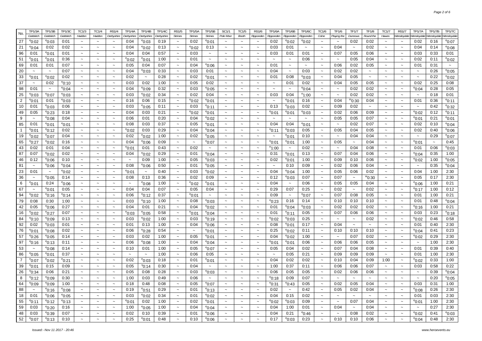| No.                  | TP1/3A                    | TP1/3B                               | <b>TP1/3C</b>           | TC1/3                 | TC1/4                     | <b>RS1/4</b>              | <b>TP1/4A</b>         | TP1/4B                  | TP1/4C       | <b>RS1/5</b>                    | <b>TP1/5A</b>           | <b>TP1/5B</b>                      | <b>SC1/1</b>              | TC1/5                                          | <b>RS1/6</b>              | <b>TP1/6A</b>             | TP1/6B                    | TP1/6C                | TC1/6                           | TF1/6                     | TF1/7                 | <b>TF1/8</b>          | TC1/7                     | <b>RS1/7</b>              | <b>TP1/7A</b>                 | <b>TP1/7B</b>         | TP1/7C                             |
|----------------------|---------------------------|--------------------------------------|-------------------------|-----------------------|---------------------------|---------------------------|-----------------------|-------------------------|--------------|---------------------------------|-------------------------|------------------------------------|---------------------------|------------------------------------------------|---------------------------|---------------------------|---------------------------|-----------------------|---------------------------------|---------------------------|-----------------------|-----------------------|---------------------------|---------------------------|-------------------------------|-----------------------|------------------------------------|
|                      | Goldsitch                 | Goldsitch                            | Goldsitch               | Haddon                | Haddon                    | Derbyshire                | Derbyshire            | Derbyshire              | Derbyshire   | <b>Strines</b>                  | <b>Strines</b>          | <b>Strines</b>                     | Pole Moor                 | <b>Booth</b>                                   | Ripponden                 | Ripponden                 | Ripponden                 | Ripponden             | Colne                           | Playing the               | Dunnows               | Round the             | Hawes                     | Vensleydale Wensleydalı   |                               | Wensleydai            | Vensleydal                         |
| 27                   | $^{\circ}$ 0:02           | $^{\rm e}$ 0:03                      | 0:01                    |                       |                           |                           | 0:04                  | $^{\circ}$ 0:03         | 0:19         | $\tilde{}$                      | 0:02                    | $^{\rm e}$ 0:01                    |                           |                                                |                           | 0:02                      | °0:02                     | °0:02                 |                                 | $\tilde{\phantom{a}}$     | 0:02                  | 0:02                  |                           |                           | 0:02                          | 0:16                  | $^{\rm e}$ 0:07                    |
| 21                   | °0:04                     | 0:02                                 | 0:02                    | $\tilde{\phantom{a}}$ |                           | $\tilde{\phantom{a}}$     | 0:04                  | $^{\rm e}$ 0:02         | 0:13         | $\widetilde{\phantom{m}}$       | $^{\circ}$ 0:02         | 0:13                               | $\tilde{}$                | $\tilde{\phantom{a}}$                          |                           | 0:03                      | 0:01                      | $\tilde{\phantom{a}}$ | $\tilde{\phantom{a}}$           | 0:04                      | $\tilde{\phantom{a}}$ | 0:02                  | $\tilde{\phantom{a}}$     | $\tilde{}$                | 0:04                          | 0:14                  | $^{\circ}$ 0:08                    |
| 96                   | 0:01                      | °0:01                                | 0:01                    | $\tilde{\phantom{a}}$ | $\sim$                    | $\tilde{\phantom{a}}$     | 0:04                  | 0:04                    | 0:57         | $\widetilde{\phantom{m}}$       | 0:03                    | $\tilde{\phantom{a}}$              |                           | $\tilde{\phantom{a}}$                          |                           | 0:03                      | 0:01                      | 0:01                  | $\tilde{\phantom{a}}$           | 0:07                      | 0:05                  | 0:06                  | $\tilde{}$                | $\sim$                    | 0:03                          | 0:33                  | 0:01                               |
| 51                   | °0:01                     | °0:01                                | 0:36                    | $\sim$                | $\tilde{\phantom{a}}$     | $\widetilde{\phantom{m}}$ | $^{\rm e}$ 0:02       | $^{\rm e}$ 0:01         | 1:00         | $\tilde{\phantom{a}}$           | 0:01                    | $\widetilde{\phantom{m}}$          |                           | $\widetilde{\phantom{m}}$                      |                           |                           | $\widetilde{\phantom{m}}$ | 0:06                  | $\tilde{}$                      | $\thicksim$               | 0:05                  | 0:04                  | $\sim$                    |                           | 0:02                          | 0:11                  | $^{\rm e}$ 0:02                    |
| 69                   | 0:01                      | 0:01                                 | 0:07                    | $\tilde{\phantom{a}}$ | $\tilde{}$                | $\thicksim$               | 0:05                  | 0:04                    | 0:07         | $\tilde{\phantom{a}}$           | 0:04                    | $e_{0:06}$                         |                           | $\tilde{\phantom{a}}$                          |                           | 0:01                      | $\tilde{\phantom{a}}$     | $\tilde{\phantom{a}}$ | $\tilde{\phantom{a}}$           | 0:06                      | 0:02                  | 0:05                  | $\tilde{}$                | $\ddot{\phantom{0}}$      | 0:01                          | 0:31                  | $\tilde{\phantom{a}}$              |
| 20                   | $\tilde{\phantom{a}}$     | $\tilde{\phantom{a}}$                | 0:07                    |                       |                           | $\tilde{\phantom{a}}$     | 0:04                  | $^{\rm e}$ 0:03         | 0:33         | $\widetilde{\phantom{m}}$       | 0:03                    | 0:01                               |                           | $\tilde{\phantom{a}}$                          |                           | 0:04                      | $\tilde{\phantom{a}}$     | 0:03                  | $\tilde{\phantom{a}}$           | 0:02                      | 0:02                  | $\thicksim$           | $\tilde{}$                |                           | $\tilde{\phantom{a}}$         | 0:26                  | $^{\circ}$ 0:05                    |
| 33                   | $^{\circ}$ 0:01           | $e_{0:02}$                           | 0:02                    | $\sim$                | $\sim$                    | $\sim$                    | 0:02                  | $\sim$                  | 0:28         | $\tilde{\phantom{a}}$           | 0:02                    | $^{\rm e}$ 0:01                    |                           | $\sim$                                         |                           | 0:01                      | 0:08                      | $^{\circ}$ 0:03       | $\sim$                          | 0:04                      | 0:05                  | $\sim$                | $\sim$                    | $\sim$                    | $\sim$                        | 0:22                  | $e_{0:02}$                         |
| 37                   | $\tilde{\phantom{a}}$     | 0:02                                 | $^{\circ}$ 0:10         | $\tilde{\phantom{a}}$ | $\tilde{\phantom{a}}$     | $\thicksim$               | 0:03                  | 0:02                    | 1:00         | $\tilde{\phantom{a}}$           | 0:05                    | 0:02                               |                           | $\tilde{\phantom{a}}$                          |                           | $\tilde{\phantom{a}}$     | 0:01                      | 0:02                  | $\widetilde{\phantom{m}}$       | 0:04                      | 0:05                  | 0:05                  | $\widetilde{\phantom{m}}$ | $\tilde{\phantom{a}}$     | 0:02                          | 0:25                  | 0:08                               |
| 98                   | 0:01                      | $\thicksim$                          | $^{\rm e}$ 0:04         | $\sim$                | $\sim$                    | $\tilde{\phantom{a}}$     | 0:04                  | $^{\circ}$ 0:09         | 0:32         | $\tilde{\phantom{a}}$           | 0:03                    | $^{\circ}$ 0:05                    |                           | $\tilde{\phantom{a}}$                          |                           |                           | $\tilde{\phantom{a}}$     | $^{\circ}$ 0:04       |                                 | $\thicksim$               | 0:02                  | 0:02                  | $\tilde{}$                | $\tilde{}$                | $^{\circ}$ 0:04               | 0:28                  | 0:05                               |
| 25<br>$\overline{2}$ | $^{\circ}$ 0:03           | $^{\rm e}$ 0:07                      | $^{\circ}$ 0:03         | $\tilde{\phantom{a}}$ | $\sim$                    | $\thicksim$<br>$\sim$     | 0:03<br>0:16          | $^{\circ}$ 0:02         | 0:34         | $\tilde{\phantom{a}}$<br>$\sim$ | 0:02                    | 0:04                               |                           | $\tilde{\phantom{a}}$<br>$\tilde{\phantom{a}}$ | $\sim$                    | 0:03<br>$\sim$            | 0:04                      | $^{\circ}$ 1:00       | $\sim$<br>$\tilde{\phantom{a}}$ | $\sim$<br>0:04            | 0:02                  | 0:02                  | $\sim$<br>$\sim$          | $\sim$<br>$\sim$          | $\sim$                        | 0:18<br>0:36          | 0:01                               |
| 10                   | $^{\circ}$ 0:01<br>0:01   | 0:01                                 | $^{\circ}$ 0:03<br>0:06 | $\tilde{\phantom{a}}$ | $\tilde{\phantom{a}}$     | $\sim$                    | 0:03                  | 0:06                    | 0:15<br>0:11 | $\tilde{\phantom{a}}$           | $^{\circ}$ 0:02<br>0:03 | $^{\circ}$ 0:01                    |                           | $\tilde{\phantom{a}}$                          | $\tilde{}$                | 0:13                      | $^{\rm e}$ 0:01           | 0:16<br>0:02          | $\tilde{\phantom{a}}$           | 0:09                      | m0:30<br>0:02         | 0:04<br>$\sim$        | $\sim$                    | $\sim$                    | 0:01<br>$\tilde{\phantom{a}}$ | 0:42                  | <sup>e</sup> 0:11                  |
| 49                   | 0:05                      | $^{\circ}$ 0:03<br><sup>e</sup> 0:23 | 0:18                    | $\sim$                | $\sim$                    | $\thicksim$               | 0:04                  | $^{\circ}$ 0:05<br>0:03 | 0:21         | $\tilde{}$                      | $^{\circ}$ 0:02         | $^{\circ}$ 0:11                    |                           | $\tilde{\phantom{a}}$                          |                           |                           | °0:03                     |                       | $\sim$                          | 0:02                      | 0:06                  | 0:09                  | $\sim$                    | $\sim$                    | $^{\circ}$ 0:02               | 0:12                  | $^{\circ}$ 0:32                    |
| 9                    | $\sim$                    | 0.08                                 | 0:04                    | $\sim$                | $\sim$                    | $\sim$                    | 0:06                  | 0:01                    | 0:20         | $\sim$                          | 0:04                    | $^{\rm e}$ 0:01                    |                           | $\sim$                                         |                           | $^{\rm e}$ 0:01<br>$\sim$ | °0:01<br>$\sim$           | °0:03<br>$\sim$       | $\sim$                          | 0:05                      | 0:05                  | 0:07                  | $\tilde{\phantom{a}}$     | $\sim$                    | °0:01                         | 0:21                  | $^{\rm e}$ 0:11                    |
| 85                   | 0:01                      | $^{\rm e}$ 0:01                      | $^{\circ}$ 0:01         | $\sim$                | $\sim$                    | $\tilde{\phantom{a}}$     | 0:08                  | 0:03                    | 0:37         | $\tilde{\phantom{a}}$           | 0:05                    | $^{\rm e}$ 0:02<br>$^{\circ}$ 0:01 |                           | $\sim$                                         |                           | 0:04                      | 0:04                      | °0:01                 | $\sim$                          | $\sim$                    | 0:02                  | 0:07                  | $\sim$                    | $\sim$                    | 0:02                          | 0:10                  | $^{\rm e}$ 0:01<br>$^{\circ}$ 0:04 |
| $\mathbf{1}$         | $^{\circ}$ 0:01           | <sup>e</sup> 0:12                    | 0:02                    | $\sim$                |                           | $\thicksim$               | $^{\circ}$ 0:02       | 0:03                    | 0:29         | $\tilde{\phantom{a}}$           | 0:04                    | $^{\circ}$ 0:04                    |                           | $\tilde{\phantom{a}}$                          | $\tilde{\phantom{a}}$     | $^{\rm e}$ 0:11           | $^{\circ}$ 0:03           | 0:05                  | $\sim$                          | 0:05                      | 0:04                  | 0:05                  | $\sim$                    | $\sim$                    | 0:02                          | 0:40                  | $^{\circ}$ 0:06                    |
| 19                   | °0:02                     | °0:07                                | 0:04                    | $\sim$                |                           | $\sim$                    | 0:02                  | $^{\rm e}$ 0:02         | 1:00         | $\tilde{\phantom{a}}$           | 0:02                    | $^{\circ}$ 0:05                    |                           | $\tilde{}$                                     |                           | $\tilde{\phantom{a}}$     | °0:01                     | 0:10                  | $\sim$                          | $\tilde{\phantom{a}}$     | 0:04                  | 0:04                  | $\sim$                    | $\sim$                    | $\sim$                        | 0:29                  | $^{\circ}$ 0:07                    |
| 65                   | °0:27                     | °0:02                                | 0:16                    |                       |                           | $\sim$                    | 0:04                  | $e_{0:06}$              | 0:09         | $\tilde{\phantom{a}}$           | $\sim$                  | $^{\rm e}$ 0:07                    |                           | $\sim$                                         |                           | $^{\rm e}$ 0:01           | °0:01                     | 1:00                  | $\sim$                          | 0:05                      | $\sim$                | 0:04                  | $\sim$                    | $\overline{\phantom{0}}$  | $^{\circ}$ 0:01               | $\tilde{\phantom{a}}$ | 0:45                               |
| 43                   | 0:02                      | 0:01                                 | 0:04                    |                       |                           | $\tilde{\phantom{a}}$     | $^{\circ}$ 0:01       | 0:01                    | 0:43         | $\tilde{\phantom{a}}$           | 0:02                    | $\tilde{\phantom{a}}$              |                           | $\sim$                                         |                           | $^{\circ}$ 1:00           | $\thicksim$               | 0:02                  |                                 | $\tilde{\phantom{a}}$     | 0:04                  | 0:08                  | $\tilde{\phantom{a}}$     | $\overline{\phantom{a}}$  | 0:01                          | 0:06                  | $^{\rm e}$ 0:03                    |
| 87                   | 0:07                      | $^{\circ}$ 0:02                      | 0:02                    | $\sim$                |                           | $\thicksim$               | 0:04                  | $^{\rm e}$ 0:02         | 0:29         | $\tilde{\phantom{a}}$           | 0:01                    | $^{\circ}$ 0:04                    |                           | $\tilde{\phantom{a}}$                          |                           | 0:31                      | $^{\circ}$ 0:01           | 0:13                  | $\tilde{\phantom{a}}$           | 0:07                      | 0:04                  | 0:06                  | $\tilde{\phantom{a}}$     | $\sim$                    | $^{\circ}$ 0:04               | 0:35                  | 1:00                               |
| 46                   | 0:12                      | $^{\circ}$ 0:06                      | 0:10                    |                       |                           | $\sim$                    |                       | 0:09                    | 1:00         | $\tilde{}$                      | 0:05                    | $^{\circ}$ 0:03                    |                           | $\tilde{\phantom{a}}$                          |                           | 0:02                      | °0:01                     | 1:00                  |                                 | 0:09                      | 0:10                  | 0:06                  | $\ddot{\phantom{0}}$      |                           | $^{\circ}$ 0:02               | 1:00                  | $^{\circ}$ 0:05                    |
| 81                   | $\sim$                    | °0:06                                | $^{\circ}$ 0:04         | $\sim$                | $\sim$                    | $\thicksim$               | 0:08                  | $^{\circ}$ 0:06         | 0:50         | $\widetilde{\phantom{m}}$       | 0:01                    | $^{\circ}$ 0:05                    |                           | $\sim$                                         | $\tilde{\phantom{a}}$     | $\widetilde{\phantom{m}}$ | 0:10                      | 0:09                  | $\widetilde{\phantom{m}}$       | 0:02                      | 0:06                  | 0:04                  | $\tilde{}$                | $\sim$                    | $\sim$                        | 0:35                  | $e_{0:04}$                         |
| 23                   | 0:01                      | $\tilde{\phantom{a}}$                | °0:02                   | $\tilde{\phantom{a}}$ |                           | $\tilde{\phantom{a}}$     | $^{\rm e}$ 0:01       | $\tilde{\phantom{a}}$   | 0:40         | $\tilde{}$                      | 0:03                    | $^{\circ}$ 0:02                    |                           | $\tilde{\phantom{a}}$                          |                           | 0:04                      | °0:04                     | 1:00                  |                                 | 0:05                      | 0:06                  | 0:02                  | $\tilde{\phantom{a}}$     | $\ddot{\phantom{1}}$      | 0:04                          | 1:00                  | 2:30                               |
| 36                   | $\tilde{\phantom{a}}$     | °0:05                                | 0:14                    | $\tilde{\phantom{a}}$ | $\tilde{\phantom{a}}$     | $\thicksim$               | 0:08                  | 0:13                    | 0:36         | $\tilde{\phantom{a}}$           | 0:02                    | 0:09                               |                           | $\tilde{\phantom{a}}$                          | $\tilde{\phantom{a}}$     | 0:12                      | °0:03                     | 0:07                  | $\tilde{\phantom{a}}$           | 0:07                      | $\thicksim$           | °°0:30                | $\tilde{\phantom{a}}$     | $\tilde{\phantom{a}}$     | 0:05                          | 0:17                  | 2:30                               |
| 6                    | $^{\circ}$ 0:01           | 0:24                                 | 0:06                    | $\tilde{\phantom{a}}$ | $\tilde{\phantom{a}}$     | $\sim$                    | $\sim$                | $^{\circ}$ 0:08         | 1:00         | $\tilde{\phantom{a}}$           | $^{\circ}$ 0:02         | $^{\rm e}$ 0:01                    |                           | $\tilde{\phantom{a}}$                          | $\tilde{\phantom{a}}$     | 0:04                      | $\widetilde{\phantom{m}}$ | 0:06                  | $\sim$                          | 0:05                      | 0:05                  | 0:04                  | $\sim$                    | $\sim$                    | $^{\circ}$ 0:06               | 1:00                  | 0:21                               |
| 67                   | $\widetilde{\phantom{m}}$ | <sup>e</sup> 0:01                    | 0:05                    | $\tilde{\phantom{a}}$ | $\widetilde{\phantom{m}}$ | $\tilde{\phantom{a}}$     | 0:04                  | 0:04                    | 0:07         | $\widetilde{\phantom{m}}$       | 0:05                    | 0:04                               | $\widetilde{\phantom{m}}$ | $\sim$                                         | $\widetilde{\phantom{m}}$ | 0:29                      | 0:07                      | 0:25                  | $\thicksim$                     | 0:02                      | $\thicksim$           | 0:02                  | $\thicksim$               | $\widetilde{\phantom{m}}$ | <sup>e</sup> 0:17             | 1:00                  | 0:12                               |
| 94                   | $^{\circ}$ 0:02           | <sup>e</sup> 0:16                    | $^{\circ}$ 0:14         | $\sim$                | $\sim$                    | $\thicksim$               | 0:06                  | $^{\circ}$ 0:12         | 0:37         | $\tilde{\phantom{a}}$           | $^{\circ}$ 0:01         | $\thicksim$                        | $\sim$                    | $\tilde{}$                                     | $\tilde{\phantom{a}}$     | 0:09                      | $\sim$                    | $^{\rm e}$ 0:07       | $\tilde{\phantom{a}}$           | 0:07                      | 0:08                  | 0:05                  | $\tilde{\phantom{a}}$     | $\tilde{\phantom{a}}$     | 0:01                          | 1:00                  | 0:21                               |
| 79                   | 0:08                      | 0:30                                 | 1:00                    | $\sim$                | $\widetilde{\phantom{m}}$ | $\thicksim$               | 0:03                  | $^{\circ}$ 0:10         | 1:00         | $\thicksim$                     | 0:08                    | $^{\circ}$ 0:03                    | $\thicksim$               | $\sim$                                         | $\tilde{\phantom{a}}$     | $^{\rm e}$ 0:23           | 0:16                      | 0:14                  | $\widetilde{\phantom{m}}$       | 0:10                      | 0:10                  | 0:10                  | $\sim$                    | $\sim$                    | 0:01                          | 0:48                  | °0:04                              |
| 42                   | 0:05                      | $^{\rm e}$ 0:06                      | 0:27                    | $\tilde{\phantom{a}}$ | $\sim$                    | $\thicksim$               | 0:04                  | 0:01                    | 0:21         | $\thicksim$                     | 0:04                    | $^{\rm e}$ 0:02                    | $\sim$                    | $\sim$                                         | $\tilde{}$                | 0:01                      | $^{\circ}$ 0:04           | °0:03                 | $\tilde{\phantom{a}}$           | 0:02                      | 0:02                  | 0:02                  | $\sim$                    | $\tilde{\phantom{a}}$     | $^{\circ}$ 0:16               | 1:00                  | 0:21                               |
| 16                   | $^{\circ}$ 0:02           | °0:27                                | 0:07                    | $\tilde{\phantom{a}}$ | $\sim$                    | $\sim$                    | $^{\circ}$ 0:03       | $^{\circ}$ 0:05         | 0:58         | $\sim$                          | $^{\circ}$ 0:01         | $^{\rm e}$ 0:04                    | $\tilde{\phantom{a}}$     | $\sim$                                         | $\tilde{\phantom{a}}$     | 0:01                      | $^{\circ}$ 0:11           | 0:05                  | $\tilde{\phantom{a}}$           | 0:07                      | 0:06                  | 0:06                  | $\sim$                    | $\sim$                    | 0:03                          | 0:23                  | °0:18                              |
| 84                   | $^{\circ}$ 0:10           | $^{\rm e}$ 0:09                      | 0:13                    | $\tilde{\phantom{a}}$ | $\sim$                    | $\thicksim$               | 0:03                  | $^{\circ}$ 0:02         | 1:00         | $\thicksim$                     | 0:03                    | $^{\rm e}$ 0:19                    | $\tilde{\phantom{a}}$     | $\thicksim$                                    | $\tilde{\phantom{a}}$     | $^{\rm e}$ 0:02           | °0:03                     | 0:25                  | $\tilde{\phantom{a}}$           | $\sim$                    | $\sim$                | 0:02                  | $\sim$                    | $\sim$                    | $^{\circ}$ 0:02               | 0:46                  | 0:58                               |
| 92                   | 0:02                      | $^{\circ}$ 0:03                      | 0:01                    | $\sim$                | $\sim$                    | $\thicksim$               | 0:01                  | 0:13                    | 1:00         | $\tilde{\phantom{a}}$           | 0:04                    | $^{\rm e}$ 0:06                    | $\sim$                    | $\tilde{\phantom{a}}$                          | $\sim$                    | 0:08                      | °0:01                     | 0:17                  | $\sim$                          | 0:04                      | $\sim$                | $\sim$                | $\sim$                    | $\sim$                    | 0:01                          | 0:40                  | 2:30                               |
| 76                   | $^{\circ}$ 0:01           | $^{\rm e}$ 0:08                      | 0:02                    | $\tilde{\phantom{a}}$ | $\sim$                    | $\sim$                    | 0:06                  | $^{\circ}$ 0:28         | 0:54         | $\sim$                          | $\tilde{\phantom{a}}$   | $^{\circ}$ 0:01                    | $\tilde{\phantom{a}}$     | $\sim$                                         | $\tilde{\phantom{a}}$     | 0:25                      | °0:02                     | 0:11                  | $\tilde{\phantom{a}}$           | 0:10                      | 0:10                  | 0:10                  | $\sim$                    | $\tilde{\phantom{a}}$     | $^{\circ}$ 0:04               | 0:41                  | 0:23                               |
| 57                   | $^{\rm e}$ 0:26           | $^{\circ}$ 0:05                      | 0:14                    | $\tilde{\phantom{a}}$ | $\tilde{\phantom{a}}$     | $\thicksim$               | 0:03                  | 0:02                    | 1:00         | $\thicksim$                     | 0:05                    | $^{\rm e}$ 0:01                    | $\tilde{}$                | $\sim$                                         | $\widetilde{\phantom{m}}$ | 0:04                      | °0:02                     | 1:00                  | $\tilde{\phantom{a}}$           | $\widetilde{\phantom{m}}$ | 0:07                  | 0:02                  | $\tilde{\phantom{a}}$     | $\tilde{\phantom{a}}$     | °0:02                         | 0:29                  | 2:30                               |
| 97                   | <sup>e</sup> 0:16         | <sup>e</sup> 0:13                    | 0:11                    | $\tilde{\phantom{a}}$ | $\tilde{\phantom{a}}$     | $\thicksim$               | 0:06                  | $^{\rm e}$ 0:08         | 1:00         | $\tilde{\phantom{a}}$           | 0:04                    | $^{\rm e}$ 0:04                    | $\tilde{\phantom{a}}$     | $\tilde{\phantom{a}}$                          | $\tilde{\phantom{a}}$     | °0:01                     | °0:01                     | 0:06                  | $\tilde{\phantom{a}}$           | 0:06                      | 0:06                  | 0:05                  | $\tilde{\phantom{a}}$     | $\tilde{\phantom{a}}$     | $\sim$                        | 1:00                  | 2:30                               |
| 53                   | $\sim$                    | 0.08                                 | 0:14                    | $\sim$                | $\tilde{\phantom{a}}$     | $\thicksim$               | 0:10                  | 0:01                    | 1:00         | $\thicksim$                     | 0:05                    | $^{\rm e}$ 0:07                    | $\tilde{\phantom{a}}$     | $\tilde{\phantom{a}}$                          | $\tilde{\phantom{a}}$     | 0:05                      | 0:04                      | 0:02                  | $\tilde{\phantom{a}}$           | 0:07                      | 0:04                  | 0:08                  | $\sim$                    | $\sim$                    | 0:01                          | 0:39                  | 0:40                               |
| 86                   | $^{\circ}$ 0:05           | $^{\rm e}$ 0:01                      | 0:37                    | $\sim$                | $\sim$                    | $\sim$                    | $\tilde{\phantom{a}}$ | $\sim$                  | 1:00         | $\tilde{\phantom{a}}$           | 0:06                    | 0:05                               | $\tilde{\phantom{a}}$     | $\tilde{\phantom{a}}$                          | $\tilde{\phantom{a}}$     | $\tilde{\phantom{a}}$     | 0:05                      | 0:21                  | $\tilde{\phantom{a}}$           | 0:09                      | 0:09                  | 0:09                  | $\sim$                    | $\sim$                    | 0:01                          | 1:00                  | 2:30                               |
| $\overline{7}$       | $^{\rm e}$ 0:07           | °0:02                                | °0:21                   | $\tilde{\phantom{a}}$ | $\tilde{\phantom{a}}$     | $\thicksim$               | 0:02                  | $^{\circ}$ 0:03         | 0:18         | $\tilde{\phantom{a}}$           | 0:01                    | $^{\rm e}$ 0:01                    | $\widetilde{\phantom{m}}$ | $\sim$                                         | $\tilde{}$                | 0:04                      | 0:02                      | 0:02                  | $\tilde{\phantom{a}}$           | 0:10                      | 0:04                  | 0:09                  | 1:00                      | $\widetilde{\phantom{m}}$ | °0:02                         | 0:33                  | 1:00                               |
| 39                   | °0:01                     | 0:15                                 | 0:09                    |                       |                           | $\thicksim$               | 0:05                  | $^{\rm s}$ 0:14         | 0:30         | $\tilde{\phantom{a}}$           | 0:04                    | $\tilde{\phantom{a}}$              |                           | $\tilde{\phantom{a}}$                          | $\tilde{\phantom{a}}$     | 1:00                      | 0:37                      | 0:11                  | $\tilde{\phantom{a}}$           | 0:06                      | 0:06                  | 0:07                  | $\tilde{\phantom{a}}$     | $\tilde{\phantom{a}}$     | 0:03                          | 0:58                  | 0:22                               |
| 26                   | $^{\circ}$ 0:34           | 0:06                                 | 0:21                    | $\sim$                | $\sim$                    | $\widetilde{\phantom{m}}$ | 0:05                  | 0:08                    | 0:28         | $\tilde{}$                      | 0:03                    | °0:03                              | $\tilde{\phantom{a}}$     | $\tilde{\phantom{a}}$                          | $\tilde{\phantom{a}}$     | 0:06                      | 0:05                      | 0:05                  | $\tilde{\phantom{a}}$           | 0:02                      | 0:06                  | 0:06                  | $\tilde{\phantom{a}}$     | $\sim$                    | $\thicksim$                   | 0:39                  | °0:04                              |
| 8                    | $^{\circ}$ 0:12           | $^{\rm e}$ 0:09                      | 0:30                    |                       |                           | $\tilde{\phantom{a}}$     | 1:00                  | 0:03                    | 0:49         | $\tilde{}$                      | 0:06                    | $\tilde{\phantom{a}}$              |                           | $\tilde{\phantom{a}}$                          |                           | <sup>e</sup> 0:18         | 0:09                      | 0:07                  |                                 | $\tilde{\phantom{a}}$     |                       | $\tilde{\phantom{a}}$ | $\tilde{}$                |                           | $\thicksim$                   | 0:20                  | $^{\circ}$ 0:05                    |
| 64                   | $^{\rm e}$ 0:09           | $^{\rm e}$ 0:09                      | 1:00                    | $\tilde{\phantom{a}}$ | $\sim$                    | $\tilde{\phantom{a}}$     | 0:18                  | 0:48                    | 0:08         | $\tilde{}$                      | 0:05                    | $^{\rm e}$ 0:07                    |                           | $\tilde{\phantom{a}}$                          |                           | $^{\rm e}$ 0:31           | °0:43                     | 0:05                  |                                 | 0:02                      | 0:05                  | 0:04                  | $\tilde{}$                | $\tilde{\phantom{a}}$     | 0:03                          | 0:31                  | 1:00                               |
| 88                   | $\tilde{\phantom{a}}$     | <sup>e</sup> 0:16                    | $^{\rm e}$ 0:08         | $\tilde{\phantom{a}}$ |                           | $\tilde{\phantom{a}}$     | 0:19                  | $^{\circ}$ 0:51         | 0:29         | $\widetilde{\phantom{m}}$       | 0:01                    | $^{\circ}$ 0:13                    |                           | $\tilde{\phantom{a}}$                          |                           | 0:02                      | $\thicksim$               | 0:42                  | $\tilde{}$                      | 0:05                      | 0:02                  | 0:04                  | $\widetilde{\phantom{m}}$ |                           | $^{\rm e}$ 0:08               | 0:26                  | 2:30                               |
| 18                   | 0:01                      | °0:06                                | $^{\rm e}$ 0:05         | $\tilde{\phantom{a}}$ | $\sim$                    | $\sim$                    | 0:03                  | $^{\rm e}$ 0:02         | 0:34         | $\tilde{}$                      | 0:01                    | $^{\rm e}$ 0:02                    |                           | $\tilde{\phantom{a}}$                          |                           | 0:04                      | 0:15                      | 0:02                  | $\tilde{\phantom{a}}$           | $\tilde{\phantom{a}}$     | $\sim$                | $\thicksim$           | $\sim$                    | $\tilde{}$                | 0:01                          | 0:03                  | 2:30                               |
| 55                   | °0:11                     | $^{\rm e}$ 0:12                      | $^{\circ}$ 0:13         | $\tilde{\phantom{a}}$ |                           | $\tilde{}$                | $^{\circ}$ 0:01       | 0:02                    | 1:00         | $\widetilde{\phantom{m}}$       | 0:02                    | $^{\rm e}$ 0:01                    |                           | $\widetilde{\phantom{m}}$                      |                           | $^{\rm e}$ 0:02           | °0:03                     | 0:09                  |                                 | $\tilde{\phantom{a}}$     | 0:07                  | 0:04                  | $\tilde{}$                |                           | $^{\circ}$ 0:01               | 1:00                  | 2:30                               |
| 59                   | 0:03                      | <sup>e</sup> 0:20                    | 0:16                    | $\tilde{\phantom{a}}$ | $\tilde{}$                | $\tilde{\phantom{a}}$     | 1:00                  | $^{\rm e}$ 0:05         | 1:00         | $\widetilde{\phantom{m}}$       | 0:04                    | °0:04                              |                           | $\tilde{\phantom{a}}$                          |                           | 0:04                      | 1:00                      | 0:01                  | $\tilde{\phantom{a}}$           | 0:04                      | $\tilde{\phantom{a}}$ | 0:04                  | $\tilde{}$                |                           | $\tilde{\phantom{a}}$         | 0:27                  | 2:30                               |
| 48                   | 0:03                      | °0:39                                | 0:07                    | $\tilde{\phantom{a}}$ | $\sim$                    | $\tilde{\phantom{a}}$     | 0:02                  | 0:10                    | 0:39         | $\widetilde{\phantom{m}}$       | 0:01                    | $^{\rm e}$ 0:06                    |                           | $\sim$                                         |                           | 0:04                      | 0:21                      | °0:46                 | $\tilde{\phantom{a}}$           | $\tilde{\phantom{a}}$     | 0:08                  | 0:02                  | $\tilde{\phantom{a}}$     | $\ddot{\phantom{0}}$      | $^{\circ}$ 0:02               | 0:41                  | $^{\rm e}$ 0:03                    |
| 52                   | $e_{0:07}$                | <sup>e</sup> 0:13                    | 0:10                    |                       |                           | $\tilde{\phantom{a}}$     | 0:25                  | $^{\circ}$ 0:01         | 0:48         | $\tilde{\phantom{a}}$           | 0:10                    | $e_{0:06}$                         |                           |                                                |                           | 0:17                      | $^{\rm e}$ 0:03           | 0:23                  |                                 | 0:10                      | 0:10                  | 0:06                  |                           |                           | $^{\circ}$ 0:04               | 0:48                  | 2:30                               |
|                      |                           |                                      |                         |                       |                           |                           |                       |                         |              |                                 |                         |                                    |                           |                                                |                           |                           |                           |                       |                                 |                           |                       |                       |                           |                           |                               |                       |                                    |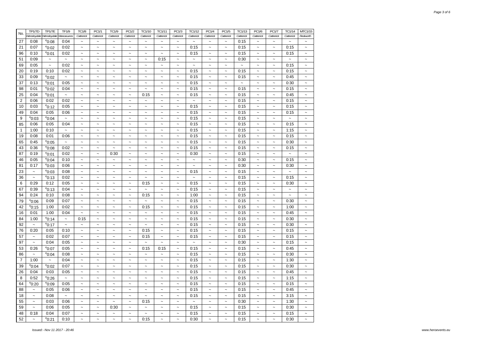| No.            | TP1/7D                    | <b>TP1/7E</b>           | TF1/9                     | <b>TC1/8</b>              | PC1/1                               | TC1/9                     | PC1/2                     | TC1/10                                             | TC1/11                                             | PC1/3                     | TC1/12                    | PC1/4                     | PC1/5                     | TC1/13                | PC1/6                     | PC1/7                     | TC1/14                    | MTC1/15                   |
|----------------|---------------------------|-------------------------|---------------------------|---------------------------|-------------------------------------|---------------------------|---------------------------|----------------------------------------------------|----------------------------------------------------|---------------------------|---------------------------|---------------------------|---------------------------|-----------------------|---------------------------|---------------------------|---------------------------|---------------------------|
|                |                           | Wensleydale Wensleydale | Manoeuvres                | Catterick                 | Catterick                           | Catterick                 | Catterick                 | Catterick                                          | Catterick                                          | Catterick                 | Catterick                 | Catterick                 | Catterick                 | Catterick             | Catterick                 | Catterick                 | Catterick                 | Redworth                  |
| 27             | 0:08                      | $^{\circ}$ 0:08         | 0:04                      | $\ddot{\phantom{0}}$      | $\ddot{\phantom{0}}$                | $\ddot{\phantom{1}}$      | $\ddot{\phantom{0}}$      | $\sim$                                             | $\ddot{\phantom{0}}$                               | $\ddot{\phantom{0}}$      | $\ddot{\phantom{1}}$      | $\ddot{\phantom{0}}$      | $\tilde{\phantom{a}}$     | 0:15                  | $\sim$                    | $\ddot{\phantom{0}}$      | $\tilde{\phantom{a}}$     | $\ddot{ }$                |
| 21             | 0:07                      | $^{\circ}$ 0:02         | 0:02                      | $\tilde{}$                | $\sim$                              | $\widetilde{\phantom{m}}$ | $\widetilde{\phantom{m}}$ | $\sim$                                             | $\sim$                                             | $\tilde{}$                | 0:15                      | $\widetilde{\phantom{m}}$ | $\tilde{\phantom{a}}$     | 0:15                  | $\widetilde{\phantom{m}}$ | $\widetilde{\phantom{m}}$ | 0:15                      | $\tilde{}$                |
| 96             | 0:10                      | $^{\circ}$ 0:01         | 0:02                      | $\tilde{}$                | $\sim$                              | $\overline{\phantom{a}}$  | $\sim$                    | $\tilde{}$                                         | $\tilde{\phantom{a}}$                              | $\tilde{}$                | 0:15                      | $\widetilde{\phantom{m}}$ | $\tilde{}$                | 0:15                  | $\widetilde{\phantom{m}}$ | $\tilde{}$                | 0:15                      | $\tilde{}$                |
| 51             | 0:09                      | $\sim$                  | $\tilde{\phantom{a}}$     | $\widetilde{\phantom{m}}$ | $\tilde{}$                          | $\widetilde{\phantom{m}}$ | $\widetilde{\phantom{m}}$ | $\tilde{}$                                         | 0:15                                               | $\tilde{\phantom{a}}$     | $\widetilde{\phantom{m}}$ | $\tilde{\phantom{a}}$     | $\tilde{\phantom{a}}$     | 0:30                  | $\widetilde{\phantom{m}}$ | $\widetilde{\phantom{m}}$ | $\widetilde{\phantom{m}}$ | $\tilde{\phantom{a}}$     |
| 69             | 0:05                      | $\sim$                  | 0:02                      | $\ddot{\phantom{0}}$      | $\ddot{\phantom{0}}$                | $\ddot{\phantom{1}}$      | $\ddot{\phantom{0}}$      | $\sim$                                             | $\ddot{\phantom{0}}$                               | $\ddot{\phantom{0}}$      | $\tilde{\phantom{a}}$     | $\ddot{\phantom{0}}$      | $\tilde{\phantom{a}}$     | $\tilde{\phantom{a}}$ | $\tilde{\phantom{a}}$     | $\tilde{\phantom{a}}$     | 0:15                      | $\tilde{}$                |
| 20             | 0:19                      | 0:10                    | 0:02                      | $\sim$                    | $\ddot{\phantom{0}}$                | $\sim$                    | $\ddot{ }$                | $\sim$                                             | $\sim$                                             | $\ddot{ }$                | 0:15                      | $\sim$                    | $\sim$                    | 0:15                  | $\sim$                    | $\sim$                    | 0:15                      | $\ddot{\phantom{0}}$      |
| 33             | 0:09                      | $^{\circ}$ 0:02         | $\sim$                    | $\sim$                    | $\ddot{ }$                          | $\ddot{\phantom{0}}$      | $\sim$                    | $\sim$                                             | $\sim$                                             | $\sim$                    | 0:15                      | $\sim$                    | $\sim$                    | 0:15                  | $\sim$                    | $\widetilde{\phantom{m}}$ | 0:45                      | $\ddot{\phantom{1}}$      |
| 37             | 0:13                      | $^{\circ}$ 0:01         | 0:05                      | $\tilde{}$                | $\ddot{ }$                          | $\tilde{\phantom{a}}$     | $\tilde{}$                | $\tilde{\phantom{a}}$                              | $\tilde{}$                                         | $\widetilde{\phantom{m}}$ | 0:15                      | $\widetilde{\phantom{m}}$ | $\tilde{\phantom{a}}$     | $\sim$                | $\widetilde{\phantom{m}}$ | $\widetilde{\phantom{m}}$ | 0:30                      | $\widetilde{\phantom{m}}$ |
| 98             | 0:01                      | $^{\circ}$ 0:02         | 0:04                      | $\ddot{\phantom{0}}$      | $\overline{\phantom{a}}$            | $\ddot{\phantom{1}}$      | $\ddot{\phantom{0}}$      | $\tilde{\phantom{a}}$                              | $\sim$                                             | $\sim$                    | 0:15                      | $\ddot{\phantom{0}}$      | $\sim$                    | 0:15                  | $\tilde{\phantom{a}}$     | $\ddot{\phantom{0}}$      | 0:15                      | $\overline{\phantom{a}}$  |
| 25             | 0:04                      | $^{\circ}$ 0:01         | $\widetilde{\phantom{m}}$ | $\sim$                    | $\ddot{ }$                          | $\ddot{ }$                | $\overline{ }$            | 0:15                                               | $\ddot{\phantom{0}}$                               | $\ddot{\phantom{0}}$      | 0:15                      | $\ddot{\phantom{0}}$      | $\tilde{\phantom{a}}$     | 0:15                  | $\widetilde{\phantom{m}}$ | $\widetilde{\phantom{m}}$ | 0:45                      | $\overline{\phantom{a}}$  |
| $\overline{2}$ | 0:06                      | 0:02                    | 0:02                      | $\ddot{\phantom{1}}$      | $\ddot{\phantom{0}}$                | $\ddot{\phantom{1}}$      | $\overline{ }$            | $\tilde{}$                                         | $\tilde{\phantom{a}}$                              | $\widetilde{\phantom{m}}$ | $\widetilde{\phantom{m}}$ | $\overline{ }$            | $\tilde{\phantom{a}}$     | 0:15                  | $\widetilde{\phantom{m}}$ | $\tilde{}$                | 0:15                      | $\ddot{\phantom{0}}$      |
| 10             | 0:03                      | $^{\circ}$ 0:12         | 0:05                      | $\ddot{\phantom{1}}$      | $\ddot{ }$                          | $\ddot{ }$                | $\tilde{\phantom{a}}$     | $\tilde{}$                                         | $\widetilde{\phantom{m}}$                          | $\widetilde{\phantom{m}}$ | 0:15                      | $\tilde{\phantom{a}}$     | $\ddot{\phantom{0}}$      | 0:15                  | $\tilde{}$                | $\tilde{}$                | 0:15                      | $\tilde{}$                |
| 49             | 0:04                      | 0:05                    | 0:06                      | $\sim$                    | $\ddot{\phantom{0}}$                | $\ddot{\phantom{1}}$      | $\overline{ }$            | $\widetilde{\phantom{m}}$                          | $\widetilde{\phantom{m}}$                          | $\widetilde{\phantom{m}}$ | 0:15                      | $\widetilde{\phantom{m}}$ | $\tilde{\phantom{a}}$     | 0:15                  | $\widetilde{\phantom{m}}$ | $\widetilde{\phantom{m}}$ | 0:15                      | $\overline{\phantom{a}}$  |
| 9              | $^{\circ}$ 0:03           | $^{\circ}$ 0:04         | $\widetilde{\phantom{m}}$ | $\ddot{\phantom{0}}$      | $\ddot{\phantom{0}}$                | $\ddot{\phantom{0}}$      | $\tilde{}$                | $\sim$                                             | $\ddot{\phantom{0}}$                               | $\ddot{\phantom{1}}$      | 0:15                      | $\widetilde{\phantom{m}}$ | $\tilde{\phantom{a}}$     | 0:15                  | $\widetilde{\phantom{m}}$ | $\ddot{\phantom{1}}$      | $\widetilde{\phantom{m}}$ | $\tilde{}$                |
| 85             | 0:06                      | 0:05                    | 0:04                      | $\tilde{}$                | $\ddot{\phantom{0}}$                | $\ddot{\phantom{1}}$      | $\overline{ }$            | $\widetilde{\phantom{m}}$                          | $\widetilde{\phantom{m}}$                          | $\tilde{\phantom{a}}$     | 0:15                      | $\widetilde{\phantom{m}}$ | $\tilde{\phantom{a}}$     | 0:15                  | $\widetilde{\phantom{m}}$ | $\tilde{}$                | 0:15                      | $\ddot{\phantom{0}}$      |
| $\mathbf{1}$   | 1:00                      | 0:10                    | $\tilde{}$                | $\tilde{}$                | $\ddot{ }$                          | $\tilde{}$                | $\tilde{}$                | $\tilde{}$                                         | $\widetilde{\phantom{m}}$                          | $\widetilde{\phantom{m}}$ | 0:15                      | $\tilde{\phantom{a}}$     | $\tilde{}$                | 0:15                  | $\widetilde{\phantom{m}}$ | $\tilde{}$                | 1:15                      | $\tilde{}$                |
| 19             | 0:08                      | 0:01                    | 0:06                      | $\tilde{}$                | $\ddot{\phantom{0}}$                | $\tilde{}$                | $\widetilde{\phantom{m}}$ |                                                    |                                                    | $\widetilde{\phantom{m}}$ | 0:15                      | $\widetilde{\phantom{m}}$ | $\tilde{\phantom{a}}$     | 0:15                  | $\widetilde{\phantom{m}}$ | $\tilde{}$                | 0:15                      | $\widetilde{\phantom{m}}$ |
| 65             | 0:45                      | $^{\circ}$ 0:05         | $\sim$                    | $\sim$                    | $\ddot{\phantom{0}}$                | $\ddot{\phantom{1}}$      | $\sim$                    | $\widetilde{\phantom{m}}$<br>$\tilde{\phantom{a}}$ | $\widetilde{\phantom{m}}$<br>$\tilde{\phantom{a}}$ | $\sim$                    | 0:15                      | $\tilde{\phantom{a}}$     | $\sim$                    | 0:15                  | $\tilde{\phantom{a}}$     | $\ddot{\phantom{0}}$      | 0:30                      | $\ddot{\phantom{1}}$      |
| 43             | 0:36                      | $^{\rm e}$ 0:08         | 0:02                      | $\ddot{\phantom{1}}$      |                                     | $\ddot{\phantom{1}}$      | $\tilde{}$                | $\tilde{\phantom{a}}$                              | $\widetilde{\phantom{m}}$                          | $\widetilde{\phantom{m}}$ | 0:15                      | $\tilde{\phantom{a}}$     | $\tilde{\phantom{a}}$     | 0:15                  |                           | $\tilde{}$                | 0:15                      | $\tilde{}$                |
| 87             | 0:19                      |                         | 0:02                      | $\tilde{}$                | $\tilde{}$<br>$\tilde{\phantom{a}}$ | 0:30                      | $\tilde{}$                | $\tilde{\phantom{a}}$                              | $\tilde{\phantom{a}}$                              | $\tilde{\phantom{a}}$     | 0:30                      | $\tilde{}$                | $\tilde{\phantom{a}}$     | 0:15                  | $\tilde{}$<br>$\tilde{}$  | $\tilde{\phantom{a}}$     | $\widetilde{\phantom{m}}$ | $\ddot{\phantom{1}}$      |
|                |                           | $^{\circ}$ 0:01         |                           |                           |                                     |                           |                           |                                                    |                                                    |                           |                           |                           |                           |                       |                           |                           |                           |                           |
| 46             | 0:05                      | $^{\rm e}$ 0:04         | 0:10                      | $\widetilde{\phantom{m}}$ | $\tilde{}$                          | $\tilde{\phantom{a}}$     | $\widetilde{\phantom{m}}$ | $\sim$                                             | $\sim$                                             | $\sim$                    | $\tilde{\phantom{a}}$     | $\tilde{\phantom{a}}$     | $\sim$                    | 0:30                  | $\widetilde{\phantom{m}}$ | $\tilde{\phantom{a}}$     | 0:15                      | $\tilde{\phantom{a}}$     |
| 81             | 0:17                      | $^{\circ}$ 0:03         | 0:06                      | $\widetilde{\phantom{m}}$ | $\tilde{}$                          | $\tilde{}$                | $\ddot{\phantom{0}}$      | $\tilde{\phantom{a}}$                              | $\tilde{\phantom{a}}$                              | $\tilde{\phantom{a}}$     | $\tilde{}$                | $\tilde{}$                | $\sim$                    | 0:30                  | $\tilde{}$                | $\tilde{}$                | 0:30                      | $\tilde{}$                |
| 23             | $\widetilde{\phantom{m}}$ | $^{\circ}$ 0:03         | 0:08                      | $\widetilde{\phantom{m}}$ | $\tilde{}$                          | $\tilde{}$                | $\tilde{\phantom{a}}$     | $\tilde{\phantom{a}}$                              | $\tilde{\phantom{a}}$                              | $\widetilde{\phantom{m}}$ | 0:15                      | $\tilde{\phantom{a}}$     | $\tilde{\phantom{a}}$     | 0:15                  | $\widetilde{\phantom{m}}$ | $\tilde{}$                | $\widetilde{\phantom{m}}$ | $\tilde{}$                |
| 36             | $\thicksim$               | $^{\circ}$ 0:13         | 0:02                      | $\tilde{}$                | $\tilde{\phantom{a}}$               | $\tilde{}$                | $\tilde{}$                | $\tilde{\phantom{a}}$                              | $\widetilde{\phantom{m}}$                          | $\widetilde{\phantom{m}}$ | $\sim$                    | $\tilde{}$                | $\tilde{\phantom{a}}$     | 0:15                  | $\tilde{}$                | $\tilde{}$                | 0:15                      | $\tilde{}$                |
| 6              | 0:29                      | 0:12                    | 0:05                      | $\tilde{}$                | $\tilde{}$                          | $\tilde{}$                | $\widetilde{\phantom{m}}$ | 0:15                                               | $\widetilde{\phantom{m}}$                          | $\widetilde{\phantom{m}}$ | 0:15                      | $\widetilde{\phantom{m}}$ | $\tilde{\phantom{a}}$     | 0:15                  | $\widetilde{\phantom{m}}$ | $\tilde{}$                | 0:30                      | $\tilde{\phantom{a}}$     |
| 67             | 0:39                      | $^{\circ}$ 0:13         | 0:04                      | $\tilde{}$                | $\ddot{ }$                          | $\ddot{\phantom{1}}$      | $\ddot{\phantom{0}}$      | $\sim$                                             | $\ddot{\phantom{0}}$                               | $\ddot{\phantom{0}}$      | 0:15                      | $\ddot{\phantom{0}}$      | $\sim$                    | 0:15                  | $\tilde{}$                | $\ddot{\phantom{0}}$      | $\sim$                    | $\ddot{\phantom{1}}$      |
| 94             | 0:24                      | 0:10                    | 0:08                      | $\sim$                    | $\ddot{\phantom{0}}$                | $\overline{\phantom{a}}$  | $\widetilde{\phantom{m}}$ | 0:15                                               | $\tilde{\phantom{a}}$                              | $\widetilde{\phantom{m}}$ | 1:00                      | $\sim$                    | $\tilde{\phantom{a}}$     | 0:15                  | $\widetilde{\phantom{m}}$ | $\widetilde{\phantom{m}}$ | $\widetilde{\phantom{m}}$ | $\tilde{}$                |
| 79             | $^{\circ}$ 0:06           | 0:09                    | 0:07                      | $\tilde{}$                | $\ddot{\phantom{0}}$                | $\ddot{\phantom{1}}$      | $\widetilde{\phantom{m}}$ | $\sim$                                             | $\widetilde{\phantom{m}}$                          | $\widetilde{\phantom{m}}$ | 0:15                      | $\widetilde{\phantom{m}}$ | $\tilde{}$                | 0:15                  | $\widetilde{\phantom{m}}$ | $\widetilde{\phantom{m}}$ | 0:30                      | $\tilde{}$                |
| 42             | $^{\circ}$ 0:15           | 1:00                    | 0:02                      | $\ddot{\phantom{1}}$      | $\ddot{\phantom{0}}$                | $\tilde{}$                | $\tilde{}$                | 0:15                                               | $\tilde{\phantom{a}}$                              | $\widetilde{\phantom{m}}$ | 0:15                      | $\widetilde{\phantom{m}}$ | $\tilde{\phantom{a}}$     | 0:15                  | $\widetilde{\phantom{m}}$ | $\tilde{}$                | 1:00                      | $\tilde{\phantom{a}}$     |
| 16             | 0:01                      | 1:00                    | 0:04                      | $\tilde{}$                | $\sim$                              | $\overline{\phantom{a}}$  | $\widetilde{\phantom{m}}$ | $\tilde{}$                                         | $\widetilde{\phantom{m}}$                          | $\tilde{}$                | 0:15                      | $\widetilde{\phantom{m}}$ | $\tilde{\phantom{a}}$     | 0:15                  | $\widetilde{\phantom{m}}$ | $\widetilde{\phantom{m}}$ | 0:45                      | $\overline{\phantom{a}}$  |
| 84             | 1:00                      | $^{\circ}$ 0:14         | $\tilde{\phantom{a}}$     | 0:15                      | $\sim$                              | $\widetilde{\phantom{m}}$ | $\widetilde{\phantom{m}}$ | $\tilde{}$                                         | $\tilde{\phantom{a}}$                              | $\tilde{}$                | 0:15                      | $\widetilde{\phantom{m}}$ | $\tilde{\phantom{a}}$     | 0:15                  | $\tilde{\phantom{a}}$     | $\tilde{}$                | 0:30                      | $\tilde{\phantom{a}}$     |
| 92             | $\sim$                    | $^{\circ}$ 0:17         | $\sim$                    | $\ddot{\phantom{0}}$      | $\ddot{\phantom{0}}$                | $\ddot{\phantom{1}}$      | $\ddot{\phantom{0}}$      | $\sim$                                             | $\sim$                                             | $\tilde{\phantom{a}}$     | 0:15                      | $\ddot{\phantom{0}}$      | $\tilde{\phantom{a}}$     | 0:15                  | $\tilde{\phantom{a}}$     | $\tilde{\phantom{a}}$     | 0:30                      | $\tilde{}$                |
| 76             | 0:20                      | 0:05                    | 0:10                      | $\tilde{\phantom{a}}$     | $\sim$                              | $\ddot{\phantom{1}}$      | $\tilde{\phantom{a}}$     | 0:15                                               | $\tilde{\phantom{a}}$                              | $\tilde{\phantom{a}}$     | 0:15                      | $\tilde{}$                | $\tilde{\phantom{a}}$     | 0:15                  | $\tilde{\phantom{a}}$     | $\tilde{\phantom{a}}$     | 0:15                      | $\tilde{}$                |
| 57             | $\sim$                    | 0:02                    | 0:07                      | $\overline{ }$            | $\ddot{ }$                          | $\sim$                    | $\sim$                    | 0:15                                               | $\tilde{\phantom{a}}$                              | $\ddot{ }$                | 0:15                      | $\ddot{ }$                | $\sim$                    | 0:15                  | $\sim$                    | $\sim$                    | 0:15                      | $\tilde{}$                |
| 97             | $\sim$                    | 0:04                    | 0:05                      | $\sim$                    | $\ddot{ }$                          | $\tilde{\phantom{a}}$     | $\tilde{}$                | $\tilde{\phantom{a}}$                              | $\sim$                                             | $\sim$                    | $\sim$                    | $\sim$                    | $\tilde{\phantom{a}}$     | 0:30                  | $\tilde{}$                | $\tilde{\phantom{a}}$     | 0:15                      | $\overline{\phantom{a}}$  |
| 53             | 0:26                      | $^{\circ}$ 0:07         | 0:05                      | $\sim$                    | $\ddot{\phantom{1}}$                | $\sim$                    | $\ddot{\phantom{0}}$      | 0:15                                               | 0:15                                               | $\tilde{\phantom{a}}$     | 0:15                      | $\sim$                    | $\sim$                    | 0:15                  | $\tilde{}$                | $\ddot{\phantom{0}}$      | 0:45                      | $\tilde{}$                |
| 86             | $\sim$                    | $^{\circ}$ 0:04         | 0:08                      | $\ddot{\phantom{0}}$      | $\ddot{\phantom{0}}$                | $\ddot{\phantom{0}}$      | $\ddot{\phantom{0}}$      | $\sim$                                             | $\tilde{\phantom{a}}$                              | $\tilde{\phantom{a}}$     | 0:15                      | $\tilde{\phantom{a}}$     | $\sim$                    | 0:15                  | $\tilde{\phantom{a}}$     | $\tilde{\phantom{a}}$     | 0:30                      | $\tilde{}$                |
| $\overline{7}$ | 1:00                      | $\sim$                  | 0:04                      | $\sim$                    | $\ddot{\phantom{0}}$                | $\ddot{\phantom{1}}$      | $\sim$                    | $\tilde{}$                                         | $\tilde{\phantom{a}}$                              | $\ddot{ }$                | 0:15                      | $\widetilde{\phantom{m}}$ | $\sim$                    | 0:15                  | $\widetilde{\phantom{m}}$ | $\tilde{}$                | 1:30                      | $\overline{\phantom{a}}$  |
| 39             | $^{\circ}$ 0:04           | $^{\circ}$ 0:02         | 0:07                      | $\tilde{}$                | $\ddot{ }$                          | $\widetilde{\phantom{m}}$ | $\widetilde{\phantom{m}}$ | $\tilde{}$                                         | $\widetilde{\phantom{m}}$                          | $\widetilde{\phantom{m}}$ | 0:15                      | $\tilde{\phantom{a}}$     | $\tilde{\phantom{a}}$     | 0:15                  | $\widetilde{\phantom{m}}$ | $\widetilde{\phantom{m}}$ | 0:30                      | $\tilde{}$                |
| 26             | 0:04                      | 0:03                    | 0:05                      | $\tilde{}$                | $\ddot{ }$                          | $\ddot{\phantom{1}}$      | $\widetilde{\phantom{m}}$ | $\tilde{}$                                         | $\widetilde{\phantom{m}}$                          | $\widetilde{\phantom{m}}$ | 0:15                      | $\widetilde{\phantom{m}}$ | $\tilde{\phantom{a}}$     | 0:15                  | $\widetilde{\phantom{m}}$ | $\tilde{\phantom{a}}$     | 0:45                      | $\overline{\phantom{a}}$  |
| 8              | 0:52                      | $e$ 0:26                | $\widetilde{\phantom{m}}$ | $\tilde{}$                | $\ddot{ }$                          | $\ddot{ }$                | $\ddot{\phantom{1}}$      | $\sim$                                             | $\ddot{\phantom{0}}$                               | $\widetilde{\phantom{m}}$ | 0:15                      | $\ddot{\phantom{0}}$      | $\tilde{\phantom{a}}$     | 0:15                  | $\tilde{}$                | $\widetilde{\phantom{m}}$ | 1:15                      | $\tilde{}$                |
| 64             | $^{\circ}$ 0:20           | $^{\circ}0:09$          | 0:05                      | $\ddot{\phantom{0}}$      | $\ddot{ }$                          | $\ddot{\phantom{1}}$      | $\sim$                    | $\widetilde{\phantom{m}}$                          | $\widetilde{\phantom{m}}$                          | $\ddot{\phantom{1}}$      | 0:15                      | $\tilde{}$                | $\tilde{}$                | 0:15                  | $\widetilde{\phantom{m}}$ | $\widetilde{\phantom{m}}$ | 0:15                      | $\ddot{\phantom{1}}$      |
| 88             | $\widetilde{\phantom{m}}$ | 0:05                    | 0:06                      | $\ddot{\phantom{1}}$      | $\ddot{ }$                          | $\tilde{\phantom{a}}$     | $\tilde{}$                | $\tilde{}$                                         | $\widetilde{\phantom{m}}$                          | $\tilde{}$                | 0:15                      | $\tilde{}$                | $\tilde{}$                | 0:15                  | $\tilde{}$                | $\tilde{}$                | 0:45                      | $\tilde{}$                |
| 18             | $\tilde{\phantom{a}}$     | 0:08                    | $\tilde{}$                | $\widetilde{\phantom{m}}$ | $\tilde{}$                          | $\tilde{}$                | $\widetilde{\phantom{m}}$ | $\tilde{}$                                         | $\tilde{}$                                         | $\tilde{}$                | 0:15                      | $\tilde{}$                | $\widetilde{\phantom{m}}$ | 0:15                  | $\tilde{}$                | $\tilde{}$                | 3:15                      | $\tilde{}$                |
| 55             | $\sim$                    | 0:03                    | 0:06                      | $\tilde{}$                | $\tilde{}$                          | $\ddot{\phantom{1}}$      | $\widetilde{\phantom{m}}$ | 0:15                                               | $\tilde{}$                                         | $\tilde{}$                | $\widetilde{\phantom{m}}$ | $\tilde{\phantom{a}}$     | $\sim$                    | 0:30                  | $\tilde{}$                | $\tilde{}$                | 1:30                      | $\tilde{}$                |
| 59             | $\tilde{\phantom{a}}$     | 0:06                    | 0:05                      | $\tilde{}$                | $\sim$                              | 0:30                      | $\widetilde{\phantom{m}}$ | $\tilde{}$                                         | $\tilde{\phantom{a}}$                              | $\widetilde{\phantom{m}}$ | 0:15                      | $\widetilde{\phantom{m}}$ | $\tilde{}$                | 0:15                  | $\widetilde{\phantom{m}}$ | $\tilde{}$                | 0:30                      | $\tilde{\phantom{a}}$     |
| 48             | 0:18                      | 0:04                    | 0:07                      | $\tilde{\phantom{a}}$     | $\tilde{}$                          | $\widetilde{\phantom{m}}$ | $\widetilde{\phantom{m}}$ | $\tilde{\phantom{a}}$                              | $\widetilde{\phantom{m}}$                          | $\tilde{}$                | 0:15                      | $\widetilde{\phantom{m}}$ | $\tilde{}$                | 0:15                  | $\tilde{}$                | $\tilde{}$                | 0:15                      | $\widetilde{\phantom{m}}$ |
| 52             | $\widetilde{\phantom{m}}$ | $e_0$ .21               | 0:10                      | $\widetilde{\phantom{m}}$ | $\ddot{\phantom{0}}$                | $\ddot{\phantom{1}}$      | $\ddot{\phantom{0}}$      | 0:15                                               | $\widetilde{\phantom{m}}$                          | $\widetilde{\phantom{m}}$ | 0:30                      | $\widetilde{\phantom{m}}$ | $\tilde{}$                | 0:15                  | $\widetilde{\phantom{m}}$ | $\sim$                    | 0:30                      | $\overline{\phantom{a}}$  |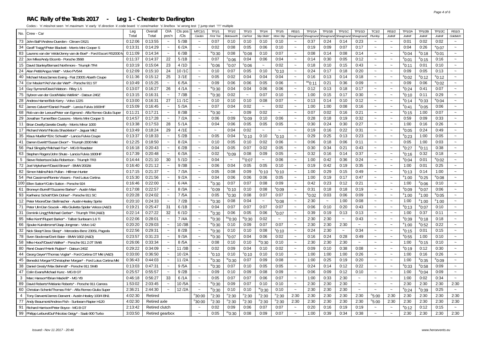#### **RAC Rally of the Tests 2017 - Leg 1 - Chester to Darlington**

|                 |                                                                   | Leg     | Overal          | O/A                   | CIs pos | MTC1/                 | TF1/1             | <b>TF1/2</b>      | TF1/3                | <b>TF1/4</b>              | TF1/5                 | RS1/                      | TP1/1A             | <b>TP1/1B</b>         | TP1/1C     | TP1/1D                   | TC1/2                     | <b>RS1/2</b>          | TP1/2A          | TP1/2B          | TP1/2C          | <b>RS1/3</b>              |
|-----------------|-------------------------------------------------------------------|---------|-----------------|-----------------------|---------|-----------------------|-------------------|-------------------|----------------------|---------------------------|-----------------------|---------------------------|--------------------|-----------------------|------------|--------------------------|---------------------------|-----------------------|-----------------|-----------------|-----------------|---------------------------|
|                 | No. Crew - Car                                                    | Total   | Total           | pos'n                 | /Cls    | Carden                | <b>First Tee</b>  | Bolesworth        | CarFest              | <b>Slip Slidin</b>        | More Slip             | Showground                | howground          | Showgroun             | Showgrouna | <i><b>Showaround</b></i> | Plumley                   | Jodrell               | Jodrell         | Jodrell         | Jodrell         | Goldsitch                 |
|                 | 73 John Ball*/Andrew Duerden - Citroen DS21                       | 0:12:06 | 0:13:55         | $\tilde{\phantom{a}}$ | 5/3B    | $\sim$                | 0:07              | 0:10              | 0:10                 | 0:10                      | 0:10                  | $\widetilde{\phantom{m}}$ | 0:37               | 0:24                  | 0:14       | 0:23                     | $\sim$                    | $\tilde{\phantom{a}}$ | 0:01            | 0:02            | 0:02            | $\tilde{\phantom{a}}$     |
| 34              | Geoff Twigg*/Peter Blackett - Morris Mini Cooper S                | 0:13:31 | 0:14:29         | $\tilde{\phantom{a}}$ | 6/2A    | $\thicksim$           | 0:02              | 0:08              | 0:05                 | 0:06                      | 0:10                  | $\widetilde{\phantom{m}}$ | 0:19               | 0:09                  | 0:07       | 0:17                     | $\sim$                    | $\tilde{\phantom{a}}$ | 0:04            | 0:26            | $^{\circ}$ 0:07 | $\tilde{\phantom{a}}$     |
|                 | 83 Laurens van der Velde/Jenny van de Boel* - Ford Escort RS2000  | 0:11:09 | 0:14:34         | $\tilde{\phantom{a}}$ | 6/3B    | $\tilde{\phantom{a}}$ | 0:30              | 0:08              | $^{\circ}0:08$       | 0:10                      | 0:07                  | $\sim$                    | 0:08               | 0:14                  | 0:08       | 0:14                     | $\sim$                    | $\sim$                | $^{\circ}$ 0:04 | $^{\circ}$ 0:18 | $^{\circ}$ 0:01 | $\tilde{\phantom{a}}$     |
|                 | 22 Jon Miles/Andy Elcomb - Porsche 356B                           | 0:11:37 | 0:14:37         | 22                    | 5/1B    | $\tilde{\phantom{a}}$ | 0:07              | $0.0^\circ$       | 0:04                 | 0:06                      | 0:04                  | $\sim$                    | 0:14               | 0:30                  | 0:05       | 0:12                     | $\sim$                    | $\sim$                | $^{\rm e}$ 0:01 | $^{\rm e}$ 0:15 | 0:16            | $\tilde{\phantom{a}}$     |
|                 | 15 David Stanley/Bernard Northmore - Triumph TR4                  | 0:10:19 | 0:15:04         | 23                    | 4/1D    | $\tilde{\phantom{a}}$ | $^{\circ}$ 0:06   | °0:07             | °0:06                | $\widetilde{\phantom{m}}$ | 0:02                  | $\sim$                    | 0:18               | 0:10                  | 0:15       | 0:43                     | $\sim$                    | $\tilde{\phantom{a}}$ | $^{\circ}$ 0:11 | 0:01            | 0:10            | $\widetilde{\phantom{m}}$ |
|                 | 24 Alan Pettit/Angus Watt* - Volvo PV544                          | 0:12:09 | 0:15:10         | 24                    | 10/1C   | $\thicksim$           | 0:10              | 0:07              | 0:05                 | 0:10                      | $^{\circ}$ 0:10       | $\sim$                    | 0:24               | 0:17                  | 0:18       | 0:20                     | $\sim$                    | $\tilde{}$            | 0:09            | 0:05            | 0:13            | $\widetilde{\phantom{m}}$ |
|                 | 40 Michael Moss/James Ewing - Fiat 2300S Abarth Coupe             | 0:11:36 | 0:15:12         | 25                    | 3/1E    | $\tilde{\phantom{a}}$ | 0:05              | 0:02              | 0:04                 | 0:04                      | 0:04                  | $\widetilde{\phantom{m}}$ | 0:16               | 0:13                  | 0:14       | 0:18                     | $\tilde{\phantom{a}}$     | $\tilde{\phantom{a}}$ | $^{\circ}$ 0:02 | $^{\circ}$ 0:12 | $^{\circ}$ 0:12 | $\tilde{\phantom{a}}$     |
|                 | 74 Cor Meulen*/Ad Van der Werf* - Porsche 911 ST                  | 0:10:49 | 0:15:25         | $\tilde{\phantom{a}}$ | 6/5A    | $\thicksim$           | 0:09              | 0:06              | 0:06                 | 0:05                      | 0:06                  | $\sim$                    | <sup>se</sup> 0:11 | 0:21                  | 0:36       | 0:09                     | $\sim$                    | $\tilde{}$            | 0:09            | 0:06            | $^{\circ}$ 0:02 | $\widetilde{\phantom{m}}$ |
|                 | 14 Guy Symons/David Watson - Riley 1.5                            | 0:13:07 | 0:16:27         | 26                    | 4/1A    | $\tilde{\phantom{a}}$ | ™0:30             | 0:04              | 0:04                 | 0:06                      | 0:06                  | $\widetilde{\phantom{m}}$ | 0:12               | 0:13                  | 0:18       | 0:17                     | $\sim$                    | $\tilde{\phantom{a}}$ | $^{\circ}$ 0:24 | 0:41            | 0:07            | $\tilde{\phantom{a}}$     |
|                 | 75 Sybren van der Goot/Maiko Wellink* - Datsun 240Z               | 0:13:15 | 0:16:31         | $\tilde{\phantom{a}}$ | 7/3B    | $\sim$                | $^{w}$ 0:30       | 0:02              | $\sim$               | 0:07                      | 0:10                  | $\sim$                    | 1:00               | 0:15                  | 0:17       | 0:30                     | $\sim$                    | $\sim$                | $^{\circ}$ 0:10 | 0:11            | 0:29            | $\tilde{\phantom{a}}$     |
|                 | 28 Andrew Hamer/Bob Kerry - Volvo 122S                            | 0:13:00 | 0:16:31         | 27                    | 11/1C   | $\sim$                | 0:10              | 0:10              | 0:10                 | 0:08                      | 0:07                  | $\sim$                    | 0:13               | 0:14                  | 0:10       | 0:12                     | $\sim$                    | $\sim$                | $^{\circ}$ 0:14 | $^{\rm e}$ 0:33 | $^{\circ}$ 0:04 | $\sim$                    |
| 62              | James Calvert*/Daniel Powell* - Lancia Fulvia 1600HF              | 0:15:09 | 0:16:45         | $\tilde{\phantom{a}}$ | 5/3A    | $\sim$                | 0:07              | 0:04              | 0:02                 | $\sim$                    | 0:02                  | $\sim$                    | 1:00               | 1:00                  | 0:08       | 0:16                     | $\sim$                    | $\tilde{\phantom{a}}$ | $^{\circ}$ 0:41 | $^{\circ}$ 0:05 | 0:06            | $\tilde{\phantom{a}}$     |
|                 | 68 Rob van der Leeuw/Peter van Egmond - Alfa Romeo Giulia Super   | 0:11:21 | 0:17:21         | $\tilde{\phantom{a}}$ | 8/3B    | $\tilde{\phantom{a}}$ | $^{\rm w}$ 0:30   | $\sim$            | 0:09                 | 0:02                      | $\sim$                | $\sim$                    | 0:07               | 0:02                  | 0:16       | 0:21                     | $\sim$                    | $\sim$                | $^{\circ}$ 0:15 | 1:00            | 0:07            | $\sim$                    |
|                 | 29 Jonathan Turner/Ben Cussons - Morris Mini Cooper S             | 0:14:57 | 0:17:28         | $\tilde{\phantom{a}}$ | 7/2A    | $\tilde{\phantom{a}}$ | 0:06              | 0:09              | °0:09                | 0:10                      | 0:06                  | $\tilde{\phantom{a}}$     | 0:28               | 0:18                  | 0:19       | 0:32                     | $\tilde{\phantom{a}}$     | $\tilde{\phantom{a}}$ | 0:59            | 0:09            | 0:33            | $\tilde{\phantom{a}}$     |
|                 | 11   Brian Dwelly/Janette Dwelly - Morris Minor 1000              | 0:13:38 | 0:17:53         | 28                    | 5/1A    | $\sim$                | 0:04              | 0:06              | 0:05                 | 0:05                      | 0:05                  | $\widetilde{\phantom{m}}$ | 0:30               | 0:24                  | 0:30       | 0:27                     | $\tilde{\phantom{a}}$     |                       | 1:00            | 0:16            | 0:26            | $\tilde{\phantom{a}}$     |
|                 | 17 Richard Worts*/Nicola Shackleton* - Jaquar Mk2                 | 0:13:49 | 0:18:24         | 29                    | 4/1E    | $\sim$                | $\sim$            | 0:04              | 0:02                 | $\tilde{\phantom{a}}$     | $\tilde{\phantom{a}}$ | $\tilde{\phantom{a}}$     | 0:19               | 0:16                  | 0:22       | 0:31                     | $\tilde{\phantom{a}}$     |                       | $^{\rm e}0:05$  | 0:24            | 0:49            | $\sim$                    |
| 35              | Klaus Mueller*/Eric Schwab* - Lancia Fulvia Coupe                 | 0:13:37 | 0:18:33         | $\tilde{\phantom{a}}$ | 5/2B    | $\tilde{\phantom{a}}$ | 0:05              | 0:04              | °0:10                | 0:10                      | $^{\circ}$ 0:10       | $\widetilde{\phantom{m}}$ | 0:29               | 0:25                  | 0:13       | 0:23                     | $\thicksim$               | $\sim$                | $^{\circ}$ 0:23 | 1:00            | 0:05            | $\tilde{\phantom{a}}$     |
|                 | 41   Darren Everitt*/Susan Dixon* - Triumph 2000 Mkl              | 0:12:25 | 0:18:50         | $\tilde{\phantom{a}}$ | 8/2A    | $\tilde{\phantom{a}}$ | 0:10              | 0:05              | 0:10                 | 0:02                      | 0:06                  | $\sim$                    | 0:06               | 0:18                  | 0:06       | 0:11                     | $\sim$                    | $\sim$                | 0:05            | 1:00            | 0:03            | $\tilde{\phantom{a}}$     |
|                 | 56 Paul Slingsby*/Michael Fox* - MG B Roadster                    | 0:16:18 | 0:20:43         | $\tilde{\phantom{a}}$ | 6/2B    | $\tilde{\phantom{a}}$ | 0:04              | 0:05              | 0:07                 | 0:02                      | 0:05                  | $\sim$                    | 0:30               | 0:34                  | 0:21       | 0:43                     | $\sim$                    | $\sim$                | $^{\rm e}$ 0:27 | °0:11           | 0:38            | $\tilde{\phantom{a}}$     |
|                 | 63 Stephen Rogers/John Shute - Lancia Fulvia 1600HF               | 0:17:39 | 0:20:48         | $\sim$                | 6/3A    | $\tilde{\phantom{a}}$ | 0:02              | $^{\rm s}0:09$    | 0:08                 | 0:09                      | 0:05                  | $\widetilde{\phantom{m}}$ | 0:32               | 0:16                  | 0:14       | 0:37                     | $\thicksim$               | $\sim$                | $^{\circ}$ 0:16 | 0:32            | 0:18            | $\tilde{\phantom{a}}$     |
| $5\overline{5}$ | Steve Robertson/Julia Robertson - Triumph TR3                     | 0:14:44 | 0:21:10         | 30                    | 5/1D    | $\tilde{\phantom{a}}$ | 0:04              | $\thicksim$       | $\mathrm{^{cc}O:O7}$ | $\sim$                    | 0:06                  | $\widetilde{\phantom{m}}$ | 1:00               | 0:42                  | 0:36       | 0:24                     | $\thicksim$               | $\tilde{}$            | $^{\circ}$ 0:04 | 0:01            | $^{\circ}$ 0:02 | $\tilde{\phantom{a}}$     |
|                 | 72 Joel Wykeham*/David Brown* - BMW 2002ti                        | 0:16:40 | 0:21:12         | $\sim$                | 9/3B    | $\tilde{\phantom{a}}$ | 0:06              | 0:04              | 0:05                 | 0:05                      | 0:10                  | $\widetilde{\phantom{m}}$ | 0:19               | 0:42                  | 0:19       | 0:35                     | $\thicksim$               | $\sim$                | 1:00            | 0:01            | 0:25            | $\tilde{\phantom{a}}$     |
|                 | 82 Simon Malins/Nick Pullan - Hillman Hunter                      | 0:17:15 | 0:21:37         | $\tilde{\phantom{a}}$ | 7/3A    | $\tilde{\phantom{a}}$ | 0:05              | 0:08              | 0:09                 | $^{\circ}$ 0:10           | $^{\circ}$ 0:10       | $\widetilde{\phantom{m}}$ | 1:00               | 0:29                  | 0:15       | 0:49                     | $\widetilde{\phantom{m}}$ | $\tilde{}$            | $^{\circ}$ 0:13 | 0:14            | 1:00            | $\tilde{\phantom{a}}$     |
|                 | 54 Piet Cassimon/Ronnie Vissers - Ford Lotus Cortina              | 0:15:30 | 0:21:56         | $\sim$                | 9/2A    | $\tilde{\phantom{a}}$ | 0:04              | 0:06              | 0:06                 | 0:06                      | 0:05                  | $\widetilde{\phantom{m}}$ | 1:00               | 0:19                  | 0:17       | 0:47                     | $\tilde{\phantom{a}}$     | $\tilde{\phantom{a}}$ | $^{\circ}1:00$  | $^{\rm e}$ 0:25 | $^{\circ}$ 0:08 | $\tilde{\phantom{a}}$     |
|                 | 100 Ellen Sutton*/Colin Sutton - Porsche 924                      | 0:16:46 | 0:22:00         | $\sim$                | 6/4A    | $\tilde{\phantom{a}}$ | ™0:30             | 0:07              | 0:07                 | 0:08                      | 0:09                  | $\sim$                    | 0:42               | 0:23                  | 0:12       | 0:21                     | $\sim$                    | $\sim$                | 1:00            | 0:06            | 0:10            | $\sim$                    |
| 61              | Bronwyn Burrell*/Suzanne Barker* - Austin Maxi                    | 0:17:08 | 0:22:57         | $\sim$                | 8/3A    | $\tilde{\phantom{a}}$ | $^{\circ}$ 0:09   | $^{\circ}$ 0:10   | 0:10                 | 0:08                      | $80:0^8$              | $\tilde{\phantom{a}}$     | 0:31               | 0:18                  | 0:18       | 0:19                     | $\sim$                    | $\sim$                | $^{\circ}$ 0:09 | $^{\circ}$ 0:07 | 0:06            | $\sim$                    |
|                 | 93 Karlheinz Schott*/Dirk Dohse* - Porsche 911 SC                 | 0:20:28 | 0:24:02         | $\sim$                | 7/5A    | $\sim$                | 0:05              | <sup>k</sup> 0:30 | 0:08                 | 0:07                      | 0:07                  | $\sim$                    | $^{\circ}$ 0:02    | 0:03                  | 0:06       | 0:09                     | $\sim$                    | $\sim$                | $^{\circ}1:00$  | $^{\circ}$ 1:00 | $^{\circ}$ 0:05 | $\sim$                    |
|                 | 12 Peter Moore/Dan Stellmacher - Austin-Healey Sprite             | 0:20:10 | 0:24:33         | $\tilde{\phantom{a}}$ | 7/2B    | $\tilde{\phantom{a}}$ | ™0:30             | 0:08              | 0:04                 | $\sim$                    | $^{\circ}0:08$        | $\sim$                    | 2:30               | $\tilde{\phantom{a}}$ | 1:00       | 0:08                     | $\sim$                    | $\sim$                | 1:00            | $^{\circ}$ 1:00 | $^{\circ}1:00$  | $\tilde{\phantom{a}}$     |
|                 | 71 Peter Ulm/Jan Soucek - Alfa Giulietta Spider Veloce (A&D)      | 0:19:21 | 0:25:47         | 31                    | 6/1B    | $\sim$                | 0:04              | 0:07              | 0:07                 | 0:07                      | 0:07                  | $\tilde{\phantom{a}}$     | 0:06               | 0:10                  | 0:20       | 0:43                     | $\sim$                    |                       | $^{\circ}$ 0:13 | $^{\circ}$ 0:07 | 0:10            | $\tilde{\phantom{a}}$     |
| 31              | Dominik Lingg*/Michael Gerber* - Triumph TR4 (A&D)                | 0:22:14 | 0:27:22         | 32                    | 6/1D    | $\tilde{\phantom{a}}$ | ™0:30             | 0:06              | 0:05                 | 0:06                      | $^{\circ}$ 0:07       | $\sim$                    | 0:39               | 0:19                  | 0:13       | 0:13                     | $\tilde{\phantom{a}}$     | $\sim$                | 1:00            | 0:37            | 0:11            | $\tilde{\phantom{a}}$     |
| 95              | Mike Kent*/Rupert Barker* - Talbot Sunbeam 1.6 Ti                 | 0:22:06 | 0:28:01         | $\tilde{\phantom{a}}$ | 7/4A    | $\sim$                | ™0:30             | $k$ s $0:30$      | W0:30                | 0:02                      | $\sim$                | $\sim$                    | 2:30               | 2:30                  | $\sim$     | 0:43                     | $\sim$                    | $\sim$                | $^{\circ}$ 0:39 | $^{\circ}$ 0:18 | 0:18            | $\sim$                    |
| 66              | Sjouke Kuindersma*/Jaap Jongman - Volvo 142                       | 0:20:20 | 0:29:03         | $\tilde{\phantom{a}}$ | 10/3E   | $\tilde{\phantom{a}}$ | 0:30              | 0:10              | 0:09                 | 0:07                      | 0:07                  | $\widetilde{\phantom{m}}$ | 2:30               | 2:30                  | 2:30       | $\tilde{\phantom{a}}$    | $\widetilde{\phantom{m}}$ | $\tilde{\phantom{a}}$ | $^{\circ}$ 1:00 | $^{\rm e}$ 0:52 | 0:22            | $\tilde{\phantom{a}}$     |
|                 | 32 Nick Sleep*/Jess Sleep* - Mercedes-Benz 230SL Pagoda           | 0:22:56 | 0:29:31         | $\tilde{\phantom{a}}$ | 8/2B    | $\sim$                | ™0:30             | 0:10              | 0:10                 | 0:08                      | $^{\circ}$ 0:10       | $\sim$                    | 0:24               | 2:30                  | $\sim$     | 0:34                     | $\sim$                    | $\sim$                | $^{\circ}$ 0:15 | 0:01            | 0:15            | $\sim$                    |
|                 | 78   Sven Stockmar/Dorit Baier - BMW 1602 (A&D)                   | 0:23:57 | 0:31:23         | $\tilde{\phantom{a}}$ | 9/3A    | $\sim$                | ™0:30             | $^{\rm s}$ 0:07   | 0:04                 | 0:06                      | 0:02                  | $\sim$                    | 0:16               | 0:24                  | 0:28       | 0:49                     | $\sim$                    | $\sim$                | $^{\circ}$ 0:55 | 1:00            | 0:10            | $\sim$                    |
|                 | 58 Mike Hood*/David Walker* - Porsche 911 2.0T SWB                | 0:26:06 | 0:33:34         | $\sim$                | 8/5A    | $\tilde{\phantom{a}}$ | 0:08              | 0:10              | 0:10                 | $^{\rm w}$ 0:30           | 0:10                  | $\sim$                    | 2:30               | 2:30                  | 2:30       | $\sim$                   | $\sim$                    | $\sim$                | 1:00            | $^{\circ}$ 0:15 | 0:10            | $\sim$                    |
|                 | 80 René Dwars*/Henk Ruijten* - Datsun 240Z                        | 0:29:22 | 0:34:09         | $\tilde{\phantom{a}}$ | 11/3B   | $\sim$                | 0:02              | 0:09              | 0:04                 | 0:10                      | 0:02                  | $\sim$                    | 0:09               | 0:10                  | 0:38       | 0:08                     | $\sim$                    | $\tilde{\phantom{a}}$ | $^{\circ}$ 0:19 | 0:12            | 0:30            | $\sim$                    |
|                 | 44 Georg Geyer*/Thomas Voglar* - Ford Cortina GT MkI (A&D)        | 0:33:00 | 0:36:50         | $\sim$                | 10/2A   | $\thicksim$           | $^{\rm s}$ 0:10   | 0:10              | $\degree$ 0:10       | 0:10                      | 0:10                  | $\widetilde{\phantom{m}}$ | 1:00               | 1:00                  | 1:00       | 0:26                     | $\sim$                    | $\sim$                | 1:00            | 0:16            | 0:26            | $\sim$                    |
|                 | 45  Benedict Morgan*/Christopher Morgan* - Ford Lotus Cortina Mkl | 0:36:43 | 0:44:03         | $\tilde{\phantom{a}}$ | 11/2A   | $\sim$                | ™0:30             | ™0:30             | 0:07                 | 0:09                      | 0:08                  | $\sim$                    | 1:00               | 0:25                  | 0:19       | 0:20                     | $\sim$                    | $\sim$                | 1:00            | $^{\rm e}$ 0:35 | $^{\circ}$ 0:09 | $\sim$                    |
|                 | 38   Daniel Gresly*/Max Behrndt* - Porsche 911 SWB                | 0:13:03 | 0:47:31         |                       | 9/5A    | $\sim$                | ™0:30             | 0:07              | 0:10                 | 0:05                      | 0:05                  | $\sim$                    | 0:24               | 0:14                  | 0:12       | 0:22                     | $\sim$                    | $\tilde{\phantom{a}}$ | $e_{0:33}$      | $^{\rm e}$ 0:58 | 0:09            | $\sim$                    |
| 47              | Colin Evans/Michael Kunz - MG B GT                                | 0:25:57 | 0:55:57         | $\sim$                | 9/2B    | $\sim$                | 0:09              | 0:10              | 0:09                 | 0:08                      | 0:09                  | $\sim$                    | 0:06               | 0:09                  | 0:12       | 0:10                     | $\sim$                    | $\sim$                | 1:00            | $^{\circ}$ 0:04 | 0:09            | $\sim$                    |
| 3               | Marc Hanson*/Brian Mackrill* - MG YB                              | 0:46:18 | 0:56:27         | 33                    | 6/1A    | $\sim$                | 0:05              | 0:07              | 0:07                 | 0:06                      | 0:07                  | $\sim$                    | 1:00               | 0:33                  | 2:30       | $\sim$                   | $\sim$                    | $\sim$                | 1:00            | 0:02            | 0:34            | $\sim$                    |
|                 | 89   David Roberts*/Melanie Roberts* - Porsche 911 Carrera        | 1:53:02 | 2:03:45         | $\sim$                | 10/5A   | $\sim$                | <sup>w</sup> 0:30 | 0:09              | 0:07                 | 0:10                      | 0:10                  | $\sim$                    | 2:30               | 2:30                  | 2:30       | $\sim$                   | $\sim$                    | $\sim$                | 2:30            | 2:30            | 2:30            | 2:30                      |
| 60              | Christian Schenk/Thomas Frik* - Alfa Romeo Giulia Super           | 2:36:21 | 2:44:30         | $\tilde{\phantom{a}}$ | 12/2A   | $\sim$                | $^{\rm w}$ 0:30   | 0:10              | 0:10                 | $^{\rm w}$ 0:30           | 0:10                  | $\sim$                    | 2:30               | 2:30                  | 2:30       | $\sim$                   | $\sim$                    | $\thicksim$           | $^{\circ}$ 0:24 | °0:39           | 0:25            | $\sim$                    |
| $\overline{4}$  | Tony Darwent/James Darwent - Austin-Healey 100/4 BN1              | 4:02:30 | Retired         |                       |         | °30:00                | $n_{2:30}$        | <sup>n</sup> 2:30 | $n_{2:30}$           | <sup>n</sup> 2:30         | $n_{2:30}$            | 2:30                      | 2:30               | 2:30                  | 2:30       | 2:30                     | <sup>n</sup> 5:00         | 2:30                  | 2:30            | 2:30            | 2:30            | 2:30                      |
|                 | 77 Andy Beaumont/Andrew Fish - Sunbeam Rapier H120                | 4:02:30 | Retired axle    |                       |         | 30:00                 | $n_{2:30}$        | $n_{2:30}$        | $n_{2:30}$           | <sup>n</sup> 2:30         | $n_{2:30}$            | 2:30                      | 2:30               | 2:30                  | 2:30       | 2:30                     | °5:00                     | 2:30                  | 2:30            | 2:30            | 2:30            | 2:30                      |
|                 | 91 Richard Harrison/Peter Boyce - MG B GT                         | 2:13:42 | Retired clutch  |                       |         | $\sim$                | 0:02              | 0:09              | 0:06                 | 0:07                      | 0:07                  | $\sim$                    | 0:20               | 0:16                  | 0:19       | 0:19                     | $\sim$                    | $\sim$                | $^{\circ}$ 0:12 | 0:12            | 0:15            | $\sim$                    |
|                 | 99 Philipp LeibundGut*/Nicolas Geigy* - Saab 900 Turbo            | 3:03:50 | Retired gearbox |                       |         | $\sim$                | 0:05              | m0:30             | 0:08                 | 0:09                      | 0:07                  | $\sim$                    | 1:00               | 0:39                  | 0:34       | 0:38                     |                           |                       | 2:30            | 2:30            | 2:30            | 2:30                      |
|                 |                                                                   |         |                 |                       |         |                       |                   |                   |                      |                           |                       |                           |                    |                       |            |                          |                           |                       |                 |                 |                 |                           |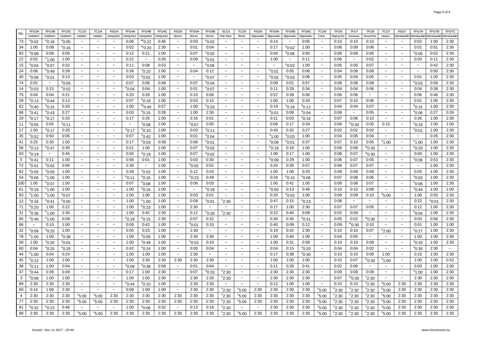| No.         | TP1/3A                    | TP1/3B            | TP1/3C          | TC1/3                     | TC1/4                     | RS1/4                     | TP1/4A          | TP1/4B                    | TP1/4C     | RS1/5                 | TP1/5A          | TP1/5B            | SC1/1                     | TC1/5                     | RS1/6                     | TP1/6A          | TP1/6B          | TP1/6C          | TC1/6                     | TF1/6             | TF1/7             | TF1/8                  | TC1/7                     | RS1/7                               | TP1/7A          | TP1/7B          | <b>TP1/7C</b>         |
|-------------|---------------------------|-------------------|-----------------|---------------------------|---------------------------|---------------------------|-----------------|---------------------------|------------|-----------------------|-----------------|-------------------|---------------------------|---------------------------|---------------------------|-----------------|-----------------|-----------------|---------------------------|-------------------|-------------------|------------------------|---------------------------|-------------------------------------|-----------------|-----------------|-----------------------|
|             | Goldsitch                 | Goldsitch         | Goldsitch       | Haddon                    | Haddon                    | Derbyshire                | Derbyshire      | Derbyshire                | Derbyshire | <b>Strines</b>        | <b>Strines</b>  | <b>Strines</b>    | Pole Moor                 | <b>Booth</b>              | Ripponden                 | Ripponden       | Ripponden       | Ripponden       | Colne                     | Playing the       | Dunnows           | Round the              | Hawes                     | Wensleydale Wensleydale Wensleydale |                 |                 | Wensleydale           |
| 73          | $^{\circ}$ 0:02           | $^{\circ}$ 0:18   | $^{\circ}$ 0:05 | $\tilde{\phantom{a}}$     | $\sim$                    | $\thicksim$               | 0:06            | $$^{86}$ 0:22             | 0:46       | $\thicksim$           | 0:03            | $^{\circ}$ 0:02   | $\sim$                    | $\sim$                    | $\sim$                    | 0:14            | $\sim$          | 0:05            | $\sim$                    | 0:10              | 0:10              | 0:10                   | $\sim$                    | $\sim$                              | 0:02            | 1:00            | 2:30                  |
| 34          | 1:00                      | 0:08              | $^{\rm e}$ 0:16 | $\tilde{\phantom{a}}$     | $\sim$                    | $\sim$                    | 0:02            | $^{\rm se}$ 0:20          | 2:30       | $\tilde{\phantom{a}}$ | 0:01            | 0:04              | $\sim$                    | $\sim$                    | $\tilde{\phantom{a}}$     | 0:17            | $^{\rm e}$ 0:02 | 1:00            | $\tilde{\phantom{a}}$     | 0:06              | 0:09              | 0:06                   | $\thicksim$               | $\sim$                              | 0:01            | 0:51            | 2:30                  |
| 83          | $^{\rm e}$ 0:08           | 0:08              | 0:05            | $\tilde{\phantom{a}}$     | $\sim$                    | $\sim$                    | 0:12            | 0:21                      | 1:00       | $\sim$                | 0:07            | °0:02             | $\tilde{\phantom{a}}$     | $\tilde{\phantom{a}}$     | $\tilde{\phantom{a}}$     | 0:04            | °0:06           | 0:50            | $\widetilde{\phantom{m}}$ | 0:05              | 0:08              | 0:05                   | $\thicksim$               | $\thicksim$                         | $^{\rm e}$ 0:05 | 0:52            | 2:30                  |
| 22          | 0:02                      | $^{\circ}$ 1:00   | 1:00            | $\widetilde{\phantom{m}}$ | $\sim$                    | $\sim$                    | 0:22            | $\widetilde{\phantom{m}}$ | 0:26       | $\thicksim$           | 0:09            | $^{\circ}$ 0:01   | $\tilde{\phantom{a}}$     | $\sim$                    | $\thicksim$               | 1:00            | $\sim$          | 0:11            | $\tilde{\phantom{a}}$     | 0:06              | $\thicksim$       | 0:02                   | $\widetilde{\phantom{m}}$ | $\thicksim$                         | 0:03            | 0:11            | 2:30                  |
| 15          | $^{\circ}$ 0:04           | $^{\circ}$ 0:07   | 0:32            | $\sim$                    | $\sim$                    | $\sim$                    | 0:11            | 0:08                      | 0:53       | $\sim$                | $\sim$          | 0:06              | $\sim$                    | $\sim$                    | $\sim$                    | $\sim$          | $^{\circ}$ 0:02 | 1:00            | $\sim$                    | 0:05              | 0:05              | 0:07                   | $\sim$                    | $\sim$                              | $\sim$          | 0:42            | 2:30                  |
| 24          | 0:08                      | °0:49             | 0:39            | $\tilde{\phantom{a}}$     | $\sim$                    | $\sim$                    | 0:36            | $^{\rm s}$ 0:10           | 1:00       | $\thicksim$           | 0:04            | 0:12              | $\tilde{\phantom{a}}$     | $\sim$                    | $\thicksim$               | $^{\rm e}$ 0:01 | 0:05            | 0:06            | $\widetilde{\phantom{m}}$ | 0:04              | 0:09              | 0:09                   | $\thicksim$               | $\sim$                              | $\sim$          | 0:50            | 2:30                  |
| 40          | $^{\circ}$ 0:08           | °0:01             | 0:13            | $\sim$                    | $\sim$                    | $\sim$                    | 0:03            | $^{\circ}$ 0:02           | 1:00       | $\sim$                | $\sim$          | <sup>e</sup> 0:07 | $\sim$                    | $\sim$                    | $\widetilde{\phantom{m}}$ | $^{\rm e}$ 0:02 | $^{\circ}$ 0:03 | 0:06            | $\sim$                    | 0:05              | 0:04              | 0:05                   | $\sim$                    | $\sim$                              | 0:01            | 1:00            | 2:30                  |
| 74          | 0:02                      | $\sim$            | $^{\circ}$ 0:05 | $\tilde{\phantom{a}}$     | $\tilde{\phantom{a}}$     | $\sim$                    | 0:07            | 0:06                      | 0:48       | $\sim$                | 0:07            | $^{\circ}$ 0:04   | $\sim$                    | $\sim$                    | $\thicksim$               | 0:09            | 0:01            | 0:57            | $\sim$                    | 0:08              | 0:08              | 0:08                   | $\thicksim$               | $\tilde{\phantom{a}}$               | $^{\rm e}$ 0:03 | 0:56            | 2:30                  |
| 14          | $^{\circ}$ 0:03           | 0:15              | $^{\circ}$ 0:02 | $\tilde{\phantom{a}}$     | $\sim$                    | $\sim$                    | $^{\circ}$ 0:04 | 0:04                      | 1:00       | $\sim$                | 0:01            | $^{\circ}$ 0:07   | $\sim$                    | $\sim$                    | $\thicksim$               | 0:11            | 0:29            | 0:34            | $\sim$                    | 0:04              | 0:04              | 0:06                   | $\tilde{\phantom{a}}$     | $\tilde{\phantom{a}}$               | 0:04            | 0:38            | 2:30                  |
| 75          | 0:04                      | 0:04              | 0:21            | $\thicksim$               | $\thicksim$               | $\sim$                    | 0:20            | 0:28                      | 1:00       | $\tilde{\phantom{a}}$ | 0:10            | 0:06              | $\widetilde{\phantom{m}}$ | $\sim$                    | $\thicksim$               | 0:57            | 0:39            | 0:06            | $\tilde{\phantom{a}}$     | 0:06              | 0:06              | $\sim$                 | $\thicksim$               | $\widetilde{\phantom{m}}$           | 0:06            | 0:46            | 2:30                  |
| 28          | $^{\circ}$ 0:13           | °0:44             | 0:13            | $\thicksim$               | $\tilde{\phantom{a}}$     | $\sim$                    | 0:07            | $^{\circ}$ 0:18           | 1:00       | $\thicksim$           | 0:03            | 0:15              | $\thicksim$               | $\sim$                    | $\thicksim$               | 1:00            | 1:00            | 0:20            | $\widetilde{\phantom{m}}$ | 0:07              | 0:10              | 0:06                   | $\thicksim$               | $\widetilde{\phantom{m}}$           | 0:01            | 1:00            | 2:30                  |
| 62          | $^{\circ}$ 0:40           | $^{\rm e}$ 0:15   | 0:20            | $\tilde{\phantom{a}}$     | $\thicksim$               | $\sim$                    | 1:00            | $$^{8e}$ 0:40             | 0:57       | $\sim$                | 1:00            | $^{\circ}$ 0:33   | $\tilde{\phantom{a}}$     | $\sim$                    | $\thicksim$               | 0:19            | $^{\circ}$ 0:16 | $^{\circ}$ 0:12 | $\tilde{\phantom{a}}$     | 0:04              | 0:04              | 0:07                   | $\thicksim$               | $\sim$                              | $^{\circ}$ 0:15 | 1:00            | 2:30                  |
| 68          | $^{\circ}$ 0:41           | °0:43             | 0:27            | $\tilde{\phantom{a}}$     | $\tilde{\phantom{a}}$     | $\sim$                    | 0:03            | $^{\circ}$ 0:15           | 0:28       | $\sim$                | 1:00            | 2:30              | $\tilde{\phantom{a}}$     | $\sim$                    | $\widetilde{\phantom{m}}$ | $^{\circ}$ 0:01 | 0:08            | $^{\circ}$ 0:04 | $\tilde{\phantom{a}}$     | 0:08              | $\sim$            | 0:05                   | $\tilde{\phantom{a}}$     | $\widetilde{\phantom{m}}$           | $^{\rm e}$ 0:06 | 0:27            | 0:26                  |
| 29          | $^{\circ}$ 0:17           | $^{\rm e}$ 0:17   | 0:33            | $\thicksim$               | $\tilde{\phantom{a}}$     | $\sim$                    | 0:17            | 0:25                      | 1:00       | $\sim$                | 0:16            | 0:01              | $\tilde{\phantom{a}}$     | $\sim$                    | $\thicksim$               | 0:21            | 0:03            | $^{\circ}$ 0:16 | $\widetilde{\phantom{m}}$ | 0:07              | 0:06              | 0:10                   | $\sim$                    | $\tilde{\phantom{a}}$               | 0:26            | 1:00            | 2:30                  |
| 11          | $^{\circ}$ 0:05           | 0:05              | $^{\circ}$ 0:11 | $\widetilde{\phantom{m}}$ | $\widetilde{\phantom{m}}$ | $\sim$                    | $\thicksim$     | $^{\circ}$ 0:08           | 1:00       | $\sim$                | $^{\circ}$ 0:07 | 0:05              | $\widetilde{\phantom{m}}$ | $\widetilde{\phantom{m}}$ | $\thicksim$               | 0:06            | 0:17            | 0:34            | $\widetilde{\phantom{m}}$ | 0:06              | ™0:30             | 0:05                   | 0:15                      | $\widetilde{\phantom{m}}$           | $^{\circ}$ 0:15 | 1:00            | 1:00                  |
| 17          | 1:00                      | <sup>e</sup> 0:17 | 0:35            | $\thicksim$               | $\sim$                    | $\sim$                    | $^{\circ}$ 0:17 | $^{\circ}$ 0:10           | 1:00       | $\sim$                | 0:03            | $^{\circ}$ 0:11   | $\tilde{\phantom{a}}$     | $\sim$                    | $\thicksim$               | 0:43            | 0:32            | 0:27            | $\widetilde{\phantom{m}}$ | 0:02              | 0:02              | 0:02                   | $\widetilde{\phantom{m}}$ | $\tilde{\phantom{a}}$               | $^{\circ}$ 0:01 | 1:00            | 2:30                  |
| 35          | $^{\circ}$ 0:52           | 0:50              | 0:06            | $\tilde{\phantom{a}}$     | $\sim$                    | $\thicksim$               | 0:07            | $^{\circ}$ 0:42           | 1:00       | $\tilde{\phantom{a}}$ | 0:01            | $^{\circ}$ 0:04   | $\tilde{\phantom{a}}$     | $\sim$                    | $\tilde{\phantom{a}}$     | $^{\circ}1:00$  | $^{\circ}$ 0:03 | 1:00            | $\tilde{\phantom{a}}$     | 0:04              | 0:05              | 0:04                   | $\tilde{\phantom{a}}$     | $\sim$                              | $\sim$          | 0:26            | 2:30                  |
| 41          | 0:25                      | 0:30              | 1:00            | $\widetilde{\phantom{m}}$ | $\sim$                    | $\sim$                    | 0:17            | $^{\circ}$ 0:03           | 0:39       | $\sim$                | 0:06            | $^{\circ}$ 0:01   | $\widetilde{\phantom{m}}$ | $\sim$                    | $\tilde{\phantom{a}}$     | $^{\circ}0:09$  | $^{\circ}$ 0:01 | 0:37            | $\widetilde{\phantom{m}}$ | 0:07              | 0:10              | 0:05                   | $^{\circ}1:00$            | $\widetilde{\phantom{m}}$           | $^{\circ}1:00$  | 1:00            | 2:30                  |
| 56          | $^{\circ}$ 0:13           | °0:47             | 0:35            | $\tilde{\phantom{a}}$     | $\tilde{\phantom{a}}$     | $\thicksim$               | 0:21            | 1:00                      | 1:00       | $\tilde{\phantom{a}}$ | 0:07            | $^{\rm e}$ 0:02   | $\tilde{\phantom{a}}$     | $\sim$                    | $\sim$                    | $^{\circ}$ 0:19 | 0:18            | 1:00            | $\tilde{\phantom{a}}$     | 0:06              | 0:08              | ™0:30                  | $\thicksim$               | $\sim$                              | $^{\rm e}$ 0:20 | 1:00            | 2:30                  |
| 63          | $^{\circ}$ 0:19           | $\sim$            | 0:45            | $\tilde{\phantom{a}}$     | $\sim$                    | $\sim$                    | 0:50            | $^{\circ}$ 0:19           | 1:00       | $\sim$                | 0:07            | $^{\circ}$ 0:02   | $\tilde{\phantom{a}}$     | $\tilde{\phantom{a}}$     | $\tilde{\phantom{a}}$     | 1:00            | 0:17            | 1:00            | $\tilde{\phantom{a}}$     | 0:08              | 0:07              | ™0:30                  | $\thicksim$               | $\tilde{\phantom{a}}$               | 0:04            | 1:00            | 2:30                  |
| $\,$ 5 $\,$ | $^{\rm e}$ 0:41           | 0:11              | 1:00            | $\sim$                    | $\ddot{\phantom{0}}$      | $\sim$                    | 0:56            | 0:01                      | 1:00       | $\tilde{\phantom{a}}$ | 0:03            | 0:30              | $\sim$                    | $\sim$                    | $\sim$                    | $^{\circ}0.09$  | 0:29            | 1:00            | $\sim$                    | 0:06              | 0:07              | 0:05                   | $\sim$                    | $\sim$                              | $^{\rm e}$ 0:06 | 0:53            | 2:30                  |
| 72          | $^{\circ}$ 0:01           | °0:02             | 0:06            | $\tilde{\phantom{a}}$     | $\tilde{\phantom{a}}$     | $\thicksim$               | 2:30            | $\tilde{\phantom{a}}$     | 1:00       | $\tilde{\phantom{a}}$ | $^{\circ}$ 0:02 | 0:01              | $\sim$                    | $\sim$                    | $\tilde{\phantom{a}}$     | 0:20            | 0:35            | 0:57            | $\tilde{\phantom{a}}$     | 0:06              | 0:07              | 0:07                   | $\tilde{\phantom{a}}$     | $\tilde{\phantom{a}}$               | $\sim$          | 1:00            | 2:30                  |
| 82          | $^{\circ}$ 0:05           | $^{\circ}$ 0:05   | 1:00            | $\sim$                    | $\sim$                    | $\thicksim$               | 0:28            | $^{\circ}$ 0:52           | 1:00       | $\sim$                | 0:12            | 0:03              | $\sim$                    | $\sim$                    | $\sim$                    | 1:00            | 1:00            | 0:20            | $\sim$                    | 0:09              | 0:09              | 0:09                   | $\sim$                    | $\sim$                              | 0:05            | 1:00            | 2:30                  |
| 54          | $^{\circ}$ 0:06           | $^{\circ}1:00$    | 1:00            | $\sim$                    | $\sim$                    | $\thicksim$               | $^{\circ}$ 0:11 | $^{\circ}$ 0:16           | 1:00       | $\tilde{\phantom{a}}$ | $^{\circ}$ 0:23 | 0:49              | $\sim$                    | $\sim$                    | $\sim$                    | 0:34            | $^{\circ}$ 0:10 | $^{\circ}$ 0:06 | $\sim$                    | 0:07              | 0:08              | 0:06                   | $\sim$                    | $\sim$                              | $^{\rm e}$ 0:03 | 1:00            | 2:30                  |
| 100         | 1:00                      | $^{\circ}$ 0:07   | 1:00            | $\sim$                    | $\sim$                    | $\thicksim$               | 0:07            | $^{\circ}$ 0:08           | 1:00       | $\tilde{\phantom{a}}$ | 0:06            | 0:03              | $\sim$                    | $\sim$                    | $\tilde{\phantom{a}}$     | 1:00            | 0:41            | 1:00            | $\tilde{\phantom{a}}$     | 0:08              | 0:08              | 0:07                   | $\sim$                    | $\sim$                              | $^{\circ}$ 0:08 | 1:00            | 2:30                  |
| 61          | $^{\circ}$ 0:18           | $^{\circ}1:00$    | 1:00            | $\sim$                    | $\sim$                    | $\thicksim$               | 1:00            | $^{\circ}$ 0:16           | 1:00       | $\thicksim$           | $\thicksim$     | $^{\circ}$ 0:18   | $\tilde{\phantom{a}}$     | $\sim$                    | $\thicksim$               | $^{\circ}$ 0:50 | 0:13            | 0:46            | $\sim$                    | 0:10              | 0:10              | 0:08                   | $\sim$                    | $\sim$                              | $^{\rm e}$ 0:44 | 1:00            | 1:00                  |
| 93          | $^{\circ}$ 1:00           | $^{\circ}$ 1:00   | $^{\circ}$ 0:07 | $\tilde{\phantom{a}}$     | $\sim$                    | $\sim$                    | 1:00            | 1:00                      | 1:00       | $\sim$                | 0:03            | 0:01              | $\sim$                    | $\sim$                    | $\sim$                    | 0:20            | $^{\circ}$ 0:02 | 1:00            | $\tilde{\phantom{a}}$     | 0:09              | 0:09              | 0:10                   | $^{\rm e}$ 5:00           | $\sim$                              | 1:00            | 0:55            | 2:30                  |
| 12          | $^{\circ}$ 0:16           | <sup>e</sup> 0:41 | $^{\circ}$ 0:05 | $\tilde{\phantom{a}}$     | $\sim$                    | $\thicksim$               | 1:00            | $^{\circ}$ 1:00           | 1:00       | $\thicksim$           | 0:08            | °0:01             | $n_{2:30}$                | $\tilde{\phantom{a}}$     | $\tilde{\phantom{a}}$     | 0:47            | 0:15            | $^{\circ}$ 0:23 | $\widetilde{\phantom{m}}$ | 0:08              | $\sim$            | $\sim$                 | $\sim$                    | $\sim$                              | 0:22            | $^{\circ}$ 0:01 | 2:30                  |
| 71          | $^{\circ}$ 0:20           | 1:00              | 0:22            | $\tilde{\phantom{a}}$     | $\tilde{\phantom{a}}$     | $\sim$                    | 1:00            | $^{\circ}$ 0:23           | 1:00       | $\sim$                | 2:30            | $\sim$            | $\sim$                    | $\sim$                    | $\tilde{\phantom{a}}$     | 0:17            | 1:00            | 2:30            | $\tilde{\phantom{a}}$     | 0:07              | 0:07              | 0:05                   | $\tilde{\phantom{a}}$     | $\sim$                              | 0:12            | 1:00            | 2:30                  |
| 31          | $^{\circ}$ 0:36           | $^{\circ}$ 1:00   | 2:30            | $\sim$                    | $\sim$                    | $\tilde{\phantom{a}}$     | 1:00            | 0:42                      | 2:30       | $\sim$                | 0:12            | $^{\circ}$ 0:26   | <sup>n</sup> 2:30         | $\sim$                    | $\sim$                    | 0:22            | 0:40            | 0:08            | $\sim$                    | 0:02              | 0:04              | $\sim$                 | $\sim$                    | $\sim$                              | $^{\rm e}$ 0:04 | 1:00            | 2:30                  |
| 95          | $^{\circ}$ 0:46           | $^{\circ}$ 1:00   | 0:09            | $\tilde{\phantom{a}}$     | $\sim$                    | $\thicksim$               | $^{\circ}$ 0:18 | $^{\circ}$ 0:15           | 2:30       | $\sim$                | 0:07            | 0:32              | $\sim$                    | $\sim$                    | $\tilde{}$                | 0:30            | 0:30            | $^{\circ}$ 0:31 | $\sim$                    | 0:05              | 0:02              | $^{\prime\prime}$ 0:30 | $\tilde{\phantom{a}}$     | $\sim$                              | 0:03            | 0:56            | 2:30                  |
| 66          | $\widetilde{\phantom{m}}$ | 0:10              | 1:00            | $\widetilde{\phantom{m}}$ | $\sim$                    | $\thicksim$               | 0:09            | 0:42                      | 1:00       | $\tilde{\phantom{a}}$ | $^{\circ}$ 0:01 | 0:10              | $\sim$                    | $\tilde{\phantom{a}}$     | $\thicksim$               | 0:40            | 0:09            | 0:12            | $\widetilde{\phantom{m}}$ | 0:09              | ™0:30             | 0:10                   | $\tilde{\phantom{a}}$     | $\sim$                              | 0:01            | 1:00            | 1:00                  |
| 32          | $^{\circ}$ 0:08           | $^{\circ}$ 0:25   | 1:00            | $\sim$                    | $\sim$                    | $\thicksim$               | 0:05            | 0:23                      | 1:00       | $\tilde{\phantom{a}}$ | 2:30            | $\sim$            | $\sim$                    | $\thicksim$               | $\sim$                    | 0:19            | 0:42            | 2:30            | $\tilde{\phantom{a}}$     | 0:10              | 0:10              | 0:07                   | $e_{2:00}$                | $\tilde{\phantom{a}}$               | $^{\rm e}$ 0:27 | 1:00            | 2:30                  |
| 78          | $^{\circ}$ 1:00           | 1:00              | $^{\circ}$ 0:38 | $\widetilde{\phantom{m}}$ | $\sim$                    | $\thicksim$               | 1:00            | $^{\circ}$ 0:05           | 1:00       | $\sim$                | 2:30            | 2:30              | $\sim$                    | $\sim$                    | $\widetilde{\phantom{m}}$ | 1:00            | 0:40            | 1:00            | $\widetilde{\phantom{m}}$ | 0:04              | 0:05              | $\thicksim$            | $\thicksim$               | $\sim$                              | 1:00            | 1:00            | 2:30                  |
| 58          | 1:00                      | $^{\circ}$ 0:20   | $^{\circ}$ 0:01 | $\widetilde{\phantom{m}}$ | $\thicksim$               | $\sim$                    | 1:00            | $^{\circ}$ 0:49           | 1:00       | $\thicksim$           | $^{\circ}$ 0:53 | 0:10              | $\sim$                    | $\tilde{\phantom{a}}$     | $\widetilde{\phantom{m}}$ | 1:00            | 0:31            | 0:58            | $\widetilde{\phantom{m}}$ | 0:10              | 0:10              | 0:09                   | $\thicksim$               | $\tilde{\phantom{a}}$               | $^{\circ}$ 0:33 | 1:00            | 2:30                  |
| 80          | 0:04                      | $^{\rm e}$ 0:25   | $^{\circ}$ 0:25 | $\tilde{\phantom{a}}$     | $\tilde{\phantom{a}}$     | $\widetilde{\phantom{m}}$ | 0:42            | $^{\circ}$ 0:24           | 1:00       | $\tilde{\phantom{a}}$ | 0:05            | 0:04              | $\tilde{\phantom{a}}$     | $\thicksim$               | $\tilde{\phantom{a}}$     | 0:04            | 0:15            | $^{\circ}$ 0:20 | $\tilde{\phantom{a}}$     | 0:04              | 0:04              | 0:02                   | $\tilde{\phantom{a}}$     | $\tilde{\phantom{a}}$               | $^{\circ}$ 0:35 | 2:30            | $\tilde{\phantom{a}}$ |
| 44          | $^{\circ}1:00$            | 0:04              | 0:24            | $\tilde{\phantom{a}}$     | $\thicksim$               | $\thicksim$               | 1:00            | 1:00                      | 1:00       | $\sim$                | 2:30            | $\sim$            | $\sim$                    | $\sim$                    | $\widetilde{\phantom{m}}$ | 0:17            | 0:38            | $^{\circ}$ 0:30 | $\tilde{\phantom{a}}$     | 0:10              | 0:10              | 0:09                   | 1:00                      | $\widetilde{\phantom{m}}$           | 0:15            | 1:00            | 2:30                  |
| 45          | $^{\rm e}$ 0:12           | 1:00              | 1:00            | $\tilde{}$                | $\tilde{\phantom{a}}$     | $\widetilde{\phantom{m}}$ | 1:00            | 2:30                      | 2:30       | 2:30                  | 2:30            | 2:30              | $\sim$                    | $\tilde{\phantom{a}}$     | $\tilde{}$                | 1:00            | 1:00            | 1:00            | $\tilde{\phantom{a}}$     | 0:10              | 0:07              | ™0:30                  | $^{\circ}$ 1:00           | $\tilde{\phantom{a}}$               | 1:00            | 1:00            | 0:52                  |
| 38          | $^{\circ}$ 0:11           | 1:00              | 0:04            | $\tilde{\phantom{a}}$     | $\tilde{\phantom{a}}$     | $\thicksim$               | $^{\circ}$ 0:09 | $^{\circ}$ 0:38           | 0:58       | $\tilde{\phantom{a}}$ | 0:01            | 0:04              | $\sim$                    | $\tilde{\phantom{a}}$     | $\tilde{}$                | 0:11            | 0:28            | 0:41            | $\tilde{\phantom{a}}$     | 0:02              | 0:06              | $\thicksim$            | $\tilde{\phantom{a}}$     | $\tilde{\phantom{a}}$               | 0:03            | 1:00            | 2:30                  |
| 47          | °0:44                     | 0:39              | 0:49            | $\tilde{}$                | $\tilde{\phantom{a}}$     | $\tilde{\phantom{a}}$     | 0:17            | 1:00                      | 2:30       | $\tilde{\phantom{a}}$ | 0:07            | °0:33             | $n_{2:30}$                | $\widetilde{\phantom{m}}$ | $\widetilde{\phantom{m}}$ | 2:30            | 2:30            | 2:30            | $\widetilde{\phantom{m}}$ | 0:09              | 0:09              | 0:09                   | $\widetilde{\phantom{m}}$ | $\widetilde{\phantom{m}}$           | °1:00           | 1:00            | 2:30                  |
| 3           | $^{\circ}$ 0:08           | 1:00              | 1:00            | $\tilde{}$                | $\tilde{}$                | $\widetilde{\phantom{m}}$ | 1:00            | 1:00                      | 2:30       | $\tilde{}$            | 2:30            | 2:30              | <sup>n</sup> 2:30         | $\tilde{\phantom{a}}$     | $\tilde{}$                | 2:30            | 2:30            | 2:30            | $\tilde{\phantom{a}}$     | 0:07              | <sup>m</sup> 0:30 | $n_{2:30}$             | $\tilde{\phantom{a}}$     | $\tilde{\phantom{a}}$               | 2:30            | 2:30            | 2:30                  |
| 89          | 2:30                      | 2:30              | 2:30            | $\tilde{\phantom{a}}$     | $\sim$                    | $\tilde{\phantom{a}}$     | $e_{0:44}$      | $^{\circ}$ 0:10           | 1:00       | $\tilde{\phantom{a}}$ | 2:30            | 2:30              | $\sim$                    | $\tilde{\phantom{a}}$     | $\tilde{\phantom{a}}$     | 0:12            | 1:00            | 1:00            | $\widetilde{\phantom{m}}$ | 0:10              | 0:10              | $n_{2:30}$             | $n_{5:00}$                | 2:30                                | 2:30            | 2:30            | 2:30                  |
| 60          | 0:14                      | 1:00              | 2:30            | $\widetilde{\phantom{m}}$ | $\tilde{\phantom{a}}$     | $\tilde{\phantom{a}}$     | 0:09            | 1:00                      | 1:00       | $\tilde{\phantom{a}}$ | 2:30            | 2:30              | <sup>n</sup> 2:30         | <sup>n</sup> 5:00         | 2:30                      | 2:30            | 2:30            | 2:30            | <sup>n</sup> 5:00         | $n_{2:30}$        | $n_{2:30}$        | $n_{2:30}$             | $n_{5:00}$                | 2:30                                | 2:30            | 2:30            | 2:30                  |
| 4           | 2:30                      | 2:30              | 2:30            | $n_{5:00}$                | <sup>n</sup> 5:00         | 2:30                      | 2:30            | 2:30                      | 2:30       | 2:30                  | 2:30            | 2:30              | <sup>n</sup> 2:30         | $n_{5:00}$                | 2:30                      | 2:30            | 2:30            | 2:30            | $n_{5:00}$                | $n_{2:30}$        | <sup>n</sup> 2:30 | $n_{2:30}$             | $n_{5:00}$                | 2:30                                | 2:30            | 2:30            | 2:30                  |
| 77          | 2:30                      | 2:30              | 2:30            | <sup>n</sup> 5:00         | <sup>n</sup> 5:00         | 2:30                      | 2:30            | 2:30                      | 2:30       | 2:30                  | 2:30            | 2:30              | <sup>n</sup> 2:30         | <sup>n</sup> 5:00         | 2:30                      | 2:30            | 2:30            | 2:30            | $n_{5:00}$                | $n_{2:30}$        | $^{\circ}2:30$    | °2:30                  | $n_{5:00}$                | 2:30                                | 2:30            | 2:30            | 2:30                  |
| 91          | $^{\circ}$ 0:32           | °0:23             | 0:46            | $\widetilde{\phantom{m}}$ | $\sim$                    | $\thicksim$               | 1:00            | $^{\circ}$ 0:06           | 0:32       | $\tilde{\phantom{a}}$ | 0:13            | 0:16              | <sup>n</sup> 2:30         | $\tilde{\phantom{a}}$     | $\tilde{\phantom{a}}$     | 2:30            | 2:30            | 2:30            | $n_{5:00}$                | <sup>n</sup> 2:30 | °2:30             | $n_{2:30}$             | $n_{5:00}$                | 2:30                                | 2:30            | 2:30            | 2:30                  |
| 99          | 2:30                      | 2:30              | 2:30            | $^{\circ}5:00$            | $^{\circ}5:00$            | 2:30                      | 2:30            | 2:30                      | 2:30       | 2:30                  | 2:30            | 2:30              | 2:30                      | 5:00                      | 2:30                      | 2:30            | 2:30            | 2:30            | $^{\circ}5:00$            | $n_{2:30}$        | $^{\circ}2:30$    | $^{\circ}$ 2:30        | <sup>n</sup> 5:00         | 2:30                                | 2:30            | 2:30            | 2:30                  |
|             |                           |                   |                 |                           |                           |                           |                 |                           |            |                       |                 |                   |                           |                           |                           |                 |                 |                 |                           |                   |                   |                        |                           |                                     |                 |                 |                       |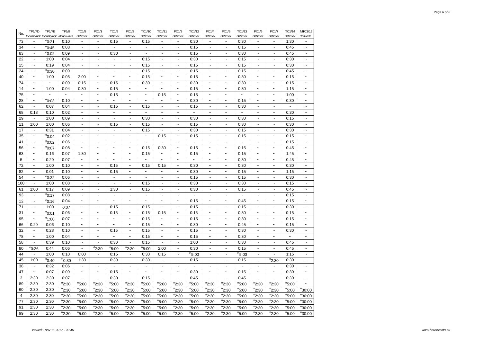| No.                     | TP1/7D                    | <b>TP1/7E</b>             | TF1/9                              | <b>TC1/8</b>              | PC1/1                     | TC1/9                     | PC1/2                     | TC1/10                    | TC1/11                    | PC1/3                     | TC1/12                    | PC1/4                     | PC1/5                     | TC1/13                | PC1/6                     | PC1/7                               | TC1/14                | MTC1/15                   |
|-------------------------|---------------------------|---------------------------|------------------------------------|---------------------------|---------------------------|---------------------------|---------------------------|---------------------------|---------------------------|---------------------------|---------------------------|---------------------------|---------------------------|-----------------------|---------------------------|-------------------------------------|-----------------------|---------------------------|
|                         |                           |                           | Wensleydale Wensleydale Manoeuvres | Catterick                 | Catterick                 | Catterick                 | Catterick                 | Catterick                 | Catterick                 | Catterick                 | Catterick                 | Catterick                 | Catterick                 | Catterick             | Catterick                 | Catterick                           | Catterick             | Redworth                  |
| 73                      | $\sim$                    | $^{\circ}$ 0:21           | 0:10                               | $\tilde{\phantom{a}}$     | $\sim$                    | 0:15                      | $\sim$                    | 0:15                      | $\tilde{\phantom{a}}$     | $\tilde{}$                | 0:30                      | $\tilde{\phantom{a}}$     | $\tilde{\phantom{a}}$     | 0:30                  | $\tilde{\phantom{a}}$     | $\tilde{\phantom{a}}$               | 1:30                  | $\widetilde{\phantom{m}}$ |
| 34                      | $\tilde{}$                | $^{\circ}$ 0:45           | 0:08                               | $\widetilde{\phantom{m}}$ | $\ddot{\phantom{0}}$      | $\ddot{\phantom{1}}$      | $\sim$                    | $\widetilde{\phantom{m}}$ | $\tilde{\phantom{a}}$     | $\widetilde{\phantom{m}}$ | 0:15                      | $\sim$                    | $\widetilde{\phantom{m}}$ | 0:15                  | $\tilde{}$                | $\widetilde{\phantom{m}}$           | 0:45                  | $\widetilde{\phantom{m}}$ |
| 83                      | $\tilde{\phantom{a}}$     | $^{\circ}$ 0:02           | 0:09                               | $\tilde{\phantom{a}}$     | $\ddot{\phantom{1}}$      | 0:30                      | $\sim$                    | $\tilde{\phantom{a}}$     | $\tilde{\phantom{a}}$     | $\tilde{\phantom{a}}$     | 0:15                      | $\tilde{}$                | $\ddot{\phantom{0}}$      | 0:30                  | $\tilde{\phantom{a}}$     | $\tilde{\phantom{a}}$               | 0:45                  | $\tilde{\phantom{a}}$     |
| 22                      | $\tilde{\phantom{a}}$     | 1:00                      | 0:04                               | $\ddot{\phantom{0}}$      | $\ddot{\phantom{1}}$      | $\tilde{\phantom{a}}$     | $\widetilde{\phantom{m}}$ | 0:15                      | $\tilde{\phantom{a}}$     | $\tilde{\phantom{a}}$     | 0:30                      | $\tilde{\phantom{a}}$     | $\tilde{\phantom{a}}$     | 0:15                  | $\tilde{\phantom{a}}$     | $\tilde{\phantom{a}}$               | 0:30                  | $\tilde{\phantom{a}}$     |
| 15                      | $\tilde{\phantom{a}}$     | 0:19                      | 0:04                               | $\tilde{}$                | $\sim$                    | $\overline{ }$            | $\sim$                    | 0:15                      | $\tilde{\phantom{a}}$     | $\tilde{}$                | 0:15                      | $\widetilde{\phantom{m}}$ | $\sim$                    | 0:15                  | $\tilde{}$                | $\tilde{\phantom{a}}$               | 0:30                  | $\widetilde{\phantom{m}}$ |
| 24                      | $\sim$                    | $^{\circ}$ 0:30           | 0:09                               | $\ddot{\phantom{0}}$      | $\sim$                    | $\sim$                    | $\sim$                    | 0:15                      | $\tilde{}$                | $\tilde{\phantom{a}}$     | 0:15                      | $\widetilde{\phantom{m}}$ | $\sim$                    | 0:15                  | $\sim$                    | $\tilde{\phantom{a}}$               | 0:45                  | $\widetilde{\phantom{m}}$ |
| 40                      | $\tilde{\phantom{a}}$     | 1:00                      | 0:05                               | 2:00                      | $\ddot{\phantom{0}}$      | $\ddot{\phantom{1}}$      | $\ddot{\phantom{1}}$      | 0:15                      | $\tilde{\phantom{a}}$     | $\tilde{\phantom{a}}$     | 0:15                      | $\sim$                    | $\sim$                    | 0:30                  | $\tilde{\phantom{a}}$     | $\sim$                              | 0:15                  | $\tilde{\phantom{a}}$     |
| 74                      | $\tilde{}$                | $\tilde{\phantom{a}}$     | 0:09                               | 0:15                      | $\ddot{\phantom{1}}$      | 0:15                      | $\widetilde{\phantom{m}}$ | 0:30                      | $\tilde{}$                | $\widetilde{\phantom{m}}$ | 0:30                      | $\widetilde{\phantom{m}}$ | $\tilde{}$                | 0:30                  | $\widetilde{\phantom{m}}$ | $\widetilde{\phantom{m}}$           | 0:15                  | $\widetilde{\phantom{m}}$ |
| 14                      | $\tilde{\phantom{a}}$     | 1:00                      | 0:04                               | 0:30                      | $\tilde{}$                | 0:15                      | $\tilde{}$                | $\widetilde{\phantom{m}}$ | $\tilde{}$                | $\widetilde{\phantom{m}}$ | 0:15                      | $\widetilde{\phantom{m}}$ | $\tilde{}$                | 0:30                  | $\tilde{}$                | $\widetilde{\phantom{m}}$           | 1:15                  | $\tilde{}$                |
| 75                      | $\tilde{\phantom{a}}$     | $\widetilde{\phantom{m}}$ | $\sim$                             | $\widetilde{\phantom{m}}$ | $\tilde{\phantom{a}}$     | 0:15                      | $\widetilde{\phantom{m}}$ | $\tilde{\phantom{a}}$     | 0:15                      | $\widetilde{\phantom{m}}$ | 0:15                      | $\tilde{}$                | $\sim$                    | $\sim$                | $\tilde{\phantom{a}}$     | $\tilde{\phantom{a}}$               | 1:00                  | $\widetilde{\phantom{m}}$ |
| 28                      | $\tilde{\phantom{a}}$     | $^{\circ}$ 0:03           | 0:10                               | $\tilde{}$                | $\ddot{\phantom{0}}$      | $\ddot{\phantom{1}}$      | $\tilde{}$                | $\tilde{}$                | $\widetilde{\phantom{m}}$ | $\widetilde{\phantom{m}}$ | 0:30                      | $\widetilde{\phantom{m}}$ | $\tilde{}$                | 0:15                  | $\tilde{}$                | $\tilde{\phantom{a}}$               | 0:30                  | $\tilde{}$                |
| 62                      | $\sim$                    | 0:07                      | 0:04                               | $\ddot{\phantom{0}}$      | $\ddot{\phantom{0}}$      | 0:15                      | $\ddot{\phantom{0}}$      | 0:15                      | $\sim$                    | $\tilde{\phantom{a}}$     | 0:15                      | $\tilde{\phantom{a}}$     | $\ddot{\phantom{0}}$      | 0:30                  | $\sim$                    | $\sim$                              | $\tilde{\phantom{a}}$ | $\tilde{\phantom{a}}$     |
| 68                      | 0:18                      | 0:10                      | 0:02                               | $\widetilde{\phantom{m}}$ | $\widetilde{\phantom{m}}$ | $\widetilde{\phantom{m}}$ | $\overline{ }$            | $\tilde{\phantom{a}}$     | $\tilde{}$                | $\widetilde{\phantom{m}}$ | $\widetilde{\phantom{m}}$ | $\widetilde{\phantom{m}}$ | $\widetilde{\phantom{m}}$ | $\tilde{\phantom{a}}$ | $\widetilde{\phantom{m}}$ | $\tilde{\phantom{a}}$               | 0:30                  | $\widetilde{\phantom{m}}$ |
| 29                      | $\sim$                    | 1:00                      | 0:09                               | $\tilde{}$                | $\ddot{\phantom{1}}$      | $\sim$                    | $\overline{ }$            | 0:30                      | $\tilde{\phantom{a}}$     | $\widetilde{\phantom{m}}$ | 0:30                      | $\widetilde{\phantom{m}}$ | $\tilde{}$                | 0:30                  | $\widetilde{\phantom{m}}$ | $\widetilde{\phantom{m}}$           | 0:15                  | $\widetilde{\phantom{m}}$ |
| 11                      | 1:00                      | 1:00                      | 0:06                               | $\tilde{\phantom{a}}$     | $\ddot{\phantom{0}}$      | 0:15                      | $\tilde{\phantom{a}}$     | 0:15                      | $\tilde{\phantom{a}}$     | $\tilde{\phantom{a}}$     | 0:15                      | $\tilde{\phantom{a}}$     | $\ddot{\phantom{0}}$      | 0:30                  | $\tilde{\phantom{a}}$     | $\sim$                              | 0:30                  | $\tilde{\phantom{a}}$     |
| 17                      | $\sim$                    | 0:31                      | 0:04                               | $\widetilde{\phantom{m}}$ | $\sim$                    | $\ddot{\phantom{0}}$      | $\sim$                    | 0:15                      | $\sim$                    | $\sim$                    | 0:30                      | $\sim$                    | $\sim$                    | 0:15                  | $\sim$                    | $\sim$                              | 0:30                  | $\widetilde{\phantom{m}}$ |
| 35                      | $\tilde{\phantom{a}}$     | $^{\circ}$ 0:04           | 0:02                               | $\ddot{\phantom{0}}$      | $\ddot{\phantom{0}}$      | $\ddot{ }$                | $\ddot{\phantom{0}}$      | $\widetilde{\phantom{m}}$ | 0:15                      | $\widetilde{\phantom{m}}$ | 0:15                      | $\widetilde{\phantom{m}}$ | $\ddot{\phantom{1}}$      | 0:15                  | $\tilde{\phantom{a}}$     | $\ddot{\phantom{0}}$                | 0:15                  | $\widetilde{\phantom{m}}$ |
| 41                      | $\tilde{}$                | $^{\circ}$ 0:02           | 0:06                               | $\tilde{}$                | $\tilde{\phantom{a}}$     | $\ddot{ }$                | $\sim$                    | $\widetilde{\phantom{m}}$ | $\tilde{\phantom{a}}$     | $\widetilde{\phantom{m}}$ | $\tilde{}$                | $\tilde{}$                | $\tilde{\phantom{a}}$     | $\tilde{\phantom{a}}$ | $\widetilde{\phantom{m}}$ | $\widetilde{\phantom{m}}$           | 0:15                  | $\widetilde{\phantom{m}}$ |
| 56                      | $\tilde{}$                | $e_{0:07}$                | 0:08                               | $\tilde{}$                | $\tilde{\phantom{a}}$     | $\tilde{\phantom{a}}$     | $\tilde{}$                | 0:15                      | 0:30                      | $\widetilde{\phantom{m}}$ | 0:15                      | $\widetilde{\phantom{m}}$ | $\tilde{}$                | 0:15                  | $\widetilde{\phantom{m}}$ | $\widetilde{\phantom{m}}$           | 0:45                  | $\tilde{}$                |
| 63                      | $\tilde{\phantom{a}}$     | 0:16                      | 0:07                               | 1:30                      | $\ddot{\phantom{0}}$      | $\ddot{\phantom{1}}$      | $\ddot{\phantom{1}}$      | 0:15                      | $\widetilde{\phantom{m}}$ | $\widetilde{\phantom{m}}$ | 0:15                      | $\widetilde{\phantom{m}}$ | $\widetilde{\phantom{m}}$ | 0:15                  | $\widetilde{\phantom{m}}$ | $\widetilde{\phantom{m}}$           | 1:45                  | $\widetilde{\phantom{m}}$ |
| 5                       | $\sim$                    | 0:29                      | 0:07                               | $\ddot{\phantom{0}}$      | $\ddot{\phantom{0}}$      | $\ddot{\phantom{0}}$      | $\ddot{\phantom{0}}$      | $\sim$                    | $\sim$                    | $\tilde{\phantom{a}}$     | $\sim$                    | $\tilde{\phantom{a}}$     | $\ddot{\phantom{0}}$      | 0:30                  | $\sim$                    | $\sim$                              | 0:45                  | $\tilde{\phantom{a}}$     |
| 72                      | $\widetilde{\phantom{m}}$ | 1:00                      | 0:10                               | $\tilde{}$                | $\tilde{}$                | 0:15                      | $\ddot{\phantom{1}}$      | 0:15                      | 0:15                      | $\widetilde{\phantom{m}}$ | 0:30                      | $\widetilde{\phantom{m}}$ | $\widetilde{\phantom{m}}$ | 0:30                  | $\tilde{}$                | $\widetilde{\phantom{m}}$           | 0:30                  | $\widetilde{\phantom{m}}$ |
| 82                      | $\widetilde{\phantom{m}}$ | 0:01                      | 0:10                               | $\tilde{}$                | $\ddot{\phantom{1}}$      | 0:15                      | $\widetilde{\phantom{m}}$ | $\tilde{}$                | $\tilde{\phantom{a}}$     | $\widetilde{\phantom{m}}$ | 0:30                      | $\widetilde{\phantom{m}}$ | $\ddot{\phantom{0}}$      | 0:15                  | $\widetilde{\phantom{m}}$ | $\tilde{\phantom{a}}$               | 1:15                  | $\widetilde{\phantom{m}}$ |
| 54                      | $\tilde{\phantom{a}}$     | $^{\circ}$ 0:32           | 0:06                               | $\widetilde{\phantom{m}}$ | $\ddot{\phantom{1}}$      | $\tilde{}$                | $\tilde{}$                | $\widetilde{\phantom{m}}$ | $\tilde{\phantom{a}}$     | $\widetilde{\phantom{m}}$ | 0:15                      | $\widetilde{\phantom{m}}$ | $\widetilde{\phantom{m}}$ | 0:15                  | $\widetilde{\phantom{m}}$ | $\widetilde{\phantom{m}}$           | 0:30                  | $\tilde{}$                |
| 100                     | $\tilde{\phantom{a}}$     | 1:00                      | 0:08                               | $\sim$                    | $\ddot{\phantom{0}}$      | $\sim$                    | $\overline{ }$            | 0:15                      | $\tilde{\phantom{a}}$     | $\widetilde{\phantom{m}}$ | 0:30                      | $\sim$                    | $\sim$                    | 0:30                  | $\tilde{}$                | $\widetilde{\phantom{m}}$           | 0:15                  | $\widetilde{\phantom{m}}$ |
| 61                      | 1:00                      | 0:17                      | 0:09                               | $\ddot{\phantom{0}}$      | $\ddot{\phantom{0}}$      | 1:30                      | $\ddot{\phantom{0}}$      | 0:15                      | $\sim$                    | $\sim$                    | 0:30                      | $\sim$                    | $\ddot{\phantom{0}}$      | 0:15                  | $\tilde{\phantom{a}}$     | $\tilde{\phantom{a}}$               | 0:45                  | $\tilde{\phantom{a}}$     |
| 93                      | $\sim$                    | $^{\rm e}$ 0:17           | 0:08                               | $\ddot{\phantom{0}}$      | $\ddot{\phantom{0}}$      | $\tilde{\phantom{a}}$     | $\ddot{\phantom{0}}$      | $\tilde{\phantom{a}}$     | $\sim$                    | $\sim$                    | $\sim$                    | $\sim$                    | $\ddot{ }$                | $\ddot{ }$            | $\sim$                    | $\sim$                              | 0:15                  | $\widetilde{\phantom{m}}$ |
| 12                      | $\tilde{\phantom{a}}$     | $^{\circ}$ 0:16           | 0:04                               | $\tilde{}$                | $\ddot{\phantom{0}}$      | $\ddot{\phantom{1}}$      | $\ddot{\phantom{0}}$      | $\tilde{}$                | $\tilde{\phantom{a}}$     | $\widetilde{\phantom{m}}$ | 0:15                      | $\widetilde{\phantom{m}}$ | $\ddot{\phantom{1}}$      | 0:45                  | $\tilde{\phantom{a}}$     | $\ddot{\phantom{0}}$                | 0:15                  | $\widetilde{\phantom{m}}$ |
| 71                      | $\tilde{}$                | 1:00                      | 0:07                               | $\tilde{}$                | $\ddot{\phantom{1}}$      | 0:15                      | $\ddot{\phantom{0}}$      | 0:15                      | $\widetilde{\phantom{m}}$ | $\tilde{}$                | 0:15                      | $\tilde{}$                | $\ddot{\phantom{1}}$      | 0:15                  | $\widetilde{\phantom{m}}$ | $\widetilde{\phantom{m}}$           | 0:30                  | $\tilde{}$                |
| 31                      | $\tilde{\phantom{a}}$     |                           | 0:06                               | $\widetilde{\phantom{m}}$ | $\ddot{\phantom{1}}$      | 0:15                      | $\ddot{\phantom{1}}$      | 0:15                      | 0:15                      | $\widetilde{\phantom{m}}$ | 0:15                      | $\widetilde{\phantom{m}}$ | $\widetilde{\phantom{m}}$ | 0:30                  | $\tilde{\phantom{a}}$     | $\tilde{\phantom{a}}$               | 0:15                  | $\widetilde{\phantom{m}}$ |
| 95                      | $\widetilde{\phantom{m}}$ | $^{\circ}$ 0:01           | 0:07                               |                           |                           |                           |                           | 0:15                      |                           | $\widetilde{\phantom{m}}$ | 0:15                      | $\widetilde{\phantom{m}}$ | $\widetilde{\phantom{m}}$ | 0:30                  |                           | $\tilde{\phantom{a}}$               | 0:15                  |                           |
|                         | 0:29                      | $^{\circ}$ 1:00           |                                    | $\tilde{}$                | $\ddot{\phantom{0}}$      | $\ddot{\phantom{1}}$      | $\ddot{\phantom{0}}$      |                           | $\widetilde{\phantom{m}}$ |                           |                           |                           |                           |                       | $\widetilde{\phantom{m}}$ |                                     |                       | $\tilde{}$                |
| 66<br>32                |                           | 0:06                      | 0:10<br>0:10                       | $\tilde{}$                | $\tilde{\phantom{a}}$     | $\tilde{}$<br>0:15        | $\widetilde{\phantom{m}}$ | 0:15                      | $\tilde{\phantom{a}}$     | $\tilde{}$                | 0:30                      | $\tilde{\phantom{a}}$     | $\tilde{}$                | 0:45                  | $\tilde{\phantom{a}}$     | $\tilde{\phantom{a}}$               | 0:15                  | $\tilde{}$                |
|                         | $\widetilde{\phantom{m}}$ | 0:28                      |                                    | $\tilde{}$                | $\tilde{}$                |                           | $\tilde{}$                | 0:15                      | $\widetilde{\phantom{m}}$ | $\widetilde{\phantom{m}}$ | 0:15                      | $\widetilde{\phantom{m}}$ | $\widetilde{\phantom{m}}$ | 0:30                  | $\tilde{}$                | $\widetilde{\phantom{m}}$<br>$\sim$ | 0:30                  | $\widetilde{\phantom{m}}$ |
| 78                      | $\tilde{\phantom{a}}$     | 1:00                      | 0:04                               | $\sim$                    | $\tilde{\phantom{a}}$     | $\widetilde{\phantom{m}}$ | $\sim$<br>$\sim$          | 0:15                      | $\tilde{\phantom{a}}$     | $\widetilde{\phantom{m}}$ | 0:15                      | $\sim$                    | $\tilde{\phantom{a}}$     | 0:30                  | $\tilde{}$                |                                     | $\tilde{\phantom{a}}$ | $\widetilde{\phantom{m}}$ |
| 58                      | $\sim$                    | 0:39                      | 0:10                               | $\tilde{\phantom{a}}$     | $\tilde{\phantom{a}}$     | 0:30                      |                           | 0:15                      | $\tilde{\phantom{a}}$     | $\tilde{\phantom{a}}$     | 1:00                      | $\tilde{}$                | $\tilde{\phantom{a}}$     | 0:30                  | $\tilde{\phantom{a}}$     | $\tilde{\phantom{a}}$               | 0:45                  | $\tilde{\phantom{a}}$     |
| 80                      | $^{\circ}$ 0:26           | 0:44                      | 0:06                               | $\tilde{\phantom{a}}$     | $^{d}$ 2:30               | <sup>n</sup> 5:00         | $n_{2:30}$                | "5:00"                    | 2:00                      | $\tilde{\phantom{a}}$     | 0:30                      | $\tilde{\phantom{a}}$     | $\tilde{\phantom{a}}$     | 0:15                  | $\tilde{\phantom{a}}$     | $\tilde{\phantom{a}}$               | 0:45                  | $\tilde{\phantom{a}}$     |
| 44                      | $\tilde{\phantom{a}}$     | 1:00                      | 0:10                               | 0:00                      | $\tilde{}$                | 0:15                      | $\tilde{\phantom{a}}$     | 0:30                      | 0:15                      | $\tilde{\phantom{a}}$     | $m_{5:00}$                | $\ddot{\phantom{0}}$      | $\sim$                    | $m_{5:00}$            | $\tilde{\phantom{a}}$     | $\tilde{\phantom{a}}$               | 1:15                  | $\widetilde{\phantom{m}}$ |
| 45                      | 1:00                      | $^{\circ}$ 0:40           | $^{\rm m}$ 0:30                    | 1:30                      | $\tilde{}$                | 0:30                      | $\widetilde{\phantom{m}}$ | 0:30                      | $\tilde{\phantom{a}}$     | $\tilde{}$                | 0:15                      | $\tilde{}$                | $\tilde{\phantom{a}}$     | 0:15                  | $\widetilde{\phantom{m}}$ | $n_{2:30}$                          | 0:30                  | $\tilde{}$                |
| 38                      | $\sim$                    | 0:32                      | 0:06                               | $\widetilde{\phantom{m}}$ | $\ddot{\phantom{0}}$      | $\sim$                    | $\ddot{\phantom{1}}$      | $\tilde{}$                | $\tilde{\phantom{a}}$     | $\sim$                    | $\tilde{}$                | $\ddot{\phantom{0}}$      | $\sim$                    | $\tilde{}$            | $\sim$                    | $\widetilde{\phantom{m}}$           | 0:30                  | $\widetilde{\phantom{m}}$ |
| 47                      | $\tilde{\phantom{a}}$     | 0:07                      | 0:09                               | $\widetilde{\phantom{m}}$ | $\ddot{\phantom{1}}$      | 0:15                      | $\widetilde{\phantom{m}}$ | $\widetilde{\phantom{m}}$ | $\tilde{}$                | $\widetilde{\phantom{m}}$ | 0:30                      | $\widetilde{\phantom{m}}$ | $\widetilde{\phantom{m}}$ | 0:15                  | $\widetilde{\phantom{m}}$ | $\widetilde{\phantom{m}}$           | 0:30                  | $\widetilde{\phantom{m}}$ |
| 3                       | 2:30                      | 2:30                      | 0:07                               | $\tilde{}$                | $\widetilde{\phantom{m}}$ | 0:30                      | $\widetilde{\phantom{m}}$ | 0:15                      | $\widetilde{\phantom{m}}$ | $\widetilde{\phantom{m}}$ | 0:45                      | $\widetilde{\phantom{m}}$ | $\widetilde{\phantom{m}}$ | 0:45                  | $\widetilde{\phantom{m}}$ | $\widetilde{\phantom{m}}$           | 0:30                  | $\tilde{}$                |
| 89                      | 2:30                      | 2:30                      | $n_{2:30}$                         | $^{\circ}5:00$            | $n_{2:30}$                | $n_{5:00}$                | $n_{2:30}$                | $n_{5:00}$                | $n_{5:00}$                | $n_{2:30}$                | <sup>n</sup> 5:00         | $n_{2:30}$                | $n_{2:30}$                | $n_{5:00}$            | $n_{2:30}$                | $n_{2:30}$                          | $n_{5:00}$            | $\widetilde{\phantom{m}}$ |
| 60                      | 2:30                      | 2:30                      | $n_{2:30}$                         | <sup>n</sup> 5:00         | $n_{2:30}$                | $n_{5:00}$                | $n_{2:30}$                | $n_{5:00}$                | $n_{5:00}$                | $n_{2:30}$                | $n_{5:00}$                | $n_{2:30}$                | $n_{2:30}$                | $n_{5:00}$            | $n_{2:30}$                | $n_{2:30}$                          | $n_{5:00}$            | <sup>n</sup> 30:00        |
| $\overline{\mathbf{4}}$ | 2:30                      | 2:30                      | $n_{2:30}$                         | $n_{5:00}$                | $n_{2:30}$                | $n_{5:00}$                | $n_{2:30}$                | $n_{5:00}$                | $n_{5:00}$                | $n_{2:30}$                | $n_{5:00}$                | $n_{2:30}$                | $n_{2:30}$                | $n_{5:00}$            | $n_{2:30}$                | $n_{2:30}$                          | $n_{5:00}$            | $n_{30:00}$               |
| 77                      | 2:30                      | 2:30                      | $n_{2:30}$                         | <sup>n</sup> 5:00         | $n_{2:30}$                | <sup>n</sup> 5:00         | $n_{2:30}$                | $n_{5:00}$                | $n_{5:00}$                | $n_{2:30}$                | <sup>n</sup> 5:00         | $n_{2:30}$                | $n_{2:30}$                | $n_{5:00}$            | $n_{2:30}$                | $n_{2:30}$                          | <sup>n</sup> 5:00     | <sup>n</sup> 30:00        |
| 91                      | 2:30                      | 2:30                      | $n_{2:30}$                         | <sup>n</sup> 5:00         | <sup>n</sup> 2:30         | $n_{5:00}$                | $n_{2:30}$                | $n_{5:00}$                | $n_{5:00}$                | $n_{2:30}$                | $n_{5:00}$                | $n_{2:30}$                | $n_{2:30}$                | $n_{5:00}$            | $n_{2:30}$                | $n_{2:30}$                          | $n_{5:00}$            | <sup>n</sup> 30:00        |
| 99                      | 2:30                      | 2:30                      | $n_{2:30}$                         | $n_{5:00}$                | $n_{2:30}$                | $n_{5:00}$                | $n_{2:30}$                | $n_{5:00}$                | $n$ 5:00                  | $n_{2:30}$                | $n_{5:00}$                | $n_{2:30}$                | $n_{2:30}$                | $n_{5:00}$            | $n_{2:30}$                | $n_{2:30}$                          | $n_{5:00}$            | $n_{30:00}$               |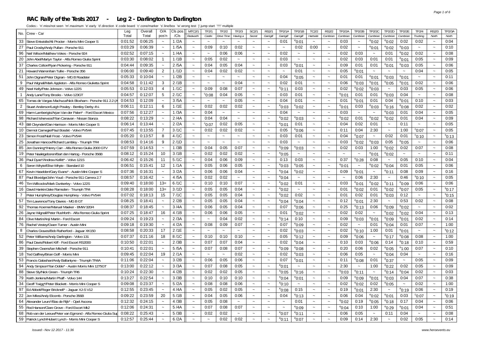#### **RAC Rally of the Tests 2017 - Leg 2 - Darlington to Darlington**

| Crew - Car<br>No.                                                | Leg     | Overal  | O/A                       | Cls pos | <b>MTC2/1</b>         | <b>TF2/1</b>              | TF2/2                 | TF2/3                 | SC2/1                     | <b>RS2/1</b>              | TP2/1A                | TP2/1B                | TC2/2                     | <b>RS2/2</b>          | TP2/2A                | TP2/2B                    | <b>TP2/2C</b>             | TP2/2D            | <b>TP2/2E</b>         | TF2/4           | RS2/3                 | <b>TP2/3A</b>   |
|------------------------------------------------------------------|---------|---------|---------------------------|---------|-----------------------|---------------------------|-----------------------|-----------------------|---------------------------|---------------------------|-----------------------|-----------------------|---------------------------|-----------------------|-----------------------|---------------------------|---------------------------|-------------------|-----------------------|-----------------|-----------------------|-----------------|
|                                                                  | Total   | Total   | pos'n                     | /Cls    | Redworth              | Castle                    | Drive Time            | Having a              | Secret                    | Garrigill                 | Garrigill             | Garrigill             | Hartside                  | Cumbrian              | Cumbrian              | Cumbrian                  | Cumbrian                  | Cumbrian          | Cumbrian              | Trucking        | North                 | North           |
| Steve Entwistle/Ali Procter - Morris Mini Cooper S<br>33         | 0:01:52 | 0:06:25 | $\sim$                    | 1/2A    | $\sim$                | ∴.                        | $\sim$                | $\sim$                | $\sim$                    | $\sim$                    | 0:01                  | $^{\circ}$ 0:01       | $\sim$                    | $\sim$                | 0:03                  | $\sim$                    | $^{\circ}$ 0:02           | $^{\circ}$ 0:02   | 0:02                  | 0:02            | $\sim$                | 0:04            |
| 27<br>Paul Crosby/Andy Pullan - Porsche 911                      | 0:03:29 | 0:06:39 |                           | 1/5A    | $\tilde{\phantom{a}}$ | 0:09                      | 0:10                  | 0:02                  | $\sim$                    | $\tilde{\phantom{a}}$     | $\sim$                | 0:02                  | 0:00                      | $\tilde{}$            | 0:02                  | $\widetilde{\phantom{m}}$ | $^{\circ}$ 0:01           | $^{\rm e}$ 0:02   | $^{\circ}$ 0:03       | $\sim$          | $\sim$                | 0:10            |
| 96<br>Neil Wilson/Matthew Vokes - Porsche 924                    | 0:02:52 | 0:07:15 | $\sim$                    | 1/4A    | $\sim$                | $\sim$                    | 0:06                  | 0:06                  | $\sim$                    | $\sim$                    | 0:02                  | $\sim$                | $\sim$                    | $\sim$                | 0:02                  | 0:03                      | $\thicksim$               | 0:01              | $^{\circ}$ 0:02       | 0:02            | $\sim$                | 0:08            |
| 20<br>John Abel/Martyn Taylor - Alfa Romeo Giulia Sprint         | 0:03:30 | 0:08:02 | $\overline{1}$            | 1/1B    | $\tilde{}$            | 0:05                      | 0:02                  | $\sim$                | $\sim$                    | $\tilde{\phantom{a}}$     | 0:03                  | $\sim$                | $\sim$                    | $\tilde{}$            | 0:02                  | 0:03                      | 0:01                      | 0:01              | $^{\circ}$ 0:01       | 0:05            | $\sim$                | 0:09            |
| 37<br>Charles Colton/Ryan Pickering - Porsche 911                | 0:04:44 | 0:09:35 | $\sim$                    | 2/5A    | $\sim$                | 0:04                      | 0:05                  | 0:04                  | $\sim$                    | $\sim$                    | 0:03                  | $^{\circ}$ 0:01       | $\sim$                    | $\tilde{\phantom{a}}$ | 0:09                  | 0:01                      | 0:01                      | °0:01             | $^{\circ}$ 0:03       | 0:05            | $\sim$                | 0:06            |
| 21<br>Howard Warren/lain Tullie - Porsche 356                    | 0:06:00 | 0:09:40 | $\overline{2}$            | 1/1D    | $\tilde{\phantom{a}}$ | 0:04                      | 0:02                  | 0:02                  | $\tilde{\phantom{a}}$     | $\tilde{}$                | $\sim$                | 0:01                  | $\tilde{\phantom{a}}$     | $\tilde{\phantom{a}}$ | 0:05                  | $^{\rm e}$ 0:01           | $\sim$                    | $\sim$            | $\tilde{\phantom{a}}$ | 0:04            | $\sim$                | 0:05            |
| 51<br>John Dignan/Peter Dignan - MG B Roadster                   | 0:05:33 | 0:10:04 |                           | 1/2B    | $\tilde{\phantom{a}}$ | $\sim$                    | $\sim$                | $\sim$                | $\sim$                    | $\tilde{\phantom{a}}$     | 0:04                  | $^{\circ}$ 0:05       | $\sim$                    | $\tilde{\phantom{a}}$ | 0:01                  | 0:01                      | $^{\circ}$ 0:01           | $^{\circ}$ 0:03   | $^{\rm e}$ 0:01       | $\sim$          |                       | 0:11            |
| 9<br>Paul Wignall/Mark Appleton - Alfa Romeo Giulietta Sprint    | 0:04:58 | 0:11:42 | 3                         | 2/1B    | $\ddot{\phantom{1}}$  | $\sim$                    | $\tilde{\phantom{a}}$ | 0:04                  | $\tilde{\phantom{a}}$     | $\tilde{\phantom{a}}$     | 0:02                  | 0:01                  | $\sim$                    | $\tilde{\phantom{a}}$ | 0:06                  | °0:03                     | $^{\circ}$ 0:01           | $^{\circ}$ 0:05   | $^{\circ}$ 0:01       | 0:02            | $\sim$                | 0:06            |
| 49<br>Noel Kelly/Pete Johnson - Volvo 122S                       | 0:05:53 | 0:12:03 | 4                         | 1/1C    | $\tilde{\phantom{a}}$ | 0:09                      | 0:08                  | 0:07                  | $\tilde{\phantom{a}}$     | $\tilde{}$                | $^{\circ}$ 0:11       | 0:03                  | $\tilde{\phantom{a}}$     | $\tilde{\phantom{a}}$ | 0:02                  | °0:02                     | $^{\circ}$ 0:03           | $\sim$            | 0:03                  | 0:05            |                       | 0:06            |
| $\overline{1}$<br>Andy Lane/Tony Brooks - Volvo 123GT            | 0:04:57 | 0:12:07 | 5                         | 2/1C    | $\ddot{\phantom{1}}$  | $^{\circ}$ 0:08           | 0:04                  | 0:05                  | $\sim$                    | $\tilde{\phantom{a}}$     | 0:03                  | 0:01                  | $\sim$                    | $\ddot{\phantom{1}}$  | <sup>e</sup> 0:01     | 0:01                      | 0:01                      | $^{\circ}$ 0:03   | 0:04                  | $\sim$          |                       | 0:08            |
| 65<br>Tomas de Vargas Machuca/Nick Bloxham - Porsche 911 2.2 (A  | 0:04:53 | 0:12:09 |                           | 3/5A    | $\ddot{\phantom{0}}$  | $\tilde{\phantom{a}}$     | $\tilde{\phantom{a}}$ | 0:05                  | $\tilde{\phantom{a}}$     | $\tilde{}$                | 0:04                  | 0:01                  | $\tilde{\phantom{a}}$     | $\tilde{}$            | 0:01                  | <sup>e</sup> 0:01         | 0:01                      | 0:04              | $^{\circ}$ 0:01       | 0:10            | $\sim$                | 0:03            |
| 2<br>Stuart Anderson/Leigh Powley - Bentley Derby 41/4           | 0:06:11 | 0:12:11 | 6                         | 1/1E    | $\ddot{\phantom{1}}$  | 0:02                      | 0:02                  | 0:02                  | $\sim$                    | $\tilde{}$                | $^{\circ}$ 0:03       | $^{\rm e}$ 0:02       | $\tilde{\phantom{a}}$     | $\tilde{}$            | $^{\circ}$ 0:01       | 0:03                      | $^{\circ}$ 0:03           | $^{\circ}$ 0:16   | $e_{0:08}$            | 0:02            |                       | 0:02            |
| 69<br>Harm Lamberigts/Arjan Van der Palen* - Ford Escort Mexico  | 0:07:56 | 0:12:27 |                           | 1/3A    | $\ddot{ }$            | 0:04                      | $\tilde{\phantom{a}}$ | $\sim$                | $\tilde{\phantom{a}}$     | $\tilde{\phantom{a}}$     | 0:04                  | $\tilde{\phantom{a}}$ | $\sim$                    | $\sim$                | 0:03                  | $\tilde{\phantom{a}}$     | $\tilde{\phantom{a}}$     | °0:03             | 0:01                  | 0:04            | $\sim$                | 0:05            |
| 98<br>Richard Isherwood*/lan Canavan - Nissan Stanza             | 0:08:22 | 0:13:29 |                           | 2/4A    | $\tilde{\phantom{a}}$ | 0:04                      | 0:04                  | $\sim$                | $\sim$                    | $\tilde{}$                | $^{\circ}$ 0:02       | $^{\circ}$ 0:03       | $\sim$                    | $\tilde{\phantom{a}}$ | $e_{0:02}$            | 0:01                      | $^{\circ}$ 0:02           | $^{\circ}$ 0:02   | 0:01                  | 0:04            | $\sim$                | 0:09            |
| 43<br>Bill Cleyndert/Dan Harrison - Morris Mini Cooper S         | 0:06:14 | 0:13:44 |                           | 2/2A    | $\ddot{\phantom{0}}$  | $^{\circ}$ 0:07           | 0:02                  | 0:05                  | $\sim$                    | $\tilde{\phantom{a}}$     | $^{\circ}$ 0:01       | 0:01                  | $\sim$                    | $\sim$                | 0:04                  | 0:02                      | 0:01                      | $\sim$            | 0:11                  | $\sim$          |                       | 0:05            |
| 10<br>Dermot Carnegie/Paul Bosdet - Volvo PV544                  | 0:07:45 | 0:13:55 | $\overline{7}$            | 3/1C    | $\ddot{\phantom{0}}$  | 0:02                      | 0:02                  | 0:02                  | $\sim$                    | $\tilde{\phantom{a}}$     | 0:05                  | $^{\circ}$ 0:06       | $\tilde{\phantom{a}}$     | $\ddot{\phantom{1}}$  | 0:11                  | 0:04                      | 2:30                      | $\sim$            | 1:00                  | $^{\circ}$ 0:07 | $\tilde{\phantom{a}}$ | 0:05            |
| 23<br>Simon Frost/Niall Frost - Volvo PV544                      | 0:05:20 | 0:13:57 | 8                         | 4/1C    | $\tilde{\phantom{a}}$ | $\sim$                    |                       |                       | $\sim$                    | $\tilde{\phantom{a}}$     | 0:03                  | 0:01                  | $\sim$                    | $\ddot{\phantom{1}}$  | 0:04                  | $^{\rm e}$ 0:07           | $\widetilde{\phantom{m}}$ | 0:02              | 0:01                  | $^{\circ}$ 0:10 | $\tilde{\phantom{a}}$ | $^{\circ}$ 0:13 |
| 25<br>Jonathan Hancox/Richard Lambley - Triumph TR4              | 0:08:53 | 0:14:16 | 9                         | 2/1D    | $\ddot{\phantom{0}}$  | $\sim$                    | $\tilde{\phantom{a}}$ | $\sim$                | $\tilde{\phantom{a}}$     | $\sim$                    | 0:03                  |                       | $\sim$                    | $\sim$                | 0:03                  | °0:02                     | $^{\circ}$ 0:03           | 0:05              | $^{\circ}$ 0:05       | $\sim$          | $\sim$                | 0:06            |
| 85<br>Jon Dunning*/Henry Carr - Alfa Romeo Giulia 2000 GTV       | 0:07:59 | 0:14:53 | $\sim$                    | 1/3B    | $\tilde{}$            | 0:04                      | 0:05                  | 0:07                  | $\widetilde{\phantom{m}}$ | $\tilde{}$                | $^{\circ}$ 0:09       | $^{\rm e}$ 0:03       | $\widetilde{\phantom{m}}$ | $\tilde{}$            | 0:02                  | 0:03                      | 1:00                      | $^{\rm e}$ 0:02   | 0:02                  | 0:07            |                       | 0:08            |
| 19<br>Peter Naaktgeboren/Bart den Hartog - Porsche 356B          | 0:08:12 | 0:15:24 | 10                        | 3/1B    | $\sim$                | 0:02                      | 0:02                  | 0:02                  | $\sim$                    | $\tilde{}$                | $^{\circ}$ 0:05       | $\sim$                | $\sim$                    | $\tilde{\phantom{a}}$ | $\sim$                | $\tilde{}$                | $^{\circ}$ 0:01           | °0:02             | $\sim$                | $\sim$          | $\sim$                | 0:11            |
| 36<br>Paul Dyas*/Andrew Kellitt* - Volvo 121S                    | 0:06:42 | 0:15:26 | 11                        | 5/1C    | $\tilde{\phantom{a}}$ | 0:04                      | 0:06                  | 0:09                  | $\tilde{\phantom{a}}$     | $\tilde{\phantom{a}}$     | 0:13                  | 0:03                  | $\tilde{\phantom{a}}$     | $\tilde{\phantom{a}}$ | 0:37                  | °0:28                     | 0:08                      | $\thicksim$       | 0:05                  | 0:10            | $\sim$                | 0:04            |
| 6<br>Seren Whyte/Elise Whyte - Standard 10                       | 0:06:51 | 0:15:41 | 12                        | 1/1A    | $\sim$                | 0:05                      | 0:06                  | 0:05                  | $\tilde{\phantom{a}}$     | $\widetilde{\phantom{m}}$ | $^{\circ}$ 0:03       | $^{\rm e}$ 0:05       | $\widetilde{\phantom{m}}$ | $\tilde{\phantom{a}}$ | $e_{0:01}$            | $\widetilde{\phantom{m}}$ | $^{\circ}$ 0:02           | $^{\circ}$ 0:04   | 0:01                  | 0:05            | $\tilde{\phantom{a}}$ | 0:06            |
| 67<br>Kevin Haselden/Gary Evans* - Austin Mini Cooper S          | 0:07:36 | 0:16:31 | $\widetilde{\phantom{m}}$ | 3/2A    | $\sim$                | 0:06                      | 0:06                  | 0:04                  | $\tilde{\phantom{a}}$     | $\tilde{\phantom{a}}$     | $^{\circ}$ 0:04       | $^{\rm e}$ 0:02       | $\tilde{\phantom{a}}$     | $\tilde{\phantom{a}}$ | 0:09                  | °0:01                     | $\thicksim$               | $^3$ 0:11         | 0:08                  | 0:09            | $\sim$                | 0:16            |
| 87<br>Paul Bloxidge/John Youd - Porsche 911 Carrera 2.7          | 0:08:57 | 0:16:42 | $\tilde{\phantom{a}}$     | 4/5A    | $\tilde{\phantom{a}}$ | 0:02                      | 0:02                  | $\tilde{\phantom{a}}$ | $\sim$                    | $\tilde{\phantom{a}}$     | $^{\circ}$ 0:04       | $\sim$                | $\sim$                    | $\tilde{\phantom{a}}$ | $\tilde{\phantom{a}}$ | 0:06                      | 2:30                      | $\sim$            | 0:46                  | $^{\circ}$ 0:10 | $\tilde{\phantom{a}}$ | 0:05            |
| 46<br>Tim Willcocks/Mark Dunkerley - Volvo 122S                  | 0:09:40 | 0:18:00 | $13=$                     | 6/1C    | $\sim$                | 0:10                      | 0:10                  | 0:07                  | $\sim$                    | $\tilde{\phantom{a}}$     | $^{\circ}$ 0:02       | 0:01                  | $\sim$                    | $\tilde{\phantom{a}}$ | 0:03                  | <sup>e</sup> 0:01         | $^{\circ}$ 0:02           | <sup>e</sup> 0:11 | $^{\circ}$ 0:09       | 0:06            | $\sim$                | 0:06            |
| 16<br>David Hankin/Jake Ramsden - Triumph TR4                    | 0:08:28 | 0:18:00 | $13=$                     | 3/1D    | $\tilde{\phantom{a}}$ | 0:05                      | 0:05                  | 0:04                  | $\tilde{\phantom{a}}$     | $\tilde{\phantom{a}}$     | $^{\circ}$ 0:02       | $\sim$                | $\sim$                    | $\tilde{\phantom{a}}$ | 0:01                  | $^{\rm e}$ 0:02           | 0:01                      | $^{\circ}$ 0:02   | $^{\circ}$ 0:07       | 0:05            | $\tilde{\phantom{a}}$ | $s_{0:17}$      |
| $\overline{7}$<br>Peter Humphrey/Douglas Humphrey - Volvo PV544  | 0:07:02 | 0:18:13 | 15                        | 7/1C    | $\sim$                | 0:05                      | 0:05                  | 0:04                  | $\sim$                    | $\tilde{\phantom{a}}$     | $^{\circ}$ 0:02       | 0:02                  | $\sim$                    | $\tilde{\phantom{a}}$ | 0:01                  | 0:02                      | 0:01                      | $^{\circ}$ 0:03   | 0:12                  | $\sim$          | $\sim$                | $^{\circ}$ 0:15 |
| 57<br>Tim Lawrence/Tony Davies - MG B GT                         | 0:08:25 | 0:18:41 | $\sim$                    | 2/2B    | $\sim$                | 0:05                      | 0:05                  | 0:04                  | $\sim$                    | $\widetilde{\phantom{m}}$ | $e_{0:04}$            | $^{\rm e}$ 0:04       | $\sim$                    | $\sim$                | 0:12                  | <sup>e</sup> 0:01         | 2:30                      | $\sim$            | 0:53                  | 0:02            | $\sim$                | 0:08            |
| 92<br>Thomas Koerner/Manuel Maeker - BMW 320/4                   | 0:08:37 | 0:18:45 | $\widetilde{\phantom{m}}$ | 3/4A    | $\sim$                | 0:06                      | 0:05                  | 0:04                  | $\sim$                    | $\sim$                    | 0:07                  | $^{\circ}$ 0:06       | $\sim$                    | $\sim$                | 0:25                  | $^{\circ}$ 0:13           | 0:06                      | $^{\rm e}$ 0:09   | $^{\circ}$ 0:02       | $\sim$          | $\tilde{\phantom{a}}$ | 0:02            |
| 26<br>Jayne Wignall/Peter Rushforth - Alfa Romeo Giulia Sprint   | 0:07:25 | 0:18:47 | 16                        | 4/1B    | $\sim$                | 0:06                      | 0:06                  | 0:05                  | $\sim$                    | $\sim$                    | 0:01                  | $^{\circ}$ 0:02       | $\sim$                    | $\sim$                | 0:02                  | 0:02                      | $\thicksim$               | $^{\rm e}$ 0:02   | $^{\circ}$ 0:02       | 0:04            | $\sim$                | 0:13            |
| 84<br>Clive Martin/Anji Martin - Ford Escort                     | 0:09:24 | 0:19:23 | $\widetilde{\phantom{m}}$ | 2/3A    | $\sim$                | $\widetilde{\phantom{m}}$ | 0:04                  | 0:02                  | $\sim$                    | $\tilde{}$                | $^{\circ}$ 0:14       | 0:10                  | $\sim$                    | $\sim$                | 0:09                  | $^{\rm e}$ 0:03           | $^{\circ}$ 0:01           | $^{\rm e}$ 0:09   | $^{\circ}$ 0:01       | 0:02            | $\sim$                | 0:14            |
| 76<br>Rachel Vestey/Owen Turner - Austin Mini                    | 0:09:18 | 0:19:30 | $\tilde{\phantom{a}}$     | 4/2A    | $\tilde{\phantom{a}}$ | 0:08                      | 0:09                  | 0:07                  | $\sim$                    | $\widetilde{\phantom{m}}$ | 0:07                  | $^{\circ}$ 0:09       | $\tilde{\phantom{a}}$     | $\tilde{\phantom{a}}$ | 0:02                  | $\widetilde{\phantom{m}}$ | 0:01                      | $^{\circ}$ 0:04   | 0:01                  | 0:07            | $\sim$                | 1:00            |
| 8<br>Charles Graves/Bob Rutherford - Jaquar XK150                | 0:08:58 | 0:20:33 | 17                        | 2/1E    | $\sim$                | $\sim$                    | $\sim$                | $\tilde{\phantom{a}}$ | $\sim$                    | $\tilde{\phantom{a}}$     | 0:02                  | $^{\circ}$ 0:03       | $\tilde{\phantom{a}}$     | $\sim$                | 0:02                  | <sup>e</sup> 0:10         | 1:00                      | 0:01              | $^{\circ}$ 0:01       | $\thicksim$     | $\sim$                | $^{\rm s}$ 0:12 |
| 52 Peter Williams/Andy Darlington - Volvo 131                    | 0:07:37 | 0:21:16 | 18                        | 8/1C    | $\sim$                | 0:10                      | 0:10                  | 0:10                  | $\sim$                    | $\widetilde{\phantom{m}}$ | 0:05                  | $^{\circ}$ 0:12       | $\tilde{\phantom{a}}$     | $\tilde{}$            | 0:09                  | $^{\rm e}$ 0:06           | $\widetilde{\phantom{m}}$ | <sup>e</sup> 0:17 | $^{\circ}$ 0:08       | 0:08            | $\tilde{\phantom{a}}$ | 1:00            |
| 86<br>Paul Davis/Robert Kiff - Ford Escort RS2000                | 0:10:50 | 0:22:01 | $\widetilde{\phantom{m}}$ | 2/3B    | $\sim$                | 0:07                      | 0:07                  | 0:04                  | $\sim$                    | $\tilde{}$                | 0:02                  | $^{\circ}$ 0:04       | $\sim$                    | $\sim$                | 0:10                  | 0:03                      | $^{\circ}0.06$            | 0:14              | $^{\rm e}$ 0:18       | 0:10            | $\sim$                | 0:59            |
| 39<br>Stephen Owens/Ian Mitchell - Porsche 911                   | 0:10:41 | 0:22:01 | $\sim$                    | 5/5A    | $\tilde{}$            | 0:07                      | 0:08                  | 0:07                  | $\tilde{\phantom{a}}$     | $\tilde{\phantom{a}}$     | $^{\circ}$ 0:09       | $^{\circ}$ 0:08       | $\tilde{\phantom{a}}$     | $\tilde{\phantom{a}}$ | 0:20                  | 0:06                      | 0:02                      | $^{\rm e}$ 0:05   | $^{\circ}1:00$        | 0:07            | $\sim$                | 0:10            |
| 18<br>Ted Gaffney/Brian Goff - Morris Min                        | 0:09:45 | 0:22:04 | 19                        | 2/1A    | $\tilde{}$            | $\sim$                    | $\tilde{\phantom{a}}$ | 0:02                  | $\sim$                    | $\widetilde{\phantom{m}}$ | 0:02                  | $^{\circ}$ 0:03       | $\widetilde{\phantom{m}}$ | $\tilde{\phantom{a}}$ | 0:06                  | 0:05                      | $\thicksim$               | $e_{0:04}$        | 0:04                  | $\thicksim$     | $\sim$                | 0:16            |
| 53<br>Francis Galashan/Andy Ballantyne - Triumph TR4A            | 0:11:06 | 0:22:04 | $\sim$                    | 3/2B    | $\sim$                | 0:06                      | 0:05                  | 0:06                  | $\sim$                    | $\sim$                    | 0:07                  | $^{\rm e}$ 0:01       | $\sim$                    | $\sim$                | 0:11                  | 0.08                      | 0:01                      | $^{\circ}$ 0:37   | $\sim$                | 0:05            | $\sim$                | 0:09            |
| 94<br>Andy Simpson*/Ian Doble* - Austin Morris Mini 1275GT       | 0:13:00 | 0:22:12 | $\sim$                    | 3/3A    | $\tilde{\phantom{a}}$ | 0:07                      | 0:08                  | 0:05                  | $\thicksim$               | $\tilde{\phantom{a}}$     | $^{\circ}$ 0:01       | $\tilde{\phantom{a}}$ | $\tilde{\phantom{a}}$     | $\tilde{\phantom{a}}$ | 2:30                  | $\tilde{\phantom{a}}$     | 1:00                      | $^{\circ}$ 0:22   | 0:02                  | 0:05            | $\sim$                | 0:09            |
| 88<br>Steve Sly/Nick Green - Triumph TR6                         | 0:10:24 | 0:22:30 | $\sim$                    | 4/2B    | $\tilde{\phantom{a}}$ | 0:02                      | 0:02                  | 0:05                  | $\sim$                    | $\sim$                    | $^{\circ}$ 0:05       | $^{\circ}$ 0:16       | $\sim$                    | $\sim$                | $^{\rm e}$ 0:03       | <sup>e</sup> 0:11         | $\tilde{\phantom{a}}$     | $^{\circ}$ 0:14   | $^{\circ}$ 0:04       | 0:02            | $\sim$                | 0:03            |
| 79<br>Keith Jenkins/Martin Phaff - Volvo 144                     | 0:13:27 | 0:22:54 | $\sim$                    | 3/3B    | $\tilde{\phantom{a}}$ | 0:10                      | 0:10                  | 0:10                  | $\tilde{\phantom{a}}$     | $\widetilde{\phantom{m}}$ | $^{\circ}$ 0:04       | $^{\circ}$ 0:01       | $\tilde{\phantom{a}}$     | $\tilde{\phantom{a}}$ | 0:09                  | $^{\rm e}$ 0:09           | $^{\circ}$ 0:01           | $^{\rm e}$ 0:03   | 0:04                  | 0:07            | $\tilde{\phantom{a}}$ | 0:38            |
| 34<br>Geoff Twigg*/Peter Blackett - Morris Mini Cooper S         | 0:09:08 | 0:23:37 | $\sim$                    | 5/2A    | $\sim$                | 0:08                      | 0:08                  | 0:06                  | $\sim$                    | $\tilde{\phantom{a}}$     | $^{\circ}$ 0:10       | $\tilde{\phantom{a}}$ | $\sim$                    | $\sim$                | 0:02                  | °0:02                     | 0:02                      | $^{\rm e}$ 0:05   | $\sim$                | 0:02            | $\sim$                | 1:00            |
| 97<br>Ed Abbott/Roger Bricknell* - Jaguar XJ-S V12               | 0:12:55 | 0:23:45 | $\ddot{\phantom{0}}$      | 4/4A    | $\tilde{\phantom{a}}$ | 0:05                      | 0:02                  | 0:05                  | $\thicksim$               | $\tilde{}$                | $^{\circ}$ 0:08       | 0:15                  | $\sim$                    | $\tilde{}$            | 0:19                  | <sup>e</sup> 0:01         | 2:30                      | $\thicksim$       | $^{\rm e}$ 0:19       | 0:06            | $\tilde{\phantom{a}}$ | 0:19            |
| 22<br>Jon Miles/Andy Elcomb - Porsche 356B                       | 0:09:22 | 0:23:59 | 20                        | 5/1B    | $\tilde{\phantom{a}}$ | 0:04                      | 0:05                  | 0:06                  | $\sim$                    | $\sim$                    | 0:04                  | $^{\circ}$ 0:13       | $\sim$                    | $\sim$                | 0:06                  | 0:04                      | $^{\circ}$ 0:02           | $^{\circ}$ 0:01   | 0:03                  | °0:07           | $\tilde{\phantom{a}}$ | $^{\rm s}$ 0:19 |
| 64<br>Alexander Leurs*/Bas de Rijk* - Opel Ascona                | 0:12:32 | 0:24:15 |                           | 4/3B    | $\sim$                | 0:05                      | 0:08                  | $\sim$                | $\sim$                    | $\sim$                    | $\sim$                | 0:01                  | $\tilde{\phantom{a}}$     | $\sim$                | $^{\rm e}$ 0:02       | 0:19                      | $^{\circ}$ 0:05           | <sup>e</sup> 0:18 | 0:17                  | 0:04            | $\tilde{\phantom{a}}$ | 0:06            |
| 55<br>Rod Hanson/Clare Grove - Ford Escort Mk2                   | 0:12:06 | 0:24:31 | $\sim$                    | 5/4A    | $\sim$                | 0:07                      | 0:08                  | 0:07                  | $\tilde{\phantom{a}}$     | $\tilde{\phantom{a}}$     | $\tilde{\phantom{a}}$ | $^{\circ}$ 0:09       | $\sim$                    | $\tilde{\phantom{a}}$ | $e_{0:04}$            | 0:10                      | 1:00                      | $^{\circ}$ 0:29   | $^{\circ}$ 0:01       | 0:04            | $\sim$                | 0:51            |
| 68<br>Rob van der Leeuw/Peter van Egmond - Alfa Romeo Giulia Sup | 0:08:22 | 0:25:43 |                           | 5/3B    |                       | 0:02                      | 0:02                  | $\sim$                | $\sim$                    | $\tilde{\phantom{a}}$     | $e_{0:07}$            | $^{\circ}$ 0:11       |                           | $\tilde{\phantom{a}}$ | 0:06                  | 0:05                      | $\sim$                    | 0:11              | 0:04                  | $\sim$          |                       | 0:08            |
| 59 Patrick Lynch/Hubert Lynch - Morris Mini Cooper S             | 0:12:57 | 0:25:44 |                           | 6/2A    |                       | $\tilde{\phantom{a}}$     | 0:02                  | 0:02                  | $\sim$                    |                           | $^{\circ}$ 0:11       | $^{\rm e}$ 0:07       |                           |                       | 0:09                  | 0:14                      | 2:30                      | $\sim$            | 0:02                  | 0:05            |                       | 0:14            |
|                                                                  |         |         |                           |         |                       |                           |                       |                       |                           |                           |                       |                       |                           |                       |                       |                           |                           |                   |                       |                 |                       |                 |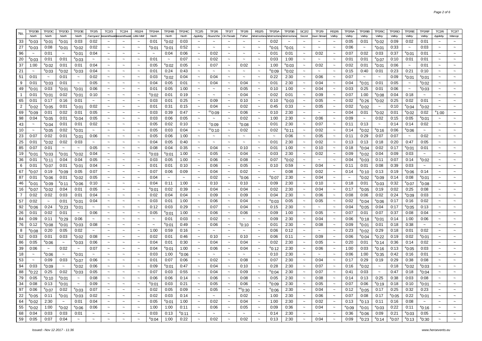| TP2/3B                    | TP2/3C                       | TP2/3D                    | <b>TP2/3E</b>             | TF2/5                     | TC2/3                     | TC2/4                     | RS2/4                     | TP2/4A                    | TP2/4B                | TP2/4C                | TC2/5                     | TF2/6                     | TF2/7                     | TF2/8                     | RS2/5                     | TP2/5A                    | TP2/5B          | SC2/2                     | TF2/9                     | RS2/6                     | TP2/6A                | <b>TP2/6B</b>     | TP2/6C                | TP2/6D          | TP2/6E                    | TP2/6F                    | TC2/6                     | TC2/7                     |
|---------------------------|------------------------------|---------------------------|---------------------------|---------------------------|---------------------------|---------------------------|---------------------------|---------------------------|-----------------------|-----------------------|---------------------------|---------------------------|---------------------------|---------------------------|---------------------------|---------------------------|-----------------|---------------------------|---------------------------|---------------------------|-----------------------|-------------------|-----------------------|-----------------|---------------------------|---------------------------|---------------------------|---------------------------|
| North                     | North                        | North                     | North                     | Farmyard                  | assenthwaitBassenthw      |                           | Little Meli               | North                     | North                 | North                 | Appleby                   | Round the                 | On Parade                 | T'other                   | /estmorlandl              | VestmorlandA              | /estmorlan      | Secret                    | own Streai                | Valley                    | Valley                | Valley            | Valley                | Valley          | Valley                    | Valley                    | Appleby                   | Warcop                    |
| $^{\circ}$ 0:03           | <sup>e</sup> 0:01            | $^{\rm e}$ 0:01           | 0:03                      | 0:02                      |                           |                           |                           | 0:01                      | $^{\rm e}$ 0:02       | 0:03                  |                           |                           |                           |                           |                           | 0:02                      |                 |                           |                           |                           | 0:05                  | 0:01              | $^{\circ}$ 0:02       | 0:09            | 0:02                      | 0:01                      |                           |                           |
| $^{\rm e}$ 0:03           | 0:08                         | °0:01                     | $^{\circ}$ 0:02           | 0:02                      | $\sim$                    | $\tilde{\phantom{a}}$     | $\widetilde{\phantom{m}}$ | $^{\circ}$ 0:01           | °0:01                 | 0:52                  | $\thicksim$               | $\tilde{\phantom{a}}$     | $\tilde{\phantom{a}}$     | $\tilde{\phantom{a}}$     | $\sim$                    | $^{\rm e}$ 0:01           | $^{\rm e}$ 0:01 | $\tilde{}$                | $\thicksim$               | $\tilde{\phantom{a}}$     | 0:06                  | $\thicksim$       | $^{\circ}$ 0:01       | 0:33            | $\tilde{\phantom{a}}$     | 0:03                      | $\widetilde{\phantom{m}}$ |                           |
| $\sim$                    | 0:01                         | $\tilde{\phantom{a}}$     | $^{\circ}$ 0:01           | 0:04                      | $\tilde{\phantom{a}}$     | $\tilde{\phantom{a}}$     | $\tilde{\phantom{a}}$     | $\sim$                    | 0:04                  | 0:06                  | $\widetilde{\phantom{m}}$ | 0:02                      | $\tilde{\phantom{a}}$     | $\tilde{\phantom{a}}$     |                           | 0:01                      | 0:01            | $\tilde{\phantom{a}}$     | 0:02                      | $\sim$                    | 0:07                  | 0:02              | 0:03                  | 0:37            | $^{\circ}$ 0:01           | 0:01                      | $\tilde{\phantom{a}}$     |                           |
| $^{\circ}$ 0:03           | 0:01                         | 0:01                      | $^{\circ}$ 0:03           | $\thicksim$               | $\widetilde{\phantom{m}}$ | $\widetilde{\phantom{m}}$ | $\thicksim$               | 0:01                      | $\tilde{\phantom{a}}$ | 0:07                  | $\tilde{\phantom{a}}$     | 0:02                      | $\tilde{}$                | $\tilde{\phantom{a}}$     |                           | 0:03                      | 1:00            | $\tilde{}$                | $\widetilde{\phantom{m}}$ | $\tilde{}$                | 0:01                  | 0:01              | $^{\circ}$ 0:07       | 0:10            | 0:01                      | 0:01                      | $\widetilde{\phantom{m}}$ |                           |
| 1:00                      | $^{\circ}$ 0:02              | 0:01                      | 0:01                      | 0:04                      | $\widetilde{\phantom{m}}$ | $\widetilde{\phantom{m}}$ | $\widetilde{\phantom{m}}$ | 0:05                      | $^{\rm e}$ 0:02       | 0:05                  | $\widetilde{\phantom{m}}$ | 0:07                      | $\tilde{}$                | 0:02                      | $\widetilde{\phantom{m}}$ | 1:00                      | $^{\rm e}$ 0:03 | $\widetilde{\phantom{m}}$ | 0:02                      | $\tilde{}$                | 0:02                  | 0:01              | $^{\circ}$ 0:01       | 0:06            | $\widetilde{\phantom{m}}$ | 0:01                      | $\widetilde{\phantom{m}}$ |                           |
| $\tilde{\phantom{a}}$     | $^{\circ}$ 0:03              | °0:02                     | $^{\circ}$ 0:03           | 0:04                      | $\thicksim$               | $\widetilde{\phantom{m}}$ | $\widetilde{\phantom{m}}$ | 0:01                      | 0:24                  | 0:43                  | $\widetilde{\phantom{m}}$ | $\thicksim$               | $\ddot{\phantom{0}}$      | $\widetilde{\phantom{m}}$ |                           | $^{\rm e}$ 0:09           | °0:02           | $\tilde{\phantom{a}}$     | $\widetilde{\phantom{m}}$ |                           | 0:15                  | 0:40              | 0:01                  | 0:23            | 0:21                      | 0:10                      | $\tilde{\phantom{a}}$     |                           |
| 0:01                      | $\tilde{\phantom{a}}$        | 0:01                      | $\tilde{\phantom{a}}$     | 0:02                      | $\tilde{\phantom{a}}$     | $\widetilde{\phantom{m}}$ | $\widetilde{\phantom{m}}$ | 0:03                      | $^{\rm e}$ 0:02       | 0:04                  | $\tilde{\phantom{a}}$     | 0:04                      | $\tilde{\phantom{a}}$     | $\tilde{\phantom{a}}$     | $\tilde{\phantom{a}}$     | 0:22                      | 2:30            | $\tilde{\phantom{a}}$     | 0:06                      | $\tilde{\phantom{a}}$     | 0:07                  | $\thicksim$       | $\tilde{\phantom{a}}$ | 0:09            | $^{\circ}$ 0:01           | $^{\circ}$ 0:01           | $\tilde{\phantom{a}}$     |                           |
|                           |                              |                           |                           |                           |                           |                           |                           |                           |                       |                       |                           |                           |                           |                           |                           |                           |                 |                           |                           |                           |                       |                   |                       |                 |                           |                           |                           |                           |
| 0:01                      | $^{\circ}$ 0:03              | 0:01                      | $\thicksim$               | 0:05                      | $\widetilde{\phantom{m}}$ |                           | $\tilde{\phantom{a}}$     | 0:04                      | 0:05                  | 0:01                  | $\tilde{\phantom{a}}$     | 0:04                      | $\tilde{}$                | 0:04                      |                           | 0:01                      | 2:30            |                           | 0:04                      |                           | 0:04                  | °0:01             | 0:01                  | 0:05            |                           | $^{\circ}$ 0:02           | $\tilde{}$                |                           |
| $^{\circ}$ 0:01           | 0:03                         | $^{\rm e}$ 0:01           | $^{\circ}$ 0:01           | 0:06                      | $\widetilde{\phantom{m}}$ | $\widetilde{\phantom{m}}$ | $\tilde{\phantom{a}}$     | 0:01                      | 0:05                  | 1:00                  | $\widetilde{\phantom{m}}$ | $\widetilde{\phantom{m}}$ | $\widetilde{\phantom{m}}$ | 0:05                      | $\widetilde{\phantom{m}}$ | 0:10                      | 1:00            | $\tilde{}$                | 0:04                      | $\tilde{}$                | 0:03                  | 0:25              | 0:01                  | 0:06            | $\widetilde{\phantom{m}}$ | °0:03                     | $\widetilde{\phantom{m}}$ |                           |
| 0:01                      | °0:01                        | 0:02                      | $^{\circ}$ 0:01           | 0:10                      | $\thicksim$               | $\widetilde{\phantom{m}}$ | $\thicksim$               | $^{\circ}$ 0:02           | 0:01                  | 0:19                  |                           | $\widetilde{\phantom{m}}$ |                           | 0:04                      |                           | 0:02                      | 0:01            | $\tilde{\phantom{a}}$     | 0:09                      |                           | 0:07                  | 1:00              | $^{\circ}0:08$        | 0:04            | 0:18                      |                           | $\tilde{}$                |                           |
| 0:01                      | 0:17                         | 0:16                      | 0:01                      | $\thicksim$               | $\tilde{\phantom{a}}$     | $\widetilde{\phantom{m}}$ | $\thicksim$               | 0:03                      | 0:01                  | 0:25                  | $\widetilde{\phantom{m}}$ | 0:09                      | $\tilde{\phantom{a}}$     | 0:10                      |                           | 0:10                      | °0:03           | $\tilde{\phantom{a}}$     | 0:05                      |                           | 0:02                  | °0:26             | $^{\circ}$ 0:02       | 0:25            | 0:02                      | 0:01                      | $\tilde{\phantom{a}}$     |                           |
| $^{\circ}$ 0:02           | $^{\circ}$ 0:05              | 0:01                      | $^{\circ}$ 0:01           | 0:02                      | $\thicksim$               | $\tilde{\phantom{a}}$     | $\tilde{\phantom{a}}$     | 0:01                      | 0:31                  | 0:15                  | $\tilde{\phantom{a}}$     | 0:04                      | $\sim$                    | 0:02                      |                           | 0:45                      | 0:33            | $\sim$                    | 0:05                      |                           | 0:02                  | $^{\rm e}$ 0:02   | $\thicksim$           | 0:10            | $^{\circ}$ 0:04           | °0:02                     | $\tilde{\phantom{a}}$     |                           |
| $^{\circ}$ 0:09           | 0:01                         | 0:02                      | 0:01                      | 0:05                      | $\widetilde{\phantom{m}}$ | $\widetilde{\phantom{m}}$ | $\widetilde{\phantom{m}}$ | 0:03                      | 0:39                  | 0:47                  | $\tilde{\phantom{a}}$     | $^{\circ}0.09$            | $\widetilde{\phantom{m}}$ | 0:06                      | $\widetilde{\phantom{m}}$ | 0:10                      | 2:30            | $\tilde{\phantom{a}}$     | $\thicksim$               | $\tilde{\phantom{a}}$     | 0:04                  | 0:01              | $^{\rm e}$ 0:02       | 0:01            | $^{\circ}$ 0:02           | 0:02                      | $^31:00$                  | $\widetilde{\phantom{m}}$ |
| 0:04                      | $^{\circ}$ 0:05              | 0:01                      | $^{\circ}$ 0:04           | 0:05                      | $\thicksim$               | $\widetilde{\phantom{m}}$ | $\widetilde{\phantom{m}}$ | 0:03                      | 0:06                  | 0:05                  | $\widetilde{\phantom{m}}$ | $\thicksim$               |                           | 0:02                      | $\thicksim$               | 1:00                      | 2:30            | $\tilde{\phantom{a}}$     | 0:06                      | $\tilde{}$                | 0:09                  | $\thicksim$       | 0:02                  | 0:15            | 0:05                      | °0:01                     | $\widetilde{\phantom{m}}$ |                           |
| $\widetilde{\phantom{m}}$ | $^{\circ}$ 0:04              | 0:01                      | 0:01                      | 0:02                      | $\widetilde{\phantom{m}}$ | $\tilde{\phantom{a}}$     | $\widetilde{\phantom{m}}$ | 0:05                      | 0:02                  | 0:10                  | $\tilde{\phantom{a}}$     | $^{\circ}$ 0:09           | $\tilde{\phantom{a}}$     | °0:08                     | $\sim$                    | 0:01                      | 2:30            | $\tilde{}$                | 0:07                      |                           | 0:11                  | 0:13              | $\tilde{\phantom{a}}$ | 0:14            | 0:14                      | 0:02                      | $\widetilde{\phantom{m}}$ |                           |
| $\widetilde{\phantom{m}}$ | $^{\circ}$ 0:05              | 0:02                      | $^{\circ}$ 0:01           | $\widetilde{\phantom{m}}$ | $\thicksim$               | $\widetilde{\phantom{m}}$ | $\widetilde{\phantom{m}}$ | 0:05                      | 0:03                  | 0:04                  | $\thicksim$               | $\mathrm{^{cc}O:10}$      | $\tilde{}$                | 0:02                      | $\widetilde{\phantom{m}}$ | 0:02                      | °0:11           | $\tilde{\phantom{a}}$     | 0:02                      |                           | 0:14                  | $^{\rm e}$ 0:02   | $^{\circ}$ 0:16       | 0:06            | 0:06                      | $\thicksim$               | $\widetilde{\phantom{m}}$ |                           |
|                           |                              | 0:01                      |                           |                           |                           |                           |                           |                           |                       | 1:00                  |                           |                           |                           | $\tilde{\phantom{a}}$     | $\tilde{}$                |                           | 0:06            |                           |                           |                           |                       |                   |                       | 0:07            |                           |                           | $\tilde{\phantom{a}}$     |                           |
| 0:07                      | 0:02                         |                           | °0:01                     | 0:06                      | $\widetilde{\phantom{m}}$ |                           | $\tilde{\phantom{a}}$     | 0:05                      | 0:06                  |                       |                           | $\widetilde{\phantom{m}}$ |                           |                           |                           |                           |                 |                           | 0:05                      |                           | 0:11                  | 0:29              | 0:07                  |                 |                           | 0:02                      |                           |                           |
| 0:01                      | $^{\circ}$ 0:02              | 0:02                      | 0:03                      | $\tilde{\phantom{a}}$     | $\sim$                    | $\tilde{\phantom{a}}$     | $\widetilde{\phantom{m}}$ | 0:04                      | 0:05                  | 0:40                  | $\tilde{\phantom{a}}$     | $\tilde{\phantom{a}}$     | $\overline{ }$            | $\tilde{\phantom{a}}$     | $\tilde{\phantom{a}}$     | 0:01                      | 2:30            | $\sim$                    | 0:02                      | $\tilde{\phantom{a}}$     | 0:13                  | 0:13              | 0:18                  | 0:20            | 0:47                      | 0:05                      | $\tilde{\phantom{a}}$     |                           |
| 0:07                      | 0:01                         | $\widetilde{\phantom{m}}$ | $\widetilde{\phantom{m}}$ | 0:05                      | $\widetilde{\phantom{m}}$ | $\tilde{}$                | $\tilde{\phantom{a}}$     | 0:08                      | 0:04                  | 0:35                  | $\widetilde{\phantom{m}}$ | 0:04                      | $\tilde{\phantom{a}}$     | 0:10                      | $\widetilde{\phantom{m}}$ | 0:01                      | 1:00            | $\tilde{}$                | 0:10                      |                           | 0:18                  | $^{\rm e}$ 0:04   | 0:02                  | 0:17            | $^{\circ}$ 0:01           | 0:01                      | $\widetilde{\phantom{m}}$ |                           |
| $^{\circ}$ 0:01           | °0:03                        | $^{\rm e}$ 0:01           | °0:02                     | 0:04                      | $\widetilde{\phantom{m}}$ | $\thicksim$               | $\tilde{\phantom{a}}$     | °0:03                     | °0:01                 | 1:00                  | $\widetilde{\phantom{m}}$ | 0:05                      | $\tilde{\phantom{a}}$     | 0:04                      | $\thicksim$               | 0:03                      | 2:30            | $\widetilde{\phantom{m}}$ | 0:02                      | $\tilde{}$                | 0:09                  | $^{\rm e}$ 0:02   | 0:04                  | 0:09            | 0:03                      | $\widetilde{\phantom{m}}$ | $\widetilde{\phantom{m}}$ | $\thicksim$               |
| 0:01                      | $^{\circ}$ 0:11              | 0:04                      | 0:04                      | 0:05                      | $\tilde{\phantom{a}}$     | $\tilde{}$                | $\widetilde{\phantom{m}}$ | 0:03                      | 0:05                  | 1:00                  | $\tilde{\phantom{a}}$     | 0:06                      |                           | 0:08                      |                           | 0:07                      | °0:02           |                           | $\widetilde{\phantom{m}}$ |                           | 0:04                  | $^{\rm e}$ 0:03   | 0:11                  | 0:07            | 0:14                      | °0:02                     | $\widetilde{\phantom{m}}$ |                           |
| 0:01                      | $e_{0:07}$                   | 0:01                      | $^{\circ}$ 0:01           | 0:04                      | $\widetilde{\phantom{m}}$ | $\tilde{}$                | $\widetilde{\phantom{m}}$ | 0:01                      | 0:01                  | 0:10                  | $\tilde{\phantom{a}}$     | 0:06                      | $\tilde{\phantom{a}}$     | 0:05                      |                           | 0:10                      | 0:59            | $\widetilde{\phantom{m}}$ | 0:04                      |                           | 0:11                  | 0:01              | 0:08                  | 0:39            | 0:03                      | $\widetilde{\phantom{m}}$ | $\tilde{}$                |                           |
| $^{\circ}$ 0:07           | 0:19                         | $^{\circ}$ 0:09           | 0:05                      | 0:07                      | $\thicksim$               | $\tilde{\phantom{a}}$     | $\widetilde{\phantom{m}}$ | 0:07                      | 0:06                  | 0:09                  | $\widetilde{\phantom{m}}$ | 0:04                      | $\tilde{}$                | 0:02                      |                           | $\widetilde{\phantom{m}}$ | 0:08            | $\tilde{\phantom{a}}$     | 0:02                      | $\tilde{}$                | 0:14                  | $^{\rm e}$ 0:10   | 0:13                  | 0:19            | 0.06                      | 0:14                      | $\tilde{\phantom{a}}$     |                           |
| 0:01                      | $^{\circ}$ 0:06              | 0:01                      | $^{\circ}$ 0:02           | 0:05                      | $\widetilde{\phantom{m}}$ | $\tilde{}$                | $\widetilde{\phantom{m}}$ | 0:04                      | $\tilde{\phantom{a}}$ | $\tilde{\phantom{a}}$ |                           | 0:02                      | $\tilde{\phantom{a}}$     | $^{\rm s}$ 0:06           | $\widetilde{\phantom{m}}$ | <sup>e</sup> 0:07         | 2:30            | $\widetilde{\phantom{m}}$ | 0:04                      | $\tilde{\phantom{a}}$     | $\tilde{\phantom{a}}$ | $^{\rm e}$ 0:02   | $^{\circ}0:09$        | 0:14            | 0:08                      | °0:01                     | $\widetilde{\phantom{m}}$ |                           |
| $^{\circ}$ 0:01           | $^{\circ}0:09$               | $^{\rm e}$ 0:11           | $^{\circ}$ 0:06           | 0:10                      | $\widetilde{\phantom{m}}$ | $\widetilde{\phantom{m}}$ | $\widetilde{\phantom{m}}$ | 0:04                      | 0:11                  | 1:00                  | $\tilde{\phantom{a}}$     | 0:10                      |                           | 0:10                      |                           | 0:09                      | 2:30            |                           | 0:10                      |                           | 0:18                  | 0:01              | $^{\circ}$ 0:03       | 0:32            | $^{\circ}$ 0:07           | $^{\rm e}$ 0:08           | $\widetilde{\phantom{m}}$ |                           |
| $^{\circ}$ 0:07           | $^{\circ}$ 0:02              | 0:04                      | 0:01                      | 0:05                      | $\tilde{}$                |                           | $\tilde{}$                | $^{\circ}$ 0:01           | 0:02                  | 0:39                  |                           | 0:04                      |                           | 0:04                      |                           | 0:02                      | 2:30            |                           | 0:04                      |                           | 0:17                  | $^{\rm e}$ 0:05   | 0:19                  | 0:02            | 0:25                      | 0:08                      | $\widetilde{\phantom{m}}$ |                           |
| 0:02                      | 0:02                         | 0:03                      | 0:01                      | 0:04                      | $\thicksim$               | $\tilde{}$                | $\widetilde{\phantom{m}}$ | 0:02                      | 0:04                  | 0:04                  | $\widetilde{\phantom{m}}$ | 0:09                      | $\tilde{\phantom{a}}$     | 0:09                      | $\widetilde{\phantom{m}}$ | 0:04                      | 2:30            | $\tilde{\phantom{a}}$     | 0:06                      | $\tilde{\phantom{a}}$     | 0:08                  | 0:06              | 0:02                  | 0:24            | $^{\circ}0:09$            | 0:03                      | $\widetilde{\phantom{m}}$ |                           |
| 0:02                      | $\tilde{\phantom{a}}$        | 0:01                      | $^{\circ}$ 0:01           | 0:04                      | $\thicksim$               | $\tilde{}$                | $\widetilde{\phantom{m}}$ | 0:03                      | 0:01                  | 1:00                  | $\widetilde{\phantom{m}}$ | 0:06                      | $\tilde{\phantom{a}}$     | 0:04                      | $\widetilde{\phantom{m}}$ | $^{\rm e}$ 0:03           | 0:05            | $\tilde{\phantom{a}}$     | 0:05                      |                           | 0:02                  | $^{\rm e}$ 0:04   | 0:06                  | 0:17            | 0:16                      | 0:02                      | $\tilde{\phantom{a}}$     |                           |
| 0:06                      | 0:24                         | °0:23                     | $^{\circ}$ 0:01           | $\tilde{\phantom{a}}$     | $\tilde{\phantom{a}}$     | $\tilde{\phantom{a}}$     | $\widetilde{\phantom{m}}$ | 0:12                      | 0:03                  | 0:29                  | $\tilde{\phantom{a}}$     | 0:07                      | $\tilde{\phantom{a}}$     | 0:04                      | $\tilde{\phantom{a}}$     | 0:15                      | 2:30            | $\tilde{\phantom{a}}$     | $\widetilde{\phantom{m}}$ | $\tilde{\phantom{a}}$     | 0:04                  | $^{\circ}$ 0:05   | 0:04                  | 0:17            | $^{\circ}$ 0:05           | 0:13                      | $\sim$                    |                           |
| 0:01                      | 0:02                         | 0:01                      | $\tilde{\phantom{a}}$     | 0:06                      | $\tilde{\phantom{a}}$     | $\tilde{\phantom{a}}$     | $\tilde{}$                | 0:05                      | $^{\rm e}$ 0:01       | 1:00                  | $\tilde{\phantom{a}}$     | 0:06                      | $\tilde{}$                | 0:06                      | $\widetilde{\phantom{m}}$ | 0:09                      | 1:00            | $\tilde{\phantom{a}}$     | 0:05                      | $\tilde{}$                | 0:07                  | 0:01              | 0:07                  | 0:37            | 0:08                      | 0:04                      | $\tilde{}$                |                           |
|                           |                              |                           |                           |                           |                           |                           |                           |                           |                       |                       |                           |                           |                           |                           |                           |                           |                 |                           |                           |                           |                       |                   |                       |                 |                           |                           |                           |                           |
| 0:09                      | 0:11                         | °0:29                     | 0:06                      | $\thicksim$               | $\widetilde{\phantom{m}}$ | $\widetilde{\phantom{m}}$ | $\widetilde{\phantom{m}}$ | $\widetilde{\phantom{m}}$ | 0:01                  | 0:03                  | $\tilde{\phantom{a}}$     | 0:02                      | $\tilde{}$                | $\thicksim$               | $\tilde{\phantom{a}}$     | 0:09                      | 2:30            | $\tilde{\phantom{a}}$     | 0:04                      | $\tilde{\phantom{a}}$     | 0:06                  | <sup>e</sup> 0:18 | $e_{0:01}$            | 0:14            | 1:00                      | 0:06                      | $\widetilde{\phantom{m}}$ |                           |
| 0:12                      | °0:08                        | $^{\rm e}$ 0:01           | $^{\circ}$ 0:03           | 0:08                      | $\tilde{}$                | $\sim$                    | $\tilde{\phantom{a}}$     |                           | $^{\rm e}$ 0:01       | 0:49                  | $\tilde{\phantom{a}}$     | 0:06                      | $\ddot{\phantom{1}}$      | $^{\rm s}$ 0:10           |                           | 0:01                      | 2:30            |                           | 0:08                      |                           | 0:09                  | $^{\rm e}$ 0:01   | 0:01                  | 0:18            | 0:38                      | $\tilde{\phantom{a}}$     | $\tilde{\phantom{a}}$     |                           |
| $^{\circ}$ 0:08           | 0:20                         | 0:05                      | 0:02                      | $\widetilde{\phantom{m}}$ | $\tilde{}$                |                           | $\tilde{\phantom{a}}$     | 1:00                      | 0:59                  | 0:16                  |                           | $\widetilde{\phantom{m}}$ |                           |                           |                           | 0:06                      | 0:12            |                           |                           |                           | 0:23                  | $^{\rm e}$ 0:02   | 0:29                  | 0:18            | 0:01                      | 0:02                      | $\tilde{\phantom{a}}$     |                           |
| 0:03                      | 0:01                         | 0:03                      | $^{\rm e}$ 0:02           | 0:08                      | $\thicksim$               | $\widetilde{\phantom{m}}$ | $\widetilde{\phantom{m}}$ | 0:02                      | 0:01                  | 0:46                  | $\tilde{\phantom{a}}$     | 0:10                      | $\tilde{}$                | 0:10                      | $\widetilde{\phantom{m}}$ | 0:06                      | 0:11            | $\tilde{\phantom{a}}$     | 0:09                      |                           | 0:06                  | $^{\circ}$ 0:04   | $^{\rm e}$ 0:22       | 0:19            | 0:02                      | <sup>e</sup> 0:01         | $\widetilde{\phantom{m}}$ |                           |
| 0:05                      | $^{\circ}$ 0:06              | $\widetilde{\phantom{m}}$ | $^{\circ}$ 0:03           | 0:06                      | $\thicksim$               | $\tilde{}$                | $\widetilde{\phantom{m}}$ | 0:04                      | 0:01                  | 0:30                  | $\widetilde{\phantom{m}}$ | 0:04                      | $\tilde{}$                | 0:04                      |                           | 0:02                      | 2:30            | $\tilde{}$                | 0:05                      |                           | 0:20                  | 0:01              | $^{\circ}$ 0:14       | 0:36            | 0:14                      | 0:02                      | $\widetilde{\phantom{m}}$ |                           |
| 0:06                      | $\tilde{\phantom{a}}$        | 0:02                      | $\sim$                    | 0:07                      | $\tilde{\phantom{a}}$     | $\tilde{}$                | $\sim$                    | 0:04                      | $^{\circ}$ 0:01       | 1:00                  | $\tilde{\phantom{a}}$     | 0:06                      | $\tilde{}$                | 0:04                      |                           | $^{\rm e}$ 0:12           | 2:30            | $\tilde{\phantom{a}}$     | 0:06                      | $\tilde{\phantom{a}}$     | 1:00                  | 0:03              | $^{\circ}$ 0:16       | 0:13            | $^{\circ}$ 0:05           | 0:03                      | $\widetilde{\phantom{m}}$ |                           |
| $\widetilde{\phantom{m}}$ | $^{\rm e}$ 0:06              | $\tilde{\phantom{a}}$     | $^{\circ}$ 0:01           | $\thicksim$               | $\thicksim$               | $\tilde{}$                | $\tilde{\phantom{a}}$     | 0:03                      | 1:00                  | $^{\circ}$ 0:06       | $\tilde{\phantom{a}}$     | $\tilde{\phantom{a}}$     | $\overline{ }$            | $\tilde{}$                |                           | 0:10                      | 2:30            | $\tilde{\phantom{a}}$     | $\tilde{\phantom{a}}$     | $\tilde{}$                | 0:06                  | 1:00              | $^{\circ}$ 0:35       | 0:42            | 0:16                      | 0:01                      | $\widetilde{\phantom{m}}$ |                           |
| $\thicksim$               | 0:09                         | 0:03                      | $^{\circ}$ 0:07           | 0:06                      | $\widetilde{\phantom{m}}$ | $\tilde{\phantom{a}}$     | $\widetilde{\phantom{m}}$ | 0:01                      | 0:07                  | 0:06                  | $\tilde{\phantom{a}}$     | 0:02                      | $\tilde{\phantom{a}}$     | 0:08                      | $\sim$                    | 0:07                      | 2:30            | $\tilde{\phantom{a}}$     | 0:04                      | $\tilde{\phantom{a}}$     | 0:17                  | 0:29              | 0:19                  | 0:29            | 0:38                      | 0:08                      | $\tilde{}$                |                           |
| 0:03                      | °0:09                        | $\thicksim$               | $^{\circ}$ 0:02           | 0:06                      | $\thicksim$               | $\thicksim$               | $\tilde{\phantom{a}}$     | 0:09                      | $^{\circ}$ 0:01       | 0:47                  | $\widetilde{\phantom{m}}$ | 0:04                      | $\ddot{\phantom{0}}$      | 0:10                      |                           | 0:28                      | 2:30            | $\tilde{\phantom{a}}$     | 0:07                      |                           | 0:16                  | $^{\rm e}$ 0:02   | $\thicksim$           | 0:18            | $^{\circ}$ 0:02           | °0:03                     | $\tilde{\phantom{a}}$     |                           |
| $^{\circ}$ 0:22           | 0:25                         | 0:02                      | $^{\rm e}$ 0:03           | 0:05                      | $\tilde{}$                | $\widetilde{\phantom{m}}$ | $\tilde{\phantom{a}}$     | 0:07                      | 0:03                  | 0:55                  | $\tilde{\phantom{a}}$     | 0:04                      | $\tilde{\phantom{a}}$     | 0:09                      |                           | °0:04                     | 2:30            | $\tilde{\phantom{a}}$     | 0:07                      |                           | 0:41                  | 0:03              | $\thicksim$           | 0:47            | 0:18                      | °0:04                     | $\widetilde{\phantom{m}}$ |                           |
| 0:05                      | $^{\circ}$ 0:10              | °0:01                     |                           | 0:08                      |                           |                           | $\tilde{\phantom{a}}$     | 0:06                      | 0:06                  | 0:14                  | $\tilde{\phantom{a}}$     | 0:06                      |                           | 0:08                      |                           | 0:05                      | 2:30            |                           | 0:08                      |                           | 0:14                  | 0:13              | 0:25                  | 0:38            | 0:03                      | 0:08                      |                           |                           |
| 0:08                      | 0:13                         |                           |                           | 0:09                      |                           |                           |                           | $^{\circ}$ 0:01           | 0:03                  | 0:21                  |                           | 0:05                      |                           | 0:06                      |                           |                           | 2:30            |                           | 0:05                      |                           | 0:07                  | 0:06              |                       | 0:18            | 0:10                      | $^{\circ}$ 0:01           |                           |                           |
|                           |                              | $^{\circ}$ 0:01           |                           |                           |                           |                           |                           |                           |                       |                       |                           |                           |                           |                           |                           | $^{\circ}$ 0:09           |                 |                           |                           |                           |                       |                   | $^{\circ}$ 0:19       |                 |                           |                           |                           |                           |
| 0:06                      | $^{\circ}$ 0:07              | 0:02                      | $^{\circ}0:03$            | 0:07                      | $\tilde{\phantom{a}}$     | $\tilde{\phantom{a}}$     | $\tilde{\phantom{a}}$     | 0:02                      | 0:05                  | 0:09                  | $\tilde{\phantom{a}}$     | 0:05                      | $\tilde{\phantom{a}}$     | $^{\rm ws}$ 0:30          | $\tilde{\phantom{a}}$     | 0:06                      | 2:30            | $\tilde{\phantom{a}}$     | 0:04                      | $\widetilde{\phantom{m}}$ | 0:12                  | $^{\circ}$ 0:05   | 0:17                  | 0:25            | 0:32                      | 0:23                      | $\tilde{\phantom{a}}$     | $\tilde{\phantom{a}}$     |
| $^{\circ}$ 0:05           | 0:11                         | $^{\circ}$ 0:01           | $^{\circ}$ 0:03           | 0:02                      | $\widetilde{\phantom{m}}$ | $\thicksim$               | $\tilde{\phantom{a}}$     | 0:02                      | 0:03                  | 0:14                  | $\thicksim$               | $\thicksim$               | $\thicksim$               | 0:02                      | $\thicksim$               | 1:00                      | 2:30            | $\thicksim$               | 0:06                      | $\widetilde{\phantom{m}}$ | 0:07                  | 0:08              | 0:17                  | $^{\circ}$ 0:05 | 0:22                      | $^{\circ}$ 0:01           | $\sim$                    | $\thicksim$               |
| $^{\circ}$ 0:02           | 2:30                         | $\sim$                    | 0:01                      | 0:04                      | $\widetilde{\phantom{m}}$ | $\widetilde{\phantom{m}}$ | $\thicksim$               | 0:05                      | $^{\circ}$ 0:01       | 1:00                  | $\sim$                    | 0:02                      | $\thicksim$               | 0:04                      | $\widetilde{\phantom{m}}$ | 1:00                      | 2:30            | $\sim$                    | 0:02                      | $\thicksim$               | 0:13                  | $^{\rm e}$ 0:13   | 0:11                  | 0:16            | 0:08                      | $\tilde{\phantom{a}}$     | $\sim$                    | $\sim$                    |
| $^{\circ}$ 0:02           | 1:00                         | $^{\circ}$ 0:02           | 0:06                      | 0:06                      | $\thicksim$               | $\thicksim$               | $\thicksim$               | 1:00                      | 1:00                  | 0:11                  | $\widetilde{\phantom{m}}$ | 0:06                      | $\widetilde{\phantom{m}}$ | 0:05                      | $\widetilde{\phantom{m}}$ | 0:09                      | 0:36            | $\thicksim$               | 0:04                      | $\widetilde{\phantom{m}}$ | $^{\circ}0:09$        | $^{\circ}$ 0:01   | $^{\circ}0:03$        | 0:22            | 0:11                      | $^{\circ}$ 0:16           | $\sim$                    | $\thicksim$               |
| 0:04                      | 0:03                         | 0:03                      | 0:01                      | $\tilde{\phantom{a}}$     | $\tilde{\phantom{a}}$     | $\tilde{\phantom{a}}$     | $\sim$                    | 0:03                      | 0:13                  | $^{\rm e}$ 0:11       | $\tilde{\phantom{a}}$     | $\sim$                    | $\tilde{\phantom{a}}$     | $\tilde{\phantom{a}}$     | $\tilde{\phantom{a}}$     | 0:14                      | 2:30            | $\sim$                    | $\tilde{\phantom{a}}$     | $\thicksim$               | 0:36                  | 0.05              | 0:09                  | 0:21            | $^{\rm e}$ 0:03           | 0:05                      | $\sim$                    | $\sim$                    |
| 0:05                      | 0:07                         | 0:04                      | $\thicksim$               | $\widetilde{\phantom{m}}$ | $\thicksim$               | $\widetilde{\phantom{m}}$ | $\tilde{\phantom{a}}$     | $^{\circ}0.04$            | 1:00                  | 0:22                  | $\widetilde{\phantom{m}}$ | 0:02                      | $\thicksim$               | 0:02                      | $\widetilde{\phantom{m}}$ | 0:13                      | 2:30            | $\widetilde{\phantom{m}}$ | 0:04                      | $\tilde{\phantom{a}}$     | 0:09                  | $^{\circ}$ 0:23   | $^{\circ}$ 0:14       | $^{\circ}$ 0:07 | $^{\circ}$ 0:13           | $^{\circ}$ 0:30           | $\widetilde{\phantom{m}}$ | $\sim$                    |
|                           |                              |                           |                           |                           |                           |                           |                           |                           |                       |                       |                           |                           |                           |                           |                           |                           |                 |                           |                           |                           |                       |                   |                       |                 |                           |                           |                           |                           |
|                           | Issued:- Nov 12 2017 - 11:36 |                           |                           |                           |                           |                           |                           |                           |                       |                       |                           |                           |                           |                           |                           |                           |                 |                           |                           |                           |                       |                   |                       |                 |                           |                           | www.heroevents.eu         |                           |

22 64 55

68 59

No.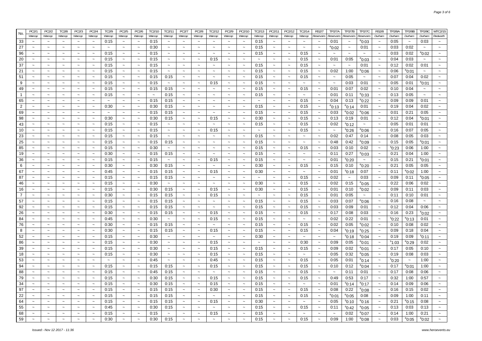| Warcop<br>Warcop<br>Warcop<br>Warcop<br>Warcop<br>Warcop<br>Warcop<br>Warcop<br>Warcop<br>Warcop<br>Warcop<br>Warcop<br>Warcop<br>Warcop<br>Warcop<br>Warcop<br>Warcop<br>Reservoirs<br>Reservoirs<br>Reservoirs<br>Reservoirs<br>0:15<br>0:03<br>0:15<br>0:15<br>0:01<br>$^{\rm e}$ 0:03<br>0:05<br>$\sim$<br>$\tilde{\phantom{a}}$<br>$\tilde{\phantom{a}}$<br>$\sim$<br>$\tilde{\phantom{a}}$<br>$\sim$<br>$\sim$<br>$\sim$<br>$\tilde{}$<br>$\tilde{\phantom{a}}$<br>$\tilde{\phantom{a}}$<br>$\sim$<br>$\tilde{\phantom{a}}$<br>$\ddot{\phantom{0}}$<br>$\tilde{\phantom{a}}$<br>$\sim$<br>$\tilde{\phantom{a}}$<br>$\tilde{\phantom{a}}$<br>0:30<br>0:15<br>0:02<br>$\sim$<br>$\tilde{\phantom{a}}$<br>$^{\rm e}$ 0:02<br>0:01<br>0:03<br>$\tilde{\phantom{a}}$<br>$\sim$<br>$\sim$<br>$\sim$<br>$\sim$<br>$\tilde{\phantom{a}}$<br>$\tilde{\phantom{a}}$<br>$\tilde{\phantom{a}}$<br>$\sim$<br>$\tilde{\phantom{a}}$<br>$\tilde{}$<br>$\thicksim$<br>$\tilde{\phantom{a}}$<br>$\sim$<br>$\tilde{\phantom{a}}$<br>$\tilde{}$<br>$\tilde{\phantom{a}}$<br>$\sim$<br>$\sim$<br>$\sim$<br>0:15<br>0:15<br>0:15<br>0:15<br>0:03<br>0:02<br>$^{\rm e}$ 0:02<br>$\sim$<br>$\sim$<br>$\sim$<br>$\tilde{\phantom{a}}$<br>$\sim$<br>$\sim$<br>$\sim$<br>$\sim$<br>$\ddot{\phantom{0}}$<br>$\sim$<br>$\sim$<br>$\tilde{\phantom{a}}$<br>$\tilde{\phantom{a}}$<br>$\sim$<br>$\sim$<br>$\tilde{\phantom{a}}$<br>$\tilde{\phantom{a}}$<br>$\tilde{\phantom{a}}$<br>$\tilde{\phantom{a}}$<br>$\sim$<br>0:15<br>0:15<br>0:15<br>0:15<br>0:01<br>0:05<br>$^{\circ}$ 0:03<br>0:04<br>0:03<br>$\tilde{\phantom{a}}$<br>$\tilde{\phantom{a}}$<br>$\sim$<br>$\tilde{\phantom{a}}$<br>$\sim$<br>$\tilde{\phantom{a}}$<br>$\sim$<br>$\sim$<br>$\tilde{\phantom{a}}$<br>$\tilde{\phantom{a}}$<br>$\sim$<br>$\sim$<br>$\sim$<br>$\tilde{\phantom{a}}$<br>$\sim$<br>$\sim$<br>$\ddot{\phantom{0}}$<br>$\sim$<br>$\sim$<br>0:15<br>0:15<br>0:15<br>0:01<br>0:12<br>0:02<br>0:01<br>$\tilde{\phantom{a}}$<br>0:15<br>$\tilde{\phantom{a}}$<br>$\sim$<br>$\tilde{\phantom{a}}$<br>$\tilde{\phantom{a}}$<br>$\tilde{\phantom{a}}$<br>$\sim$<br>$\sim$<br>$\tilde{\phantom{a}}$<br>$\sim$<br>$\sim$<br>$\sim$<br>$\sim$<br>$\tilde{\phantom{a}}$<br>$\sim$<br>$\sim$<br>$\sim$<br>$\tilde{\phantom{a}}$<br>$\tilde{\phantom{a}}$<br>0:15<br>0:15<br>0:02<br>1:00<br>0:15<br>0:15<br>$^{\circ}$ 0:06<br>0:06<br>$^{\rm e}$ 0:01<br>$\tilde{}$<br>$\sim$<br>$\tilde{\phantom{a}}$<br>$\tilde{\phantom{a}}$<br>$\tilde{\phantom{a}}$<br>$\sim$<br>$\sim$<br>$\tilde{\phantom{a}}$<br>$\tilde{\phantom{a}}$<br>$\sim$<br>$\sim$<br>$\tilde{\phantom{a}}$<br>$\tilde{\phantom{a}}$<br>$\tilde{\phantom{a}}$<br>$\tilde{\phantom{a}}$<br>$\sim$<br>$\tilde{}$<br>0:05<br>0:15<br>0:15<br>0:15<br>0:02<br>0:15<br>0:15<br>0:07<br>0:04<br>$\tilde{}$<br>$\tilde{\phantom{a}}$<br>$\tilde{\phantom{a}}$<br>$\tilde{}$<br>$\thicksim$<br>$\thicksim$<br>$\tilde{\phantom{a}}$<br>$\thicksim$<br>$\tilde{\phantom{a}}$<br>$\sim$<br>$\tilde{\phantom{a}}$<br>$\sim$<br>$\sim$<br>$\sim$<br>$\sim$<br>$\sim$<br>$\sim$<br>$\ddot{\phantom{0}}$<br>0:15<br>0:15<br>0:15<br>0:03<br>0:01<br>0:01<br>$^{\circ}$ 0:01<br>$\tilde{\phantom{a}}$<br>0:15<br>$\sim$<br>$\sim$<br>0:05<br>$\tilde{\phantom{a}}$<br>$\tilde{\phantom{a}}$<br>$\tilde{\phantom{a}}$<br>$\thicksim$<br>$\sim$<br>$\tilde{\phantom{a}}$<br>$\tilde{\phantom{a}}$<br>$\tilde{}$<br>$\tilde{\phantom{a}}$<br>$\tilde{\phantom{a}}$<br>$\tilde{\phantom{a}}$<br>$\tilde{\phantom{a}}$<br>$\tilde{\phantom{a}}$<br>$\tilde{\phantom{a}}$<br>$\sim$<br>0:07<br>0:02<br>0:15<br>0:15<br>0:15<br>0:15<br>0:15<br>0:01<br>0:10<br>0:04<br>$\sim$<br>$\widetilde{\phantom{m}}$<br>$\tilde{\phantom{a}}$<br>$\tilde{}$<br>$\widetilde{\phantom{m}}$<br>$\widetilde{\phantom{m}}$<br>$\tilde{}$<br>$\widetilde{\phantom{m}}$<br>$\widetilde{\phantom{m}}$<br>$\sim$<br>$\widetilde{\phantom{m}}$<br>$\widetilde{\phantom{m}}$<br>$\widetilde{\phantom{m}}$<br>$\tilde{}$<br>$\tilde{\phantom{a}}$<br>$\thicksim$<br>$\thicksim$<br>$\tilde{\phantom{a}}$<br>0:15<br>$\tilde{\phantom{a}}$<br>0:15<br>$\tilde{\phantom{a}}$<br>$\tilde{\phantom{a}}$<br>0:15<br>$\sim$<br>$\tilde{\phantom{a}}$<br>0:01<br>0:11<br>0:13<br>0:05<br>$\tilde{\phantom{a}}$<br>$\tilde{\phantom{a}}$<br>$\thicksim$<br>$\tilde{\phantom{a}}$<br>$\tilde{\phantom{a}}$<br>$\tilde{\phantom{a}}$<br>$\tilde{\phantom{a}}$<br><sup>e</sup> 0:33<br>$\tilde{\phantom{a}}$<br>$\tilde{\phantom{a}}$<br>$\tilde{\phantom{a}}$<br>$\sim$<br>$\sim$<br>$\tilde{\phantom{a}}$<br>0:15<br>0:15<br>0:15<br>$\sim$<br>0:04<br>0:13<br>0:09<br>0:09<br>0:01<br>$\sim$<br>$^{\circ}$ 0:22<br>$\tilde{}$<br>$\widetilde{\phantom{m}}$<br>$\tilde{\phantom{a}}$<br>$\tilde{\phantom{a}}$<br>$\tilde{\phantom{a}}$<br>$\thicksim$<br>$\tilde{\phantom{a}}$<br>$\tilde{\phantom{a}}$<br>$\thicksim$<br>$\sim$<br>$\tilde{\phantom{a}}$<br>$\sim$<br>$\tilde{}$<br>$\tilde{\phantom{a}}$<br>$\tilde{\phantom{a}}$<br>$\tilde{}$<br>$\tilde{}$<br>0:30<br>0:15<br>0:15<br>0:15<br>0:04<br>0:02<br>0:30<br>$^{\circ}$ 0:13<br>$^{\rm e}$ 0:14<br>0:01<br>0:19<br>$\thicksim$<br>$\tilde{\phantom{a}}$<br>$\thicksim$<br>$\tilde{\phantom{a}}$<br>$\thicksim$<br>$\tilde{\phantom{a}}$<br>$\tilde{\phantom{a}}$<br>$\tilde{}$<br>$\widetilde{\phantom{m}}$<br>$\tilde{\phantom{a}}$<br>$\thicksim$<br>$\tilde{\phantom{a}}$<br>$\thicksim$<br>$\tilde{}$<br>$\tilde{}$<br>$\tilde{\phantom{a}}$<br>$\sim$<br>0:15<br>0:21<br>0:05<br>0:15<br>0:15<br>0:15<br>$\sim$<br>0:03<br>$^{\circ}$ 0:02<br>0:01<br>$\sim$<br>$\sim$<br>$^{\circ}0:06$<br>$\tilde{\phantom{a}}$<br>$\sim$<br>$\thicksim$<br>$\sim$<br>$\thicksim$<br>$\thicksim$<br>$\sim$<br>$\widetilde{\phantom{m}}$<br>$\tilde{\phantom{a}}$<br>$\tilde{\phantom{a}}$<br>$\widetilde{\phantom{m}}$<br>$\sim$<br>$\tilde{\phantom{a}}$<br>$\sim$<br>$\thicksim$<br>0:30<br>0:30<br>$\sim$<br>0:30<br>0:15<br>0:15<br>0:15<br>$\sim$<br>0:13<br>0:19<br>0:01<br>0:12<br>0:04<br>$e_{0:01}$<br>$\sim$<br>$\sim$<br>$\sim$<br>$\tilde{\phantom{a}}$<br>$\widetilde{\phantom{m}}$<br>$\widetilde{\phantom{m}}$<br>$\tilde{\phantom{a}}$<br>$\sim$<br>$\widetilde{\phantom{m}}$<br>$\widetilde{\phantom{m}}$<br>$\widetilde{\phantom{m}}$<br>$\thicksim$<br>$\sim$<br>$\tilde{\phantom{a}}$<br>0:15<br>0:15<br>0:15<br>0:15<br>0:02<br>$^{\circ}$ 0:12<br>0:05<br>0:01<br>0:01<br>$\thicksim$<br>$\sim$<br>$\widetilde{\phantom{m}}$<br>$\sim$<br>$\sim$<br>$\tilde{\phantom{a}}$<br>$\tilde{\phantom{a}}$<br>$\tilde{\phantom{a}}$<br>$\thicksim$<br>$\thicksim$<br>$\tilde{\phantom{a}}$<br>$\tilde{\phantom{a}}$<br>$\tilde{\phantom{a}}$<br>$\thicksim$<br>$\thicksim$<br>$\thicksim$<br>$\sim$<br>$\widetilde{\phantom{m}}$<br>$\sim$<br>0:15<br>0:15<br>$\sim$<br>0:15<br>0:15<br>$\sim$<br>$^{\circ}$ 0:26<br>0:16<br>0:07<br>0:05<br>$\sim$<br>$\sim$<br>$\thicksim$<br>$\thicksim$<br>$\thicksim$<br>$\thicksim$<br>$\tilde{\phantom{a}}$<br>$\thicksim$<br>$\sim$<br>$^{\rm e}$ 0:06<br>$\tilde{\phantom{a}}$<br>$\sim$<br>$\tilde{\phantom{a}}$<br>$\tilde{\phantom{a}}$<br>$\widetilde{\phantom{m}}$<br>$\thicksim$<br>$\sim$<br>$\tilde{\phantom{a}}$<br>0:15<br>0:02<br>0:47<br>0:05<br>0:03<br>$\sim$<br>0:15<br>0:15<br>$\thicksim$<br>0:14<br>0:08<br>$\tilde{\phantom{a}}$<br>$\sim$<br>$\sim$<br>$\widetilde{\phantom{m}}$<br>$\tilde{\phantom{a}}$<br>$\sim$<br>$\tilde{\phantom{a}}$<br>$\sim$<br>$\sim$<br>$\tilde{\phantom{a}}$<br>$\widetilde{\phantom{m}}$<br>$\sim$<br>$\sim$<br>$\sim$<br>$\sim$<br>$\sim$<br>$\sim$<br>0:15<br>0:15<br>0:15<br>0:15<br>0:48<br>0:42<br>0:15<br>0:05<br>$\sim$<br>$\tilde{\phantom{a}}$<br>$\thicksim$<br>$\tilde{\phantom{a}}$<br>$\tilde{\phantom{a}}$<br>$\thicksim$<br>$\tilde{\phantom{a}}$<br>$\thicksim$<br>$^{\rm e}$ 0:09<br>$^{\rm e}$ 0:01<br>$\tilde{\phantom{a}}$<br>$\sim$<br>$\sim$<br>$\tilde{\phantom{a}}$<br>$\thicksim$<br>$\tilde{}$<br>$\tilde{}$<br>$\widetilde{\phantom{m}}$<br>$\tilde{\phantom{a}}$<br>$\tilde{\phantom{a}}$<br>0:15<br>0:30<br>0:15<br>0:15<br>$\sim$<br>0:03<br>0:10<br>0:02<br>0:06<br>1:00<br>$\sim$<br>$\widetilde{\phantom{m}}$<br>$\sim$<br>$\sim$<br>$\sim$<br>$\sim$<br>$\sim$<br>$^{\rm s}$ 0:23<br>$\tilde{\phantom{a}}$<br>$\thicksim$<br>$\sim$<br>$\sim$<br>$\sim$<br>$\widetilde{\phantom{m}}$<br>$\widetilde{\phantom{m}}$<br>$\sim$<br>$\tilde{\phantom{a}}$<br>$\sim$<br>0:30<br>0:15<br>0:15<br>0:27<br>0:04<br>1:00<br>0:15<br>$\tilde{\phantom{a}}$<br>0:11<br>$^{\circ}$ 0:03<br>0:21<br>$\tilde{\phantom{a}}$<br>$\thicksim$<br>$\tilde{\phantom{a}}$<br>$\sim$<br>$\thicksim$<br>$\tilde{\phantom{a}}$<br>$\tilde{\phantom{a}}$<br>$\thicksim$<br>$\tilde{\phantom{a}}$<br>$\thicksim$<br>$\thicksim$<br>$\tilde{\phantom{a}}$<br>$\tilde{}$<br>$\thicksim$<br>$\widetilde{\phantom{m}}$<br>$\tilde{\phantom{a}}$<br>$\tilde{}$<br>0:15<br>0:21<br>$^{\circ}$ 0:01<br>0:15<br>0:15<br>0:15<br>0:01<br>°0:20<br>0:15<br>$\tilde{\phantom{a}}$<br>$\thicksim$<br>$\tilde{\phantom{a}}$<br>$\tilde{}$<br>$\sim$<br>$\tilde{\phantom{a}}$<br>$\tilde{\phantom{a}}$<br>$\thicksim$<br>$\tilde{}$<br>$\tilde{\phantom{a}}$<br>$\tilde{\phantom{a}}$<br>$\tilde{}$<br>$\tilde{\phantom{a}}$<br>$\tilde{\phantom{a}}$<br>$\sim$<br>$\tilde{}$<br>$\tilde{}$<br>$\tilde{\phantom{a}}$<br>0:15<br>0:30<br>0:21<br>0:05<br>0:30<br>0:30<br>0:15<br>$\tilde{\phantom{a}}$<br>0:15<br>0:10<br>0:05<br>$\tilde{}$<br>$\tilde{\phantom{a}}$<br>$\tilde{\phantom{a}}$<br>$\tilde{\phantom{a}}$<br>$\tilde{\phantom{a}}$<br>$\tilde{\phantom{a}}$<br>$\tilde{\phantom{a}}$<br>$\sim$<br>$\tilde{\phantom{a}}$<br>$\tilde{}$<br>$\tilde{\phantom{a}}$<br>°0:20<br>$\tilde{}$<br>$\tilde{\phantom{a}}$<br>$\tilde{}$<br>$\tilde{\phantom{a}}$<br>0:15<br>0:30<br>1:00<br>0:45<br>0:15<br>0:01<br>$^{\circ}$ 0:18<br>0:07<br>0:11<br>$^{\circ}$ 0:02<br>$\widetilde{\phantom{m}}$<br>$\tilde{}$<br>$\tilde{\phantom{a}}$<br>$\tilde{\phantom{a}}$<br>0:15<br>$\tilde{\phantom{a}}$<br>$\tilde{\phantom{a}}$<br>$\tilde{\phantom{a}}$<br>$\tilde{\phantom{a}}$<br>$\tilde{}$<br>$\sim$<br>$\tilde{}$<br>$\tilde{\phantom{a}}$<br>$\tilde{}$<br>$\tilde{}$<br>$\tilde{\phantom{a}}$<br>$\tilde{\phantom{a}}$<br>0:03<br>$\tilde{\phantom{a}}$<br>0:15<br>0:15<br>0:15<br>$\tilde{\phantom{a}}$<br>$\sim$<br>0:15<br>$\sim$<br>0:02<br>$\tilde{\phantom{a}}$<br>0:09<br>0:11<br>$\tilde{\phantom{a}}$<br>$\tilde{\phantom{a}}$<br>$\sim$<br>$\tilde{\phantom{a}}$<br>$\ddot{\phantom{0}}$<br>$\tilde{\phantom{a}}$<br>$\tilde{\phantom{a}}$<br>$\tilde{\phantom{a}}$<br>$\tilde{\phantom{a}}$<br>$\tilde{\phantom{a}}$<br>$\tilde{\phantom{a}}$<br>$^{\circ}$ 0:05<br>$\tilde{\phantom{a}}$<br>$\tilde{\phantom{a}}$<br>$\tilde{}$<br>0:06<br>0:30<br>0:30<br>0:15<br>0:02<br>0:15<br>0:22<br>0:02<br>0:15<br>$\tilde{\phantom{a}}$<br>$^{\circ}$ 0:05<br>$\ddot{ }$<br>$\tilde{}$<br>$\tilde{}$<br>$\tilde{\phantom{a}}$<br>$\tilde{}$<br>$\tilde{\phantom{a}}$<br>$\tilde{\phantom{a}}$<br>$\tilde{}$<br>$\tilde{\phantom{a}}$<br>$\tilde{\phantom{a}}$<br>$\tilde{\phantom{a}}$<br>$\sim$<br>$\tilde{\phantom{a}}$<br>$\sim$<br>$\tilde{\phantom{a}}$<br>0:15<br>0:30<br>0:15<br>0:15<br>0:30<br>0:15<br>0:10<br>0:09<br>0:11<br>0:03<br>$\tilde{\phantom{a}}$<br>0:01<br>$\tilde{\phantom{a}}$<br>$\tilde{\phantom{a}}$<br>$\tilde{\phantom{a}}$<br>$\tilde{\phantom{a}}$<br>$\widetilde{\phantom{m}}$<br>$\tilde{\phantom{a}}$<br>$^{\rm e}$ 0:02<br>$\widetilde{\phantom{m}}$<br>$\tilde{\phantom{a}}$<br>$\tilde{}$<br>$\tilde{}$<br>$\tilde{\phantom{a}}$<br>$\tilde{}$<br>$\tilde{}$<br>$\tilde{\phantom{a}}$<br>0:30<br>0:15<br>0:15<br>0:15<br>0:05<br>0:10<br>0:01<br>0:15<br>$\sim$<br>$\tilde{\phantom{a}}$<br>0:01<br>0:11<br>$\sim$<br>$\widetilde{\phantom{m}}$<br>$\tilde{\phantom{a}}$<br>$\tilde{\phantom{a}}$<br>$\tilde{\phantom{a}}$<br>$\tilde{\phantom{a}}$<br>$\tilde{\phantom{a}}$<br>$\tilde{\phantom{a}}$<br>$\thicksim$<br>$\tilde{\phantom{a}}$<br>$\tilde{\phantom{a}}$<br>$\tilde{}$<br>$\tilde{}$<br>$\tilde{}$<br>$\tilde{\phantom{a}}$<br>0:07<br>0:08<br>0:15<br>0:15<br>0:15<br>0:15<br>0:15<br>0:03<br>0:16<br>$\tilde{\phantom{a}}$<br>$\sim$<br>$\tilde{\phantom{a}}$<br>$\tilde{\phantom{a}}$<br>$\tilde{\phantom{a}}$<br>$^{\rm e}$ 0:06<br>$\tilde{\phantom{a}}$<br>$\sim$<br>$\sim$<br>$\tilde{\phantom{a}}$<br>$\tilde{\phantom{a}}$<br>$\tilde{\phantom{a}}$<br>$\widetilde{\phantom{m}}$<br>$\tilde{}$<br>$\tilde{}$<br>$\tilde{\phantom{a}}$<br>0:06<br>0:15<br>0:15<br>0:15<br>0:15<br>0:15<br>0:03<br>0:09<br>0:01<br>0:12<br>0:04<br>$\tilde{\phantom{a}}$<br>$\tilde{\phantom{a}}$<br>$\sim$<br>$\tilde{\phantom{a}}$<br>$\sim$<br>$\widetilde{\phantom{m}}$<br>$\widetilde{\phantom{m}}$<br>$\widetilde{\phantom{m}}$<br>$\widetilde{\phantom{m}}$<br>$\tilde{\phantom{a}}$<br>$\widetilde{\phantom{m}}$<br>$\tilde{}$<br>$\tilde{\phantom{a}}$<br>$\sim$<br>$\tilde{\phantom{a}}$<br>$\tilde{}$<br>0:23<br>0:30<br>0:15<br>0:15<br>0:15<br>0:15<br>0:15<br>0:17<br>0:08<br>0:03<br>0:16<br>$^{\circ}$ 0:02<br>$\tilde{\phantom{a}}$<br>$\tilde{\phantom{a}}$<br>$\sim$<br>$\sim$<br>$\sim$<br>$\sim$<br>$\sim$<br>$\sim$<br>$\sim$<br>$\tilde{\phantom{a}}$<br>$\tilde{\phantom{a}}$<br>$\sim$<br>$\tilde{\phantom{a}}$<br>$\sim$<br>0:45<br>0:30<br>0:15<br>0:15<br>0:02<br>0:22<br>0:01<br>0:01<br>$\tilde{\phantom{a}}$<br>$^{\rm s}$ 0:22<br>$^{\rm e}$ 0:13<br>$\tilde{\phantom{a}}$<br>$\tilde{\phantom{a}}$<br>$\tilde{\phantom{a}}$<br>$\sim$<br>$\tilde{}$<br>$\tilde{\phantom{a}}$<br>$\tilde{\phantom{a}}$<br>$\tilde{\phantom{a}}$<br>$\tilde{\phantom{a}}$<br>$\sim$<br>$\sim$<br>$\sim$<br>$\tilde{\phantom{a}}$<br>$\sim$<br>$\tilde{}$<br>0:30<br>0:15<br>0:15<br>0:02<br>0:05<br>0:08<br>0:02<br>0:15<br>$\tilde{\phantom{a}}$<br>0:15<br>$\tilde{\phantom{a}}$<br>$^{\circ}$ 0:02<br>0:10<br>$\tilde{\phantom{a}}$<br>$\tilde{\phantom{a}}$<br>$\tilde{\phantom{a}}$<br>$\tilde{\phantom{a}}$<br>$\tilde{}$<br>$\tilde{}$<br>$\sim$<br>$\tilde{\phantom{a}}$<br>$\widetilde{\phantom{m}}$<br>$\sim$<br>$\tilde{\phantom{a}}$<br>$\tilde{}$<br>$\tilde{}$<br>0:04<br>0:30<br>0:15<br>0:15<br>0:15<br>0:15<br>0:15<br>0:04<br>0:09<br>0:18<br>$\tilde{\phantom{a}}$<br>$\sim$<br>$\tilde{\phantom{a}}$<br>$\sim$<br>$\sim$<br>$^{\rm s}$ 0:19<br>$^{\rm e}$ 0:25<br>$\tilde{\phantom{a}}$<br>$\sim$<br>$\sim$<br>$\sim$<br>$\sim$<br>$\sim$<br>$\sim$<br>$\ddot{\phantom{0}}$<br>$\tilde{\phantom{a}}$<br>$\sim$<br>0:15<br>0:30<br>0:30<br>$^{\circ}$ 0:18<br>0:19<br>0:09<br>$^{\rm s}$ 0:11<br>$^{\circ}$ 0:04<br>$\sim$<br>$\sim$<br>$\sim$<br>$\sim$<br>$\widetilde{\phantom{m}}$<br>$\sim$<br>$\sim$<br>$\sim$<br>$\sim$<br>$\ddot{\phantom{0}}$<br>$\sim$<br>$\sim$<br>$\widetilde{\phantom{m}}$<br>$\sim$<br>$\tilde{\phantom{a}}$<br>$\tilde{\phantom{a}}$<br>$\tilde{\phantom{a}}$<br>$\sim$<br>0:15<br>$\sim$<br>0:15<br>$\sim$<br>0:30<br>$\tilde{\phantom{a}}$<br>0:09<br>0:05<br>$s_{1:03}$<br>0:02<br>$\sim$<br>$\tilde{\phantom{a}}$<br>$\tilde{\phantom{a}}$<br>$\tilde{\phantom{a}}$<br>0:30<br>$\tilde{\phantom{a}}$<br>$\sim$<br>$\tilde{\phantom{a}}$<br>$\sim$<br>$\tilde{\phantom{a}}$<br>$^{\circ}$ 0:01<br>$\sim$<br>$^{\rm e}$ 0:29<br>$\sim$<br>$\tilde{\phantom{a}}$<br>$\sim$<br>$\tilde{\phantom{a}}$<br>0:15<br>0:15<br>0:09<br>0:02<br>0:05<br>0:15<br>0:30<br>$\tilde{\phantom{a}}$<br>0:15<br>$\tilde{\phantom{a}}$<br>$^{\rm e}$ 0:01<br>0:17<br>0:10<br>$\sim$<br>$\tilde{\phantom{a}}$<br>$\sim$<br>$\tilde{\phantom{a}}$<br>$\sim$<br>$\sim$<br>$\sim$<br>$\tilde{\phantom{a}}$<br>$\tilde{}$<br>$\sim$<br>$\sim$<br>$\tilde{\phantom{a}}$<br>$\sim$<br>$\tilde{\phantom{a}}$<br>0:15<br>0:32<br>0:08<br>0:03<br>$\tilde{\phantom{a}}$<br>0:15<br>0:30<br>0:15<br>0:05<br>$^{\circ}$ 0:05<br>0:19<br>$\tilde{\phantom{a}}$<br>$\tilde{\phantom{a}}$<br>$\tilde{\phantom{a}}$<br>$\tilde{\phantom{a}}$<br>$\tilde{}$<br>$\tilde{\phantom{a}}$<br>$\tilde{}$<br>$\sim$<br>$\tilde{\phantom{a}}$<br>$\sim$<br>$\tilde{\phantom{a}}$<br>$\tilde{\phantom{a}}$<br>$\tilde{\phantom{a}}$<br>$\tilde{\phantom{a}}$<br>$\sim$<br>1:00<br>0:45<br>0:45<br>0:15<br>0:15<br>0:05<br>0:01<br>$^{\circ}$ 0:14<br>$^{\circ}$ 0:20<br>$\tilde{\phantom{a}}$<br>$\widetilde{\phantom{m}}$<br>$\sim$<br>$\sim$<br>$\tilde{\phantom{a}}$<br>$\thicksim$<br>$\sim$<br>$\sim$<br>$\sim$<br>$\tilde{\phantom{a}}$<br>$\sim$<br>$\tilde{\phantom{a}}$<br>$\sim$<br>$\sim$<br>$\sim$<br>$\tilde{}$<br>$\tilde{\phantom{a}}$<br>$\tilde{\phantom{a}}$<br>0:15<br>0:15<br>0:15<br>1:00<br>0:15<br>0:15<br>0:15<br>0:10<br>0:12<br>$^{\circ}$ 0:04<br>0:17<br>$^{\circ}$ 0:01<br>$\tilde{\phantom{a}}$<br>$\sim$<br>$\tilde{\phantom{a}}$<br>$\sim$<br>$\sim$<br>$\widetilde{\phantom{m}}$<br>$\widetilde{\phantom{m}}$<br>$\widetilde{\phantom{m}}$<br>$\widetilde{\phantom{m}}$<br>$\widetilde{\phantom{m}}$<br>$\widetilde{\phantom{m}}$<br>$\widetilde{\phantom{m}}$<br>$\widetilde{\phantom{m}}$<br>$\widetilde{\phantom{m}}$<br>$\tilde{\phantom{a}}$<br>0:15<br>0:15<br>0:15<br>0:11<br>0:08<br>0:06<br>0:45<br>0:15<br>$\sim$<br>0:01<br>0:17<br>$\tilde{}$<br>$\sim$<br>$\tilde{}$<br>$\tilde{\phantom{a}}$<br>$\tilde{}$<br>$\tilde{\phantom{a}}$<br>$\tilde{}$<br>$\tilde{}$<br>$\tilde{\phantom{a}}$<br>$\sim$<br>$\tilde{\phantom{a}}$<br>$\tilde{\phantom{a}}$<br>$\tilde{\phantom{a}}$<br>$\widetilde{\phantom{m}}$<br>$\tilde{\phantom{a}}$<br>0:15<br>0:30<br>0:15<br>0:15<br>0:15<br>0:15<br>$\sim$<br>0:49<br>0:53<br>0:17<br>0:32<br>1:00<br>0:57<br>$\sim$<br>$\sim$<br>$\tilde{\phantom{a}}$<br>$\tilde{\phantom{a}}$<br>$\sim$<br>$\tilde{\phantom{a}}$<br>$\tilde{\phantom{a}}$<br>$\tilde{\phantom{a}}$<br>$\tilde{\phantom{a}}$<br>$\thicksim$<br>$\widetilde{\phantom{m}}$<br>$\tilde{\phantom{a}}$<br>$\tilde{\phantom{a}}$<br>$\sim$<br>$\tilde{}$<br>0:15<br>0:15<br>0:09<br>0:06<br>0:15<br>0:30<br>0:15<br>$\sim$<br>0:01<br>$^{\rm s}$ 0:14<br>$^{\circ}$ 0:17<br>0:14<br>$\tilde{\phantom{a}}$<br>$\thicksim$<br>$\sim$<br>$\widetilde{\phantom{m}}$<br>$\tilde{\phantom{a}}$<br>$\sim$<br>$\sim$<br>$\tilde{\phantom{a}}$<br>$\tilde{\phantom{a}}$<br>$\sim$<br>$\sim$<br>$\sim$<br>$\sim$<br>$\tilde{\phantom{a}}$<br>$\tilde{}$<br>$\sim$<br>0:15<br>0:15<br>0:15<br>0:30<br>0:15<br>$\sim$<br>0:15<br>$\tilde{\phantom{a}}$<br>0:08<br>0:22<br>0:16<br>0:15<br>0:02<br>$\tilde{\phantom{a}}$<br>$\sim$<br>$\thicksim$<br>$\thicksim$<br>$\tilde{\phantom{a}}$<br>$^{\rm e}$ 0:08<br>$\thicksim$<br>$\sim$<br>$\widetilde{\phantom{m}}$<br>$\tilde{\phantom{a}}$<br>$\sim$<br>$\widetilde{\phantom{m}}$<br>$\thicksim$<br>$\sim$<br>$\tilde{\phantom{a}}$<br>0:15<br>0:15<br>0:15<br>0:15<br>0:15<br>$\sim$<br>$^{\circ}$ 0:05<br>0:08<br>0:09<br>1:00<br>0:11<br>$\sim$<br>$\thicksim$<br>$\sim$<br>$\sim$<br>$^{\circ}$ 0:01<br>$\tilde{\phantom{a}}$<br>$\widetilde{\phantom{m}}$<br>$\sim$<br>$\sim$<br>$\widetilde{\phantom{m}}$<br>$\sim$<br>$\widetilde{\phantom{m}}$<br>$\widetilde{\phantom{m}}$<br>$\widetilde{\phantom{m}}$<br>$\sim$<br>$\tilde{\phantom{a}}$<br>$\sim$<br>$\sim$<br>0:15<br>0:15<br>0:15<br>0:15<br>0:30<br>$^{\circ}$ 0:10<br><sup>e</sup> 0:16<br>0:21<br>$^{\circ}$ 0:15<br>0:08<br>$\sim$<br>$\thicksim$<br>$\sim$<br>$\sim$<br>$\tilde{\phantom{a}}$<br>$\sim$<br>$\sim$<br>0:05<br>$\tilde{\phantom{a}}$<br>$\tilde{\phantom{a}}$<br>$\thicksim$<br>$\thicksim$<br>$\tilde{\phantom{a}}$<br>$\sim$<br>$\thicksim$<br>$\sim$<br>$\tilde{\phantom{a}}$<br>0:15<br>0:03<br>0:45<br>0:30<br>0:15<br>0:15<br>$\sim$<br>0:11<br>$^{\circ}$ 0:42<br>0:13<br>0:13<br>$\tilde{\phantom{a}}$<br>$^{\circ}$ 0:05<br>$\tilde{\phantom{a}}$<br>$\tilde{\phantom{a}}$<br>$\sim$<br>$\thicksim$<br>$\thicksim$<br>$\tilde{\phantom{a}}$<br>$\tilde{\phantom{a}}$<br>$\tilde{\phantom{a}}$<br>$\widetilde{\phantom{m}}$<br>$\thicksim$<br>$\tilde{\phantom{a}}$<br>$\thicksim$<br>$\widetilde{\phantom{m}}$<br>$\tilde{\phantom{a}}$<br>0:15<br>0:15<br>0:15<br>1:00<br>0:21<br>$\sim$<br>$\sim$<br>0:15<br>$\sim$<br>$\sim$<br>$\sim$<br>0:02<br>$^{\rm e}$ 0:07<br>0:14<br>$\tilde{\phantom{a}}$<br>$\tilde{\phantom{a}}$<br>$\tilde{\phantom{a}}$<br>$\thicksim$<br>$\thicksim$<br>$\sim$<br>$\sim$<br>$\tilde{\phantom{a}}$<br>$\tilde{\phantom{a}}$<br>$\tilde{}$<br>$\sim$<br>$\tilde{\phantom{a}}$<br>$\sim$<br>$\sim$<br>0:30<br>0:30<br>0:15<br>0:15<br>0:15<br>0:09<br>1:00<br>0:03<br>$^{\circ}$ 0:02<br>$\sim$<br>$\tilde{\phantom{a}}$<br>$\tilde{\phantom{a}}$<br>$\sim$<br>$\tilde{\phantom{a}}$<br>$\tilde{\phantom{a}}$<br>$\thicksim$<br>$^{\circ}0:08$<br>$^{\circ}$ 0:05<br>$\sim$<br>$\sim$<br>$\sim$<br>$\tilde{\phantom{a}}$<br>$\thicksim$<br>$\sim$<br>$\tilde{\phantom{a}}$<br>$\tilde{\phantom{a}}$<br>$\widetilde{\phantom{m}}$ | PC2/1  | PC2/2 | TC2/8 | PC2/3 | PC2/4 | TC2/9 | PC2/5 | PC2/6 | TC2/10 | TC2/11 | PC2/7  | PC2/8 | TC2/12 | PC2/9 | PC2/10 | TC2/13 | PC2/11 | PC2/12 | TC2/14 | <b>RS2/7</b> | TP2/7A | TP2/7B | <b>TP2/7C</b> | <b>RS2/8</b> | TP2/8A | <b>TP2/8B</b> | <b>TP2/8C</b> | MTC2/15  |
|---------------------------------------------------------------------------------------------------------------------------------------------------------------------------------------------------------------------------------------------------------------------------------------------------------------------------------------------------------------------------------------------------------------------------------------------------------------------------------------------------------------------------------------------------------------------------------------------------------------------------------------------------------------------------------------------------------------------------------------------------------------------------------------------------------------------------------------------------------------------------------------------------------------------------------------------------------------------------------------------------------------------------------------------------------------------------------------------------------------------------------------------------------------------------------------------------------------------------------------------------------------------------------------------------------------------------------------------------------------------------------------------------------------------------------------------------------------------------------------------------------------------------------------------------------------------------------------------------------------------------------------------------------------------------------------------------------------------------------------------------------------------------------------------------------------------------------------------------------------------------------------------------------------------------------------------------------------------------------------------------------------------------------------------------------------------------------------------------------------------------------------------------------------------------------------------------------------------------------------------------------------------------------------------------------------------------------------------------------------------------------------------------------------------------------------------------------------------------------------------------------------------------------------------------------------------------------------------------------------------------------------------------------------------------------------------------------------------------------------------------------------------------------------------------------------------------------------------------------------------------------------------------------------------------------------------------------------------------------------------------------------------------------------------------------------------------------------------------------------------------------------------------------------------------------------------------------------------------------------------------------------------------------------------------------------------------------------------------------------------------------------------------------------------------------------------------------------------------------------------------------------------------------------------------------------------------------------------------------------------------------------------------------------------------------------------------------------------------------------------------------------------------------------------------------------------------------------------------------------------------------------------------------------------------------------------------------------------------------------------------------------------------------------------------------------------------------------------------------------------------------------------------------------------------------------------------------------------------------------------------------------------------------------------------------------------------------------------------------------------------------------------------------------------------------------------------------------------------------------------------------------------------------------------------------------------------------------------------------------------------------------------------------------------------------------------------------------------------------------------------------------------------------------------------------------------------------------------------------------------------------------------------------------------------------------------------------------------------------------------------------------------------------------------------------------------------------------------------------------------------------------------------------------------------------------------------------------------------------------------------------------------------------------------------------------------------------------------------------------------------------------------------------------------------------------------------------------------------------------------------------------------------------------------------------------------------------------------------------------------------------------------------------------------------------------------------------------------------------------------------------------------------------------------------------------------------------------------------------------------------------------------------------------------------------------------------------------------------------------------------------------------------------------------------------------------------------------------------------------------------------------------------------------------------------------------------------------------------------------------------------------------------------------------------------------------------------------------------------------------------------------------------------------------------------------------------------------------------------------------------------------------------------------------------------------------------------------------------------------------------------------------------------------------------------------------------------------------------------------------------------------------------------------------------------------------------------------------------------------------------------------------------------------------------------------------------------------------------------------------------------------------------------------------------------------------------------------------------------------------------------------------------------------------------------------------------------------------------------------------------------------------------------------------------------------------------------------------------------------------------------------------------------------------------------------------------------------------------------------------------------------------------------------------------------------------------------------------------------------------------------------------------------------------------------------------------------------------------------------------------------------------------------------------------------------------------------------------------------------------------------------------------------------------------------------------------------------------------------------------------------------------------------------------------------------------------------------------------------------------------------------------------------------------------------------------------------------------------------------------------------------------------------------------------------------------------------------------------------------------------------------------------------------------------------------------------------------------------------------------------------------------------------------------------------------------------------------------------------------------------------------------------------------------------------------------------------------------------------------------------------------------------------------------------------------------------------------------------------------------------------------------------------------------------------------------------------------------------------------------------------------------------------------------------------------------------------------------------------------------------------------------------------------------------------------------------------------------------------------------------------------------------------------------------------------------------------------------------------------------------------------------------------------------------------------------------------------------------------------------------------------------------------------------------------------------------------------------------------------------------------------------------------------------------------------------------------------------------------------------------------------------------------------------------------------------------------------------------------------------------------------------------------------------------------------------------------------------------------------------------------------------------------------------------------------------------------------------------------------------------------------------------------------------------------------------------------------------------------------------------------------------------------------------------------------------------------------------------------------------------------------------------------------------------------------------------------------------------------------------------------------------------------------------------------------------------------------------------------------------------------------------------------------------------------------------------------------------------------------------------------------------------------------------------------------------------------------------------------------------------------------------------------------------------------------------------------------------------------------------------------------------------------------------------------------------------------------------------------------------------------------------------------------------------------------------------------------------------------------------------------------------------------------------------------------------------------------------------------------------------------------------------------------------------------------------------------------------------------------------------------------------------------------------------------------------------------------------------------------------------------------------------------------------------------------------------------------------------------------------------------------------------------------------------------------------------------------------------------------------------------------------------------------------------------------------------------------------------------------------------------------------------------------------------------------------------------------------------------------------------------------------------------------------------------------------------------------------------------------------------------------------------------------------------------------------------------------------------------------------------------------------------------------------------------------------------------------------------------------------------------------------------------------------------------------------------------------------------------------------------------------------------------------------------------------------------------------------------------------------------------------------------------------------------------------------------------------------------------------------------------------------------------------------------------------------------------------------------------------------------------------------------------------------------------------------------------------------------------------------------------------------------------------------------------------------------------------------------------------------------------------------------------------------------------------------------------------------------------------------------------------------------------------------------------------------------------------------------------------------------------------------------------------------------------------------------------------------------------------------------------------------------------------------------------------------------------------------------------------------------------------------------------------------------------------------------------------------------------------------------------------------------------------------------------------------------------------------------------------------------------------------------------------------------------------------------------------------------------------------------------------------------------------------------------------------------------------------------------------------------------------------------------------------------------------------------------------------------------------------------------------------------------------------------------------------------------------------------------------------------------------------------------------------------------------------------------------------------------------------------------------------------------------------------------------------------------------------------------------------------------------------------------------------------------------------------------------------------------------------------------------------------------------------------------------------------------------------------------------------------------------------------------------------------------------------------------------------------------------------------------------------------------------------------------------------------------------------------------------------------------------------------------------------------------------------------------------------------------------------------------------------------------------------------------------------------------------------------------------------------------------------------------------------------------------------------------------------------------------------------------------------------------------------------------------------------------------------------------------------------------------------------------------------------------------------------------------------------------------------------------------------------------------------------------------------------------------------------------------------------------------------------------------------------------------------------------------------------------------------------------------------------------------------------------------------------------------------------------------------------------------------------------------------------------------------------------------------------------------------------------------------------------------------------------------------------------------------------------------------------------------------------------------------------------------------------------------------------------------------------------------------------------------------------------------------------------------------------------------------------------------------------------------------------------------------------------------------------------------------------------------------------------------------------------------------------------------------------------------------------------------------------------------------------------------------------------------------------------------------------------------------------------------------------------------------------------------------------------------------------------------------------------------------------------------------------------------------------------------------------------------------------------------------------------------------------------------------------------------------------------------------------------------------------------------------------------------------------------------------------------------------------------------------------------------------------------------------------------------------------------------------------------------------------------------------------------------------------------------------------------------------------------------------------------------------------------------------------------------------------------------------------------------------------------------------------------------------------------------------------------------------------------------------------------------------------------------------------------------------------------------------------------------------------------------------------------------------------------------------------------------------------------------------------------------------------------------------------------------------------------------------------------------------------------------------------------------------------------------------------------------------------------------------------------------------------------------------------------------------------------------------------------------------------------------------------------------------------------------------------------------------------------------------------------------------------------------------------------------------------------------------------------------------------------------------------------------------------------------------------------------------------------------------------------------------------------------------------------------------------------------------------------------------------------------------------------------------------------------------------------------------------------------------------------------------------------------------------------------------------------------------------------------------------------------------------------------------------------------------------------------------------------------------------------------------------------------------------------------------------------------------------------------------------------------------------------------------------------------------------------------------------------------------------------------------------------------------------------------------------------------------------------------------------------------------------------------------------------------------------------------------------------------------------------------------------------------------------------------------------------------------------------------------------------------------------------------------------------------------------------------------------------------------------------------------------------------------------------------------------------------------------------------------------------------------------------------------------------------------------------------------------------------------------------------------------------------------------------------------------------------------------------------------------------------------------------------------|--------|-------|-------|-------|-------|-------|-------|-------|--------|--------|--------|-------|--------|-------|--------|--------|--------|--------|--------|--------------|--------|--------|---------------|--------------|--------|---------------|---------------|----------|
|                                                                                                                                                                                                                                                                                                                                                                                                                                                                                                                                                                                                                                                                                                                                                                                                                                                                                                                                                                                                                                                                                                                                                                                                                                                                                                                                                                                                                                                                                                                                                                                                                                                                                                                                                                                                                                                                                                                                                                                                                                                                                                                                                                                                                                                                                                                                                                                                                                                                                                                                                                                                                                                                                                                                                                                                                                                                                                                                                                                                                                                                                                                                                                                                                                                                                                                                                                                                                                                                                                                                                                                                                                                                                                                                                                                                                                                                                                                                                                                                                                                                                                                                                                                                                                                                                                                                                                                                                                                                                                                                                                                                                                                                                                                                                                                                                                                                                                                                                                                                                                                                                                                                                                                                                                                                                                                                                                                                                                                                                                                                                                                                                                                                                                                                                                                                                                                                                                                                                                                                                                                                                                                                                                                                                                                                                                                                                                                                                                                                                                                                                                                                                                                                                                                                                                                                                                                                                                                                                                                                                                                                                                                                                                                                                                                                                                                                                                                                                                                                                                                                                                                                                                                                                                                                                                                                                                                                                                                                                                                                                                                                                                                                                                                                                                                                                                                                                                                                                                                                                                                                                                                                                                                                                                                                                                                                                                                                                                                                                                                                                                                                                                                                                                                                                                                                                                                                                                                                                                                                                                                                                                                                                                                                                                                                                                                                                                                                                                                                                                                                                                                                                                                                                                                                                                                                                                                                                                                                                                                                                                                                                                                                                                                                                                                                                                                                                                                                                                                                                                                                                                                                                                                                                                                                                                                                                                                                                                                                                                                                                                                                                                                                                                                                                                                                                                                                                                                                                                                                                                                                                                                                                                                                                                                                                                                                                                                                                                                                                                                                                                                                                                                                                                                                                                                                                                                                                                                                                                                                                                                                                                                                                                                                                                                                                                                                                                                                                                                                                                                                                                                                                                                                                                                                                                                                                                                                                                                                                                                                                                                                                                                                                                                                                                                                                                                                                                                                                                                                                                                                                                                                                                                                                                                                                                                                                                                                                                                                                                                                                                                                                                                                                                                                                                                                                                                                                                                                                                                                                                                                                                                                                                                                                                                                                                                                                                                                                                                                                                                                                                                                                                                                                                                                                                                                                                                                                                                                                                                                                                                                                                                                                                                                                                                                                                                                                                                                                                                                                                                                                                                                                                                                                                                                                                                                                                                                                                                                                                                                                                                                                                                                                                                                                                                                                                                                                                                                                                                                                                                                                                                                                                                                                                                                                                                                                                                                                                                                                                                                                                                                                                                                                                                                                                                                                                                                                                                                                                                                                                                                                                                                                                                                                                                                                                                                                                                                                                                                                                                                                                                                                                                                                                                                                                                                                                                                                                                                                                                                                                                                                                                                                                                                                                                                                                                                                                                                                                                                                                                                                                                                                                                                                                                                                                                                                                                                                                                                                                             | Warcop |       |       |       |       |       |       |       |        |        | Warcop |       |        |       |        |        |        |        |        |              |        |        |               | Durham       | Durham | Durham        | Durham        | Redworth |
|                                                                                                                                                                                                                                                                                                                                                                                                                                                                                                                                                                                                                                                                                                                                                                                                                                                                                                                                                                                                                                                                                                                                                                                                                                                                                                                                                                                                                                                                                                                                                                                                                                                                                                                                                                                                                                                                                                                                                                                                                                                                                                                                                                                                                                                                                                                                                                                                                                                                                                                                                                                                                                                                                                                                                                                                                                                                                                                                                                                                                                                                                                                                                                                                                                                                                                                                                                                                                                                                                                                                                                                                                                                                                                                                                                                                                                                                                                                                                                                                                                                                                                                                                                                                                                                                                                                                                                                                                                                                                                                                                                                                                                                                                                                                                                                                                                                                                                                                                                                                                                                                                                                                                                                                                                                                                                                                                                                                                                                                                                                                                                                                                                                                                                                                                                                                                                                                                                                                                                                                                                                                                                                                                                                                                                                                                                                                                                                                                                                                                                                                                                                                                                                                                                                                                                                                                                                                                                                                                                                                                                                                                                                                                                                                                                                                                                                                                                                                                                                                                                                                                                                                                                                                                                                                                                                                                                                                                                                                                                                                                                                                                                                                                                                                                                                                                                                                                                                                                                                                                                                                                                                                                                                                                                                                                                                                                                                                                                                                                                                                                                                                                                                                                                                                                                                                                                                                                                                                                                                                                                                                                                                                                                                                                                                                                                                                                                                                                                                                                                                                                                                                                                                                                                                                                                                                                                                                                                                                                                                                                                                                                                                                                                                                                                                                                                                                                                                                                                                                                                                                                                                                                                                                                                                                                                                                                                                                                                                                                                                                                                                                                                                                                                                                                                                                                                                                                                                                                                                                                                                                                                                                                                                                                                                                                                                                                                                                                                                                                                                                                                                                                                                                                                                                                                                                                                                                                                                                                                                                                                                                                                                                                                                                                                                                                                                                                                                                                                                                                                                                                                                                                                                                                                                                                                                                                                                                                                                                                                                                                                                                                                                                                                                                                                                                                                                                                                                                                                                                                                                                                                                                                                                                                                                                                                                                                                                                                                                                                                                                                                                                                                                                                                                                                                                                                                                                                                                                                                                                                                                                                                                                                                                                                                                                                                                                                                                                                                                                                                                                                                                                                                                                                                                                                                                                                                                                                                                                                                                                                                                                                                                                                                                                                                                                                                                                                                                                                                                                                                                                                                                                                                                                                                                                                                                                                                                                                                                                                                                                                                                                                                                                                                                                                                                                                                                                                                                                                                                                                                                                                                                                                                                                                                                                                                                                                                                                                                                                                                                                                                                                                                                                                                                                                                                                                                                                                                                                                                                                                                                                                                                                                                                                                                                                                                                                                                                                                                                                                                                                                                                                                                                                                                                                                                                                                                                                                                                                                                                                                                                                                                                                                                                                                                                                                                                                                                                                                                                                                                                                                                                                                                                                                                                                                                                                                                                                                                                                                                             |        |       |       |       |       |       |       |       |        |        |        |       |        |       |        |        |        |        |        |              |        |        |               |              |        |               |               |          |
|                                                                                                                                                                                                                                                                                                                                                                                                                                                                                                                                                                                                                                                                                                                                                                                                                                                                                                                                                                                                                                                                                                                                                                                                                                                                                                                                                                                                                                                                                                                                                                                                                                                                                                                                                                                                                                                                                                                                                                                                                                                                                                                                                                                                                                                                                                                                                                                                                                                                                                                                                                                                                                                                                                                                                                                                                                                                                                                                                                                                                                                                                                                                                                                                                                                                                                                                                                                                                                                                                                                                                                                                                                                                                                                                                                                                                                                                                                                                                                                                                                                                                                                                                                                                                                                                                                                                                                                                                                                                                                                                                                                                                                                                                                                                                                                                                                                                                                                                                                                                                                                                                                                                                                                                                                                                                                                                                                                                                                                                                                                                                                                                                                                                                                                                                                                                                                                                                                                                                                                                                                                                                                                                                                                                                                                                                                                                                                                                                                                                                                                                                                                                                                                                                                                                                                                                                                                                                                                                                                                                                                                                                                                                                                                                                                                                                                                                                                                                                                                                                                                                                                                                                                                                                                                                                                                                                                                                                                                                                                                                                                                                                                                                                                                                                                                                                                                                                                                                                                                                                                                                                                                                                                                                                                                                                                                                                                                                                                                                                                                                                                                                                                                                                                                                                                                                                                                                                                                                                                                                                                                                                                                                                                                                                                                                                                                                                                                                                                                                                                                                                                                                                                                                                                                                                                                                                                                                                                                                                                                                                                                                                                                                                                                                                                                                                                                                                                                                                                                                                                                                                                                                                                                                                                                                                                                                                                                                                                                                                                                                                                                                                                                                                                                                                                                                                                                                                                                                                                                                                                                                                                                                                                                                                                                                                                                                                                                                                                                                                                                                                                                                                                                                                                                                                                                                                                                                                                                                                                                                                                                                                                                                                                                                                                                                                                                                                                                                                                                                                                                                                                                                                                                                                                                                                                                                                                                                                                                                                                                                                                                                                                                                                                                                                                                                                                                                                                                                                                                                                                                                                                                                                                                                                                                                                                                                                                                                                                                                                                                                                                                                                                                                                                                                                                                                                                                                                                                                                                                                                                                                                                                                                                                                                                                                                                                                                                                                                                                                                                                                                                                                                                                                                                                                                                                                                                                                                                                                                                                                                                                                                                                                                                                                                                                                                                                                                                                                                                                                                                                                                                                                                                                                                                                                                                                                                                                                                                                                                                                                                                                                                                                                                                                                                                                                                                                                                                                                                                                                                                                                                                                                                                                                                                                                                                                                                                                                                                                                                                                                                                                                                                                                                                                                                                                                                                                                                                                                                                                                                                                                                                                                                                                                                                                                                                                                                                                                                                                                                                                                                                                                                                                                                                                                                                                                                                                                                                                                                                                                                                                                                                                                                                                                                                                                                                                                                                                                                                                                                                                                                                                                                                                                                                                                                                                                                                                                                                                                                                             |        |       |       |       |       |       |       |       |        |        |        |       |        |       |        |        |        |        |        |              |        |        |               |              |        |               |               |          |
|                                                                                                                                                                                                                                                                                                                                                                                                                                                                                                                                                                                                                                                                                                                                                                                                                                                                                                                                                                                                                                                                                                                                                                                                                                                                                                                                                                                                                                                                                                                                                                                                                                                                                                                                                                                                                                                                                                                                                                                                                                                                                                                                                                                                                                                                                                                                                                                                                                                                                                                                                                                                                                                                                                                                                                                                                                                                                                                                                                                                                                                                                                                                                                                                                                                                                                                                                                                                                                                                                                                                                                                                                                                                                                                                                                                                                                                                                                                                                                                                                                                                                                                                                                                                                                                                                                                                                                                                                                                                                                                                                                                                                                                                                                                                                                                                                                                                                                                                                                                                                                                                                                                                                                                                                                                                                                                                                                                                                                                                                                                                                                                                                                                                                                                                                                                                                                                                                                                                                                                                                                                                                                                                                                                                                                                                                                                                                                                                                                                                                                                                                                                                                                                                                                                                                                                                                                                                                                                                                                                                                                                                                                                                                                                                                                                                                                                                                                                                                                                                                                                                                                                                                                                                                                                                                                                                                                                                                                                                                                                                                                                                                                                                                                                                                                                                                                                                                                                                                                                                                                                                                                                                                                                                                                                                                                                                                                                                                                                                                                                                                                                                                                                                                                                                                                                                                                                                                                                                                                                                                                                                                                                                                                                                                                                                                                                                                                                                                                                                                                                                                                                                                                                                                                                                                                                                                                                                                                                                                                                                                                                                                                                                                                                                                                                                                                                                                                                                                                                                                                                                                                                                                                                                                                                                                                                                                                                                                                                                                                                                                                                                                                                                                                                                                                                                                                                                                                                                                                                                                                                                                                                                                                                                                                                                                                                                                                                                                                                                                                                                                                                                                                                                                                                                                                                                                                                                                                                                                                                                                                                                                                                                                                                                                                                                                                                                                                                                                                                                                                                                                                                                                                                                                                                                                                                                                                                                                                                                                                                                                                                                                                                                                                                                                                                                                                                                                                                                                                                                                                                                                                                                                                                                                                                                                                                                                                                                                                                                                                                                                                                                                                                                                                                                                                                                                                                                                                                                                                                                                                                                                                                                                                                                                                                                                                                                                                                                                                                                                                                                                                                                                                                                                                                                                                                                                                                                                                                                                                                                                                                                                                                                                                                                                                                                                                                                                                                                                                                                                                                                                                                                                                                                                                                                                                                                                                                                                                                                                                                                                                                                                                                                                                                                                                                                                                                                                                                                                                                                                                                                                                                                                                                                                                                                                                                                                                                                                                                                                                                                                                                                                                                                                                                                                                                                                                                                                                                                                                                                                                                                                                                                                                                                                                                                                                                                                                                                                                                                                                                                                                                                                                                                                                                                                                                                                                                                                                                                                                                                                                                                                                                                                                                                                                                                                                                                                                                                                                                                                                                                                                                                                                                                                                                                                                                                                                                                                                                                                                             |        |       |       |       |       |       |       |       |        |        |        |       |        |       |        |        |        |        |        |              |        |        |               |              |        |               |               |          |
|                                                                                                                                                                                                                                                                                                                                                                                                                                                                                                                                                                                                                                                                                                                                                                                                                                                                                                                                                                                                                                                                                                                                                                                                                                                                                                                                                                                                                                                                                                                                                                                                                                                                                                                                                                                                                                                                                                                                                                                                                                                                                                                                                                                                                                                                                                                                                                                                                                                                                                                                                                                                                                                                                                                                                                                                                                                                                                                                                                                                                                                                                                                                                                                                                                                                                                                                                                                                                                                                                                                                                                                                                                                                                                                                                                                                                                                                                                                                                                                                                                                                                                                                                                                                                                                                                                                                                                                                                                                                                                                                                                                                                                                                                                                                                                                                                                                                                                                                                                                                                                                                                                                                                                                                                                                                                                                                                                                                                                                                                                                                                                                                                                                                                                                                                                                                                                                                                                                                                                                                                                                                                                                                                                                                                                                                                                                                                                                                                                                                                                                                                                                                                                                                                                                                                                                                                                                                                                                                                                                                                                                                                                                                                                                                                                                                                                                                                                                                                                                                                                                                                                                                                                                                                                                                                                                                                                                                                                                                                                                                                                                                                                                                                                                                                                                                                                                                                                                                                                                                                                                                                                                                                                                                                                                                                                                                                                                                                                                                                                                                                                                                                                                                                                                                                                                                                                                                                                                                                                                                                                                                                                                                                                                                                                                                                                                                                                                                                                                                                                                                                                                                                                                                                                                                                                                                                                                                                                                                                                                                                                                                                                                                                                                                                                                                                                                                                                                                                                                                                                                                                                                                                                                                                                                                                                                                                                                                                                                                                                                                                                                                                                                                                                                                                                                                                                                                                                                                                                                                                                                                                                                                                                                                                                                                                                                                                                                                                                                                                                                                                                                                                                                                                                                                                                                                                                                                                                                                                                                                                                                                                                                                                                                                                                                                                                                                                                                                                                                                                                                                                                                                                                                                                                                                                                                                                                                                                                                                                                                                                                                                                                                                                                                                                                                                                                                                                                                                                                                                                                                                                                                                                                                                                                                                                                                                                                                                                                                                                                                                                                                                                                                                                                                                                                                                                                                                                                                                                                                                                                                                                                                                                                                                                                                                                                                                                                                                                                                                                                                                                                                                                                                                                                                                                                                                                                                                                                                                                                                                                                                                                                                                                                                                                                                                                                                                                                                                                                                                                                                                                                                                                                                                                                                                                                                                                                                                                                                                                                                                                                                                                                                                                                                                                                                                                                                                                                                                                                                                                                                                                                                                                                                                                                                                                                                                                                                                                                                                                                                                                                                                                                                                                                                                                                                                                                                                                                                                                                                                                                                                                                                                                                                                                                                                                                                                                                                                                                                                                                                                                                                                                                                                                                                                                                                                                                                                                                                                                                                                                                                                                                                                                                                                                                                                                                                                                                                                                                                                                                                                                                                                                                                                                                                                                                                                                                                                                                                                                                             |        |       |       |       |       |       |       |       |        |        |        |       |        |       |        |        |        |        |        |              |        |        |               |              |        |               |               |          |
|                                                                                                                                                                                                                                                                                                                                                                                                                                                                                                                                                                                                                                                                                                                                                                                                                                                                                                                                                                                                                                                                                                                                                                                                                                                                                                                                                                                                                                                                                                                                                                                                                                                                                                                                                                                                                                                                                                                                                                                                                                                                                                                                                                                                                                                                                                                                                                                                                                                                                                                                                                                                                                                                                                                                                                                                                                                                                                                                                                                                                                                                                                                                                                                                                                                                                                                                                                                                                                                                                                                                                                                                                                                                                                                                                                                                                                                                                                                                                                                                                                                                                                                                                                                                                                                                                                                                                                                                                                                                                                                                                                                                                                                                                                                                                                                                                                                                                                                                                                                                                                                                                                                                                                                                                                                                                                                                                                                                                                                                                                                                                                                                                                                                                                                                                                                                                                                                                                                                                                                                                                                                                                                                                                                                                                                                                                                                                                                                                                                                                                                                                                                                                                                                                                                                                                                                                                                                                                                                                                                                                                                                                                                                                                                                                                                                                                                                                                                                                                                                                                                                                                                                                                                                                                                                                                                                                                                                                                                                                                                                                                                                                                                                                                                                                                                                                                                                                                                                                                                                                                                                                                                                                                                                                                                                                                                                                                                                                                                                                                                                                                                                                                                                                                                                                                                                                                                                                                                                                                                                                                                                                                                                                                                                                                                                                                                                                                                                                                                                                                                                                                                                                                                                                                                                                                                                                                                                                                                                                                                                                                                                                                                                                                                                                                                                                                                                                                                                                                                                                                                                                                                                                                                                                                                                                                                                                                                                                                                                                                                                                                                                                                                                                                                                                                                                                                                                                                                                                                                                                                                                                                                                                                                                                                                                                                                                                                                                                                                                                                                                                                                                                                                                                                                                                                                                                                                                                                                                                                                                                                                                                                                                                                                                                                                                                                                                                                                                                                                                                                                                                                                                                                                                                                                                                                                                                                                                                                                                                                                                                                                                                                                                                                                                                                                                                                                                                                                                                                                                                                                                                                                                                                                                                                                                                                                                                                                                                                                                                                                                                                                                                                                                                                                                                                                                                                                                                                                                                                                                                                                                                                                                                                                                                                                                                                                                                                                                                                                                                                                                                                                                                                                                                                                                                                                                                                                                                                                                                                                                                                                                                                                                                                                                                                                                                                                                                                                                                                                                                                                                                                                                                                                                                                                                                                                                                                                                                                                                                                                                                                                                                                                                                                                                                                                                                                                                                                                                                                                                                                                                                                                                                                                                                                                                                                                                                                                                                                                                                                                                                                                                                                                                                                                                                                                                                                                                                                                                                                                                                                                                                                                                                                                                                                                                                                                                                                                                                                                                                                                                                                                                                                                                                                                                                                                                                                                                                                                                                                                                                                                                                                                                                                                                                                                                                                                                                                                                                                                                                                                                                                                                                                                                                                                                                                                                                                                                                                                                                                             |        |       |       |       |       |       |       |       |        |        |        |       |        |       |        |        |        |        |        |              |        |        |               |              |        |               |               |          |
|                                                                                                                                                                                                                                                                                                                                                                                                                                                                                                                                                                                                                                                                                                                                                                                                                                                                                                                                                                                                                                                                                                                                                                                                                                                                                                                                                                                                                                                                                                                                                                                                                                                                                                                                                                                                                                                                                                                                                                                                                                                                                                                                                                                                                                                                                                                                                                                                                                                                                                                                                                                                                                                                                                                                                                                                                                                                                                                                                                                                                                                                                                                                                                                                                                                                                                                                                                                                                                                                                                                                                                                                                                                                                                                                                                                                                                                                                                                                                                                                                                                                                                                                                                                                                                                                                                                                                                                                                                                                                                                                                                                                                                                                                                                                                                                                                                                                                                                                                                                                                                                                                                                                                                                                                                                                                                                                                                                                                                                                                                                                                                                                                                                                                                                                                                                                                                                                                                                                                                                                                                                                                                                                                                                                                                                                                                                                                                                                                                                                                                                                                                                                                                                                                                                                                                                                                                                                                                                                                                                                                                                                                                                                                                                                                                                                                                                                                                                                                                                                                                                                                                                                                                                                                                                                                                                                                                                                                                                                                                                                                                                                                                                                                                                                                                                                                                                                                                                                                                                                                                                                                                                                                                                                                                                                                                                                                                                                                                                                                                                                                                                                                                                                                                                                                                                                                                                                                                                                                                                                                                                                                                                                                                                                                                                                                                                                                                                                                                                                                                                                                                                                                                                                                                                                                                                                                                                                                                                                                                                                                                                                                                                                                                                                                                                                                                                                                                                                                                                                                                                                                                                                                                                                                                                                                                                                                                                                                                                                                                                                                                                                                                                                                                                                                                                                                                                                                                                                                                                                                                                                                                                                                                                                                                                                                                                                                                                                                                                                                                                                                                                                                                                                                                                                                                                                                                                                                                                                                                                                                                                                                                                                                                                                                                                                                                                                                                                                                                                                                                                                                                                                                                                                                                                                                                                                                                                                                                                                                                                                                                                                                                                                                                                                                                                                                                                                                                                                                                                                                                                                                                                                                                                                                                                                                                                                                                                                                                                                                                                                                                                                                                                                                                                                                                                                                                                                                                                                                                                                                                                                                                                                                                                                                                                                                                                                                                                                                                                                                                                                                                                                                                                                                                                                                                                                                                                                                                                                                                                                                                                                                                                                                                                                                                                                                                                                                                                                                                                                                                                                                                                                                                                                                                                                                                                                                                                                                                                                                                                                                                                                                                                                                                                                                                                                                                                                                                                                                                                                                                                                                                                                                                                                                                                                                                                                                                                                                                                                                                                                                                                                                                                                                                                                                                                                                                                                                                                                                                                                                                                                                                                                                                                                                                                                                                                                                                                                                                                                                                                                                                                                                                                                                                                                                                                                                                                                                                                                                                                                                                                                                                                                                                                                                                                                                                                                                                                                                                                                                                                                                                                                                                                                                                                                                                                                                                                                                                                                                                             |        |       |       |       |       |       |       |       |        |        |        |       |        |       |        |        |        |        |        |              |        |        |               |              |        |               |               |          |
|                                                                                                                                                                                                                                                                                                                                                                                                                                                                                                                                                                                                                                                                                                                                                                                                                                                                                                                                                                                                                                                                                                                                                                                                                                                                                                                                                                                                                                                                                                                                                                                                                                                                                                                                                                                                                                                                                                                                                                                                                                                                                                                                                                                                                                                                                                                                                                                                                                                                                                                                                                                                                                                                                                                                                                                                                                                                                                                                                                                                                                                                                                                                                                                                                                                                                                                                                                                                                                                                                                                                                                                                                                                                                                                                                                                                                                                                                                                                                                                                                                                                                                                                                                                                                                                                                                                                                                                                                                                                                                                                                                                                                                                                                                                                                                                                                                                                                                                                                                                                                                                                                                                                                                                                                                                                                                                                                                                                                                                                                                                                                                                                                                                                                                                                                                                                                                                                                                                                                                                                                                                                                                                                                                                                                                                                                                                                                                                                                                                                                                                                                                                                                                                                                                                                                                                                                                                                                                                                                                                                                                                                                                                                                                                                                                                                                                                                                                                                                                                                                                                                                                                                                                                                                                                                                                                                                                                                                                                                                                                                                                                                                                                                                                                                                                                                                                                                                                                                                                                                                                                                                                                                                                                                                                                                                                                                                                                                                                                                                                                                                                                                                                                                                                                                                                                                                                                                                                                                                                                                                                                                                                                                                                                                                                                                                                                                                                                                                                                                                                                                                                                                                                                                                                                                                                                                                                                                                                                                                                                                                                                                                                                                                                                                                                                                                                                                                                                                                                                                                                                                                                                                                                                                                                                                                                                                                                                                                                                                                                                                                                                                                                                                                                                                                                                                                                                                                                                                                                                                                                                                                                                                                                                                                                                                                                                                                                                                                                                                                                                                                                                                                                                                                                                                                                                                                                                                                                                                                                                                                                                                                                                                                                                                                                                                                                                                                                                                                                                                                                                                                                                                                                                                                                                                                                                                                                                                                                                                                                                                                                                                                                                                                                                                                                                                                                                                                                                                                                                                                                                                                                                                                                                                                                                                                                                                                                                                                                                                                                                                                                                                                                                                                                                                                                                                                                                                                                                                                                                                                                                                                                                                                                                                                                                                                                                                                                                                                                                                                                                                                                                                                                                                                                                                                                                                                                                                                                                                                                                                                                                                                                                                                                                                                                                                                                                                                                                                                                                                                                                                                                                                                                                                                                                                                                                                                                                                                                                                                                                                                                                                                                                                                                                                                                                                                                                                                                                                                                                                                                                                                                                                                                                                                                                                                                                                                                                                                                                                                                                                                                                                                                                                                                                                                                                                                                                                                                                                                                                                                                                                                                                                                                                                                                                                                                                                                                                                                                                                                                                                                                                                                                                                                                                                                                                                                                                                                                                                                                                                                                                                                                                                                                                                                                                                                                                                                                                                                                                                                                                                                                                                                                                                                                                                                                                                                                                                                                                                                                             |        |       |       |       |       |       |       |       |        |        |        |       |        |       |        |        |        |        |        |              |        |        |               |              |        |               |               |          |
|                                                                                                                                                                                                                                                                                                                                                                                                                                                                                                                                                                                                                                                                                                                                                                                                                                                                                                                                                                                                                                                                                                                                                                                                                                                                                                                                                                                                                                                                                                                                                                                                                                                                                                                                                                                                                                                                                                                                                                                                                                                                                                                                                                                                                                                                                                                                                                                                                                                                                                                                                                                                                                                                                                                                                                                                                                                                                                                                                                                                                                                                                                                                                                                                                                                                                                                                                                                                                                                                                                                                                                                                                                                                                                                                                                                                                                                                                                                                                                                                                                                                                                                                                                                                                                                                                                                                                                                                                                                                                                                                                                                                                                                                                                                                                                                                                                                                                                                                                                                                                                                                                                                                                                                                                                                                                                                                                                                                                                                                                                                                                                                                                                                                                                                                                                                                                                                                                                                                                                                                                                                                                                                                                                                                                                                                                                                                                                                                                                                                                                                                                                                                                                                                                                                                                                                                                                                                                                                                                                                                                                                                                                                                                                                                                                                                                                                                                                                                                                                                                                                                                                                                                                                                                                                                                                                                                                                                                                                                                                                                                                                                                                                                                                                                                                                                                                                                                                                                                                                                                                                                                                                                                                                                                                                                                                                                                                                                                                                                                                                                                                                                                                                                                                                                                                                                                                                                                                                                                                                                                                                                                                                                                                                                                                                                                                                                                                                                                                                                                                                                                                                                                                                                                                                                                                                                                                                                                                                                                                                                                                                                                                                                                                                                                                                                                                                                                                                                                                                                                                                                                                                                                                                                                                                                                                                                                                                                                                                                                                                                                                                                                                                                                                                                                                                                                                                                                                                                                                                                                                                                                                                                                                                                                                                                                                                                                                                                                                                                                                                                                                                                                                                                                                                                                                                                                                                                                                                                                                                                                                                                                                                                                                                                                                                                                                                                                                                                                                                                                                                                                                                                                                                                                                                                                                                                                                                                                                                                                                                                                                                                                                                                                                                                                                                                                                                                                                                                                                                                                                                                                                                                                                                                                                                                                                                                                                                                                                                                                                                                                                                                                                                                                                                                                                                                                                                                                                                                                                                                                                                                                                                                                                                                                                                                                                                                                                                                                                                                                                                                                                                                                                                                                                                                                                                                                                                                                                                                                                                                                                                                                                                                                                                                                                                                                                                                                                                                                                                                                                                                                                                                                                                                                                                                                                                                                                                                                                                                                                                                                                                                                                                                                                                                                                                                                                                                                                                                                                                                                                                                                                                                                                                                                                                                                                                                                                                                                                                                                                                                                                                                                                                                                                                                                                                                                                                                                                                                                                                                                                                                                                                                                                                                                                                                                                                                                                                                                                                                                                                                                                                                                                                                                                                                                                                                                                                                                                                                                                                                                                                                                                                                                                                                                                                                                                                                                                                                                                                                                                                                                                                                                                                                                                                                                                                                                                                                                                                                                                             |        |       |       |       |       |       |       |       |        |        |        |       |        |       |        |        |        |        |        |              |        |        |               |              |        |               |               |          |
|                                                                                                                                                                                                                                                                                                                                                                                                                                                                                                                                                                                                                                                                                                                                                                                                                                                                                                                                                                                                                                                                                                                                                                                                                                                                                                                                                                                                                                                                                                                                                                                                                                                                                                                                                                                                                                                                                                                                                                                                                                                                                                                                                                                                                                                                                                                                                                                                                                                                                                                                                                                                                                                                                                                                                                                                                                                                                                                                                                                                                                                                                                                                                                                                                                                                                                                                                                                                                                                                                                                                                                                                                                                                                                                                                                                                                                                                                                                                                                                                                                                                                                                                                                                                                                                                                                                                                                                                                                                                                                                                                                                                                                                                                                                                                                                                                                                                                                                                                                                                                                                                                                                                                                                                                                                                                                                                                                                                                                                                                                                                                                                                                                                                                                                                                                                                                                                                                                                                                                                                                                                                                                                                                                                                                                                                                                                                                                                                                                                                                                                                                                                                                                                                                                                                                                                                                                                                                                                                                                                                                                                                                                                                                                                                                                                                                                                                                                                                                                                                                                                                                                                                                                                                                                                                                                                                                                                                                                                                                                                                                                                                                                                                                                                                                                                                                                                                                                                                                                                                                                                                                                                                                                                                                                                                                                                                                                                                                                                                                                                                                                                                                                                                                                                                                                                                                                                                                                                                                                                                                                                                                                                                                                                                                                                                                                                                                                                                                                                                                                                                                                                                                                                                                                                                                                                                                                                                                                                                                                                                                                                                                                                                                                                                                                                                                                                                                                                                                                                                                                                                                                                                                                                                                                                                                                                                                                                                                                                                                                                                                                                                                                                                                                                                                                                                                                                                                                                                                                                                                                                                                                                                                                                                                                                                                                                                                                                                                                                                                                                                                                                                                                                                                                                                                                                                                                                                                                                                                                                                                                                                                                                                                                                                                                                                                                                                                                                                                                                                                                                                                                                                                                                                                                                                                                                                                                                                                                                                                                                                                                                                                                                                                                                                                                                                                                                                                                                                                                                                                                                                                                                                                                                                                                                                                                                                                                                                                                                                                                                                                                                                                                                                                                                                                                                                                                                                                                                                                                                                                                                                                                                                                                                                                                                                                                                                                                                                                                                                                                                                                                                                                                                                                                                                                                                                                                                                                                                                                                                                                                                                                                                                                                                                                                                                                                                                                                                                                                                                                                                                                                                                                                                                                                                                                                                                                                                                                                                                                                                                                                                                                                                                                                                                                                                                                                                                                                                                                                                                                                                                                                                                                                                                                                                                                                                                                                                                                                                                                                                                                                                                                                                                                                                                                                                                                                                                                                                                                                                                                                                                                                                                                                                                                                                                                                                                                                                                                                                                                                                                                                                                                                                                                                                                                                                                                                                                                                                                                                                                                                                                                                                                                                                                                                                                                                                                                                                                                                                                                                                                                                                                                                                                                                                                                                                                                                                                                                                                                                             |        |       |       |       |       |       |       |       |        |        |        |       |        |       |        |        |        |        |        |              |        |        |               |              |        |               |               |          |
|                                                                                                                                                                                                                                                                                                                                                                                                                                                                                                                                                                                                                                                                                                                                                                                                                                                                                                                                                                                                                                                                                                                                                                                                                                                                                                                                                                                                                                                                                                                                                                                                                                                                                                                                                                                                                                                                                                                                                                                                                                                                                                                                                                                                                                                                                                                                                                                                                                                                                                                                                                                                                                                                                                                                                                                                                                                                                                                                                                                                                                                                                                                                                                                                                                                                                                                                                                                                                                                                                                                                                                                                                                                                                                                                                                                                                                                                                                                                                                                                                                                                                                                                                                                                                                                                                                                                                                                                                                                                                                                                                                                                                                                                                                                                                                                                                                                                                                                                                                                                                                                                                                                                                                                                                                                                                                                                                                                                                                                                                                                                                                                                                                                                                                                                                                                                                                                                                                                                                                                                                                                                                                                                                                                                                                                                                                                                                                                                                                                                                                                                                                                                                                                                                                                                                                                                                                                                                                                                                                                                                                                                                                                                                                                                                                                                                                                                                                                                                                                                                                                                                                                                                                                                                                                                                                                                                                                                                                                                                                                                                                                                                                                                                                                                                                                                                                                                                                                                                                                                                                                                                                                                                                                                                                                                                                                                                                                                                                                                                                                                                                                                                                                                                                                                                                                                                                                                                                                                                                                                                                                                                                                                                                                                                                                                                                                                                                                                                                                                                                                                                                                                                                                                                                                                                                                                                                                                                                                                                                                                                                                                                                                                                                                                                                                                                                                                                                                                                                                                                                                                                                                                                                                                                                                                                                                                                                                                                                                                                                                                                                                                                                                                                                                                                                                                                                                                                                                                                                                                                                                                                                                                                                                                                                                                                                                                                                                                                                                                                                                                                                                                                                                                                                                                                                                                                                                                                                                                                                                                                                                                                                                                                                                                                                                                                                                                                                                                                                                                                                                                                                                                                                                                                                                                                                                                                                                                                                                                                                                                                                                                                                                                                                                                                                                                                                                                                                                                                                                                                                                                                                                                                                                                                                                                                                                                                                                                                                                                                                                                                                                                                                                                                                                                                                                                                                                                                                                                                                                                                                                                                                                                                                                                                                                                                                                                                                                                                                                                                                                                                                                                                                                                                                                                                                                                                                                                                                                                                                                                                                                                                                                                                                                                                                                                                                                                                                                                                                                                                                                                                                                                                                                                                                                                                                                                                                                                                                                                                                                                                                                                                                                                                                                                                                                                                                                                                                                                                                                                                                                                                                                                                                                                                                                                                                                                                                                                                                                                                                                                                                                                                                                                                                                                                                                                                                                                                                                                                                                                                                                                                                                                                                                                                                                                                                                                                                                                                                                                                                                                                                                                                                                                                                                                                                                                                                                                                                                                                                                                                                                                                                                                                                                                                                                                                                                                                                                                                                                                                                                                                                                                                                                                                                                                                                                                                                                                                                                                                                             |        |       |       |       |       |       |       |       |        |        |        |       |        |       |        |        |        |        |        |              |        |        |               |              |        |               |               |          |
|                                                                                                                                                                                                                                                                                                                                                                                                                                                                                                                                                                                                                                                                                                                                                                                                                                                                                                                                                                                                                                                                                                                                                                                                                                                                                                                                                                                                                                                                                                                                                                                                                                                                                                                                                                                                                                                                                                                                                                                                                                                                                                                                                                                                                                                                                                                                                                                                                                                                                                                                                                                                                                                                                                                                                                                                                                                                                                                                                                                                                                                                                                                                                                                                                                                                                                                                                                                                                                                                                                                                                                                                                                                                                                                                                                                                                                                                                                                                                                                                                                                                                                                                                                                                                                                                                                                                                                                                                                                                                                                                                                                                                                                                                                                                                                                                                                                                                                                                                                                                                                                                                                                                                                                                                                                                                                                                                                                                                                                                                                                                                                                                                                                                                                                                                                                                                                                                                                                                                                                                                                                                                                                                                                                                                                                                                                                                                                                                                                                                                                                                                                                                                                                                                                                                                                                                                                                                                                                                                                                                                                                                                                                                                                                                                                                                                                                                                                                                                                                                                                                                                                                                                                                                                                                                                                                                                                                                                                                                                                                                                                                                                                                                                                                                                                                                                                                                                                                                                                                                                                                                                                                                                                                                                                                                                                                                                                                                                                                                                                                                                                                                                                                                                                                                                                                                                                                                                                                                                                                                                                                                                                                                                                                                                                                                                                                                                                                                                                                                                                                                                                                                                                                                                                                                                                                                                                                                                                                                                                                                                                                                                                                                                                                                                                                                                                                                                                                                                                                                                                                                                                                                                                                                                                                                                                                                                                                                                                                                                                                                                                                                                                                                                                                                                                                                                                                                                                                                                                                                                                                                                                                                                                                                                                                                                                                                                                                                                                                                                                                                                                                                                                                                                                                                                                                                                                                                                                                                                                                                                                                                                                                                                                                                                                                                                                                                                                                                                                                                                                                                                                                                                                                                                                                                                                                                                                                                                                                                                                                                                                                                                                                                                                                                                                                                                                                                                                                                                                                                                                                                                                                                                                                                                                                                                                                                                                                                                                                                                                                                                                                                                                                                                                                                                                                                                                                                                                                                                                                                                                                                                                                                                                                                                                                                                                                                                                                                                                                                                                                                                                                                                                                                                                                                                                                                                                                                                                                                                                                                                                                                                                                                                                                                                                                                                                                                                                                                                                                                                                                                                                                                                                                                                                                                                                                                                                                                                                                                                                                                                                                                                                                                                                                                                                                                                                                                                                                                                                                                                                                                                                                                                                                                                                                                                                                                                                                                                                                                                                                                                                                                                                                                                                                                                                                                                                                                                                                                                                                                                                                                                                                                                                                                                                                                                                                                                                                                                                                                                                                                                                                                                                                                                                                                                                                                                                                                                                                                                                                                                                                                                                                                                                                                                                                                                                                                                                                                                                                                                                                                                                                                                                                                                                                                                                                                                                                                                                                                                                             |        |       |       |       |       |       |       |       |        |        |        |       |        |       |        |        |        |        |        |              |        |        |               |              |        |               |               |          |
|                                                                                                                                                                                                                                                                                                                                                                                                                                                                                                                                                                                                                                                                                                                                                                                                                                                                                                                                                                                                                                                                                                                                                                                                                                                                                                                                                                                                                                                                                                                                                                                                                                                                                                                                                                                                                                                                                                                                                                                                                                                                                                                                                                                                                                                                                                                                                                                                                                                                                                                                                                                                                                                                                                                                                                                                                                                                                                                                                                                                                                                                                                                                                                                                                                                                                                                                                                                                                                                                                                                                                                                                                                                                                                                                                                                                                                                                                                                                                                                                                                                                                                                                                                                                                                                                                                                                                                                                                                                                                                                                                                                                                                                                                                                                                                                                                                                                                                                                                                                                                                                                                                                                                                                                                                                                                                                                                                                                                                                                                                                                                                                                                                                                                                                                                                                                                                                                                                                                                                                                                                                                                                                                                                                                                                                                                                                                                                                                                                                                                                                                                                                                                                                                                                                                                                                                                                                                                                                                                                                                                                                                                                                                                                                                                                                                                                                                                                                                                                                                                                                                                                                                                                                                                                                                                                                                                                                                                                                                                                                                                                                                                                                                                                                                                                                                                                                                                                                                                                                                                                                                                                                                                                                                                                                                                                                                                                                                                                                                                                                                                                                                                                                                                                                                                                                                                                                                                                                                                                                                                                                                                                                                                                                                                                                                                                                                                                                                                                                                                                                                                                                                                                                                                                                                                                                                                                                                                                                                                                                                                                                                                                                                                                                                                                                                                                                                                                                                                                                                                                                                                                                                                                                                                                                                                                                                                                                                                                                                                                                                                                                                                                                                                                                                                                                                                                                                                                                                                                                                                                                                                                                                                                                                                                                                                                                                                                                                                                                                                                                                                                                                                                                                                                                                                                                                                                                                                                                                                                                                                                                                                                                                                                                                                                                                                                                                                                                                                                                                                                                                                                                                                                                                                                                                                                                                                                                                                                                                                                                                                                                                                                                                                                                                                                                                                                                                                                                                                                                                                                                                                                                                                                                                                                                                                                                                                                                                                                                                                                                                                                                                                                                                                                                                                                                                                                                                                                                                                                                                                                                                                                                                                                                                                                                                                                                                                                                                                                                                                                                                                                                                                                                                                                                                                                                                                                                                                                                                                                                                                                                                                                                                                                                                                                                                                                                                                                                                                                                                                                                                                                                                                                                                                                                                                                                                                                                                                                                                                                                                                                                                                                                                                                                                                                                                                                                                                                                                                                                                                                                                                                                                                                                                                                                                                                                                                                                                                                                                                                                                                                                                                                                                                                                                                                                                                                                                                                                                                                                                                                                                                                                                                                                                                                                                                                                                                                                                                                                                                                                                                                                                                                                                                                                                                                                                                                                                                                                                                                                                                                                                                                                                                                                                                                                                                                                                                                                                                                                                                                                                                                                                                                                                                                                                                                                                                                                                                                                                                                             |        |       |       |       |       |       |       |       |        |        |        |       |        |       |        |        |        |        |        |              |        |        |               |              |        |               |               |          |
|                                                                                                                                                                                                                                                                                                                                                                                                                                                                                                                                                                                                                                                                                                                                                                                                                                                                                                                                                                                                                                                                                                                                                                                                                                                                                                                                                                                                                                                                                                                                                                                                                                                                                                                                                                                                                                                                                                                                                                                                                                                                                                                                                                                                                                                                                                                                                                                                                                                                                                                                                                                                                                                                                                                                                                                                                                                                                                                                                                                                                                                                                                                                                                                                                                                                                                                                                                                                                                                                                                                                                                                                                                                                                                                                                                                                                                                                                                                                                                                                                                                                                                                                                                                                                                                                                                                                                                                                                                                                                                                                                                                                                                                                                                                                                                                                                                                                                                                                                                                                                                                                                                                                                                                                                                                                                                                                                                                                                                                                                                                                                                                                                                                                                                                                                                                                                                                                                                                                                                                                                                                                                                                                                                                                                                                                                                                                                                                                                                                                                                                                                                                                                                                                                                                                                                                                                                                                                                                                                                                                                                                                                                                                                                                                                                                                                                                                                                                                                                                                                                                                                                                                                                                                                                                                                                                                                                                                                                                                                                                                                                                                                                                                                                                                                                                                                                                                                                                                                                                                                                                                                                                                                                                                                                                                                                                                                                                                                                                                                                                                                                                                                                                                                                                                                                                                                                                                                                                                                                                                                                                                                                                                                                                                                                                                                                                                                                                                                                                                                                                                                                                                                                                                                                                                                                                                                                                                                                                                                                                                                                                                                                                                                                                                                                                                                                                                                                                                                                                                                                                                                                                                                                                                                                                                                                                                                                                                                                                                                                                                                                                                                                                                                                                                                                                                                                                                                                                                                                                                                                                                                                                                                                                                                                                                                                                                                                                                                                                                                                                                                                                                                                                                                                                                                                                                                                                                                                                                                                                                                                                                                                                                                                                                                                                                                                                                                                                                                                                                                                                                                                                                                                                                                                                                                                                                                                                                                                                                                                                                                                                                                                                                                                                                                                                                                                                                                                                                                                                                                                                                                                                                                                                                                                                                                                                                                                                                                                                                                                                                                                                                                                                                                                                                                                                                                                                                                                                                                                                                                                                                                                                                                                                                                                                                                                                                                                                                                                                                                                                                                                                                                                                                                                                                                                                                                                                                                                                                                                                                                                                                                                                                                                                                                                                                                                                                                                                                                                                                                                                                                                                                                                                                                                                                                                                                                                                                                                                                                                                                                                                                                                                                                                                                                                                                                                                                                                                                                                                                                                                                                                                                                                                                                                                                                                                                                                                                                                                                                                                                                                                                                                                                                                                                                                                                                                                                                                                                                                                                                                                                                                                                                                                                                                                                                                                                                                                                                                                                                                                                                                                                                                                                                                                                                                                                                                                                                                                                                                                                                                                                                                                                                                                                                                                                                                                                                                                                                                                                                                                                                                                                                                                                                                                                                                                                                                                                                                                                                                             |        |       |       |       |       |       |       |       |        |        |        |       |        |       |        |        |        |        |        |              |        |        |               |              |        |               |               |          |
|                                                                                                                                                                                                                                                                                                                                                                                                                                                                                                                                                                                                                                                                                                                                                                                                                                                                                                                                                                                                                                                                                                                                                                                                                                                                                                                                                                                                                                                                                                                                                                                                                                                                                                                                                                                                                                                                                                                                                                                                                                                                                                                                                                                                                                                                                                                                                                                                                                                                                                                                                                                                                                                                                                                                                                                                                                                                                                                                                                                                                                                                                                                                                                                                                                                                                                                                                                                                                                                                                                                                                                                                                                                                                                                                                                                                                                                                                                                                                                                                                                                                                                                                                                                                                                                                                                                                                                                                                                                                                                                                                                                                                                                                                                                                                                                                                                                                                                                                                                                                                                                                                                                                                                                                                                                                                                                                                                                                                                                                                                                                                                                                                                                                                                                                                                                                                                                                                                                                                                                                                                                                                                                                                                                                                                                                                                                                                                                                                                                                                                                                                                                                                                                                                                                                                                                                                                                                                                                                                                                                                                                                                                                                                                                                                                                                                                                                                                                                                                                                                                                                                                                                                                                                                                                                                                                                                                                                                                                                                                                                                                                                                                                                                                                                                                                                                                                                                                                                                                                                                                                                                                                                                                                                                                                                                                                                                                                                                                                                                                                                                                                                                                                                                                                                                                                                                                                                                                                                                                                                                                                                                                                                                                                                                                                                                                                                                                                                                                                                                                                                                                                                                                                                                                                                                                                                                                                                                                                                                                                                                                                                                                                                                                                                                                                                                                                                                                                                                                                                                                                                                                                                                                                                                                                                                                                                                                                                                                                                                                                                                                                                                                                                                                                                                                                                                                                                                                                                                                                                                                                                                                                                                                                                                                                                                                                                                                                                                                                                                                                                                                                                                                                                                                                                                                                                                                                                                                                                                                                                                                                                                                                                                                                                                                                                                                                                                                                                                                                                                                                                                                                                                                                                                                                                                                                                                                                                                                                                                                                                                                                                                                                                                                                                                                                                                                                                                                                                                                                                                                                                                                                                                                                                                                                                                                                                                                                                                                                                                                                                                                                                                                                                                                                                                                                                                                                                                                                                                                                                                                                                                                                                                                                                                                                                                                                                                                                                                                                                                                                                                                                                                                                                                                                                                                                                                                                                                                                                                                                                                                                                                                                                                                                                                                                                                                                                                                                                                                                                                                                                                                                                                                                                                                                                                                                                                                                                                                                                                                                                                                                                                                                                                                                                                                                                                                                                                                                                                                                                                                                                                                                                                                                                                                                                                                                                                                                                                                                                                                                                                                                                                                                                                                                                                                                                                                                                                                                                                                                                                                                                                                                                                                                                                                                                                                                                                                                                                                                                                                                                                                                                                                                                                                                                                                                                                                                                                                                                                                                                                                                                                                                                                                                                                                                                                                                                                                                                                                                                                                                                                                                                                                                                                                                                                                                                                                                                                                                                                                             |        |       |       |       |       |       |       |       |        |        |        |       |        |       |        |        |        |        |        |              |        |        |               |              |        |               |               |          |
|                                                                                                                                                                                                                                                                                                                                                                                                                                                                                                                                                                                                                                                                                                                                                                                                                                                                                                                                                                                                                                                                                                                                                                                                                                                                                                                                                                                                                                                                                                                                                                                                                                                                                                                                                                                                                                                                                                                                                                                                                                                                                                                                                                                                                                                                                                                                                                                                                                                                                                                                                                                                                                                                                                                                                                                                                                                                                                                                                                                                                                                                                                                                                                                                                                                                                                                                                                                                                                                                                                                                                                                                                                                                                                                                                                                                                                                                                                                                                                                                                                                                                                                                                                                                                                                                                                                                                                                                                                                                                                                                                                                                                                                                                                                                                                                                                                                                                                                                                                                                                                                                                                                                                                                                                                                                                                                                                                                                                                                                                                                                                                                                                                                                                                                                                                                                                                                                                                                                                                                                                                                                                                                                                                                                                                                                                                                                                                                                                                                                                                                                                                                                                                                                                                                                                                                                                                                                                                                                                                                                                                                                                                                                                                                                                                                                                                                                                                                                                                                                                                                                                                                                                                                                                                                                                                                                                                                                                                                                                                                                                                                                                                                                                                                                                                                                                                                                                                                                                                                                                                                                                                                                                                                                                                                                                                                                                                                                                                                                                                                                                                                                                                                                                                                                                                                                                                                                                                                                                                                                                                                                                                                                                                                                                                                                                                                                                                                                                                                                                                                                                                                                                                                                                                                                                                                                                                                                                                                                                                                                                                                                                                                                                                                                                                                                                                                                                                                                                                                                                                                                                                                                                                                                                                                                                                                                                                                                                                                                                                                                                                                                                                                                                                                                                                                                                                                                                                                                                                                                                                                                                                                                                                                                                                                                                                                                                                                                                                                                                                                                                                                                                                                                                                                                                                                                                                                                                                                                                                                                                                                                                                                                                                                                                                                                                                                                                                                                                                                                                                                                                                                                                                                                                                                                                                                                                                                                                                                                                                                                                                                                                                                                                                                                                                                                                                                                                                                                                                                                                                                                                                                                                                                                                                                                                                                                                                                                                                                                                                                                                                                                                                                                                                                                                                                                                                                                                                                                                                                                                                                                                                                                                                                                                                                                                                                                                                                                                                                                                                                                                                                                                                                                                                                                                                                                                                                                                                                                                                                                                                                                                                                                                                                                                                                                                                                                                                                                                                                                                                                                                                                                                                                                                                                                                                                                                                                                                                                                                                                                                                                                                                                                                                                                                                                                                                                                                                                                                                                                                                                                                                                                                                                                                                                                                                                                                                                                                                                                                                                                                                                                                                                                                                                                                                                                                                                                                                                                                                                                                                                                                                                                                                                                                                                                                                                                                                                                                                                                                                                                                                                                                                                                                                                                                                                                                                                                                                                                                                                                                                                                                                                                                                                                                                                                                                                                                                                                                                                                                                                                                                                                                                                                                                                                                                                                                                                                                                                                                                             |        |       |       |       |       |       |       |       |        |        |        |       |        |       |        |        |        |        |        |              |        |        |               |              |        |               |               |          |
|                                                                                                                                                                                                                                                                                                                                                                                                                                                                                                                                                                                                                                                                                                                                                                                                                                                                                                                                                                                                                                                                                                                                                                                                                                                                                                                                                                                                                                                                                                                                                                                                                                                                                                                                                                                                                                                                                                                                                                                                                                                                                                                                                                                                                                                                                                                                                                                                                                                                                                                                                                                                                                                                                                                                                                                                                                                                                                                                                                                                                                                                                                                                                                                                                                                                                                                                                                                                                                                                                                                                                                                                                                                                                                                                                                                                                                                                                                                                                                                                                                                                                                                                                                                                                                                                                                                                                                                                                                                                                                                                                                                                                                                                                                                                                                                                                                                                                                                                                                                                                                                                                                                                                                                                                                                                                                                                                                                                                                                                                                                                                                                                                                                                                                                                                                                                                                                                                                                                                                                                                                                                                                                                                                                                                                                                                                                                                                                                                                                                                                                                                                                                                                                                                                                                                                                                                                                                                                                                                                                                                                                                                                                                                                                                                                                                                                                                                                                                                                                                                                                                                                                                                                                                                                                                                                                                                                                                                                                                                                                                                                                                                                                                                                                                                                                                                                                                                                                                                                                                                                                                                                                                                                                                                                                                                                                                                                                                                                                                                                                                                                                                                                                                                                                                                                                                                                                                                                                                                                                                                                                                                                                                                                                                                                                                                                                                                                                                                                                                                                                                                                                                                                                                                                                                                                                                                                                                                                                                                                                                                                                                                                                                                                                                                                                                                                                                                                                                                                                                                                                                                                                                                                                                                                                                                                                                                                                                                                                                                                                                                                                                                                                                                                                                                                                                                                                                                                                                                                                                                                                                                                                                                                                                                                                                                                                                                                                                                                                                                                                                                                                                                                                                                                                                                                                                                                                                                                                                                                                                                                                                                                                                                                                                                                                                                                                                                                                                                                                                                                                                                                                                                                                                                                                                                                                                                                                                                                                                                                                                                                                                                                                                                                                                                                                                                                                                                                                                                                                                                                                                                                                                                                                                                                                                                                                                                                                                                                                                                                                                                                                                                                                                                                                                                                                                                                                                                                                                                                                                                                                                                                                                                                                                                                                                                                                                                                                                                                                                                                                                                                                                                                                                                                                                                                                                                                                                                                                                                                                                                                                                                                                                                                                                                                                                                                                                                                                                                                                                                                                                                                                                                                                                                                                                                                                                                                                                                                                                                                                                                                                                                                                                                                                                                                                                                                                                                                                                                                                                                                                                                                                                                                                                                                                                                                                                                                                                                                                                                                                                                                                                                                                                                                                                                                                                                                                                                                                                                                                                                                                                                                                                                                                                                                                                                                                                                                                                                                                                                                                                                                                                                                                                                                                                                                                                                                                                                                                                                                                                                                                                                                                                                                                                                                                                                                                                                                                                                                                                                                                                                                                                                                                                                                                                                                                                                                                                                                                                                                             |        |       |       |       |       |       |       |       |        |        |        |       |        |       |        |        |        |        |        |              |        |        |               |              |        |               |               |          |
|                                                                                                                                                                                                                                                                                                                                                                                                                                                                                                                                                                                                                                                                                                                                                                                                                                                                                                                                                                                                                                                                                                                                                                                                                                                                                                                                                                                                                                                                                                                                                                                                                                                                                                                                                                                                                                                                                                                                                                                                                                                                                                                                                                                                                                                                                                                                                                                                                                                                                                                                                                                                                                                                                                                                                                                                                                                                                                                                                                                                                                                                                                                                                                                                                                                                                                                                                                                                                                                                                                                                                                                                                                                                                                                                                                                                                                                                                                                                                                                                                                                                                                                                                                                                                                                                                                                                                                                                                                                                                                                                                                                                                                                                                                                                                                                                                                                                                                                                                                                                                                                                                                                                                                                                                                                                                                                                                                                                                                                                                                                                                                                                                                                                                                                                                                                                                                                                                                                                                                                                                                                                                                                                                                                                                                                                                                                                                                                                                                                                                                                                                                                                                                                                                                                                                                                                                                                                                                                                                                                                                                                                                                                                                                                                                                                                                                                                                                                                                                                                                                                                                                                                                                                                                                                                                                                                                                                                                                                                                                                                                                                                                                                                                                                                                                                                                                                                                                                                                                                                                                                                                                                                                                                                                                                                                                                                                                                                                                                                                                                                                                                                                                                                                                                                                                                                                                                                                                                                                                                                                                                                                                                                                                                                                                                                                                                                                                                                                                                                                                                                                                                                                                                                                                                                                                                                                                                                                                                                                                                                                                                                                                                                                                                                                                                                                                                                                                                                                                                                                                                                                                                                                                                                                                                                                                                                                                                                                                                                                                                                                                                                                                                                                                                                                                                                                                                                                                                                                                                                                                                                                                                                                                                                                                                                                                                                                                                                                                                                                                                                                                                                                                                                                                                                                                                                                                                                                                                                                                                                                                                                                                                                                                                                                                                                                                                                                                                                                                                                                                                                                                                                                                                                                                                                                                                                                                                                                                                                                                                                                                                                                                                                                                                                                                                                                                                                                                                                                                                                                                                                                                                                                                                                                                                                                                                                                                                                                                                                                                                                                                                                                                                                                                                                                                                                                                                                                                                                                                                                                                                                                                                                                                                                                                                                                                                                                                                                                                                                                                                                                                                                                                                                                                                                                                                                                                                                                                                                                                                                                                                                                                                                                                                                                                                                                                                                                                                                                                                                                                                                                                                                                                                                                                                                                                                                                                                                                                                                                                                                                                                                                                                                                                                                                                                                                                                                                                                                                                                                                                                                                                                                                                                                                                                                                                                                                                                                                                                                                                                                                                                                                                                                                                                                                                                                                                                                                                                                                                                                                                                                                                                                                                                                                                                                                                                                                                                                                                                                                                                                                                                                                                                                                                                                                                                                                                                                                                                                                                                                                                                                                                                                                                                                                                                                                                                                                                                                                                                                                                                                                                                                                                                                                                                                                                                                                                                                                                                                                                             |        |       |       |       |       |       |       |       |        |        |        |       |        |       |        |        |        |        |        |              |        |        |               |              |        |               |               |          |
|                                                                                                                                                                                                                                                                                                                                                                                                                                                                                                                                                                                                                                                                                                                                                                                                                                                                                                                                                                                                                                                                                                                                                                                                                                                                                                                                                                                                                                                                                                                                                                                                                                                                                                                                                                                                                                                                                                                                                                                                                                                                                                                                                                                                                                                                                                                                                                                                                                                                                                                                                                                                                                                                                                                                                                                                                                                                                                                                                                                                                                                                                                                                                                                                                                                                                                                                                                                                                                                                                                                                                                                                                                                                                                                                                                                                                                                                                                                                                                                                                                                                                                                                                                                                                                                                                                                                                                                                                                                                                                                                                                                                                                                                                                                                                                                                                                                                                                                                                                                                                                                                                                                                                                                                                                                                                                                                                                                                                                                                                                                                                                                                                                                                                                                                                                                                                                                                                                                                                                                                                                                                                                                                                                                                                                                                                                                                                                                                                                                                                                                                                                                                                                                                                                                                                                                                                                                                                                                                                                                                                                                                                                                                                                                                                                                                                                                                                                                                                                                                                                                                                                                                                                                                                                                                                                                                                                                                                                                                                                                                                                                                                                                                                                                                                                                                                                                                                                                                                                                                                                                                                                                                                                                                                                                                                                                                                                                                                                                                                                                                                                                                                                                                                                                                                                                                                                                                                                                                                                                                                                                                                                                                                                                                                                                                                                                                                                                                                                                                                                                                                                                                                                                                                                                                                                                                                                                                                                                                                                                                                                                                                                                                                                                                                                                                                                                                                                                                                                                                                                                                                                                                                                                                                                                                                                                                                                                                                                                                                                                                                                                                                                                                                                                                                                                                                                                                                                                                                                                                                                                                                                                                                                                                                                                                                                                                                                                                                                                                                                                                                                                                                                                                                                                                                                                                                                                                                                                                                                                                                                                                                                                                                                                                                                                                                                                                                                                                                                                                                                                                                                                                                                                                                                                                                                                                                                                                                                                                                                                                                                                                                                                                                                                                                                                                                                                                                                                                                                                                                                                                                                                                                                                                                                                                                                                                                                                                                                                                                                                                                                                                                                                                                                                                                                                                                                                                                                                                                                                                                                                                                                                                                                                                                                                                                                                                                                                                                                                                                                                                                                                                                                                                                                                                                                                                                                                                                                                                                                                                                                                                                                                                                                                                                                                                                                                                                                                                                                                                                                                                                                                                                                                                                                                                                                                                                                                                                                                                                                                                                                                                                                                                                                                                                                                                                                                                                                                                                                                                                                                                                                                                                                                                                                                                                                                                                                                                                                                                                                                                                                                                                                                                                                                                                                                                                                                                                                                                                                                                                                                                                                                                                                                                                                                                                                                                                                                                                                                                                                                                                                                                                                                                                                                                                                                                                                                                                                                                                                                                                                                                                                                                                                                                                                                                                                                                                                                                                                                                                                                                                                                                                                                                                                                                                                                                                                                                                                                                                                             |        |       |       |       |       |       |       |       |        |        |        |       |        |       |        |        |        |        |        |              |        |        |               |              |        |               |               |          |
|                                                                                                                                                                                                                                                                                                                                                                                                                                                                                                                                                                                                                                                                                                                                                                                                                                                                                                                                                                                                                                                                                                                                                                                                                                                                                                                                                                                                                                                                                                                                                                                                                                                                                                                                                                                                                                                                                                                                                                                                                                                                                                                                                                                                                                                                                                                                                                                                                                                                                                                                                                                                                                                                                                                                                                                                                                                                                                                                                                                                                                                                                                                                                                                                                                                                                                                                                                                                                                                                                                                                                                                                                                                                                                                                                                                                                                                                                                                                                                                                                                                                                                                                                                                                                                                                                                                                                                                                                                                                                                                                                                                                                                                                                                                                                                                                                                                                                                                                                                                                                                                                                                                                                                                                                                                                                                                                                                                                                                                                                                                                                                                                                                                                                                                                                                                                                                                                                                                                                                                                                                                                                                                                                                                                                                                                                                                                                                                                                                                                                                                                                                                                                                                                                                                                                                                                                                                                                                                                                                                                                                                                                                                                                                                                                                                                                                                                                                                                                                                                                                                                                                                                                                                                                                                                                                                                                                                                                                                                                                                                                                                                                                                                                                                                                                                                                                                                                                                                                                                                                                                                                                                                                                                                                                                                                                                                                                                                                                                                                                                                                                                                                                                                                                                                                                                                                                                                                                                                                                                                                                                                                                                                                                                                                                                                                                                                                                                                                                                                                                                                                                                                                                                                                                                                                                                                                                                                                                                                                                                                                                                                                                                                                                                                                                                                                                                                                                                                                                                                                                                                                                                                                                                                                                                                                                                                                                                                                                                                                                                                                                                                                                                                                                                                                                                                                                                                                                                                                                                                                                                                                                                                                                                                                                                                                                                                                                                                                                                                                                                                                                                                                                                                                                                                                                                                                                                                                                                                                                                                                                                                                                                                                                                                                                                                                                                                                                                                                                                                                                                                                                                                                                                                                                                                                                                                                                                                                                                                                                                                                                                                                                                                                                                                                                                                                                                                                                                                                                                                                                                                                                                                                                                                                                                                                                                                                                                                                                                                                                                                                                                                                                                                                                                                                                                                                                                                                                                                                                                                                                                                                                                                                                                                                                                                                                                                                                                                                                                                                                                                                                                                                                                                                                                                                                                                                                                                                                                                                                                                                                                                                                                                                                                                                                                                                                                                                                                                                                                                                                                                                                                                                                                                                                                                                                                                                                                                                                                                                                                                                                                                                                                                                                                                                                                                                                                                                                                                                                                                                                                                                                                                                                                                                                                                                                                                                                                                                                                                                                                                                                                                                                                                                                                                                                                                                                                                                                                                                                                                                                                                                                                                                                                                                                                                                                                                                                                                                                                                                                                                                                                                                                                                                                                                                                                                                                                                                                                                                                                                                                                                                                                                                                                                                                                                                                                                                                                                                                                                                                                                                                                                                                                                                                                                                                                                                                                                                                                                                                             |        |       |       |       |       |       |       |       |        |        |        |       |        |       |        |        |        |        |        |              |        |        |               |              |        |               |               |          |
|                                                                                                                                                                                                                                                                                                                                                                                                                                                                                                                                                                                                                                                                                                                                                                                                                                                                                                                                                                                                                                                                                                                                                                                                                                                                                                                                                                                                                                                                                                                                                                                                                                                                                                                                                                                                                                                                                                                                                                                                                                                                                                                                                                                                                                                                                                                                                                                                                                                                                                                                                                                                                                                                                                                                                                                                                                                                                                                                                                                                                                                                                                                                                                                                                                                                                                                                                                                                                                                                                                                                                                                                                                                                                                                                                                                                                                                                                                                                                                                                                                                                                                                                                                                                                                                                                                                                                                                                                                                                                                                                                                                                                                                                                                                                                                                                                                                                                                                                                                                                                                                                                                                                                                                                                                                                                                                                                                                                                                                                                                                                                                                                                                                                                                                                                                                                                                                                                                                                                                                                                                                                                                                                                                                                                                                                                                                                                                                                                                                                                                                                                                                                                                                                                                                                                                                                                                                                                                                                                                                                                                                                                                                                                                                                                                                                                                                                                                                                                                                                                                                                                                                                                                                                                                                                                                                                                                                                                                                                                                                                                                                                                                                                                                                                                                                                                                                                                                                                                                                                                                                                                                                                                                                                                                                                                                                                                                                                                                                                                                                                                                                                                                                                                                                                                                                                                                                                                                                                                                                                                                                                                                                                                                                                                                                                                                                                                                                                                                                                                                                                                                                                                                                                                                                                                                                                                                                                                                                                                                                                                                                                                                                                                                                                                                                                                                                                                                                                                                                                                                                                                                                                                                                                                                                                                                                                                                                                                                                                                                                                                                                                                                                                                                                                                                                                                                                                                                                                                                                                                                                                                                                                                                                                                                                                                                                                                                                                                                                                                                                                                                                                                                                                                                                                                                                                                                                                                                                                                                                                                                                                                                                                                                                                                                                                                                                                                                                                                                                                                                                                                                                                                                                                                                                                                                                                                                                                                                                                                                                                                                                                                                                                                                                                                                                                                                                                                                                                                                                                                                                                                                                                                                                                                                                                                                                                                                                                                                                                                                                                                                                                                                                                                                                                                                                                                                                                                                                                                                                                                                                                                                                                                                                                                                                                                                                                                                                                                                                                                                                                                                                                                                                                                                                                                                                                                                                                                                                                                                                                                                                                                                                                                                                                                                                                                                                                                                                                                                                                                                                                                                                                                                                                                                                                                                                                                                                                                                                                                                                                                                                                                                                                                                                                                                                                                                                                                                                                                                                                                                                                                                                                                                                                                                                                                                                                                                                                                                                                                                                                                                                                                                                                                                                                                                                                                                                                                                                                                                                                                                                                                                                                                                                                                                                                                                                                                                                                                                                                                                                                                                                                                                                                                                                                                                                                                                                                                                                                                                                                                                                                                                                                                                                                                                                                                                                                                                                                                                                                                                                                                                                                                                                                                                                                                                                                                                                                                                                                                                             |        |       |       |       |       |       |       |       |        |        |        |       |        |       |        |        |        |        |        |              |        |        |               |              |        |               |               |          |
|                                                                                                                                                                                                                                                                                                                                                                                                                                                                                                                                                                                                                                                                                                                                                                                                                                                                                                                                                                                                                                                                                                                                                                                                                                                                                                                                                                                                                                                                                                                                                                                                                                                                                                                                                                                                                                                                                                                                                                                                                                                                                                                                                                                                                                                                                                                                                                                                                                                                                                                                                                                                                                                                                                                                                                                                                                                                                                                                                                                                                                                                                                                                                                                                                                                                                                                                                                                                                                                                                                                                                                                                                                                                                                                                                                                                                                                                                                                                                                                                                                                                                                                                                                                                                                                                                                                                                                                                                                                                                                                                                                                                                                                                                                                                                                                                                                                                                                                                                                                                                                                                                                                                                                                                                                                                                                                                                                                                                                                                                                                                                                                                                                                                                                                                                                                                                                                                                                                                                                                                                                                                                                                                                                                                                                                                                                                                                                                                                                                                                                                                                                                                                                                                                                                                                                                                                                                                                                                                                                                                                                                                                                                                                                                                                                                                                                                                                                                                                                                                                                                                                                                                                                                                                                                                                                                                                                                                                                                                                                                                                                                                                                                                                                                                                                                                                                                                                                                                                                                                                                                                                                                                                                                                                                                                                                                                                                                                                                                                                                                                                                                                                                                                                                                                                                                                                                                                                                                                                                                                                                                                                                                                                                                                                                                                                                                                                                                                                                                                                                                                                                                                                                                                                                                                                                                                                                                                                                                                                                                                                                                                                                                                                                                                                                                                                                                                                                                                                                                                                                                                                                                                                                                                                                                                                                                                                                                                                                                                                                                                                                                                                                                                                                                                                                                                                                                                                                                                                                                                                                                                                                                                                                                                                                                                                                                                                                                                                                                                                                                                                                                                                                                                                                                                                                                                                                                                                                                                                                                                                                                                                                                                                                                                                                                                                                                                                                                                                                                                                                                                                                                                                                                                                                                                                                                                                                                                                                                                                                                                                                                                                                                                                                                                                                                                                                                                                                                                                                                                                                                                                                                                                                                                                                                                                                                                                                                                                                                                                                                                                                                                                                                                                                                                                                                                                                                                                                                                                                                                                                                                                                                                                                                                                                                                                                                                                                                                                                                                                                                                                                                                                                                                                                                                                                                                                                                                                                                                                                                                                                                                                                                                                                                                                                                                                                                                                                                                                                                                                                                                                                                                                                                                                                                                                                                                                                                                                                                                                                                                                                                                                                                                                                                                                                                                                                                                                                                                                                                                                                                                                                                                                                                                                                                                                                                                                                                                                                                                                                                                                                                                                                                                                                                                                                                                                                                                                                                                                                                                                                                                                                                                                                                                                                                                                                                                                                                                                                                                                                                                                                                                                                                                                                                                                                                                                                                                                                                                                                                                                                                                                                                                                                                                                                                                                                                                                                                                                                                                                                                                                                                                                                                                                                                                                                                                                                                                                                                                                                             |        |       |       |       |       |       |       |       |        |        |        |       |        |       |        |        |        |        |        |              |        |        |               |              |        |               |               |          |
|                                                                                                                                                                                                                                                                                                                                                                                                                                                                                                                                                                                                                                                                                                                                                                                                                                                                                                                                                                                                                                                                                                                                                                                                                                                                                                                                                                                                                                                                                                                                                                                                                                                                                                                                                                                                                                                                                                                                                                                                                                                                                                                                                                                                                                                                                                                                                                                                                                                                                                                                                                                                                                                                                                                                                                                                                                                                                                                                                                                                                                                                                                                                                                                                                                                                                                                                                                                                                                                                                                                                                                                                                                                                                                                                                                                                                                                                                                                                                                                                                                                                                                                                                                                                                                                                                                                                                                                                                                                                                                                                                                                                                                                                                                                                                                                                                                                                                                                                                                                                                                                                                                                                                                                                                                                                                                                                                                                                                                                                                                                                                                                                                                                                                                                                                                                                                                                                                                                                                                                                                                                                                                                                                                                                                                                                                                                                                                                                                                                                                                                                                                                                                                                                                                                                                                                                                                                                                                                                                                                                                                                                                                                                                                                                                                                                                                                                                                                                                                                                                                                                                                                                                                                                                                                                                                                                                                                                                                                                                                                                                                                                                                                                                                                                                                                                                                                                                                                                                                                                                                                                                                                                                                                                                                                                                                                                                                                                                                                                                                                                                                                                                                                                                                                                                                                                                                                                                                                                                                                                                                                                                                                                                                                                                                                                                                                                                                                                                                                                                                                                                                                                                                                                                                                                                                                                                                                                                                                                                                                                                                                                                                                                                                                                                                                                                                                                                                                                                                                                                                                                                                                                                                                                                                                                                                                                                                                                                                                                                                                                                                                                                                                                                                                                                                                                                                                                                                                                                                                                                                                                                                                                                                                                                                                                                                                                                                                                                                                                                                                                                                                                                                                                                                                                                                                                                                                                                                                                                                                                                                                                                                                                                                                                                                                                                                                                                                                                                                                                                                                                                                                                                                                                                                                                                                                                                                                                                                                                                                                                                                                                                                                                                                                                                                                                                                                                                                                                                                                                                                                                                                                                                                                                                                                                                                                                                                                                                                                                                                                                                                                                                                                                                                                                                                                                                                                                                                                                                                                                                                                                                                                                                                                                                                                                                                                                                                                                                                                                                                                                                                                                                                                                                                                                                                                                                                                                                                                                                                                                                                                                                                                                                                                                                                                                                                                                                                                                                                                                                                                                                                                                                                                                                                                                                                                                                                                                                                                                                                                                                                                                                                                                                                                                                                                                                                                                                                                                                                                                                                                                                                                                                                                                                                                                                                                                                                                                                                                                                                                                                                                                                                                                                                                                                                                                                                                                                                                                                                                                                                                                                                                                                                                                                                                                                                                                                                                                                                                                                                                                                                                                                                                                                                                                                                                                                                                                                                                                                                                                                                                                                                                                                                                                                                                                                                                                                                                                                                                                                                                                                                                                                                                                                                                                                                                                                                                                                                                                                                             |        |       |       |       |       |       |       |       |        |        |        |       |        |       |        |        |        |        |        |              |        |        |               |              |        |               |               |          |
|                                                                                                                                                                                                                                                                                                                                                                                                                                                                                                                                                                                                                                                                                                                                                                                                                                                                                                                                                                                                                                                                                                                                                                                                                                                                                                                                                                                                                                                                                                                                                                                                                                                                                                                                                                                                                                                                                                                                                                                                                                                                                                                                                                                                                                                                                                                                                                                                                                                                                                                                                                                                                                                                                                                                                                                                                                                                                                                                                                                                                                                                                                                                                                                                                                                                                                                                                                                                                                                                                                                                                                                                                                                                                                                                                                                                                                                                                                                                                                                                                                                                                                                                                                                                                                                                                                                                                                                                                                                                                                                                                                                                                                                                                                                                                                                                                                                                                                                                                                                                                                                                                                                                                                                                                                                                                                                                                                                                                                                                                                                                                                                                                                                                                                                                                                                                                                                                                                                                                                                                                                                                                                                                                                                                                                                                                                                                                                                                                                                                                                                                                                                                                                                                                                                                                                                                                                                                                                                                                                                                                                                                                                                                                                                                                                                                                                                                                                                                                                                                                                                                                                                                                                                                                                                                                                                                                                                                                                                                                                                                                                                                                                                                                                                                                                                                                                                                                                                                                                                                                                                                                                                                                                                                                                                                                                                                                                                                                                                                                                                                                                                                                                                                                                                                                                                                                                                                                                                                                                                                                                                                                                                                                                                                                                                                                                                                                                                                                                                                                                                                                                                                                                                                                                                                                                                                                                                                                                                                                                                                                                                                                                                                                                                                                                                                                                                                                                                                                                                                                                                                                                                                                                                                                                                                                                                                                                                                                                                                                                                                                                                                                                                                                                                                                                                                                                                                                                                                                                                                                                                                                                                                                                                                                                                                                                                                                                                                                                                                                                                                                                                                                                                                                                                                                                                                                                                                                                                                                                                                                                                                                                                                                                                                                                                                                                                                                                                                                                                                                                                                                                                                                                                                                                                                                                                                                                                                                                                                                                                                                                                                                                                                                                                                                                                                                                                                                                                                                                                                                                                                                                                                                                                                                                                                                                                                                                                                                                                                                                                                                                                                                                                                                                                                                                                                                                                                                                                                                                                                                                                                                                                                                                                                                                                                                                                                                                                                                                                                                                                                                                                                                                                                                                                                                                                                                                                                                                                                                                                                                                                                                                                                                                                                                                                                                                                                                                                                                                                                                                                                                                                                                                                                                                                                                                                                                                                                                                                                                                                                                                                                                                                                                                                                                                                                                                                                                                                                                                                                                                                                                                                                                                                                                                                                                                                                                                                                                                                                                                                                                                                                                                                                                                                                                                                                                                                                                                                                                                                                                                                                                                                                                                                                                                                                                                                                                                                                                                                                                                                                                                                                                                                                                                                                                                                                                                                                                                                                                                                                                                                                                                                                                                                                                                                                                                                                                                                                                                                                                                                                                                                                                                                                                                                                                                                                                                                                                                                                                                             |        |       |       |       |       |       |       |       |        |        |        |       |        |       |        |        |        |        |        |              |        |        |               |              |        |               |               |          |
|                                                                                                                                                                                                                                                                                                                                                                                                                                                                                                                                                                                                                                                                                                                                                                                                                                                                                                                                                                                                                                                                                                                                                                                                                                                                                                                                                                                                                                                                                                                                                                                                                                                                                                                                                                                                                                                                                                                                                                                                                                                                                                                                                                                                                                                                                                                                                                                                                                                                                                                                                                                                                                                                                                                                                                                                                                                                                                                                                                                                                                                                                                                                                                                                                                                                                                                                                                                                                                                                                                                                                                                                                                                                                                                                                                                                                                                                                                                                                                                                                                                                                                                                                                                                                                                                                                                                                                                                                                                                                                                                                                                                                                                                                                                                                                                                                                                                                                                                                                                                                                                                                                                                                                                                                                                                                                                                                                                                                                                                                                                                                                                                                                                                                                                                                                                                                                                                                                                                                                                                                                                                                                                                                                                                                                                                                                                                                                                                                                                                                                                                                                                                                                                                                                                                                                                                                                                                                                                                                                                                                                                                                                                                                                                                                                                                                                                                                                                                                                                                                                                                                                                                                                                                                                                                                                                                                                                                                                                                                                                                                                                                                                                                                                                                                                                                                                                                                                                                                                                                                                                                                                                                                                                                                                                                                                                                                                                                                                                                                                                                                                                                                                                                                                                                                                                                                                                                                                                                                                                                                                                                                                                                                                                                                                                                                                                                                                                                                                                                                                                                                                                                                                                                                                                                                                                                                                                                                                                                                                                                                                                                                                                                                                                                                                                                                                                                                                                                                                                                                                                                                                                                                                                                                                                                                                                                                                                                                                                                                                                                                                                                                                                                                                                                                                                                                                                                                                                                                                                                                                                                                                                                                                                                                                                                                                                                                                                                                                                                                                                                                                                                                                                                                                                                                                                                                                                                                                                                                                                                                                                                                                                                                                                                                                                                                                                                                                                                                                                                                                                                                                                                                                                                                                                                                                                                                                                                                                                                                                                                                                                                                                                                                                                                                                                                                                                                                                                                                                                                                                                                                                                                                                                                                                                                                                                                                                                                                                                                                                                                                                                                                                                                                                                                                                                                                                                                                                                                                                                                                                                                                                                                                                                                                                                                                                                                                                                                                                                                                                                                                                                                                                                                                                                                                                                                                                                                                                                                                                                                                                                                                                                                                                                                                                                                                                                                                                                                                                                                                                                                                                                                                                                                                                                                                                                                                                                                                                                                                                                                                                                                                                                                                                                                                                                                                                                                                                                                                                                                                                                                                                                                                                                                                                                                                                                                                                                                                                                                                                                                                                                                                                                                                                                                                                                                                                                                                                                                                                                                                                                                                                                                                                                                                                                                                                                                                                                                                                                                                                                                                                                                                                                                                                                                                                                                                                                                                                                                                                                                                                                                                                                                                                                                                                                                                                                                                                                                                                                                                                                                                                                                                                                                                                                                                                                                                                                                                                                                                                             |        |       |       |       |       |       |       |       |        |        |        |       |        |       |        |        |        |        |        |              |        |        |               |              |        |               |               |          |
|                                                                                                                                                                                                                                                                                                                                                                                                                                                                                                                                                                                                                                                                                                                                                                                                                                                                                                                                                                                                                                                                                                                                                                                                                                                                                                                                                                                                                                                                                                                                                                                                                                                                                                                                                                                                                                                                                                                                                                                                                                                                                                                                                                                                                                                                                                                                                                                                                                                                                                                                                                                                                                                                                                                                                                                                                                                                                                                                                                                                                                                                                                                                                                                                                                                                                                                                                                                                                                                                                                                                                                                                                                                                                                                                                                                                                                                                                                                                                                                                                                                                                                                                                                                                                                                                                                                                                                                                                                                                                                                                                                                                                                                                                                                                                                                                                                                                                                                                                                                                                                                                                                                                                                                                                                                                                                                                                                                                                                                                                                                                                                                                                                                                                                                                                                                                                                                                                                                                                                                                                                                                                                                                                                                                                                                                                                                                                                                                                                                                                                                                                                                                                                                                                                                                                                                                                                                                                                                                                                                                                                                                                                                                                                                                                                                                                                                                                                                                                                                                                                                                                                                                                                                                                                                                                                                                                                                                                                                                                                                                                                                                                                                                                                                                                                                                                                                                                                                                                                                                                                                                                                                                                                                                                                                                                                                                                                                                                                                                                                                                                                                                                                                                                                                                                                                                                                                                                                                                                                                                                                                                                                                                                                                                                                                                                                                                                                                                                                                                                                                                                                                                                                                                                                                                                                                                                                                                                                                                                                                                                                                                                                                                                                                                                                                                                                                                                                                                                                                                                                                                                                                                                                                                                                                                                                                                                                                                                                                                                                                                                                                                                                                                                                                                                                                                                                                                                                                                                                                                                                                                                                                                                                                                                                                                                                                                                                                                                                                                                                                                                                                                                                                                                                                                                                                                                                                                                                                                                                                                                                                                                                                                                                                                                                                                                                                                                                                                                                                                                                                                                                                                                                                                                                                                                                                                                                                                                                                                                                                                                                                                                                                                                                                                                                                                                                                                                                                                                                                                                                                                                                                                                                                                                                                                                                                                                                                                                                                                                                                                                                                                                                                                                                                                                                                                                                                                                                                                                                                                                                                                                                                                                                                                                                                                                                                                                                                                                                                                                                                                                                                                                                                                                                                                                                                                                                                                                                                                                                                                                                                                                                                                                                                                                                                                                                                                                                                                                                                                                                                                                                                                                                                                                                                                                                                                                                                                                                                                                                                                                                                                                                                                                                                                                                                                                                                                                                                                                                                                                                                                                                                                                                                                                                                                                                                                                                                                                                                                                                                                                                                                                                                                                                                                                                                                                                                                                                                                                                                                                                                                                                                                                                                                                                                                                                                                                                                                                                                                                                                                                                                                                                                                                                                                                                                                                                                                                                                                                                                                                                                                                                                                                                                                                                                                                                                                                                                                                                                                                                                                                                                                                                                                                                                                                                                                                                                                                                                                                                             |        |       |       |       |       |       |       |       |        |        |        |       |        |       |        |        |        |        |        |              |        |        |               |              |        |               |               |          |
|                                                                                                                                                                                                                                                                                                                                                                                                                                                                                                                                                                                                                                                                                                                                                                                                                                                                                                                                                                                                                                                                                                                                                                                                                                                                                                                                                                                                                                                                                                                                                                                                                                                                                                                                                                                                                                                                                                                                                                                                                                                                                                                                                                                                                                                                                                                                                                                                                                                                                                                                                                                                                                                                                                                                                                                                                                                                                                                                                                                                                                                                                                                                                                                                                                                                                                                                                                                                                                                                                                                                                                                                                                                                                                                                                                                                                                                                                                                                                                                                                                                                                                                                                                                                                                                                                                                                                                                                                                                                                                                                                                                                                                                                                                                                                                                                                                                                                                                                                                                                                                                                                                                                                                                                                                                                                                                                                                                                                                                                                                                                                                                                                                                                                                                                                                                                                                                                                                                                                                                                                                                                                                                                                                                                                                                                                                                                                                                                                                                                                                                                                                                                                                                                                                                                                                                                                                                                                                                                                                                                                                                                                                                                                                                                                                                                                                                                                                                                                                                                                                                                                                                                                                                                                                                                                                                                                                                                                                                                                                                                                                                                                                                                                                                                                                                                                                                                                                                                                                                                                                                                                                                                                                                                                                                                                                                                                                                                                                                                                                                                                                                                                                                                                                                                                                                                                                                                                                                                                                                                                                                                                                                                                                                                                                                                                                                                                                                                                                                                                                                                                                                                                                                                                                                                                                                                                                                                                                                                                                                                                                                                                                                                                                                                                                                                                                                                                                                                                                                                                                                                                                                                                                                                                                                                                                                                                                                                                                                                                                                                                                                                                                                                                                                                                                                                                                                                                                                                                                                                                                                                                                                                                                                                                                                                                                                                                                                                                                                                                                                                                                                                                                                                                                                                                                                                                                                                                                                                                                                                                                                                                                                                                                                                                                                                                                                                                                                                                                                                                                                                                                                                                                                                                                                                                                                                                                                                                                                                                                                                                                                                                                                                                                                                                                                                                                                                                                                                                                                                                                                                                                                                                                                                                                                                                                                                                                                                                                                                                                                                                                                                                                                                                                                                                                                                                                                                                                                                                                                                                                                                                                                                                                                                                                                                                                                                                                                                                                                                                                                                                                                                                                                                                                                                                                                                                                                                                                                                                                                                                                                                                                                                                                                                                                                                                                                                                                                                                                                                                                                                                                                                                                                                                                                                                                                                                                                                                                                                                                                                                                                                                                                                                                                                                                                                                                                                                                                                                                                                                                                                                                                                                                                                                                                                                                                                                                                                                                                                                                                                                                                                                                                                                                                                                                                                                                                                                                                                                                                                                                                                                                                                                                                                                                                                                                                                                                                                                                                                                                                                                                                                                                                                                                                                                                                                                                                                                                                                                                                                                                                                                                                                                                                                                                                                                                                                                                                                                                                                                                                                                                                                                                                                                                                                                                                                                                                                                                                                                                             |        |       |       |       |       |       |       |       |        |        |        |       |        |       |        |        |        |        |        |              |        |        |               |              |        |               |               |          |
|                                                                                                                                                                                                                                                                                                                                                                                                                                                                                                                                                                                                                                                                                                                                                                                                                                                                                                                                                                                                                                                                                                                                                                                                                                                                                                                                                                                                                                                                                                                                                                                                                                                                                                                                                                                                                                                                                                                                                                                                                                                                                                                                                                                                                                                                                                                                                                                                                                                                                                                                                                                                                                                                                                                                                                                                                                                                                                                                                                                                                                                                                                                                                                                                                                                                                                                                                                                                                                                                                                                                                                                                                                                                                                                                                                                                                                                                                                                                                                                                                                                                                                                                                                                                                                                                                                                                                                                                                                                                                                                                                                                                                                                                                                                                                                                                                                                                                                                                                                                                                                                                                                                                                                                                                                                                                                                                                                                                                                                                                                                                                                                                                                                                                                                                                                                                                                                                                                                                                                                                                                                                                                                                                                                                                                                                                                                                                                                                                                                                                                                                                                                                                                                                                                                                                                                                                                                                                                                                                                                                                                                                                                                                                                                                                                                                                                                                                                                                                                                                                                                                                                                                                                                                                                                                                                                                                                                                                                                                                                                                                                                                                                                                                                                                                                                                                                                                                                                                                                                                                                                                                                                                                                                                                                                                                                                                                                                                                                                                                                                                                                                                                                                                                                                                                                                                                                                                                                                                                                                                                                                                                                                                                                                                                                                                                                                                                                                                                                                                                                                                                                                                                                                                                                                                                                                                                                                                                                                                                                                                                                                                                                                                                                                                                                                                                                                                                                                                                                                                                                                                                                                                                                                                                                                                                                                                                                                                                                                                                                                                                                                                                                                                                                                                                                                                                                                                                                                                                                                                                                                                                                                                                                                                                                                                                                                                                                                                                                                                                                                                                                                                                                                                                                                                                                                                                                                                                                                                                                                                                                                                                                                                                                                                                                                                                                                                                                                                                                                                                                                                                                                                                                                                                                                                                                                                                                                                                                                                                                                                                                                                                                                                                                                                                                                                                                                                                                                                                                                                                                                                                                                                                                                                                                                                                                                                                                                                                                                                                                                                                                                                                                                                                                                                                                                                                                                                                                                                                                                                                                                                                                                                                                                                                                                                                                                                                                                                                                                                                                                                                                                                                                                                                                                                                                                                                                                                                                                                                                                                                                                                                                                                                                                                                                                                                                                                                                                                                                                                                                                                                                                                                                                                                                                                                                                                                                                                                                                                                                                                                                                                                                                                                                                                                                                                                                                                                                                                                                                                                                                                                                                                                                                                                                                                                                                                                                                                                                                                                                                                                                                                                                                                                                                                                                                                                                                                                                                                                                                                                                                                                                                                                                                                                                                                                                                                                                                                                                                                                                                                                                                                                                                                                                                                                                                                                                                                                                                                                                                                                                                                                                                                                                                                                                                                                                                                                                                                                                                                                                                                                                                                                                                                                                                                                                                                                                                                                                                                                                             |        |       |       |       |       |       |       |       |        |        |        |       |        |       |        |        |        |        |        |              |        |        |               |              |        |               |               |          |
|                                                                                                                                                                                                                                                                                                                                                                                                                                                                                                                                                                                                                                                                                                                                                                                                                                                                                                                                                                                                                                                                                                                                                                                                                                                                                                                                                                                                                                                                                                                                                                                                                                                                                                                                                                                                                                                                                                                                                                                                                                                                                                                                                                                                                                                                                                                                                                                                                                                                                                                                                                                                                                                                                                                                                                                                                                                                                                                                                                                                                                                                                                                                                                                                                                                                                                                                                                                                                                                                                                                                                                                                                                                                                                                                                                                                                                                                                                                                                                                                                                                                                                                                                                                                                                                                                                                                                                                                                                                                                                                                                                                                                                                                                                                                                                                                                                                                                                                                                                                                                                                                                                                                                                                                                                                                                                                                                                                                                                                                                                                                                                                                                                                                                                                                                                                                                                                                                                                                                                                                                                                                                                                                                                                                                                                                                                                                                                                                                                                                                                                                                                                                                                                                                                                                                                                                                                                                                                                                                                                                                                                                                                                                                                                                                                                                                                                                                                                                                                                                                                                                                                                                                                                                                                                                                                                                                                                                                                                                                                                                                                                                                                                                                                                                                                                                                                                                                                                                                                                                                                                                                                                                                                                                                                                                                                                                                                                                                                                                                                                                                                                                                                                                                                                                                                                                                                                                                                                                                                                                                                                                                                                                                                                                                                                                                                                                                                                                                                                                                                                                                                                                                                                                                                                                                                                                                                                                                                                                                                                                                                                                                                                                                                                                                                                                                                                                                                                                                                                                                                                                                                                                                                                                                                                                                                                                                                                                                                                                                                                                                                                                                                                                                                                                                                                                                                                                                                                                                                                                                                                                                                                                                                                                                                                                                                                                                                                                                                                                                                                                                                                                                                                                                                                                                                                                                                                                                                                                                                                                                                                                                                                                                                                                                                                                                                                                                                                                                                                                                                                                                                                                                                                                                                                                                                                                                                                                                                                                                                                                                                                                                                                                                                                                                                                                                                                                                                                                                                                                                                                                                                                                                                                                                                                                                                                                                                                                                                                                                                                                                                                                                                                                                                                                                                                                                                                                                                                                                                                                                                                                                                                                                                                                                                                                                                                                                                                                                                                                                                                                                                                                                                                                                                                                                                                                                                                                                                                                                                                                                                                                                                                                                                                                                                                                                                                                                                                                                                                                                                                                                                                                                                                                                                                                                                                                                                                                                                                                                                                                                                                                                                                                                                                                                                                                                                                                                                                                                                                                                                                                                                                                                                                                                                                                                                                                                                                                                                                                                                                                                                                                                                                                                                                                                                                                                                                                                                                                                                                                                                                                                                                                                                                                                                                                                                                                                                                                                                                                                                                                                                                                                                                                                                                                                                                                                                                                                                                                                                                                                                                                                                                                                                                                                                                                                                                                                                                                                                                                                                                                                                                                                                                                                                                                                                                                                                                                                                                                                                             |        |       |       |       |       |       |       |       |        |        |        |       |        |       |        |        |        |        |        |              |        |        |               |              |        |               |               |          |
|                                                                                                                                                                                                                                                                                                                                                                                                                                                                                                                                                                                                                                                                                                                                                                                                                                                                                                                                                                                                                                                                                                                                                                                                                                                                                                                                                                                                                                                                                                                                                                                                                                                                                                                                                                                                                                                                                                                                                                                                                                                                                                                                                                                                                                                                                                                                                                                                                                                                                                                                                                                                                                                                                                                                                                                                                                                                                                                                                                                                                                                                                                                                                                                                                                                                                                                                                                                                                                                                                                                                                                                                                                                                                                                                                                                                                                                                                                                                                                                                                                                                                                                                                                                                                                                                                                                                                                                                                                                                                                                                                                                                                                                                                                                                                                                                                                                                                                                                                                                                                                                                                                                                                                                                                                                                                                                                                                                                                                                                                                                                                                                                                                                                                                                                                                                                                                                                                                                                                                                                                                                                                                                                                                                                                                                                                                                                                                                                                                                                                                                                                                                                                                                                                                                                                                                                                                                                                                                                                                                                                                                                                                                                                                                                                                                                                                                                                                                                                                                                                                                                                                                                                                                                                                                                                                                                                                                                                                                                                                                                                                                                                                                                                                                                                                                                                                                                                                                                                                                                                                                                                                                                                                                                                                                                                                                                                                                                                                                                                                                                                                                                                                                                                                                                                                                                                                                                                                                                                                                                                                                                                                                                                                                                                                                                                                                                                                                                                                                                                                                                                                                                                                                                                                                                                                                                                                                                                                                                                                                                                                                                                                                                                                                                                                                                                                                                                                                                                                                                                                                                                                                                                                                                                                                                                                                                                                                                                                                                                                                                                                                                                                                                                                                                                                                                                                                                                                                                                                                                                                                                                                                                                                                                                                                                                                                                                                                                                                                                                                                                                                                                                                                                                                                                                                                                                                                                                                                                                                                                                                                                                                                                                                                                                                                                                                                                                                                                                                                                                                                                                                                                                                                                                                                                                                                                                                                                                                                                                                                                                                                                                                                                                                                                                                                                                                                                                                                                                                                                                                                                                                                                                                                                                                                                                                                                                                                                                                                                                                                                                                                                                                                                                                                                                                                                                                                                                                                                                                                                                                                                                                                                                                                                                                                                                                                                                                                                                                                                                                                                                                                                                                                                                                                                                                                                                                                                                                                                                                                                                                                                                                                                                                                                                                                                                                                                                                                                                                                                                                                                                                                                                                                                                                                                                                                                                                                                                                                                                                                                                                                                                                                                                                                                                                                                                                                                                                                                                                                                                                                                                                                                                                                                                                                                                                                                                                                                                                                                                                                                                                                                                                                                                                                                                                                                                                                                                                                                                                                                                                                                                                                                                                                                                                                                                                                                                                                                                                                                                                                                                                                                                                                                                                                                                                                                                                                                                                                                                                                                                                                                                                                                                                                                                                                                                                                                                                                                                                                                                                                                                                                                                                                                                                                                                                                                                                                                                                                                                                             |        |       |       |       |       |       |       |       |        |        |        |       |        |       |        |        |        |        |        |              |        |        |               |              |        |               |               |          |
|                                                                                                                                                                                                                                                                                                                                                                                                                                                                                                                                                                                                                                                                                                                                                                                                                                                                                                                                                                                                                                                                                                                                                                                                                                                                                                                                                                                                                                                                                                                                                                                                                                                                                                                                                                                                                                                                                                                                                                                                                                                                                                                                                                                                                                                                                                                                                                                                                                                                                                                                                                                                                                                                                                                                                                                                                                                                                                                                                                                                                                                                                                                                                                                                                                                                                                                                                                                                                                                                                                                                                                                                                                                                                                                                                                                                                                                                                                                                                                                                                                                                                                                                                                                                                                                                                                                                                                                                                                                                                                                                                                                                                                                                                                                                                                                                                                                                                                                                                                                                                                                                                                                                                                                                                                                                                                                                                                                                                                                                                                                                                                                                                                                                                                                                                                                                                                                                                                                                                                                                                                                                                                                                                                                                                                                                                                                                                                                                                                                                                                                                                                                                                                                                                                                                                                                                                                                                                                                                                                                                                                                                                                                                                                                                                                                                                                                                                                                                                                                                                                                                                                                                                                                                                                                                                                                                                                                                                                                                                                                                                                                                                                                                                                                                                                                                                                                                                                                                                                                                                                                                                                                                                                                                                                                                                                                                                                                                                                                                                                                                                                                                                                                                                                                                                                                                                                                                                                                                                                                                                                                                                                                                                                                                                                                                                                                                                                                                                                                                                                                                                                                                                                                                                                                                                                                                                                                                                                                                                                                                                                                                                                                                                                                                                                                                                                                                                                                                                                                                                                                                                                                                                                                                                                                                                                                                                                                                                                                                                                                                                                                                                                                                                                                                                                                                                                                                                                                                                                                                                                                                                                                                                                                                                                                                                                                                                                                                                                                                                                                                                                                                                                                                                                                                                                                                                                                                                                                                                                                                                                                                                                                                                                                                                                                                                                                                                                                                                                                                                                                                                                                                                                                                                                                                                                                                                                                                                                                                                                                                                                                                                                                                                                                                                                                                                                                                                                                                                                                                                                                                                                                                                                                                                                                                                                                                                                                                                                                                                                                                                                                                                                                                                                                                                                                                                                                                                                                                                                                                                                                                                                                                                                                                                                                                                                                                                                                                                                                                                                                                                                                                                                                                                                                                                                                                                                                                                                                                                                                                                                                                                                                                                                                                                                                                                                                                                                                                                                                                                                                                                                                                                                                                                                                                                                                                                                                                                                                                                                                                                                                                                                                                                                                                                                                                                                                                                                                                                                                                                                                                                                                                                                                                                                                                                                                                                                                                                                                                                                                                                                                                                                                                                                                                                                                                                                                                                                                                                                                                                                                                                                                                                                                                                                                                                                                                                                                                                                                                                                                                                                                                                                                                                                                                                                                                                                                                                                                                                                                                                                                                                                                                                                                                                                                                                                                                                                                                                                                                                                                                                                                                                                                                                                                                                                                                                                                                                                                                                                             |        |       |       |       |       |       |       |       |        |        |        |       |        |       |        |        |        |        |        |              |        |        |               |              |        |               |               |          |
|                                                                                                                                                                                                                                                                                                                                                                                                                                                                                                                                                                                                                                                                                                                                                                                                                                                                                                                                                                                                                                                                                                                                                                                                                                                                                                                                                                                                                                                                                                                                                                                                                                                                                                                                                                                                                                                                                                                                                                                                                                                                                                                                                                                                                                                                                                                                                                                                                                                                                                                                                                                                                                                                                                                                                                                                                                                                                                                                                                                                                                                                                                                                                                                                                                                                                                                                                                                                                                                                                                                                                                                                                                                                                                                                                                                                                                                                                                                                                                                                                                                                                                                                                                                                                                                                                                                                                                                                                                                                                                                                                                                                                                                                                                                                                                                                                                                                                                                                                                                                                                                                                                                                                                                                                                                                                                                                                                                                                                                                                                                                                                                                                                                                                                                                                                                                                                                                                                                                                                                                                                                                                                                                                                                                                                                                                                                                                                                                                                                                                                                                                                                                                                                                                                                                                                                                                                                                                                                                                                                                                                                                                                                                                                                                                                                                                                                                                                                                                                                                                                                                                                                                                                                                                                                                                                                                                                                                                                                                                                                                                                                                                                                                                                                                                                                                                                                                                                                                                                                                                                                                                                                                                                                                                                                                                                                                                                                                                                                                                                                                                                                                                                                                                                                                                                                                                                                                                                                                                                                                                                                                                                                                                                                                                                                                                                                                                                                                                                                                                                                                                                                                                                                                                                                                                                                                                                                                                                                                                                                                                                                                                                                                                                                                                                                                                                                                                                                                                                                                                                                                                                                                                                                                                                                                                                                                                                                                                                                                                                                                                                                                                                                                                                                                                                                                                                                                                                                                                                                                                                                                                                                                                                                                                                                                                                                                                                                                                                                                                                                                                                                                                                                                                                                                                                                                                                                                                                                                                                                                                                                                                                                                                                                                                                                                                                                                                                                                                                                                                                                                                                                                                                                                                                                                                                                                                                                                                                                                                                                                                                                                                                                                                                                                                                                                                                                                                                                                                                                                                                                                                                                                                                                                                                                                                                                                                                                                                                                                                                                                                                                                                                                                                                                                                                                                                                                                                                                                                                                                                                                                                                                                                                                                                                                                                                                                                                                                                                                                                                                                                                                                                                                                                                                                                                                                                                                                                                                                                                                                                                                                                                                                                                                                                                                                                                                                                                                                                                                                                                                                                                                                                                                                                                                                                                                                                                                                                                                                                                                                                                                                                                                                                                                                                                                                                                                                                                                                                                                                                                                                                                                                                                                                                                                                                                                                                                                                                                                                                                                                                                                                                                                                                                                                                                                                                                                                                                                                                                                                                                                                                                                                                                                                                                                                                                                                                                                                                                                                                                                                                                                                                                                                                                                                                                                                                                                                                                                                                                                                                                                                                                                                                                                                                                                                                                                                                                                                                                                                                                                                                                                                                                                                                                                                                                                                                                                                                                                                                                             |        |       |       |       |       |       |       |       |        |        |        |       |        |       |        |        |        |        |        |              |        |        |               |              |        |               |               |          |
|                                                                                                                                                                                                                                                                                                                                                                                                                                                                                                                                                                                                                                                                                                                                                                                                                                                                                                                                                                                                                                                                                                                                                                                                                                                                                                                                                                                                                                                                                                                                                                                                                                                                                                                                                                                                                                                                                                                                                                                                                                                                                                                                                                                                                                                                                                                                                                                                                                                                                                                                                                                                                                                                                                                                                                                                                                                                                                                                                                                                                                                                                                                                                                                                                                                                                                                                                                                                                                                                                                                                                                                                                                                                                                                                                                                                                                                                                                                                                                                                                                                                                                                                                                                                                                                                                                                                                                                                                                                                                                                                                                                                                                                                                                                                                                                                                                                                                                                                                                                                                                                                                                                                                                                                                                                                                                                                                                                                                                                                                                                                                                                                                                                                                                                                                                                                                                                                                                                                                                                                                                                                                                                                                                                                                                                                                                                                                                                                                                                                                                                                                                                                                                                                                                                                                                                                                                                                                                                                                                                                                                                                                                                                                                                                                                                                                                                                                                                                                                                                                                                                                                                                                                                                                                                                                                                                                                                                                                                                                                                                                                                                                                                                                                                                                                                                                                                                                                                                                                                                                                                                                                                                                                                                                                                                                                                                                                                                                                                                                                                                                                                                                                                                                                                                                                                                                                                                                                                                                                                                                                                                                                                                                                                                                                                                                                                                                                                                                                                                                                                                                                                                                                                                                                                                                                                                                                                                                                                                                                                                                                                                                                                                                                                                                                                                                                                                                                                                                                                                                                                                                                                                                                                                                                                                                                                                                                                                                                                                                                                                                                                                                                                                                                                                                                                                                                                                                                                                                                                                                                                                                                                                                                                                                                                                                                                                                                                                                                                                                                                                                                                                                                                                                                                                                                                                                                                                                                                                                                                                                                                                                                                                                                                                                                                                                                                                                                                                                                                                                                                                                                                                                                                                                                                                                                                                                                                                                                                                                                                                                                                                                                                                                                                                                                                                                                                                                                                                                                                                                                                                                                                                                                                                                                                                                                                                                                                                                                                                                                                                                                                                                                                                                                                                                                                                                                                                                                                                                                                                                                                                                                                                                                                                                                                                                                                                                                                                                                                                                                                                                                                                                                                                                                                                                                                                                                                                                                                                                                                                                                                                                                                                                                                                                                                                                                                                                                                                                                                                                                                                                                                                                                                                                                                                                                                                                                                                                                                                                                                                                                                                                                                                                                                                                                                                                                                                                                                                                                                                                                                                                                                                                                                                                                                                                                                                                                                                                                                                                                                                                                                                                                                                                                                                                                                                                                                                                                                                                                                                                                                                                                                                                                                                                                                                                                                                                                                                                                                                                                                                                                                                                                                                                                                                                                                                                                                                                                                                                                                                                                                                                                                                                                                                                                                                                                                                                                                                                                                                                                                                                                                                                                                                                                                                                                                                                                                                                                                                                                             |        |       |       |       |       |       |       |       |        |        |        |       |        |       |        |        |        |        |        |              |        |        |               |              |        |               |               |          |
|                                                                                                                                                                                                                                                                                                                                                                                                                                                                                                                                                                                                                                                                                                                                                                                                                                                                                                                                                                                                                                                                                                                                                                                                                                                                                                                                                                                                                                                                                                                                                                                                                                                                                                                                                                                                                                                                                                                                                                                                                                                                                                                                                                                                                                                                                                                                                                                                                                                                                                                                                                                                                                                                                                                                                                                                                                                                                                                                                                                                                                                                                                                                                                                                                                                                                                                                                                                                                                                                                                                                                                                                                                                                                                                                                                                                                                                                                                                                                                                                                                                                                                                                                                                                                                                                                                                                                                                                                                                                                                                                                                                                                                                                                                                                                                                                                                                                                                                                                                                                                                                                                                                                                                                                                                                                                                                                                                                                                                                                                                                                                                                                                                                                                                                                                                                                                                                                                                                                                                                                                                                                                                                                                                                                                                                                                                                                                                                                                                                                                                                                                                                                                                                                                                                                                                                                                                                                                                                                                                                                                                                                                                                                                                                                                                                                                                                                                                                                                                                                                                                                                                                                                                                                                                                                                                                                                                                                                                                                                                                                                                                                                                                                                                                                                                                                                                                                                                                                                                                                                                                                                                                                                                                                                                                                                                                                                                                                                                                                                                                                                                                                                                                                                                                                                                                                                                                                                                                                                                                                                                                                                                                                                                                                                                                                                                                                                                                                                                                                                                                                                                                                                                                                                                                                                                                                                                                                                                                                                                                                                                                                                                                                                                                                                                                                                                                                                                                                                                                                                                                                                                                                                                                                                                                                                                                                                                                                                                                                                                                                                                                                                                                                                                                                                                                                                                                                                                                                                                                                                                                                                                                                                                                                                                                                                                                                                                                                                                                                                                                                                                                                                                                                                                                                                                                                                                                                                                                                                                                                                                                                                                                                                                                                                                                                                                                                                                                                                                                                                                                                                                                                                                                                                                                                                                                                                                                                                                                                                                                                                                                                                                                                                                                                                                                                                                                                                                                                                                                                                                                                                                                                                                                                                                                                                                                                                                                                                                                                                                                                                                                                                                                                                                                                                                                                                                                                                                                                                                                                                                                                                                                                                                                                                                                                                                                                                                                                                                                                                                                                                                                                                                                                                                                                                                                                                                                                                                                                                                                                                                                                                                                                                                                                                                                                                                                                                                                                                                                                                                                                                                                                                                                                                                                                                                                                                                                                                                                                                                                                                                                                                                                                                                                                                                                                                                                                                                                                                                                                                                                                                                                                                                                                                                                                                                                                                                                                                                                                                                                                                                                                                                                                                                                                                                                                                                                                                                                                                                                                                                                                                                                                                                                                                                                                                                                                                                                                                                                                                                                                                                                                                                                                                                                                                                                                                                                                                                                                                                                                                                                                                                                                                                                                                                                                                                                                                                                                                                                                                                                                                                                                                                                                                                                                                                                                                                                                                                                                                                             |        |       |       |       |       |       |       |       |        |        |        |       |        |       |        |        |        |        |        |              |        |        |               |              |        |               |               |          |
|                                                                                                                                                                                                                                                                                                                                                                                                                                                                                                                                                                                                                                                                                                                                                                                                                                                                                                                                                                                                                                                                                                                                                                                                                                                                                                                                                                                                                                                                                                                                                                                                                                                                                                                                                                                                                                                                                                                                                                                                                                                                                                                                                                                                                                                                                                                                                                                                                                                                                                                                                                                                                                                                                                                                                                                                                                                                                                                                                                                                                                                                                                                                                                                                                                                                                                                                                                                                                                                                                                                                                                                                                                                                                                                                                                                                                                                                                                                                                                                                                                                                                                                                                                                                                                                                                                                                                                                                                                                                                                                                                                                                                                                                                                                                                                                                                                                                                                                                                                                                                                                                                                                                                                                                                                                                                                                                                                                                                                                                                                                                                                                                                                                                                                                                                                                                                                                                                                                                                                                                                                                                                                                                                                                                                                                                                                                                                                                                                                                                                                                                                                                                                                                                                                                                                                                                                                                                                                                                                                                                                                                                                                                                                                                                                                                                                                                                                                                                                                                                                                                                                                                                                                                                                                                                                                                                                                                                                                                                                                                                                                                                                                                                                                                                                                                                                                                                                                                                                                                                                                                                                                                                                                                                                                                                                                                                                                                                                                                                                                                                                                                                                                                                                                                                                                                                                                                                                                                                                                                                                                                                                                                                                                                                                                                                                                                                                                                                                                                                                                                                                                                                                                                                                                                                                                                                                                                                                                                                                                                                                                                                                                                                                                                                                                                                                                                                                                                                                                                                                                                                                                                                                                                                                                                                                                                                                                                                                                                                                                                                                                                                                                                                                                                                                                                                                                                                                                                                                                                                                                                                                                                                                                                                                                                                                                                                                                                                                                                                                                                                                                                                                                                                                                                                                                                                                                                                                                                                                                                                                                                                                                                                                                                                                                                                                                                                                                                                                                                                                                                                                                                                                                                                                                                                                                                                                                                                                                                                                                                                                                                                                                                                                                                                                                                                                                                                                                                                                                                                                                                                                                                                                                                                                                                                                                                                                                                                                                                                                                                                                                                                                                                                                                                                                                                                                                                                                                                                                                                                                                                                                                                                                                                                                                                                                                                                                                                                                                                                                                                                                                                                                                                                                                                                                                                                                                                                                                                                                                                                                                                                                                                                                                                                                                                                                                                                                                                                                                                                                                                                                                                                                                                                                                                                                                                                                                                                                                                                                                                                                                                                                                                                                                                                                                                                                                                                                                                                                                                                                                                                                                                                                                                                                                                                                                                                                                                                                                                                                                                                                                                                                                                                                                                                                                                                                                                                                                                                                                                                                                                                                                                                                                                                                                                                                                                                                                                                                                                                                                                                                                                                                                                                                                                                                                                                                                                                                                                                                                                                                                                                                                                                                                                                                                                                                                                                                                                                                                                                                                                                                                                                                                                                                                                                                                                                                                                                                                                                                                             |        |       |       |       |       |       |       |       |        |        |        |       |        |       |        |        |        |        |        |              |        |        |               |              |        |               |               |          |
|                                                                                                                                                                                                                                                                                                                                                                                                                                                                                                                                                                                                                                                                                                                                                                                                                                                                                                                                                                                                                                                                                                                                                                                                                                                                                                                                                                                                                                                                                                                                                                                                                                                                                                                                                                                                                                                                                                                                                                                                                                                                                                                                                                                                                                                                                                                                                                                                                                                                                                                                                                                                                                                                                                                                                                                                                                                                                                                                                                                                                                                                                                                                                                                                                                                                                                                                                                                                                                                                                                                                                                                                                                                                                                                                                                                                                                                                                                                                                                                                                                                                                                                                                                                                                                                                                                                                                                                                                                                                                                                                                                                                                                                                                                                                                                                                                                                                                                                                                                                                                                                                                                                                                                                                                                                                                                                                                                                                                                                                                                                                                                                                                                                                                                                                                                                                                                                                                                                                                                                                                                                                                                                                                                                                                                                                                                                                                                                                                                                                                                                                                                                                                                                                                                                                                                                                                                                                                                                                                                                                                                                                                                                                                                                                                                                                                                                                                                                                                                                                                                                                                                                                                                                                                                                                                                                                                                                                                                                                                                                                                                                                                                                                                                                                                                                                                                                                                                                                                                                                                                                                                                                                                                                                                                                                                                                                                                                                                                                                                                                                                                                                                                                                                                                                                                                                                                                                                                                                                                                                                                                                                                                                                                                                                                                                                                                                                                                                                                                                                                                                                                                                                                                                                                                                                                                                                                                                                                                                                                                                                                                                                                                                                                                                                                                                                                                                                                                                                                                                                                                                                                                                                                                                                                                                                                                                                                                                                                                                                                                                                                                                                                                                                                                                                                                                                                                                                                                                                                                                                                                                                                                                                                                                                                                                                                                                                                                                                                                                                                                                                                                                                                                                                                                                                                                                                                                                                                                                                                                                                                                                                                                                                                                                                                                                                                                                                                                                                                                                                                                                                                                                                                                                                                                                                                                                                                                                                                                                                                                                                                                                                                                                                                                                                                                                                                                                                                                                                                                                                                                                                                                                                                                                                                                                                                                                                                                                                                                                                                                                                                                                                                                                                                                                                                                                                                                                                                                                                                                                                                                                                                                                                                                                                                                                                                                                                                                                                                                                                                                                                                                                                                                                                                                                                                                                                                                                                                                                                                                                                                                                                                                                                                                                                                                                                                                                                                                                                                                                                                                                                                                                                                                                                                                                                                                                                                                                                                                                                                                                                                                                                                                                                                                                                                                                                                                                                                                                                                                                                                                                                                                                                                                                                                                                                                                                                                                                                                                                                                                                                                                                                                                                                                                                                                                                                                                                                                                                                                                                                                                                                                                                                                                                                                                                                                                                                                                                                                                                                                                                                                                                                                                                                                                                                                                                                                                                                                                                                                                                                                                                                                                                                                                                                                                                                                                                                                                                                                                                                                                                                                                                                                                                                                                                                                                                                                                                                                                                                                             |        |       |       |       |       |       |       |       |        |        |        |       |        |       |        |        |        |        |        |              |        |        |               |              |        |               |               |          |
|                                                                                                                                                                                                                                                                                                                                                                                                                                                                                                                                                                                                                                                                                                                                                                                                                                                                                                                                                                                                                                                                                                                                                                                                                                                                                                                                                                                                                                                                                                                                                                                                                                                                                                                                                                                                                                                                                                                                                                                                                                                                                                                                                                                                                                                                                                                                                                                                                                                                                                                                                                                                                                                                                                                                                                                                                                                                                                                                                                                                                                                                                                                                                                                                                                                                                                                                                                                                                                                                                                                                                                                                                                                                                                                                                                                                                                                                                                                                                                                                                                                                                                                                                                                                                                                                                                                                                                                                                                                                                                                                                                                                                                                                                                                                                                                                                                                                                                                                                                                                                                                                                                                                                                                                                                                                                                                                                                                                                                                                                                                                                                                                                                                                                                                                                                                                                                                                                                                                                                                                                                                                                                                                                                                                                                                                                                                                                                                                                                                                                                                                                                                                                                                                                                                                                                                                                                                                                                                                                                                                                                                                                                                                                                                                                                                                                                                                                                                                                                                                                                                                                                                                                                                                                                                                                                                                                                                                                                                                                                                                                                                                                                                                                                                                                                                                                                                                                                                                                                                                                                                                                                                                                                                                                                                                                                                                                                                                                                                                                                                                                                                                                                                                                                                                                                                                                                                                                                                                                                                                                                                                                                                                                                                                                                                                                                                                                                                                                                                                                                                                                                                                                                                                                                                                                                                                                                                                                                                                                                                                                                                                                                                                                                                                                                                                                                                                                                                                                                                                                                                                                                                                                                                                                                                                                                                                                                                                                                                                                                                                                                                                                                                                                                                                                                                                                                                                                                                                                                                                                                                                                                                                                                                                                                                                                                                                                                                                                                                                                                                                                                                                                                                                                                                                                                                                                                                                                                                                                                                                                                                                                                                                                                                                                                                                                                                                                                                                                                                                                                                                                                                                                                                                                                                                                                                                                                                                                                                                                                                                                                                                                                                                                                                                                                                                                                                                                                                                                                                                                                                                                                                                                                                                                                                                                                                                                                                                                                                                                                                                                                                                                                                                                                                                                                                                                                                                                                                                                                                                                                                                                                                                                                                                                                                                                                                                                                                                                                                                                                                                                                                                                                                                                                                                                                                                                                                                                                                                                                                                                                                                                                                                                                                                                                                                                                                                                                                                                                                                                                                                                                                                                                                                                                                                                                                                                                                                                                                                                                                                                                                                                                                                                                                                                                                                                                                                                                                                                                                                                                                                                                                                                                                                                                                                                                                                                                                                                                                                                                                                                                                                                                                                                                                                                                                                                                                                                                                                                                                                                                                                                                                                                                                                                                                                                                                                                                                                                                                                                                                                                                                                                                                                                                                                                                                                                                                                                                                                                                                                                                                                                                                                                                                                                                                                                                                                                                                                                                                                                                                                                                                                                                                                                                                                                                                                                                                                                                                                                                             |        |       |       |       |       |       |       |       |        |        |        |       |        |       |        |        |        |        |        |              |        |        |               |              |        |               |               |          |
|                                                                                                                                                                                                                                                                                                                                                                                                                                                                                                                                                                                                                                                                                                                                                                                                                                                                                                                                                                                                                                                                                                                                                                                                                                                                                                                                                                                                                                                                                                                                                                                                                                                                                                                                                                                                                                                                                                                                                                                                                                                                                                                                                                                                                                                                                                                                                                                                                                                                                                                                                                                                                                                                                                                                                                                                                                                                                                                                                                                                                                                                                                                                                                                                                                                                                                                                                                                                                                                                                                                                                                                                                                                                                                                                                                                                                                                                                                                                                                                                                                                                                                                                                                                                                                                                                                                                                                                                                                                                                                                                                                                                                                                                                                                                                                                                                                                                                                                                                                                                                                                                                                                                                                                                                                                                                                                                                                                                                                                                                                                                                                                                                                                                                                                                                                                                                                                                                                                                                                                                                                                                                                                                                                                                                                                                                                                                                                                                                                                                                                                                                                                                                                                                                                                                                                                                                                                                                                                                                                                                                                                                                                                                                                                                                                                                                                                                                                                                                                                                                                                                                                                                                                                                                                                                                                                                                                                                                                                                                                                                                                                                                                                                                                                                                                                                                                                                                                                                                                                                                                                                                                                                                                                                                                                                                                                                                                                                                                                                                                                                                                                                                                                                                                                                                                                                                                                                                                                                                                                                                                                                                                                                                                                                                                                                                                                                                                                                                                                                                                                                                                                                                                                                                                                                                                                                                                                                                                                                                                                                                                                                                                                                                                                                                                                                                                                                                                                                                                                                                                                                                                                                                                                                                                                                                                                                                                                                                                                                                                                                                                                                                                                                                                                                                                                                                                                                                                                                                                                                                                                                                                                                                                                                                                                                                                                                                                                                                                                                                                                                                                                                                                                                                                                                                                                                                                                                                                                                                                                                                                                                                                                                                                                                                                                                                                                                                                                                                                                                                                                                                                                                                                                                                                                                                                                                                                                                                                                                                                                                                                                                                                                                                                                                                                                                                                                                                                                                                                                                                                                                                                                                                                                                                                                                                                                                                                                                                                                                                                                                                                                                                                                                                                                                                                                                                                                                                                                                                                                                                                                                                                                                                                                                                                                                                                                                                                                                                                                                                                                                                                                                                                                                                                                                                                                                                                                                                                                                                                                                                                                                                                                                                                                                                                                                                                                                                                                                                                                                                                                                                                                                                                                                                                                                                                                                                                                                                                                                                                                                                                                                                                                                                                                                                                                                                                                                                                                                                                                                                                                                                                                                                                                                                                                                                                                                                                                                                                                                                                                                                                                                                                                                                                                                                                                                                                                                                                                                                                                                                                                                                                                                                                                                                                                                                                                                                                                                                                                                                                                                                                                                                                                                                                                                                                                                                                                                                                                                                                                                                                                                                                                                                                                                                                                                                                                                                                                                                                                                                                                                                                                                                                                                                                                                                                                                                                                                                                                                                                             |        |       |       |       |       |       |       |       |        |        |        |       |        |       |        |        |        |        |        |              |        |        |               |              |        |               |               |          |
|                                                                                                                                                                                                                                                                                                                                                                                                                                                                                                                                                                                                                                                                                                                                                                                                                                                                                                                                                                                                                                                                                                                                                                                                                                                                                                                                                                                                                                                                                                                                                                                                                                                                                                                                                                                                                                                                                                                                                                                                                                                                                                                                                                                                                                                                                                                                                                                                                                                                                                                                                                                                                                                                                                                                                                                                                                                                                                                                                                                                                                                                                                                                                                                                                                                                                                                                                                                                                                                                                                                                                                                                                                                                                                                                                                                                                                                                                                                                                                                                                                                                                                                                                                                                                                                                                                                                                                                                                                                                                                                                                                                                                                                                                                                                                                                                                                                                                                                                                                                                                                                                                                                                                                                                                                                                                                                                                                                                                                                                                                                                                                                                                                                                                                                                                                                                                                                                                                                                                                                                                                                                                                                                                                                                                                                                                                                                                                                                                                                                                                                                                                                                                                                                                                                                                                                                                                                                                                                                                                                                                                                                                                                                                                                                                                                                                                                                                                                                                                                                                                                                                                                                                                                                                                                                                                                                                                                                                                                                                                                                                                                                                                                                                                                                                                                                                                                                                                                                                                                                                                                                                                                                                                                                                                                                                                                                                                                                                                                                                                                                                                                                                                                                                                                                                                                                                                                                                                                                                                                                                                                                                                                                                                                                                                                                                                                                                                                                                                                                                                                                                                                                                                                                                                                                                                                                                                                                                                                                                                                                                                                                                                                                                                                                                                                                                                                                                                                                                                                                                                                                                                                                                                                                                                                                                                                                                                                                                                                                                                                                                                                                                                                                                                                                                                                                                                                                                                                                                                                                                                                                                                                                                                                                                                                                                                                                                                                                                                                                                                                                                                                                                                                                                                                                                                                                                                                                                                                                                                                                                                                                                                                                                                                                                                                                                                                                                                                                                                                                                                                                                                                                                                                                                                                                                                                                                                                                                                                                                                                                                                                                                                                                                                                                                                                                                                                                                                                                                                                                                                                                                                                                                                                                                                                                                                                                                                                                                                                                                                                                                                                                                                                                                                                                                                                                                                                                                                                                                                                                                                                                                                                                                                                                                                                                                                                                                                                                                                                                                                                                                                                                                                                                                                                                                                                                                                                                                                                                                                                                                                                                                                                                                                                                                                                                                                                                                                                                                                                                                                                                                                                                                                                                                                                                                                                                                                                                                                                                                                                                                                                                                                                                                                                                                                                                                                                                                                                                                                                                                                                                                                                                                                                                                                                                                                                                                                                                                                                                                                                                                                                                                                                                                                                                                                                                                                                                                                                                                                                                                                                                                                                                                                                                                                                                                                                                                                                                                                                                                                                                                                                                                                                                                                                                                                                                                                                                                                                                                                                                                                                                                                                                                                                                                                                                                                                                                                                                                                                                                                                                                                                                                                                                                                                                                                                                                                                                                                                                                                             |        |       |       |       |       |       |       |       |        |        |        |       |        |       |        |        |        |        |        |              |        |        |               |              |        |               |               |          |
|                                                                                                                                                                                                                                                                                                                                                                                                                                                                                                                                                                                                                                                                                                                                                                                                                                                                                                                                                                                                                                                                                                                                                                                                                                                                                                                                                                                                                                                                                                                                                                                                                                                                                                                                                                                                                                                                                                                                                                                                                                                                                                                                                                                                                                                                                                                                                                                                                                                                                                                                                                                                                                                                                                                                                                                                                                                                                                                                                                                                                                                                                                                                                                                                                                                                                                                                                                                                                                                                                                                                                                                                                                                                                                                                                                                                                                                                                                                                                                                                                                                                                                                                                                                                                                                                                                                                                                                                                                                                                                                                                                                                                                                                                                                                                                                                                                                                                                                                                                                                                                                                                                                                                                                                                                                                                                                                                                                                                                                                                                                                                                                                                                                                                                                                                                                                                                                                                                                                                                                                                                                                                                                                                                                                                                                                                                                                                                                                                                                                                                                                                                                                                                                                                                                                                                                                                                                                                                                                                                                                                                                                                                                                                                                                                                                                                                                                                                                                                                                                                                                                                                                                                                                                                                                                                                                                                                                                                                                                                                                                                                                                                                                                                                                                                                                                                                                                                                                                                                                                                                                                                                                                                                                                                                                                                                                                                                                                                                                                                                                                                                                                                                                                                                                                                                                                                                                                                                                                                                                                                                                                                                                                                                                                                                                                                                                                                                                                                                                                                                                                                                                                                                                                                                                                                                                                                                                                                                                                                                                                                                                                                                                                                                                                                                                                                                                                                                                                                                                                                                                                                                                                                                                                                                                                                                                                                                                                                                                                                                                                                                                                                                                                                                                                                                                                                                                                                                                                                                                                                                                                                                                                                                                                                                                                                                                                                                                                                                                                                                                                                                                                                                                                                                                                                                                                                                                                                                                                                                                                                                                                                                                                                                                                                                                                                                                                                                                                                                                                                                                                                                                                                                                                                                                                                                                                                                                                                                                                                                                                                                                                                                                                                                                                                                                                                                                                                                                                                                                                                                                                                                                                                                                                                                                                                                                                                                                                                                                                                                                                                                                                                                                                                                                                                                                                                                                                                                                                                                                                                                                                                                                                                                                                                                                                                                                                                                                                                                                                                                                                                                                                                                                                                                                                                                                                                                                                                                                                                                                                                                                                                                                                                                                                                                                                                                                                                                                                                                                                                                                                                                                                                                                                                                                                                                                                                                                                                                                                                                                                                                                                                                                                                                                                                                                                                                                                                                                                                                                                                                                                                                                                                                                                                                                                                                                                                                                                                                                                                                                                                                                                                                                                                                                                                                                                                                                                                                                                                                                                                                                                                                                                                                                                                                                                                                                                                                                                                                                                                                                                                                                                                                                                                                                                                                                                                                                                                                                                                                                                                                                                                                                                                                                                                                                                                                                                                                                                                                                                                                                                                                                                                                                                                                                                                                                                                                                                                                                                                                             |        |       |       |       |       |       |       |       |        |        |        |       |        |       |        |        |        |        |        |              |        |        |               |              |        |               |               |          |
|                                                                                                                                                                                                                                                                                                                                                                                                                                                                                                                                                                                                                                                                                                                                                                                                                                                                                                                                                                                                                                                                                                                                                                                                                                                                                                                                                                                                                                                                                                                                                                                                                                                                                                                                                                                                                                                                                                                                                                                                                                                                                                                                                                                                                                                                                                                                                                                                                                                                                                                                                                                                                                                                                                                                                                                                                                                                                                                                                                                                                                                                                                                                                                                                                                                                                                                                                                                                                                                                                                                                                                                                                                                                                                                                                                                                                                                                                                                                                                                                                                                                                                                                                                                                                                                                                                                                                                                                                                                                                                                                                                                                                                                                                                                                                                                                                                                                                                                                                                                                                                                                                                                                                                                                                                                                                                                                                                                                                                                                                                                                                                                                                                                                                                                                                                                                                                                                                                                                                                                                                                                                                                                                                                                                                                                                                                                                                                                                                                                                                                                                                                                                                                                                                                                                                                                                                                                                                                                                                                                                                                                                                                                                                                                                                                                                                                                                                                                                                                                                                                                                                                                                                                                                                                                                                                                                                                                                                                                                                                                                                                                                                                                                                                                                                                                                                                                                                                                                                                                                                                                                                                                                                                                                                                                                                                                                                                                                                                                                                                                                                                                                                                                                                                                                                                                                                                                                                                                                                                                                                                                                                                                                                                                                                                                                                                                                                                                                                                                                                                                                                                                                                                                                                                                                                                                                                                                                                                                                                                                                                                                                                                                                                                                                                                                                                                                                                                                                                                                                                                                                                                                                                                                                                                                                                                                                                                                                                                                                                                                                                                                                                                                                                                                                                                                                                                                                                                                                                                                                                                                                                                                                                                                                                                                                                                                                                                                                                                                                                                                                                                                                                                                                                                                                                                                                                                                                                                                                                                                                                                                                                                                                                                                                                                                                                                                                                                                                                                                                                                                                                                                                                                                                                                                                                                                                                                                                                                                                                                                                                                                                                                                                                                                                                                                                                                                                                                                                                                                                                                                                                                                                                                                                                                                                                                                                                                                                                                                                                                                                                                                                                                                                                                                                                                                                                                                                                                                                                                                                                                                                                                                                                                                                                                                                                                                                                                                                                                                                                                                                                                                                                                                                                                                                                                                                                                                                                                                                                                                                                                                                                                                                                                                                                                                                                                                                                                                                                                                                                                                                                                                                                                                                                                                                                                                                                                                                                                                                                                                                                                                                                                                                                                                                                                                                                                                                                                                                                                                                                                                                                                                                                                                                                                                                                                                                                                                                                                                                                                                                                                                                                                                                                                                                                                                                                                                                                                                                                                                                                                                                                                                                                                                                                                                                                                                                                                                                                                                                                                                                                                                                                                                                                                                                                                                                                                                                                                                                                                                                                                                                                                                                                                                                                                                                                                                                                                                                                                                                                                                                                                                                                                                                                                                                                                                                                                                                                                                                                                             |        |       |       |       |       |       |       |       |        |        |        |       |        |       |        |        |        |        |        |              |        |        |               |              |        |               |               |          |
|                                                                                                                                                                                                                                                                                                                                                                                                                                                                                                                                                                                                                                                                                                                                                                                                                                                                                                                                                                                                                                                                                                                                                                                                                                                                                                                                                                                                                                                                                                                                                                                                                                                                                                                                                                                                                                                                                                                                                                                                                                                                                                                                                                                                                                                                                                                                                                                                                                                                                                                                                                                                                                                                                                                                                                                                                                                                                                                                                                                                                                                                                                                                                                                                                                                                                                                                                                                                                                                                                                                                                                                                                                                                                                                                                                                                                                                                                                                                                                                                                                                                                                                                                                                                                                                                                                                                                                                                                                                                                                                                                                                                                                                                                                                                                                                                                                                                                                                                                                                                                                                                                                                                                                                                                                                                                                                                                                                                                                                                                                                                                                                                                                                                                                                                                                                                                                                                                                                                                                                                                                                                                                                                                                                                                                                                                                                                                                                                                                                                                                                                                                                                                                                                                                                                                                                                                                                                                                                                                                                                                                                                                                                                                                                                                                                                                                                                                                                                                                                                                                                                                                                                                                                                                                                                                                                                                                                                                                                                                                                                                                                                                                                                                                                                                                                                                                                                                                                                                                                                                                                                                                                                                                                                                                                                                                                                                                                                                                                                                                                                                                                                                                                                                                                                                                                                                                                                                                                                                                                                                                                                                                                                                                                                                                                                                                                                                                                                                                                                                                                                                                                                                                                                                                                                                                                                                                                                                                                                                                                                                                                                                                                                                                                                                                                                                                                                                                                                                                                                                                                                                                                                                                                                                                                                                                                                                                                                                                                                                                                                                                                                                                                                                                                                                                                                                                                                                                                                                                                                                                                                                                                                                                                                                                                                                                                                                                                                                                                                                                                                                                                                                                                                                                                                                                                                                                                                                                                                                                                                                                                                                                                                                                                                                                                                                                                                                                                                                                                                                                                                                                                                                                                                                                                                                                                                                                                                                                                                                                                                                                                                                                                                                                                                                                                                                                                                                                                                                                                                                                                                                                                                                                                                                                                                                                                                                                                                                                                                                                                                                                                                                                                                                                                                                                                                                                                                                                                                                                                                                                                                                                                                                                                                                                                                                                                                                                                                                                                                                                                                                                                                                                                                                                                                                                                                                                                                                                                                                                                                                                                                                                                                                                                                                                                                                                                                                                                                                                                                                                                                                                                                                                                                                                                                                                                                                                                                                                                                                                                                                                                                                                                                                                                                                                                                                                                                                                                                                                                                                                                                                                                                                                                                                                                                                                                                                                                                                                                                                                                                                                                                                                                                                                                                                                                                                                                                                                                                                                                                                                                                                                                                                                                                                                                                                                                                                                                                                                                                                                                                                                                                                                                                                                                                                                                                                                                                                                                                                                                                                                                                                                                                                                                                                                                                                                                                                                                                                                                                                                                                                                                                                                                                                                                                                                                                                                                                                                                                                                             |        |       |       |       |       |       |       |       |        |        |        |       |        |       |        |        |        |        |        |              |        |        |               |              |        |               |               |          |
|                                                                                                                                                                                                                                                                                                                                                                                                                                                                                                                                                                                                                                                                                                                                                                                                                                                                                                                                                                                                                                                                                                                                                                                                                                                                                                                                                                                                                                                                                                                                                                                                                                                                                                                                                                                                                                                                                                                                                                                                                                                                                                                                                                                                                                                                                                                                                                                                                                                                                                                                                                                                                                                                                                                                                                                                                                                                                                                                                                                                                                                                                                                                                                                                                                                                                                                                                                                                                                                                                                                                                                                                                                                                                                                                                                                                                                                                                                                                                                                                                                                                                                                                                                                                                                                                                                                                                                                                                                                                                                                                                                                                                                                                                                                                                                                                                                                                                                                                                                                                                                                                                                                                                                                                                                                                                                                                                                                                                                                                                                                                                                                                                                                                                                                                                                                                                                                                                                                                                                                                                                                                                                                                                                                                                                                                                                                                                                                                                                                                                                                                                                                                                                                                                                                                                                                                                                                                                                                                                                                                                                                                                                                                                                                                                                                                                                                                                                                                                                                                                                                                                                                                                                                                                                                                                                                                                                                                                                                                                                                                                                                                                                                                                                                                                                                                                                                                                                                                                                                                                                                                                                                                                                                                                                                                                                                                                                                                                                                                                                                                                                                                                                                                                                                                                                                                                                                                                                                                                                                                                                                                                                                                                                                                                                                                                                                                                                                                                                                                                                                                                                                                                                                                                                                                                                                                                                                                                                                                                                                                                                                                                                                                                                                                                                                                                                                                                                                                                                                                                                                                                                                                                                                                                                                                                                                                                                                                                                                                                                                                                                                                                                                                                                                                                                                                                                                                                                                                                                                                                                                                                                                                                                                                                                                                                                                                                                                                                                                                                                                                                                                                                                                                                                                                                                                                                                                                                                                                                                                                                                                                                                                                                                                                                                                                                                                                                                                                                                                                                                                                                                                                                                                                                                                                                                                                                                                                                                                                                                                                                                                                                                                                                                                                                                                                                                                                                                                                                                                                                                                                                                                                                                                                                                                                                                                                                                                                                                                                                                                                                                                                                                                                                                                                                                                                                                                                                                                                                                                                                                                                                                                                                                                                                                                                                                                                                                                                                                                                                                                                                                                                                                                                                                                                                                                                                                                                                                                                                                                                                                                                                                                                                                                                                                                                                                                                                                                                                                                                                                                                                                                                                                                                                                                                                                                                                                                                                                                                                                                                                                                                                                                                                                                                                                                                                                                                                                                                                                                                                                                                                                                                                                                                                                                                                                                                                                                                                                                                                                                                                                                                                                                                                                                                                                                                                                                                                                                                                                                                                                                                                                                                                                                                                                                                                                                                                                                                                                                                                                                                                                                                                                                                                                                                                                                                                                                                                                                                                                                                                                                                                                                                                                                                                                                                                                                                                                                                                                                                                                                                                                                                                                                                                                                                                                                                                                                                                                                                                                             |        |       |       |       |       |       |       |       |        |        |        |       |        |       |        |        |        |        |        |              |        |        |               |              |        |               |               |          |
|                                                                                                                                                                                                                                                                                                                                                                                                                                                                                                                                                                                                                                                                                                                                                                                                                                                                                                                                                                                                                                                                                                                                                                                                                                                                                                                                                                                                                                                                                                                                                                                                                                                                                                                                                                                                                                                                                                                                                                                                                                                                                                                                                                                                                                                                                                                                                                                                                                                                                                                                                                                                                                                                                                                                                                                                                                                                                                                                                                                                                                                                                                                                                                                                                                                                                                                                                                                                                                                                                                                                                                                                                                                                                                                                                                                                                                                                                                                                                                                                                                                                                                                                                                                                                                                                                                                                                                                                                                                                                                                                                                                                                                                                                                                                                                                                                                                                                                                                                                                                                                                                                                                                                                                                                                                                                                                                                                                                                                                                                                                                                                                                                                                                                                                                                                                                                                                                                                                                                                                                                                                                                                                                                                                                                                                                                                                                                                                                                                                                                                                                                                                                                                                                                                                                                                                                                                                                                                                                                                                                                                                                                                                                                                                                                                                                                                                                                                                                                                                                                                                                                                                                                                                                                                                                                                                                                                                                                                                                                                                                                                                                                                                                                                                                                                                                                                                                                                                                                                                                                                                                                                                                                                                                                                                                                                                                                                                                                                                                                                                                                                                                                                                                                                                                                                                                                                                                                                                                                                                                                                                                                                                                                                                                                                                                                                                                                                                                                                                                                                                                                                                                                                                                                                                                                                                                                                                                                                                                                                                                                                                                                                                                                                                                                                                                                                                                                                                                                                                                                                                                                                                                                                                                                                                                                                                                                                                                                                                                                                                                                                                                                                                                                                                                                                                                                                                                                                                                                                                                                                                                                                                                                                                                                                                                                                                                                                                                                                                                                                                                                                                                                                                                                                                                                                                                                                                                                                                                                                                                                                                                                                                                                                                                                                                                                                                                                                                                                                                                                                                                                                                                                                                                                                                                                                                                                                                                                                                                                                                                                                                                                                                                                                                                                                                                                                                                                                                                                                                                                                                                                                                                                                                                                                                                                                                                                                                                                                                                                                                                                                                                                                                                                                                                                                                                                                                                                                                                                                                                                                                                                                                                                                                                                                                                                                                                                                                                                                                                                                                                                                                                                                                                                                                                                                                                                                                                                                                                                                                                                                                                                                                                                                                                                                                                                                                                                                                                                                                                                                                                                                                                                                                                                                                                                                                                                                                                                                                                                                                                                                                                                                                                                                                                                                                                                                                                                                                                                                                                                                                                                                                                                                                                                                                                                                                                                                                                                                                                                                                                                                                                                                                                                                                                                                                                                                                                                                                                                                                                                                                                                                                                                                                                                                                                                                                                                                                                                                                                                                                                                                                                                                                                                                                                                                                                                                                                                                                                                                                                                                                                                                                                                                                                                                                                                                                                                                                                                                                                                                                                                                                                                                                                                                                                                                                                                                                                                                                                                                             |        |       |       |       |       |       |       |       |        |        |        |       |        |       |        |        |        |        |        |              |        |        |               |              |        |               |               |          |
|                                                                                                                                                                                                                                                                                                                                                                                                                                                                                                                                                                                                                                                                                                                                                                                                                                                                                                                                                                                                                                                                                                                                                                                                                                                                                                                                                                                                                                                                                                                                                                                                                                                                                                                                                                                                                                                                                                                                                                                                                                                                                                                                                                                                                                                                                                                                                                                                                                                                                                                                                                                                                                                                                                                                                                                                                                                                                                                                                                                                                                                                                                                                                                                                                                                                                                                                                                                                                                                                                                                                                                                                                                                                                                                                                                                                                                                                                                                                                                                                                                                                                                                                                                                                                                                                                                                                                                                                                                                                                                                                                                                                                                                                                                                                                                                                                                                                                                                                                                                                                                                                                                                                                                                                                                                                                                                                                                                                                                                                                                                                                                                                                                                                                                                                                                                                                                                                                                                                                                                                                                                                                                                                                                                                                                                                                                                                                                                                                                                                                                                                                                                                                                                                                                                                                                                                                                                                                                                                                                                                                                                                                                                                                                                                                                                                                                                                                                                                                                                                                                                                                                                                                                                                                                                                                                                                                                                                                                                                                                                                                                                                                                                                                                                                                                                                                                                                                                                                                                                                                                                                                                                                                                                                                                                                                                                                                                                                                                                                                                                                                                                                                                                                                                                                                                                                                                                                                                                                                                                                                                                                                                                                                                                                                                                                                                                                                                                                                                                                                                                                                                                                                                                                                                                                                                                                                                                                                                                                                                                                                                                                                                                                                                                                                                                                                                                                                                                                                                                                                                                                                                                                                                                                                                                                                                                                                                                                                                                                                                                                                                                                                                                                                                                                                                                                                                                                                                                                                                                                                                                                                                                                                                                                                                                                                                                                                                                                                                                                                                                                                                                                                                                                                                                                                                                                                                                                                                                                                                                                                                                                                                                                                                                                                                                                                                                                                                                                                                                                                                                                                                                                                                                                                                                                                                                                                                                                                                                                                                                                                                                                                                                                                                                                                                                                                                                                                                                                                                                                                                                                                                                                                                                                                                                                                                                                                                                                                                                                                                                                                                                                                                                                                                                                                                                                                                                                                                                                                                                                                                                                                                                                                                                                                                                                                                                                                                                                                                                                                                                                                                                                                                                                                                                                                                                                                                                                                                                                                                                                                                                                                                                                                                                                                                                                                                                                                                                                                                                                                                                                                                                                                                                                                                                                                                                                                                                                                                                                                                                                                                                                                                                                                                                                                                                                                                                                                                                                                                                                                                                                                                                                                                                                                                                                                                                                                                                                                                                                                                                                                                                                                                                                                                                                                                                                                                                                                                                                                                                                                                                                                                                                                                                                                                                                                                                                                                                                                                                                                                                                                                                                                                                                                                                                                                                                                                                                                                                                                                                                                                                                                                                                                                                                                                                                                                                                                                                                                                                                                                                                                                                                                                                                                                                                                                                                                                                                                                                                                                             |        |       |       |       |       |       |       |       |        |        |        |       |        |       |        |        |        |        |        |              |        |        |               |              |        |               |               |          |
|                                                                                                                                                                                                                                                                                                                                                                                                                                                                                                                                                                                                                                                                                                                                                                                                                                                                                                                                                                                                                                                                                                                                                                                                                                                                                                                                                                                                                                                                                                                                                                                                                                                                                                                                                                                                                                                                                                                                                                                                                                                                                                                                                                                                                                                                                                                                                                                                                                                                                                                                                                                                                                                                                                                                                                                                                                                                                                                                                                                                                                                                                                                                                                                                                                                                                                                                                                                                                                                                                                                                                                                                                                                                                                                                                                                                                                                                                                                                                                                                                                                                                                                                                                                                                                                                                                                                                                                                                                                                                                                                                                                                                                                                                                                                                                                                                                                                                                                                                                                                                                                                                                                                                                                                                                                                                                                                                                                                                                                                                                                                                                                                                                                                                                                                                                                                                                                                                                                                                                                                                                                                                                                                                                                                                                                                                                                                                                                                                                                                                                                                                                                                                                                                                                                                                                                                                                                                                                                                                                                                                                                                                                                                                                                                                                                                                                                                                                                                                                                                                                                                                                                                                                                                                                                                                                                                                                                                                                                                                                                                                                                                                                                                                                                                                                                                                                                                                                                                                                                                                                                                                                                                                                                                                                                                                                                                                                                                                                                                                                                                                                                                                                                                                                                                                                                                                                                                                                                                                                                                                                                                                                                                                                                                                                                                                                                                                                                                                                                                                                                                                                                                                                                                                                                                                                                                                                                                                                                                                                                                                                                                                                                                                                                                                                                                                                                                                                                                                                                                                                                                                                                                                                                                                                                                                                                                                                                                                                                                                                                                                                                                                                                                                                                                                                                                                                                                                                                                                                                                                                                                                                                                                                                                                                                                                                                                                                                                                                                                                                                                                                                                                                                                                                                                                                                                                                                                                                                                                                                                                                                                                                                                                                                                                                                                                                                                                                                                                                                                                                                                                                                                                                                                                                                                                                                                                                                                                                                                                                                                                                                                                                                                                                                                                                                                                                                                                                                                                                                                                                                                                                                                                                                                                                                                                                                                                                                                                                                                                                                                                                                                                                                                                                                                                                                                                                                                                                                                                                                                                                                                                                                                                                                                                                                                                                                                                                                                                                                                                                                                                                                                                                                                                                                                                                                                                                                                                                                                                                                                                                                                                                                                                                                                                                                                                                                                                                                                                                                                                                                                                                                                                                                                                                                                                                                                                                                                                                                                                                                                                                                                                                                                                                                                                                                                                                                                                                                                                                                                                                                                                                                                                                                                                                                                                                                                                                                                                                                                                                                                                                                                                                                                                                                                                                                                                                                                                                                                                                                                                                                                                                                                                                                                                                                                                                                                                                                                                                                                                                                                                                                                                                                                                                                                                                                                                                                                                                                                                                                                                                                                                                                                                                                                                                                                                                                                                                                                                                                                                                                                                                                                                                                                                                                                                                                                                                                                                                                                                                             |        |       |       |       |       |       |       |       |        |        |        |       |        |       |        |        |        |        |        |              |        |        |               |              |        |               |               |          |
|                                                                                                                                                                                                                                                                                                                                                                                                                                                                                                                                                                                                                                                                                                                                                                                                                                                                                                                                                                                                                                                                                                                                                                                                                                                                                                                                                                                                                                                                                                                                                                                                                                                                                                                                                                                                                                                                                                                                                                                                                                                                                                                                                                                                                                                                                                                                                                                                                                                                                                                                                                                                                                                                                                                                                                                                                                                                                                                                                                                                                                                                                                                                                                                                                                                                                                                                                                                                                                                                                                                                                                                                                                                                                                                                                                                                                                                                                                                                                                                                                                                                                                                                                                                                                                                                                                                                                                                                                                                                                                                                                                                                                                                                                                                                                                                                                                                                                                                                                                                                                                                                                                                                                                                                                                                                                                                                                                                                                                                                                                                                                                                                                                                                                                                                                                                                                                                                                                                                                                                                                                                                                                                                                                                                                                                                                                                                                                                                                                                                                                                                                                                                                                                                                                                                                                                                                                                                                                                                                                                                                                                                                                                                                                                                                                                                                                                                                                                                                                                                                                                                                                                                                                                                                                                                                                                                                                                                                                                                                                                                                                                                                                                                                                                                                                                                                                                                                                                                                                                                                                                                                                                                                                                                                                                                                                                                                                                                                                                                                                                                                                                                                                                                                                                                                                                                                                                                                                                                                                                                                                                                                                                                                                                                                                                                                                                                                                                                                                                                                                                                                                                                                                                                                                                                                                                                                                                                                                                                                                                                                                                                                                                                                                                                                                                                                                                                                                                                                                                                                                                                                                                                                                                                                                                                                                                                                                                                                                                                                                                                                                                                                                                                                                                                                                                                                                                                                                                                                                                                                                                                                                                                                                                                                                                                                                                                                                                                                                                                                                                                                                                                                                                                                                                                                                                                                                                                                                                                                                                                                                                                                                                                                                                                                                                                                                                                                                                                                                                                                                                                                                                                                                                                                                                                                                                                                                                                                                                                                                                                                                                                                                                                                                                                                                                                                                                                                                                                                                                                                                                                                                                                                                                                                                                                                                                                                                                                                                                                                                                                                                                                                                                                                                                                                                                                                                                                                                                                                                                                                                                                                                                                                                                                                                                                                                                                                                                                                                                                                                                                                                                                                                                                                                                                                                                                                                                                                                                                                                                                                                                                                                                                                                                                                                                                                                                                                                                                                                                                                                                                                                                                                                                                                                                                                                                                                                                                                                                                                                                                                                                                                                                                                                                                                                                                                                                                                                                                                                                                                                                                                                                                                                                                                                                                                                                                                                                                                                                                                                                                                                                                                                                                                                                                                                                                                                                                                                                                                                                                                                                                                                                                                                                                                                                                                                                                                                                                                                                                                                                                                                                                                                                                                                                                                                                                                                                                                                                                                                                                                                                                                                                                                                                                                                                                                                                                                                                                                                                                                                                                                                                                                                                                                                                                                                                                                                                                                                                                                                             |        |       |       |       |       |       |       |       |        |        |        |       |        |       |        |        |        |        |        |              |        |        |               |              |        |               |               |          |
|                                                                                                                                                                                                                                                                                                                                                                                                                                                                                                                                                                                                                                                                                                                                                                                                                                                                                                                                                                                                                                                                                                                                                                                                                                                                                                                                                                                                                                                                                                                                                                                                                                                                                                                                                                                                                                                                                                                                                                                                                                                                                                                                                                                                                                                                                                                                                                                                                                                                                                                                                                                                                                                                                                                                                                                                                                                                                                                                                                                                                                                                                                                                                                                                                                                                                                                                                                                                                                                                                                                                                                                                                                                                                                                                                                                                                                                                                                                                                                                                                                                                                                                                                                                                                                                                                                                                                                                                                                                                                                                                                                                                                                                                                                                                                                                                                                                                                                                                                                                                                                                                                                                                                                                                                                                                                                                                                                                                                                                                                                                                                                                                                                                                                                                                                                                                                                                                                                                                                                                                                                                                                                                                                                                                                                                                                                                                                                                                                                                                                                                                                                                                                                                                                                                                                                                                                                                                                                                                                                                                                                                                                                                                                                                                                                                                                                                                                                                                                                                                                                                                                                                                                                                                                                                                                                                                                                                                                                                                                                                                                                                                                                                                                                                                                                                                                                                                                                                                                                                                                                                                                                                                                                                                                                                                                                                                                                                                                                                                                                                                                                                                                                                                                                                                                                                                                                                                                                                                                                                                                                                                                                                                                                                                                                                                                                                                                                                                                                                                                                                                                                                                                                                                                                                                                                                                                                                                                                                                                                                                                                                                                                                                                                                                                                                                                                                                                                                                                                                                                                                                                                                                                                                                                                                                                                                                                                                                                                                                                                                                                                                                                                                                                                                                                                                                                                                                                                                                                                                                                                                                                                                                                                                                                                                                                                                                                                                                                                                                                                                                                                                                                                                                                                                                                                                                                                                                                                                                                                                                                                                                                                                                                                                                                                                                                                                                                                                                                                                                                                                                                                                                                                                                                                                                                                                                                                                                                                                                                                                                                                                                                                                                                                                                                                                                                                                                                                                                                                                                                                                                                                                                                                                                                                                                                                                                                                                                                                                                                                                                                                                                                                                                                                                                                                                                                                                                                                                                                                                                                                                                                                                                                                                                                                                                                                                                                                                                                                                                                                                                                                                                                                                                                                                                                                                                                                                                                                                                                                                                                                                                                                                                                                                                                                                                                                                                                                                                                                                                                                                                                                                                                                                                                                                                                                                                                                                                                                                                                                                                                                                                                                                                                                                                                                                                                                                                                                                                                                                                                                                                                                                                                                                                                                                                                                                                                                                                                                                                                                                                                                                                                                                                                                                                                                                                                                                                                                                                                                                                                                                                                                                                                                                                                                                                                                                                                                                                                                                                                                                                                                                                                                                                                                                                                                                                                                                                                                                                                                                                                                                                                                                                                                                                                                                                                                                                                                                                                                                                                                                                                                                                                                                                                                                                                                                                                                                                                                                                                                             |        |       |       |       |       |       |       |       |        |        |        |       |        |       |        |        |        |        |        |              |        |        |               |              |        |               |               |          |
|                                                                                                                                                                                                                                                                                                                                                                                                                                                                                                                                                                                                                                                                                                                                                                                                                                                                                                                                                                                                                                                                                                                                                                                                                                                                                                                                                                                                                                                                                                                                                                                                                                                                                                                                                                                                                                                                                                                                                                                                                                                                                                                                                                                                                                                                                                                                                                                                                                                                                                                                                                                                                                                                                                                                                                                                                                                                                                                                                                                                                                                                                                                                                                                                                                                                                                                                                                                                                                                                                                                                                                                                                                                                                                                                                                                                                                                                                                                                                                                                                                                                                                                                                                                                                                                                                                                                                                                                                                                                                                                                                                                                                                                                                                                                                                                                                                                                                                                                                                                                                                                                                                                                                                                                                                                                                                                                                                                                                                                                                                                                                                                                                                                                                                                                                                                                                                                                                                                                                                                                                                                                                                                                                                                                                                                                                                                                                                                                                                                                                                                                                                                                                                                                                                                                                                                                                                                                                                                                                                                                                                                                                                                                                                                                                                                                                                                                                                                                                                                                                                                                                                                                                                                                                                                                                                                                                                                                                                                                                                                                                                                                                                                                                                                                                                                                                                                                                                                                                                                                                                                                                                                                                                                                                                                                                                                                                                                                                                                                                                                                                                                                                                                                                                                                                                                                                                                                                                                                                                                                                                                                                                                                                                                                                                                                                                                                                                                                                                                                                                                                                                                                                                                                                                                                                                                                                                                                                                                                                                                                                                                                                                                                                                                                                                                                                                                                                                                                                                                                                                                                                                                                                                                                                                                                                                                                                                                                                                                                                                                                                                                                                                                                                                                                                                                                                                                                                                                                                                                                                                                                                                                                                                                                                                                                                                                                                                                                                                                                                                                                                                                                                                                                                                                                                                                                                                                                                                                                                                                                                                                                                                                                                                                                                                                                                                                                                                                                                                                                                                                                                                                                                                                                                                                                                                                                                                                                                                                                                                                                                                                                                                                                                                                                                                                                                                                                                                                                                                                                                                                                                                                                                                                                                                                                                                                                                                                                                                                                                                                                                                                                                                                                                                                                                                                                                                                                                                                                                                                                                                                                                                                                                                                                                                                                                                                                                                                                                                                                                                                                                                                                                                                                                                                                                                                                                                                                                                                                                                                                                                                                                                                                                                                                                                                                                                                                                                                                                                                                                                                                                                                                                                                                                                                                                                                                                                                                                                                                                                                                                                                                                                                                                                                                                                                                                                                                                                                                                                                                                                                                                                                                                                                                                                                                                                                                                                                                                                                                                                                                                                                                                                                                                                                                                                                                                                                                                                                                                                                                                                                                                                                                                                                                                                                                                                                                                                                                                                                                                                                                                                                                                                                                                                                                                                                                                                                                                                                                                                                                                                                                                                                                                                                                                                                                                                                                                                                                                                                                                                                                                                                                                                                                                                                                                                                                                                                                                                                                                                             |        |       |       |       |       |       |       |       |        |        |        |       |        |       |        |        |        |        |        |              |        |        |               |              |        |               |               |          |
|                                                                                                                                                                                                                                                                                                                                                                                                                                                                                                                                                                                                                                                                                                                                                                                                                                                                                                                                                                                                                                                                                                                                                                                                                                                                                                                                                                                                                                                                                                                                                                                                                                                                                                                                                                                                                                                                                                                                                                                                                                                                                                                                                                                                                                                                                                                                                                                                                                                                                                                                                                                                                                                                                                                                                                                                                                                                                                                                                                                                                                                                                                                                                                                                                                                                                                                                                                                                                                                                                                                                                                                                                                                                                                                                                                                                                                                                                                                                                                                                                                                                                                                                                                                                                                                                                                                                                                                                                                                                                                                                                                                                                                                                                                                                                                                                                                                                                                                                                                                                                                                                                                                                                                                                                                                                                                                                                                                                                                                                                                                                                                                                                                                                                                                                                                                                                                                                                                                                                                                                                                                                                                                                                                                                                                                                                                                                                                                                                                                                                                                                                                                                                                                                                                                                                                                                                                                                                                                                                                                                                                                                                                                                                                                                                                                                                                                                                                                                                                                                                                                                                                                                                                                                                                                                                                                                                                                                                                                                                                                                                                                                                                                                                                                                                                                                                                                                                                                                                                                                                                                                                                                                                                                                                                                                                                                                                                                                                                                                                                                                                                                                                                                                                                                                                                                                                                                                                                                                                                                                                                                                                                                                                                                                                                                                                                                                                                                                                                                                                                                                                                                                                                                                                                                                                                                                                                                                                                                                                                                                                                                                                                                                                                                                                                                                                                                                                                                                                                                                                                                                                                                                                                                                                                                                                                                                                                                                                                                                                                                                                                                                                                                                                                                                                                                                                                                                                                                                                                                                                                                                                                                                                                                                                                                                                                                                                                                                                                                                                                                                                                                                                                                                                                                                                                                                                                                                                                                                                                                                                                                                                                                                                                                                                                                                                                                                                                                                                                                                                                                                                                                                                                                                                                                                                                                                                                                                                                                                                                                                                                                                                                                                                                                                                                                                                                                                                                                                                                                                                                                                                                                                                                                                                                                                                                                                                                                                                                                                                                                                                                                                                                                                                                                                                                                                                                                                                                                                                                                                                                                                                                                                                                                                                                                                                                                                                                                                                                                                                                                                                                                                                                                                                                                                                                                                                                                                                                                                                                                                                                                                                                                                                                                                                                                                                                                                                                                                                                                                                                                                                                                                                                                                                                                                                                                                                                                                                                                                                                                                                                                                                                                                                                                                                                                                                                                                                                                                                                                                                                                                                                                                                                                                                                                                                                                                                                                                                                                                                                                                                                                                                                                                                                                                                                                                                                                                                                                                                                                                                                                                                                                                                                                                                                                                                                                                                                                                                                                                                                                                                                                                                                                                                                                                                                                                                                                                                                                                                                                                                                                                                                                                                                                                                                                                                                                                                                                                                                                                                                                                                                                                                                                                                                                                                                                                                                                                                                                                                                             |        |       |       |       |       |       |       |       |        |        |        |       |        |       |        |        |        |        |        |              |        |        |               |              |        |               |               |          |

No.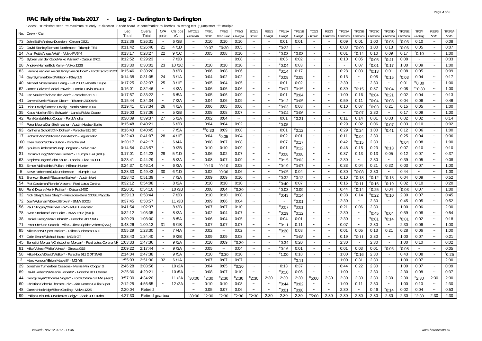#### **RAC Rally of the Tests 2017 - Leg 2 - Darlington to Darlington**

| No.<br>Total<br>/CIs<br>Total<br>pos'n<br>Redworth<br>Castle<br>Drive Time<br>Having a<br>Secret<br>Garrigill<br>Garrigill<br>Garrigill<br>Hartside<br>Cumbrian<br>Cumbrian<br>Cumbrian<br>Cumbrian<br>Cumbrian<br>Cumbrian<br>6/3B<br>73<br>John Ball*/Andrew Duerden - Citroen DS21<br>0:12:36<br>0:26:31<br>0:10<br>0:10<br>0:10<br>0:01<br>0:01<br>0:09<br>0:01<br>1:00<br>$e_{0:08}$<br>$^{\circ}$ 0:03<br>$\tilde{\phantom{a}}$<br>$\tilde{\phantom{a}}$<br>$\tilde{\phantom{a}}$<br>$\tilde{\phantom{a}}$<br>$\tilde{\phantom{a}}$<br>15<br>4/1D<br>21<br>$^{\circ}$ 0:07<br>0:05<br>$^{\rm e}$ 0:22<br>0:03<br>1:00<br>0:13<br>$^{\rm e}$ 0:06<br>David Stanley/Bernard Northmore - Triumph TR4<br>0:11:42<br>0:26:46<br>0:30"<br>$^{\rm e}$ 0:09<br>$\tilde{\phantom{a}}$<br>$\sim$<br>$\tilde{\phantom{a}}$<br>$\sim$<br>$\sim$<br>$\tilde{\phantom{a}}$<br>9/1C<br>0:10<br>24<br>Alan Pettit/Angus Watt* - Volvo PV544<br>0:13:17<br>0:28:27<br>22<br>0:05<br>0:08<br>0:10<br>$^{\circ}$ 0:03<br>$^{\circ}$ 0:03<br>0:01<br>$^{\rm e}$ 0:14<br>0:09<br>0:17<br>$\tilde{\phantom{a}}$<br>$\sim$<br>$\sim$<br>$\sim$<br>$\sim$<br>7/3B<br>75<br>0:12:52<br>0:29:23<br>0:08<br>0:02<br>$^{\circ}$ 0:05<br>°0:41<br>0:08<br>Sybren van der Goot/Maiko Wellink* - Datsun 240Z<br>0:05<br>0:10<br>0:05<br>$\sim$<br>$\sim$<br>$\sim$<br>$\sim$<br>$\sim$<br>$\tilde{\phantom{a}}$<br>$\sim$<br>28<br>10/1C<br>0:13:30<br>0:30:01<br>23<br>0:10<br>0:10<br>0:10<br>$^{\circ}$ 0:04<br>0:03<br>0:07<br>$^{\circ}$ 0:01<br>$^{\rm e}$ 0:17<br>1:00<br>Andrew Hamer/Bob Kerry - Volvo 122S<br>$\tilde{\phantom{a}}$<br>$\sim$<br>$\sim$<br>$\sim$<br>$\sim$<br>$\sim$<br>8/3B<br>$^{\circ}$ 0:13<br>83<br>0:30:20<br>0:06<br><sup>e</sup> 0:14<br>0:01<br>Laurens van der Velde/Jenny van de Boel* - Ford Escort RS200<br>0:15:46<br>0:06<br>0:08<br>0:17<br>0:28<br>0:03<br>0:08<br>$\tilde{\phantom{a}}$<br>$\tilde{\phantom{a}}$<br>$\sim$<br>$\tilde{\phantom{a}}$<br>$\sim$<br>$\tilde{\phantom{a}}$<br>14<br>24<br>3/1A<br>0:02<br>0:14:38<br>0:31:05<br>0:04<br>0:02<br>$^{\circ}$ 0:08<br>0:13<br>0:05<br>$^{\circ}$ 0:15<br>$^{\circ}$ 0:03<br>$\tilde{\phantom{a}}$<br>$^{\circ}$ 0:05<br>$\sim$<br>$\tilde{\phantom{a}}$<br>$\sim$<br>Guy Symons/David Watson - Riley 1.5<br>$\sim$<br>$\sim$<br>40<br>3/1E<br>0:05<br>2:30<br>0:01<br>0:17:25<br>0:32:37<br>25<br>0:05<br>0:04<br>0:01<br>0:02<br>2:30<br>Michael Moss/James Ewing - Fiat 2300S Abarth Coupe<br>$\tilde{\phantom{a}}$<br>$\sim$<br>$\widetilde{\phantom{m}}$<br>$\tilde{\phantom{a}}$<br>$\tilde{\phantom{a}}$<br>$\widetilde{\phantom{m}}$<br>4/3A<br>62<br>0:16:01<br>0:32:46<br>0:06<br>0:06<br>0:06<br>0:39<br>0:37<br>$^{\circ}$ 0:04<br>0:08<br>$^{\rm e}$ 0:07<br>$^{\circ}$ 0:35<br>$^{\rm e}$ 0:15<br>James Calvert*/Daniel Powell* - Lancia Fulvia 1600HF<br>$\sim$<br>$\widetilde{\phantom{m}}$<br>$\thicksim$<br>$\ddot{\phantom{1}}$<br>$\sim$<br>74<br>Cor Meulen*/Ad Van der Werf* - Porsche 911 ST<br>0:17:57<br>0:33:22<br>6/5A<br>0:05<br>0:06<br>0:09<br>0:01<br>$^{\circ}$ 0:04<br>$^{\circ}$ 0:21<br>$^{\circ}$ 0:04<br>1:00<br>0:16<br>0:02<br>$\tilde{\phantom{a}}$<br>$\thicksim$<br>$\tilde{\phantom{a}}$<br>$\widetilde{\phantom{m}}$<br>$\tilde{\phantom{a}}$<br>$\tilde{\phantom{a}}$<br>41<br>0:34:34<br>7/2A<br>0:04<br>0:06<br>0:09<br>0:59<br>$^{\circ}$ 0:04<br>0:04<br>0:15:44<br>$^{\circ}$ 0:12<br>$^{\circ}$ 0:05<br>0:11<br>$^{\rm e}$ 0:08<br>Darren Everitt*/Susan Dixon* - Triumph 2000 MkI<br>$\sim$<br>$\tilde{\phantom{a}}$<br>$\tilde{\phantom{a}}$<br>$\sim$<br>$\tilde{\phantom{a}}$<br>$\tilde{\phantom{a}}$<br>4/1A<br>11<br>0:19:41<br>0:37:34<br>26<br>0:06<br>0:05<br>0:06<br>0:08<br>0:10<br>0:07<br>$^{\circ}$ 0:03<br>0:21<br>0:15<br>Brian Dwelly/Janette Dwelly - Morris Minor 1000<br>$^{\circ}$ 0:03<br>$\tilde{}$<br>$\widetilde{\phantom{m}}$<br>$\widetilde{\phantom{m}}$<br>$\tilde{}$<br>$\tilde{\phantom{a}}$ | Trucking<br>North<br>North<br>0:08<br>0:10<br>$\tilde{\phantom{a}}$<br>0:07<br>0:05<br>$\sim$<br>1:00<br>$^{\circ}$ 0:10<br>$\sim$<br>0:33<br>$\sim$<br>0:09<br>1:00<br>0:05<br>0:09<br>$\sim$<br>0:04<br>0:17<br>$\tilde{\phantom{a}}$<br>™0:30<br>1:00<br><sup>"c</sup> 0:30<br>1:00<br>$\sim$<br>0:04<br>0:13<br>$\sim$<br>0:06<br>0:46<br>$\sim$<br>0:05<br>1:00<br>0:09<br>1:00<br>$\tilde{\phantom{a}}$<br>0:02<br>0:14<br>0:10<br>0:02<br>0:06<br>1:00 |
|-------------------------------------------------------------------------------------------------------------------------------------------------------------------------------------------------------------------------------------------------------------------------------------------------------------------------------------------------------------------------------------------------------------------------------------------------------------------------------------------------------------------------------------------------------------------------------------------------------------------------------------------------------------------------------------------------------------------------------------------------------------------------------------------------------------------------------------------------------------------------------------------------------------------------------------------------------------------------------------------------------------------------------------------------------------------------------------------------------------------------------------------------------------------------------------------------------------------------------------------------------------------------------------------------------------------------------------------------------------------------------------------------------------------------------------------------------------------------------------------------------------------------------------------------------------------------------------------------------------------------------------------------------------------------------------------------------------------------------------------------------------------------------------------------------------------------------------------------------------------------------------------------------------------------------------------------------------------------------------------------------------------------------------------------------------------------------------------------------------------------------------------------------------------------------------------------------------------------------------------------------------------------------------------------------------------------------------------------------------------------------------------------------------------------------------------------------------------------------------------------------------------------------------------------------------------------------------------------------------------------------------------------------------------------------------------------------------------------------------------------------------------------------------------------------------------------------------------------------------------------------------------------------------------------------------------------------------------------------------------------------------------------------------------------------------------------------------------------------------------------------------------------------------------------------------------------------------------------------------------------------------------------------------------------------------------------------------------------------------------------------------------------------------------------------------------------------------------------------------------------------------------------------------------------------------------------------------------------------------------------------------------------------------------------------------------------------------------------------------------------------------------------------------------------------------------------------------------------------------------------------------------------------------------------------------------------------------|---------------------------------------------------------------------------------------------------------------------------------------------------------------------------------------------------------------------------------------------------------------------------------------------------------------------------------------------------------------------------------------------------------------------------------------------------------------|
|                                                                                                                                                                                                                                                                                                                                                                                                                                                                                                                                                                                                                                                                                                                                                                                                                                                                                                                                                                                                                                                                                                                                                                                                                                                                                                                                                                                                                                                                                                                                                                                                                                                                                                                                                                                                                                                                                                                                                                                                                                                                                                                                                                                                                                                                                                                                                                                                                                                                                                                                                                                                                                                                                                                                                                                                                                                                                                                                                                                                                                                                                                                                                                                                                                                                                                                                                                                                                                                                                                                                                                                                                                                                                                                                                                                                                                                                                                                                                             |                                                                                                                                                                                                                                                                                                                                                                                                                                                               |
|                                                                                                                                                                                                                                                                                                                                                                                                                                                                                                                                                                                                                                                                                                                                                                                                                                                                                                                                                                                                                                                                                                                                                                                                                                                                                                                                                                                                                                                                                                                                                                                                                                                                                                                                                                                                                                                                                                                                                                                                                                                                                                                                                                                                                                                                                                                                                                                                                                                                                                                                                                                                                                                                                                                                                                                                                                                                                                                                                                                                                                                                                                                                                                                                                                                                                                                                                                                                                                                                                                                                                                                                                                                                                                                                                                                                                                                                                                                                                             |                                                                                                                                                                                                                                                                                                                                                                                                                                                               |
|                                                                                                                                                                                                                                                                                                                                                                                                                                                                                                                                                                                                                                                                                                                                                                                                                                                                                                                                                                                                                                                                                                                                                                                                                                                                                                                                                                                                                                                                                                                                                                                                                                                                                                                                                                                                                                                                                                                                                                                                                                                                                                                                                                                                                                                                                                                                                                                                                                                                                                                                                                                                                                                                                                                                                                                                                                                                                                                                                                                                                                                                                                                                                                                                                                                                                                                                                                                                                                                                                                                                                                                                                                                                                                                                                                                                                                                                                                                                                             |                                                                                                                                                                                                                                                                                                                                                                                                                                                               |
|                                                                                                                                                                                                                                                                                                                                                                                                                                                                                                                                                                                                                                                                                                                                                                                                                                                                                                                                                                                                                                                                                                                                                                                                                                                                                                                                                                                                                                                                                                                                                                                                                                                                                                                                                                                                                                                                                                                                                                                                                                                                                                                                                                                                                                                                                                                                                                                                                                                                                                                                                                                                                                                                                                                                                                                                                                                                                                                                                                                                                                                                                                                                                                                                                                                                                                                                                                                                                                                                                                                                                                                                                                                                                                                                                                                                                                                                                                                                                             |                                                                                                                                                                                                                                                                                                                                                                                                                                                               |
|                                                                                                                                                                                                                                                                                                                                                                                                                                                                                                                                                                                                                                                                                                                                                                                                                                                                                                                                                                                                                                                                                                                                                                                                                                                                                                                                                                                                                                                                                                                                                                                                                                                                                                                                                                                                                                                                                                                                                                                                                                                                                                                                                                                                                                                                                                                                                                                                                                                                                                                                                                                                                                                                                                                                                                                                                                                                                                                                                                                                                                                                                                                                                                                                                                                                                                                                                                                                                                                                                                                                                                                                                                                                                                                                                                                                                                                                                                                                                             |                                                                                                                                                                                                                                                                                                                                                                                                                                                               |
|                                                                                                                                                                                                                                                                                                                                                                                                                                                                                                                                                                                                                                                                                                                                                                                                                                                                                                                                                                                                                                                                                                                                                                                                                                                                                                                                                                                                                                                                                                                                                                                                                                                                                                                                                                                                                                                                                                                                                                                                                                                                                                                                                                                                                                                                                                                                                                                                                                                                                                                                                                                                                                                                                                                                                                                                                                                                                                                                                                                                                                                                                                                                                                                                                                                                                                                                                                                                                                                                                                                                                                                                                                                                                                                                                                                                                                                                                                                                                             |                                                                                                                                                                                                                                                                                                                                                                                                                                                               |
|                                                                                                                                                                                                                                                                                                                                                                                                                                                                                                                                                                                                                                                                                                                                                                                                                                                                                                                                                                                                                                                                                                                                                                                                                                                                                                                                                                                                                                                                                                                                                                                                                                                                                                                                                                                                                                                                                                                                                                                                                                                                                                                                                                                                                                                                                                                                                                                                                                                                                                                                                                                                                                                                                                                                                                                                                                                                                                                                                                                                                                                                                                                                                                                                                                                                                                                                                                                                                                                                                                                                                                                                                                                                                                                                                                                                                                                                                                                                                             |                                                                                                                                                                                                                                                                                                                                                                                                                                                               |
|                                                                                                                                                                                                                                                                                                                                                                                                                                                                                                                                                                                                                                                                                                                                                                                                                                                                                                                                                                                                                                                                                                                                                                                                                                                                                                                                                                                                                                                                                                                                                                                                                                                                                                                                                                                                                                                                                                                                                                                                                                                                                                                                                                                                                                                                                                                                                                                                                                                                                                                                                                                                                                                                                                                                                                                                                                                                                                                                                                                                                                                                                                                                                                                                                                                                                                                                                                                                                                                                                                                                                                                                                                                                                                                                                                                                                                                                                                                                                             |                                                                                                                                                                                                                                                                                                                                                                                                                                                               |
|                                                                                                                                                                                                                                                                                                                                                                                                                                                                                                                                                                                                                                                                                                                                                                                                                                                                                                                                                                                                                                                                                                                                                                                                                                                                                                                                                                                                                                                                                                                                                                                                                                                                                                                                                                                                                                                                                                                                                                                                                                                                                                                                                                                                                                                                                                                                                                                                                                                                                                                                                                                                                                                                                                                                                                                                                                                                                                                                                                                                                                                                                                                                                                                                                                                                                                                                                                                                                                                                                                                                                                                                                                                                                                                                                                                                                                                                                                                                                             |                                                                                                                                                                                                                                                                                                                                                                                                                                                               |
|                                                                                                                                                                                                                                                                                                                                                                                                                                                                                                                                                                                                                                                                                                                                                                                                                                                                                                                                                                                                                                                                                                                                                                                                                                                                                                                                                                                                                                                                                                                                                                                                                                                                                                                                                                                                                                                                                                                                                                                                                                                                                                                                                                                                                                                                                                                                                                                                                                                                                                                                                                                                                                                                                                                                                                                                                                                                                                                                                                                                                                                                                                                                                                                                                                                                                                                                                                                                                                                                                                                                                                                                                                                                                                                                                                                                                                                                                                                                                             |                                                                                                                                                                                                                                                                                                                                                                                                                                                               |
|                                                                                                                                                                                                                                                                                                                                                                                                                                                                                                                                                                                                                                                                                                                                                                                                                                                                                                                                                                                                                                                                                                                                                                                                                                                                                                                                                                                                                                                                                                                                                                                                                                                                                                                                                                                                                                                                                                                                                                                                                                                                                                                                                                                                                                                                                                                                                                                                                                                                                                                                                                                                                                                                                                                                                                                                                                                                                                                                                                                                                                                                                                                                                                                                                                                                                                                                                                                                                                                                                                                                                                                                                                                                                                                                                                                                                                                                                                                                                             |                                                                                                                                                                                                                                                                                                                                                                                                                                                               |
|                                                                                                                                                                                                                                                                                                                                                                                                                                                                                                                                                                                                                                                                                                                                                                                                                                                                                                                                                                                                                                                                                                                                                                                                                                                                                                                                                                                                                                                                                                                                                                                                                                                                                                                                                                                                                                                                                                                                                                                                                                                                                                                                                                                                                                                                                                                                                                                                                                                                                                                                                                                                                                                                                                                                                                                                                                                                                                                                                                                                                                                                                                                                                                                                                                                                                                                                                                                                                                                                                                                                                                                                                                                                                                                                                                                                                                                                                                                                                             |                                                                                                                                                                                                                                                                                                                                                                                                                                                               |
| 35<br>5/2B<br>0:08<br>0:07<br>2:30<br>0:17<br>0:19:03<br>0:37:36<br>0:08<br>$^{\circ}$ 0:04<br>$^{\circ}$ 0:07<br>$\sim$<br>Klaus Mueller*/Eric Schwab* - Lancia Fulvia Coupe<br><sup>e</sup> 0:06<br>$\sim$<br>$\tilde{}$<br>$\tilde{\phantom{a}}$<br>$\tilde{\phantom{a}}$<br>$\tilde{\phantom{a}}$<br>$\tilde{\phantom{a}}$                                                                                                                                                                                                                                                                                                                                                                                                                                                                                                                                                                                                                                                                                                                                                                                                                                                                                                                                                                                                                                                                                                                                                                                                                                                                                                                                                                                                                                                                                                                                                                                                                                                                                                                                                                                                                                                                                                                                                                                                                                                                                                                                                                                                                                                                                                                                                                                                                                                                                                                                                                                                                                                                                                                                                                                                                                                                                                                                                                                                                                                                                                                                                                                                                                                                                                                                                                                                                                                                                                                                                                                                                              |                                                                                                                                                                                                                                                                                                                                                                                                                                                               |
| 0:39:37<br>5/1A<br>0:04<br>0:14<br>0:01<br>0:03<br>0:02<br>42<br>Ron Kendall/Nick Cooper - Ford Anglia<br>0:30:09<br>27<br>0:02<br>0:01<br>$^{\circ}$ 0:21<br>0:11<br>$\widetilde{\phantom{m}}$<br>$\widetilde{\phantom{m}}$<br>$\tilde{\phantom{a}}$<br>$\sim$<br>$\sim$<br>$\tilde{\phantom{a}}$                                                                                                                                                                                                                                                                                                                                                                                                                                                                                                                                                                                                                                                                                                                                                                                                                                                                                                                                                                                                                                                                                                                                                                                                                                                                                                                                                                                                                                                                                                                                                                                                                                                                                                                                                                                                                                                                                                                                                                                                                                                                                                                                                                                                                                                                                                                                                                                                                                                                                                                                                                                                                                                                                                                                                                                                                                                                                                                                                                                                                                                                                                                                                                                                                                                                                                                                                                                                                                                                                                                                                                                                                                                          |                                                                                                                                                                                                                                                                                                                                                                                                                                                               |
| 6/2B<br>0:02<br>$^{\circ}$ 0:05<br>0:06<br>$^{\rm e}$ 0:07<br>0:03<br>12<br>0:15:48<br>0:40:21<br>0:04<br>0:04<br>0:29<br>0:02<br>Peter Moore/Dan Stellmacher - Austin-Healey Sprite<br>$\sim$<br>$\sim$<br>$\sim$<br>$\sim$<br>$\sim$<br>$\sim$                                                                                                                                                                                                                                                                                                                                                                                                                                                                                                                                                                                                                                                                                                                                                                                                                                                                                                                                                                                                                                                                                                                                                                                                                                                                                                                                                                                                                                                                                                                                                                                                                                                                                                                                                                                                                                                                                                                                                                                                                                                                                                                                                                                                                                                                                                                                                                                                                                                                                                                                                                                                                                                                                                                                                                                                                                                                                                                                                                                                                                                                                                                                                                                                                                                                                                                                                                                                                                                                                                                                                                                                                                                                                                            |                                                                                                                                                                                                                                                                                                                                                                                                                                                               |
| 93<br>7/5A<br>$k+0:30$<br>0:09<br>0:08<br>0:12<br>Karlheinz Schott*/Dirk Dohse* - Porsche 911 SC<br>0:16:43<br>0:40:45<br>0:01<br>$^{\rm e}$ 0:12<br>0:29<br>$^{\rm e}$ 0:24<br>1:00<br><sup>e</sup> 0:41<br>$\widetilde{\phantom{m}}$<br>$\tilde{}$<br>$\tilde{\phantom{a}}$<br>$\tilde{\phantom{a}}$                                                                                                                                                                                                                                                                                                                                                                                                                                                                                                                                                                                                                                                                                                                                                                                                                                                                                                                                                                                                                                                                                                                                                                                                                                                                                                                                                                                                                                                                                                                                                                                                                                                                                                                                                                                                                                                                                                                                                                                                                                                                                                                                                                                                                                                                                                                                                                                                                                                                                                                                                                                                                                                                                                                                                                                                                                                                                                                                                                                                                                                                                                                                                                                                                                                                                                                                                                                                                                                                                                                                                                                                                                                      |                                                                                                                                                                                                                                                                                                                                                                                                                                                               |
| 2:30<br>17<br>4/1E<br>0:04<br>0:25<br>Richard Worts*/Nicola Shackleton* - Jaquar Mk2<br>0:22:43<br>0:41:07<br>28<br>0:04<br>0:02<br>0:01<br>0:11<br>°0:04<br>$\sim$<br>$^{\circ}$ 0:05<br>$\sim$<br>$\sim$<br>$\sim$<br>$\sim$<br>$\sim$                                                                                                                                                                                                                                                                                                                                                                                                                                                                                                                                                                                                                                                                                                                                                                                                                                                                                                                                                                                                                                                                                                                                                                                                                                                                                                                                                                                                                                                                                                                                                                                                                                                                                                                                                                                                                                                                                                                                                                                                                                                                                                                                                                                                                                                                                                                                                                                                                                                                                                                                                                                                                                                                                                                                                                                                                                                                                                                                                                                                                                                                                                                                                                                                                                                                                                                                                                                                                                                                                                                                                                                                                                                                                                                    | 0:04<br>0:36                                                                                                                                                                                                                                                                                                                                                                                                                                                  |
| 6/4A<br>2:30<br>100<br>Ellen Sutton*/Colin Sutton - Porsche 924<br>0:20:17<br>0:42:17<br>0:08<br>0:07<br>0:08<br>0:07<br>$^{\rm e}$ 0:17<br>0:42<br>$^{\rm e}$ 0:15<br>$^{\circ}$ 0:04<br>$\thicksim$<br>$\tilde{\phantom{a}}$<br>$\tilde{\phantom{a}}$<br>$\tilde{\phantom{a}}$<br>$\tilde{}$<br>$\tilde{\phantom{a}}$                                                                                                                                                                                                                                                                                                                                                                                                                                                                                                                                                                                                                                                                                                                                                                                                                                                                                                                                                                                                                                                                                                                                                                                                                                                                                                                                                                                                                                                                                                                                                                                                                                                                                                                                                                                                                                                                                                                                                                                                                                                                                                                                                                                                                                                                                                                                                                                                                                                                                                                                                                                                                                                                                                                                                                                                                                                                                                                                                                                                                                                                                                                                                                                                                                                                                                                                                                                                                                                                                                                                                                                                                                     | 0:08<br>1:00<br>$\tilde{\phantom{a}}$                                                                                                                                                                                                                                                                                                                                                                                                                         |
| 66<br>9/3B<br>0:09<br>$^{\circ}$ 0:12<br>0:23<br>0:07<br>0:14:54<br>0:43:57<br>0:10<br>0:10<br>0:01<br>0:48<br>0:15<br>$^{\rm e}$ 0:13<br>Sjouke Kuindersma*/Jaap Jongman - Volvo 142<br>$\sim$<br>$\sim$<br>$\sim$<br>$\sim$<br>$\sim$                                                                                                                                                                                                                                                                                                                                                                                                                                                                                                                                                                                                                                                                                                                                                                                                                                                                                                                                                                                                                                                                                                                                                                                                                                                                                                                                                                                                                                                                                                                                                                                                                                                                                                                                                                                                                                                                                                                                                                                                                                                                                                                                                                                                                                                                                                                                                                                                                                                                                                                                                                                                                                                                                                                                                                                                                                                                                                                                                                                                                                                                                                                                                                                                                                                                                                                                                                                                                                                                                                                                                                                                                                                                                                                     | 0:10<br>0:10                                                                                                                                                                                                                                                                                                                                                                                                                                                  |
| 29<br>5/1D<br>0:07<br>0:12<br>31<br>0:17:01<br>0:44:23<br>0:06<br>0:02<br>$^{\rm e}$ 0:08<br>0:37<br>0:13<br>0:13<br>0:05<br>Dominik Lingg*/Michael Gerber* - Triumph TR4 (A&D)<br>$^{\rm e}$ 0:08<br>$\tilde{\phantom{a}}$<br>$\tilde{}$<br>$\tilde{\phantom{a}}$<br>$\thicksim$<br>$\tilde{\phantom{a}}$                                                                                                                                                                                                                                                                                                                                                                                                                                                                                                                                                                                                                                                                                                                                                                                                                                                                                                                                                                                                                                                                                                                                                                                                                                                                                                                                                                                                                                                                                                                                                                                                                                                                                                                                                                                                                                                                                                                                                                                                                                                                                                                                                                                                                                                                                                                                                                                                                                                                                                                                                                                                                                                                                                                                                                                                                                                                                                                                                                                                                                                                                                                                                                                                                                                                                                                                                                                                                                                                                                                                                                                                                                                  | 0:07<br>0:37                                                                                                                                                                                                                                                                                                                                                                                                                                                  |
| 63<br>5/3A<br>2:30<br>0:23:41<br>0:08<br>0:07<br>0:09<br>$^{\circ}$ 0:15<br>2:30<br>0:39<br>Stephen Rogers/John Shute - Lancia Fulvia 1600HF<br>0:44:29<br>$^{\rm e}$ 0:03<br>$\sim$<br>$\sim$<br>$\tilde{\phantom{a}}$<br>$\sim$<br>$\sim$<br>$\sim$<br>$\sim$<br>$\sim$                                                                                                                                                                                                                                                                                                                                                                                                                                                                                                                                                                                                                                                                                                                                                                                                                                                                                                                                                                                                                                                                                                                                                                                                                                                                                                                                                                                                                                                                                                                                                                                                                                                                                                                                                                                                                                                                                                                                                                                                                                                                                                                                                                                                                                                                                                                                                                                                                                                                                                                                                                                                                                                                                                                                                                                                                                                                                                                                                                                                                                                                                                                                                                                                                                                                                                                                                                                                                                                                                                                                                                                                                                                                                   | 0:05<br>0:08                                                                                                                                                                                                                                                                                                                                                                                                                                                  |
| 6/3A<br>0:21<br>0:32<br>0:03<br>82<br>0:24:37<br>0:46:14<br>°0:10<br>$\degree$ 0:10<br>0:08<br>$^{\circ}$ 0:19<br>$^{\circ}$ 0:07<br>0:33<br>0:04<br>Simon Malins/Nick Pullan - Hillman Hunter<br>$\tilde{\phantom{a}}$<br>$\sim$<br>$\sim$<br>$\sim$<br>$\sim$                                                                                                                                                                                                                                                                                                                                                                                                                                                                                                                                                                                                                                                                                                                                                                                                                                                                                                                                                                                                                                                                                                                                                                                                                                                                                                                                                                                                                                                                                                                                                                                                                                                                                                                                                                                                                                                                                                                                                                                                                                                                                                                                                                                                                                                                                                                                                                                                                                                                                                                                                                                                                                                                                                                                                                                                                                                                                                                                                                                                                                                                                                                                                                                                                                                                                                                                                                                                                                                                                                                                                                                                                                                                                             | 0:07<br>1:00<br>$\ddot{ }$                                                                                                                                                                                                                                                                                                                                                                                                                                    |
| 6/1D<br>2:30<br>0:44<br>5<br>0:28:33<br>0:49:43<br>30<br>0:06<br>$^{\circ}$ 0:05<br>0:04<br>0:30<br>Steve Robertson/Julia Robertson - Triumph TR3<br>0:02<br>$0:0^\circ$<br>$^{\rm e}$ 0:08<br>$\sim$<br>$\sim$<br>$\sim$<br>$\tilde{\phantom{a}}$<br>$\sim$<br>$\sim$                                                                                                                                                                                                                                                                                                                                                                                                                                                                                                                                                                                                                                                                                                                                                                                                                                                                                                                                                                                                                                                                                                                                                                                                                                                                                                                                                                                                                                                                                                                                                                                                                                                                                                                                                                                                                                                                                                                                                                                                                                                                                                                                                                                                                                                                                                                                                                                                                                                                                                                                                                                                                                                                                                                                                                                                                                                                                                                                                                                                                                                                                                                                                                                                                                                                                                                                                                                                                                                                                                                                                                                                                                                                                      | 1:00<br>$\sim$                                                                                                                                                                                                                                                                                                                                                                                                                                                |
| 61<br>7/3A<br>0:28:42<br>0:51:39<br>0:09<br>0:09<br>0:10<br>$^{\circ}$ 0:32<br>0:10<br>$^{\circ}$ 0:12<br>$^{\circ}$ 0:13<br>0:04<br>Bronwyn Burrell*/Suzanne Barker* - Austin Maxi<br>$^{\rm e}$ 0:12<br>$^{\rm e}$ 0:18<br>$\tilde{}$<br>$\widetilde{\phantom{m}}$<br>$\widetilde{\phantom{m}}$<br>$\tilde{}$                                                                                                                                                                                                                                                                                                                                                                                                                                                                                                                                                                                                                                                                                                                                                                                                                                                                                                                                                                                                                                                                                                                                                                                                                                                                                                                                                                                                                                                                                                                                                                                                                                                                                                                                                                                                                                                                                                                                                                                                                                                                                                                                                                                                                                                                                                                                                                                                                                                                                                                                                                                                                                                                                                                                                                                                                                                                                                                                                                                                                                                                                                                                                                                                                                                                                                                                                                                                                                                                                                                                                                                                                                             | 0:52<br>0:09<br>$\tilde{\phantom{a}}$                                                                                                                                                                                                                                                                                                                                                                                                                         |
| 54<br>8/2A<br>0:10<br>$^{\circ}$ 0:16<br>Piet Cassimon/Ronnie Vissers - Ford Lotus Cortina<br>0:32:12<br>0:54:08<br>0:10<br>0:10<br>$e_{0:40}$<br>0:07<br>0:16<br>$^{\circ}$ 0:19<br>0:02<br>$^{\rm e}$ 0:11<br>$\sim$<br>$\sim$<br>$\tilde{\phantom{a}}$<br>$\sim$<br>$\sim$                                                                                                                                                                                                                                                                                                                                                                                                                                                                                                                                                                                                                                                                                                                                                                                                                                                                                                                                                                                                                                                                                                                                                                                                                                                                                                                                                                                                                                                                                                                                                                                                                                                                                                                                                                                                                                                                                                                                                                                                                                                                                                                                                                                                                                                                                                                                                                                                                                                                                                                                                                                                                                                                                                                                                                                                                                                                                                                                                                                                                                                                                                                                                                                                                                                                                                                                                                                                                                                                                                                                                                                                                                                                               | 0:20<br>0:10                                                                                                                                                                                                                                                                                                                                                                                                                                                  |
| 10/3B<br>80<br>0:20:01<br>0:54:10<br>0:08<br>0:04<br>$^{\rm w}$ 0:30<br>$^{\circ}$ 0:03<br>0:44<br>$^{\circ}$ 0:25<br>0:04<br>René Dwars*/Henk Ruijten* - Datsun 240Z<br>$^{\circ}$ 0:09<br><sup>e</sup> 0:14<br>$^{\circ}$ 0:03<br>$\sim$<br>$\tilde{\phantom{a}}$<br>$\tilde{\phantom{a}}$<br>$\widetilde{\phantom{m}}$<br>$\tilde{}$                                                                                                                                                                                                                                                                                                                                                                                                                                                                                                                                                                                                                                                                                                                                                                                                                                                                                                                                                                                                                                                                                                                                                                                                                                                                                                                                                                                                                                                                                                                                                                                                                                                                                                                                                                                                                                                                                                                                                                                                                                                                                                                                                                                                                                                                                                                                                                                                                                                                                                                                                                                                                                                                                                                                                                                                                                                                                                                                                                                                                                                                                                                                                                                                                                                                                                                                                                                                                                                                                                                                                                                                                     | 0:07<br>1:00<br>$\sim$                                                                                                                                                                                                                                                                                                                                                                                                                                        |
| 32<br>7/2B<br>0:08<br>Nick Sleep*/Jess Sleep* - Mercedes-Benz 230SL Pagoda<br>0:29:13<br>0:58:44<br>0:10<br>0:10<br>0:38<br>0:14<br>$^{\circ}$ 0:22<br>$^{\circ}$ 0:10<br>2:30<br>$^{\circ}$ 0:43<br>$^{\rm e}$ 0:14<br>$\tilde{\phantom{a}}$<br>$\sim$<br>$\sim$<br>$\tilde{\phantom{a}}$                                                                                                                                                                                                                                                                                                                                                                                                                                                                                                                                                                                                                                                                                                                                                                                                                                                                                                                                                                                                                                                                                                                                                                                                                                                                                                                                                                                                                                                                                                                                                                                                                                                                                                                                                                                                                                                                                                                                                                                                                                                                                                                                                                                                                                                                                                                                                                                                                                                                                                                                                                                                                                                                                                                                                                                                                                                                                                                                                                                                                                                                                                                                                                                                                                                                                                                                                                                                                                                                                                                                                                                                                                                                  | 0:07<br>0:45                                                                                                                                                                                                                                                                                                                                                                                                                                                  |
| 72<br>11/3B<br>0:37:45<br>0:58:57<br>0:09<br>0:06<br>0:04<br>2:30<br>2:30<br>$\sim$<br>0:45<br>$^{\circ}$ 0:01<br>$\tilde{\phantom{a}}$<br>Joel Wykeham*/David Brown* - BMW 2002tii<br>$\tilde{\phantom{a}}$<br>$\sim$<br>$\tilde{}$<br>$\sim$<br>$\tilde{\phantom{a}}$                                                                                                                                                                                                                                                                                                                                                                                                                                                                                                                                                                                                                                                                                                                                                                                                                                                                                                                                                                                                                                                                                                                                                                                                                                                                                                                                                                                                                                                                                                                                                                                                                                                                                                                                                                                                                                                                                                                                                                                                                                                                                                                                                                                                                                                                                                                                                                                                                                                                                                                                                                                                                                                                                                                                                                                                                                                                                                                                                                                                                                                                                                                                                                                                                                                                                                                                                                                                                                                                                                                                                                                                                                                                                     | 0:05<br>0:52<br>$\sim$                                                                                                                                                                                                                                                                                                                                                                                                                                        |
| 2:30<br>56<br>0:41:54<br>1:02:37<br>8/2B<br>0:07<br>0:07<br>0:10<br>0:21<br>0:06<br>1:00<br>Paul Slingsby*/Michael Fox* - MG B Roadster<br>$^{\circ}$ 0:07<br>$^{\circ}$ 0:01<br>$\sim$<br>$\tilde{\phantom{a}}$<br>$\sim$<br>$\sim$<br>$\sim$<br>$\sim$<br>$\sim$                                                                                                                                                                                                                                                                                                                                                                                                                                                                                                                                                                                                                                                                                                                                                                                                                                                                                                                                                                                                                                                                                                                                                                                                                                                                                                                                                                                                                                                                                                                                                                                                                                                                                                                                                                                                                                                                                                                                                                                                                                                                                                                                                                                                                                                                                                                                                                                                                                                                                                                                                                                                                                                                                                                                                                                                                                                                                                                                                                                                                                                                                                                                                                                                                                                                                                                                                                                                                                                                                                                                                                                                                                                                                          | 0:06<br>2:30<br>$\tilde{\phantom{a}}$                                                                                                                                                                                                                                                                                                                                                                                                                         |
| $^{\circ}$ 0:45<br>78<br>8/3A<br>0:02<br>0:07<br>$^{\circ}$ 0:29<br>$^{\circ}$ 0:12<br>2:30<br>$^{\circ}$ 0:04<br>0:59<br>Sven Stockmar/Dorit Baier - BMW 1602 (A&D)<br>0:32:12<br>1:03:35<br>0:04<br>$\tilde{\phantom{a}}$<br>$\ddot{ }$<br>$\sim$<br>$\sim$<br>$\sim$<br>$\sim$                                                                                                                                                                                                                                                                                                                                                                                                                                                                                                                                                                                                                                                                                                                                                                                                                                                                                                                                                                                                                                                                                                                                                                                                                                                                                                                                                                                                                                                                                                                                                                                                                                                                                                                                                                                                                                                                                                                                                                                                                                                                                                                                                                                                                                                                                                                                                                                                                                                                                                                                                                                                                                                                                                                                                                                                                                                                                                                                                                                                                                                                                                                                                                                                                                                                                                                                                                                                                                                                                                                                                                                                                                                                           | 0:08<br>0:54                                                                                                                                                                                                                                                                                                                                                                                                                                                  |
| 8/5A<br>0:20:29<br>1:08:00<br>0:06<br>0:04<br>0:05<br>0:04<br>0:01<br>2:30<br>$^{\circ}$ 0:01<br>$^{\circ}$ 0:01<br>38<br>Daniel Gresly*/Max Behrndt* - Porsche 911 SWB<br><sup>e</sup> 0:14<br>$\tilde{\phantom{a}}$<br>$\tilde{}$<br>$\sim$<br>$\sim$<br>$\tilde{\phantom{a}}$<br>$\tilde{\phantom{a}}$                                                                                                                                                                                                                                                                                                                                                                                                                                                                                                                                                                                                                                                                                                                                                                                                                                                                                                                                                                                                                                                                                                                                                                                                                                                                                                                                                                                                                                                                                                                                                                                                                                                                                                                                                                                                                                                                                                                                                                                                                                                                                                                                                                                                                                                                                                                                                                                                                                                                                                                                                                                                                                                                                                                                                                                                                                                                                                                                                                                                                                                                                                                                                                                                                                                                                                                                                                                                                                                                                                                                                                                                                                                   | 0:02<br>0:18                                                                                                                                                                                                                                                                                                                                                                                                                                                  |
| 71<br>6/1B<br>$^{\rm e}$ 0:11<br>2:30<br>2:30<br>Peter Ulm/Jan Soucek - Alfa Giulietta Spider Veloce (A&D)<br>0:43:26<br>31<br>0:07<br>0:07<br>0:07<br>0:11<br>0:07<br>1:09:13<br>$\sim$<br>$\tilde{\phantom{a}}$<br>$\sim$<br>$\sim$<br>$\sim$<br>$\tilde{\phantom{a}}$<br>$\tilde{\phantom{a}}$                                                                                                                                                                                                                                                                                                                                                                                                                                                                                                                                                                                                                                                                                                                                                                                                                                                                                                                                                                                                                                                                                                                                                                                                                                                                                                                                                                                                                                                                                                                                                                                                                                                                                                                                                                                                                                                                                                                                                                                                                                                                                                                                                                                                                                                                                                                                                                                                                                                                                                                                                                                                                                                                                                                                                                                                                                                                                                                                                                                                                                                                                                                                                                                                                                                                                                                                                                                                                                                                                                                                                                                                                                                           | 1:00<br>0:06                                                                                                                                                                                                                                                                                                                                                                                                                                                  |
| 7/4A<br>95<br>1:23:30<br>0:02<br>0:02<br>0:03<br>0:01<br>0:05<br>0:13<br>0:21<br>0:28<br>Mike Kent*/Rupert Barker* - Talbot Sunbeam 1.6 Ti<br>0:55:29<br>$\tilde{\phantom{a}}$<br><sup>e</sup> 0:20<br>$\sim$<br>$\sim$<br>$\sim$<br>$\tilde{\phantom{a}}$<br>$\tilde{\phantom{a}}$<br>$\sim$                                                                                                                                                                                                                                                                                                                                                                                                                                                                                                                                                                                                                                                                                                                                                                                                                                                                                                                                                                                                                                                                                                                                                                                                                                                                                                                                                                                                                                                                                                                                                                                                                                                                                                                                                                                                                                                                                                                                                                                                                                                                                                                                                                                                                                                                                                                                                                                                                                                                                                                                                                                                                                                                                                                                                                                                                                                                                                                                                                                                                                                                                                                                                                                                                                                                                                                                                                                                                                                                                                                                                                                                                                                               | 0:06<br>1:00<br>$\sim$                                                                                                                                                                                                                                                                                                                                                                                                                                        |
| 47<br>0:38:43<br>9/2B<br>0:09<br>0:08<br>0:19<br>2:30<br>1:00<br>Colin Evans/Michael Kunz - MG B GT<br>1:34:40<br>0:09<br>$^{\rm e}$ 0:08<br>$^{\rm e}$ 0:11<br>$\sim$<br>$\sim$<br>$\sim$<br>$\sim$<br>$\sim$<br>$\sim$<br>$\sim$                                                                                                                                                                                                                                                                                                                                                                                                                                                                                                                                                                                                                                                                                                                                                                                                                                                                                                                                                                                                                                                                                                                                                                                                                                                                                                                                                                                                                                                                                                                                                                                                                                                                                                                                                                                                                                                                                                                                                                                                                                                                                                                                                                                                                                                                                                                                                                                                                                                                                                                                                                                                                                                                                                                                                                                                                                                                                                                                                                                                                                                                                                                                                                                                                                                                                                                                                                                                                                                                                                                                                                                                                                                                                                                          | 0:07<br>0:21<br>$\sim$                                                                                                                                                                                                                                                                                                                                                                                                                                        |
| 45<br>9/2A<br>0:09<br>0:20<br>2:30<br>2:30<br>1:00<br>1:03:33<br>1:47:36<br>0:10<br>$^{\prime\prime}$ 0:30<br>$^{\circ}$ 0:34<br>Benedict Morgan*/Christopher Morgan* - Ford Lotus Cortina Mk<br>$\sim$<br>$\sim$<br>$\tilde{\phantom{a}}$<br>$\widetilde{\phantom{m}}$<br>$\tilde{\phantom{a}}$<br>$\tilde{}$<br>$\sim$                                                                                                                                                                                                                                                                                                                                                                                                                                                                                                                                                                                                                                                                                                                                                                                                                                                                                                                                                                                                                                                                                                                                                                                                                                                                                                                                                                                                                                                                                                                                                                                                                                                                                                                                                                                                                                                                                                                                                                                                                                                                                                                                                                                                                                                                                                                                                                                                                                                                                                                                                                                                                                                                                                                                                                                                                                                                                                                                                                                                                                                                                                                                                                                                                                                                                                                                                                                                                                                                                                                                                                                                                                    | 0:02<br>0:10                                                                                                                                                                                                                                                                                                                                                                                                                                                  |
| 9/3A<br>0:04<br>0:01<br>$e_{0:08}$<br>81<br>2:17:44<br>0:05<br>$^{\rm e}$ 0:16<br>0:01<br>0:03<br>0.06<br>Mike Vokes*/Philip Vokes* - Ginetta G15<br>2:09:22<br>0:01<br>$\tilde{\phantom{a}}$<br>$\sim$<br>$\sim$<br>$\sim$<br>$\tilde{}$<br>$\tilde{\phantom{a}}$<br>$\tilde{\phantom{a}}$                                                                                                                                                                                                                                                                                                                                                                                                                                                                                                                                                                                                                                                                                                                                                                                                                                                                                                                                                                                                                                                                                                                                                                                                                                                                                                                                                                                                                                                                                                                                                                                                                                                                                                                                                                                                                                                                                                                                                                                                                                                                                                                                                                                                                                                                                                                                                                                                                                                                                                                                                                                                                                                                                                                                                                                                                                                                                                                                                                                                                                                                                                                                                                                                                                                                                                                                                                                                                                                                                                                                                                                                                                                                 | 0:05<br>$\tilde{\phantom{a}}$                                                                                                                                                                                                                                                                                                                                                                                                                                 |
| 2:14:04<br>9/5A<br>2:30<br>58<br>2:47:38<br>0:10<br>°°0:30<br>0:10<br>$^{\circ}1:00$<br>0:18<br>1:00<br><sup>e</sup> 0:16<br>0:43<br>Mike Hood*/David Walker* - Porsche 911 2.0T SWB<br>$\tilde{\phantom{a}}$<br>$\tilde{\phantom{a}}$<br>$\thicksim$<br>$\thicksim$<br>$\tilde{\phantom{a}}$<br>$\thicksim$<br>$\tilde{\phantom{a}}$                                                                                                                                                                                                                                                                                                                                                                                                                                                                                                                                                                                                                                                                                                                                                                                                                                                                                                                                                                                                                                                                                                                                                                                                                                                                                                                                                                                                                                                                                                                                                                                                                                                                                                                                                                                                                                                                                                                                                                                                                                                                                                                                                                                                                                                                                                                                                                                                                                                                                                                                                                                                                                                                                                                                                                                                                                                                                                                                                                                                                                                                                                                                                                                                                                                                                                                                                                                                                                                                                                                                                                                                                       | 0:08<br>$^{\circ}$ 0:25<br>$\tilde{\phantom{a}}$                                                                                                                                                                                                                                                                                                                                                                                                              |
| 3<br>6/1A<br>2:30<br>1:00<br>Marc Hanson*/Brian Mackrill* - MG YB<br>1:55:03<br>2:51:30<br>32<br>0:07<br>0:07<br>0:07<br>$^{\circ}$ 0:11<br>1:00<br>0:31<br>$\sim$<br>$\tilde{\phantom{a}}$<br>$\sim$<br>$\widetilde{\phantom{m}}$<br>$\sim$<br>$\sim$<br>$\sim$                                                                                                                                                                                                                                                                                                                                                                                                                                                                                                                                                                                                                                                                                                                                                                                                                                                                                                                                                                                                                                                                                                                                                                                                                                                                                                                                                                                                                                                                                                                                                                                                                                                                                                                                                                                                                                                                                                                                                                                                                                                                                                                                                                                                                                                                                                                                                                                                                                                                                                                                                                                                                                                                                                                                                                                                                                                                                                                                                                                                                                                                                                                                                                                                                                                                                                                                                                                                                                                                                                                                                                                                                                                                                            | 0:07<br>2:30                                                                                                                                                                                                                                                                                                                                                                                                                                                  |
| 29<br>10/2A<br>0:22<br>2:30<br>2:46:28<br>3:03:56<br>0:04<br>0:05<br>$^{\rm w}$ 0:30<br>0:13<br>0:37<br>0:44<br>1:00<br>Jonathan Turner/Ben Cussons - Morris Mini Cooper S<br>$\tilde{\phantom{a}}$<br>$\tilde{}$<br>$\widetilde{\phantom{m}}$<br>$\widetilde{\phantom{m}}$<br>$\tilde{}$<br>$\tilde{}$                                                                                                                                                                                                                                                                                                                                                                                                                                                                                                                                                                                                                                                                                                                                                                                                                                                                                                                                                                                                                                                                                                                                                                                                                                                                                                                                                                                                                                                                                                                                                                                                                                                                                                                                                                                                                                                                                                                                                                                                                                                                                                                                                                                                                                                                                                                                                                                                                                                                                                                                                                                                                                                                                                                                                                                                                                                                                                                                                                                                                                                                                                                                                                                                                                                                                                                                                                                                                                                                                                                                                                                                                                                     | 0:07<br>0:09<br>$\sim$                                                                                                                                                                                                                                                                                                                                                                                                                                        |
| 2:30<br>89<br>2:25:36<br>10/5A<br>0:08<br>0:07<br>0:10<br>2:30<br>David Roberts*/Melanie Roberts* - Porsche 911 Carrera<br>4:29:21<br>$^{\circ}$ 0:10<br>0:06<br>1:00<br>$\sim$<br>$\sim$<br>$\sim$<br>$\sim$<br>$\sim$<br>$\sim$<br>$\sim$<br>$\tilde{\phantom{a}}$                                                                                                                                                                                                                                                                                                                                                                                                                                                                                                                                                                                                                                                                                                                                                                                                                                                                                                                                                                                                                                                                                                                                                                                                                                                                                                                                                                                                                                                                                                                                                                                                                                                                                                                                                                                                                                                                                                                                                                                                                                                                                                                                                                                                                                                                                                                                                                                                                                                                                                                                                                                                                                                                                                                                                                                                                                                                                                                                                                                                                                                                                                                                                                                                                                                                                                                                                                                                                                                                                                                                                                                                                                                                                        | 0:08<br>0:37<br>$\sim$                                                                                                                                                                                                                                                                                                                                                                                                                                        |
| 44<br>3:57:30<br>4:34:20<br>11/2A<br>$n_{2:30}$<br>$n_{2:30}$<br>2:30<br>2:30<br>2:30<br>2:30<br>2:30<br>2:30<br>2:30<br>2:30<br>2:30<br>30:00<br><sup>n</sup> 2:30<br><sup>n</sup> 2:30<br><sup>n</sup> 5:00<br>Georg Geyer*/Thomas Voglar* - Ford Cortina GT MkI (A&D)                                                                                                                                                                                                                                                                                                                                                                                                                                                                                                                                                                                                                                                                                                                                                                                                                                                                                                                                                                                                                                                                                                                                                                                                                                                                                                                                                                                                                                                                                                                                                                                                                                                                                                                                                                                                                                                                                                                                                                                                                                                                                                                                                                                                                                                                                                                                                                                                                                                                                                                                                                                                                                                                                                                                                                                                                                                                                                                                                                                                                                                                                                                                                                                                                                                                                                                                                                                                                                                                                                                                                                                                                                                                                    | $n_{2:30}$<br>2:30<br>2:30                                                                                                                                                                                                                                                                                                                                                                                                                                    |
| 1:00<br>2:12:25<br>4:56:55<br>12/2A<br>0:10<br>0:08<br>0:11<br>2:30<br>60<br>Christian Schenk/Thomas Frik* - Alfa Romeo Giulia Super<br>0:10<br>$^{\circ}$ 0:44<br>$^{\circ}$ 0:02<br>1:00<br>$\sim$<br>$\tilde{\phantom{a}}$<br>$\tilde{\phantom{a}}$<br>$\tilde{\phantom{a}}$<br>$\tilde{\phantom{a}}$                                                                                                                                                                                                                                                                                                                                                                                                                                                                                                                                                                                                                                                                                                                                                                                                                                                                                                                                                                                                                                                                                                                                                                                                                                                                                                                                                                                                                                                                                                                                                                                                                                                                                                                                                                                                                                                                                                                                                                                                                                                                                                                                                                                                                                                                                                                                                                                                                                                                                                                                                                                                                                                                                                                                                                                                                                                                                                                                                                                                                                                                                                                                                                                                                                                                                                                                                                                                                                                                                                                                                                                                                                                    | 2:30<br>0:10                                                                                                                                                                                                                                                                                                                                                                                                                                                  |
| 48<br>2:20:04<br>0:07<br>0:06<br>2:30<br>0:46<br>0:02<br>Gareth Hockridge/Shon Gosling - Volvo 122S<br>Retired<br>0:05<br>°0:01<br>$^{\rm e}$ 0:08<br>$\tilde{\phantom{a}}$<br><sup>e</sup> 0:14<br>$\tilde{}$<br>$\thicksim$<br>$\tilde{}$                                                                                                                                                                                                                                                                                                                                                                                                                                                                                                                                                                                                                                                                                                                                                                                                                                                                                                                                                                                                                                                                                                                                                                                                                                                                                                                                                                                                                                                                                                                                                                                                                                                                                                                                                                                                                                                                                                                                                                                                                                                                                                                                                                                                                                                                                                                                                                                                                                                                                                                                                                                                                                                                                                                                                                                                                                                                                                                                                                                                                                                                                                                                                                                                                                                                                                                                                                                                                                                                                                                                                                                                                                                                                                                 | 0:04<br>0:53                                                                                                                                                                                                                                                                                                                                                                                                                                                  |
| 2:30<br>$n_{2:30}$<br>2:30<br>2:30<br>2:30<br>2:30<br>2:30<br>99 Philipp LeibundGut*/Nicolas Geigy* - Saab 900 Turbo<br>4:27:30<br><sup>n</sup> 30:00<br>$n_{2:30}$<br>$n_{2:30}$<br>$n_{2:30}$<br>2:30<br>2:30<br>$n_{5:00}$<br>2:30<br>Retired gearbox                                                                                                                                                                                                                                                                                                                                                                                                                                                                                                                                                                                                                                                                                                                                                                                                                                                                                                                                                                                                                                                                                                                                                                                                                                                                                                                                                                                                                                                                                                                                                                                                                                                                                                                                                                                                                                                                                                                                                                                                                                                                                                                                                                                                                                                                                                                                                                                                                                                                                                                                                                                                                                                                                                                                                                                                                                                                                                                                                                                                                                                                                                                                                                                                                                                                                                                                                                                                                                                                                                                                                                                                                                                                                                    | 2:30<br>$n_{2:30}$<br>2:30                                                                                                                                                                                                                                                                                                                                                                                                                                    |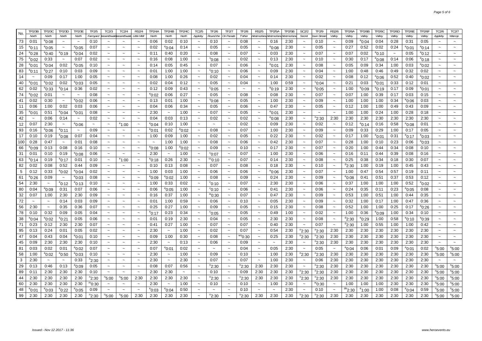|            | TP2/3B          | TP2/3C                | TP2/3D                    | TP2/3E                    | TF2/5    | TC2/3                          | <b>TC2/4</b>              | <b>RS2/4</b>          | TP2/4A            | TP2/4B                    | <b>TP2/4C</b>         | TC2/5                    | TF2/6                 | TF2/7                     | TF2/8             | <b>RS2/5</b>              | TP2/5A                           | TP2/5B | SC2/2                     | TF2/9                 | <b>RS2/6</b>              | TP2/6A           | TP2/6B            | TP2/6C          | FP2/6D                    | <b>TP2/6E</b>   | TP2/6F            | TC2/6                 | TC2/7             |
|------------|-----------------|-----------------------|---------------------------|---------------------------|----------|--------------------------------|---------------------------|-----------------------|-------------------|---------------------------|-----------------------|--------------------------|-----------------------|---------------------------|-------------------|---------------------------|----------------------------------|--------|---------------------------|-----------------------|---------------------------|------------------|-------------------|-----------------|---------------------------|-----------------|-------------------|-----------------------|-------------------|
| No.        | North           | North                 | North                     | North                     | Farmyard | <b>BassenthwaitBassenthwai</b> |                           | Little Mell           | North             | North                     | North                 | Appleby                  | Round the             | On Parade                 | T'other           |                           | VestmorlandWestmorlandWestmorlan |        | Secret                    | <b>Own Strean</b>     | Valley                    | Valley           | Valley            | Valley          | Valley                    | Valley          | Valley            | Appleby               | Warcop            |
| 73         | 0:01            | $^{\rm e}$ 0:08       | $\tilde{\phantom{a}}$     | $\sim$                    | 0:10     | $\sim$                         | $\tilde{\phantom{a}}$     | $\tilde{\phantom{a}}$ | 0:06              | 0:02                      | 0:10                  | $\sim$                   | 0:10                  | $\tilde{\phantom{a}}$     | 0:08              | $\sim$                    | 0:16                             | 2:30   | $\tilde{\phantom{a}}$     | 0:10                  | $\widetilde{\phantom{m}}$ | 0:09             | °0:04             | 0:04            | 0:28                      | 0:31            | 0:05              |                       |                   |
| 15         | °0:11           | $^{\circ}$ 0:05       | $\widetilde{\phantom{m}}$ | $^{\circ}$ 0:05           | 0:07     | $\widetilde{\phantom{m}}$      | $\widetilde{\phantom{m}}$ | $\tilde{}$            | 0:02              | $^{\rm e}$ 0:04           | 0:14                  | $\tilde{}$               | 0:05                  | $\widetilde{\phantom{m}}$ | 0:05              | $\widetilde{\phantom{m}}$ | $^{\rm e}$ 0:08                  | 2:30   | $\widetilde{\phantom{m}}$ | 0:05                  | $\widetilde{\phantom{m}}$ | 0:27             | 0:52              | 0:02            | 0:24                      | $^{\circ}$ 0:01 | $^{\circ}$ 0:14   |                       |                   |
| 24         | °0:28           | °0:40                 | $^{\circ}$ 0:19           | °0:04                     | 0:02     | $\sim$                         | $\sim$                    | $\sim$                | 0:11              | 0:40                      | 0:20                  | $\sim$                   | 0:08                  |                           | 0:07              |                           | 0:03                             | 2:30   | $\sim$                    | 0:07                  | $\sim$                    | 0:07             | 0:02              | $^{\circ}$ 0:10 | $\widetilde{\phantom{m}}$ | 0:05            | <sup>e</sup> 0:12 |                       |                   |
| 75         | °0:02           | 0:33                  | $\thicksim$               | 0:07                      | 0:02     |                                | $\sim$                    |                       | 0:16              | 0:08                      | 1:00                  | $\tilde{}$               | °0:08                 | $\sim$                    | 0:02              | $\tilde{\phantom{a}}$     | 0:13                             | 2:30   | $\sim$                    | 0:10                  | $\sim$                    | 0:30             | 0:17              | $^{\circ}$ 0:08 | 0:14                      | 0:06            | $^{\rm e}$ 0:18   |                       |                   |
| 28         | °0:01           | °0:04                 | 0:02                      | °0:05                     | 0:10     | $\tilde{\phantom{a}}$          | $\sim$                    | $\tilde{\phantom{a}}$ | 0:14              | 0:05                      | 0:45                  | $\tilde{\phantom{a}}$    | 0:07                  | $\tilde{\phantom{a}}$     | 0:06              | $\sim$                    | °0:01                            | 2:30   | $\widetilde{\phantom{m}}$ | 0:08                  | $\widetilde{\phantom{m}}$ | 0:05             | 0:09              | 0:34            | 1:00                      | 0:03            | °0:02             |                       |                   |
| 83         | °0:11           | °0:27                 | 0:10                      | 0:03                      | 0:09     |                                | $\tilde{}$                |                       | 0:01              | 1:00                      | 1:00                  | $\tilde{}$               | $\degree$ 0:10        | $\sim$                    | 0:06              | $\tilde{\phantom{a}}$     | 0:09                             | 2:30   | $\widetilde{\phantom{m}}$ | 0:04                  | $\widetilde{\phantom{m}}$ | 1:00             | 0:48              | 0:46            | 0:49                      | 0:32            | 0:02              |                       |                   |
| 14         | $\sim$          | 0:09                  | 0:17                      | 1:00                      | 0:05     | $\sim$                         | $\sim$                    | $\sim$                | 0:08              | 1:00                      | 0:26                  | $\sim$                   | 0:02                  |                           | 0:04              | $\sim$                    | 0:14                             | 2:30   | $\sim$                    | 0:02                  | $\tilde{\phantom{a}}$     | 0:08             | 0:12              | 0:06            | 0:52                      | 0:40            | $^{\rm e}$ 0:02   |                       |                   |
| 40         | °0:01           | °0:02                 | 0:02                      | °0:03                     | 0:05     |                                |                           |                       | 0:02              | 0:04                      | 0:12                  | $\tilde{}$               | 0:05                  | $\tilde{\phantom{a}}$     | 0:04              | $\tilde{\phantom{a}}$     | 1:00                             | 0:59   | $\widetilde{\phantom{m}}$ | $^{\circ}$ 0:04       | $\widetilde{\phantom{m}}$ | 0:21             | 0:03              | $^{\rm e}$ 0:01 | 0:33                      | 0:12            | 0:01              |                       |                   |
| 62         | 0:02            | $^{\circ}$ 0:33       | °0:14                     | 0:36                      | 0:02     | $\tilde{\phantom{a}}$          | $\sim$                    | $\sim$                | 0:12              | 0:09                      | 0:43                  | $\tilde{\phantom{a}}$    | $^{\circ}$ 0:05       | $\tilde{\phantom{a}}$     | $\sim$            | $\tilde{\phantom{a}}$     | <sup>e</sup> 0:19                | 2:30   | $\sim$                    | $^{\circ}$ 0:05       | $\sim$                    | 1:00             | °0:09             | $^{\circ}$ 0:19 | 0:17                      | 0:09            | °0:01             |                       |                   |
| 74         | °0:02           | 0:01                  | $\widetilde{\phantom{m}}$ | $\tilde{\phantom{a}}$     | 0:08     | $\tilde{}$                     | $\widetilde{\phantom{m}}$ | $\tilde{\phantom{a}}$ | °0:02             | 0:06                      | 0:27                  | $\tilde{}$               | 0:05                  | $\sim$                    | 0:08              | $\tilde{\phantom{a}}$     | 0:08                             | 2:30   | $\tilde{}$                | 0:07                  | $\widetilde{\phantom{m}}$ | 0:07             | 1:00              | 0:39            | 0:17                      | 0:03            | 0:15              |                       |                   |
| 41         | 0:02            | 0:30                  | $\sim$                    | °0:02                     | 0:06     | $\tilde{\phantom{a}}$          | $\tilde{\phantom{a}}$     | $\tilde{\phantom{a}}$ | 0:13              | 0:01                      | 1:00                  | $\tilde{\phantom{a}}$    | $^{\rm s}$ 0:08       | $\sim$                    | 0:05              |                           | 1:00                             | 2:30   | $\sim$                    | 0:09                  | $\tilde{\phantom{a}}$     | 1:00             | 1:00              | 1:00            | 0:34                      | $^{\circ}$ 0:06 | 0:03              |                       |                   |
| 11         | 0:06            | 1:00                  | 0:02                      | 0:03                      | 0:06     |                                |                           |                       | 0:04              | 0:06                      | 0:34                  |                          | 0:05                  |                           | 0:06              |                           | 0:47                             | 2:30   | $\thicksim$               | 0:05                  | $\widetilde{\phantom{m}}$ | 0:12             | 1:00              | 1:00            | 0:49                      | 0:43            | 0:09              |                       |                   |
| 35         | °0:01           | 0:51                  | °0:04                     | °0:01                     | 0:08     | $\tilde{\phantom{a}}$          | $\sim$                    | $\tilde{\phantom{a}}$ | 2:30              | $\widetilde{\phantom{m}}$ | 1:00                  | $\tilde{\phantom{a}}$    | 0:07                  | $\tilde{\phantom{a}}$     | 0:05              | $\sim$                    | °0:01                            | 2:30   | $\tilde{\phantom{a}}$     | $\tilde{\phantom{a}}$ | $\tilde{\phantom{a}}$     | 1:00             | 1:00              | 0:24            | 1:00                      | 0:28            | 0:18              | $\sim$                |                   |
| 42         | $\sim$          | 0:06                  | 0:14                      | $\tilde{\phantom{a}}$     | 0:02     | $\tilde{\phantom{a}}$          | $\sim$                    |                       | 0:04              | 0:03                      | 0:13                  | $\tilde{}$               | 0:02                  | $\sim$                    | 0:02              | $\sim$                    | $^{\rm e}$ 0:08                  | 2:30   | $\widetilde{\phantom{m}}$ | <sup>n</sup> 2:30     | 2:30                      | 2:30             | 2:30              | 2:30            | 2:30                      | 2:30            | 2:30              |                       |                   |
| 12         | 0:07            | 2:30                  | $\tilde{\phantom{a}}$     | °0:06                     | $\sim$   | $\sim$                         | °1:00                     | $\sim$                | °0:04             | 0:10                      | 1:00                  | $\sim$                   | $\sim$                | $\sim$                    | 0:02              | $\sim$                    | 0:09                             | 2:30   | $\sim$                    | 0:02                  | $\tilde{\phantom{a}}$     | 0:12             | <sup>e</sup> 0:14 | 0:16            | 0:58                      | $^{\circ}$ 0:08 | 0:01              |                       |                   |
| 93         | 0:16            | °0:06                 | <sup>e</sup> 0:11         | $\widetilde{\phantom{m}}$ | 0:09     |                                | $\widetilde{\phantom{m}}$ |                       | °0:01             | 0:02                      | $^{\rm e}$ 0:02       | $\tilde{}$               | 0:08                  | $\tilde{\phantom{a}}$     | 0:07              | $\tilde{\phantom{a}}$     | 1:00                             | 2:30   | $\thicksim$               | 0:09                  | $\widetilde{\phantom{m}}$ | 0:09             | 0:33              | 0:29            | 1:00                      | 0:17            | 0:05              |                       |                   |
| 17         | 0:10            | 0:19                  | $^{\rm e}$ 0:08           | 0:07                      | 0:04     | $\sim$                         | $\sim$                    | $\tilde{\phantom{a}}$ | 1:00              | 0:09                      | 1:00                  | $\tilde{\phantom{a}}$    | 0:02                  | $\tilde{\phantom{a}}$     | 0:05              | $\tilde{\phantom{a}}$     | 0:22                             | 2:30   | $\thicksim$               | 0:02                  | $\sim$                    | 0:17             | 1:00              | $^{\circ}$ 0:01 | 0:31                      | $^{\rm e}$ 0:17 | °0:03             |                       |                   |
| 100        | 0:28            | 0:47                  | $\sim$                    | 0:01                      | 0:08     | $\thicksim$                    | $\sim$                    | $\tilde{\phantom{a}}$ | $\sim$            | 1:00                      | 1:00                  | $\tilde{\phantom{a}}$    | 0:08                  | $\sim$                    | 0:06              | $\sim$                    | 0:42                             | 2:30   | $\widetilde{\phantom{m}}$ | 0:07                  | $\tilde{\phantom{a}}$     | 0:28             | 1:00              | 0:10            | 0:23                      | 0:06            | $^{\rm e}$ 0:03   | $\sim$                |                   |
| 66         | °0:09           | 0:13                  | 0:08                      | 0:16                      | 0:10     | $\sim$                         | $\sim$                    | $\sim$                | $^{\rm e}$ 0:08   | 1:00                      | $^{\rm e}$ 0:02       | $\sim$                   | 0:09                  | $\sim$                    | 0:10              | $\sim$                    | 0:17                             | 2:30   | $\sim$                    | 0:07                  | $\sim$                    | 0:20             | 1:00              | 0:44            | 0:34                      | 0:08            | 0:10              |                       |                   |
| 31         | 0:01            | 0:10                  | 0:19                      | °0:08                     | 0:06     |                                |                           |                       | 2:30              | $\widetilde{\phantom{m}}$ | 1:00                  |                          | $^{\circ}$ 0:07       |                           | 0:07              |                           | 1:00                             | 2:30   | $\thicksim$               | 0:06                  | $\tilde{}$                | 0:16             | 0:11              | 0:44            | 0:39                      | 0:08            | 0:16              |                       |                   |
| 63         | $^{\circ}$ 0:14 | 0:19                  | °0:17                     | 0:01                      | 0:10     | $\tilde{\phantom{a}}$          | ຳ:00                      | $\tilde{\phantom{a}}$ | 0:18              | 0:26                      | 2:30                  | $\tilde{\phantom{a}}$    | $^{\circ\circ}$ 0:10  | $\tilde{\phantom{a}}$     | 0:07              | $\tilde{}$                | 0:14                             | 2:30   | $\thicksim$               | 0:08                  | $\widetilde{\phantom{m}}$ | 0:25             | 0:38              | 0:34            | 0:18                      | 0:30            | 0:07              | $\tilde{\phantom{a}}$ |                   |
| 82         | 0:02            | 0:08                  | 0:52                      | 0:44                      | 0:09     | $\sim$                         | $\sim$                    |                       | 0:10              | 0:13                      | 0:08                  | $\sim$                   | 0:07                  | $\sim$                    | 0:08              | $\sim$                    | 0:18                             | 2:30   | $\sim$                    | 0:10                  | $\tilde{\phantom{a}}$     | $d$ 2:30         | 1:00              | 0:19            | 1:00                      | 0:45            | 0:43              |                       | $\sim$            |
| $\sqrt{5}$ | 0:12            | 0:33                  | $^{\rm e}$ 0:02           | °0:04                     | 0:02     | $\sim$                         | $\sim$                    | $\sim$                | 1:00              | 0:03                      | 1:00                  | $\sim$                   | 0:06                  | $\sim$                    | 0:06              | $\sim$                    | $^{\rm e}$ 0:06                  | 2:30   | $\sim$                    | 0:07                  | $\sim$                    | 1:00             | 0:47              | 0:54            | 0:57                      | 0:19            | 0:11              |                       |                   |
| 61         | °0:26           | 0:09                  | $\widetilde{\phantom{m}}$ | °0:03                     | 0:08     | $\tilde{}$                     | $\thicksim$               | $\tilde{}$            | °0:09             | °0:02                     | 1:00                  |                          | 0:08                  |                           | 0:09              |                           | 0:24                             | 2:30   | $\widetilde{\phantom{m}}$ | 0:09                  | $\widetilde{\phantom{m}}$ | $e_{0:08}$       | 0:41              | 0:51            | 0:37                      | 0:53            | 0:12              |                       |                   |
| 54         | 2:30            | $\tilde{\phantom{a}}$ | °0:12                     | °0:13                     | 0:10     | $\sim$                         | $\sim$                    | $\tilde{\phantom{a}}$ | 1:00              | 0:33                      | 0:02                  | $\tilde{\phantom{a}}$    | $^{\circ}$ 0:10       | $\tilde{\phantom{a}}$     | 0:07              | $\sim$                    | 2:30                             | 2:30   | $\sim$                    | 0:06                  | $\tilde{\phantom{a}}$     | 0:37             | 1:00              | 1:00            | 1:00                      | 0:52            | °0:02             |                       |                   |
| 80         | 0:04            | °0:09                 | 0:31                      | 0:07                      | 0:06     | $\tilde{}$                     | $\widetilde{\phantom{m}}$ | $\tilde{}$            | 0:06              | $^{\circ}$ 0:05           | 1:00                  | $\tilde{}$               | $^{\circ}$ 0:10       | $\widetilde{\phantom{m}}$ | 0:06              | $\sim$                    | 0:41                             | 2:30   | $\widetilde{\phantom{m}}$ | 0:06                  | $\widetilde{\phantom{m}}$ | 0:24             | 0:35              | 0:11            | 0:23                      | $^{\circ}$ 0:05 | 0:08              |                       |                   |
| 32         | 0:07            | 1:00                  | 2:30                      | 2:30                      | 0:09     | $\sim$                         | $\sim$                    | $\tilde{\phantom{a}}$ | 0:16              | 0:37                      | 1:00                  |                          | 0:30"                 | $\sim$                    | 0:07              | $\sim$                    | 0:47                             | 2:30   | $\sim$                    | 0:09                  | $\sim$                    | 0:53             | 1:00              | 0:51            | 1:00                      | 0:44            | 0:35              |                       |                   |
| 72         |                 |                       | 0:14                      | 0:03                      | 0:09     |                                | $\tilde{\phantom{a}}$     |                       | 0:01              | 1:00                      | 0:59                  |                          | 0:06                  |                           | 0:10              |                           | 0:05                             | 2:30   | $\tilde{}$                | 0:09                  | $\widetilde{\phantom{m}}$ | 0:32             | 1:00              | 0:17            | 1:00                      | 0:47            | 0:36              |                       |                   |
| 56         | 2:30            | $\sim$                | 0:35                      | 0:36                      | 0:07     | $\tilde{\phantom{a}}$          | $\tilde{}$                | $\tilde{\phantom{a}}$ | 0:25              | 0:27                      | 1:00                  | $\tilde{\phantom{a}}$    | 0:09                  | $\tilde{\phantom{a}}$     | 0:05              | $\sim$                    | 0:15                             | 2:30   | $\thicksim$               | 0:08                  | $\thicksim$               | 0:52             | 1:00              | 1:00            | 0:25                      | 0:17            | °0:26             |                       |                   |
| 78         | 0:10            | 0:32                  | 0:09                      | 0:05                      | 0:04     |                                | $\sim$                    | $\ddot{\phantom{0}}$  | <sup>e</sup> 0:17 | 0:23                      | 0:34                  |                          | $^{\circ}$ 0:05       |                           | 0:05              |                           | 0:49                             | 1:00   | $\sim$                    | 0:02                  | $\sim$                    | 1:00             | 0:36              | $^{\rm e}$ 0:09 | 1:00                      | 0:34            | 0:10              |                       |                   |
| 38         | °0:04           | °0:02                 | °0:21                     | 0:05                      | 0:06     | $\tilde{\phantom{a}}$          | $\tilde{}$                |                       | 0:01              | 0:19                      | 2:30                  | $\tilde{\phantom{a}}$    | 0:04                  | $\sim$                    | 0:05              | $\tilde{\phantom{a}}$     | 2:30                             | 2:30   | $\sim$                    | 0:08                  | $\widetilde{\phantom{m}}$ | $^{d}$ 2:30      | °0:29             | 1:00            | 0:58                      | $^{\circ}$ 0:10 | <sup>e</sup> 0:39 |                       |                   |
| 71         | 0:23            | 0:12                  | 2:30                      | 2:30                      | 0:07     | $\tilde{}$                     | $\sim$                    | $\tilde{\phantom{a}}$ | 0:41              | 0:27                      | 1:00                  | $\overline{\phantom{0}}$ | 0:07                  | $\sim$                    | 0:07              | $\sim$                    | 0:40                             | 2:30   | $\widetilde{\phantom{m}}$ | 0:07                  | $\tilde{\phantom{a}}$     | $^{d}$ 2:30      | 1:00              | 0:55            | 1:00                      | 1:00            | 0:42              |                       |                   |
| 95         | 0:13            | 0:24                  | 0:01                      | 0:05                      | 0:02     | $\sim$                         | $\sim$                    | $\sim$                | 2:30              | $\sim$                    | 1:00                  | $\sim$                   | 0:02                  | $\sim$                    | 0:07              | $\sim$                    | 0:54                             | 2:30   | °2:30                     | $n_{2:30}$            | 2:30                      | 2:30             | 2:30              | 2:30            | 2:30                      | 2:30            | 2:30              | $\sim$                | $\sim$            |
| 47         | 0:04            | 0:43                  | 0:04                      | °0:01                     | 0:10     | $\sim$                         | $\sim$                    | $\ddot{\phantom{0}}$  | 0:09              | 1:00                      | 0:30                  |                          | 0:08                  |                           | $^{\rm ws}$ 0:30  | $\sim$                    | 0:25                             | 2:30   | <sup>າ</sup> 2:30         | $n_{2:30}$            | 2:30                      | 2:30             | 2:30              | 2:30            | 2:30                      | 2:30            | 2:30              |                       |                   |
| 45         | 0:09            | 2:30                  | 2:30                      | 2:30                      | 0:10     | $\tilde{\phantom{a}}$          | $\tilde{\phantom{a}}$     | $\tilde{\phantom{a}}$ | 2:30              | $\sim$                    | 0:13                  | $\tilde{\phantom{a}}$    | 0:06                  | $\sim$                    | 0:09              | $\tilde{\phantom{a}}$     | $\widetilde{\phantom{m}}$        | 2:30   | $\sim$                    | $n_{2:30}$            | 2:30                      | 2:30             | 2:30              | 2:30            | 2:30                      | 2:30            | 2:30              |                       |                   |
| 81         | 0:03            | 0:02                  | 0:01                      | °0:02                     | 0:07     | $\tilde{\phantom{a}}$          | $\tilde{\phantom{a}}$     | $\tilde{\phantom{a}}$ | 0:07              | $^{\rm e}$ 0:01           | 0:02                  | $\tilde{\phantom{a}}$    | $\sim$                |                           | 0:04              | $\tilde{\phantom{a}}$     | 0:05                             | 2:30   | $\widetilde{\phantom{m}}$ | 0:05                  | $\thicksim$               | $^{\circ}$ 0:04  | 0:06              | 0:01            | 0:09                      | $^{\circ}$ 0:01 | 0:02              | $n_{5:00}$            | $^{\circ}5:00$    |
| 58         | 1:00            | °0:02                 | °0:50                     | °0:03                     | 0:10     | $\tilde{\phantom{a}}$          | $\sim$                    | $\tilde{\phantom{a}}$ | 2:30              | $\sim$                    | 1:00                  | $\tilde{\phantom{a}}$    | 0:09                  | $\tilde{\phantom{a}}$     | 0:10              | $\thicksim$               | 1:00                             | 2:30   | °2:30                     | $n_{2:30}$            | 2:30                      | 2:30             | 2:30              | 2:30            | 2:30                      | 2:30            | 2:30              | <sup>n</sup> 5:00     | <sup>n</sup> 5:00 |
| 3          | 2:30            | $\sim$                |                           | 0:33                      | "2:30    | $\sim$                         | $\sim$                    | $\ddot{\phantom{0}}$  | 2:30              | $\sim$                    | 2:30                  |                          | 0:07                  |                           | 0:07              |                           | 1:00                             | 2:30   | $\sim$                    | 0:06                  | 2:30                      | 2:30             | 2:30              | 2:30            | 2:30                      | 2:30            | 2:30              |                       | $\sim$            |
| 29         | 0:13            | 0:46                  | 0:13                      | °0:09                     | 0:05     | $\tilde{\phantom{a}}$          | $\tilde{\phantom{a}}$     | $\tilde{\phantom{a}}$ | 0:08              | 0:07                      | 0:56                  | $\tilde{}$               | °2:30                 | $\sim$                    | <sup>n</sup> 2:30 | 2:30                      | 2:30                             | 2:30   | $\sim$                    | $n_{2:30}$            | 2:30                      | 2:30             | 2:30              | 2:30            | 2:30                      | 2:30            | 2:30              | $n_{5:00}$            | <sup>n</sup> 5:00 |
| 89         | 0:11            | 2:30                  | 2:30                      | 2:30                      | 0:10     | $\tilde{\phantom{a}}$          | $\sim$                    | $\tilde{\phantom{a}}$ | 2:30              | 2:30                      | $\tilde{\phantom{a}}$ | $\tilde{\phantom{a}}$    | 0:10                  | $\sim$                    | 0:09              | 2:30                      | 2:30                             | 2:30   | <sup>n</sup> 2:30         | <sup>n</sup> 2:30     | 2:30                      | 2:30             | 2:30              | 2:30            | 2:30                      | 2:30            | 2:30              | <sup>n</sup> 5:00     | <sup>n</sup> 5:00 |
| 44         | 2:30            | 2:30                  | 2:30                      | 2:30                      | "2:30    | <sup>n</sup> 5:00              | <sup>n</sup> 5:00         | 2:30                  | 2:30              | 2:30                      | 2:30                  | $\tilde{\phantom{a}}$    | °2:30                 | $\tilde{\phantom{a}}$     | <sup>n</sup> 2:30 | 2:30                      | 2:30                             | 2:30   | °2:30                     | <sup>n</sup> 2:30     | 2:30                      | 2:30             | 2:30              | 2:30            | 2:30                      | 2:30            | 2:30              | $n_{5:00}$            | <sup>n</sup> 5:00 |
| 60         | 2:30            | 2:30                  | 2:30                      | 2:30                      | "0:30    | $\sim$                         | $\sim$                    | $\ddot{\phantom{0}}$  | 2:30              | $\sim$                    | 1:00                  |                          | 0:10                  |                           | 0:10              |                           | 1:00                             | 2:30   | $\sim$                    | ™0:30                 | $\sim$                    | 1:00             | 1:00              | 1:00            | 2:30                      | 2:30            | 2:30              | $n_{5:00}$            | <sup>n</sup> 5:00 |
| 48         | °0:01           | °0:03                 | °0:22                     | °0:05                     | 0:09     | $\tilde{\phantom{a}}$          | $\tilde{\phantom{a}}$     | $\tilde{}$            | °0:03             | $^{\circ}$ 0:04           | 0:50                  |                          | $\tilde{\phantom{a}}$ |                           | 0:10              | $\sim$                    | $\sim$                           | 2:30   | $\tilde{\phantom{a}}$     | 0:10                  | $\tilde{\phantom{a}}$     | $^{\rm de}$ 2:30 | °1:00             | 1:00            | 0:08                      | °0:04           | 0:59              | <sup>n</sup> 5:00     | <sup>n</sup> 5:00 |
| 99         | 2:30            | 2:30                  | 2:30                      | 2:30                      | °2:30    | $n_{5:00}$                     | $^{\circ}5:00$            | 2:30                  | 2:30              | 2:30                      | 2:30                  | $\tilde{}$               | °2:30                 |                           | °2:30             | 2:30                      | 2:30                             | 2:30   | $n_{2:30}$                | <sup>n</sup> 2:30     | 2:30                      | 2:30             | 2:30              | 2:30            | 2:30                      | 2:30            | 2:30              | <sup>n</sup> 5:00     | <sup>n</sup> 5:00 |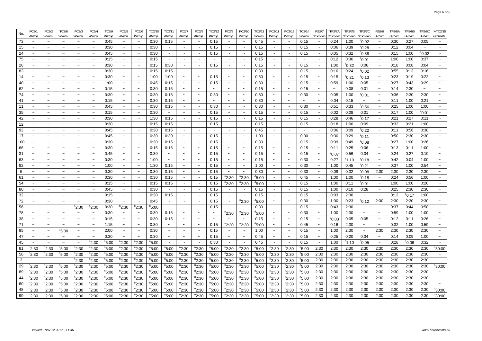| No.        | PC2/1                     | PC2/2                    | <b>TC2/8</b>              | PC2/3                 | PC2/4                 | TC2/9             | PC2/5                 | PC2/6                     | TC2/10            | TC2/11                | PC2/7                     | PC2/8                    | TC2/12                    | PC2/9                     | PC2/10                    | TC2/13             | PC2/11                    | PC2/12                    | TC2/14            | <b>RS2/7</b>              | TP2/7A          | TP2/7B          | <b>TP2/7C</b>     | <b>RS2/8</b>          | TP2/8A | <b>TP2/8B</b>   | TP2/8C                | MTC2/15                   |
|------------|---------------------------|--------------------------|---------------------------|-----------------------|-----------------------|-------------------|-----------------------|---------------------------|-------------------|-----------------------|---------------------------|--------------------------|---------------------------|---------------------------|---------------------------|--------------------|---------------------------|---------------------------|-------------------|---------------------------|-----------------|-----------------|-------------------|-----------------------|--------|-----------------|-----------------------|---------------------------|
|            | Warcop                    | Warcop                   | Warcop                    | Warcop                | Warcop                | Warcop            | Warcop                | Warcop                    | Warcop            | Warcop                | Warcop                    | Warcop                   | Warcop                    | Warcop                    | Warcop                    | Warcop             | Warcop                    | Warcop                    | Warcop            | Reservoirs                | Reservoirs      | Reservoirs      | Reservoirs        | Durham                | Durham | Durham          | Durham                | Redworth                  |
| 73         |                           |                          |                           |                       |                       | 0:45              |                       | $\tilde{\phantom{a}}$     | 0:30              | 0:15                  |                           |                          | 0:15                      |                           |                           | 0:45               |                           | $\tilde{\phantom{a}}$     | 0:15              |                           | 0:24            | 1:00            | °0:02             |                       | 0:30   | 0:27            | 0:05                  |                           |
| 15         | $\sim$                    | $\tilde{\phantom{a}}$    | $\sim$                    | $\sim$                | $\sim$                | 0:30              | $\tilde{\phantom{a}}$ | $\thicksim$               | 0:30              | $\sim$                | $\tilde{\phantom{a}}$     | $\overline{\phantom{0}}$ | 0:15                      | $\tilde{\phantom{a}}$     | $\tilde{\phantom{a}}$     | 0:15               | $\widetilde{\phantom{m}}$ | $\tilde{\phantom{a}}$     | 0:15              | $\sim$                    | 0:06            | 0:39            | $^{\rm e}$ 0:28   | $\tilde{\phantom{a}}$ | 0:12   | 0:04            | $\tilde{\phantom{a}}$ | $\sim$                    |
| 24         | $\sim$                    | $\sim$                   | $\tilde{\phantom{a}}$     |                       | $\sim$                | 0:45              | $\tilde{\phantom{a}}$ | $\tilde{\phantom{a}}$     | 0:30              | $\tilde{\phantom{a}}$ | $\tilde{\phantom{a}}$     | $\tilde{\phantom{a}}$    | 0:15                      |                           | $\tilde{\phantom{a}}$     | 0:15               | $\tilde{\phantom{a}}$     | $\tilde{\phantom{a}}$     | 0:15              | $\tilde{\phantom{a}}$     | 0:05            | 0:32            | $^{\rm e}$ 0:38   | $\tilde{\phantom{a}}$ | 0:15   | 1:00            | $^{\rm e}$ 0:02       | $\sim$                    |
| 75         | $\sim$                    | $\sim$                   | $\sim$                    | $\sim$                | $\sim$                | 0:15              | $\sim$                | $\sim$                    | 0:15              | $\sim$                | $\sim$                    | $\sim$                   | $\sim$                    |                           | $\sim$                    | 0:15               | $\sim$                    | $\sim$                    | $\sim$            | $\sim$                    | 0:12            | 0:36            | $^{\rm e}$ 0:01   | $\sim$                | 1:00   | 1:00            | 0:37                  | $\sim$                    |
| 28         | $\tilde{\phantom{a}}$     |                          | $\widetilde{\phantom{m}}$ | $\tilde{}$            | $\sim$                | 0:30              | $\tilde{\phantom{a}}$ | $\tilde{}$                | 0:15              | 0:30                  | $\widetilde{\phantom{m}}$ | $\sim$                   | 0:15                      |                           | $\tilde{}$                | 0:15               | $\tilde{}$                | $\widetilde{\phantom{m}}$ | 0:15              | $\widetilde{\phantom{m}}$ | 1:00            | $^{\circ}$ 0:32 | 0:06              | $\tilde{\phantom{a}}$ | 0:18   | 0:08            | 0:04                  | $\tilde{}$                |
| 83         | $\sim$                    | $\sim$                   | $\sim$                    |                       | $\sim$                | 0:30              | $\tilde{\phantom{a}}$ | $\sim$                    | 0:15              | 0:15                  | $\tilde{\phantom{a}}$     | $\sim$                   | $\tilde{\phantom{a}}$     | $\tilde{\phantom{a}}$     | $\tilde{\phantom{a}}$     | 0:30               | $\tilde{\phantom{a}}$     | $\thicksim$               | 0:15              | $\tilde{\phantom{a}}$     | 0:16            | 0:24            | $^{\rm e}$ 0:02   | $\tilde{\phantom{a}}$ | 0:55   | 0:13            | 0:16                  | $\tilde{\phantom{a}}$     |
| 14         | $\tilde{\phantom{a}}$     | $\sim$                   | $\widetilde{\phantom{m}}$ | $\tilde{\phantom{a}}$ | $\sim$                | 0:30              | $\tilde{\phantom{a}}$ | $\tilde{}$                | 1:00              | 1:00                  | $\widetilde{\phantom{m}}$ | $\tilde{}$               | 0:15                      | $\tilde{}$                | $\tilde{\phantom{a}}$     | 0:30               | $\widetilde{\phantom{m}}$ | $\widetilde{\phantom{m}}$ | 0:15              | $\tilde{\phantom{a}}$     | 0:15            | $^{\circ}$ 0:21 | <sup>e</sup> 0:13 | $\tilde{}$            | 0:23   | 0:19            | 0:22                  | $\widetilde{\phantom{m}}$ |
| 40         | $\sim$                    | $\sim$                   | $\sim$                    | $\sim$                | $\sim$                | 1:00              | $\sim$                | $\sim$                    | 0:45              | 0:15                  | $\sim$                    | $\sim$                   | 0:15                      |                           | $\sim$                    | 0:30               | $\sim$                    | $\tilde{\phantom{a}}$     | 0:15              | $\tilde{\phantom{a}}$     | 0:59            | 1:00            | 0:05              | $\sim$                | 0:27   | 0:43            | 0:29                  |                           |
| 62         | $\tilde{\phantom{a}}$     |                          | $\tilde{\phantom{a}}$     |                       | $\sim$                | 0:15              |                       | $\tilde{}$                | 0:30              | 0:15                  | $\tilde{}$                | $\sim$                   | $\tilde{}$                |                           | $\tilde{\phantom{a}}$     | 0:15               | $\sim$                    | $\tilde{}$                | 0:15              | $\tilde{}$                |                 | 0:08            | 0:01              | $\tilde{}$            | 0:14   | 2:30            |                       |                           |
| 74         | $\tilde{\phantom{a}}$     | $\tilde{\phantom{a}}$    | $\thicksim$               | $\tilde{\phantom{a}}$ | $\sim$                | 0:30              | $\tilde{\phantom{a}}$ | $\thicksim$               | 0:30              | 0:15                  | $\tilde{\phantom{a}}$     | $\tilde{\phantom{a}}$    | 0:30                      | $\widetilde{\phantom{m}}$ | $\tilde{\phantom{a}}$     | 0:30               | $\tilde{\phantom{a}}$     | $\thicksim$               | 0:30              | $\thicksim$               | 0:05            | 1:00            | °0:01             | $\tilde{}$            | 0:36   | 2:30            | 2:30                  | $\widetilde{\phantom{m}}$ |
| 41         | $\sim$                    |                          | $\tilde{}$                |                       | $\tilde{\phantom{a}}$ | 0:15              |                       | $\tilde{}$                | 0:30              | 0:15                  | $\tilde{}$                |                          | $\widetilde{\phantom{m}}$ |                           | $\tilde{\phantom{a}}$     | 0:30               |                           | $\tilde{}$                |                   |                           | 0:04            | 0:15            | $\thicksim$       |                       | 0:11   | 1:00            | 0:21                  | $\tilde{\phantom{a}}$     |
| 11         | $\sim$                    |                          | $\sim$                    |                       | $\sim$                | 0:45              | $\sim$                | $\sim$                    | 0:30              | 0:15                  | $\tilde{\phantom{a}}$     | $\sim$                   | 0:30                      |                           | $\sim$                    | 0:30               | $\sim$                    | $\tilde{\phantom{a}}$     | 0:30              | $\tilde{\phantom{a}}$     | 0:51            | 0:33            | $^{\circ}$ 0:56   | $\tilde{\phantom{a}}$ | 0:25   | 1:00            | 1:00                  | $\sim$                    |
| 35         | $\sim$                    |                          | $\tilde{\phantom{a}}$     |                       | $\sim$                | 0:15              |                       | $\sim$                    | 0:30              | $\sim$                | $\tilde{}$                |                          | 0:15                      |                           | $\overline{\phantom{a}}$  | 0:15               |                           | $\tilde{\phantom{a}}$     | 0:15              | $\sim$                    | 0:02            | 0:08            | 0:01              |                       | 0:17   | 1:00            | <sup>e</sup> 0:01     | $\tilde{\phantom{a}}$     |
| 42         | $\sim$                    | $\sim$                   | $\tilde{\phantom{a}}$     |                       | $\sim$                | 0:30              | $\tilde{\phantom{a}}$ | $\widetilde{\phantom{m}}$ | 1:30              | 0:15                  | $\tilde{\phantom{a}}$     | $\sim$                   | 0:15                      | $\sim$                    | $\sim$                    | 0:15               | $\tilde{\phantom{a}}$     | $\widetilde{\phantom{m}}$ | 0:15              | $\tilde{\phantom{a}}$     | 0:28            | 0:46            | <sup>e</sup> 0:17 | $\tilde{\phantom{a}}$ | 0:21   | 0:27            | 0:11                  | $\tilde{\phantom{a}}$     |
| 12         |                           |                          | $\sim$                    |                       | $\sim$                | 0:30              |                       | $\ddot{ }$                | 0:15              | 0:15                  | $\sim$                    |                          | 0:15                      |                           | $\sim$                    | 0:15               | $\sim$                    | $\sim$                    | 0:15              | $\sim$                    | 0:18            | 1:00            | 0:09              | $\sim$                | 0:32   | 0:21            | 1:00                  | $\sim$                    |
| 93         | $\sim$                    |                          | $\tilde{\phantom{a}}$     |                       | $\sim$                | 0:45              | $\sim$                | $\tilde{}$                | 0:30              | 0:15                  | $\tilde{\phantom{a}}$     |                          | $\widetilde{\phantom{m}}$ |                           | $\widetilde{\phantom{m}}$ | 0:45               | $\tilde{\phantom{a}}$     | $\tilde{\phantom{a}}$     |                   | $\tilde{\phantom{a}}$     | 0:06            | 0:09            | $^{\rm e}$ 0:22   | $\tilde{\phantom{a}}$ | 0:11   | 0:56            | 0:38                  | $\tilde{\phantom{a}}$     |
| 17         | $\sim$                    | $\sim$                   | $\sim$                    |                       | $\sim$                | 0:45              | $\sim$                | $\tilde{\phantom{a}}$     | 0:30              | 0:30                  | $\sim$                    | $\sim$                   | 0:15                      |                           | $\sim$                    | 1:00               | $\sim$                    | $\tilde{\phantom{a}}$     | 0:30              | $\tilde{\phantom{a}}$     | 0:30            | 0:29            | °0:11             | $\tilde{\phantom{a}}$ | 0:50   | 2:30            | 2:30                  | $\sim$                    |
| 100        | $\sim$                    | $\overline{\phantom{0}}$ | $\tilde{\phantom{a}}$     | $\tilde{\phantom{a}}$ | $\sim$                | 0:30              | $\tilde{\phantom{a}}$ | $\widetilde{\phantom{m}}$ | 0:30              | 0:15                  | $\thicksim$               | $\tilde{\phantom{a}}$    | 0:15                      | $\tilde{}$                | $\sim$                    | 0:30               | $\widetilde{\phantom{m}}$ | $\widetilde{\phantom{m}}$ | 0:15              | $\tilde{\phantom{a}}$     | 0:39            | 0:49            | $^{\rm e}$ 0:08   | $\tilde{\phantom{a}}$ | 0:27   | 1:00            | 0:26                  | $\widetilde{\phantom{m}}$ |
| 66         | $\sim$                    |                          | $\tilde{\phantom{a}}$     | $\sim$                | $\sim$                | 0:30              | $\sim$                | $\tilde{\phantom{a}}$     | 0:15              | 0:15                  | $\tilde{\phantom{a}}$     |                          | 0:15                      |                           | $\tilde{\phantom{a}}$     | 0:15               | $\tilde{\phantom{a}}$     | $\tilde{\phantom{a}}$     | 0:15              | $\tilde{\phantom{a}}$     | 0:11            | 0:25            | 0:06              | $\tilde{\phantom{a}}$ | 0:13   | 0:11            | 1:00                  | $\sim$                    |
| 31         |                           |                          | $\tilde{\phantom{a}}$     |                       | $\sim$                | 0:45              |                       | $\tilde{\phantom{a}}$     | 0:30              |                       | $\tilde{\phantom{a}}$     |                          | 0:15                      |                           | $\sim$                    | 0:15               |                           | $\tilde{}$                | 0:15              | $\tilde{}$                | $^{\rm e}$ 0:07 | 0:56            | 0:04              | $\tilde{\phantom{a}}$ | 0:24   | 0:27            | 0:10                  | $\tilde{\phantom{a}}$     |
| 63         | $\sim$                    | $\sim$                   | $\sim$                    | $\sim$                | $\tilde{\phantom{a}}$ | 0:30              | $\sim$                | $\sim$                    | 1:00              | $\sim$                | $\tilde{\phantom{a}}$     | $\sim$                   | 0:15                      | $\tilde{\phantom{a}}$     | $\tilde{\phantom{a}}$     | 0:15               | $\sim$                    | $\tilde{\phantom{a}}$     | 0:30              | $\tilde{\phantom{a}}$     | 0:27            | °1:10           | <sup>e</sup> 0:18 | $\tilde{\phantom{a}}$ | 0:42   | 0:04            | 1:00                  | $\tilde{\phantom{a}}$     |
| 82         | $\sim$                    | $\sim$                   | $\sim$                    | $\sim$                | $\sim$                | 1:00              | $\sim$                | $\tilde{\phantom{a}}$     | 1:30              | 0:15                  | $\tilde{\phantom{a}}$     | $\sim$                   | 0:15                      | $\sim$                    | $\sim$                    | 1:00               | $\sim$                    | $\tilde{\phantom{a}}$     | 0:30              | $\tilde{\phantom{a}}$     | 1:00            | 0:45            | °0:21             | $\tilde{\phantom{a}}$ | 0:37   | 1:00            | 0:54                  | $\sim$                    |
| $\sqrt{5}$ | $\tilde{\phantom{a}}$     | $\sim$                   | $\tilde{\phantom{a}}$     | $\tilde{\phantom{a}}$ | $\sim$                | 0:30              | $\tilde{\phantom{a}}$ | $\sim$                    | 0:30              | 0:15                  | $\tilde{\phantom{a}}$     | $\tilde{\phantom{a}}$    | 0:15                      | $\tilde{\phantom{a}}$     | $\tilde{\phantom{a}}$     | 0:30               | $\tilde{\phantom{a}}$     | $\tilde{\phantom{a}}$     | 0:30              | $\widetilde{\phantom{m}}$ | 0:09            | 0:32            | $^{\rm e}$ 0:08   | 2:30                  | 2:30   | 2:30            | 2:30                  | $\tilde{\phantom{a}}$     |
| 61         | $\tilde{\phantom{a}}$     |                          | $\tilde{}$                |                       | $\tilde{\phantom{a}}$ | 0:30              | $\tilde{}$            | $\widetilde{\phantom{m}}$ | 0:30              | 0:15                  | $\widetilde{\phantom{m}}$ |                          | 0:15                      | $n_{2:30}$                | $n_{2:30}$                | $^{\circ}$ 5:00    | $\tilde{}$                | $\widetilde{\phantom{m}}$ | 0:45              | $\tilde{\phantom{a}}$     | 1:00            | 1:00            | <sup>e</sup> 0:18 | $\tilde{}$            | 0:24   | 0:56            | 1:00                  | $\tilde{}$                |
| 54         | $\sim$                    | $\tilde{\phantom{a}}$    | $\tilde{\phantom{a}}$     | $\overline{ }$        | $\sim$                | 0:15              | $\tilde{\phantom{a}}$ | $\thicksim$               | 0:15              | 0:15                  | $\tilde{\phantom{a}}$     | $\tilde{\phantom{a}}$    | 0:15                      | $n_{2:30}$                | <sup>n</sup> 2:30         | $^{\circ}$ 5:00    | $\tilde{\phantom{a}}$     | $\tilde{\phantom{a}}$     | 0:15              | $\widetilde{\phantom{m}}$ | 1:00            | 0:11            | °0:01             | $\tilde{\phantom{a}}$ | 1:00   | 1:00            | 0:20                  | $\tilde{\phantom{a}}$     |
| 80         | $\sim$                    | $\tilde{\phantom{a}}$    | $\sim$                    | $\tilde{\phantom{a}}$ | $\tilde{\phantom{a}}$ | 0:45              | $\tilde{\phantom{a}}$ | $\sim$                    | 0:30              | $\thicksim$           | $\tilde{\phantom{a}}$     | $\tilde{\phantom{a}}$    | 0:15                      | $\tilde{\phantom{a}}$     | $\widetilde{\phantom{m}}$ | 0:15               | $\tilde{\phantom{a}}$     | $\tilde{\phantom{a}}$     | 0:15              | $\tilde{\phantom{a}}$     | 1:00            | 0:10            | 0:28              | $\tilde{\phantom{a}}$ | 0:25   | 2:30            | 2:30                  | $\tilde{\phantom{a}}$     |
| 32         | $\sim$                    | $\sim$                   | $\sim$                    | $\sim$                | $\sim$                | 0:15              | $\sim$                | $\sim$                    | 0:30              | 0:15                  | $\sim$                    | $\sim$                   | 0:15                      |                           | $\tilde{\phantom{a}}$     | 0:15               | $\sim$                    | $\tilde{\phantom{a}}$     | 0:15              | $\widetilde{\phantom{m}}$ | 0:03            | 2:30            | $\thicksim$       | $\sim$                | 0:12   | $^{\circ}$ 0:17 | 1:00                  | $\sim$                    |
| 72         | $\tilde{\phantom{a}}$     |                          |                           |                       | $\sim$                | 0:30              |                       | $\tilde{\phantom{a}}$     | 0:45              | $\tilde{\phantom{a}}$ | $\tilde{}$                |                          | 0:15                      |                           | $n_{2:30}$                | $^{\text{d}}$ 5:00 | $\tilde{\phantom{a}}$     | $\tilde{\phantom{a}}$     | 0:30              | $\tilde{\phantom{a}}$     | 1:00            | 0:23            | $^{\rm e}$ 0:12   | 2:30                  | 2:30   | 2:30            | 2:30                  | $\tilde{}$                |
| 56         | $\sim$                    | $\tilde{\phantom{a}}$    | $\widetilde{\phantom{m}}$ | <sup>n</sup> 2:30     | <sup>n</sup> 2:30     | 0:30              | <sup>າ</sup> 2:30     | <sup>n</sup> 2:30         | <sup>n</sup> 5:00 | $\tilde{\phantom{a}}$ | $\tilde{\phantom{a}}$     | $\tilde{\phantom{a}}$    | 0:15                      | $\sim$                    | $\tilde{\phantom{a}}$     | 0:30               | $\tilde{\phantom{a}}$     | $\tilde{\phantom{a}}$     | 0:15              | $\tilde{\phantom{a}}$     | 0:43            | 2:30            | $\thicksim$       | $\tilde{\phantom{a}}$ | 0:37   | 0:44            | 0:58                  | $\tilde{\phantom{a}}$     |
| 78         | $\sim$                    |                          | $\tilde{\phantom{a}}$     |                       | $\tilde{\phantom{a}}$ | 0:30              |                       | $\sim$                    | 0:30              | 0:15                  | $\tilde{\phantom{a}}$     |                          | $\sim$                    | <sup>n</sup> 2:30         | $n_{2:30}$                | $^{d}5:00$         |                           | $\tilde{\phantom{a}}$     | 0:30              | $\sim$                    | 1:00            | 2:30            | $\sim$            | $\sim$                | 0:59   | 1:00            | 1:00                  |                           |
| 38         | $\sim$                    | $\sim$                   | $\sim$                    | $\sim$                | $\sim$                | 0:15              | $\sim$                | $\tilde{\phantom{a}}$     | 0:30              | 0:15                  | $\tilde{\phantom{a}}$     | $\sim$                   | $\sim$                    |                           | $\tilde{\phantom{a}}$     | 0:15               | $\sim$                    | $\tilde{\phantom{a}}$     | 0:15              | $\tilde{\phantom{a}}$     | $^{\rm e}$ 0:03 | 0:05            | 0:05              | $\tilde{\phantom{a}}$ | 0:12   | 0:11            | 0:26                  | $\tilde{\phantom{a}}$     |
| 71         | $\widetilde{\phantom{m}}$ | $\tilde{}$               | $\widetilde{\phantom{m}}$ | $\tilde{}$            | $\sim$                | 1:15              | $\tilde{\phantom{a}}$ | $\thicksim$               | 0:30              | $\tilde{\phantom{a}}$ | $\widetilde{\phantom{m}}$ | $\tilde{\phantom{a}}$    | 0:15                      | °2:30                     | <sup>n</sup> 2:30         | $^{\circ}$ 5:00    | $\widetilde{\phantom{m}}$ | $\widetilde{\phantom{m}}$ | 0:45              | $\widetilde{\phantom{m}}$ | 0:16            | 2:30            | $\thicksim$       | $\tilde{\phantom{a}}$ | 0:32   | 1:00            | 0:59                  |                           |
| 95         | $\tilde{\phantom{a}}$     | $\tilde{\phantom{a}}$    | <sup>9</sup> 5:00         | $\sim$                | $\tilde{\phantom{a}}$ | 2:00              | $\tilde{\phantom{a}}$ | $\thicksim$               | 0:30              | $\sim$                | $\tilde{\phantom{a}}$     | $\tilde{\phantom{a}}$    | 0:15                      | $\tilde{\phantom{a}}$     | $\tilde{\phantom{a}}$     | 1:00               | $\tilde{\phantom{a}}$     | $\thicksim$               | 0:15              | $\thicksim$               | 1:00            | 2:30            | $\sim$            | 2:30                  | 2:30   | 2:30            | 2:30                  | $\widetilde{\phantom{m}}$ |
| 47         | $\tilde{\phantom{a}}$     |                          | $\sim$                    | $\tilde{\phantom{a}}$ | $\sim$                | 0:30              | $\sim$                | $\sim$                    | 0:30              | $\sim$                | $\tilde{\phantom{a}}$     | $\sim$                   | 0:15                      | $\sim$                    | $\sim$                    | 0:45               | $\sim$                    | $\sim$                    | 0:15              | $\tilde{\phantom{a}}$     | 0:25            | 0:20            | 0:34              | $\sim$                | 0:14   | 0:09            | 1:00                  | $\sim$                    |
| 45         |                           |                          | $\sim$                    |                       | $n_{2:30}$            | <sup>n</sup> 5:00 | $n_{2:30}$            | <sup>n</sup> 2:30         | $n_{5:00}$        | $\sim$                | $\sim$                    | $\sim$                   | 0:30                      |                           | $\sim$                    | 0:45               | $\sim$                    | $\sim$                    | 0:15              | $\tilde{\phantom{a}}$     | 1:00            | $^{\circ}$ 1:10 | $^{\circ}$ 0:05   | $\tilde{\phantom{a}}$ | 0:28   | $^{\circ}$ 0:06 | 0:32                  |                           |
| 81         | '2:30                     | $n_{2:30}$               | "5:00                     | <sup>n</sup> 2:30     | $n_{2:30}$            | <sup>n</sup> 5:00 | $n_{2:30}$            | <sup>n</sup> 2:30         | $n_{5:00}$        | <sup>n</sup> 5:00     | <sup>n</sup> 2:30         | $n_{2:30}$               | <sup>n</sup> 5:00         | $n_{2:30}$                | $n_{2:30}$                | "5:00              | $n_{2:30}$                | $n_{2:30}$                | $n_{5:00}$        | 2:30                      | 2:30            | 2:30            | 2:30              | 2:30                  | 2:30   | 2:30            | 2:30                  | '30:00                    |
| 58         | 2:30                      | $n_{2:30}$               | <sup>n</sup> 5:00         | <sup>n</sup> 2:30     | $n_{2:30}$            | <sup>n</sup> 5:00 | $n_{2:30}$            | <sup>n</sup> 2:30         | <sup>n</sup> 5:00 | <sup>n</sup> 5:00     | <sup>n</sup> 2:30         | $n_{2:30}$               | <sup>n</sup> 5:00         | $n_{2:30}$                | $n_{2:30}$                | "5:00              | $n_{2:30}$                | <sup>n</sup> 2:30         | $n_{5:00}$        | 2:30                      | 2:30            | 2:30            | 2:30              | 2:30                  | 2:30   | 2:30            | 2:30                  | $\tilde{\phantom{a}}$     |
| 3          | $\sim$                    |                          | $\sim$                    | <sup>n</sup> 2:30     | $n_{2:30}$            | <sup>n</sup> 5:00 | $n_{2:30}$            | <sup>n</sup> 2:30         | $n_{5:00}$        | $n_{5:00}$            | <sup>n</sup> 2:30         | $n_{2:30}$               | $n_{5:00}$                | $n_{2:30}$                | $n_{2:30}$                | <sup>n</sup> 5:00  | $n_{2:30}$                | $n_{2:30}$                | <sup>n</sup> 5:00 | 2:30                      | 2:30            | 2:30            | 2:30              | 2:30                  | 2:30   | 2:30            | 2:30                  |                           |
| 29         | °2:30                     | $n_{2:30}$               | <sup>n</sup> 5:00         | $n_{2:30}$            | $n_{2:30}$            | <sup>n</sup> 5:00 | $n_{2:30}$            | <sup>n</sup> 2:30         | $n_{5:00}$        | $n$ 5:00              | <sup>n</sup> 2:30         | $n_{2:30}$               | $n_{5:00}$                | $n_{2:30}$                | $n_{2:30}$                | <sup>n</sup> 5:00  | $n_{2:30}$                | $n_{2:30}$                | $n_{5:00}$        | 2:30                      | 2:30            | 2:30            | 2:30              | 2:30                  | 2:30   | 2:30            | 2:30                  | '30:00                    |
| 89         | °2:30                     | $n_{2:30}$               | <sup>n</sup> 5:00         | <sup>n</sup> 2:30     | $n_{2:30}$            | <sup>n</sup> 5:00 | $n_{2:30}$            | <sup>n</sup> 2:30         | $n_{5:00}$        | $n_{5:00}$            | <sup>n</sup> 2:30         | <sup>n</sup> 2:30        | <sup>n</sup> 5:00         | $n_{2:30}$                | $n_{2:30}$                | "5:00              | <sup>n</sup> 2:30         | $n_{2:30}$                | $n_{5:00}$        | 2:30                      | 2:30            | 2:30            | 2:30              | 2:30                  | 2:30   | 2:30            | 2:30                  | $\tilde{\phantom{a}}$     |
| 44         | <sup>n</sup> 2:30         | $n_{2:30}$               | °5:00                     | <sup>n</sup> 2:30     | $n_{2:30}$            | <sup>n</sup> 5:00 | $n_{2:30}$            | <sup>n</sup> 2:30         | $n_{5:00}$        | <sup>n</sup> 5:00     | <sup>n</sup> 2:30         | $n_{2:30}$               | <sup>n</sup> 5:00         | <sup>n</sup> 2:30         | <sup>n</sup> 2:30         | <sup>n</sup> 5:00  | $n_{2:30}$                | $n_{2:30}$                | $n_{5:00}$        | 2:30                      | 2:30            | 2:30            | 2:30              | 2:30                  | 2:30   | 2:30            | 2:30                  | $\tilde{\phantom{a}}$     |
| 60         | °2:30                     | $n_{2:30}$               | <sup>n</sup> 5:00         | <sup>n</sup> 2:30     | $n_{2:30}$            | °5:00             | $n_{2:30}$            | <sup>n</sup> 2:30         | $n_{5:00}$        | <sup>n</sup> 5:00     | <sup>n</sup> 2:30         | $n_{2:30}$               | <sup>n</sup> 5:00         | $n_{2:30}$                | $n_{2:30}$                | $^{\circ}5:00$     | $n_{2:30}$                | $n_{2:30}$                | <sup>n</sup> 5:00 | 2:30                      | 2:30            | 2:30            | 2:30              | 2:30                  | 2:30   | 2:30            | 2:30                  | $\tilde{\phantom{a}}$     |
| 48         | 2:30                      | <sup>n</sup> 2:30        | $^9$ 5:00                 | <sup>n</sup> 2:30     | <sup>n</sup> 2:30     | °5:00             | <sup>n</sup> 2:30     | <sup>n</sup> 2:30         | $^{\circ}5:00$    | $n$ 5:00              | <sup>n</sup> 2:30         | $n_{2:30}$               | <sup>n</sup> 5:00         | <sup>n</sup> 2:30         | 2:30                      | °5:00              | $n_{2:30}$                | <sup>n</sup> 2:30         | <sup>n</sup> 5:00 | 2:30                      | 2:30            | 2:30            | 2:30              | 2:30                  | 2:30   | 2:30            | 2:30                  | °30:00                    |
| 99         | $n_{2:30}$                | $n_{2:30}$               | 3.00                      | $n_{2:30}$            | $n_{2:30}$            | °5:00             | $n_{2:30}$            | $n_{2:30}$                | $n_{5:00}$        | <sup>n</sup> 5:00     | <sup>n</sup> 2:30         | $n_{2:30}$               | <sup>n</sup> 5:00         | $n_{2:30}$                | $n_{2:30}$                | $^{\circ}5:00$     | $n_{2:30}$                | $n_{2:30}$                | $n_{5:00}$        | 2:30                      | 2:30            | 2:30            | 2:30              | 2:30                  | 2:30   | 2:30            | 2:30                  | $^{\circ}30:00$           |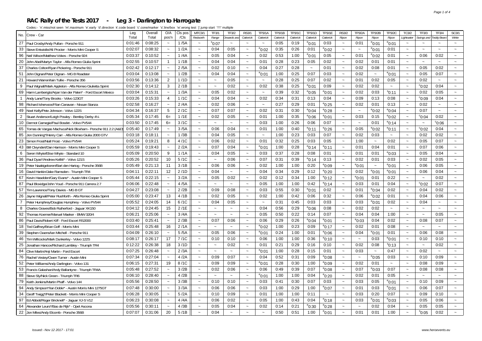#### **RAC Rally of the Tests 2017 - Leg 3 - Darlington to Harrogate**

| No. Crew - Car                                                  | Leg     | Overall | O/A                       | CIs pos         | MTC3/1                    | <b>TF3/1</b>          | TF3/2       | <b>RS3/1</b>              | TP3/1A          | TP3/1B    | TP3/1C    | TP3/1D          | <b>TP3/1E</b>         | <b>RS3/2</b>              | TP3/2A          | TP3/2B                | TP3/2C                    | TC3/2                     | TF3/3                     | <b>TF3/4</b>          | SC3/1                     |
|-----------------------------------------------------------------|---------|---------|---------------------------|-----------------|---------------------------|-----------------------|-------------|---------------------------|-----------------|-----------|-----------|-----------------|-----------------------|---------------------------|-----------------|-----------------------|---------------------------|---------------------------|---------------------------|-----------------------|---------------------------|
|                                                                 | Total   | Total   | pos'n                     | / <sub>CS</sub> | Redworth                  | Range                 | Onwards ani | Catterick                 | Catterick       | Catterick | Catterick | Catterick       | Catterick             | Ripon                     | Ripon           | Ripon                 | Ripon                     | Lightwater                | Swings and                | Teddy Bear.           | White                     |
| 27 Paul Crosby/Andy Pullan - Porsche 911                        | 0:01:46 | 0:08:25 | $\widetilde{\phantom{m}}$ | 1/5A            | $\sim$                    | $^{\rm s}$ 0:07       | $\sim$      | $\sim$                    | $\sim$          | 0:05      | 0:19      | $^{\circ}$ 0:01 | 0:03                  | $\widetilde{\phantom{m}}$ | 0:01            | $^{\rm e}$ 0:01       | $^{\circ}$ 0:01           | $\tilde{\phantom{a}}$     |                           |                       |                           |
| 33 Steve Entwistle/Ali Procter - Morris Mini Cooper S           | 0:02:07 | 0:08:32 | $\sim$                    | 1/2A            | $\sim$                    | 0:04                  | 0:05        | $\widetilde{\phantom{m}}$ | $^{\circ}$ 0:02 | 0:35      | 0:26      | 0:01            | °0:02                 | $\sim$                    | $\sim$          | $^{\circ}$ 0:01       | 0:01                      | $\tilde{\phantom{a}}$     | $\sim$                    | $\sim$                | $\tilde{\phantom{a}}$     |
| 96 Neil Wilson/Matthew Vokes - Porsche 924                      | 0:03:37 | 0:10:52 | $\sim$                    | 1/4A            | $\widetilde{\phantom{m}}$ | 0:05                  | 0:04        | $\tilde{\phantom{a}}$     | 0:02            | 0:53      | 1:00      | $^{\circ}$ 0:01 | 0:05                  | $\widetilde{\phantom{m}}$ | 0:01            | $^{\circ}$ 0:02       | 0:01                      | $\widetilde{\phantom{m}}$ | 0:06                      | 0:02                  | $\widetilde{\phantom{m}}$ |
| 20 John Abel/Martyn Taylor - Alfa Romeo Giulia Sprint           | 0:02:55 | 0:10:57 | $\overline{1}$            | 1/1B            | $\sim$                    | 0:04                  | 0:04        | $\sim$                    | 0:01            | 0:28      | 0:23      | 0:05            | 0:02                  | $\sim$                    | 0:02            | 0:01                  | 0:01                      | $\sim$                    | $\sim$                    | $\sim$                | $\sim$                    |
| 37 Charles Colton/Ryan Pickering - Porsche 911                  | 0:02:42 | 0:12:17 | $\sim$                    | 2/5A            | $\sim$                    | 0:02                  | 0:10        | $\tilde{\phantom{a}}$     | 0:04            | 0:27      | 0:28      | $\sim$          | 0:01                  | $\sim$                    | 0:02            | 0:08                  | 0:01                      | $\tilde{\phantom{a}}$     | 0:05                      | 0:02                  | $\sim$                    |
| 51 John Dignan/Peter Dignan - MG B Roadster                     | 0:03:04 | 0:13:08 | $\sim$                    | 1/2B            | $\tilde{\phantom{a}}$     | 0:04                  | 0:04        | $\sim$                    | $^{\circ}$ 0:01 | 1:00      | 0:25      | 0:07            | 0:03                  | $\sim$                    | 0:02            | $\tilde{\phantom{a}}$ | $^{\circ}$ 0:01           | $\sim$                    | 0:05                      | 0:07                  | $\tilde{\phantom{a}}$     |
| 21 Howard Warren/lain Tullie - Porsche 356                      | 0:03:56 | 0:13:36 | $\overline{2}$            | 1/1D            | $\tilde{\phantom{a}}$     | $\sim$                | 0:05        | $\sim$                    | $\sim$          | 0:28      | 0:25      | 0:07            | 0:02                  | $\sim$                    | 0:01            | 0:02                  | 0:05                      | $\sim$                    | 0:02                      | $\sim$                | $\sim$                    |
| 9   Paul Wignall/Mark Appleton - Alfa Romeo Giulietta Sprint    | 0:02:30 | 0:14:12 | 3                         | 2/1B            | $\widetilde{\phantom{m}}$ | $\tilde{}$            | 0:02        | $\tilde{\phantom{a}}$     | 0:02            | 0:38      | 0:25      | $^{\circ}$ 0:01 | 0:09                  | $\tilde{}$                | 0:02            | 0:02                  | $\widetilde{\phantom{m}}$ | $\tilde{\phantom{a}}$     | $^{\circ}$ 0:02           | 0:04                  | $\tilde{}$                |
| 69 Harm Lamberigts/Arjan Van der Palen* - Ford Escort Mexico    | 0:03:04 | 0:15:31 | $\sim$                    | 1/3A            | $\sim$                    | 0:05                  | 0:02        | $\sim$                    | $\sim$          | 0:39      | 0:32      | $^{\circ}$ 0:05 | $^{\rm e}$ 0:01       | $\sim$                    | 0:02            | 0:03                  | $^{\rm s}$ 0:11           | $\sim$                    | 0:02                      | 0:05                  | $\sim$                    |
| Andy Lane/Tony Brooks - Volvo 123GT<br>$\mathbf{1}$             | 0:03:26 | 0:15:33 | $\overline{4}$            | 1/1C            | $\sim$                    | 0:04                  | 0:04        | $\tilde{\phantom{a}}$     | 0:02            | 0:34      | 0:31      | 0:13            | 0:04                  | $\sim$                    | 0:09            | 0:13                  | 0:08                      | $\ddot{\phantom{0}}$      | $^{\circ}$ 0:09           | 0:04                  | $\sim$                    |
| 98 Richard Isherwood*/lan Canavan - Nissan Stanza               | 0:02:58 | 0:16:27 | $\sim$                    | 2/4A            | $\tilde{\phantom{a}}$     | 0:02                  | 0:06        | $\tilde{\phantom{a}}$     | $\sim$          | 0:27      | 0:29      | 0:01            | $^{\rm e}$ 0:25       | $\sim$                    | 0:02            | 0:01                  | 0:13                      | $\sim$                    | 0:02                      | $\sim$                | $\tilde{\phantom{a}}$     |
| 49 Noel Kelly/Pete Johnson - Volvo 122S                         | 0:04:34 | 0:16:37 | 5                         | 2/1C            | $\widetilde{\phantom{m}}$ | 0:07                  | 0:07        | $\widetilde{\phantom{m}}$ | 0:02            | 0:31      | 0:30      | $^{\circ}$ 0:04 | °0:28                 | $\tilde{\phantom{a}}$     | $\sim$          | $^{\circ}$ 0:02       | $e_{0:04}$                | $\sim$                    | 0:07                      | $\tilde{\phantom{a}}$ | $\sim$                    |
| 2 Stuart Anderson/Leigh Powley - Bentley Derby 41/4             | 0:05:34 | 0:17:45 | $6=$                      | 1/1E            | $\sim$                    | 0:02                  | 0:05        | $\thicksim$               | 0:01            | 1:00      | 0:35      | $^{\circ}$ 0:06 | $^{\rm e}$ 0:01       | $\widetilde{\phantom{m}}$ | 0:03            | 0:15                  | $^{\circ}$ 0:02           | $\widetilde{\phantom{m}}$ | $^{\circ}$ 0:04           | 0:02                  | $\widetilde{\phantom{m}}$ |
| 10   Dermot Carnegie/Paul Bosdet - Volvo PV544                  | 0:03:50 | 0:17:45 | $6=$                      | 3/1C            | $\tilde{\phantom{a}}$     | $\sim$                | $\sim$      | $\sim$                    | 0:03            | 1:00      | 0:26      | 0:06            | 0:07                  | $\tilde{\phantom{a}}$     | $\sim$          | 0:01                  | $e_{0:14}$                | $\sim$                    | $\sim$                    | °0:06                 | $\sim$                    |
| 65 Tomas de Vargas Machuca/Nick Bloxham - Porsche 911 2.2 (A&D) | 0:05:40 | 0:17:49 | $\sim$                    | 3/5A            | $\tilde{\phantom{a}}$     | 0:06                  | 0:04        | $\tilde{\phantom{a}}$     | 0:01            | 1:00      | 0:40      | $^{\circ}$ 0:11 | $^{\rm e}$ 0:26       | $\sim$                    | 0:05            | $^{\rm e}$ 0:02       | $^{\circ}$ 0:11           | $\tilde{\phantom{a}}$     | $^{\circ}$ 0:02           | 0:04                  | $\tilde{\phantom{a}}$     |
| 85<br>Jon Dunning*/Henry Carr - Alfa Romeo Giulia 2000 GTV      | 0:03:18 | 0:18:11 | $\sim$                    | 1/3B            | $\tilde{\phantom{a}}$     | 0:04                  | 0:05        | $\tilde{\phantom{a}}$     |                 | 1:00      | 0:23      | 0:03            | 0:07                  | $\widetilde{\phantom{m}}$ | 0:02            | 0:03                  | $\thicksim$               | $\tilde{\phantom{a}}$     | 0:02                      | 0:02                  | $\tilde{}$                |
| 23 Simon Frost/Niall Frost - Volvo PV544                        | 0:05:24 | 0:19:21 | 8                         | 4/1C            | $\sim$                    | 0:06                  | 0:02        | $\sim$                    | 0:01            | 0:32      | 0:25      | 0:03            | 0:05                  | $\sim$                    | 1:00            | $\sim$                | 0:02                      | $\sim$                    | 0:05                      | 0:07                  | $\sim$                    |
| 43 Bill Cleyndert/Dan Harrison - Morris Mini Cooper S           | 0:05:59 | 0:19:43 | $\tilde{\phantom{a}}$     | 2/2A            | $\tilde{\phantom{a}}$     | 0:07                  | 0:04        | $\tilde{\phantom{a}}$     | $^{\circ}$ 0:01 | 1:00      | 0:28      | $^{\circ}$ 0:14 | $^{\rm e}$ 0:11       | $\widetilde{\phantom{m}}$ | 0:01            | 0:04                  | 0:01                      | $\tilde{\phantom{a}}$     | 0:07                      | 0:06                  | $\sim$                    |
| 6   Seren Whyte/Elise Whyte - Standard 10                       | 0:05:09 | 0:20:50 | 9                         | 1/1A            | $\sim$                    | 0:04                  | 0:05        | $\sim$                    | 0:03            | 0:37      | 0:28      | 0:08            | 0:01                  | $\sim$                    | 0:01            | 0:01                  | $^{\circ}$ 0:03           | $\sim$                    | 0:05                      | 0:04                  | $\sim$                    |
| 36   Paul Dyas*/Andrew Kellitt* - Volvo 121S                    | 0:05:26 | 0:20:52 | 10                        | 5/1C            | $\tilde{\phantom{a}}$     | $\sim$                | 0:06        | $\tilde{\phantom{a}}$     | 0:07            | 0:31      | 0:39      | $^{\circ}$ 0:14 | 0:13                  | $\sim$                    | 0:02            | 0:01                  | 0:03                      | $\tilde{\phantom{a}}$     | 0:02                      | 0:05                  | $\tilde{\phantom{a}}$     |
| 19 Peter Naaktgeboren/Bart den Hartog - Porsche 356B            | 0:05:49 | 0:21:13 | 11                        | 3/1B            | $\tilde{\phantom{a}}$     | 0:06                  | 0:06        | $\tilde{\phantom{a}}$     | 0:02            | 1:00      | 1:00      | 0:20            | $^{\rm e}$ 0:09       | $\sim$                    | $^{\circ}$ 0:01 | $\tilde{\phantom{a}}$ | $^{\circ}$ 0:01           | $\sim$                    | 0:06                      | 0:05                  | $\sim$                    |
| 16 David Hankin/Jake Ramsden - Triumph TR4                      | 0:04:11 | 0:22:11 | 12                        | 2/1D            | $\sim$                    | 0:04                  | $\sim$      | $\sim$                    | 0:04            | 0:34      | 0:29      | 0:12            | $^{\circ}$ 0:20       | $\sim$                    | 0:02            | $^{\circ}$ 0:01       | $^{\circ}$ 0:01           | $\widetilde{\phantom{m}}$ | 0:06                      | 0:04                  | $\sim$                    |
| 67 Kevin Haselden/Gary Evans* - Austin Mini Cooper S            | 0:05:44 | 0:22:15 | $\sim$                    | 3/2A            | $\sim$                    | 0:05                  | 0:02        | $\sim$                    | 0:02            | 0:12      | 0:34      | 1:00            | $^{\circ}$ 0:12       | $\sim$                    | $^{\circ}$ 0:01 | 0:01                  | 0:22                      | $\ddot{\phantom{0}}$      | $\widetilde{\phantom{m}}$ | 0:02                  | $\sim$                    |
| 87   Paul Bloxidge/John Youd - Porsche 911 Carrera 2.7          | 0:06:06 | 0:22:48 | $\tilde{\phantom{a}}$     | 4/5A            | $\tilde{\phantom{a}}$     | $\sim$                | $\sim$      | $\sim$                    | 0:05            | 1:00      | 1:00      | 0:42            | $^{\circ}$ 0:14       | $\ddot{\phantom{0}}$      | 0:03            | 0:01                  | 0:04                      | $\tilde{\phantom{a}}$     | $^{\circ}$ 0:02           | 0:07                  |                           |
| 57 Tim Lawrence/Tony Davies - MG B GT                           | 0:04:27 | 0:23:08 |                           | 2/2B            | $\tilde{\phantom{a}}$     | 0:09                  | 0:08        | $\sim$                    | 0:03            | 0:55      | 0:30      | $^{\circ}$ 0:01 | 0:02                  | $\tilde{\phantom{a}}$     | 0:01            | $^{\circ}$ 0:04       | 0:02                      | $\tilde{\phantom{a}}$     | 0:04                      | 0:02                  |                           |
| 26 Jayne Wignall/Peter Rushforth - Alfa Romeo Giulia Sprint     | 0:05:00 | 0:23:47 | 13                        | 4/1B            | $\tilde{\phantom{a}}$     | 0:02                  | 0:05        | $\widetilde{\phantom{m}}$ | 0:02            | 1:00      | 0:42      | 0:06            | 0:32                  | $\thicksim$               | 0:06            | $^{\circ}$ 0:02       | 0:01                      | $\sim$                    | 0:04                      | 0:06                  | $\sim$                    |
| 7 Peter Humphrey/Douglas Humphrey - Volvo PV544                 | 0:05:52 | 0:24:05 | 14                        | 6/1C            | $\sim$                    | 0:04                  | 0:05        | $\sim$                    | $\sim$          | 0:31      | 0:45      | 0:03            | 0:03                  | $\sim$                    | 0:03            | $^{\rm e}$ 0:01       | 0:02                      | $\tilde{\phantom{a}}$     | 0:04                      | $\sim$                | $\sim$                    |
| 8<br>Charles Graves/Bob Rutherford - Jaquar XK150               | 0:04:12 | 0:24:45 | 15                        | 2/1E            | $\tilde{\phantom{a}}$     | $\tilde{\phantom{a}}$ | $\sim$      | $\sim$                    | 0:04            | 0:56      | 0:29      | $^{\circ}$ 0:06 | 0:08                  | $\sim$                    | 0:02            | 0:02                  | $\thicksim$               | $\ddot{\phantom{0}}$      | $\sim$                    |                       |                           |
| 92<br>Thomas Koerner/Manuel Maeker - BMW 320/4                  | 0:06:21 | 0:25:06 | $\widetilde{\phantom{m}}$ | 3/4A            | $\sim$                    | $\sim$                | $\sim$      | $\sim$                    | 0:05            | 0:50      | 0:22      | 0:14            | 0:07                  | $\widetilde{\phantom{m}}$ | 0:04            | 0:04                  | 1:00                      | $\ddot{ }$                | $\thicksim$               | 0:05                  |                           |
| 86<br>Paul Davis/Robert Kiff - Ford Escort RS2000               | 0:03:40 | 0:25:41 | $\sim$                    | 2/3B            | $\tilde{\phantom{a}}$     | 0:07                  | 0:06        | $\sim$                    | 0:06            | 0:29      | 0:26      | $^{\circ}$ 0:04 | $^{\rm e}$ 0:01       | $\sim$                    | $^{\circ}$ 0:03 | 0:04                  | 0:02                      | $\sim$                    | 0:08                      | 0:07                  | $\tilde{\phantom{a}}$     |
| 18   Ted Gaffney/Brian Goff - Morris Min                        | 0:03:44 | 0:25:48 | 16                        | 2/1A            | $\tilde{\phantom{a}}$     | $\sim$                | $\sim$      | $\sim$                    | $^{\circ}$ 0:02 | 1:00      | 0:23      | 0:09            | $^{\rm e}$ 0:17       | $\sim$                    | 0:02            | 0:01                  | 0:08                      | $\sim$                    | $\widetilde{\phantom{m}}$ | $\sim$                | $\sim$                    |
| 39<br>Stephen Owens/Ian Mitchell - Porsche 911                  | 0:04:09 | 0:26:10 | $\sim$                    | 5/5A            | $\sim$                    | 0:05                  | 0:06        | $\widetilde{\phantom{m}}$ | $^{\circ}$ 0:01 | 0:24      | 1:00      | 0:01            | $^{\circ}$ 0:06       | $\widetilde{\phantom{m}}$ | 0:04            | $^{\circ}$ 0:01       | 0:01                      | $\widetilde{\phantom{m}}$ | 0:06                      | 0:08                  | $\sim$                    |
| 46 Tim Willcocks/Mark Dunkerley - Volvo 122S                    | 0:08:17 | 0:26:17 | 17                        | 7/1C            | $\sim$                    | 0:10                  | 0:10        | $\sim$                    | 0:06            | 1:00      | 1:00      | 0:36            | $^{\circ}$ 0:10       | $\sim$                    | $\sim$          | 0:03                  | $^{\circ}$ 0:01           | $\tilde{\phantom{a}}$     | 0:10                      | 0:10                  |                           |
| 25<br>Jonathan Hancox/Richard Lambley - Triumph TR4             | 0:12:22 | 0:26:38 | 18                        | 3/1D            | $\tilde{\phantom{a}}$     | $\tilde{\phantom{a}}$ | 0:02        | $\widetilde{\phantom{m}}$ | 0:01            | 0:21      | 0:29      | 0:16            | 0:10                  | $\thicksim$               | 0:02            | 0:08                  | $^{\rm s}$ 0:13           | $\tilde{\phantom{a}}$     | $\tilde{\phantom{a}}$     | 0:02                  |                           |
| 84 Clive Martin/Anji Martin - Ford Escort                       | 0:07:25 | 0:26:48 | $\sim$                    | 2/3A            | $\sim$                    | $\sim$                | $\sim$      | $\sim$                    | $^{\circ}$ 0:01 | 1:00      | 0:28      | 0:15            | 0:01                  | $\sim$                    | 0:03            | $\tilde{\phantom{a}}$ | 0:47                      | $\sim$                    | 0:02                      | $\sim$                | $\sim$                    |
| 76 Rachel Vestey/Owen Turner - Austin Mini                      | 0:07:34 | 0:27:04 | $\sim$                    | 4/2A            | $\widetilde{\phantom{m}}$ | 0:09                  | 0:07        | $\tilde{\phantom{a}}$     | 0:04            | 0:52      | 0:31      | 0:09            | $^{\circ}$ 0:08       | $\sim$                    | $\sim$          | $^{\circ}$ 0:05       | 0:03                      | $\sim$                    | 0:10                      | 0:09                  | $\sim$                    |
| 52 Peter Williams/Andy Darlington - Volvo 131                   | 0:06:15 | 0:27:31 | 19                        | 8/1C            | $\tilde{\phantom{a}}$     | 0:09                  | 0:09        | $\sim$                    | $^{\circ}$ 0:01 | 0:28      | 0:30      | 1:00            | $^{\rm e}$ 0:09       | $\sim$                    | 0:02            | 0:01                  | $\sim$                    | $\sim$                    | 0:08                      | 0:09                  | $\tilde{\phantom{a}}$     |
| 53 Francis Galashan/Andy Ballantyne - Triumph TR4A              | 0:05:48 | 0:27:52 | $\sim$                    | 3/2B            | $\sim$                    | 0:02                  | 0:06        | $\sim$                    | 0:06            | 0:49      | 0:39      | 0:07            | $e_{0:08}$            | $\sim$                    | 0:07            | $^{\circ}$ 0:03       | 0:07                      | $\tilde{\phantom{a}}$     | 0:08                      | 0:08                  | $\sim$                    |
| 88 Steve Sly/Nick Green - Triumph TR6                           | 0:06:10 | 0:28:40 | $\sim$                    | 4/2B            | $\sim$                    | $\sim$                | $\sim$      | $\tilde{\phantom{a}}$     | $^{\circ}$ 0:01 | 1:00      | 1:00      | 0:04            | $^{\rm e}$ 0:20       | $\tilde{}$                | 0:02            | 0:01                  | 0:05                      | $\tilde{}$                | $\tilde{\phantom{a}}$     |                       |                           |
| 79 Keith Jenkins/Martin Phaff - Volvo 144                       | 0:05:56 | 0:28:50 | $\sim$                    | 3/3B            | $\tilde{\phantom{a}}$     | 0:10                  | 0:10        | $\sim$                    | 0:03            | 0:41      | 0:30      | 0:07            | 0:03                  | $\thicksim$               | 0:03            | 0:05                  | $^{\circ}$ 0:01           | $\sim$                    | 0:10                      | 0:09                  | $\sim$                    |
| 94 Andy Simpson*/lan Doble* - Austin Morris Mini 1275GT         | 0:07:48 | 0:30:00 | $\sim$                    | 3/3A            | $\sim$                    | 0:06                  | 0:06        | $\sim$                    | 0:03            | 1:00      | 0:29      | 1:00            | $^{\rm e}$ 0:07       | $\sim$                    | 0:01            | 0:03                  | $^{\circ}$ 0:01           | $\sim$                    | 0:06                      | 0:07                  | $\sim$                    |
| 34 Geoff Twigg*/Peter Blackett - Morris Mini Cooper S           | 0:06:28 | 0:30:05 | $\sim$                    | 5/2A            | $\tilde{\phantom{a}}$     | 0:10                  | 0:09        | $\sim$                    | 0:01            | 1:00      | 1:00      | 0:11            | $\tilde{\phantom{a}}$ | $\sim$                    | 0:03            | 0:20                  | 0:07                      | $\tilde{\phantom{a}}$     | 0:09                      | 0:10                  | $\sim$                    |
| 97 Ed Abbott/Roger Bricknell* - Jaguar XJ-S V12                 | 0:06:23 | 0:30:08 |                           | 4/4A            | $\tilde{\phantom{a}}$     | 0:06                  | 0:02        | $\tilde{\phantom{a}}$     | 0:05            | 1:00      | 0:43      | 0:04            | $^{\circ}$ 0:18       | $\sim$                    | 0:03            | $^{\circ}$ 0:01       | $^{\circ}$ 0:03           | $\tilde{\phantom{a}}$     | 0:05                      | 0:06                  |                           |
| 64 Alexander Leurs*/Bas de Rijk* - Opel Ascona                  | 0:05:56 | 0:30:11 | $\sim$                    | 4/3B            | $\sim$                    | 0:05                  | 0:04        | $\tilde{\phantom{a}}$     | 0:02            | 0:14      | 0:21      | $^{\rm e}$ 0:30 | $^{\rm e}$ 0:28       |                           | $\sim$          | 0:02                  | 0:04                      | $\sim$                    | 0:05                      | 0:05                  |                           |
| 22 Jon Miles/Andy Elcomb - Porsche 356B                         | 0:07:07 | 0:31:06 | 20                        | 5/1B            | $\sim$                    | 0:04                  | $\sim$      | $\sim$                    | $\sim$          | 0:50      | 0:51      | 1:00            | $^{\rm e}$ 0:01       |                           | 0:01            | 0:01                  | 1:00                      | $\ddot{ }$                | $^{\circ}0:05$            | 0:02                  |                           |
|                                                                 |         |         |                           |                 |                           |                       |             |                           |                 |           |           |                 |                       |                           |                 |                       |                           |                           |                           |                       |                           |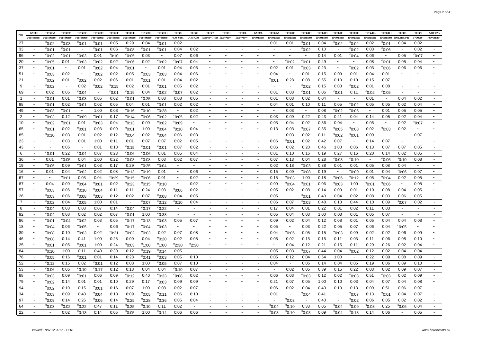|                | <b>RS3/3</b>                    | TP3/3A                   | <b>TP3/3B</b>         | <b>TP3/3C</b>             | TP3/3D                | TP3/3E          | <b>TP3/3F</b>             | TP3/3G                 | TP3/3H                   | TF3/5                     | TF3/6                     | <b>TF3/7</b>                    | TC3/3                                   | <b>TC3/4</b>                    | <b>RS3/4</b>                                   | TP3/4A                            | <b>TP3/4B</b>             | TP3/4C          | TP3/4D         | <b>TP3/4E</b>         | <b>TP3/4F</b>         | TP3/4G          | <b>TP3/4H</b>         | <b>TF3/8</b>              | TF3/9                     | <b>MTC3/5</b>                   |
|----------------|---------------------------------|--------------------------|-----------------------|---------------------------|-----------------------|-----------------|---------------------------|------------------------|--------------------------|---------------------------|---------------------------|---------------------------------|-----------------------------------------|---------------------------------|------------------------------------------------|-----------------------------------|---------------------------|-----------------|----------------|-----------------------|-----------------------|-----------------|-----------------------|---------------------------|---------------------------|---------------------------------|
| No.            | Hambleton                       | Hambleton                | Hambleton             | Hambleton                 | Hambleton             | Hambleton       | Hambleton                 | Hambleton              | Hambleton                | Run, Run,                 | A la Kart                 | ockwith Trac                    | <b>Bramham</b>                          | Bramham                         | <b>Bramham</b>                                 | Bramham                           | Bramham                   | Bramham         | <b>Bramham</b> | Bramham               | Bramham               | <b>Bramham</b>  | Bramham               | n Dale and                | Frontier                  | Harrogate                       |
| 27             |                                 | $^{\rm e}$ 0:02          | $^{\rm e}$ 0:03       | °0:01                     | $^{\rm e}$ 0:01       | 0:05            | 0:29                      | 0:04                   | $^{\rm e}$ 0:01          | 0:02                      | $\ddot{\phantom{0}}$      |                                 |                                         |                                 |                                                | 0:01                              | 0:01                      | $^{\rm e}$ 0:01 | 0:04           | $^{\circ}$ 0:02       | $^{\rm e}$ 0:02       | 0:02            | $^{\rm e}$ 0:01       | 0:04                      | 0:02                      | $\tilde{}$                      |
| 33             | $\sim$                          | °0:01                    | °0:01                 | $\sim$                    | °0:01                 | 0:06            | $^{\rm e}$ 0:08           | $^{\rm e}$ 0:01        | <sup>e</sup> 0:01        | 0:04                      | 0:02                      | $\sim$                          | $\tilde{\phantom{a}}$                   | $\tilde{\phantom{a}}$           | $\sim$                                         | $\sim$                            | $\sim$                    | $^{\circ}$ 0:02 | 0:10           | $\sim$                | °0:02                 | 0:03            | °0:06                 | $\tilde{\phantom{a}}$     | 0:02                      | $\tilde{\phantom{a}}$           |
| 96             | $\tilde{\phantom{a}}$           | $^{\rm e}$ 0:02          | $^{\rm e}$ 0:01       | °0:03                     | 0:01                  | $^{\circ}$ 0:10 | $^{\circ}$ 0:05           | 0:03                   | $\tilde{}$               | 0:07                      | 0:06                      | $\sim$                          | $\sim$                                  | $\sim$                          | $\sim$                                         | $\sim$                            | $\tilde{\phantom{a}}$     | $\sim$          | 0:14           | 0:01                  | °0:04                 | 0:06            | $\tilde{\phantom{a}}$ | 0:05                      | $^{\circ}$ 0:07           | $\sim$                          |
| 20             |                                 | °0:05                    | 0:01                  | $^{\circ}$ 0:03           | $^{\rm e}$ 0:02       | 0:02            | 0:06                      | 0:02                   | $^{\circ}$ 0:02          | $\degree$ 0:07            | 0:04                      | $\sim$                          |                                         |                                 |                                                | $\tilde{\phantom{a}}$             | $^{\rm e}$ 0:02           | $^{\rm e}$ 0:01 | 0:49           |                       | $\tilde{\phantom{a}}$ | 0:08            | $^{\circ}$ 0:01       | 0:05                      | 0:04                      |                                 |
| 37             | $\sim$                          | °0:01                    | $\sim$                | 0:01                      | $^{\rm e}$ 0:02       | 0:04            | $^{\rm e}$ 0:01           | $\tilde{}$             | 0:01                     | 0:04                      | 0:06                      | $\tilde{\phantom{a}}$           | $\sim$                                  | $\sim$                          | $\sim$                                         | 0:02                              | 0:01                      | $^{\circ}$ 0:03 | 0:23           | $\tilde{\phantom{a}}$ | $^{\rm e}$ 0:02       | 0:03            | $^{\circ}$ 0:06       | 0:06                      | 0:06                      |                                 |
| 51             | $\sim$                          | $^{\circ}$ 0:03          | 0:02                  | $\tilde{\phantom{a}}$     | $^{\circ}$ 0:02       | 0:02            | 0:05                      | $^{\circ}$ 0:03        | $^{\rm e}$ 0:03          | 0:04                      | 0:06                      | $\widetilde{\phantom{m}}$       |                                         |                                 |                                                | 0:04                              | $\thicksim$               | 0:01            | 0:15           | 0:09                  | 0:01                  | 0:04            | 0:01                  |                           | $\sim$                    |                                 |
| 21             | $\sim$                          | $^{\rm e}$ 0:02          | 0:01                  | $^{\circ}$ 0:02           | 0:02                  | 0:06            | 0:01                      | $^{\rm e}$ 0:01        | 0:01                     | 0:04                      | 0:02                      | $\widetilde{\phantom{m}}$       | $\tilde{\phantom{a}}$                   | $\tilde{\phantom{a}}$           | $\widetilde{\phantom{m}}$                      | °0:01                             | 0:28                      | 0:08            | 0:55           | 0:13                  | 0:10                  | 0:15            | 0:07                  | $\tilde{\phantom{a}}$     | $\widetilde{\phantom{m}}$ |                                 |
| 9              | $\tilde{\phantom{a}}$           | $^{\circ}$ 0:02          | $\tilde{\phantom{a}}$ | 0:02                      | °0:02                 | $^{\rm s}$ 0:15 | 0:02                      | 0:01                   | °0:01                    | 0:05                      | 0:02                      | $\sim$                          | $\sim$                                  | $\sim$                          | $\sim$                                         | $\tilde{\phantom{a}}$             | $\tilde{\phantom{a}}$     | $^{\circ}$ 0:02 | 0:15           | 0:03                  | $^{\rm e}$ 0:02       | 0:01            | 0:08                  | $\sim$                    | $\sim$                    | $\sim$                          |
| 69             | $\tilde{}$                      | 0:02                     | 0:06                  | $^{\circ}$ 0:04           | $\tilde{\phantom{a}}$ | °0:01           | $^{\circ}$ 0:19           | 0:04                   | $^{\circ}$ 0:02          | $^{\circ}$ 0:07           | 0:02                      | $\tilde{}$                      | $\tilde{}$                              |                                 | $\tilde{\phantom{a}}$                          | 0:01                              | 0:03                      | $^{\circ}$ 0:01 | 0:06           | ី $0:01$              | 0:11                  | $^{\rm e}$ 0:02 | $^{\rm e}$ 0:05       | $\tilde{\phantom{a}}$     | $\tilde{\phantom{a}}$     | $\ddot{\phantom{1}}$            |
| $\mathbf{1}$   | $\sim$                          | $^{\circ}$ 0:01          | 0:01                  | $^{\circ}$ 0:03           | 0:05                  | 0:02            | $^{\circ}$ 0:01           | $^{\circ}$ 0:25        | 0:03                     | 0:08                      | 0:05                      | $\sim$                          | $\sim$                                  | $\sim$                          | $\sim$                                         | 0:01                              | 0:03                      | 0:02            | 0:04           | $\sim$                | $\sim$                | 0:01            | $\tilde{\phantom{a}}$ | 0:04                      | 0:02                      |                                 |
| 98             | $\tilde{\phantom{a}}$           | $^{\circ}$ 0:01          | 0:02                  | °0:01                     | 0:02                  | 0:05            | 0:04                      | 0:01                   | $^{\rm e}$ 0:01          | 0:02                      | 0:02                      | $\sim$                          | $\sim$                                  |                                 | $\tilde{\phantom{a}}$                          | 0:04                              | 0:01                      | 0:10            | 0:11           | 0:05                  | $^{\rm e}$ 0:02       | 0:05            | 0:05                  | 0:02                      | 0:04                      | $\sim$                          |
| 49             | $\sim$                          | °0:03                    | °0:01                 | $\widetilde{\phantom{m}}$ | 1:00                  | 0:03            | $^{\rm e}$ 0:16           | $^{\circ}$ 0:10        | $^{\rm e}$ 0:28          | $\sim$                    | 0:02                      | $\tilde{\phantom{a}}$           | $\tilde{\phantom{a}}$                   | $\tilde{\phantom{a}}$           | $\tilde{\phantom{a}}$                          | $\sim$                            | 0:03                      | $\sim$          | 0:08           | $^{\rm e}$ 0:02       | °0:05                 | $\thicksim$     | 0:01                  | 0:05                      | 0:05                      |                                 |
| $\overline{2}$ | $\sim$                          | $^{\circ}$ 0:03          | 0:12                  | °0:09                     | °0:01                 | 0:17            | $^{\circ}$ 0:14           | $^{\circ}$ 0:06        | $^{\circ}$ 0:02          | $^{\circ}$ 0:05           | 0:02                      | $\sim$                          | $\sim$                                  | $\sim$                          | $\sim$                                         | 0:03                              | 0:09                      | 0:22            | 0:43           | 0:21                  | 0:04                  | 0:14            | 0:05                  | 0:02                      | 0:04                      | $\sim$                          |
| 10             | $\tilde{\phantom{a}}$           | $^{\circ}$ 0:02          | $^{\circ}$ 0:01       | 0:01                      | $^{\circ}$ 0:03       | 0:04            | $^{\circ}$ 0:13           | 0:09                   | $^{\circ}$ 0:02          | °0:09                     | $\tilde{\phantom{a}}$     | $\tilde{\phantom{a}}$           |                                         |                                 |                                                | 0:03                              | 0:04                      | 0:02            | 0:36           | 0:04                  | $\tilde{\phantom{a}}$ | 0:05            |                       | 0:02                      | $^{\circ}$ 0:07           | $\ddot{\phantom{1}}$            |
| 65             | $\sim$                          | °0:01                    | 0:02                  | °0:01                     | 0:03                  | 0:09            | $^{\rm e}$ 0:01           | 1:00                   | $^{\rm e}$ 0:04          | $^{\circ}$ 0:10           | 0:04                      | $\sim$                          | $\tilde{\phantom{a}}$                   | $\tilde{\phantom{a}}$           | $\sim$                                         | 0:13                              | 0:03                      | $^{\rm e}$ 0:07 | 0:35           | $^{\rm e}$ 0:05       | $^{\rm e}$ 0:03       | 0:02            | °0:03                 | 0:02                      | $\sim$                    |                                 |
| 85             | $\sim$                          | $^{\circ}$ 0:10          | 0:03                  | 0:01                      | 0:02                  | 0:12            | $^{\circ}$ 0:04           | 0:02                   | $^{\circ}$ 0:04          | 0:06                      | 0:08                      | $\sim$                          | $\ddot{ }$                              |                                 |                                                | $\sim$                            | 0:03                      | 0:02            | 0:11           | $^{\circ}$ 0:02       | °0:01                 | 0:09            | $\sim$                |                           | 0:07                      | $\sim$                          |
| 23             | $\tilde{\phantom{a}}$           | $\sim$                   | 0:03                  | 0:01                      | 1:00                  | 0:11            | 0:01                      | 0:07                   | 0:07                     | 0:02                      | 0:05                      | $\tilde{\phantom{a}}$           | $\sim$                                  | $\tilde{\phantom{a}}$           | $\sim$                                         | 0:06                              | $^8$ 0:01                 | 0:02            | 0:42           | 0:07                  | $\sim$                | 0:14            | 0:07                  | $\tilde{\phantom{a}}$     | $\tilde{\phantom{a}}$     |                                 |
| 43             | $\tilde{\phantom{a}}$           | $\tilde{\phantom{a}}$    | 0:06                  | $\sim$                    | 0:01                  | 0:10            | $^{\circ}$ 0:15           | $^{\circ}$ 0:01        | $^{\rm e}$ 0:01          | 0:07                      | 0:02                      | $\sim$                          | $\tilde{\phantom{a}}$                   | $\tilde{\phantom{a}}$           | $\tilde{\phantom{a}}$                          | 0:06                              | 0:02                      | 0:20            | 0:46           | 1:00                  | 0:06                  | 0:13            | 0:07                  | 0:07                      | 0:05                      | $\sim$                          |
| 6              | $\sim$                          | °0:01                    | 0:22                  | $^{\rm e}$ 0:04           | 0:07                  | 0:23            | $^{\circ}$ 0:06           | $^{\circ}$ 0:06        | 0:01                     | 0:05                      | 0:04                      | $\sim$                          | $\tilde{\phantom{a}}$                   | $\tilde{\phantom{a}}$           | $\sim$                                         | 0:01                              | 0:10                      | 0:16            | 0:19           | 0:27                  | 0:16                  | 0:20            | 0:14                  | 0:02                      | 0:05                      | $\tilde{\phantom{a}}$           |
| 36             | $\tilde{\phantom{a}}$           | 0:01                     | $^{\circ}$ 0:05       | 0:04                      | 1:00                  | 0:22            | $^{\circ}0:03$            | $^{\rm e}$ 0:08        | 0:03                     | 0:02                      | 0:07                      | $\tilde{\phantom{a}}$           | $\sim$                                  | $\tilde{\phantom{a}}$           | $\sim$                                         | 0:07                              | 0:13                      | 0:04            | 0:28           | $^{\rm e}$ 0:03       | °0:10                 | $\sim$          | $^{\circ}$ 0:05       | $^{\rm s}$ 0:10           | 0:08                      |                                 |
| 19             | $\sim$                          | $^{\circ}$ 0:05          | 0:09                  | $^{\rm e}$ 0:01           | 0:03                  | 0:17            | 0:29                      | $^{\circ}$ 0:25        | $^{\rm e}$ 0:04          | $\tilde{\phantom{a}}$     | $\sim$                    | $\sim$                          | $\sim$                                  |                                 | $\sim$                                         | 0:02                              | 0:18                      | $^{\circ}$ 0:03 | 0:38           | 0:01                  | 0:01                  | 0:05            | 0:08                  | 0:04                      | $\sim$                    |                                 |
| 16             | $\tilde{\phantom{a}}$           | 0:01                     | 0:04                  | $^{\circ}$ 0:02           | 0:02                  | 0:08            | $^{\circ}$ 0:13           | $^{\circ}$ 0:19        | 0:01                     | $\widetilde{\phantom{m}}$ | 0:06                      | $\tilde{}$                      |                                         |                                 | $\sim$                                         | 0:15                              | 0:09                      | $^{\circ}$ 0:08 | 0:19           | $\tilde{\phantom{a}}$ | °0:09                 | 0:01            | 0:04                  | $^{\circ}$ 0:06           | 0:07                      | $\sim$                          |
| 67             | $\sim$                          | $\sim$                   | °0:01                 | 0:03                      | 0:04                  | °0:29           | $^{\circ}$ 0:15           | $^{\circ}$ 0:06        | 0:01                     | $\tilde{\phantom{a}}$     | 0:02                      | $\tilde{\phantom{a}}$           | $\overline{ }$                          | $\sim$                          | $\sim$                                         | 0:15                              | $^{\rm e}$ 0:03           | 1:00            | 0:18           | $^{\rm e}$ 0:06       | $^{\rm e}$ 0:12       | 0:05            | °0:04                 | 0:02                      | 0:05                      | $\tilde{\phantom{a}}$           |
| 87             | $\tilde{\phantom{a}}$           | 0:04                     | 0:09                  | $^{\circ}$ 0:04           | $^{\rm e}$ 0:01       | 0:02            | $^{\circ}$ 0:23           | $^{\circ}$ 0:15        | $^{\circ}$ 0:10          | $\widetilde{\phantom{m}}$ | 0:02                      | $\sim$                          | $\tilde{\phantom{a}}$                   | $\tilde{\phantom{a}}$           | $\tilde{\phantom{a}}$                          | 0:09                              | $^{\circ}$ 0:04           | $^{\rm e}$ 0:01 | 0:06           | $^{\circ}$ 0:03       | 1:00                  | $^{\circ}$ 0:01 | $^{\circ}$ 0:06       | $\tilde{\phantom{a}}$     | 0:08                      | $\tilde{}$                      |
| 57             | $\ddot{\phantom{0}}$            | $^{\circ}$ 0:03          | 0:06                  | $^{\circ}$ 0:10           | $^{\rm e}$ 0:04       | 0:11            | 0:11                      | 0:24                   | 0:03                     | °0:06                     | 0:02                      | $\sim$                          | $\sim$                                  |                                 | $\sim$                                         | 0:05                              | 0:02                      | 0:08            | 0:14           | 0:09                  | 0:01                  | 0:10            | 0:08                  | 0:04                      | 0:05                      |                                 |
| 26             | $\tilde{\phantom{a}}$           | $^{\circ}$ 0:03          | 0:06                  | $^{\circ}$ 0:08           | $^{\rm e}$ 0:03       | 0:12            | 0:02                      | 0:07                   | $^{\circ}$ 0:08          | 0:04                      | 0:05                      | $\tilde{\phantom{a}}$           |                                         |                                 | $\sim$                                         | 0:05                              | $\tilde{\phantom{a}}$     | $^{\circ}$ 0:01 | 0:40           | 0:04                  | 0:02                  | 0:08            | 0:03                  | 0:06                      | 0:05                      | $\ddot{\phantom{1}}$            |
| $\overline{7}$ | $\tilde{\phantom{a}}$           | "0:02                    | 0:04                  | $^{\circ}$ 0:05           | 1:00                  | 0:01            | $\widetilde{\phantom{m}}$ | $^{\rm e}$ 0:07        | $^{\circ}$ 0:12          | $^{\circ}$ 0:10           | 0:04                      | $\widetilde{\phantom{m}}$       |                                         |                                 | $\tilde{\phantom{a}}$                          | 0:06                              | 0:07                      | $^{\circ}$ 0:03 | 0:48           | 0:10                  | 0:44                  | 0:10            | 0:09                  | $^{\circ}$ 0:07           | 0:02                      | $\ddot{\phantom{1}}$            |
| 8              | $\tilde{\phantom{a}}$           | $^{\circ}$ 0:04          | 0:08                  | 0:08                      | 0:07                  | 0:14            | $^{\circ}$ 0:04           | $^{\circ}$ 0:17        | °0:22                    | $\tilde{\phantom{a}}$     | $\tilde{\phantom{a}}$     | $\sim$                          | $\tilde{\phantom{a}}$                   | $\tilde{\phantom{a}}$           | $\tilde{\phantom{a}}$                          | 0:17                              | 0:04                      | 0:01            | 0:22           | 0:01                  | 0:02                  | 0:11            | 0:03                  | $\widetilde{\phantom{m}}$ | $\tilde{\phantom{a}}$     | $\tilde{\phantom{a}}$           |
| 92             | $\sim$                          | $^{\circ}$ 0:04          | 0:08                  | 0:02                      | 0:02                  | 0:07            | $^{\rm e}$ 0:01           | 1:00                   | $^{\rm e}$ 0:38          | $\widetilde{\phantom{m}}$ | $\sim$                    | $\sim$                          | $\sim$                                  | $\sim$                          | $\sim$                                         | 0:05                              | 0:04                      | 0:03            | 1:00           | 0:03                  | 0:01                  | 0:05            | 0:07                  | $\tilde{\phantom{a}}$     | $\sim$                    |                                 |
| 86             | $\sim$                          | $^{\circ}$ 0:01          | $^{\circ}$ 0:04       | $^{\circ}$ 0:02           | 0:03                  | 0:05            | $^{\circ}$ 0:17           | $^{\circ}$ 0:13        | $^{\circ}$ 0:03          | 0:05                      | 0:07                      | $\sim$                          |                                         |                                 | $\sim$                                         | 0:09                              | 0:02                      | 0:04            | 0:12           | 0:08                  | 0:01                  | 0:05            | 0:04                  | 0:04                      | 0:08                      | $\sim$                          |
| 18             | $\sim$                          | $^{\circ}$ 0:04          | 0:06                  | $^{\circ}$ 0:05           | $\tilde{\phantom{a}}$ | 0:06            | $^{\circ}$ 0:17           | $^{\circ}$ 0:04        | $^{\rm e}$ 0:03          | $\tilde{\phantom{a}}$     | $\sim$                    | $\sim$                          | $\sim$                                  |                                 | $\sim$                                         | 0:05                              | $\sim$                    | 0:03            | 0:22           | 0:05                  | 0:07                  | 0:06            | 0:04                  | $^{\circ}$ 0:05           | $\sim$                    | $\sim$                          |
| 39             | $\sim$<br>$\tilde{\phantom{a}}$ | $^{\rm e}$ 0:08          | 0:10                  | $^{\circ}$ 0:03           | 0:02                  | $^{\rm s}$ 0:21 | $^{\circ}$ 0:02           | $^{\circ}$ 0:03        | 0:02                     | 0:07                      | 0:08                      | $\sim$                          |                                         |                                 | $\sim$                                         | 0:04                              | $^{\circ}$ 0:05           | 0:05            | 0:15           | $^{\rm e}$ 0:03       | 0:09                  | 0:02            | 0:02                  | 0:06                      | 0:09                      | $\sim$<br>$\tilde{\phantom{a}}$ |
| 46<br>25       | $\tilde{\phantom{a}}$           | $^{\circ}$ 0:08          | 0:14<br>0:05          | 0:41<br>$^{\circ}$ 0:01   | 1:00<br>1:00          | 0:28<br>0:24    | 0:09                      | 0:04<br>$^{\circ}1:00$ | °0:20<br>$^{\circ}$ 1:00 | 0:02                      | 0:08<br><sup>n</sup> 2:30 | $\tilde{\phantom{a}}$<br>$\sim$ | $\overline{ }$<br>$\tilde{\phantom{a}}$ | $\sim$<br>$\tilde{\phantom{a}}$ | $\tilde{\phantom{a}}$<br>$\tilde{\phantom{a}}$ | 0:06<br>$\widetilde{\phantom{m}}$ | 0:02<br>0:04              | 0:15<br>0:12    | 0:15<br>0:21   | 0:11<br>0:15          | 0:03<br>0:11          | 0:11<br>0:29    | 0:06<br>0:26          | 0:08<br>0:02              | 0:10<br>0:04              | $\tilde{}$                      |
| 84             | $\tilde{\phantom{a}}$           | °0:01<br>$^{\circ}$ 0:10 | 1:00                  | 0:11                      | 0:40                  | 0:30            | $^{\circ}$ 0:03<br>0:12   | $^{\circ}$ 0:19        | $^{\circ}$ 0:14          | $n_{2:30}$<br>0:05        | $\tilde{\phantom{a}}$     |                                 |                                         |                                 |                                                | 0:05                              | 0:03                      | $^{\circ}$ 0:07 | 0:44           | 0:04                  | °0:02                 | 0:12            | 0:02                  | 0:04                      | 0:04                      |                                 |
| 76             | $\sim$                          | $^{\circ}$ 0:05          | 0:16                  | °0:01                     | 0:01                  | 0:14            | 0:28                      | $^{\circ}$ 0:41        | $^{\circ}$ 0:03          | 0:05                      | 0:10                      | $\sim$                          | $\sim$                                  | $\sim$                          | $\tilde{\phantom{a}}$                          | 0:05                              | 0:12                      | 0:04            | 0:54           | 1:00                  | $\sim$                | 0:22            | 0:09                  | 0:08                      | 0:09                      | $\tilde{\phantom{a}}$           |
| 52             | $\sim$                          | $^{\rm e}$ 0:12          | 0:15                  | 0:02                      | °0:01                 | 0:12            | 0:08                      | 1:00                   | $^{\rm e}$ 0:05          | 0:07                      | 0:10                      | $\tilde{\phantom{a}}$           | $\sim$                                  |                                 | $\tilde{\phantom{a}}$                          | 0:04                              | $\widetilde{\phantom{m}}$ | 0:06            | 0:14           | 0:04                  | 0:05                  | 0:19            | 0:06                  | 0:09                      | 0:10                      | $\ddot{\phantom{1}}$            |
| 53             | $\tilde{\phantom{a}}$           | $^{\circ}$ 0:06          | 0:06                  | $^{\rm e}$ 0:10           | <sup>e</sup> 0:17     | 0:12            | 0:18                      | 0:04                   | 0:04                     | °0:10                     | 0:07                      | $\tilde{\phantom{a}}$           | $\sim$                                  |                                 | $\tilde{\phantom{a}}$                          | $\sim$                            | 0:02                      | 0:05            | 0:39           | 0:15                  | 0:22                  | 0:03            | 0:02                  | 0:09                      | 0:07                      |                                 |
| 88             | $\tilde{\phantom{a}}$           | $^{\rm e}$ 0:03          | 0:09                  | $^{\rm e}$ 0:01           | 0:06                  | 0:09            | $^{\rm e}$ 0:12           | 0:40                   | $^{\rm e}$ 0:33          | °0:08                     | 0:02                      | $\sim$                          | $\tilde{\phantom{a}}$                   | $\tilde{\phantom{a}}$           | $\tilde{\phantom{a}}$                          | 0:06                              | 0:03                      | $^{\circ}$ 0:03 | 0:12           | 0:02                  | °0:03                 | 0:51            | $^{\circ}$ 0:03       | 0:02                      | 0:09                      | $\tilde{\phantom{a}}$           |
| 79             | $\sim$                          | $^{\circ}$ 0:02          | 0:14                  | 0:01                      | 0:01                  | 0:10            | 0:29                      | 0:17                   | $^{\circ}$ 0:03          | 0:09                      | 0:09                      | $\tilde{\phantom{a}}$           | $\tilde{\phantom{a}}$                   |                                 | $\sim$                                         | 0:21                              | 0:07                      | 0:05            | 1:00           | 0:10                  | 0:03                  | 0:04            | 0:07                  | 0:04                      | 0:08                      | $\tilde{\phantom{a}}$           |
| 94             | $\tilde{\phantom{a}}$           | $^{\circ}$ 0:02          | 0:10                  | 0:15                      | $^{\circ}$ 0:01       | 0:16            | 0:07                      | 1:00                   | 0:08                     | 0:02                      | 0:07                      | $\tilde{\phantom{a}}$           | $\tilde{}$                              | $\sim$                          | $\sim$                                         | 0:06                              | 0:02                      | 0:04            | 0:43           | 0:10                  | 0:13                  | 0:09            | 0:51                  | 0:06                      | 0:07                      | $\sim$                          |
| 34             | $\tilde{\phantom{a}}$           | $^{\circ}$ 0:03          | 0:09                  | 0:40                      | $^{\rm e}$ 0:04       | 0:13            | 0:09                      | $^{\circ}$ 0:05        | $^{\circ}$ 0:11          | 0:06                      | 0:10                      | $\widetilde{\phantom{m}}$       |                                         |                                 | $\tilde{\phantom{a}}$                          | 0:01                              | $\widetilde{\phantom{m}}$ | $^{\circ}$ 0:04 | 0:41           | $\tilde{\phantom{a}}$ | °0:07                 | 0:13            | $^{\circ}$ 0:01       | 0:04                      | 0:07                      | $\tilde{\phantom{a}}$           |
| 97             | $\tilde{\phantom{a}}$           | °0:09                    | 0:14                  | 0:26                      | °0:06                 | 0:14            | $^{\rm e}$ 0:25           | $^{\circ}$ 0:28        | $^{\circ}$ 0:36          | 0:05                      | 0:04                      | $\tilde{}$                      |                                         |                                 | $\tilde{\phantom{a}}$                          | $\sim$                            | $^{\rm e}$ 0:03           | $\sim$          | 0:40           | $\sim$                | °0:02                 | 0:06            | 0:05                  | 0:02                      | 0:02                      |                                 |
| 64             | $\thicksim$                     | °0:03                    | °0:02                 | °0:22                     | 0:47                  | 0:11            | $^{\circ}$ 0:25           | $^{\circ}$ 0:10        | 0:11                     | 0:02                      | $\tilde{\phantom{a}}$     | $\tilde{\phantom{a}}$           | $\sim$                                  | $\tilde{}$                      | $\tilde{\phantom{a}}$                          | $^{\circ}$ 0:04                   | °0:10                     | 0:33            | 0:05           | °0:04                 | $^{\circ}0.09$        | $^{\rm e}$ 0:03 | 0:25                  | $^{\circ}$ 0:06           | 0:04                      | $\tilde{}$                      |
| 22             | $\sim$                          | $\sim$                   | 0:02                  | $^{\circ}$ 0:13           | 0:14                  | 0:05            | $^{\circ}$ 0:05           | 1:00                   | $^{\circ}$ 0:14          | 0:06                      | 0:06                      | $\sim$                          | $\sim$                                  |                                 | $\tilde{\phantom{a}}$                          | $^{\circ}$ 0:03                   | $^{\circ}$ 0:10           | $^{\circ}$ 0:03 | 0:09           | $^{\rm e}$ 0:04       | $^{\rm e}$ 0:13       | 0:14            | 0:06                  | $\sim$                    | 0:05                      |                                 |
|                |                                 |                          |                       |                           |                       |                 |                           |                        |                          |                           |                           |                                 |                                         |                                 |                                                |                                   |                           |                 |                |                       |                       |                 |                       |                           |                           |                                 |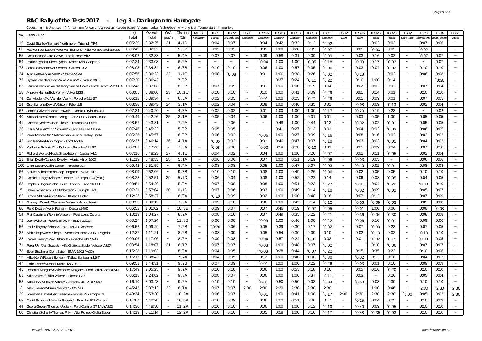#### **RAC Rally of the Tests 2017 - Leg 3 - Darlington to Harrogate**

| No. | Crew - Car                                                      | Leg     | Overall | O/A                       | CIs pos | MTC3/1                    | <b>TF3/1</b>          | <b>TF3/2</b>    | <b>RS3/</b>               | TP3/1A          | <b>TP3/1B</b> | <b>TP3/1C</b> | TP3/1D          | <b>TP3/1E</b>     | <b>RS3/2</b>              | TP3/2A          | TP3/2B          | <b>TP3/2C</b>   | <b>TC3/2</b>              | TF3/3                     | TF3/4           | SC3/1                 |
|-----|-----------------------------------------------------------------|---------|---------|---------------------------|---------|---------------------------|-----------------------|-----------------|---------------------------|-----------------|---------------|---------------|-----------------|-------------------|---------------------------|-----------------|-----------------|-----------------|---------------------------|---------------------------|-----------------|-----------------------|
|     |                                                                 | Total   | Total   | pos'n                     | /Cls    | Redworth                  | Range                 | )nwards an      | Catterick                 | Catterick       | Catterick     | Catterick     | Catterick       | Catterick         | Ripon                     | Ripon           | Ripon           | Ripon           | Lightwater                | Swings and                | eddy Bear.      | White                 |
| 15  | David Stanley/Bernard Northmore - Triumph TR4                   | 0:05:39 | 0:32:25 | 21                        | 4/1D    | $\sim$                    | 0:04                  | 0:07            | $\sim$                    | 0:04            | 0:42          | 0:32          | 0:12            | $^{\rm e}$ 0:02   | $\sim$                    | $\sim$          | 0:02            | 0:03            | $\sim$                    | 0:07                      | 0:06            | $\sim$                |
| 68  | Rob van der Leeuw/Peter van Egmond - Alfa Romeo Giulia Super    | 0:06:49 | 0:32:32 | $\sim$                    | 5/3B    | $\sim$                    | 0:02                  | 0:02            | $\sim$                    | 0:05            | 1:00          | 0:28          | 0:09            | $^{\rm e}$ 0:07   | $\tilde{\phantom{a}}$     | 0:05            | $^{\circ}$ 0:03 | 0:02            | $\sim$                    | $^{\circ}$ 0:02           | $\sim$          |                       |
| 55  | Rod Hanson/Clare Grove - Ford Escort Mk2                        | 0:08:02 | 0:32:33 | $\sim$                    | 5/4A    | $\tilde{\phantom{a}}$     | 0:07                  | 0:07            | $\tilde{\phantom{a}}$     | 0:09            | 0:58          | 0:31          | 0:09            | $^{\rm e}$ 0:09   | $\tilde{\phantom{a}}$     | 0:03            | 0:16            | 0:02            | $\tilde{\phantom{a}}$     | $^{\circ}$ 0:07           | 0:07            | $\sim$                |
| 59  | Patrick Lynch/Hubert Lynch - Morris Mini Cooper S               | 0:07:24 | 0:33:08 | $\sim$                    | 6/2A    | $\widetilde{\phantom{m}}$ | $\sim$                | $\sim$          | $\sim$                    | $^{\circ}$ 0:04 | 1:00          | 1:00          | $^{\circ}$ 0:05 | $^{\circ}$ 0:18   | $\sim$                    | $^{\circ}$ 0:03 | 0:17            | $e_{0:03}$      | $\sim$                    | $\sim$                    | 0:07            |                       |
| 73  | John Ball*/Andrew Duerden - Citroen DS2 <sup>-</sup>            | 0:08:03 | 0:34:34 | $\sim$                    | 6/3B    | $\sim$                    | 0:10                  | 0:10            | $\sim$                    | 0:06            | 1:00          | 0:57          | 0:05            | $^{\circ}$ 0:06   | $\sim$                    | 0:03            | 0:04            | $^{\circ}$ 0:02 | $\sim$                    | 0:10                      | 0:10            |                       |
| 24  | Alan Pettit/Angus Watt* - Volvo PV544                           | 0:07:56 | 0:36:23 | 22                        | 9/1C    | $\sim$                    | 0:08                  | $^{\circ}$ 0:08 | $\tilde{\phantom{a}}$     | 0:01            | 1:00          | 0:38          | 0:26            | $^{\circ}$ 0:02   | $\widetilde{\phantom{m}}$ | $^{\circ}$ 0:18 | $\sim$          | 0:02            | $\tilde{}$                | 0:06                      | 0:08            |                       |
| 75  | Sybren van der Goot/Maiko Wellink* - Datsun 240Z                | 0:07:20 | 0:36:43 | $\tilde{\phantom{a}}$     | 7/3B    | $\sim$                    | $\tilde{\phantom{a}}$ | $\sim$          | $\tilde{\phantom{a}}$     | $\sim$          | 0:37          | 0:24          | $^{\rm e}$ 0:11 | $^{\rm e}$ 0:22   | $\tilde{\phantom{a}}$     | 0:10            | 1:00            | 0:14            | $\tilde{\phantom{a}}$     | $\widetilde{\phantom{m}}$ | $^{\rm w}$ 0:30 |                       |
| 83  | Laurens van der Velde/Jenny van de Boel* - Ford Escort RS2000 M | 0:06:48 | 0:37:08 | $\sim$                    | 8/3B    | $\tilde{\phantom{a}}$     | 0:07                  | 0:09            | $\tilde{\phantom{a}}$     | 0:01            | 1:00          | 1:00          | 0:19            | 0:04              | $\tilde{\phantom{a}}$     | 0:02            | 0:02            | 0:02            | $\tilde{\phantom{a}}$     | 0:07                      | 0:04            | $\sim$                |
| 28  | Andrew Hamer/Bob Kerry - Volvo 122S                             | 0:08:05 | 0:38:06 | 23                        | 10/1C   | $\tilde{\phantom{a}}$     | 0:10                  | 0:10            | $\sim$                    | 0:10            | 1:00          | 0:41          | 0:09            | $^{\circ}$ 0:29   | $\sim$                    | 0:01            | 0:14            | 0:01            | $\tilde{\phantom{a}}$     | 0:10                      | 0:10            | $\sim$                |
| 74  | Cor Meulen*/Ad Van der Werf* - Porsche 911 ST                   | 0:06:12 | 0:39:34 | $\sim$                    | 6/5A    | $\sim$                    | 0:02                  | 0:05            | $\sim$                    | $^{\circ}$ 0:01 | 1:00          | 0:25          | $^{\circ}$ 0:21 | $^{\rm e}$ 0:29   | $\sim$                    | 0:01            | 0:09            | 0:01            | $\tilde{\phantom{a}}$     | 0:07                      | 0:05            | $\sim$                |
| 14  | Guy Symons/David Watson - Riley 1.5                             | 0:08:38 | 0:39:43 | 24                        | 3/1A    | $\sim$                    | 0:02                  | 0:04            | $\sim$                    | 0:08            | 1:00          | 0:46          | 0:35            | 0:01              | $\widetilde{\phantom{m}}$ | $^{\circ}$ 0:08 | 0:09            | $^{\rm s}$ 0:13 | $\tilde{}$                | 0:02                      | 0:04            | $\sim$                |
| 62  | James Calvert*/Daniel Powell* - Lancia Fulvia 1600HF            | 0:07:34 | 0:40:20 | $\sim$                    | 4/3A    | $\widetilde{\phantom{m}}$ | 0:02                  | 0:02            | $\sim$                    | 0:01            | 1:00          | 1:00          | 1:00            | <sup>e</sup> 0:17 | $\tilde{\phantom{a}}$     | $^{\circ}$ 0:20 | 0:19            | 0:23            | $\tilde{\phantom{a}}$     | $\sim$                    | 0:02            | $\sim$                |
| 40  | Michael Moss/James Ewing - Fiat 2300S Abarth Coupe              | 0:09:49 | 0:42:26 | 25                        | 3/1E    | $\tilde{\phantom{a}}$     | 0:05                  | 0:04            | $\widetilde{\phantom{m}}$ | 0:06            | 1:00          | 1:00          | 0:01            | 0:01              | $\tilde{\phantom{a}}$     | 0:03            | 0:05            | 1:00            | $\tilde{\phantom{a}}$     | 0:05                      | 0:05            | $\sim$                |
| 41  | Darren Everitt*/Susan Dixon* - Triumph 2000 Mkl                 | 0:08:57 | 0:43:31 | $\sim$                    | 7/2A    | $\sim$                    | $\sim$                | 0:06            | $\sim$                    | $\sim$          | 0:48          | 1:00          | 0:44            | 0:13              | $\sim$                    | $^{\circ}$ 0:02 | 0:02            | $^{\circ}$ 0:01 | $\tilde{\phantom{a}}$     | 0:05                      | 0:05            |                       |
| 35  | Klaus Mueller*/Eric Schwab* - Lancia Fulvia Coupe               | 0:07:46 | 0:45:22 | $\sim$                    | 5/2B    | $\sim$                    | 0:05                  | 0:05            | $\sim$                    | $\sim$          | 0:41          | 0:27          | 0:13            | 0:01              | $\sim$                    | 0:04            | 0:02            | $^{\circ}$ 0:03 | $\tilde{\phantom{a}}$     | 0:06                      | 0:05            |                       |
| 12  | Peter Moore/Dan Stellmacher - Austin-Healey Sprite              | 0:05:36 | 0:45:57 | $\sim$                    | 6/2B    | $\sim$                    | 0:06                  | 0:02            | $\tilde{\phantom{a}}$     | $^{\circ}$ 0:06 | 1:00          | 0:27          | 0:09            | °0:16             | $\widetilde{\phantom{m}}$ | 0:08            | 0:16            | 0:02            | $\tilde{}$                | 0:02                      | 0:02            |                       |
| 42  | Ron Kendall/Nick Cooper - Ford Anglia                           | 0:06:37 | 0:46:14 | 26                        | 4/1A    | $\widetilde{\phantom{m}}$ | $^{\circ}$ 0:05       | 0:02            | $\widetilde{\phantom{m}}$ | 0:01            | 0:46          | 0:47          | 0:07            | $^{\rm e}$ 0:10   | $\tilde{\phantom{a}}$     | 0:03            | 0:03            | $^{\circ}$ 0:01 | $\widetilde{\phantom{m}}$ | 0:04                      | 0:02            | $\tilde{\phantom{a}}$ |
| 93  | Karlheinz Schott*/Dirk Dohse* - Porsche 911 SC                  | 0:07:01 | 0:47:46 | $\sim$                    | 7/5A    | $\tilde{\phantom{a}}$     | $^{\rm s}$ 0:08       | 0:06            | $\tilde{\phantom{a}}$     | $^{\circ}$ 0:03 | 0:58          | 0:28          | $^{\circ}$ 0:10 | 0:31              | $\tilde{\phantom{a}}$     | 0:01            | 0:09            | 0:04            | $\tilde{\phantom{a}}$     | 0:07                      | 0:10            | $\tilde{}$            |
| 17  | Richard Worts*/Nicola Shackleton* - Jaquar Mk2                  | 0:07:16 | 0:48:23 | 27                        | 4/1E    | $\sim$                    | 0:04                  | 0:02            | $\sim$                    | 0:04            | 1:00          | 1:00          | 0:26            | $^{\rm e}$ 0:07   | $\sim$                    | 0:02            | 0:11            | $^{\circ}$ 0:05 | $\tilde{\phantom{a}}$     | 0:02                      | 0:04            |                       |
| 11  | Brian Dwelly/Janette Dwelly - Morris Minor 1000                 | 0:11:19 | 0:48:53 | 28                        | 5/1A    | $\sim$                    | 0:06                  | 0:06            | $\sim$                    | 0:07            | 1:00          | 0:51          | 0:19            | $^{\circ}$ 0:06   | $\sim$                    | $^{\circ}$ 0:03 | 0:05            | $\thicksim$     | $\sim$                    | 0:06                      | 0:06            | $\sim$                |
| 100 | Ellen Sutton*/Colin Sutton - Porsche 924                        | 0:09:42 | 0:51:59 | $\sim$                    | 6/4A    | $\sim$                    | 0:08                  | 0:08            | $\sim$                    | 0:05            | 1:00          | 0:47          | 0:07            | $^{\rm e}$ 0:03   | $\sim$                    | $^{\circ}$ 0:10 | 0:02            | $^{\circ}$ 0:01 | $\sim$                    | 0:08                      | 0:08            | $\tilde{\phantom{a}}$ |
| 66  | Sjouke Kuindersma*/Jaap Jongman - Volvo 142                     | 0:08:09 | 0:52:06 | $\sim$                    | 9/3B    | $\widetilde{\phantom{m}}$ | 0:10                  | 0:10            | $\tilde{\phantom{a}}$     | 0:08            | 1:00          | 0:49          | 0:26            | °0:06             | $\sim$                    | 0:02            | 0:05            | 0:05            | $\sim$                    | 0:10                      | 0:10            | $\sim$                |
| 31  | Dominik Lingg*/Michael Gerber* - Triumph TR4 (A&D)              | 0:08:28 | 0:52:51 | 29                        | 5/1D    | $\widetilde{\phantom{m}}$ | 0:06                  | 0:04            | $\sim$                    | 0:08            | 1:00          | 0:52          | 0:22            | 0:14              | $\widetilde{\phantom{m}}$ | 0:06            | 0:08            | $^{\circ}$ 0:05 | $\tilde{\phantom{a}}$     | 0:04                      | 0:05            | $\sim$                |
| 63  | Stephen Rogers/John Shute - Lancia Fulvia 1600HF                | 0:09:51 | 0:54:20 | $\sim$                    | 5/3A    | $\sim$                    | 0:07                  | 0:08            | $\sim$                    | 0:08            | 1:00          | 0:51          | 0:23            | $^{\circ}$ 0:27   | $\sim$                    | $^{\circ}$ 0:01 | 0:04            | $^{\circ}$ 0:22 | $\tilde{\phantom{a}}$     | $^{\circ}$ 0:08           | 0:10            |                       |
| 5   | Steve Robertson/Julia Robertson - Triumph TR3                   | 0:07:21 | 0:57:04 | 30                        | 6/1D    | $\sim$                    | 0:07                  | 0:06            | $\widetilde{\phantom{m}}$ | 0:03            | 1:00          | 0:49          | 0:14            | $^{\rm e}$ 0:10   | $\widetilde{\phantom{m}}$ | $^{\circ}$ 0:02 | 0:09            | $^{\circ}$ 0:02 | $\tilde{}$                | 0:05                      | 0:07            |                       |
| 82  | Simon Malins/Nick Pullan - Hillman Hunter                       | 0:12:23 | 0:58:37 | $\sim$                    | 6/3A    | $\widetilde{\phantom{m}}$ | $^{\rm s}$ 0:10       | 0:09            | $\sim$                    | 0:02            | 1:00          | 1:00          | 0:48            | 0:18              | $\thicksim$               | 0:07            | 0:12            | $\sim$          | $\tilde{\phantom{a}}$     | 0:07                      | 0:09            | $\tilde{\phantom{a}}$ |
| 61  | Bronwyn Burrell*/Suzanne Barker* - Austin Maxi                  | 0:08:33 | 1:00:12 | $\widetilde{\phantom{m}}$ | 7/3A    | $\widetilde{\phantom{m}}$ | 0:09                  | 0:10            | $\widetilde{\phantom{m}}$ | 0:06            | 1:00          | 0:42          | 0:14            | <sup>e</sup> 0:12 | $\tilde{\phantom{a}}$     | $^{\circ}$ 0:06 | $^{\rm e}$ 0:09 | $^{\circ}$ 0:03 | $\tilde{\phantom{a}}$     | 0:09                      | 0:08            |                       |
| 80  | René Dwars*/Henk Ruijten* - Datsun 240Z                         | 0:06:52 | 1:01:02 | $\sim$                    | 10/3B   | $\widetilde{\phantom{m}}$ | 0:09                  | 0:07            | $\widetilde{\phantom{m}}$ | 0:07            | 0:46          | 0:19          | $^{\circ}$ 0:07 | $^{\circ}$ 0:05   | $\widetilde{\phantom{m}}$ | $^{\circ}$ 0:01 | 1:00            | 0:06            | $\widetilde{\phantom{m}}$ | 0:06                      | $^{\circ}$ 0:08 | $\tilde{}$            |
| 54  | Piet Cassimon/Ronnie Vissers - Ford Lotus Cortina               | 0:10:19 | 1:04:27 | $\sim$                    | 8/2A    | $\sim$                    | 0:08                  | 0:10            | $\sim$                    | 0:07            | 0:49          | 0:35          | 0:22            | $^{\rm e}$ 0:21   | $\sim$                    | $^{\circ}$ 0:36 | $^{\circ}$ 0:04 | $^{\circ}$ 0:30 | $\sim$                    | 0:08                      | 0:08            |                       |
| 72  | Joel Wykeham*/David Brown* - BMW 2002ti                         | 0:08:27 | 1:07:24 | $\sim$                    | 11/3B   | $\sim$                    | 0:06                  | 0:08            | $\widetilde{\phantom{m}}$ | $^{\circ}$ 0:09 | 1:00          | 0:46          | 1:00            | $^{\circ}$ 0:22   | $\tilde{\phantom{a}}$     | $0:0^6$         | 0:10            | $^{\circ}$ 0:01 | $\tilde{\phantom{a}}$     | 0:09                      | 0:06            | $\tilde{\phantom{a}}$ |
| 56  | Paul Slingsby*/Michael Fox* - MG B Roadster                     | 0:06:52 | 1:09:29 | $\sim$                    | 7/2B    | $\widetilde{\phantom{m}}$ | $^{\prime\prime}0:30$ | 0:06            | $\sim$                    | 0:05            | 0:39          | 0:30          | 0:17            | $^{\rm e}$ 0:02   | $\sim$                    | 0:07            | $^{\rm e}$ 0:03 | 0:23            | $\tilde{\phantom{a}}$     | 0:07                      | 0:05            | $\sim$                |
| 32  | Nick Sleep*/Jess Sleep* - Mercedes-Benz 230SL Pagoda            | 0:12:37 | 1:11:21 | $\sim$                    | 8/2B    | $\sim$                    | 0:08                  | 0:09            | $\tilde{\phantom{a}}$     | 0:05            | 0:54          | 0:30          | 0:09            | 0:10              | $\sim$                    | 0:02            | $^{\circ}$ 0:13 | 0:02            | $\widetilde{\phantom{m}}$ | $^{\circ}$ 0:10           | 0:10            | $\sim$                |
| 38  | Daniel Gresly*/Max Behrndt* - Porsche 911 SWB                   | 0:09:06 | 1:17:06 | $\sim$                    | 8/5A    | $\sim$                    | 0:09                  | 0:08            | $\sim$                    | $^{\circ}$ 0:04 | 0:57          | 0:24          | $^{\circ}$ 0:01 | 0:03              | $\tilde{\phantom{a}}$     | 0:01            | $^{\circ}$ 0:02 | $^{\circ}$ 0:15 | $\tilde{\phantom{a}}$     | $^{\circ}$ 0:09           | 0:05            | $\sim$                |
| 71  | Peter Ulm/Jan Soucek - Alfa Giulietta Spider Veloce (A&D)       | 0:08:54 | 1:18:07 | 31                        | 6/1B    | $\sim$                    | 0:07                  | 0:07            | $\sim$                    | $^{\circ}$ 0:03 | 1:00          | 0:48          | 0:07            | $^{\circ}$ 0:02   | $\sim$                    | $\sim$          | 0:10            | $^{\circ}$ 0:06 | $\sim$                    | 0:07                      | 0:07            | $\sim$                |
| 78  | Sven Stockmar/Dorit Baier - BMW 1602 (A&D)                      | 0:15:28 | 1:19:03 |                           | 8/3A    | $\sim$                    | 0:04                  | 0:05            | $\sim$                    | $^{\circ}$ 0:03 | 0:28          | 0:44          | $^{\circ}$ 0:07 | $^{\circ}$ 0:22   | $\sim$                    | 0:15            | 0:35            | 0:22            | $\tilde{\phantom{a}}$     | 0:10                      | 0:06            | $\tilde{\phantom{a}}$ |
| 95  | Mike Kent*/Rupert Barker* - Talbot Sunbeam 1.6 Ti               | 0:15:13 | 1:38:43 | $\sim$                    | 7/4A    | $\widetilde{\phantom{m}}$ | 0:04                  | 0:05            | $\sim$                    | 0:12            | 1:00          | 0:40          | 1:00            | $^{\circ}$ 0:30   | $\sim$                    | $^{\circ}$ 0:02 | 0:12            | 0:18            | $\tilde{\phantom{a}}$     | 0:04                      | 0:02            | $\sim$                |
| 47  | Colin Evans/Michael Kunz - MG B GT                              | 0:09:51 | 1:44:31 | $\sim$                    | 9/2B    | $\sim$                    | 0:07                  | 0:09            | $\widetilde{\phantom{m}}$ | $^{\circ}$ 0:01 | 1:00          | 1:00          | 0:22            | °0:26             | $\widetilde{\phantom{m}}$ | $^{\circ}$ 0:03 | 0:01            | 0:10            | $\widetilde{\phantom{m}}$ | 0:09                      | 0:09            |                       |
| 45  | Benedict Morgan*/Christopher Morgan* - Ford Lotus Cortina MkI   | 0:17:49 | 2:05:25 |                           | 9/2A    | $\sim$                    | 0:10                  | 0:10            | $\sim$                    | 0:06            | 1:00          | 0:53          | 0:18            | 0:16              | $\sim$                    | 0:05            | 0:16            | $^{\circ}$ 0:20 | $\widetilde{\phantom{m}}$ | 0:10                      | 0:10            |                       |
| 81  | Mike Vokes*/Philip Vokes* - Ginetta G15                         | 0:06:18 | 2:24:02 | $\tilde{\phantom{a}}$     | 9/3A    | $\sim$                    | 0:08                  | 0:07            | $\sim$                    | 0:06            | 1:00          | 1:00          | 0:37            | $^{\rm e}$ 0:11   | $\tilde{\phantom{a}}$     | 0:03            | $\sim$          | 0:26            | $\tilde{\phantom{a}}$     | 0:05                      | 0:04            |                       |
| 58  | Mike Hood*/David Walker* - Porsche 911 2.0T SWB                 | 0:16:10 | 3:03:48 | $\sim$                    | 9/5A    | $\sim$                    | 0:10                  | 0:10            | $\sim$                    | $^{\circ}$ 0:01 | 0:50          | 0:50          | 0:03            | $^{\rm e}$ 0:04   | $\sim$                    | $^{\circ}$ 0:50 | 0:03            | 2:30            | $\tilde{\phantom{a}}$     | 0:10                      | 0:10            | $\tilde{\phantom{a}}$ |
| 3   | Marc Hanson*/Brian Mackrill* - MG YB                            | 0:45:42 | 3:37:12 | 32                        | 6/1A    | $\widetilde{\phantom{m}}$ | 0:07                  | 0:07            | 2:30                      | 2:30            | 2:30          | 2:30          | 2:30            | 2:30              | $\sim$                    | $\sim$          | 1:00            | 0:46            | $\sim$                    | $n_{2:30}$                | $n_{2:30}$      | $n_{2:30}$            |
| 29  | Jonathan Turner/Ben Cussons - Morris Mini Cooper S              | 0:49:34 | 3:53:30 | $\sim$                    | 10/2A   | $\widetilde{\phantom{m}}$ | 0:06                  | 0:07            | $\sim$                    | $^{\circ}$ 0:01 | 1:00          | 0:41          | 1:00            | $^{\circ}$ 0:17   | 2:30                      | 2:30            | 2:30            | 2:30            | $^{\circ}5:00$            | 0:05                      | 0:02            | $n_{2:30}$            |
| 89  | David Roberts*/Melanie Roberts* - Porsche 911 Carrera           | 0:11:07 | 4:40:28 | $\sim$                    | 10/5A   | $\sim$                    | 0:10                  | 0:09            | $\sim$                    | 0:06            | 1:00          | 0:51          | 0:06            | 0:17              | $\sim$                    | $^{\circ}$ 0:25 | 0:04            | 0:25            | $\sim$                    | 0:10                      | 0:09            | $\sim$                |
| 44  | Georg Geyer*/Thomas Voglar* - Ford Cortina GT MkI (A&D)         | 0:14:30 | 4:48:50 | $\sim$                    | 11/2A   | $\sim$                    | 0:10                  | 0:10            | $\widetilde{\phantom{m}}$ | 0:06            | 1:00          | 1:00          | 0:12            | $^{\circ}$ 0:10   | $\sim$                    | $^{\circ}$ 0:40 | 0:09            | $^{\circ}$ 0:05 | $\tilde{\phantom{a}}$     | 0:10                      | 0:10            | $\tilde{\phantom{a}}$ |
| 60  | Christian Schenk/Thomas Frik* - Alfa Romeo Giulia Super         | 0:14:19 | 5:11:14 |                           | 12/2A   |                           | 0:10                  | 0:10            | $\sim$                    | 0:05            | 0:58          | 1:00          | 0:16            | $^{\rm e}$ 0:17   |                           | $^{\circ}$ 0:48 | °0:39           | $^{\circ}$ 0:03 |                           | 0:10                      | 0:10            |                       |
|     |                                                                 |         |         |                           |         |                           |                       |                 |                           |                 |               |               |                 |                   |                           |                 |                 |                 |                           |                           |                 |                       |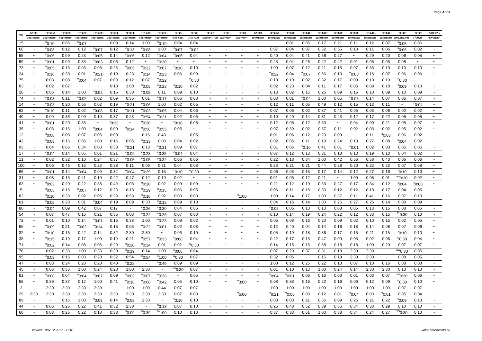| No. | <b>RS3/3</b>          | <b>TP3/3A</b>     | <b>TP3/3B</b> | <b>TP3/3C</b>         | <b>TP3/3D</b>             | <b>TP3/3E</b>         | <b>TP3/3F</b>         | TP3/3G                    | TP3/3H            | <b>TF3/5</b>          | <b>TF3/6</b>          | <b>TF3/7</b><br>TC3/3                              | <b>TC3/4</b>          | <b>RS3/4</b>          | <b>TP3/4A</b>   | <b>TP3/4B</b> | <b>TP3/4C</b>         | TP3/4D  | <b>TP3/4E</b>         | <b>TP3/4F</b>         | TP3/4G  | <b>TP3/4H</b>         | <b>TF3/8</b>                | <b>TF3/9</b>    | <b>MTC3/5</b>             |
|-----|-----------------------|-------------------|---------------|-----------------------|---------------------------|-----------------------|-----------------------|---------------------------|-------------------|-----------------------|-----------------------|----------------------------------------------------|-----------------------|-----------------------|-----------------|---------------|-----------------------|---------|-----------------------|-----------------------|---------|-----------------------|-----------------------------|-----------------|---------------------------|
|     | Hambleton             | Hambleton         | Hambleton     | Hambleton             | Hambletor                 | Hambletor             | Hambleton             | Hambleton                 | Hambleton         | Run. Run              | A la Kart             | ckwith Trad<br>Bramham                             | Bramhan               | <b>Bramhar</b>        | Bramham         | Bramham       | <b>Bramham</b>        | Bramham | Bramhan               | Bramham               | Bramham | <b>Bramham</b>        | n Dale and                  | Frontie         | Harrogate                 |
| 15  |                       | $^{\circ}$ 0:10   | 0:06          | $^{\rm e}$ 0:07       | $\sim$                    | 0:09                  | 0:14                  | 1:00                      | °0:19             | 0:04                  | 0:04                  |                                                    |                       |                       | $\sim$          | 0:01          | 0:05                  | 0:17    | 0:21                  | 0:11                  | 0:12    | 0:07                  | $^{\circ}$ 0:05             | 0:06            | $\tilde{\phantom{a}}$     |
| 68  | $\sim$                | °0:08             | 0:12          | 0:12                  | $^{\rm e}$ 0:07           | 0:12                  | $^{\rm e}$ 0:13       | $^{\rm e}$ 0:08           | 1:00              | °0:07                 | $^{\circ}$ 0:02       | $\tilde{\phantom{a}}$<br>$\sim$                    |                       | $\sim$                | 0:07            | 0:04          | 0:07                  | 0:32    | 0:55                  | 0:13                  | 0:11    | 0:06                  | $^{\rm s}$ 0:06             | 0:02            | $\tilde{\phantom{a}}$     |
| 55  | $\tilde{\phantom{a}}$ | °0:05             | 0:09          | 0:23                  | °0:06                     | 0:14                  | $^{\circ}$ 0:06       | 0:12                      | $^{\rm e}$ 0:04   | $^{\circ}$ 0:06       | 0:04                  | $\widetilde{\phantom{m}}$                          |                       |                       | 0:40            | 0:04          | 0:41                  | 0:56    | 0:27                  | $\tilde{\phantom{a}}$ | 0:29    | 0:20                  | 0:06                        | 0:05            | $\tilde{}$                |
| 59  | $\tilde{\phantom{a}}$ | °0:01             | 0:09          | 0:33                  | °0:03                     | 0:05                  | 0:12                  | $\widetilde{\phantom{m}}$ | °0:30             | $\tilde{\phantom{a}}$ | $\tilde{\phantom{a}}$ | $\tilde{}$<br>$\tilde{\phantom{a}}$                | $\tilde{\phantom{a}}$ | $\sim$                | 0:43            | 0:04          | 0:26                  | 0:42    | 0:42                  | 0:01                  | 0:05    | 0:03                  | 0:08                        | $\sim$          | $\tilde{}$                |
| 73  | $\tilde{\phantom{a}}$ | $^{\circ}$ 0:05   | 0:13          | 0:03                  | 0:05                      | 0:26                  | $^{\circ}$ 0:05       | $^{\circ}$ 0:22           | $^{\rm e}$ 0:07   | $^{\circ}$ 0:10       | 0:10                  | $\tilde{}$<br>$\ddot{\phantom{1}}$                 | $\tilde{\phantom{a}}$ | $\sim$                | 1:00            | 0:07          | 0:12                  | 0:21    | 0:15                  | 0:07                  | 0:33    | 0:19                  | 0:10                        | 0:10            | $\widetilde{\phantom{m}}$ |
| 24  |                       | $^{\circ}$ 0:16   | 0:30          | 0:01                  | °0:21                     | 0:19                  | 0:23                  | $^{\circ}$ 0:14           | $^{\circ}$ 0:23   | 0:06                  | 0:09                  |                                                    | $\sim$                |                       | °0:22           | 0:04          | $^{\circ}$ 0:07       | 0:56    | 0:10                  | $^{\rm e}$ 0:03       | 0:16    | 0:07                  | 0:06                        | 0:06            |                           |
| 75  | $\sim$                | 0:03              | 0:08          | $^{\rm e}$ 0:04       | 0:07                      | 0:09                  | 0:12                  | 0:07                      | °0:22             | $\tilde{}$            | ™0:30                 | $\sim$<br>$\tilde{\phantom{a}}$                    | $\tilde{\phantom{a}}$ | $\sim$                | 0:10            | 0:10          | 0:02                  | 0:32    | 0:17                  | 0:09                  | 0:10    | 0:10                  | ™0:30                       | $\sim$          | $\sim$                    |
| 83  | $\sim$                | 0:02              | 0:07          | $\tilde{\phantom{a}}$ | $\widetilde{\phantom{m}}$ | 0:13                  | 1:00                  | $^{\circ}$ 0:05           | $^{\rm e}$ 0:23   | $^{\circ}$ 0:10       | 0:02                  | $\widetilde{\phantom{m}}$                          |                       |                       | 0:02            | 0:23          | 0:04                  | 0:11    | 0:17                  | 0:06                  | 0:09    | 0:18                  | $^{\rm s}$ 0:09             | 0:10            | $\tilde{\phantom{a}}$     |
| 28  | $\sim$                | 0:05              | 0:14          | 1:00                  | °0:02                     | 0:15                  | 0:30                  | $^{\circ}$ 0:05           | 0:11              | 0:09                  | 0:10                  | $\sim$<br>$\sim$                                   | $\sim$                | $\sim$                | 0:13            | 0:02          | 0:15                  | 0:26    | 0:09                  | 0:16                  | 0:10    | 0:09                  | 0:10                        | 0:09            | $\sim$                    |
| 74  | $\sim$                | °0:03             | 0:11          | $^{\circ}$ 0:02       | 0:02                      | 0:09                  | 0:35                  | 0:01                      | <sup>e</sup> 0:17 | 0:06                  | 0:08                  | $\sim$                                             |                       | $\sim$                | 0:03            | 0:01          | $^{\rm e}$ 0:04       | 1:00    | 0:05                  | $^{\circ}$ 0:05       | 0:14    | 0:07                  | 0:06                        | 0:07            | $\tilde{\phantom{a}}$     |
| 14  | $\tilde{\phantom{a}}$ | $^{\circ}$ 0:03   | 0:20          | 0:56                  | 0:02                      | 0:19                  | $^{\circ}$ 0:21       | $^{\circ}$ 0:06           | 1:00              | 0:02                  | 0:05                  |                                                    |                       |                       | 0:12            | 0:11          | 0:05                  | 0:49    | 0:12                  | 0:15                  | 0:13    | 0:11                  |                             | $^{\circ}$ 0:04 | $\tilde{\phantom{a}}$     |
| 62  | $\sim$                | $^{\circ}$ 0:10   | 0:11          | 0:02                  | $^{\rm e}$ 0:08           | 0:17                  | $^{\circ}$ 0:11       | $^{\circ}$ 0:03           | $^{\rm e}$ 0:05   | 0:04                  | 0:06                  | $\sim$                                             | $\sim$                | $\sim$                | 0:07            | 0:06          | 0:02                  | 0:37    | 0:41                  | 0:05                  | 0:03    | 0:06                  | 0:02                        | 0:02            | $\sim$                    |
| 40  | $\tilde{\phantom{a}}$ | 0:09              | 0:36          | 0:09                  | 0:19                      | 0:37                  | 0:23                  | $^{\circ}$ 0:54           | °0:21             | 0:02                  | 0:05                  | $\tilde{}$                                         |                       |                       | 0:10            | 0:20          | 0:14                  | 0:31    | 0:23                  | 0:12                  | 0:17    | 0:22                  | 0:05                        | 0:05            | $\tilde{}$                |
| 41  | $\tilde{\phantom{a}}$ | °0:01             | 0:20          | 0:33                  | $\sim$                    | °0:33                 | $\sim$                | $^{\circ}$ 0:20           | $\sim$            | °0:10                 | 0:06                  | $\sim$<br>$\sim$                                   | $\tilde{\phantom{a}}$ | $\sim$                | 0:12            | 0:08          | 0:12                  | 2:30    | $\sim$                | 0:04                  | 0:09    | 0:21                  | 0:05                        | 0:07            | $\sim$                    |
| 35  | $\sim$                | 0:03              | 0:16          | 1:00                  | $^{\rm e}$ 0:04           | 0:09                  | $^{\circ}$ 0:14       | $^{\rm e}$ 0:58           | $^{\rm e}$ 0:55   | 0:05                  | $\sim$                | $\sim$<br>$\sim$                                   | $\sim$                | $\sim$                | 0:07            | 0:39          | 0:02                  | 0:57    | 0:11                  | 0:02                  | 0:03    | 0:02                  | 0:05                        | 0:02            | $\sim$                    |
| 12  | $\sim$                | °0:08             | 0:08          | 0:07                  | 0:05                      | 0:09                  | $\sim$                | 0:16                      | 0:43              | $\sim$                | 0:05                  | $\sim$<br>$\ddot{\phantom{0}}$                     | $\tilde{\phantom{a}}$ | $\sim$                | 0:01            | 0:06          | 0:12                  | 0:29    | 0:09                  | $\sim$                | 0:11    | $^{\circ}$ 0:03       | 0:06                        | 0:02            | $\tilde{\phantom{a}}$     |
| 42  | $\sim$                | $^{\rm e}$ 0:03   | 0:15          | 0:06                  | 1:00                      | 0:15                  | 0:05                  | $^{\rm e}$ 0:33           | 0:08              | 0:04                  | 0:02                  | $\tilde{\phantom{a}}$<br>$\sim$                    |                       | $\sim$                | 0:02            | 0:05          | 0:11                  | 0:19    | 0:24                  | 0:13                  | 0:27    | 0:08                  | $^{\circ}$ 0:04             | 0:02            | $\tilde{\phantom{a}}$     |
| 93  | $\sim$                | 0:04              | 0:06          | 0:34                  | 0:08                      | 0:33                  | $^{\circ}$ 0:21       | 0:18                      | °0:31             | 0:09                  | 0:07                  | $\tilde{\phantom{a}}$                              |                       | $\sim$                | 0:01            | 0:06          | $^{\circ}$ 0:10       | 0:41    | 0:01                  | $^{\rm e}$ 0:01       | 0:02    | 0:03                  | 0:05                        | 0:05            | $\tilde{\phantom{a}}$     |
| 17  | $\tilde{\phantom{a}}$ | $^{\rm e}$ 0:04   | 0:14          | 0:05                  | 0:01                      | 0:21                  | $^{\rm e}$ 0:09       | $^{\rm e}$ 0:28           | $^{\rm e}$ 0:35   | $^{\circ}$ 0:04       | 0:04                  | $\widetilde{\phantom{m}}$<br>$\tilde{\phantom{a}}$ | $\tilde{\phantom{a}}$ | $\tilde{\phantom{a}}$ | 0:07            | 0:12          | 0:13                  | 0:31    | 0:13                  | 0:13                  | 0:19    | 0:10                  | 0:04                        | 0:02            | $\tilde{}$                |
| 11  | $\tilde{\phantom{a}}$ | 0:02              | 0:32          | 0:10                  | 0:24                      | 0:37                  | $^{\circ}$ 0:05       | $^{\circ}$ 0:05           | <sup>e</sup> 0:32 | 0:06                  | 0:06                  | $\tilde{\phantom{a}}$<br>$\overline{\phantom{a}}$  | $\tilde{\phantom{a}}$ | $\sim$                | 0:22            | 0:18          | 0:34                  | 1:00    | 0:42                  | 0:56                  | 0:58    | 0:43                  | 0:06                        | 0:06            | $\tilde{\phantom{a}}$     |
| 100 | $\tilde{\phantom{a}}$ | 0:06              | 0:46          | 0:15                  | 0:23                      | 0:38                  | 0:11                  | 0:06                      | 0:31              | 0:04                  | 0:08                  | $\sim$<br>$\tilde{\phantom{a}}$                    | $\tilde{\phantom{a}}$ | $\sim$                | 0:23            | 0:21          | 0:21                  | 0:44    | 0:28                  | 0:20                  | 0:32    | 0:23                  | 0:07                        | 0:08            | $\tilde{\phantom{a}}$     |
| 66  | $\tilde{\phantom{a}}$ | $^{\circ}$ 0:01   | 0:14          | $^{\rm e}$ 0:04       | 0:09                      | 0:32                  | $^{\circ}$ 0:04       | $^{\rm e}$ 0:39           | 0:15              | °0:10                 | 0:30"                 | $\tilde{\phantom{a}}$<br>$\tilde{}$                | $\tilde{\phantom{a}}$ | $\sim$                | 0:06            | 0:03          | 0:15                  | 0:17    | 0:14                  | 0:12                  | 0:27    | 0:16                  | $^{\rm s}$ 0:10             | 0:10            | $\tilde{\phantom{a}}$     |
| 31  | $\sim$                | 0:08              | 0:15          | 0:41                  | 0:10                      | 0:22                  | 0:47                  | 0:12                      | 0:19              | 0:02                  | $\sim$                | $\sim$<br>$\sim$                                   |                       | $\sim$                | 0:01            | 0:03          | 0:12                  | 0:21    | $\tilde{\phantom{a}}$ | 1:00                  | 0:08    | 0:01                  | $^{\prime\prime\rm s}$ 0:30 | 0:02            | $\sim$                    |
| 63  | $\sim$                | °0:03             | 0:20          | 0:22                  | 0:38                      | 0:49                  | 0:03                  | $^{\rm e}$ 0:20           | 0:02              | 0:09                  | 0:09                  | $\sim$                                             |                       | $\sim$                | 0:21            | 0:12          | 0:19                  | 0:33    | 0:27                  | 0:17                  | 0:34    | 0:12                  | $^{\rm s}$ 0:04             | $^{\circ}$ 0:08 | $\tilde{\phantom{a}}$     |
| 5   | $\sim$                | $^{\circ}$ 0:03   | 0:16          | $^{\rm e}$ 0:07       | 0:12                      | 0:23                  | 0:18                  | $^{\circ}$ 0:29           | $^{\circ}$ 0:15   | 0:06                  | 0:05                  | $\sim$<br>$\tilde{\phantom{a}}$                    | $\sim$                | $\sim$                | 0:06            | 0:11          | 0:18                  | 0:30    | 0:12                  | 0:12                  | 0:18    | 0:17                  | 0:04                        | 0:05            | $\sim$                    |
| 82  | $\sim$                | °0:10             | 0:28          | 0:02                  | 0:05                      | 0:29                  | 0:58                  | $^{\circ}$ 0:18           | 0:02              | 0:08                  | 0:08                  | $\sim$<br>$\tilde{\phantom{a}}$                    | $^{\circ}$ 1:00       | $\sim$                | 1:00            | 0:14          | 0:17                  | 1:00    | 0:37                  | 0:11                  | 0:41    | 0:16                  | 0:07                        | 0:10            | $\tilde{\phantom{a}}$     |
| 61  | $\sim$                | $^{\circ}$ 0:05   | 0:20          | 0:01                  | $^{\rm e}$ 0:04           | 0:19                  | 0:09                  | 0:30                      | $^{\circ}$ 0:15   | 0:09                  | 0:10                  | $\tilde{\phantom{a}}$<br>$\tilde{\phantom{a}}$     | $\sim$                | $\sim$                | 0:04            | 0:16          | 0:14                  | 1:00    | 0:26                  | 0:27                  | 0:25    | 0:14                  | 0:08                        | 0:09            | $\sim$                    |
| 80  | $\sim$                | $^{\circ}$ 0:04   | 0:09          | 0:42                  | 0:07                      | 0:17                  | $\tilde{\phantom{a}}$ | $^{\rm e}$ 0:26           | $^{\circ}$ 0:30   | 0:04                  | 0:06                  | $\sim$                                             |                       | $\sim$                | $^{\circ}$ 0:05 | 0:05          | 0:10                  | 0:10    | 0:08                  | 0:05                  | 0:13    | 0:16                  | 0:08                        | 0:06            | $\tilde{\phantom{a}}$     |
| 54  | $\tilde{\phantom{a}}$ | 0:07              | 0:47          | 0:16                  | 0:21                      | 0:35                  | 0:03                  | $^{\rm e}$ 0:22           | °0:26             | 0:07                  | 0:08                  | $\sim$                                             | $\tilde{\phantom{a}}$ | $\sim$                | 0:10            | 0:14          | 0:19                  | 0:24    | 0:22                  | 0:12                  | 0:33    | 0:15                  | $\rm ^{17}O:30$             | 0:10            |                           |
| 72  | $\sim$                | 0:01              | 0:10          | 0:14                  | $^{\rm e}$ 0:01           | 0:15                  | 0:38                  | 1:00                      | °0:23             | 0:08                  | 0:02                  | $\tilde{\phantom{a}}$<br>$\tilde{\phantom{a}}$     | $\tilde{\phantom{a}}$ | $\tilde{\phantom{a}}$ | 0:05            | 0:08          | 0:16                  | 0:20    | 0:09                  | 0:02                  | 0:10    | 0:15                  | 0:02                        | 0:05            | $\sim$                    |
| 56  | $\sim$                | $^{\rm e}$ 0:09   | 0:21          | $^{\circ}$ 0:02       | °0:14                     | 0:15                  | 0:05                  | $^{\rm e}$ 0:22           | °0:01             | 0:02                  | 0:08                  | $\sim$<br>$\tilde{\phantom{a}}$                    | $\tilde{\phantom{a}}$ | $\sim$                | 0:12            | 0:40          | 0:04                  | 0:14    | 0:16                  | 0:18                  | 0:14    | 0:08                  | 0:07                        | 0:06            | $\tilde{\phantom{a}}$     |
| 32  | $\tilde{\phantom{a}}$ | $^{\circ}$ 0:10   | 0:15          | 0:42                  | 0:14                      | 0:32                  | 2:30                  | 2:30                      | $\sim$            | 0:06                  | 0:10                  |                                                    |                       |                       | 0:05            | 0:19          | 0:18                  | 0:36    | 0:17                  | 0:15                  | 0:21    | 0:15                  | °0:10                       | 0:10            |                           |
| 38  | $\sim$                | $^{\circ}$ 0:15   | 0:19          | 0:17                  | 1:00                      | 0:19                  | 0:21                  | $^{\rm e}$ 0:57           | °0:33             | °0:08                 | 0:04                  | $\tilde{}$                                         |                       | $\sim$                | 0:22            | 0:17          | 0:13                  | 0:47    | 0:09                  | 0:05                  | 0:02    | 0:06                  | ™0:30                       | 0:04            | $\tilde{\phantom{a}}$     |
| 71  | $\tilde{\phantom{a}}$ | <sup>e</sup> 0:02 | 0:14          | 0:08                  | 0:06                      | 0:20                  | $^{\rm e}$ 0:20       | °0:34                     | 0:01              | 0:02                  | ″0:30                 | $\widetilde{\phantom{m}}$                          |                       | $\tilde{\phantom{a}}$ | 0:14            | 0:15          | 0:16                  | 0:58    | 0:18                  | 0:18                  | 1:00    | 0:20                  | 0:07                        | 0:07            | $\tilde{}$                |
| 78  | $\sim$                | 0:02              | 0:33          | 1:00                  | 0:33                      | 0:39                  | $^{\circ}$ 0:19       | 0:14                      | 1:00              | $^{\rm c}$ 0:06       | 0:04                  | $\tilde{\phantom{a}}$<br>$\tilde{\phantom{a}}$     | $\sim$                | $\tilde{\phantom{a}}$ | 0:07            | 0:29          | 0:37                  | 0:31    | 0:18                  | 2:30                  | 2:30    | $\tilde{\phantom{a}}$ | <sup>ww</sup> 0:30          | 0:05            | $\sim$                    |
| 95  | $\tilde{\phantom{a}}$ | °0:03             | 0:16          | 0:03                  | 0:20                      | 0:32                  | 0:54                  | $^{\rm e}$ 0:54           | $^{\circ}$ 1:00   | °°0:30                | 0:07                  | $\tilde{}$<br>$\tilde{\phantom{a}}$                | $\tilde{\phantom{a}}$ | $\tilde{\phantom{a}}$ | 0:32            | 0:06          | $\tilde{\phantom{a}}$ | 0:15    | 0:19                  | 2:30                  | 2:30    | $\tilde{\phantom{a}}$ | 0:08                        | 0:05            | $\widetilde{\phantom{m}}$ |
| 47  | $\ddot{\phantom{0}}$  | 0:03              | 0:24          | 0:20                  | 0:20                      | 0:40                  | $^{\circ}$ 0:22       | $\sim$                    | <sup>e</sup> 0:46 | 0:09                  | 0:09                  |                                                    |                       |                       | 1:00            | 0:12          | 0:25                  | 0:22    | 0:13                  | 0:07                  | 0:10    | 0:16                  | 0:08                        | 0:08            |                           |
| 45  | $\tilde{\phantom{a}}$ | 0:06              | 0:36          | 1:00                  | 0:24                      | 0:20                  | 1:00                  | 2:30                      | $\tilde{}$        | $\mathrm{^{cw}O:30}$  | 0:07                  | $\tilde{\phantom{a}}$<br>$\sim$                    | $\sim$                | $\tilde{\phantom{a}}$ | 0:01            | 0:10          | 0:13                  | 1:00    | 0:24                  | 0:14                  | 2:30    | 2:30                  | 0:10                        | 0:10            | $\sim$                    |
| 81  | $\tilde{\phantom{a}}$ | $^{\rm e}$ 0:08   | 0:04          | $^{\rm e}$ 0:04       | $^{\rm e}$ 0:07           | 0:09                  | $^{\circ}$ 0:02       | $^{\rm e}$ 0:07           | °0:28             | $\tilde{\phantom{a}}$ | 0:05                  | $\widetilde{\phantom{m}}$                          |                       |                       | °0:04           | °0:01         | 0:06                  | 0:16    | 0:03                  | 0:01                  | 0:03    | 0:07                  | $^{\rm vs}$ 0:30            | 0:06            |                           |
| 58  | $\tilde{\phantom{a}}$ | 0:39              | 0:37          | 0:12                  | 1:00                      | 0:41                  | $^{\circ}$ 0:18       | $^{\circ}$ 0:08           | <sup>e</sup> 0:42 | 0:05                  | 0:10                  | $\sim$<br>$\sim$                                   | $^{\circ}3:00$        | $\sim$                | 0:08            | 0:38          | 0:16                  | 0:22    | 0:16                  | 0:06                  | 0:12    | 0:09                  | ™0:30                       | 0:10            | $\sim$                    |
| 3   | $\sim$                | 2:30              | 2:30          | 2:30                  | 2:30                      | $\tilde{\phantom{a}}$ | 1:00                  | 1:00                      | 0:44              | 0:07                  | 0:07                  | $\tilde{}$<br>$\sim$                               | $\tilde{}$            | $\sim$                | 1:00            | 1:00          | 1:00                  | 1:00    | 1:00                  | 1:00                  | 1:00    | 1:00                  | 0:07                        | 0:07            | $\tilde{}$                |
| 29  | 2:30                  | 2:30              | 2:30          | 2:30                  | 2:30                      | 2:30                  | 2:30                  | 2:30                      | 2:30              | 0:07                  | 0:08                  |                                                    | $^{\rm e}$ 5:00       | $\sim$                | °0:21           | °0:06         | 0:03                  | 0:12    | 0:01                  | $^{\rm e}$ 0:04       | 0:03    | $^{\rm e}$ 0:01       | 0:05                        | 0:04            | $\tilde{\phantom{a}}$     |
| 89  | $\sim$                | $\sim$            | 0:16          | 1:00                  | °0:03                     | 0:14                  | $^{\rm e}$ 0:08       | 2:30                      | $\sim$            | °0:10                 | 0:10                  | $\sim$                                             |                       | $\sim$                | 0:08            | 0:03          | 0:21                  | 0:36    | 0:09                  | 0:25                  | 0:21    | 0:22                  | $^{\circ}$ 0:09             | 0:10            | $\sim$                    |
| 44  | $\tilde{\phantom{a}}$ | 0:06              | 0:26          | 0:22                  | 0:41                      | 0:32                  | 2:30                  |                           | <sup>e</sup> 0:18 | 0:07                  | 0:10                  | $\tilde{\phantom{a}}$                              |                       | $\sim$                | 0:25            | 0:48          | 0:52                  | 0:39    | 0:36                  | 0:34                  | 0:33    | 0:29                  | 0:10                        | 0:10            | $\tilde{\phantom{a}}$     |
| 60  | $\tilde{\phantom{a}}$ | 0:03              | 0:25          | 0:22                  | 0:18                      | 0:33                  | °0:09                 | $^{\circ}$ 0:39           | $^{\circ}$ 1:00   | 0:10                  | 0:10                  | $\tilde{\phantom{a}}$                              |                       |                       | 0:37            | 0:33          | 0:51                  | 1:00    | 0:38                  | 0:34                  | 0:24    | 0:27                  | <sup>"s</sup> 0:30          | 0:10            |                           |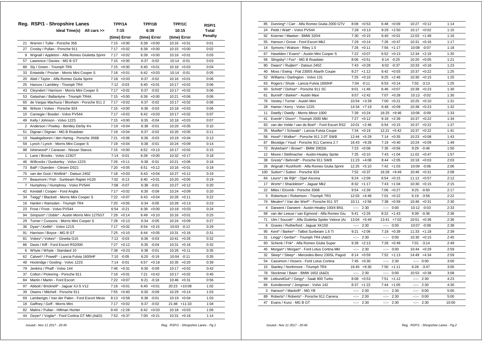|                | Reg. RSP/1 - Shropshire Lanes                    | TPP/1A          | TPP/1B          | TPP/1C           | RSP/1          |
|----------------|--------------------------------------------------|-----------------|-----------------|------------------|----------------|
|                | Ideal Time(s) All cars >>                        | 7:15            | 6:39            | 10:15            | <b>Total</b>   |
|                |                                                  | (time) Error    | (time) Error    | (time) Error     | <b>Penalty</b> |
| 21             | Warren / Tullie - Porsche 356                    | $7:15 + 0:00$   | $6:39 + 0:00$   | $10:16 + 0:01$   | 0:01           |
| 27             | Crosby / Pullan - Porsche 911                    | 7:17<br>$+0:02$ | 6:39<br>$+0:00$ | $10:15 + 0:00$   | 0:02           |
| 9              | Wignall / Appleton - Alfa Romeo Giulietta Sprint | 7:17<br>$+0:02$ | 6:39<br>$+0:00$ | $10:16 + 0:01$   | 0:03           |
| 57             | Lawrence / Davies - MG B GT                      | $7:15 + 0:00$   | 6:37<br>$-0:02$ | 10:14 -0:01      | 0:03           |
| 88             | Sly / Green - Triumph TR6                        | $7:15 + 0:00$   | 6:40<br>$+0:01$ | $10:18 + 0:03$   | 0:04           |
| 33             | Entwistle / Procter - Morris Mini Cooper S       | 7:16<br>$+0:01$ | 6:42<br>$+0:03$ | 10:14 -0:01      | 0:05           |
| 20             | Abel / Taylor - Alfa Romeo Giulia Sprint         | 7:18<br>$+0:03$ | $-0:02$<br>6:37 | $10:16 + 0:01$   | 0:06           |
| 25             | Hancox / Lambley - Triumph TR4                   | 7:12<br>$-0:03$ | 6:40<br>$+0:01$ | $10:17 + 0:02$   | 0:06           |
| 43             | Cleyndert / Harrison - Morris Mini Cooper S      | $7:17 + 0:02$   | 6:37<br>$-0:02$ | $10:17 + 0:02$   | 0:06           |
| 53             | Galashan / Ballantyne - Triumph TR4A             | $7:15 + 0:00$   | 6:39<br>$+0:00$ | 10:21<br>$+0:06$ | 0:06           |
| 65             | de Vargas Machuca / Bloxham - Porsche 911 2      | $7:17 + 0:02$   | 6:37<br>$-0:02$ | $10:17 + 0:02$   | 0:06           |
| 96             | Wilson / Vokes - Porsche 924                     | $7:15 + 0:00$   | 6:36<br>$-0:03$ | $10:18 + 0:03$   | 0:06           |
| 10             | Carnegie / Bosdet - Volvo PV544                  | $7:17 + 0:02$   | 6:42<br>$+0:03$ | $10:17 + 0:02$   | 0:07           |
| 49             | Kelly / Johnson - Volvo 122S                     | $7:15 + 0:00$   | $-0:04$<br>6:35 | $10:18 + 0:03$   | 0:07           |
| $\overline{2}$ | Anderson / Powley - Bentley Derby 41/4           | $7:19 + 0:04$   | $-0:01$<br>6:38 | $10:20 + 0:05$   | 0:10           |
| 51             | Dignan / Dignan - MG B Roadster                  | $7:19 + 0:04$   | 6:37<br>$-0:02$ | $10:20 + 0:05$   | 0:11           |
| 19             | Naaktgeboren / den Hartog - Porsche 356B         | 7:21<br>$+0:06$ | 6:36<br>$-0:03$ | $10:19 + 0:04$   | 0:13           |
| 59             | Lynch / Lynch - Morris Mini Cooper S             | 7:19<br>$+0:04$ | 6:38<br>$-0:01$ | $10:24 +0:09$    | 0:14           |
| 98             | Isherwood* / Canavan - Nissan Stanza             | 7:15<br>$+0:00$ | 6:52<br>$+0:13$ | 10:17<br>$+0:02$ | 0:15           |
| 1              | Lane / Brooks - Volvo 123GT                      | 7:14 -0:01      | 6:39<br>$+0:00$ | 10:32<br>$+0:17$ | 0:18           |
| 46             | Willcocks / Dunkerley - Volvo 122S               | 7:26<br>$+0:11$ | 6:38<br>$-0:01$ | 10:21<br>$+0:06$ | 0:18           |
| 73             | Ball* / Duerden - Citroen DS21                   | 7:20<br>$+0:05$ | 6:51<br>$+0:12$ | $10:16 + 0:01$   | 0:18           |
| 75             | van der Goot / Wellink* - Datsun 240Z            | 7:18<br>$+0:03$ | 6:43<br>$+0:04$ | 10:27<br>$+0:12$ | 0:19           |
| 77             | Beaumont / Fish - Sunbeam Rapier H120            | 7:02 -0:13      | 6:40<br>$+0:01$ | $10:20 + 0:05$   | 0:19           |
| 7              | Humphrey / Humphrey - Volvo PV544                | 7:08 -0:07      | 6:38<br>$-0:01$ | 10:27<br>$+0:12$ | 0:20           |
| 42             | Kendall / Cooper - Ford Anglia                   | 7:17<br>$+0:02$ | 6:30<br>$-0:09$ | $10:24 +0:09$    | 0:20           |
| 34             | Twigg* / Blackett - Morris Mini Cooper S         | 7:22<br>$+0:07$ | 6:43<br>$+0:04$ | 10:26<br>$+0:11$ | 0:22           |
| 16             | Hankin / Ramsden - Triumph TR4                   | 7:20<br>$+0:05$ | 6:34<br>$-0:05$ | 10:28<br>$+0:13$ | 0:23           |
| 23             | Frost / Frost - Volvo PV544                      | 6:54<br>$-0:21$ | 6:39<br>$+0:00$ | 10:18<br>$+0:03$ | 0:24           |
| 94             | Simpson* / Doble* - Austin Morris Mini 1275GT    | $+0:14$<br>7:29 | 6:49<br>$+0:10$ | 10:16<br>$+0:01$ | 0:25           |
| 29             | Turner / Cussons - Morris Mini Cooper S          | 7:28<br>$+0:13$ | 6:34<br>$-0:05$ | 10:24<br>$+0:09$ | 0:27           |
| 36             | Dyas* / Kellitt* - Volvo 121S                    | 7:17<br>$+0:02$ | 6:54<br>$+0:15$ | 10:03 -0:12      | 0:29           |
| 91             | Harrison / Boyce - MG B GT                       | 7:25<br>$+0:10$ | 6:44<br>$+0:05$ | 10:31<br>$+0:16$ | 0:31           |
| 81             | Vokes* / Vokes* - Ginetta G15                    | 7:12<br>$-0:03$ | 6:36<br>$-0:03$ | 10:41<br>$+0:26$ | 0:32           |
| 86             | Davis / Kiff - Ford Escort RS2000                | 7:27<br>$+0:12$ | 6:35<br>$-0:04$ | 10:31<br>$+0:16$ | 0:32           |
| 6              | Whyte / Whyte - Standard 10                      | 7:38<br>$+0:23$ | 6:38<br>$-0:01$ | 10:26<br>$+0:11$ | 0:35           |
| 62             | Calvert* / Powell* - Lancia Fulvia 1600HF        | 7:10<br>$-0:05$ | 6:20<br>$-0:19$ | 10:04<br>$-0:11$ | 0:35           |
| 48             | Hockridge / Gosling - Volvo 122S                 | 7:14<br>$-0:01$ | 6:57<br>$+0:18$ | $10:35 + 0:20$   | 0:39           |
| 79             | Jenkins / Phaff - Volvo 144                      | $7:46 + 0:31$   | $6:30 -0:09$    | $10:17 + 0:02$   | 0:42           |
| 37             | Colton / Pickering - Porsche 911                 | $7:16 + 0:01$   | 7:21<br>$+0:42$ | $10:17 + 0:02$   | 0:45           |
| 84             | Martin / Martin - Ford Escort                    | $7:22 +0:07$    | 6:21<br>$-0:18$ | $10:46 + 0:31$   | 0:56           |
| 97             | Abbott / Bricknell* - Jaguar XJ-S V12            | $7:16 + 0:01$   | 6:40<br>$+0:01$ | 20:23 +10:08     | 1:02           |
| 39             | Owens / Mitchell - Porsche 911                   | 7:55<br>$+0:40$ | 6:30<br>$-0:09$ | $10:29 + 0:14$   | 1:03           |
| 69             | Lamberigts / Van der Palen - Ford Escort Mexic   | $8:13 + 0:58$   | 6:38<br>$-0:01$ | $10:19 + 0:04$   | 1:03           |
| 18             | Gaffney / Goff - Morris Mini                     | $+0:02$<br>7:17 | $-0:02$<br>6:37 | 21:48 +11:33     | 1:04           |
| 82             | Malins / Pullan - Hillman Hunter                 | $9:43 +2:28$    | 6:42<br>$+0:03$ | $10:18 + 0:03$   | 1:06           |
| 44             | Geyer* / Voglar* - Ford Cortina GT MkI (A&D)     | $7:52 +0:37$    | $7:00 +0:21$    | 10:31<br>$+0:16$ | 1:14           |

| 24<br>Pettit / Watt* - Volvo PV544<br>7:28<br>$+0:13$<br>9:29<br>$+2:50$<br>$+0:02$<br>1:15<br>10:17<br>$7:30 +0:15$<br>1:16<br>92<br>Koerner / Maeker - BMW 320/4<br>$6:40 + 0:01$<br>$12:03 +1:48$<br>Hanson / Grove - Ford Escort Mk2<br>7:29<br>$+0:14$<br>$7:26 +0:47$<br>1:17<br>55<br>10:31<br>$+0:16$<br>14<br>7:56<br>$+1:17$<br>1:18<br>Symons / Watson - Riley 1.5<br>$7:26$ +0:11<br>10:08<br>$-0:07$<br>67<br>Haselden / Evans* - Austin Mini Cooper S<br>$7:22 +0:07$<br>$6:52 +0:13$<br>12:34 +2:19<br>1:20<br>56<br>Slingsby* / Fox* - MG B Roadster<br>$8:06 + 0:51$<br>6:14<br>$-0:25$<br>$10:20 + 0:05$<br>1:21<br>1:23<br>80<br>$7:43 +0:28$<br>$6:02 -0:37$<br>$10:33 + 0:18$<br>Dwars* / Ruijten* - Datsun 240Z<br>40<br>1:25<br>Moss / Ewing - Fiat 2300S Abarth Coupe<br>$8:27 +1:12$<br>6:42<br>$+0:03$<br>$+0:22$<br>10:37<br>1:25<br>52<br>Williams / Darlington - Volvo 131<br>7:25<br>$+0:10$<br>9:25<br>$+2:46$<br>10:30<br>$+0:15$<br>63<br>Rogers / Shute - Lancia Fulvia 1600HF<br>7:04<br>$-0:11$<br>6:53<br>$+0:14$<br>7:02<br>$-3:13$<br>1:25<br>1:30<br>93<br>Schott* / Dohse* - Porsche 911 SC<br>9:01<br>$+1:46$<br>6:46<br>$+0:07$<br>10:38<br>$+0:23$<br>61<br>Burrell* / Barker* - Austin Maxi<br>9:57<br>$+2:42$<br>7:07<br>$+0:28$<br>10:13 -0:02<br>1:30<br>1:31<br>76<br>$10:54 +3:39$<br>7:00<br>$+0:21$<br>$10:25 + 0:10$<br>Vestey / Turner - Austin Mini<br>28<br>14:34<br>$+7:19$<br>$+0:09$<br>10:38<br>1:32<br>Hamer / Kerry - Volvo 122S<br>6:48<br>$+0:23$<br>11<br>1:33<br>Dwelly / Dwelly - Morris Minor 1000<br>7:39<br>$+0:24$<br>16:25<br>$+9:46$<br>10:06 -0:09<br>41<br>1:34<br>Everitt* / Dixon* - Triumph 2000 Mkl<br>7:27<br>$+0:12$<br>$9:18 + 2:39$<br>10:37<br>$+0:22$<br>1:37<br>83<br>van der Velde / van de Boel* - Ford Escort RS2<br>10:01<br>$+2:46$<br>6:54<br>$+0:15$<br>10:37<br>$+0:22$<br>1:41<br>35<br>Mueller* / Schwab* - Lancia Fulvia Coupe<br>$7:34 +0:19$<br>12:21 +5:42<br>$10:37 + 0:22$<br>Hood* / Walker* - Porsche 911 2.0T SWB<br>12:44<br>$+5:29$<br>7:14<br>$+0:35$<br>10:23<br>1:43<br>58<br>$+0:08$<br>16:43 +9:28<br>7:19<br>1:49<br>87<br>Bloxidge / Youd - Porsche 911 Carrera 2.7<br>$+0:40$<br>10:24<br>$+0:09$<br>72<br>Wykeham* / Brown* - BMW 2002tii<br>$7:23 +0:08$<br>7:35<br>$+0:56$<br>9:29<br>1:50<br>$-0:46$<br>$+0:10$<br>7:43<br>$+1:04$<br>1:57<br>$12 \overline{ }$<br>Moore / Stellmacher - Austin-Healey Sprite<br>7:25<br>$11:02 +0:47$<br>38<br>Gresly* / Behrndt* - Porsche 911 SWB<br>$11:23 +4:08$<br>8:44<br>$+2:05$<br>$10:18 + 0:03$<br>2:03<br>26<br>Wignall / Rushforth - Alfa Romeo Giulia Sprint<br>$12:25 + 5:10$<br>7:42<br>$+1:03$<br>2:06<br>10:09<br>$-0:06$<br>100<br>$7:52 +0:37$<br>16:28<br>$+9:49$<br>2:08<br>Sutton* / Sutton - Porsche 924<br>10:46<br>$+0:31$<br>64<br>Leurs* / de Rijk* - Opel Ascona<br>$9:24 +2:09$<br>$6:54 +0:15$<br>$11:12 +0:57$<br>2:12<br>2:15<br>17<br>Worts* / Shackleton* - Jaguar Mk2<br>$8:32 +1:17$<br>$7:43 +1:04$<br>$10:30 + 0:15$<br>22<br>Miles / Elcomb - Porsche 356B<br>9:54<br>$+2:39$<br>$7:06 + 0:27$<br>9:25<br>$-0:50$<br>2:17<br>2:22<br>5<br>$12:03 +4:48$<br>Robertson / Robertson - Triumph TR3<br>7:01<br>$+0:22$<br>6:19<br>$-3:56$<br>74<br>Meulen* / Van der Werf* - Porsche 911 ST<br>7:38<br>2:30<br>10:11<br>$+2:56$<br>$+0:59$<br>10:46<br>$+0:31$<br>2:33<br>4<br>Darwent / Darwent - Austin-Healey 100/4 BN1<br>--:--<br>2:30<br>--:--<br>0:00<br>10:12 -0:03<br>van der Leeuw / van Egmond - Alfa Romeo Giu<br>9:39<br>2:36<br>68<br>9:41<br>$+2:26$<br>8:22<br>$+1:43$<br>$-0:36$<br>2:36<br>71<br>Ulm / Soucek* - Alfa Giulietta Spider Veloce (Al<br>13:04<br>$+5:49$<br>13:41<br>$+7:02$<br>10:51<br>$+0:36$<br>2:38<br>2:30<br>$-1$<br>0:00<br>10:07<br>$-0:08$<br>8<br>Graves / Rutherford - Jaguar XK150<br>$\frac{1}{2} \left( \frac{1}{2} \right) \left( \frac{1}{2} \right) \left( \frac{1}{2} \right) \left( \frac{1}{2} \right) \left( \frac{1}{2} \right) \left( \frac{1}{2} \right) \left( \frac{1}{2} \right) \left( \frac{1}{2} \right) \left( \frac{1}{2} \right) \left( \frac{1}{2} \right) \left( \frac{1}{2} \right) \left( \frac{1}{2} \right) \left( \frac{1}{2} \right) \left( \frac{1}{2} \right) \left( \frac{1}{2} \right) \left( \frac{1}{2} \right) \left( \frac$<br>95<br>$+2:06$<br>7:18<br>$+0:39$<br>$+1:18$<br>2:39<br>Kent* / Barker* - Talbot Sunbeam 1.6 Ti<br>9:21<br>11:33<br>31<br>2:30<br>0:00<br>2:45<br>Lingg* / Gerber* - Triumph TR4 (A&D)<br>----<br>----<br>10:30<br>$+0:15$<br>Schenk / Frik* - Alfa Romeo Giulia Super<br>$+0:49$<br>7:01<br>$-3:14$<br>2:49<br>60<br>9:28<br>$+2:13$<br>7:28<br>2:59<br>45<br>Morgan* / Morgan* - Ford Lotus Cortina MkI<br>$-2 - 2 - 1$<br>2:30<br>--:--<br>0:00<br>10:44<br>$+0:29$ | 85 | Dunning* / Carr - Alfa Romeo Giulia 2000 GTV | 8:08 | $+0:53$ | 6:48 | $+0:09$ | $10:27 + 0:12$ | 1:14 |
|---------------------------------------------------------------------------------------------------------------------------------------------------------------------------------------------------------------------------------------------------------------------------------------------------------------------------------------------------------------------------------------------------------------------------------------------------------------------------------------------------------------------------------------------------------------------------------------------------------------------------------------------------------------------------------------------------------------------------------------------------------------------------------------------------------------------------------------------------------------------------------------------------------------------------------------------------------------------------------------------------------------------------------------------------------------------------------------------------------------------------------------------------------------------------------------------------------------------------------------------------------------------------------------------------------------------------------------------------------------------------------------------------------------------------------------------------------------------------------------------------------------------------------------------------------------------------------------------------------------------------------------------------------------------------------------------------------------------------------------------------------------------------------------------------------------------------------------------------------------------------------------------------------------------------------------------------------------------------------------------------------------------------------------------------------------------------------------------------------------------------------------------------------------------------------------------------------------------------------------------------------------------------------------------------------------------------------------------------------------------------------------------------------------------------------------------------------------------------------------------------------------------------------------------------------------------------------------------------------------------------------------------------------------------------------------------------------------------------------------------------------------------------------------------------------------------------------------------------------------------------------------------------------------------------------------------------------------------------------------------------------------------------------------------------------------------------------------------------------------------------------------------------------------------------------------------------------------------------------------------------------------------------------------------------------------------------------------------------------------------------------------------------------------------------------------------------------------------------------------------------------------------------------------------------------------------------------------------------------------------------------------------------------------------------------------------------------------------------------------------------------------------------------------------------------------------------------------------------------------------------------------------------------------------------------------------------------------------------------------------------------------------------------------------------------------------------------------------------------------------------------------------------------------------------------------------------------------------------------------------------------------------------------------------------------------------------------------------------------------------------------------------------------------------------------------------------------------------------------------------------------------------------------------------------------------------------------------------------------------------------------------------------------------------------------------------------------------------------------------------------------------------------------|----|----------------------------------------------|------|---------|------|---------|----------------|------|
|                                                                                                                                                                                                                                                                                                                                                                                                                                                                                                                                                                                                                                                                                                                                                                                                                                                                                                                                                                                                                                                                                                                                                                                                                                                                                                                                                                                                                                                                                                                                                                                                                                                                                                                                                                                                                                                                                                                                                                                                                                                                                                                                                                                                                                                                                                                                                                                                                                                                                                                                                                                                                                                                                                                                                                                                                                                                                                                                                                                                                                                                                                                                                                                                                                                                                                                                                                                                                                                                                                                                                                                                                                                                                                                                                                                                                                                                                                                                                                                                                                                                                                                                                                                                                                                                                                                                                                                                                                                                                                                                                                                                                                                                                                                                                                                 |    |                                              |      |         |      |         |                |      |
|                                                                                                                                                                                                                                                                                                                                                                                                                                                                                                                                                                                                                                                                                                                                                                                                                                                                                                                                                                                                                                                                                                                                                                                                                                                                                                                                                                                                                                                                                                                                                                                                                                                                                                                                                                                                                                                                                                                                                                                                                                                                                                                                                                                                                                                                                                                                                                                                                                                                                                                                                                                                                                                                                                                                                                                                                                                                                                                                                                                                                                                                                                                                                                                                                                                                                                                                                                                                                                                                                                                                                                                                                                                                                                                                                                                                                                                                                                                                                                                                                                                                                                                                                                                                                                                                                                                                                                                                                                                                                                                                                                                                                                                                                                                                                                                 |    |                                              |      |         |      |         |                |      |
|                                                                                                                                                                                                                                                                                                                                                                                                                                                                                                                                                                                                                                                                                                                                                                                                                                                                                                                                                                                                                                                                                                                                                                                                                                                                                                                                                                                                                                                                                                                                                                                                                                                                                                                                                                                                                                                                                                                                                                                                                                                                                                                                                                                                                                                                                                                                                                                                                                                                                                                                                                                                                                                                                                                                                                                                                                                                                                                                                                                                                                                                                                                                                                                                                                                                                                                                                                                                                                                                                                                                                                                                                                                                                                                                                                                                                                                                                                                                                                                                                                                                                                                                                                                                                                                                                                                                                                                                                                                                                                                                                                                                                                                                                                                                                                                 |    |                                              |      |         |      |         |                |      |
|                                                                                                                                                                                                                                                                                                                                                                                                                                                                                                                                                                                                                                                                                                                                                                                                                                                                                                                                                                                                                                                                                                                                                                                                                                                                                                                                                                                                                                                                                                                                                                                                                                                                                                                                                                                                                                                                                                                                                                                                                                                                                                                                                                                                                                                                                                                                                                                                                                                                                                                                                                                                                                                                                                                                                                                                                                                                                                                                                                                                                                                                                                                                                                                                                                                                                                                                                                                                                                                                                                                                                                                                                                                                                                                                                                                                                                                                                                                                                                                                                                                                                                                                                                                                                                                                                                                                                                                                                                                                                                                                                                                                                                                                                                                                                                                 |    |                                              |      |         |      |         |                |      |
|                                                                                                                                                                                                                                                                                                                                                                                                                                                                                                                                                                                                                                                                                                                                                                                                                                                                                                                                                                                                                                                                                                                                                                                                                                                                                                                                                                                                                                                                                                                                                                                                                                                                                                                                                                                                                                                                                                                                                                                                                                                                                                                                                                                                                                                                                                                                                                                                                                                                                                                                                                                                                                                                                                                                                                                                                                                                                                                                                                                                                                                                                                                                                                                                                                                                                                                                                                                                                                                                                                                                                                                                                                                                                                                                                                                                                                                                                                                                                                                                                                                                                                                                                                                                                                                                                                                                                                                                                                                                                                                                                                                                                                                                                                                                                                                 |    |                                              |      |         |      |         |                |      |
|                                                                                                                                                                                                                                                                                                                                                                                                                                                                                                                                                                                                                                                                                                                                                                                                                                                                                                                                                                                                                                                                                                                                                                                                                                                                                                                                                                                                                                                                                                                                                                                                                                                                                                                                                                                                                                                                                                                                                                                                                                                                                                                                                                                                                                                                                                                                                                                                                                                                                                                                                                                                                                                                                                                                                                                                                                                                                                                                                                                                                                                                                                                                                                                                                                                                                                                                                                                                                                                                                                                                                                                                                                                                                                                                                                                                                                                                                                                                                                                                                                                                                                                                                                                                                                                                                                                                                                                                                                                                                                                                                                                                                                                                                                                                                                                 |    |                                              |      |         |      |         |                |      |
|                                                                                                                                                                                                                                                                                                                                                                                                                                                                                                                                                                                                                                                                                                                                                                                                                                                                                                                                                                                                                                                                                                                                                                                                                                                                                                                                                                                                                                                                                                                                                                                                                                                                                                                                                                                                                                                                                                                                                                                                                                                                                                                                                                                                                                                                                                                                                                                                                                                                                                                                                                                                                                                                                                                                                                                                                                                                                                                                                                                                                                                                                                                                                                                                                                                                                                                                                                                                                                                                                                                                                                                                                                                                                                                                                                                                                                                                                                                                                                                                                                                                                                                                                                                                                                                                                                                                                                                                                                                                                                                                                                                                                                                                                                                                                                                 |    |                                              |      |         |      |         |                |      |
|                                                                                                                                                                                                                                                                                                                                                                                                                                                                                                                                                                                                                                                                                                                                                                                                                                                                                                                                                                                                                                                                                                                                                                                                                                                                                                                                                                                                                                                                                                                                                                                                                                                                                                                                                                                                                                                                                                                                                                                                                                                                                                                                                                                                                                                                                                                                                                                                                                                                                                                                                                                                                                                                                                                                                                                                                                                                                                                                                                                                                                                                                                                                                                                                                                                                                                                                                                                                                                                                                                                                                                                                                                                                                                                                                                                                                                                                                                                                                                                                                                                                                                                                                                                                                                                                                                                                                                                                                                                                                                                                                                                                                                                                                                                                                                                 |    |                                              |      |         |      |         |                |      |
|                                                                                                                                                                                                                                                                                                                                                                                                                                                                                                                                                                                                                                                                                                                                                                                                                                                                                                                                                                                                                                                                                                                                                                                                                                                                                                                                                                                                                                                                                                                                                                                                                                                                                                                                                                                                                                                                                                                                                                                                                                                                                                                                                                                                                                                                                                                                                                                                                                                                                                                                                                                                                                                                                                                                                                                                                                                                                                                                                                                                                                                                                                                                                                                                                                                                                                                                                                                                                                                                                                                                                                                                                                                                                                                                                                                                                                                                                                                                                                                                                                                                                                                                                                                                                                                                                                                                                                                                                                                                                                                                                                                                                                                                                                                                                                                 |    |                                              |      |         |      |         |                |      |
|                                                                                                                                                                                                                                                                                                                                                                                                                                                                                                                                                                                                                                                                                                                                                                                                                                                                                                                                                                                                                                                                                                                                                                                                                                                                                                                                                                                                                                                                                                                                                                                                                                                                                                                                                                                                                                                                                                                                                                                                                                                                                                                                                                                                                                                                                                                                                                                                                                                                                                                                                                                                                                                                                                                                                                                                                                                                                                                                                                                                                                                                                                                                                                                                                                                                                                                                                                                                                                                                                                                                                                                                                                                                                                                                                                                                                                                                                                                                                                                                                                                                                                                                                                                                                                                                                                                                                                                                                                                                                                                                                                                                                                                                                                                                                                                 |    |                                              |      |         |      |         |                |      |
|                                                                                                                                                                                                                                                                                                                                                                                                                                                                                                                                                                                                                                                                                                                                                                                                                                                                                                                                                                                                                                                                                                                                                                                                                                                                                                                                                                                                                                                                                                                                                                                                                                                                                                                                                                                                                                                                                                                                                                                                                                                                                                                                                                                                                                                                                                                                                                                                                                                                                                                                                                                                                                                                                                                                                                                                                                                                                                                                                                                                                                                                                                                                                                                                                                                                                                                                                                                                                                                                                                                                                                                                                                                                                                                                                                                                                                                                                                                                                                                                                                                                                                                                                                                                                                                                                                                                                                                                                                                                                                                                                                                                                                                                                                                                                                                 |    |                                              |      |         |      |         |                |      |
|                                                                                                                                                                                                                                                                                                                                                                                                                                                                                                                                                                                                                                                                                                                                                                                                                                                                                                                                                                                                                                                                                                                                                                                                                                                                                                                                                                                                                                                                                                                                                                                                                                                                                                                                                                                                                                                                                                                                                                                                                                                                                                                                                                                                                                                                                                                                                                                                                                                                                                                                                                                                                                                                                                                                                                                                                                                                                                                                                                                                                                                                                                                                                                                                                                                                                                                                                                                                                                                                                                                                                                                                                                                                                                                                                                                                                                                                                                                                                                                                                                                                                                                                                                                                                                                                                                                                                                                                                                                                                                                                                                                                                                                                                                                                                                                 |    |                                              |      |         |      |         |                |      |
|                                                                                                                                                                                                                                                                                                                                                                                                                                                                                                                                                                                                                                                                                                                                                                                                                                                                                                                                                                                                                                                                                                                                                                                                                                                                                                                                                                                                                                                                                                                                                                                                                                                                                                                                                                                                                                                                                                                                                                                                                                                                                                                                                                                                                                                                                                                                                                                                                                                                                                                                                                                                                                                                                                                                                                                                                                                                                                                                                                                                                                                                                                                                                                                                                                                                                                                                                                                                                                                                                                                                                                                                                                                                                                                                                                                                                                                                                                                                                                                                                                                                                                                                                                                                                                                                                                                                                                                                                                                                                                                                                                                                                                                                                                                                                                                 |    |                                              |      |         |      |         |                |      |
|                                                                                                                                                                                                                                                                                                                                                                                                                                                                                                                                                                                                                                                                                                                                                                                                                                                                                                                                                                                                                                                                                                                                                                                                                                                                                                                                                                                                                                                                                                                                                                                                                                                                                                                                                                                                                                                                                                                                                                                                                                                                                                                                                                                                                                                                                                                                                                                                                                                                                                                                                                                                                                                                                                                                                                                                                                                                                                                                                                                                                                                                                                                                                                                                                                                                                                                                                                                                                                                                                                                                                                                                                                                                                                                                                                                                                                                                                                                                                                                                                                                                                                                                                                                                                                                                                                                                                                                                                                                                                                                                                                                                                                                                                                                                                                                 |    |                                              |      |         |      |         |                |      |
|                                                                                                                                                                                                                                                                                                                                                                                                                                                                                                                                                                                                                                                                                                                                                                                                                                                                                                                                                                                                                                                                                                                                                                                                                                                                                                                                                                                                                                                                                                                                                                                                                                                                                                                                                                                                                                                                                                                                                                                                                                                                                                                                                                                                                                                                                                                                                                                                                                                                                                                                                                                                                                                                                                                                                                                                                                                                                                                                                                                                                                                                                                                                                                                                                                                                                                                                                                                                                                                                                                                                                                                                                                                                                                                                                                                                                                                                                                                                                                                                                                                                                                                                                                                                                                                                                                                                                                                                                                                                                                                                                                                                                                                                                                                                                                                 |    |                                              |      |         |      |         |                |      |
|                                                                                                                                                                                                                                                                                                                                                                                                                                                                                                                                                                                                                                                                                                                                                                                                                                                                                                                                                                                                                                                                                                                                                                                                                                                                                                                                                                                                                                                                                                                                                                                                                                                                                                                                                                                                                                                                                                                                                                                                                                                                                                                                                                                                                                                                                                                                                                                                                                                                                                                                                                                                                                                                                                                                                                                                                                                                                                                                                                                                                                                                                                                                                                                                                                                                                                                                                                                                                                                                                                                                                                                                                                                                                                                                                                                                                                                                                                                                                                                                                                                                                                                                                                                                                                                                                                                                                                                                                                                                                                                                                                                                                                                                                                                                                                                 |    |                                              |      |         |      |         |                |      |
|                                                                                                                                                                                                                                                                                                                                                                                                                                                                                                                                                                                                                                                                                                                                                                                                                                                                                                                                                                                                                                                                                                                                                                                                                                                                                                                                                                                                                                                                                                                                                                                                                                                                                                                                                                                                                                                                                                                                                                                                                                                                                                                                                                                                                                                                                                                                                                                                                                                                                                                                                                                                                                                                                                                                                                                                                                                                                                                                                                                                                                                                                                                                                                                                                                                                                                                                                                                                                                                                                                                                                                                                                                                                                                                                                                                                                                                                                                                                                                                                                                                                                                                                                                                                                                                                                                                                                                                                                                                                                                                                                                                                                                                                                                                                                                                 |    |                                              |      |         |      |         |                |      |
|                                                                                                                                                                                                                                                                                                                                                                                                                                                                                                                                                                                                                                                                                                                                                                                                                                                                                                                                                                                                                                                                                                                                                                                                                                                                                                                                                                                                                                                                                                                                                                                                                                                                                                                                                                                                                                                                                                                                                                                                                                                                                                                                                                                                                                                                                                                                                                                                                                                                                                                                                                                                                                                                                                                                                                                                                                                                                                                                                                                                                                                                                                                                                                                                                                                                                                                                                                                                                                                                                                                                                                                                                                                                                                                                                                                                                                                                                                                                                                                                                                                                                                                                                                                                                                                                                                                                                                                                                                                                                                                                                                                                                                                                                                                                                                                 |    |                                              |      |         |      |         |                |      |
|                                                                                                                                                                                                                                                                                                                                                                                                                                                                                                                                                                                                                                                                                                                                                                                                                                                                                                                                                                                                                                                                                                                                                                                                                                                                                                                                                                                                                                                                                                                                                                                                                                                                                                                                                                                                                                                                                                                                                                                                                                                                                                                                                                                                                                                                                                                                                                                                                                                                                                                                                                                                                                                                                                                                                                                                                                                                                                                                                                                                                                                                                                                                                                                                                                                                                                                                                                                                                                                                                                                                                                                                                                                                                                                                                                                                                                                                                                                                                                                                                                                                                                                                                                                                                                                                                                                                                                                                                                                                                                                                                                                                                                                                                                                                                                                 |    |                                              |      |         |      |         |                |      |
|                                                                                                                                                                                                                                                                                                                                                                                                                                                                                                                                                                                                                                                                                                                                                                                                                                                                                                                                                                                                                                                                                                                                                                                                                                                                                                                                                                                                                                                                                                                                                                                                                                                                                                                                                                                                                                                                                                                                                                                                                                                                                                                                                                                                                                                                                                                                                                                                                                                                                                                                                                                                                                                                                                                                                                                                                                                                                                                                                                                                                                                                                                                                                                                                                                                                                                                                                                                                                                                                                                                                                                                                                                                                                                                                                                                                                                                                                                                                                                                                                                                                                                                                                                                                                                                                                                                                                                                                                                                                                                                                                                                                                                                                                                                                                                                 |    |                                              |      |         |      |         |                |      |
|                                                                                                                                                                                                                                                                                                                                                                                                                                                                                                                                                                                                                                                                                                                                                                                                                                                                                                                                                                                                                                                                                                                                                                                                                                                                                                                                                                                                                                                                                                                                                                                                                                                                                                                                                                                                                                                                                                                                                                                                                                                                                                                                                                                                                                                                                                                                                                                                                                                                                                                                                                                                                                                                                                                                                                                                                                                                                                                                                                                                                                                                                                                                                                                                                                                                                                                                                                                                                                                                                                                                                                                                                                                                                                                                                                                                                                                                                                                                                                                                                                                                                                                                                                                                                                                                                                                                                                                                                                                                                                                                                                                                                                                                                                                                                                                 |    |                                              |      |         |      |         |                |      |
|                                                                                                                                                                                                                                                                                                                                                                                                                                                                                                                                                                                                                                                                                                                                                                                                                                                                                                                                                                                                                                                                                                                                                                                                                                                                                                                                                                                                                                                                                                                                                                                                                                                                                                                                                                                                                                                                                                                                                                                                                                                                                                                                                                                                                                                                                                                                                                                                                                                                                                                                                                                                                                                                                                                                                                                                                                                                                                                                                                                                                                                                                                                                                                                                                                                                                                                                                                                                                                                                                                                                                                                                                                                                                                                                                                                                                                                                                                                                                                                                                                                                                                                                                                                                                                                                                                                                                                                                                                                                                                                                                                                                                                                                                                                                                                                 |    |                                              |      |         |      |         |                |      |
|                                                                                                                                                                                                                                                                                                                                                                                                                                                                                                                                                                                                                                                                                                                                                                                                                                                                                                                                                                                                                                                                                                                                                                                                                                                                                                                                                                                                                                                                                                                                                                                                                                                                                                                                                                                                                                                                                                                                                                                                                                                                                                                                                                                                                                                                                                                                                                                                                                                                                                                                                                                                                                                                                                                                                                                                                                                                                                                                                                                                                                                                                                                                                                                                                                                                                                                                                                                                                                                                                                                                                                                                                                                                                                                                                                                                                                                                                                                                                                                                                                                                                                                                                                                                                                                                                                                                                                                                                                                                                                                                                                                                                                                                                                                                                                                 |    |                                              |      |         |      |         |                |      |
|                                                                                                                                                                                                                                                                                                                                                                                                                                                                                                                                                                                                                                                                                                                                                                                                                                                                                                                                                                                                                                                                                                                                                                                                                                                                                                                                                                                                                                                                                                                                                                                                                                                                                                                                                                                                                                                                                                                                                                                                                                                                                                                                                                                                                                                                                                                                                                                                                                                                                                                                                                                                                                                                                                                                                                                                                                                                                                                                                                                                                                                                                                                                                                                                                                                                                                                                                                                                                                                                                                                                                                                                                                                                                                                                                                                                                                                                                                                                                                                                                                                                                                                                                                                                                                                                                                                                                                                                                                                                                                                                                                                                                                                                                                                                                                                 |    |                                              |      |         |      |         |                |      |
|                                                                                                                                                                                                                                                                                                                                                                                                                                                                                                                                                                                                                                                                                                                                                                                                                                                                                                                                                                                                                                                                                                                                                                                                                                                                                                                                                                                                                                                                                                                                                                                                                                                                                                                                                                                                                                                                                                                                                                                                                                                                                                                                                                                                                                                                                                                                                                                                                                                                                                                                                                                                                                                                                                                                                                                                                                                                                                                                                                                                                                                                                                                                                                                                                                                                                                                                                                                                                                                                                                                                                                                                                                                                                                                                                                                                                                                                                                                                                                                                                                                                                                                                                                                                                                                                                                                                                                                                                                                                                                                                                                                                                                                                                                                                                                                 |    |                                              |      |         |      |         |                |      |
|                                                                                                                                                                                                                                                                                                                                                                                                                                                                                                                                                                                                                                                                                                                                                                                                                                                                                                                                                                                                                                                                                                                                                                                                                                                                                                                                                                                                                                                                                                                                                                                                                                                                                                                                                                                                                                                                                                                                                                                                                                                                                                                                                                                                                                                                                                                                                                                                                                                                                                                                                                                                                                                                                                                                                                                                                                                                                                                                                                                                                                                                                                                                                                                                                                                                                                                                                                                                                                                                                                                                                                                                                                                                                                                                                                                                                                                                                                                                                                                                                                                                                                                                                                                                                                                                                                                                                                                                                                                                                                                                                                                                                                                                                                                                                                                 |    |                                              |      |         |      |         |                |      |
|                                                                                                                                                                                                                                                                                                                                                                                                                                                                                                                                                                                                                                                                                                                                                                                                                                                                                                                                                                                                                                                                                                                                                                                                                                                                                                                                                                                                                                                                                                                                                                                                                                                                                                                                                                                                                                                                                                                                                                                                                                                                                                                                                                                                                                                                                                                                                                                                                                                                                                                                                                                                                                                                                                                                                                                                                                                                                                                                                                                                                                                                                                                                                                                                                                                                                                                                                                                                                                                                                                                                                                                                                                                                                                                                                                                                                                                                                                                                                                                                                                                                                                                                                                                                                                                                                                                                                                                                                                                                                                                                                                                                                                                                                                                                                                                 |    |                                              |      |         |      |         |                |      |
|                                                                                                                                                                                                                                                                                                                                                                                                                                                                                                                                                                                                                                                                                                                                                                                                                                                                                                                                                                                                                                                                                                                                                                                                                                                                                                                                                                                                                                                                                                                                                                                                                                                                                                                                                                                                                                                                                                                                                                                                                                                                                                                                                                                                                                                                                                                                                                                                                                                                                                                                                                                                                                                                                                                                                                                                                                                                                                                                                                                                                                                                                                                                                                                                                                                                                                                                                                                                                                                                                                                                                                                                                                                                                                                                                                                                                                                                                                                                                                                                                                                                                                                                                                                                                                                                                                                                                                                                                                                                                                                                                                                                                                                                                                                                                                                 |    |                                              |      |         |      |         |                |      |
|                                                                                                                                                                                                                                                                                                                                                                                                                                                                                                                                                                                                                                                                                                                                                                                                                                                                                                                                                                                                                                                                                                                                                                                                                                                                                                                                                                                                                                                                                                                                                                                                                                                                                                                                                                                                                                                                                                                                                                                                                                                                                                                                                                                                                                                                                                                                                                                                                                                                                                                                                                                                                                                                                                                                                                                                                                                                                                                                                                                                                                                                                                                                                                                                                                                                                                                                                                                                                                                                                                                                                                                                                                                                                                                                                                                                                                                                                                                                                                                                                                                                                                                                                                                                                                                                                                                                                                                                                                                                                                                                                                                                                                                                                                                                                                                 |    |                                              |      |         |      |         |                |      |
|                                                                                                                                                                                                                                                                                                                                                                                                                                                                                                                                                                                                                                                                                                                                                                                                                                                                                                                                                                                                                                                                                                                                                                                                                                                                                                                                                                                                                                                                                                                                                                                                                                                                                                                                                                                                                                                                                                                                                                                                                                                                                                                                                                                                                                                                                                                                                                                                                                                                                                                                                                                                                                                                                                                                                                                                                                                                                                                                                                                                                                                                                                                                                                                                                                                                                                                                                                                                                                                                                                                                                                                                                                                                                                                                                                                                                                                                                                                                                                                                                                                                                                                                                                                                                                                                                                                                                                                                                                                                                                                                                                                                                                                                                                                                                                                 |    |                                              |      |         |      |         |                |      |
|                                                                                                                                                                                                                                                                                                                                                                                                                                                                                                                                                                                                                                                                                                                                                                                                                                                                                                                                                                                                                                                                                                                                                                                                                                                                                                                                                                                                                                                                                                                                                                                                                                                                                                                                                                                                                                                                                                                                                                                                                                                                                                                                                                                                                                                                                                                                                                                                                                                                                                                                                                                                                                                                                                                                                                                                                                                                                                                                                                                                                                                                                                                                                                                                                                                                                                                                                                                                                                                                                                                                                                                                                                                                                                                                                                                                                                                                                                                                                                                                                                                                                                                                                                                                                                                                                                                                                                                                                                                                                                                                                                                                                                                                                                                                                                                 |    |                                              |      |         |      |         |                |      |
|                                                                                                                                                                                                                                                                                                                                                                                                                                                                                                                                                                                                                                                                                                                                                                                                                                                                                                                                                                                                                                                                                                                                                                                                                                                                                                                                                                                                                                                                                                                                                                                                                                                                                                                                                                                                                                                                                                                                                                                                                                                                                                                                                                                                                                                                                                                                                                                                                                                                                                                                                                                                                                                                                                                                                                                                                                                                                                                                                                                                                                                                                                                                                                                                                                                                                                                                                                                                                                                                                                                                                                                                                                                                                                                                                                                                                                                                                                                                                                                                                                                                                                                                                                                                                                                                                                                                                                                                                                                                                                                                                                                                                                                                                                                                                                                 |    |                                              |      |         |      |         |                |      |
|                                                                                                                                                                                                                                                                                                                                                                                                                                                                                                                                                                                                                                                                                                                                                                                                                                                                                                                                                                                                                                                                                                                                                                                                                                                                                                                                                                                                                                                                                                                                                                                                                                                                                                                                                                                                                                                                                                                                                                                                                                                                                                                                                                                                                                                                                                                                                                                                                                                                                                                                                                                                                                                                                                                                                                                                                                                                                                                                                                                                                                                                                                                                                                                                                                                                                                                                                                                                                                                                                                                                                                                                                                                                                                                                                                                                                                                                                                                                                                                                                                                                                                                                                                                                                                                                                                                                                                                                                                                                                                                                                                                                                                                                                                                                                                                 |    |                                              |      |         |      |         |                |      |
|                                                                                                                                                                                                                                                                                                                                                                                                                                                                                                                                                                                                                                                                                                                                                                                                                                                                                                                                                                                                                                                                                                                                                                                                                                                                                                                                                                                                                                                                                                                                                                                                                                                                                                                                                                                                                                                                                                                                                                                                                                                                                                                                                                                                                                                                                                                                                                                                                                                                                                                                                                                                                                                                                                                                                                                                                                                                                                                                                                                                                                                                                                                                                                                                                                                                                                                                                                                                                                                                                                                                                                                                                                                                                                                                                                                                                                                                                                                                                                                                                                                                                                                                                                                                                                                                                                                                                                                                                                                                                                                                                                                                                                                                                                                                                                                 |    |                                              |      |         |      |         |                |      |
|                                                                                                                                                                                                                                                                                                                                                                                                                                                                                                                                                                                                                                                                                                                                                                                                                                                                                                                                                                                                                                                                                                                                                                                                                                                                                                                                                                                                                                                                                                                                                                                                                                                                                                                                                                                                                                                                                                                                                                                                                                                                                                                                                                                                                                                                                                                                                                                                                                                                                                                                                                                                                                                                                                                                                                                                                                                                                                                                                                                                                                                                                                                                                                                                                                                                                                                                                                                                                                                                                                                                                                                                                                                                                                                                                                                                                                                                                                                                                                                                                                                                                                                                                                                                                                                                                                                                                                                                                                                                                                                                                                                                                                                                                                                                                                                 |    |                                              |      |         |      |         |                |      |
|                                                                                                                                                                                                                                                                                                                                                                                                                                                                                                                                                                                                                                                                                                                                                                                                                                                                                                                                                                                                                                                                                                                                                                                                                                                                                                                                                                                                                                                                                                                                                                                                                                                                                                                                                                                                                                                                                                                                                                                                                                                                                                                                                                                                                                                                                                                                                                                                                                                                                                                                                                                                                                                                                                                                                                                                                                                                                                                                                                                                                                                                                                                                                                                                                                                                                                                                                                                                                                                                                                                                                                                                                                                                                                                                                                                                                                                                                                                                                                                                                                                                                                                                                                                                                                                                                                                                                                                                                                                                                                                                                                                                                                                                                                                                                                                 |    |                                              |      |         |      |         |                |      |
|                                                                                                                                                                                                                                                                                                                                                                                                                                                                                                                                                                                                                                                                                                                                                                                                                                                                                                                                                                                                                                                                                                                                                                                                                                                                                                                                                                                                                                                                                                                                                                                                                                                                                                                                                                                                                                                                                                                                                                                                                                                                                                                                                                                                                                                                                                                                                                                                                                                                                                                                                                                                                                                                                                                                                                                                                                                                                                                                                                                                                                                                                                                                                                                                                                                                                                                                                                                                                                                                                                                                                                                                                                                                                                                                                                                                                                                                                                                                                                                                                                                                                                                                                                                                                                                                                                                                                                                                                                                                                                                                                                                                                                                                                                                                                                                 |    |                                              |      |         |      |         |                |      |
|                                                                                                                                                                                                                                                                                                                                                                                                                                                                                                                                                                                                                                                                                                                                                                                                                                                                                                                                                                                                                                                                                                                                                                                                                                                                                                                                                                                                                                                                                                                                                                                                                                                                                                                                                                                                                                                                                                                                                                                                                                                                                                                                                                                                                                                                                                                                                                                                                                                                                                                                                                                                                                                                                                                                                                                                                                                                                                                                                                                                                                                                                                                                                                                                                                                                                                                                                                                                                                                                                                                                                                                                                                                                                                                                                                                                                                                                                                                                                                                                                                                                                                                                                                                                                                                                                                                                                                                                                                                                                                                                                                                                                                                                                                                                                                                 |    |                                              |      |         |      |         |                |      |
| 32<br>$+1:13$<br>$+4:34$<br>2:59<br>Sleep* / Sleep* - Mercedes-Benz 230SL Pagod<br>$8:14 + 0:59$<br>7:52<br>14:49                                                                                                                                                                                                                                                                                                                                                                                                                                                                                                                                                                                                                                                                                                                                                                                                                                                                                                                                                                                                                                                                                                                                                                                                                                                                                                                                                                                                                                                                                                                                                                                                                                                                                                                                                                                                                                                                                                                                                                                                                                                                                                                                                                                                                                                                                                                                                                                                                                                                                                                                                                                                                                                                                                                                                                                                                                                                                                                                                                                                                                                                                                                                                                                                                                                                                                                                                                                                                                                                                                                                                                                                                                                                                                                                                                                                                                                                                                                                                                                                                                                                                                                                                                                                                                                                                                                                                                                                                                                                                                                                                                                                                                                               |    |                                              |      |         |      |         |                |      |
| 2:30<br>3:00<br>54<br>$7:45 +0:30$<br>$\frac{1}{2}$<br>0:00<br>Cassimon / Vissers - Ford Lotus Cortina<br>$\sim$ 100 $\sim$                                                                                                                                                                                                                                                                                                                                                                                                                                                                                                                                                                                                                                                                                                                                                                                                                                                                                                                                                                                                                                                                                                                                                                                                                                                                                                                                                                                                                                                                                                                                                                                                                                                                                                                                                                                                                                                                                                                                                                                                                                                                                                                                                                                                                                                                                                                                                                                                                                                                                                                                                                                                                                                                                                                                                                                                                                                                                                                                                                                                                                                                                                                                                                                                                                                                                                                                                                                                                                                                                                                                                                                                                                                                                                                                                                                                                                                                                                                                                                                                                                                                                                                                                                                                                                                                                                                                                                                                                                                                                                                                                                                                                                                     |    |                                              |      |         |      |         |                |      |
| 15<br>Stanley / Northmore - Triumph TR4<br>16:45<br>$+9:30$<br>7:50<br>$+1:11$<br>6:28<br>3:00<br>$-3:47$                                                                                                                                                                                                                                                                                                                                                                                                                                                                                                                                                                                                                                                                                                                                                                                                                                                                                                                                                                                                                                                                                                                                                                                                                                                                                                                                                                                                                                                                                                                                                                                                                                                                                                                                                                                                                                                                                                                                                                                                                                                                                                                                                                                                                                                                                                                                                                                                                                                                                                                                                                                                                                                                                                                                                                                                                                                                                                                                                                                                                                                                                                                                                                                                                                                                                                                                                                                                                                                                                                                                                                                                                                                                                                                                                                                                                                                                                                                                                                                                                                                                                                                                                                                                                                                                                                                                                                                                                                                                                                                                                                                                                                                                       |    |                                              |      |         |      |         |                |      |
| 78<br>Stockmar / Baier - BMW 1602 (A&D)<br>2:30<br>0:00<br>$+0:38$<br>3:08<br>$-2 - 1$<br>--:--<br>10:53                                                                                                                                                                                                                                                                                                                                                                                                                                                                                                                                                                                                                                                                                                                                                                                                                                                                                                                                                                                                                                                                                                                                                                                                                                                                                                                                                                                                                                                                                                                                                                                                                                                                                                                                                                                                                                                                                                                                                                                                                                                                                                                                                                                                                                                                                                                                                                                                                                                                                                                                                                                                                                                                                                                                                                                                                                                                                                                                                                                                                                                                                                                                                                                                                                                                                                                                                                                                                                                                                                                                                                                                                                                                                                                                                                                                                                                                                                                                                                                                                                                                                                                                                                                                                                                                                                                                                                                                                                                                                                                                                                                                                                                                        |    |                                              |      |         |      |         |                |      |
| 99<br>LeibundGut* / Geigy* - Saab 900 Turbo<br>$+0:53$<br>7:51<br>$+1:12$<br>4:23<br>8:08<br>aagaan<br>2:30                                                                                                                                                                                                                                                                                                                                                                                                                                                                                                                                                                                                                                                                                                                                                                                                                                                                                                                                                                                                                                                                                                                                                                                                                                                                                                                                                                                                                                                                                                                                                                                                                                                                                                                                                                                                                                                                                                                                                                                                                                                                                                                                                                                                                                                                                                                                                                                                                                                                                                                                                                                                                                                                                                                                                                                                                                                                                                                                                                                                                                                                                                                                                                                                                                                                                                                                                                                                                                                                                                                                                                                                                                                                                                                                                                                                                                                                                                                                                                                                                                                                                                                                                                                                                                                                                                                                                                                                                                                                                                                                                                                                                                                                     |    |                                              |      |         |      |         |                |      |
| 4:30<br>66<br>Kuindersma* / Jongman - Volvo 142<br>$+1:22$<br>7:44<br>$+1:05$<br>2:30<br>8:37<br>--1--                                                                                                                                                                                                                                                                                                                                                                                                                                                                                                                                                                                                                                                                                                                                                                                                                                                                                                                                                                                                                                                                                                                                                                                                                                                                                                                                                                                                                                                                                                                                                                                                                                                                                                                                                                                                                                                                                                                                                                                                                                                                                                                                                                                                                                                                                                                                                                                                                                                                                                                                                                                                                                                                                                                                                                                                                                                                                                                                                                                                                                                                                                                                                                                                                                                                                                                                                                                                                                                                                                                                                                                                                                                                                                                                                                                                                                                                                                                                                                                                                                                                                                                                                                                                                                                                                                                                                                                                                                                                                                                                                                                                                                                                          |    |                                              |      |         |      |         |                |      |
| 2:30<br>2:30<br>5:00<br>3<br>Hanson* / Mackrill* - MG YB<br>$-1$<br>$\frac{1}{2} \left( \frac{1}{2} \right) + \frac{1}{2} \left( \frac{1}{2} \right) + \frac{1}{2} \left( \frac{1}{2} \right) + \frac{1}{2} \left( \frac{1}{2} \right) + \frac{1}{2} \left( \frac{1}{2} \right) + \frac{1}{2} \left( \frac{1}{2} \right) + \frac{1}{2} \left( \frac{1}{2} \right) + \frac{1}{2} \left( \frac{1}{2} \right) + \frac{1}{2} \left( \frac{1}{2} \right) + \frac{1}{2} \left( \frac{1}{2} \right) + \frac{1}{2} \left($<br>0:00<br>$-2 - 1$                                                                                                                                                                                                                                                                                                                                                                                                                                                                                                                                                                                                                                                                                                                                                                                                                                                                                                                                                                                                                                                                                                                                                                                                                                                                                                                                                                                                                                                                                                                                                                                                                                                                                                                                                                                                                                                                                                                                                                                                                                                                                                                                                                                                                                                                                                                                                                                                                                                                                                                                                                                                                                                                                                                                                                                                                                                                                                                                                                                                                                                                                                                                                                                                                                                                                                                                                                                                                                                                                                                                                                                                                                                                                                                                                                                                                                                                                                                                                                                                                                                                                                                                                                                                                                          |    |                                              |      |         |      |         |                |      |
| Roberts* / Roberts* - Porsche 911 Carrera<br>2:30<br>2:30<br>5:00<br>89<br>--:--<br>$-1 - 1 - 1$<br>$-2 - 1$<br>0:00                                                                                                                                                                                                                                                                                                                                                                                                                                                                                                                                                                                                                                                                                                                                                                                                                                                                                                                                                                                                                                                                                                                                                                                                                                                                                                                                                                                                                                                                                                                                                                                                                                                                                                                                                                                                                                                                                                                                                                                                                                                                                                                                                                                                                                                                                                                                                                                                                                                                                                                                                                                                                                                                                                                                                                                                                                                                                                                                                                                                                                                                                                                                                                                                                                                                                                                                                                                                                                                                                                                                                                                                                                                                                                                                                                                                                                                                                                                                                                                                                                                                                                                                                                                                                                                                                                                                                                                                                                                                                                                                                                                                                                                            |    |                                              |      |         |      |         |                |      |
| 47<br>2:30<br>2:30<br>Evans / Kunz - MG B GT<br>angan i<br>--:--<br>$-2 - 1$<br>2:30<br>10:00                                                                                                                                                                                                                                                                                                                                                                                                                                                                                                                                                                                                                                                                                                                                                                                                                                                                                                                                                                                                                                                                                                                                                                                                                                                                                                                                                                                                                                                                                                                                                                                                                                                                                                                                                                                                                                                                                                                                                                                                                                                                                                                                                                                                                                                                                                                                                                                                                                                                                                                                                                                                                                                                                                                                                                                                                                                                                                                                                                                                                                                                                                                                                                                                                                                                                                                                                                                                                                                                                                                                                                                                                                                                                                                                                                                                                                                                                                                                                                                                                                                                                                                                                                                                                                                                                                                                                                                                                                                                                                                                                                                                                                                                                   |    |                                              |      |         |      |         |                |      |

 *Issued:- Nov 11 2017 - 20:45 Reg. RSP/1 - Shropshire Lanes - Pg.1*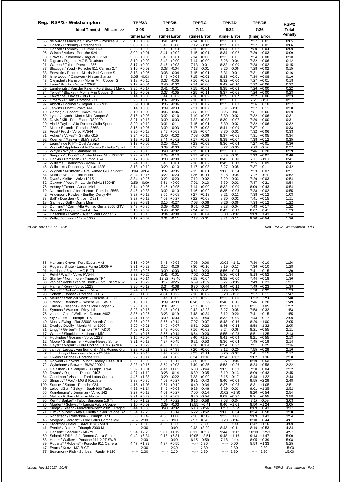|                | Reg. RSP/2 - Welshampton                         | TPP/2A          | TPP/2B          | TPP/2C          | TPP/2D          | TPP/2E          | RSP/2        |
|----------------|--------------------------------------------------|-----------------|-----------------|-----------------|-----------------|-----------------|--------------|
|                | Ideal Time(s) All cars >>                        | 3:08            | 3:42            | 7:14            | 8:32            | 7:26            | <b>Total</b> |
|                |                                                  | (time) Error    | (time) Error    | (time) Error    | (time) Error    | (time) Error    | Penalty      |
| 65             | de Vargas Machuca / Bloxham - Porsche 911 2      | $3:10 + 0:02$   | $3:41 - 0:01$   | $7:14 +0:00$    | $8:33 + 0:01$   | $7:27 +0:01$    | 0:05         |
| 37             | Colton / Pickering - Porsche 911                 | $3:08 + 0:00$   | $3:42 +0:00$    | 7:12 -0:02      | 8:35<br>$+0:03$ | 7:27<br>$+0:01$ | 0:06         |
| 25             | Hancox / Lamblev - Triumph TR4                   | $3:08 +0:00$    | $3:43 +0:01$    | $7:16 + 0:02$   | 8:34<br>$+0:02$ | 7:30<br>$+0:04$ | 0:09         |
| 96             | Wilson / Vokes - Porsche 924                     | $3:09 +0:01$    | $3:44 + 0:02$   | $7:15 +0:01$    | 8:34<br>$+0:02$ | 7:29<br>$+0:03$ | 0:09         |
| 8              | Graves / Rutherford - Jaquar XK150               | $3:08 + 0:00$   | $3:43 +0:01$    | 7:14<br>$+0:00$ | 8:33<br>$+0:01$ | 7:34<br>$+0:08$ | 0:10         |
| 51             | Dignan / Dignan - MG B Roadster                  | $3:10 + 0:02$   | $3:42 +0:00$    | 7:14<br>$+0:00$ | 8:28<br>$-0:04$ | 7:32<br>$+0:06$ | 0:12         |
| 21             | Warren / Tullie - Porsche 356                    | $3:17 + 0:09$   | $3:45 + 0:03$   | 7:13<br>$-0:01$ | 8:32<br>$+0:00$ | 7:28<br>$+0:02$ | 0:15         |
| 87             | Bloxidge / Youd - Porsche 911 Carrera 2.7        | $3:10 + 0:02$   | 3:38<br>$-0:04$ | $-0:01$<br>7:13 | 8:26<br>$-0:06$ | $7:28 +0:02$    | 0:15         |
| 33             | Entwistle / Procter - Morris Mini Cooper S       | $3:13 + 0:05$   | 3:38<br>$-0:04$ | $7:15 + 0:01$   | 8:31<br>$-0:01$ | 7:31<br>$+0:05$ | 0:16         |
| 98             | Isherwood* / Canavan - Nissan Stanza             | $3:05 -0:03$    | 3:45<br>$+0:03$ | 7:15<br>$+0:01$ | 8:33<br>$+0:01$ | 7:34<br>$+0:08$ | 0:16         |
| 43             | Cleyndert / Harrison - Morris Mini Cooper S      | $3:18 + 0:10$   | $-0:05$<br>3:37 | 7:16<br>$+0:02$ | 8:32<br>$+0:00$ | 7:27<br>$+0:01$ | 0:18         |
| $\overline{1}$ | Lane / Brooks - Volvo 123GT                      | $+0:04$<br>3:12 | $-0:02$<br>3:40 | 7:14<br>$+0:00$ | 8:42<br>$+0:10$ | 7:32<br>$+0:06$ | 0:22         |
| 69             | Lamberigts / Van der Palen - Ford Escort Mexic   | 3:25<br>$+0:17$ | $-0:01$<br>3:41 | $7:15 + 0:01$   | 8:35<br>$+0:03$ | $7:26 + 0:00$   | 0:22         |
| 34             | Twigg* / Blackett - Morris Mini Cooper S         | 3:10<br>$+0:02$ | $-0:05$<br>3:37 | 7:25<br>$+0:11$ | $+0:05$<br>8:37 | $+0:00$<br>7:26 | 0:23         |
| 57             | Lawrence / Davies - MG B GT                      | 3:14<br>$+0:06$ | 3:44<br>$+0:02$ | 7:16<br>$+0:02$ | 8:39<br>$+0:07$ | 7:32<br>$+0:06$ | 0:23         |
| 27             | Crosby / Pullan - Porsche 911                    | 3:26<br>$+0:18$ | 3:37<br>$-0:05$ | 7:16<br>$+0:02$ | 8:33<br>$+0:01$ | $7:25 - 0:01$   | 0:27         |
| 97             | Abbott / Bricknell* - Jaquar XJ-S V12            | 3:09<br>$+0:01$ | 3:36<br>$-0:06$ | 7:21<br>$+0:07$ | 8:35<br>$+0:03$ | 7:36<br>$+0:10$ | 0:27         |
| 79             | Jenkins / Phaff - Volvo 144                      | $3:14 + 0:06$   | $-0:03$<br>3:39 | 7:21<br>$+0:07$ | 8:31<br>$-0:01$ | 7:37<br>$+0:11$ | 0:28         |
| 10             | Carnegie / Bosdet - Volvo PV544                  | $3:10 + 0:02$   | $3:36 - 0:06$   | 7:23<br>$+0:09$ | 8:25<br>$-0:07$ | 7:31<br>$+0:05$ | 0:29         |
| 59             | Lynch / Lynch - Morris Mini Cooper S             | $3:16 + 0:08$   | $3:32 -0:10$    | 7:19<br>$+0:05$ | 8:30<br>$-0:02$ | $+0:06$<br>7:32 | 0:31         |
| 86             | Davis / Kiff - Ford Escort RS2000                | 3:21<br>$+0:13$ | 3:39<br>$-0:03$ | 7:22<br>$+0:08$ | 8:39<br>$+0:07$ | 7:26<br>$+0:00$ | 0:31         |
| 20             | Abel / Taylor - Alfa Romeo Giulia Sprint         | $3:20 +0:12$    | 3:31<br>$-0:11$ | 7:15<br>$+0:01$ | 8:30<br>$-0:02$ | 7:32<br>$+0:06$ | 0:32         |
| 22             | Miles / Elcomb - Porsche 356B                    | $3:15 + 0:07$   | 3:39<br>$-0:03$ | 7:17<br>$+0:03$ | 8:41<br>$+0:09$ | 7:37<br>$+0:11$ | 0:33         |
| 23             | Frost / Frost - Volvo PV544                      | $3:26 + 0:18$   | $+0:03$<br>3:45 | 7:18<br>$+0:04$ | 8:30<br>$-0:02$ | 7:32<br>$+0:06$ | 0:33         |
| 81             | Vokes* / Vokes* - Ginetta G15                    | $3:24 +0:16$    | $-0:02$<br>3:40 | 7:08<br>$-0:06$ | 8:37<br>$+0:05$ | 7:31<br>$+0:05$ | 0:34         |
| 92             | Koerner / Maeker - BMW 320/4                     | $3:19 + 0:11$   | 3:44<br>$+0:02$ | 7:17<br>$+0:03$ | 8:39<br>$+0:07$ | 7:38<br>$+0:12$ | 0:35         |
| 64             | Leurs* / de Rijk* - Opel Ascona                  | $3:13 + 0:05$   | 3:25<br>$-0:17$ | $+0:09$<br>7:23 | $+0:04$<br>8:36 | $+0:01$<br>7:27 | 0:36         |
| 9              | Wignall / Appleton - Alfa Romeo Giulietta Sprint | 3:13<br>$+0:05$ | 3:39<br>$-0:03$ | 7:36<br>$+0:22$ | 8:27<br>$-0:05$ | 7:24<br>$-0:02$ | 0:37         |
| 6              | Whyte / Whyte - Standard 10                      | $+0:15$<br>3:23 | $-0:02$<br>3:40 | $+0:01$<br>7:15 | 8:33<br>$+0:01$ | 7:46<br>$+0:20$ | 0:39         |
| 94             | Simpson* / Doble* - Austin Morris Mini 1275GT    | 3:22<br>$+0:14$ | 3:29<br>$-0:13$ | 7:17<br>$+0:03$ | 8:29<br>$-0:03$ | 7:33<br>$+0:07$ | 0:40         |
| 16             | Hankin / Ramsden - Triumph TR4                   | $+0:09$<br>3:17 | $-0:09$<br>3:33 | $+0:03$<br>7:17 | $+0:10$<br>8:42 | 7:16 -0:10      | 0:41         |
| 52             | Williams / Darlington - Volvo 131                | 3:24<br>$+0:16$ | 3:43<br>$+0:01$ | 7:16<br>$+0:02$ | 8:45<br>$+0:13$ | 7:35<br>$+0:09$ | 0:41         |
| 46             | Willcocks / Dunkerley - Volvo 122S               | 3:18<br>$+0:10$ | 3:29<br>$-0:13$ | 7:17<br>$+0:03$ | 8:27<br>$-0:05$ | 7:37<br>$+0:11$ | 0:42         |
| 26             | Wignall / Rushforth - Alfa Romeo Giulia Sprint   | 3:04<br>$-0:04$ | 3:37<br>$-0:05$ | 7:15<br>$+0:01$ | 9:06<br>$+0:34$ | 7:33<br>$+0:07$ | 0:51         |
| 84             | Martin / Martin - Ford Escort                    | $3:24 +0:16$    | $-0:20$<br>3:22 | 7:25<br>$+0:11$ | 8:28<br>$-0:04$ | 7:25<br>$-0:01$ | 0:52         |
| 36             | Dyas* / Kellitt* - Volvo 121S                    | 3:34<br>$+0:26$ | 3:22<br>$-0:20$ | 7:12<br>$-0:02$ | 8:29<br>$-0:03$ | 7:29<br>$+0:03$ | 0:54         |
| 62             | Calvert* / Powell* - Lancia Fulvia 1600HF        | 2:59 -0:09      | 3:51<br>$+0:09$ | $-0:13$<br>7:01 | 8:30<br>$-0:02$ | 7:47<br>$+0:21$ | 0:54         |
| 76             | Vestey / Turner - Austin Mini                    | $3:14 + 0:06$   | 3:47<br>$+0:05$ | 7:14<br>$+0:00$ | 8:32<br>$+0:00$ | $+0:43$<br>8:09 | 0:54         |
| 19             | Naaktgeboren / den Hartog - Porsche 356B         | $3:46 + 0:38$   | 3:32<br>$-0:10$ | 7:16<br>$+0:02$ | 8:35<br>$+0:03$ | 7:28<br>$+0:02$ | 0:55         |
| 2              | Anderson / Powley - Bentley Derby 41/4           | 3:27<br>$+0:19$ | $3:50 + 0:08$   | 7:27<br>$+0:13$ | 8:21<br>$-0:11$ | 7:38<br>$+0:12$ | 1:03         |
| 73             | Ball* / Duerden - Citroen DS21                   | 3:27<br>$+0:19$ | 4:09<br>$+0:27$ | 7:22<br>$+0:08$ | 8:30<br>$-0:02$ | $+0:15$<br>7:41 | 1:11         |
| 18             | Gaffney / Goff - Morris Mini                     | 3:39<br>$+0:31$ | $-0:27$<br>3:15 | $-0:06$<br>7:08 | $-0:06$<br>8:26 | $7:38 + 0:12$   | 1:22         |
| 85             | Dunning* / Carr - Alfa Romeo Giulia 2000 GTV     | 3:43<br>$+0:35$ | 3:39<br>$-0:03$ | $-0:23$<br>6:51 | 8:28<br>$-0:04$ | $+0:17$<br>7:43 | 1:22         |
| 42             | Kendall / Cooper - Ford Anglia                   | $3:15 + 0:07$   | 3:40<br>$-0:02$ | 7:34<br>$+0:20$ | 8:45<br>$+0:13$ | 8:07<br>$+0:41$ | 1:23         |
| 67             | Haselden / Evans* - Austin Mini Cooper S         | 3:18<br>$+0:10$ | 3:34<br>$-0:08$ | 7:18<br>$+0:04$ | 8:30<br>$-0:02$ | 9:09<br>$+1:43$ | 1:24         |
| 49             | Kelly / Johnson - Volvo 122S                     | $+0:09$<br>3:17 | $-0:11$<br>3:31 | $7:13 - 0:01$   | $-0:11$<br>8:21 | $+0:54$<br>8:20 | 1:26         |

 *Issued:- Nov 11 2017 - 20:45 Reg. RSP/2 - Welshampton - Pg.1*

| 55             | Hanson / Grove - Ford Escort Mk2                 | 3:15         | $+0:07$ | 3:45             | $+0:03$        | 7:08         | $-0:06$ | 10:03            | $+1:31$ | 7:36                                                                                                                                                                                                                                                                                                                                                                                                                                           | $+0:10$        | 1:26  |
|----------------|--------------------------------------------------|--------------|---------|------------------|----------------|--------------|---------|------------------|---------|------------------------------------------------------------------------------------------------------------------------------------------------------------------------------------------------------------------------------------------------------------------------------------------------------------------------------------------------------------------------------------------------------------------------------------------------|----------------|-------|
| 63             | Rogers / Shute - Lancia Fulvia 1600HF            | 3:31         | $+0:23$ | 3:16             | $-0:26$        | 7:30         | $+0:16$ | 8:19             | $-0:13$ | 7:36                                                                                                                                                                                                                                                                                                                                                                                                                                           | $+0:10$        | 1:28  |
| 91             | Harrison / Boyce - MG B GT                       | 3:33         | $+0:25$ | 3:39             | $-0:03$        | 6:51         | $-0:23$ | 8:56             | $+0:24$ | 7:41                                                                                                                                                                                                                                                                                                                                                                                                                                           | $+0:15$        | 1:30  |
| 24             | Pettit / Watt* - Volvo PV544                     | 3:33         | $+0:25$ | 3:41             | $-0:01$        | 7:02         | $-0:12$ | 8:36             | $+0:04$ |                                                                                                                                                                                                                                                                                                                                                                                                                                                | $8:18 + 0:52$  | 1:34  |
| 15             | Stanley / Northmore - Triumph TR4                | 3:22         | $+0:14$ |                  | $12:22 + 8:40$ | 7:18         | $+0:04$ | 8:32             | $+0:00$ |                                                                                                                                                                                                                                                                                                                                                                                                                                                | $7:44 +0:18$   | 1:36  |
| 83             | van der Velde / van de Boel* - Ford Escort RS2   | 3:37         | $+0:29$ | 3:17             | $-0:25$        | 6:59         | $-0:15$ | 8:27             | $-0:05$ | 7:49                                                                                                                                                                                                                                                                                                                                                                                                                                           | $+0:23$        | 1:37  |
| 28             | Hamer / Kerry - Volvo 122S                       | 3:20         | $+0:12$ | 3:34             | $-0:08$        | 6:30         | $-0:44$ | 8:44             | $+0:12$ | 7:49                                                                                                                                                                                                                                                                                                                                                                                                                                           | $+0:23$        | 1:39  |
| 61             | Burrell* / Barker* - Austin Maxi                 | 3:24         | $+0:16$ | 3:35             | $-0:07$        | 6:33         | $-0:41$ | 8:29             | $-0:03$ | 7:58                                                                                                                                                                                                                                                                                                                                                                                                                                           | $+0:32$        | 1:39  |
| 93             | Schott* / Dohse* - Porsche 911 SC                | 4:08         | $+1:00$ | 4:04             | $+0:22$        | 7:16         | $+0:02$ | 8:20             | $-0:12$ | 7:37                                                                                                                                                                                                                                                                                                                                                                                                                                           | $+0:11$        | 1:47  |
| 74             | Meulen* / Van der Werf* - Porsche 911 ST         | 3:28         | $+0:20$ | 3:47             | $+0:05$        | 7:37         | $+0:23$ | 8:32             | $+0:00$ | 10:22                                                                                                                                                                                                                                                                                                                                                                                                                                          | $+2:56$        | 1:48  |
| 38             | Gresly* / Behrndt* - Porsche 911 SWB             | 3:18         | $+0:10$ | 3:39             | $-0:03$        | 10:43        | $+3:29$ | 8:48             | $+0:16$ | 7:46                                                                                                                                                                                                                                                                                                                                                                                                                                           | $+0:20$        | 1:49  |
| 29             | Turner / Cussons - Morris Mini Cooper S          | 3:23         | $+0:15$ | 3:31             | $-0:11$        | 7:37         | $+0:23$ | 8:35             | $+0:03$ | 8:31                                                                                                                                                                                                                                                                                                                                                                                                                                           | $+1:05$        | 1:52  |
| 14             | Symons / Watson - Riley 1.5                      | 3:23         | $+0:15$ | 3:43             | $+0:01$        | 9:42         | $+2:28$ | 8:27             | $-0:05$ | 7:58                                                                                                                                                                                                                                                                                                                                                                                                                                           | $+0:32$        | 1:53  |
| 75             | van der Goot / Wellink* - Datsun 240Z            | 3:35         | $+0:27$ | 3:23             | $-0:19$        | 7:48         | $+0:34$ | 8:12             | $-0:20$ | 7:41                                                                                                                                                                                                                                                                                                                                                                                                                                           | $+0:15$        | 1:55  |
| 88             | Sly / Green - Triumph TR6                        | 4:41         | $+1:33$ | 3:39             | $-0:03$        | 6:34         | $-0:40$ | 8:32             | $+0:00$ | 7:43                                                                                                                                                                                                                                                                                                                                                                                                                                           | $+0:17$        | 2:00  |
| 40             | Moss / Ewing - Fiat 2300S Abarth Coupe           | 3:36         | $+0:28$ | 3:56             | $+0:14$        | 7:07         | $-0:07$ | 8:48             | $+0:16$ | 8:26                                                                                                                                                                                                                                                                                                                                                                                                                                           | $+1:00$        | 2:05  |
| 11             | Dwelly / Dwelly - Morris Minor 1000              | 3:29         | $+0:21$ | 3:49             | $+0:07$        | 6:51         | $-0:23$ | 8:46             | $+0:14$ | 8:58                                                                                                                                                                                                                                                                                                                                                                                                                                           | $+1:32$        | 2:05  |
| 31             | Lingg* / Gerber* - Triumph TR4 (A&D)             | 4:08         | $+1:00$ | 3:48             | $+0:06$        | 7:16         | $+0:02$ | 8:24             | $-0:08$ | 8:21                                                                                                                                                                                                                                                                                                                                                                                                                                           | $+0:55$        | 2:11  |
| 17             | Worts* / Shackleton* - Jaquar Mk2                | 3:24         | $+0:16$ | 3:56             | $+0:14$        | 6:54         | $-0:20$ | 8:55             | $+0:23$ | 8:51                                                                                                                                                                                                                                                                                                                                                                                                                                           | $+1:25$        | 2:13  |
| 48             | Hockridge / Gosling - Volvo 122S                 | 3:15         | $+0:07$ | 3:44             | $+0:02$        | 8:40         | $+1:26$ | 8:41             | $+0:09$ | 8:21                                                                                                                                                                                                                                                                                                                                                                                                                                           | $+0:55$        | 2:13  |
| 12             | Moore / Stellmacher - Austin-Healey Sprite       | 3:21         | $+0:13$ | 4:27             | $+0:45$        | 6:21         | $-0:53$ | 8:36             | $+0:04$ | 7:45                                                                                                                                                                                                                                                                                                                                                                                                                                           | $+0:19$        | 2:14  |
| 44             | Geyer* / Voglar* - Ford Cortina GT MkI (A&D)     | 3:37         | $+0:29$ | 4:38             | $+0:56$        | 7:18         | $+0:04$ | 8:54             | $+0:22$ | 7:51                                                                                                                                                                                                                                                                                                                                                                                                                                           | $+0:25$        | 2:16  |
| 68             | van der Leeuw / van Egmond - Alfa Romeo Giu      | 3:29         | $+0:21$ | 8:21             | $+4:39$        | 7:20         | $+0:06$ | 8:12             | $-0:20$ | 7:55                                                                                                                                                                                                                                                                                                                                                                                                                                           | $+0:29$        | 2:16  |
| $\overline{7}$ | Humphrey / Humphrey - Volvo PV544                | 3:18         | $+0:10$ | 3:42             | $+0:00$        | 9:25         | $+2:11$ | 8:25             | $-0:07$ | 9:41                                                                                                                                                                                                                                                                                                                                                                                                                                           | $+2:15$        | 2:17  |
| 39             | Owens / Mitchell - Porsche 911                   | 3:22         | $+0:14$ | 3:44             | $+0:02$        | 8:24         | $+1:10$ | 8:34             | $+0:02$ | 9:02                                                                                                                                                                                                                                                                                                                                                                                                                                           | $+1:36$        | 2:18  |
| 4              | Darwent / Darwent - Austin-Healey 100/4 BN1      | 5:08         | $+2:00$ | 3:59             | $+0:17$        | 7:20         | $+0:06$ | 8:27             | $-0:05$ | 8:19                                                                                                                                                                                                                                                                                                                                                                                                                                           | $+0:53$        | 2:21  |
| 72             | Wykeham* / Brown* - BMW 2002tii                  | 3:23         | $+0:15$ | 3:50             | $+0:08$        | 7:49         | $+0:35$ | 8:58             | $+0:26$ | 8:24                                                                                                                                                                                                                                                                                                                                                                                                                                           | $+0:58$        | 2:22  |
| 53             | Galashan / Ballantyne - Triumph TR4A             | 3:09         | $+0:01$ | 4:47             | $+1:05$        | 6:30         | $-0:44$ | 9:05             | $+0:33$ | 7:30                                                                                                                                                                                                                                                                                                                                                                                                                                           | $+0:04$        | 2:22  |
| 80             | Dwars* / Ruiiten* - Datsun 240Z                  | 4:27         | $+1:19$ | 3:28             | $-0:14$        | 6:39         | $-0:35$ | 8:19             | $-0:13$ | 8:09                                                                                                                                                                                                                                                                                                                                                                                                                                           | $+0:43$        | 2:45  |
| 54             | Cassimon / Vissers - Ford Lotus Cortina          | 4:46         | $+1:38$ | 3:20             | $-0:22$        | 7:23         | $+0:09$ | 8:15             | $-0:17$ | 8:48                                                                                                                                                                                                                                                                                                                                                                                                                                           | $+1:22$        | 2:48  |
| 56             | Slingsby* / Fox* - MG B Roadster                 | 3:38         | $+0:30$ | 4:09             | $+0:27$        | 6:31         | $-0:43$ | 8:40             | $+0:08$ | 9:55                                                                                                                                                                                                                                                                                                                                                                                                                                           | $+2:29$        | 2:48  |
| 100            | Sutton* / Sutton - Porsche 924                   | 4:16         | $+1:08$ | 3:54             | $+0:12$        | 6:40         | $-0:34$ | 8:37             | $+0:05$ | 8:31                                                                                                                                                                                                                                                                                                                                                                                                                                           | $+1:05$        | 2:51  |
| 99             | LeibundGut* / Geigy* - Saab 900 Turbo            | 4:22         | $+1:14$ | 3:45             | $+0:03$        | 6:28         | $-0:46$ | 8:29             | $-0:03$ | 9:01                                                                                                                                                                                                                                                                                                                                                                                                                                           | $+1:35$        | 2:52  |
| 66             | Kuindersma* / Jongman - Volvo 142                | 3:27         | $+0:19$ | 4:09             | $+0:27$        | 7:00         | $-0:14$ | 10:02            | $+1:30$ | 8:20                                                                                                                                                                                                                                                                                                                                                                                                                                           | $+0:54$        | 2:54  |
| 82             | Malins / Pullan - Hillman Hunter                 | 3:31         | $+0:23$ | 3:51             | $+0:09$        | 6:20         | $-0:54$ | 9:09             | $+0:37$ | 8:21                                                                                                                                                                                                                                                                                                                                                                                                                                           | $+0:55$        | 2:58  |
| 95             | Kent* / Barker* - Talbot Sunbeam 1.6 Ti          | 4:30         | $+1:22$ | 4:04             | $+0:22$        | 6:16         | $-0:58$ | 7:58             | $-0:34$ | 7:17                                                                                                                                                                                                                                                                                                                                                                                                                                           | $-0:09$        | 3:03  |
| 35             | Mueller* / Schwab* - Lancia Fulvia Coupe         | 3:10         | $+0:02$ | 3:39             | $-0:03$        | 13:55        | $+6:41$ | 9:40             | $+1:08$ | 8:50                                                                                                                                                                                                                                                                                                                                                                                                                                           | $+1:24$        | 3:05  |
| 32             | Sleep* / Sleep* - Mercedes-Benz 230SL Pagod      | 3:44         | $+0:36$ | 3:40             | $-0:02$        | 6:18         | $-0:56$ | 10:57            | $+2:25$ | 8:09                                                                                                                                                                                                                                                                                                                                                                                                                                           | $+0:43$        | 3:17  |
| 71             | Ulm / Soucek* - Alfa Giulietta Spider Veloce (A& | 5:34         | $+2:26$ | 3:56             | $+0:14$        | 6:22         | $-0:52$ | 9:06             | $+0:34$ | 8:24                                                                                                                                                                                                                                                                                                                                                                                                                                           | $+0:58$        | 3:38  |
| 5              | Robertson / Robertson - Triumph TR3              | 3:50         | $+0:42$ | 4:50             | $+1:08$        | 7:26         | $+0:12$ | 9:32             | $+1:00$ | 9:09                                                                                                                                                                                                                                                                                                                                                                                                                                           | $+1:43$        | 3:54  |
| 45             | Morgan* / Morgan* - Ford Lotus Cortina Mkl       | $-1 - 1$     | 2:30    | $-1 - 1 - 1$     | 0:00           | 7:57         | $+0:43$ | 8:28             | $-0:04$ | 8:10                                                                                                                                                                                                                                                                                                                                                                                                                                           | $+0:44$        | 4:01  |
| 78             | Stockmar / Baier - BMW 1602 (A&D)                | 3:27         | $+0:19$ | 4:02             | $+0:20$        | $-2 - 2 - 1$ | 2:30    | $-2 - 1$         | 0:00    | 8:42                                                                                                                                                                                                                                                                                                                                                                                                                                           | $+1:16$        | 4:09  |
| 41             | Everitt* / Dixon* - Triumph 2000 Mkl             | $-2 - 2 - 1$ | 2:30    | $-2 - 2 - 1$     | 0:00           | 9:43         | $+2:29$ | 8:43             | $+0:11$ | 8:19                                                                                                                                                                                                                                                                                                                                                                                                                                           | $+0:53$        | 4:34  |
| 3              | Hanson* / Mackrill* - MG YB                      | 5:34         | $+2:26$ | 5:01             | $+1:19$        | 8:11         | $+0:57$ | 9:44             | $+1:12$ |                                                                                                                                                                                                                                                                                                                                                                                                                                                | $10:19 + 2:53$ | 4:57  |
| 60             | Schenk / Frik* - Alfa Romeo Giulia Super         | 9:42         | $+6:34$ | 9:13             | $+5:31$        | 10:05        | $+2:51$ | 9:48             | $+1:16$ | 9:13                                                                                                                                                                                                                                                                                                                                                                                                                                           | $+1:47$        | 5:00  |
| 58             | Hood* / Walker* - Porsche 911 2.0T SWB           | $-1 - 1 - 1$ | 2:30    | $-2 - 1$         | 0:00           | 6:15         | $-0:59$ | 7:18             | $-1:14$ | 8:05                                                                                                                                                                                                                                                                                                                                                                                                                                           | $+0:39$        | 5:08  |
| 89             | Roberts* / Roberts* - Porsche 911 Carrera        | 4:47         | $+1:39$ | 4:37             | $+0:55$        | $-1 - 1$     | 2:30    | $-2 - 2 - 1 = 0$ | 0:00    | 8:59                                                                                                                                                                                                                                                                                                                                                                                                                                           | $+1:33$        | 5:25  |
| 47             | Evans / Kunz - MG B GT                           | --:--        | 2:30    | $-2 - 2 - 1$     | 2:30           | $-2 - 2 - 1$ | 2:30    | $-1 - 1 - 1 = 0$ | 2:30    | $\frac{1}{2} \left( \frac{1}{2} \right) + \frac{1}{2} \left( \frac{1}{2} \right) + \frac{1}{2} \left( \frac{1}{2} \right) + \frac{1}{2} \left( \frac{1}{2} \right) + \frac{1}{2} \left( \frac{1}{2} \right) + \frac{1}{2} \left( \frac{1}{2} \right) + \frac{1}{2} \left( \frac{1}{2} \right) + \frac{1}{2} \left( \frac{1}{2} \right) + \frac{1}{2} \left( \frac{1}{2} \right) + \frac{1}{2} \left( \frac{1}{2} \right) + \frac{1}{2} \left($ | 2:30           | 15:00 |
| 77             | Beaumont / Fish - Sunbeam Rapier H120            | ----         | 2:30    | $-1 - 1 - 1 = 0$ | 2:30           | ----         | 2:30    | --:--            | 2:30    | $-2 - 1$                                                                                                                                                                                                                                                                                                                                                                                                                                       | 2:30           | 15:00 |
|                |                                                  |              |         |                  |                |              |         |                  |         |                                                                                                                                                                                                                                                                                                                                                                                                                                                |                |       |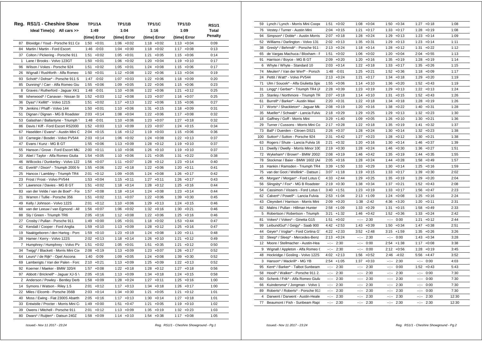|              | Reg. RS1/1 - Cheshire Show          | <b>TP1/1A</b>   | TP1/1B          | <b>TP1/1C</b>   | TP1/1D          | <b>RS1/1</b>   |
|--------------|-------------------------------------|-----------------|-----------------|-----------------|-----------------|----------------|
|              | Ideal Time(s) All cars >>           | 1:49            | 1:04            | 1:16            | 1:09            | Total          |
|              |                                     | (time) Error    | (time) Error    | (time) Error    | (time) Error    | <b>Penalty</b> |
| 87           | Bloxidge / Youd - Porsche 911 Ca    | $+0:01$<br>1:50 | 1:06<br>$+0:02$ | $+0:02$<br>1:18 | 1:13<br>$+0:04$ | 0:09           |
| 84           | Martin / Martin - Ford Escort       | 1:46<br>$-0:03$ | 1:04<br>$+0:00$ | 1:18<br>$+0:02$ | 1:17<br>$+0:08$ | 0:13           |
| 37           | Colton / Pickering - Porsche 911    | 1:51<br>$+0:02$ | $1:05 + 0:01$   | 1:21<br>$+0:05$ | $1:15 + 0:06$   | 0:14           |
| $\mathbf{1}$ | Lane / Brooks - Volvo 123GT         | 1:50<br>$+0:01$ | $1:06 + 0:02$   | 1:20<br>$+0:04$ | $1:19 + 0:10$   | 0:17           |
| 96           | Wilson / Vokes - Porsche 924        | 1:51<br>$+0:02$ | $1:05 + 0:01$   | 1:24<br>$+0:08$ | $1:15 + 0:06$   | 0:17           |
| 26           | Wignall / Rushforth - Alfa Romeo    | 1:50<br>$+0:01$ | 1:12<br>$+0:08$ | 1:22<br>$+0:06$ | 1:13<br>$+0:04$ | 0:19           |
| 93           | Schott* / Dohse* - Porsche 911 S    | 1:47<br>$-0:02$ | 1:07<br>$+0:03$ | 1:22<br>$+0:06$ | 1:18<br>$+0:09$ | 0:20           |
| 85           | Dunning* / Carr - Alfa Romeo Giu    | 1:55<br>$+0:06$ | 1:09<br>$+0:05$ | 1:22<br>$+0:06$ | 1:15<br>$+0:06$ | 0:23           |
| 8            | Graves / Rutherford - Jaguar XK1    | 1:48<br>$-0:01$ | 1:10<br>$+0:06$ | 1:22<br>$+0:06$ | 1:21<br>$+0:12$ | 0:25           |
| 98           | Isherwood* / Canavan - Nissan St    | 1:52<br>$+0:03$ | 1:12<br>$+0:08$ | 1:23<br>$+0:07$ | 1:16<br>$+0:07$ | 0:25           |
| 36           | Dyas* / Kellitt* - Volvo 121S       | 1:51<br>$+0:02$ | 1:17<br>$+0:13$ | 1:22<br>$+0:06$ | 1:15<br>$+0:06$ | 0:27           |
| 79           | Jenkins / Phaff - Volvo 144         | 1:50<br>$+0:01$ | 1:10<br>$+0:06$ | 1:31<br>$+0:15$ | 1:18<br>$+0:09$ | 0:31           |
| 51           | Dignan / Dignan - MG B Roadster     | 2:03<br>$+0:14$ | 1:08<br>$+0:04$ | 1:22<br>$+0:06$ | 1:17<br>$+0:08$ | 0:32           |
| 53           | Galashan / Ballantyne - Triumph 7   | 1:48<br>$-0:01$ | $1:10 + 0:06$   | 1:23<br>$+0:07$ | 1:27<br>$+0:18$ | 0:32           |
| 86           | Davis / Kiff - Ford Escort RS2000   | 1:52<br>$+0:03$ | $1:13 + 0:09$   | 1:23<br>$+0:07$ | 1:24<br>$+0:15$ | 0:34           |
| 67           | Haselden / Evans* - Austin Mini C   | $2:04 +0:15$    | $1:16 + 0:12$   | $1:19 + 0:03$   | $1:15 + 0:06$   | 0:36           |
| 10           | Carnegie / Bosdet - Volvo PV544     | $2:03 +0:14$    | $1:06 + 0:02$   | 1:24<br>$+0:08$ | $1:22 +0:13$    | 0:37           |
| 47           | Evans / Kunz - MG B GT              | 1:55<br>$+0:06$ | $1:13 + 0:09$   | 1:28<br>$+0:12$ | $1:19 + 0:10$   | 0:37           |
| 55           | Hanson / Grove - Ford Escort Mk.    | 2:00<br>$+0:11$ | $1:10 + 0:06$   | 1:26<br>$+0:10$ | $1:19 + 0:10$   | 0:37           |
| 20           | Abel / Taylor - Alfa Romeo Giulia   | 1:54<br>$+0:05$ | $1:10 + 0:06$   | 1:21<br>$+0:05$ | 1:31<br>$+0:22$ | 0:38           |
| 46           | Willcocks / Dunkerley - Volvo 122   | 1:56<br>$+0:07$ | 1:11<br>$+0:07$ | 1:28<br>$+0:12$ | 1:23<br>$+0:14$ | 0:40           |
| 41           | Everitt* / Dixon* - Triumph 2000 M  | 1:55<br>$+0:06$ | $1:22 + 0:18$   | 1:22<br>$+0:06$ | 1:20<br>$+0:11$ | 0:41           |
| 25           | Hancox / Lambley - Triumph TR4      | 2:01<br>$+0:12$ | 1:09<br>$+0:05$ | 1:24<br>$+0:08$ | 1:26<br>$+0:17$ | 0:42           |
| 23           | Frost / Frost - Volvo PV544         | 1:53<br>$+0:04$ | $1:15 + 0:11$   | $+0:11$<br>1:27 | $1:26 + 0:17$   | 0:43           |
| 57           | Lawrence / Davies - MG B GT         | 1:51<br>$+0:02$ | $1:18 + 0:14$   | $+0:12$<br>1:28 | $1:25 +0:16$    | 0:44           |
| 83           | van der Velde / van de Boel* - For  | 1:57<br>$+0:08$ | $1:18 + 0:14$   | 1:24<br>$+0:08$ | $1:23 +0:14$    | 0:44           |
| 21           | Warren / Tullie - Porsche 356       | 1:51<br>$+0:02$ | 1:11<br>$+0:07$ | 1:22<br>$+0:06$ | 1:39<br>$+0:30$ | 0:45           |
| 49           | Kelly / Johnson - Volvo 122S        | 2:01<br>$+0:12$ | 1:10<br>$+0:06$ | 1:29<br>$+0:13$ | 1:24<br>$+0:15$ | 0:46           |
| 68           | van der Leeuw / van Egmond - Alt    | 1:56<br>$+0:07$ | 1:06<br>$+0:02$ | 1:32<br>$+0:16$ | 1:30<br>$+0:21$ | 0:46           |
| 88           | Sly / Green - Triumph TR6           | 2:05<br>$+0:16$ | $1:12 + 0:08$   | 1:22<br>$+0:06$ | 1:25<br>$+0:16$ | 0:46           |
| 27           | Crosby / Pullan - Porsche 911       | 1:49<br>$+0:00$ | 1:05<br>$+0:01$ | 1:18<br>$+0:02$ | 1:53<br>$+0:44$ | 0:47           |
| 42           | Kendall / Cooper - Ford Anglia      | 1:59<br>$+0:10$ | 1:13<br>$+0:09$ | 1:28<br>$+0:12$ | 1:25<br>$+0:16$ | 0:47           |
| 19           | Naaktgeboren / den Hartog - Pors    | 1:59<br>$+0:10$ | 1:23<br>$+0:19$ | 1:24<br>$+0:08$ | 1:20<br>$+0:11$ | 0:48           |
| 28           | Hamer / Kerry - Volvo 122S          | 2:02<br>$+0:13$ | $1:18 + 0:14$   | 1:26<br>$+0:10$ | 1:21<br>$+0:12$ | 0:49           |
| 7            | Humphrey / Humphrey - Volvo PV      | 1:51<br>$+0:02$ | $1:05 + 0:01$   | 1:51<br>$+0:35$ | 1:21<br>$+0:12$ | 0:50           |
| 34           | Twigg* / Blackett - Morris Mini Co  | 2:08<br>$+0:19$ | 1:13<br>$+0:09$ | 1:23<br>$+0:07$ | 1:26<br>$+0:17$ | 0:52           |
| 64           | Leurs* / de Rijk* - Opel Ascona     | 1:40 -0:09      | 1:09<br>$+0:05$ | 1:24<br>$+0:08$ | 1:39<br>$+0:30$ | 0:52           |
| 69           | Lamberigts / Van der Palen - Ford   | $2:10 + 0:21$   | $1:13 + 0:09$   | 1:25<br>$+0:09$ | 1:22<br>$+0:13$ | 0:52           |
| 92           | Koerner / Maeker - BMW 320/4        | 1:57<br>$+0:08$ | 1:22<br>$+0:18$ | 1:28<br>$+0:12$ | 1:27<br>$+0:18$ | 0:56           |
| 97           | Abbott / Bricknell* - Jaguar XJ-S \ | 2:05<br>$+0:16$ | $1:13 + 0:09$   | 1:34<br>$+0:18$ | 1:24<br>$+0:15$ | 0:58           |
| 2            | Anderson / Powley - Bentley Derb    | 1:58<br>$+0:09$ | 1:28<br>$+0:24$ | 1:27<br>$+0:11$ | 1:25<br>$+0:16$ | 1:00           |
| 14           | Symons / Watson - Riley 1.5         | 2:01<br>$+0:12$ | 1:17<br>$+0:13$ | 1:34<br>$+0:18$ | 1:26<br>$+0:17$ | 1:00           |
| 22           | Miles / Elcomb - Porsche 356B       | 2:03<br>$+0:14$ | 1:34<br>$+0:30$ | 1:21<br>$+0:05$ | 1:21<br>$+0:12$ | 1:01           |
| 40           | Moss / Ewing - Fiat 2300S Abarth    | 2:05<br>$+0:16$ | 1:17<br>$+0:13$ | 1:30<br>$+0:14$ | 1:27<br>$+0:18$ | 1:01           |
| 33           | Entwistle / Procter - Morris Mini C | 1:49<br>$+0:00$ | 1:51<br>$+0:47$ | 1:21<br>$+0:05$ | $+0:10$<br>1:19 | 1:02           |
| 39           | Owens / Mitchell - Porsche 911      | 2:01<br>$+0:12$ | $1:13 + 0:09$   | 1:35<br>$+0:19$ | $1:32 + 0:23$   | 1:03           |
| 80           | Dwars* / Ruijten* - Datsun 240Z     | 1:58<br>$+0:09$ | 1:14<br>$+0:10$ | 1:54<br>$+0:38$ | 1:17<br>$+0:08$ | 1:05           |

| 59             | Lynch / Lynch - Morris Mini Coope   | 1:51             | $+0:02$ |                                                                                                                                                                                                                                                                                                                                                                                                                                                | $1:08 + 0:04$ | 1:50                                                                                                                                                                                                                                                                                                                                                                                                                                           | $+0:34$ | 1:27         | $+0:18$ | 1:08  |
|----------------|-------------------------------------|------------------|---------|------------------------------------------------------------------------------------------------------------------------------------------------------------------------------------------------------------------------------------------------------------------------------------------------------------------------------------------------------------------------------------------------------------------------------------------------|---------------|------------------------------------------------------------------------------------------------------------------------------------------------------------------------------------------------------------------------------------------------------------------------------------------------------------------------------------------------------------------------------------------------------------------------------------------------|---------|--------------|---------|-------|
| 76             | Vestey / Turner - Austin Mini       | 2:04             | $+0:15$ | 1:21                                                                                                                                                                                                                                                                                                                                                                                                                                           | $+0:17$       | 1:33                                                                                                                                                                                                                                                                                                                                                                                                                                           | $+0:17$ | 1:28         | $+0:19$ | 1:08  |
| 94             | Simpson* / Doble* - Austin Morris   | 2:07             | $+0:18$ | 1:28                                                                                                                                                                                                                                                                                                                                                                                                                                           | $+0:24$       | 1:29                                                                                                                                                                                                                                                                                                                                                                                                                                           | $+0:13$ | 1:23         | $+0:14$ | 1:09  |
| 52             | Williams / Darlington - Volvo 131   | 2:02             | $+0:13$ | 1:35                                                                                                                                                                                                                                                                                                                                                                                                                                           | $+0:31$       | 1:29                                                                                                                                                                                                                                                                                                                                                                                                                                           | $+0:13$ | 1:23         | $+0:14$ | 1:11  |
| 38             | Gresly* / Behrndt* - Porsche 911    | 2:13             | $+0:24$ | 1:18                                                                                                                                                                                                                                                                                                                                                                                                                                           | $+0:14$       | 1:28                                                                                                                                                                                                                                                                                                                                                                                                                                           | $+0:12$ | 1:31         | $+0:22$ | 1:12  |
| 65             | de Vargas Machuca / Bloxham - F     | 1:51             | $+0:02$ | 1:06                                                                                                                                                                                                                                                                                                                                                                                                                                           | $+0:02$       | 1:20                                                                                                                                                                                                                                                                                                                                                                                                                                           | $+0:04$ | 2:04         | $+0:55$ | 1:13  |
| 91             | Harrison / Boyce - MG B GT          | 2:09             | $+0:20$ | 1:20                                                                                                                                                                                                                                                                                                                                                                                                                                           | $+0:16$       | 1:35                                                                                                                                                                                                                                                                                                                                                                                                                                           | $+0:19$ | 1:28         | $+0:19$ | 1:14  |
| 6              | Whyte / Whyte - Standard 10         | 2:03             | $+0:14$ | 1:22                                                                                                                                                                                                                                                                                                                                                                                                                                           | $+0:18$       | 1:33                                                                                                                                                                                                                                                                                                                                                                                                                                           | $+0:17$ | 1:35         | $+0:26$ | 1:15  |
| 74             | Meulen* / Van der Werf* - Porsch    | 1:48             | $-0:01$ | 1:25                                                                                                                                                                                                                                                                                                                                                                                                                                           | $+0:21$       | 1:52                                                                                                                                                                                                                                                                                                                                                                                                                                           | $+0:36$ | 1:18         | $+0:09$ | 1:17  |
| 24             | Pettit / Watt* - Volvo PV544        | 2:13             | $+0:24$ | 1:21                                                                                                                                                                                                                                                                                                                                                                                                                                           | $+0:17$       | 1:34                                                                                                                                                                                                                                                                                                                                                                                                                                           | $+0:18$ | 1:29         | $+0:20$ | 1:19  |
| 71             | Ulm / Soucek* - Alfa Giulietta Spic | 1:55             | $+0:06$ | 1:14                                                                                                                                                                                                                                                                                                                                                                                                                                           | $+0:10$       | 1:36                                                                                                                                                                                                                                                                                                                                                                                                                                           | $+0:20$ | 1:52         | $+0:43$ | 1:19  |
| 31             | Lingg* / Gerber* - Triumph TR4 (A   | 2:28             | $+0:39$ | 1:23                                                                                                                                                                                                                                                                                                                                                                                                                                           | $+0:19$       | 1:29                                                                                                                                                                                                                                                                                                                                                                                                                                           | $+0:13$ | 1:22         | $+0:13$ | 1:24  |
| 15             | Stanley / Northmore - Triumph TR    | 2:07             | $+0:18$ | 1:14                                                                                                                                                                                                                                                                                                                                                                                                                                           | $+0:10$       | 1:31                                                                                                                                                                                                                                                                                                                                                                                                                                           | $+0:15$ | 1:52         | $+0:43$ | 1:26  |
| 61             | Burrell* / Barker* - Austin Maxi    | 2:20             | $+0:31$ | 1:22                                                                                                                                                                                                                                                                                                                                                                                                                                           | $+0:18$       | 1:34                                                                                                                                                                                                                                                                                                                                                                                                                                           | $+0:18$ | 1:28         | $+0:19$ | 1:26  |
| 17             | Worts* / Shackleton* - Jaguar Mk:   | 2:08             | $+0:19$ | 1:20                                                                                                                                                                                                                                                                                                                                                                                                                                           | $+0:16$       | 1:38                                                                                                                                                                                                                                                                                                                                                                                                                                           | $+0:22$ | 1:40         | $+0:31$ | 1:28  |
| 35             | Mueller* / Schwab* - Lancia Fulvia  | 2:18             | $+0:29$ | 1:29                                                                                                                                                                                                                                                                                                                                                                                                                                           | $+0:25$       | 1:29                                                                                                                                                                                                                                                                                                                                                                                                                                           | $+0:13$ | 1:32         | $+0:23$ | 1:30  |
| 18             | Gaffney / Goff - Morris Mini        | 3:29             | $+1:40$ | 1:09                                                                                                                                                                                                                                                                                                                                                                                                                                           | $+0:05$       | 1:26                                                                                                                                                                                                                                                                                                                                                                                                                                           | $+0:10$ | 1:30         | $+0:21$ | 1:36  |
| 29             | Turner / Cussons - Morris Mini Co   | 2:17             | $+0:28$ | 1:22                                                                                                                                                                                                                                                                                                                                                                                                                                           | $+0:18$       | 1:35                                                                                                                                                                                                                                                                                                                                                                                                                                           | $+0:19$ | 1:41         | $+0:32$ | 1:37  |
| 73             | Ball* / Duerden - Citroen DS21      | 2:26             | $+0:37$ | 1:28                                                                                                                                                                                                                                                                                                                                                                                                                                           | $+0:24$       | 1:30                                                                                                                                                                                                                                                                                                                                                                                                                                           | $+0:14$ | 1:32         | $+0:23$ | 1:38  |
| 100            | Sutton* / Sutton - Porsche 924      | 2:31             | $+0:42$ | 1:27                                                                                                                                                                                                                                                                                                                                                                                                                                           | $+0:23$       | 1:28                                                                                                                                                                                                                                                                                                                                                                                                                                           | $+0:12$ | 1:30         | $+0:21$ | 1:38  |
| 63             | Rogers / Shute - Lancia Fulvia 16   | 2:21             | $+0:32$ | 1:20                                                                                                                                                                                                                                                                                                                                                                                                                                           | $+0:16$       | 1:30                                                                                                                                                                                                                                                                                                                                                                                                                                           | $+0:14$ | 1:46         | $+0:37$ | 1:39  |
| 11             | Dwelly / Dwelly - Morris Minor 100  | 2:19             | $+0:30$ | 1:28                                                                                                                                                                                                                                                                                                                                                                                                                                           | $+0:24$       | 1:46                                                                                                                                                                                                                                                                                                                                                                                                                                           | $+0:30$ | 1:36         | $+0:27$ | 1:51  |
| 72             | Wykeham* / Brown* - BMW 2002        | 2:08             | $+0:19$ | 1:46                                                                                                                                                                                                                                                                                                                                                                                                                                           | $+0:42$       | 1:35                                                                                                                                                                                                                                                                                                                                                                                                                                           | $+0:19$ | 1:44         | $+0:35$ | 1:55  |
| 78             | Stockmar / Baier - BMW 1602 (A8     | 2:05             | $+0:16$ | 1:28                                                                                                                                                                                                                                                                                                                                                                                                                                           | $+0:24$       | 1:44                                                                                                                                                                                                                                                                                                                                                                                                                                           | $+0:28$ | 1:58         | $+0:49$ | 1:57  |
| 16             | Hankin / Ramsden - Triumph TR4      | 3:39             | $+1:50$ |                                                                                                                                                                                                                                                                                                                                                                                                                                                | $1:33 + 0:29$ | 1:30                                                                                                                                                                                                                                                                                                                                                                                                                                           | $+0:14$ | 1:25         | $+0:16$ | 1:59  |
| 75             | van der Goot / Wellink* - Datsun 2  | 3:07             | $+1:18$ | 1:19                                                                                                                                                                                                                                                                                                                                                                                                                                           | $+0:15$       | 1:33                                                                                                                                                                                                                                                                                                                                                                                                                                           | $+0:17$ | 1:39         | $+0:30$ | 2:02  |
|                |                                     |                  |         |                                                                                                                                                                                                                                                                                                                                                                                                                                                |               |                                                                                                                                                                                                                                                                                                                                                                                                                                                |         |              |         |       |
| 45             | Morgan* / Morgan* - Ford Lotus C    | 4:33             | $+2:44$ | 1:29                                                                                                                                                                                                                                                                                                                                                                                                                                           | $+0:25$       | 1:35                                                                                                                                                                                                                                                                                                                                                                                                                                           | $+0:19$ | 1:29         | $+0:20$ | 2:04  |
| 56             | Slingsby* / Fox* - MG B Roadster    | 2:19             | $+0:30$ | 1:38                                                                                                                                                                                                                                                                                                                                                                                                                                           | $+0:34$       | 1:37                                                                                                                                                                                                                                                                                                                                                                                                                                           | $+0:21$ | 1:52         | $+0:43$ | 2:08  |
| 54             | Cassimon / Vissers - Ford Lotus (   | 3:40             | $+1:51$ | 1:23                                                                                                                                                                                                                                                                                                                                                                                                                                           | $+0:19$       | 1:33                                                                                                                                                                                                                                                                                                                                                                                                                                           | $+0:17$ | 1:56         | $+0:47$ | 2:23  |
| 62             | Calvert* / Powell* - Lancia Fulvia  | 2:53             | $+1:04$ | 2:13                                                                                                                                                                                                                                                                                                                                                                                                                                           | $+1:09$       | 1:24                                                                                                                                                                                                                                                                                                                                                                                                                                           | $+0:08$ | 1:25         | $+0:16$ | 2:24  |
| 43             | Cleyndert / Harrison - Morris Mini  | 2:09             | $+0:20$ | 1:38                                                                                                                                                                                                                                                                                                                                                                                                                                           | $-2:42$       | 4:36                                                                                                                                                                                                                                                                                                                                                                                                                                           | $+3:20$ | 1:20         | $+0:11$ | 2:31  |
| 82             | Malins / Pullan - Hillman Hunter    | 2:58             | $+1:09$ | 1:33                                                                                                                                                                                                                                                                                                                                                                                                                                           | $+0:29$       | 1:31                                                                                                                                                                                                                                                                                                                                                                                                                                           | $+0:15$ | 1:58         | $+0:49$ | 2:33  |
| 5              | Robertson / Robertson - Triumph     | 3:21             | $+1:32$ | 1:46                                                                                                                                                                                                                                                                                                                                                                                                                                           | $+0:42$       | 1:52                                                                                                                                                                                                                                                                                                                                                                                                                                           | $+0:36$ | 1:33         | $+0:24$ | 2:42  |
| 81             | Vokes* / Vokes* - Ginetta G15       | 1:51             | $+0:02$ | $-2 - 2 - 1$                                                                                                                                                                                                                                                                                                                                                                                                                                   | 2:30          | $-2 - 2 - 1$                                                                                                                                                                                                                                                                                                                                                                                                                                   | 0:00    | 1:21         | $+0:12$ | 2:44  |
| 99             | LeibundGut* / Geigy* - Saab 900     | 4:42             | $+2:53$ | 1:43                                                                                                                                                                                                                                                                                                                                                                                                                                           | $+0:39$       | 1:50                                                                                                                                                                                                                                                                                                                                                                                                                                           | $+0:34$ | 1:47         | $+0:38$ | 2:51  |
| 44             | Geyer* / Voglar* - Ford Cortina G`  | 4:22             | $+2:33$ | 3:52                                                                                                                                                                                                                                                                                                                                                                                                                                           | $+2:48$       | 3:15                                                                                                                                                                                                                                                                                                                                                                                                                                           | $+1:59$ | 1:35         | $+0:26$ | 3:26  |
| 32             | Sleep* / Sleep* - Mercedes-Benz     | 2:13             | $+0:24$ | $-2 - 2 - 1 = 0$                                                                                                                                                                                                                                                                                                                                                                                                                               | 2:30          | $-2 - 2 - 1$                                                                                                                                                                                                                                                                                                                                                                                                                                   | 0:00    | 1:43         | $+0:34$ | 3:28  |
| 12             | Moore / Stellmacher - Austin-Hea    | $-2 - 2 - 1 = 0$ | 2:30    | --:--                                                                                                                                                                                                                                                                                                                                                                                                                                          | 0:00          | 2:54                                                                                                                                                                                                                                                                                                                                                                                                                                           | $+1:38$ | 1:17         | $+0:08$ | 3:38  |
| 9              | Wignall / Appleton - Alfa Romeo (   | 49               | 2:30    | $-1 - 1 - 1$                                                                                                                                                                                                                                                                                                                                                                                                                                   | 0:00          | 2:12                                                                                                                                                                                                                                                                                                                                                                                                                                           | $+0:56$ | 1:28         | $+0:19$ | 3:45  |
| 48             | Hockridge / Gosling - Volvo 122S    | 4:02             | $+2:13$ | 1:56                                                                                                                                                                                                                                                                                                                                                                                                                                           | $+0:52$       | 2:46                                                                                                                                                                                                                                                                                                                                                                                                                                           | $-4:02$ | 5:56         | $+4:47$ | 3:52  |
| 3              | Hanson* / Mackrill* - MG YB         | 2:54             | $+1:05$ | 1:37                                                                                                                                                                                                                                                                                                                                                                                                                                           | $+0:33$       | $-2 - 2 - 1$                                                                                                                                                                                                                                                                                                                                                                                                                                   | 2:30    | $-1 - 1 - 1$ | 0:00    | 4:03  |
| 95             | Kent* / Barker* - Talbot Sunbeam    | $\sim$ 1 $\sim$  | 2:30    | $\frac{1}{2} \left( \frac{1}{2} \right) + \frac{1}{2} \left( \frac{1}{2} \right) + \frac{1}{2} \left( \frac{1}{2} \right) + \frac{1}{2} \left( \frac{1}{2} \right) + \frac{1}{2} \left( \frac{1}{2} \right) + \frac{1}{2} \left( \frac{1}{2} \right) + \frac{1}{2} \left( \frac{1}{2} \right) + \frac{1}{2} \left( \frac{1}{2} \right) + \frac{1}{2} \left( \frac{1}{2} \right) + \frac{1}{2} \left( \frac{1}{2} \right) + \frac{1}{2} \left($ | 2:30          | $\frac{1}{2} \left( \frac{1}{2} \right) + \frac{1}{2} \left( \frac{1}{2} \right) + \frac{1}{2} \left( \frac{1}{2} \right) + \frac{1}{2} \left( \frac{1}{2} \right) + \frac{1}{2} \left( \frac{1}{2} \right) + \frac{1}{2} \left( \frac{1}{2} \right) + \frac{1}{2} \left( \frac{1}{2} \right) + \frac{1}{2} \left( \frac{1}{2} \right) + \frac{1}{2} \left( \frac{1}{2} \right) + \frac{1}{2} \left( \frac{1}{2} \right) + \frac{1}{2} \left($ | 0:00    | 1:52         | $+0:43$ | 5:43  |
| 58             | Hood* / Walker* - Porsche 911 2.    | $\frac{1}{2}$    | 2:30    | $-1 - 1$                                                                                                                                                                                                                                                                                                                                                                                                                                       | 2:30          | $-2 - 2 - 1$                                                                                                                                                                                                                                                                                                                                                                                                                                   | 2:30    | $-2 - 2 - 1$ | 0:00    | 7:30  |
| 60             | Schenk / Frik* - Alfa Romeo Giulia  | $-2 - 2 - 1$     | 2:30    | $-2 - 2 - 1$                                                                                                                                                                                                                                                                                                                                                                                                                                   | 2:30          | $-2 - 2 - 1$                                                                                                                                                                                                                                                                                                                                                                                                                                   | 2:30    | $-2 - 2 - 1$ | 0:00    | 7:30  |
| 66             | Kuindersma* / Jongman - Volvo 1     | $-2 - 2 - 1$     | 2:30    | $-2 - 2 - 1 = 0$                                                                                                                                                                                                                                                                                                                                                                                                                               | 2:30          | $-1$                                                                                                                                                                                                                                                                                                                                                                                                                                           | 2:30    | $-1 - 1 - 1$ | 0:00    | 7:30  |
| 89             | Roberts* / Roberts* - Porsche 911   | $-1$             | 2:30    | $-$ - $-$                                                                                                                                                                                                                                                                                                                                                                                                                                      | 2:30          | $-1$                                                                                                                                                                                                                                                                                                                                                                                                                                           | 2:30    | $-1$         | 0:00    | 7:30  |
| $\overline{4}$ | Darwent / Darwent - Austin-Heale    | $-2 - 2 - 1$     | 2:30    | $-1$                                                                                                                                                                                                                                                                                                                                                                                                                                           | 2:30          | $-2 - 2 - 1$                                                                                                                                                                                                                                                                                                                                                                                                                                   | 2:30    | $-1 - 1$     | 2:30    | 12:30 |
| 77             | Beaumont / Fish - Sunbeam Rapi      | $-10 - 10$       | 2:30    | $-1 - 1$                                                                                                                                                                                                                                                                                                                                                                                                                                       | 2:30          | $-2 - 2 - 1$                                                                                                                                                                                                                                                                                                                                                                                                                                   | 2:30    | $-2 - 1$     | 2:30    | 12:30 |
|                |                                     |                  |         |                                                                                                                                                                                                                                                                                                                                                                                                                                                |               |                                                                                                                                                                                                                                                                                                                                                                                                                                                |         |              |         |       |

 *Issued:- Nov 11 2017 - 23:24 Reg. RS1/1 - Cheshire Showground - Pg.1*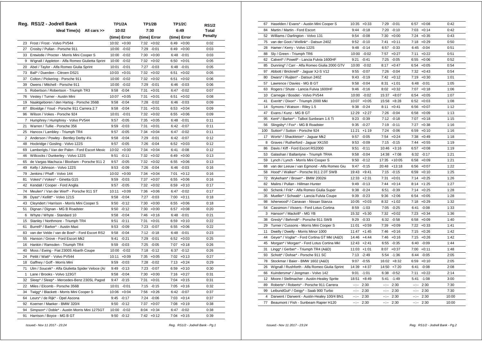|                | Reg. RS1/2 - Jodrell Bank                        | TP1/2A           | <b>TP1/2B</b>   | <b>TP1/2C</b>   | <b>RS1/2</b>   |
|----------------|--------------------------------------------------|------------------|-----------------|-----------------|----------------|
|                | Ideal Time(s) All cars >>                        | 10:02            | 7:30            | 6:49            | Total          |
|                |                                                  | (time) Error     | (time) Error    | (time) Error    | <b>Penalty</b> |
| 23             | Frost / Frost - Volvo PV544                      | 10:02<br>$+0:00$ | 7:32<br>$+0:02$ | 6:49<br>$+0:00$ | 0:02           |
| 27             | Crosby / Pullan - Porsche 911                    | 10:00<br>$-0:02$ | 7:29<br>$-0:01$ | $6:49 + 0:00$   | 0:03           |
| 33             | Entwistle / Procter - Morris Mini Cooper S       | 10:00<br>$-0:02$ | 7:30<br>$+0:00$ | $6:48 - 0:01$   | 0:03           |
| 9              | Wignall / Appleton - Alfa Romeo Giulietta Sprint | 10:00<br>$-0:02$ | 7:32<br>$+0:02$ | $6:50 + 0:01$   | 0:05           |
| 20             | Abel / Taylor - Alfa Romeo Giulia Sprint         | 10:01<br>$-0:01$ | 7:27<br>$-0:03$ | $6:48 - 0:01$   | 0:05           |
| 73             | Ball* / Duerden - Citroen DS21                   | 10:03<br>$+0:01$ | 7:32<br>$+0:02$ | 6:51<br>$+0:02$ | 0:05           |
| 37             | Colton / Pickering - Porsche 911                 | 10:00<br>$-0:02$ | 7:32<br>$+0:02$ | 6:51<br>$+0:02$ | 0:06           |
| 39             | Owens / Mitchell - Porsche 911                   | 10:00<br>$-0:02$ | 7:29<br>$-0:01$ | 6:46<br>$-0:03$ | 0:06           |
| 5              | Robertson / Robertson - Triumph TR3              | 9:58<br>$-0:04$  | 7:31<br>$+0:01$ | 6:47<br>$-0:02$ | 0:07           |
| 76             | Vestey / Turner - Austin Mini                    | 10:07<br>$+0:05$ | 7:31<br>$+0:01$ | 6:51<br>$+0:02$ | 0:08           |
| 19             | Naaktgeboren / den Hartog - Porsche 356B         | 9:58<br>$-0:04$  | 7:28 -0:02      | 6:46 -0:03      | 0:09           |
| 87             | Bloxidge / Youd - Porsche 911 Carrera 2.7        | 9:58<br>$-0:04$  | 7:31<br>$+0:01$ | $6:53 + 0:04$   | 0:09           |
| 96             | Wilson / Vokes - Porsche 924                     | $-0:01$<br>10:01 | $7:32 +0:02$    | $6:55 + 0:06$   | 0:09           |
| $\overline{7}$ | Humphrey / Humphrey - Volvo PV544                | 9:57<br>$-0:05$  | $7:35 + 0:05$   | 6:48<br>$-0:01$ | 0:11           |
| 21             | Warren / Tullie - Porsche 356                    | 9:59<br>$-0:03$  | 7:31<br>$+0:01$ | $6:42 -0:07$    | 0:11           |
| 25             | Hancox / Lambley - Triumph TR4                   | 9:57<br>$-0:05$  | 7:34<br>$+0:04$ | $6:47 - 0:02$   | 0:11           |
| 2              | Anderson / Powley - Bentley Derby 41/4           | 9:58<br>$-0:04$  | 7:29<br>$-0:01$ | 6:42<br>$-0:07$ | 0:12           |
| 48             | Hockridge / Gosling - Volvo 122S                 | 9:57<br>$-0:05$  | 7:26<br>$-0:04$ | $6:52 + 0:03$   | 0:12           |
| 69             | Lamberigts / Van der Palen - Ford Escort Mexic   | 10:02<br>$+0:00$ | 7:34<br>$+0:04$ | 6:41<br>$-0:08$ | 0:12           |
| 46             | Willcocks / Dunkerley - Volvo 122S               | 9:51<br>$-0:11$  | 7:32<br>$+0:02$ | 6:49<br>$+0:00$ | 0:13           |
| 65             | de Vargas Machuca / Bloxham - Porsche 911 2      | 9:57<br>$-0:05$  | 7:32<br>$+0:02$ | $6:55 + 0:06$   | 0:13           |
| 49             | Kelly / Johnson - Volvo 122S                     | 9:53<br>$-0:09$  | 7:26<br>$-0:04$ | $6:46 - 0:03$   | 0:16           |
| 79             | Jenkins / Phaff - Volvo 144                      | 10:02<br>$+0:00$ | 7:34<br>$+0:04$ | $7:01 + 0:12$   | 0:16           |
| 81             | Vokes* / Vokes* - Ginetta G15                    | 9:59<br>$-0:03$  | 7:37<br>$+0:07$ | $6:55 + 0:06$   | 0:16           |
| 42             | Kendall / Cooper - Ford Anglia                   | 9:57<br>$-0:05$  | 7:32<br>$+0:02$ | $6:59 + 0:10$   | 0:17           |
| 74             | Meulen* / Van der Werf* - Porsche 911 ST         | $+0:09$<br>10:11 | 7:36<br>$+0:06$ | 6:47 -0:02      | 0:17           |
| 36             | Dyas* / Kellitt* - Volvo 121S                    | 9:58<br>$-0:04$  | 7:27<br>$-0:03$ | 7:00<br>$+0:11$ | 0:18           |
| 43             | Cleyndert / Harrison - Morris Mini Cooper S      | 9:50<br>$-0:12$  | 7:30<br>$+0:00$ | 6:55<br>$+0:06$ | 0:18           |
| 51             | Dignan / Dignan - MG B Roadster                  | 9:50<br>$-0:12$  | 7:30<br>$+0:00$ | $+0:08$<br>6:57 | 0:20           |
| 6              | Whyte / Whyte - Standard 10                      | 9:58<br>$-0:04$  | 7:46<br>$+0:16$ | 6:48<br>$-0:01$ | 0:21           |
| 15             | Stanley / Northmore - Triumph TR4                | 9:51<br>$-0:11$  | 7:31<br>$+0:01$ | 6:59<br>$+0:10$ | 0:22           |
| 61             | Burrell* / Barker* - Austin Maxi                 | 9:53<br>$-0:09$  | 7:23<br>$-0:07$ | $6:55 + 0:06$   | 0:22           |
| 83             | van der Velde / van de Boel* - Ford Escort RS2   | 9:58<br>$-0:04$  | 7:12<br>$-0:18$ | $6:48 - 0:01$   | 0:23           |
| 55             | Hanson / Grove - Ford Escort Mk2                 | 9:41<br>$-0:21$  | 7:29<br>$-0:01$ | 6:52<br>$+0:03$ | 0:25           |
| 16             | Hankin / Ramsden - Triumph TR4                   | 9:59<br>$-0:03$  | 7:25<br>$-0:05$ | $7:07 +0:18$    | 0:26           |
| 40             | Moss / Ewing - Fiat 2300S Abarth Coupe           | $-0:02$<br>10:00 | 7:18<br>$-0:12$ | 6:37<br>$-0:12$ | 0:26           |
| 24             | Pettit / Watt* - Volvo PV544                     | 10:11<br>$+0:09$ | $7:35 +0:05$    | $7:02 +0:13$    | 0:27           |
| 18             | Gaffney / Goff - Morris Mini                     | 9:59<br>$-0:03$  | 7:28<br>$-0:02$ | $7:13 + 0:24$   | 0:29           |
| 71             | Ulm / Soucek* - Alfa Giulietta Spider Veloce (A& | 9:49<br>$-0:13$  | 7:23<br>$-0:07$ | $6:59 + 0:10$   | 0:30           |
| $\mathbf{1}$   | Lane / Brooks - Volvo 123GT                      | 9:58<br>$-0:04$  | 7:30<br>$+0:00$ | $7:16 + 0:27$   | 0:31           |
| 32             | Sleep* / Sleep* - Mercedes-Benz 230SL Pagod      | 9:47<br>$-0:15$  | 7:31<br>$+0:01$ | $7:04 +0:15$    | 0:31           |
| 22             | Miles / Elcomb - Porsche 356B                    | 10:01<br>$-0:01$ | 7:15<br>$-0:15$ | $7:05 +0:16$    | 0:32           |
| 34             | Twigg* / Blackett - Morris Mini Cooper S         | 10:06<br>$+0:04$ | 7:56<br>$+0:26$ | $6:42 -0:07$    | 0:37           |
| 64             | Leurs* / de Rijk* - Opel Ascona                  | 9:45<br>$-0:17$  | 7:24<br>$-0:06$ | $7:03 +0:14$    | 0:37           |
| 92             |                                                  |                  |                 |                 |                |
|                | Koerner / Maeker - BMW 320/4                     | 9:50<br>$-0:12$  | 7:37<br>$+0:07$ | $7:08 +0:19$    | 0:38           |
| 94             | Simpson* / Doble* - Austin Morris Mini 1275GT    | 10:00<br>$-0:02$ | 8:04<br>$+0:34$ | 6:47<br>$-0:02$ | 0:38           |
| 91             | Harrison / Boyce - MG B GT                       | $9:50 -0:12$     | $7:42 +0:12$    | $7:04 +0:15$    | 0:39           |

| 67             | Haselden / Evans* - Austin Mini Cooper S       | 10:35            | $+0:33$        | 7:29         | $-0:01$        | 6:57             | $+0:08$       | 0:42  |
|----------------|------------------------------------------------|------------------|----------------|--------------|----------------|------------------|---------------|-------|
| 84             | Martin / Martin - Ford Escort                  | 9:44             | $-0:18$        | 7:20         | $-0:10$        | 7:03             | $+0:14$       | 0:42  |
| 52             | Williams / Darlington - Volvo 131              | 9:54             | $-0:08$        |              | $7:30 + 0:00$  |                  | $7:24 +0:35$  | 0:43  |
| 75             | van der Goot / Wellink* - Datsun 240Z          | 9:52             | $-0:10$        | 7:41         | $+0:11$        |                  | $7:18 + 0:29$ | 0:50  |
| 28             | Hamer / Kerry - Volvo 122S                     | 9:48             | $-0:14$        |              | $6:57 - 0:33$  |                  | $6:45 -0:04$  | 0:51  |
| 88             | Sly / Green - Triumph TR6                      |                  | 10:00 -0:02    |              | $7:57 +0:27$   |                  | $7:11 + 0:22$ | 0:51  |
| 62             | Calvert* / Powell* - Lancia Fulvia 1600HF      | 9:21             | $-0:41$        | 7:25         | $-0:05$        | 6:55             | $+0:06$       | 0:52  |
| 85             | Dunning* / Carr - Alfa Romeo Giulia 2000 GTV   | 10:00            | $-0:02$        |              | $8:17 + 0:47$  | 6:54             | $+0:05$       | 0:54  |
| 97             | Abbott / Bricknell* - Jaguar XJ-S V12          | 9:55             | $-0:07$        |              | 7:26 -0:04     | 7:32             | $+0:43$       | 0:54  |
| 80             | Dwars* / Ruijten* - Datsun 240Z                | 9:43             | $-0:19$        | 7:42         | $+0:12$        |                  | $7:19 + 0:30$ | 1:01  |
| 57             | Lawrence / Davies - MG B GT                    | 9:58             | $-0:04$        | 8:31         | $+1:01$        |                  | $6:48 - 0:01$ | 1:05  |
| 63             | Rogers / Shute - Lancia Fulvia 1600HF          | 9:46             | $-0:16$        | 8:02         | $+0:32$        | 7:07             | $+0:18$       | 1:06  |
| 10             | Carnegie / Bosdet - Volvo PV544                | 10:00            | $-0:02$        | 15:37        | $+8:07$        | 6:54             | $+0:05$       | 1:07  |
| 41             | Everitt* / Dixon* - Triumph 2000 Mkl           | 10:07            | $+0:05$        |              | 15:58 +8:28    | 6:52             | $+0:03$       | 1:08  |
| 14             | Symons / Watson - Riley 1.5                    | 9:38             | $-0:24$        | 8:11         | $+0:41$        | 6:56             | $+0:07$       | 1:12  |
| 47             | Evans / Kunz - MG B GT                         |                  | 12:29 +2:27    |              | 7:26 -0:04     | 6:58             | $+0:09$       | 1:13  |
| 95             | Kent* / Barker* - Talbot Sunbeam 1.6 Ti        | 9:23             | $-0:39$        | 7:12         | $-0:18$        | 7:07             | $+0:18$       | 1:15  |
| 56             | Slingsby* / Fox* - MG B Roadster               | 9:35             | $-0:27$        | 7:19         | $-0:11$        | 7:27             | $+0.38$       | 1:16  |
| 100            | Sutton* / Sutton - Porsche 924                 | 11:21            | $+1:19$        | 7:24         | $-0:06$        | 6:59             | $+0:10$       | 1:16  |
| 17             | Worts* / Shackleton* - Jaguar Mk2              | 9:57             | $-0:05$        | 7:54         | $+0:24$        | 7:38             | $+0:49$       | 1:18  |
| 8              | Graves / Rutherford - Jaguar XK150             | 9:53             | $-0:09$        |              | $7:15 - 0:15$  | 7:44             | $+0:55$       | 1:19  |
| 86             | Davis / Kiff - Ford Escort RS2000              | 9:51             | $-0:11$        |              | 10:46 +3:16    | 6:57             | $+0:08$       | 1:19  |
| 53             | Galashan / Ballantyne - Triumph TR4A           | 9:58             | $-0:04$        |              | $14:38 + 7:08$ | 6:32             | $-0:17$       | 1:21  |
| 59             | Lynch / Lynch - Morris Mini Cooper S           | 9:50             | $-0:12$        |              | 17:35 +10:05   | 6:58             | $+0:09$       | 1:21  |
| 68             | van der Leeuw / van Egmond - Alfa Romeo Giu    | 9:47             | $-0:15$        |              | 20:48 +13:18   | 6:56             | $+0:07$       | 1:22  |
| 58             | Hood* / Walker* - Porsche 911 2.0T SWB         | 19:43            | $+9:41$        |              | $7:15 - 0:15$  | 6:59             | $+0:10$       | 1:25  |
| 72             | Wykeham* / Brown* - BMW 2002tii                |                  | 12:33 +2:31    |              | $7:31 + 0:01$  |                  | $7:14 + 0:25$ | 1:26  |
| 82             | Malins / Pullan - Hillman Hunter               | 9:49             | $-0:13$        |              | $7:44 + 0:14$  |                  | $8:14 + 1:25$ | 1:27  |
| 60             | Schenk / Frik* - Alfa Romeo Giulia Super       | 9:38             | $-0:24$        | 6:51         | $-0:39$        | 7:14             | $+0:25$       | 1:28  |
| 35             | Mueller* / Schwab* - Lancia Fulvia Coupe       | 9:39             | $-0:23$        | 9:36         | $+2:06$        | 6:54             | $+0:05$       | 1:28  |
| 98             | Isherwood* / Canavan - Nissan Stanza           |                  | $10:05 + 0:03$ |              | $8:32 +1:02$   | 7:18             | $+0:29$       | 1:32  |
| 54             | Cassimon / Vissers - Ford Lotus Cortina        | 8:59             | $-1:03$        | 7:05         | $-0:25$        | 6:41             | $-0:08$       | 1:33  |
| 3              | Hanson* / Mackrill* - MG YB                    | 15:32            | $+5:30$        | 7:32         | $+0:02$        | 7:23             | $+0:34$       | 1:36  |
| 38             | Gresly* / Behrndt* - Porsche 911 SWB           | 9:29             | $-0:33$        | 6:32         | -0:58          | 6:58             | $+0:09$       | 1:40  |
| 29             | Turner / Cussons - Morris Mini Cooper S        | 11:01            | $+0.59$        |              | $7:39 +0:09$   | 7:22             | $+0:33$       | 1:41  |
| 11             | Dwelly / Dwelly - Morris Minor 1000            | 11:47            | $+1:45$        |              | $7:46$ +0:16   |                  | $7:15 + 0:26$ | 1:42  |
| 44             | Geyer* / Voglar* - Ford Cortina GT MkI (A&D)   | 14:46            | $+4:44$        |              | $7:46$ +0:16   |                  | $7:15 +0:26$  | 1:42  |
| 45             | Morgan* / Morgan* - Ford Lotus Cortina Mkl     | 12:43            | $+2:41$        |              | $6:55 - 0:35$  |                  | $6:40 -0:09$  | 1:44  |
| 31             | Lingg* / Gerber* - Triumph TR4 (A&D)           | 11:03            | $+1:01$        | 8:07         | +0:37          | 7:00             | $+0:11$       | 1:48  |
| 93             | Schott* / Dohse* - Porsche 911 SC              | 7:13             | $-2:49$        | 5:54         | $-1:36$        | 6:44             | $-0:05$       | 2:05  |
| 78             | Stockmar / Baier - BMW 1602 (A&D)              | 9:07             | $-0:55$        |              | 16:02 +8:32    | 6:59             | $+0:10$       | 2:05  |
| 26             | Wignall / Rushforth - Alfa Romeo Giulia Sprint | 14:39            | $+4:37$        |              | 14:50 +7:20    | 6:41             | $-0:08$       | 2:08  |
| 66             | Kuindersma* / Jongman - Volvo 142              | 9:01             | $-1:01$        |              | $6:38 - 0:52$  | 7:11             | $+0:22$       | 2:14  |
| 12             | Moore / Stellmacher - Austin-Healey Sprite     | 18:51            | $+8:49$        | 5:41         | $-1:49$        | 5:41             | $-1:08$       | 3:00  |
| 89             | Roberts* / Roberts* - Porsche 911 Carrera      | $-2 - 2 - 1 = 0$ | 2:30           | $-2 - 1$     | 2:30           | $-2 - 2 - 1 = 0$ | 2:30          | 7:30  |
| 99             | LeibundGut* / Geigy* - Saab 900 Turbo          | $-2 - 2 - 1 = 0$ | 2:30           | ----         | 2:30           | $-2 - 2 - 1 = 0$ | 2:30          | 7:30  |
| $\overline{4}$ | Darwent / Darwent - Austin-Healey 100/4 BN1    | $-2 - 2 - 1$     | 2:30           | $-1 - 1 - 1$ | 2:30           | $-2 - 2 - 1$     | 2:30          | 10:00 |
| 77             | Beaumont / Fish - Sunbeam Rapier H120          | $-2 - 2 - 1$     | 2:30           | --:--        | 2:30           | --:--            | 2:30          | 10:00 |
|                |                                                |                  |                |              |                |                  |               |       |

 *Issued:- Nov 11 2017 - 23:24 Reg. RS1/2 - Jodrell Bank - Pg.1*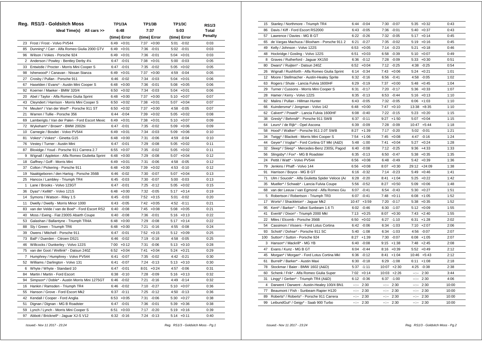|                | Reg. RS1/3 - Goldsitch Moss                      | TP1/3A          | <b>TP1/3B</b>   | <b>TP1/3C</b>   | <b>RS1/3</b>   |  |
|----------------|--------------------------------------------------|-----------------|-----------------|-----------------|----------------|--|
|                | Ideal Time(s) All cars >>                        | 6:48            | 7:37            | 5:03            | <b>Total</b>   |  |
|                |                                                  | (time) Error    | (time) Error    | (time) Error    | <b>Penalty</b> |  |
| 23             | Frost / Frost - Volvo PV544                      | $6:49 +0:01$    | $7:37 +0:00$    | 5:01<br>$-0:02$ | 0:03           |  |
| 85             | Dunning* / Carr - Alfa Romeo Giulia 2000 GTV     | 6:49<br>$+0:01$ | 7:36<br>$-0:01$ | $5:02 -0:01$    | 0:03           |  |
| 96             | Wilson / Vokes - Porsche 924                     | 6:49<br>$+0:01$ | 7:36<br>$-0:01$ | $5:04 +0:01$    | 0:03           |  |
| $\overline{2}$ | Anderson / Powley - Bentley Derby 41/4           | 6:47<br>$-0:01$ | 7:38<br>$+0:01$ | $5:00 - 0:03$   | 0:05           |  |
| 33             | Entwistle / Procter - Morris Mini Cooper S       | 6:47<br>$-0:01$ | 7:35<br>$-0:02$ | 5:05<br>$+0:02$ | 0:05           |  |
| 98             | Isherwood* / Canavan - Nissan Stanza             | 6:49<br>$+0:01$ | 7:37<br>$+0:00$ | 4:59<br>$-0:04$ | 0:05           |  |
| 27             | Crosby / Pullan - Porsche 911                    | $-0:02$<br>6:46 | 7:34<br>$-0:03$ | 5:04<br>$+0:01$ | 0:06           |  |
| 67             | Haselden / Evans* - Austin Mini Cooper S         | $+0:00$<br>6:48 | 7:36<br>$-0:01$ | 5:08<br>$+0:05$ | 0:06           |  |
| 92             | Koerner / Maeker - BMW 320/4                     | $6:50 + 0:02$   | 7:34<br>$-0:03$ | 5:04<br>$+0:01$ | 0:06           |  |
| 20             | Abel / Taylor - Alfa Romeo Giulia Sprint         | 6:48<br>$+0:00$ | 7:37<br>$+0:00$ | $5:10 + 0:07$   | 0:07           |  |
| 43             | Cleyndert / Harrison - Morris Mini Cooper S      | 6:50<br>$+0:02$ | 7:38<br>$+0:01$ | 5:07<br>$+0:04$ | 0:07           |  |
| 74             | Meulen* / Van der Werf* - Porsche 911 ST         | 6:50<br>$+0:02$ | 7:37<br>$+0:00$ | 4:58 -0:05      | 0:07           |  |
| 21             | Warren / Tullie - Porsche 356                    | 6:44<br>$-0:04$ | 7:39<br>$+0:02$ | $5:05 +0:02$    | 0:08           |  |
| 69             | Lamberigts / Van der Palen - Ford Escort Mexic   | 6:49<br>$+0:01$ | 7:38<br>$+0:01$ | $5:10 + 0:07$   | 0:09           |  |
| 72             | Wykeham* / Brown* - BMW 2002tii                  | 6:47<br>$-0:01$ | 7:35<br>$-0:02$ | 5:09<br>$+0:06$ | 0:09           |  |
| 10             | Carnegie / Bosdet - Volvo PV544                  | 6:49<br>$+0:01$ | 7:34<br>$-0:03$ | $5:09 +0:06$    | 0:10           |  |
| 81             | Vokes* / Vokes* - Ginetta G15                    | 6:48<br>$+0:00$ | 7:31<br>$-0:06$ | 4:59<br>$-0:04$ | 0:10           |  |
| 76             | Vestey / Turner - Austin Mini                    | 6:47<br>$-0:01$ | 7:29<br>$-0:08$ | $5:05 +0:02$    | 0:11           |  |
| 87             | Bloxidge / Youd - Porsche 911 Carrera 2.7        | 6:55<br>$+0:07$ | 7:35<br>$-0:02$ | $5:05 + 0:02$   | 0:11           |  |
| 9              | Wignall / Appleton - Alfa Romeo Giulietta Sprint | 6:48<br>$+0:00$ | 7:29<br>$-0:08$ | 5:07<br>$+0:04$ | 0:12           |  |
| 18             | Gaffney / Goff - Morris Mini                     | 6:49<br>$+0:01$ | 7:31<br>$-0:06$ | 4:58<br>$-0:05$ | 0:12           |  |
| 37             | Colton / Pickering - Porsche 911                 | 6:48<br>$+0:00$ | 7:39<br>$+0:02$ | 4:53 -0:10      | 0:12           |  |
| 19             | Naaktgeboren / den Hartog - Porsche 356B         | 6:46<br>$-0:02$ | 7:30<br>$-0:07$ | 5:07<br>$+0:04$ | 0:13           |  |
| 25             | Hancox / Lambley - Triumph TR4                   | 6:45<br>$-0:03$ | 7:30<br>$-0:07$ | $5:00 - 0:03$   | 0:13           |  |
| $\mathbf{1}$   | Lane / Brooks - Volvo 123GT                      | 6:47<br>$-0:01$ | 7:25<br>$-0:12$ | $5:05 + 0:02$   | 0:15           |  |
| 36             | Dyas* / Kellitt* - Volvo 121S                    | $+0:00$<br>6:48 | 7:32<br>$-0:05$ | $5:17 + 0:14$   | 0:19           |  |
| 14             | Symons / Watson - Riley 1.5                      | 6:45<br>$-0:03$ | 7:52<br>$+0:15$ | 5:01<br>$-0:02$ | 0:20           |  |
| 11             | Dwelly / Dwelly - Morris Minor 1000              | 6:43<br>$-0:05$ | 7:42<br>$+0:05$ | 4:52 -0:11      | 0:21           |  |
| 83             | van der Velde / van de Boel* - Ford Escort RS2   | 6:40<br>$-0:08$ | 7:45<br>$+0:08$ | 5:08<br>$+0:05$ | 0:21           |  |
| 40             | Moss / Ewing - Fiat 2300S Abarth Coupe           | 6:40<br>$-0:08$ | 7:36<br>$-0:01$ | $+0:13$<br>5:16 | 0:22           |  |
| 53             | Galashan / Ballantyne - Triumph TR4A             | $+0:00$<br>6:48 | 7:29<br>$-0:08$ | 5:17<br>$+0:14$ | 0:22           |  |
| 88             | Sly / Green - Triumph TR6                        | 6:48<br>$+0:00$ | 7:21<br>$-0:16$ | 4:55<br>$-0:08$ | 0:24           |  |
| 39             | Owens / Mitchell - Porsche 911                   | 6:47<br>$-0:01$ | 7:52<br>$+0:15$ | 5:12<br>$+0:09$ | 0:25           |  |
| 73             | Ball* / Duerden - Citroen DS21                   | 6:46<br>$-0:02$ | 7:19<br>$-0:18$ | 4:58<br>$-0:05$ | 0:25           |  |
| 46             | Willcocks / Dunkerley - Volvo 122S               | 7:00<br>$+0:12$ | 7:31<br>$-0:06$ | 5:13<br>$+0:10$ | 0:28           |  |
| 75             | van der Goot / Wellink* - Datsun 240Z            | 6:52<br>$+0:04$ | 7:41<br>$+0:04$ | 5:24<br>$+0:21$ | 0:29           |  |
| 7              | Humphrey / Humphrey - Volvo PV544                | 6:41<br>$-0:07$ | 7:35<br>$-0:02$ | 4:42 -0:21      | 0:30           |  |
| 52             | Williams / Darlington - Volvo 131                | 6:41<br>$-0:07$ | 7:24<br>$-0:13$ | $5:13 + 0:10$   | 0:30           |  |
| 6              | Whyte / Whyte - Standard 10                      | 6:47<br>$-0:01$ | 8:01<br>$+0:24$ | 4:57 -0:06      | 0:31           |  |
| 84             | Martin / Martin - Ford Escort                    | 6:38<br>$-0:10$ | 7:28<br>$-0:09$ | $5:16 + 0:13$   | 0:32           |  |
| 94             | Simpson* / Doble* - Austin Morris Mini 1275GT    | 6:46<br>$-0:02$ | 7:21<br>$-0:16$ | 4:49 -0:14      | 0:32           |  |
| 16             | Hankin / Ramsden - Triumph TR4                   | 6:46<br>$-0:02$ | 7:10<br>$-0:27$ | $5:10 + 0:07$   | 0:36           |  |
| 55             | Hanson / Grove - Ford Escort Mk2                 | 6:37<br>$-0:11$ | 7:25<br>$-0:12$ | 4:50 -0:13      | 0:36           |  |
| 42             | Kendall / Cooper - Ford Anglia                   | $6:53 + 0:05$   | 7:31<br>$-0:06$ | $5:30 +0:27$    | 0:38           |  |
| 51             | Dignan / Dignan - MG B Roadster                  | $-0:01$<br>6:47 | 7:36<br>$-0:01$ | 5:39<br>$+0:36$ | 0:38           |  |
| 59             | Lynch / Lynch - Morris Mini Cooper S             | 6:51<br>$+0:03$ | 7:17<br>$-0:20$ | $5:19 + 0:16$   | 0:39           |  |
| 97             | Abbott / Bricknell* - Jaguar XJ-S V12            | $6:32 -0:16$    | 7:24 -0:13      | $5:14 + 0:11$   | 0:40           |  |

| 15  | Stanley / Northmore - Triumph TR4                | 6:44             | $-0:04$       |              | 7:30 -0:07    | 5:35         | $+0:32$        | 0:43  |
|-----|--------------------------------------------------|------------------|---------------|--------------|---------------|--------------|----------------|-------|
| 86  | Davis / Kiff - Ford Escort RS2000                | 6:43             | $-0:05$       | 7:36         | $-0:01$       | 5:40         | $+0:37$        | 0:43  |
| 57  | Lawrence / Davies - MG B GT                      | 6:22             | $-0:26$       |              | 7:32 -0:05    | 5:17         | $+0:14$        | 0:45  |
| 65  | de Vargas Machuca / Bloxham - Porsche 911 2      | 6:21             | $-0:27$       | 7:35         | $-0:02$       | 5:19         | $+0:16$        | 0:45  |
| 49  | Kelly / Johnson - Volvo 122S                     | 6:53             | $+0:05$       | 7:14         | $-0:23$       | 5:21         | $+0:18$        | 0:46  |
| 48  | Hockridge / Gosling - Volvo 122S                 | 6:51             | $+0:03$       | 6:58         | $-0:39$       | 5:10         | $+0:07$        | 0:49  |
| 8   | Graves / Rutherford - Jaguar XK150               | 6:36             | $-0:12$       | 7:28         | $-0:09$       | 5:33         | $+0:30$        | 0:51  |
| 80  | Dwars* / Ruijten* - Datsun 240Z                  | 6:52             | $+0:04$       | 7:12         | $-0:25$       | 4:38         | $-0:25$        | 0:54  |
| 26  | Wignall / Rushforth - Alfa Romeo Giulia Sprint   | 6:14             | $-0:34$       |              | $7:43 +0:06$  | 5:24         | $+0:21$        | 1:01  |
| 12  | Moore / Stellmacher - Austin-Healey Sprite       | 6:32             | $-0:16$       | 6:56         | $-0:41$       | 4:58         | $-0:05$        | 1:02  |
| 63  | Rogers / Shute - Lancia Fulvia 1600HF            | 6:29             | $-0:19$       | 7:37         | $+0:00$       | 5:48         | $+0:45$        | 1:04  |
| 29  | Turner / Cussons - Morris Mini Cooper S          | 6:31             | $-0:17$       | 7:20         | $-0:17$       | 5:36         | $+0:33$        | 1:07  |
| 28  | Hamer / Kerry - Volvo 122S                       | 6:35             | $-0:13$       |              | $6:53 - 0:44$ |              | $5:16 + 0:13$  | 1:10  |
| 82  | Malins / Pullan - Hillman Hunter                 |                  | $6:43 - 0:05$ |              | 7:32 -0:05    |              | $6:06 +1:03$   | 1:10  |
| 66  | Kuindersma* / Jongman - Volvo 142                | 6:48             | $+0:00$       |              | $7:47 +0:10$  |              | $13:38 + 8:35$ | 1:10  |
| 62  | Calvert* / Powell* - Lancia Fulvia 1600HF        | 6:08             | $-0:40$       | 7:22         | $-0:15$       | 5:23         | $+0:20$        | 1:15  |
| 38  | Gresly* / Behrndt* - Porsche 911 SWB             | 6:37             | $-0:11$       | 9:27         | $+1:50$       | 5:07         | $+0:04$        | 1:15  |
| 64  | Leurs* / de Rijk* - Opel Ascona                  | 6:39             | $-0:09$       | 7:28         | $-0:09$       | 10:47        | $+5:44$        | 1:18  |
| 58  | Hood* / Walker* - Porsche 911 2.0T SWB           | 8:27             | $+1:39$       | 7:17         | $-0:20$       | 5:02         | $-0:01$        | 1:21  |
| 34  | Twigg* / Blackett - Morris Mini Cooper S         | 7:54             | $+1:06$       | 7:45         | $+0:08$       | 4:47         | $-0:16$        | 1:24  |
| 44  | Geyer* / Voglar* - Ford Cortina GT MkI (A&D)     | 5:48             | $-1:00$       | 7:41         | $+0:04$       | 5:27         | $+0:24$        | 1:28  |
| 32  | Sleep* / Sleep* - Mercedes-Benz 230SL Pagod      | 6:40             | $-0:08$       | 7:12         | $-0:25$       | 9:36         | $+4:33$        | 1:33  |
| 56  | Slingsby* / Fox* - MG B Roadster                 | 6:35             | $-0:13$       | 6:50         | $-0:47$       | 5:38         | $+0:35$        | 1:35  |
| 24  | Pettit / Watt* - Volvo PV544                     |                  | $6:56 + 0:08$ |              | $6:48 - 0:49$ |              | $5:42 +0:39$   | 1:36  |
| 79  | Jenkins / Phaff - Volvo 144                      | 6:56             | $+0:08$       | 8:07         | $+0:30$       |              | 29:12 +24:09   | 1:38  |
| 91  | Harrison / Boyce - MG B GT                       | 6:16             | $-0:32$       |              | 7:14 -0:23    |              | $5:49 + 0:46$  | 1:41  |
| 71  | Ulm / Soucek* - Alfa Giulietta Spider Veloce (A& | 6:28             | $-0:20$       | 8:41         | $+1:04$       | 5:25         | $+0:22$        | 1:42  |
| 35  | Mueller* / Schwab* - Lancia Fulvia Coupe         | 5:56             | $-0:52$       | 8:27         | $+0:50$       | 5:09         | $+0:06$        | 1:48  |
| 68  | van der Leeuw / van Egmond - Alfa Romeo Giu      | 6:07             | $-0:41$       | 6:54         | $-0:43$       | 5:30         | $+0:27$        | 1:51  |
| 5   | Robertson / Robertson - Triumph TR3              | 6:07             | $-0:41$       | 7:48         | $+0:11$       | 6:08         | $+1:05$        | 1:52  |
| 17  | Worts* / Shackleton* - Jaguar Mk2                | 10:47            | $+3:59$       | 7:20         | $-0:17$       | 5:38         | $+0:35$        | 1:52  |
|     |                                                  |                  |               |              |               |              |                |       |
| 95  | Kent* / Barker* - Talbot Sunbeam 1.6 Ti          |                  | $6:02 -0:46$  |              | $6:30 - 1:07$ | 5:12         | $+0:09$        | 1:55  |
| 41  | Everitt* / Dixon* - Triumph 2000 Mkl             | 7:13             | $+0:25$       | 8:07         | $+0:30$       | 7:43         | $+2:40$        | 1:55  |
| 22  | Miles / Elcomb - Porsche 356B                    | 6:50             | $+0:02$       | 6:27         | $-1:10$       | 6:31         | $+1:28$        | 2:02  |
| 54  | Cassimon / Vissers - Ford Lotus Cortina          | 6:42             | $-0:06$       | 6:34         | $-1:03$       | 7:10         | $+2:07$        | 2:06  |
| 93  | Schott* / Dohse* - Porsche 911 SC                |                  | $5:40 - 1:08$ |              | $6:34 -1:03$  | 4:56         | $-0:07$        | 2:07  |
| 100 | Sutton* / Sutton - Porsche 924                   |                  | $8:27 +1:39$  |              | 7:30 -0:07    | 6:08         | $+1:05$        | 2:07  |
| 3   | Hanson* / Mackrill* - MG YB                      | 6:40             | $-0:08$       | 9:15         | $+1:38$       | 7:48         | $+2:45$        | 2:08  |
| 47  | Evans / Kunz - MG B GT                           | 6:04             | $-0:44$       | 8:16         | $+0:39$       | 5:52         | $+0:49$        | 2:12  |
| 45  | Morgan* / Morgan* - Ford Lotus Cortina Mkl       | 6:36             | $-0:12$       | 8:41         | $+1:04$       |              | $10:46 + 5:43$ | 2:12  |
| 61  | Burrell* / Barker* - Austin Maxi                 | 6:30             | $-0:18$       |              | $6:29 -1:08$  | 6:11         | $+1:08$        | 2:18  |
| 78  | Stockmar / Baier - BMW 1602 (A&D)                | 5:37             | $-1:11$       |              | 10:07 +2:30   | 4:25         | $-0:38$        | 2:38  |
| 60  | Schenk / Frik* - Alfa Romeo Giulia Super         | 7:02             | $+0:14$       |              | $10:03 +2:26$ | $-2 - 2 - 1$ | 2:30           | 3:44  |
| 31  | Lingg* / Gerber* - Triumph TR4 (A&D)             | 6:12             | $-0:36$       |              | $6:37 - 1:00$ | $-1 - 1$     | 2:30           | 4:06  |
|     |                                                  |                  |               |              |               |              |                |       |
| 4   | Darwent / Darwent - Austin-Healey 100/4 BN1      | $-2 - 2 - 1 = 0$ | 2:30          | $-25 - 1$    | 2:30          | --:--        | 2:30           | 10:00 |
| 77  | Beaumont / Fish - Sunbeam Rapier H120            | --:--            | 2:30          | $-2 - 1$     | 2:30          | $-2 - 2 - 1$ | 2:30           | 10:00 |
| 89  | Roberts* / Roberts* - Porsche 911 Carrera        | $-2 - 2 - 1$     | 2:30          | $-2 - 2 - 1$ | 2:30          | $-2 - 1$     | 2:30           | 10:00 |
| 99  | LeibundGut* / Geigy* - Saab 900 Turbo            | $-2 - 1$         | 2:30          | $-2 - 2 - 1$ | 2:30          | --1--        | 2:30           | 10:00 |

 *Issued:- Nov 11 2017 - 23:24 Reg. RS1/3 - Goldsitch Moss - Pg.1*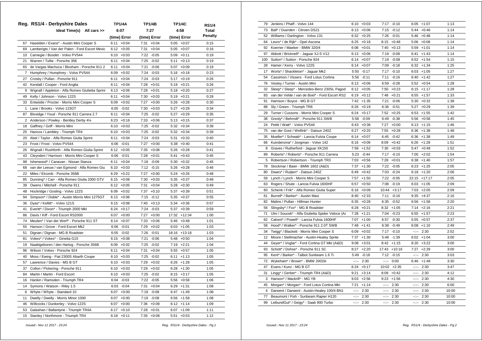|                 | Reg. RS1/4 - Derbyshire Dales                    | <b>TP1/4A</b>   | <b>TP1/4B</b>   |      | <b>TP1/4C</b> | RS1/4   |
|-----------------|--------------------------------------------------|-----------------|-----------------|------|---------------|---------|
|                 | Ideal Time(s) All cars >>                        | 6:07            | 7:27            |      | 4:58          | Total   |
|                 |                                                  | (time) Error    | (time) Error    |      | (time) Error  | Penalty |
| 67              | Haselden / Evans* - Austin Mini Cooper S         | 6:11<br>$+0:04$ | 7:31<br>$+0:04$ |      | $5:05 +0:07$  | 0:15    |
| 69              | Lamberigts / Van der Palen - Ford Escort Mexic   | 6:12<br>$+0:05$ | 7:31<br>$+0:04$ |      | $5:05 +0:07$  | 0:16    |
| 10 <sup>1</sup> | Carnegie / Bosdet - Volvo PV544                  | 6:10<br>$+0:03$ | 7:22<br>$-0:05$ |      | $5:09 +0:11$  | 0:19    |
| 21              | Warren / Tullie - Porsche 356                    | 6:11<br>$+0:04$ | 7:25<br>$-0:02$ | 5:11 | $+0:13$       | 0:19    |
| 65              | de Vargas Machuca / Bloxham - Porsche 911 2      | 6:11<br>$+0:04$ | 7:21<br>$-0:06$ | 5:07 | $+0:09$       | 0:19    |
| 7               | Humphrey / Humphrey - Volvo PV544                | $+0:02$<br>6:09 | 7:24<br>$-0:03$ |      | $5:16 + 0:18$ | 0:23    |
| 27              | Crosby / Pullan - Porsche 911                    | $+0:04$<br>6:11 | 7:24<br>$-0:03$ | 5:17 | $+0:19$       | 0:26    |
| 42              | Kendall / Cooper - Ford Anglia                   | 6:11<br>$+0:04$ | 7:28<br>$+0:01$ | 5:19 | $+0:21$       | 0:26    |
| 9               | Wignall / Appleton - Alfa Romeo Giulietta Sprint | 6:13<br>$+0:06$ | 7:28<br>$+0:01$ |      | $5:18 + 0:20$ | 0:27    |
| 49              | Kelly / Johnson - Volvo 122S                     | 6:11<br>$+0:04$ | 7:30<br>$+0:03$ | 5:19 | $+0:21$       | 0:28    |
| 33              | Entwistle / Procter - Morris Mini Cooper S       | 6:09<br>$+0:02$ | 7:27<br>$+0:00$ | 5:26 | $+0:28$       | 0:30    |
| 1               | Lane / Brooks - Volvo 123GT                      | 6:05<br>$-0:02$ | 7:30<br>$+0:03$ | 5:27 | $+0:29$       | 0:34    |
| 87              | Bloxidge / Youd - Porsche 911 Carrera 2.7        | 6:11<br>$+0:04$ | 7:25<br>$-0:02$ | 5:27 | $+0:29$       | 0:35    |
| $\overline{2}$  | Anderson / Powley - Bentley Derby 41/4           | 6:23<br>$+0:16$ | $7:33 +0:06$    |      | $5:13 + 0:15$ | 0:37    |
| 18              | Gaffney / Goff - Morris Mini                     | $6:10 + 0:03$   | 7:25<br>$-0:02$ | 5:32 | $+0:34$       | 0:39    |
| 25              | Hancox / Lambley - Triumph TR4                   | $6:10 + 0:03$   | 7:25<br>$-0:02$ |      | $5:32 +0:34$  | 0:39    |
| 20              | Abel / Taylor - Alfa Romeo Giulia Sprint         | 6:11<br>$+0:04$ | 7:24<br>$-0:03$ | 5:31 | $+0:33$       | 0:40    |
| 23              | Frost / Frost - Volvo PV544                      | 6:06<br>$-0:01$ | 7:27<br>$+0:00$ |      | $5:38 + 0:40$ | 0:41    |
| 26              | Wignall / Rushforth - Alfa Romeo Giulia Sprint   | $6:12 + 0:05$   | 7:35<br>$+0:08$ |      | $5:26 + 0:28$ | 0:41    |
| 43              | Cleyndert / Harrison - Morris Mini Cooper S      | 6:06<br>$-0:01$ | 7:28<br>$+0:01$ | 5:41 | $+0:43$       | 0:45    |
| 98              | Isherwood* / Canavan - Nissan Stanza             | 6:11<br>$+0:04$ | 7:18<br>$-0:09$ |      | $5:30 + 0:32$ | 0:45    |
| 68              | van der Leeuw / van Egmond - Alfa Romeo Giu      | $+0:03$<br>6:10 | 7:12<br>$-0:15$ |      | $5:26 + 0:28$ | 0:46    |
| 22              | Miles / Elcomb - Porsche 356B                    | 6:29<br>$+0:22$ | 7:27<br>$+0:00$ |      | $5:24 +0:26$  | 0:48    |
| 85              | Dunning* / Carr - Alfa Romeo Giulia 2000 GTV     | 6:15<br>$+0:08$ | 7:30<br>$+0:03$ | 5:35 | $+0:37$       | 0:48    |
| 39              | Owens / Mitchell - Porsche 911                   | 6:12<br>$+0:05$ | 7:31<br>$+0:04$ |      | $5:28 + 0:30$ | 0:49    |
| 48              | Hockridge / Gosling - Volvo 122S                 | 6:09<br>$+0:02$ | 7:37<br>$+0:10$ | 5:37 | $+0:39$       | 0:51    |
| 94              | Simpson* / Doble* - Austin Morris Mini 1275GT    | 6:13<br>$+0:06$ | 7:15<br>$-0:12$ |      | $5:35 + 0:37$ | 0:55    |
| 36              | Dyas* / Kellitt* - Volvo 121S                    | 6:15<br>$+0:08$ | 7:40<br>$+0:13$ |      | $5:34 +0:36$  | 0:57    |
| 41              | Everitt* / Dixon* - Triumph 2000 Mkl             | 6:24<br>$+0:17$ | 7:24 -0:03      |      | $5:37 +0:39$  | 0:59    |
| 86              | Davis / Kiff - Ford Escort RS2000                | 6:07<br>$+0:00$ | 7:27<br>$+0:00$ |      | 17:32 +12:34  | 1:00    |
| 74              | Meulen* / Van der Werf* - Porsche 911 ST         | $+0:07$<br>6:14 | 7:33<br>$+0:06$ |      | $5:46 + 0:48$ | 1:01    |
| 55              | Hanson / Grove - Ford Escort Mk2                 | 6:06<br>$-0:01$ | 7:29<br>$+0:02$ |      | $6:03 +1:05$  | 1:03    |
| 51              | Dignan / Dignan - MG B Roadster                  | 6:05<br>$-0:02$ | 7:26<br>$-0:01$ |      | 18:16 +13:18  | 1:03    |
| 81              | Vokes* / Vokes* - Ginetta G15                    | $6:15 + 0:08$   | 7:21<br>$-0:06$ | 5:48 | $+0:50$       | 1:04    |
| 19              | Naaktgeboren / den Hartog - Porsche 356B         | 6:09<br>$+0:02$ | 7:25<br>$-0:02$ |      | $7:19 +2:21$  | 1:04    |
| 96              | Wilson / Vokes - Porsche 924                     | $+0:04$<br>6:11 | 7:31<br>$+0:04$ | 5:55 | $+0:57$       | 1:05    |
| 40              | Moss / Ewing - Fiat 2300S Abarth Coupe           | 6:10<br>$+0:03$ | 7:25<br>$-0:02$ | 6:11 | $+1:13$       | 1:05    |
| 57              | Lawrence / Davies - MG B GT                      | 6:10<br>$+0:03$ | 7:29<br>$+0:02$ | 6:26 | $+1:28$       | 1:05    |
| 37              | Colton / Pickering - Porsche 911                 | 6:10<br>$+0:03$ | 7:29<br>$+0:02$ | 6:28 | $+1:30$       | 1:05    |
| 84              | Martin / Martin - Ford Escort                    | 6:10<br>$+0:03$ | 7:25<br>-0:02   | 8:15 | $+3:17$       | 1:05    |
| 16              | Hankin / Ramsden - Triumph TR4                   | 6:04<br>$-0:03$ | 7:22<br>$-0:05$ | 5:56 | $+0:58$       | 1:06    |
| 14              | Symons / Watson - Riley 1.5                      | $6:03 -0:04$    | 7:31<br>$+0:04$ |      | $6:29 +1:31$  | 1:08    |
| 6               | Whyte / Whyte - Standard 10                      | $6:07 +0:00$    | 7:19 -0:08      |      | $6:47 +1:49$  | 1:08    |
| 11              | Dwelly / Dwelly - Morris Minor 1000              | $6:07 +0:00$    | 7:19 -0:08      |      | $6:56$ +1:58  | 1:08    |
| 46              | Willcocks / Dunkerley - Volvo 122S               | $6:07 +0:00$    | 7:36<br>$+0:09$ |      | $6:12 +1:14$  | 1:09    |
| 53              | Galashan / Ballantyne - Triumph TR4A             | $6:17 + 0:10$   | $7:28$ +0:01    |      | $6:07 +1:09$  | 1:11    |
| 15              | Stanley / Northmore - Triumph TR4                | $6:18 + 0:11$   | $7:35 +0:08$    | 5:51 | $+0:53$       | 1:12    |

| 79             | Jenkins / Phaff - Volvo 144                      |                                                                                                                                                                                                                                                                                                                                                                                                                                                                            | $6:10 + 0:03$ |                                                                                                                                                                                                                                                                                                                                                                                                                                                | 7:17 -0:10    |              | $6:05 +1:07$  | 1:13  |
|----------------|--------------------------------------------------|----------------------------------------------------------------------------------------------------------------------------------------------------------------------------------------------------------------------------------------------------------------------------------------------------------------------------------------------------------------------------------------------------------------------------------------------------------------------------|---------------|------------------------------------------------------------------------------------------------------------------------------------------------------------------------------------------------------------------------------------------------------------------------------------------------------------------------------------------------------------------------------------------------------------------------------------------------|---------------|--------------|---------------|-------|
| 73             | Ball* / Duerden - Citroen DS21                   |                                                                                                                                                                                                                                                                                                                                                                                                                                                                            | $6:13 + 0:06$ |                                                                                                                                                                                                                                                                                                                                                                                                                                                | $7:15 -0:12$  |              | $5:44 + 0:46$ | 1:14  |
| 52             | Williams / Darlington - Volvo 131                |                                                                                                                                                                                                                                                                                                                                                                                                                                                                            | $6:32 + 0:25$ |                                                                                                                                                                                                                                                                                                                                                                                                                                                | 7:26 -0:01    |              | $5:46 + 0:48$ | 1:14  |
| 64             | Leurs* / de Rijk* - Opel Ascona                  |                                                                                                                                                                                                                                                                                                                                                                                                                                                                            | $6:25 +0:18$  |                                                                                                                                                                                                                                                                                                                                                                                                                                                | $8:15 + 0:48$ |              | $5:06$ +0:08  | 1:14  |
| 92             | Koerner / Maeker - BMW 320/4                     |                                                                                                                                                                                                                                                                                                                                                                                                                                                                            | $6:08 + 0:01$ |                                                                                                                                                                                                                                                                                                                                                                                                                                                | $7:40 +0:13$  |              | $5:59 +1:01$  | 1:14  |
| 97             | Abbott / Bricknell* - Jaguar XJ-S V12            | 6:13                                                                                                                                                                                                                                                                                                                                                                                                                                                                       | $+0:06$       | 7:19                                                                                                                                                                                                                                                                                                                                                                                                                                           | $-0:08$       | 6:41         | $+1:43$       | 1:14  |
| 100            | Sutton* / Sutton - Porsche 924                   | 6:14                                                                                                                                                                                                                                                                                                                                                                                                                                                                       | $+0:07$       | 7:19                                                                                                                                                                                                                                                                                                                                                                                                                                           | $-0:08$       | 6:52         | $+1:54$       | 1:15  |
| 28             | Hamer / Kerry - Volvo 122S                       | 6:14                                                                                                                                                                                                                                                                                                                                                                                                                                                                       | $+0:07$       | 7:09                                                                                                                                                                                                                                                                                                                                                                                                                                           | $-0:18$       |              | $6:32 +1:34$  | 1:25  |
| 17             | Worts* / Shackleton* - Jaguar Mk2                |                                                                                                                                                                                                                                                                                                                                                                                                                                                                            | 5:50 -0:17    | 7:17                                                                                                                                                                                                                                                                                                                                                                                                                                           | $-0:10$       | 6:03         | $+1:05$       | 1:27  |
| 54             | Cassimon / Vissers - Ford Lotus Cortina          |                                                                                                                                                                                                                                                                                                                                                                                                                                                                            | $5:56 - 0:11$ | 7:11                                                                                                                                                                                                                                                                                                                                                                                                                                           | $-0:16$       |              | $6:40 + 1:42$ | 1:27  |
| 76             | Vestey / Turner - Austin Mini                    | 6:13                                                                                                                                                                                                                                                                                                                                                                                                                                                                       | $+0:06$       | 6:59                                                                                                                                                                                                                                                                                                                                                                                                                                           | $-0:28$       | 5:52         | $+0:54$       | 1:28  |
| 32             | Sleep* / Sleep* - Mercedes-Benz 230SL Pagod      | 6:12                                                                                                                                                                                                                                                                                                                                                                                                                                                                       | $+0:05$       | 7:50                                                                                                                                                                                                                                                                                                                                                                                                                                           | $+0:23$       |              | $6:15 +1:17$  | 1:28  |
| 83             | van der Velde / van de Boel* - Ford Escort RS2   | 6:19                                                                                                                                                                                                                                                                                                                                                                                                                                                                       | $+0:12$       | 7:48                                                                                                                                                                                                                                                                                                                                                                                                                                           | $+0:21$       |              | $6:55 + 1:57$ | 1:33  |
| 91             | Harrison / Boyce - MG B GT                       |                                                                                                                                                                                                                                                                                                                                                                                                                                                                            | $7:42 +1:35$  | 7:21                                                                                                                                                                                                                                                                                                                                                                                                                                           | $-0:06$       |              | $5:30 + 0:32$ | 1:38  |
| 88             | Sly / Green - Triumph TR6                        |                                                                                                                                                                                                                                                                                                                                                                                                                                                                            | $6:26 + 0:19$ |                                                                                                                                                                                                                                                                                                                                                                                                                                                | $6:36 - 0:51$ |              | $5:27 +0:29$  | 1:39  |
| 29             | Turner / Cussons - Morris Mini Cooper S          | 6:24                                                                                                                                                                                                                                                                                                                                                                                                                                                                       | $+0:17$       |                                                                                                                                                                                                                                                                                                                                                                                                                                                | $7:52 +0:25$  |              | $6:53 +1:55$  | 1:42  |
| 38             | Gresly* / Behrndt* - Porsche 911 SWB             | 5:58                                                                                                                                                                                                                                                                                                                                                                                                                                                                       | $-0:09$       | 6:49                                                                                                                                                                                                                                                                                                                                                                                                                                           | $-0:38$       |              | $5:56 + 0:58$ | 1:45  |
| 24             | Pettit / Watt* - Volvo PV544                     |                                                                                                                                                                                                                                                                                                                                                                                                                                                                            | $6:43 + 0:36$ | 7:27                                                                                                                                                                                                                                                                                                                                                                                                                                           | $+0:00$       |              | 6:13 +1:15    | 1:46  |
| 75             | van der Goot / Wellink* - Datsun 240Z            | 6:27                                                                                                                                                                                                                                                                                                                                                                                                                                                                       | $+0:20$       | 7:55                                                                                                                                                                                                                                                                                                                                                                                                                                           | $+0:28$       |              | $6:36 +1:38$  | 1:48  |
| 35             | Mueller* / Schwab* - Lancia Fulvia Coupe         | 6:14                                                                                                                                                                                                                                                                                                                                                                                                                                                                       | $+0:07$       | 6:45                                                                                                                                                                                                                                                                                                                                                                                                                                           | $-0:42$       |              | $6:36 +1:38$  | 1:49  |
| 66             | Kuindersma* / Jongman - Volvo 142                | 6:16                                                                                                                                                                                                                                                                                                                                                                                                                                                                       | $+0:09$       |                                                                                                                                                                                                                                                                                                                                                                                                                                                | $8:09 +0:42$  |              | $6:26$ +1:28  | 1:51  |
| 8              | Graves / Rutherford - Jaguar XK150               | 7:59                                                                                                                                                                                                                                                                                                                                                                                                                                                                       | $+1:52$       | 7:30                                                                                                                                                                                                                                                                                                                                                                                                                                           | $+0:03$       | 5:47         | $+0:49$       | 1:52  |
| 89             | Roberts* / Roberts* - Porsche 911 Carrera        | 5:23                                                                                                                                                                                                                                                                                                                                                                                                                                                                       | $-0:44$       | 7:17                                                                                                                                                                                                                                                                                                                                                                                                                                           | $-0:10$       | 7:00         | $+2:02$       | 1:54  |
| 5              | Robertson / Robertson - Triumph TR3              |                                                                                                                                                                                                                                                                                                                                                                                                                                                                            | $7:03 +0:56$  |                                                                                                                                                                                                                                                                                                                                                                                                                                                | $7:28 +0:01$  |              | $6:38 +1:40$  | 1:57  |
| 78             | Stockmar / Baier - BMW 1602 (A&D)                | 7:37                                                                                                                                                                                                                                                                                                                                                                                                                                                                       | $+1:30$       |                                                                                                                                                                                                                                                                                                                                                                                                                                                | 7:22 -0:05    |              | $6:23 +1:25$  | 2:05  |
| 80             | Dwars* / Ruijten* - Datsun 240Z                  |                                                                                                                                                                                                                                                                                                                                                                                                                                                                            | $6:49 + 0:42$ |                                                                                                                                                                                                                                                                                                                                                                                                                                                | 7:03 -0:24    |              | $6:18 + 1:20$ | 2:06  |
| 59             | Lynch / Lynch - Morris Mini Cooper S             | 7:57                                                                                                                                                                                                                                                                                                                                                                                                                                                                       | $+1:50$       | 7:22                                                                                                                                                                                                                                                                                                                                                                                                                                           | $-0:05$       |              | 22:15 +17:17  | 2:05  |
| 63             | Rogers / Shute - Lancia Fulvia 1600HF            | 6:57                                                                                                                                                                                                                                                                                                                                                                                                                                                                       | $+0:50$       |                                                                                                                                                                                                                                                                                                                                                                                                                                                | 7:08 -0:19    |              | $6:03 +1:05$  | 2:09  |
| 60             | Schenk / Frik* - Alfa Romeo Giulia Super         | 6:16                                                                                                                                                                                                                                                                                                                                                                                                                                                                       | $+0:09$       | 10:44                                                                                                                                                                                                                                                                                                                                                                                                                                          | $+3:17$       |              | $7:03 +2:05$  | 2:09  |
| 61             | Burrell* / Barker* - Austin Maxi                 | 8:40                                                                                                                                                                                                                                                                                                                                                                                                                                                                       | $+2:33$       | 7:11                                                                                                                                                                                                                                                                                                                                                                                                                                           | $-0:16$       | 9:35         | $+4:37$       | 2:16  |
| 82             | Malins / Pullan - Hillman Hunter                 |                                                                                                                                                                                                                                                                                                                                                                                                                                                                            | $6:35 + 0:28$ |                                                                                                                                                                                                                                                                                                                                                                                                                                                | $6:35 - 0:52$ |              | $6:56 +1:58$  | 2:20  |
| 56             | Slingsby* / Fox* - MG B Roadster                 | 6:28                                                                                                                                                                                                                                                                                                                                                                                                                                                                       | $+0:21$       | 8:32                                                                                                                                                                                                                                                                                                                                                                                                                                           | $+1:05$       |              | $7:14 +2:16$  | 2:21  |
| 71             | Ulm / Soucek* - Alfa Giulietta Spider Veloce (Al | 7:28                                                                                                                                                                                                                                                                                                                                                                                                                                                                       | $+1:21$       | 7:04                                                                                                                                                                                                                                                                                                                                                                                                                                           | $-0:23$       | 6:55         | $+1:57$       | 2:23  |
| 62             | Calvert* / Powell* - Lancia Fulvia 1600HF        | 7:07                                                                                                                                                                                                                                                                                                                                                                                                                                                                       | $+1:00$       | 6:57                                                                                                                                                                                                                                                                                                                                                                                                                                           | $-0:30$       |              | $5:55 + 0:57$ | 2:37  |
| 58             | Hood* / Walker* - Porsche 911 2.0T SWB           | 7:48                                                                                                                                                                                                                                                                                                                                                                                                                                                                       | $+1:41$       | 6:38                                                                                                                                                                                                                                                                                                                                                                                                                                           | $-0:49$       |              | $6:08 +1:10$  | 2:49  |
| 34             | Twigg* / Blackett - Morris Mini Cooper S         | 6:09                                                                                                                                                                                                                                                                                                                                                                                                                                                                       | $+0:02$       |                                                                                                                                                                                                                                                                                                                                                                                                                                                | 7:17 -0:10    | $-2 - 2 - 1$ | 2:30          | 2:52  |
| 12             | Moore / Stellmacher - Austin-Healey Sprite       | 7:37                                                                                                                                                                                                                                                                                                                                                                                                                                                                       | $+1:30$       |                                                                                                                                                                                                                                                                                                                                                                                                                                                | 5:48 -1:39    |              | $6:02 +1:04$  | 3:00  |
| 44             | Geyer* / Voglar* - Ford Cortina GT MkI (A&D)     | 9:08                                                                                                                                                                                                                                                                                                                                                                                                                                                                       | $+3:01$       | 8:42                                                                                                                                                                                                                                                                                                                                                                                                                                           | $+1:15$       | 8:20         | $+3:22$       | 3:00  |
| 93             | Schott* / Dohse* - Porsche 911 SC                | 8:27                                                                                                                                                                                                                                                                                                                                                                                                                                                                       | $+2:20$       |                                                                                                                                                                                                                                                                                                                                                                                                                                                | 17:43 +10:16  | 7:27         | $+2:29$       | 3:00  |
| 95             | Kent* / Barker* - Talbot Sunbeam 1.6 Ti          | 5:49                                                                                                                                                                                                                                                                                                                                                                                                                                                                       | $-0:18$       | 7:12                                                                                                                                                                                                                                                                                                                                                                                                                                           | $-0:15$       | $-2 - 1$     | 2:30          | 3:03  |
| 72             | Wykeham* / Brown* - BMW 2002tii                  | $\frac{1}{2} \left( \frac{1}{2} \right) \left( \frac{1}{2} \right) \left( \frac{1}{2} \right) \left( \frac{1}{2} \right) \left( \frac{1}{2} \right) \left( \frac{1}{2} \right) \left( \frac{1}{2} \right) \left( \frac{1}{2} \right) \left( \frac{1}{2} \right) \left( \frac{1}{2} \right) \left( \frac{1}{2} \right) \left( \frac{1}{2} \right) \left( \frac{1}{2} \right) \left( \frac{1}{2} \right) \left( \frac{1}{2} \right) \left( \frac{1}{2} \right) \left( \frac$ | 2:30          |                                                                                                                                                                                                                                                                                                                                                                                                                                                | $--:- 0:00$   | 6:46         | $+1:48$       | 3:30  |
| 47             | Evans / Kunz - MG B GT                           | 6:24                                                                                                                                                                                                                                                                                                                                                                                                                                                                       | $+0:17$       |                                                                                                                                                                                                                                                                                                                                                                                                                                                | 10:02 +2:35   | $-2 - 2 - 1$ | 2:30          | 3:47  |
| 31             | Lingg* / Gerber* - Triumph TR4 (A&D)             | 9:21                                                                                                                                                                                                                                                                                                                                                                                                                                                                       | $+3:14$       |                                                                                                                                                                                                                                                                                                                                                                                                                                                | $8:09 +0:42$  | $-1 - 1 - 1$ | 2:30          | 4:12  |
| 3              | Hanson* / Mackrill* - MG YB                      | 9:03                                                                                                                                                                                                                                                                                                                                                                                                                                                                       | $+2:56$       | 9:23                                                                                                                                                                                                                                                                                                                                                                                                                                           | $+1:56$       | $-2 - 2 - 1$ | 2:30          | 4:30  |
| 45             | Morgan* / Morgan* - Ford Lotus Cortina Mkl       | 7:21                                                                                                                                                                                                                                                                                                                                                                                                                                                                       | $+1:14$       | $-2 - 2 - 1$                                                                                                                                                                                                                                                                                                                                                                                                                                   | 2:30          | $-1$         | 2:30          | 6:00  |
| $\overline{4}$ | Darwent / Darwent - Austin-Healey 100/4 BN1      | 2.25                                                                                                                                                                                                                                                                                                                                                                                                                                                                       | 2:30          | $-1$                                                                                                                                                                                                                                                                                                                                                                                                                                           | 2:30          | $-1$         | 2:30          | 10:00 |
| 77             | Beaumont / Fish - Sunbeam Rapier H120            | $-1$                                                                                                                                                                                                                                                                                                                                                                                                                                                                       | 2:30          | $-15 - 1$                                                                                                                                                                                                                                                                                                                                                                                                                                      | 2:30          | --:--        | 2:30          | 10:00 |
| 99             | LeibundGut* / Geigy* - Saab 900 Turbo            | $-2 - 2 - 1$                                                                                                                                                                                                                                                                                                                                                                                                                                                               | 2:30          | $\frac{1}{2} \left( \frac{1}{2} \right) + \frac{1}{2} \left( \frac{1}{2} \right) + \frac{1}{2} \left( \frac{1}{2} \right) + \frac{1}{2} \left( \frac{1}{2} \right) + \frac{1}{2} \left( \frac{1}{2} \right) + \frac{1}{2} \left( \frac{1}{2} \right) + \frac{1}{2} \left( \frac{1}{2} \right) + \frac{1}{2} \left( \frac{1}{2} \right) + \frac{1}{2} \left( \frac{1}{2} \right) + \frac{1}{2} \left( \frac{1}{2} \right) + \frac{1}{2} \left($ | 2:30          | $-1$         | 2:30          | 10:00 |

 *Issued:- Nov 11 2017 - 23:24 Reg. RS1/4 - Derbyshire Dales - Pg.1*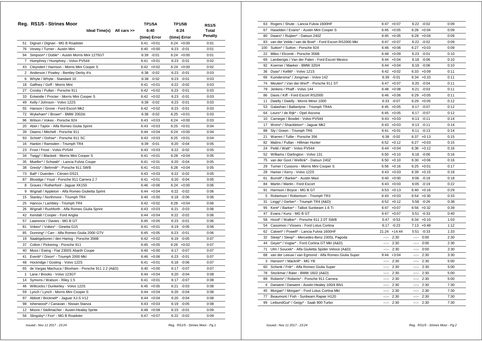|    | Reg. RS1/5 - Strines Moor                           | TP1/5A          | <b>TP1/5B</b>   | <b>RS1/5</b> |
|----|-----------------------------------------------------|-----------------|-----------------|--------------|
|    | Ideal Time(s) All cars >>                           | 6:40            | 6:24            | Total        |
|    |                                                     | (time) Error    | (time) Error    | Penalty      |
| 51 | Dignan / Dignan - MG B Roadster                     | 6:41<br>$+0:01$ | $6:24 +0:00$    | 0:01         |
|    | 76 Vestey / Turner - Austin Mini                    | $6:40 + 0:00$   | $6:23 - 0:01$   | 0:01         |
| 94 | Simpson* / Doble* - Austin Morris Mini 1275GT       | $6:39 -0:01$    | $6:24 +0:00$    | 0:01         |
|    | 7 Humphrey / Humphrey - Volvo PV544                 | $+0:01$<br>6:41 | $6:23 - 0:01$   | 0:02         |
|    | 43 Cleyndert / Harrison - Morris Mini Cooper S      | $6:42 +0:02$    | $6:24 +0:00$    | 0:02         |
|    | 2 Anderson / Powley - Bentley Derby 41/4            | 6:38<br>$-0:02$ | $6:23 -0:01$    | 0:03         |
| 6  | Whyte / Whyte - Standard 10                         | $6:38 - 0:02$   | $6:23 -0:01$    | 0:03         |
| 18 | Gaffney / Goff - Morris Mini                        | $+0:01$<br>6:41 | $6:22 - 0:02$   | 0:03         |
| 27 | Crosby / Pullan - Porsche 911                       | $6:42 +0:02$    | $6:23 - 0:01$   | 0:03         |
| 33 | Entwistle / Procter - Morris Mini Cooper S          | $6:42 +0:02$    | $6:23 - 0:01$   | 0:03         |
| 49 | Kelly / Johnson - Volvo 122S                        | $-0:02$<br>6:38 | $6:23 - 0:01$   | 0:03         |
| 55 | Hanson / Grove - Ford Escort Mk2                    | $6:42 +0:02$    | $6:23 -0:01$    | 0:03         |
| 72 | Wykeham* / Brown* - BMW 2002tii                     | 6:38<br>-0:02   | $6:25 + 0:01$   | 0:03         |
| 96 | Wilson / Vokes - Porsche 924                        | 6:43<br>$+0:03$ | $6:24 +0:00$    | 0:03         |
| 20 | Abel / Taylor - Alfa Romeo Giulia Sprint            | $6:43 +0:03$    | $6:25 + 0:01$   | 0:04         |
| 39 | Owens / Mitchell - Porsche 911                      | $6:44 + 0:04$   | $6:24 +0:00$    | 0:04         |
| 93 | Schott* / Dohse* - Porsche 911 SC                   | 6:43<br>$+0:03$ | $6:25 + 0:01$   | 0:04         |
| 16 | Hankin / Ramsden - Triumph TR4                      | 6:39<br>$-0:01$ | $6:20 -0:04$    | 0:05         |
| 23 | Frost / Frost - Volvo PV544                         | $6:43 + 0:03$   | $6:22 -0:02$    | 0:05         |
| 34 | Twigg* / Blackett - Morris Mini Cooper S            | 6:41<br>$+0:01$ | $6:28 + 0:04$   | 0:05         |
| 35 | Mueller* / Schwab* - Lancia Fulvia Coupe            | 6:41<br>$+0:01$ | $6:20 -0:04$    | 0:05         |
| 38 | Gresly* / Behrndt* - Porsche 911 SWB                | 6:41<br>$+0:01$ | $6:28 + 0:04$   | 0:05         |
| 73 | Ball* / Duerden - Citroen DS21                      | $6:43 + 0:03$   | $6:22 -0:02$    | 0:05         |
| 87 | Bloxidge / Youd - Porsche 911 Carrera 2.7           | 6:41<br>$+0:01$ | $6:20 -0:04$    | 0:05         |
| 8  | Graves / Rutherford - Jaguar XK150                  | $6:46 + 0:06$   | $6:24 +0:00$    | 0:06         |
| 9  | Wignall / Appleton - Alfa Romeo Giulietta Sprint    | $+0:04$<br>6:44 | $6:22 -0:02$    | 0:06         |
| 15 | Stanley / Northmore - Triumph TR4                   | $6:40 + 0:00$   | $6:18 - 0:06$   | 0:06         |
| 25 | Hancox / Lambley - Triumph TR4                      | 6:42<br>$+0:02$ | $6:28 + 0:04$   | 0:06         |
| 26 | Wignall / Rushforth - Alfa Romeo Giulia Sprint      | $6:43 + 0:03$   | $6:21 - 0:03$   | 0:06         |
| 42 | Kendall / Cooper - Ford Anglia                      | $6:44 + 0:04$   | $6:22 -0:02$    | 0:06         |
| 57 | Lawrence / Davies - MG B GT                         | $6:45 + 0:05$   | $6:23 -0:01$    | 0:06         |
| 81 | Vokes* / Vokes* - Ginetta G15                       | 6:41<br>$+0:01$ | $6:19 - 0:05$   | 0:06         |
| 85 | Dunning* / Carr - Alfa Romeo Giulia 2000 GTV        | 6:45<br>$+0:05$ | $6:23 -0:01$    | 0:06         |
| 19 | Naaktgeboren / den Hartog - Porsche 356B            | $6:42 +0:02$    | $6:19 - 0:05$   | 0:07         |
| 37 | Colton / Pickering - Porsche 911                    | $6:45 + 0:05$   | $6:26 + 0:02$   | 0:07         |
| 40 | Moss / Ewing - Fiat 2300S Abarth Coupe              | $6:40 + 0:00$   | 6:17<br>$-0:07$ | 0:07         |
| 41 | Everitt* / Dixon* - Triumph 2000 Mkl                | 6:46<br>$+0:06$ | $6:23 -0:01$    | 0:07         |
| 48 | Hockridge / Gosling - Volvo 122S                    | 6:41<br>$+0:01$ | $6:18 - 0:06$   | 0:07         |
| 65 | de Vargas Machuca / Bloxham - Porsche 911 2.2 (A&D) | $6:40 +0:00$    | $6:17 - 0:07$   | 0:07         |
| 1  | Lane / Brooks - Volvo 123GT                         | $6:44 + 0:04$   | $6:20 -0:04$    | 0:08         |
| 14 | Symons / Watson - Riley 1.5                         | $+0:01$<br>6:41 | $-0:07$<br>6:17 | 0:08         |
| 46 | Willcocks / Dunkerley - Volvo 122S                  | 6:45<br>$+0:05$ | 6:21<br>$-0:03$ | 0:08         |
| 59 | Lynch / Lynch - Morris Mini Cooper S                | 6:44<br>$+0:04$ | 6:20<br>$-0:04$ | 0:08         |
| 97 | Abbott / Bricknell* - Jaquar XJ-S V12               | 6:44<br>$+0:04$ | $6:20 -0:04$    | 0:08         |
| 98 | Isherwood* / Canavan - Nissan Stanza                | 6:43<br>$+0:03$ | $6:19 - 0:05$   | 0:08         |
| 12 | Moore / Stellmacher - Austin-Healey Sprite          | 6:48<br>$+0:08$ | 6:23<br>$-0:01$ | 0:09         |
| 56 | Slingsby* / Fox* - MG B Roadster                    | 6:47<br>$+0:07$ | 6:22<br>$-0:02$ | 0:09         |
|    |                                                     |                 |                 |              |

| 63  | Rogers / Shute - Lancia Fulvia 1600HF                 |              | $6:47 + 0:07$ |          | $6:22 - 0:02$ | 0:09 |
|-----|-------------------------------------------------------|--------------|---------------|----------|---------------|------|
| 67  | Haselden / Evans* - Austin Mini Cooper S              |              | $6:45 + 0:05$ |          | $6:28 + 0:04$ | 0:09 |
| 80  | Dwars* / Ruijten* - Datsun 240Z                       |              | $6:45 + 0:05$ |          | $6:28 + 0:04$ | 0:09 |
| 83  | van der Velde / van de Boel* - Ford Escort RS2000 Mkl |              | $6:47 + 0:07$ |          | $6:22 - 0:02$ | 0:09 |
| 100 | Sutton* / Sutton - Porsche 924                        |              | $6:46 + 0:06$ |          | $6:27 +0:03$  | 0:09 |
| 22  | Miles / Elcomb - Porsche 356B                         | 6:49         | $+0:09$       |          | 6:23 -0:01    | 0:10 |
| 69  | Lamberigts / Van der Palen - Ford Escort Mexico       |              | $6:44 + 0:04$ |          | $6:18 - 0:06$ | 0:10 |
| 92  | Koerner / Maeker - BMW 320/4                          |              | $6:44 + 0:04$ |          | $6:18 - 0:06$ | 0:10 |
| 36  | Dyas* / Kellitt* - Volvo 121S                         |              | $6:42 +0:02$  |          | $6:33 + 0:09$ | 0:11 |
| 66  | Kuindersma* / Jongman - Volvo 142                     |              | $6:39 -0:01$  |          | $6:34 +0:10$  | 0:11 |
| 74  | Meulen* / Van der Werf* - Porsche 911 ST              |              | $6:47 + 0:07$ |          | $6:20 -0:04$  | 0:11 |
| 79  | Jenkins / Phaff - Volvo 144                           |              | $6:48 + 0:08$ |          | $6:21 - 0:03$ | 0:11 |
| 86  | Davis / Kiff - Ford Escort RS2000                     |              | $6:46 + 0:06$ |          | $6:29 + 0:05$ | 0:11 |
| 11  | Dwelly / Dwelly - Morris Minor 1000                   |              | $6:33 - 0:07$ |          | $6:29 + 0:05$ | 0:12 |
| 53  | Galashan / Ballantyne - Triumph TR4A                  | 6:45         | $+0:05$       |          | $6:17 - 0:07$ | 0:12 |
| 64  | Leurs* / de Rijk* - Opel Ascona                       |              | $6:45 + 0:05$ |          | $6:17 - 0:07$ | 0:12 |
| 10  | Carnegie / Bosdet - Volvo PV544                       |              | $6:43 + 0:03$ |          | $6:13 - 0:11$ | 0:14 |
| 17  | Worts* / Shackleton* - Jaguar Mk2                     |              | $6:43 +0:03$  |          | $6:13 - 0:11$ | 0:14 |
| 88  | Sly / Green - Triumph TR6                             | 6:41         | $+0:01$       |          | $6:11 - 0:13$ | 0:14 |
| 21  | Warren / Tullie - Porsche 356                         |              | $6:38 - 0:02$ |          | $6:37 +0:13$  | 0:15 |
| 82  | Malins / Pullan - Hillman Hunter                      |              | $6:52 +0:12$  |          | $6:27 + 0:03$ | 0:15 |
| 24  | Pettit / Watt* - Volvo PV544                          |              | $6:44 + 0:04$ |          | $6:36 + 0:12$ | 0:16 |
| 52  | Williams / Darlington - Volvo 131                     |              | $6:50 + 0:10$ |          | $6:18 - 0:06$ | 0:16 |
| 75  | van der Goot / Wellink* - Datsun 240Z                 |              | $6:50 + 0:10$ |          | $6:30 + 0:06$ | 0:16 |
| 29  |                                                       |              |               |          |               | 0:17 |
| 28  | Turner / Cussons - Morris Mini Cooper S               |              | $6:56 + 0:16$ |          | $6:25 + 0:01$ | 0:18 |
|     | Hamer / Kerry - Volvo 122S                            |              | $6:43 + 0:03$ |          | $6:39 + 0:15$ |      |
| 61  | Burrell* / Barker* - Austin Maxi                      |              | $6:40 + 0:00$ |          | $6:06 - 0:18$ | 0:18 |
| 84  | Martin / Martin - Ford Escort                         |              | $6:43 + 0:03$ |          | $6:05 -0:19$  | 0:22 |
| 91  | Harrison / Boyce - MG B GT                            |              | $6:53 + 0:13$ |          | $6:40 + 0:16$ | 0:29 |
| 5.  | Robertson / Robertson - Triumph TR3                   |              | $6:43 + 0:03$ |          | $6:54 + 0:30$ | 0:33 |
| 31  | Lingg* / Gerber* - Triumph TR4 (A&D)                  |              | $6:52 +0:12$  |          | 5:58 -0:26    | 0:38 |
| 95  | Kent* / Barker* - Talbot Sunbeam 1.6 Ti               |              | $6:47 + 0:07$ |          | $6:56 + 0:32$ | 0:39 |
| 47  | Evans / Kunz - MG B GT                                |              | $6:47 + 0:07$ |          | 5:51 -0:33    | 0:40 |
| 58  | Hood* / Walker* - Porsche 911 2.0T SWB                |              | $5:47 - 0:53$ |          | $6:34 +0:10$  | 1:03 |
| 54  | Cassimon / Vissers - Ford Lotus Cortina               |              | $6:17 - 0:23$ |          | $7:13 + 0:49$ | 1:12 |
| 62  | Calvert* / Powell* - Lancia Fulvia 1600HF             |              | 21:24 +14:44  |          | 5:51 -0:33    | 1:33 |
| 32  | Sleep* / Sleep* - Mercedes-Benz 230SL Pagoda          |              | $-:- 2:30$    |          | $-:- 0:00$    | 2:30 |
| 44  | Geyer* / Voglar* - Ford Cortina GT MkI (A&D)          |              | $-:- 2:30$    |          | $-:- 0:00$    | 2:30 |
| 71  | Ulm / Soucek* - Alfa Giulietta Spider Veloce (A&D)    |              | $-:- 2:30$    |          | $-:- 0:00$    | 2:30 |
| 68  | van der Leeuw / van Egmond - Alfa Romeo Giulia Super  |              | $9:44 +3:04$  |          | $- - 2.30$    | 3:30 |
| 3   | Hanson* / Mackrill* - MG YB                           | $-2 - 1$     | 2:30          | --1--    | 2:30          | 5:00 |
| 60  | Schenk / Frik* - Alfa Romeo Giulia Super              | $-2 - 2 - 1$ | 2:30          | --:-     | 2:30          | 5:00 |
| 78  | Stockmar / Baier - BMW 1602 (A&D)                     | $-1$         | 2:30          |          | $-:- 2:30$    | 5:00 |
| 89  | Roberts* / Roberts* - Porsche 911 Carrera             | $-2 - 2 - 1$ | 2:30          | $-2 - 1$ | 2:30          | 5:00 |
| 4   | Darwent / Darwent - Austin-Healey 100/4 BN1           |              | $-:- 2:30$    |          | $-:- 2:30$    | 7:30 |
| 45  | Morgan* / Morgan* - Ford Lotus Cortina Mkl            | $-2 - 2 - 1$ | 2:30          |          | $-:- 2:30$    | 7:30 |
| 77  | Beaumont / Fish - Sunbeam Rapier H120                 | $-2 - 2 - 1$ | 2:30          |          | $- - 2.30$    | 7:30 |
| 99  | LeibundGut* / Geigy* - Saab 900 Turbo                 | $-2 - 2 - 1$ | 2:30          |          | $-:- 2:30$    | 7:30 |

 *Issued:- Nov 11 2017 - 23:24 Reg. RS1/5 - Strines Moor - Pg.1*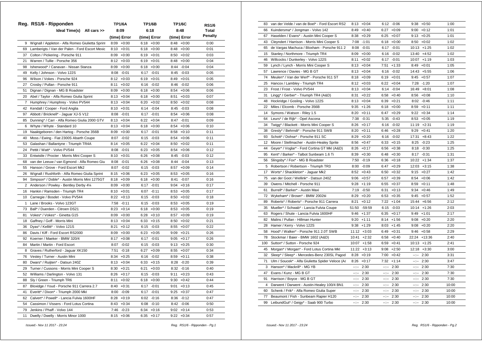|    | Reg. RS1/6 - Ripponden                           | TP1/6A          | <b>TP1/6B</b>   | <b>TP1/6C</b>   | <b>RS1/6</b> |
|----|--------------------------------------------------|-----------------|-----------------|-----------------|--------------|
|    | Ideal Time(s) All cars >>                        | 8:09            | 6:18            | 8:48            | Total        |
|    |                                                  | (time) Error    | (time) Error    | (time) Error    | Penalty      |
| 9  | Wignall / Appleton - Alfa Romeo Giulietta Sprint | 8:09<br>$+0:00$ | 6:18<br>$+0:00$ | $8:48 +0:00$    | 0:00         |
| 69 | Lamberigts / Van der Palen - Ford Escort Mexic   | 8:10<br>$+0:01$ | 6:18<br>$+0:00$ | 8:48<br>$+0:00$ | 0:01         |
| 37 | Colton / Pickering - Porsche 911                 | 8:09<br>$+0:00$ | 6:19<br>$+0:01$ | $8:50 + 0:02$   | 0:03         |
| 21 | Warren / Tullie - Porsche 356                    | 8:12<br>$+0:03$ | 6:19<br>$+0:01$ | 8:48<br>$+0:00$ | 0:04         |
| 98 | Isherwood* / Canavan - Nissan Stanza             | 8:09<br>$+0:00$ | 6:18<br>$+0:00$ | 8:44 -0:04      | 0:04         |
| 49 | Kelly / Johnson - Volvo 122S                     | 8:08<br>$-0:01$ | 6:17<br>$-0:01$ | $8:45 - 0:03$   | 0:05         |
| 96 | Wilson / Vokes - Porsche 924                     | $8:12 + 0:03$   | 6:19<br>$+0:01$ | $8:49 +0:01$    | 0:05         |
| 27 | Crosby / Pullan - Porsche 911                    | 8:11<br>$+0:02$ | 6:16<br>$-0:02$ | 8:46<br>$-0:02$ | 0:06         |
| 51 | Dignan / Dignan - MG B Roadster                  | 8:09<br>$+0:00$ | 6:18<br>$+0:00$ | 8:54<br>$+0:06$ | 0:06         |
| 20 | Abel / Taylor - Alfa Romeo Giulia Sprint         | 8:13<br>$+0:04$ | 6:18<br>$+0:00$ | 8:51<br>$+0:03$ | 0:07         |
| 7  | Humphrey / Humphrey - Volvo PV544                | $+0:04$<br>8:13 | 6:20<br>$+0:02$ | $+0:02$<br>8:50 | 0:08         |
| 42 | Kendall / Cooper - Ford Anglia                   | 8:10<br>$+0:01$ | 6:14<br>$-0:04$ | 8:45<br>$-0:03$ | 0:08         |
| 97 | Abbott / Bricknell* - Jaguar XJ-S V12            | $-0:01$<br>8:08 | $-0:01$<br>6:17 | 8:54<br>$+0:06$ | 0:08         |
| 85 | Dunning* / Carr - Alfa Romeo Giulia 2000 GTV     | $8:13 + 0:04$   | 6:22<br>$+0:04$ | 8:47<br>$-0:01$ | 0:09         |
| 6  | Whyte / Whyte - Standard 10                      | $8:13 + 0:04$   | $6:18 + 0:00$   | 8:54<br>$+0:06$ | 0:10         |
| 19 | Naaktgeboren / den Hartog - Porsche 356B         | 8:09<br>$+0:00$ | 6:17<br>$-0:01$ | 8:58<br>$+0:10$ | 0:11         |
| 40 | Moss / Ewing - Fiat 2300S Abarth Coupe           | 8:07<br>$-0:02$ | 6:15<br>$-0:03$ | 8:54<br>$+0:06$ | 0:11         |
| 53 | Galashan / Ballantyne - Triumph TR4A             | 8:14<br>$+0:05$ | 6:22<br>$+0:04$ | 8:50<br>$+0:02$ | 0:11         |
| 24 | Pettit / Watt* - Volvo PV544                     | 8:08<br>$-0:01$ | 6:23<br>$+0:05$ | 8:54<br>$+0:06$ | 0:12         |
| 33 | Entwistle / Procter - Morris Mini Cooper S       | 8:10<br>$+0:01$ | 6:26<br>$+0:08$ | 8:45<br>$-0:03$ | 0:12         |
| 68 | van der Leeuw / van Egmond - Alfa Romeo Giu      | 8:08<br>$-0:01$ | 6:26<br>$+0:08$ | 8:44<br>$-0:04$ | 0:13         |
| 55 | Hanson / Grove - Ford Escort Mk2                 | 8:07<br>$-0:02$ | 6:15<br>$-0:03$ | 8:57<br>$+0:09$ | 0:14         |
| 26 | Wignall / Rushforth - Alfa Romeo Giulia Sprint   | 8:15<br>$+0:06$ | 6:23<br>$+0:05$ | 8:53<br>$+0:05$ | 0:16         |
| 94 | Simpson* / Doble* - Austin Morris Mini 1275GT    | 8:18<br>$+0:09$ | 6:18<br>$+0:00$ | 8:41<br>$-0:07$ | 0:16         |
| 2  | Anderson / Powley - Bentley Derby 41/4           | 8:09<br>$+0:00$ | $-0:01$<br>6:17 | $9:04 +0:16$    | 0:17         |
| 16 | Hankin / Ramsden - Triumph TR4                   | 8:10<br>$+0:01$ | $-0:11$<br>6:07 | 8:53<br>$+0:05$ | 0:17         |
| 10 | Carnegie / Bosdet - Volvo PV544                  | 8:22<br>$+0:13$ | $-0:03$<br>6:15 | $8:50 + 0:02$   | 0:18         |
| 1  | Lane / Brooks - Volvo 123GT                      | 7:58<br>$-0:11$ | $-0:03$<br>6:15 | $8:53 + 0:05$   | 0:19         |
| 73 | Ball* / Duerden - Citroen DS21                   | 8:23<br>$+0:14$ | 6:18<br>$+0:00$ | 8:53<br>$+0:05$ | 0:19         |
| 81 | Vokes* / Vokes* - Ginetta G15                    | 8:09<br>$+0:00$ | 6:28<br>$+0:10$ | 8:57<br>$+0:09$ | 0:19         |
| 18 | Gaffney / Goff - Morris Mini                     | 8:13<br>$+0:04$ | 6:33<br>$+0:15$ | 8:50<br>$+0:02$ | 0:21         |
| 36 | Dyas* / Kellitt* - Volvo 121S                    | 8:21<br>$+0:12$ | 6:15<br>$-0:03$ | $+0:07$<br>8:55 | 0:22         |
| 86 | Davis / Kiff - Ford Escort RS2000                | $+0:00$<br>8:09 | 6:23<br>$+0:05$ | 9:09<br>$+0:21$ | 0:26         |
| 92 | Koerner / Maeker - BMW 320/4                     | 8:17<br>$+0:08$ | 6:17<br>$-0:01$ | $9:05 +0:17$    | 0:26         |
| 84 | Martin / Martin - Ford Escort                    | 8:07<br>$-0:02$ | 6:15<br>$-0:03$ | $9:13 + 0:25$   | 0:30         |
| 8  | Graves / Rutherford - Jaguar XK150               | 7:51<br>$-0:18$ | 6:27<br>$+0:09$ | 8:55<br>$+0:07$ | 0:34         |
| 76 | Vestey / Turner - Austin Mini                    | $+0:25$<br>8:34 | $-0:02$<br>6:16 | 8:59<br>$+0:11$ | 0:38         |
| 80 | Dwars* / Ruijten* - Datsun 240Z                  | 8:13<br>$+0:04$ | 6:33<br>$+0:15$ | 8:28<br>$-0:20$ | 0:39         |
| 29 | Turner / Cussons - Morris Mini Cooper S          | $+0:21$<br>8:30 | 6:21<br>$+0:03$ | 8:32<br>-0:16   | 0:40         |
| 52 | Williams / Darlington - Volvo 131                | 8:26<br>$+0:17$ | $-0:03$<br>6:15 | 9:11<br>$+0:23$ | 0:43         |
| 88 | Sly / Green - Triumph TR6                        | 8:11<br>$+0:02$ | $6:18 + 0:00$   | $9:30 + 0:42$   | 0:44         |
| 87 | Bloxidge / Youd - Porsche 911 Carrera 2.7        | $8:40 + 0:31$   | 6:17<br>$-0:01$ | $9:01 + 0:13$   | 0:45         |
| 41 | Everitt* / Dixon* - Triumph 2000 Mkl             | 8:00<br>$-0:09$ | $-0:01$<br>6:17 | $9:25 +0:37$    | 0:47         |
| 62 | Calvert* / Powell* - Lancia Fulvia 1600HF        | $+0:19$<br>8:28 | 6:02<br>$-0:16$ | $8:36 - 0:12$   | 0:47         |
| 54 | Cassimon / Vissers - Ford Lotus Cortina          | $+0:34$<br>8:43 | $-0:10$<br>6:08 | 8:42<br>$-0:06$ | 0:50         |
| 79 | Jenkins / Phaff - Volvo 144                      | 7:46<br>$-0:23$ | 6:34<br>$+0:16$ | $9:02 +0:14$    | 0:53         |
| 11 | Dwelly / Dwelly - Morris Minor 1000              | $8:15 + 0:06$   | 6:35<br>$+0:17$ | $9:22 + 0:34$   | 0:57         |

| 83  | van der Velde / van de Boel* - Ford Escort RS2   | 8:13                                                                                                                                                                                                                                                                                                                                                                                                                                                                       | $+0:04$       | 6:12                                                                                                                                                                                                                                                                                                                                                                                                                                           | $-0:06$       | 9:38                                                                                                                                                                                                                                                                                                                                                                                                                                                                       | $+0:50$        | 1:00  |
|-----|--------------------------------------------------|----------------------------------------------------------------------------------------------------------------------------------------------------------------------------------------------------------------------------------------------------------------------------------------------------------------------------------------------------------------------------------------------------------------------------------------------------------------------------|---------------|------------------------------------------------------------------------------------------------------------------------------------------------------------------------------------------------------------------------------------------------------------------------------------------------------------------------------------------------------------------------------------------------------------------------------------------------|---------------|----------------------------------------------------------------------------------------------------------------------------------------------------------------------------------------------------------------------------------------------------------------------------------------------------------------------------------------------------------------------------------------------------------------------------------------------------------------------------|----------------|-------|
| 66  | Kuindersma* / Jongman - Volvo 142                | 8:49                                                                                                                                                                                                                                                                                                                                                                                                                                                                       | $+0:40$       | 6:27                                                                                                                                                                                                                                                                                                                                                                                                                                           | $+0:09$       |                                                                                                                                                                                                                                                                                                                                                                                                                                                                            | $9:00 + 0:12$  | 1:01  |
| 67  | Haselden / Evans* - Austin Mini Cooper S         | 8:38                                                                                                                                                                                                                                                                                                                                                                                                                                                                       | $+0:29$       | 6:25                                                                                                                                                                                                                                                                                                                                                                                                                                           | $+0:07$       |                                                                                                                                                                                                                                                                                                                                                                                                                                                                            | $9:13 + 0:25$  | 1:01  |
| 43  | Cleyndert / Harrison - Morris Mini Cooper S      | 7:08                                                                                                                                                                                                                                                                                                                                                                                                                                                                       | $-1:01$       | 6:18                                                                                                                                                                                                                                                                                                                                                                                                                                           | $+0:00$       |                                                                                                                                                                                                                                                                                                                                                                                                                                                                            | $8:50 + 0:02$  | 1:02  |
| 65  | de Vargas Machuca / Bloxham - Porsche 911 2      | 8:08                                                                                                                                                                                                                                                                                                                                                                                                                                                                       | $-0:01$       | 6:17                                                                                                                                                                                                                                                                                                                                                                                                                                           | $-0:01$       |                                                                                                                                                                                                                                                                                                                                                                                                                                                                            | $10:13 + 1:25$ | 1:02  |
| 15  | Stanley / Northmore - Triumph TR4                |                                                                                                                                                                                                                                                                                                                                                                                                                                                                            | $8:09 + 0:00$ |                                                                                                                                                                                                                                                                                                                                                                                                                                                | $6:16 - 0:02$ |                                                                                                                                                                                                                                                                                                                                                                                                                                                                            | 13:40 +4:52    | 1:02  |
| 46  | Willcocks / Dunkerley - Volvo 122S               | 8:11                                                                                                                                                                                                                                                                                                                                                                                                                                                                       | $+0:02$       | 6:17                                                                                                                                                                                                                                                                                                                                                                                                                                           | $-0:01$       |                                                                                                                                                                                                                                                                                                                                                                                                                                                                            | $10:07 +1:19$  | 1:03  |
| 59  | Lynch / Lynch - Morris Mini Cooper S             | 8:13                                                                                                                                                                                                                                                                                                                                                                                                                                                                       | $+0:04$       | 7:51                                                                                                                                                                                                                                                                                                                                                                                                                                           | $+1:33$       | 8:49                                                                                                                                                                                                                                                                                                                                                                                                                                                                       | $+0:01$        | 1:05  |
| 57  | Lawrence / Davies - MG B GT                      | 8:13                                                                                                                                                                                                                                                                                                                                                                                                                                                                       | $+0:04$       | 6:16                                                                                                                                                                                                                                                                                                                                                                                                                                           | $-0:02$       |                                                                                                                                                                                                                                                                                                                                                                                                                                                                            | 14:43 +5:55    | 1:06  |
| 74  | Meulen* / Van der Werf* - Porsche 911 ST         | 8:18                                                                                                                                                                                                                                                                                                                                                                                                                                                                       | $+0:09$       | 6:19                                                                                                                                                                                                                                                                                                                                                                                                                                           | $+0:01$       |                                                                                                                                                                                                                                                                                                                                                                                                                                                                            | $9:45 + 0:57$  | 1:07  |
| 25  | Hancox / Lambley - Triumph TR4                   | 8:12                                                                                                                                                                                                                                                                                                                                                                                                                                                                       | $+0:03$       | 6:22                                                                                                                                                                                                                                                                                                                                                                                                                                           | $+0:04$       |                                                                                                                                                                                                                                                                                                                                                                                                                                                                            | 7:28 -1:20     | 1:07  |
| 23  | Frost / Frost - Volvo PV544                      | 8:13                                                                                                                                                                                                                                                                                                                                                                                                                                                                       | $+0:04$       | 6:14                                                                                                                                                                                                                                                                                                                                                                                                                                           | $-0:04$       |                                                                                                                                                                                                                                                                                                                                                                                                                                                                            | $16:49 + 8:01$ | 1:08  |
| 31  | Lingg* / Gerber* - Triumph TR4 (A&D)             | 8:31                                                                                                                                                                                                                                                                                                                                                                                                                                                                       | $+0:22$       | 6:58                                                                                                                                                                                                                                                                                                                                                                                                                                           | $+0:40$       |                                                                                                                                                                                                                                                                                                                                                                                                                                                                            | $8:56 + 0:08$  | 1:10  |
| 48  | Hockridge / Gosling - Volvo 122S                 |                                                                                                                                                                                                                                                                                                                                                                                                                                                                            | $8:13 + 0:04$ | 6:39                                                                                                                                                                                                                                                                                                                                                                                                                                           | $+0:21$       |                                                                                                                                                                                                                                                                                                                                                                                                                                                                            | $8:02 -0:46$   | 1:11  |
| 22  | Miles / Elcomb - Porsche 356B                    |                                                                                                                                                                                                                                                                                                                                                                                                                                                                            | $9:35 +1:26$  | 6:18                                                                                                                                                                                                                                                                                                                                                                                                                                           | $+0:00$       |                                                                                                                                                                                                                                                                                                                                                                                                                                                                            | $8:59 +0:11$   | 1:11  |
| 14  | Symons / Watson - Riley 1.5                      | 8:20                                                                                                                                                                                                                                                                                                                                                                                                                                                                       | $+0:11$       | 6:47                                                                                                                                                                                                                                                                                                                                                                                                                                           | $+0:29$       |                                                                                                                                                                                                                                                                                                                                                                                                                                                                            | $9:22 +0:34$   | 1:14  |
| 64  | Leurs* / de Rijk* - Opel Ascona                  |                                                                                                                                                                                                                                                                                                                                                                                                                                                                            | 7:38 -0:31    | 5:35                                                                                                                                                                                                                                                                                                                                                                                                                                           | $-0:43$       |                                                                                                                                                                                                                                                                                                                                                                                                                                                                            | $8:53 + 0:05$  | 1:19  |
| 34  | Twigg* / Blackett - Morris Mini Cooper S         | 8:26                                                                                                                                                                                                                                                                                                                                                                                                                                                                       | $+0:17$       | 6:16                                                                                                                                                                                                                                                                                                                                                                                                                                           | $-0:02$       |                                                                                                                                                                                                                                                                                                                                                                                                                                                                            | $11:19 +2:31$  | 1:19  |
| 38  | Gresly* / Behrndt* - Porsche 911 SWB             | 8:20                                                                                                                                                                                                                                                                                                                                                                                                                                                                       | $+0:11$       | 6:46                                                                                                                                                                                                                                                                                                                                                                                                                                           | $+0:28$       | 9:29                                                                                                                                                                                                                                                                                                                                                                                                                                                                       | $+0:41$        | 1:20  |
| 93  | Schott* / Dohse* - Porsche 911 SC                | 8:29                                                                                                                                                                                                                                                                                                                                                                                                                                                                       | $+0:20$       | 6:16                                                                                                                                                                                                                                                                                                                                                                                                                                           | $-0:02$       | 17:31                                                                                                                                                                                                                                                                                                                                                                                                                                                                      | $+8:43$        | 1:22  |
| 12  | Moore / Stellmacher - Austin-Healey Sprite       | 8:56                                                                                                                                                                                                                                                                                                                                                                                                                                                                       | $+0:47$       | 6:33                                                                                                                                                                                                                                                                                                                                                                                                                                           | $+0:15$       | 8:25                                                                                                                                                                                                                                                                                                                                                                                                                                                                       | $-0:23$        | 1:25  |
| 44  | Geyer* / Voglar* - Ford Cortina GT MkI (A&D)     | 8:26                                                                                                                                                                                                                                                                                                                                                                                                                                                                       | $+0:17$       | 6:56                                                                                                                                                                                                                                                                                                                                                                                                                                           | $+0:38$       | 8:18                                                                                                                                                                                                                                                                                                                                                                                                                                                                       | $-0:30$        | 1:25  |
| 95  | Kent* / Barker* - Talbot Sunbeam 1.6 Ti          | 8:39                                                                                                                                                                                                                                                                                                                                                                                                                                                                       | $+0:30$       | 6:48                                                                                                                                                                                                                                                                                                                                                                                                                                           | $+0:30$       | 8:17                                                                                                                                                                                                                                                                                                                                                                                                                                                                       | $-0:31$        | 1:31  |
| 56  | Slingsby* / Fox* - MG B Roadster                 | 7:50                                                                                                                                                                                                                                                                                                                                                                                                                                                                       | $-0:19$       | 6:36                                                                                                                                                                                                                                                                                                                                                                                                                                           | $+0:18$       |                                                                                                                                                                                                                                                                                                                                                                                                                                                                            | $10:22 + 1:34$ | 1:37  |
| 5   | Robertson / Robertson - Triumph TR3              | 8:00                                                                                                                                                                                                                                                                                                                                                                                                                                                                       | $-0:09$       | 6:47                                                                                                                                                                                                                                                                                                                                                                                                                                           | $+0:29$       |                                                                                                                                                                                                                                                                                                                                                                                                                                                                            | $12:03 +3:15$  | 1:38  |
| 17  | Worts* / Shackleton* - Jaguar Mk2                |                                                                                                                                                                                                                                                                                                                                                                                                                                                                            | $8:52 +0:43$  | 6:50                                                                                                                                                                                                                                                                                                                                                                                                                                           | $+0:32$       |                                                                                                                                                                                                                                                                                                                                                                                                                                                                            | $9:15 + 0:27$  | 1:42  |
| 75  | van der Goot / Wellink* - Datsun 240Z            |                                                                                                                                                                                                                                                                                                                                                                                                                                                                            | $9:06 + 0:57$ | 6:57                                                                                                                                                                                                                                                                                                                                                                                                                                           | $+0:39$       |                                                                                                                                                                                                                                                                                                                                                                                                                                                                            | $8:54 +0:06$   | 1:42  |
| 39  | Owens / Mitchell - Porsche 911                   | 9:28                                                                                                                                                                                                                                                                                                                                                                                                                                                                       | $+1:19$       | 6:55                                                                                                                                                                                                                                                                                                                                                                                                                                           | $+0:37$       |                                                                                                                                                                                                                                                                                                                                                                                                                                                                            | $8:59 +0:11$   | 1:48  |
| 61  | Burrell* / Barker* - Austin Maxi                 | 7:19                                                                                                                                                                                                                                                                                                                                                                                                                                                                       | $-0:50$       | 6:31                                                                                                                                                                                                                                                                                                                                                                                                                                           | $+0:13$       | 9:34                                                                                                                                                                                                                                                                                                                                                                                                                                                                       | $+0:46$        | 1:49  |
| 72  | Wykeham* / Brown* - BMW 2002tii                  | 8:29                                                                                                                                                                                                                                                                                                                                                                                                                                                                       | $+0:20$       | 6:53                                                                                                                                                                                                                                                                                                                                                                                                                                           | $+0:35$       | 9:45                                                                                                                                                                                                                                                                                                                                                                                                                                                                       | $+0:57$        | 1:52  |
| 89  | Roberts* / Roberts* - Porsche 911 Carrera        | 8:21                                                                                                                                                                                                                                                                                                                                                                                                                                                                       | $+0:12$       | 7:22                                                                                                                                                                                                                                                                                                                                                                                                                                           | $+1:04$       |                                                                                                                                                                                                                                                                                                                                                                                                                                                                            | 15:44 +6:56    | 2:12  |
| 35  | Mueller* / Schwab* - Lancia Fulvia Coupe         | 51:50                                                                                                                                                                                                                                                                                                                                                                                                                                                                      | $-59:59$      |                                                                                                                                                                                                                                                                                                                                                                                                                                                | $6:15 - 0:03$ |                                                                                                                                                                                                                                                                                                                                                                                                                                                                            | 10:14 +1:26    | 2:03  |
| 63  | Rogers / Shute - Lancia Fulvia 1600HF            | 9:46                                                                                                                                                                                                                                                                                                                                                                                                                                                                       | $+1:37$       | 6:35                                                                                                                                                                                                                                                                                                                                                                                                                                           | $+0:17$       |                                                                                                                                                                                                                                                                                                                                                                                                                                                                            | $9:49 +1:01$   | 2:17  |
| 82  | Malins / Pullan - Hillman Hunter                 | 9:20                                                                                                                                                                                                                                                                                                                                                                                                                                                                       | $+1:11$       | 8:14                                                                                                                                                                                                                                                                                                                                                                                                                                           | $+1:56$       | 9:08                                                                                                                                                                                                                                                                                                                                                                                                                                                                       | $+0:20$        | 2:20  |
| 28  | Hamer / Kerry - Volvo 122S                       | 9:38                                                                                                                                                                                                                                                                                                                                                                                                                                                                       | $+1:29$       | 8:03                                                                                                                                                                                                                                                                                                                                                                                                                                           | $+1:45$       |                                                                                                                                                                                                                                                                                                                                                                                                                                                                            | $9:08 + 0:20$  | 2:20  |
| 58  | Hood* / Walker* - Porsche 911 2.0T SWB           |                                                                                                                                                                                                                                                                                                                                                                                                                                                                            | $11:12 +3:03$ | 6:49                                                                                                                                                                                                                                                                                                                                                                                                                                           | $+0:31$       |                                                                                                                                                                                                                                                                                                                                                                                                                                                                            | $9:46 + 0:58$  | 2:29  |
| 78  | Stockmar / Baier - BMW 1602 (A&D)                |                                                                                                                                                                                                                                                                                                                                                                                                                                                                            | $10:41 +2:32$ | 6:58                                                                                                                                                                                                                                                                                                                                                                                                                                           | $+0:40$       |                                                                                                                                                                                                                                                                                                                                                                                                                                                                            | 22:24 +13:36   | 2:40  |
| 100 | Sutton* / Sutton - Porsche 924                   |                                                                                                                                                                                                                                                                                                                                                                                                                                                                            | $10:07 +1:58$ | 6:59                                                                                                                                                                                                                                                                                                                                                                                                                                           | $+0:41$       |                                                                                                                                                                                                                                                                                                                                                                                                                                                                            | $10:13 + 1:25$ | 2:41  |
| 45  | Morgan* / Morgan* - Ford Lotus Cortina Mkl       | 11:22                                                                                                                                                                                                                                                                                                                                                                                                                                                                      | $+3:13$       | 9:08                                                                                                                                                                                                                                                                                                                                                                                                                                           | $+2:50$       | 12:18                                                                                                                                                                                                                                                                                                                                                                                                                                                                      | $+3:30$        | 3:00  |
| 32  | Sleep* / Sleep* - Mercedes-Benz 230SL Pagod      | 8:28                                                                                                                                                                                                                                                                                                                                                                                                                                                                       | $+0:19$       | 7:00                                                                                                                                                                                                                                                                                                                                                                                                                                           | $+0:42$       | $-1$                                                                                                                                                                                                                                                                                                                                                                                                                                                                       | 2:30           | 3:31  |
| 71  | Ulm / Soucek* - Alfa Giulietta Spider Veloce (Al |                                                                                                                                                                                                                                                                                                                                                                                                                                                                            | $8:26 + 0:17$ | 7:32                                                                                                                                                                                                                                                                                                                                                                                                                                           | $+1:14$       | ----                                                                                                                                                                                                                                                                                                                                                                                                                                                                       | 2:30           | 3:47  |
| 3   | Hanson* / Mackrill* - MG YB                      | $\frac{1}{2} \left( \frac{1}{2} \right) \left( \frac{1}{2} \right) \left( \frac{1}{2} \right) \left( \frac{1}{2} \right) \left( \frac{1}{2} \right) \left( \frac{1}{2} \right) \left( \frac{1}{2} \right) \left( \frac{1}{2} \right) \left( \frac{1}{2} \right) \left( \frac{1}{2} \right) \left( \frac{1}{2} \right) \left( \frac{1}{2} \right) \left( \frac{1}{2} \right) \left( \frac{1}{2} \right) \left( \frac{1}{2} \right) \left( \frac{1}{2} \right) \left( \frac$ | 2:30          | $-1$                                                                                                                                                                                                                                                                                                                                                                                                                                           | 2:30          | $\frac{1}{2} \left( \frac{1}{2} \right) + \frac{1}{2} \left( \frac{1}{2} \right) + \frac{1}{2} \left( \frac{1}{2} \right) + \frac{1}{2} \left( \frac{1}{2} \right) + \frac{1}{2} \left( \frac{1}{2} \right) + \frac{1}{2} \left( \frac{1}{2} \right) + \frac{1}{2} \left( \frac{1}{2} \right) + \frac{1}{2} \left( \frac{1}{2} \right) + \frac{1}{2} \left( \frac{1}{2} \right) + \frac{1}{2} \left( \frac{1}{2} \right) + \frac{1}{2} \left($                             | 2:30           | 7:30  |
| 47  | Evans / Kunz - MG B GT                           | $\frac{1}{2} \left( \frac{1}{2} + \frac{1}{2} \right)$                                                                                                                                                                                                                                                                                                                                                                                                                     | 2:30          | $-1 - 1 - 1$                                                                                                                                                                                                                                                                                                                                                                                                                                   | 2:30          | $-2 - 2 - 1$                                                                                                                                                                                                                                                                                                                                                                                                                                                               | 2:30           | 7:30  |
| 91  | Harrison / Boyce - MG B GT                       | $\frac{1}{2} \left( \frac{1}{2} \right) + \frac{1}{2} \left( \frac{1}{2} \right) + \frac{1}{2} \left( \frac{1}{2} \right) + \frac{1}{2} \left( \frac{1}{2} \right) + \frac{1}{2} \left( \frac{1}{2} \right) + \frac{1}{2} \left( \frac{1}{2} \right) + \frac{1}{2} \left( \frac{1}{2} \right) + \frac{1}{2} \left( \frac{1}{2} \right) + \frac{1}{2} \left( \frac{1}{2} \right) + \frac{1}{2} \left( \frac{1}{2} \right) + \frac{1}{2} \left($                             | 2:30          | $-1 - 1$                                                                                                                                                                                                                                                                                                                                                                                                                                       | 2:30          | $\frac{1}{2} \left( \frac{1}{2} \right) \left( \frac{1}{2} \right) \left( \frac{1}{2} \right) \left( \frac{1}{2} \right) \left( \frac{1}{2} \right) \left( \frac{1}{2} \right) \left( \frac{1}{2} \right) \left( \frac{1}{2} \right) \left( \frac{1}{2} \right) \left( \frac{1}{2} \right) \left( \frac{1}{2} \right) \left( \frac{1}{2} \right) \left( \frac{1}{2} \right) \left( \frac{1}{2} \right) \left( \frac{1}{2} \right) \left( \frac{1}{2} \right) \left( \frac$ | 2:30           | 7:30  |
| 4   | Darwent / Darwent - Austin-Healey 100/4 BN1      | $-2 - 2 - 1$                                                                                                                                                                                                                                                                                                                                                                                                                                                               | 2:30          | $\frac{1}{2} \left( \frac{1}{2} \right) + \frac{1}{2} \left( \frac{1}{2} \right) + \frac{1}{2} \left( \frac{1}{2} \right) + \frac{1}{2} \left( \frac{1}{2} \right) + \frac{1}{2} \left( \frac{1}{2} \right) + \frac{1}{2} \left( \frac{1}{2} \right) + \frac{1}{2} \left( \frac{1}{2} \right) + \frac{1}{2} \left( \frac{1}{2} \right) + \frac{1}{2} \left( \frac{1}{2} \right) + \frac{1}{2} \left( \frac{1}{2} \right) + \frac{1}{2} \left($ | 2:30          |                                                                                                                                                                                                                                                                                                                                                                                                                                                                            | $-:- 2:30$     | 10:00 |
| 60  | Schenk / Frik* - Alfa Romeo Giulia Super         | 2.25                                                                                                                                                                                                                                                                                                                                                                                                                                                                       | 2:30          | $-1$                                                                                                                                                                                                                                                                                                                                                                                                                                           | 2:30          | 2.25                                                                                                                                                                                                                                                                                                                                                                                                                                                                       | 2:30           | 10:00 |
| 77  | Beaumont / Fish - Sunbeam Rapier H120            | --:--                                                                                                                                                                                                                                                                                                                                                                                                                                                                      | 2:30          | 44,440                                                                                                                                                                                                                                                                                                                                                                                                                                         | 2:30          | $-2 - 1$                                                                                                                                                                                                                                                                                                                                                                                                                                                                   | 2:30           | 10:00 |
| 99  | LeibundGut* / Geigy* - Saab 900 Turbo            | aajaa j                                                                                                                                                                                                                                                                                                                                                                                                                                                                    | 2:30          | $-1$                                                                                                                                                                                                                                                                                                                                                                                                                                           | 2:30          |                                                                                                                                                                                                                                                                                                                                                                                                                                                                            | $-:- 2:30$     | 10:00 |
|     |                                                  |                                                                                                                                                                                                                                                                                                                                                                                                                                                                            |               |                                                                                                                                                                                                                                                                                                                                                                                                                                                |               |                                                                                                                                                                                                                                                                                                                                                                                                                                                                            |                |       |

 *Issued:- Nov 11 2017 - 23:24 Reg. RS1/6 - Ripponden - Pg.1*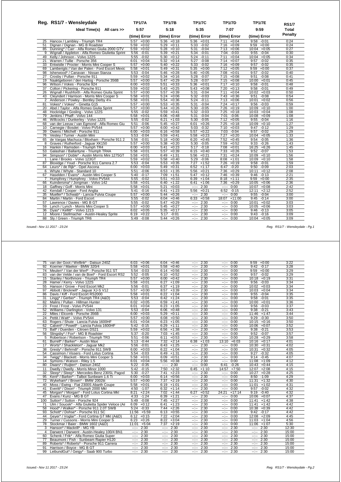|                | Reg. RS1/7 - Wensleydale                                                     | <b>TP1/7A</b>                      | <b>TP1/7B</b>                    | <b>TP1/7C</b>                       | <b>TP1/7D</b>                      | <b>TP1/7E</b>                    | <b>RS1/7</b> |
|----------------|------------------------------------------------------------------------------|------------------------------------|----------------------------------|-------------------------------------|------------------------------------|----------------------------------|--------------|
|                | Ideal Time(s) All cars >>                                                    | 5:57                               | 5:18                             | 5:35                                | 7:07                               | 9:59                             | <b>Total</b> |
|                |                                                                              | (time) Error                       | (time) Error                     | (time) Error                        | (time) Error                       | (time) Error                     | Penalty      |
| 25             | Hancox / Lambley - Triumph TR4                                               | $+0:00$<br>5:57                    | $5:36 + 0:18$                    | $5:36 + 0:01$                       | $+0:04$<br>7:11                    | $9:58 - 0:01$                    | 0:24         |
| 51             | Dignan / Dignan - MG B Roadster                                              | 5:59<br>$+0:02$                    | $5:29 +0:11$                     | 5:33<br>$-0:02$                     | 7:16<br>$+0:09$                    | 9:59<br>$+0:00$                  | 0:24         |
| 85             | Dunning* / Carr - Alfa Romeo Giulia 2000 GTV                                 | 5:59<br>$+0:02$                    | 5:28<br>$+0:10$                  | 5:31<br>$-0:04$                     | 7:13<br>$+0:06$                    | $10:04 +0:05$                    | 0:27         |
| 9              | Wignall / Appleton - Alfa Romeo Giulietta Sprint                             | $5:56 - 0:01$                      | $5:39 +0:21$                     | 5:34<br>$-0:01$                     | 7:04<br>$-0:03$                    | $9:55 - 0:04$                    | 0:30         |
| 49             | Kelly / Johnson - Volvo 122S                                                 | $5:55 - 0:02$                      | $5:30 +0:12$                     | 5:24<br>$-0:11$                     | 7:11<br>$+0:04$                    | $10:04 + 0:05$                   | 0:34         |
| 21             | Warren / Tullie - Porsche 356                                                | $6:01 + 0:04$                      | $5:32 +0:14$                     | 5:27<br>$-0:08$                     | 7:14<br>$+0:07$                    | $9:57 -0:02$                     | 0:35         |
| 33             | Entwistle / Procter - Morris Mini Cooper S                                   | $+0:00$<br>5:57                    | $5:40 + 0:22$                    | 5:33<br>$-0:02$                     | 7:16<br>$+0:09$                    | 9:57<br>$-0:02$                  | 0:35         |
| 69             | Lamberigts / Van der Palen - Ford Escort Mexic                               | 5:58<br>$+0:01$                    | $5:49 +0:31$                     | 5:35<br>$+0:00$                     | 7:12<br>$+0:05$                    | $+0:00$<br>9:59                  | 0:37         |
| 98             | Isherwood* / Canavan - Nissan Stanza                                         | 5:53 -0:04                         | $5:46 + 0:28$                    | 5:40<br>$+0:05$                     | 7:08<br>$+0:01$                    | $9:57 -0:02$                     | 0:40         |
| 27             | Crosby / Pullan - Porsche 911                                                | $5:59 + 0:02$                      | $5:34 +0:16$                     | 5:28<br>$-0:07$                     | 7:15<br>$+0:08$                    | 9:51<br>$-0:08$                  | 0:41         |
| 19             | Naaktgeboren / den Hartog - Porsche 356B                                     | 5:57<br>$+0:00$                    | $5:47 + 0:29$                    | 5:28<br>$-0:07$                     | 7:15<br>$+0:08$                    | $10:00 + 0:01$                   | 0:45         |
| 96             | Wilson / Vokes - Porsche 924                                                 | $6:00 + 0:03$                      | $5:51 + 0:33$                    | $5:36 + 0:01$                       | 7:17<br>$+0:10$                    | $9:58 - 0:01$                    | 0:48         |
| 37             | Colton / Pickering - Porsche 911                                             | $5:59 + 0:02$                      | $5:43 + 0:25$                    | $5:43 +0:08$                        | 7:20<br>$+0:13$                    | $9:58 - 0:01$                    | 0:49         |
| 26             | Wignall / Rushforth - Alfa Romeo Giulia Sprint                               | $+0:00$<br>5:57                    | $+0:39$<br>5:57                  | $-0:04$<br>5:31                     | $+0:04$<br>7:11                    | $10:02 +0:03$                    | 0:50         |
| 43             | Cleyndert / Harrison - Morris Mini Cooper S                                  | 5:58<br>$+0:01$                    | 5:24<br>$+0:06$                  | 5:32<br>$-0:03$                     | 7:43<br>$+0:36$                    | 9:51<br>$-0:08$                  | 0:54         |
| 2              | Anderson / Powley - Bentley Derby 41/4                                       | $5:58 + 0:01$                      | $5:54 + 0:36$                    | 5:24<br>$-0:11$                     | 7:13<br>$+0:06$                    | $10:01 + 0:02$                   | 0:56         |
| 81             | Vokes* / Vokes* - Ginetta G15                                                | 5:57<br>$+0:00$                    | 5:53<br>$+0:35$                  | 5:31<br>$-0:04$                     | 7:24<br>$+0:17$                    | 9:56<br>$-0:03$                  | 0:59         |
| 20             | Abel / Taylor - Alfa Romeo Giulia Sprint                                     | 5:57<br>$+0:00$                    | 5:44<br>$+0:26$                  | $-0:05$<br>5:30                     | 7:26<br>$+0:19$                    | $10:09 + 0:10$                   | 1:00         |
| 48             | Hockridge / Gosling - Volvo 122S                                             | 5:55<br>$-0:02$                    | 5:59<br>$+0:41$                  | 5:32<br>$-0:03$                     | 7:25<br>$+0:18$                    | $10:03 + 0:04$                   | 1:08         |
| 79             | Jenkins / Phaff - Volvo 144                                                  | 5:58<br>$+0:01$                    | $+0:48$<br>6:06                  | 5:31<br>$-0:04$                     | 7:01<br>$-0:06$                    | $10:08 + 0:09$                   | 1:08         |
| 46             | Willcocks / Dunkerley - Volvo 122S                                           | 5:55<br>$-0:02$                    | 6:21<br>$+1:03$                  | 5:30<br>$-0:05$                     | 7:12<br>$+0:05$                    | 9:55<br>$-0:04$                  | 1:16         |
| 68             | van der Leeuw / van Egmond - Alfa Romeo Giu                                  | 5:51<br>$-0:06$                    | 5:45<br>$+0:27$                  | $+0:26$<br>6:01                     | 7:25<br>$+0:18$                    | 10:09<br>$+0:10$                 | 1:27         |
| 10             | Carnegie / Bosdet - Volvo PV544                                              | 5:57<br>$+0:00$                    | 6:00<br>$+0:42$                  | 5:03<br>$-0:32$                     | 7:10<br>$+0:03$                    | $-0:12$<br>9:47                  | 1:29         |
| 39             | Owens / Mitchell - Porsche 911                                               | $+0:03$<br>6:00                    | 6:16<br>$+0.58$                  | 5:57<br>$+0:22$                     | 7:03<br>$-0:04$                    | 9:57<br>$-0:02$                  | 1:29         |
| 76             | Vestey / Turner - Austin Mini                                                | 5:53<br>$-0:04$                    | 5:59<br>$+0:41$                  | $+0:23$<br>5:58                     | 7:27<br>$+0:20$                    | $10:04 + 0:05$                   | 1:33         |
| 65             | de Vargas Machuca / Bloxham - Porsche 911 2                                  | 5:56<br>$-0:01$                    | 5:18<br>$+0:00$                  | 6:20<br>$+0:45$                     | 7:52<br>$+0:45$                    | $-0:05$<br>9:54                  | 1:36         |
| 8              | Graves / Rutherford - Jaquar XK150                                           | 5:57<br>$+0:00$                    | $5:38 + 0:20$                    | $-0:05$<br>5:30                     | 7:59<br>$+0:52$                    | $9:33 - 0:26$                    | 1:43         |
| 16             | Hankin / Ramsden - Triumph TR4                                               | 6:00<br>$+0:03$                    | $+0:23$<br>5:41                  | 5:17<br>$-0:18$                     | 7:08<br>$+0:01$                    | $16:25 + 6:26$                   | 1:45         |
| 53             | Galashan / Ballantyne - Triumph TR4A                                         | 5:58<br>$+0:01$                    | $+0:39$<br>5:57                  | $+0:40$<br>6:15                     | 7:33<br>$+0:26$                    | 9:52<br>$-0:07$                  | 1:53         |
| 94             | Simpson* / Doble* - Austin Morris Mini 1275GT                                | $5:58 + 0:01$                      | $6:49 +1:31$                     | 5:56<br>$+0:21$                     | 7:31<br>$+0:24$                    | $10:09 + 0:10$                   | 1:56         |
| $\overline{1}$ | Lane / Brooks - Volvo 123GT                                                  | $5:59 + 0:02$                      | $5:58 + 0:40$                    | 5:29<br>$-0:06$                     | $+1:01$<br>8:08                    | $10:09 + 0:10$                   | 1:58         |
| 87<br>64       | Bloxidge / Youd - Porsche 911 Carrera 2.7<br>Leurs* / de Rijk* - Opel Ascona | 5:53<br>$-0:04$<br>6:00<br>$+0:03$ | 5:53<br>$+0:35$<br>$5:49 + 0:31$ | 7:27<br>$+1:52$<br>6:52<br>$+1:17$  | 7:26<br>$+0:19$<br>6:47<br>$-0:20$ | 9:58<br>$-0:01$<br>$9:50 - 0:09$ | 1:59<br>2:03 |
| 6              | Whyte / Whyte - Standard 10                                                  | 5:51<br>$-0:06$                    | $6:53 +1:35$                     | 5:56<br>$+0:21$                     | 7:36<br>$+0:29$                    | 10:11<br>$+0:12$                 | 2:08         |
| 67             | Haselden / Evans* - Austin Mini Cooper S                                     | $-0:17$<br>5:40                    | $7:09$ +1:51                     | $+0:12$<br>5:47                     | $+0:39$                            | $9:46 - 0:13$                    | 2:21         |
|                | Humphrey / Humphrey - Volvo PV544                                            | 5:55<br>$-0:02$                    | $+0:33$<br>5:51                  | $6:39 +1:04$                        | 7:46<br>$+1:11$<br>8:18            | 9:59<br>$+0:00$                  | 2:35         |
|                | Kuindersma* / Jongman - Volvo 142                                            |                                    | $6:40 +1:22$                     |                                     | 7:36                               | $10:05 + 0:06$                   | 2:36         |
| 66<br>18       | Gaffney / Goff - Morris Mini                                                 | $5:58 + 0:01$<br>5:58<br>$+0:01$   | 5:21<br>$+0:03$                  | 6:41<br>$+1:06$<br>2:30<br>$-1 - 1$ | $+0:29$<br>$-2 - 2 - 1$<br>0:00    | $10:07 + 0:08$                   | 2:42         |
| 42             | Kendall / Cooper - Ford Anglia                                               | 5:41<br>$-0:16$                    | $+1:23$<br>6:41                  | 5:56<br>$+0:21$                     | 6:52<br>$-0:15$                    | 12:11<br>$+2:12$                 | 2:52         |
| 35             | Mueller* / Schwab* - Lancia Fulvia Coupe                                     | 5:57<br>$+0:00$                    | 5:44<br>$+0:26$                  | 2:30<br>$-2 - 2 - 1$                | 0:00<br>$-2 - 1$                   | $9:55 - 0:04$                    | 3:00         |
| 84             | Martin / Martin - Ford Escort                                                | 5:55<br>$-0:02$                    | $+0:46$<br>6:04                  | 6:33<br>$+0:58$                     | $+11:00$<br>18:07                  | $-0:14$<br>9:45                  | 3:00         |
| 57             | Lawrence / Davies - MG B GT                                                  | $5:55 - 0:02$                      | $5:47 + 0:29$                    | 2:30<br>$-2 - 2 - 1$                | 0:00<br>$-2 - 2 - 1$               | 10:01<br>$+0:02$                 | 3:03         |
| 59             | Lynch / Lynch - Morris Mini Cooper S                                         | 5:57<br>$+0:00$                    | $+0:27$<br>5:45                  | 2:30<br>$-2 - 2 - 1$                | 0:00<br>$\frac{1}{2}$              | $10:05 + 0:06$                   | 3:03         |
| 36             | Dyas* / Kellitt* - Volvo 121S                                                | 6:02<br>$+0:05$                    | 5:35<br>$+0:17$                  | 2:30<br>$-1 - 1 - 1$                | 0:00<br>$-1 - 1 - 1$               | $9:46 - 0:13$                    | 3:05         |
| 12             | Moore / Stellmacher - Austin-Healey Sprite                                   | 6:19<br>$+0:22$                    | $5:17 - 0:01$                    | 2:30<br>$-10 - 10$                  | 0:00<br>$-2 - 2 - 1$               | $9:43 -0:16$                     | 3:09         |
| 88             | Slv / Green - Triumph TR6                                                    | 5:49<br>$-0:08$                    | 5:44<br>$+0:26$                  | $-:- 2:30$                          | 0:00<br>$-20 - 1$                  | $10:04 + 0:05$                   | 3:09         |

 *Issued:- Nov 11 2017 - 23:24 Reg. RS1/7 - Wensleydale - Pg.1*

| 75             | van der Goot / Wellink* - Datsun 240Z            |                                                             | $6:03 +0:06$   |                                          | $6:04 +0:46$  |                           | $-:- 2:30$  |                                                                                                                                                                                                                                                                                                                                                                                                                                                | $-:- 0:00$ |                                                             | $9:59 +0:00$   | 3:22  |
|----------------|--------------------------------------------------|-------------------------------------------------------------|----------------|------------------------------------------|---------------|---------------------------|-------------|------------------------------------------------------------------------------------------------------------------------------------------------------------------------------------------------------------------------------------------------------------------------------------------------------------------------------------------------------------------------------------------------------------------------------------------------|------------|-------------------------------------------------------------|----------------|-------|
| 92             | Koerner / Maeker - BMW 320/4                     |                                                             | $5:58 + 0:01$  |                                          | $5:58 + 0:40$ | $-2 - 1$                  | 2:30        | aagaan                                                                                                                                                                                                                                                                                                                                                                                                                                         | 0:00       | 9:42                                                        | $-0:17$        | 3:28  |
| 74             | Meulen* / Van der Werf* - Porsche 911 ST         | 5:54                                                        | $-0:03$        |                                          | $6:14 + 0:56$ |                           | $-1 - 2:30$ |                                                                                                                                                                                                                                                                                                                                                                                                                                                | $-:- 0:00$ |                                                             | $9:59 + 0:00$  | 3:29  |
| 83             | van der Velde / van de Boel* - Ford Escort RS2   |                                                             | $5:52 -0:05$   |                                          | $6:10 + 0:52$ |                           | $-:- 2:30$  |                                                                                                                                                                                                                                                                                                                                                                                                                                                | $-:- 0:00$ |                                                             | $9:57 -0:02$   | 3:29  |
| 15             | Stanley / Northmore - Triumph TR4                |                                                             | $5:57 +0:00$   |                                          | $6:00 + 0:42$ |                           | $-:- 2:30$  |                                                                                                                                                                                                                                                                                                                                                                                                                                                | $-:- 0:00$ |                                                             | $10:18 + 0:19$ | 3:31  |
| 28             | Hamer / Kerry - Volvo 122S                       |                                                             | $5:58 + 0:01$  | 6:27                                     | $+1:09$       | $-2 - 1$                  | 2:30        | $-2 - 1$                                                                                                                                                                                                                                                                                                                                                                                                                                       | 0:00       |                                                             | $9:56 - 0:03$  | 3:34  |
| 55             | Hanson / Grove - Ford Escort Mk2                 |                                                             | $5:56 - 0:01$  | 6:37                                     | $+1:19$       | $-2 - 2 - 1$              | 2:30        | aagaan                                                                                                                                                                                                                                                                                                                                                                                                                                         | 0:00       | 10:02                                                       | $+0:03$        | 3:34  |
| 97             | Abbott / Bricknell* - Jaquar XJ-S V12            |                                                             | $5:57 +0:00$   |                                          | $8:57 + 3:39$ | $-2 - 1$                  | 2:30        | $-200 - 100$                                                                                                                                                                                                                                                                                                                                                                                                                                   | 0:00       |                                                             | $10:03 + 0:04$ | 3:34  |
| 86             | Davis / Kiff - Ford Escort RS2000                |                                                             | $5:58 + 0:01$  |                                          | $6:22 +1:04$  | $-2 - 1$                  | 2:30        |                                                                                                                                                                                                                                                                                                                                                                                                                                                | $-:- 0:00$ |                                                             | $9:55 - 0:04$  | 3:35  |
| 31             | Lingg* / Gerber* - Triumph TR4 (A&D)             | 5:53                                                        | $-0:04$        |                                          | $6:42 +1:24$  | $-2 - 1$                  | 2:30        | $-2 - 2 - 1$                                                                                                                                                                                                                                                                                                                                                                                                                                   | 0:00       | 9:58                                                        | $-0:01$        | 3:35  |
| 82             | Malins / Pullan - Hillman Hunter                 |                                                             | $6:02 + 0:05$  |                                          | $6:59 +1:41$  | $-2 - 1$                  | 2:30        | $-1 - 1 - 1$                                                                                                                                                                                                                                                                                                                                                                                                                                   | 0:00       |                                                             | $10:00 + 0:01$ | 3:36  |
| 23             | Frost / Frost - Volvo PV544                      | 6:01                                                        | $+0:04$        | 6:23                                     | $+1:05$       | $-2$                      | 2:30        | <b>August</b>                                                                                                                                                                                                                                                                                                                                                                                                                                  | 0:00       | 9:56                                                        | $-0:03$        | 3:37  |
| 52             | Williams / Darlington - Volvo 131                | 5:53                                                        | $-0:04$        |                                          | $6:06 + 0:48$ | $-2 - 1$                  | 2:30        | $-100 - 100$                                                                                                                                                                                                                                                                                                                                                                                                                                   | 0:00       | 9:38                                                        | $-0:21$        | 3:43  |
| 22             | Miles / Elcomb - Porsche 356B                    |                                                             | $6:00 + 0:03$  | 5:29                                     | $+0:11$       | $-25 - 1$                 | 2:30        | aagaan                                                                                                                                                                                                                                                                                                                                                                                                                                         | 0:00       | 11:46                                                       | $+1:47$        | 3:44  |
| 24             | Pettit / Watt* - Volvo PV544                     | 5:57                                                        | $+0:00$        |                                          | $6:08 + 0:50$ | $-1$                      | 2:30        | $-2 - 2 - 1$                                                                                                                                                                                                                                                                                                                                                                                                                                   | 0:00       | 9:29                                                        | $-0:30$        | 3:50  |
| 63             | Rogers / Shute - Lancia Fulvia 1600HF            | 6:01                                                        | $+0:04$        |                                          | $6:23 +1:05$  | $-2 - 1$                  | 2:30        | angan i                                                                                                                                                                                                                                                                                                                                                                                                                                        | 0:00       |                                                             | $10:15 + 0:16$ | 3:50  |
| 62             | Calvert* / Powell* - Lancia Fulvia 1600HF        | 5:42                                                        | $-0:15$        |                                          | $6:29 +1:11$  | $-2 - 1$                  | 2:30        | aagaan                                                                                                                                                                                                                                                                                                                                                                                                                                         | 0:00       |                                                             | $10:06 + 0:07$ | 3:52  |
| 73             | Ball* / Duerden - Citroen DS21                   | 5:59                                                        | $+0:02$        |                                          | $6:56 +1:38$  | $-2 - 2 - 1$              | 2:30        | $-2 - 1$                                                                                                                                                                                                                                                                                                                                                                                                                                       | 0:00       | 9:38                                                        | $-0:21$        | 3:53  |
| 56             | Slingsby* / Fox* - MG B Roadster                 | 5:37                                                        | $-0:20$        |                                          | $7:03 +1:45$  | $-2 - 2 - 1$              | 2:30        | $-2 - 2 - 1$                                                                                                                                                                                                                                                                                                                                                                                                                                   | 0:00       | 9:52                                                        | $-0:07$        | 3:57  |
| 5              | Robertson / Robertson - Triumph TR3              | 5:51                                                        | $-0:06$        | 6:11                                     | $+0:53$       | $-2 - 2 - 1$              | 2:30        |                                                                                                                                                                                                                                                                                                                                                                                                                                                | $-:- 0:00$ | 10:28                                                       | $+0:29$        | 3:58  |
| 61             | Burrell* / Barker* - Austin Maxi                 | 5:13                                                        | $-0:44$        | 7:32                                     | $+2:14$       | 6:38                      | $+1:03$     | 13:10                                                                                                                                                                                                                                                                                                                                                                                                                                          | $+6:03$    |                                                             | $10:16 + 0:17$ | 4:01  |
| 17             | Worts* / Shackleton* - Jaquar Mk2                | 5:56                                                        | $-0:01$        | 6:43                                     | $+1:25$       | $\frac{1}{2}$             | 2:30        | $\frac{1}{2} \left( \frac{1}{2} \right) + \frac{1}{2} \left( \frac{1}{2} \right) + \frac{1}{2} \left( \frac{1}{2} \right) + \frac{1}{2} \left( \frac{1}{2} \right) + \frac{1}{2} \left( \frac{1}{2} \right) + \frac{1}{2} \left( \frac{1}{2} \right) + \frac{1}{2} \left( \frac{1}{2} \right) + \frac{1}{2} \left( \frac{1}{2} \right) + \frac{1}{2} \left( \frac{1}{2} \right) + \frac{1}{2} \left( \frac{1}{2} \right) + \frac{1}{2} \left($ | 0:00       |                                                             | $10:30 + 0:31$ | 4:02  |
| 38             | Gresly* / Behrndt* - Porsche 911 SWB             |                                                             | $6:00 + 0:03$  |                                          | $6:22 + 1:04$ | $-25 - 1$                 | 2:30        | $-100 - 100$                                                                                                                                                                                                                                                                                                                                                                                                                                   | 0:00       |                                                             | $10:31 + 0:32$ | 4:05  |
| 54             | Cassimon / Vissers - Ford Lotus Cortina          |                                                             | $5:54 - 0:03$  | 6:49                                     | $+1:31$       | $-2 - 2 - 1$              | 2:30        | $-2 - 2 - 1$                                                                                                                                                                                                                                                                                                                                                                                                                                   | 0:00       | 9:27                                                        | $-0:32$        | 4:05  |
| 34             | Twigg* / Blackett - Morris Mini Cooper S         | 5:58                                                        | $+0:01$        | 6:09                                     | $+0:51$       | $-2 - 2 - 1$              | 2:30        | $-10 - 10$                                                                                                                                                                                                                                                                                                                                                                                                                                     | 0:00       | 9:14                                                        | $-0:45$        | 4:07  |
| 14             | Symons / Watson - Riley 1.5                      |                                                             | $6:01 + 0:04$  | 5:56                                     | $+0:38$       | $-2 - 2 - 1$              | 2:30        | $-25 - 1$                                                                                                                                                                                                                                                                                                                                                                                                                                      | 0:00       |                                                             | $11:08 + 1:09$ | 4:12  |
| 80             | Dwars* / Ruilten* - Datsun 240Z                  | 5:22                                                        | $-0:35$        | $-2 - 2 - 1$                             | 2:30          | $-1 - 1 - 1$              | 0:00        | 6:41                                                                                                                                                                                                                                                                                                                                                                                                                                           | $-0:26$    |                                                             | $10:43 + 0:44$ | 4:15  |
| 11             | Dwelly / Dwelly - Morris Minor 1000              | 5:42                                                        | $-0:15$        | 7:50                                     | $+2:32$       | 6:45                      | $+1:10$     | 14:57                                                                                                                                                                                                                                                                                                                                                                                                                                          | $+7:50$    |                                                             | $12:07 + 2:08$ | 4:15  |
| 32             | Sleep* / Sleep* - Mercedes-Benz 230SL Pagod      | 5:30                                                        | $-0:27$        | 7:41                                     | $+2:23$       | $-2 - 2 - 1$              | 2:30        | $-2 - 1$                                                                                                                                                                                                                                                                                                                                                                                                                                       | 0:00       | 10:27                                                       | $+0:28$        | 4:25  |
| 95             | Kent* / Barker* - Talbot Sunbeam 1.6 Ti          | 6:00                                                        | $+0:03$        | 6:14                                     | $+0.56$       | $-2 - 2 - 1$              | 2:30        | aagaal                                                                                                                                                                                                                                                                                                                                                                                                                                         | 0:00       | 8:50                                                        | $-1:09$        | 4:29  |
| 72             | Wykeham* / Brown* - BMW 2002tii                  |                                                             | $5:57 + 0:00$  | 7:37                                     | $+2:19$       | $-2 - 2 - 1$              | 2:30        | $-1 - 1 - 1$                                                                                                                                                                                                                                                                                                                                                                                                                                   | 0:00       | 11:31                                                       | $+1:32$        | 4:30  |
| 40             | Moss / Ewing - Fiat 2300S Abarth Coupe           |                                                             | $5:58 + 0:01$  |                                          | $6:19 +1:01$  | angan                     | 2:30        | $-2 - 2 - 1$                                                                                                                                                                                                                                                                                                                                                                                                                                   | 0:00       | 11:01                                                       | $+1:02$        | 4:31  |
| 41             | Everitt* / Dixon* - Triumph 2000 MkI             | 4:50                                                        | $-1:07$        | 6:32                                     | $+1:14$       | $-20 - 1$                 | 2:30        | $-100 - 100$                                                                                                                                                                                                                                                                                                                                                                                                                                   | 0:00       | 9:57                                                        | $-0:02$        | 4:32  |
| 45             | Morgan* / Morgan* - Ford Lotus Cortina Mkl       | 8:21                                                        | $+2:24$        | 7:02                                     | $+1:44$       | 6:27                      | $+0:52$     | 24:21                                                                                                                                                                                                                                                                                                                                                                                                                                          | $+17:14$   | 9:19                                                        | $-0:40$        | 4:32  |
| 47             | Evans / Kunz - MG B GT                           |                                                             | $4:33 - 1:24$  |                                          | $6:39 +1:21$  | $\sim$ 100                | 2:30        |                                                                                                                                                                                                                                                                                                                                                                                                                                                | $-:- 0:00$ |                                                             | $10:06 + 0:07$ | 4:37  |
| 100            | Sutton* / Sutton - Porsche 924                   | 5:49                                                        | $-0:08$        |                                          | $7:45 +2:27$  | $-2 - 1$                  | 2:30        | $-25 - 1$                                                                                                                                                                                                                                                                                                                                                                                                                                      | 0:00       | 11:41                                                       | $+1:42$        | 4:38  |
| 71             | Ulm / Soucek* - Alfa Giulietta Spider Veloce (A& | 6:09                                                        | $+0:12$        | 6:41                                     | $+1:23$       | $-1 - 1 - 1 = 0$          | 2:30        | $-1 - 1 - 1$                                                                                                                                                                                                                                                                                                                                                                                                                                   | 0:00       | 11:41                                                       | $+1:42$        | 4:42  |
| 58             | Hood* / Walker* - Porsche 911 2.0T SWB           | 5:24                                                        | $-0:33$        | 7:44                                     | $+2:26$       | $-2 - 2 - 1$              | 2:30        | $\frac{1}{2}$                                                                                                                                                                                                                                                                                                                                                                                                                                  | 0:00       |                                                             | $10:38 + 0:39$ | 4:42  |
| 93             | Schott* / Dohse* - Porsche 911 SC                |                                                             | $11:56 + 5:59$ |                                          | $6:13 + 0:55$ | $-1 - 1 - 1$              | 2:30        | $-1 - 1$                                                                                                                                                                                                                                                                                                                                                                                                                                       | 0:00       |                                                             | $9:42 -0:17$   | 4:42  |
| 44             | Geyer* / Voglar* - Ford Cortina GT MkI (A&D)     |                                                             | $6:12 + 0:15$  | 7:22                                     | $+2:04$       | $-2 - 2 - 1$              | 2:30        | $-25 - 1$                                                                                                                                                                                                                                                                                                                                                                                                                                      | 0:00       |                                                             | $12:08 + 2:09$ | 4:45  |
| 29             | Turner / Cussons - Morris Mini Cooper S          | 6:23                                                        | $+0:26$        | 8:22                                     | $+3:04$       | $-2 - 2 - 1$              | 2:30        | $-2 - 2 - 1$                                                                                                                                                                                                                                                                                                                                                                                                                                   | 0:00       | 11:03                                                       | $+1:04$        | 4:56  |
| 78             | Stockmar / Baier - BMW 1602 (A&D)                | 11:01                                                       | $+5:04$        | 7:37                                     | $+2:19$       | $-2 - 1$                  | 2:30        | $-1$                                                                                                                                                                                                                                                                                                                                                                                                                                           | 0:00       | 11:06                                                       | $+1:07$        | 5:30  |
| 3              | Hanson* / Mackrill* - MG YB                      | $-25 - 1$                                                   | 2:30           | $\mathbb{L} \mathbb{L}^2$ . $\mathbb{L}$ | 2:30          | $-2 - 2 - 1$              | 2:30        | $-2$                                                                                                                                                                                                                                                                                                                                                                                                                                           | 2:30       | 2.25                                                        | 2:30           | 12:30 |
| $\overline{4}$ | Darwent / Darwent - Austin-Healey 100/4 BN1      | $-2 - 2 - 1$                                                | 2:30           | $-1 - 1 - 1$                             | 2:30          | $-1 - 1 - 1$              | 2:30        | $-2 - 2 - 1$                                                                                                                                                                                                                                                                                                                                                                                                                                   | 2:30       | $-10-1$                                                     | 2:30           | 15:00 |
| 60             | Schenk / Frik* - Alfa Romeo Giulia Super         | $-1 - 1 - 1$                                                | 2:30           | $-1$                                     | 2:30          | $-1$                      | 2:30        | $-1 - 1$                                                                                                                                                                                                                                                                                                                                                                                                                                       | 2:30       | $\mathcal{L}^{\mathcal{L}}$ and $\mathcal{L}^{\mathcal{L}}$ | 2:30           | 15:00 |
| 77             | Beaumont / Fish - Sunbeam Rapier H120            | $-2 - 2 - 1$                                                | 2:30           | $-1 - 1 - 1$                             | 2:30          | $-1 - 1 - 1$              | 2:30        | $-2 - 2 - 1$                                                                                                                                                                                                                                                                                                                                                                                                                                   | 2:30       | $-2 - 1$                                                    | 2:30           | 15:00 |
| 89             | Roberts* / Roberts* - Porsche 911 Carrera        | $\mathcal{L}_{\mathcal{A}}$ and $\mathcal{L}_{\mathcal{A}}$ | 2:30           | $\mathbb{L} \mathbb{L}^2$ . $\mathbb{L}$ | 2:30          | $\mathbb{R}^{n \times n}$ | 2:30        |                                                                                                                                                                                                                                                                                                                                                                                                                                                | $-:- 2:30$ | 2.25                                                        | 2:30           | 15:00 |
| 91             | Harrison / Boyce - MG B GT                       | $-2 - 1$                                                    | 2:30           | $-2 - 2 - 1$                             | 2:30          | $-2 - 2 - 1$              | 2:30        | $-2 - 1$                                                                                                                                                                                                                                                                                                                                                                                                                                       | 2:30       | $-25 - 1$                                                   | 2:30           | 15:00 |
| 99             | LeibundGut* / Geigy* - Saab 900 Turbo            | $-15 - 1$                                                   | 2:30           | $-1 - 1 - 1$                             | 2:30          | $-25 - 1$                 | 2:30        | $-1 - 1$                                                                                                                                                                                                                                                                                                                                                                                                                                       | 2:30       | $-2 - 1$                                                    | 2:30           | 15:00 |
|                |                                                  |                                                             |                |                                          |               |                           |             |                                                                                                                                                                                                                                                                                                                                                                                                                                                |            |                                                             |                |       |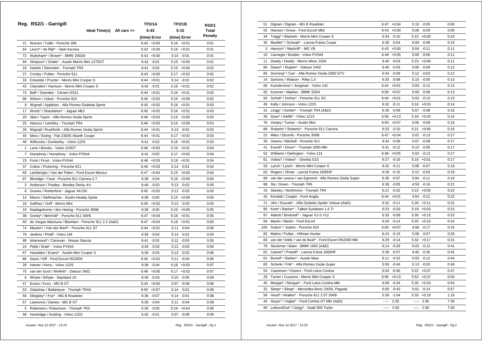|                 | Reg. RS2/1 - Garrigill                              | <b>TP2/1A</b>   | <b>TP2/1B</b>   | <b>RS2/1</b>   |
|-----------------|-----------------------------------------------------|-----------------|-----------------|----------------|
|                 | Ideal Time(s) All cars >>                           | 6:43            | 5:15            | <b>Total</b>   |
|                 |                                                     | (time) Error    | (time) Error    | <b>Penalty</b> |
| 21              | Warren / Tullie - Porsche 356                       | $6:43 + 0:00$   | $5:16 + 0:01$   | 0:01           |
|                 | 64 Leurs* / de Rijk* - Opel Ascona                  | $6:43 + 0:00$   | $5:16 + 0:01$   | 0:01           |
|                 | 72 Wykeham* / Brown* - BMW 2002tii                  | $6:43 + 0:00$   | $5:14 - 0:01$   | 0:01           |
|                 | 94 Simpson* / Doble* - Austin Morris Mini 1275GT    | $6:42 -0:01$    | $5:15 + 0:00$   | 0:01           |
| 16              | Hankin / Ramsden - Triumph TR4                      | 6:41<br>$-0:02$ | $5:15 + 0:00$   | 0:02           |
| 27              | Crosby / Pullan - Porsche 911                       | $6:43 + 0:00$   | $5:17 + 0:02$   | 0:02           |
| 33              | Entwistle / Procter - Morris Mini Cooper S          | 6:44<br>$+0:01$ | $5:14 - 0:01$   | 0:02           |
| 43              | Cleyndert / Harrison - Morris Mini Cooper S         | $6:42 -0:01$    | $5:16 + 0:01$   | 0:02           |
| 73              | Ball* / Duerden - Citroen DS21                      | $6:44 + 0:01$   | $5:16 + 0:01$   | 0:02           |
| 96              | Wilson / Vokes - Porsche 924                        | $6:45 + 0:02$   | $5:15 + 0:00$   | 0:02           |
| 9               | Wignall / Appleton - Alfa Romeo Giulietta Sprint    | 6:45<br>$+0:02$ | $5:16 + 0:01$   | 0:03           |
| 17              | Worts* / Shackleton* - Jaguar Mk2                   | $6:45 + 0:02$   | $5:16 + 0:01$   | 0:03           |
| 20              | Abel / Taylor - Alfa Romeo Giulia Sprint            | $6:46 + 0:03$   | $5:15 + 0:00$   | 0:03           |
|                 | 25 Hancox / Lambley - Triumph TR4                   | $6:46 + 0:03$   | $5:15 + 0:00$   | 0:03           |
|                 | 26 Wignall / Rushforth - Alfa Romeo Giulia Sprint   | $6:44 + 0:01$   | $5:13 - 0:02$   | 0:03           |
| 40              | Moss / Ewing - Fiat 2300S Abarth Coupe              | $+0:01$<br>6:44 | $5:17 + 0:02$   | 0:03           |
| 46              | Willcocks / Dunkerley - Volvo 122S                  | 6:41<br>$-0:02$ | $5:16 + 0:01$   | 0:03           |
| $\mathbf{1}$    | Lane / Brooks - Volvo 123GT                         | 6:46<br>$+0:03$ | $5:16 + 0:01$   | 0:04           |
| 7               | Humphrey / Humphrey - Volvo PV544                   | 6:41<br>$-0:02$ | $5:17 + 0:02$   | 0:04           |
| 23              | Frost / Frost - Volvo PV544                         | $6:46 + 0:03$   | $5:16 + 0:01$   | 0:04           |
| 37              | Colton / Pickering - Porsche 911                    | $6:46 + 0:03$   | $5:14 - 0:01$   | 0:04           |
| 69              | Lamberigts / Van der Palen - Ford Escort Mexico     | 6:47<br>$+0:04$ | $5:15 + 0:00$   | 0:04           |
| 87              | Bloxidge / Youd - Porsche 911 Carrera 2.7           | 6:39<br>$-0:04$ | $5:15 + 0:00$   | 0:04           |
| 2               | Anderson / Powley - Bentley Derby 41/4              | 6:40<br>$-0:03$ | $5:13 - 0:02$   | 0:05           |
| 8               | Graves / Rutherford - Jaguar XK150                  | $6:45 + 0:02$   | $5:12 - 0:03$   | 0:05           |
| 12 <sup>1</sup> | Moore / Stellmacher - Austin-Healey Sprite          | 6:38<br>$-0:05$ | $5:15 + 0:00$   | 0:05           |
| 18              | Gaffney / Goff - Morris Mini                        | $6:45 + 0:02$   | $5:12 -0:03$    | 0:05           |
| 19              | Naaktgeboren / den Hartog - Porsche 356B            | 6:38<br>$-0:05$ | $5:15 + 0:00$   | 0:05           |
| 38              | Gresly* / Behrndt* - Porsche 911 SWB                | 6:47<br>$+0:04$ | $5:16 + 0:01$   | 0:05           |
| 65              | de Vargas Machuca / Bloxham - Porsche 911 2.2 (A&D) | 6:47<br>$+0:04$ | $5:16 + 0:01$   | 0:05           |
| 74              | Meulen* / Van der Werf* - Porsche 911 ST            | 6:44<br>$+0:01$ | $5:11 - 0:04$   | 0:05           |
| 79              | Jenkins / Phaff - Volvo 144                         | 6:39<br>$-0:04$ | $5:14 - 0:01$   | 0:05           |
| 98              | Isherwood* / Canavan - Nissan Stanza                | 6:41<br>$-0:02$ | $5:12 - 0:03$   | 0:05           |
| 24              | Pettit / Watt* - Volvo PV544                        | $6:40 -0:03$    | $5:12 -0:03$    | 0:06           |
| 67              | Haselden / Evans* - Austin Mini Cooper S            | $-0:04$<br>6:39 | $5:13 - 0:02$   | 0:06           |
| 86              | Davis / Kiff - Ford Escort RS2000                   | 6:45<br>$+0:02$ | $5:11 - 0:04$   | 0:06           |
| 28              | Hamer / Kerry - Volvo 122S                          | 6:39<br>$-0:04$ | $5:18 + 0:03$   | 0:07           |
| 75              | van der Goot / Wellink* - Datsun 240Z               | 6:48<br>$+0:05$ | $5:17 + 0:02$   | 0:07           |
| 6               | Whyte / Whyte - Standard 10                         | $-0:03$<br>6:40 | $5:10 - 0:05$   | 0:08           |
|                 | 47 Evans / Kunz - MG B GT                           | $6:43 +0:00$    | 5:07 -0:08      | 0:08           |
|                 | 53 Galashan / Ballantyne - Triumph TR4A             | $6:50 + 0:07$   | 5:14<br>$-0:01$ | 0:08           |
| 56              | Slingsby* / Fox* - MG B Roadster                    | 6:36<br>$-0:07$ | 5:14<br>$-0:01$ | 0:08           |
| 57              | Lawrence / Davies - MG B GT                         | $-0:04$<br>6:39 | $5:11 - 0:04$   | 0:08           |
| 5               | Robertson / Robertson - Triumph TR3                 | $-0:05$<br>6:38 | $5:19 + 0:04$   | 0:09           |
|                 | 48 Hockridge / Gosling - Volvo 122S                 | $6:42 -0:01$    | $5:07 -0:08$    | 0:09           |

| 51              | Dignan / Dignan - MG B Roadster                       |              | $6:47 +0:04$  | $5:10 - 0:05$ | 0:09 |
|-----------------|-------------------------------------------------------|--------------|---------------|---------------|------|
|                 | 55 Hanson / Grove - Ford Escort Mk2                   |              | $6:43 +0:00$  | $5:06 - 0:09$ | 0:09 |
| 34              | Twigg* / Blackett - Morris Mini Cooper S              |              | $6:33 - 0:10$ | $5:15 + 0:00$ | 0:10 |
|                 | 35 Mueller* / Schwab* - Lancia Fulvia Coupe           |              | $6:39 -0:04$  | $5:09 - 0:06$ | 0:10 |
| 3               | Hanson* / Mackrill* - MG YB                           |              | $6:43 + 0:00$ | $5:04 - 0:11$ | 0:11 |
| 10 <sup>1</sup> | Carnegie / Bosdet - Volvo PV544                       |              | $6:48 + 0:05$ | $5:09 - 0:06$ | 0:11 |
| 11              | Dwelly / Dwelly - Morris Minor 1000                   | 6:40         | $-0:03$       | $5:23 +0:08$  | 0:11 |
| 80              | Dwars* / Ruijten* - Datsun 240Z                       |              | $6:40 -0:03$  | $5:06 - 0:09$ | 0:12 |
| 85              | Dunning* / Carr - Alfa Romeo Giulia 2000 GTV          |              | 6:34 -0:09    | $5:12 - 0:03$ | 0:12 |
| 14              | Symons / Watson - Riley 1.5                           |              | $6:35 -0:08$  | $5:10 - 0:05$ | 0:13 |
| 66              | Kuindersma* / Jongman - Volvo 142                     |              | $6:44 + 0:01$ | $5:03 -0:12$  | 0:13 |
| 92              | Koerner / Maeker - BMW 320/4                          |              | $6:50 + 0:07$ | $5:09 - 0:06$ | 0:13 |
| 93              | Schott* / Dohse* - Porsche 911 SC                     |              | $6:44 + 0:01$ | 5:03 -0:12    | 0:13 |
| 49              | Kelly / Johnson - Volvo 122S                          | 6:32         | $-0:11$       | $5:18 + 0:03$ | 0:14 |
| 31              | Lingg* / Gerber* - Triumph TR4 (A&D)                  |              | $6:35 -0:08$  | $5:07 -0:08$  | 0:16 |
| 36              | Dyas* / Kellitt* - Volvo 121S                         |              | $6:56 + 0:13$ | $5:18 + 0:03$ | 0:16 |
| 76              | Vestey / Turner - Austin Mini                         |              | $6:50 + 0:07$ | $5:06 - 0:09$ | 0:16 |
| 89              | Roberts* / Roberts* - Porsche 911 Carrera             |              | $6:33 - 0:10$ | $5:21 + 0:06$ | 0:16 |
| 22              | Miles / Elcomb - Porsche 356B                         |              | $6:47 +0:04$  | $5:02 -0:13$  | 0:17 |
| 39              | Owens / Mitchell - Porsche 911                        |              | 6:34 -0:09    | 5:07 -0:08    | 0:17 |
| 41              | Everitt* / Dixon* - Triumph 2000 Mkl                  | 6:31         | $-0:12$       | $5:10 - 0:05$ | 0:17 |
| 52              | Williams / Darlington - Volvo 131                     |              | $6:48 + 0:05$ | $5:03 -0:12$  | 0:17 |
| 81              | Vokes* / Vokes* - Ginetta G15                         |              | $6:27 -0:16$  | $5:16 + 0:01$ | 0:17 |
| 59              | Lynch / Lynch - Morris Mini Cooper S                  |              | $6:32 -0:11$  | $5:08 - 0:07$ | 0:18 |
| 63              | Rogers / Shute - Lancia Fulvia 1600HF                 | 6:28         | $-0:15$       | $5:12 - 0:03$ | 0:18 |
| 68              | van der Leeuw / van Egmond - Alfa Romeo Giulia Super  |              | 6:36 -0:07    | 5:04 - 0:11   | 0:18 |
| 88              | Sly / Green - Triumph TR6                             |              | $6:38 - 0:05$ | 4:59 -0:16    | 0:21 |
| 15              | Stanley / Northmore - Triumph TR4                     | 6:21         | $-0:22$       | $5:15 + 0:00$ | 0:22 |
| 42              | Kendall / Cooper - Ford Anglia                        |              | $6:44 + 0:01$ | $4:54 - 0:21$ | 0:22 |
| 71              | Ulm / Soucek* - Alfa Giulietta Spider Veloce (A&D)    |              | $6:32 -0:11$  | $5:26 +0:11$  | 0:22 |
| 95              | Kent* / Barker* - Talbot Sunbeam 1.6 Ti               |              | $6:23 - 0:20$ | $5:18 + 0:03$ | 0:23 |
| 97              | Abbott / Bricknell* - Jaguar XJ-S V12                 |              | $6:35 -0:08$  | $5:30 +0:15$  | 0:23 |
| 84              | Martin / Martin - Ford Escort                         |              | $6:29 -0:14$  | $5:25 + 0:10$ | 0:24 |
| 100             | Sutton* / Sutton - Porsche 924                        |              | $6:50 + 0:07$ | 4:58 -0:17    | 0:24 |
| 82              | Malins / Pullan - Hillman Hunter                      |              | $6:24 -0:19$  | $5:08 - 0:07$ | 0:26 |
| 83              | van der Velde / van de Boel* - Ford Escort RS2000 Mkl | 6:29         | $-0:14$       | $5:32 +0:17$  | 0:31 |
| 78              | Stockmar / Baier - BMW 1602 (A&D)                     |              | $6:14 - 0:29$ | 5:03 -0:12    | 0:41 |
| 62              | Calvert* / Powell* - Lancia Fulvia 1600HF             |              | $6:36 - 0:07$ | 4:40 -0:35    | 0:42 |
| 61              | Burrell* / Barker* - Austin Maxi                      |              | $6:11 - 0:32$ | $5:03 -0:12$  | 0:44 |
| 60              | Schenk / Frik* - Alfa Romeo Giulia Super              | 5:59         | $-0:44$       | $5:13 - 0:02$ | 0:46 |
| 54              | Cassimon / Vissers - Ford Lotus Cortina               |              | $6:03 -0:40$  | $5:22 + 0:07$ | 0:47 |
| 29              | Turner / Cussons - Morris Mini Cooper S               |              | $6:56 + 0:13$ | $5:52 +0:37$  | 0:50 |
| 45              | Morgan* / Morgan* - Ford Lotus Cortina Mkl            |              | $6:09 - 0:34$ | $5:35 + 0:20$ | 0:54 |
| 32              | Sleep* / Sleep* - Mercedes-Benz 230SL Pagoda          |              | $6:00 -0:43$  | $5:01 - 0:14$ | 0:57 |
| 58              | Hood* / Walker* - Porsche 911 2.0T SWB                |              | $5:39 - 1:04$ | $5:33 + 0:18$ | 1:18 |
| 44              | Geyer* / Voglar* - Ford Cortina GT MkI (A&D)          | $-2 - 2 - 1$ | 2:30          | $-:- 2:30$    | 7:30 |
| 99              | LeibundGut* / Geigy* - Saab 900 Turbo                 |              | $-:- 2:30$    | $-:- 2:30$    | 7:30 |
|                 |                                                       |              |               |               |      |

 *Issued:- Nov 12 2017 - 13:19 Reg. RS2/1 - Garrigill - Pg.1*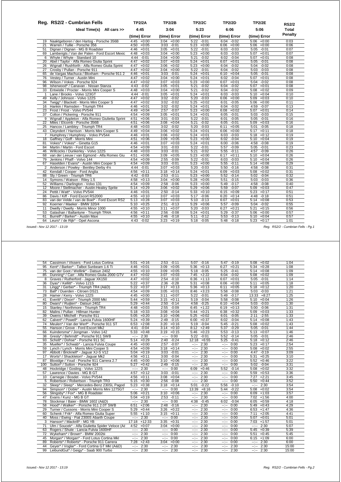|              | Reg. RS2/2 - Cumbrian Fells                       | <b>TP2/2A</b>   | <b>TP2/2B</b>   | <b>TP2/2C</b>   | <b>TP2/2D</b>   | <b>TP2/2E</b>            | <b>RS2/2</b> |
|--------------|---------------------------------------------------|-----------------|-----------------|-----------------|-----------------|--------------------------|--------------|
|              | Ideal Time(s) All cars >>                         | 4:45            | 3:04            | 5:23            | 6:06            | 5:06                     | <b>Total</b> |
|              |                                                   | (time) Error    | (time) Error    | (time) Error    | (time) Error    | (time) Error             | Penalty      |
|              | 19 Naaktgeboren / den Hartog - Porsche 356B       | $4:45 +0:00$    | $3:04 +0:00$    | $5:22 -0:01$    | $6:04 -0:02$    | $5:06 + 0:00$            | 0:03         |
| 21           | Warren / Tullie - Porsche 356                     | $4:50 + 0:05$   | $3:03 - 0:01$   | $5:23 + 0:00$   | $6:06 + 0:00$   | $5:06 + 0:00$            | 0:06         |
|              | 51 Dignan / Dignan - MG B Roadster                | $4:46 + 0:01$   | $3:05 +0:01$    | $5:22 -0:01$    | $6:03 -0:03$    | $5:05 -0:01$             | 0:07         |
|              | 69 Lamberigts / Van der Palen - Ford Escort Mexic | $+0:03$<br>4:48 | $3:04 +0:00$    | $5:23 +0:00$    | $6:03 - 0:03$   | $5:07 +0:01$             | 0:07         |
|              | 6 Whyte / Whyte - Standard 10                     | 4:44<br>$-0:01$ | $3:04 +0:00$    | 5:21<br>$-0:02$ | $6:02 -0:04$    | $5:07 +0:01$             | 0:08         |
|              | 20 Abel / Taylor - Alfa Romeo Giulia Sprint       | $4:47 +0:02$    | $3:07 +0:03$    | $5:24 + 0:01$   | $6:07 +0:01$    | $5:05 - 0:01$            | 0:08         |
|              | 26 Wignall / Rushforth - Alfa Romeo Giulia Sprint | 4:47<br>$+0:02$ | $3:06 + 0:02$   | $5:23 +0:00$    | $6:04 -0:02$    | $5:04 - 0:02$            | 0:08         |
| 27           | Crosby / Pullan - Porsche 911                     | 4:47<br>$+0:02$ | $3:04 +0:00$    | 5:22<br>$-0:01$ | $6:04 -0:02$    | $5:03 - 0:03$            | 0:08         |
|              | 65 de Vargas Machuca / Bloxham - Porsche 911 2    | $4:46 + 0:01$   | $3:03 - 0:01$   | $5:24 +0:01$    | $6:10 + 0:04$   | $5:05 - 0:01$            | 0:08         |
|              | 76 Vestey / Turner - Austin Mini                  | 4:47<br>$+0:02$ | $3:04 +0:00$    | $5:24 +0:01$    | $6:02 -0:04$    | $5:07 +0:01$             | 0:08         |
|              | 96 Wilson / Vokes - Porsche 924                   | 4:47<br>$+0:02$ | $3:07 +0:03$    | $5:23 +0:00$    | $6:07 +0:01$    | $5:04 - 0:02$            | 0:08         |
| 98           | Isherwood* / Canavan - Nissan Stanza              | 4:43<br>$-0:02$ | $3:05 +0:01$    | 5:21<br>$-0:02$ | $6:04 -0:02$    | $5:07 +0:01$             | 0:08         |
|              | 33 Entwistle / Procter - Morris Mini Cooper S     | $4:48 + 0:03$   | $3:04 +0:00$    | $-0:02$<br>5:21 | $6:04 -0:02$    | $5:08 + 0:02$            | 0:09         |
| $\mathbf{1}$ | Lane / Brooks - Volvo 123GT                       | 4:44<br>$-0:01$ | $3:05 +0:01$    | $5:24 +0:01$    | 6:03<br>$-0:03$ | $5:10 + 0:04$            | 0:10         |
|              | 49 Kelly / Johnson - Volvo 122S                   | $4:47 +0:02$    | $3:02 -0:02$    | $5:20 -0:03$    | $6:06 + 0:00$   | $5:09 + 0:03$            | 0:10         |
|              | 34 Twigg* / Blackett - Morris Mini Cooper S       | $+0:02$<br>4:47 | $3:02 -0:02$    | $5:25 + 0:02$   | 6:01<br>$-0:05$ | $5:06 + 0:00$            | 0:11         |
|              | 16 Hankin / Ramsden - Triumph TR4                 | 4:46<br>$+0:01$ | $3:02 -0:02$    | $5:24 +0:01$    | $6:04 -0:02$    | $4:59 - 0:07$            | 0:13         |
|              | 23 Frost / Frost - Volvo PV544                    | $4:49 + 0:04$   | $-0:07$<br>2:57 | $5:23 +0:00$    | $6:08 + 0:02$   | $5:07 +0:01$             | 0:14         |
|              | 37 Colton / Pickering - Porsche 911               | 4:54<br>$+0:09$ | $3:05 +0:01$    | $5:24 +0:01$    | $6:05 -0:01$    | $5:03 - 0:03$            | 0:15         |
| 9            | Wignall / Appleton - Alfa Romeo Giulietta Sprint  | $+0:06$<br>4:51 | $-0:03$<br>3:01 | $5:22 -0:01$    | $6:01 - 0:05$   | $5:05 -0:01$             | 0:16         |
|              | 22 Miles / Elcomb - Porsche 356B                  | 4:51<br>$+0:06$ | $3:08 + 0:04$   | $5:21 - 0:02$   | $6:05 -0:01$    | $5:09 +0:03$             | 0:16         |
|              | 25 Hancox / Lambley - Triumph TR4                 | $4:48 + 0:03$   | $3:02 -0:02$    | $5:20 -0:03$    | $6:11 + 0:05$   | $5:01 - 0:05$            | 0:18         |
|              | 43 Cleyndert / Harrison - Morris Mini Cooper S    | 4:49<br>$+0:04$ |                 |                 |                 | $5:17 + 0:11$            |              |
|              |                                                   |                 | $3:06 + 0:02$   | $5:24 +0:01$    | $6:06 + 0:00$   |                          | 0:18         |
|              | 7 Humphrey / Humphrey - Volvo PV544               | $4:46 + 0:01$   | $3:06 + 0:02$   | $5:24 +0:01$    | $-0:03$<br>6:03 | $5:18 + 0:12$            | 0:19         |
|              | 18 Gaffney / Goff - Morris Mini                   | 4:51<br>$+0:06$ | $3:09 +0:05$    | $5:23 +0:00$    | 6:02<br>$-0:04$ | $\overline{5:10}$ +0:04  | 0:19         |
| 81           | Vokes* / Vokes* - Ginetta G15                     | $4:46 + 0:01$   | $3:07 +0:03$    | $5:24 +0:01$    | $6:00 - 0:06$   | $4:58 - 0:08$            | 0:19         |
| 84           | Martin / Martin - Ford Escort                     | 4:54<br>$+0:09$ | $-0:03$<br>3:01 | $5:22 - 0:01$   | $5:57 - 0:09$   | 5:05<br>$-0:01$          | 0:23         |
|              | 46 Willcocks / Dunkerley - Volvo 122S             | $4:48 + 0:03$   | $3:03 -0:01$    | 5:21<br>$-0:02$ | 5:55 -0:11      | $4:57 - 0:09$            | 0:26         |
|              | 68 van der Leeuw / van Egmond - Alfa Romeo Giu    | 4:51<br>$+0:06$ | 3:09<br>$+0:05$ | $5:23 +0:00$    | $6:17 + 0:11$   | $5:10 + 0:04$            | 0:26         |
| 79           | Jenkins / Phaff - Volvo 144                       | 4:54<br>$+0:09$ | 2:55<br>$-0:09$ | 5:22<br>$-0:01$ | $-0:03$<br>6:03 | $5:10 + 0:04$            | 0:26         |
|              | 67 Haselden / Evans* - Austin Mini Cooper S       | 4:54<br>$+0:09$ | 3:03<br>$-0:01$ | $5:23 + 0:00$   | 5:55<br>$-0:11$ | $5:14 + 0:08$            | 0:29         |
|              | 2 Anderson / Powley - Bentley Derby 41/4          | 4:44<br>$-0:01$ | $3:07 +0:03$    | $5:20 -0:03$    | $5:50 - 0:16$   | $4:58 - 0:08$            | 0:31         |
|              | 42 Kendall / Cooper - Ford Anglia                 | $4:56 + 0:11$   | $3:18 + 0:14$   | $5:24 +0:01$    | $6:09 +0:03$    | $5:08 + 0:02$            | 0:31         |
|              | 88 Sly / Green - Triumph TR6                      | $4:42 - 0:03$   | $2:53 - 0:11$   | $5:23 + 0:00$   | 5:52<br>$-0:14$ | $5:02 -0:04$             | 0:32         |
|              | 14 Symons / Watson - Riley 1.5                    | $4:58 + 0:13$   | $3:04 +0:00$    | $5:28 + 0:05$   | $-0:15$<br>5:51 | $5:03 - 0:03$            | 0:36         |
|              | 52 Williams / Darlington - Volvo 131              | $4:54 +0:09$    | $2:58 - 0:06$   | $5:23 + 0:00$   | 5:49<br>$-0:17$ | 4:58 -0:08               | 0:40         |
|              | 12 Moore / Stellmacher - Austin-Healey Sprite     | $5:14 + 0:29$   | $3:06 + 0:02$   | $5:29 +0:06$    | $5:59 - 0:07$   | $5:09 + 0:03$            | 0:47         |
| 24           | Pettit / Watt* - Volvo PV544                      | $4:46 + 0:01$   | 2:50<br>$-0:14$ | $5:33 + 0:10$   | 6:15<br>$+0:09$ | $5:23 +0:17$             | 0:51         |
|              | 86 Davis / Kiff - Ford Escort RS2000              | $4:55 + 0:10$   | $3:07 +0:03$    | 5:17<br>$-0:06$ | 6:20<br>$+0:14$ | $4:48 - 0:18$            | 0:51         |
| 83           | van der Velde / van de Boel* - Ford Escort RS2    | $5:13 + 0:28$   | $3:07 +0:03$    | $5:10 - 0:13$   | 6:07<br>$+0:01$ | $\overline{5:14 + 0:08}$ | 0:53         |
| 92           | Koerner / Maeker - BMW 320/4                      | $5:10 + 0:25$   | 2:51<br>$-0:13$ | $5:29 +0:06$    | 5:57<br>$-0:09$ | $5:04 - 0:02$            | 0:55         |
| 11           | Dwelly / Dwelly - Morris Minor 1000               | $4:55 + 0:10$   | $+0:07$<br>3:11 | $5:20 -0:03$    | 6:27<br>$+0:21$ | 5:21<br>$+0:15$          | 0:56         |
|              | 53 Galashan / Ballantyne - Triumph TR4A           | $4:56 + 0:11$   | 2:56<br>$-0:08$ | $5:24 +0:01$    | 5:29<br>$-0:37$ | $5:06 + 0:00$            | 0:57         |
|              | 61 Burrell* / Barker* - Austin Maxi               | $4:55 + 0:10$   | $2:46 - 0:18$   | 5:11<br>$-0:12$ | $5:53 - 0:13$   | $5:10 + 0:04$            | 0:57         |
|              | Leurs* / de Rijk* - Opel Ascona                   | 4:43<br>$-0:02$ | 3:23<br>$+0:19$ | 5:18<br>$-0:05$ | 5:48<br>$-0:18$ | $5:23 +0:17$             | 1:01         |

| 54  | Cassimon / Vissers - Ford Lotus Cortina          | 5:01             | $+0:16$      | 2:53             | $-0:11$ | $-0:16$<br>5:07                                                                                                                                                                                                                                                                                                                                                                                                                                        | 5:47                                                                                                                                                                                                                                                                                                                                                                                                                                           | $-0:19$       | 5:08             | $+0:02$      | 1:04  |
|-----|--------------------------------------------------|------------------|--------------|------------------|---------|--------------------------------------------------------------------------------------------------------------------------------------------------------------------------------------------------------------------------------------------------------------------------------------------------------------------------------------------------------------------------------------------------------------------------------------------------------|------------------------------------------------------------------------------------------------------------------------------------------------------------------------------------------------------------------------------------------------------------------------------------------------------------------------------------------------------------------------------------------------------------------------------------------------|---------------|------------------|--------------|-------|
| 95  | Kent* / Barker* - Talbot Sunbeam 1.6 Ti          | 4:46             | $+0:01$      | 3:09             | $+0:05$ | 5:36<br>$+0:13$                                                                                                                                                                                                                                                                                                                                                                                                                                        | 6:27                                                                                                                                                                                                                                                                                                                                                                                                                                           | $+0:21$       | 5:34             | $+0:28$      | 1:08  |
| 75  | van der Goot / Wellink* - Datsun 240Z            | 4:55             | $+0:10$      | 3:09             | $+0:05$ | 5:18<br>$-0:05$                                                                                                                                                                                                                                                                                                                                                                                                                                        | 5:25                                                                                                                                                                                                                                                                                                                                                                                                                                           | $-0:41$       | 5:14             | $+0:08$      | 1:09  |
| 85  | Dunning* / Carr - Alfa Romeo Giulia 2000 GTV     | 4:47             | $+0:02$      | 3:07             | $+0:03$ | $+2:22$<br>7:45                                                                                                                                                                                                                                                                                                                                                                                                                                        | 6:04                                                                                                                                                                                                                                                                                                                                                                                                                                           | $-0:02$       | 5:08             | $+0:02$      | 1:09  |
| 8   | Graves / Rutherford - Jaquar XK150               | 4:47             | $+0:02$      | 2:54             | $-0:10$ | $+1:13$<br>6:36                                                                                                                                                                                                                                                                                                                                                                                                                                        | 6:07                                                                                                                                                                                                                                                                                                                                                                                                                                           | $+0:01$       | 5:05             | $-0:01$      | 1:14  |
| 36  | Dyas* / Kellitt* - Volvo 121S                    | 5:22             | $+0:37$      | 2:36             | $-0:28$ | 5:31<br>$+0:08$                                                                                                                                                                                                                                                                                                                                                                                                                                        | 6:06                                                                                                                                                                                                                                                                                                                                                                                                                                           | $+0:00$       | 5:11             | $+0:05$      | 1:18  |
| 31  | Lingg* / Gerber* - Triumph TR4 (A&D)             | 5:22             | $+0:37$      | 3:17             | $+0:13$ | 5:36<br>$+0:13$                                                                                                                                                                                                                                                                                                                                                                                                                                        | 6:11                                                                                                                                                                                                                                                                                                                                                                                                                                           | $+0:05$       | 5:18             | $+0:12$      | 1:20  |
| 73  | Ball* / Duerden - Citroen DS21                   | 4:54             | $+0:09$      | 3:05             | $+0:01$ | 8:46<br>$+3:23$                                                                                                                                                                                                                                                                                                                                                                                                                                        | 5:58                                                                                                                                                                                                                                                                                                                                                                                                                                           | $-0:08$       | 5:03             | $-0:03$      | 1:21  |
| 28  | Hamer / Kerry - Volvo 122S                       | 4:45             | $+0:00$      | 3:11             | $+0:07$ | $-0:01$<br>5:22                                                                                                                                                                                                                                                                                                                                                                                                                                        | 5:49                                                                                                                                                                                                                                                                                                                                                                                                                                           | $-0:17$       | 13:33            | $+8:27$      | 1:25  |
| 41  | Everitt* / Dixon* - Triumph 2000 Mkl             | 5:44             | $+0:59$      | 3:15             | $+0:11$ | 5:19<br>$-0:04$                                                                                                                                                                                                                                                                                                                                                                                                                                        | 5:58                                                                                                                                                                                                                                                                                                                                                                                                                                           | $-0:08$       | 5:10             | $+0:04$      | 1:26  |
| 80  | Dwars* / Ruijten* - Datsun 240Z                  | 5:29             | $+0:44$      | 2:50             | $-0:14$ | 4:58<br>$-0:25$                                                                                                                                                                                                                                                                                                                                                                                                                                        |                                                                                                                                                                                                                                                                                                                                                                                                                                                | $6:10 + 0:04$ | 5:03             | $-0:03$      | 1:30  |
| 15  | Stanley / Northmore - Triumph TR4                | 4:48             | $+0:03$      | 2:55             | $-0:09$ | 6:45<br>$+1:22$                                                                                                                                                                                                                                                                                                                                                                                                                                        | 6:19                                                                                                                                                                                                                                                                                                                                                                                                                                           | $+0:13$       | 5:00             | $-0:06$      | 1:31  |
| 82  | Malins / Pullan - Hillman Hunter                 | 5:18             | $+0:33$      | 3:08             | $+0:04$ | $+0:21$<br>5:44                                                                                                                                                                                                                                                                                                                                                                                                                                        | 6:38                                                                                                                                                                                                                                                                                                                                                                                                                                           | $+0:32$       | 5:09             | $+0:03$      | 1:33  |
| 39  | Owens / Mitchell - Porsche 911                   | 5:05             | $+0:20$      | 3:10             | $+0:06$ | 5:25<br>$+0:02$                                                                                                                                                                                                                                                                                                                                                                                                                                        | 6:01                                                                                                                                                                                                                                                                                                                                                                                                                                           | $-0:05$       | 2:11             | $-2:55$      | 1:33  |
| 62  | Calvert* / Powell* - Lancia Fulvia 1600HF        | 5:24             | $+0:39$      | 2:49             | $-0:15$ | 6:00<br>$+0:37$                                                                                                                                                                                                                                                                                                                                                                                                                                        |                                                                                                                                                                                                                                                                                                                                                                                                                                                | $6:02 -0:04$  | 5:14             | $+0:08$      | 1:43  |
| 74  | Meulen* / Van der Werf* - Porsche 911 ST         | 6:53             | $+2:08$      | 3:20             | $+0:16$ | 5:19<br>$-0:04$                                                                                                                                                                                                                                                                                                                                                                                                                                        | 5:45                                                                                                                                                                                                                                                                                                                                                                                                                                           | $-0:21$       | 5:08             | $+0:02$      | 1:43  |
| 55  | Hanson / Grove - Ford Escort Mk2                 | 4:41             | $-0:04$      | 3:14             | $+0:10$ | $+2:49$<br>8:12                                                                                                                                                                                                                                                                                                                                                                                                                                        | 5:37                                                                                                                                                                                                                                                                                                                                                                                                                                           | $-0:29$       | 5:05             | $-0:01$      | 1:44  |
| 66  | Kuindersma* / Jongman - Volvo 142                | 5:33             | $+0:48$      | 3:19             | $+0:15$ | $+0:23$<br>5:46                                                                                                                                                                                                                                                                                                                                                                                                                                        | 5:53                                                                                                                                                                                                                                                                                                                                                                                                                                           | $-0:13$       | 5:13             | $+0:07$      | 1:46  |
| 38  | Gresly* / Behrndt* - Porsche 911 SWB             | $-2 - 2 - 1$     | 2:30         | $-2 - 2 - 1 = 0$ | 0:00    | 5:22<br>$-0:01$                                                                                                                                                                                                                                                                                                                                                                                                                                        | 5:52                                                                                                                                                                                                                                                                                                                                                                                                                                           | $-0:14$       | 5:05             | $-0:01$      | 2:46  |
| 93  | Schott* / Dohse* - Porsche 911 SC                | 5:14             | $+0:29$      | 2:40             | $-0:24$ | 12:18<br>$+6:55$                                                                                                                                                                                                                                                                                                                                                                                                                                       | 5:25                                                                                                                                                                                                                                                                                                                                                                                                                                           | $-0:41$       | 5:18             | $+0:12$      | 2:46  |
| 35  | Mueller* / Schwab* - Lancia Fulvia Coupe         | 4:45             | $+0:00$      | 2:57             | $-0:07$ | 2:30<br>$-2 - 2 - 1$                                                                                                                                                                                                                                                                                                                                                                                                                                   | $-2 - 1$                                                                                                                                                                                                                                                                                                                                                                                                                                       | 0:00          | 5:23             | $+0:17$      | 2:54  |
| 59  | Lynch / Lynch - Morris Mini Cooper S             | 4:54             | $+0:09$      | 3:18             | $+0:14$ | 2:30<br>$\frac{1}{2} \left( \frac{1}{2} \right) + \frac{1}{2} \left( \frac{1}{2} \right) + \frac{1}{2} \left( \frac{1}{2} \right) + \frac{1}{2} \left( \frac{1}{2} \right) + \frac{1}{2} \left( \frac{1}{2} \right) + \frac{1}{2} \left( \frac{1}{2} \right) + \frac{1}{2} \left( \frac{1}{2} \right) + \frac{1}{2} \left( \frac{1}{2} \right) + \frac{1}{2} \left( \frac{1}{2} \right) + \frac{1}{2} \left( \frac{1}{2} \right) + \frac{1}{2} \left($ | $-2 - 1$                                                                                                                                                                                                                                                                                                                                                                                                                                       | 0:00          | 5:08             | $+0:02$      | 2:55  |
| 97  | Abbott / Bricknell* - Jaquar XJ-S V12            | 5:04             | $+0:19$      | 3:03             | $-0:01$ | 2:30<br>$-2 - 2 - 1$                                                                                                                                                                                                                                                                                                                                                                                                                                   | $-2 - 2 - 1$                                                                                                                                                                                                                                                                                                                                                                                                                                   | 0:00          | 4:47             | $-0:19$      | 3:09  |
| 17  | Worts* / Shackleton* - Jaquar Mk2                | 4:56             | $+0:11$      | 3:00             | $-0:04$ | 2:30<br>$-2 - 2 - 1$                                                                                                                                                                                                                                                                                                                                                                                                                                   | $-2 - 2 - 1 = 0$                                                                                                                                                                                                                                                                                                                                                                                                                               | 0:00          | 5:31             | $+0:25$      | 3:10  |
| 87  | Bloxidge / Youd - Porsche 911 Carrera 2.7        | 4:45             | $+0:00$      | 3:10             | $+0:06$ | 2:30<br>$-2 - 2 - 1 = 0$                                                                                                                                                                                                                                                                                                                                                                                                                               | $-2 - 1$                                                                                                                                                                                                                                                                                                                                                                                                                                       | 0:00          | 5:52             | $+0:46$      | 3:22  |
| 100 | Sutton* / Sutton - Porsche 924                   | 5:27             | $+0:42$      | 2:49             | $-0:15$ | 2:30<br>$-2 - 2 - 1$                                                                                                                                                                                                                                                                                                                                                                                                                                   | $-2 - 1$                                                                                                                                                                                                                                                                                                                                                                                                                                       | 0:00          | 5:02             | $-0:04$      | 3:31  |
| 48  | Hockridge / Gosling - Volvo 122S                 | $-2 - 2 - 1$     | 2:30         | $-10 - 10$       | 0:00    | $+0:46$<br>6:09                                                                                                                                                                                                                                                                                                                                                                                                                                        | 5:52                                                                                                                                                                                                                                                                                                                                                                                                                                           | $-0:14$       | 5:08             | $+0:02$      | 3:32  |
| 57  | Lawrence / Davies - MG B GT                      | 4:57             | $+0:12$      | 3:03             | $-0:01$ | 2:30<br>$-2 - 2 - 1$                                                                                                                                                                                                                                                                                                                                                                                                                                   | --1--                                                                                                                                                                                                                                                                                                                                                                                                                                          | 0:00          | 5:59             | $+0:53$      | 3:36  |
| 10  | Carnegie / Bosdet - Volvo PV544                  | 4:56             | $+0:11$      | 3:08             | $+0:04$ | 2:30<br>44,544                                                                                                                                                                                                                                                                                                                                                                                                                                         | $-2 - 1$                                                                                                                                                                                                                                                                                                                                                                                                                                       | 0:00          | 7:27             | $+2:21$      | 3:45  |
| 5   | Robertson / Robertson - Triumph TR3              | 5:15             | $+0:30$      | 2:56             | $-0:08$ | 2:30<br>$-2 - 2 - 1$                                                                                                                                                                                                                                                                                                                                                                                                                                   | $-2 - 2 - 1$                                                                                                                                                                                                                                                                                                                                                                                                                                   | 0:00          | 5:50             | $+0:44$      | 3:52  |
| 32  | Sleep* / Sleep* - Mercedes-Benz 230SL Pagod      | 5:23             | $+0:38$      | 3:18             | $+0:14$ | $-0:22$<br>5:01                                                                                                                                                                                                                                                                                                                                                                                                                                        | 5:56                                                                                                                                                                                                                                                                                                                                                                                                                                           | $-0:10$       | $-1 - 1 - 1 = 0$ | 2:30         | 3:54  |
| 94  | Simpson* / Doble* - Austin Morris Mini 1275GT    | $-2 - 1$         | 2:30         | $-2 - 1$         | 0:00    | 13:39<br>$+8:16$                                                                                                                                                                                                                                                                                                                                                                                                                                       | 5:44                                                                                                                                                                                                                                                                                                                                                                                                                                           | $-0:22$       | 5:08             | $+0:02$      | 3:54  |
| 56  | Slingsby* / Fox* - MG B Roadster                 |                  | $5:06 +0:21$ | 3:10             | $+0:06$ | 2:30<br>$\frac{1}{2} \left( \frac{1}{2} \right) + \frac{1}{2} \left( \frac{1}{2} \right) + \frac{1}{2} \left( \frac{1}{2} \right) + \frac{1}{2} \left( \frac{1}{2} \right) + \frac{1}{2} \left( \frac{1}{2} \right) + \frac{1}{2} \left( \frac{1}{2} \right) + \frac{1}{2} \left( \frac{1}{2} \right) + \frac{1}{2} \left( \frac{1}{2} \right) + \frac{1}{2} \left( \frac{1}{2} \right) + \frac{1}{2} \left( \frac{1}{2} \right) + \frac{1}{2} \left($ | $\frac{1}{2} \left( \frac{1}{2} \right) + \frac{1}{2} \left( \frac{1}{2} \right) + \frac{1}{2} \left( \frac{1}{2} \right) + \frac{1}{2} \left( \frac{1}{2} \right) + \frac{1}{2} \left( \frac{1}{2} \right) + \frac{1}{2} \left( \frac{1}{2} \right) + \frac{1}{2} \left( \frac{1}{2} \right) + \frac{1}{2} \left( \frac{1}{2} \right) + \frac{1}{2} \left( \frac{1}{2} \right) + \frac{1}{2} \left( \frac{1}{2} \right) + \frac{1}{2} \left($ | 0:00          |                  | $6:09 +1:03$ | 3:57  |
| 47  | Evans / Kunz - MG B GT                           | 5:04             | $+0:19$      | 2:53             | $-0:11$ | 2:30<br>$-2 - 2 - 1$                                                                                                                                                                                                                                                                                                                                                                                                                                   | $-2 - 1$                                                                                                                                                                                                                                                                                                                                                                                                                                       | 0:00          | 7:02             | $+1:56$      | 4:00  |
| 78  | Stockmar / Baier - BMW 1602 (A&D)                | $-1 - 1 - 1 = 0$ | 2:30         | $-2 - 2 - 1$     | 0:00    | 4:38<br>$-0:45$                                                                                                                                                                                                                                                                                                                                                                                                                                        | 6:02                                                                                                                                                                                                                                                                                                                                                                                                                                           | $-0:04$       | 6:05             | $+0:59$      | 4:18  |
| 58  | Hood* / Walker* - Porsche 911 2.0T SWB           | 6:51             | $+2:06$      | 2:48             | $-0:16$ | 2:30<br>$-2 - 2 - 1 = 0$                                                                                                                                                                                                                                                                                                                                                                                                                               | $-2 - 2 - 1 = 0$                                                                                                                                                                                                                                                                                                                                                                                                                               | 0:00          | 5:49             | $+0:43$      | 4:29  |
| 29  | Turner / Cussons - Morris Mini Cooper S          | 5:29             | $+0:44$      | 3:26             | $+0:22$ | 2:30<br>$-2 - 2 - 1$                                                                                                                                                                                                                                                                                                                                                                                                                                   | $-2 - 1$                                                                                                                                                                                                                                                                                                                                                                                                                                       | 0:00          |                  | $6:53 +1:47$ | 4:36  |
| 60  | Schenk / Frik* - Alfa Romeo Giulia Super         | 5:55             | $+1:10$      | 3:15             | $+0:11$ | 2:30<br>$-2 - 2 - 1$                                                                                                                                                                                                                                                                                                                                                                                                                                   | $-2 - 1$                                                                                                                                                                                                                                                                                                                                                                                                                                       | 0:00          | 7:11             | $+2:05$      | 4:41  |
| 40  | Moss / Ewing - Fiat 2300S Abarth Coupe           | $-2 - 1$         | 2:30         | $\sim$ 1 $\sim$  | 0:00    | 2:30<br>--:--                                                                                                                                                                                                                                                                                                                                                                                                                                          | $-2 - 1$                                                                                                                                                                                                                                                                                                                                                                                                                                       | 0:00          | 5:07             | $+0:01$      | 5:01  |
| 3   | Hanson* / Mackrill* - MG YB                      | 17:18            | $+12:33$     | 3:35             | $+0:31$ | 2:30<br>$-2 - 2 - 1 = 0$                                                                                                                                                                                                                                                                                                                                                                                                                               | $-1 - 1 - 1 = 0$                                                                                                                                                                                                                                                                                                                                                                                                                               | 0:00          | 7:03             | $+1:57$      | 5:01  |
| 71  | Ulm / Soucek* - Alfa Giulietta Spider Veloce (A& | 4:52             | $+0:07$      | 3:04             | $+0:00$ | 2:30<br>$-2 - 2 - 1$                                                                                                                                                                                                                                                                                                                                                                                                                                   | $-2 - 1$                                                                                                                                                                                                                                                                                                                                                                                                                                       | 0:00          | $-2 - 2 - 1$     | 2:30         | 5:07  |
| 63  | Rogers / Shute - Lancia Fulvia 1600HF            | $-2 - 2 - 1$     | 2:30         | $-2 - 2 - 1$     | 0:00    | 2:30<br>$-2 - 2 - 1$                                                                                                                                                                                                                                                                                                                                                                                                                                   | $-2 - 1$                                                                                                                                                                                                                                                                                                                                                                                                                                       | 0:00          | 5:45             | $+0:39$      | 5:39  |
| 72  | Wykeham* / Brown* - BMW 2002tii                  | $-2 - 2 - 1$     | 2:30         | $-2 - 2 - 1$     | 0:00    | 2:30<br>$-2 - 2 - 1$                                                                                                                                                                                                                                                                                                                                                                                                                                   | $-2 - 2 - 1$                                                                                                                                                                                                                                                                                                                                                                                                                                   | 0:00          | 5:51             | $+0:45$      | 5:45  |
| 45  | Morgan* / Morgan* - Ford Lotus Cortina MkI       | $-15 - 1$        | 2:30         | $-2 - 2 - 1$     | 0:00    | 2:30<br>$-2 - 2 - 1$                                                                                                                                                                                                                                                                                                                                                                                                                                   | $-2 - 1$                                                                                                                                                                                                                                                                                                                                                                                                                                       | 0:00          | 6:15             | $+1:09$      | 6:00  |
| 89  | Roberts* / Roberts* - Porsche 911 Carrera        | 7:28             | $+2:43$      | 3:04             | $+0:00$ | 2:30<br>$-2 - 2 - 1 = 0$                                                                                                                                                                                                                                                                                                                                                                                                                               | $-100 - 100$                                                                                                                                                                                                                                                                                                                                                                                                                                   | 0:00          | $-2 - 2 - 1$     | 2:30         | 6:00  |
| 44  | Gever* / Voglar* - Ford Cortina GT MkI (A&D)     | $-2 - 2 - 1 = 0$ | 2:30         | $-2 - 2 - 1$     | 2:30    | 2:30<br>$-1 - 1 - 1$                                                                                                                                                                                                                                                                                                                                                                                                                                   | $-1$                                                                                                                                                                                                                                                                                                                                                                                                                                           | 2:30          | $-2 - 2 - 1$     | 2:30         | 15:00 |
| 99  | LeibundGut* / Geigy* - Saab 900 Turbo            | $-1$             | 2:30         | $-2 - 2 - 1$     | 2:30    | 2:30<br>$-2 - 2 - 1$                                                                                                                                                                                                                                                                                                                                                                                                                                   | $-1 - 1$                                                                                                                                                                                                                                                                                                                                                                                                                                       | 2:30          | $-2 - 2 - 1$     | 2:30         | 15:00 |
|     |                                                  |                  |              |                  |         |                                                                                                                                                                                                                                                                                                                                                                                                                                                        |                                                                                                                                                                                                                                                                                                                                                                                                                                                |               |                  |              |       |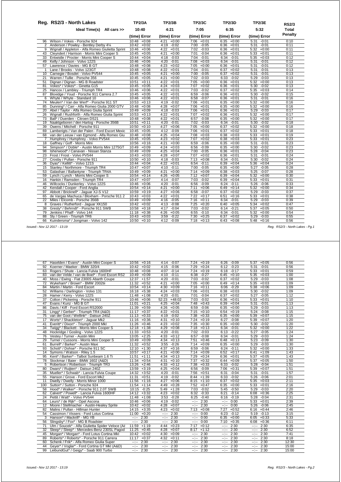|                 | Reg. RS2/3 - North Lakes                           | <b>TP2/3A</b><br><b>TP2/3B</b> |                 | <b>TP2/3C</b>   | <b>TP2/3D</b>   | <b>TP2/3E</b>           | <b>RS2/3</b> |
|-----------------|----------------------------------------------------|--------------------------------|-----------------|-----------------|-----------------|-------------------------|--------------|
|                 | Ideal Time(s) All cars >>                          | 10:40                          | 4:21            | 7:05            | 6:35            | 5:32                    | <b>Total</b> |
|                 |                                                    | (time) Error                   | (time) Error    | (time) Error    | (time) Error    | (time) Error            | Penalty      |
| 96              | Wilson / Vokes - Porsche 924                       | $10:48 + 0:08$                 | $4:21 + 0:00$   | $7:06 + 0:01$   | $6:35 + 0:00$   | $5:31 - 0:01$           | 0:10         |
|                 | 2 Anderson / Powley - Bentley Derby 41/4           | $10:42 + 0:02$                 | 4:19 -0:02      | 7:00 -0:05      | $6:36 + 0:01$   | $5:31 - 0:01$           | 0:11         |
|                 | 9 Wignall / Appleton - Alfa Romeo Giulietta Sprint | $10:46 + 0:06$                 | $4:22 +0:01$    | 7:02 -0:03      | $6:36 + 0:01$   | $5:32 +0:00$            | 0:11         |
|                 | 43 Cleyndert / Harrison - Morris Mini Cooper S     | $10:45 + 0:05$                 | $4:21 + 0:00$   | 7:01 -0:04      | $6:36 + 0:01$   | $5:33 + 0:01$           | 0:11         |
|                 | 33 Entwistle / Procter - Morris Mini Cooper S      | $10:44 + 0:04$                 | $4:18 - 0:03$   | $7:04 - 0:01$   | $6:34 - 0:01$   | $5:35 + 0:03$           | 0:12         |
|                 | 49 Kelly / Johnson - Volvo 122S                    | $10:46 + 0:06$                 | 4:20 -0:01      | $7:08 + 0:03$   | 6:34 -0:01      | 5:31 -0:01              | 0:12         |
|                 | 57 Lawrence / Davies - MG B GT                     | $10:48 + 0:08$                 | $4:23 +0:02$    | $7:05 +0:00$    | $6:36 + 0:01$   | 5:31<br>$-0:01$         | 0:12         |
| $\mathbf{1}$    | Lane / Brooks - Volvo 123GT                        | $10:48 + 0:08$                 | $4:22 +0:01$    | 7:04<br>$-0:01$ | 6:37<br>$+0:02$ | 5:31<br>$-0:01$         | 0:13         |
| 10 <sup>1</sup> | Carnegie / Bosdet - Volvo PV544                    | $10:45 + 0:05$                 | $4:21 +0:00$    | 7:00 -0:05      | 6:37<br>$+0:02$ | 5:31<br>$-0:01$         | 0:13         |
| 21              | Warren / Tullie - Porsche 356                      | $10:45 +0:05$                  | $4:21 + 0:00$   | $7:02 -0:03$    | $6:33 - 0:02$   | 5:29<br>$-0:03$         | 0:13         |
| 51              | Dignan / Dignan - MG B Roadster                    | $10:51 + 0:11$                 | $4:22 +0:01$    | $7:05 +0:00$    | $6:36 + 0:01$   | $5:32 +0:00$            | 0:13         |
|                 | 81 Vokes* / Vokes* - Ginetta G15                   | $10:45 + 0:05$                 | $4:24 +0:03$    | $+0:02$<br>7:07 | $6:36 + 0:01$   | $5:30 - 0:02$           | 0:13         |
| 25              | Hancox / Lambley - Triumph TR4                     | $10:46 + 0:06$                 | 4:22<br>$+0:01$ | 7:03<br>$-0:02$ | $6:37 + 0:02$   | $5:35 + 0:03$           | 0:14         |
|                 | 87 Bloxidge / Youd - Porsche 911 Carrera 2.7       | $10:45 + 0:05$                 | $4:22 +0:01$    | 6:59<br>$-0:06$ | $6:36 + 0:01$   | $5:30 - 0:02$           | 0:15         |
| 6               | Whyte / Whyte - Standard 10                        | $10:46 + 0:06$                 | $4:22 +0:01$    | $6:58 - 0:07$   | $6:36 + 0:01$   | $5:31 - 0:01$           | 0:16         |
|                 | 74 Meulen* / Van der Werf* - Porsche 911 ST        | $10:53 + 0:13$                 | 4:19 -0:02      | $7:06 + 0:01$   | $6:35 + 0:00$   | $5:32 +0:00$            | 0:16         |
|                 | 85 Dunning* / Carr - Alfa Romeo Giulia 2000 GTV    | $10:48 + 0:08$                 | $4:28 +0:07$    | $7:06$ +0:01    | $6:35 + 0:00$   | $5:32 +0:00$            | 0:16         |
|                 | 20 Abel / Taylor - Alfa Romeo Giulia Sprint        | $10:49 + 0:09$                 | 4:18 -0:03      | $7:06 + 0:01$   | $6:36 + 0:01$   | 5:29 -0:03              | 0:17         |
|                 | 26 Wignall / Rushforth - Alfa Romeo Giulia Sprint  | $10:53 + 0:13$                 | $4:22 +0:01$    | $7:07 +0:02$    | $6:36 + 0:01$   | $5:32 +0:00$            | 0:17         |
|                 | 73 Ball* / Duerden - Citroen DS21                  | $10:48 + 0:08$                 | $4:22 +0:01$    | 6:57<br>$-0:08$ | $6:35 + 0:00$   | $5:32 +0:00$            | 0:17         |
|                 | 19 Naaktgeboren / den Hartog - Porsche 356B        | 10:51<br>$+0:11$               | 4:20<br>$-0:01$ | 7:02 -0:03      | 6:34 -0:01      | $5:30 -0:02$            | 0:18         |
| 39              | Owens / Mitchell - Porsche 911                     | $10:50 + 0:10$                 | $4:27 +0:06$    | $7:05 +0:00$    | $6:37 +0:02$    | $5:32 +0:00$            | 0:18         |
|                 | 69 Lamberigts / Van der Palen - Ford Escort Mexic  | $10:45 + 0:05$                 | 4:12 -0:09      | $7:06$ +0:01    | 6:37<br>$+0:02$ | $\overline{5:33}$ +0:01 | 0:18         |
|                 | 68 van der Leeuw / van Egmond - Alfa Romeo Giu     | $10:48 + 0:08$                 | $4:25 +0:04$    | $7:08$ +0:03    | $6:38 + 0:03$   | $5:33 + 0:01$           | 0:19         |
| $\overline{7}$  | Humphrey / Humphrey - Volvo PV544                  | $10:45 + 0:05$                 | $4:23 +0:02$    | 7:07<br>$+0:02$ | $6:38 + 0:03$   | $5:33 + 0:01$           | 0:23         |
|                 | 18 Gaffney / Goff - Morris Mini                    | $10:56 + 0:16$                 | 4:21<br>$+0:00$ | 6:59<br>$-0:06$ | $6:35 + 0:00$   | 5:31<br>$-0:01$         | 0:23         |
|                 | 94 Simpson* / Doble* - Austin Morris Mini 1275GT   | $10:49 + 0:09$                 | $4:24 +0:03$    | $6:56 - 0:09$   | $6:35 + 0:00$   | $-0:02$<br>5:30         | 0:23         |
|                 | 98 Isherwood* / Canavan - Nissan Stanza            | $10:49 + 0:09$                 | $4:25 +0:04$    | 7:00 -0:05      | $6:36 + 0:01$   | $-0:04$<br>5:28         | 0:23         |
|                 | 23 Frost / Frost - Volvo PV544                     | $10:43 + 0:03$                 | $4:28 +0:07$    | $7:07 +0:02$    | $6:36 + 0:01$   | 5:31<br>$-0:01$         | 0:24         |
|                 | 27 Crosby / Pullan - Porsche 911                   | $10:50 + 0:10$                 | 4:18 -0:03      | $7:13 + 0:08$   | $6:34 -0:01$    | 5:30<br>$-0:02$         | 0:24         |
|                 | 36 Dyas* / Kellitt* - Volvo 121S                   | $10:44 + 0:04$                 | $4:22 +0:01$    | $6:54 -0:11$    | $6:39 + 0:04$   | $5:36 + 0:04$           | 0:24         |
|                 | 15 Stanley / Northmore - Triumph TR4               | $10:47 + 0:07$                 | $4:10 - 0:11$   | $7:00 - 0:05$   | $6:35 + 0:00$   | $5:27 - 0:05$           | 0:28         |
|                 | 53 Galashan / Ballantyne - Triumph TR4A            | $10:49 + 0:09$                 | 4:21<br>$+0:00$ | $7:14 + 0:09$   | $6:38 + 0:03$   | $5:25 - 0:07$           | 0:28         |
|                 | 59 Lynch / Lynch - Morris Mini Cooper S            | $10:54 + 0:14$                 | $4:26 + 0:05$   | $7:12 + 0:07$   | 6:39<br>$+0:04$ | $5:32 +0:00$            | 0:30         |
|                 | 16 Hankin / Ramsden - Triumph TR4                  | $10:47 +0:07$                  | $4:14 - 0:07$   | 7:03<br>$-0:02$ | $6:39 + 0:04$   | $5:33 + 0:01$           | 0:31         |
|                 | 46 Willcocks / Dunkerley - Volvo 122S              | $10:46 + 0:06$                 | $4:20 -0:01$    | $6:56 - 0:09$   | $6:24 -0:11$    | $5:26 - 0:06$           | 0:33         |
|                 | 42 Kendall / Cooper - Ford Anglia                  | $10:54 + 0:14$                 | 4:21<br>$+0:00$ | 7:11<br>$+0:06$ | $6:49 +0:14$    | $\overline{5:32}$ +0:00 | 0:34         |
|                 | 97 Abbott / Bricknell* - Jaquar XJ-S V12           | $10:59 + 0:19$                 | 4:27<br>$+0:06$ | $6:58 - 0:07$   | 6:37<br>$+0:02$ | $5:29 -0:03$            | 0:37         |
|                 | 65 de Vargas Machuca / Bloxham - Porsche 911 2     | $10:43 +0:03$                  | 4:22<br>$+0:01$ | $7:22 +0:17$    | 6:51<br>$+0:16$ | $5:33 + 0:01$           | 0:38         |
|                 | 22 Miles / Elcomb - Porsche 356B                   | $10:49 + 0:09$                 | 4:16 -0:05      | $7:16 + 0:11$   | 6:34<br>$-0:01$ | $5:29 - 0:03$           | 0:39         |
|                 | 8 Graves / Rutherford - Jaguar XK150               | $10:42 + 0:02$                 | 4:13 -0:08      | $7:25 +0:20$    | $6:40 + 0:05$   | $5:34 +0:02$            | 0:47         |
|                 | 38 Gresly* / Behrndt* - Porsche 911 SWB            | $10:58 + 0:18$                 | 4:17 -0:04      | 7:03 -0:02      | $6:14 - 0:21$   | $5:37 +0:05$            | 0:50         |
|                 | 79 Jenkins / Phaff - Volvo 144                     | $11:18 + 0:38$                 | $4:26 +0:05$    | $6:55 - 0:10$   | $6:34 -0:01$    | $5:32 +0:00$            | 0:54         |
|                 | 88 Sly / Green - Triumph TR6                       | $10:43 + 0:03$                 | 3:59<br>$-0:22$ | $7:30 + 0:25$   | $6:37 + 0:02$   | $5:29 - 0:03$           | 0:55         |
| 66              | Kuindersma* / Jongman - Volvo 142                  | $10:50 + 0:10$                 | $-0:09$<br>4:12 | $7:18 + 0:13$   | 6:43<br>$+0:08$ | 5:48<br>$+0:16$         | 0:56         |

| 67  | Haselden / Evans* - Austin Mini Cooper S         | 10:56            | $+0:16$        | 4:14             | $-0:07$       | 7:24             | $+0:19$ | 6:26             | $-0:09$ | 5:37         | $+0:05$       | 0:56  |
|-----|--------------------------------------------------|------------------|----------------|------------------|---------------|------------------|---------|------------------|---------|--------------|---------------|-------|
| 92  | Koerner / Maeker - BMW 320/4                     | 10:42            | $+0:02$        | 4:15             | $-0:06$       | 7:29             | $+0:24$ | 6:12             | $-0:23$ | 5:31         | $-0:01$       | 0:56  |
| 63  | Rogers / Shute - Lancia Fulvia 1600HF            |                  | $10:48 + 0:08$ | 4:07             | $-0:14$       | 7:24             | $+0:19$ | 6:18             | $-0:17$ | 5:33         | $+0:01$       | 0:59  |
| 83  | van der Velde / van de Boel* - Ford Escort RS2   |                  | $10:49 + 0:09$ | 4:10             | $-0:11$       | 6:38             | $-0:27$ | 6:45             | $+0:10$ |              | $5:35 + 0:03$ | 1:00  |
| 40  | Moss / Ewing - Fiat 2300S Abarth Coupe           |                  | $12:37 +1:57$  | 4:20             | $-0:01$       | 7:03             | $-0:02$ | 6:37             | $+0:02$ | 5:29         | $-0:03$       | 1:08  |
| 72  | Wykeham* / Brown* - BMW 2002tii                  |                  | $11:32 +0:52$  | 4:21             | $+0:00$       | 7:05             | $+0:00$ | 6:49             | $+0:14$ |              | $5:35 + 0:03$ | 1:09  |
| 84  | Martin / Martin - Ford Escort                    |                  | $10:54 +0:14$  |                  | $4:30 + 0:09$ | 7:16             | $+0:11$ | 6:06             | $-0:29$ |              | $5:38 + 0:06$ | 1:09  |
| 52  | Williams / Darlington - Volvo 131                |                  | 16:18 +5:38    | 4:24             | $+0:03$       | 7:06             | $+0:01$ | 6:38             | $+0:03$ | 5:30         | $-0:02$       | 1:09  |
| 28  | Hamer / Kerry - Volvo 122S                       |                  | $11:48$ +1:08  | 4:20             | $-0:01$       | 7:01             | $-0:04$ | 6:37             | $+0:02$ | 5:27         | $-0:05$       | 1:12  |
| 37  | Colton / Pickering - Porsche 911                 | 10:46            | $+0:06$        | 52:23            | $+48:02$      | 7:03             | $-0:02$ | 6:36             | $+0:01$ | 5:33         | $+0:01$       | 1:10  |
| 47  | Evans / Kunz - MG B GT                           | 11:01            | $+0:21$        | 4:25             | $+0:04$       | 7:48             | $+0:43$ | 6:39             | $+0:04$ | 5:31         | $-0:01$       | 1:13  |
| 86  | Davis / Kiff - Ford Escort RS2000                |                  | $11:39 + 0:59$ | 4:26             | $+0:05$       | 6:59             | $-0:06$ | 6:35             | $+0:00$ | 5:29         | $-0:03$       | 1:13  |
| 31  | Lingg* / Gerber* - Triumph TR4 (A&D)             | 11:17            | $+0:37$        | 4:22             | $+0:01$       | 7:15             | $+0:10$ | 6:54             | $+0:19$ | 5:24         | $-0:08$       | 1:15  |
| 75  | van der Goot / Wellink* - Datsun 240Z            |                  | $11:13 + 0:33$ |                  | $4:19 - 0:02$ | 7:38             | $+0:33$ | 6:35             | $+0:00$ | 5:39         | $+0:07$       | 1:15  |
| 17  | Worts* / Shackleton* - Jaquar Mk2                |                  | $11:16 + 0:36$ | 4:31             | $+0:10$       | 7:24             | $+0:19$ | 6:27             | $-0:08$ |              | $5:39 +0:07$  | 1:20  |
| 41  | Everitt* / Dixon* - Triumph 2000 MkI             |                  | $11:26 + 0:46$ | 4:23             | $+0:02$       | 7:35             | $+0:30$ | 6:35             | $+0:00$ | 5:30         | $-0:02$       | 1:20  |
| 34  | Twigg* / Blackett - Morris Mini Cooper S         |                  | $12:18 + 1:38$ | 4:29             | $+0:08$       | 7:18             | $+0:13$ | 6:34             | $-0:01$ | 5:32         | $+0:00$       | 1:22  |
| 48  | Hockridge / Gosling - Volvo 122S                 | 11:33            | $+0:53$        | 4:20             | $-0:01$       | 7:02             | $-0:03$ | 6:13             | $-0:22$ | 5:27         | $-0:05$       | 1:24  |
| 76  | Vestey / Turner - Austin Mini                    | 13:05            | $+2:25$        | 4:33             | $+0:12$       | 6:57             | $-0:08$ | 6:34             | $-0:01$ | 5:29         | $-0:03$       | 1:24  |
| 29  | Turner / Cussons - Morris Mini Cooper S          | 10:49            | $+0:09$        | 4:34             | $+0:13$       | 7:51             | $+0:46$ | 6:48             | $+0:13$ | 5:23         | $-0:09$       | 1:30  |
| 61  | Burrell* / Barker* - Austin Maxi                 | 11:32            | $+0:52$        | 3:55             | $-0:26$       | 7:14             | $+0:09$ | 6:35             | $+0:00$ | 5:29         | $-0:03$       | 1:30  |
| 93  | Schott* / Dohse* - Porsche 911 SC                |                  | $12:10 + 1:30$ | 4:37             | $+0:16$       | 6:59             | $-0:06$ | 6:24             | $-0:11$ |              | $5:32 + 0:00$ | 1:33  |
| 14  | Symons / Watson - Riley 1.5                      | 10:57            | $+0:17$        | 4:21             | $+0:00$       | 7:14             | $+0:09$ | 6:52             | $+0:17$ | 6:41         | $+1:09$       | 1:43  |
| 95  | Kent* / Barker* - Talbot Sunbeam 1.6 Ti          | 11:51            | $+1:11$        | 4:34             | $+0:13$       | 7:29             | $+0:24$ | 6:36             | $+0:01$ | 5:37         | $+0:05$       | 1:43  |
| 78  | Stockmar / Baier - BMW 1602 (A&D)                | 11:34            | $+0:54$        | 4:31             | $+0:10$       | 7:37             | $+0:32$ | 6:44             | $+0:09$ | 5:37         | $+0:05$       | 1:50  |
| 5   | Robertson / Robertson - Triumph TR3              | 13:26            | $+2:46$        | 4:33             | $+0:12$       | 7:38             | $+0:33$ | 6:33             | $-0:02$ | 5:28         | $-0:04$       | 1:51  |
| 80  | Dwars* / Ruilten* - Datsun 240Z                  | 13:59            | $+3:19$        | 4:25             | $+0:04$       | 6:56             | $-0:09$ | 7:06             | $+0:31$ | 5:39         | $+0:07$       | 1:51  |
| 35  | Mueller* / Schwab* - Lancia Fulvia Coupe         | 14:32            | $+3:52$        | 4:20             | $-0:01$       | 7:56             | $+0:51$ | 6:31             | $-0:04$ | 5:31         | $-0:01$       | 1:57  |
| 55  | Hanson / Grove - Ford Escort Mk2                 | 11:31            | $+0:51$        | 4:19             | $-0:02$       | 8:44             | $+1:39$ | 6:33             | $-0:02$ | 5:26         | $-0:06$       | 2:01  |
| 11  | Dwelly / Dwelly - Morris Minor 1000              |                  | $11:56 + 1:16$ | 4:27             | $+0:06$       | 8:15             | $+1:10$ | 6:37             | $+0:02$ | 5:35         | $+0:03$       | 2:11  |
| 100 | Sutton* / Sutton - Porsche 924                   |                  | $11:54 +1:14$  | 4:49             | $+0:28$       | 7:52             | $+0:47$ | 6:35             | $+0:00$ | 5:33         | $+0:01$       | 2:16  |
| 58  | Hood* / Walker* - Porsche 911 2.0T SWB           |                  | $10:15 - 0:25$ | 5:49             | $+1:28$       | 7:03             | $-0:02$ | 5:45             | $-0:50$ | 5:29         | $-0:03$       | 2:20  |
| 62  | Calvert* / Powell* - Lancia Fulvia 1600HF        | 14:12            | $+3:32$        | 4:23             | $+0:02$       | 6:32             | $-0:33$ | 6:21             | $-0:14$ | 6:08         | $+0:36$       | 2:25  |
| 24  | Pettit / Watt* - Volvo PV544                     |                  | $11:48 + 1:08$ | 3:53             | $-0:28$       | 6:25             | $-0:40$ | 6:16             | $-0:19$ | 5:28         | $-0:04$       | 2:31  |
| 64  | Leurs* / de Rijk* - Opel Ascona                  | 10:46            | $+0:06$        | 4:19             | $-0:02$       | $-2 - 2 - 1$     | 2:30    | --:--            | 0:00    | 5:33         | $+0:01$       | 2:39  |
| 12  | Moore / Stellmacher - Austin-Healey Sprite       | 10:42            | $+0:02$        | 4:28             | $+0:07$       | --:--            | 2:30    | --:--            | 0:00    | 5:26         | $-0:06$       | 2:45  |
| 82  | Malins / Pullan - Hillman Hunter                 | 14:15            | $+3:35$        | 4:23             | $+0:02$       | 7:13             | $+0:08$ | 7:27             | $+0:52$ | 6:16         | $+0:44$       | 2:46  |
| 54  | Cassimon / Vissers - Ford Lotus Cortina          | 11:00            | $+0:20$        | $-2 - 2 - 1$     | 2:30          | $-2 - 2 - 1$     | 0:00    | 6:23             | $-0:12$ | 5:19         | $-0:13$       | 3:15  |
| 3   | Hanson* / Mackrill* - MG YB                      | $-2 - 2 - 1$     | 2:30           | $-1 - 1 - 1$     | 2:30          | $-1 - 1$         | 0:00    | 6:35             | $+0:00$ | 6:05         | $+0:33$       | 5:33  |
| 56  | Slingsby* / Fox* - MG B Roadster                 | $-1 - 1 - 1$     | 2:30           | $-1 - 1 - 1$     | 2:30          | $-1 - 1 - 1$     | 0:00    | 7:10             | $+0:35$ | 6:08         | $+0:36$       | 6:11  |
| 71  | Ulm / Soucek* - Alfa Giulietta Spider Veloce (A& |                  | $11:59 + 1:19$ | 4:44             | $+0:23$       | 7:17             | $+0:12$ | $-2 - 2 - 1$     | 2:30    | $-2 - 1$     | 2:30          | 6:35  |
| 32  | Sleep* / Sleep* - Mercedes-Benz 230SL Pagod      | 11:25            | $+0:45$        | 4:28             | $+0:07$       | 8:17             | $+1:12$ | $-2 - 2 - 1$     | 2:30    | --:--        | 2:30          | 6:52  |
| 45  | Morgan* / Morgan* - Ford Lotus Cortina Mkl       | 10:42            | $+0:02$        | 4:30             | $+0:09$       | $-2 - 2 - 1 = 0$ | 2:30    | $-2 - 2 - 1 = 0$ | 2:30    | $-1 - 1 - 1$ | 2:30          | 7:41  |
| 89  | Roberts* / Roberts* - Porsche 911 Carrera        | 11:17            | $+0:37$        | 4:32             | $+0:11$       | $-2 - 2 - 1$     | 2:30    | $-1 - 1 - 1$     | 2:30    | --:--        | 2:30          | 8:18  |
| 60  | Schenk / Frik* - Alfa Romeo Giulia Super         | $-2 - 2 - 1 = 0$ | 2:30           | $-1 - 1 - 1$     | 2:30          | $-2 - 2 - 1$     | 2:30    | $-2 - 2 - 1 = 0$ | 2:30    | $-2 - 1$     | 2:30          | 12:30 |
| 44  | Geyer* / Voglar* - Ford Cortina GT MkI (A&D)     | $-1 - 1 - 1 = 0$ | 2:30           | $-1 - 1 - 1 = 0$ | 2:30          | $-1 - 1 - 1$     | 2:30    | $-1 - 1 - 1 = 0$ | 2:30    | --)--        | 2:30          | 15:00 |
| 99  | LeibundGut* / Geigy* - Saab 900 Turbo            | --1--            | 2:30           | $-1 - 1$         | 2:30          | --1--            | 2:30    | $-2 - 1$         | 2:30    | ----         | 2:30          | 15:00 |
|     |                                                  |                  |                |                  |               |                  |         |                  |         |              |               |       |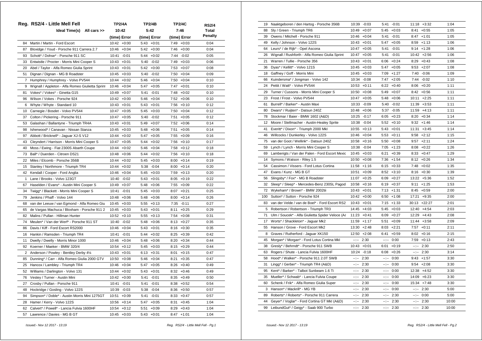|    | Reg. RS2/4 - Little Mell Fell                    | <b>TP2/4A</b>    | TP2/4B          | <b>TP2/4C</b>   | RS2/4   |
|----|--------------------------------------------------|------------------|-----------------|-----------------|---------|
|    | Ideal Time(s) All cars >>                        | 10:42            | 5:42            | 7:46            | Total   |
|    |                                                  | (time) Error     | (time) Error    | (time) Error    | Penalty |
| 84 | Martin / Martin - Ford Escort                    | 10:42<br>$+0:00$ | $5:43 + 0:01$   | $7:49 +0:03$    | 0:04    |
| 87 | Bloxidge / Youd - Porsche 911 Carrera 2.7        | $10:46 + 0:04$   | 5:42<br>$+0:00$ | $7:46 + 0:00$   | 0:04    |
| 93 | Schott* / Dohse* - Porsche 911 SC                | $-0:01$<br>10:41 | $+0:02$<br>5:44 | 7:44 -0:02      | 0:05    |
|    | 33 Entwistle / Procter - Morris Mini Cooper S    | $10:43 + 0:01$   | 5:40<br>$-0:02$ | $7:49 +0:03$    | 0:06    |
|    | 20 Abel / Taylor - Alfa Romeo Giulia Sprint      | $10:43 + 0:01$   | $5:42 +0:00$    | $7:53 +0:07$    | 0:08    |
| 51 | Dignan / Dignan - MG B Roadster                  | 10:45<br>$+0:03$ | 5:40<br>$-0:02$ | $7:50 +0:04$    | 0:09    |
| 7  | Humphrey / Humphrey - Volvo PV544                | 10:44<br>$+0:02$ | 5:46<br>$+0:04$ | 7:50<br>$+0:04$ | 0:10    |
| 9  | Wignall / Appleton - Alfa Romeo Giulietta Sprint | $+0:04$<br>10:46 | $+0:05$<br>5:47 | 7:47<br>$+0:01$ | 0:10    |
| 81 | Vokes* / Vokes* - Ginetta G15                    | 10:49<br>$+0:07$ | 5:41<br>$-0:01$ | $7:48 +0:02$    | 0:10    |
| 96 | Wilson / Vokes - Porsche 924                     | 10:42 +0:00      | 5:46<br>$+0:04$ | $7:52 +0:06$    | 0:10    |
| 6  | Whyte / Whyte - Standard 10                      | 10:43<br>$+0:01$ | 5:43<br>$+0:01$ | $7:56 + 0:10$   | 0:12    |
| 10 | Carnegie / Bosdet - Volvo PV544                  | 10:47<br>$+0:05$ | 5:45<br>$+0:03$ | $7:50 + 0:04$   | 0:12    |
| 37 | Colton / Pickering - Porsche 911                 | 10:47<br>$+0:05$ | 5:40<br>$-0:02$ | 7:51<br>$+0:05$ | 0:12    |
| 53 | Galashan / Ballantyne - Triumph TR4A             | $10:43 + 0:01$   | 5:49<br>$+0:07$ | $7:52 +0:06$    | 0:14    |
| 98 | Isherwood* / Canavan - Nissan Stanza             | $10:45 + 0:03$   | $5:48 + 0:06$   | $7:51 + 0:05$   | 0:14    |
| 97 | Abbott / Bricknell* - Jaguar XJ-S V12            | 10:44<br>$+0:02$ | $+0:05$<br>5:47 | $7:55 + 0:09$   | 0:16    |
| 43 | Cleyndert / Harrison - Morris Mini Cooper S      | 10:47<br>$+0:05$ | 5:44<br>$+0:02$ | $7:56 + 0:10$   | 0:17    |
| 40 | Moss / Ewing - Fiat 2300S Abarth Coupe           | 10:44<br>$+0:02$ | 5:46<br>$+0:04$ | $7:58 +0:12$    | 0:18    |
| 73 | Ball* / Duerden - Citroen DS21                   | 10:48<br>$+0:06$ | 5:44<br>$+0:02$ | $7:56 + 0:10$   | 0:18    |
| 22 | Miles / Elcomb - Porsche 356B                    | 10:44<br>$+0:02$ | 5:45<br>$+0:03$ | $8:00 + 0:14$   | 0:19    |
| 15 | Stanley / Northmore - Triumph TR4                | $10:44 + 0:02$   | 5:38<br>$-0:04$ | $8:00 +0:14$    | 0:20    |
| 42 | Kendall / Cooper - Ford Anglia                   | 10:46<br>$+0:04$ | 5:45<br>$+0:03$ | 7:59<br>$+0:13$ | 0:20    |
| -1 | Lane / Brooks - Volvo 123GT                      | 10:40<br>$-0:02$ | 5:43<br>$+0:01$ | $8:05 +0:19$    | 0:22    |
| 67 | Haselden / Evans* - Austin Mini Cooper S         | 10:49<br>$+0:07$ | 5:48<br>$+0:06$ | 7:55 +0:09      | 0:22    |
| 34 | Twigg* / Blackett - Morris Mini Cooper S         | 10:41<br>$-0:01$ | $5:45 + 0:03$   | $8:07 +0:21$    | 0:25    |
| 79 | Jenkins / Phaff - Volvo 144                      | $10:48 + 0:06$   | 5:48<br>$+0:06$ | $8:00 + 0:14$   | 0:26    |
| 68 | van der Leeuw / van Egmond - Alfa Romeo Giu      | 10:45<br>$+0:03$ | 5:55<br>$+0:13$ | 7:35<br>$-0:11$ | 0:27    |
| 65 | de Vargas Machuca / Bloxham - Porsche 911 2      | 10:45<br>$+0:03$ | 5:43<br>$+0:01$ | 8:11<br>$+0:25$ | 0:29    |
| 82 | Malins / Pullan - Hillman Hunter                 | 10:52<br>$+0:10$ | 5:55<br>$+0:13$ | $7:54 +0:08$    | 0:31    |
| 74 | Meulen* / Van der Werf* - Porsche 911 ST         | 10:40 -0:02      | 5:48<br>$+0:06$ | $8:13 + 0:27$   | 0:35    |
| 86 | Davis / Kiff - Ford Escort RS2000                | 10:46 +0:04      | 5:43<br>$+0:01$ | $8:16 + 0:30$   | 0:35    |
| 16 | Hankin / Ramsden - Triumph TR4                   | 10:41<br>$-0:01$ | 5:44<br>$+0:02$ | $8:25 + 0:39$   | 0:42    |
| 11 | Dwelly / Dwelly - Morris Minor 1000              | 10:46<br>$+0:04$ | 5:48<br>$+0:06$ | $8:20 + 0:34$   | 0:44    |
| 92 | Koerner / Maeker - BMW 320/4                     | 10:54<br>$+0:12$ | 5:45<br>$+0:03$ | $8:15 + 0:29$   | 0:44    |
| 2  | Anderson / Powley - Bentley Derby 41/4           | $10:43 + 0:01$   | $6:13 + 0:31$   | $8:01 + 0:15$   | 0:47    |
| 85 | Dunning* / Carr - Alfa Romeo Giulia 2000 GTV     | 10:50<br>$+0:08$ | $5:46 + 0:04$   | $8:21 + 0:35$   | 0:47    |
| 25 | Hancox / Lambley - Triumph TR4                   | 10:46<br>$+0:04$ | 5:47<br>$+0:05$ | 8:26<br>$+0:40$ | 0:49    |
| 52 | Williams / Darlington - Volvo 131                | 10:44<br>$+0:02$ | 5:43<br>$+0:01$ | $8:32 +0:46$    | 0:49    |
| 76 | Vestey / Turner - Austin Mini                    | 10:42<br>$+0:00$ | 5:41<br>$-0:01$ | $8:35 + 0:49$   | 0:50    |
| 27 | Crosby / Pullan - Porsche 911                    | 10:41<br>$-0:01$ | 5:41<br>$-0:01$ | $8:38 + 0:52$   | 0:54    |
| 48 | Hockridge / Gosling - Volvo 122S                 | 10:39<br>$-0:03$ | 5:38<br>$-0:04$ | $8:36 + 0:50$   | 0:57    |
| 94 | Simpson* / Doble* - Austin Morris Mini 1275GT    | 10:51<br>$+0:09$ | 5:41<br>$-0:01$ | $8:33 + 0:47$   | 0:57    |
| 28 | Hamer / Kerry - Volvo 122S                       | $10:56 + 0:14$   | 5:47<br>$+0:05$ | 8:31<br>$+0:45$ | 1:04    |
| 62 | Calvert* / Powell* - Lancia Fulvia 1600HF        | 10:54<br>$+0:12$ | 5:51<br>$+0:09$ | $8:29 + 0:43$   | 1:04    |
| 57 | Lawrence / Davies - MG B GT                      | $10:45 + 0:03$   | $5:43 +0:01$    | $8:47 +1:01$    | 1:04    |

| 19                | Naaktgeboren / den Hartog - Porsche 356B         | 10:39                                                                                                                                                                                                                                                                                                                                                                                                                                          | $-0:03$        | 5:41                                                                                                                                                                                                                                                                                                                                                                                                                                           | $-0:01$       |                                                                                                                                                                                                                                                                                                                                                                                                                                                                            | $11:18 + 3:32$ | 1:04  |
|-------------------|--------------------------------------------------|------------------------------------------------------------------------------------------------------------------------------------------------------------------------------------------------------------------------------------------------------------------------------------------------------------------------------------------------------------------------------------------------------------------------------------------------|----------------|------------------------------------------------------------------------------------------------------------------------------------------------------------------------------------------------------------------------------------------------------------------------------------------------------------------------------------------------------------------------------------------------------------------------------------------------|---------------|----------------------------------------------------------------------------------------------------------------------------------------------------------------------------------------------------------------------------------------------------------------------------------------------------------------------------------------------------------------------------------------------------------------------------------------------------------------------------|----------------|-------|
| 88                | Sly / Green - Triumph TR6                        | 10:49                                                                                                                                                                                                                                                                                                                                                                                                                                          | $+0:07$        |                                                                                                                                                                                                                                                                                                                                                                                                                                                | $5:45 + 0:03$ |                                                                                                                                                                                                                                                                                                                                                                                                                                                                            | $8:41 + 0:55$  | 1:05  |
| 39                | Owens / Mitchell - Porsche 911                   |                                                                                                                                                                                                                                                                                                                                                                                                                                                | $10:46 + 0:04$ | 5:41                                                                                                                                                                                                                                                                                                                                                                                                                                           | $-0:01$       |                                                                                                                                                                                                                                                                                                                                                                                                                                                                            | $8:47 +1:01$   | 1:05  |
| 49                | Kelly / Johnson - Volvo 122S                     |                                                                                                                                                                                                                                                                                                                                                                                                                                                | $10:43 + 0:01$ | 5:47                                                                                                                                                                                                                                                                                                                                                                                                                                           | $+0:05$       |                                                                                                                                                                                                                                                                                                                                                                                                                                                                            | $8:59 +1:13$   | 1:06  |
| 64                | Leurs* / de Rijk* - Opel Ascona                  |                                                                                                                                                                                                                                                                                                                                                                                                                                                | $10:47 + 0:05$ | 5:41                                                                                                                                                                                                                                                                                                                                                                                                                                           | $-0:01$       |                                                                                                                                                                                                                                                                                                                                                                                                                                                                            | $9:14 + 1:28$  | 1:06  |
| 26                | Wignall / Rushforth - Alfa Romeo Giulia Sprint   | 10:47                                                                                                                                                                                                                                                                                                                                                                                                                                          | $+0:05$        | 5:41                                                                                                                                                                                                                                                                                                                                                                                                                                           | $-0:01$       |                                                                                                                                                                                                                                                                                                                                                                                                                                                                            | $10:42 +2:56$  | 1:06  |
| 21                | Warren / Tullie - Porsche 356                    | 10:43                                                                                                                                                                                                                                                                                                                                                                                                                                          | $+0:01$        | 6:06                                                                                                                                                                                                                                                                                                                                                                                                                                           | $+0:24$       |                                                                                                                                                                                                                                                                                                                                                                                                                                                                            | $8:29 + 0:43$  | 1:08  |
| 36                | Dyas* / Kellitt* - Volvo 121S                    |                                                                                                                                                                                                                                                                                                                                                                                                                                                | $10:45 + 0:03$ | 5:47                                                                                                                                                                                                                                                                                                                                                                                                                                           | $+0:05$       |                                                                                                                                                                                                                                                                                                                                                                                                                                                                            | $9:53 +2:07$   | 1:08  |
| 18                | Gaffney / Goff - Morris Mini                     | 10:45                                                                                                                                                                                                                                                                                                                                                                                                                                          | $+0:03$        | 7:09                                                                                                                                                                                                                                                                                                                                                                                                                                           | $+1:27$       | 7:40                                                                                                                                                                                                                                                                                                                                                                                                                                                                       | $-0:06$        | 1:09  |
| 66                | Kuindersma* / Jongman - Volvo 142                |                                                                                                                                                                                                                                                                                                                                                                                                                                                | 10:34 -0:08    |                                                                                                                                                                                                                                                                                                                                                                                                                                                | 7:47 +2:05    |                                                                                                                                                                                                                                                                                                                                                                                                                                                                            | 7:44 -0:02     | 1:10  |
| 24                | Pettit / Watt* - Volvo PV544                     |                                                                                                                                                                                                                                                                                                                                                                                                                                                | $10:53 + 0:11$ |                                                                                                                                                                                                                                                                                                                                                                                                                                                | $6:22 + 0:40$ |                                                                                                                                                                                                                                                                                                                                                                                                                                                                            | $8:06 + 0:20$  | 1:11  |
| 29                | Turner / Cussons - Morris Mini Cooper S          |                                                                                                                                                                                                                                                                                                                                                                                                                                                | $10:50 + 0:08$ |                                                                                                                                                                                                                                                                                                                                                                                                                                                | $5:49 +0:07$  |                                                                                                                                                                                                                                                                                                                                                                                                                                                                            | $8:42 +0:56$   | 1:11  |
| 23                | Frost / Frost - Volvo PV544                      | 10:47                                                                                                                                                                                                                                                                                                                                                                                                                                          | $+0:05$        | 5:48                                                                                                                                                                                                                                                                                                                                                                                                                                           | $+0:06$       |                                                                                                                                                                                                                                                                                                                                                                                                                                                                            | $10:11 + 2:25$ | 1:11  |
| 61                | Burrell* / Barker* - Austin Maxi                 |                                                                                                                                                                                                                                                                                                                                                                                                                                                | 10:33 -0:09    |                                                                                                                                                                                                                                                                                                                                                                                                                                                | 5:40 -0:02    |                                                                                                                                                                                                                                                                                                                                                                                                                                                                            | $11:39 +3:53$  | 1:11  |
| 80                | Dwars* / Ruijten* - Datsun 240Z                  |                                                                                                                                                                                                                                                                                                                                                                                                                                                | 10:48 +0:06    | 5:37                                                                                                                                                                                                                                                                                                                                                                                                                                           | $-0:05$       |                                                                                                                                                                                                                                                                                                                                                                                                                                                                            | $11:59 +4:13$  | 1:11  |
| 78                | Stockmar / Baier - BMW 1602 (A&D)                | 10:25                                                                                                                                                                                                                                                                                                                                                                                                                                          | $-0:17$        |                                                                                                                                                                                                                                                                                                                                                                                                                                                | $6:05 +0:23$  |                                                                                                                                                                                                                                                                                                                                                                                                                                                                            | $8:20 +0:34$   | 1:14  |
| $12 \overline{ }$ | Moore / Stellmacher - Austin-Healey Sprite       | 10:38                                                                                                                                                                                                                                                                                                                                                                                                                                          | $-0:04$        | 5:52                                                                                                                                                                                                                                                                                                                                                                                                                                           | $+0:10$       |                                                                                                                                                                                                                                                                                                                                                                                                                                                                            | $9:32 +1:46$   | 1:14  |
| 41                | Everitt* / Dixon* - Triumph 2000 Mkl             |                                                                                                                                                                                                                                                                                                                                                                                                                                                | $10:55 + 0:13$ |                                                                                                                                                                                                                                                                                                                                                                                                                                                | $5:43 +0:01$  |                                                                                                                                                                                                                                                                                                                                                                                                                                                                            | $11:31 + 3:45$ | 1:14  |
| 46                | Willcocks / Dunkerley - Volvo 122S               | 10:46                                                                                                                                                                                                                                                                                                                                                                                                                                          | $+0:04$        | 5:53                                                                                                                                                                                                                                                                                                                                                                                                                                           | $+0:11$       | 9:58                                                                                                                                                                                                                                                                                                                                                                                                                                                                       | $+2:12$        | 1:15  |
| 75                | van der Goot / Wellink* - Datsun 240Z            | 10:58                                                                                                                                                                                                                                                                                                                                                                                                                                          | $+0:16$        |                                                                                                                                                                                                                                                                                                                                                                                                                                                | $5:50 + 0:08$ | 9:57                                                                                                                                                                                                                                                                                                                                                                                                                                                                       | $+2:11$        | 1:24  |
| 59                | Lynch / Lynch - Morris Mini Cooper S             | 10:38                                                                                                                                                                                                                                                                                                                                                                                                                                          | $-0:04$        | 7:05                                                                                                                                                                                                                                                                                                                                                                                                                                           | $+1:23$       |                                                                                                                                                                                                                                                                                                                                                                                                                                                                            | $8:08 +0:22$   | 1:26  |
| 69                | Lamberigts / Van der Palen - Ford Escort Mexic   | 10:45                                                                                                                                                                                                                                                                                                                                                                                                                                          | $+0:03$        | 6:21                                                                                                                                                                                                                                                                                                                                                                                                                                           | $+0:39$       |                                                                                                                                                                                                                                                                                                                                                                                                                                                                            | $8:33 + 0:47$  | 1:29  |
| 14                | Symons / Watson - Riley 1.5                      | 10:50                                                                                                                                                                                                                                                                                                                                                                                                                                          | $+0:08$        |                                                                                                                                                                                                                                                                                                                                                                                                                                                | 7:36 +1:54    |                                                                                                                                                                                                                                                                                                                                                                                                                                                                            | $8:12 + 0:26$  | 1:34  |
| 54                | Cassimon / Vissers - Ford Lotus Cortina          |                                                                                                                                                                                                                                                                                                                                                                                                                                                | $11:58 + 1:16$ |                                                                                                                                                                                                                                                                                                                                                                                                                                                | $6:15 + 0:33$ |                                                                                                                                                                                                                                                                                                                                                                                                                                                                            | $7:48 +0:02$   | 1:35  |
| 47                | Evans / Kunz - MG B GT                           | 10:51                                                                                                                                                                                                                                                                                                                                                                                                                                          | $+0:09$        |                                                                                                                                                                                                                                                                                                                                                                                                                                                | $8:52 +3:10$  |                                                                                                                                                                                                                                                                                                                                                                                                                                                                            | $8:16 + 0:30$  | 1:39  |
| 56                | Slingsby* / Fox* - MG B Roadster                 | 11:07                                                                                                                                                                                                                                                                                                                                                                                                                                          | $+0:25$        | 6:09                                                                                                                                                                                                                                                                                                                                                                                                                                           | $+0:27$       |                                                                                                                                                                                                                                                                                                                                                                                                                                                                            | $13:22 + 5:36$ | 1:52  |
| 32                | Sleep* / Sleep* - Mercedes-Benz 230SL Pagod      | 10:58                                                                                                                                                                                                                                                                                                                                                                                                                                          | $+0:16$        |                                                                                                                                                                                                                                                                                                                                                                                                                                                | $6:19 + 0:37$ | 9:11                                                                                                                                                                                                                                                                                                                                                                                                                                                                       | $+1:25$        | 1:53  |
| 72                | Wykeham* / Brown* - BMW 2002tii                  |                                                                                                                                                                                                                                                                                                                                                                                                                                                | $10:43 +0:01$  |                                                                                                                                                                                                                                                                                                                                                                                                                                                | $7:13 + 1:31$ |                                                                                                                                                                                                                                                                                                                                                                                                                                                                            | $8:45 +0:59$   | 2:00  |
| 100               | Sutton* / Sutton - Porsche 924                   |                                                                                                                                                                                                                                                                                                                                                                                                                                                | $10:42 +0:00$  |                                                                                                                                                                                                                                                                                                                                                                                                                                                | $6:50 +1:08$  |                                                                                                                                                                                                                                                                                                                                                                                                                                                                            | $17:21 + 9:35$ | 2:00  |
| 83                | van der Velde / van de Boel* - Ford Escort RS2   | 10:43                                                                                                                                                                                                                                                                                                                                                                                                                                          | $+0:01$        |                                                                                                                                                                                                                                                                                                                                                                                                                                                | $7:15 +1:33$  |                                                                                                                                                                                                                                                                                                                                                                                                                                                                            | 30:13 +22:27   | 2:01  |
| 5                 | Robertson / Robertson - Triumph TR3              |                                                                                                                                                                                                                                                                                                                                                                                                                                                | 14:45 +4:03    |                                                                                                                                                                                                                                                                                                                                                                                                                                                | $5:45 + 0:03$ |                                                                                                                                                                                                                                                                                                                                                                                                                                                                            | 12:40 +4:54    | 2:03  |
| 71                | Ulm / Soucek* - Alfa Giulietta Spider Veloce (A& | 11:23                                                                                                                                                                                                                                                                                                                                                                                                                                          | $+0:41$        |                                                                                                                                                                                                                                                                                                                                                                                                                                                | $6:09 +0:27$  |                                                                                                                                                                                                                                                                                                                                                                                                                                                                            | $12:29 +4:43$  | 2:08  |
| 17                | Worts* / Shackleton* - Jaguar Mk2                | 11:59                                                                                                                                                                                                                                                                                                                                                                                                                                          | $+1:17$        | 5:51                                                                                                                                                                                                                                                                                                                                                                                                                                           | $+0:09$       |                                                                                                                                                                                                                                                                                                                                                                                                                                                                            | $11:44 + 3:58$ | 2:09  |
| 55                | Hanson / Grove - Ford Escort Mk2                 | 13:30                                                                                                                                                                                                                                                                                                                                                                                                                                          | $+2:48$        | 8:03                                                                                                                                                                                                                                                                                                                                                                                                                                           | $+2:21$       | 7:57                                                                                                                                                                                                                                                                                                                                                                                                                                                                       | $+0:11$        | 2:11  |
| 8                 | Graves / Rutherford - Jaguar XK150               |                                                                                                                                                                                                                                                                                                                                                                                                                                                | $12:50 + 2:08$ | 6:41                                                                                                                                                                                                                                                                                                                                                                                                                                           | $+0:59$       |                                                                                                                                                                                                                                                                                                                                                                                                                                                                            | $8:02 +0:16$   | 2:15  |
| 45                | Morgan* / Morgan* - Ford Lotus Cortina Mkl       | $-2 - 2 - 1$                                                                                                                                                                                                                                                                                                                                                                                                                                   | 2:30           | $-2 - 2 - 1$                                                                                                                                                                                                                                                                                                                                                                                                                                   | 0:00          | 7:59                                                                                                                                                                                                                                                                                                                                                                                                                                                                       | $+0:13$        | 2:43  |
| 38                | Gresly* / Behrndt* - Porsche 911 SWB             |                                                                                                                                                                                                                                                                                                                                                                                                                                                | $10:43 +0:01$  | 6:01                                                                                                                                                                                                                                                                                                                                                                                                                                           | $+0:19$       | $-2$                                                                                                                                                                                                                                                                                                                                                                                                                                                                       | 2:30           | 2:50  |
| 63                | Rogers / Shute - Lancia Fulvia 1600HF            | 10:24                                                                                                                                                                                                                                                                                                                                                                                                                                          | $-0:18$        | 6:08                                                                                                                                                                                                                                                                                                                                                                                                                                           | $+0:26$       | $\frac{1}{2} \left( \frac{1}{2} \right) \left( \frac{1}{2} \right) \left( \frac{1}{2} \right) \left( \frac{1}{2} \right) \left( \frac{1}{2} \right) \left( \frac{1}{2} \right) \left( \frac{1}{2} \right) \left( \frac{1}{2} \right) \left( \frac{1}{2} \right) \left( \frac{1}{2} \right) \left( \frac{1}{2} \right) \left( \frac{1}{2} \right) \left( \frac{1}{2} \right) \left( \frac{1}{2} \right) \left( \frac{1}{2} \right) \left( \frac{1}{2} \right) \left( \frac$ | 2:30           | 3:14  |
| 58                | Hood* / Walker* - Porsche 911 2.0T SWB           | $-2 - 1$                                                                                                                                                                                                                                                                                                                                                                                                                                       | 2:30           | $\frac{1}{2} \left( \frac{1}{2} \right) + \frac{1}{2} \left( \frac{1}{2} \right) + \frac{1}{2} \left( \frac{1}{2} \right) + \frac{1}{2} \left( \frac{1}{2} \right) + \frac{1}{2} \left( \frac{1}{2} \right) + \frac{1}{2} \left( \frac{1}{2} \right) + \frac{1}{2} \left( \frac{1}{2} \right) + \frac{1}{2} \left( \frac{1}{2} \right) + \frac{1}{2} \left( \frac{1}{2} \right) + \frac{1}{2} \left( \frac{1}{2} \right) + \frac{1}{2} \left($ | 0:00          |                                                                                                                                                                                                                                                                                                                                                                                                                                                                            | $9:43 +1:57$   | 3:30  |
| 31                | Lingg* / Gerber* - Triumph TR4 (A&D)             | $-1 -$                                                                                                                                                                                                                                                                                                                                                                                                                                         | 2:30           | $-2 - 2 - 1$                                                                                                                                                                                                                                                                                                                                                                                                                                   | 0:00          |                                                                                                                                                                                                                                                                                                                                                                                                                                                                            | $9:54 +2:08$   | 3:30  |
| 95                | Kent* / Barker* - Talbot Sunbeam 1.6 Ti          | $-2 - 2 - 1$                                                                                                                                                                                                                                                                                                                                                                                                                                   | 2:30           | $-2 - 2 - 1$                                                                                                                                                                                                                                                                                                                                                                                                                                   | 0:00          |                                                                                                                                                                                                                                                                                                                                                                                                                                                                            | 12:38 +4:52    | 3:30  |
| 35                | Mueller* / Schwab* - Lancia Fulvia Coupe         | $\frac{1}{2} \left( \frac{1}{2} \right) + \frac{1}{2} \left( \frac{1}{2} \right) + \frac{1}{2} \left( \frac{1}{2} \right) + \frac{1}{2} \left( \frac{1}{2} \right) + \frac{1}{2} \left( \frac{1}{2} \right) + \frac{1}{2} \left( \frac{1}{2} \right) + \frac{1}{2} \left( \frac{1}{2} \right) + \frac{1}{2} \left( \frac{1}{2} \right) + \frac{1}{2} \left( \frac{1}{2} \right) + \frac{1}{2} \left( \frac{1}{2} \right) + \frac{1}{2} \left($ | 2:30           | $-1$                                                                                                                                                                                                                                                                                                                                                                                                                                           | 0:00          |                                                                                                                                                                                                                                                                                                                                                                                                                                                                            | 14:09 +6:23    | 3:30  |
| 60                | Schenk / Frik* - Alfa Romeo Giulia Super         | $-2 - 2 - 1$                                                                                                                                                                                                                                                                                                                                                                                                                                   | 2:30           | $-2 - 1$                                                                                                                                                                                                                                                                                                                                                                                                                                       | 0:00          |                                                                                                                                                                                                                                                                                                                                                                                                                                                                            | 15:34 +7:48    | 3:30  |
| 3                 | Hanson* / Mackrill* - MG YB                      | $-2 - 1$                                                                                                                                                                                                                                                                                                                                                                                                                                       | 2:30           | aagaal                                                                                                                                                                                                                                                                                                                                                                                                                                         | 0:00          | $-2 - 1$                                                                                                                                                                                                                                                                                                                                                                                                                                                                   | 2:30           | 5:00  |
| 89                | Roberts* / Roberts* - Porsche 911 Carrera        | $-1 - 1$                                                                                                                                                                                                                                                                                                                                                                                                                                       | 2:30           | $-1 - 1 - 1$                                                                                                                                                                                                                                                                                                                                                                                                                                   | 2:30          | $-1$                                                                                                                                                                                                                                                                                                                                                                                                                                                                       | 0:00           | 5:00  |
| 44                | Geyer* / Voglar* - Ford Cortina GT MkI (A&D)     | $-2 - 2 - 1$                                                                                                                                                                                                                                                                                                                                                                                                                                   | 2:30           | --:--                                                                                                                                                                                                                                                                                                                                                                                                                                          | 2:30          | aagaan                                                                                                                                                                                                                                                                                                                                                                                                                                                                     | 2:30           | 10:00 |
| 99                | LeibundGut* / Geigy* - Saab 900 Turbo            | $-2 - 2 - 1$                                                                                                                                                                                                                                                                                                                                                                                                                                   | 2:30           | $-2 - 1$                                                                                                                                                                                                                                                                                                                                                                                                                                       | 2:30          | $-1$                                                                                                                                                                                                                                                                                                                                                                                                                                                                       | 2:30           | 10:00 |
|                   |                                                  |                                                                                                                                                                                                                                                                                                                                                                                                                                                |                |                                                                                                                                                                                                                                                                                                                                                                                                                                                |               |                                                                                                                                                                                                                                                                                                                                                                                                                                                                            |                |       |

 *Issued:- Nov 12 2017 - 13:19 Reg. RS2/4 - Little Mell Fell - Pg.1*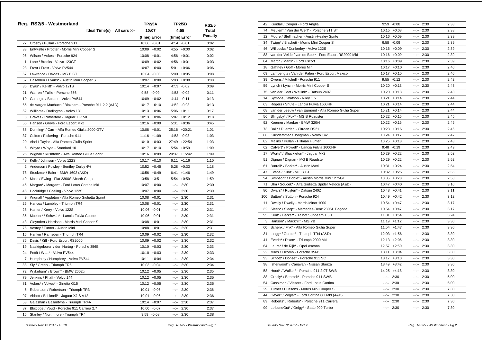|    | Reg. RS2/5 - Westmorland                            | <b>TP2/5A</b>    | <b>TP2/5B</b>                                                                                                                                                                                                                                                                                                                                                                                                                                                                      | <b>RS2/5</b>   |
|----|-----------------------------------------------------|------------------|------------------------------------------------------------------------------------------------------------------------------------------------------------------------------------------------------------------------------------------------------------------------------------------------------------------------------------------------------------------------------------------------------------------------------------------------------------------------------------|----------------|
|    | Ideal Time(s) All cars >>                           | 10:07            | 4:55                                                                                                                                                                                                                                                                                                                                                                                                                                                                               | Total          |
|    |                                                     | (time) Error     | (time) Error                                                                                                                                                                                                                                                                                                                                                                                                                                                                       | <b>Penalty</b> |
|    | 27 Crosby / Pullan - Porsche 911                    | 10:06 -0:01      | 4:54 -0:01                                                                                                                                                                                                                                                                                                                                                                                                                                                                         | 0:02           |
|    | 33 Entwistle / Procter - Morris Mini Cooper S       | $10:09 + 0:02$   | $4:55 + 0:00$                                                                                                                                                                                                                                                                                                                                                                                                                                                                      | 0:02           |
|    | 96 Wilson / Vokes - Porsche 924                     | $10:08 + 0:01$   | $4:56 + 0:01$                                                                                                                                                                                                                                                                                                                                                                                                                                                                      | 0:02           |
| 1  | Lane / Brooks - Volvo 123GT                         | $10:09 + 0:02$   | $4:56 + 0:01$                                                                                                                                                                                                                                                                                                                                                                                                                                                                      | 0:03           |
| 23 | Frost / Frost - Volvo PV544                         | $10:07 + 0:00$   | $5:01 + 0:06$                                                                                                                                                                                                                                                                                                                                                                                                                                                                      | 0:06           |
| 57 | Lawrence / Davies - MG B GT                         | 10:04 -0:03      | $5:00 + 0:05$                                                                                                                                                                                                                                                                                                                                                                                                                                                                      | 0:08           |
| 67 | Haselden / Evans* - Austin Mini Cooper S            | 10:07<br>$+0:00$ | $5:03 +0:08$                                                                                                                                                                                                                                                                                                                                                                                                                                                                       | 0:08           |
|    | 36 Dyas* / Kellitt* - Volvo 121S                    | $10:14 + 0:07$   | 4:53 -0:02                                                                                                                                                                                                                                                                                                                                                                                                                                                                         | 0:09           |
| 21 | Warren / Tullie - Porsche 356                       | 9:58<br>$-0:09$  | 4:53 -0:02                                                                                                                                                                                                                                                                                                                                                                                                                                                                         | 0:11           |
| 10 | Carnegie / Bosdet - Volvo PV544                     | 10:09<br>$+0:02$ | $4:44 - 0:11$                                                                                                                                                                                                                                                                                                                                                                                                                                                                      | 0:13           |
| 65 | de Vargas Machuca / Bloxham - Porsche 911 2.2 (A&D) | $10:17 + 0:10$   | 4:52 -0:03                                                                                                                                                                                                                                                                                                                                                                                                                                                                         | 0:13           |
| 52 | Williams / Darlington - Volvo 131                   | $10:13 + 0:06$   | $5:06 + 0:11$                                                                                                                                                                                                                                                                                                                                                                                                                                                                      | 0:17           |
| 8  | Graves / Rutherford - Jaguar XK150                  | $10:13 + 0:06$   | $5:07 +0:12$                                                                                                                                                                                                                                                                                                                                                                                                                                                                       | 0:18           |
|    | 55 Hanson / Grove - Ford Escort Mk2                 | $10:16 + 0:09$   | $5:31 + 0:36$                                                                                                                                                                                                                                                                                                                                                                                                                                                                      | 0:45           |
| 85 | Dunning* / Carr - Alfa Romeo Giulia 2000 GTV        | $10:08 + 0:01$   | 25:16 +20:21                                                                                                                                                                                                                                                                                                                                                                                                                                                                       | 1:01           |
| 37 | Colton / Pickering - Porsche 911                    | $11:16 + 1:09$   | $4:52 -0:03$                                                                                                                                                                                                                                                                                                                                                                                                                                                                       | 1:03           |
| 20 | Abel / Taylor - Alfa Romeo Giulia Sprint            | $10:10 + 0:03$   | 27:49 +22:54                                                                                                                                                                                                                                                                                                                                                                                                                                                                       | 1:03           |
| 6  | Whyte / Whyte - Standard 10                         | $10:17 + 0:10$   | $5:54 +0:59$                                                                                                                                                                                                                                                                                                                                                                                                                                                                       | 1:09           |
|    | 26 Wignall / Rushforth - Alfa Romeo Giulia Sprint   | $10:16 + 0:09$   | 20:37 +15:42                                                                                                                                                                                                                                                                                                                                                                                                                                                                       | 1:09           |
| 49 | Kelly / Johnson - Volvo 122S                        | $10:17 + 0:10$   | $6:11 + 1:16$                                                                                                                                                                                                                                                                                                                                                                                                                                                                      | 1:10           |
| 2  | Anderson / Powley - Bentley Derby 41/4              | $10:52 +0:45$    | $5:28 + 0:33$                                                                                                                                                                                                                                                                                                                                                                                                                                                                      | 1:18           |
| 78 | Stockmar / Baier - BMW 1602 (A&D)                   | $10:56 + 0:49$   | $6:41 + 1:46$                                                                                                                                                                                                                                                                                                                                                                                                                                                                      | 1:49           |
| 40 | Moss / Ewing - Fiat 2300S Abarth Coupe              | $13:58 + 3:51$   | $5:54 + 0:59$                                                                                                                                                                                                                                                                                                                                                                                                                                                                      | 1:59           |
| 45 | Morgan* / Morgan* - Ford Lotus Cortina Mkl          | $10:07 + 0:00$   | $\frac{1}{2} \left( \frac{1}{2} \right) \left( \frac{1}{2} \right) \left( \frac{1}{2} \right) \left( \frac{1}{2} \right) \left( \frac{1}{2} \right) \left( \frac{1}{2} \right) \left( \frac{1}{2} \right) \left( \frac{1}{2} \right) \left( \frac{1}{2} \right) \left( \frac{1}{2} \right) \left( \frac{1}{2} \right) \left( \frac{1}{2} \right) \left( \frac{1}{2} \right) \left( \frac{1}{2} \right) \left( \frac{1}{2} \right) \left( \frac{1}{2} \right) \left( \frac$<br>2:30 | 2:30           |
| 48 | Hockridge / Gosling - Volvo 122S                    | $10:07 + 0:00$   | $-2$<br>2:30                                                                                                                                                                                                                                                                                                                                                                                                                                                                       | 2:30           |
| 9  | Wignall / Appleton - Alfa Romeo Giulietta Sprint    | $10:08 + 0:01$   | $-:- 2:30$                                                                                                                                                                                                                                                                                                                                                                                                                                                                         | 2:31           |
| 25 | Hancox / Lambley - Triumph TR4                      | $10:08 + 0:01$   | 2:30<br>$-2 - 1$                                                                                                                                                                                                                                                                                                                                                                                                                                                                   | 2:31           |
| 28 | Hamer / Kerry - Volvo 122S                          | 10:06 -0:01      | $-2 - 1$<br>2:30                                                                                                                                                                                                                                                                                                                                                                                                                                                                   | 2:31           |
| 35 | Mueller* / Schwab* - Lancia Fulvia Coupe            | 10:06 -0:01      | --:--<br>2:30                                                                                                                                                                                                                                                                                                                                                                                                                                                                      | 2:31           |
| 43 | Cleyndert / Harrison - Morris Mini Cooper S         | $10:08 + 0:01$   | aagaan i<br>2:30                                                                                                                                                                                                                                                                                                                                                                                                                                                                   | 2:31           |
| 76 | Vestey / Turner - Austin Mini                       | $10:08 + 0:01$   | 2:30<br>$-25 - 1$                                                                                                                                                                                                                                                                                                                                                                                                                                                                  | 2:31           |
|    | 16 Hankin / Ramsden - Triumph TR4                   | $10:09 + 0:02$   | 2:30<br>--1--                                                                                                                                                                                                                                                                                                                                                                                                                                                                      | 2:32           |
| 86 | Davis / Kiff - Ford Escort RS2000                   | 10:09<br>$+0:02$ | $-2 - 2 - 1$<br>2:30                                                                                                                                                                                                                                                                                                                                                                                                                                                               | 2:32           |
| 19 | Naaktgeboren / den Hartog - Porsche 356B            | $10:10 + 0:03$   | 2:30<br>$-2 - 1$                                                                                                                                                                                                                                                                                                                                                                                                                                                                   | 2:33           |
| 24 | Pettit / Watt* - Volvo PV544                        | $10:10 + 0:03$   | $-:- 2:30$                                                                                                                                                                                                                                                                                                                                                                                                                                                                         | 2:33           |
|    | 7 Humphrey / Humphrey - Volvo PV544                 | $10:11 + 0:04$   | $-:- 2:30$                                                                                                                                                                                                                                                                                                                                                                                                                                                                         | 2:34           |
| 88 | Sly / Green - Triumph TR6                           | 10:03 -0:04      | $-:- 2:30$                                                                                                                                                                                                                                                                                                                                                                                                                                                                         | 2:34           |
| 72 | Wykeham* / Brown* - BMW 2002tii                     | $10:12 + 0:05$   | 2:30<br>$\frac{1}{2} \left( \frac{1}{2} \right) + \frac{1}{2} \left( \frac{1}{2} \right) + \frac{1}{2} \left( \frac{1}{2} \right) + \frac{1}{2} \left( \frac{1}{2} \right) + \frac{1}{2} \left( \frac{1}{2} \right) + \frac{1}{2} \left( \frac{1}{2} \right) + \frac{1}{2} \left( \frac{1}{2} \right) + \frac{1}{2} \left( \frac{1}{2} \right) + \frac{1}{2} \left( \frac{1}{2} \right) + \frac{1}{2} \left( \frac{1}{2} \right) + \frac{1}{2} \left($                             | 2:35           |
| 79 | Jenkins / Phaff - Volvo 144                         | $10:12 + 0:05$   | --:--<br>2:30                                                                                                                                                                                                                                                                                                                                                                                                                                                                      | 2:35           |
| 81 | Vokes* / Vokes* - Ginetta G15                       | $10:12 + 0:05$   | 2:30<br>--:--                                                                                                                                                                                                                                                                                                                                                                                                                                                                      | 2:35           |
| 5  | Robertson / Robertson - Triumph TR3                 | 10:01 -0:06      | 2:30<br>--:--                                                                                                                                                                                                                                                                                                                                                                                                                                                                      | 2:36           |
| 97 | Abbott / Bricknell* - Jaguar XJ-S V12               | 10:01<br>$-0:06$ | 2:30<br>$-25 - 1$                                                                                                                                                                                                                                                                                                                                                                                                                                                                  | 2:36           |
| 53 | Galashan / Ballantyne - Triumph TR4A                | $10:14 + 0:07$   | 2:30<br>$-2$                                                                                                                                                                                                                                                                                                                                                                                                                                                                       | 2:37           |
| 87 | Bloxidge / Youd - Porsche 911 Carrera 2.7           | 10:00 -0:07      | 2:30<br>$-200 - 100$                                                                                                                                                                                                                                                                                                                                                                                                                                                               | 2:37           |
|    | 15 Stanley / Northmore - Triumph TR4                | $9:59 - 0:08$    | 2:30<br>$-20 - 1$                                                                                                                                                                                                                                                                                                                                                                                                                                                                  | 2:38           |

| 42  | Kendall / Cooper - Ford Anglia                        | 9:59         | $-0:08$        |                                                      | $-:- 2:30$ | 2:38 |
|-----|-------------------------------------------------------|--------------|----------------|------------------------------------------------------|------------|------|
| 74  | Meulen* / Van der Werf* - Porsche 911 ST              |              | $10:15 + 0:08$ |                                                      | $-:- 2:30$ | 2:38 |
|     | 12 Moore / Stellmacher - Austin-Healey Sprite         |              | $10:16 + 0:09$ |                                                      | $-:- 2:30$ | 2:39 |
| 34  | Twigg* / Blackett - Morris Mini Cooper S              |              | 9:58 -0:09     |                                                      | $-:- 2:30$ | 2:39 |
| 46  | Willcocks / Dunkerley - Volvo 122S                    |              | $10:16 + 0:09$ |                                                      | $-:- 2:30$ | 2:39 |
| 83  | van der Velde / van de Boel* - Ford Escort RS2000 Mkl |              | $10:16 + 0:09$ |                                                      | $-:- 2:30$ | 2:39 |
| 84  | Martin / Martin - Ford Escort                         |              | $10:16 + 0:09$ | $-2 - 2 - 1$                                         | 2:30       | 2:39 |
| 18  | Gaffney / Goff - Morris Mini                          |              | $10:17 + 0:10$ |                                                      | $-:- 2:30$ | 2:40 |
| 69  | Lamberigts / Van der Palen - Ford Escort Mexico       |              | $10:17 + 0:10$ |                                                      | $-:- 2:30$ | 2:40 |
| 39  | Owens / Mitchell - Porsche 911                        |              | $9:55 - 0:12$  |                                                      | $-:- 2:30$ | 2:42 |
| 59  | Lynch / Lynch - Morris Mini Cooper S                  |              | $10:20 +0:13$  |                                                      | $-:- 2:30$ | 2:43 |
| 75  | van der Goot / Wellink* - Datsun 240Z                 |              | $10:20 + 0:13$ |                                                      | $-:- 2:30$ | 2:43 |
| 14  | Symons / Watson - Riley 1.5                           |              | $10:21 + 0:14$ |                                                      | $-:- 2:30$ | 2:44 |
| 63  | Rogers / Shute - Lancia Fulvia 1600HF                 |              | $10:21 + 0:14$ | $-2 - 1$                                             | 2:30       | 2:44 |
| 68  | van der Leeuw / van Egmond - Alfa Romeo Giulia Super  |              | $10:21 + 0:14$ |                                                      | $-:- 2:30$ | 2:44 |
| 56  | Slingsby* / Fox* - MG B Roadster                      |              | $10:22 + 0:15$ |                                                      | $-:- 2:30$ | 2:45 |
| 92  | Koerner / Maeker - BMW 320/4                          |              | $10:22 + 0:15$ |                                                      | $-:- 2:30$ | 2:45 |
| 73  | Ball* / Duerden - Citroen DS21                        |              | $10:23 + 0:16$ |                                                      | $-:- 2:30$ | 2:46 |
| 66  | Kuindersma* / Jongman - Volvo 142                     |              | $10:24 + 0:17$ |                                                      | $-:- 2:30$ | 2:47 |
| 82  | Malins / Pullan - Hillman Hunter                      |              | $10:25 + 0:18$ |                                                      | $-:- 2:30$ | 2:48 |
| 62  | Calvert* / Powell* - Lancia Fulvia 1600HF             |              | $9:48 - 0:19$  | $-25 - 1$                                            | 2:30       | 2:49 |
| 17  | Worts* / Shackleton* - Jaguar Mk2                     |              | $10:29 + 0:22$ |                                                      | $-:- 2:30$ | 2:52 |
| 51  | Dignan / Dignan - MG B Roadster                       |              | $10:29 + 0:22$ |                                                      | $-:- 2:30$ | 2:52 |
| 61  | Burrell* / Barker* - Austin Maxi                      |              | 10:31 +0:24    |                                                      | $-:- 2:30$ | 2:54 |
| 47  | Evans / Kunz - MG B GT                                |              | $10:32 + 0:25$ |                                                      | $-:- 2:30$ | 2:55 |
| 94  | Simpson* / Doble* - Austin Morris Mini 1275GT         |              | $10:35 + 0:28$ |                                                      | $-:- 2:30$ | 2:58 |
| 71  | Ulm / Soucek* - Alfa Giulietta Spider Veloce (A&D)    |              | $10:47 + 0:40$ |                                                      | $-:- 2:30$ | 3:10 |
| 80  | Dwars* / Ruijten* - Datsun 240Z                       |              | $10:48 + 0:41$ |                                                      | $-:- 2:30$ | 3:11 |
| 100 | Sutton* / Sutton - Porsche 924                        |              | $10:49 + 0:42$ |                                                      | $-:- 2:30$ | 3:12 |
| 11  | Dwelly / Dwelly - Morris Minor 1000                   |              | $10:54 + 0:47$ |                                                      | $-:- 2:30$ | 3:17 |
| 32  | Sleep* / Sleep* - Mercedes-Benz 230SL Pagoda          |              | $10:54 + 0:47$ |                                                      | $-:- 2:30$ | 3:17 |
| 95  | Kent* / Barker* - Talbot Sunbeam 1.6 Ti               |              | $11:01 + 0:54$ |                                                      | $-:- 2:30$ | 3:24 |
|     | 3 Hanson* / Mackrill* - MG YB                         |              | $11:19 + 1:12$ |                                                      | $-:- 2:30$ | 3:30 |
| 60  | Schenk / Frik* - Alfa Romeo Giulia Super              |              | $11:54 +1:47$  |                                                      | $-:- 2:30$ | 3:30 |
| 31  | Lingg* / Gerber* - Triumph TR4 (A&D)                  |              | $12:03 +1:56$  | $\frac{1}{2} \left( \frac{1}{2} \frac{1}{2} \right)$ | 2:30       | 3:30 |
| 41  | Everitt* / Dixon* - Triumph 2000 Mkl                  |              | $12:13 + 2:06$ |                                                      | $-:- 2:30$ | 3:30 |
| 64  | Leurs* / de Rijk* - Opel Ascona                       |              | $12:57 + 2:50$ |                                                      | $-:- 2:30$ | 3:30 |
| 22  | Miles / Elcomb - Porsche 356B                         |              | $13:11 + 3:04$ |                                                      | $-:- 2:30$ | 3:30 |
| 93  | Schott* / Dohse* - Porsche 911 SC                     |              | $13:17 + 3:10$ |                                                      | $-:- 2:30$ | 3:30 |
| 98  | Isherwood* / Canavan - Nissan Stanza                  |              | $13:49 + 3:42$ |                                                      | $-:- 2:30$ | 3:30 |
| 58  | Hood* / Walker* - Porsche 911 2.0T SWB                |              | $14:25 +4:18$  |                                                      | $- - 2:30$ | 3:30 |
| 38  | Gresly* / Behrndt* - Porsche 911 SWB                  | $-2 - 1$     | 2:30           | $-2 - 2 - 1$                                         | 2:30       | 5:00 |
| 54  | Cassimon / Vissers - Ford Lotus Cortina               |              | $-:- 2:30$     |                                                      | $-:- 2:30$ | 5:00 |
| 29  | Turner / Cussons - Morris Mini Cooper S               | --1--        | 2:30           |                                                      | $-:- 2:30$ | 7:30 |
| 44  | Geyer* / Voglar* - Ford Cortina GT MkI (A&D)          | -- 1--       | 2:30           |                                                      | $-:- 2:30$ | 7:30 |
| 89  | Roberts* / Roberts* - Porsche 911 Carrera             | $-1 - 1 - 1$ | 2:30           |                                                      | $-:- 2:30$ | 7:30 |
| 99  | LeibundGut* / Geigy* - Saab 900 Turbo                 |              | $-:- 2:30$     |                                                      | $-:- 2:30$ | 7:30 |
|     |                                                       |              |                |                                                      |            |      |

 *Issued:- Nov 12 2017 - 13:19 Reg. RS2/5 - Westmorland - Pg.1*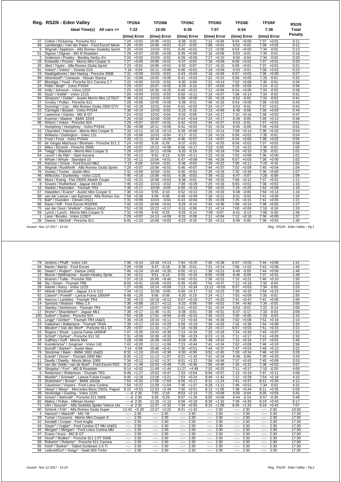|                | Reg. RS2/6 - Eden Valley                                            | <b>TP2/6A</b>              | <b>TP2/6B</b>                      | <b>TP2/6C</b>                   | <b>TP2/6D</b>              | <b>TP2/6E</b>              | <b>TP2/6F</b>                   | <b>RS2/6</b> |
|----------------|---------------------------------------------------------------------|----------------------------|------------------------------------|---------------------------------|----------------------------|----------------------------|---------------------------------|--------------|
|                | Ideal Time(s) All cars >>                                           | 7:22                       | 10:05                              | 6:39                            | 7:07                       | 6:54                       | 7:36                            | <b>Total</b> |
|                |                                                                     | (time) Error               | (time) Error                       | (time) Error                    | (time) Error               | (time) Error               | (time) Error                    | Penalty      |
| 37             | Colton / Pickering - Porsche 911                                    | $7:24 +0:02$               | $10:06 + 0:01$                     | 6:38<br>$-0:01$                 | $7:13 + 0:06$              | $6:54 + 0:00$              | $7:37 + 0:01$                   | 0:11         |
| 69             | Lamberigts / Van der Palen - Ford Escort Mexic                      | 7:26<br>$+0:04$            | 10:06<br>$+0:01$                   | 6:37<br>$-0:02$                 | 7:08<br>$+0:01$            | 6:52<br>$-0:02$            | $7:38 +0:02$                    | 0:12         |
| 9              | Wignall / Appleton - Alfa Romeo Giulietta Sprint                    | 7:26<br>$+0:04$            | 10:04<br>$-0:01$                   | 6:40<br>$+0:01$                 | 7:12<br>$+0:05$            | 6:54<br>$+0:00$            | 7:34<br>$-0:02$                 | 0:13         |
| 51             | Dignan / Dignan - MG B Roadster                                     | 7:29<br>$+0:07$            | 10:05<br>$+0:00$                   | 6:39<br>$+0:00$                 | 7:16<br>$+0:09$            | 6:53<br>$-0:01$            | 7:35<br>$-0:01$                 | 0:18         |
|                | Anderson / Powley - Bentley Derby 41/4                              | 7:24<br>$+0:02$            | 10:03<br>$-0:02$                   | 6:39<br>$+0:00$                 | 7:17<br>$+0:10$            | 6:50<br>$-0:04$            | 7:34<br>$-0:02$                 | 0:20         |
| 33             | Entwistle / Procter - Morris Mini Cooper S                          | 7:27<br>$+0:05$            | 10:06<br>$+0:01$                   | 6:37<br>$-0:02$                 | 7:16<br>$+0:09$            | 6:56<br>$+0:02$            | 7:37<br>$+0:01$                 | 0:20         |
| 20             | Abel / Taylor - Alfa Romeo Giulia Sprint                            | 7:23<br>$+0:01$            | 10:06<br>$+0:01$                   | 6:32<br>$-0:07$                 | 7:17<br>$+0:10$            | 6:55<br>$+0:01$            | 7:37<br>$+0:01$                 | 0:21         |
| 81             | Vokes* / Vokes* - Ginetta G15                                       | 7:18<br>$-0:04$            | 10:11<br>$+0:06$                   | 6:40<br>$+0:01$                 | 7:16<br>$+0:09$            | 6:53<br>$-0:01$            | 7:38<br>$+0:02$                 | 0:23         |
| 19             | Naaktgeboren / den Hartog - Porsche 356B                            | 7:31<br>$+0:09$            | 10:03<br>$-0:02$                   | $+0:04$<br>6:43                 | $+0:09$<br>7:16            | $+0:03$<br>6:57            | 7:36<br>$+0:00$                 | 0:27         |
| 98             | Isherwood* / Canavan - Nissan Stanza                                | 7:31<br>$+0:09$            | $10:05 + 0:00$                     | 6:41<br>$+0:02$                 | 7:22<br>$+0:15$            | 6:59<br>$+0:05$            | 7:35<br>$-0:01$                 | 0:32         |
| 87             | Bloxidge / Youd - Porsche 911 Carrera 2.7                           | 7:22<br>$+0:00$            | 10:03<br>$-0:02$                   | 6:30<br>$-0:09$                 | 7:21<br>$+0:14$            | 7:02<br>$+0:08$            | 7:35<br>$-0:01$                 | 0:34         |
| 24             | Pettit / Watt* - Volvo PV544                                        | 7:29<br>$+0:07$            | $10:07 +0:02$                      | 6:29<br>$-0:10$                 | 7:07<br>$+0:00$            | 6:59<br>$+0:05$            | 7:24<br>$-0:12$                 | 0:36         |
| 49             | Kelly / Johnson - Volvo 122S                                        | 7:25<br>$+0:03$            | 10:30<br>$+0:25$                   | $+0:01$<br>6:40                 | 7:13<br>$+0:06$            | 6:54<br>$+0:00$            | 7:33<br>$-0:03$                 | 0:38         |
| 36             | Dvas* / Kellitt* - Volvo 121S                                       | 7:26<br>$+0:04$            | 10:02<br>$-0:03$                   | $6:50 + 0:11$                   | 7:14<br>$+0:07$            | $7:08 +0:14$               | 7:34<br>$-0:02$                 | 0:41         |
| 94             | Simpson* / Doble* - Austin Morris Mini 1275GT                       | 7:38<br>$+0:16$            | 10:03<br>$-0:02$                   | 6:39<br>$+0:00$                 | 7:25<br>$+0:18$            | 6:52<br>$-0:02$            | 7:33<br>$-0:03$                 | 0:41         |
| 27             | Crosby / Pullan - Porsche 911                                       | 7:28<br>$+0:06$            | $10:05 + 0:00$                     | 6:38<br>$-0:01$                 | 7:40<br>$+0:33$            | $6:54 +0:00$               | $7:39 +0:03$                    | 0:43         |
| 85             | Dunning* / Carr - Alfa Romeo Giulia 2000 GTV                        | 7:40<br>$+0:18$            | 10:01<br>$-0:04$                   | 6:41<br>$+0:02$                 | 7:24<br>$+0:17$            | 6:53<br>$-0:01$            | 7:37<br>$+0:01$                 | 0:43         |
| 10             | Carnegie / Bosdet - Volvo PV544                                     | 7:36<br>$+0:14$            | 10:03<br>$-0:02$                   | 6:23<br>$-0:16$                 | 7:13<br>$+0:06$            | 6:48<br>$-0:06$            | 7:36<br>$+0:00$                 | 0:44         |
| 57             | Lawrence / Davies - MG B GT                                         | 7:24<br>$+0:02$            | 10:01<br>$-0:04$                   | $-0:06$<br>6:33                 | 7:24<br>$+0:17$            | 7:10<br>$+0:16$            | $+0:02$<br>7:38                 | 0:47         |
| 92             | Koerner / Maeker - BMW 320/4                                        | 7:26<br>$+0:04$            | 10:00<br>$-0:05$                   | $6:43 + 0:04$                   | 7:24<br>$+0:17$            | 6:49<br>$-0:05$            | $7:49 +0:13$                    | 0:48         |
| 96             | Wilson / Vokes - Porsche 924                                        | 7:29<br>$+0:07$            | 10:07<br>$+0:02$                   | 6:42<br>$+0:03$                 | 7:44<br>$+0:37$            | 6:53<br>$-0:01$            | 7:37<br>$+0:01$                 | 0:51         |
| $\overline{7}$ | Humphrey / Humphrey - Volvo PV544                                   | 7:30<br>$+0:08$            | 10:11<br>$+0:06$                   | $+0:02$<br>6:41                 | 7:31<br>$+0:24$            | $6:45 -0:09$               | 7:39<br>$+0:03$                 | 0:52         |
| 43             | Clevndert / Harrison - Morris Mini Cooper S                         | 7:33<br>$+0:11$            | 10:18<br>$+0:13$                   | 6:39<br>$+0:00$                 | 7:21<br>$+0:14$            | $7:08 +0:14$               | 7:38<br>$+0:02$                 | 0:54         |
| 52             | Williams / Darlington - Volvo 131                                   | $+0:06$<br>7:28            | 10:01<br>$-0:04$                   | $6:17 - 0:22$                   | 7:26<br>$+0:19$            | $6:56 + 0:02$              | $7:35 - 0:01$                   | 0:54         |
| 23             | Frost / Frost - Volvo PV544                                         | 7:33<br>$+0:11$            | $+0:29$<br>10:34                   | $+0:07$<br>6:46                 | 7:14<br>$+0:07$            | 6:54<br>$+0:00$            | 7:38<br>$+0:02$                 | 0:56         |
| 65             | de Vargas Machuca / Bloxham - Porsche 911 2                         | $+0:02$<br>7:24            | 9:39<br>$-0:26$                    | 6:37 -0:02                      | 7:32<br>$+0:25$            | $6:56 + 0:02$              | $7:37 +0:01$                    | 0:58         |
| 22             | Miles / Elcomb - Porsche 356B                                       | 7:29<br>$+0:07$            | 10:13<br>$+0:08$                   | 6:56<br>$+0:17$                 | $-0:05$<br>7:02            | 7:16<br>$+0:22$            | 7:35<br>$-0:01$                 | 1:00         |
| 34             | Twigg* / Blackett - Morris Mini Cooper S                            | 7:29<br>$+0:07$            | $+0:06$<br>10:11                   | $6:20 -0:19$                    | 7:25<br>$+0:18$            | $7:04 +0:10$               | 7:35 -0:01                      | 1:01         |
| 64<br>6        | Leurs* / de Rijk* - Opel Ascona                                     | 7:35<br>$+0:13$<br>$+0:11$ | 9:52<br>$-0:13$                    | 6:50<br>$+0:11$                 | 7:23<br>$+0:16$<br>$+0:39$ | 7:02<br>$+0:08$<br>$+0:03$ | 7:36<br>$+0:00$<br>$7:36 +0:00$ | 1:01         |
| 55             | Whyte / Whyte - Standard 10<br>Hanson / Grove - Ford Escort Mk2     | 7:33<br>7:13<br>$-0:09$    | $10:06 + 0:01$<br>10:04<br>$-0:01$ | $6:47 +0:08$<br>6:36<br>$-0:03$ | 7:46<br>7:29<br>$+0:22$    | 6:57<br>7:05<br>$+0:11$    | 7:20<br>$-0:16$                 | 1:02<br>1:02 |
| 26             |                                                                     | $+0:07$<br>7:29            | $10:06 + 0:01$                     | $6:46 + 0:07$                   | $+0:37$<br>7:44            | 7:02<br>$+0:08$            | $7:40 +0:04$                    | 1:04         |
| 76             | Wignall / Rushforth - Alfa Romeo Giulia Sprint                      | 7:31<br>$+0:09$            | 10:04<br>$-0:01$                   | 6:40<br>$+0:01$                 | 7:25<br>$+0:18$            | 7:32<br>$+0:38$            | 7:36<br>$+0:00$                 | 1:07         |
| 46             | Vestey / Turner - Austin Mini<br>Willcocks / Dunkerley - Volvo 122S | 7:40<br>$+0:18$            | $10:06 + 0:01$                     | 6:36<br>$-0:03$                 | 7:39<br>$+0:32$            | $-0:07$<br>6:47            | $-0:08$<br>7:28                 | 1:09         |
| 40             | Moss / Ewing - Fiat 2300S Abarth Coupe                              | 7:43<br>$+0:21$            | 10:08<br>$+0:03$                   | 6:38<br>$-0:01$                 | 7:40<br>$+0:33$            | 7:06<br>$+0:12$            | 7:37<br>$+0:01$                 | 1:11         |
| 8              | Graves / Rutherford - Jaguar XK150                                  | 7:45<br>$+0:23$            | 10:03<br>$-0:02$                   | $7:08$ +0:29                    | 7:25<br>$+0:18$            | $+0:01$<br>6:55            | $7:38 + 0:02$                   | 1:15         |
| 16             | Hankin / Ramsden - Triumph TR4                                      | 7:39<br>$+0:17$            | 10:00<br>$-0:05$                   | 6:58<br>$+0:19$                 | 7:09<br>$+0:02$            | 7:19<br>$+0:25$            | 7:44<br>$+0:08$                 | 1:16         |
| 67             | Haselden / Evans* - Austin Mini Cooper S                            | 7:36<br>$+0:14$            | 9:55<br>$-0:10$                    | 6:52<br>$+0:13$                 | 7:26<br>$+0:19$            | 6:48<br>$-0:06$            | 7:50<br>$+0:14$                 | 1:16         |
| 68             | van der Leeuw / van Egmond - Alfa Romeo Giu                         | 7:58<br>$+0:36$            | 9:59<br>$-0:06$                    | 6:48<br>$+0:09$                 | 7:28<br>$+0:21$            | 6:51<br>$-0:03$            | 7:41<br>$+0:05$                 | 1:20         |
| 73             | Ball* / Duerden - Citroen DS21                                      | 7:31<br>$+0:09$            | 10:01<br>$-0:04$                   | $6:43 +0:04$                    | 7:35<br>$+0:28$            | 7:25<br>$+0:31$            | 7:41<br>$+0:05$                 | 1:21         |
| 86             | Davis / Kiff - Ford Escort RS2000                                   | 7:42<br>$+0:20$            | 10:06<br>$+0:01$                   | 6:25<br>$-0:14$                 | 7:43<br>$+0:36$            | 7:08<br>$+0:14$            | 7:38<br>$+0:02$                 | 1:27         |
| 75             | van der Goot / Wellink* - Datsun 240Z                               | 7:52<br>$+0:30$            | 10:22<br>$+0:17$                   | 6:31<br>$-0:08$                 | 7:21<br>$+0:14$            | $+0:06$<br>7:00            | 7:18 -0:18                      | 1:33         |
| 59             | Lynch / Lynch - Morris Mini Cooper S                                | 7:31<br>$+0:09$            | 9:42<br>$-0:23$                    | 6:25<br>$-0:14$                 | $-0:07$<br>7:00            | $-0:13$<br>6:41            | 7:06<br>$-0:30$                 | 1:36         |
| $\mathbf{1}$   | Lane / Brooks - Volvo 123GT                                         | 7:29<br>$+0:07$            | 14:13<br>$+4:08$                   | 6:31<br>$-0:08$                 | $+0:04$<br>7:11            | 7:12<br>$+0:18$            | $7:36 + 0:00$                   | 1:37         |
| 39             | Owens / Mitchell - Porsche 911                                      | $+1:23$<br>8:45            | 10:08<br>$+0:03$                   | 6:23<br>$-0:16$                 | 7:20<br>$+0:13$            | 6:49<br>$-0:05$            | $7:39 +0:03$                    | 1:40         |
|                |                                                                     |                            |                                    |                                 |                            |                            |                                 |              |

 *Issued:- Nov 12 2017 - 13:19 Reg. RS2/6 - Eden Valley - Pg.1*

| 79                | Jenkins / Phaff - Volvo 144                      | 7:36<br>$+0:14$          | $10:18 + 0:13$                                                                                                                                                                                                                                                                                                                                                                                                                                         | 7:04<br>$+0:25$      | $+0:38$<br>7:45          | 6:57<br>$+0:03$          | 7:44<br>$+0:08$          | 1:41  |
|-------------------|--------------------------------------------------|--------------------------|--------------------------------------------------------------------------------------------------------------------------------------------------------------------------------------------------------------------------------------------------------------------------------------------------------------------------------------------------------------------------------------------------------------------------------------------------------|----------------------|--------------------------|--------------------------|--------------------------|-------|
| 84                | Martin / Martin - Ford Escort                    | 7:28<br>$+0:06$          | $-0:18$<br>9:47                                                                                                                                                                                                                                                                                                                                                                                                                                        | 6:38<br>$-0:01$      | 7:21<br>$+0:14$          | 7:56<br>$+1:02$          | 7:42<br>$+0:06$          | 1:45  |
| 80                | Dwars* / Ruijten* - Datsun 240Z                  | 7:46<br>$+0:24$          | $10:40 + 0:35$                                                                                                                                                                                                                                                                                                                                                                                                                                         | $6:50 + 0:11$        | 7:30<br>$+0:23$          | 6:49<br>$-0:05$          | $7:44 +0:08$             | 1:46  |
| $12 \overline{ }$ | Moore / Stellmacher - Austin-Healey Sprite       | 7:34<br>$+0:12$          | 9:51<br>$-0:14$                                                                                                                                                                                                                                                                                                                                                                                                                                        | 6:55<br>$+0:16$      | 8:05<br>$+0:58$          | 6:46<br>$-0:08$          | $7:37 +0:01$             | 1:49  |
| 21                | Warren / Tullie - Porsche 356                    | 7:37<br>$+0:15$          | $10:45 + 0:40$                                                                                                                                                                                                                                                                                                                                                                                                                                         | $6:40 + 0:01$        | 7:30<br>$+0:23$          | 7:15<br>$+0:21$          | 7:46<br>$+0:10$          | 1:50  |
| 88                | Sly / Green - Triumph TR6                        | 8:03<br>$+0:41$          | 10:08<br>$+0:03$                                                                                                                                                                                                                                                                                                                                                                                                                                       | 6:39<br>$+0:00$      | 7:54<br>$+0:47$          | 7:12<br>$+0:18$          | 7:32<br>$-0:04$          | 1:53  |
| 28                | Hamer / Kerry - Volvo 122S                       | 7:27<br>$+0:05$          | 10:14<br>$+0:09$                                                                                                                                                                                                                                                                                                                                                                                                                                       | 7:13<br>$+0:34$      | 13:12<br>$+6:05$         | 6:57<br>$+0:03$          | 7:34<br>$-0:02$          | 1:53  |
| 97                | Abbott / Bricknell* - Jaquar XJ-S V12            | 7:34<br>$+0:12$          | 10:00 -0:05                                                                                                                                                                                                                                                                                                                                                                                                                                            | 6:56<br>$+0:17$      | 7:32<br>$+0:25$          | 7:26<br>$+0:32$          | $7:59 +0:23$             | 1:54  |
| 62                | Calvert* / Powell* - Lancia Fulvia 1600HF        | $+1:26$<br>8:48          | 9:56<br>$-0:09$                                                                                                                                                                                                                                                                                                                                                                                                                                        | 6:20<br>$-0:19$      | 7:24<br>$+0:17$          | 7:03<br>$+0:09$          | $-0:01$<br>7:35          | 1:55  |
| 25                | Hancox / Lambley - Triumph TR4                   | 7:35<br>$+0:13$          | $10:18 + 0:13$                                                                                                                                                                                                                                                                                                                                                                                                                                         | 6:57<br>$+0:18$      | 7:27<br>$+0:20$          | 7:41<br>$+0:47$          | 7:41<br>$+0:05$          | 1:56  |
| 14                | Symons / Watson - Riley 1.5                      | 7:30<br>$+0:08$          | 10:17<br>$+0:12$                                                                                                                                                                                                                                                                                                                                                                                                                                       | 6:33<br>$-0:06$      | $+0:52$<br>7:59          | 7:34<br>$+0:40$          | $-0:02$<br>7:34          | 2:00  |
| 15                | Stanley / Northmore - Triumph TR4                | 7:49<br>$+0:27$          | $10:57 + 0:52$                                                                                                                                                                                                                                                                                                                                                                                                                                         | $+0:02$<br>6:41      | 7:31<br>$+0:24$          | 6:53<br>$-0:01$          | 7:22<br>$-0:14$          | 2:00  |
| 17                | Worts* / Shackleton* - Jaguar Mk2                | 7:39<br>$+0:17$          | $11:46 +1:41$                                                                                                                                                                                                                                                                                                                                                                                                                                          | 6:38<br>$-0:01$      | 7:38<br>$+0:31$          | $-0:17$<br>6:37          | 7:33<br>$-0:03$          | 2:09  |
| 100               | Sutton* / Sutton - Porsche 924                   | 7:50<br>$+0:28$          | $+6:56$<br>17:01                                                                                                                                                                                                                                                                                                                                                                                                                                       | $+0:10$<br>6:49      | 7:30<br>$+0:23$          | 7:00<br>$+0:06$          | 7:33<br>$-0:03$          | 2:10  |
| 31                | Lingg* / Gerber* - Triumph TR4 (A&D)             | 7:38<br>$+0:16$          | $10:16 + 0:11$                                                                                                                                                                                                                                                                                                                                                                                                                                         | 7:23<br>$+0:44$      | 7:46<br>$+0:39$          | 7:02<br>$+0:08$          | $7:52 +0:16$             | 2:14  |
| 53                | Galashan / Ballantyne - Triumph TR4A             | 7:39<br>$+0:17$          | $+0:29$<br>10:34                                                                                                                                                                                                                                                                                                                                                                                                                                       | 6:58<br>$+0:19$      | 7:36<br>$+0:29$          | 7:32<br>$+0:38$          | $+0:08$<br>7:44          | 2:20  |
| 74                | Meulen* / Van der Werf* - Porsche 911 ST         | 7:29<br>$+0:07$          | 11:32<br>$+1:27$                                                                                                                                                                                                                                                                                                                                                                                                                                       | $7:18 + 0:39$        | 7:24<br>$+0:17$          | 6:57<br>$+0:03$          | 7:51<br>$+0:15$          | 2:21  |
| 63                | Rogers / Shute - Lancia Fulvia 1600HF            | 7:47<br>$+0:25$          | $10:43 + 0:38$                                                                                                                                                                                                                                                                                                                                                                                                                                         | $+0:34$<br>7:13      | 7:25<br>$+0:18$          | 7:24<br>$+0:30$          | $+0:07$<br>7:43          | 2:32  |
| 93                | Schott* / Dohse* - Porsche 911 SC                | 7:31<br>$+0:09$          | 10:38<br>$+0:33$                                                                                                                                                                                                                                                                                                                                                                                                                                       | 7:08<br>$+0:29$      | 8:23<br>$+1:16$          | 7:11<br>$+0:17$          | 7:41<br>$+0:05$          | 2:33  |
| 18                | Gaffney / Goff - Morris Mini                     | 7:28<br>$+0:06$          | $16:08 + 6:03$                                                                                                                                                                                                                                                                                                                                                                                                                                         | 6:04<br>$-0:35$      | 7:49<br>$+0:42$          | 7:10<br>$+0:16$          | $+0:01$<br>7:37          | 2:40  |
| 66                | Kuindersma* / Jongman - Volvo 142                | 7:42<br>$+0:20$          | 11:11<br>$+1:06$                                                                                                                                                                                                                                                                                                                                                                                                                                       | 7:23<br>$+0:44$      | 7:41<br>$+0:34$          | 7:02<br>$+0:08$          | 7:46<br>$+0:10$          | 2:56  |
| 61                | Burrell* / Barker* - Austin Maxi                 | 7:14<br>$-0:08$          | $10:46 + 0:41$                                                                                                                                                                                                                                                                                                                                                                                                                                         | 7:30<br>$+0:51$      | $+0:37$<br>7:44          | 7:47<br>$+0:53$          | $7:48 + 0:12$            | 3:22  |
| 78                | Stockmar / Baier - BMW 1602 (A&D)                | 8:32<br>$+1:10$          | $+0:36$<br>10:41                                                                                                                                                                                                                                                                                                                                                                                                                                       | $-0:09$<br>6:30      | 9:52<br>$+2:45$          | 7:28<br>$+0:34$          | 7:46<br>$+0:10$          | 3:29  |
| 41                | Everitt* / Dixon* - Triumph 2000 Mkl             | $+1:13$<br>8:35          | $11:12 + 1:07$                                                                                                                                                                                                                                                                                                                                                                                                                                         | 8:21<br>$+1:42$      | $+0:34$<br>7:41          | $-0:06$<br>6:48          | 7:39<br>$+0:03$          | 3:43  |
| 11                | Dwelly / Dwelly - Morris Minor 1000              | 7:34<br>$+0:12$          | 11:42<br>$+1:37$                                                                                                                                                                                                                                                                                                                                                                                                                                       | $+1:22$<br>8:01      | 7:56<br>$+0:49$          | 7:37<br>$+0:43$          | 7:45<br>$+0:09$          | 3:53  |
| 83                | van der Velde / van de Boel* - Ford Escort RS2   | 9:10<br>$+1:48$          | $10:53 + 0:48$                                                                                                                                                                                                                                                                                                                                                                                                                                         | 7:25<br>$+0:46$      | 7:56<br>$+0:49$          | 7:26<br>$+0:32$          | 7:38<br>$+0:02$          | 3:57  |
| 56                | Slingsby* / Fox* - MG B Roadster                 | $8:14 + 0:52$            | $11:49 + 1:44$                                                                                                                                                                                                                                                                                                                                                                                                                                         | 11:27<br>$+4:48$     | 7:32<br>$+0:25$          | 7:11<br>$+0:17$          | $-0:26$<br>7:10          | 4:00  |
| 5                 | Robertson / Robertson - Triumph TR3              | 8:49<br>$+1:27$          | 10:52<br>$+0:47$                                                                                                                                                                                                                                                                                                                                                                                                                                       | 7:33<br>$+0.54$      | 8:04<br>$+0:57$          | 7:13<br>$+0:19$          | 7:47<br>$+0:11$          | 4:08  |
| 35                | Mueller* / Schwab* - Lancia Fulvia Coupe         | 9:40<br>$+2:18$          | $13:26 + 3:21$                                                                                                                                                                                                                                                                                                                                                                                                                                         | $+0:24$<br>7:03      | 8:49<br>$+1:42$          | 7:22<br>$+0:28$          | $+0:18$<br>7:54          | 4:10  |
| 72                | Wykeham* / Brown* - BMW 2002tii                  | 7:54<br>$+0:32$          | $17:09 + 7:04$                                                                                                                                                                                                                                                                                                                                                                                                                                         | $6:56 + 0:17$        | 8:31<br>$+1:24$          | 7:41<br>$+0:47$          | $8:12 + 0:36$            | 4:12  |
| 54                | Cassimon / Vissers - Ford Lotus Cortina          | 7:59<br>$+0:37$          | 11:09<br>$+1:04$                                                                                                                                                                                                                                                                                                                                                                                                                                       | 7:46<br>$+1:07$      | 8:28<br>$+1:21$          | 7:46<br>$+0:52$          | $-0:02$<br>7:34          | 4:31  |
| 32                | Sleep* / Sleep* - Mercedes-Benz 230SL Pagod      | 8:15<br>$+0:53$          | 12:53<br>$+2:48$                                                                                                                                                                                                                                                                                                                                                                                                                                       | 7:30<br>$+0:51$      | 8:13<br>$+1:06$          | 7:38<br>$+0:44$          | 8:11<br>$+0:35$          | 5:03  |
| 48                | Hockridge / Gosling - Volvo 122S                 | $-:-d$ 2:30              | $-2:10$<br>7:55                                                                                                                                                                                                                                                                                                                                                                                                                                        | $+2:14$<br>8:53      | 7:15<br>$+0:08$          | 6:50<br>$-0:04$          | $+0:59$<br>8:35          | 5:41  |
| 38                | Gresly* / Behrndt* - Porsche 911 SWB             | $- -d$ 2:30              | 9:36<br>$-0:29$                                                                                                                                                                                                                                                                                                                                                                                                                                        | $+1:28$<br>8:07      | $+0:58$<br>8:05          | 6:44<br>$-0:10$          | $-0:39$<br>6:57          | 5:46  |
| 82                | Malins / Pullan - Hillman Hunter                 | $---d$ 2:30              | $11:18 +1:13$                                                                                                                                                                                                                                                                                                                                                                                                                                          | $+0:19$<br>6:58      | $+1:32$<br>8:39          | 7:39<br>$+0:45$          | $8:19 + 0:43$            | 6:17  |
| 71                | Ulm / Soucek* - Alfa Giulietta Spider Veloce (A& | $-:-d$ 2:30              | 12:37<br>$+2:32$                                                                                                                                                                                                                                                                                                                                                                                                                                       | 7:34<br>$+0:55$      | $+1:08$<br>8:15          | $+1:32$<br>8:26          | $+0.42$<br>8:18          | 7:07  |
| 60                | Schenk / Frik* - Alfa Romeo Giulia Super         | 12:42<br>$+5:20$         | 12:27<br>$+2:22$                                                                                                                                                                                                                                                                                                                                                                                                                                       | 8:21<br>$+1:42$      | 2:30<br>$-2 - 1$         | 2:30<br>$-2 - 2 - 1$     | 2:30<br>$\frac{1}{2}$    | 10:30 |
| 3                 | Hanson* / Mackrill* - MG YB                      | 2:30<br>----             | 2:30<br>$-2 - 2 - 1 = 0$                                                                                                                                                                                                                                                                                                                                                                                                                               | 2:30<br>$-2 - 2 - 1$ | 2:30<br>--:--            | 2:30<br>--)--            | 2:30<br>$-2 - 1$         | 17:30 |
| 29                | Turner / Cussons - Morris Mini Cooper S          | 2:30<br>$-2 - 1$         | 2:30<br>$-2 - 2 - 1$                                                                                                                                                                                                                                                                                                                                                                                                                                   | 2:30<br>$-2 - 2 - 1$ | 2:30<br>$-11 - 1$        | 2:30<br>$-2 - 2 - 1$     | 2:30<br>$-2 - 1$         | 17:30 |
| 42                | Kendall / Cooper - Ford Anglia                   | 2:30<br>$-2 - 2 - 1 = 0$ | 2:30<br>$-2 - 2 - 1 = 0$                                                                                                                                                                                                                                                                                                                                                                                                                               | 2:30<br>$-2 - 2 - 1$ | 2:30<br>$-2 - 2 - 1 = 0$ | 2:30<br>$-2 - 2 - 1 = 0$ | 2:30<br>$-2 - 1$         | 17:30 |
| 44                | Geyer* / Voglar* - Ford Cortina GT MkI (A&D)     | 2:30<br>$-1 - 1 - 1 = 0$ | 2:30<br>$-1 - 1 - 1 = 0$                                                                                                                                                                                                                                                                                                                                                                                                                               | 2:30<br>$-2 - 1$     | 2:30<br>$-2 - 2 - 1$     | 2:30<br>$-1$             | 2:30<br>$-1 - 1 - 1$     | 17:30 |
| 45                | Morgan* / Morgan* - Ford Lotus Cortina Mkl       | 2:30<br>--:--            | 2:30<br>$\frac{1}{2} \left( \frac{1}{2} \right) + \frac{1}{2} \left( \frac{1}{2} \right) + \frac{1}{2} \left( \frac{1}{2} \right) + \frac{1}{2} \left( \frac{1}{2} \right) + \frac{1}{2} \left( \frac{1}{2} \right) + \frac{1}{2} \left( \frac{1}{2} \right) + \frac{1}{2} \left( \frac{1}{2} \right) + \frac{1}{2} \left( \frac{1}{2} \right) + \frac{1}{2} \left( \frac{1}{2} \right) + \frac{1}{2} \left( \frac{1}{2} \right) + \frac{1}{2} \left($ | 2:30<br>$-2 - 1$     | 2:30<br>--:--            | 2:30<br>--:--            | 2:30<br>$-2 - 1$         | 17:30 |
| 47                | Evans / Kunz - MG B GT                           | 2:30<br>$-1 - 1 - 1 = 0$ | 2:30<br>$-2 - 3 - 4$                                                                                                                                                                                                                                                                                                                                                                                                                                   | 2:30<br>$-2 - 1$     | 2:30<br>$-2 - 3 - 4$     | 2:30<br>$-1 - 1 - 1$     | 2:30<br>$-2 - 2 - 1$     | 17:30 |
| 58                | Hood* / Walker* - Porsche 911 2.0T SWB           | 2:30<br>$-2 - 2 - 1$     | 2:30<br>$-2 - 1$                                                                                                                                                                                                                                                                                                                                                                                                                                       | 2:30<br>44,440       | 2:30<br>$-2 - 2 - 1 = 0$ | 2:30<br>$-2 - 2 - 1$     | 2:30<br>$-2 - 1$         | 17:30 |
| 89                | Roberts* / Roberts* - Porsche 911 Carrera        | 2:30<br>$-2 - 1$         | 2:30<br>$-2 - 2 - 1 = 0$                                                                                                                                                                                                                                                                                                                                                                                                                               | 2:30<br>$-2 - 1$     | 2:30<br>$-2 - 2 - 1 = 0$ | 2:30<br>$-2 - 1$         | 2:30<br>$-1 - 1 - 1 = 0$ | 17:30 |
| 95                | Kent* / Barker* - Talbot Sunbeam 1.6 Ti          | 2:30<br>$-1 - 1 - 1$     | 2:30<br>$-1 - 1 - 1 = 0$                                                                                                                                                                                                                                                                                                                                                                                                                               | 2:30<br>--1--        | 2:30<br>$-1 - 1 - 1$     | 2:30<br>$-11 - 1$        | 2:30<br>$-1 - 1 - 1$     | 17:30 |
| 99                | LeibundGut* / Geigy* - Saab 900 Turbo            | 2:30<br>$-2 - 2 - 1$     | 2:30<br>$-2 - 2 - 1$                                                                                                                                                                                                                                                                                                                                                                                                                                   | 2:30<br>$-1 - 1 - 1$ | $-:- 2:30$               | 2:30<br>$-11 - 1$        | 2:30<br>$-1 - 1$         | 17:30 |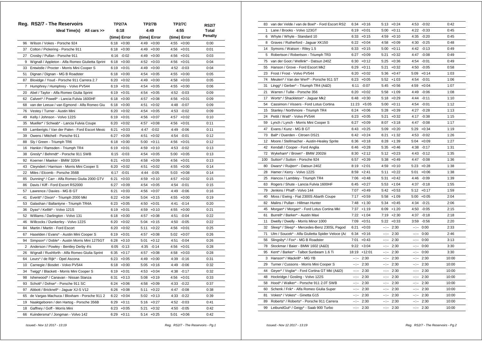|                | Reg. RS2/7 - The Reservoirs                      | <b>TP2/7A</b>   | <b>TP2/7B</b>   | <b>TP2/7C</b>   | RS2/7   |
|----------------|--------------------------------------------------|-----------------|-----------------|-----------------|---------|
|                | Ideal Time(s) All cars >>                        | 6:18            | 4:49            | 4:55            | Total   |
|                |                                                  | (time) Error    | (time) Error    | (time) Error    | Penalty |
| 96             | Wilson / Vokes - Porsche 924                     | $6:18 + 0:00$   | $4:49 +0:00$    | $4:55 + 0:00$   | 0:00    |
| 37             | Colton / Pickering - Porsche 911                 | $6:18 + 0:00$   | 4:49<br>$+0:00$ | $4:56 + 0:01$   | 0:01    |
| 27             | Crosby / Pullan - Porsche 911                    | $6:16 - 0:02$   | 4:49<br>$+0:00$ | $4:56 + 0:01$   | 0:03    |
| 9              | Wignall / Appleton - Alfa Romeo Giulietta Sprint | $+0:00$<br>6:18 | 4:52<br>$+0:03$ | $4:56 + 0:01$   | 0:04    |
| 33             | Entwistle / Procter - Morris Mini Cooper S       | $+0:01$<br>6:19 | $4:49 +0:00$    | $4:52 -0:03$    | 0:04    |
| 51             | Dignan / Dignan - MG B Roadster                  | 6:18<br>$+0:00$ | 4:54<br>$+0:05$ | 4:55<br>$+0:00$ | 0:05    |
| 87             | Bloxidge / Youd - Porsche 911 Carrera 2.7        | 6:20<br>$+0:02$ | 4:49<br>$+0:00$ | 4:58<br>$+0:03$ | 0:05    |
| $\overline{7}$ | Humphrey / Humphrey - Volvo PV544                | 6:19<br>$+0:01$ | 4:54<br>$+0:05$ | $4:55 + 0:00$   | 0:06    |
| 20             | Abel / Taylor - Alfa Romeo Giulia Sprint         | 6:19<br>$+0:01$ | 4:54<br>$+0:05$ | 4:52<br>$-0:03$ | 0:09    |
| 62             | Calvert* / Powell* - Lancia Fulvia 1600HF        | $+0:00$<br>6:18 | 4:57<br>$+0:08$ | $4:56 + 0:01$   | 0:09    |
| 68             | van der Leeuw / van Egmond - Alfa Romeo Giu      | 6:18<br>$+0:00$ | 4:51<br>$+0:02$ | 4:48<br>$-0:07$ | 0:09    |
| 76             | Vestey / Turner - Austin Mini                    | $+0:02$<br>6:20 | 4:54<br>$+0:05$ | 4:53 -0:02      | 0:09    |
| 49             | Kelly / Johnson - Volvo 122S                     | 6:19<br>$+0:01$ | 4:56<br>$+0:07$ | 4:57<br>$+0:02$ | 0:10    |
| 35             | Mueller* / Schwab* - Lancia Fulvia Coupe         | 6:20<br>$+0:02$ | 4:57<br>$+0:08$ | $4:56 + 0:01$   | 0:11    |
| 69             | Lamberigts / Van der Palen - Ford Escort Mexic   | 6:21<br>$+0:03$ | 4:47<br>$-0:02$ | 4:49<br>$-0:06$ | 0:11    |
| 39             | Owens / Mitchell - Porsche 911                   | 6:27<br>$+0:09$ | 4:51<br>$+0:02$ | 4:54<br>$-0:01$ | 0:12    |
| 88             | Sly / Green - Triumph TR6                        | 6:18<br>$+0:00$ | 5:00<br>$+0:11$ | $4:56 + 0:01$   | 0:12    |
| 16             | Hankin / Ramsden - Triumph TR4                   | 6:19<br>$+0:01$ | 4:59<br>$+0:10$ | 4:53<br>$-0:02$ | 0:13    |
| 38             | Gresly* / Behrndt* - Porsche 911 SWB             | $6:15 -0:03$    | 4:54<br>$+0:05$ | $5:00 + 0:05$   | 0:13    |
| 92             | Koerner / Maeker - BMW 320/4                     | 6:21<br>$+0:03$ | 4:58<br>$+0:09$ | $4:56 + 0:01$   | 0:13    |
| 43             | Cleyndert / Harrison - Morris Mini Cooper S      | 6:20<br>$+0:02$ | 4:51<br>$+0:02$ | $4:55 + 0:00$   | 0:14    |
| 22             | Miles / Elcomb - Porsche 356B                    | $-0:01$<br>6:17 | 4:44<br>$-0:05$ | $5:03 +0:08$    | 0:14    |
| 85             | Dunning* / Carr - Alfa Romeo Giulia 2000 GTV     | 6:21<br>$+0:03$ | 4:59<br>$+0:10$ | 4:57<br>$+0:02$ | 0:15    |
| 86             | Davis / Kiff - Ford Escort RS2000                | 6:27<br>$+0:09$ | 4:54<br>$+0:05$ | $4:54 - 0:01$   | 0:15    |
| 57             | Lawrence / Davies - MG B GT                      | 6:21<br>$+0:03$ | 4:56<br>$+0:07$ | 4:49 -0:06      | 0:16    |
| 41             | Everitt* / Dixon* - Triumph 2000 Mkl             | 6:22<br>$+0:04$ | 5:04<br>$+0:15$ | $4:55 + 0:00$   | 0:19    |
| 53             | Galashan / Ballantyne - Triumph TR4A             | 6:23<br>$+0:05$ | 4:50<br>$+0:01$ | 4:41<br>$-0:14$ | 0:20    |
| 36             | Dyas* / Kellitt* - Volvo 121S                    | 6:19<br>$+0:01$ | 4:59<br>$+0:10$ | 4:55<br>$+0:00$ | 0:21    |
| 52             | Williams / Darlington - Volvo 131                | $+0:00$<br>6:18 | 4:57<br>$+0:08$ | 4:51<br>$-0:04$ | 0:22    |
| 46             | Willcocks / Dunkerley - Volvo 122S               | 6:20<br>$+0:02$ | 5:04<br>$+0:15$ | 4:50<br>$-0:05$ | 0:22    |
| 84             | Martin / Martin - Ford Escort                    | 6:20<br>$+0:02$ | 5:11<br>$+0:22$ | $4:56 + 0:01$   | 0:25    |
| 67             | Haselden / Evans* - Austin Mini Cooper S         | 6:19<br>$+0:01$ | 4:57<br>$+0:08$ | $5:02 +0:07$    | 0:26    |
| 94             | Simpson* / Doble* - Austin Morris Mini 1275GT    | 6:28<br>$+0:10$ | 5:01<br>$+0:12$ | 4:51<br>$-0:04$ | 0:26    |
| $\overline{2}$ | Anderson / Powley - Bentley Derby 41/4           | $6:05 -0:13$    | 4:35<br>$-0:14$ | $4:56 + 0:01$   | 0:28    |
| 26             | Wignall / Rushforth - Alfa Romeo Giulia Sprint   | 6:35<br>$+0:17$ | 4:57<br>$+0:08$ | 4:58<br>$+0:03$ | 0:28    |
| 64             | Leurs* / de Rijk* - Opel Ascona                  | 6:23<br>$+0:05$ | 4:49<br>$+0:00$ | 4:39<br>$-0:16$ | 0:31    |
| 10             | Carnegie / Bosdet - Volvo PV544                  | $+0:00$<br>6:18 | 5:05<br>$+0:16$ | 4:49<br>$-0:06$ | 0:32    |
| 34             | Twigg* / Blackett - Morris Mini Cooper S         | 6:19<br>$+0:01$ | 4:53<br>$+0:04$ | 4:38 -0:17      | 0:32    |
| 98             | Isherwood* / Canavan - Nissan Stanza             | 6:31<br>$+0:13$ | 5:08<br>$+0:19$ | $4:56 + 0:01$   | 0:33    |
| 93             | Schott* / Dohse* - Porsche 911 SC                | 6:24<br>$+0:06$ | 4:58<br>$+0:09$ | 4:33<br>$-0:22$ | 0:37    |
| 97             | Abbott / Bricknell* - Jaguar XJ-S V12            | 6:26<br>$+0:08$ | 5:11<br>$+0:22$ | 4:47<br>$-0:08$ | 0:38    |
| 65             | de Vargas Machuca / Bloxham - Porsche 911 2      | 6:22<br>$+0:04$ | 5:02<br>$+0:13$ | 4:33<br>$-0:22$ | 0:39    |
| 19             | Naaktgeboren / den Hartog - Porsche 356B         | $6:29 +0:11$    | $5:16 + 0:27$   | 4:52 -0:03      | 0:41    |
| 18             | Gaffney / Goff - Morris Mini                     | $6:23 +0:05$    | 5:21<br>$+0:32$ | 4:50 -0:05      | 0:42    |
| 66             | Kuindersma* / Jongman - Volvo 142                | 6:29<br>$+0:11$ | 5:14<br>$+0:25$ | 5:01<br>$+0:06$ | 0:42    |

| 83  | van der Velde / van de Boel* - Ford Escort RS2   | 6:34                                                                                                                                                                                                                                                                                                                                                                                                                                           | $+0:16$       |                                                                                                                                                                                                                                                                                                                                                                                                                                                                            | $5:13 + 0:24$ |              | 4:53 -0:02    | 0:42  |
|-----|--------------------------------------------------|------------------------------------------------------------------------------------------------------------------------------------------------------------------------------------------------------------------------------------------------------------------------------------------------------------------------------------------------------------------------------------------------------------------------------------------------|---------------|----------------------------------------------------------------------------------------------------------------------------------------------------------------------------------------------------------------------------------------------------------------------------------------------------------------------------------------------------------------------------------------------------------------------------------------------------------------------------|---------------|--------------|---------------|-------|
| 1   | Lane / Brooks - Volvo 123GT                      | 6:19                                                                                                                                                                                                                                                                                                                                                                                                                                           | $+0:01$       | 5:00                                                                                                                                                                                                                                                                                                                                                                                                                                                                       | $+0:11$       | 4:22         | $-0:33$       | 0:45  |
| 6   | Whyte / Whyte - Standard 10                      |                                                                                                                                                                                                                                                                                                                                                                                                                                                | $6:33 + 0:15$ |                                                                                                                                                                                                                                                                                                                                                                                                                                                                            | $4:59 +0:10$  |              | 4:35 -0:20    | 0:45  |
| 8   | Graves / Rutherford - Jaquar XK150               | 6:22                                                                                                                                                                                                                                                                                                                                                                                                                                           | $+0:04$       | 4:58                                                                                                                                                                                                                                                                                                                                                                                                                                                                       | $+0:09$       | 4:30         | $-0:25$       | 0:48  |
| 14  | Symons / Watson - Riley 1.5                      |                                                                                                                                                                                                                                                                                                                                                                                                                                                | $6:33 + 0:15$ |                                                                                                                                                                                                                                                                                                                                                                                                                                                                            | $5:00 +0:11$  |              | 4:42 -0:13    | 0:49  |
| 5   | Robertson / Robertson - Triumph TR3              |                                                                                                                                                                                                                                                                                                                                                                                                                                                | $6:27 + 0:09$ |                                                                                                                                                                                                                                                                                                                                                                                                                                                                            | $5:21 + 0:32$ |              | 4:47 -0:08    | 0:49  |
| 75  | van der Goot / Wellink* - Datsun 240Z            |                                                                                                                                                                                                                                                                                                                                                                                                                                                | $6:30 + 0:12$ | 5:25                                                                                                                                                                                                                                                                                                                                                                                                                                                                       | $+0:36$       | 4:54         | $-0:01$       | 0:49  |
| 55  | Hanson / Grove - Ford Escort Mk2                 |                                                                                                                                                                                                                                                                                                                                                                                                                                                | $6:29 + 0:11$ | 5:21                                                                                                                                                                                                                                                                                                                                                                                                                                                                       | $+0:32$       |              | 4:50 -0:05    | 0:58  |
| 23  | Frost / Frost - Volvo PV544                      | 6:20                                                                                                                                                                                                                                                                                                                                                                                                                                           | $+0:02$       |                                                                                                                                                                                                                                                                                                                                                                                                                                                                            | $5:36 + 0:47$ | 5:09         | $+0:14$       | 1:03  |
| 74  | Meulen* / Van der Werf* - Porsche 911 ST         | 6:23                                                                                                                                                                                                                                                                                                                                                                                                                                           | $+0:05$       |                                                                                                                                                                                                                                                                                                                                                                                                                                                                            | $5:52 +1:03$  | 4:54         | $-0:01$       | 1:06  |
| 31  | Lingg* / Gerber* - Triumph TR4 (A&D)             | 6:11                                                                                                                                                                                                                                                                                                                                                                                                                                           | $-0:07$       |                                                                                                                                                                                                                                                                                                                                                                                                                                                                            | $5:45 + 0:56$ | 4:59         | $+0:04$       | 1:07  |
| 21  | Warren / Tullie - Porsche 356                    | 6:20                                                                                                                                                                                                                                                                                                                                                                                                                                           | $+0:02$       |                                                                                                                                                                                                                                                                                                                                                                                                                                                                            | $5:58$ +1:09  |              | 4:49 -0:06    | 1:08  |
| 17  | Worts* / Shackleton* - Jaguar Mk2                |                                                                                                                                                                                                                                                                                                                                                                                                                                                | $6:48 + 0:30$ |                                                                                                                                                                                                                                                                                                                                                                                                                                                                            | $5:18 + 0:29$ | 4:44         | $-0:11$       | 1:10  |
| 54  | Cassimon / Vissers - Ford Lotus Cortina          |                                                                                                                                                                                                                                                                                                                                                                                                                                                | 11:23 +5:05   | 5:00                                                                                                                                                                                                                                                                                                                                                                                                                                                                       | $+0:11$       | 4:54         | $-0:01$       | 1:12  |
| 15  | Stanley / Northmore - Triumph TR4                |                                                                                                                                                                                                                                                                                                                                                                                                                                                | $6:24 +0:06$  |                                                                                                                                                                                                                                                                                                                                                                                                                                                                            | $5:28 + 0:39$ | 4:27         | $-0:28$       | 1:13  |
| 24  | Pettit / Watt* - Volvo PV544                     |                                                                                                                                                                                                                                                                                                                                                                                                                                                | $6:23 + 0:05$ | 5:21                                                                                                                                                                                                                                                                                                                                                                                                                                                                       | $+0:32$       | 4:17         | $-0:38$       | 1:15  |
| 59  | Lynch / Lynch - Morris Mini Cooper S             | 6:27                                                                                                                                                                                                                                                                                                                                                                                                                                           | $+0:09$       | 8:07                                                                                                                                                                                                                                                                                                                                                                                                                                                                       | $+3:18$       | 4:47         | $-0:08$       | 1:17  |
| 47  | Evans / Kunz - MG B GT                           |                                                                                                                                                                                                                                                                                                                                                                                                                                                | $6:43 + 0:25$ |                                                                                                                                                                                                                                                                                                                                                                                                                                                                            | $5:09 +0:20$  |              | $5:29 +0:34$  | 1:19  |
| 73  | Ball* / Duerden - Citroen DS21                   | 6:42                                                                                                                                                                                                                                                                                                                                                                                                                                           | $+0:24$       | 6:21                                                                                                                                                                                                                                                                                                                                                                                                                                                                       | $+1:32$       |              | 4:53 -0:02    | 1:26  |
| 12  | Moore / Stellmacher - Austin-Healey Sprite       |                                                                                                                                                                                                                                                                                                                                                                                                                                                | $6:36 + 0:18$ |                                                                                                                                                                                                                                                                                                                                                                                                                                                                            | $6:28$ +1:39  | 5:04         | $+0:09$       | 1:27  |
| 42  | Kendall / Cooper - Ford Anglia                   | 6:46                                                                                                                                                                                                                                                                                                                                                                                                                                           | $+0:28$       | 5:35                                                                                                                                                                                                                                                                                                                                                                                                                                                                       | $+0:46$       | 4:38         | $-0:17$       | 1:31  |
| 72  | Wykeham* / Brown* - BMW 2002tii                  |                                                                                                                                                                                                                                                                                                                                                                                                                                                | $8:30 +2:12$  |                                                                                                                                                                                                                                                                                                                                                                                                                                                                            | $5:12 + 0:23$ |              | 4:43 -0:12    | 1:35  |
| 100 | Sutton* / Sutton - Porsche 924                   | 6:57                                                                                                                                                                                                                                                                                                                                                                                                                                           | $+0:39$       |                                                                                                                                                                                                                                                                                                                                                                                                                                                                            | $5:38 + 0:49$ | 4:47         | $-0:08$       | 1:36  |
| 80  | Dwars* / Ruijten* - Datsun 240Z                  |                                                                                                                                                                                                                                                                                                                                                                                                                                                | $8:19 +2:01$  |                                                                                                                                                                                                                                                                                                                                                                                                                                                                            | $4:59 +0:10$  |              | $5:23 +0:28$  | 1:38  |
| 28  | Hamer / Kerry - Volvo 122S                       | 8:59                                                                                                                                                                                                                                                                                                                                                                                                                                           | $+2:41$       | 5:11                                                                                                                                                                                                                                                                                                                                                                                                                                                                       | $+0:22$       | 5:01         | $+0:06$       | 1:38  |
| 25  | Hancox / Lambley - Triumph TR4                   |                                                                                                                                                                                                                                                                                                                                                                                                                                                | $7:06$ +0:48  |                                                                                                                                                                                                                                                                                                                                                                                                                                                                            | $5:31 + 0:42$ |              | 4:46 -0:09    | 1:39  |
| 63  | Rogers / Shute - Lancia Fulvia 1600HF            |                                                                                                                                                                                                                                                                                                                                                                                                                                                | $6:45 + 0:27$ |                                                                                                                                                                                                                                                                                                                                                                                                                                                                            | $5:53 +1:04$  | 4:37         | $-0:18$       | 1:55  |
| 79  | Jenkins / Phaff - Volvo 144                      | 7:07                                                                                                                                                                                                                                                                                                                                                                                                                                           | $+0:49$       | 5:42                                                                                                                                                                                                                                                                                                                                                                                                                                                                       | $+0:53$       | 5:12         | $+0:17$       | 1:59  |
| 40  | Moss / Ewing - Fiat 2300S Abarth Coupe           | 7:17                                                                                                                                                                                                                                                                                                                                                                                                                                           | $+0:59$       |                                                                                                                                                                                                                                                                                                                                                                                                                                                                            | $5:58$ +1:09  | 5:00         | $+0:05$       | 2:04  |
| 82  | Malins / Pullan - Hillman Hunter                 |                                                                                                                                                                                                                                                                                                                                                                                                                                                | $7:48$ +1:30  |                                                                                                                                                                                                                                                                                                                                                                                                                                                                            | $5:34 +0:45$  |              | 4:34 -0:21    | 2:06  |
| 45  | Morgan* / Morgan* - Ford Lotus Cortina Mkl       | 7:37                                                                                                                                                                                                                                                                                                                                                                                                                                           | $+1:19$       | 6:09                                                                                                                                                                                                                                                                                                                                                                                                                                                                       | $+1:20$       |              | 4:50 -0:05    | 2:15  |
| 61  | Burrell* / Barker* - Austin Maxi                 |                                                                                                                                                                                                                                                                                                                                                                                                                                                | $7:22 +1:04$  |                                                                                                                                                                                                                                                                                                                                                                                                                                                                            | $7:19 +2:30$  | 4:37         | $-0:18$       | 2:18  |
| 11  | Dwelly / Dwelly - Morris Minor 1000              |                                                                                                                                                                                                                                                                                                                                                                                                                                                | $7:09 +0:51$  |                                                                                                                                                                                                                                                                                                                                                                                                                                                                            | $5:22 + 0:33$ |              | $3:59 - 0:56$ | 2:20  |
| 32  | Sleep* / Sleep* - Mercedes-Benz 230SL Pagod      | 6:21                                                                                                                                                                                                                                                                                                                                                                                                                                           | $+0:03$       | $-2 - 2 - 1$                                                                                                                                                                                                                                                                                                                                                                                                                                                               | 2:30          | --1--        | 0:00          | 2:33  |
| 71  | Ulm / Soucek* - Alfa Giulietta Spider Veloce (Al | 6:34                                                                                                                                                                                                                                                                                                                                                                                                                                           | $+0:16$       | $-2 - 1$                                                                                                                                                                                                                                                                                                                                                                                                                                                                   | 2:30          | -----        | 0:00          | 2:46  |
| 56  | Slingsby* / Fox* - MG B Roadster                 | 7:01                                                                                                                                                                                                                                                                                                                                                                                                                                           | $+0:43$       | $-2 - 2 - 1$                                                                                                                                                                                                                                                                                                                                                                                                                                                               | 2:30          | $-1$         | 0:00          | 3:13  |
| 78  | Stockmar / Baier - BMW 1602 (A&D)                |                                                                                                                                                                                                                                                                                                                                                                                                                                                | $9:22 + 3:04$ | $-1 - 1 - 1$                                                                                                                                                                                                                                                                                                                                                                                                                                                               | 2:30          | $-1$         | 0:00          | 3:30  |
| 95  | Kent* / Barker* - Talbot Sunbeam 1.6 Ti          | 18:19                                                                                                                                                                                                                                                                                                                                                                                                                                          | $+12:01$      | $-1$                                                                                                                                                                                                                                                                                                                                                                                                                                                                       | 2:30          | aagaan.      | 0:00          | 3:30  |
| 3   | Hanson* / Mackrill* - MG YB                      | 2.25                                                                                                                                                                                                                                                                                                                                                                                                                                           | 2:30          | $ -$                                                                                                                                                                                                                                                                                                                                                                                                                                                                       | 2:30          | 2.25         | 2:30          | 10:00 |
| 29  | Turner / Cussons - Morris Mini Cooper S          | $\frac{1}{2} \left( \frac{1}{2} \right) + \frac{1}{2} \left( \frac{1}{2} \right) + \frac{1}{2} \left( \frac{1}{2} \right) + \frac{1}{2} \left( \frac{1}{2} \right) + \frac{1}{2} \left( \frac{1}{2} \right) + \frac{1}{2} \left( \frac{1}{2} \right) + \frac{1}{2} \left( \frac{1}{2} \right) + \frac{1}{2} \left( \frac{1}{2} \right) + \frac{1}{2} \left( \frac{1}{2} \right) + \frac{1}{2} \left( \frac{1}{2} \right) + \frac{1}{2} \left($ | 2:30          | $-2 - 2 - 1$                                                                                                                                                                                                                                                                                                                                                                                                                                                               | 2:30          | --:--        | 2:30          | 10:00 |
| 44  | Geyer* / Voglar* - Ford Cortina GT MkI (A&D)     | $-2 - 1$                                                                                                                                                                                                                                                                                                                                                                                                                                       | 2:30          | $-2 - 2 - 1$                                                                                                                                                                                                                                                                                                                                                                                                                                                               | 2:30          | $-2 - 1$     | 2:30          | 10:00 |
| 48  | Hockridge / Gosling - Volvo 122S                 | $-1 - 1$                                                                                                                                                                                                                                                                                                                                                                                                                                       | 2:30          | $\frac{1}{2} \left( \frac{1}{2} \right) \left( \frac{1}{2} \right) \left( \frac{1}{2} \right) \left( \frac{1}{2} \right) \left( \frac{1}{2} \right) \left( \frac{1}{2} \right) \left( \frac{1}{2} \right) \left( \frac{1}{2} \right) \left( \frac{1}{2} \right) \left( \frac{1}{2} \right) \left( \frac{1}{2} \right) \left( \frac{1}{2} \right) \left( \frac{1}{2} \right) \left( \frac{1}{2} \right) \left( \frac{1}{2} \right) \left( \frac{1}{2} \right) \left( \frac$ | 2:30          | aagaan       | 2:30          | 10:00 |
| 58  | Hood* / Walker* - Porsche 911 2.0T SWB           | $-2 - 2 - 1$                                                                                                                                                                                                                                                                                                                                                                                                                                   | 2:30          | $-2 - 2 - 1$                                                                                                                                                                                                                                                                                                                                                                                                                                                               | 2:30          | $-2 - 1$     | 2:30          | 10:00 |
| 60  | Schenk / Frik* - Alfa Romeo Giulia Super         | $-1$                                                                                                                                                                                                                                                                                                                                                                                                                                           | 2:30          | $\frac{1}{2} \left( \frac{1}{2} \right) + \frac{1}{2} \left( \frac{1}{2} \right) + \frac{1}{2} \left( \frac{1}{2} \right) + \frac{1}{2} \left( \frac{1}{2} \right) + \frac{1}{2} \left( \frac{1}{2} \right) + \frac{1}{2} \left( \frac{1}{2} \right) + \frac{1}{2} \left( \frac{1}{2} \right) + \frac{1}{2} \left( \frac{1}{2} \right) + \frac{1}{2} \left( \frac{1}{2} \right) + \frac{1}{2} \left( \frac{1}{2} \right) + \frac{1}{2} \left($                             | 2:30          | $-2 - 2 - 1$ | 2:30          | 10:00 |
| 81  | Vokes* / Vokes* - Ginetta G15                    | $-2 - 2 - 1$                                                                                                                                                                                                                                                                                                                                                                                                                                   | 2:30          | $-2 - 2 - 1$                                                                                                                                                                                                                                                                                                                                                                                                                                                               | 2:30          |              | $-:- 2:30$    | 10:00 |
| 89  | Roberts* / Roberts* - Porsche 911 Carrera        | $-2 - 2 - 1$                                                                                                                                                                                                                                                                                                                                                                                                                                   | 2:30          | $\mathcal{L}^{\mathcal{L}}$ and                                                                                                                                                                                                                                                                                                                                                                                                                                            | 2:30          | $-2 - 2 - 1$ | 2:30          | 10:00 |
| 99  | LeibundGut* / Geigy* - Saab 900 Turbo            | $-2 - 1$                                                                                                                                                                                                                                                                                                                                                                                                                                       | 2:30          | 2.25                                                                                                                                                                                                                                                                                                                                                                                                                                                                       | 2:30          | --1--        | 2:30          | 10:00 |
|     |                                                  |                                                                                                                                                                                                                                                                                                                                                                                                                                                |               |                                                                                                                                                                                                                                                                                                                                                                                                                                                                            |               |              |               |       |

 *Issued:- Nov 12 2017 - 13:19 Reg. RS2/7 - The Reservoirs - Pg.1*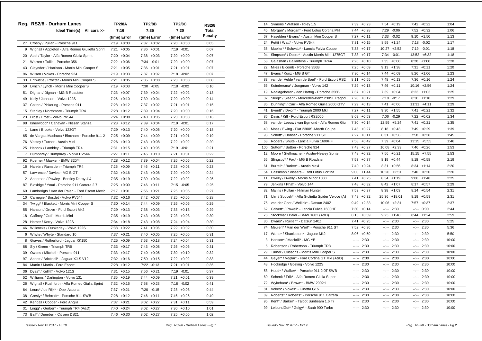|              | Reg. RS2/8 - Durham Lanes                        | TP2/8A          | TP2/8B          | <b>TP2/8C</b>   | RS2/8   |
|--------------|--------------------------------------------------|-----------------|-----------------|-----------------|---------|
|              | Ideal Time(s) All cars >>                        | 7:16            | 7:35            | 7:20            | Total   |
|              |                                                  | (time) Error    | (time) Error    | (time) Error    | Penalty |
| 27           | Crosby / Pullan - Porsche 911                    | 7:19<br>$+0:03$ | 7:37<br>$+0:02$ | $7:20 +0:00$    | 0:05    |
| 9            | Wignall / Appleton - Alfa Romeo Giulietta Sprint | 7:21<br>$+0:05$ | 7:36<br>$+0:01$ | 7:19 -0:01      | 0:07    |
| 20           | Abel / Taylor - Alfa Romeo Giulia Sprint         | $7:20 +0:04$    | 7:38<br>$+0:03$ | $7:20 +0:00$    | 0:07    |
| 21           | Warren / Tullie - Porsche 356                    | $7:22 +0:06$    | 7:34<br>$-0:01$ | $7:20 +0:00$    | 0:07    |
| 43           | Cleyndert / Harrison - Morris Mini Cooper S      | $7:21 + 0:05$   | $7:36 + 0:01$   | $7:21 + 0:01$   | 0:07    |
| 96           | Wilson / Vokes - Porsche 924                     | $7:19 + 0:03$   | 7:37<br>$+0:02$ | 7:18 -0:02      | 0:07    |
| 33           | Entwistle / Procter - Morris Mini Cooper S       | 7:21<br>$+0:05$ | 7:35<br>$+0:00$ | 7:23<br>$+0:03$ | 0:08    |
| 59           | Lynch / Lynch - Morris Mini Cooper S             | $7:19 + 0:03$   | 7:30<br>$-0:05$ | 7:18 -0:02      | 0:10    |
| 51           | Dignan / Dignan - MG B Roadster                  | $+0:07$<br>7:23 | 7:39<br>$+0:04$ | 7:22<br>$+0:02$ | 0:13    |
| 49           | Kelly / Johnson - Volvo 122S                     | $7:26 + 0:10$   | 7:39<br>$+0:04$ | $7:20 +0:00$    | 0:14    |
| 37           | Colton / Pickering - Porsche 911                 | 7:28<br>$+0:12$ | 7:37<br>$+0:02$ | 7:21<br>$+0:01$ | 0:15    |
| 15           | Stanley / Northmore - Triumph TR4                | $7:28 +0:12$    | 7:39<br>$+0:04$ | $7:20 +0:00$    | 0:16    |
| 23           | Frost / Frost - Volvo PV544                      | 7:24<br>$+0:08$ | 7:40<br>$+0:05$ | $7:23 +0:03$    | 0:16    |
| 98           | Isherwood* / Canavan - Nissan Stanza             | $7:28 +0:12$    | 7:39<br>$+0:04$ | 7:19 -0:01      | 0:17    |
| $\mathbf{1}$ | Lane / Brooks - Volvo 123GT                      | 7:29<br>$+0:13$ | 7:40<br>$+0:05$ | $7:20 + 0:00$   | 0:18    |
| 65           | de Vargas Machuca / Bloxham - Porsche 911 2      | $7:25 +0:09$    | 7:44<br>$+0:09$ | 7:21<br>$+0:01$ | 0:19    |
| 76           | Vestey / Turner - Austin Mini                    | 7:26 +0:10      | 7:43<br>$+0:08$ | 7:22<br>$+0:02$ | 0:20    |
| 25           | Hancox / Lambley - Triumph TR4                   | 7:31<br>$+0:15$ | 7:40<br>$+0:05$ | 7:19<br>$-0:01$ | 0:21    |
| 7            | Humphrey / Humphrey - Volvo PV544                | 7:27<br>$+0:11$ | 7:45<br>$+0:10$ | 7:21<br>$+0:01$ | 0:22    |
| 92           | Koerner / Maeker - BMW 320/4                     | 7:28<br>$+0:12$ | 7:39<br>$+0:04$ | $7:26 + 0:06$   | 0:22    |
| 16           | Hankin / Ramsden - Triumph TR4                   | 7:25<br>$+0:09$ | 7:46<br>$+0:11$ | $7:23 +0:03$    | 0:23    |
| 57           | Lawrence / Davies - MG B GT                      | 7:32<br>$+0:16$ | 7:43<br>$+0:08$ | $7:20 +0:00$    | 0:24    |
| 2            | Anderson / Powley - Bentley Derby 41/4           | 7:35<br>$+0:19$ | 7:39<br>$+0:04$ | $7:22 +0:02$    | 0:25    |
| 87           | Bloxidge / Youd - Porsche 911 Carrera 2.7        | 7:25<br>$+0:09$ | 7:46<br>$+0:11$ | 7:15 -0:05      | 0:25    |
| 69           | Lamberigts / Van der Palen - Ford Escort Mexic   | $7:17 + 0:01$   | 7:56<br>$+0:21$ | $7:25 +0:05$    | 0:27    |
| 10           | Carnegie / Bosdet - Volvo PV544                  | $7:32 +0:16$    | 7:42<br>$+0:07$ | $7:25 +0:05$    | 0:28    |
| 34           | Twigg* / Blackett - Morris Mini Cooper S         | $7:30 +0:14$    | 7:44<br>$+0:09$ | 7:26<br>$+0:06$ | 0:29    |
| 55           | Hanson / Grove - Ford Escort Mk2                 | $7:29 +0:13$    | 7:38<br>$+0:03$ | $7:33 + 0:13$   | 0:29    |
| 18           | Gaffney / Goff - Morris Mini                     | 7:35<br>$+0:19$ | 7:43<br>$+0:08$ | $7:23 +0:03$    | 0:30    |
| 28           | Hamer / Kerry - Volvo 122S                       | 7:34<br>$+0:18$ | 7:43<br>$+0:08$ | $7:24 +0:04$    | 0:30    |
| 46           | Willcocks / Dunkerley - Volvo 122S               | 7:38<br>$+0:22$ | 7:41<br>$+0:06$ | 7:22 +0:02      | 0:30    |
| 6            | Whyte / Whyte - Standard 10                      | 7:37<br>$+0:21$ | 7:40<br>$+0:05$ | 7:25<br>$+0:05$ | 0:31    |
| 8            | Graves / Rutherford - Jaguar XK150               | 7:25<br>$+0:09$ | 7:53<br>$+0:18$ | $7:24 +0:04$    | 0:31    |
| 88           | Sly / Green - Triumph TR6                        | $7:33 + 0:17$   | 7:43<br>$+0:08$ | $7:26 + 0:06$   | 0:31    |
| 39           | Owens / Mitchell - Porsche 911                   | $7:33 +0:17$    | 7:40<br>$+0:05$ | $7:30 +0:10$    | 0:32    |
| 97           | Abbott / Bricknell* - Jaguar XJ-S V12            | $7:32 +0:16$    | 7:50<br>$+0:15$ | $7:22 +0:02$    | 0:33    |
| 84           | Martin / Martin - Ford Escort                    | $7:28 +0:12$    | 7:22<br>$-0:13$ | 7:21<br>$+0:01$ | 0:36    |
| 36           | Dyas* / Kellitt* - Volvo 121S                    | 7:31<br>$+0:15$ | 7:56<br>$+0:21$ | 7:19 -0:01      | 0:37    |
| 52           | Williams / Darlington - Volvo 131                | $7:35 +0:19$    | 7:44<br>$+0:09$ | 7:21<br>$+0:01$ | 0:39    |
| 26           | Wignall / Rushforth - Alfa Romeo Giulia Sprint   | 7:32<br>$+0:16$ | 7:58<br>$+0:23$ | 7:18 -0:02      | 0:41    |
| 64           | Leurs* / de Rijk* - Opel Ascona                  | 7:37<br>$+0:21$ | 7:20<br>$-0:15$ | $7:28$ +0:08    | 0:44    |
| 38           | Gresly* / Behrndt* - Porsche 911 SWB             | 7:28<br>$+0:12$ | 7:46<br>$+0:11$ | $7:46 + 0:26$   | 0:49    |
| 42           | Kendall / Cooper - Ford Anglia                   | $7:37 +0:21$    | 8:02<br>$+0:27$ | 7:31<br>$+0:11$ | 0:59    |
| 31           | Lingg* / Gerber* - Triumph TR4 (A&D)             | $7:40 +0:24$    | $8:02 +0:27$    | $7:30 + 0:10$   | 1:01    |
| 73           | Ball* / Duerden - Citroen DS21                   | $7:46 + 0:30$   | $8:02 +0:27$    | $7:25 +0:05$    | 1:02    |

| 14  | Symons / Watson - Riley 1.5                      | 7:39             | $+0:23$       | 7:54         | $+0:19$       |                                                                                                                                                                                                                                                                                                                                                                                                                                                                            | $7:42 +0:22$   | 1:04  |
|-----|--------------------------------------------------|------------------|---------------|--------------|---------------|----------------------------------------------------------------------------------------------------------------------------------------------------------------------------------------------------------------------------------------------------------------------------------------------------------------------------------------------------------------------------------------------------------------------------------------------------------------------------|----------------|-------|
| 45  | Morgan* / Morgan* - Ford Lotus Cortina Mkl       | 7:44             | $+0:28$       | 7:29         | $-0:06$       |                                                                                                                                                                                                                                                                                                                                                                                                                                                                            | $7:52 +0:32$   | 1:06  |
| 67  | Haselden / Evans* - Austin Mini Cooper S         |                  | $7:27 +0:11$  |              | 7:33 -0:02    |                                                                                                                                                                                                                                                                                                                                                                                                                                                                            | $9:10 + 1:50$  | 1:13  |
| 24  | Pettit / Watt* - Volvo PV544                     | 7:31             | $+0:15$       | 8:59         | $+1:24$       |                                                                                                                                                                                                                                                                                                                                                                                                                                                                            | 7:18 -0:02     | 1:17  |
| 35  | Mueller* / Schwab* - Lancia Fulvia Coupe         | 7:33             | $+0:17$       | 10:27        | $+2:52$       |                                                                                                                                                                                                                                                                                                                                                                                                                                                                            | 7:19 -0:01     | 1:18  |
| 94  | Simpson* / Doble* - Austin Morris Mini 1275GT    | 7:33             | $+0:17$       | 7:34         | $-0:01$       |                                                                                                                                                                                                                                                                                                                                                                                                                                                                            | 13:52 +6:32    | 1:18  |
| 53  | Galashan / Ballantyne - Triumph TR4A             | 7:26             | $+0:10$       | 7:35         | $+0:00$       |                                                                                                                                                                                                                                                                                                                                                                                                                                                                            | $8:20 +1:00$   | 1:20  |
| 22  | Miles / Elcomb - Porsche 356B                    | 7:25             | $+0:09$       | 9:13         | $+1:38$       |                                                                                                                                                                                                                                                                                                                                                                                                                                                                            | $7:31 + 0:11$  | 1:20  |
| 47  | Evans / Kunz - MG B GT                           | 7:30             | $+0:14$       | 7:44         | $+0:09$       |                                                                                                                                                                                                                                                                                                                                                                                                                                                                            | $8:26$ +1:06   | 1:23  |
| 83  | van der Velde / van de Boel* - Ford Escort RS2   | 8:11             | $+0:55$       | 7:48         | $+0:13$       |                                                                                                                                                                                                                                                                                                                                                                                                                                                                            | $7:36 + 0:16$  | 1:24  |
| 66  | Kuindersma* / Jongman - Volvo 142                |                  | $7:29 +0:13$  | 7:46         | $+0:11$       |                                                                                                                                                                                                                                                                                                                                                                                                                                                                            | $10:16 + 2:56$ | 1:24  |
| 19  | Naaktgeboren / den Hartog - Porsche 356B         | 7:37             | $+0:21$       | 7:39         | $+0:04$       |                                                                                                                                                                                                                                                                                                                                                                                                                                                                            | $8:23 +1:03$   | 1:25  |
| 32  | Sleep* / Sleep* - Mercedes-Benz 230SL Pagod      | 7:28             | $+0:12$       |              | 7:18 -0:17    | 8:30                                                                                                                                                                                                                                                                                                                                                                                                                                                                       | $+1:10$        | 1:29  |
| 85  | Dunning* / Carr - Alfa Romeo Giulia 2000 GTV     | 7:29             | $+0:13$       | 7:41         | $+0:06$       |                                                                                                                                                                                                                                                                                                                                                                                                                                                                            | $11:31 +4:11$  | 1:29  |
| 41  | Everitt* / Dixon* - Triumph 2000 Mkl             | 7:27             | $+0:11$       | 9:30         | $+1:55$       | 7:41                                                                                                                                                                                                                                                                                                                                                                                                                                                                       | $+0:21$        | 1:32  |
| 86  | Davis / Kiff - Ford Escort RS2000                | 8:09             | $+0:53$       | 7:06         | $-0:29$       |                                                                                                                                                                                                                                                                                                                                                                                                                                                                            | $7:22 +0:02$   | 1:34  |
| 68  | van der Leeuw / van Egmond - Alfa Romeo Giu      |                  | $7:30 + 0:14$ | 12:59        | $+5:24$       |                                                                                                                                                                                                                                                                                                                                                                                                                                                                            | $7:41 + 0:21$  | 1:35  |
| 40  | Moss / Ewing - Fiat 2300S Abarth Coupe           | 7:43             | $+0:27$       |              | $8:18 + 0:43$ |                                                                                                                                                                                                                                                                                                                                                                                                                                                                            | $7:49 +0:29$   | 1:39  |
| 93  | Schott* / Dohse* - Porsche 911 SC                | 7:27             | $+0:11$       | 8:31         | $+0:56$       |                                                                                                                                                                                                                                                                                                                                                                                                                                                                            | $7:58 + 0:38$  | 1:45  |
| 63  | Rogers / Shute - Lancia Fulvia 1600HF            | 7:58             | $+0:42$       | 7:39         | $+0:04$       |                                                                                                                                                                                                                                                                                                                                                                                                                                                                            | $13:15 + 5:55$ | 1:46  |
| 100 | Sutton* / Sutton - Porsche 924                   | 7:43             | $+0:27$       |              | $10:08 +2:33$ |                                                                                                                                                                                                                                                                                                                                                                                                                                                                            | $7:46$ +0:26   | 1:53  |
| 12  | Moore / Stellmacher - Austin-Healey Sprite       | 7:48             | $+0:32$       | 7:56         | $+0:21$       |                                                                                                                                                                                                                                                                                                                                                                                                                                                                            | $15:15 + 7:55$ | 1:53  |
| 56  | Slingsby* / Fox* - MG B Roadster                 |                  | $7:53 + 0:37$ | 8:19         | $+0:44$       |                                                                                                                                                                                                                                                                                                                                                                                                                                                                            | $8:18 + 0:58$  | 2:19  |
| 61  | Burrell* / Barker* - Austin Maxi                 |                  | $7:40 +0:24$  | 8:31         | $+0:56$       |                                                                                                                                                                                                                                                                                                                                                                                                                                                                            | $8:34 +1:14$   | 2:20  |
| 54  | Cassimon / Vissers - Ford Lotus Cortina          |                  | $9:00 +1:44$  |              | $10:26 +2:51$ |                                                                                                                                                                                                                                                                                                                                                                                                                                                                            | $7:40 +0:20$   | 2:20  |
| 11  | Dwelly / Dwelly - Morris Minor 1000              | 7:41             | $+0:25$       | 8:54         | $+1:19$       | 9:08                                                                                                                                                                                                                                                                                                                                                                                                                                                                       | $+1:48$        | 2:25  |
| 79  | Jenkins / Phaff - Volvo 144                      | 7:48             | $+0:32$       | 8:42         | $+1:07$       | 8:17                                                                                                                                                                                                                                                                                                                                                                                                                                                                       | $+0:57$        | 2:29  |
| 82  | Malins / Pullan - Hillman Hunter                 | 7:53             | $+0:37$       |              | $8:38 +1:03$  | 8:14                                                                                                                                                                                                                                                                                                                                                                                                                                                                       | $+0:54$        | 2:31  |
| 71  | Ulm / Soucek* - Alfa Giulietta Spider Veloce (A) | 7:48             | $+0:32$       | 25:36        | +18:01        |                                                                                                                                                                                                                                                                                                                                                                                                                                                                            | $8:19 + 0:59$  | 2:31  |
| 75  | van der Goot / Wellink* - Datsun 240Z            | 9:49             | $+2:33$       |              | $10:06 +2:31$ |                                                                                                                                                                                                                                                                                                                                                                                                                                                                            | $7:57 +0:37$   | 2:37  |
| 62  | Calvert* / Powell* - Lancia Fulvia 1600HF        |                  | $7:30 +0:14$  |              | $-:- 2:30$    |                                                                                                                                                                                                                                                                                                                                                                                                                                                                            | $--:- 0:00$    | 2:44  |
| 78  | Stockmar / Baier - BMW 1602 (A&D)                | 8:15             | $+0:59$       | 9:23         | +1:48         | 8:44                                                                                                                                                                                                                                                                                                                                                                                                                                                                       | $+1:24$        | 2:59  |
| 80  | Dwars* / Ruijten* - Datsun 240Z                  | 7:41             | $+0:25$       | $-2 - 2 - 1$ | 2:30          | $-2 - 1$                                                                                                                                                                                                                                                                                                                                                                                                                                                                   | 2:30           | 5:25  |
| 74  | Meulen* / Van der Werf* - Porsche 911 ST         | 7:52             | $+0:36$       | $-2 - 1$     | 2:30          | $-2 - 2 - 1$                                                                                                                                                                                                                                                                                                                                                                                                                                                               | 2:30           | 5:36  |
| 17  | Worts* / Shackleton* - Jaguar Mk2                | 8:06             | $+0:50$       | $-2 - 2 - 1$ | 2:30          | $-2 - 2 - 1$                                                                                                                                                                                                                                                                                                                                                                                                                                                               | 2:30           | 5:50  |
| 3   | Hanson* / Mackrill* - MG YB                      | $-2 - 1$         | 2:30          | $-2 - 2 - 1$ | 2:30          | aagaan                                                                                                                                                                                                                                                                                                                                                                                                                                                                     | 2:30           | 10:00 |
| 5   | Robertson / Robertson - Triumph TR3              | $-2 - 2 - 1$     | 2:30          | --:--        | 2:30          | $-2 - 1$                                                                                                                                                                                                                                                                                                                                                                                                                                                                   | 2:30           | 10:00 |
| 29  | Turner / Cussons - Morris Mini Cooper S          | $-1$             | 2:30          | $-2 - 1$     | 2:30          | $-1$                                                                                                                                                                                                                                                                                                                                                                                                                                                                       | 2:30           | 10:00 |
| 44  | Geyer* / Voglar* - Ford Cortina GT MkI (A&D)     | $-1 - 1$         | 2:30          | $-2 - 2 - 1$ | 2:30          | $-1$                                                                                                                                                                                                                                                                                                                                                                                                                                                                       | 2:30           | 10:00 |
| 48  | Hockridge / Gosling - Volvo 122S                 | --:--            | 2:30          | --:--        | 2:30          | --:--                                                                                                                                                                                                                                                                                                                                                                                                                                                                      | 2:30           | 10:00 |
| 58  | Hood* / Walker* - Porsche 911 2.0T SWB           | $-2 - 2 - 1$     | 2:30          | $-10 - 10$   | 2:30          | $-2 - 1$                                                                                                                                                                                                                                                                                                                                                                                                                                                                   | 2:30           | 10:00 |
| 60  | Schenk / Frik* - Alfa Romeo Giulia Super         | $\frac{1}{2}$    | 2:30          | $-2 - 2 - 1$ | 2:30          | $\frac{1}{2} \left( \frac{1}{2} \right) \left( \frac{1}{2} \right) \left( \frac{1}{2} \right) \left( \frac{1}{2} \right) \left( \frac{1}{2} \right) \left( \frac{1}{2} \right) \left( \frac{1}{2} \right) \left( \frac{1}{2} \right) \left( \frac{1}{2} \right) \left( \frac{1}{2} \right) \left( \frac{1}{2} \right) \left( \frac{1}{2} \right) \left( \frac{1}{2} \right) \left( \frac{1}{2} \right) \left( \frac{1}{2} \right) \left( \frac{1}{2} \right) \left( \frac$ | 2:30           | 10:00 |
| 72  | Wykeham* / Brown* - BMW 2002tii                  | $-2 - 1$         | 2:30          | $-2 - 2 - 1$ | 2:30          |                                                                                                                                                                                                                                                                                                                                                                                                                                                                            | $-:- 2:30$     | 10:00 |
| 81  | Vokes* / Vokes* - Ginetta G15                    | $-1 - 1$         | 2:30          | $-1 - 1 - 1$ | 2:30          | $\frac{1}{2}$                                                                                                                                                                                                                                                                                                                                                                                                                                                              | 2:30           | 10:00 |
| 89  | Roberts* / Roberts* - Porsche 911 Carrera        | $-1$             | 2:30          | $-1$         | 2:30          |                                                                                                                                                                                                                                                                                                                                                                                                                                                                            | $-:- 2:30$     | 10:00 |
| 95  | Kent* / Barker* - Talbot Sunbeam 1.6 Ti          | $-1 - 1 - 1 = 0$ | 2:30          | $-1 - 1 - 1$ | 2:30          | $-1 - 1$                                                                                                                                                                                                                                                                                                                                                                                                                                                                   | 2:30           | 10:00 |
| 99  | LeibundGut* / Geigy* - Saab 900 Turbo            | --:--            | 2:30          | $-2 - 2 - 1$ | 2:30          | ----                                                                                                                                                                                                                                                                                                                                                                                                                                                                       | 2:30           | 10:00 |
|     |                                                  |                  |               |              |               |                                                                                                                                                                                                                                                                                                                                                                                                                                                                            |                |       |

 *Issued:- Nov 12 2017 - 13:19 Reg. RS2/8 - Durham Lanes - Pg.1*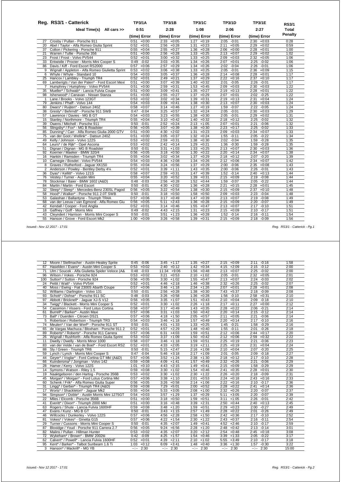|                 | Reg. RS3/1 - Catterick                           | <b>TP3/1A</b>   | TP3/1B          | <b>TP3/1C</b>   | <b>TP3/1D</b>   | TP3/1E          | <b>RS3/1</b> |
|-----------------|--------------------------------------------------|-----------------|-----------------|-----------------|-----------------|-----------------|--------------|
|                 | Ideal Time(s) All cars >>                        | 0:51            | 2:28            | 1:08            | 2:06            | 2:27            | Total        |
|                 |                                                  | (time) Error    | (time) Error    | (time) Error    | (time) Error    | (time) Error    | Penalty      |
| 27              | Crosby / Pullan - Porsche 911                    | $0:51 + 0:00$   | $2:33 + 0:05$   | $1:27 +0:19$    | $2:05 -0:01$    | $2:30 + 0:03$   | 0:28         |
| 20              | Abel / Taylor - Alfa Romeo Giulia Sprint         | $0:52 +0:01$    | $2:56 + 0:28$   | 1:31<br>$+0:23$ | 2:11<br>$+0:05$ | 2:29<br>$+0:02$ | 0:59         |
| 37              | Colton / Pickering - Porsche 911                 | $+0:04$<br>0:55 | $+0:27$<br>2:55 | $+0:28$<br>1:36 | $2:06 + 0:00$   | $+0:01$<br>2:28 | 1:00         |
| 21              | Warren / Tullie - Porsche 356                    | 0:51<br>$+0:00$ | $2:56 + 0:28$   | 1:33<br>$+0:25$ | $2:13 + 0:07$   | 2:29<br>$+0:02$ | 1:02         |
| 23              | Frost / Frost - Volvo PV544                      | $0:52 +0:01$    | $+0:32$<br>3:00 | $1:33 + 0:25$   | $2:09 +0:03$    | $2:32 +0:05$    | 1:06         |
| 33              | Entwistle / Procter - Morris Mini Cooper S       | 0:49<br>$-0:02$ | 3:03<br>$+0:35$ | 1:34<br>$+0:26$ | $2:07 +0:01$    | $2:25 - 0:02$   | 1:06         |
| 86              | Davis / Kiff - Ford Escort RS2000                | $0:57 + 0:06$   | $+0:29$<br>2:57 | 1:34<br>$+0:26$ | 2:02 -0:04      | 2:26<br>$-0:01$ | 1:06         |
| 9               | Wignall / Appleton - Alfa Romeo Giulietta Sprint | 0:53<br>$+0:02$ | $+0:38$<br>3:06 | 1:33<br>$+0:25$ | $2:05 -0:01$    | $2:36 + 0:09$   | 1:15         |
| 6               | Whyte / Whyte - Standard 10                      | 0:54<br>$+0:03$ | 3:05<br>$+0:37$ | 1:36<br>$+0:28$ | $2:14 + 0:08$   | 2:28<br>$+0:01$ | 1:17         |
| 25              | Hancox / Lambley - Triumph TR4                   | 0:52<br>$+0:01$ | 2:49<br>$+0:21$ | 1:37<br>$+0:29$ | $2:22 + 0:16$   | 2:37<br>$+0:10$ | 1:17         |
| 69              | Lamberigts / Van der Palen* - Ford Escort Mexi   | 0:51<br>$+0:00$ | 3:07<br>$+0:39$ | $+0:32$<br>1:40 | $-0:05$<br>2:01 | 2:26<br>$-0:01$ | 1:17         |
| $\overline{7}$  | Humphrey / Humphrey - Volvo PV544                | $+0:00$<br>0:51 | 2:59<br>$+0:31$ | 1:53<br>$+0:45$ | $2:09 +0:03$    | 2:30<br>$+0:03$ | 1:22         |
| 35              | Mueller* / Schwab* - Lancia Fulvia Coupe         | 0:51<br>$+0:00$ | 3:09<br>$+0:41$ | 1:35<br>$+0:27$ | $2:19 + 0:13$   | 2:28<br>$+0:01$ | 1:22         |
| 98              | Isherwood* / Canavan - Nissan Stanza             | $+0:00$<br>0:51 | $+0:27$<br>2:55 | 1:37<br>$+0:29$ | $2:07 +0:01$    | 2:02<br>$-0:25$ | 1:22         |
| 1               | Lane / Brooks - Volvo 123GT                      | $0:53 + 0:02$   | $3:02 +0:34$    | 1:39<br>$+0:31$ | $2:19 + 0:13$   | 2:31<br>$+0:04$ | 1:24         |
| 79              | Jenkins / Phaff - Volvo 144                      | $0:54 + 0:03$   | 3:09<br>$+0:41$ | $+0:30$<br>1:38 | $2:13 + 0:07$   | $+0:03$<br>2:30 | 1:24         |
| 80              | Dwars* / Ruijten* - Datsun 240Z                  | $0:58 + 0:07$   | $3:14 + 0:46$   | 1:27<br>$+0:19$ | 1:59<br>$-0:07$ | $-0:05$<br>2:22 | 1:24         |
| 38              | Gresly* / Behrndt* - Porsche 911 SWB             | $0:47 -0:04$    | 3:25<br>$+0:57$ | $+0:24$<br>1:32 | $2:05 -0:01$    | $+0:03$<br>2:30 | 1:29         |
| 57              | Lawrence / Davies - MG B GT                      | $+0:03$<br>0:54 | 3:23<br>$+0:55$ | 1:38<br>$+0:30$ | $2:05 -0:01$    | $+0:02$<br>2:29 | 1:31         |
| 15              | Stanley / Northmore - Triumph TR4                | $0:55 + 0:04$   | $+0:42$<br>3:10 | $+0:32$<br>1:40 | $2:18 + 0:12$   | $-0:02$<br>2:25 | 1:32         |
| 39              | Owens / Mitchell - Porsche 911                   | $0:50 - 0:01$   | $2:52 + 0:24$   | 2:13<br>$+1:05$ | $2:07 +0:01$    | 2:21<br>$-0:06$ | 1:32         |
| 56              | Slingsby* / Fox* - MG B Roadster                 | 0:56<br>$+0:05$ | $+0:39$<br>3:07 | 1:38<br>$+0:30$ | 2:23<br>$+0:17$ | $-0:02$<br>2:25 | 1:33         |
| 85              | Dunning* / Carr - Alfa Romeo Giulia 2000 GTV     | 0:51<br>$+0:00$ | $+2:02$<br>4:30 | $+0:23$<br>1:31 | $2:09 +0:03$    | $+0:07$<br>2:34 | 1:33         |
| 75              | van der Goot / Wellink* - Datsun 240Z            | $+0:00$<br>0:51 | $3:05 +0:37$    | 1:32<br>$+0:24$ | $1:55 - 0:11$   | $-0:22$<br>2:05 | 1:34         |
| 49              | Kelly / Johnson - Volvo 122S                     | $0:53 + 0:02$   | $2:59 + 0:31$   | 1:38<br>$+0:30$ | $2:02 -0:04$    | 1:59<br>$-0:28$ | 1:35         |
| 64              | Leurs* / de Rijk* - Opel Ascona                  | $0:53 + 0:02$   | $2:42 +0:14$    | 1:29<br>$+0:21$ | 1:36 -0:30      | $-0:28$<br>1:59 | 1:35         |
| 51              | Dignan / Dignan - MG B Roadster                  | $0:50 - 0:01$   | 3:31<br>$+1:03$ | 1:33<br>$+0:25$ | $2:13 + 0:07$   | $+0:03$<br>2:30 | 1:36         |
| 92              | Koerner / Maeker - BMW 320/4                     | $0.56 + 0.05$   | $3:18 + 0:50$   | 1:30<br>$+0:22$ | 2:20<br>$+0:14$ | 2:34<br>$+0:07$ | 1:38         |
| 16              | Hankin / Ramsden - Triumph TR4                   | $0:55 + 0:04$   | $3:02 +0:34$    | $+0:29$<br>1:37 | $2:18 + 0:12$   | $-0:20$<br>2:07 | 1:39         |
| 10 <sup>1</sup> | Carnegie / Bosdet - Volvo PV544                  | $0:54 +0:03$    | $4:36 +2:08$    | 1:34<br>$+0:26$ | $2:12 + 0:06$   | $+0:07$<br>2:34 | 1:42         |
| 8               | Graves / Rutherford - Jaquar XK150               | $0:55 + 0:04$   | $+0:56$<br>3:24 | $+0:29$<br>1:37 | $2:00 -0:06$    | $2:35 + 0:08$   | 1:43         |
| 2               | Anderson / Powley - Bentley Derby 41/4           | $0:52 +0:01$    | $3:39 +1:11$    | $+0:35$<br>1:43 | 2:00 -0:06      | 2:26 -0:01      | 1:43         |
| 36              | Dyas* / Kellitt* - Volvo 121S                    | $0:58 + 0:07$   | $+0:31$<br>2:59 | $1:47 + 0:39$   | $1:52 -0:14$    | $+0:13$<br>2:40 | 1:44         |
| 76              | Vestey / Turner - Austin Mini                    | $0:55 + 0:04$   | $+0:52$<br>3:20 | 1:39<br>$+0:31$ | $2:15 + 0:09$   | $2:19 - 0:08$   | 1:44         |
| 78              | Stockmar / Baier - BMW 1602 (A&D)                | 0:48<br>$-0:03$ | $+0:28$<br>2:56 | 1:52<br>$+0:44$ | 1:59 -0:07      | 2:05<br>$-0:22$ | 1:44         |
| 84              | Martin / Martin - Ford Escort                    | 0:50<br>$-0:01$ | 4:30<br>$+2:02$ | 1:36<br>$+0:28$ | 2:21<br>$+0:15$ | $+0:01$<br>2:28 | 1:45         |
| 32              | Sleep* / Sleep* - Mercedes-Benz 230SL Pagod      | 0:56<br>$+0:05$ | 3:22<br>$+0:54$ | 1:38<br>$+0:30$ | $2:15 + 0:09$   | 2:37<br>$+0:10$ | 1:48         |
| 58              | Hood* / Walker* - Porsche 911 2.0T SWB           | $-0:01$<br>0:50 | 3:18<br>$+0:50$ | 1:58<br>$+0:50$ | $2:09 + 0:03$   | 2:23<br>$-0:04$ | 1:48         |
| 53              | Galashan / Ballantyne - Triumph TR4A             | 0:57<br>$+0:06$ | 3:17<br>$+0:49$ | 1:47<br>$+0:39$ | $2:13 + 0:07$   | $-0:08$<br>2:19 | 1:49         |
| 68              | van der Leeuw / van Egmond - Alfa Romeo Giu      | $0:56 + 0:05$   | $+2:43$<br>5:11 | 1:36<br>$+0:28$ | $2:15 + 0:09$   | $-0:07$<br>2:20 | 1:49         |
| 42              | Kendall / Cooper - Ford Anglia                   | $0:52 +0:01$    | $3:14 + 0:46$   | 1:55<br>$+0:47$ | $2:13 + 0:07$   | $-0:10$<br>2:17 | 1:51         |
| 18              | Gaffney / Goff - Morris Mini                     | $0:49 -0:02$    | $4:43 +2:15$    | 1:31<br>$+0:23$ | $2:15 + 0:09$   | $-0:17$<br>2:10 | 1:51         |
| 43              | Cleyndert / Harrison - Morris Mini Cooper S      | $-0:01$<br>0:50 | $+1:23$<br>3:51 | 1:36<br>$+0:28$ | $1:52 -0:14$    | 2:16<br>$-0:11$ | 1:54         |
| 55              | Hanson / Grove - Ford Escort Mk2                 | 1:00<br>$+0:09$ | $3:26 + 0:58$   | 1:39<br>$+0:31$ | $2:15 + 0:09$   | 2:18<br>$-0:09$ | 1:56         |

 *Issued:- Nov 12 2017 - 17:01 Reg. RS3/1 - Catterick - Pg.1*

| $12 \overline{ }$ | Moore / Stellmacher - Austin-Healey Sprite      | $-0:06$<br>0:45  | $3:45 +1:17$    | $+0:27$<br>1:35                                                                                                                                                                                                                                                                                                                                                                                                                                        | $2:15 + 0:09$    | $-0:16$<br>2:11 | 1:58  |
|-------------------|-------------------------------------------------|------------------|-----------------|--------------------------------------------------------------------------------------------------------------------------------------------------------------------------------------------------------------------------------------------------------------------------------------------------------------------------------------------------------------------------------------------------------------------------------------------------------|------------------|-----------------|-------|
| 67                | Haselden / Evans* - Austin Mini Cooper S        | 0:53<br>$+0:02$  | 2:40<br>$+0:12$ | 1:42<br>$+0:34$                                                                                                                                                                                                                                                                                                                                                                                                                                        | $+2:09$<br>4:15  | 2:15<br>$-0:12$ | 2:00  |
| 71                | Ulm / Soucek - Alfa Giulietta Spider Veloce (A& | $-0:03$<br>0:48  | $11:34 +9:06$   | 1:56<br>$+0:48$                                                                                                                                                                                                                                                                                                                                                                                                                                        | $+0:07$<br>2:13  | $-0:02$<br>2:25 | 2:00  |
| 96                | Wilson / Vokes - Porsche 924                    | $0:53 + 0:02$    | 3:21<br>$+0:53$ | 2:10<br>$+1:02$                                                                                                                                                                                                                                                                                                                                                                                                                                        | 2:05<br>$-0:01$  | 2:32<br>$+0:05$ | 2:01  |
| 100               | Sutton* / Sutton - Porsche 924                  | 0:56<br>$+0:05$  | 3:30<br>$+1:02$ | 1:55<br>$+0:47$                                                                                                                                                                                                                                                                                                                                                                                                                                        | $2:13 + 0:07$    | 2:24<br>$-0:03$ | 2:02  |
| 24                | Pettit / Watt* - Volvo PV544                    | $0:52 +0:01$     | 4:46<br>$+2:18$ | 1:46<br>$+0:38$                                                                                                                                                                                                                                                                                                                                                                                                                                        | $+0:26$<br>2:32  | $-0:02$<br>2:25 | 2:07  |
| 40                | Moss / Ewing - Fiat 2300S Abarth Coupe          | 0:57<br>$+0:06$  | 3:46<br>$+1:18$ | 2:34<br>$+1:26$                                                                                                                                                                                                                                                                                                                                                                                                                                        | 2:07<br>$+0:01$  | 2:28<br>$+0:01$ | 2:08  |
| 52                | Williams / Darlington - Volvo 131               | 0:50<br>$-0:01$  | 2:56<br>$+0:28$ | 1:38<br>$+0:30$                                                                                                                                                                                                                                                                                                                                                                                                                                        | $+5:37$<br>7:43  | $-0:09$<br>2:18 | 2:08  |
| 93                | Schott* / Dohse* - Porsche 911 SC               | 0:48<br>$-0:03$  | 3:26<br>$+0:58$ | 1:36<br>$+0:28$                                                                                                                                                                                                                                                                                                                                                                                                                                        | $-0:10$<br>1:56  | $+0:31$<br>2:58 | 2:10  |
| 97                | Abbott / Bricknell* - Jaquar XJ-S V12           | 0:56<br>$+0:05$  | 3:35<br>$+1:07$ | 1:51<br>$+0:43$                                                                                                                                                                                                                                                                                                                                                                                                                                        | $+0:04$<br>2:10  | 2:09<br>$-0:18$ | 2:10  |
| 34                | Twigg* / Blackett - Morris Mini Cooper S        | 0:52<br>$+0:01$  | 3:30<br>$+1:02$ | 2:26<br>$+1:18$                                                                                                                                                                                                                                                                                                                                                                                                                                        | 2:17<br>$+0:11$  | $+0:00$<br>2:27 | 2:12  |
| 54                | Cassimon / Vissers - Ford Lotus Cortina         | 0:58<br>$+0:07$  | 3:17<br>$+0:49$ | 1:43<br>$+0:35$                                                                                                                                                                                                                                                                                                                                                                                                                                        | 2:28<br>$+0:22$  | 2:06<br>$-0:21$ | 2:14  |
| 61                | Burrell* / Barker* - Austin Maxi                | 0:57<br>$+0:06$  | $+1:03$<br>3:31 | 1:50<br>$+0:42$                                                                                                                                                                                                                                                                                                                                                                                                                                        | 2:20<br>$+0:14$  | 2:15<br>$-0:12$ | 2:14  |
| 73                | Ball* / Duerden - Citroen DS21                  | 0:57<br>$+0:06$  | 4:18<br>$+1:50$ | 2:05<br>$+0:57$                                                                                                                                                                                                                                                                                                                                                                                                                                        | $+0:05$<br>2:11  | $-0:06$<br>2:21 | 2:14  |
| 5                 | Robertson / Robertson - Triumph TR3             | $+0:03$<br>0:54  | 3:46<br>$+1:18$ | 1:57<br>$+0:49$                                                                                                                                                                                                                                                                                                                                                                                                                                        | 2:20<br>$+0:14$  | $-0:10$<br>2:17 | 2:16  |
| 74                | Meulen* / Van der Werf* - Porsche 911 ST        | 0:50<br>$-0:01$  | $+1:33$<br>4:01 | 1:33<br>$+0:25$                                                                                                                                                                                                                                                                                                                                                                                                                                        | 1:45<br>$-0:21$  | 1:58<br>$-0:29$ | 2:16  |
| 65                | de Vargas Machuca / Bloxham - Porsche 911 2     | 0:52<br>$+0:01$  | 4:57<br>$+2:29$ | 1:48<br>$+0:40$                                                                                                                                                                                                                                                                                                                                                                                                                                        | $-0:11$<br>1:55  | $-0:26$<br>2:01 | 2:18  |
| 89                | Roberts* / Roberts* - Porsche 911 Carrera       | 0:57<br>$+0:06$  | 6:31<br>$+4:03$ | 1:59<br>$+0:51$                                                                                                                                                                                                                                                                                                                                                                                                                                        | 2:12<br>$+0:06$  | $+0:17$<br>2:44 | 2:20  |
| 26                | Wignall / Rushforth - Alfa Romeo Giulia Sprint  | 0:53<br>$+0:02$  | 3:37<br>$+1:09$ | 1:50<br>$+0:42$                                                                                                                                                                                                                                                                                                                                                                                                                                        | 2:12<br>$+0:06$  | $+0:32$<br>2:59 | 2:22  |
| 11                | Dwelly / Dwelly - Morris Minor 1000             | 0:58<br>$+0:07$  | 3:46<br>$+1:18$ | 1:59<br>$+0:51$                                                                                                                                                                                                                                                                                                                                                                                                                                        | $+0:19$<br>2:25  | $-0:06$<br>2:21 | 2:23  |
| 83                | van der Velde / van de Boel* - Ford Escort RS2  | 0:52<br>$+0:01$  | $+2:05$<br>4:33 | $+2:11$<br>3:19                                                                                                                                                                                                                                                                                                                                                                                                                                        | 2:25<br>$+0:19$  | 2:31<br>$+0:04$ | 2:24  |
| 88                | Sly / Green - Triumph TR6                       | 0:50<br>$-0:01$  | 5:15<br>$+2:47$ | 2:16<br>$+1:08$                                                                                                                                                                                                                                                                                                                                                                                                                                        | 2:10<br>$+0:04$  | 2:07<br>$-0:20$ | 2:25  |
| 59                | Lynch / Lynch - Morris Mini Cooper S            | 0:47<br>$-0:04$  | 5:46<br>$+3:18$ | 2:17<br>$+1:09$                                                                                                                                                                                                                                                                                                                                                                                                                                        | $-0:05$<br>2:01  | $-0:18$<br>2:09 | 2:27  |
| 44                | Gever* / Voglar* - Ford Cortina GT MkI (A&D)    | 0:57<br>$+0:06$  | 3:52<br>$+1:24$ | 2:38<br>$+1:30$                                                                                                                                                                                                                                                                                                                                                                                                                                        | 2:18<br>$+0:12$  | 2:17<br>$-0:10$ | 2:28  |
| 66                | Kuindersma* / Jongman - Volvo 142               | 0:59<br>$+0:08$  | 4:09<br>$+1:41$ | $+0:49$<br>1:57                                                                                                                                                                                                                                                                                                                                                                                                                                        | $+0:26$<br>2:32  | $-0:06$<br>2:21 | 2:29  |
| 28                | Hamer / Kerry - Volvo 122S                      | 1:01<br>$+0:10$  | $+2:15$<br>4:43 | 1:49<br>$+0:41$                                                                                                                                                                                                                                                                                                                                                                                                                                        | 2:15<br>$+0:09$  | $-0:29$<br>1:58 | 2:29  |
| 14                | Symons / Watson - Riley 1.5                     | 0:59<br>$+0:08$  | 3:30<br>$+1:02$ | 1:54<br>$+0:46$                                                                                                                                                                                                                                                                                                                                                                                                                                        | $+0:35$<br>2:41  | 2:28<br>$+0:01$ | 2:30  |
| 19                | Naaktgeboren / den Hartog - Porsche 356B        | 0:53<br>$+0:02$  | $+1:02$<br>3:30 | $+1:22$<br>2:30                                                                                                                                                                                                                                                                                                                                                                                                                                        | $+0:20$<br>2:26  | 2:18<br>$-0:09$ | 2:31  |
| 45                | Morgan* / Morgan* - Ford Lotus Cortina MkI      | 0:57<br>$+0:06$  | 3:38<br>$+1:10$ | 2:01<br>$+0:53$                                                                                                                                                                                                                                                                                                                                                                                                                                        | 2:24<br>$+0:18$  | 2:43<br>$+0:16$ | 2:33  |
| 60                | Schenk / Frik* - Alfa Romeo Giulia Super        | 0:56<br>$+0:05$  | 3:26<br>$+0:58$ | 2:14<br>$+1:06$                                                                                                                                                                                                                                                                                                                                                                                                                                        | 2:22<br>$+0:16$  | 2:10<br>$-0:17$ | 2:36  |
| 31                | Lingg* / Gerber* - Triumph TR4 (A&D)            | 0:59<br>$+0:08$  | 7:29<br>$+5:01$ | 2:00<br>$+0:52$                                                                                                                                                                                                                                                                                                                                                                                                                                        | 2:28<br>$+0:22$  | $+0:14$<br>2:41 | 2:36  |
| 17                | Worts* / Shackleton* - Jaquar Mk2               | 0:55<br>$+0:04$  | $+3:05$<br>5:33 | 2:08<br>$+1:00$                                                                                                                                                                                                                                                                                                                                                                                                                                        | $+0:26$<br>2:32  | $-0:07$<br>2:20 | 2:37  |
| 94                | Simpson* / Doble* - Austin Morris Mini 1275GT   | 0:54<br>$+0:03$  | 3:57<br>$+1:29$ | 1:37<br>$+0:29$                                                                                                                                                                                                                                                                                                                                                                                                                                        | 5:11<br>$+3:05$  | 2:20<br>$-0:07$ | 2:39  |
| 22                | Miles / Elcomb - Porsche 356B                   | 0:51<br>$+0:00$  | 3:18<br>$+0:50$ | 1:59<br>$+0:51$                                                                                                                                                                                                                                                                                                                                                                                                                                        | 3:11<br>$+1:05$  | 2:26<br>$-0:01$ | 2:42  |
| 41                | Everitt* / Dixon* - Triumph 2000 Mkl            | 0:51<br>$+0:00$  | $+0:48$<br>3:16 | 3:39<br>$+2:31$                                                                                                                                                                                                                                                                                                                                                                                                                                        | $+0:44$<br>2:50  | $+0:13$<br>2:40 | 2:45  |
| 63                | Rogers / Shute - Lancia Fulvia 1600HF           | 0:59<br>$+0:08$  | $3:48$ +1:20    | 1:59<br>$+0:51$                                                                                                                                                                                                                                                                                                                                                                                                                                        | 2:29<br>$+0:23$  | $-0:27$<br>2:00 | 2:49  |
| 47                | Evans / Kunz - MG B GT                          | 0:50<br>$-0:01$  | 3:43<br>$+1:15$ | 2:57<br>$+1:49$                                                                                                                                                                                                                                                                                                                                                                                                                                        | 2:28<br>$+0:22$  | $-0:26$<br>2:01 | 2:49  |
| 46                | Willcocks / Dunkerley - Volvo 122S              | $+0:06$<br>0:57  | 4:56<br>$+2:28$ | 2:58<br>$+1:50$                                                                                                                                                                                                                                                                                                                                                                                                                                        | 2:42<br>$+0:36$  | $-0:10$<br>2:17 | 2:52  |
| 81                | Vokes* / Vokes* - Ginetta G15                   | 0:57<br>$+0:06$  | 4:22<br>$+1:54$ | 2:30<br>$+1:22$                                                                                                                                                                                                                                                                                                                                                                                                                                        | 2:43<br>$+0:37$  | $-0:11$<br>2:16 | 2:54  |
| 29                | Turner / Cussons - Morris Mini Cooper S         | 0:50<br>$-0:01$  | 4:35<br>$+2:07$ | 1:49<br>$+0:41$                                                                                                                                                                                                                                                                                                                                                                                                                                        | $+2:46$<br>4:52  | $-0:17$<br>2:10 | 2:59  |
| 87                | Bloxidge / Youd - Porsche 911 Carrera 2.7       | 0:56<br>$+0:05$  | 9:24<br>$+6:56$ | 2:28<br>$+1:20$                                                                                                                                                                                                                                                                                                                                                                                                                                        | 2:48<br>$+0:42$  | 2:13<br>$-0:14$ | 3:01  |
| 82                | Malins / Pullan - Hillman Hunter                | 0:53<br>$+0:02$  | $+2:07$<br>4:35 | $+2:12$<br>3:20                                                                                                                                                                                                                                                                                                                                                                                                                                        | $+0:48$<br>2:54  | $+0:18$<br>2:45 | 3:08  |
| 72                | Wykeham* / Brown* - BMW 2002tii                 | 0:42<br>$-0:09$  | 4:25<br>$+1:57$ | 1:54<br>$+0:46$                                                                                                                                                                                                                                                                                                                                                                                                                                        | $+1:33$<br>3:39  | 2:05<br>$-0:22$ | 3:17  |
| 62                | Calvert* / Powell* - Lancia Fulvia 1600HF       | 0:52<br>$+0:01$  | $+2:11$<br>4:39 | 2:10<br>$+1:02$                                                                                                                                                                                                                                                                                                                                                                                                                                        | 5:55<br>$+3:49$  | 2:10<br>$-0:17$ | 3:18  |
| 95                | Kent* / Barker* - Talbot Sunbeam 1.6 Ti         | $+0:12$<br>1:03  | $+3:41$<br>6:09 | 1:48<br>$+0:40$                                                                                                                                                                                                                                                                                                                                                                                                                                        | $+1:30$<br>3:36  | $-0:30$<br>1:57 | 3:22  |
|                   | 3 Hanson* / Mackrill* - MG YB                   | $-2 - 1$<br>2:30 | $-:- 2:30$      | 2:30<br>$\frac{1}{2} \left( \frac{1}{2} \right) \frac{1}{2} \left( \frac{1}{2} \right) \frac{1}{2} \left( \frac{1}{2} \right) \frac{1}{2} \left( \frac{1}{2} \right) \frac{1}{2} \left( \frac{1}{2} \right) \frac{1}{2} \left( \frac{1}{2} \right) \frac{1}{2} \left( \frac{1}{2} \right) \frac{1}{2} \left( \frac{1}{2} \right) \frac{1}{2} \left( \frac{1}{2} \right) \frac{1}{2} \left( \frac{1}{2} \right) \frac{1}{2} \left( \frac{1}{2} \right)$ | $-2 - 1$<br>2:30 | $-:- 2:30$      | 15:00 |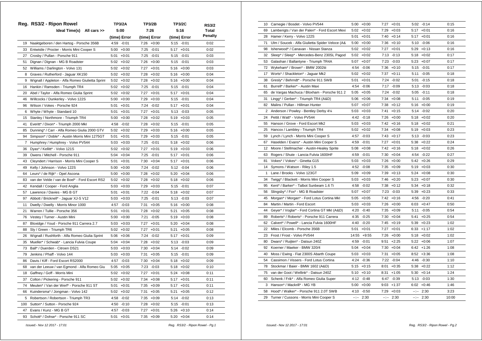| <b>Total</b><br>Ideal Time(s) All cars >><br>5:00<br>7:26<br>5:16<br><b>Penalty</b><br>(time) Error<br>(time) Error<br>(time) Error<br>Naaktgeboren / den Hartog - Porsche 356B<br>4:59<br>$-0:01$<br>7:26<br>$+0:00$<br>$5:15 - 0:01$<br>0:02<br>19<br>33<br>Entwistle / Procter - Morris Mini Cooper S<br>5:00<br>$+0:00$<br>7:25<br>$-0:01$<br>$5:17 + 0:01$<br>0:02<br>7:25 -0:01<br>27<br>Crosby / Pullan - Porsche 911<br>$+0:01$<br>0:03<br>5:01<br>$5:15 - 0:01$<br>51<br>Dignan / Dignan - MG B Roadster<br>5:02<br>$+0:02$<br>7:26<br>$+0:00$<br>$5:15 - 0:01$<br>0:03<br>7:27<br>52<br>Williams / Darlington - Volvo 131<br>5:02<br>$+0:02$<br>$+0:01$<br>$5:16 + 0:00$<br>0:03<br>7:28<br>8<br>Graves / Rutherford - Jaguar XK150<br>5:02<br>$+0:02$<br>$+0:02$<br>$5:16 + 0:00$<br>0:04<br>$7:28$ +0:02<br>9<br>Wignall / Appleton - Alfa Romeo Giulietta Sprint<br>5:02<br>$+0:02$<br>$5:16 + 0:00$<br>0:04<br>7:25<br>16<br>Hankin / Ramsden - Triumph TR4<br>5:02<br>$+0:02$<br>$-0:01$<br>5:15<br>$-0:01$<br>0:04<br>7:27<br>20<br>Abel / Taylor - Alfa Romeo Giulia Sprint<br>5:02<br>$+0:02$<br>$+0:01$<br>5:17<br>$+0:01$<br>0:04<br>Willcocks / Dunkerley - Volvo 122S<br>$+0:00$<br>7:29<br>$+0:03$<br>5:15<br>$-0:01$<br>0:04<br>46<br>5:00<br>96<br>Wilson / Vokes - Porsche 924<br>5:01<br>$+0:01$<br>7:24<br>$-0:02$<br>5:17<br>$+0:01$<br>0:04<br>7:27<br>Whyte / Whyte - Standard 10<br>5:01<br>$+0:01$<br>$+0:01$<br>$5:13 - 0:03$<br>0:05<br>6<br>7:28<br>15<br>Stanley / Northmore - Triumph TR4<br>5:00<br>$+0:00$<br>$+0:02$<br>$5:19 + 0:03$<br>0:05<br>41<br>Everitt* / Dixon* - Triumph 2000 Mkl<br>4:58<br>$-0:02$<br>7:28<br>$+0:02$<br>$5:15 - 0:01$<br>0:05<br>7:29<br>85<br>Dunning* / Carr - Alfa Romeo Giulia 2000 GTV<br>5:02<br>$+0:02$<br>$+0:03$<br>$5:16 + 0:00$<br>0:05<br>Simpson* / Doble* - Austin Morris Mini 1275GT<br>$7:29 +0:03$<br>94<br>5:01<br>$+0:01$<br>$5:15 - 0:01$<br>0:05<br>7<br>Humphrey / Humphrey - Volvo PV544<br>7:25<br>$-0:01$<br>$5:18 + 0:02$<br>0:06<br>$5:03 +0:03$<br>Dyas* / Kellitt* - Volvo 121S<br>7:27<br>36<br>5:02<br>$+0:02$<br>$+0:01$<br>5:19<br>$+0:03$<br>0:06<br>39<br>Owens / Mitchell - Porsche 911<br>$+0:04$<br>7:25<br>$-0:01$<br>5:04<br>5:17<br>$+0:01$<br>0:06<br>Cleyndert / Harrison - Morris Mini Cooper S<br>5:01<br>$+0:01$<br>7:30<br>$+0:04$<br>$+0:01$<br>0:06<br>43<br>5:17<br>7:24 -0:02<br>49<br>5:00<br>$+0:00$<br>5:12 -0:04<br>0:06<br>Kelly / Johnson - Volvo 122S<br>Leurs* / de Rijk* - Opel Ascona<br>7:28<br>5:20<br>64<br>5:00<br>$+0:00$<br>$+0:02$<br>$+0:04$<br>0:06<br>83<br>van der Velde / van de Boel* - Ford Escort RS2<br>5:02<br>$+0:02$<br>7:28<br>$+0:02$<br>$5:18 + 0:02$<br>0:06<br>Kendall / Cooper - Ford Anglia<br>$5:03 +0:03$<br>7:29<br>$+0:03$<br>$5:15 - 0:01$<br>0:07<br>42<br>Lawrence / Davies - MG B GT<br>5:01<br>$+0:01$<br>7:22<br>$-0:04$<br>$5:18 + 0:02$<br>57<br>0:07<br>7:25<br>97<br>Abbott / Bricknell* - Jaguar XJ-S V12<br>5:03<br>$+0:03$<br>$-0:01$<br>$5:13 - 0:03$<br>0:07<br>11<br>Dwelly / Dwelly - Morris Minor 1000<br>4:57<br>7:31<br>$-0:03$<br>$+0:05$<br>5:16<br>+0:00<br>0:08<br>21<br>Warren / Tullie - Porsche 356<br>5:01<br>$+0:01$<br>7:28<br>$+0:02$<br>5:21<br>$+0:05$<br>0:08<br>Vestey / Turner - Austin Mini<br>76<br>5:00<br>$+0:00$<br>7:21<br>$-0:05$<br>5:19<br>$+0:03$<br>0:08<br>$+0:03$<br>7:27<br>$+0:01$<br>87<br>Bloxidge / Youd - Porsche 911 Carrera 2.7<br>5:03<br>$5:20 +0:04$<br>0:08<br>7:27<br>88<br>Sly / Green - Triumph TR6<br>5:02<br>$+0:02$<br>$+0:01$<br>5:21<br>$+0:05$<br>0:08<br>26<br>Wignall / Rushforth - Alfa Romeo Giulia Sprint<br>5:06<br>$+0:06$<br>7:24<br>$-0:02$<br>5:17<br>$+0:01$<br>0:09<br>Mueller* / Schwab* - Lancia Fulvia Coupe<br>5:04<br>$+0:04$<br>7:28<br>$+0:02$<br>$5:13 - 0:03$<br>0:09<br>35<br>73<br>Ball* / Duerden - Citroen DS21<br>$+0:03$<br>$7:30 +0:04$<br>5:14 -0:02<br>5:03<br>0:09<br>79<br>Jenkins / Phaff - Volvo 144<br>$5:03 +0:03$<br>$7:31 + 0:05$<br>$5:15 - 0:01$<br>0:09<br>86<br>Davis / Kiff - Ford Escort RS2000<br>4:57<br>$-0:03$<br>7:30<br>$+0:04$<br>$5:18 + 0:02$<br>0:09<br>van der Leeuw / van Egmond - Alfa Romeo Giu<br>5:05<br>$+0:05$<br>7:23<br>$-0:03$<br>$5:18 + 0:02$<br>0:10<br>68<br>18<br>Gaffney / Goff - Morris Mini<br>5:02<br>$+0:02$<br>7:27<br>$+0:01$<br>5:24<br>$+0:08$<br>0:11<br>7:34<br>37<br>Colton / Pickering - Porsche 911<br>5:02<br>$+0:02$<br>$+0:08$<br>$5:17 + 0:01$<br>0:11<br>7:35<br>74<br>Meulen* / Van der Werf* - Porsche 911 ST<br>5:01<br>$+0:01$<br>$+0:09$<br>$5:17 + 0:01$<br>0:11<br>Kuindersma* / Jongman - Volvo 142<br>7:31<br>66<br>5:02<br>$+0:02$<br>$+0:05$<br>5:21<br>$+0:05$<br>0:12<br>5<br>Robertson / Robertson - Triumph TR3<br>4:58<br>$-0:02$<br>7:35<br>$+0:09$<br>5:14 -0:02<br>0:13<br>7:28<br>100<br>Sutton* / Sutton - Porsche 924<br>4:50<br>$-0:10$<br>$+0:02$<br>$5:15 - 0:01$<br>0:13<br>47<br>Evans / Kunz - MG B GT<br>4:57<br>$-0:03$<br>7:27<br>$5:26 + 0:10$<br>0:14<br>$+0:01$ |    | Reg. RS3/2 - Ripon Rowel          | <b>TP3/2A</b>   | <b>TP3/2B</b> | <b>TP3/2C</b> | <b>RS3/2</b> |
|-----------------------------------------------------------------------------------------------------------------------------------------------------------------------------------------------------------------------------------------------------------------------------------------------------------------------------------------------------------------------------------------------------------------------------------------------------------------------------------------------------------------------------------------------------------------------------------------------------------------------------------------------------------------------------------------------------------------------------------------------------------------------------------------------------------------------------------------------------------------------------------------------------------------------------------------------------------------------------------------------------------------------------------------------------------------------------------------------------------------------------------------------------------------------------------------------------------------------------------------------------------------------------------------------------------------------------------------------------------------------------------------------------------------------------------------------------------------------------------------------------------------------------------------------------------------------------------------------------------------------------------------------------------------------------------------------------------------------------------------------------------------------------------------------------------------------------------------------------------------------------------------------------------------------------------------------------------------------------------------------------------------------------------------------------------------------------------------------------------------------------------------------------------------------------------------------------------------------------------------------------------------------------------------------------------------------------------------------------------------------------------------------------------------------------------------------------------------------------------------------------------------------------------------------------------------------------------------------------------------------------------------------------------------------------------------------------------------------------------------------------------------------------------------------------------------------------------------------------------------------------------------------------------------------------------------------------------------------------------------------------------------------------------------------------------------------------------------------------------------------------------------------------------------------------------------------------------------------------------------------------------------------------------------------------------------------------------------------------------------------------------------------------------------------------------------------------------------------------------------------------------------------------------------------------------------------------------------------------------------------------------------------------------------------------------------------------------------------------------------------------------------------------------------------------------------------------------------------------------------------------------------------------------------------------------------------------------------------------------------------------------------------------------------------------------------------------------------------------------------------------------------------------------------------------------------------------------------------------------------------------------------------------------------------------------------------------------------------------------------------------------------------------------------------------------------------------------------------------------------------------------------------------------------------------------------------------------------------------------------------------------------------------------------------------------------------------------------------------------------------------------------------------------------------------------------------------------------------------------------------------------------------------------------------------------------------------------------------------------------------------------------------------------|----|-----------------------------------|-----------------|---------------|---------------|--------------|
|                                                                                                                                                                                                                                                                                                                                                                                                                                                                                                                                                                                                                                                                                                                                                                                                                                                                                                                                                                                                                                                                                                                                                                                                                                                                                                                                                                                                                                                                                                                                                                                                                                                                                                                                                                                                                                                                                                                                                                                                                                                                                                                                                                                                                                                                                                                                                                                                                                                                                                                                                                                                                                                                                                                                                                                                                                                                                                                                                                                                                                                                                                                                                                                                                                                                                                                                                                                                                                                                                                                                                                                                                                                                                                                                                                                                                                                                                                                                                                                                                                                                                                                                                                                                                                                                                                                                                                                                                                                                                                                                                                                                                                                                                                                                                                                                                                                                                                                                                                                                                                   |    |                                   |                 |               |               |              |
|                                                                                                                                                                                                                                                                                                                                                                                                                                                                                                                                                                                                                                                                                                                                                                                                                                                                                                                                                                                                                                                                                                                                                                                                                                                                                                                                                                                                                                                                                                                                                                                                                                                                                                                                                                                                                                                                                                                                                                                                                                                                                                                                                                                                                                                                                                                                                                                                                                                                                                                                                                                                                                                                                                                                                                                                                                                                                                                                                                                                                                                                                                                                                                                                                                                                                                                                                                                                                                                                                                                                                                                                                                                                                                                                                                                                                                                                                                                                                                                                                                                                                                                                                                                                                                                                                                                                                                                                                                                                                                                                                                                                                                                                                                                                                                                                                                                                                                                                                                                                                                   |    |                                   |                 |               |               |              |
|                                                                                                                                                                                                                                                                                                                                                                                                                                                                                                                                                                                                                                                                                                                                                                                                                                                                                                                                                                                                                                                                                                                                                                                                                                                                                                                                                                                                                                                                                                                                                                                                                                                                                                                                                                                                                                                                                                                                                                                                                                                                                                                                                                                                                                                                                                                                                                                                                                                                                                                                                                                                                                                                                                                                                                                                                                                                                                                                                                                                                                                                                                                                                                                                                                                                                                                                                                                                                                                                                                                                                                                                                                                                                                                                                                                                                                                                                                                                                                                                                                                                                                                                                                                                                                                                                                                                                                                                                                                                                                                                                                                                                                                                                                                                                                                                                                                                                                                                                                                                                                   |    |                                   |                 |               |               |              |
|                                                                                                                                                                                                                                                                                                                                                                                                                                                                                                                                                                                                                                                                                                                                                                                                                                                                                                                                                                                                                                                                                                                                                                                                                                                                                                                                                                                                                                                                                                                                                                                                                                                                                                                                                                                                                                                                                                                                                                                                                                                                                                                                                                                                                                                                                                                                                                                                                                                                                                                                                                                                                                                                                                                                                                                                                                                                                                                                                                                                                                                                                                                                                                                                                                                                                                                                                                                                                                                                                                                                                                                                                                                                                                                                                                                                                                                                                                                                                                                                                                                                                                                                                                                                                                                                                                                                                                                                                                                                                                                                                                                                                                                                                                                                                                                                                                                                                                                                                                                                                                   |    |                                   |                 |               |               |              |
|                                                                                                                                                                                                                                                                                                                                                                                                                                                                                                                                                                                                                                                                                                                                                                                                                                                                                                                                                                                                                                                                                                                                                                                                                                                                                                                                                                                                                                                                                                                                                                                                                                                                                                                                                                                                                                                                                                                                                                                                                                                                                                                                                                                                                                                                                                                                                                                                                                                                                                                                                                                                                                                                                                                                                                                                                                                                                                                                                                                                                                                                                                                                                                                                                                                                                                                                                                                                                                                                                                                                                                                                                                                                                                                                                                                                                                                                                                                                                                                                                                                                                                                                                                                                                                                                                                                                                                                                                                                                                                                                                                                                                                                                                                                                                                                                                                                                                                                                                                                                                                   |    |                                   |                 |               |               |              |
|                                                                                                                                                                                                                                                                                                                                                                                                                                                                                                                                                                                                                                                                                                                                                                                                                                                                                                                                                                                                                                                                                                                                                                                                                                                                                                                                                                                                                                                                                                                                                                                                                                                                                                                                                                                                                                                                                                                                                                                                                                                                                                                                                                                                                                                                                                                                                                                                                                                                                                                                                                                                                                                                                                                                                                                                                                                                                                                                                                                                                                                                                                                                                                                                                                                                                                                                                                                                                                                                                                                                                                                                                                                                                                                                                                                                                                                                                                                                                                                                                                                                                                                                                                                                                                                                                                                                                                                                                                                                                                                                                                                                                                                                                                                                                                                                                                                                                                                                                                                                                                   |    |                                   |                 |               |               |              |
|                                                                                                                                                                                                                                                                                                                                                                                                                                                                                                                                                                                                                                                                                                                                                                                                                                                                                                                                                                                                                                                                                                                                                                                                                                                                                                                                                                                                                                                                                                                                                                                                                                                                                                                                                                                                                                                                                                                                                                                                                                                                                                                                                                                                                                                                                                                                                                                                                                                                                                                                                                                                                                                                                                                                                                                                                                                                                                                                                                                                                                                                                                                                                                                                                                                                                                                                                                                                                                                                                                                                                                                                                                                                                                                                                                                                                                                                                                                                                                                                                                                                                                                                                                                                                                                                                                                                                                                                                                                                                                                                                                                                                                                                                                                                                                                                                                                                                                                                                                                                                                   |    |                                   |                 |               |               |              |
|                                                                                                                                                                                                                                                                                                                                                                                                                                                                                                                                                                                                                                                                                                                                                                                                                                                                                                                                                                                                                                                                                                                                                                                                                                                                                                                                                                                                                                                                                                                                                                                                                                                                                                                                                                                                                                                                                                                                                                                                                                                                                                                                                                                                                                                                                                                                                                                                                                                                                                                                                                                                                                                                                                                                                                                                                                                                                                                                                                                                                                                                                                                                                                                                                                                                                                                                                                                                                                                                                                                                                                                                                                                                                                                                                                                                                                                                                                                                                                                                                                                                                                                                                                                                                                                                                                                                                                                                                                                                                                                                                                                                                                                                                                                                                                                                                                                                                                                                                                                                                                   |    |                                   |                 |               |               |              |
|                                                                                                                                                                                                                                                                                                                                                                                                                                                                                                                                                                                                                                                                                                                                                                                                                                                                                                                                                                                                                                                                                                                                                                                                                                                                                                                                                                                                                                                                                                                                                                                                                                                                                                                                                                                                                                                                                                                                                                                                                                                                                                                                                                                                                                                                                                                                                                                                                                                                                                                                                                                                                                                                                                                                                                                                                                                                                                                                                                                                                                                                                                                                                                                                                                                                                                                                                                                                                                                                                                                                                                                                                                                                                                                                                                                                                                                                                                                                                                                                                                                                                                                                                                                                                                                                                                                                                                                                                                                                                                                                                                                                                                                                                                                                                                                                                                                                                                                                                                                                                                   |    |                                   |                 |               |               |              |
|                                                                                                                                                                                                                                                                                                                                                                                                                                                                                                                                                                                                                                                                                                                                                                                                                                                                                                                                                                                                                                                                                                                                                                                                                                                                                                                                                                                                                                                                                                                                                                                                                                                                                                                                                                                                                                                                                                                                                                                                                                                                                                                                                                                                                                                                                                                                                                                                                                                                                                                                                                                                                                                                                                                                                                                                                                                                                                                                                                                                                                                                                                                                                                                                                                                                                                                                                                                                                                                                                                                                                                                                                                                                                                                                                                                                                                                                                                                                                                                                                                                                                                                                                                                                                                                                                                                                                                                                                                                                                                                                                                                                                                                                                                                                                                                                                                                                                                                                                                                                                                   |    |                                   |                 |               |               |              |
|                                                                                                                                                                                                                                                                                                                                                                                                                                                                                                                                                                                                                                                                                                                                                                                                                                                                                                                                                                                                                                                                                                                                                                                                                                                                                                                                                                                                                                                                                                                                                                                                                                                                                                                                                                                                                                                                                                                                                                                                                                                                                                                                                                                                                                                                                                                                                                                                                                                                                                                                                                                                                                                                                                                                                                                                                                                                                                                                                                                                                                                                                                                                                                                                                                                                                                                                                                                                                                                                                                                                                                                                                                                                                                                                                                                                                                                                                                                                                                                                                                                                                                                                                                                                                                                                                                                                                                                                                                                                                                                                                                                                                                                                                                                                                                                                                                                                                                                                                                                                                                   |    |                                   |                 |               |               |              |
|                                                                                                                                                                                                                                                                                                                                                                                                                                                                                                                                                                                                                                                                                                                                                                                                                                                                                                                                                                                                                                                                                                                                                                                                                                                                                                                                                                                                                                                                                                                                                                                                                                                                                                                                                                                                                                                                                                                                                                                                                                                                                                                                                                                                                                                                                                                                                                                                                                                                                                                                                                                                                                                                                                                                                                                                                                                                                                                                                                                                                                                                                                                                                                                                                                                                                                                                                                                                                                                                                                                                                                                                                                                                                                                                                                                                                                                                                                                                                                                                                                                                                                                                                                                                                                                                                                                                                                                                                                                                                                                                                                                                                                                                                                                                                                                                                                                                                                                                                                                                                                   |    |                                   |                 |               |               |              |
|                                                                                                                                                                                                                                                                                                                                                                                                                                                                                                                                                                                                                                                                                                                                                                                                                                                                                                                                                                                                                                                                                                                                                                                                                                                                                                                                                                                                                                                                                                                                                                                                                                                                                                                                                                                                                                                                                                                                                                                                                                                                                                                                                                                                                                                                                                                                                                                                                                                                                                                                                                                                                                                                                                                                                                                                                                                                                                                                                                                                                                                                                                                                                                                                                                                                                                                                                                                                                                                                                                                                                                                                                                                                                                                                                                                                                                                                                                                                                                                                                                                                                                                                                                                                                                                                                                                                                                                                                                                                                                                                                                                                                                                                                                                                                                                                                                                                                                                                                                                                                                   |    |                                   |                 |               |               |              |
|                                                                                                                                                                                                                                                                                                                                                                                                                                                                                                                                                                                                                                                                                                                                                                                                                                                                                                                                                                                                                                                                                                                                                                                                                                                                                                                                                                                                                                                                                                                                                                                                                                                                                                                                                                                                                                                                                                                                                                                                                                                                                                                                                                                                                                                                                                                                                                                                                                                                                                                                                                                                                                                                                                                                                                                                                                                                                                                                                                                                                                                                                                                                                                                                                                                                                                                                                                                                                                                                                                                                                                                                                                                                                                                                                                                                                                                                                                                                                                                                                                                                                                                                                                                                                                                                                                                                                                                                                                                                                                                                                                                                                                                                                                                                                                                                                                                                                                                                                                                                                                   |    |                                   |                 |               |               |              |
|                                                                                                                                                                                                                                                                                                                                                                                                                                                                                                                                                                                                                                                                                                                                                                                                                                                                                                                                                                                                                                                                                                                                                                                                                                                                                                                                                                                                                                                                                                                                                                                                                                                                                                                                                                                                                                                                                                                                                                                                                                                                                                                                                                                                                                                                                                                                                                                                                                                                                                                                                                                                                                                                                                                                                                                                                                                                                                                                                                                                                                                                                                                                                                                                                                                                                                                                                                                                                                                                                                                                                                                                                                                                                                                                                                                                                                                                                                                                                                                                                                                                                                                                                                                                                                                                                                                                                                                                                                                                                                                                                                                                                                                                                                                                                                                                                                                                                                                                                                                                                                   |    |                                   |                 |               |               |              |
|                                                                                                                                                                                                                                                                                                                                                                                                                                                                                                                                                                                                                                                                                                                                                                                                                                                                                                                                                                                                                                                                                                                                                                                                                                                                                                                                                                                                                                                                                                                                                                                                                                                                                                                                                                                                                                                                                                                                                                                                                                                                                                                                                                                                                                                                                                                                                                                                                                                                                                                                                                                                                                                                                                                                                                                                                                                                                                                                                                                                                                                                                                                                                                                                                                                                                                                                                                                                                                                                                                                                                                                                                                                                                                                                                                                                                                                                                                                                                                                                                                                                                                                                                                                                                                                                                                                                                                                                                                                                                                                                                                                                                                                                                                                                                                                                                                                                                                                                                                                                                                   |    |                                   |                 |               |               |              |
|                                                                                                                                                                                                                                                                                                                                                                                                                                                                                                                                                                                                                                                                                                                                                                                                                                                                                                                                                                                                                                                                                                                                                                                                                                                                                                                                                                                                                                                                                                                                                                                                                                                                                                                                                                                                                                                                                                                                                                                                                                                                                                                                                                                                                                                                                                                                                                                                                                                                                                                                                                                                                                                                                                                                                                                                                                                                                                                                                                                                                                                                                                                                                                                                                                                                                                                                                                                                                                                                                                                                                                                                                                                                                                                                                                                                                                                                                                                                                                                                                                                                                                                                                                                                                                                                                                                                                                                                                                                                                                                                                                                                                                                                                                                                                                                                                                                                                                                                                                                                                                   |    |                                   |                 |               |               |              |
|                                                                                                                                                                                                                                                                                                                                                                                                                                                                                                                                                                                                                                                                                                                                                                                                                                                                                                                                                                                                                                                                                                                                                                                                                                                                                                                                                                                                                                                                                                                                                                                                                                                                                                                                                                                                                                                                                                                                                                                                                                                                                                                                                                                                                                                                                                                                                                                                                                                                                                                                                                                                                                                                                                                                                                                                                                                                                                                                                                                                                                                                                                                                                                                                                                                                                                                                                                                                                                                                                                                                                                                                                                                                                                                                                                                                                                                                                                                                                                                                                                                                                                                                                                                                                                                                                                                                                                                                                                                                                                                                                                                                                                                                                                                                                                                                                                                                                                                                                                                                                                   |    |                                   |                 |               |               |              |
|                                                                                                                                                                                                                                                                                                                                                                                                                                                                                                                                                                                                                                                                                                                                                                                                                                                                                                                                                                                                                                                                                                                                                                                                                                                                                                                                                                                                                                                                                                                                                                                                                                                                                                                                                                                                                                                                                                                                                                                                                                                                                                                                                                                                                                                                                                                                                                                                                                                                                                                                                                                                                                                                                                                                                                                                                                                                                                                                                                                                                                                                                                                                                                                                                                                                                                                                                                                                                                                                                                                                                                                                                                                                                                                                                                                                                                                                                                                                                                                                                                                                                                                                                                                                                                                                                                                                                                                                                                                                                                                                                                                                                                                                                                                                                                                                                                                                                                                                                                                                                                   |    |                                   |                 |               |               |              |
|                                                                                                                                                                                                                                                                                                                                                                                                                                                                                                                                                                                                                                                                                                                                                                                                                                                                                                                                                                                                                                                                                                                                                                                                                                                                                                                                                                                                                                                                                                                                                                                                                                                                                                                                                                                                                                                                                                                                                                                                                                                                                                                                                                                                                                                                                                                                                                                                                                                                                                                                                                                                                                                                                                                                                                                                                                                                                                                                                                                                                                                                                                                                                                                                                                                                                                                                                                                                                                                                                                                                                                                                                                                                                                                                                                                                                                                                                                                                                                                                                                                                                                                                                                                                                                                                                                                                                                                                                                                                                                                                                                                                                                                                                                                                                                                                                                                                                                                                                                                                                                   |    |                                   |                 |               |               |              |
|                                                                                                                                                                                                                                                                                                                                                                                                                                                                                                                                                                                                                                                                                                                                                                                                                                                                                                                                                                                                                                                                                                                                                                                                                                                                                                                                                                                                                                                                                                                                                                                                                                                                                                                                                                                                                                                                                                                                                                                                                                                                                                                                                                                                                                                                                                                                                                                                                                                                                                                                                                                                                                                                                                                                                                                                                                                                                                                                                                                                                                                                                                                                                                                                                                                                                                                                                                                                                                                                                                                                                                                                                                                                                                                                                                                                                                                                                                                                                                                                                                                                                                                                                                                                                                                                                                                                                                                                                                                                                                                                                                                                                                                                                                                                                                                                                                                                                                                                                                                                                                   |    |                                   |                 |               |               |              |
|                                                                                                                                                                                                                                                                                                                                                                                                                                                                                                                                                                                                                                                                                                                                                                                                                                                                                                                                                                                                                                                                                                                                                                                                                                                                                                                                                                                                                                                                                                                                                                                                                                                                                                                                                                                                                                                                                                                                                                                                                                                                                                                                                                                                                                                                                                                                                                                                                                                                                                                                                                                                                                                                                                                                                                                                                                                                                                                                                                                                                                                                                                                                                                                                                                                                                                                                                                                                                                                                                                                                                                                                                                                                                                                                                                                                                                                                                                                                                                                                                                                                                                                                                                                                                                                                                                                                                                                                                                                                                                                                                                                                                                                                                                                                                                                                                                                                                                                                                                                                                                   |    |                                   |                 |               |               |              |
|                                                                                                                                                                                                                                                                                                                                                                                                                                                                                                                                                                                                                                                                                                                                                                                                                                                                                                                                                                                                                                                                                                                                                                                                                                                                                                                                                                                                                                                                                                                                                                                                                                                                                                                                                                                                                                                                                                                                                                                                                                                                                                                                                                                                                                                                                                                                                                                                                                                                                                                                                                                                                                                                                                                                                                                                                                                                                                                                                                                                                                                                                                                                                                                                                                                                                                                                                                                                                                                                                                                                                                                                                                                                                                                                                                                                                                                                                                                                                                                                                                                                                                                                                                                                                                                                                                                                                                                                                                                                                                                                                                                                                                                                                                                                                                                                                                                                                                                                                                                                                                   |    |                                   |                 |               |               |              |
|                                                                                                                                                                                                                                                                                                                                                                                                                                                                                                                                                                                                                                                                                                                                                                                                                                                                                                                                                                                                                                                                                                                                                                                                                                                                                                                                                                                                                                                                                                                                                                                                                                                                                                                                                                                                                                                                                                                                                                                                                                                                                                                                                                                                                                                                                                                                                                                                                                                                                                                                                                                                                                                                                                                                                                                                                                                                                                                                                                                                                                                                                                                                                                                                                                                                                                                                                                                                                                                                                                                                                                                                                                                                                                                                                                                                                                                                                                                                                                                                                                                                                                                                                                                                                                                                                                                                                                                                                                                                                                                                                                                                                                                                                                                                                                                                                                                                                                                                                                                                                                   |    |                                   |                 |               |               |              |
|                                                                                                                                                                                                                                                                                                                                                                                                                                                                                                                                                                                                                                                                                                                                                                                                                                                                                                                                                                                                                                                                                                                                                                                                                                                                                                                                                                                                                                                                                                                                                                                                                                                                                                                                                                                                                                                                                                                                                                                                                                                                                                                                                                                                                                                                                                                                                                                                                                                                                                                                                                                                                                                                                                                                                                                                                                                                                                                                                                                                                                                                                                                                                                                                                                                                                                                                                                                                                                                                                                                                                                                                                                                                                                                                                                                                                                                                                                                                                                                                                                                                                                                                                                                                                                                                                                                                                                                                                                                                                                                                                                                                                                                                                                                                                                                                                                                                                                                                                                                                                                   |    |                                   |                 |               |               |              |
|                                                                                                                                                                                                                                                                                                                                                                                                                                                                                                                                                                                                                                                                                                                                                                                                                                                                                                                                                                                                                                                                                                                                                                                                                                                                                                                                                                                                                                                                                                                                                                                                                                                                                                                                                                                                                                                                                                                                                                                                                                                                                                                                                                                                                                                                                                                                                                                                                                                                                                                                                                                                                                                                                                                                                                                                                                                                                                                                                                                                                                                                                                                                                                                                                                                                                                                                                                                                                                                                                                                                                                                                                                                                                                                                                                                                                                                                                                                                                                                                                                                                                                                                                                                                                                                                                                                                                                                                                                                                                                                                                                                                                                                                                                                                                                                                                                                                                                                                                                                                                                   |    |                                   |                 |               |               |              |
|                                                                                                                                                                                                                                                                                                                                                                                                                                                                                                                                                                                                                                                                                                                                                                                                                                                                                                                                                                                                                                                                                                                                                                                                                                                                                                                                                                                                                                                                                                                                                                                                                                                                                                                                                                                                                                                                                                                                                                                                                                                                                                                                                                                                                                                                                                                                                                                                                                                                                                                                                                                                                                                                                                                                                                                                                                                                                                                                                                                                                                                                                                                                                                                                                                                                                                                                                                                                                                                                                                                                                                                                                                                                                                                                                                                                                                                                                                                                                                                                                                                                                                                                                                                                                                                                                                                                                                                                                                                                                                                                                                                                                                                                                                                                                                                                                                                                                                                                                                                                                                   |    |                                   |                 |               |               |              |
|                                                                                                                                                                                                                                                                                                                                                                                                                                                                                                                                                                                                                                                                                                                                                                                                                                                                                                                                                                                                                                                                                                                                                                                                                                                                                                                                                                                                                                                                                                                                                                                                                                                                                                                                                                                                                                                                                                                                                                                                                                                                                                                                                                                                                                                                                                                                                                                                                                                                                                                                                                                                                                                                                                                                                                                                                                                                                                                                                                                                                                                                                                                                                                                                                                                                                                                                                                                                                                                                                                                                                                                                                                                                                                                                                                                                                                                                                                                                                                                                                                                                                                                                                                                                                                                                                                                                                                                                                                                                                                                                                                                                                                                                                                                                                                                                                                                                                                                                                                                                                                   |    |                                   |                 |               |               |              |
|                                                                                                                                                                                                                                                                                                                                                                                                                                                                                                                                                                                                                                                                                                                                                                                                                                                                                                                                                                                                                                                                                                                                                                                                                                                                                                                                                                                                                                                                                                                                                                                                                                                                                                                                                                                                                                                                                                                                                                                                                                                                                                                                                                                                                                                                                                                                                                                                                                                                                                                                                                                                                                                                                                                                                                                                                                                                                                                                                                                                                                                                                                                                                                                                                                                                                                                                                                                                                                                                                                                                                                                                                                                                                                                                                                                                                                                                                                                                                                                                                                                                                                                                                                                                                                                                                                                                                                                                                                                                                                                                                                                                                                                                                                                                                                                                                                                                                                                                                                                                                                   |    |                                   |                 |               |               |              |
|                                                                                                                                                                                                                                                                                                                                                                                                                                                                                                                                                                                                                                                                                                                                                                                                                                                                                                                                                                                                                                                                                                                                                                                                                                                                                                                                                                                                                                                                                                                                                                                                                                                                                                                                                                                                                                                                                                                                                                                                                                                                                                                                                                                                                                                                                                                                                                                                                                                                                                                                                                                                                                                                                                                                                                                                                                                                                                                                                                                                                                                                                                                                                                                                                                                                                                                                                                                                                                                                                                                                                                                                                                                                                                                                                                                                                                                                                                                                                                                                                                                                                                                                                                                                                                                                                                                                                                                                                                                                                                                                                                                                                                                                                                                                                                                                                                                                                                                                                                                                                                   |    |                                   |                 |               |               |              |
|                                                                                                                                                                                                                                                                                                                                                                                                                                                                                                                                                                                                                                                                                                                                                                                                                                                                                                                                                                                                                                                                                                                                                                                                                                                                                                                                                                                                                                                                                                                                                                                                                                                                                                                                                                                                                                                                                                                                                                                                                                                                                                                                                                                                                                                                                                                                                                                                                                                                                                                                                                                                                                                                                                                                                                                                                                                                                                                                                                                                                                                                                                                                                                                                                                                                                                                                                                                                                                                                                                                                                                                                                                                                                                                                                                                                                                                                                                                                                                                                                                                                                                                                                                                                                                                                                                                                                                                                                                                                                                                                                                                                                                                                                                                                                                                                                                                                                                                                                                                                                                   |    |                                   |                 |               |               |              |
|                                                                                                                                                                                                                                                                                                                                                                                                                                                                                                                                                                                                                                                                                                                                                                                                                                                                                                                                                                                                                                                                                                                                                                                                                                                                                                                                                                                                                                                                                                                                                                                                                                                                                                                                                                                                                                                                                                                                                                                                                                                                                                                                                                                                                                                                                                                                                                                                                                                                                                                                                                                                                                                                                                                                                                                                                                                                                                                                                                                                                                                                                                                                                                                                                                                                                                                                                                                                                                                                                                                                                                                                                                                                                                                                                                                                                                                                                                                                                                                                                                                                                                                                                                                                                                                                                                                                                                                                                                                                                                                                                                                                                                                                                                                                                                                                                                                                                                                                                                                                                                   |    |                                   |                 |               |               |              |
|                                                                                                                                                                                                                                                                                                                                                                                                                                                                                                                                                                                                                                                                                                                                                                                                                                                                                                                                                                                                                                                                                                                                                                                                                                                                                                                                                                                                                                                                                                                                                                                                                                                                                                                                                                                                                                                                                                                                                                                                                                                                                                                                                                                                                                                                                                                                                                                                                                                                                                                                                                                                                                                                                                                                                                                                                                                                                                                                                                                                                                                                                                                                                                                                                                                                                                                                                                                                                                                                                                                                                                                                                                                                                                                                                                                                                                                                                                                                                                                                                                                                                                                                                                                                                                                                                                                                                                                                                                                                                                                                                                                                                                                                                                                                                                                                                                                                                                                                                                                                                                   |    |                                   |                 |               |               |              |
|                                                                                                                                                                                                                                                                                                                                                                                                                                                                                                                                                                                                                                                                                                                                                                                                                                                                                                                                                                                                                                                                                                                                                                                                                                                                                                                                                                                                                                                                                                                                                                                                                                                                                                                                                                                                                                                                                                                                                                                                                                                                                                                                                                                                                                                                                                                                                                                                                                                                                                                                                                                                                                                                                                                                                                                                                                                                                                                                                                                                                                                                                                                                                                                                                                                                                                                                                                                                                                                                                                                                                                                                                                                                                                                                                                                                                                                                                                                                                                                                                                                                                                                                                                                                                                                                                                                                                                                                                                                                                                                                                                                                                                                                                                                                                                                                                                                                                                                                                                                                                                   |    |                                   |                 |               |               |              |
|                                                                                                                                                                                                                                                                                                                                                                                                                                                                                                                                                                                                                                                                                                                                                                                                                                                                                                                                                                                                                                                                                                                                                                                                                                                                                                                                                                                                                                                                                                                                                                                                                                                                                                                                                                                                                                                                                                                                                                                                                                                                                                                                                                                                                                                                                                                                                                                                                                                                                                                                                                                                                                                                                                                                                                                                                                                                                                                                                                                                                                                                                                                                                                                                                                                                                                                                                                                                                                                                                                                                                                                                                                                                                                                                                                                                                                                                                                                                                                                                                                                                                                                                                                                                                                                                                                                                                                                                                                                                                                                                                                                                                                                                                                                                                                                                                                                                                                                                                                                                                                   |    |                                   |                 |               |               |              |
|                                                                                                                                                                                                                                                                                                                                                                                                                                                                                                                                                                                                                                                                                                                                                                                                                                                                                                                                                                                                                                                                                                                                                                                                                                                                                                                                                                                                                                                                                                                                                                                                                                                                                                                                                                                                                                                                                                                                                                                                                                                                                                                                                                                                                                                                                                                                                                                                                                                                                                                                                                                                                                                                                                                                                                                                                                                                                                                                                                                                                                                                                                                                                                                                                                                                                                                                                                                                                                                                                                                                                                                                                                                                                                                                                                                                                                                                                                                                                                                                                                                                                                                                                                                                                                                                                                                                                                                                                                                                                                                                                                                                                                                                                                                                                                                                                                                                                                                                                                                                                                   |    |                                   |                 |               |               |              |
|                                                                                                                                                                                                                                                                                                                                                                                                                                                                                                                                                                                                                                                                                                                                                                                                                                                                                                                                                                                                                                                                                                                                                                                                                                                                                                                                                                                                                                                                                                                                                                                                                                                                                                                                                                                                                                                                                                                                                                                                                                                                                                                                                                                                                                                                                                                                                                                                                                                                                                                                                                                                                                                                                                                                                                                                                                                                                                                                                                                                                                                                                                                                                                                                                                                                                                                                                                                                                                                                                                                                                                                                                                                                                                                                                                                                                                                                                                                                                                                                                                                                                                                                                                                                                                                                                                                                                                                                                                                                                                                                                                                                                                                                                                                                                                                                                                                                                                                                                                                                                                   |    |                                   |                 |               |               |              |
|                                                                                                                                                                                                                                                                                                                                                                                                                                                                                                                                                                                                                                                                                                                                                                                                                                                                                                                                                                                                                                                                                                                                                                                                                                                                                                                                                                                                                                                                                                                                                                                                                                                                                                                                                                                                                                                                                                                                                                                                                                                                                                                                                                                                                                                                                                                                                                                                                                                                                                                                                                                                                                                                                                                                                                                                                                                                                                                                                                                                                                                                                                                                                                                                                                                                                                                                                                                                                                                                                                                                                                                                                                                                                                                                                                                                                                                                                                                                                                                                                                                                                                                                                                                                                                                                                                                                                                                                                                                                                                                                                                                                                                                                                                                                                                                                                                                                                                                                                                                                                                   |    |                                   |                 |               |               |              |
|                                                                                                                                                                                                                                                                                                                                                                                                                                                                                                                                                                                                                                                                                                                                                                                                                                                                                                                                                                                                                                                                                                                                                                                                                                                                                                                                                                                                                                                                                                                                                                                                                                                                                                                                                                                                                                                                                                                                                                                                                                                                                                                                                                                                                                                                                                                                                                                                                                                                                                                                                                                                                                                                                                                                                                                                                                                                                                                                                                                                                                                                                                                                                                                                                                                                                                                                                                                                                                                                                                                                                                                                                                                                                                                                                                                                                                                                                                                                                                                                                                                                                                                                                                                                                                                                                                                                                                                                                                                                                                                                                                                                                                                                                                                                                                                                                                                                                                                                                                                                                                   |    |                                   |                 |               |               |              |
|                                                                                                                                                                                                                                                                                                                                                                                                                                                                                                                                                                                                                                                                                                                                                                                                                                                                                                                                                                                                                                                                                                                                                                                                                                                                                                                                                                                                                                                                                                                                                                                                                                                                                                                                                                                                                                                                                                                                                                                                                                                                                                                                                                                                                                                                                                                                                                                                                                                                                                                                                                                                                                                                                                                                                                                                                                                                                                                                                                                                                                                                                                                                                                                                                                                                                                                                                                                                                                                                                                                                                                                                                                                                                                                                                                                                                                                                                                                                                                                                                                                                                                                                                                                                                                                                                                                                                                                                                                                                                                                                                                                                                                                                                                                                                                                                                                                                                                                                                                                                                                   |    |                                   |                 |               |               |              |
|                                                                                                                                                                                                                                                                                                                                                                                                                                                                                                                                                                                                                                                                                                                                                                                                                                                                                                                                                                                                                                                                                                                                                                                                                                                                                                                                                                                                                                                                                                                                                                                                                                                                                                                                                                                                                                                                                                                                                                                                                                                                                                                                                                                                                                                                                                                                                                                                                                                                                                                                                                                                                                                                                                                                                                                                                                                                                                                                                                                                                                                                                                                                                                                                                                                                                                                                                                                                                                                                                                                                                                                                                                                                                                                                                                                                                                                                                                                                                                                                                                                                                                                                                                                                                                                                                                                                                                                                                                                                                                                                                                                                                                                                                                                                                                                                                                                                                                                                                                                                                                   |    |                                   |                 |               |               |              |
|                                                                                                                                                                                                                                                                                                                                                                                                                                                                                                                                                                                                                                                                                                                                                                                                                                                                                                                                                                                                                                                                                                                                                                                                                                                                                                                                                                                                                                                                                                                                                                                                                                                                                                                                                                                                                                                                                                                                                                                                                                                                                                                                                                                                                                                                                                                                                                                                                                                                                                                                                                                                                                                                                                                                                                                                                                                                                                                                                                                                                                                                                                                                                                                                                                                                                                                                                                                                                                                                                                                                                                                                                                                                                                                                                                                                                                                                                                                                                                                                                                                                                                                                                                                                                                                                                                                                                                                                                                                                                                                                                                                                                                                                                                                                                                                                                                                                                                                                                                                                                                   |    |                                   |                 |               |               |              |
|                                                                                                                                                                                                                                                                                                                                                                                                                                                                                                                                                                                                                                                                                                                                                                                                                                                                                                                                                                                                                                                                                                                                                                                                                                                                                                                                                                                                                                                                                                                                                                                                                                                                                                                                                                                                                                                                                                                                                                                                                                                                                                                                                                                                                                                                                                                                                                                                                                                                                                                                                                                                                                                                                                                                                                                                                                                                                                                                                                                                                                                                                                                                                                                                                                                                                                                                                                                                                                                                                                                                                                                                                                                                                                                                                                                                                                                                                                                                                                                                                                                                                                                                                                                                                                                                                                                                                                                                                                                                                                                                                                                                                                                                                                                                                                                                                                                                                                                                                                                                                                   |    |                                   |                 |               |               |              |
|                                                                                                                                                                                                                                                                                                                                                                                                                                                                                                                                                                                                                                                                                                                                                                                                                                                                                                                                                                                                                                                                                                                                                                                                                                                                                                                                                                                                                                                                                                                                                                                                                                                                                                                                                                                                                                                                                                                                                                                                                                                                                                                                                                                                                                                                                                                                                                                                                                                                                                                                                                                                                                                                                                                                                                                                                                                                                                                                                                                                                                                                                                                                                                                                                                                                                                                                                                                                                                                                                                                                                                                                                                                                                                                                                                                                                                                                                                                                                                                                                                                                                                                                                                                                                                                                                                                                                                                                                                                                                                                                                                                                                                                                                                                                                                                                                                                                                                                                                                                                                                   |    |                                   |                 |               |               |              |
|                                                                                                                                                                                                                                                                                                                                                                                                                                                                                                                                                                                                                                                                                                                                                                                                                                                                                                                                                                                                                                                                                                                                                                                                                                                                                                                                                                                                                                                                                                                                                                                                                                                                                                                                                                                                                                                                                                                                                                                                                                                                                                                                                                                                                                                                                                                                                                                                                                                                                                                                                                                                                                                                                                                                                                                                                                                                                                                                                                                                                                                                                                                                                                                                                                                                                                                                                                                                                                                                                                                                                                                                                                                                                                                                                                                                                                                                                                                                                                                                                                                                                                                                                                                                                                                                                                                                                                                                                                                                                                                                                                                                                                                                                                                                                                                                                                                                                                                                                                                                                                   |    |                                   |                 |               |               |              |
|                                                                                                                                                                                                                                                                                                                                                                                                                                                                                                                                                                                                                                                                                                                                                                                                                                                                                                                                                                                                                                                                                                                                                                                                                                                                                                                                                                                                                                                                                                                                                                                                                                                                                                                                                                                                                                                                                                                                                                                                                                                                                                                                                                                                                                                                                                                                                                                                                                                                                                                                                                                                                                                                                                                                                                                                                                                                                                                                                                                                                                                                                                                                                                                                                                                                                                                                                                                                                                                                                                                                                                                                                                                                                                                                                                                                                                                                                                                                                                                                                                                                                                                                                                                                                                                                                                                                                                                                                                                                                                                                                                                                                                                                                                                                                                                                                                                                                                                                                                                                                                   |    |                                   |                 |               |               |              |
|                                                                                                                                                                                                                                                                                                                                                                                                                                                                                                                                                                                                                                                                                                                                                                                                                                                                                                                                                                                                                                                                                                                                                                                                                                                                                                                                                                                                                                                                                                                                                                                                                                                                                                                                                                                                                                                                                                                                                                                                                                                                                                                                                                                                                                                                                                                                                                                                                                                                                                                                                                                                                                                                                                                                                                                                                                                                                                                                                                                                                                                                                                                                                                                                                                                                                                                                                                                                                                                                                                                                                                                                                                                                                                                                                                                                                                                                                                                                                                                                                                                                                                                                                                                                                                                                                                                                                                                                                                                                                                                                                                                                                                                                                                                                                                                                                                                                                                                                                                                                                                   | 93 | Schott* / Dohse* - Porsche 911 SC | 5:01<br>$+0:01$ | 7:35 +0:09    | $5:20 + 0:04$ | 0:14         |

| 10 | Carnegie / Bosdet - Volvo PV544                 |              | $5:00 + 0:00$ |      | $7:27 +0:01$  |          | $5:02 -0:14$  | 0:15  |
|----|-------------------------------------------------|--------------|---------------|------|---------------|----------|---------------|-------|
| 69 | Lamberigts / Van der Palen* - Ford Escort Mexi  | 5:02         | $+0:02$       | 7:29 | $+0:03$       |          | $5:17 + 0:01$ | 0:16  |
| 28 | Hamer / Kerry - Volvo 122S                      |              | $5:01 + 0:01$ |      | $7:40 +0:14$  |          | $5:17 + 0:01$ | 0:16  |
| 71 | Ulm / Soucek - Alfa Giulietta Spider Veloce (A& | 5:00         | $+0:00$       | 7:36 | $+0:10$       |          | $5:10 - 0:06$ | 0:16  |
| 98 | Isherwood* / Canavan - Nissan Stanza            | 5:02         | $+0:02$       | 7:27 | $+0:01$       |          | $5:29 +0:13$  | 0:16  |
| 32 | Sleep* / Sleep* - Mercedes-Benz 230SL Pagod     |              | $5:02 +0:02$  |      | $7:13 - 0:13$ |          | $5:18 + 0:02$ | 0:17  |
| 53 | Galashan / Ballantyne - Triumph TR4A            | 5:07         | $+0:07$       |      | 7:23 -0:03    |          | $5:23 +0:07$  | 0:17  |
| 72 | Wykeham* / Brown* - BMW 2002tii                 | 4:54         | $-0:06$       | 7:36 | $+0:10$       |          | $5:15 - 0:01$ | 0:17  |
| 17 | Worts* / Shackleton* - Jaquar Mk2               |              | $5:02 +0:02$  | 7:37 | $+0:11$       | 5:11     | $-0:05$       | 0:18  |
| 38 | Gresly* / Behrndt* - Porsche 911 SWB            | 5:01         | $+0:01$       |      | 7:24 -0:02    |          | $5:01 - 0:15$ | 0:18  |
| 61 | Burrell* / Barker* - Austin Maxi                | 4:54         | $-0:06$       | 7:17 | $-0:09$       | 5:13     | $-0:03$       | 0:18  |
| 65 | de Vargas Machuca / Bloxham - Porsche 911 2     |              | $5:05 +0:05$  |      | 7:24 -0:02    | 5:05     | $-0:11$       | 0:18  |
| 31 | Lingg* / Gerber* - Triumph TR4 (A&D)            |              | $5:06 + 0:06$ |      | $7:34 +0:08$  | 5:11     | $-0:05$       | 0:19  |
| 82 | Malins / Pullan - Hillman Hunter                | 5:07         | $+0:07$       |      | $7:38 + 0:12$ | 5:16     | $+0:00$       | 0:19  |
| 2  | Anderson / Powley - Bentley Derby 41/4          | 5:03         | $+0:03$       | 7:41 | $+0:15$       |          | $5:14 - 0:02$ | 0:20  |
| 24 | Pettit / Watt* - Volvo PV544                    | 4:42         | $-0:18$       | 7:26 | $+0:00$       |          | $5:18 + 0:02$ | 0:20  |
| 55 | Hanson / Grove - Ford Escort Mk2                |              | $5:03 +0:03$  |      | $7:42 +0:16$  |          | $5:18 + 0:02$ | 0:21  |
| 25 | Hancox / Lambley - Triumph TR4                  |              | $5:02 +0:02$  |      | $7:34 +0:08$  |          | $5:19 + 0:03$ | 0:23  |
| 59 | Lynch / Lynch - Morris Mini Cooper S            | 4:57         | $-0:03$       |      | $7:43 +0:17$  |          | $5:13 - 0:03$ | 0:23  |
| 67 | Haselden / Evans* - Austin Mini Cooper S        |              | 4:59 -0:01    |      | $7:27 +0:01$  |          | $5:38 + 0:22$ | 0:24  |
| 12 | Moore / Stellmacher - Austin-Healey Sprite      | 5:08         | $+0:08$       | 7:42 | $+0:16$       |          | $5:18 + 0:02$ | 0:26  |
| 63 | Rogers / Shute - Lancia Fulvia 1600HF           | 4:59         | $-0:01$       |      | $7:30 +0:04$  | 4:54     | $-0:22$       | 0:27  |
| 81 | Vokes* / Vokes* - Ginetta G15                   |              | $5:03 +0:03$  |      | $7:26 + 0:00$ |          | $5:42 +0:26$  | 0:29  |
| 14 | Symons / Watson - Riley 1.5                     | 4:52         | $-0:08$       | 7:35 | $+0:09$       | 5:19     | $+0:03$       | 0:30  |
| 1  | Lane / Brooks - Volvo 123GT                     | 5:09         | $+0:09$       | 7:39 | $+0:13$       | 5:24     | $+0:08$       | 0:30  |
| 34 | Twigg* / Blackett - Morris Mini Cooper S        |              | $5:03 +0:03$  |      | $7:46 + 0:20$ | 5:23     | $+0:07$       | 0:30  |
| 95 | Kent* / Barker* - Talbot Sunbeam 1.6 Ti         |              | 4:58 -0:02    |      | $7:38 +0:12$  | 5:34     | $+0:18$       | 0:32  |
| 56 | Slingsby* / Fox* - MG B Roadster                | 5:07         | $+0:07$       |      | 7:23 -0:03    | 5:39     | $+0:23$       | 0:33  |
| 45 | Morgan* / Morgan* - Ford Lotus Cortina Mkl      |              | $5:05 +0:05$  |      | $7:42 +0:16$  |          | 4:56 -0:20    | 0:41  |
| 84 | Martin / Martin - Ford Escort                   |              | $5:03 +0:03$  |      | $7:26 + 0:00$ |          | $6:03 +0:47$  | 0:50  |
| 44 | Geyer* / Voglar* - Ford Cortina GT MkI (A&D)    | 4:20         | $-0:40$       | 7:35 | $+0:09$       | 5:11     | $-0:05$       | 0:54  |
| 89 | Roberts* / Roberts* - Porsche 911 Carrera       | 4:35         | $-0:25$       | 7:30 | $+0:04$       | 5:41     | $+0:25$       | 0:54  |
| 62 | Calvert* / Powell* - Lancia Fulvia 1600HF       | 4:40         | $-0:20$       |      | $7:45 +0:19$  |          | $5:39 + 0:23$ | 1:02  |
| 22 | Miles / Elcomb - Porsche 356B                   | 5:01         | $+0:01$       |      | $7:27 +0:01$  |          | $6:33 +1:17$  | 1:02  |
| 23 | Frost / Frost - Volvo PV544                     |              | 14:55 +9:55   | 7:26 | $+0:00$       |          | $5:18 + 0:02$ | 1:02  |
| 80 | Dwars* / Ruijten* - Datsun 240Z                 | 4:59         | $-0:01$       | 9:51 | $+2:25$       | 5:22     | $+0:06$       | 1:07  |
| 92 | Koerner / Maeker - BMW 320/4                    | 5:04         | $+0:04$       |      | $7:30 + 0:04$ | 6:42     | $+1:26$       | 1:08  |
| 40 | Moss / Ewing - Fiat 2300S Abarth Coupe          |              | $5:03 +0:03$  | 7:31 | $+0:05$       |          | $8:52 + 3:36$ | 1:08  |
| 54 | Cassimon / Vissers - Ford Lotus Cortina         | 4:24         | $-0:36$       | 7:22 | $-0:04$       | 4:46     | $-0:30$       | 1:10  |
| 78 | Stockmar / Baier - BMW 1602 (A&D)               |              | $5:15 + 0:15$ | 8:01 | $+0:35$       |          | $5:38 + 0:22$ | 1:12  |
| 75 | van der Goot / Wellink* - Datsun 240Z           |              | $5:10 + 0:10$ | 8:31 | $+1:05$       |          | $5:30 +0:14$  | 1:24  |
| 60 | Schenk / Frik* - Alfa Romeo Giulia Super        |              | 4:12 -0:48    |      | 6:47 -0:39    |          | 5:13 -0:03    | 1:30  |
| 3  | Hanson* / Mackrill* - MG YB                     |              | $5:00 + 0:00$ |      | $9:03 +1:37$  |          | $6:02 +0:46$  | 1:46  |
| 58 | Hood* / Walker* - Porsche 911 2.0T SWB          |              | 4:10 -0:50    |      | $7:29 +0:03$  | --:--    | 2:30          | 3:23  |
| 29 | Turner / Cussons - Morris Mini Cooper S         | $-2 - 2 - 1$ | 2:30          |      | $-:- 2:30$    | $-1 - 1$ | 2:30          | 10:00 |
|    |                                                 |              |               |      |               |          |               |       |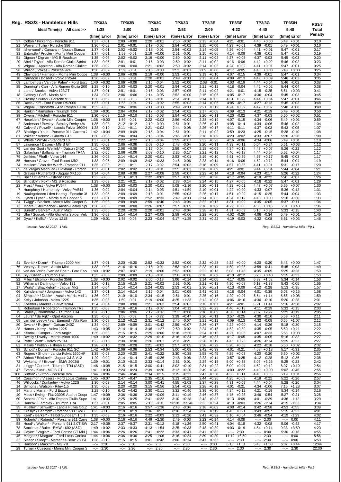|                   | Reg. RS3/3 - Hambleton Hills              | <b>TP3/3A</b>   | <b>TP3/3B</b>   | <b>TP3/3C</b>   | <b>TP3/3D</b>   | <b>TP3/3E</b>   | TP3/3F          | <b>TP3/3G</b>   | <b>TP3/3H</b>   | <b>RS3/3</b> |
|-------------------|-------------------------------------------|-----------------|-----------------|-----------------|-----------------|-----------------|-----------------|-----------------|-----------------|--------------|
|                   | Ideal Time(s) All cars >>                 | 1:38            | 2:00            | 2:19            | 2:52            | 2:09            | 4:22            | 4:40            | 5:48            | Total        |
|                   |                                           | (time) Error    | (time) Error    | (time) Error    | (time) Error    | (time) Error    | (time) Error    | (time) Error    | (time) Error    | Penalty      |
| 37                | Colton / Pickering - Porsche 911          | 1:37<br>$-0:01$ | $2:00 + 0:00$   | $2:20 +0:01$    | $2:50 - 0:02$   | $2:13 + 0:04$   | 4:21 -0:01      | $4:40 + 0:00$   | $5:49 +0:01$    | 0:10         |
| 21                | Warren / Tullie - Porsche 356             | 1:36<br>$-0:02$ | 2:01<br>$+0:01$ | 2:17<br>$-0:02$ | $2:54 +0:02$    | $2:15 + 0:06$   | 4:23<br>$+0:01$ | 4:39<br>$-0:01$ | $5:49 +0:01$    | 0:16         |
| 98                | Isherwood* / Canavan - Nissan Stanza      | 1:37<br>$-0:01$ | 2:02<br>$+0:02$ | $-0:01$<br>2:18 | 2:54<br>$+0:02$ | $2:14 + 0:05$   | 4:26<br>$+0:04$ | $4:41 + 0:01$   | 5:47<br>$-0:01$ | 0:17         |
| 33                | Entwistle / Procter - Morris Mini Cooper  | 1:37<br>$-0:01$ | 1:59<br>$-0:01$ | 2:19<br>$+0:00$ | 2:51<br>$-0:01$ | 2:15<br>$+0:06$ | 4:14<br>$-0:08$ | 4:39<br>$-0:01$ | 5:47<br>$-0:01$ | 0:19         |
| 51                | Dignan / Dignan - MG B Roadster           | 1:35<br>$-0:03$ | 2:02<br>$+0:02$ | 2:19<br>$+0:00$ | 2:50<br>$-0:02$ | 2:11<br>$+0:02$ | 4:27<br>$+0:05$ | 4:37<br>$-0:03$ | 5:45<br>$-0:03$ | 0:20         |
| 20                | Abel / Taylor - Alfa Romeo Giulia Sprint  | 1:33<br>$-0:05$ | 2:01<br>$+0:01$ | $-0:03$<br>2:16 | 2:50<br>$-0:02$ | 2:11<br>$+0:02$ | 4:16<br>$-0:06$ | 4:42<br>$+0:02$ | 5:46<br>$-0:02$ | 0:23         |
| 9                 | Wignall / Appleton - Alfa Romeo Giuliett  | 1:36<br>$-0:02$ | $+0:00$<br>2:00 | 2:21<br>$+0:02$ | $-0:02$<br>2:50 | $+0:05$<br>2:14 | $+0:02$<br>4:24 | $+0:01$<br>4:41 | $-0:01$<br>5:47 | 0:25         |
| 96                | Wilson / Vokes - Porsche 924              | 1:36<br>$-0:02$ | 1:59<br>$-0:01$ | 2:16<br>$-0:03$ | 2:53<br>$+0:01$ | 2:09<br>$+0:00$ | 4:17<br>$-0:05$ | 4:43<br>$+0:03$ | 5:48<br>$+0:00$ | 0:25         |
| 43                | Cleyndert / Harrison - Morris Mini Coope  | 1:38<br>$+0:00$ | 2:06<br>$+0:06$ | 2:19<br>$+0:00$ | 2:53<br>$+0:01$ | 2:19<br>$+0:10$ | 4:07<br>$-0:15$ | 4:39<br>$-0:01$ | 5:47<br>$-0:01$ | 0:34         |
| 10                | Carnegie / Bosdet - Volvo PV544           | 1:36<br>$-0:02$ | 1:59<br>$-0:01$ | 2:20<br>$+0:01$ | 2:49<br>$-0:03$ | 2:13<br>$+0:04$ | 4:09<br>$-0:13$ | 4:49<br>$+0:09$ | 5:46<br>$-0:02$ | 0:35         |
| 69                | Lamberigts / Van der Palen* - Ford Esco   | 1:40<br>$+0:02$ | $+0:06$<br>2:06 | $-0:04$<br>2:15 | 2:52<br>$+0:00$ | $-0:01$<br>2:08 | $-0:19$<br>4:03 | $+0:04$<br>4:44 | $-0:02$<br>5:46 | 0:38         |
| 85                | Dunning* / Carr - Alfa Romeo Giulia 200   | 1:28<br>$-0:10$ | 2:03<br>$+0:03$ | $+0:01$<br>2:20 | 2:54<br>$+0:02$ | $+0:12$<br>2:21 | $-0:04$<br>4:18 | 4:42<br>$+0:02$ | 5:44<br>$-0:04$ | 0:38         |
| $\mathbf{1}$      | Lane / Brooks - Volvo 123GT               | 1:37<br>$-0:01$ | $+0:01$<br>2:01 | $-0:03$<br>2:16 | $+0:05$<br>2:57 | 2:11<br>$+0:02$ | $-0:01$<br>4:21 | $-0:25$<br>4:15 | 5:51<br>$+0:03$ | 0:41         |
| 18                | Gaffney / Goff - Morris Mini              | 1:34<br>$-0:04$ | $+0:06$<br>2:06 | $-0:05$<br>2:14 | 2:52<br>$+0:00$ | $+0:06$<br>2:15 | $-0:17$<br>4:05 | 4:36<br>$-0:04$ | 5:45<br>$-0:03$ | 0:45         |
| 27                | Crosby / Pullan - Porsche 911             | $-0:02$<br>1:36 | 1:57<br>$-0:03$ | 2:18<br>$-0:01$ | $-0:01$<br>2:51 | $2:14 + 0:05$   | 4:51<br>$+0:29$ | $4:44 + 0:04$   | $-0:01$<br>5:47 | 0:46         |
| 86                | Davis / Kiff - Ford Escort RS2000         | 1:37<br>$-0:01$ | $-0:04$<br>1:56 | $-0:02$<br>2:17 | 2:55<br>$+0:03$ | $+0:05$<br>2:14 | $-0:17$<br>4:05 | 4:27<br>$-0:13$ | $-0:03$<br>5:45 | 0:48         |
| 26                | Wignall / Rushforth - Alfa Romeo Giulia   | 1:35<br>$-0:03$ | 2:06<br>$+0:06$ | $-0:08$<br>2:11 | 2:49<br>$-0:03$ | 2:21<br>$+0:12$ | 4:24<br>$+0:02$ | 4:47<br>$+0:07$ | 5:40<br>$-0:08$ | 0:49         |
| 16                | Hankin / Ramsden - Triumph TR4            | 1:39<br>$+0:01$ | 2:04<br>$+0:04$ | $-0:02$<br>2:17 | 2:54<br>$+0:02$ | 2:17<br>$+0:08$ | 4:09<br>$-0:13$ | 4:21<br>$-0:19$ | 5:49<br>$+0:01$ | 0:50         |
| 39                | Owens / Mitchell - Porsche 911            | 1:30<br>$-0:08$ | 2:10<br>$+0:10$ | $-0:03$<br>2:16 | 2:54<br>$+0:02$ | 2:20<br>$+0:11$ | 4:20<br>$-0:02$ | 4:37<br>$-0:03$ | 5:50<br>$+0:02$ | 0:51         |
| 67                | Haselden / Evans* - Austin Mini Cooper    | 1:38<br>$+0:00$ | 1:59<br>$-0:01$ | 2:22<br>$+0:03$ | 2:56<br>$+0:04$ | 2:28<br>$+0:19$ | 4:07<br>$-0:15$ | 4:34<br>$-0:06$ | 5:49<br>$+0:01$ | 0:59         |
| $\overline{2}$    | Anderson / Powley - Bentley Derby 41/4    | 1:35<br>$-0:03$ | 2:12<br>$+0:12$ | 2:10<br>$-0:09$ | 2:51<br>$-0:01$ | 2:26<br>$+0:17$ | 4:08<br>$-0:14$ | 4:34<br>$-0:06$ | 5:46<br>$-0:02$ | 1:04         |
| 62                | Calvert* / Powell* - Lancia Fulvia 1600H  | 1:28<br>$-0:10$ | 2:11<br>$+0:11$ | 2:21<br>$+0:02$ | 2:44<br>$-0:08$ | 2:26<br>$+0:17$ | $-0:11$<br>4:11 | 4:37<br>$-0:03$ | 5:43<br>$-0:05$ | 1:07         |
| 87                | Bloxidge / Youd - Porsche 911 Carrera 2   | 1:42<br>$+0:04$ | 2:09<br>$+0:09$ | $-0:04$<br>2:15 | 2:51<br>$-0:01$ | 2:11<br>$+0:02$ | $-0:23$<br>3:59 | 4:25<br>$-0:15$ | 5:38<br>$-0:10$ | 1:08         |
| 81                | Vokes* / Vokes* - Ginetta G15             | 1:30<br>$-0:08$ | $+0:04$<br>2:04 | $-0:04$<br>2:15 | $-0:07$<br>2:45 | 2:18<br>$+0:09$ | 4:20<br>$-0:02$ | 4:33<br>$-0:07$ | 5:20<br>$-0:28$ | 1:09         |
| 6                 | Whyte / Whyte - Standard 10               | 1:37<br>$-0:01$ | 2:22<br>$+0:22$ | 2:15<br>$-0:04$ | 2:59<br>$+0:07$ | 2:32<br>$+0:23$ | 4:16<br>$-0:06$ | 4:34<br>$-0:06$ | 5:49<br>$+0:01$ | 1:10         |
| 57                | Lawrence / Davies - MG B GT               | 1:35<br>$-0:03$ | 2:06<br>$+0:06$ | $-0:10$<br>2:09 | 2:48<br>$-0:04$ | 2:20<br>$+0:11$ | $+0:11$<br>4:33 | $+0:24$<br>5:04 | 5:51<br>$+0:03$ | 1:12         |
| 75                | van der Goot / Wellink* - Datsun 240Z     | 1:41<br>$+0:03$ | 2:08<br>$+0:08$ | 2:15<br>$-0:04$ | $+0:07$<br>2:59 | 2:18<br>$+0:09$ | 4:34<br>$+0:12$ | $+0:07$<br>4:47 | 5:26<br>$-0:22$ | 1:12         |
| 53                | Galashan / Ballantyne - Triumph TR4A      | 1:32<br>$-0:06$ | 2:06<br>$+0:06$ | 2:09<br>$-0:10$ | 2:35<br>$-0:17$ | 2:21<br>$+0:12$ | $+0:18$<br>4:40 | 4:44<br>$+0:04$ | 5:52<br>$+0:04$ | 1:17         |
| 79                | Jenkins / Phaff - Volvo 144               | 1:36<br>$-0:02$ | 2:14<br>$+0:14$ | 2:20<br>$+0:01$ | 2:53<br>$+0:01$ | 2:19<br>$+0:10$ | $+0:29$<br>4:51 | 4:57<br>$+0:17$ | 5:45<br>$-0:03$ | 1:17         |
| 55                | Hanson / Grove - Ford Escort Mk2          | 1:33<br>$-0:05$ | $+0:09$<br>2:09 | $+0:23$<br>2:42 | $-0:06$<br>2:46 | 2:23<br>$+0:14$ | $-0:06$<br>4:16 | $+0:12$<br>4:52 | $-0:04$<br>5:44 | 1:19         |
| 74                | Meulen* / Van der Werf* - Porsche 911     | 1:35<br>$-0:03$ | $+0:11$<br>2:11 | $-0:02$<br>2:17 | 2:54<br>$+0:02$ | 2:18<br>$+0:09$ | 4:57<br>$+0:35$ | $+0:01$<br>4:41 | 5:31<br>$-0:17$ | 1:20         |
| 65                | de Vargas Machuca / Bloxham - Porsch      | 1:37<br>$-0:01$ | $+0:02$<br>2:02 | $-0:01$<br>2:18 | $+0:03$<br>2:55 | $2:18 + 0:09$   | $-0:01$<br>4:21 | $9:44 + 5:04$   | $-0:04$<br>5:44 | 1:21         |
| 8                 | Graves / Rutherford - Jaquar XK150        | 1:34<br>$-0:04$ | $+0:08$<br>2:08 | 2:27<br>$+0:08$ | 2:59<br>$+0:07$ | 2:23<br>$+0:14$ | 4:18<br>$-0:04$ | 4:23<br>$-0:17$ | 5:26<br>$-0:22$ | 1:24         |
| 73                | Ball* / Duerden - Citroen DS21            | 1:33<br>$-0:05$ | $+0:13$<br>2:13 | 2:22<br>$+0:03$ | 2:57<br>$+0:05$ | $2:35 + 0:26$   | $-0.05$<br>4:17 | 4:18<br>$-0:22$ | $-0:07$<br>5:41 | 1:26         |
| 56                | Slingsby* / Fox* - MG B Roadster          | 1:29<br>$-0:09$ | 2:21<br>$+0:21$ | 2:17<br>$-0:02$ | 2:38<br>$-0:14$ | 2:24<br>$+0:15$ | 4:27<br>$+0:05$ | 4:18<br>$-0:22$ | 5:47<br>$-0:01$ | 1:29         |
| 23                | Frost / Frost - Volvo PV544               | 1:38<br>$+0:00$ | $+0:03$<br>2:03 | $+0:01$<br>2:20 | 5:08<br>$+2:16$ | $+0:11$<br>2:20 | $+0:01$<br>4:23 | $+0:07$<br>4:47 | 5:55<br>$+0:07$ | 1:30         |
| $\overline{7}$    | Humphrey / Humphrey - Volvo PV544         | 1:36<br>$-0:02$ | $+0:04$<br>2:04 | 2:14<br>$-0:05$ | 4:51<br>$+1:59$ | 2:10<br>$+0:01$ | 4:22<br>$+0:00$ | 4:33<br>$-0:07$ | 5:36<br>$-0:12$ | 1:31         |
| 19                | Naaktgeboren / den Hartog - Porsche 3!    | 1:33<br>$-0:05$ | $+0:09$<br>2:09 | $-0:01$<br>2:18 | 2:55<br>$+0:03$ | 2:26<br>$+0:17$ | 4:51<br>$+0:29$ | $-0:25$<br>4:15 | 5:44<br>$-0:04$ | 1:33         |
| 59                | Lynch / Lynch - Morris Mini Cooper S      | 1:37<br>$-0:01$ | 2:09<br>$+0:09$ | 2:52<br>$+0:33$ | 2:49<br>$-0:03$ | 2:14<br>$+0:05$ | 4:34<br>$+0:12$ | 4:40<br>$+0:00$ | 5:18<br>$-0:30$ | 1:33         |
| 34                | Twigg* / Blackett - Morris Mini Cooper S  | 1:35<br>$-0:03$ | $+0:09$<br>2:09 | 2:59<br>$+0:40$ | 2:48<br>$-0:04$ | 2:22<br>$+0:13$ | $+0:09$<br>4:31 | 4:35<br>$-0:05$ | 5:37<br>$-0:11$ | 1:34         |
| $12 \overline{ }$ | Moore / Stellmacher - Austin-Healey Spi   | 1:30<br>$-0:08$ | $+0:08$<br>2:08 | 2:26<br>$+0:07$ | $+0:05$<br>2:57 | 2:18<br>$+0:09$ | $+0:00$<br>4:22 | $+0:16$<br>4:56 | 6:31<br>$+0:43$ | 1:36         |
| 61                | Burrell* / Barker* - Austin Maxi          | 1:33<br>$-0:05$ | 2:20<br>$+0:20$ | 2:20<br>$+0:01$ | 2:48<br>$-0:04$ | 2:28<br>$+0:19$ | 4:31<br>$+0:09$ | 5:10<br>$+0:30$ | 5:33<br>$-0:15$ | 1:43         |
| 71                | Ulm / Soucek - Alfa Giulietta Spider Velo | 1:36<br>$-0:02$ | $+0:14$<br>2:14 | 2:27<br>$+0:08$ | 2:58<br>$+0:06$ | $+0:20$<br>2:29 | $-0:20$<br>4:02 | $-0:34$<br>4:06 | $+0:01$<br>5:49 | 1:45         |
|                   | 36 Dyas* / Kellitt* - Volvo 121S          | 1:39<br>$+0:01$ | 1:55<br>$-0:05$ | 2:23<br>$+0:04$ | $4:17 +1:25$    | 2:31<br>$+0:22$ | 4:19<br>$-0:03$ | 4:32<br>$-0:08$ | 5:51<br>$+0:03$ | 1:46         |

 *Issued:- Nov 12 2017 - 17:01 Reg. RS3/3 - Hambleton Hills - Pg.1*

| Everitt* / Dixon* - Triumph 2000 MkI<br>41    | 1:37<br>$-0:01$      | $+0:20$<br>2:20   | $2:52 +0:33$         | $2:52 +0:00$    | $2:32 + 0:23$   | $4:22 +0:00$    | 4:20<br>$-0:20$  | 5:48<br>$+0:00$ | 1:47  |
|-----------------------------------------------|----------------------|-------------------|----------------------|-----------------|-----------------|-----------------|------------------|-----------------|-------|
| 76                                            | 1:33                 | 2:16              | 2:18                 | 2:53            | 2:23            | 4:50            | 3:59             | 5:45            | 1:49  |
| Vestev / Turner - Austin Mini                 | $-0:05$              | $+0:16$           | $-0:01$              | $+0:01$         | $+0:14$         | $+0:28$         | $-0:41$          | $-0:03$         |       |
| van der Velde / van de Boel* - Ford Esc<br>83 | $+0:02$<br>1:40      | $+0:07$<br>2:07   | $2:19 + 0:00$        | 2:52<br>$+0:00$ | $+0:13$<br>2:22 | $6:08 +1:46$    | $-0:05$<br>4:35  | $-0:23$<br>5:25 | 1:50  |
| Sly / Green - Triumph TR6                     | 1:35                 | 2:09              | $-0:01$              | 2:58            | $+0:09$         | 4:10            | 5:20             | 5:15            | 1:53  |
| 88                                            | $-0:03$              | $+0:09$           | 2:18                 | $+0:06$         | 2:18            | $-0:12$         | $+0:40$          | $-0:33$         |       |
| 22<br>Miles / Elcomb - Porsche 356B           | $+0:00$<br>1:38      | $+0:02$<br>2:02   | 2:06<br>$-0:13$      | 3:06<br>$+0:14$ | $2:14 + 0:05$   | 4:17<br>$-0:05$ | $+1:52$<br>6:32  | $-0:14$<br>5:34 | 1:53  |
| Williams / Darlington - Volvo 131             | $-0:12$              | $+0:15$           | $+0:02$              | 2:51            | $+0:12$         | $+0:08$         | $+1:33$          | 5:43            | 1:55  |
| 52                                            | 1:26                 | 2:15              | 2:21                 | $-0:01$         | 2:21            | 4:30            | 6:13             | $-0:05$         |       |
| 17 Worts* / Shackleton* - Jaquar Mk2          | 1:34<br>$-0:04$      | 2:14<br>$+0:14$   | 2:24<br>$+0:05$      | 2:53<br>$+0:01$ | 2:30<br>$+0:21$ | $-0:09$<br>4:13 | 4:12<br>$-0:28$  | 5:13<br>$-0:35$ | 1:57  |
| 66                                            | 1:37                 | $+0:14$           | $-0:04$              | $+0:09$         | $+0:32$         | $-0:04$         | $-0:39$          | $+0:15$         | 1:58  |
| Kuindersma* / Jongman - Volvo 142             | $-0:01$              | 2:14              | 2:15                 | 3:01            | 2:41            | 4:18            | 4:01             | 6:03            |       |
| 94                                            | 1:36                 | 2:10              | 2:34                 | 2:51            | 2:25            | 4:29            | 5:54             | 5:56            | 1:59  |
| Simpson* / Doble* - Austin Morris Mini 1      | $-0:02$              | $+0:10$           | $+0:15$              | $-0:01$         | $+0:16$         | $+0:07$         | $+1:14$          | $+0:08$         |       |
| 49                                            | 1:35                 | 1:59              | 2:19                 | $+1:33$         | 2:12            | 4:06            | 4:30             | 5:20            | 2:01  |
| Kelly / Johnson - Volvo 122S                  | $-0:03$              | $-0:01$           | $+0:00$              | 4:25            | $+0:03$         | $-0:16$         | $-0:10$          | $-0:28$         |       |
| Koerner / Maeker - BMW 320/4<br>92            | $-0:04$<br>1:34      | $+0:08$<br>2:08   | $+0:02$<br>2:21      | $+0:02$<br>2:54 | $2:16 + 0:07$   | $-0:01$<br>4:21 | $+1:41$<br>6:21  | $-0:38$<br>5:10 | 2:02  |
| 5                                             | 1:35                 | 2:16              | 2:12                 | $+0:12$         | 2:32            | 4:40            | 4:11             | 5:33            | 2:03  |
| Robertson / Robertson - Triumph TR3           | $-0:03$              | $+0:16$           | $-0:07$              | 3:04            | $+0:23$         | $+0:18$         | $-0:29$          | $-0:15$         |       |
| 15                                            | 1:28                 | 2:06              | 2:12                 | 2:52            | 2:18            | 4:36            | $+2:27$          | 5:29            | 2:05  |
| Stanley / Northmore - Triumph TR4             | $-0:10$              | $+0:06$           | $-0:07$              | $+0:00$         | $+0:09$         | $+0:14$         | 7:07             | $-0:19$         |       |
| 64                                            | 1:35                 | 1:58              | 1:57                 | 3:39            | 2:20            | $-0:25$         | 4:30             | 5:59            | 2:11  |
| Leurs* / de Rijk* - Opel Ascona               | $-0:03$              | $-0:02$           | $-0:22$              | $+0:47$         | $+0:11$         | 3:57            | $-0:10$          | $+0:11$         |       |
| 68                                            | 1:30                 | $+0:12$           | 2:31                 | $-0:07$         | $+0:12$         | $-0:13$         | $-0:08$          | 6:55            | 2:12  |
| van der Leeuw / van Egmond - Alfa Ron         | $-0:08$              | 2:12              | $+0:12$              | 2:45            | 2:21            | 4:09            | 4:32             | $+1:07$         |       |
| 80                                            | 1:34                 | 2:09              | 3:01                 | 2:59            | 2:26            | 4:22            | 4:14             | 5:18            | 2:15  |
| Dwars* / Ruiiten* - Datsun 240Z               | $-0:04$              | $+0:09$           | $+0:42$              | $+0:07$         | $+0:17$         | $+0:00$         | $-0:26$          | $-0:30$         |       |
| 28                                            | $+0:05$              | 2:14              | 3:46                 | $-0:02$         | 2:24            | 4:52            | $-0:05$          | 5:59            | 2:22  |
| Hamer / Kerry - Volvo 122S                    | 1:43                 | $+0:14$           | $+1:27$              | 2:50            | $+0:15$         | $+0:30$         | 4:35             | $+0:11$         |       |
| 42                                            | 1:35                 | $+0:15$           | $+0:06$              | $+2:26$         | $+0:15$         | 4:27            | $-0:33$          | $+0:08$         | 2:25  |
| Kendall / Cooper - Ford Anglia                | $-0:03$              | 2:15              | 2:25                 | 5:18            | 2:24            | $+0:05$         | 4:07             | 5:56            |       |
| 11                                            | $+0:02$              | 2:32              | 2:29                 | 3:16            | $+0:37$         | $-0:05$         | $-0:05$          | 5:16            | 2:27  |
| Dwelly / Dwelly - Morris Minor 1000           | 1:40                 | $+0:32$           | $+0:10$              | $+0:24$         | 2:46            | 4:17            | 4:35             | $-0:32$         |       |
| 24                                            | 1:22                 | 2:30              | 2:20                 | $-0:21$         | 2:28            | 4:45            | 4:26             | 5:25            | 2:27  |
| Pettit / Watt* - Volvo PV544                  | $-0:16$              | $+0:30$           | $+0:01$              | 2:31            | $+0:19$         | $+0:23$         | $-0:14$          | $-0:23$         |       |
| 82                                            | 1:28                 | 2:28              | 2:21                 | $+0:05$         | 2:38            | 5:20            | 4:22             | 5:50            | 2:32  |
| Malins / Pullan - Hillman Hunter              | $-0:10$              | $+0:28$           | $+0:02$              | 2:57            | $+0:29$         | $+0:58$         | $-0:18$          | $+0:02$         |       |
| 93                                            | $+0:04$              | 2:06              | 2:53                 | 3:00            | 2:42            | 4:01            | 4:58             | $-0:31$         | 2:35  |
| Schott* / Dohse* - Porsche 911 SC             | 1:42                 | $+0:06$           | $+0:34$              | $+0:08$         | $+0:33$         | $-0:21$         | $+0:18$          | 5:17            |       |
| 63                                            | 1:35                 | $+0:20$           | $+0:22$              | 3:30            | 2:58            | $+0:03$         | $-0:20$          | 5:50            | 2:37  |
| Rogers / Shute - Lancia Fulvia 1600HF         | $-0:03$              | 2:20              | 2:41                 | $+0:38$         | $+0:49$         | 4:25            | 4:20             | $+0:02$         |       |
| 97                                            | 1:29                 | 2:14              | 2:45                 | 2:46            | 2:23            | 3:57            | $-0:28$          | 5:12            | 2:38  |
| Abbott / Bricknell* - Jaquar XJ-S V12         | $-0:09$              | $+0:14$           | $+0:26$              | $-0:06$         | $+0:14$         | $-0:25$         | 4:12             | $-0:36$         |       |
| 72                                            | $+0:01$              | 2:10              | $+0:14$              | 2:51            | $+0:15$         | $+0:38$         | $+3:26$          | $-0:23$         | 2:42  |
| Wykeham* / Brown* - BMW 2002tii               | 1:39                 | $+0:10$           | 2:33                 | $-0:01$         | 2:24            | 5:00            | 8:06             | 5:25            |       |
| 31                                            | 1:46                 | 2:15              | 3:00                 | 3:02            | 2:31            | 5:09            | 4:52             | 6:07            | 2:54  |
| Lingg* / Gerber* - Triumph TR4 (A&D)          | $+0:08$              | $+0:15$           | $+0:41$              | $+0:10$         | $+0:22$         | $+0:47$         | $+0:12$          | $+0:19$         |       |
| 47                                            | $+0:03$              | 2:24              | 2:39                 | $+0:20$         | $+0:40$         | 4:00            | $+0:00$          | 5:02            | 2:55  |
| Evans / Kunz - MG B GT                        | 1:41                 | $+0:24$           | $+0:20$              | 3:12            | 2:49            | $-0:22$         | 4:40             | $-0:46$         |       |
| 100                                           | $+0:06$              | 2:46              | 2:34                 | $+0:23$         | $+0:38$         | 4:33            | $+0:06$          | $+0:31$         | 2:56  |
| Sutton* / Sutton - Porsche 924                | 1:44                 | $+0:46$           | $+0:15$              | 3:15            | 2:47            | $+0:11$         | 4:46             | 6:19            |       |
| 54                                            | 1:45                 | 2:47              | 2:35                 | 3:13            | $+0:35$         | 4:25            | 4:18             | 5:22            | 2:57  |
| Cassimon / Vissers - Ford Lotus Cortina       | $+0:07$              | $+0:47$           | $+0:16$              | $+0:21$         | 2:44            | $+0:03$         | $-0:22$          | $-0:26$         |       |
| 46                                            | 1:30                 | $+0:14$           | $+0:41$              | $+2:03$         | $+0:28$         | 4:31            | 4:44             | 5:28            | 3:04  |
| Willcocks / Dunkerley - Volvo 122S            | $-0:08$              | 2:14              | 3:00                 | 4:55            | 2:37            | $+0:09$         | $+0:04$          | $-0:20$         |       |
| 14                                            | 1:35                 | 2:20              | 3:15                 | 2:54            | 2:28            | $-0:21$         | 4:34             | 7:16            | 3:07  |
| Symons / Watson - Riley 1.5                   | $-0:03$              | $+0:20$           | $+0:56$              | $+0:02$         | $+0:19$         | 4:01            | $-0:06$          | $+1:28$         |       |
| 84                                            | 1:28                 | $+4:42$           | $+0:11$              | 3:32            | 2:39            | 4:34            | $-0:19$          | 5:34            | 3:16  |
| Martin / Martin - Ford Escort                 | $-0:10$              | 6:42              | 2:30                 | $+0:40$         | $+0:30$         | $+0:12$         | 4:21             | $-0:14$         |       |
| 40                                            | $+0:09$              | 2:36              | $+0:09$              | $+0:19$         | $+0:37$         | $+0:23$         | $-0:54$          | $-0:21$         | 3:28  |
| Moss / Ewing - Fiat 2300S Abarth Coupe        | 1:47                 | $+0:36$           | 2:28                 | 3:11            | 2:46            | 4:45            | 3:46             | 5:27            |       |
| 60                                            | $+0:03$              | 2:25              | 2:41                 | $+0:18$         | 2:42            | 4:13            | $-0:39$          | 4:36            | 3:29  |
| Schenk / Frik* - Alfa Romeo Giulia Supe       | 1:41                 | $+0:25$           | $+0:22$              | 3:10            | $+0:33$         | $-0:09$         | 4:01             | $-1:12$         |       |
| Hancox / Lambley - Triumph TR4                | 1:37                 | $+0:05$           | 2:18                 | $+55:46$        | $+0:24$         | 4:19            | $-1:14$          | 4:15            | 3:34  |
| 25                                            | $-0:01$              | 2:05              | $-0:01$              | 58:38           | 2:33            | $-0:03$         | 3:26             | $-1:33$         |       |
| 35                                            | 1:41                 | 2:16              | 3:57                 | 2:48            | 2:18            | 4:08            | 3:42             | 4:53            | 3:39  |
| Mueller* / Schwab* - Lancia Fulvia Cour       | $+0:03$              | $+0:16$           | $+1:38$              | $-0:04$         | $+0:09$         | $-0:14$         | $-0:58$          | $-0:55$         |       |
| 38                                            | 1:23                 | 2:19              | $+0:17$              | $+5:24$         | 2:28            | $+0:21$         | $-0:57$          | $-0:33$         | 4:01  |
| Gresly* / Behrndt* - Porsche 911 SWB          | $-0:15$              | $+0:19$           | 2:36                 | 8:16            | $+0:19$         | 4:43            | 3:43             | 5:15            |       |
| 95                                            | 1:35                 | $+0:16$           | $+0:03$              | $+0:20$         | $+0:32$         | $+0:54$         | $-0:54$          | $-1:29$         | 4:02  |
| Kent* / Barker* - Talbot Sunbeam 1.6 Ti       | $-0:03$              | 2:16              | 2:22                 | 3:12            | 2:41            | 5:16            | 3:46             | 4:19            |       |
| 89                                            | 1:38                 | 2:16              | $+2:30$              | 2:49            | 2:23            | 4:14            | 2:30             | 0:00            | 4:11  |
| Roberts* / Roberts* - Porsche 911 Carre       | $+0:00$              | $+0:16$           | 4:49                 | $-0:03$         | $+0:14$         | $-0:08$         | $-2 - 2 - 1 = 0$ | $-10 - 10$      |       |
| 58                                            | 2:17                 | $+0:37$           | 2:31                 | $+1:26$         | $+0:41$         | 4:04            | 4:32             | 5:06            | 4:17  |
| Hood* / Walker* - Porsche 911 2.0T SW         | $+0:39$              | 2:37              | $+0:12$              | 4:18            | 2:50            | $-0:18$         | $-0:08$          | $-0:42$         |       |
| Stockmar / Baier - BMW 1602 (A&D)             | $+0:02$              | 2:33              | $+1:54$              | 3:25            | $+0:39$         | 4:03            | 4:54             | $+3:50$         | 4:20  |
| 78                                            | 1:40                 | $+0:33$           | 4:13                 | $+0:33$         | 2:48            | $-0:19$         | $+0:14$          | 9:38            |       |
| 44                                            | $+0:06$              | 2:26              | $+0:22$              | $+0:41$         | $+0:32$         | 2:30            | 0:00             | $-0:18$         | 4:55  |
| Geyer* / Voglar* - Ford Cortina GT MkI (      | 1:44                 | $+0:26$           | 2:41                 | 3:33            | 2:41            | $-10 - 10$      | $-2 - 1$         | 5:30            |       |
| Morgan* / Morgan* - Ford Lotus Cortina        | 1:44                 | $+0:36$           | $+1:06$              | $+0:24$         | $+0:20$         | $+6:50$         | 2:30             | 0:00            | 5:56  |
| 45                                            | $+0:06$              | 2:36              | 3:25                 | 3:16            | 2:29            | 11:12           | $-2 - 2 - 1$     | $-2 - 2 - 1$    |       |
| 32                                            | 1:28                 | $+0:15$           | $+0:42$              | 3:06            | $+0:32$         | 2:30            | 2:30             | 0:00            | 6:53  |
| Sleep* / Sleep* - Mercedes-Benz 230SL         | $-0:10$              | 2:15              | 3:01                 | $+0:14$         | 2:41            | $-2 - 1 - 1$    | $-1 - 1$         | $-2 - 1$        |       |
| 3                                             | 2:30                 | 2:30              | 2:30                 | 2:30            | 0:00            | 6:13            | 5:43             | 6:32            | 12:44 |
| Hanson* / Mackrill* - MG YB                   | $-2 - 2 - 1$         | $-2 - 2 - 1$      | $-2 - 2 - 1$         | $-2 - 1$        | angan           | $+1:51$         | $+1:03$          | $+0:44$         |       |
| 29 Turner / Cussons - Morris Mini Cooper S    | 2:30<br>$-2 - 2 - 1$ | 2:30<br>$-25 - 1$ | 2:30<br>$-1 - 1 - 1$ | $-:- 2:30$      | $-:- 2:30$      | $-:- 2:30$      | $-:- 2:30$       | $-:- 2:30$      | 22:30 |
|                                               |                      |                   |                      |                 |                 |                 |                  |                 |       |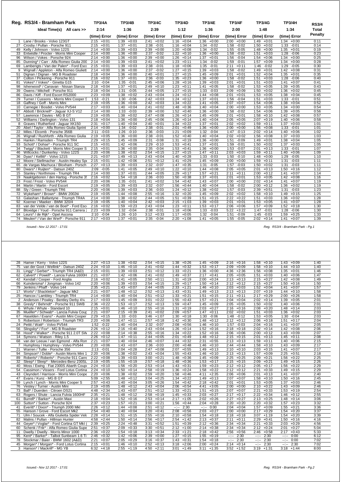|                 | Reg. RS3/4 - Bramham Park                | <b>TP3/4A</b>   | <b>TP3/4B</b>   | <b>TP3/4C</b>   | <b>TP3/4D</b>   | <b>TP3/4E</b>   | <b>TP3/4F</b>   | <b>TP3/4G</b>   | <b>TP3/4H</b>                    | <b>RS3/4</b> |
|-----------------|------------------------------------------|-----------------|-----------------|-----------------|-----------------|-----------------|-----------------|-----------------|----------------------------------|--------------|
|                 | Ideal Time(s) All cars >>                | 2:14            | 1:36            | 2:39            | 1:12            | 1:36            | 2:00            | 1:48            | 1:34                             | <b>Total</b> |
|                 |                                          | (time) Error    | (time) Error    | (time) Error    | (time) Error    | (time) Error    | (time) Error    | (time) Error    | (time) Error                     | Penalty      |
| 1               | Lane / Brooks - Volvo 123GT              | $2:15 + 0:01$   | $1:39 + 0:03$   | 2:41<br>$+0:02$ | $1:16 + 0:04$   | $1:36 + 0:00$   | $2:00 + 0:00$   | $1:49 + 0:01$   | $1:34 +0:00$                     | 0:11         |
| 27              | Crosby / Pullan - Porsche 911            | $2:15 + 0:01$   | 1:37<br>$+0:01$ | $-0:01$<br>2:38 | $1:16 + 0:04$   | 1:34<br>$-0:02$ | 1:58<br>$-0:02$ | 1:50<br>$+0:02$ | $-0:01$<br>1:33                  | 0:14         |
| 49              | Kelly / Johnson - Volvo 122S             | 2:14<br>$+0:00$ | 1:39<br>$+0:03$ | 2:39<br>$+0:00$ | 1:20<br>$+0:08$ | 1:34<br>$-0:02$ | 1:55<br>$-0:05$ | 1:48<br>$+0:00$ | 1:35<br>$+0:01$                  | 0:19         |
| 33              | Entwistle / Procter - Morris Mini Cooper | 2:14<br>$+0:00$ | 1:36<br>$+0:00$ | $-0:02$<br>2:37 | 1:22<br>$+0:10$ | 1:36<br>$+0:00$ | $-0:02$<br>1:58 | $+0:03$<br>1:51 | 1:28<br>$-0:06$                  | 0:23         |
| 96              | Wilson / Vokes - Porsche 924             | $2:14 + 0:00$   | $+0:00$<br>1:36 | 2:39<br>$+0:00$ | $1:26 + 0:14$   | 1:37<br>$+0:01$ | 1:56<br>$-0:04$ | $1:54 + 0:06$   | 1:34<br>$+0:00$                  | 0:25         |
| 85              | Dunning* / Carr - Alfa Romeo Giulia 200  | 2:14<br>$+0:00$ | $+0:03$<br>1:39 | 2:41<br>$+0:02$ | $+0:11$<br>1:23 | $-0:02$<br>1:34 | 1:59<br>$-0:01$ | 1:57<br>$+0:09$ | 1:34<br>$+0:00$                  | 0:28         |
| 69              | Lamberigts / Van der Palen* - Ford Esco  | 2:15<br>$+0:01$ | 1:39<br>$+0:03$ | 2:38<br>$-0:01$ | $1:18 + 0:06$   | 1:35<br>$-0:01$ | 2:11<br>$+0:11$ | 1:46<br>$-0:02$ | 1:29<br>$-0:05$                  | 0:30         |
| 9               | Wignall / Appleton - Alfa Romeo Giuliett | 2:14<br>$+0:00$ | 1:36<br>$+0:00$ | $-0:02$<br>2:37 | 1:27<br>$+0:15$ | 1:39<br>$+0:03$ | 1:58<br>$-0:02$ | 1:49<br>$+0:01$ | 1:42<br>$+0:08$                  | 0:31         |
| 51              | Dignan / Dignan - MG B Roadster          | 2:18<br>$+0:04$ | 1:36<br>$+0:00$ | $+0:01$<br>2:40 | 1:27<br>$+0:15$ | 1:45<br>$+0:09$ | 2:01<br>$+0:01$ | 1:52<br>$+0:04$ | 1:35<br>$+0:01$                  | 0:35         |
| 37              | Colton / Pickering - Porsche 911         | 2:16<br>$+0:02$ | $+0:01$<br>1:37 | $-0:03$<br>2:36 | $+0:23$<br>1:35 | $+0:00$<br>1:36 | $-0:02$<br>1:58 | 1:51<br>$+0:03$ | $-0:06$<br>1:28                  | 0:40         |
| 81              | Vokes* / Vokes* - Ginetta G15            | 2:10<br>$-0:04$ | 1:35<br>$-0:01$ | $+0:06$<br>2:45 | 1:28<br>$+0:16$ | 1:39<br>$+0:03$ | 2:01<br>$+0:01$ | 1:51<br>$+0:03$ | 1:41<br>$+0:07$                  | 0:41         |
| 98              | Isherwood* / Canavan - Nissan Stanza     | 2:18<br>$+0:04$ | 1:37<br>$+0:01$ | $+0:10$<br>2:49 | 1:23<br>$+0:11$ | 1:41<br>$+0:05$ | 1:58<br>$-0:02$ | 1:53<br>$+0:05$ | 1:39<br>$+0:05$                  | 0:43         |
| 39              | Owens / Mitchell - Porsche 911           | 2:18<br>$+0:04$ | 1:31<br>$-0:05$ | 2:44<br>$+0:05$ | $1:27 +0:15$    | 1:33<br>$-0:03$ | 2:09<br>$+0:09$ | 1:50<br>$+0:02$ | 1:36<br>$+0:02$                  | 0:45         |
| 86              | Davis / Kiff - Ford Escort RS2000        | 2:23<br>$+0:09$ | $+0:02$<br>1:38 | $+0:04$<br>2:43 | $1:24 +0:12$    | 1:44<br>$+0:08$ | $+0:01$<br>2:01 | 1:53<br>$+0:05$ | 1:38<br>$+0:04$                  | 0:45         |
| 29              | Turner / Cussons - Morris Mini Cooper S  | 1:53<br>$-0:21$ | 1:30<br>$-0:06$ | 2:42<br>$+0:03$ | $1:24 +0:12$    | $+0:01$<br>1:37 | $-0:04$<br>1:56 | 1:51<br>$+0:03$ | 1:33<br>$-0:01$                  | 0:51         |
| 18              | Gaffney / Goff - Morris Mini             | 2:19<br>$+0:05$ | 1:36<br>$+0:00$ | $+0:03$<br>2:42 | $1:34 + 0:22$   | 1:41<br>$+0:05$ | 2:07<br>$+0:07$ | 1:54<br>$+0:06$ | $1:38 + 0:04$                    | 0:52         |
| 10 <sup>°</sup> | Carnegie / Bosdet - Volvo PV544          | $+0:03$<br>2:17 | $+0:04$<br>1:40 | $+0:02$<br>2:41 | $1:48 + 0:36$   | $+0:04$<br>1:40 | $+0:00$<br>2:00 | $+0:05$<br>1:53 | 1:34<br>$+0:00$                  | 0:54         |
| 97              | Abbott / Bricknell* - Jaquar XJ-S V12    | $+0:00$<br>2:14 | 1:33<br>$-0:03$ | $+0:00$<br>2:39 | 1:52<br>$+0:40$ | $1:36 + 0:00$   | 1:58<br>$-0:02$ | 1:54<br>$+0:06$ | 1:39<br>$+0:05$                  | 0:56         |
| 57              | Lawrence / Davies - MG B GT              | 2:19<br>$+0:05$ | 1:38<br>$+0:02$ | $+0:08$<br>2:47 | 1:26<br>$+0:14$ | 1:45<br>$+0:09$ | 2:01<br>$+0:01$ | 1:58<br>$+0:10$ | $+0:08$<br>1:42                  | 0:57         |
| 52              | Williams / Darlington - Volvo 131        | 2:18<br>$+0:04$ | 1:36<br>$+0:00$ | 2:45<br>$+0:06$ | 1:26<br>$+0:14$ | 1:40<br>$+0:04$ | 2:05<br>$+0:05$ | 2:07<br>$+0:19$ | 1:40<br>$+0:06$                  | 0:58         |
| 8               | Graves / Rutherford - Jaquar XK150       | 2:31<br>$+0:17$ | $+0:04$<br>1:40 | $+0:01$<br>2:40 | 1:34<br>$+0:22$ | 1:37<br>$+0:01$ | 2:02<br>$+0:02$ | 1:59<br>$+0:11$ | 1:37<br>$+0:03$                  | 1:01         |
| 20              | Abel / Taylor - Alfa Romeo Giulia Sprint | $2:14 +0:00$    | 1:34<br>$-0:02$ | 2:38<br>$-0:01$ | 2:01<br>$+0:49$ | $1:36 + 0:00$   | 2:00<br>$+0:00$ | 1:56<br>$+0:08$ | 1:33<br>$-0:01$                  | 1:01         |
| 22              | Miles / Elcomb - Porsche 356B            | 2:11<br>$-0:03$ | 1:26<br>$-0:10$ | $-0:03$<br>2:36 | $+0:09$<br>1:21 | 1:32<br>$-0:04$ | $-0:13$<br>1:47 | $2:02 +0:14$    | $1:40 + 0:06$                    | 1:02         |
| 26              | Wignall / Rushforth - Alfa Romeo Giulia  | 2:19<br>$+0:05$ | 1:36<br>$+0:00$ | 2:38<br>$-0:01$ | $1:52 +0:40$    | 1:40<br>$+0:04$ | 2:02<br>$+0:02$ | 1:56<br>$+0:08$ | 1:37<br>$+0:03$                  | 1:03         |
| 16              | Hankin / Ramsden - Triumph TR4           | 2:29<br>$+0:15$ | $+0:09$<br>1:45 | $-0:08$<br>2:31 | $+0:19$<br>1:31 | 1:36<br>$+0:00$ | $-0:09$<br>1:51 | 1:49<br>$+0:01$ | 1:38<br>$+0:04$                  | 1:05         |
| 93              | Schott* / Dohse* - Porsche 911 SC        | 2:15<br>$+0:01$ | 1:42<br>$+0:06$ | 2:29<br>$-0:10$ | $+0:41$<br>1:53 | 1:37<br>$+0:01$ | 1:59<br>$-0:01$ | $+0:02$<br>1:50 | 1:37<br>$+0:03$                  | 1:05         |
| 34              | Twigg* / Blackett - Morris Mini Cooper S | 2:15<br>$+0:01$ | 1:36<br>$+0:00$ | $-0:04$<br>2:35 | $+0:41$<br>1:53 | 1:36<br>$+0:00$ | $-0:07$<br>1:53 | 2:01<br>$+0:13$ | 1:33<br>$-0:01$                  | 1:07         |
| 46              | Willcocks / Dunkerley - Volvo 122S       | 2:20<br>$+0:06$ | 1:38<br>$+0:02$ | 2:54<br>$+0:15$ | 1:27<br>$+0:15$ | 1:47<br>$+0:11$ | 2:03<br>$+0:03$ | 1:59<br>$+0:11$ | 1:40<br>$+0:06$                  | 1:09         |
| 36              | Dyas* / Kellitt* - Volvo 121S            | 2:21<br>$+0:07$ | $+0:13$<br>1:49 | $+0:04$<br>2:43 | $+0:28$<br>1:40 | 1:33<br>$-0:03$ | 1:50<br>$-0:10$ | 1:48<br>$+0:00$ | 1:29<br>$-0:05$                  | 1:10         |
| 12              | Moore / Stellmacher - Austin-Healey Spi  | 2:15<br>$+0:01$ | 1:42<br>$+0:06$ | 2:51<br>$+0:12$ | $+0:29$<br>1:41 | 1:45<br>$+0:09$ | 2:00<br>$+0:00$ | $1:59 + 0:11$   | 1:31<br>$-0:03$                  | 1:11         |
| 65              | de Vargas Machuca / Bloxham - Porsch     | 2:27<br>$+0:13$ | 1:39<br>$+0:03$ | $-0:07$<br>2:32 | $1:47 + 0:35$   | $-0:05$<br>1:31 | $-0:03$<br>1:57 | 1:50<br>$+0:02$ | 1:31<br>$-0:03$                  | 1:11         |
| 80              | Dwars* / Ruijten* - Datsun 240Z          | 2:09<br>$-0:05$ | $+0:05$<br>1:41 | $+0:10$<br>2:49 | $1:22 +0:10$    | 1:44<br>$+0:08$ | 2:05<br>$+0:05$ | 2:01<br>$+0:13$ | 1:50<br>$+0:16$                  | 1:12         |
|                 | 15 Stanley / Northmore - Triumph TR4     | $+0:00$<br>2:14 | $+0:01$<br>1:37 | $+0:05$<br>2:44 | 1:29<br>$+0:17$ | 1:57<br>$+0:21$ | 2:11<br>$+0:11$ | $+0:12$<br>2:00 | $+0:07$<br>1:41                  | 1:14         |
| 19              | Naaktgeboren / den Hartog - Porsche 3!   | 2:16<br>$+0:02$ | 1:54<br>$+0:18$ | 2:36<br>$-0:03$ | 1:50<br>$+0:38$ | 1:37<br>$+0:01$ | 2:01<br>$+0:01$ | 1:53<br>$+0:05$ | 1:42<br>$+0:08$                  | 1:16         |
| 23              | Frost / Frost - Volvo PV544              | 2:20<br>$+0:06$ | 1:35<br>$-0:01$ | $+0:02$<br>2:41 | 1:54<br>$+0:42$ | 1:43<br>$+0:07$ | 2:00<br>$+0:00$ | 2:02<br>$+0:14$ | $+0:07$<br>1:41                  | 1:19         |
| 84              | Martin / Martin - Ford Escort            | 2:19<br>$+0:05$ | 1:39<br>$+0:03$ | 2:32<br>$-0:07$ | 1:56<br>$+0:44$ | 1:40<br>$+0:04$ | 1:58<br>$-0:02$ | 2:00<br>$+0:12$ | 1:36<br>$+0:02$                  | 1:19         |
| 88              | Sly / Green - Triumph TR6                | $+0:06$<br>2:20 | $+0:03$<br>1:39 | $-0:03$<br>2:36 | $+0:12$<br>1:24 | 1:38<br>$+0:02$ | $-0:03$<br>1:57 | $+0:51$<br>2:39 | $-0:03$<br>1:31                  | 1:23         |
| 72              | Wykeham* / Brown* - BMW 2002tii          | 2:19<br>$+0:05$ | 1:44<br>$+0:08$ | $2:55 + 0:16$   | $1:32 +0:20$    | $1:45 + 0:09$   | 2:02<br>$+0:02$ | 1:58<br>$+0:10$ | 1:49<br>$+0:15$                  | 1:25         |
| 53              | Galashan / Ballantyne - Triumph TR4A     | 2:14<br>$+0:00$ | 1:38<br>$+0:02$ | 2:44<br>$+0:05$ | 1:51<br>$+0:39$ | 1:51<br>$+0:15$ | 2:22<br>$+0:22$ | 1:51<br>$+0:03$ | 1:36<br>$+0:02$                  | 1:28         |
|                 | 92 Koerner / Maeker - BMW 320/4          | 2:19<br>$+0:05$ | $+0:04$<br>1:40 | $+0:03$<br>2:42 | $2:15 +1:03$    | $1:39 + 0:03$   | $+0:01$<br>2:01 | $1:53 + 0:05$   | 1:41<br>$+0:07$                  | 1:28         |
| 83              | van der Velde / van de Boel* - Ford Esci | 2:16<br>$+0:02$ | 1:59<br>$+0:23$ | 2:43<br>$+0:04$ | 1:23<br>$+0:11$ | 1:53<br>$+0:17$ | $+0:06$<br>2:06 | $+0:09$<br>1:57 | 1:52<br>$+0:18$                  | 1:30         |
| 87              | Bloxidge / Youd - Porsche 911 Carrera 2  | 2:23<br>$+0:09$ | 1:32<br>$-0:04$ | $-0:01$<br>2:38 | $1:18 + 0:06$   | 1:33<br>$-0:03$ | 5:22<br>$+3:22$ | $-0:01$<br>1:47 | 1:28<br>$-0:06$                  | 1:30         |
| 64              | Leurs* / de Rijk* - Opel Ascona          | 2:10<br>$-0:04$ | 1:26<br>$-0:10$ | $3:12 + 0:33$   | $1:17 + 0:05$   | 1:32<br>$-0:04$ | 1:51<br>$-0:09$ | 1:45<br>$-0:03$ | 1:59<br>$+0:25$                  | 1:33         |
| 74              | Meulen* / Van der Werf* - Porsche 911    | 2:17<br>$+0:03$ | 1:37<br>$+0:01$ | 2:35<br>$-0:04$ | 2:20<br>$+1:08$ | 1:41<br>$+0:05$ | 1:55<br>$-0:05$ | $+0:14$<br>2:02 | $+0:07$<br>1:41                  | 1:39         |
|                 |                                          |                 |                 |                 |                 |                 |                 |                 |                                  |              |
|                 | Issued:- Nov 12 2017 - 17:01             |                 |                 |                 |                 |                 |                 |                 | Reg. RS3/4 - Bramham Park - Pg.1 |              |

| 28             | Hamer / Kerry - Volvo 122S                  | 2:27<br>$+0:13$ | 1:38<br>$+0:02$ | 2:54<br>$+0:15$ | 1:38<br>$+0:26$      | 1:45<br>$+0:09$ | 2:16<br>$+0:16$      | 1:58<br>$+0:10$      | 1:43<br>$+0:09$   | 1:40 |
|----------------|---------------------------------------------|-----------------|-----------------|-----------------|----------------------|-----------------|----------------------|----------------------|-------------------|------|
| 75             | van der Goot / Wellink* - Datsun 240Z       | $+0:10$<br>2:24 | 1:46<br>$+0:10$ | $+0:02$<br>2:41 | 1:44<br>$+0:32$      | 1:53<br>$+0:17$ | 2:09<br>$+0:09$      | $+0:10$<br>1:58      | $+0:10$<br>1:44   | 1:40 |
| 31             | Lingg* / Gerber* - Triumph TR4 (A&D)        | 2:15<br>$+0:01$ | 1:39<br>$+0:03$ | 2:51<br>$+0:12$ | 1:33<br>$+0:21$      | 1:36<br>$+0:00$ | $+2:36$<br>4:36      | 1:56<br>$+0:08$      | 1:35<br>$+0:01$   | 1:46 |
| 62             | Calvert* / Powell* - Lancia Fulvia 1600H    | 2:21<br>$+0:07$ | 1:42<br>$+0:06$ | 2:41<br>$+0:02$ | $1:49 +0:37$         | 2:17<br>$+0:41$ | 2:05<br>$+0:05$      | 1:51<br>$+0:03$      | 1:40<br>$+0:06$   | 1:47 |
| 42             | Kendall / Cooper - Ford Anglia              | 2:16<br>$+0:02$ | 1:41<br>$+0:05$ | $+0:11$<br>2:50 | 1:31<br>$+0:19$      | 2:00<br>$+0:24$ | 2:13<br>$+0:13$      | 2:15<br>$+0:27$      | 1:42<br>$+0:08$   | 1:49 |
| 66             | Kuindersma* / Jongman - Volvo 142           | 2:20<br>$+0:06$ | 1:39<br>$+0:03$ | 2:54<br>$+0:15$ | 1:29<br>$+0:17$      | 1:50<br>$+0:14$ | $+0:12$<br>2:12      | $+0:27$<br>2:15      | 1:50<br>$+0:16$   | 1:50 |
| 79             | Jenkins / Phaff - Volvo 144                 | $+0:21$<br>2:35 | 1:43<br>$+0:07$ | $+0:05$<br>2:44 | 2:33<br>$+1:21$      | 1:46<br>$+0:10$ | 2:03<br>$+0:03$      | 1:52<br>$+0:04$      | $+0:07$<br>1:41   | 1:57 |
| 17             | Worts* / Shackleton* - Jaquar Mk2           | $+0:07$<br>2:21 | 1:48<br>$+0:12$ | 2:52<br>$+0:13$ | $+0:31$<br>1:43      | $+0:13$<br>1:49 | $+0:13$<br>2:13      | $+0:19$<br>2:07      | $+0:10$<br>1:44   | 1:58 |
| 25             | Hancox / Lambley - Triumph TR4              | $+0:00$<br>2:14 | 1:40<br>$+0:04$ | 2:51<br>$+0:12$ | 1:33<br>$+0:21$      | 1:51<br>$+0:15$ | 2:11<br>$+0:11$      | 2:17<br>$+0:29$      | 2:00<br>$+0:26$   | 1:58 |
| $\overline{2}$ | Anderson / Powley - Bentley Derby 41/4      | $+0:03$<br>2:17 | 1:45<br>$+0:09$ | $+0:22$<br>3:01 | 1:55<br>$+0:43$      | $+0:21$<br>1:57 | 2:04<br>$+0:04$      | 2:02<br>$+0:14$      | 1:39<br>$+0:05$   | 2:01 |
| 38             | Gresly* / Behrndt* - Porsche 911 SWB        | 2:36<br>$+0:22$ | 1:53<br>$+0:17$ | 2:52<br>$+0:13$ | 1:59<br>$+0:47$      | 1:45<br>$+0:09$ | 2:05<br>$+0:05$      | 1:50<br>$+0:02$      | $+0:06$<br>1:40   | 2:01 |
| 6              | Whyte / Whyte - Standard 10                 | 2:15<br>$+0:01$ | 1:46<br>$+0:10$ | 2:55<br>$+0:16$ | 1:31<br>$+0:19$      | 2:03<br>$+0:27$ | 2:16<br>$+0:16$      | 2:08<br>$+0:20$      | 1:48<br>$+0:14$   | 2:03 |
| 35             | Mueller* / Schwab* - Lancia Fulvia Cour     | 2:21<br>$+0:07$ | 2:15<br>$+0:39$ | 2:41<br>$+0:02$ | 2:09<br>$+0:57$      | $+0:11$<br>1:47 | $+0:02$<br>2:02      | $+0:03$<br>1:51      | 1:36<br>$+0:02$   | 2:03 |
| 67             | Haselden / Evans* - Austin Mini Cooper      | 2:29<br>$+0:15$ | 1:33<br>$-0:03$ | 3:46<br>$+1:07$ | 1:30<br>$+0:18$      | 1:30<br>$-0:06$ | 1:48<br>$-0:12$      | 1:53<br>$+0:05$      | 1:30<br>$-0:04$   | 2:03 |
| 5              | Robertson / Robertson - Triumph TR3         | 2:20<br>$+0:06$ | 1:47<br>$+0:11$ | 2:57<br>$+0:18$ | 1:42<br>$+0:30$      | 1:48<br>$+0:12$ | 2:12<br>$+0:12$      | 2:06<br>$+0:18$      | 1:51<br>$+0:17$   | 2:04 |
| 24             | Pettit / Watt* - Volvo PV544                | $-0:22$<br>1:52 | 1:40<br>$+0:04$ | $-0:07$<br>2:32 | $+0:56$<br>2:08      | $1:46 + 0:10$   | $-0:03$<br>1:57      | $2:04 +0:16$         | 1:41<br>$+0:07$   | 2:05 |
| 56             | Slingsby* / Fox* - MG B Roadster            | 2:26<br>$+0:12$ | 2:16<br>$+0:40$ | 2:43<br>$+0:04$ | $+0:14$<br>1:26      | $1:52 +0:16$    | 2:18<br>$+0:18$      | 2:02<br>$+0:14$      | 1:42<br>$+0:08$   | 2:06 |
| 58             | Hood* / Walker* - Porsche 911 2.0T SW       | 2:22<br>$+0:08$ | 2:14<br>$+0:38$ | 2:55<br>$+0:16$ | $+0:22$<br>1:34      | $1:52 +0:16$    | 2:06<br>$+0:06$      | 2:00<br>$+0:12$      | 1:43<br>$+0:09$   | 2:07 |
| 14             | Symons / Watson - Riley 1.5                 | $+0:12$<br>2:26 | 1:47<br>$+0:11$ | 2:44<br>$+0:05$ | 2:01<br>$+0:49$      | $1:48 + 0:12$   | $2:15 + 0:15$        | 2:01<br>$+0:13$      | $1:45 +0:11$      | 2:08 |
| 68             | van der Leeuw / van Egmond - Alfa Ron       | 2:21<br>$+0:07$ | 1:40<br>$+0:04$ | $+0:07$<br>2:46 | $+0:32$<br>1:44      | 2:31<br>$+0:55$ | $+0:13$<br>2:13      | $+0:11$<br>1:59      | 1:40<br>$+0:06$   | 2:15 |
| $\overline{7}$ | Humphrey / Humphrey - Volvo PV544           | 2:20<br>$+0:06$ | 1:43<br>$+0:07$ | $-0:03$<br>2:36 | $+0:48$<br>2:00      | $1:46 + 0:10$   | $+0:44$<br>2:44      | 1:58<br>$+0:10$      | 1:43<br>$+0:09$   | 2:17 |
| 21             | Warren / Tullie - Porsche 356               | 2:13<br>$-0:01$ | 2:04<br>$+0:28$ | 2:47<br>$+0:08$ | $2:07 +0:55$         | $1:49 +0:13$    | $2:10 + 0:10$        | 2:03<br>$+0:15$      | 1:41<br>$+0:07$   | 2:17 |
|                | 94 Simpson* / Doble* - Austin Morris Mini 1 | 2:20<br>$+0:06$ | 1:38<br>$+0:02$ | $+0:04$<br>2:43 | 1:55<br>$+0:43$      | $1:46 + 0:10$   | $2:13 + 0:13$        | $+0:09$<br>1:57      | 2:25<br>$+0:51$   | 2:18 |
| 89             | Roberts* / Roberts* - Porsche 911 Carre     | 2:22<br>$+0:08$ | 1:39<br>$+0:03$ | 3:00<br>$+0:21$ | 1:48<br>$+0:36$      | $1:45 + 0:09$   | $2:25 +0:25$         | 2:09<br>$+0:21$      | 1:56<br>$+0:22$   | 2:25 |
|                | 32 Sleep* / Sleep* - Mercedes-Benz 230SL    | $2:19 + 0:05$   | 1:55<br>$+0:19$ | 2:57<br>$+0:18$ | $+0:36$<br>1:48      | 1:53<br>$+0:17$ | $2:15 + 0:15$        | 2:09<br>$+0:21$      | $1:49 +0:15$      | 2:26 |
| 40             | Moss / Ewing - Fiat 2300S Abarth Coupe      | 2:24<br>$+0:10$ | 1:56<br>$+0:20$ | 2:53<br>$+0:14$ | $+0:31$<br>1:43      | 1:59<br>$+0:23$ | 2:12<br>$+0:12$      | 2:05<br>$+0:17$      | 1:56<br>$+0:22$   | 2:29 |
| 54             | Cassimon / Vissers - Ford Lotus Cortina     | $2:24 + 0:10$   | 1:50<br>$+0:14$ | 2:58<br>$+0:19$ | $1:36 + 0:24$        | $1:58 + 0:22$   | $2:12 + 0:12$        | 2:21<br>$+0:33$      | $1:49 + 0:15$     | 2:29 |
| 43             | Cleyndert / Harrison - Morris Mini Coope    | 2:20<br>$+0:06$ | 1:38<br>$+0:02$ | 2:59<br>$+0:20$ | 1:58<br>$+0:46$      | $+2:35$<br>4:11 | 2:06<br>$+0:06$      | $+0:13$<br>2:01      | 1:41<br>$+0:07$   | 2:40 |
| 47             | Evans / Kunz - MG B GT                      | 5:09<br>$+2:55$ | 1:48<br>$+0:12$ | 3:04<br>$+0:25$ | 1:34<br>$+0:22$      | 1:49<br>$+0:13$ | 2:07<br>$+0:07$      | 1:58<br>$+0:10$      | 1:50<br>$+0:16$   | 2:45 |
| 59             | Lynch / Lynch - Morris Mini Cooper S        | 2:57<br>$+0:43$ | 1:40<br>$+0:04$ | 3:05<br>$+0:26$ | $+0:42$<br>1:54      | $+0:42$<br>2:18 | 2:01<br>$+0:01$      | 1:53<br>$+0:05$      | 1:37<br>$+0:03$   | 2:46 |
| 76             | Vestey / Turner - Austin Mini               | 2:19<br>$+0:05$ | $+0:12$<br>1:48 | $+0:04$<br>2:43 | 2:06<br>$+0:54$      | $+3:05$<br>4:41 | $+0:00$<br>2:00      | $+0:22$<br>2:10      | 1:43<br>$+0:09$   | 2:46 |
| 73             | Ball* / Duerden - Citroen DS21              | 4:48<br>$+2:34$ | 1:43<br>$+0:07$ | $+0:12$<br>2:51 | 1:33<br>$+0:21$      | 1:51<br>$+0:15$ | 2:07<br>$+0:07$      | 2:21<br>$+0:33$      | $1:53 + 0:19$     | 2:54 |
| 63             | Rogers / Shute - Lancia Fulvia 1600HF       | $+0:21$<br>2:35 | $+0:12$<br>1:48 | 2:58<br>$+0:19$ | 1:45<br>$+0:33$      | $+0:27$<br>2:03 | $+0:17$<br>2:17      | $+0:34$<br>2:22      | 1:46<br>$+0:12$   | 2:55 |
| 61             | Burrell* / Barker* - Austin Maxi            | 2:18<br>$+0:04$ | 1:52<br>$+0:16$ | 2:53<br>$+0:14$ | 2:17<br>$+1:05$      | 2:02<br>$+0:26$ | 2:27<br>$+0:27$      | 2:13<br>$+0:25$      | 1:48<br>$+0:14$   | 3:06 |
| 100            | Sutton* / Sutton - Porsche 924              | 2:37<br>$+0:23$ | 1:57<br>$+0:21$ | 3:00<br>$+0:21$ | 1:56<br>$+0:44$      | $+0:28$<br>2:04 | 2:20<br>$+0:20$      | 2:20<br>$+0:32$      | 1:57<br>$+0:23$   | 3:32 |
| 41             | Everitt* / Dixon* - Triumph 2000 MkI        | 2:26<br>$+0:12$ | 1:44<br>$+0:08$ | 2:51<br>$+0:12$ | 2:30<br>$-2 - 2 - 1$ | 0:00<br>angan   | 2:04<br>$+0:04$      | 1:57<br>$+0:09$      | 1:55<br>$+0:21$   | 3:36 |
| 55             | Hanson / Grove - Ford Escort Mk2            | 2:54<br>$+0:40$ | 1:40<br>$+0:04$ | 3:20<br>$+0:41$ | 2:08<br>$+0:56$      | 2:03<br>$+0:27$ | 2:00<br>$+0:00$      | 2:17<br>$+0:29$      | 1:54<br>$+0:20$   | 3:37 |
| 71             | Ulm / Soucek - Alfa Giulietta Spider Velo   | $+0:14$<br>2:28 | 1:51<br>$+0:15$ | $+0:16$<br>2:55 | 2:10<br>$+0:58$      | $+0:18$<br>1:54 | $+0:18$<br>2:18      | $+1:19$<br>3:07      | $+0:20$<br>1:54   | 3:39 |
| 82             | Malins / Pullan - Hillman Hunter            | 4:58<br>$+2:44$ | 1:50<br>$+0:14$ | 2:56<br>$+0:17$ | $+1:42$<br>2:54      | 2:13<br>$+0:37$ | 2:11<br>$+0:11$      | 2:29<br>$+0:41$      | 1:50<br>$+0:16$   | 4:16 |
| 44             | Geyer* / Voglar* - Ford Cortina GT MkI      | 2:39<br>$+0:25$ | 2:24<br>$+0:48$ | 3:31<br>$+0:52$ | $+0:39$<br>1:51      | 2:12<br>$+0:36$ | 2:34<br>$+0:34$      | 2:21<br>$+0:33$      | 2:03<br>$+0:29$   | 4:56 |
| 60             | Schenk / Frik* - Alfa Romeo Giulia Supe     | $+0:37$<br>2:51 | $+0:33$<br>2:09 | $+0:51$<br>3:30 | 2:12<br>$+1:00$      | $+0:38$<br>2:14 | 2:34<br>$+0:34$      | $+0:24$<br>2:12      | $+0:27$<br>2:01   | 5:04 |
| 11             | Dwelly / Dwelly - Morris Minor 1000         | 2:36<br>$+0:22$ | 1:54<br>$+0:18$ | 3:13<br>$+0:34$ | 2:33<br>$+1:21$      | 2:18<br>$+0:42$ | 2:56<br>$+0:56$      | 2:46<br>$+0:58$      | 2:17<br>$+0:43$   | 5:33 |
| 95             | Kent* / Barker* - Talbot Sunbeam 1.6 Ti     | 2:46<br>$+0:32$ | 1:42<br>$+0:06$ | 2:39<br>$+0:00$ | 1:27<br>$+0:15$      | 1:55<br>$+0:19$ | 2:30<br>$-2 - 2 = 1$ | 2:30<br>$-2 - 1$     | 0:00<br>$-15 - 1$ | 6:12 |
| 78             | Stockmar / Baier - BMW 1602 (A&D)           | 2:21<br>$+0:07$ | $+0:29$<br>2:05 | $+0:37$<br>3:16 | $+0:31$<br>1:43      | $+0:18$<br>1:54 | 2:30<br>$-15 - 1$    | 2:30<br>$-2 - 1$     | $-:- 0:00$        | 7:02 |
| 45             | Morgan* / Morgan* - Ford Lotus Cortina      | 2:15<br>$+0:01$ | 1:46<br>$+0:10$ | 2:52<br>$+0:13$ | 3:18<br>$+2:06$      | 2:00<br>$+0:24$ | 2:14<br>$+0:14$      | 2:30<br>$-2 - 2 - 1$ | 2:30<br>$-2 - 1$  | 7:02 |
| 3              | Hanson* / Mackrill* - MG YB                 | 6:32<br>$+4:18$ | 2:55<br>$+1:19$ | 4:50<br>$+2:11$ | $3:01 +1:49$         | $3:11 + 1:35$   | $3:52 +1:52$         | 3:19<br>$+1:31$      | $3:18 +1:44$      | 8:00 |
|                |                                             |                 |                 |                 |                      |                 |                      |                      |                   |      |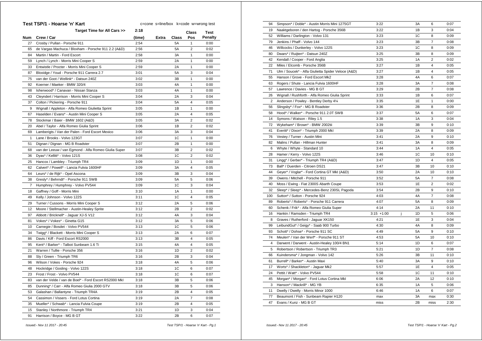|     | Test TSP/1 - Hoarse 'n' Kart                          | c=cone s=line/box k=code w=wrong test |              |       |                |                |  |
|-----|-------------------------------------------------------|---------------------------------------|--------------|-------|----------------|----------------|--|
|     | Target Time for All Cars >>                           | 2:18                                  |              |       | Class          | Test           |  |
| Num | Crew / Car                                            | (time)                                | <b>Extra</b> | Class | Pos            | <b>Penalty</b> |  |
| 27  | Crosby / Pullan - Porsche 911                         | 2:54                                  |              | 5А    | 1              | 0:00           |  |
| 65  | de Vargas Machuca / Bloxham - Porsche 911 2.2 (A&D)   | 2:56                                  |              | 5A    | 2              | 0:02           |  |
| 84  | Martin / Martin - Ford Escort                         | 2:58                                  |              | ЗA    | 1              | 0:00           |  |
| 59  | Lynch / Lynch - Morris Mini Cooper S                  | 2:59                                  |              | 2A    | 1              | 0:00           |  |
| 33  | Entwistle / Procter - Morris Mini Cooper S            | 2:59                                  |              | 2A    | 1              | 0:00           |  |
| 87  | Bloxidge / Youd - Porsche 911 Carrera 2.7             | 3:01                                  |              | 5A    | 3              | 0:04           |  |
| 75  | van der Goot / Wellink* - Datsun 240Z                 | 3:02                                  |              | 3B    | 1              | 0:00           |  |
| 92  | Koerner / Maeker - BMW 320/4                          | 3:03                                  |              | 4A    | 1              | 0:00           |  |
| 98  | Isherwood* / Canavan - Nissan Stanza                  | 3:03                                  |              | 4A    | 1              | 0:00           |  |
| 43  | Cleyndert / Harrison - Morris Mini Cooper S           | 3:04                                  |              | 2A    | 3              | 0:04           |  |
| 37  | Colton / Pickering - Porsche 911                      | 3:04                                  |              | 5A    | 4              | 0:05           |  |
| 9   | Wignall / Appleton - Alfa Romeo Giulietta Sprint      | 3:05                                  |              | 1В    | 1              | 0:00           |  |
| 67  | Haselden / Evans* - Austin Mini Cooper S              | 3:05                                  |              | 2A    | 4              | 0:05           |  |
| 78  | Stockmar / Baier - BMW 1602 (A&D)                     | 3:05                                  |              | ЗA    | 2              | 0:02           |  |
| 20  | Abel / Taylor - Alfa Romeo Giulia Sprint              | 3:06                                  |              | 1В    | $\overline{2}$ | 0:02           |  |
| 69  | Lamberigts / Van der Palen - Ford Escort Mexico       | 3:06                                  |              | ЗA    | 3              | 0:04           |  |
| 1   | Lane / Brooks - Volvo 123GT                           | 3:07                                  |              | 1C    | 1              | 0:00           |  |
| 51  | Dignan / Dignan - MG B Roadster                       | 3:07                                  |              | 2Β    | 1              | 0:00           |  |
| 68  | van der Leeuw / van Egmond - Alfa Romeo Giulia Super  | 3:07                                  |              | ЗB    | 2              | 0:02           |  |
| 36  | Dyas* / Kellitt* - Volvo 121S                         | 3:08                                  |              | 1C    | 2              | 0:02           |  |
| 25  | Hancox / Lambley - Triumph TR4                        | 3:09                                  |              | 1D    | 1              | 0:00           |  |
| 62  | Calvert* / Powell* - Lancia Fulvia 1600HF             | 3:09                                  |              | ЗA    | 4              | 0:05           |  |
| 64  | Leurs* / de Rijk* - Opel Ascona                       | 3:09                                  |              | 3B    | 3              | 0:04           |  |
| 38  | Gresly* / Behrndt* - Porsche 911 SWB                  | 3:09                                  |              | 5A    | 5              | 0:06           |  |
| 7   | Humphrey / Humphrey - Volvo PV544                     | 3:09                                  |              | 1C    | 3              | 0:04           |  |
| 18  | Gaffney / Goff - Morris Mini                          | 3:10                                  |              | 1A    | 1              | 0:00           |  |
| 49  | Kelly / Johnson - Volvo 122S                          | 3:11                                  |              | 1C    | $\overline{4}$ | 0:05           |  |
| 29  | Turner / Cussons - Morris Mini Cooper S               | 3:12                                  |              | 2A    | 5              | 0:06           |  |
| 12  | Moore / Stellmacher - Austin-Healey Sprite            | 3:12                                  |              | 2B    | 2              | 0:02           |  |
| 97  | Abbott / Bricknell* - Jaguar XJ-S V12                 | 3:12                                  |              | 4A    | 3              | 0:04           |  |
| 81  | Vokes* / Vokes* - Ginetta G15                         | 3:12                                  |              | ЗA    | 5              | 0:06           |  |
| 10  | Carnegie / Bosdet - Volvo PV544                       | 3:13                                  |              | 1C    | 5              | 0:06           |  |
| 34  | Twigg* / Blackett - Morris Mini Cooper S              | 3:13                                  |              | 2A    | 6              | 0:07           |  |
| 86  | Davis / Kiff - Ford Escort RS2000                     | 3:13                                  |              | ЗB    | 4              | 0:05           |  |
| 95  | Kent* / Barker* - Talbot Sunbeam 1.6 Ti               | 3:15                                  |              | 4A    | $\overline{4}$ | 0:05           |  |
| 21  | Warren / Tullie - Porsche 356                         | 3:16                                  |              | 1D    | 2              | 0:02           |  |
| 88  | Sly / Green - Triumph TR6                             | 3:16                                  |              | 2Β    | 3              | 0:04           |  |
| 96  | Wilson / Vokes - Porsche 924                          | 3:18                                  |              | 4A    | 5              | 0:06           |  |
| 48  | Hockridge / Gosling - Volvo 122S                      | 3:18                                  |              | 1C    | 6              | 0:07           |  |
| 23  | Frost / Frost - Volvo PV544                           | 3:18                                  |              | 1C    | 6              | 0:07           |  |
| 83  | van der Velde / van de Boel* - Ford Escort RS2000 Mkl | 3:18                                  |              | 3B    | 5              | 0:06           |  |
| 85  | Dunning* / Carr - Alfa Romeo Giulia 2000 GTV          | 3:18                                  |              | 3B    | 5              | 0:06           |  |
| 53  | Galashan / Ballantyne - Triumph TR4A                  | 3:19                                  |              | 2B    | 4              | 0:05           |  |
| 54  | Cassimon / Vissers - Ford Lotus Cortina               | 3:19                                  |              | 2A    | 7              | 0:08           |  |
| 35  | Mueller* / Schwab* - Lancia Fulvia Coupe              | 3:19                                  |              | 2Β    | 4              | 0:05           |  |
| 15  | Stanley / Northmore - Triumph TR4                     | 3:21                                  |              | 1D    | 3              | 0:04           |  |
| 91  | Harrison / Boyce - MG B GT                            | 3:22                                  |              | 2B    | 6              | 0:07           |  |
|     |                                                       |                                       |              |       |                |                |  |

| 94             | Simpson* / Doble* - Austin Morris Mini 1275GT      | 3:22          | 3A | 6                       | 0:07 |
|----------------|----------------------------------------------------|---------------|----|-------------------------|------|
| 19             | Naaktgeboren / den Hartog - Porsche 356B           | 3:22          | 1B | 3                       | 0:04 |
| 52             | Williams / Darlington - Volvo 131                  | 3:23          | 1C | 8                       | 0:09 |
| 79             | Jenkins / Phaff - Volvo 144                        | 3:23          | 3B | $\overline{7}$          | 0:08 |
| 46             | Willcocks / Dunkerley - Volvo 122S                 | 3:23          | 1C | 8                       | 0:09 |
| 80             | Dwars* / Ruijten* - Datsun 240Z                    | 3:25          | 3B | 8                       | 0:09 |
| 42             | Kendall / Cooper - Ford Anglia                     | 3:25          | 1A | $\overline{2}$          | 0:02 |
| 22             | Miles / Elcomb - Porsche 356B                      | 3:27          | 1B | 4                       | 0:05 |
| 71             | Ulm / Soucek* - Alfa Giulietta Spider Veloce (A&D) | 3:27          | 1B | 4                       | 0:05 |
| 55             | Hanson / Grove - Ford Escort Mk2                   | 3:28          | 4A | 6                       | 0:07 |
| 63             | Rogers / Shute - Lancia Fulvia 1600HF              | 3:28          | 3A | $\overline{7}$          | 0:08 |
| 57             | Lawrence / Davies - MG B GT                        | 3:29          | 2B | $\overline{7}$          | 0:08 |
| 26             | Wignall / Rushforth - Alfa Romeo Giulia Sprint     | 3:33          | 1B | 6                       | 0:07 |
| $\overline{2}$ | Anderson / Powley - Bentley Derby 41/4             | 3:35          | 1E | $\mathbf{1}$            | 0:00 |
| 56             | Slingsby* / Fox* - MG B Roadster                   | 3:36          | 2B | 8                       | 0:09 |
| 58             | Hood* / Walker* - Porsche 911 2.0T SWB             | 3:37          | 5A | 6                       | 0:07 |
| 14             | Symons / Watson - Riley 1.5                        | 3:38          | 1A | 3                       | 0:04 |
| 72             | Wykeham* / Brown* - BMW 2002tii                    | 3:39          | 3B | 9                       | 0:10 |
| 41             | Everitt* / Dixon* - Triumph 2000 Mkl               | 3:39          | 2A | 8                       | 0:09 |
| 76             | Vestey / Turner - Austin Mini                      | 3:41          | 2A | 9                       | 0:10 |
| 82             | Malins / Pullan - Hillman Hunter                   | 3:41          | 3A | 8                       | 0:09 |
| 6              | Whyte / Whyte - Standard 10                        | 3:44          | 1A | 4                       | 0:05 |
| 28             | Hamer / Kerry - Volvo 122S                         | 3:46          | 1C | 10                      | 0:10 |
| 31             | Lingg* / Gerber* - Triumph TR4 (A&D)               | 3:47          | 1D | 4                       | 0:05 |
| 73             | Ball* / Duerden - Citroen DS21                     | 3:47          | 3B | 10                      | 0:10 |
| 44             | Geyer* / Voglar* - Ford Cortina GT MkI (A&D)       | 3:50          | 2A | 10                      | 0:10 |
| 39             | Owens / Mitchell - Porsche 911                     | 3:52          | 5A | $\overline{7}$          | 0:08 |
| 40             | Moss / Ewing - Fiat 2300S Abarth Coupe             | 3:53          | 1E | $\overline{2}$          | 0:02 |
| 32             | Sleep* / Sleep* - Mercedes-Benz 230SL Pagoda       | 3:54          | 2B | 9                       | 0:10 |
| 100            | Sutton* / Sutton - Porsche 924                     | 4:03          | 4A | $\overline{7}$          | 0:08 |
| 89             | Roberts* / Roberts* - Porsche 911 Carrera          | 4:07          | 5A | 8                       | 0:09 |
| 60             | Schenk / Frik* - Alfa Romeo Giulia Super           | 4:14          | 2A | 11                      | 0:10 |
| 16             | Hankin / Ramsden - Triumph TR4                     | $3:15 + 1:00$ | 1D | 5                       | 0:06 |
| 8              | Graves / Rutherford - Jaguar XK150                 | 4:21          | 1E | 3                       | 0:04 |
| 99             | LeibundGut* / Geigy* - Saab 900 Turbo              | 4:30          | 4A | 8                       | 0:09 |
| 93             | Schott* / Dohse* - Porsche 911 SC                  | 4:49          | 5A | 9                       | 0:10 |
| 74             | Meulen* / Van der Werf* - Porsche 911 ST           | 4:53          | 5A | 10                      | 0:10 |
| 4              | Darwent / Darwent - Austin-Healey 100/4 BN1        | 5:14          | 1D | 6                       | 0:07 |
| 5              | Robertson / Robertson - Triumph TR3                | 5:21          | 1D | $\overline{7}$          | 0:08 |
| 66             | Kuindersma* / Jongman - Volvo 142                  | 5:26          | 3B | 11                      | 0:10 |
| 61             | Burrell* / Barker* - Austin Maxi                   | 5:40          | 3A | 9                       | 0:10 |
| 17             | Worts* / Shackleton* - Jaguar Mk2                  | 5:57          | 1E | $\overline{\mathbf{4}}$ | 0:05 |
| 24             | Pettit / Watt* - Volvo PV544                       | 5:58          | 1C | 11                      | 0:10 |
| 45             | Morgan* / Morgan* - Ford Lotus Cortina Mkl         | 6:06          | 2A | 12                      | 0:10 |
| 3              | Hanson* / Mackrill* - MG YB                        | 6:35          | 1A | 5                       | 0:06 |
| 11             | Dwelly / Dwelly - Morris Minor 1000                | 6:46          | 1A | 6                       | 0:07 |
| 77             | Beaumont / Fish - Sunbeam Rapier H120              | max           | 3A | max                     | 0:30 |
| 47             | Evans / Kunz - MG B GT                             | miss          | 2B | miss                    | 2:30 |
|                |                                                    |               |    |                         |      |

 *Issued:- Nov 11 2017 - 20:45 Test TSP/1 - Hoarse 'n' Kart - Pg.1*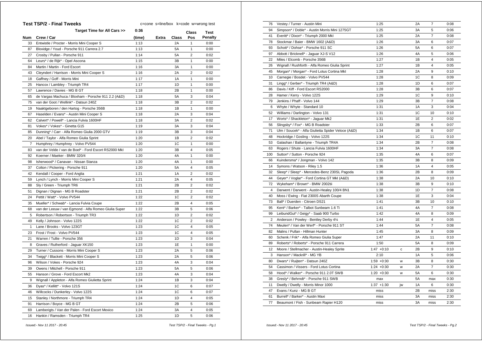|     | <b>Test TSP/2 - Final Tweeks</b>                      | c=cone s=line/box k=code w=wrong test |       |       |                |                |  |  |
|-----|-------------------------------------------------------|---------------------------------------|-------|-------|----------------|----------------|--|--|
|     | Target Time for All Cars >>                           | 0:36                                  |       |       | Class          | Test           |  |  |
| Num | Crew / Car                                            | (time)                                | Extra | Class | Pos            | <b>Penalty</b> |  |  |
| 33  | Entwistle / Procter - Morris Mini Cooper S            | 1:13                                  |       | 2A    | 1              | 0:00           |  |  |
| 87  | Bloxidge / Youd - Porsche 911 Carrera 2.7             | 1:13                                  |       | 5A    | $\mathbf{1}$   | 0:00           |  |  |
| 27  | Crosby / Pullan - Porsche 911                         | 1:14                                  |       | 5A    | 2              | 0:02           |  |  |
| 64  | Leurs* / de Rijk* - Opel Ascona                       | 1:15                                  |       | 3B    | 1              | 0:00           |  |  |
| 84  | Martin / Martin - Ford Escort                         | 1:16                                  |       | 3A    | 1              | 0:00           |  |  |
| 43  | Cleyndert / Harrison - Morris Mini Cooper S           | 1:16                                  |       | 2A    | $\overline{2}$ | 0:02           |  |  |
| 18  | Gaffney / Goff - Morris Mini                          | 1:17                                  |       | 1A    | 1              | 0:00           |  |  |
| 25  | Hancox / Lambley - Triumph TR4                        | 1:17                                  |       | 1D    | 1              | 0:00           |  |  |
| 57  | Lawrence / Davies - MG B GT                           | 1:18                                  |       | 2B    | $\mathbf{1}$   | 0:00           |  |  |
| 65  | de Vargas Machuca / Bloxham - Porsche 911 2.2 (A&D)   | 1:18                                  |       | 5A    | 3              | 0:04           |  |  |
| 75  | van der Goot / Wellink* - Datsun 240Z                 | 1:18                                  |       | 3B    | $\overline{2}$ | 0:02           |  |  |
| 19  | Naaktgeboren / den Hartog - Porsche 356B              | 1:18                                  |       | 1B    | 1              | 0:00           |  |  |
| 67  | Haselden / Evans* - Austin Mini Cooper S              | 1:18                                  |       | 2A    | 3              | 0:04           |  |  |
| 62  | Calvert* / Powell* - Lancia Fulvia 1600HF             | 1:18                                  |       | 3A    | 2              | 0:02           |  |  |
| 81  | Vokes* / Vokes* - Ginetta G15                         | 1:19                                  |       | ЗA    | 3              | 0:04           |  |  |
| 85  | Dunning* / Carr - Alfa Romeo Giulia 2000 GTV          | 1:19                                  |       | 3B    | 3              | 0:04           |  |  |
| 20  | Abel / Taylor - Alfa Romeo Giulia Sprint              | 1:20                                  |       | 1B    | $\overline{2}$ | 0:02           |  |  |
| 7   | Humphrey / Humphrey - Volvo PV544                     | 1:20                                  |       | 1C    | 1              | 0:00           |  |  |
| 83  | van der Velde / van de Boel* - Ford Escort RS2000 Mkl | 1:20                                  |       | ЗB    | 4              | 0:05           |  |  |
| 92  | Koerner / Maeker - BMW 320/4                          | 1:20                                  |       | 4A    | 1              | 0:00           |  |  |
| 98  | Isherwood* / Canavan - Nissan Stanza                  | 1:20                                  |       | 4A    | $\mathbf{1}$   | 0:00           |  |  |
| 37  | Colton / Pickering - Porsche 911                      | 1:20                                  |       | 5A    | 4              | 0:05           |  |  |
| 42  | Kendall / Cooper - Ford Anglia                        | 1:21                                  |       | 1A    | 2              | 0:02           |  |  |
| 59  | Lynch / Lynch - Morris Mini Cooper S                  | 1:21                                  |       | 2A    | $\overline{4}$ | 0:05           |  |  |
| 88  | Sly / Green - Triumph TR6                             | 1:21                                  |       | 2B    | 2              | 0:02           |  |  |
| 51  | Dignan / Dignan - MG B Roadster                       | 1:21                                  |       | 2B    | 2              | 0:02           |  |  |
| 24  | Pettit / Watt* - Volvo PV544                          | 1:22                                  |       | 1C    | $\overline{2}$ | 0:02           |  |  |
| 35  | Mueller* / Schwab* - Lancia Fulvia Coupe              | 1:22                                  |       | 2B    | 4              | 0:05           |  |  |
| 68  | van der Leeuw / van Egmond - Alfa Romeo Giulia Super  | 1:22                                  |       | 3B    | 5              | 0:06           |  |  |
| 5   | Robertson / Robertson - Triumph TR3                   | 1:22                                  |       | 1D    | $\overline{2}$ | 0:02           |  |  |
| 49  | Kelly / Johnson - Volvo 122S                          | 1:22                                  |       | 1C    | $\overline{2}$ | 0:02           |  |  |
| 1   | Lane / Brooks - Volvo 123GT                           | 1:23                                  |       | 1C    | 4              | 0:05           |  |  |
| 23  | Frost / Frost - Volvo PV544                           | 1:23                                  |       | 1C    | 4              | 0:05           |  |  |
| 21  | Warren / Tullie - Porsche 356                         | 1:23                                  |       | 1D    | 3              | 0:04           |  |  |
| 8   | Graves / Rutherford - Jaquar XK150                    | 1:23                                  |       | 1E    | 1              | 0:00           |  |  |
| 29  | Turner / Cussons - Morris Mini Cooper S               | 1:23                                  |       | 2A    | 5              | 0:06           |  |  |
| 34  | Twigg* / Blackett - Morris Mini Cooper S              | 1:23                                  |       | 2A    | 5              | 0:06           |  |  |
| 96  | Wilson / Vokes - Porsche 924                          | 1:23                                  |       | 4A    | 3              | 0:04           |  |  |
| 39  | Owens / Mitchell - Porsche 911                        | 1:23                                  |       | 5A    | 5              | 0:06           |  |  |
| 55  | Hanson / Grove - Ford Escort Mk2                      | 1:23                                  |       | 4A    | 3              | 0:04           |  |  |
| 9   | Wignall / Appleton - Alfa Romeo Giulietta Sprint      | 1:24                                  |       | 1B    | 3              | 0:04           |  |  |
| 36  | Dyas* / Kellitt* - Volvo 121S                         | 1:24                                  |       | 1C    | 6              | 0:07           |  |  |
| 46  | Willcocks / Dunkerley - Volvo 122S                    | 1:24                                  |       | 1C    | 6              | 0:07           |  |  |
| 15  | Stanley / Northmore - Triumph TR4                     | 1:24                                  |       | 1D    | 4              | 0:05           |  |  |
| 91  | Harrison / Boyce - MG B GT                            | 1:24                                  |       | 2B    | 5              | 0:06           |  |  |
| 69  | Lamberigts / Van der Palen - Ford Escort Mexico       | 1:24                                  |       | 3A    | $\overline{4}$ | 0:05           |  |  |
| 16  | Hankin / Ramsden - Triumph TR4                        | 1:25                                  |       | 1D    | 5              | 0:06           |  |  |
|     |                                                       |                                       |       |       |                |                |  |  |

| 76             | Vestey / Turner - Austin Mini                      | 1:25          |    | 2A | 7              | 0:08 |
|----------------|----------------------------------------------------|---------------|----|----|----------------|------|
| 94             | Simpson* / Doble* - Austin Morris Mini 1275GT      | 1:25          |    | 3A | 5              | 0:06 |
| 41             | Everitt* / Dixon* - Triumph 2000 Mkl               | 1:25          |    | 2A | $\overline{7}$ | 0:08 |
| 78             | Stockmar / Baier - BMW 1602 (A&D)                  | 1:26          |    | 3A | 6              | 0:07 |
| 93             | Schott* / Dohse* - Porsche 911 SC                  | 1:26          |    | 5A | 6              | 0:07 |
| 97             | Abbott / Bricknell* - Jaguar XJ-S V12              | 1:26          |    | 4A | 5              | 0:06 |
| 22             | Miles / Elcomb - Porsche 356B                      | 1:27          |    | 1B | 4              | 0:05 |
| 26             | Wignall / Rushforth - Alfa Romeo Giulia Sprint     | 1:27          |    | 1B | 4              | 0:05 |
| 45             | Morgan* / Morgan* - Ford Lotus Cortina Mkl         | 1:28          |    | 2A | 9              | 0:10 |
| 10             | Carnegie / Bosdet - Volvo PV544                    | 1:28          |    | 1C | 8              | 0:09 |
| 31             | Lingg* / Gerber* - Triumph TR4 (A&D)               | 1:28          |    | 1D | 6              | 0:07 |
| 86             | Davis / Kiff - Ford Escort RS2000                  | 1:28          |    | 3B | 6              | 0:07 |
| 28             | Hamer / Kerry - Volvo 122S                         | 1:29          |    | 1C | 9              | 0:10 |
| 79             | Jenkins / Phaff - Volvo 144                        | 1:29          |    | 3B | $\overline{7}$ | 0:08 |
| 6              | Whyte / Whyte - Standard 10                        | 1:31          |    | 1A | 3              | 0:04 |
| 52             | Williams / Darlington - Volvo 131                  | 1:31          |    | 1C | 10             | 0:10 |
| 17             | Worts* / Shackleton* - Jaguar Mk2                  | 1:31          |    | 1E | $\overline{2}$ | 0:02 |
| 56             | Slingsby* / Fox* - MG B Roadster                   | 1:33          |    | 2B | 6              | 0:07 |
| 71             | Ulm / Soucek* - Alfa Giulietta Spider Veloce (A&D) | 1:34          |    | 1B | 6              | 0:07 |
| 48             |                                                    | 1:34          |    | 1C | 11             | 0:10 |
| 53             | Hockridge / Gosling - Volvo 122S                   | 1:34          |    | 2B | $\overline{7}$ | 0:08 |
|                | Galashan / Ballantyne - Triumph TR4A               |               |    |    | $\overline{7}$ |      |
| 63             | Rogers / Shute - Lancia Fulvia 1600HF              | 1:34          |    | 3A |                | 0:08 |
| 100            | Sutton* / Sutton - Porsche 924                     | 1:35          |    | 4A | 6              | 0:07 |
| 66             | Kuindersma* / Jongman - Volvo 142                  | 1:35          |    | 3B | 8              | 0:09 |
| 14             | Symons / Watson - Riley 1.5                        | 1:36          |    | 1A | 4              | 0:05 |
| 32             | Sleep* / Sleep* - Mercedes-Benz 230SL Pagoda       | 1:36          |    | 2B | 8              | 0:09 |
| 44             | Geyer* / Voglar* - Ford Cortina GT MkI (A&D)       | 1:38          |    | 2A | 10             | 0:10 |
| 72             | Wykeham* / Brown* - BMW 2002tii                    | 1:38          |    | 3B | 9              | 0:10 |
| 4              | Darwent / Darwent - Austin-Healey 100/4 BN1        | 1:38          |    | 1D | $\overline{7}$ | 0:08 |
| 40             | Moss / Ewing - Fiat 2300S Abarth Coupe             | 1:38          |    | 1E | 3              | 0:04 |
| 73             | Ball* / Duerden - Citroen DS21                     | 1:41          |    | 3B | 10             | 0:10 |
| 95             | Kent* / Barker* - Talbot Sunbeam 1.6 Ti            | 1:41          |    | 4A | $\overline{7}$ | 0:08 |
| 99             | LeibundGut* / Geigy* - Saab 900 Turbo              | 1:42          |    | 4A | 8              | 0:09 |
| $\overline{2}$ | Anderson / Powley - Bentley Derby 41/4             | 1:44          |    | 1E | 4              | 0:05 |
| 74             | Meulen* / Van der Werf* - Porsche 911 ST           | 1:44          |    | 5A | $\overline{7}$ | 0:08 |
| 82             | Malins / Pullan - Hillman Hunter                   | 1:45          |    | 3A | 8              | 0:09 |
| 60             | Schenk / Frik* - Alfa Romeo Giulia Super           | 1:47          |    | 2A | 11             | 0:10 |
| 89             | Roberts* / Roberts* - Porsche 911 Carrera          | 1:50          |    | 5A | 8              | 0:09 |
| 12             | Moore / Stellmacher - Austin-Healey Sprite         | $1:47 +0:10$  | c  | 2B | 9              | 0:10 |
| 3              | Hanson* / Mackrill* - MG YB                        | 2:10          |    | 1A | 5              | 0:06 |
| 80             | Dwars* / Ruijten* - Datsun 240Z                    | $1:59 + 0:30$ | W  | 3B | 8              | 0:30 |
| 54             | Cassimon / Vissers - Ford Lotus Cortina            | $1:24 + 0:30$ | W  | 2A | $\overline{7}$ | 0:30 |
| 58             | Hood* / Walker* - Porsche 911 2.0T SWB             | $1:20 + 0:30$ | W  | 5A | 6              | 0:30 |
| 38             | Gresly* / Behrndt* - Porsche 911 SWB               | max           |    | 5A | max            | 0:30 |
| 11             | Dwelly / Dwelly - Morris Minor 1000                | $1:37 + 1:30$ | jw | 1A | 6              | 0:30 |
| 47             | Evans / Kunz - MG B GT                             | miss          |    | 2B | miss           | 2:30 |
| 61             | Burrell* / Barker* - Austin Maxi                   | miss          |    | 3A | miss           | 2:30 |
| 77             | Beaumont / Fish - Sunbeam Rapier H120              | miss          |    | 3A | miss           | 2:30 |
|                |                                                    |               |    |    |                |      |

 *Issued:- Nov 11 2017 - 20:45 Test TSP/2 - Final Tweeks - Pg.1*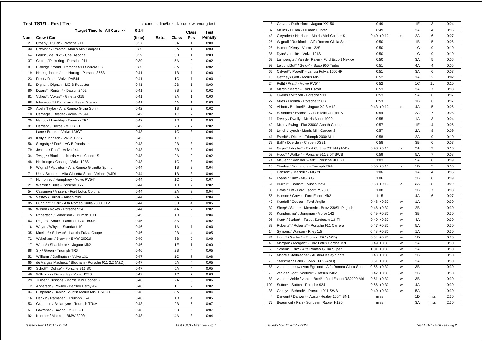| Test TS1/1 - First Tee<br>c=cone s=line/box k=code w=wrong test |                                                     |        |       |       |                         |                |
|-----------------------------------------------------------------|-----------------------------------------------------|--------|-------|-------|-------------------------|----------------|
|                                                                 | Target Time for All Cars >>                         | 0:24   |       |       | <b>Class</b>            | <b>Test</b>    |
| Num                                                             | Crew / Car                                          | (time) | Extra | Class | Pos                     | <b>Penalty</b> |
| 27                                                              | Crosby / Pullan - Porsche 911                       | 0:37   |       | 5A    | 1                       | 0:00           |
| 33                                                              | Entwistle / Procter - Morris Mini Cooper S          | 0:39   |       | 2A    | 1                       | 0:00           |
| 64                                                              | Leurs* / de Rijk* - Opel Ascona                     | 0:39   |       | 3B    | 1                       | 0:00           |
| 37                                                              | Colton / Pickering - Porsche 911                    | 0:39   |       | 5A    | $\overline{\mathbf{c}}$ | 0:02           |
| 87                                                              | Bloxidge / Youd - Porsche 911 Carrera 2.7           | 0:39   |       | 5A    | $\overline{2}$          | 0:02           |
| 19                                                              | Naaktgeboren / den Hartog - Porsche 356B            | 0:41   |       | 1B    | 1                       | 0:00           |
| 23                                                              | Frost / Frost - Volvo PV544                         | 0:41   |       | 1C    | $\mathbf{1}$            | 0:00           |
| 51                                                              | Dignan / Dignan - MG B Roadster                     | 0:41   |       | 2B    | 1                       | 0:00           |
| 80                                                              | Dwars* / Ruijten* - Datsun 240Z                     | 0:41   |       | 3B    | $\overline{2}$          | 0:02           |
| 81                                                              | Vokes* / Vokes* - Ginetta G15                       | 0:41   |       | 3A    | 1                       | 0:00           |
| 98                                                              | Isherwood* / Canavan - Nissan Stanza                | 0:41   |       | 4A    | $\mathbf{1}$            | 0:00           |
| 20                                                              | Abel / Taylor - Alfa Romeo Giulia Sprint            | 0:42   |       | 1B    | $\overline{2}$          | 0:02           |
| 10                                                              | Carnegie / Bosdet - Volvo PV544                     | 0:42   |       | 1C    | $\overline{2}$          | 0:02           |
| 25                                                              | Hancox / Lambley - Triumph TR4                      | 0:42   |       | 1D    | 1                       | 0:00           |
| 91                                                              | Harrison / Boyce - MG B GT                          | 0:42   |       | 2B    | $\overline{2}$          | 0:02           |
| $\mathbf{1}$                                                    | Lane / Brooks - Volvo 123GT                         | 0:43   |       | 1C    | 3                       | 0:04           |
| 49                                                              | Kelly / Johnson - Volvo 122S                        | 0:43   |       | 1C    | 3                       | 0:04           |
| 56                                                              | Slingsby* / Fox* - MG B Roadster                    | 0:43   |       | 2B    | 3                       | 0:04           |
| 79                                                              | Jenkins / Phaff - Volvo 144                         | 0:43   |       | 3B    | 3                       | 0:04           |
| 34                                                              | Twigg* / Blackett - Morris Mini Cooper S            | 0:43   |       | 2A    | $\overline{2}$          | 0:02           |
| 48                                                              | Hockridge / Gosling - Volvo 122S                    | 0:43   |       | 1C    | 3                       | 0:04           |
| 9                                                               | Wignall / Appleton - Alfa Romeo Giulietta Sprint    | 0:44   |       | 1B    | 3                       | 0:04           |
| 71                                                              | Ulm / Soucek* - Alfa Giulietta Spider Veloce (A&D)  | 0:44   |       | 1B    | 3                       | 0:04           |
| $\overline{7}$                                                  | Humphrey / Humphrey - Volvo PV544                   | 0:44   |       | 1C    | 6                       | 0:07           |
| 21                                                              | Warren / Tullie - Porsche 356                       | 0:44   |       | 1D    | $\overline{2}$          | 0:02           |
| 54                                                              | Cassimon / Vissers - Ford Lotus Cortina             | 0:44   |       | 2A    | 3                       | 0:04           |
| 76                                                              | Vestey / Turner - Austin Mini                       | 0:44   |       | 2A    | 3                       | 0:04           |
| 85                                                              | Dunning* / Carr - Alfa Romeo Giulia 2000 GTV        | 0:44   |       | 3B    | $\overline{4}$          | 0:05           |
| 96                                                              | Wilson / Vokes - Porsche 924                        | 0:44   |       | 4A    | 2                       | 0:02           |
| 5                                                               | Robertson / Robertson - Triumph TR3                 | 0:45   |       | 1D    | 3                       | 0:04           |
| 63                                                              | Rogers / Shute - Lancia Fulvia 1600HF               | 0:45   |       | 3A    | $\overline{2}$          | 0:02           |
| 6                                                               | Whyte / Whyte - Standard 10                         | 0:46   |       | 1A    | $\mathbf{1}$            | 0:00           |
| 35                                                              | Mueller* / Schwab* - Lancia Fulvia Coupe            | 0:46   |       | 2B    | 4                       | 0:05           |
| 72                                                              | Wykeham* / Brown* - BMW 2002tii                     | 0:46   |       | 3B    | 5                       | 0:06           |
| 17                                                              | Worts* / Shackleton* - Jaguar Mk2                   | 0:46   |       | 1E    | 1                       | 0:00           |
| 88                                                              | Sly / Green - Triumph TR6                           | 0:46   |       | 2B    | 4                       | 0:05           |
| 52                                                              | Williams / Darlington - Volvo 131                   | 0:47   |       | 1C    | 7                       | 0:08           |
| 65                                                              | de Vargas Machuca / Bloxham - Porsche 911 2.2 (A&D) | 0:47   |       | 5A    | 4                       | 0:05           |
| 93                                                              | Schott* / Dohse* - Porsche 911 SC                   | 0:47   |       | 5A    | $\overline{4}$          | 0:05           |
| 46                                                              | Willcocks / Dunkerley - Volvo 122S                  | 0:47   |       | 1C    | $\overline{7}$          | 0:08           |
| 29                                                              | Turner / Cussons - Morris Mini Cooper S             | 0:48   |       | 2A    | 5                       | 0:06           |
| $\overline{2}$                                                  | Anderson / Powley - Bentley Derby 41/4              | 0:48   |       | 1E    | $\overline{2}$          | 0:02           |
| 94                                                              | Simpson* / Doble* - Austin Morris Mini 1275GT       | 0:48   |       | 3A    | 3                       | 0:04           |
| 16                                                              | Hankin / Ramsden - Triumph TR4                      | 0:48   |       | 1D    | $\overline{4}$          | 0:05           |
| 53                                                              | Galashan / Ballantyne - Triumph TR4A                | 0:48   |       | 2B    | 6                       | 0:07           |
| 57                                                              | Lawrence / Davies - MG B GT                         | 0:48   |       | 2B    | 6                       | 0:07           |
| 92                                                              | Koerner / Maeker - BMW 320/4                        | 0:48   |       | 4A    | 3                       | 0:04           |
|                                                                 |                                                     |        |       |       |                         |                |

| 8   | Graves / Rutherford - Jaguar XK150                    | 0:49          |   | 1E        | 3              | 0:04 |
|-----|-------------------------------------------------------|---------------|---|-----------|----------------|------|
| 82  | Malins / Pullan - Hillman Hunter                      | 0:49          |   | 3A        | 4              | 0:05 |
| 43  | Cleyndert / Harrison - Morris Mini Cooper S           | $0:40 + 0:10$ | s | 2A        | 6              | 0:07 |
| 26  | Wignall / Rushforth - Alfa Romeo Giulia Sprint        | 0:50          |   | 1B        | 5              | 0:06 |
| 28  | Hamer / Kerry - Volvo 122S                            | 0:50          |   | 1C        | 9              | 0:10 |
| 36  | Dyas* / Kellitt* - Volvo 121S                         | 0:50          |   | 1C        | 9              | 0:10 |
| 69  | Lamberigts / Van der Palen - Ford Escort Mexico       | 0:50          |   | 3A        | 5              | 0:06 |
| 99  | LeibundGut* / Geigy* - Saab 900 Turbo                 | 0:51          |   | 4A        | 4              | 0:05 |
| 62  | Calvert* / Powell* - Lancia Fulvia 1600HF             | 0:51          |   | 3A        | 6              | 0:07 |
| 18  | Gaffney / Goff - Morris Mini                          | 0:52          |   | 1A        | $\overline{2}$ | 0:02 |
| 24  | Pettit / Watt* - Volvo PV544                          | 0:52          |   | 1C        | 11             | 0:10 |
| 84  | Martin / Martin - Ford Escort                         | 0:53          |   | 3A        | $\overline{7}$ | 0:08 |
| 39  | Owens / Mitchell - Porsche 911                        | 0:53          |   | 5A        | 6              | 0:07 |
| 22  | Miles / Elcomb - Porsche 356B                         | 0:53          |   | 1B        | 6              | 0:07 |
| 97  | Abbott / Bricknell* - Jaguar XJ-S V12                 | $0:43 +0:10$  | c | 4A        | 5              | 0:06 |
| 67  | Haselden / Evans* - Austin Mini Cooper S              | 0:54          |   | 2A        | $\overline{7}$ | 0:08 |
| 11  | Dwelly / Dwelly - Morris Minor 1000                   | 0:55          |   | 1A        | 3              | 0:04 |
| 40  | Moss / Ewing - Fiat 2300S Abarth Coupe                | 0:57          |   | 1E        | 4              | 0:05 |
| 59  | Lynch / Lynch - Morris Mini Cooper S                  | 0:57          |   | 2A        | 8              | 0:09 |
| 41  | Everitt* / Dixon* - Triumph 2000 Mkl                  | 0:58          |   | 2A        | 9              | 0:10 |
| 73  | Ball* / Duerden - Citroen DS21                        | 0:58          |   | 3B        | 6              | 0:07 |
| 44  |                                                       |               |   |           | 9              |      |
|     | Geyer* / Voglar* - Ford Cortina GT MkI (A&D)          | $0:48 + 0:10$ | s | 2A        | $\overline{7}$ | 0:10 |
| 58  | Hood* / Walker* - Porsche 911 2.0T SWB                | 0:59          |   | <b>5A</b> |                | 0:08 |
| 74  | Meulen* / Van der Werf* - Porsche 911 ST              | 1:03          |   | 5A        | 8              | 0:09 |
| 15  | Stanley / Northmore - Triumph TR4                     | $0:55 + 0:10$ | s | 1D        | 5              | 0:06 |
| 3   | Hanson* / Mackrill* - MG YB                           | 1:06          |   | 1A        | $\overline{4}$ | 0:05 |
| 47  | Evans / Kunz - MG B GT                                | 1:06          |   | 2B        | 8              | 0:09 |
| 61  | Burrell* / Barker* - Austin Maxi                      | $0:58 + 0:10$ | C | 3A        | 8              | 0:09 |
| 86  | Davis / Kiff - Ford Escort RS2000                     | 1:08          |   | 3B        | $\overline{7}$ | 0:08 |
| 55  | Hanson / Grove - Ford Escort Mk2                      | 1:15          |   | 4A        | 6              | 0:07 |
| 42  | Kendall / Cooper - Ford Anglia                        | $0:48 + 0:30$ | w | 1A        |                | 0:30 |
| 32  | Sleep* / Sleep* - Mercedes-Benz 230SL Pagoda          | $0:46 + 0:30$ | W | 2B        |                | 0:30 |
| 66  | Kuindersma* / Jongman - Volvo 142                     | $0:49 + 0:30$ | W | 3B        |                | 0:30 |
| 95  | Kent* / Barker* - Talbot Sunbeam 1.6 Ti               | $0:49 + 0:30$ | W | 4A        |                | 0:30 |
| 89  | Roberts* / Roberts* - Porsche 911 Carrera             | $0:47 + 0:30$ | W | 5A        |                | 0:30 |
| 14  | Symons / Watson - Riley 1.5                           | $0:48 + 0:30$ | W | 1A        |                | 0:30 |
| 31  | Lingg* / Gerber* - Triumph TR4 (A&D)                  | $0:54 + 0:30$ | W | 1D        |                | 0:30 |
| 45  | Morgan* / Morgan* - Ford Lotus Cortina Mkl            | $0:49 + 0:30$ | W | 2A        |                | 0:30 |
| 60  | Schenk / Frik* - Alfa Romeo Giulia Super              | $1:01 + 0:30$ | W | 2A        |                | 0:30 |
| 12  | Moore / Stellmacher - Austin-Healey Sprite            | $0:48 + 0:30$ | W | 2B        |                | 0:30 |
| 78  | Stockmar / Baier - BMW 1602 (A&D)                     | $0:51 + 0:30$ | W | 3A        |                | 0:30 |
| 68  | van der Leeuw / van Egmond - Alfa Romeo Giulia Super  | $0:56 + 0:30$ | W | 3B        |                | 0:30 |
| 75  | van der Goot / Wellink* - Datsun 240Z                 | $0:42 +0:30$  | w | 3B        |                | 0:30 |
| 83  | van der Velde / van de Boel* - Ford Escort RS2000 Mkl | $0:51 + 0:30$ | W | 3B        |                | 0:30 |
| 100 | Sutton* / Sutton - Porsche 924                        | $0:56 + 0:30$ | w | 4A        |                | 0:30 |
| 38  | Gresly* / Behrndt* - Porsche 911 SWB                  | $0:40 + 0:30$ | w | <b>5A</b> |                | 0:30 |
| 4   | Darwent / Darwent - Austin-Healey 100/4 BN1           | miss          |   | 1D        | miss           | 2:30 |
| 77  | Beaumont / Fish - Sunbeam Rapier H120                 | miss          |   | 3A        | miss           | 2:30 |
|     |                                                       |               |   |           |                |      |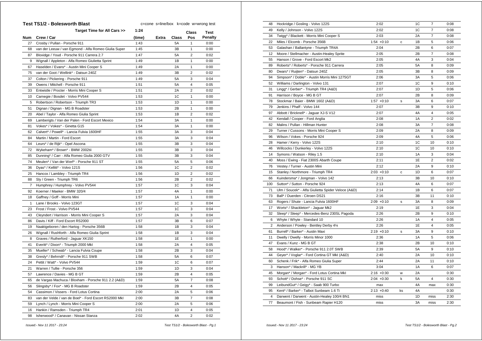|                | <b>Test TS1/2 - Bolesworth Blast</b>                  | c=cone s=line/box k=code w=wrong test |       |                |                |         |
|----------------|-------------------------------------------------------|---------------------------------------|-------|----------------|----------------|---------|
|                | Target Time for All Cars >>                           | 1:24                                  |       |                | <b>Class</b>   | Test    |
| Num            | Crew / Car                                            | (time)                                | Extra | <b>Class</b>   | Pos            | Penalty |
| 27             | Crosby / Pullan - Porsche 911                         | 1:43                                  |       | 5A             | $\mathbf{1}$   | 0:00    |
| 68             | van der Leeuw / van Egmond - Alfa Romeo Giulia Super  | 1:45                                  |       | 3B             | 1              | 0:00    |
| 87             | Bloxidge / Youd - Porsche 911 Carrera 2.7             | 1:47                                  |       | 5A             | $\overline{2}$ | 0:02    |
| 9              | Wignall / Appleton - Alfa Romeo Giulietta Sprint      | 1:49                                  |       | 1B             | 1              | 0:00    |
| 67             | Haselden / Evans* - Austin Mini Cooper S              | 1:49                                  |       | 2A             | 1              | 0:00    |
| 75             | van der Goot / Wellink* - Datsun 240Z                 | 1:49                                  |       | 3B             | $\overline{2}$ | 0:02    |
| 37             | Colton / Pickering - Porsche 911                      | 1:49                                  |       | <b>5A</b>      | 3              | 0:04    |
| 39             | Owens / Mitchell - Porsche 911                        | 1:51                                  |       | 5A             | $\overline{4}$ | 0:05    |
| 33             | Entwistle / Procter - Morris Mini Cooper S            | 1:51                                  |       | 2A             | $\overline{2}$ | 0:02    |
| 10             | Carnegie / Bosdet - Volvo PV544                       | 1:53                                  |       | 1C             | $\mathbf{1}$   | 0:00    |
| 5              | Robertson / Robertson - Triumph TR3                   | 1:53                                  |       | 1D             | $\mathbf{1}$   | 0:00    |
| 51             | Dignan / Dignan - MG B Roadster                       | 1:53                                  |       | 2B             | $\mathbf{1}$   | 0:00    |
| 20             | Abel / Taylor - Alfa Romeo Giulia Sprint              | 1:53                                  |       | 1B             | $\overline{2}$ | 0:02    |
| 69             | Lamberigts / Van der Palen - Ford Escort Mexico       | 1:54                                  |       | 3A             | 1              | 0:00    |
| 81             | Vokes* / Vokes* - Ginetta G15                         | 1:54                                  |       | 3A             | 1              | 0:00    |
| 62             | Calvert* / Powell* - Lancia Fulvia 1600HF             | 1:55                                  |       | 3A             | 3              | 0:04    |
| 84             | Martin / Martin - Ford Escort                         | 1:55                                  |       | 3A             | 3              | 0:04    |
| 64             | Leurs* / de Rijk* - Opel Ascona                       | 1:55                                  |       | 3B             | 3              | 0:04    |
| 72             | Wykeham* / Brown* - BMW 2002tii                       | 1:55                                  |       | 3B             | 3              | 0:04    |
| 85             | Dunning* / Carr - Alfa Romeo Giulia 2000 GTV          | 1:55                                  |       | 3B             | 3              | 0:04    |
| 74             | Meulen* / Van der Werf* - Porsche 911 ST              | 1:55                                  |       | 5A             | 5              | 0:06    |
| 36             | Dyas* / Kellitt* - Volvo 121S                         | 1:56                                  |       | 1 <sup>C</sup> | $\overline{2}$ | 0:02    |
| 25             | Hancox / Lambley - Triumph TR4                        | 1:56                                  |       | 1D             | $\overline{2}$ | 0:02    |
| 88             | Sly / Green - Triumph TR6                             | 1:56                                  |       | 2B             | $\overline{2}$ | 0:02    |
| $\overline{7}$ | Humphrey / Humphrey - Volvo PV544                     | 1:57                                  |       | 1C             | 3              | 0:04    |
| 92             | Koerner / Maeker - BMW 320/4                          | 1:57                                  |       | 4A             | $\mathbf{1}$   | 0:00    |
| 18             | Gaffney / Goff - Morris Mini                          | 1:57                                  |       | 1A             | 1              | 0:00    |
| 1              | Lane / Brooks - Volvo 123GT                           | 1:57                                  |       | 1C             | 3              | 0:04    |
| 23             | Frost / Frost - Volvo PV544                           | 1:57                                  |       | 1C             | 3              | 0:04    |
| 43             | Cleyndert / Harrison - Morris Mini Cooper S           | 1:57                                  |       | 2A             | 3              | 0:04    |
| 86             | Davis / Kiff - Ford Escort RS2000                     | 1:57                                  |       | 3B             | 6              | 0:07    |
| 19             | Naaktgeboren / den Hartog - Porsche 356B              | 1:58                                  |       | 1B             | 3              | 0:04    |
| 26             | Wignall / Rushforth - Alfa Romeo Giulia Sprint        | 1:58                                  |       | 1B             | 3              | 0:04    |
| 8              | Graves / Rutherford - Jaguar XK150                    | 1:58                                  |       | 1E             | $\mathbf{1}$   | 0:00    |
| 41             | Everitt* / Dixon* - Triumph 2000 Mkl                  | 1:58                                  |       | 2A             | $\overline{4}$ | 0:05    |
| 35             | Mueller* / Schwab* - Lancia Fulvia Coupe              | 1:58                                  |       | 2B             | 3              | 0:04    |
| 38             | Gresly* / Behrndt* - Porsche 911 SWB                  | 1:58                                  |       | <b>5A</b>      | 6              | 0:07    |
| 24             | Pettit / Watt* - Volvo PV544                          | 1:59                                  |       | 1 <sup>C</sup> | 6              | 0:07    |
| 21             | Warren / Tullie - Porsche 356                         | 1:59                                  |       | 1 <sub>D</sub> | 3              | 0:04    |
| 57             | Lawrence / Davies - MG B GT                           | 1:59                                  |       | 2B             | 4              | 0:05    |
| 65             | de Vargas Machuca / Bloxham - Porsche 911 2.2 (A&D)   | 1:59                                  |       | <b>5A</b>      | $\overline{7}$ | 0:08    |
| 56             | Slingsby* / Fox* - MG B Roadster                      | 1:59                                  |       | 2B             | 4              | 0:05    |
| 54             | Cassimon / Vissers - Ford Lotus Cortina               | 2:00                                  |       | 2A             | 5              | 0:06    |
| 83             | van der Velde / van de Boel* - Ford Escort RS2000 Mkl | 2:00                                  |       | 3B             | $\overline{7}$ | 0:08    |
| 59             | Lynch / Lynch - Morris Mini Cooper S                  | 2:00                                  |       | 2A             | 5              | 0:06    |
| 16             | Hankin / Ramsden - Triumph TR4                        | 2:01                                  |       | 1D             | 4              | 0:05    |
| 98             | Isherwood* / Canavan - Nissan Stanza                  | 2:02                                  |       | 4A             | $\overline{2}$ | 0:02    |

| 48             | Hockridge / Gosling - Volvo 122S                   | 2:02          |    | 1C        | $\overline{7}$ | 0:08 |
|----------------|----------------------------------------------------|---------------|----|-----------|----------------|------|
| 49             | Kelly / Johnson - Volvo 122S                       | 2:02          |    | 1C        | $\overline{7}$ | 0:08 |
| 34             | Twigg* / Blackett - Morris Mini Cooper S           | 2:03          |    | 2A        | $\overline{7}$ | 0:08 |
| 22             | Miles / Elcomb - Porsche 356B                      | $1:54 +0:10$  | с  | 1B        | 5              | 0:06 |
| 53             | Galashan / Ballantyne - Triumph TR4A               | 2:04          |    | 2B        | 6              | 0:07 |
| 12             | Moore / Stellmacher - Austin-Healey Sprite         | 2:05          |    | 2B        | 7              | 0:08 |
| 55             | Hanson / Grove - Ford Escort Mk2                   | 2:05          |    | 4A        | 3              | 0:04 |
| 89             | Roberts* / Roberts* - Porsche 911 Carrera          | 2:05          |    | <b>5A</b> | 8              | 0:09 |
| 80             | Dwars* / Ruijten* - Datsun 240Z                    | 2:05          |    | 3B        | 8              | 0:09 |
| 94             | Simpson* / Doble* - Austin Morris Mini 1275GT      | 2:06          |    | 3A        | 5              | 0:06 |
| 52             | Williams / Darlington - Volvo 131                  | 2:07          |    | 1C        | 9              | 0:10 |
| 31             | Lingg* / Gerber* - Triumph TR4 (A&D)               | 2:07          |    | 1D        | 5              | 0:06 |
| 91             | Harrison / Boyce - MG B GT                         | 2:07          |    | 2B        | 8              | 0:09 |
| 78             | Stockmar / Baier - BMW 1602 (A&D)                  | $1:57 +0:10$  | S  | ЗA        | 6              | 0:07 |
| 79             | Jenkins / Phaff - Volvo 144                        | 2:07          |    | 3B        | 9              | 0:10 |
| 97             | Abbott / Bricknell* - Jaguar XJ-S V12              | 2:07          |    | 4A        | 4              | 0:05 |
| 42             | Kendall / Cooper - Ford Anglia                     | 2:08          |    | 1A        | $\overline{2}$ | 0:02 |
| 82             | Malins / Pullan - Hillman Hunter                   | 2:08          |    | 3A        | $\overline{7}$ | 0:08 |
| 29             | Turner / Cussons - Morris Mini Cooper S            | 2:09          |    | 2A        | 8              | 0:09 |
| 96             | Wilson / Vokes - Porsche 924                       | 2:09          |    | 4A        | 5              | 0:06 |
| 28             | Hamer / Kerry - Volvo 122S                         | 2:10          |    | 1C        | 10             | 0:10 |
| 46             | Willcocks / Dunkerley - Volvo 122S                 | 2:10          |    | 1C        | 10             | 0:10 |
| 14             | Symons / Watson - Riley 1.5                        | 2:10          |    | 1A        | 3              | 0:04 |
| 40             | Moss / Ewing - Fiat 2300S Abarth Coupe             | 2:11          |    | 1E        | $\overline{2}$ | 0:02 |
| 76             | Vestey / Turner - Austin Mini                      | 2:12          |    | 2A        | 9              | 0:10 |
| 15             | Stanley / Northmore - Triumph TR4                  | $2:03 +0:10$  | с  | 1D        | 6              | 0:07 |
| 66             | Kuindersma* / Jongman - Volvo 142                  | 2:13          |    | 3B        | 10             | 0:10 |
| 100            | Sutton* / Sutton - Porsche 924                     | 2:13          |    | 4A        | 6              | 0:07 |
| 71             | Ulm / Soucek* - Alfa Giulietta Spider Veloce (A&D) | 2:14          |    | 1B        | 6              | 0:07 |
| 73             | Ball* / Duerden - Citroen DS21                     | 2:16          |    | 3B        | 11             | 0:10 |
| 63             | Rogers / Shute - Lancia Fulvia 1600HF              | $2:09 +0:10$  | s  | 3A        | 8              | 0:09 |
| 17             | Worts* / Shackleton* - Jaguar Mk2                  | 2:19          |    | 1E        | 3              | 0:04 |
| 32             | Sleep* / Sleep* - Mercedes-Benz 230SL Pagoda       | 2:26          |    | 2B        | 9              | 0:10 |
| 6              | Whyte / Whyte - Standard 10                        | 2:26          |    | 1A        | 4              | 0:05 |
| $\overline{2}$ | Anderson / Powley - Bentley Derby 41/4             | 2:26          |    | 1E        | 4              | 0:05 |
| 61             | Burrell* / Barker* - Austin Maxi                   | $2:19 + 0:10$ | S  | ЗA        | 9              | 0:10 |
| 11             | Dwelly / Dwelly - Morris Minor 1000                | 2:36          |    | 1A        | 5              | 0:06 |
| 47             | Evans / Kunz - MG B GT                             | 2:38          |    | 2B        | 10             | 0:10 |
| 58             | Hood* / Walker* - Porsche 911 2.0T SWB             | 2:39          |    | <b>5A</b> | 9              | 0:10 |
| 44             | Geyer* / Voglar* - Ford Cortina GT MkI (A&D)       | 2:40          |    | 2A        | 10             | 0:10 |
| 60             |                                                    | 2:44          |    | 2A        | 11             |      |
|                | Schenk / Frik* - Alfa Romeo Giulia Super           |               |    |           | 6              | 0:10 |
| 3              | Hanson* / Mackrill* - MG YB                        | 3:04          |    | 1A        |                | 0:07 |
| 45             | Morgan* / Morgan* - Ford Lotus Cortina Mkl         | $2:16 + 0:30$ | W  | 2A        |                | 0:30 |
| 93             | Schott* / Dohse* - Porsche 911 SC                  | $2:04 +0:30$  | k  | <b>5A</b> | 4              | 0:30 |
| 99             | LeibundGut* / Geigy* - Saab 900 Turbo              | max           |    | 4A        | max            | 0:30 |
| 95             | Kent* / Barker* - Talbot Sunbeam 1.6 Ti            | $2:13 + 0:40$ | ks | 4A        |                | 0:30 |
| $\overline{4}$ | Darwent / Darwent - Austin-Healey 100/4 BN1        | miss          |    | 1D        | miss           | 2:30 |
| 77             | Beaumont / Fish - Sunbeam Rapier H120              | miss          |    | 3A        | miss           | 2:30 |

 *Issued:- Nov 11 2017 - 23:24 Test TS1/2 - Bolesworth Blast - Pg.1*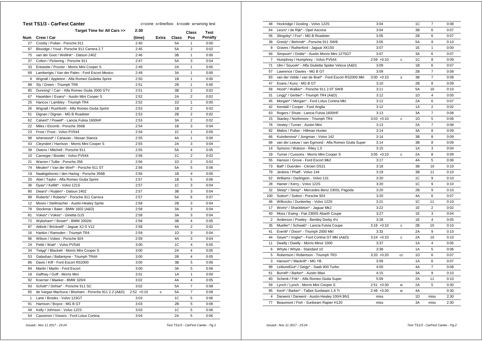|     | <b>Test TS1/3 - CarFest Canter</b>                  |              | c=cone s=line/box k=code w=wrong test |       |                |             |
|-----|-----------------------------------------------------|--------------|---------------------------------------|-------|----------------|-------------|
|     | Target Time for All Cars >>                         | 2:30         |                                       |       | Class          | <b>Test</b> |
| Num | Crew / Car                                          | (time)       | Extra                                 | Class | Pos            | Penalty     |
| 27  | Crosby / Pullan - Porsche 911                       | 2:40         |                                       | 5A    | 1              | 0:00        |
| 87  | Bloxidge / Youd - Porsche 911 Carrera 2.7           | 2:45         |                                       | 5A    | 2              | 0:02        |
| 75  | van der Goot / Wellink* - Datsun 240Z               | 2:46         |                                       | 3B    | 1              | 0:00        |
| 37  | Colton / Pickering - Porsche 911                    | 2:47         |                                       | 5A    | 3              | 0:04        |
| 33  | Entwistle / Procter - Morris Mini Cooper S          | 2:49         |                                       | 2A    | 1              | 0:00        |
| 69  | Lamberigts / Van der Palen - Ford Escort Mexico     | 2:49         |                                       | ЗA    | 1              | 0:00        |
| 9   | Wignall / Appleton - Alfa Romeo Giulietta Sprint    | 2:50         |                                       | 1B    | 1              | 0:00        |
| 88  | Sly / Green - Triumph TR6                           | 2:51         |                                       | 2B    | $\mathbf{1}$   | 0:00        |
| 85  | Dunning* / Carr - Alfa Romeo Giulia 2000 GTV        | 2:51         |                                       | 3B    | 2              | 0:02        |
| 67  | Haselden / Evans* - Austin Mini Cooper S            | 2:52         |                                       | 2Α    | $\overline{2}$ | 0:02        |
| 25  | Hancox / Lambley - Triumph TR4                      | 2:52         |                                       | 1D    | 1              | 0:00        |
| 26  | Wignall / Rushforth - Alfa Romeo Giulia Sprint      | 2:53         |                                       | 1B    | 2              | 0:02        |
| 51  | Dignan / Dignan - MG B Roadster                     | 2:53         |                                       | 2B    | 2              | 0:02        |
| 62  | Calvert* / Powell* - Lancia Fulvia 1600HF           | 2:53         |                                       | ЗA    | 2              | 0:02        |
| 22  | Miles / Elcomb - Porsche 356B                       | 2:54         |                                       | 1B    | 3              | 0:04        |
| 23  | Frost / Frost - Volvo PV544                         | 2:54         |                                       | 1C    | 1              | 0:00        |
| 98  | Isherwood* / Canavan - Nissan Stanza                | 2:55         |                                       | 4A    | 1              | 0:00        |
| 43  | Cleyndert / Harrison - Morris Mini Cooper S         | 2:55         |                                       | 2A    | 3              | 0:04        |
| 39  | Owens / Mitchell - Porsche 911                      | 2:55         |                                       | 5Α    | 4              | 0:05        |
| 10  | Carnegie / Bosdet - Volvo PV544                     | 2:56         |                                       | 1C    | 2              | 0:02        |
| 21  | Warren / Tullie - Porsche 356                       | 2:56         |                                       | 1D    | 2              | 0:02        |
| 74  | Meulen* / Van der Werf* - Porsche 911 ST            | 2:56         |                                       | 5A    | 5              | 0:06        |
| 19  | Naaktgeboren / den Hartog - Porsche 356B            | 2:56         |                                       | 1В    | 4              | 0:05        |
| 20  | Abel / Taylor - Alfa Romeo Giulia Sprint            | 2:57         |                                       | 1B    | 5              | 0:06        |
| 36  | Dyas* / Kellitt* - Volvo 121S                       | 2:57         |                                       | 1C    | 3              | 0:04        |
| 80  | Dwars* / Ruijten* - Datsun 240Z                     | 2:57         |                                       | 3B    | 3              | 0:04        |
| 89  | Roberts* / Roberts* - Porsche 911 Carrera           | 2:57         |                                       | 5A    | 6              | 0:07        |
| 12  | Moore / Stellmacher - Austin-Healey Sprite          | 2:58         |                                       | 2B    | 3              | 0:04        |
| 78  | Stockmar / Baier - BMW 1602 (A&D)                   | 2:58         |                                       | ЗA    | 3              | 0:04        |
| 81  | Vokes* / Vokes* - Ginetta G15                       | 2:58         |                                       | ЗA    | 3              | 0:04        |
| 72  | Wykeham* / Brown* - BMW 2002tii                     | 2:58         |                                       | 3B    | 4              | 0:05        |
| 97  | Abbott / Bricknell* - Jaguar XJ-S V12               | 2:58         |                                       | 4A    | 2              | 0:02        |
| 16  | Hankin / Ramsden - Triumph TR4                      | 2:59         |                                       | 1D    | 3              | 0:04        |
| 96  | Wilson / Vokes - Porsche 924                        | 2:59         |                                       | 4A    | 3              | 0:04        |
| 24  | Pettit / Watt* - Volvo PV544                        | 3:00         |                                       | 1C    | 4              | 0:05        |
| 34  | Twigg* / Blackett - Morris Mini Cooper S            | 3:00         |                                       | 2A    | 4              | 0:05        |
| 53  | Galashan / Ballantyne - Triumph TR4A                | 3:00         |                                       | 2B    | 4              | 0:05        |
| 86  | Davis / Kiff - Ford Escort RS2000                   | 3:00         |                                       | 3B    | 5              | 0:06        |
| 84  | Martin / Martin - Ford Escort                       | 3:00         |                                       | ЗA    | 5              | 0:06        |
| 18  | Gaffney / Goff - Morris Mini                        | 3:01         |                                       | 1A    | 1              | 0:00        |
| 92  | Koerner / Maeker - BMW 320/4                        | 3:02         |                                       | 4Α    | 4              | 0:05        |
| 93  | Schott* / Dohse* - Porsche 911 SC                   | 3:02         |                                       | 5A    | $\overline{7}$ | 0:08        |
| 65  | de Vargas Machuca / Bloxham - Porsche 911 2.2 (A&D) | $2:52 +0:10$ | s                                     | 5A    | $\overline{7}$ | 0:08        |
| 1   | Lane / Brooks - Volvo 123GT                         | 3:03         |                                       | 1C    | 5              | 0:06        |
| 91  | Harrison / Boyce - MG B GT                          | 3:03         |                                       | 2В    | 5              | 0:06        |
| 49  | Kelly / Johnson - Volvo 122S                        | 3:03         |                                       | 1C    | 5              | 0:06        |
| 54  | Cassimon / Vissers - Ford Lotus Cortina             | 3:04         |                                       | 2A    | 5              | 0:06        |

| 48             | Hockridge / Gosling - Volvo 122S                      | 3:04          |    | 1C | $\overline{\mathcal{I}}$ | 0:08 |
|----------------|-------------------------------------------------------|---------------|----|----|--------------------------|------|
| 64             | Leurs* / de Rijk* - Opel Ascona                       | 3:04          |    | 3B | 6                        | 0:07 |
| 56             | Slingsby* / Fox* - MG B Roadster                      | 3:05          |    | 2B | 6                        | 0:07 |
| 38             | Gresly* / Behrndt* - Porsche 911 SWB                  | 3:05          |    | 5A | 9                        | 0:10 |
| 8              | Graves / Rutherford - Jaguar XK150                    | 3:07          |    | 1E | 1                        | 0:00 |
| 94             | Simpson* / Doble* - Austin Morris Mini 1275GT         | 3:07          |    | 3A | 6                        | 0:07 |
| $\overline{7}$ | Humphrey / Humphrey - Volvo PV544                     | $2:59 +0:10$  | c  | 1C | 8                        | 0:09 |
| 71             | Ulm / Soucek* - Alfa Giulietta Spider Veloce (A&D)    | 3:09          |    | 1B | 6                        | 0:07 |
| 57             | Lawrence / Davies - MG B GT                           | 3:09          |    | 2B | $\overline{7}$           | 0:08 |
| 83             | van der Velde / van de Boel* - Ford Escort RS2000 Mkl | $3:00 + 0:10$ | s  | 3B | $\overline{7}$           | 0:08 |
| 47             | Evans / Kunz - MG B GT                                | 3:10          |    | 2B | 8                        | 0:09 |
| 58             | Hood* / Walker* - Porsche 911 2.0T SWB                | 3:11          |    | 5A | 10                       | 0:10 |
| 31             | Lingg* / Gerber* - Triumph TR4 (A&D)                  | 3:12          |    | 1D | 4                        | 0:05 |
| 45             | Morgan* / Morgan* - Ford Lotus Cortina Mkl            | 3:12          |    | 2A | 6                        | 0:07 |
| 42             | Kendall / Cooper - Ford Anglia                        | 3:12          |    | 1A | $\overline{2}$           | 0:02 |
| 63             | Rogers / Shute - Lancia Fulvia 1600HF                 | 3:13          |    | 3A | $\overline{7}$           | 0:08 |
| 15             | Stanley / Northmore - Triumph TR4                     | $3:03 +0:10$  | С  | 1D | 5                        | 0:06 |
| 76             | Vestey / Turner - Austin Mini                         | 3:13          |    | 2A | $\overline{7}$           | 0:08 |
| 82             | Malins / Pullan - Hillman Hunter                      | 3:14          |    | 3A | 8                        | 0:09 |
| 66             | Kuindersma* / Jongman - Volvo 142                     | 3:14          |    | 3B | 8                        | 0:09 |
| 68             | van der Leeuw / van Egmond - Alfa Romeo Giulia Super  | 3:14          |    | 3B | 8                        | 0:09 |
| 14             | Symons / Watson - Riley 1.5                           | 3:15          |    | 1A | 3                        | 0:04 |
| 29             | Turner / Cussons - Morris Mini Cooper S               | $3:05 +0:10$  | C  | 2A | 8                        | 0:09 |
| 55             | Hanson / Grove - Ford Escort Mk2                      | 3:17          |    | 4A | 5                        | 0:06 |
| 73             | Ball* / Duerden - Citroen DS21                        | 3:18          |    | 3B | 10                       | 0:10 |
| 79             | Jenkins / Phaff - Volvo 144                           | 3:19          |    | 3B | 11                       | 0:10 |
| 52             | Williams / Darlington - Volvo 131                     | 3:20          |    | 1C | 9                        | 0:10 |
| 28             | Hamer / Kerry - Volvo 122S                            | 3:20          |    | 1C | 9                        | 0:10 |
| 32             | Sleep* / Sleep* - Mercedes-Benz 230SL Pagoda          | 3:20          |    | 2B | 9                        | 0:10 |
| 100            | Sutton* / Sutton - Porsche 924                        | 3:20          |    | 4A | 6                        | 0:07 |
| 46             | Willcocks / Dunkerley - Volvo 122S                    | 3:21          |    | 1C | 11                       | 0:10 |
| 17             | Worts* / Shackleton* - Jaguar Mk2                     | 3:22          |    | 1E | $\overline{2}$           | 0:02 |
| 40             | Moss / Ewing - Fiat 2300S Abarth Coupe                | 3:27          |    | 1E | 3                        | 0:04 |
| 2              | Anderson / Powley - Bentley Derby 41/4                | 3:28          |    | 1E | $\overline{4}$           | 0:05 |
| 35             | Mueller* / Schwab* - Lancia Fulvia Coupe              | $3:18 + 0:10$ | с  | 2B | 10                       | 0:10 |
| 41             | Everitt* / Dixon* - Triumph 2000 Mkl                  | 3:33          |    | 2A | 9                        | 0:10 |
| 44             | Geyer* / Voglar* - Ford Cortina GT MkI (A&D)          | $3:24 +0:10$  | С  | 2A | 10                       | 0:10 |
| 11             | Dwelly / Dwelly - Morris Minor 1000                   | 3:37          |    | 1A | 4                        | 0:05 |
| 6              | Whyte / Whyte - Standard 10                           | 3:38          |    | 1A | 5                        | 0:06 |
| 5              | Robertson / Robertson - Triumph TR3                   | $3:20 + 0:20$ | CC | 1D | 6                        | 0:07 |
| 3              | Hanson* / Mackrill* - MG YB                           | 3:59          |    | 1A | 6                        | 0:07 |
| 99             | LeibundGut* / Geigy* - Saab 900 Turbo                 | 4:00          |    | 4A | $\overline{7}$           | 0:08 |
| 61             | Burrell* / Barker* - Austin Maxi                      | 4:15          |    | 3A | 9                        | 0:10 |
| 60             | Schenk / Frik* - Alfa Romeo Giulia Super              | 5:09          |    | 2A | 11                       | 0:10 |
| 59             | Lynch / Lynch - Morris Mini Cooper S                  | $2:51 + 0:30$ | W  | 2A | 5                        | 0:30 |
| 95             | Kent* / Barker* - Talbot Sunbeam 1.6 Ti               | $2:48 + 0:30$ | W  | 4A |                          | 0:30 |
| 4              | Darwent / Darwent - Austin-Healey 100/4 BN1           | miss          |    | 1D | miss                     | 2:30 |
| 77             | Beaumont / Fish - Sunbeam Rapier H120                 | miss          |    | 3A | miss                     | 2:30 |
|                |                                                       |               |    |    |                          |      |

 *Issued:- Nov 11 2017 - 23:24 Test TS1/3 - CarFest Canter - Pg.1*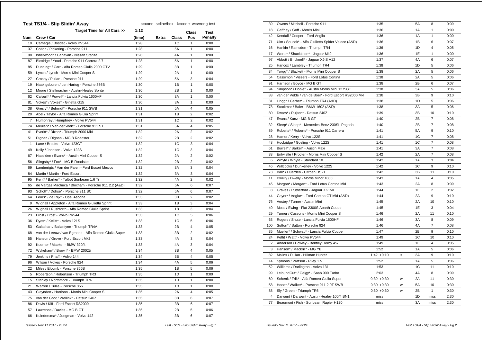| Test TS1/4 - Slip Slidin' Away<br>c=cone s=line/box k=code w=wrong test |                                                      |        |       |                |                |                |
|-------------------------------------------------------------------------|------------------------------------------------------|--------|-------|----------------|----------------|----------------|
|                                                                         | Target Time for All Cars >>                          | 1:12   |       |                | <b>Class</b>   | <b>Test</b>    |
| Num                                                                     | Crew / Car                                           | (time) | Extra | Class          | Pos            | <b>Penalty</b> |
| 10                                                                      | Carnegie / Bosdet - Volvo PV544                      | 1:28   |       | 1C             | 1              | 0:00           |
| 37                                                                      | Colton / Pickering - Porsche 911                     | 1:28   |       | <b>5A</b>      | 1              | 0:00           |
| 98                                                                      | Isherwood* / Canavan - Nissan Stanza                 | 1:28   |       | 4A             | 1              | 0:00           |
| 87                                                                      | Bloxidge / Youd - Porsche 911 Carrera 2.7            | 1:28   |       | <b>5A</b>      | 1              | 0:00           |
| 85                                                                      | Dunning* / Carr - Alfa Romeo Giulia 2000 GTV         | 1:29   |       | 3B             | 1              | 0:00           |
| 59                                                                      | Lynch / Lynch - Morris Mini Cooper S                 | 1:29   |       | 2A             | 1              | 0:00           |
| 27                                                                      | Crosby / Pullan - Porsche 911                        | 1:29   |       | <b>5A</b>      | 3              | 0:04           |
| 19                                                                      | Naaktgeboren / den Hartog - Porsche 356B             | 1:30   |       | 1B             | 1              | 0:00           |
| 12                                                                      | Moore / Stellmacher - Austin-Healey Sprite           | 1:30   |       | 2B             | $\mathbf{1}$   | 0:00           |
| 62                                                                      | Calvert* / Powell* - Lancia Fulvia 1600HF            | 1:30   |       | 3A             | $\mathbf{1}$   | 0:00           |
| 81                                                                      | Vokes* / Vokes* - Ginetta G15                        | 1:30   |       | 3A             | $\mathbf{1}$   | 0:00           |
| 38                                                                      | Gresly* / Behrndt* - Porsche 911 SWB                 | 1:31   |       | <b>5A</b>      | 4              | 0:05           |
| 20                                                                      | Abel / Taylor - Alfa Romeo Giulia Sprint             | 1:31   |       | 1B             | $\overline{2}$ | 0:02           |
| $\overline{7}$                                                          | Humphrey / Humphrey - Volvo PV544                    | 1:31   |       | 1C             | 2              | 0:02           |
| 74                                                                      | Meulen* / Van der Werf* - Porsche 911 ST             | 1:31   |       | <b>5A</b>      | $\overline{4}$ | 0:05           |
| 41                                                                      | Everitt* / Dixon* - Triumph 2000 Mkl                 | 1:32   |       | 2A             | $\overline{2}$ | 0:02           |
| 51                                                                      | Dignan / Dignan - MG B Roadster                      | 1:32   |       | 2B             | $\overline{2}$ | 0:02           |
| 1                                                                       | Lane / Brooks - Volvo 123GT                          | 1:32   |       | 1C             | 3              | 0:04           |
| 49                                                                      | Kelly / Johnson - Volvo 122S                         | 1:32   |       | 1 <sup>C</sup> | 3              | 0:04           |
| 67                                                                      | Haselden / Evans* - Austin Mini Cooper S             | 1:32   |       | 2A             | $\overline{2}$ | 0:02           |
| 56                                                                      | Slingsby* / Fox* - MG B Roadster                     | 1:32   |       | 2B             | $\overline{2}$ | 0:02           |
| 69                                                                      | Lamberigts / Van der Palen - Ford Escort Mexico      | 1:32   |       | 3A             | 3              | 0:04           |
| 84                                                                      | Martin / Martin - Ford Escort                        | 1:32   |       | 3A             | 3              | 0:04           |
| 95                                                                      | Kent* / Barker* - Talbot Sunbeam 1.6 Ti              | 1:32   |       | 4A             | $\overline{2}$ | 0:02           |
| 65                                                                      | de Vargas Machuca / Bloxham - Porsche 911 2.2 (A&D)  | 1:32   |       | <b>5A</b>      | 6              | 0:07           |
| 93                                                                      | Schott* / Dohse* - Porsche 911 SC                    | 1:32   |       | 5A             | 6              | 0:07           |
| 64                                                                      | Leurs* / de Rijk* - Opel Ascona                      | 1:33   |       | 3B             | $\overline{2}$ | 0:02           |
| 9                                                                       | Wignall / Appleton - Alfa Romeo Giulietta Sprint     | 1:33   |       | 1B             | 3              | 0:04           |
| 26                                                                      | Wignall / Rushforth - Alfa Romeo Giulia Sprint       | 1:33   |       | 1B             | 3              | 0:04           |
| 23                                                                      | Frost / Frost - Volvo PV544                          | 1:33   |       | 1 <sup>C</sup> | 5              | 0:06           |
| 36                                                                      | Dyas* / Kellitt* - Volvo 121S                        | 1:33   |       | 1C             | 5              | 0:06           |
| 53                                                                      | Galashan / Ballantyne - Triumph TR4A                 | 1:33   |       | 2B             | $\overline{4}$ | 0:05           |
| 68                                                                      | van der Leeuw / van Egmond - Alfa Romeo Giulia Super | 1:33   |       | 3B             | $\overline{2}$ | 0:02           |
| 55                                                                      | Hanson / Grove - Ford Escort Mk2                     | 1:33   |       | 4A             | 3              | 0:04           |
| 92                                                                      | Koerner / Maeker - BMW 320/4                         | 1:33   |       | 4A             | 3              | 0:04           |
| 72                                                                      | Wykeham* / Brown* - BMW 2002tii                      | 1:34   |       | 3B             | $\overline{4}$ | 0:05           |
| 79                                                                      | Jenkins / Phaff - Volvo 144                          | 1:34   |       | 3B             | 4              | 0:05           |
| 96                                                                      | Wilson / Vokes - Porsche 924                         | 1:34   |       | 4A             | 5              | 0:06           |
| 22                                                                      | Miles / Elcomb - Porsche 356B                        | 1:35   |       | 1B             | 5              | 0:06           |
| 5                                                                       | Robertson / Robertson - Triumph TR3                  | 1:35   |       | 1D             | $\mathbf{1}$   | 0:00           |
| 15                                                                      | Stanley / Northmore - Triumph TR4                    | 1:35   |       | 1D             | $\mathbf{1}$   | 0:00           |
| 21                                                                      | Warren / Tullie - Porsche 356                        | 1:35   |       | 1D             | $\mathbf{1}$   | 0:00           |
| 43                                                                      | Cleyndert / Harrison - Morris Mini Cooper S          | 1:35   |       | 2A             | $\overline{4}$ | 0:05           |
| 75                                                                      | van der Goot / Wellink* - Datsun 240Z                | 1:35   |       | 3B             | 6              | 0:07           |
| 86                                                                      | Davis / Kiff - Ford Escort RS2000                    | 1:35   |       | 3B             | 6              | 0:07           |
| 57                                                                      | Lawrence / Davies - MG B GT                          | 1:35   |       | 2B             | 5              | 0:06           |
| 66                                                                      | Kuindersma* / Jongman - Volvo 142                    | 1:35   |       | 3B             | 6              | 0:07           |
|                                                                         |                                                      |        |       |                |                |                |

| 39             | Owens / Mitchell - Porsche 911                        | 1:35          |   | 5A | 8              | 0:09 |
|----------------|-------------------------------------------------------|---------------|---|----|----------------|------|
| 18             | Gaffney / Goff - Morris Mini                          | 1:36          |   | 1A | 1              | 0:00 |
| 42             | Kendall / Cooper - Ford Anglia                        | 1:36          |   | 1A | $\mathbf{1}$   | 0:00 |
| 71             | Ulm / Soucek* - Alfa Giulietta Spider Veloce (A&D)    | 1:36          |   | 1B | 6              | 0:07 |
| 16             | Hankin / Ramsden - Triumph TR4                        | 1:36          |   | 1D | 4              | 0:05 |
| 17             | Worts* / Shackleton* - Jaguar Mk2                     | 1:36          |   | 1E | $\mathbf{1}$   | 0:00 |
| 97             | Abbott / Bricknell* - Jaquar XJ-S V12                 | 1:37          |   | 4A | 6              | 0:07 |
| 25             | Hancox / Lambley - Triumph TR4                        | 1:38          |   | 1D | 5              | 0:06 |
| 34             | Twigg* / Blackett - Morris Mini Cooper S              | 1:38          |   | 2A | 5              | 0:06 |
| 54             | Cassimon / Vissers - Ford Lotus Cortina               | 1:38          |   | 2A | 5              | 0:06 |
| 91             | Harrison / Boyce - MG B GT                            | 1:38          |   | 2B | 6              | 0:07 |
| 94             | Simpson* / Doble* - Austin Morris Mini 1275GT         | 1:38          |   | 3A | 5              | 0:06 |
| 83             | van der Velde / van de Boel* - Ford Escort RS2000 Mkl | 1:38          |   | 3B | 9              | 0:10 |
| 31             | Lingg* / Gerber* - Triumph TR4 (A&D)                  | 1:38          |   | 1D | 5              | 0:06 |
| 78             | Stockmar / Baier - BMW 1602 (A&D)                     | 1:38          |   | 3A | 5              | 0:06 |
| 80             | Dwars* / Ruijten* - Datsun 240Z                       | 1:39          |   | 3B | 10             | 0:10 |
| 47             | Evans / Kunz - MG B GT                                | 1:40          |   | 2B | $\overline{7}$ | 0:08 |
| 32             | Sleep* / Sleep* - Mercedes-Benz 230SL Pagoda          | 1:40          |   | 2B | $\overline{7}$ | 0:08 |
| 89             | Roberts* / Roberts* - Porsche 911 Carrera             | 1:41          |   | 5A | 9              | 0:10 |
| 28             | Hamer / Kerry - Volvo 122S                            | 1:41          |   | 1C | $\overline{7}$ | 0:08 |
| 48             | Hockridge / Gosling - Volvo 122S                      | 1:41          |   | 1C | $\overline{7}$ | 0:08 |
| 61             | Burrell* / Barker* - Austin Maxi                      | 1:41          |   | 3A | $\overline{7}$ | 0:08 |
| 33             | Entwistle / Procter - Morris Mini Cooper S            | 1:42          |   | 2A | $\overline{7}$ | 0:08 |
| 6              | Whyte / Whyte - Standard 10                           | 1:42          |   | 1A | 3              | 0:04 |
| 46             | Willcocks / Dunkerley - Volvo 122S                    | 1:42          |   | 1C | 9              | 0:10 |
| 73             | Ball* / Duerden - Citroen DS21                        | 1:42          |   | 3B | 11             | 0:10 |
| 11             | Dwelly / Dwelly - Morris Minor 1000                   | 1:43          |   | 1A | 4              | 0:05 |
| 45             |                                                       | 1:43          |   | 2A | 8              | 0:09 |
| 8              | Morgan* / Morgan* - Ford Lotus Cortina Mkl            | 1:44          |   | 1E | $\overline{2}$ | 0:02 |
| 44             | Graves / Rutherford - Jaguar XK150                    | 1:44          |   |    | 9              |      |
|                | Geyer* / Voglar* - Ford Cortina GT MkI (A&D)          |               |   | 2A | 10             | 0:10 |
| 76             | Vestey / Turner - Austin Mini                         | 1:45          |   | 2A |                | 0:10 |
| 40             | Moss / Ewing - Fiat 2300S Abarth Coupe                | 1:45          |   | 1E | 3              | 0:04 |
| 29             | Turner / Cussons - Morris Mini Cooper S               | 1:46          |   | 2A | 11             | 0:10 |
| 63             | Rogers / Shute - Lancia Fulvia 1600HF                 | 1:46          |   | 3A | 8              | 0:09 |
| 100            | Sutton* / Sutton - Porsche 924                        | 1:46          |   | 4A | $\overline{7}$ | 0:08 |
| 35             | Mueller* / Schwab* - Lancia Fulvia Coupe              | 1:47          |   | 2B | 9              | 0:10 |
| 24             | Pettit / Watt* - Volvo PV544                          | 1:49          |   | 1C | 10             | 0:10 |
| $\overline{2}$ | Anderson / Powley - Bentley Derby 41/4                | 1:49          |   | 1E | 4              | 0:05 |
| 3              | Hanson* / Mackrill* - MG YB                           | 1:52          |   | 1A | 5              | 0:06 |
| 82             | Malins / Pullan - Hillman Hunter                      | $1:42 +0:10$  | s | 3A | 9              | 0:10 |
| 14             | Symons / Watson - Riley 1.5                           | 1:52          |   | 1A | 5              | 0:06 |
| 52             | Williams / Darlington - Volvo 131                     | 1:53          |   | 1C | 11             | 0:10 |
| 99             | LeibundGut* / Geigy* - Saab 900 Turbo                 | 2:03          |   | 4A | 8              | 0:09 |
| 60             | Schenk / Frik* - Alfa Romeo Giulia Super              | $0:30 + 0:30$ | W | 2A | 11             | 0:30 |
| 58             | Hood* / Walker* - Porsche 911 2.0T SWB                | $0:30 + 0:30$ | W | 5A | 10             | 0:30 |
| 88             | Sly / Green - Triumph TR6                             | $0:30 + 0:30$ | W | 2B | $\mathbf{1}$   | 0:30 |
| 4              | Darwent / Darwent - Austin-Healey 100/4 BN1           | miss          |   | 1D | miss           | 2:30 |
| 77             | Beaumont / Fish - Sunbeam Rapier H120                 | miss          |   | 3A | miss           | 2:30 |

 *Issued:- Nov 11 2017 - 23:24 Test TS1/4 - Slip Slidin' Away - Pg.1*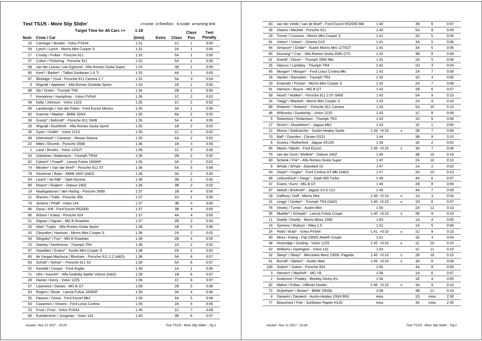|     | Test TS1/5 - More Slip Slidin'                       | c=cone s=line/box k=code w=wrong test |       |       |                |                |
|-----|------------------------------------------------------|---------------------------------------|-------|-------|----------------|----------------|
|     | Target Time for All Cars >>                          | 1:18                                  |       |       | Class          | Test           |
| Num | Crew / Car                                           | (time)                                | Extra | Class | Pos            | <b>Penalty</b> |
| 10  | Carnegie / Bosdet - Volvo PV544                      | 1:31                                  |       | 1C    | 1              | 0:00           |
| 59  | Lynch / Lynch - Morris Mini Cooper S                 | 1:31                                  |       | 2A    | $\mathbf{1}$   | 0:00           |
| 27  | Crosby / Pullan - Porsche 911                        | 1:32                                  |       | 5A    | 1              | 0:00           |
| 37  | Colton / Pickering - Porsche 911                     | 1:32                                  |       | 5А    | 1              | 0:00           |
| 68  | van der Leeuw / van Egmond - Alfa Romeo Giulia Super | 1:33                                  |       | 3B    | $\mathbf{1}$   | 0:00           |
| 95  | Kent* / Barker* - Talbot Sunbeam 1.6 Ti              | 1:33                                  |       | 4A    | 1              | 0:00           |
| 87  | Bloxidge / Youd - Porsche 911 Carrera 2.7            | 1:33                                  |       | 5Α    | 3              | 0:04           |
| 9   | Wignall / Appleton - Alfa Romeo Giulietta Sprint     | 1:34                                  |       | 1В    | 1              | 0:00           |
| 88  | Sly / Green - Triumph TR6                            | 1:34                                  |       | 2B    | 1              | 0:00           |
| 7   | Humphrey / Humphrey - Volvo PV544                    | 1:35                                  |       | 1C    | 2              | 0:02           |
| 49  | Kelly / Johnson - Volvo 122S                         | 1:35                                  |       | 1C    | $\overline{2}$ | 0:02           |
| 69  | Lamberigts / Van der Palen - Ford Escort Mexico      | 1:35                                  |       | ЗΑ    | $\mathbf{1}$   | 0:00           |
| 92  | Koerner / Maeker - BMW 320/4                         | 1:35                                  |       | 4A    | 2              | 0:02           |
| 38  | Gresly* / Behrndt* - Porsche 911 SWB                 | 1:35                                  |       | 5Α    | 4              | 0:05           |
| 26  | Wignall / Rushforth - Alfa Romeo Giulia Sprint       | 1:35                                  |       | 1В    | 2              | 0:02           |
| 36  | Dyas* / Kellitt* - Volvo 121S                        | 1:35                                  |       | 1C    | $\overline{2}$ | 0:02           |
| 98  | Isherwood* / Canavan - Nissan Stanza                 | 1:35                                  |       | 4A    | 2              | 0:02           |
| 22  | Miles / Elcomb - Porsche 356B                        | 1:36                                  |       | 1B    | 3              | 0:04           |
| 1   | Lane / Brooks - Volvo 123GT                          | 1:36                                  |       | 1C    | 5              | 0:06           |
| 53  | Galashan / Ballantyne - Triumph TR4A                 | 1:36                                  |       | 2B    | $\overline{2}$ | 0:02           |
| 62  | Calvert* / Powell* - Lancia Fulvia 1600HF            | 1:36                                  |       | ЗA    | 2              | 0:02           |
| 74  | Meulen* / Van der Werf* - Porsche 911 ST             | 1:36                                  |       | 5A    | 5              | 0:06           |
| 78  | Stockmar / Baier - BMW 1602 (A&D)                    | 1:36                                  |       | 3A    | $\overline{2}$ | 0:02           |
| 64  | Leurs* / de Rijk* - Opel Ascona                      | 1:36                                  |       | 3B    | 2              | 0:02           |
| 80  | Dwars* / Ruijten* - Datsun 240Z                      | 1:36                                  |       | 3B    | 2              | 0:02           |
| 19  | Naaktgeboren / den Hartog - Porsche 356B             | 1:37                                  |       | 1B    | $\overline{4}$ | 0:05           |
| 21  | Warren / Tullie - Porsche 356                        | 1:37                                  |       | 1D    | 1              | 0:00           |
| 79  | Jenkins / Phaff - Volvo 144                          | 1:37                                  |       | 3B    | 4              | 0:05           |
| 86  | Davis / Kiff - Ford Escort RS2000                    | 1:37                                  |       | 3B    | 4              | 0:05           |
| 96  | Wilson / Vokes - Porsche 924                         | 1:37                                  |       | 4A    | 4              | 0:05           |
| 51  | Dignan / Dignan - MG B Roadster                      | 1:37                                  |       | 2B    | 3              | 0:04           |
| 20  | Abel / Taylor - Alfa Romeo Giulia Sprint             | 1:38                                  |       | 1B    | 5              | 0:06           |
| 43  | Cleyndert / Harrison - Morris Mini Cooper S          | 1:38                                  |       | 2A    | 2              | 0:02           |
| 56  | Slingsby* / Fox* - MG B Roadster                     | 1:38                                  |       | 2B    | 4              | 0:05           |
| 15  | Stanley / Northmore - Triumph TR4                    | 1:38                                  |       | 1D    | 2              | 0:02           |
| 67  | Haselden / Evans* - Austin Mini Cooper S             | 1:38                                  |       | 2Α    | 2              | 0:02           |
| 65  | de Vargas Machuca / Bloxham - Porsche 911 2.2 (A&D)  | 1:38                                  |       | 5A    | 6              | 0:07           |
| 93  | Schott* / Dohse* - Porsche 911 SC                    | 1:38                                  |       | 5A    | 6              | 0:07           |
| 42  | Kendall / Cooper - Ford Anglia                       | 1:39                                  |       | 1A    | 1              | 0:00           |
| 71  | Ulm / Soucek* - Alfa Giulietta Spider Veloce (A&D)   | 1:39                                  |       | 1B    | 6              | 0:07           |
| 28  | Hamer / Kerry - Volvo 122S                           | 1:39                                  |       | 1C    | 6              | 0:07           |
| 57  | Lawrence / Davies - MG B GT                          | 1:39                                  |       | 2B    | 5              | 0:06           |
| 63  | Rogers / Shute - Lancia Fulvia 1600HF                | 1:39                                  |       | ЗA    | 4              | 0:05           |
| 55  | Hanson / Grove - Ford Escort Mk2                     | 1:39                                  |       | 4A    | 5              | 0:06           |
| 54  | Cassimon / Vissers - Ford Lotus Cortina              | 1:39                                  |       | 2A    | $\overline{4}$ | 0:05           |
| 23  | Frost / Frost - Volvo PV544                          | 1:40                                  |       | 1C    | $\overline{7}$ | 0:08           |
| 66  | Kuindersma* / Jongman - Volvo 142                    | 1:40                                  |       | 3B    | 6              | 0:07           |
|     |                                                      |                                       |       |       |                |                |

| 83              | van der Velde / van de Boel* - Ford Escort RS2000 Mkl | 1:40          |   | 3B | 6              | 0:07 |
|-----------------|-------------------------------------------------------|---------------|---|----|----------------|------|
| 39              | Owens / Mitchell - Porsche 911                        | 1:40          |   | 5A | 8              | 0:09 |
| 29              | Turner / Cussons - Morris Mini Cooper S               | 1:41          |   | 2A | 5              | 0:06 |
| 81              | Vokes* / Vokes* - Ginetta G15                         | 1:41          |   | 3A | 5              | 0:06 |
| 94              | Simpson* / Doble* - Austin Morris Mini 1275GT         | 1:41          |   | 3A | 5              | 0:06 |
| 85              | Dunning* / Carr - Alfa Romeo Giulia 2000 GTV          | 1:41          |   | 3B | 8              | 0:09 |
| 41              | Everitt* / Dixon* - Triumph 2000 Mkl                  | 1:41          |   | 2A | 5              | 0:06 |
| 25              | Hancox / Lambley - Triumph TR4                        | 1:41          |   | 1D | 3              | 0:04 |
| 45              | Morgan* / Morgan* - Ford Lotus Cortina Mkl            | 1:42          |   | 2A | $\overline{7}$ | 0:08 |
| 16              | Hankin / Ramsden - Triumph TR4                        | 1:42          |   | 1D | 4              | 0:05 |
| 33              | Entwistle / Procter - Morris Mini Cooper S            | 1:42          |   | 2A | $\overline{7}$ | 0:08 |
| 91              | Harrison / Boyce - MG B GT                            | 1:42          |   | 2B | 6              | 0:07 |
| 58              | Hood* / Walker* - Porsche 911 2.0T SWB                | 1:42          |   | 5A | 9              | 0:10 |
| 34              | Twigg* / Blackett - Morris Mini Cooper S              | 1:43          |   | 2A | 9              | 0:10 |
| 89              | Roberts* / Roberts* - Porsche 911 Carrera             | 1:43          |   | 5A | 10             | 0:10 |
| 46              | Willcocks / Dunkerley - Volvo 122S                    | 1:43          |   | 1C | 8              | 0:09 |
| 5               | Robertson / Robertson - Triumph TR3                   | 1:43          |   | 1D | 5              | 0:06 |
| 17              | Worts* / Shackleton* - Jaguar Mk2                     | 1:43          |   | 1E | $\mathbf{1}$   | 0:00 |
| 12 <sup>2</sup> |                                                       |               |   | 2B | 7              | 0:08 |
|                 | Moore / Stellmacher - Austin-Healey Sprite            | $1:34 +0:10$  | s |    |                |      |
| 73              | Ball* / Duerden - Citroen DS21                        | 1:44          |   | 3B | 9              | 0:10 |
| 8               | Graves / Rutherford - Jaguar XK150                    | 1:46          |   | 1E | $\overline{2}$ | 0:02 |
| 84              | Martin / Martin - Ford Escort                         | $1:36 + 0:10$ | s | 3A | $\overline{7}$ | 0:08 |
| 75              | van der Goot / Wellink* - Datsun 240Z                 | 1:46          |   | 3B | 10             | 0:10 |
| 60              | Schenk / Frik* - Alfa Romeo Giulia Super              | 1:47          |   | 2A | 10             | 0:10 |
| 6               | Whyte / Whyte - Standard 10                           | 1:47          |   | 1A | $\overline{c}$ | 0:02 |
| 44              | Geyer* / Voglar* - Ford Cortina GT MkI (A&D)          | 1:47          |   | 2A | 10             | 0:10 |
| 99              | LeibundGut* / Geigy* - Saab 900 Turbo                 | 1:48          |   | 4A | 6              | 0:07 |
| 47              | Evans / Kunz - MG B GT                                | 1:49          |   | 2B | 8              | 0:09 |
| 97              | Abbott / Bricknell* - Jaguar XJ-S V12                 | 1:49          |   | 4A | $\overline{7}$ | 0:08 |
| 18              | Gaffney / Goff - Morris Mini                          | $1:39 + 0:10$ | s | 1A | 3              | 0:04 |
| 31              | Lingg* / Gerber* - Triumph TR4 (A&D)                  | $1:40 + 0:10$ | s | 1D | 6              | 0:07 |
| 76              | Vestey / Turner - Austin Mini                         | 1:50          |   | 2A | 12             | 0:10 |
| 35              | Mueller* / Schwab* - Lancia Fulvia Coupe              | $1:40 + 0:10$ | s | 2B | 9              | 0:10 |
| 11              | Dwelly / Dwelly - Morris Minor 1000                   | 1:50          |   | 1A | 4              | 0:05 |
| 14              | Symons / Watson - Riley 1.5                           | 1:51          |   | 1A | 5              | 0:06 |
| 24              | Pettit / Watt* - Volvo PV544                          | $1:41 + 0:10$ | s | 1C | 9              | 0:10 |
| 40              | Moss / Ewing - Fiat 2300S Abarth Coupe                | 1:51          |   | 1E | 3              | 0:04 |
| 48              | Hockridge / Gosling - Volvo 122S                      | $1:42 +0:10$  | s | 1C | 10             | 0:10 |
| 52              | Williams / Darlington - Volvo 131                     | 1:54          |   | 1C | 11             | 0:10 |
| 32              | Sleep* / Sleep* - Mercedes-Benz 230SL Pagoda          | $1:45 +0:10$  | s | 2B | 10             | 0:10 |
| 61              | Burrell* / Barker* - Austin Maxi                      | $1:45 +0:10$  | s | 3A | 8              | 0:09 |
| 100             | Sutton* / Sutton - Porsche 924                        | 1:55          |   | 4A | 8              | 0:09 |
| 3               | Hanson* / Mackrill* - MG YB                           | 1:56          |   | 1А | 6              | 0:07 |
| $\overline{2}$  | Anderson / Powley - Bentley Derby 41/4                | 1:56          |   | 1E | 4              | 0:05 |
| 82              | Malins / Pullan - Hillman Hunter                      | $1:48 +0:10$  | s | 3A | 9              | 0:10 |
| 72              | Wykeham* / Brown* - BMW 2002tii                       | 2:08          |   | 3B | 11             | 0:10 |
| $\overline{4}$  | Darwent / Darwent - Austin-Healey 100/4 BN1           | miss          |   | 1D | miss           | 2:30 |
| 77              | Beaumont / Fish - Sunbeam Rapier H120                 | miss          |   | 3A | miss           | 2:30 |
|                 |                                                       |               |   |    |                |      |

 *Issued:- Nov 11 2017 - 23:24 Test TS1/5 - More Slip Slidin' - Pg.1*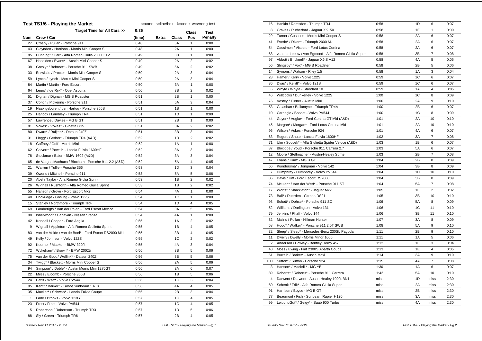|     | Test TS1/6 - Playing the Market                       | c=cone s=line/box k=code w=wrong test |       |       |                |         |
|-----|-------------------------------------------------------|---------------------------------------|-------|-------|----------------|---------|
|     | Target Time for All Cars >>                           | 0:36                                  |       |       | Class          | Test    |
| Num | Crew / Car                                            | (time)                                | Extra | Class | Pos            | Penalty |
| 27  | Crosby / Pullan - Porsche 911                         | 0:48                                  |       | 5A    | 1              | 0:00    |
| 43  | Cleyndert / Harrison - Morris Mini Cooper S           | 0:48                                  |       | 2A    | 1              | 0:00    |
| 85  | Dunning* / Carr - Alfa Romeo Giulia 2000 GTV          | 0:49                                  |       | 3B    | 1              | 0:00    |
| 67  | Haselden / Evans* - Austin Mini Cooper S              | 0:49                                  |       | 2A    | 2              | 0:02    |
| 38  | Gresly* / Behrndt* - Porsche 911 SWB                  | 0:49                                  |       | 5A    | 2              | 0:02    |
| 33  | Entwistle / Procter - Morris Mini Cooper S            | 0:50                                  |       | 2A    | 3              | 0:04    |
| 59  | Lynch / Lynch - Morris Mini Cooper S                  | 0:50                                  |       | 2A    | 3              | 0:04    |
| 84  | Martin / Martin - Ford Escort                         | 0:50                                  |       | 3A    | $\mathbf{1}$   | 0:00    |
| 64  | Leurs* / de Rijk* - Opel Ascona                       | 0:50                                  |       | 3B    | 2              | 0:02    |
| 51  | Dignan / Dignan - MG B Roadster                       | 0:51                                  |       | 2B    | 1              | 0:00    |
| 37  | Colton / Pickering - Porsche 911                      | 0:51                                  |       | 5A    | 3              | 0:04    |
| 19  | Naaktgeboren / den Hartog - Porsche 356B              | 0:51                                  |       | 1B    | 1              | 0:00    |
| 25  | Hancox / Lambley - Triumph TR4                        | 0:51                                  |       | 1D    | 1              | 0:00    |
| 57  | Lawrence / Davies - MG B GT                           | 0:51                                  |       | 2B    | 1              | 0:00    |
| 81  | Vokes* / Vokes* - Ginetta G15                         | 0:51                                  |       | 3A    | $\overline{2}$ | 0:02    |
| 80  | Dwars* / Ruijten* - Datsun 240Z                       | 0:51                                  |       | 3B    | 3              | 0:04    |
| 31  | Lingg* / Gerber* - Triumph TR4 (A&D)                  | 0:52                                  |       | 1D    | 2              | 0:02    |
| 18  | Gaffney / Goff - Morris Mini                          | 0:52                                  |       | 1A    | $\mathbf{1}$   | 0:00    |
| 62  | Calvert* / Powell* - Lancia Fulvia 1600HF             | 0:52                                  |       | 3A    | 3              | 0:04    |
| 78  | Stockmar / Baier - BMW 1602 (A&D)                     | 0:52                                  |       | ЗA    | 3              | 0:04    |
| 65  | de Vargas Machuca / Bloxham - Porsche 911 2.2 (A&D)   | 0:52                                  |       | 5A    | 4              | 0:05    |
| 21  | Warren / Tullie - Porsche 356                         | 0:53                                  |       | 1D    | 3              | 0:04    |
| 39  | Owens / Mitchell - Porsche 911                        | 0:53                                  |       | 5A    | 5              | 0:06    |
| 20  | Abel / Taylor - Alfa Romeo Giulia Sprint              | 0:53                                  |       | 1B    | 2              | 0:02    |
| 26  | Wignall / Rushforth - Alfa Romeo Giulia Sprint        | 0:53                                  |       | 1B    | $\overline{2}$ | 0:02    |
| 55  | Hanson / Grove - Ford Escort Mk2                      | 0:54                                  |       | 4A    | 1              | 0:00    |
| 48  | Hockridge / Gosling - Volvo 122S                      | 0:54                                  |       | 1C    | 1              | 0:00    |
| 15  | Stanley / Northmore - Triumph TR4                     | 0:54                                  |       | 1D    | 4              | 0:05    |
| 69  | Lamberigts / Van der Palen - Ford Escort Mexico       | 0:54                                  |       | ЗA    | 5              | 0:06    |
| 98  | Isherwood* / Canavan - Nissan Stanza                  | 0:54                                  |       | 4A    | $\mathbf{1}$   | 0:00    |
| 42  | Kendall / Cooper - Ford Anglia                        | 0:55                                  |       | 1A    | 2              | 0:02    |
| 9   | Wignall / Appleton - Alfa Romeo Giulietta Sprint      | 0:55                                  |       | 1B    | 4              | 0:05    |
| 83  | van der Velde / van de Boel* - Ford Escort RS2000 Mkl | 0:55                                  |       | 3B    | 4              | 0:05    |
| 49  | Kelly / Johnson - Volvo 122S                          | 0:55                                  |       | 1C    | 2              | 0:02    |
| 92  | Koerner / Maeker - BMW 320/4                          | 0:55                                  |       | 4A    | 3              | 0:04    |
| 72  | Wykeham* / Brown* - BMW 2002tii                       | 0:56                                  |       | 3B    | 5              | 0:06    |
| 75  | van der Goot / Wellink* - Datsun 240Z                 | 0:56                                  |       | 3B    | 5              | 0:06    |
| 34  | Twigg* / Blackett - Morris Mini Cooper S              | 0:56                                  |       | 2A    | 5              | 0:06    |
| 94  | Simpson* / Doble* - Austin Morris Mini 1275GT         | 0:56                                  |       | 3A    | 6              | 0:07    |
| 22  | Miles / Elcomb - Porsche 356B                         | 0:56                                  |       | 1B    | 5              | 0:06    |
| 24  | Pettit / Watt* - Volvo PV544                          | 0:56                                  |       | 1C    | 3              | 0:04    |
| 95  | Kent* / Barker* - Talbot Sunbeam 1.6 Ti               | 0:56                                  |       | 4A    | 4              | 0:05    |
| 35  | Mueller* / Schwab* - Lancia Fulvia Coupe              | 0:56                                  |       | 2B    | 3              | 0:04    |
| 1   | Lane / Brooks - Volvo 123GT                           | 0:57                                  |       | 1C    | 4              | 0:05    |
| 23  | Frost / Frost - Volvo PV544                           | 0:57                                  |       | 1C    | $\overline{4}$ | 0:05    |
| 5   | Robertson / Robertson - Triumph TR3                   | 0:57                                  |       | 1D    | 5              | 0:06    |
| 88  | Sly / Green - Triumph TR6                             | 0:57                                  |       | 2В    | $\overline{4}$ | 0:05    |

| 16             | Hankin / Ramsden - Triumph TR4                       | 0:58 | 1D             | 6                       | 0:07 |
|----------------|------------------------------------------------------|------|----------------|-------------------------|------|
| 8              | Graves / Rutherford - Jaguar XK150                   | 0:58 | 1E             | 1                       | 0:00 |
| 29             | Turner / Cussons - Morris Mini Cooper S              | 0:58 | 2A             | 6                       | 0:07 |
| 41             | Everitt* / Dixon* - Triumph 2000 Mkl                 | 0:58 | 2A             | 6                       | 0:07 |
| 54             | Cassimon / Vissers - Ford Lotus Cortina              | 0:58 | 2A             | 6                       | 0:07 |
| 68             | van der Leeuw / van Egmond - Alfa Romeo Giulia Super | 0:58 | 3B             | 7                       | 0:08 |
| 97             | Abbott / Bricknell* - Jaquar XJ-S V12                | 0:58 | 4A             | 5                       | 0:06 |
| 56             | Slingsby* / Fox* - MG B Roadster                     | 0:58 | 2B             | 5                       | 0:06 |
| 14             | Symons / Watson - Riley 1.5                          | 0:58 | 1A             | 3                       | 0:04 |
| 28             | Hamer / Kerry - Volvo 122S                           | 0:59 | 1C             | 6                       | 0:07 |
| 36             | Dyas* / Kellitt* - Volvo 121S                        | 0:59 | 1 <sup>C</sup> | 6                       | 0:07 |
| 6              | Whyte / Whyte - Standard 10                          | 0:59 | 1A             | $\overline{\mathbf{4}}$ | 0:05 |
| 46             | Willcocks / Dunkerley - Volvo 122S                   | 1:00 | 1C             | 8                       | 0:09 |
| 76             | Vestey / Turner - Austin Mini                        | 1:00 | 2A             | 9                       | 0:10 |
| 53             | Galashan / Ballantyne - Triumph TR4A                 | 1:00 | 2B             | 6                       | 0:07 |
| 10             | Carnegie / Bosdet - Volvo PV544                      | 1:00 | 1C             | 8                       | 0:09 |
| 44             | Geyer* / Voglar* - Ford Cortina GT MkI (A&D)         | 1:01 | 2A             | 10                      | 0:10 |
| 45             | Morgan* / Morgan* - Ford Lotus Cortina Mkl           | 1:01 | 2A             | 10                      | 0:10 |
| 96             | Wilson / Vokes - Porsche 924                         | 1:01 | 4A             | 6                       | 0:07 |
| 63             | Rogers / Shute - Lancia Fulvia 1600HF                | 1:02 | 3A             | $\overline{7}$          | 0:08 |
| 71             | Ulm / Soucek* - Alfa Giulietta Spider Veloce (A&D)   | 1:03 | 1B             | 6                       | 0:07 |
| 87             |                                                      | 1:03 | 5A             | 6                       | 0:07 |
| 12             | Bloxidge / Youd - Porsche 911 Carrera 2.7            | 1:03 | 2B             | $\overline{7}$          |      |
|                | Moore / Stellmacher - Austin-Healey Sprite           |      |                |                         | 0:08 |
| 47             | Evans / Kunz - MG B GT                               | 1:04 | 2B             | 8                       | 0:09 |
| 66             | Kuindersma* / Jongman - Volvo 142                    | 1:04 | 3B             | 8                       | 0:09 |
| $\overline{7}$ | Humphrey / Humphrey - Volvo PV544                    | 1:04 | 1 <sup>C</sup> | 10                      | 0:10 |
| 86             | Davis / Kiff - Ford Escort RS2000                    | 1:04 | 3B             | 8                       | 0:09 |
| 74             | Meulen* / Van der Werf* - Porsche 911 ST             | 1:04 | 5A             | 7                       | 0:08 |
| 17             | Worts* / Shackleton* - Jaguar Mk2                    | 1:05 | 1E             | $\overline{2}$          | 0:02 |
| 73             | Ball* / Duerden - Citroen DS21                       | 1:05 | ЗB             | 10                      | 0:10 |
| 93             | Schott* / Dohse* - Porsche 911 SC                    | 1:06 | 5A             | 8                       | 0:09 |
| 52             | Williams / Darlington - Volvo 131                    | 1:06 | 1C             | 11                      | 0:10 |
| 79             | Jenkins / Phaff - Volvo 144                          | 1:06 | 3B             | 11                      | 0:10 |
| 82             | Malins / Pullan - Hillman Hunter                     | 1:07 | 3A             | 8                       | 0:09 |
| 58             | Hood* / Walker* - Porsche 911 2.0T SWB               | 1:08 | <b>5A</b>      | 9                       | 0:10 |
| 32             | Sleep* / Sleep* - Mercedes-Benz 230SL Pagoda         | 1:11 | 2B             | 9                       | 0:10 |
| 11             | Dwelly / Dwelly - Morris Minor 1000                  | 1:11 | 1A             | 5                       | 0:06 |
| 2              | Anderson / Powley - Bentley Derby 41/4               | 1:12 | 1E             | 3                       | 0:04 |
| 40             | Moss / Ewing - Fiat 2300S Abarth Coupe               | 1:13 | 1E             | 4                       | 0:05 |
| 61             | Burrell* / Barker* - Austin Maxi                     | 1:14 | 3A             | 9                       | 0:10 |
| 100            | Sutton* / Sutton - Porsche 924                       | 1:15 | 4A             | $\overline{7}$          | 0:08 |
| 3              | Hanson* / Mackrill* - MG YB                          | 1:30 | 1A             | 6                       | 0:07 |
| 89             | Roberts* / Roberts* - Porsche 911 Carrera            | 1:42 | 5A             | 10                      | 0:10 |
| 4              | Darwent / Darwent - Austin-Healey 100/4 BN1          | miss | 1D             | miss                    | 2:30 |
| 60             | Schenk / Frik* - Alfa Romeo Giulia Super             | miss | 2A             | miss                    | 2:30 |
| 91             | Harrison / Boyce - MG B GT                           | miss | 2B             | miss                    | 2:30 |
| 77             | Beaumont / Fish - Sunbeam Rapier H120                | miss | 3A             | miss                    | 2:30 |
| 99             | LeibundGut* / Geigy* - Saab 900 Turbo                | miss | 4A             | miss                    | 2:30 |
|                |                                                      |      |                |                         |      |

 *Issued:- Nov 11 2017 - 23:24 Test TS1/6 - Playing the Market - Pg.1*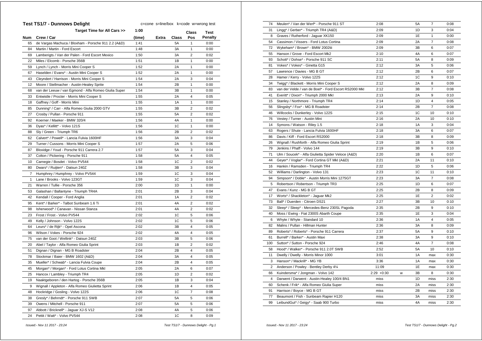| <b>Test TS1/7 - Dunnows Delight</b><br>c=cone s=line/box k=code w=wrong test |                                                      |        |       |       |                         |         |
|------------------------------------------------------------------------------|------------------------------------------------------|--------|-------|-------|-------------------------|---------|
|                                                                              | Target Time for All Cars >>                          | 1:00   |       |       | Class                   | Test    |
| Num                                                                          | Crew / Car                                           | (time) | Extra | Class | Pos                     | Penalty |
| 65                                                                           | de Vargas Machuca / Bloxham - Porsche 911 2.2 (A&D)  | 1:41   |       | 5A    | 1                       | 0:00    |
| 84                                                                           | Martin / Martin - Ford Escort                        | 1:48   |       | ЗA    | 1                       | 0:00    |
| 69                                                                           | Lamberigts / Van der Palen - Ford Escort Mexico      | 1:50   |       | ЗA    | 2                       | 0:02    |
| 22                                                                           | Miles / Elcomb - Porsche 356B                        | 1:51   |       | 1B    | 1                       | 0:00    |
| 59                                                                           | Lynch / Lynch - Morris Mini Cooper S                 | 1:52   |       | 2A    | 1                       | 0:00    |
| 67                                                                           | Haselden / Evans* - Austin Mini Cooper S             | 1:52   |       | 2A    | $\mathbf{1}$            | 0:00    |
| 43                                                                           | Cleyndert / Harrison - Morris Mini Cooper S          | 1:54   |       | 2A    | 3                       | 0:04    |
| 12                                                                           | Moore / Stellmacher - Austin-Healey Sprite           | 1:54   |       | 2B    | $\mathbf{1}$            | 0:00    |
| 68                                                                           | van der Leeuw / van Egmond - Alfa Romeo Giulia Super | 1:54   |       | 3B    | 1                       | 0:00    |
| 33                                                                           | Entwistle / Procter - Morris Mini Cooper S           | 1:55   |       | 2A    | $\overline{4}$          | 0:05    |
| 18                                                                           | Gaffney / Goff - Morris Mini                         | 1:55   |       | 1A    | 1                       | 0:00    |
| 85                                                                           | Dunning* / Carr - Alfa Romeo Giulia 2000 GTV         | 1:55   |       | 3B    | $\overline{2}$          | 0:02    |
| 27                                                                           | Crosby / Pullan - Porsche 911                        | 1:55   |       | 5A    | 2                       | 0:02    |
| 92                                                                           | Koerner / Maeker - BMW 320/4                         | 1:56   |       | 4A    | 1                       | 0:00    |
| 36                                                                           | Dyas* / Kellitt* - Volvo 121S                        | 1:56   |       | 1C    | $\mathbf{1}$            | 0:00    |
| 88                                                                           | Sly / Green - Triumph TR6                            | 1:56   |       | 2B    | $\overline{2}$          | 0:02    |
| 62                                                                           | Calvert* / Powell* - Lancia Fulvia 1600HF            | 1:56   |       | 3A    | 3                       | 0:04    |
| 29                                                                           | Turner / Cussons - Morris Mini Cooper S              | 1:57   |       | 2A    | 5                       | 0:06    |
| 87                                                                           | Bloxidge / Youd - Porsche 911 Carrera 2.7            | 1:57   |       | 5A    | 3                       | 0:04    |
| 37                                                                           | Colton / Pickering - Porsche 911                     | 1:58   |       | 5A    | 4                       | 0:05    |
| 10                                                                           | Carnegie / Bosdet - Volvo PV544                      | 1:58   |       | 1C    | 2                       | 0:02    |
| 80                                                                           | Dwars* / Ruijten* - Datsun 240Z                      | 1:58   |       | 3B    | 3                       | 0:04    |
| $\overline{7}$                                                               | Humphrey / Humphrey - Volvo PV544                    | 1:59   |       | 1C    | 3                       | 0:04    |
| 1                                                                            | Lane / Brooks - Volvo 123GT                          | 1:59   |       | 1C    | 3                       | 0:04    |
| 21                                                                           | Warren / Tullie - Porsche 356                        | 2:00   |       | 1D    | $\mathbf{1}$            | 0:00    |
| 53                                                                           | Galashan / Ballantyne - Triumph TR4A                 | 2:01   |       | 2B    | 3                       | 0:04    |
| 42                                                                           | Kendall / Cooper - Ford Anglia                       | 2:01   |       | 1A    | $\overline{2}$          | 0:02    |
| 95                                                                           | Kent* / Barker* - Talbot Sunbeam 1.6 Ti              | 2:01   |       | 4A    | 2                       | 0:02    |
| 98                                                                           | Isherwood* / Canavan - Nissan Stanza                 | 2:01   |       | 4A    | $\overline{\mathbf{c}}$ | 0:02    |
| 23                                                                           | Frost / Frost - Volvo PV544                          | 2:02   |       | 1C    | 5                       | 0:06    |
| 49                                                                           | Kelly / Johnson - Volvo 122S                         | 2:02   |       | 1C    | 5                       | 0:06    |
| 64                                                                           | Leurs* / de Rijk* - Opel Ascona                      | 2:02   |       | 3B    | 4                       | 0:05    |
| 96                                                                           | Wilson / Vokes - Porsche 924                         | 2:02   |       | 4A    | 4                       | 0:05    |
| 75                                                                           | van der Goot / Wellink* - Datsun 240Z                | 2:03   |       | 3B    | 5                       | 0:06    |
| 20                                                                           | Abel / Taylor - Alfa Romeo Giulia Sprint             | 2:03   |       | 1B    | 2                       | 0:02    |
| 51                                                                           | Dignan / Dignan - MG B Roadster                      | 2:04   |       | 2B    | $\overline{4}$          | 0:05    |
| 78                                                                           | Stockmar / Baier - BMW 1602 (A&D)                    | 2:04   |       | 3A    | $\overline{4}$          | 0:05    |
| 35                                                                           | Mueller* / Schwab* - Lancia Fulvia Coupe             | 2:04   |       | 2B    | 4                       | 0:05    |
| 45                                                                           | Morgan* / Morgan* - Ford Lotus Cortina Mkl           | 2:05   |       | 2A    | 6                       | 0:07    |
| 25                                                                           | Hancox / Lambley - Triumph TR4                       | 2:05   |       | 1D    | $\overline{2}$          | 0:02    |
| 19                                                                           | Naaktgeboren / den Hartog - Porsche 356B             | 2:05   |       | 1B    | 3                       | 0:04    |
| 9                                                                            | Wignall / Appleton - Alfa Romeo Giulietta Sprint     | 2:06   |       | 1B    | $\overline{4}$          | 0:05    |
| 48                                                                           | Hockridge / Gosling - Volvo 122S                     | 2:06   |       | 1C    | 7                       | 0:08    |
| 38                                                                           | Gresly* / Behrndt* - Porsche 911 SWB                 | 2:07   |       | 5A    | 5                       | 0:06    |
| 39                                                                           | Owens / Mitchell - Porsche 911                       | 2:07   |       | 5A    | 5                       | 0:06    |
| 97                                                                           | Abbott / Bricknell* - Jaguar XJ-S V12                | 2:08   |       | 4A    | 5                       | 0:06    |
| 24                                                                           | Pettit / Watt* - Volvo PV544                         | 2:08   |       | 1C    | 8                       | 0:09    |

| 74             | Meulen* / Van der Werf* - Porsche 911 ST              | 2:08          |   | 5A | $\overline{7}$ | 0:08 |
|----------------|-------------------------------------------------------|---------------|---|----|----------------|------|
| 31             | Lingg* / Gerber* - Triumph TR4 (A&D)                  | 2:09          |   | 1D | 3              | 0:04 |
| 8              | Graves / Rutherford - Jaguar XK150                    | 2:09          |   | 1E | $\mathbf{1}$   | 0:00 |
| 54             | Cassimon / Vissers - Ford Lotus Cortina               | 2:09          |   | 2A | $\overline{7}$ | 0:08 |
| 72             | Wykeham* / Brown* - BMW 2002tii                       | 2:09          |   | 3B | 6              | 0:07 |
| 55             | Hanson / Grove - Ford Escort Mk2                      | 2:10          |   | 4A | 6              | 0:07 |
| 93             | Schott* / Dohse* - Porsche 911 SC                     | 2:11          |   | 5A | 8              | 0:09 |
| 81             | Vokes* / Vokes* - Ginetta G15                         | 2:12          |   | 3A | 5              | 0:06 |
| 57             | Lawrence / Davies - MG B GT                           | 2:12          |   | 2B | 6              | 0:07 |
| 28             | Hamer / Kerry - Volvo 122S                            | 2:12          |   | 1C | 9              | 0:10 |
| 34             | Twigg* / Blackett - Morris Mini Cooper S              | 2:12          |   | 2A | 8              | 0:09 |
| 83             | van der Velde / van de Boel* - Ford Escort RS2000 Mkl | 2:12          |   | 3B | $\overline{7}$ | 0:08 |
| 41             | Everitt* / Dixon* - Triumph 2000 Mkl                  | 2:13          |   | 2A | 9              | 0:10 |
| 15             | Stanley / Northmore - Triumph TR4                     | 2:14          |   | 1D | 4              | 0:05 |
| 56             | Slingsby* / Fox* - MG B Roadster                      | 2:14          |   | 2B | $\overline{7}$ | 0:08 |
| 46             | Willcocks / Dunkerley - Volvo 122S                    | 2:15          |   | 1C | 10             | 0:10 |
| 76             | Vestey / Turner - Austin Mini                         | 2:16          |   | 2A | 10             | 0:10 |
| 14             | Symons / Watson - Riley 1.5                           | 2:18          |   | 1A | 3              | 0:04 |
| 63             | Rogers / Shute - Lancia Fulvia 1600HF                 | 2:18          |   | 3A | 6              | 0:07 |
| 86             | Davis / Kiff - Ford Escort RS2000                     | 2:18          |   | 3B | 8              | 0:09 |
| 26             | Wignall / Rushforth - Alfa Romeo Giulia Sprint        | 2:19          |   | 1B | 5              | 0:06 |
| 79             | Jenkins / Phaff - Volvo 144                           | 2:19          |   | 3B | 9              | 0:10 |
| 71             | Ulm / Soucek* - Alfa Giulietta Spider Veloce (A&D)    | 2:20          |   | 1B | 6              | 0:07 |
| 44             | Geyer* / Voglar* - Ford Cortina GT MkI (A&D)          | 2:21          |   | 2A | 11             | 0:10 |
| 16             | Hankin / Ramsden - Triumph TR4                        | 2:22          |   | 1D | 5              | 0:06 |
| 52             |                                                       | 2:23          |   | 1C | 11             | 0:10 |
|                | Williams / Darlington - Volvo 131                     |               |   |    |                |      |
| 94             | Simpson* / Doble* - Austin Morris Mini 1275GT         | 2:23          |   | 3A | $\overline{7}$ | 0:08 |
| 5              | Robertson / Robertson - Triumph TR3                   | 2:25          |   | 1D | 6              | 0:07 |
| 47             | Evans / Kunz - MG B GT                                | 2:25          |   | 2B | 8              | 0:09 |
| 17             | Worts* / Shackleton* - Jaguar Mk2                     | 2:25          |   | 1E | $\overline{c}$ | 0:02 |
| 73             | Ball* / Duerden - Citroen DS21                        | 2:27          |   | 3B | 10             | 0:10 |
| 32             | Sleep* / Sleep* - Mercedes-Benz 230SL Pagoda          | 2:35          |   | 2B | 9              | 0:10 |
| 40             | Moss / Ewing - Fiat 2300S Abarth Coupe                | 2:35          |   | 1E | 3              | 0:04 |
| 6              | Whyte / Whyte - Standard 10                           | 2:36          |   | 1A | 4              | 0:05 |
| 82             | Malins / Pullan - Hillman Hunter                      | 2:36          |   | 3A | 8              | 0:09 |
| 89             | Roberts* / Roberts* - Porsche 911 Carrera             | 2:37          |   | 5A | 9              | 0:10 |
| 61             | Burrell* / Barker* - Austin Maxi                      | 2:38          |   | 3A | 9              | 0:10 |
| 100            | Sutton* / Sutton - Porsche 924                        | 2:46          |   | 4A | $\overline{7}$ | 0:08 |
| 58             | Hood* / Walker* - Porsche 911 2.0T SWB                | 2:52          |   | 5A | 10             | 0:10 |
| 11             | Dwelly / Dwelly - Morris Minor 1000                   | 3:01          |   | 1A | max            | 0:30 |
| 3              | Hanson* / Mackrill* - MG YB                           | 3:36          |   | 1A | max            | 0:30 |
| $\overline{2}$ | Anderson / Powley - Bentley Derby 41/4                | 11:09         |   | 1E | max            | 0:30 |
| 66             | Kuindersma* / Jongman - Volvo 142                     | $2:29 + 0:30$ | W | 3B | 8              | 0:30 |
| $\overline{4}$ | Darwent / Darwent - Austin-Healey 100/4 BN1           | miss          |   | 1D | miss           | 2:30 |
| 60             | Schenk / Frik* - Alfa Romeo Giulia Super              | miss          |   | 2A | miss           | 2:30 |
| 91             | Harrison / Boyce - MG B GT                            | miss          |   | 2B | miss           | 2:30 |
| 77             | Beaumont / Fish - Sunbeam Rapier H120                 | miss          |   | 3A | miss           | 2:30 |
| 99             | LeibundGut* / Geigy* - Saab 900 Turbo                 | miss          |   | 4A | miss           | 2:30 |
|                |                                                       |               |   |    |                |      |

 *Issued:- Nov 11 2017 - 23:24 Test TS1/7 - Dunnows Delight - Pg.1*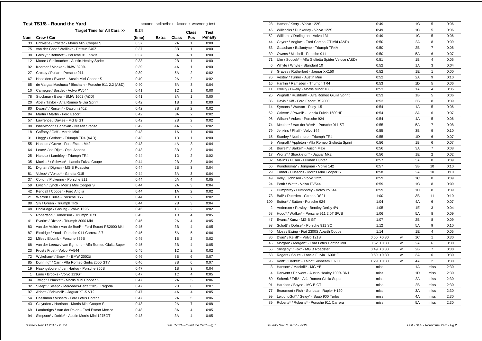| Test TS1/8 - Round the Yard<br>c=cone s=line/box k=code w=wrong test |                                                       |        |       |                |                         |         |
|----------------------------------------------------------------------|-------------------------------------------------------|--------|-------|----------------|-------------------------|---------|
|                                                                      | Target Time for All Cars >>                           | 0:24   |       |                | <b>Class</b>            | Test    |
| Num                                                                  | Crew / Car                                            | (time) | Extra | Class          | Pos                     | Penalty |
| 33                                                                   | Entwistle / Procter - Morris Mini Cooper S            | 0:37   |       | 2A             | $\mathbf{1}$            | 0:00    |
| 75                                                                   | van der Goot / Wellink* - Datsun 240Z                 | 0:37   |       | 3B             | 1                       | 0:00    |
| 38                                                                   | Gresly* / Behrndt* - Porsche 911 SWB                  | 0:37   |       | 5A             | 1                       | 0:00    |
| 12                                                                   | Moore / Stellmacher - Austin-Healey Sprite            | 0:38   |       | 2B             | 1                       | 0:00    |
| 92                                                                   | Koerner / Maeker - BMW 320/4                          | 0:39   |       | 4A             | 1                       | 0:00    |
| 27                                                                   | Crosby / Pullan - Porsche 911                         | 0:39   |       | 5A             | $\overline{2}$          | 0:02    |
| 67                                                                   | Haselden / Evans* - Austin Mini Cooper S              | 0:40   |       | 2A             | $\overline{2}$          | 0:02    |
| 65                                                                   | de Vargas Machuca / Bloxham - Porsche 911 2.2 (A&D)   | 0:40   |       | <b>5A</b>      | 3                       | 0:04    |
| 10                                                                   | Carnegie / Bosdet - Volvo PV544                       | 0:41   |       | 1C             | $\mathbf{1}$            | 0:00    |
| 78                                                                   | Stockmar / Baier - BMW 1602 (A&D)                     | 0:41   |       | 3A             | $\mathbf{1}$            | 0:00    |
| 20                                                                   | Abel / Taylor - Alfa Romeo Giulia Sprint              | 0:42   |       | 1B             | $\mathbf{1}$            | 0:00    |
| 80                                                                   | Dwars* / Ruijten* - Datsun 240Z                       | 0:42   |       | 3B             | $\overline{2}$          | 0:02    |
| 84                                                                   | Martin / Martin - Ford Escort                         | 0:42   |       | 3A             | $\overline{2}$          | 0:02    |
| 57                                                                   | Lawrence / Davies - MG B GT                           | 0:42   |       | 2B             | $\overline{2}$          | 0:02    |
| 98                                                                   | Isherwood* / Canavan - Nissan Stanza                  | 0:42   |       | 4A             | $\overline{2}$          | 0:02    |
| 18                                                                   | Gaffney / Goff - Morris Mini                          | 0:43   |       | 1A             | $\mathbf{1}$            | 0:00    |
| 31                                                                   | Lingg* / Gerber* - Triumph TR4 (A&D)                  | 0:43   |       | 1D             | $\mathbf{1}$            | 0:00    |
| 55                                                                   | Hanson / Grove - Ford Escort Mk2                      | 0:43   |       | 4A             | 3                       | 0:04    |
| 64                                                                   | Leurs* / de Rijk* - Opel Ascona                       | 0:43   |       | 3B             | 3                       | 0:04    |
| 25                                                                   | Hancox / Lambley - Triumph TR4                        | 0:44   |       | 1D             | $\overline{2}$          | 0:02    |
| 35                                                                   | Mueller* / Schwab* - Lancia Fulvia Coupe              | 0:44   |       | 2B             | 3                       | 0:04    |
| 51                                                                   | Dignan / Dignan - MG B Roadster                       | 0:44   |       | 2B             | 3                       | 0:04    |
| 81                                                                   | Vokes* / Vokes* - Ginetta G15                         | 0:44   |       | 3A             | 3                       | 0:04    |
| 37                                                                   | Colton / Pickering - Porsche 911                      | 0:44   |       | <b>5A</b>      | $\overline{\mathbf{4}}$ | 0:05    |
| 59                                                                   | Lynch / Lynch - Morris Mini Cooper S                  | 0:44   |       | 2A             | 3                       | 0:04    |
| 42                                                                   | Kendall / Cooper - Ford Anglia                        | 0:44   |       | 1A             | $\overline{2}$          | 0:02    |
| 21                                                                   | Warren / Tullie - Porsche 356                         | 0:44   |       | 1 <sub>D</sub> | $\overline{2}$          | 0:02    |
| 88                                                                   | Sly / Green - Triumph TR6                             | 0:44   |       | 2B             | 3                       | 0:04    |
| 48                                                                   | Hockridge / Gosling - Volvo 122S                      | 0:45   |       | 1C             | $\overline{2}$          | 0:02    |
| 5                                                                    | Robertson / Robertson - Triumph TR3                   | 0:45   |       | 1D             | $\overline{4}$          | 0:05    |
| 41                                                                   | Everitt* / Dixon* - Triumph 2000 Mkl                  | 0:45   |       | 2A             | $\overline{4}$          | 0:05    |
| 83                                                                   | van der Velde / van de Boel* - Ford Escort RS2000 Mkl | 0:45   |       | 3B             | $\overline{\mathbf{4}}$ | 0:05    |
| 87                                                                   | Bloxidge / Youd - Porsche 911 Carrera 2.7             | 0:45   |       | <b>5A</b>      | 5                       | 0:06    |
| 22                                                                   | Miles / Elcomb - Porsche 356B                         | 0:45   |       | 1B             | $\overline{2}$          | 0:02    |
| 68                                                                   | van der Leeuw / van Egmond - Alfa Romeo Giulia Super  | 0:45   |       | 3B             | 4                       | 0:05    |
| 23                                                                   | Frost / Frost - Volvo PV544                           | 0:45   |       | 1 <sup>C</sup> | $\overline{2}$          | 0:02    |
| 72                                                                   | Wykeham* / Brown* - BMW 2002tii                       | 0:46   |       | 3B             | 6                       | 0:07    |
| 85                                                                   | Dunning* / Carr - Alfa Romeo Giulia 2000 GTV          | 0:46   |       | 3B             | 6                       | 0:07    |
| 19                                                                   | Naaktgeboren / den Hartog - Porsche 356B              | 0:47   |       | 1B             | 3                       | 0:04    |
| $\mathbf{1}$                                                         | Lane / Brooks - Volvo 123GT                           | 0:47   |       | 1C             | $\overline{4}$          | 0:05    |
| 34                                                                   | Twigg* / Blackett - Morris Mini Cooper S              | 0:47   |       | 2A             | 5                       | 0:06    |
| 32                                                                   | Sleep* / Sleep* - Mercedes-Benz 230SL Pagoda          | 0:47   |       | 2B             | 6                       | 0:07    |
| 97                                                                   | Abbott / Bricknell* - Jaguar XJ-S V12                 | 0:47   |       | 4A             | 4                       | 0:05    |
| 54                                                                   | Cassimon / Vissers - Ford Lotus Cortina               | 0:47   |       | 2A             | 5                       | 0:06    |
| 43                                                                   | Cleyndert / Harrison - Morris Mini Cooper S           | 0:48   |       | 2A             | $\overline{7}$          | 0:08    |
| 69                                                                   | Lamberigts / Van der Palen - Ford Escort Mexico       | 0:48   |       | 3A             | 4                       | 0:05    |
| 94                                                                   | Simpson* / Doble* - Austin Morris Mini 1275GT         | 0:48   |       | 3A             | 4                       | 0:05    |

| 28             | Hamer / Kerry - Volvo 122S                         | 0:49          |   | 1C             | 5              | 0:06 |
|----------------|----------------------------------------------------|---------------|---|----------------|----------------|------|
| 46             | Willcocks / Dunkerley - Volvo 122S                 | 0:49          |   | 1C             | 5              | 0:06 |
| 52             | Williams / Darlington - Volvo 131                  | 0:49          |   | 1C             | 5              | 0:06 |
| 44             | Geyer* / Voglar* - Ford Cortina GT MkI (A&D)       | 0:50          |   | 2A             | 8              | 0:09 |
| 53             | Galashan / Ballantyne - Triumph TR4A               | 0:50          |   | 2B             | $\overline{7}$ | 0:08 |
| 39             | Owens / Mitchell - Porsche 911                     | 0:50          |   | 5A             | 6              | 0:07 |
| 71             | Ulm / Soucek* - Alfa Giulietta Spider Veloce (A&D) | 0:51          |   | 1B             | 4              | 0:05 |
| 6              | Whyte / Whyte - Standard 10                        | 0:52          |   | 1A             | 3              | 0:04 |
| 8              | Graves / Rutherford - Jaguar XK150                 | 0:52          |   | 1E             | 1              | 0:00 |
| 76             | Vestey / Turner - Austin Mini                      | 0:52          |   | 2A             | 9              | 0:10 |
| 16             | Hankin / Ramsden - Triumph TR4                     | 0:53          |   | 1D             | 5              | 0:06 |
| 11             | Dwelly / Dwelly - Morris Minor 1000                | 0:53          |   | 1A             | 4              | 0:05 |
| 26             | Wignall / Rushforth - Alfa Romeo Giulia Sprint     | 0:53          |   | 1B             | 5              | 0:06 |
| 86             | Davis / Kiff - Ford Escort RS2000                  | 0:53          |   | 3B             | 8              | 0:09 |
| 14             | Symons / Watson - Riley 1.5                        | 0:54          |   | 1A             | 5              | 0:06 |
| 62             | Calvert* / Powell* - Lancia Fulvia 1600HF          | 0:54          |   | 3A             | 6              | 0:07 |
| 96             | Wilson / Vokes - Porsche 924                       | 0:54          |   | 4A             | 5              | 0:06 |
| 74             | Meulen* / Van der Werf* - Porsche 911 ST           | 0:55          |   | <b>5A</b>      | 7              | 0:08 |
| 79             | Jenkins / Phaff - Volvo 144                        | 0:55          |   | 3B             | 9              | 0:10 |
| 15             | Stanley / Northmore - Triumph TR4                  | 0:55          |   | 1D             | 6              | 0:07 |
| 9              | Wignall / Appleton - Alfa Romeo Giulietta Sprint   | 0:56          |   | 1B             | 6              | 0:07 |
| 61             | Burrell* / Barker* - Austin Maxi                   | 0:56          |   | 3A             | $\overline{7}$ | 0:08 |
| 17             | Worts* / Shackleton* - Jaguar Mk2                  | 0:56          |   | 1E             | $\overline{2}$ | 0:02 |
| 82             | Malins / Pullan - Hillman Hunter                   | 0:57          |   | 3A             | 8              | 0:09 |
| 66             | Kuindersma* / Jongman - Volvo 142                  | 0:57          |   | 3B             | 10             | 0:10 |
| 29             | Turner / Cussons - Morris Mini Cooper S            | 0:58          |   | 2A             | 10             | 0:10 |
| 49             | Kelly / Johnson - Volvo 122S                       | 0:59          |   | 1C             | 8              | 0:09 |
| 24             | Pettit / Watt* - Volvo PV544                       | 0:59          |   | 1 <sup>C</sup> | 8              | 0:09 |
| $\overline{7}$ | Humphrey / Humphrey - Volvo PV544                  | 0:59          |   | 1C             | 8              | 0:09 |
| 73             | Ball* / Duerden - Citroen DS21                     | 1:00          |   | 3B             | 11             | 0:10 |
| 100            | Sutton* / Sutton - Porsche 924                     | 1:04          |   | 4A             | 6              | 0:07 |
| 2              | Anderson / Powley - Bentley Derby 41/4             | 1:05          |   | 1E             | 3              | 0:04 |
| 58             | Hood* / Walker* - Porsche 911 2.0T SWB             | 1:06          |   | 5A             | 8              | 0:09 |
| 47             | Evans / Kunz - MG B GT                             | 1:07          |   | 2B             | 8              | 0:09 |
| 93             | Schott* / Dohse* - Porsche 911 SC                  | 1:12          |   | <b>5A</b>      | 9              | 0:10 |
| 40             | Moss / Ewing - Fiat 2300S Abarth Coupe             | 1:14          |   | 1E             | 4              | 0:05 |
| 36             | Dyas* / Kellitt* - Volvo 121S                      | $0:55 + 0:30$ | w | 1 <sup>C</sup> | $\mathbf{1}$   | 0:30 |
| 45             | Morgan* / Morgan* - Ford Lotus Cortina Mkl         | $0:52 + 0:30$ | w | 2A             | 6              | 0:30 |
| 56             | Slingsby* / Fox* - MG B Roadster                   | $0:49 + 0:30$ | W | 2B             | $\overline{7}$ | 0:30 |
| 63             | Rogers / Shute - Lancia Fulvia 1600HF              | $0:50 + 0:30$ | W | 3A             | 6              | 0:30 |
| 95             | Kent* / Barker* - Talbot Sunbeam 1.6 Ti            | $1:29 + 0:30$ | w | 4A             | $\overline{2}$ | 0:30 |
| 3              | Hanson* / Mackrill* - MG YB                        | miss          |   | 1A             | miss           | 2:30 |
| 4              | Darwent / Darwent - Austin-Healey 100/4 BN1        | miss          |   | 1D             | miss           | 2:30 |
| 60             | Schenk / Frik* - Alfa Romeo Giulia Super           | miss          |   | 2A             | miss           | 2:30 |
| 91             | Harrison / Boyce - MG B GT                         | miss          |   | 2B             | miss           | 2:30 |
| 77             | Beaumont / Fish - Sunbeam Rapier H120              | miss          |   | 3A             | miss           | 2:30 |
| 99             | LeibundGut* / Geigy* - Saab 900 Turbo              | miss          |   | 4A             | miss           | 2:30 |
| 89             | Roberts* / Roberts* - Porsche 911 Carrera          | miss          |   | <b>5A</b>      | miss           | 2:30 |
|                |                                                    |               |   |                |                |      |

 *Issued:- Nov 11 2017 - 23:24 Test TS1/8 - Round the Yard - Pg.1*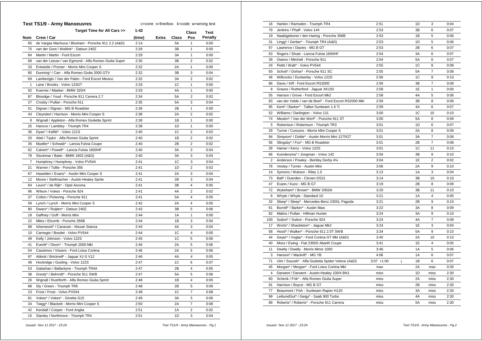|                | <b>Test TS1/9 - Army Manoeuvres</b><br>c=cone s=line/box k=code w=wrong test |        |       |       |                         |                |
|----------------|------------------------------------------------------------------------------|--------|-------|-------|-------------------------|----------------|
|                | Target Time for All Cars >>                                                  | 1:42   |       |       | Class                   | Test           |
| Num            | Crew / Car                                                                   | (time) | Extra | Class | Pos                     | <b>Penalty</b> |
| 65             | de Vargas Machuca / Bloxham - Porsche 911 2.2 (A&D)                          | 2:14   |       | 5A    | $\mathbf{1}$            | 0:00           |
| 75             | van der Goot / Wellink* - Datsun 240Z                                        | 2:26   |       | 3B    | 1                       | 0:00           |
| 84             | Martin / Martin - Ford Escort                                                | 2:29   |       | 3A    | $\mathbf{1}$            | 0:00           |
| 68             | van der Leeuw / van Egmond - Alfa Romeo Giulia Super                         | 2:30   |       | 3B    | $\overline{2}$          | 0:02           |
| 33             | Entwistle / Procter - Morris Mini Cooper S                                   | 2:32   |       | 2A    | 1                       | 0:00           |
| 85             | Dunning* / Carr - Alfa Romeo Giulia 2000 GTV                                 | 2:32   |       | 3B    | 3                       | 0:04           |
| 69             | Lamberigts / Van der Palen - Ford Escort Mexico                              | 2:32   |       | 3A    | $\overline{2}$          | 0:02           |
| 1              | Lane / Brooks - Volvo 123GT                                                  | 2:33   |       | 1C    | 1                       | 0:00           |
| 92             | Koerner / Maeker - BMW 320/4                                                 | 2:33   |       | 4A    | $\mathbf{1}$            | 0:00           |
| 87             | Bloxidge / Youd - Porsche 911 Carrera 2.7                                    | 2:34   |       | 5A    | 2                       | 0:02           |
| 27             | Crosby / Pullan - Porsche 911                                                | 2:35   |       | 5A    | 3                       | 0:04           |
| 51             | Dignan / Dignan - MG B Roadster                                              | 2:36   |       | 2B    | $\mathbf{1}$            | 0:00           |
| 43             | Cleyndert / Harrison - Morris Mini Cooper S                                  | 2:38   |       | 2A    | $\overline{2}$          | 0:02           |
| 9              | Wignall / Appleton - Alfa Romeo Giulietta Sprint                             | 2:38   |       | 1B    | $\mathbf{1}$            | 0:00           |
| 25             | Hancox / Lambley - Triumph TR4                                               | 2:38   |       | 1D    | $\mathbf{1}$            | 0:00           |
| 36             | Dyas* / Kellitt* - Volvo 121S                                                | 2:40   |       | 1C    | $\overline{2}$          | 0:02           |
| 20             | Abel / Taylor - Alfa Romeo Giulia Sprint                                     | 2:40   |       | 1B    | $\overline{2}$          | 0:02           |
| 35             | Mueller* / Schwab* - Lancia Fulvia Coupe                                     | 2:40   |       | 2B    | $\overline{2}$          | 0:02           |
| 62             | Calvert* / Powell* - Lancia Fulvia 1600HF                                    | 2:40   |       | 3A    | 3                       | 0:04           |
| 78             | Stockmar / Baier - BMW 1602 (A&D)                                            | 2:40   |       | 3A    | 3                       | 0:04           |
| $\overline{7}$ | Humphrey / Humphrey - Volvo PV544                                            | 2:41   |       | 1C    | 3                       | 0:04           |
| 21             | Warren / Tullie - Porsche 356                                                | 2:41   |       | 1D    | $\overline{2}$          | 0:02           |
| 67             | Haselden / Evans* - Austin Mini Cooper S                                     | 2:41   |       | 2A    | 3                       | 0:04           |
| 12             | Moore / Stellmacher - Austin-Healey Sprite                                   | 2:41   |       | 2B    | 3                       | 0:04           |
| 64             | Leurs* / de Rijk* - Opel Ascona                                              | 2:41   |       | 3B    | $\overline{\mathbf{4}}$ | 0:05           |
| 96             | Wilson / Vokes - Porsche 924                                                 | 2:41   |       | 4A    | $\overline{\mathbf{c}}$ | 0:02           |
| 37             | Colton / Pickering - Porsche 911                                             | 2:41   |       | 5A    | $\overline{4}$          | 0:05           |
| 59             | Lynch / Lynch - Morris Mini Cooper S                                         | 2:42   |       | 2A    | $\overline{4}$          | 0:05           |
| 80             | Dwars* / Ruijten* - Datsun 240Z                                              | 2:43   |       | 3B    | 5                       | 0:06           |
| 18             | Gaffney / Goff - Morris Mini                                                 | 2:44   |       | 1A    | $\mathbf{1}$            | 0:00           |
| 22             | Miles / Elcomb - Porsche 356B                                                | 2:44   |       | 1B    | 3                       | 0:04           |
| 98             | Isherwood* / Canavan - Nissan Stanza                                         | 2:44   |       | 4A    | 3                       | 0:04           |
| 10             | Carnegie / Bosdet - Volvo PV544                                              | 2:44   |       | 1C    | 4                       | 0:05           |
| 49             | Kelly / Johnson - Volvo 122S                                                 | 2:45   |       | 1C    | 5                       | 0:06           |
| 41             | Everitt* / Dixon* - Triumph 2000 MkI                                         | 2:46   |       | 2A    | 5                       | 0:06           |
| 54             | Cassimon / Vissers - Ford Lotus Cortina                                      | 2:46   |       | 2A    | 5                       | 0:06           |
| 97             | Abbott / Bricknell* - Jaguar XJ-S V12                                        | 2:46   |       | 4A    | $\overline{\mathbf{4}}$ | 0:05           |
| 48             | Hockridge / Gosling - Volvo 122S                                             | 2:47   |       | 1C    | 6                       | 0:07           |
| 53             | Galashan / Ballantyne - Triumph TR4A                                         | 2:47   |       | 2B    | 4                       | 0:05           |
| 38             | Gresly* / Behrndt* - Porsche 911 SWB                                         | 2:47   |       | 5A    | 5                       | 0:06           |
| 26             | Wignall / Rushforth - Alfa Romeo Giulia Sprint                               | 2:48   |       | 1B    | 4                       | 0:05           |
| 88             | Sly / Green - Triumph TR6                                                    | 2:48   |       | 2B    | 5                       | 0:06           |
| 23             | Frost / Frost - Volvo PV544                                                  | 2:49   |       | 1C    | 7                       | 0:08           |
| 81             | Vokes* / Vokes* - Ginetta G15                                                | 2:49   |       | 3A    | 5                       | 0:06           |
| 34             | Twigg* / Blackett - Morris Mini Cooper S                                     | 2:50   |       | 2A    | $\overline{7}$          | 0:08           |
| 42             | Kendall / Cooper - Ford Anglia                                               | 2:51   |       | 1A    | $\overline{2}$          | 0:02           |
| 15             | Stanley / Northmore - Triumph TR4                                            | 2:51   |       | 1D    | 3                       | 0:04           |

| 16             | Hankin / Ramsden - Triumph TR4                        | 2:51         |   | 1D | 3              | 0:04 |
|----------------|-------------------------------------------------------|--------------|---|----|----------------|------|
| 79             | Jenkins / Phaff - Volvo 144                           | 2:53         |   | 3B | 6              | 0:07 |
| 19             | Naaktgeboren / den Hartog - Porsche 356B              | 2:53         |   | 1B | 5              | 0:06 |
| 31             | Lingg* / Gerber* - Triumph TR4 (A&D)                  | 2:53         |   | 1D | 5              | 0:06 |
| 57             | Lawrence / Davies - MG B GT                           | 2:53         |   | 2B | 6              | 0:07 |
| 63             | Rogers / Shute - Lancia Fulvia 1600HF                 | 2:54         |   | 3A | 6              | 0:07 |
| 39             | Owens / Mitchell - Porsche 911                        | 2:54         |   | 5A | 6              | 0:07 |
| 24             | Pettit / Watt* - Volvo PV544                          | 2:55         |   | 1C | 8              | 0:09 |
| 93             | Schott* / Dohse* - Porsche 911 SC                     | 2:55         |   | 5A | $\overline{7}$ | 0:08 |
| 46             | Willcocks / Dunkerley - Volvo 122S                    | 2:56         |   | 1C | 9              | 0:10 |
| 86             | Davis / Kiff - Ford Escort RS2000                     | 2:56         |   | 3B | $\overline{7}$ | 0:08 |
| 8              | Graves / Rutherford - Jaguar XK150                    | 2:58         |   | 1E | $\mathbf{1}$   | 0:00 |
| 55             | Hanson / Grove - Ford Escort Mk2                      | 2:58         |   | 4A | 5              | 0:06 |
| 83             | van der Velde / van de Boel* - Ford Escort RS2000 Mkl | 2:59         |   | 3B | 8              | 0:09 |
| 95             | Kent* / Barker* - Talbot Sunbeam 1.6 Ti               | 2:59         |   | 4A | 6              | 0:07 |
| 52             | Williams / Darlington - Volvo 131                     | 3:00         |   | 1C | 10             | 0:10 |
| 74             | Meulen* / Van der Werf* - Porsche 911 ST              | 3:00         |   | 5A | 8              | 0:09 |
| 5              | Robertson / Robertson - Triumph TR3                   | 3:01         |   | 1D | 6              | 0:07 |
| 29             | Turner / Cussons - Morris Mini Cooper S               | 3:01         |   | 2A | 8              | 0:09 |
| 94             | Simpson* / Doble* - Austin Morris Mini 1275GT         | 3:01         |   | 3A | $\overline{7}$ | 0:08 |
| 56             | Slingsby* / Fox* - MG B Roadster                      | 3:01         |   | 2B | $\overline{7}$ | 0:08 |
| 28             | Hamer / Kerry - Volvo 122S                            | 3:01         |   | 1C | 11             | 0:10 |
| 66             | Kuindersma* / Jongman - Volvo 142                     | 3:04         |   | 3B | 9              | 0:10 |
| $\overline{2}$ | Anderson / Powley - Bentley Derby 41/4                | 3:04         |   | 1E | $\overline{2}$ | 0:02 |
| 76             | Vestey / Turner - Austin Mini                         | 3:06         |   | 2A | 9              | 0:10 |
| 14             | Symons / Watson - Riley 1.5                           | 3:13         |   | 1A | 3              | 0:04 |
| 73             | Ball* / Duerden - Citroen DS21                        | 3:14         |   | 3B | 10             | 0:10 |
| 47             | Evans / Kunz - MG B GT                                | 3:19         |   | 2B | 8              | 0:09 |
| 72             | Wykeham* / Brown* - BMW 2002tii                       | 3:20         |   | 3B | 11             | 0:10 |
| 6              | Whyte / Whyte - Standard 10                           | 3:21         |   | 1A | $\overline{4}$ | 0:05 |
| 32             | Sleep* / Sleep* - Mercedes-Benz 230SL Pagoda          | 3:21         |   | 2B | 9              | 0:10 |
| 61             | Burrell* / Barker* - Austin Maxi                      | 3:22         |   | 3A | 8              | 0:09 |
| 82             | Malins / Pullan - Hillman Hunter                      | 3:24         |   | 3A | 9              | 0:10 |
| 100            | Sutton* / Sutton - Porsche 924                        | 3:24         |   | 4A | $\overline{7}$ | 0:08 |
| 17             | Worts* / Shackleton* - Jaguar Mk2                     | 3:24         |   | 1E | 3              | 0:04 |
| 58             | Hood* / Walker* - Porsche 911 2.0T SWB                | 3:34         |   | 5A | 9              | 0:10 |
| 44             | Geyer* / Voglar* - Ford Cortina GT MkI (A&D)          | 3:40         |   | 2A | 10             | 0:10 |
| 40             | Moss / Ewing - Fiat 2300S Abarth Coupe                | 3:41         |   | 1E | 4              | 0:05 |
| 11             | Dwelly / Dwelly - Morris Minor 1000                   | 3:46         |   | 1A | 5              | 0:06 |
| 3              | Hanson* / Mackrill* - MG YB                           | 4:06         |   | 1A | 6              | 0:07 |
| 71             | Ulm / Soucek* - Alfa Giulietta Spider Veloce (A&D)    | $3:07 +1:00$ | j | 1B | 6              | 0:07 |
| 45             | Morgan* / Morgan* - Ford Lotus Cortina Mkl            | max          |   | 2A | max            | 0:30 |
| 4              | Darwent / Darwent - Austin-Healey 100/4 BN1           | miss         |   | 1D | miss           | 2:30 |
| 60             | Schenk / Frik* - Alfa Romeo Giulia Super              | miss         |   | 2A | miss           | 2:30 |
| 91             | Harrison / Boyce - MG B GT                            | miss         |   | 2B | miss           | 2:30 |
| 77             | Beaumont / Fish - Sunbeam Rapier H120                 | miss         |   | 3A | miss           | 2:30 |
| 99             | LeibundGut* / Geigy* - Saab 900 Turbo                 | miss         |   | 4A | miss           | 2:30 |
| 89             | Roberts* / Roberts* - Porsche 911 Carrera             | miss         |   | 5A | miss           | 2:30 |
|                |                                                       |              |   |    |                |      |

 *Issued:- Nov 11 2017 - 23:24 Test TS1/9 - Army Manoeuvres - Pg.1*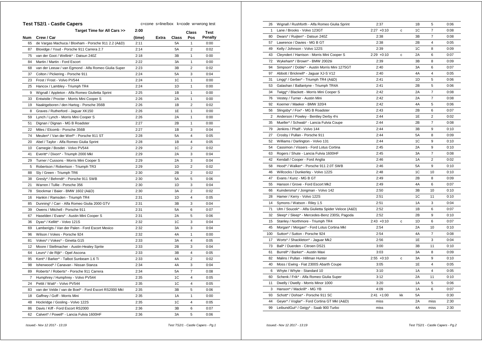|                | <b>Test TS2/1 - Castle Capers</b>                     | c=cone s=line/box k=code w=wrong test |       |              |                         |                |  |
|----------------|-------------------------------------------------------|---------------------------------------|-------|--------------|-------------------------|----------------|--|
|                | Target Time for All Cars >>                           | 2:00                                  |       |              | Class                   | <b>Test</b>    |  |
| <b>Num</b>     | Crew / Car                                            | (time)                                | Extra | <b>Class</b> | Pos                     | <b>Penalty</b> |  |
| 65             | de Vargas Machuca / Bloxham - Porsche 911 2.2 (A&D)   | 2:11                                  |       | 5A           | 1                       | 0:00           |  |
| 87             | Bloxidge / Youd - Porsche 911 Carrera 2.7             | 2:14                                  |       | 5A           | $\overline{2}$          | 0:02           |  |
| 75             | van der Goot / Wellink* - Datsun 240Z                 | 2:18                                  |       | 3B           | 1                       | 0:00           |  |
| 84             | Martin / Martin - Ford Escort                         | 2:22                                  |       | 3A           | 1                       | 0:00           |  |
| 68             | van der Leeuw / van Egmond - Alfa Romeo Giulia Super  | 2:23                                  |       | 3B           | $\overline{2}$          | 0:02           |  |
| 37             | Colton / Pickering - Porsche 911                      | 2:24                                  |       | 5A           | 3                       | 0:04           |  |
| 23             | Frost / Frost - Volvo PV544                           | 2:24                                  |       | 1C           | $\mathbf{1}$            | 0:00           |  |
| 25             | Hancox / Lambley - Triumph TR4                        | 2:24                                  |       | 1D           | 1                       | 0:00           |  |
| 9              | Wignall / Appleton - Alfa Romeo Giulietta Sprint      | 2:25                                  |       | 1B           | 1                       | 0:00           |  |
| 33             | Entwistle / Procter - Morris Mini Cooper S            | 2:26                                  |       | 2A           | 1                       | 0:00           |  |
| 19             | Naaktgeboren / den Hartog - Porsche 356B              | 2:26                                  |       | 1B           | $\overline{2}$          | 0:02           |  |
| 8              | Graves / Rutherford - Jaguar XK150                    | 2:26                                  |       | 1E           | $\mathbf{1}$            | 0:00           |  |
| 59             | Lynch / Lynch - Morris Mini Cooper S                  | 2:26                                  |       | 2A           | $\mathbf{1}$            | 0:00           |  |
| 51             | Dignan / Dignan - MG B Roadster                       | 2:27                                  |       | 2B           | 1                       | 0:00           |  |
| 22             | Miles / Elcomb - Porsche 356B                         | 2:27                                  |       | 1В           | 3                       | 0:04           |  |
| 74             | Meulen* / Van der Werf* - Porsche 911 ST              | 2:28                                  |       | 5A           | $\overline{\mathbf{4}}$ | 0:05           |  |
| 20             | Abel / Taylor - Alfa Romeo Giulia Sprint              | 2:28                                  |       | 1B           | 4                       | 0:05           |  |
| 10             | Carnegie / Bosdet - Volvo PV544                       | 2:29                                  |       | 1C           | $\overline{2}$          | 0:02           |  |
| 41             | Everitt* / Dixon* - Triumph 2000 Mkl                  | 2:29                                  |       | 2A           | 3                       | 0:04           |  |
| 29             | Turner / Cussons - Morris Mini Cooper S               | 2:29                                  |       | 2A           | 3                       | 0:04           |  |
| 5              | Robertson / Robertson - Triumph TR3                   | 2:29                                  |       | 1D           | $\overline{2}$          | 0:02           |  |
| 88             | Sly / Green - Triumph TR6                             | 2:30                                  |       | 2B           | $\overline{2}$          | 0:02           |  |
| 38             | Gresly* / Behrndt* - Porsche 911 SWB                  | 2:30                                  |       | 5A           | 5                       | 0:06           |  |
| 21             | Warren / Tullie - Porsche 356                         | 2:30                                  |       | 1D           | 3                       | 0:04           |  |
| 78             | Stockmar / Baier - BMW 1602 (A&D)                     | 2:30                                  |       | 3A           | 2                       | 0:02           |  |
| 16             | Hankin / Ramsden - Triumph TR4                        | 2:31                                  |       | 1D           | 4                       | 0:05           |  |
| 85             | Dunning* / Carr - Alfa Romeo Giulia 2000 GTV          | 2:31                                  |       | ЗB           | 3                       | 0:04           |  |
| 39             | Owens / Mitchell - Porsche 911                        | 2:31                                  |       | 5A           | 6                       | 0:07           |  |
| 67             | Haselden / Evans* - Austin Mini Cooper S              | 2:31                                  |       | 2A           | 5                       | 0:06           |  |
| 36             | Dyas* / Kellitt* - Volvo 121S                         | 2:32                                  |       | 1C           | 3                       | 0:04           |  |
| 69             | Lamberigts / Van der Palen - Ford Escort Mexico       | 2:32                                  |       | 3A           | 3                       | 0:04           |  |
| 96             | Wilson / Vokes - Porsche 924                          | 2:32                                  |       | 4A           | $\mathbf{1}$            | 0:00           |  |
| 81             | Vokes* / Vokes* - Ginetta G15                         | 2:33                                  |       | 3A           | $\overline{4}$          | 0:05           |  |
| 12             | Moore / Stellmacher - Austin-Healey Sprite            | 2:33                                  |       | 2B           | 3                       | 0:04           |  |
| 64             | Leurs* / de Rijk* - Opel Ascona                       | 2:33                                  |       | 3B           | $\overline{4}$          | 0:05           |  |
| 95             | Kent* / Barker* - Talbot Sunbeam 1.6 Ti               | 2:33                                  |       | 4A           | $\overline{2}$          | 0:02           |  |
| 98             | Isherwood* / Canavan - Nissan Stanza                  | 2:34                                  |       | 4A           | 3                       | 0:04           |  |
| 89             | Roberts* / Roberts* - Porsche 911 Carrera             | 2:34                                  |       | 5A           | $\overline{7}$          | 0:08           |  |
| $\overline{7}$ | Humphrey / Humphrey - Volvo PV544                     | 2:35                                  |       | 1C           | $\overline{4}$          | 0:05           |  |
| 24             | Pettit / Watt* - Volvo PV544                          | 2:35                                  |       | 1C           | 4                       | 0:05           |  |
| 83             | van der Velde / van de Boel* - Ford Escort RS2000 Mkl | 2:35                                  |       | 3B           | 5                       | 0:06           |  |
| 18             | Gaffney / Goff - Morris Mini                          | 2:35                                  |       | 1A           | 1                       | 0:00           |  |
| 48             | Hockridge / Gosling - Volvo 122S                      | 2:35                                  |       | 1C           | $\overline{4}$          | 0:05           |  |
| 86             | Davis / Kiff - Ford Escort RS2000                     | 2:36                                  |       | 3B           | 6                       | 0:07           |  |
| 62             | Calvert* / Powell* - Lancia Fulvia 1600HF             | 2:36                                  |       | 3A           | 5                       | 0:06           |  |
|                |                                                       |                                       |       |              |                         |                |  |

| 26           | Wignall / Rushforth - Alfa Romeo Giulia Sprint     | 2:37          |    | 1B             | 5              | 0:06 |
|--------------|----------------------------------------------------|---------------|----|----------------|----------------|------|
| $\mathbf{1}$ | Lane / Brooks - Volvo 123GT                        | $2:27 +0:10$  | с  | 1 <sup>C</sup> | $\overline{7}$ | 0:08 |
| 80           | Dwars* / Ruijten* - Datsun 240Z                    | 2:38          |    | 3B             | $\overline{7}$ | 0:08 |
| 57           | Lawrence / Davies - MG B GT                        | 2:38          |    | 2B             | 4              | 0:05 |
| 49           | Kelly / Johnson - Volvo 122S                       | 2:39          |    | 1C             | 8              | 0:09 |
| 43           | Cleyndert / Harrison - Morris Mini Cooper S        | $2:29 +0:10$  | c  | 2A             | 6              | 0:07 |
| 72           | Wykeham* / Brown* - BMW 2002tii                    | 2:39          |    | 3B             | 8              | 0:09 |
| 94           | Simpson* / Doble* - Austin Morris Mini 1275GT      | 2:40          |    | 3A             | 6              | 0:07 |
| 97           | Abbott / Bricknell* - Jaguar XJ-S V12              | 2:40          |    | 4A             | $\overline{4}$ | 0:05 |
| 31           | Lingg* / Gerber* - Triumph TR4 (A&D)               | 2:41          |    | 1D             | 5              | 0:06 |
| 53           | Galashan / Ballantyne - Triumph TR4A               | 2:41          |    | 2Β             | 5              | 0:06 |
| 34           | Twigg* / Blackett - Morris Mini Cooper S           | 2:42          |    | 2A             | $\overline{7}$ | 0:08 |
| 76           | Vestey / Turner - Austin Mini                      | 2:42          |    | 2A             | $\overline{7}$ | 0:08 |
| 92           | Koerner / Maeker - BMW 320/4                       | 2:42          |    | 4A             | 5              | 0:06 |
| 56           | Slingsby* / Fox* - MG B Roadster                   | 2:43          |    | 2B             | 6              | 0:07 |
| 2            | Anderson / Powley - Bentley Derby 41/4             | 2:44          |    | 1E             | $\overline{c}$ | 0:02 |
| 35           | Mueller* / Schwab* - Lancia Fulvia Coupe           | 2:44          |    | 2B             | $\overline{7}$ | 0:08 |
| 79           | Jenkins / Phaff - Volvo 144                        | 2:44          |    | 3B             | 9              | 0:10 |
| 27           | Crosby / Pullan - Porsche 911                      | 2:44          |    | <b>5A</b>      | 8              | 0:09 |
| 52           | Williams / Darlington - Volvo 131                  | 2:44          |    | 1C             | 9              | 0:10 |
| 54           | Cassimon / Vissers - Ford Lotus Cortina            | 2:45          |    | 2A             | 9              | 0:10 |
| 63           | Rogers / Shute - Lancia Fulvia 1600HF              | 2:45          |    | 3A             | $\overline{7}$ | 0:08 |
| 42           | Kendall / Cooper - Ford Anglia                     | 2:46          |    | 1A             | $\overline{c}$ | 0:02 |
| 58           | Hood* / Walker* - Porsche 911 2.0T SWB             | 2:46          |    | 5A             | 9              | 0:10 |
| 46           | Willcocks / Dunkerley - Volvo 122S                 | 2:48          |    | 1C             | 10             | 0:10 |
| 47           | Evans / Kunz - MG B GT                             | 2:49          |    | 2B             | 8              | 0:09 |
| 55           | Hanson / Grove - Ford Escort Mk2                   | 2:49          |    | 4A             | 6              | 0:07 |
| 66           | Kuindersma* / Jongman - Volvo 142                  | 2:50          |    | 3B             | 10             | 0:10 |
| 28           | Hamer / Kerry - Volvo 122S                         | 2:51          |    | 1C             | 11             | 0:10 |
| 14           | Symons / Watson - Riley 1.5                        | 2:51          |    | 1A             | 3              | 0:04 |
| 71           | Ulm / Soucek* - Alfa Giulietta Spider Veloce (A&D) | 2:52          |    | 1B             | 6              | 0:07 |
| 32           | Sleep* / Sleep* - Mercedes-Benz 230SL Pagoda       | 2:52          |    | 2B             | 9              | 0:10 |
| 15           | Stanley / Northmore - Triumph TR4                  | $2:43 +0:10$  | с  | 1D             | 6              | 0:07 |
| 45           | Morgan* / Morgan* - Ford Lotus Cortina Mkl         | 2:54          |    | 2A             | 10             | 0:10 |
| 100          | Sutton* / Sutton - Porsche 924                     | 2:54          |    | 4A             | $\overline{7}$ | 0:08 |
| 17           | Worts* / Shackleton* - Jaguar Mk2                  | 2:56          |    | 1E             | 3              | 0:04 |
| 73           | Ball* / Duerden - Citroen DS21                     | 3:00          |    | 3B             | 11             | 0:10 |
| 61           | Burrell* / Barker* - Austin Maxi                   | 3:03          |    | 3A             | 8              | 0:09 |
| 82           | Malins / Pullan - Hillman Hunter                   | $2:55 + 0:10$ | C  | 3A             | 9              | 0:10 |
| 40           | Moss / Ewing - Fiat 2300S Abarth Coupe             | 3:05          |    | 1E             | 4              | 0:05 |
| 6            | Whyte / Whyte - Standard 10                        | 3:10          |    | 1A             | 4              | 0:05 |
| 60           | Schenk / Frik* - Alfa Romeo Giulia Super           | 3:12          |    | 2A             | 11             | 0:10 |
| 11           | Dwelly / Dwelly - Morris Minor 1000                | 3:20          |    | 1A             | 5              | 0:06 |
| 3            | Hanson* / Mackrill* - MG YB                        | 4:09          |    | 1A             | 6              | 0:07 |
| 93           | Schott* / Dohse* - Porsche 911 SC                  | $2:41 + 1:00$ | kk | 5A             |                | 0:30 |
| 44           | Geyer* / Voglar* - Ford Cortina GT MkI (A&D)       | miss          |    | 2A             | miss           | 2:30 |
| 99           | LeibundGut* / Geigy* - Saab 900 Turbo              | miss          |    | 4A             | miss           | 2:30 |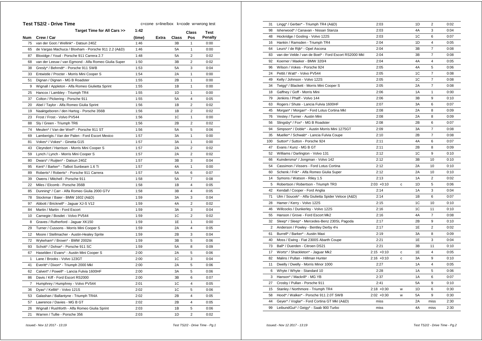|                | Test TS2/2 - Drive Time                              | c=cone s=line/box k=code w=wrong test |              |           |                         |                |  |
|----------------|------------------------------------------------------|---------------------------------------|--------------|-----------|-------------------------|----------------|--|
|                | Target Time for All Cars >>                          | 1:42                                  |              |           | <b>Class</b>            | <b>Test</b>    |  |
| Num            | Crew / Car                                           | (time)                                | <b>Extra</b> | Class     | Pos                     | <b>Penalty</b> |  |
| 75             | van der Goot / Wellink* - Datsun 240Z                | 1:46                                  |              | 3B        | 1                       | 0:00           |  |
| 65             | de Vargas Machuca / Bloxham - Porsche 911 2.2 (A&D)  | 1:46                                  |              | <b>5A</b> | $\mathbf{1}$            | 0:00           |  |
| 87             | Bloxidge / Youd - Porsche 911 Carrera 2.7            | 1:48                                  |              | 5A        | $\overline{2}$          | 0:02           |  |
| 68             | van der Leeuw / van Egmond - Alfa Romeo Giulia Super | 1:50                                  |              | 3B        | 2                       | 0:02           |  |
| 38             | Gresly* / Behrndt* - Porsche 911 SWB                 | 1:53                                  |              | 5A        | 3                       | 0:04           |  |
| 33             | Entwistle / Procter - Morris Mini Cooper S           | 1:54                                  |              | 2A        | $\mathbf{1}$            | 0:00           |  |
| 51             | Dignan / Dignan - MG B Roadster                      | 1:55                                  |              | 2B        | 1                       | 0:00           |  |
| 9              | Wignall / Appleton - Alfa Romeo Giulietta Sprint     | 1:55                                  |              | 1B        | $\mathbf{1}$            | 0:00           |  |
| 25             | Hancox / Lambley - Triumph TR4                       | 1:55                                  |              | 1D        | 1                       | 0:00           |  |
| 37             | Colton / Pickering - Porsche 911                     | 1:55                                  |              | 5A        | 4                       | 0:05           |  |
| 20             | Abel / Taylor - Alfa Romeo Giulia Sprint             | 1:56                                  |              | 1B        | $\overline{2}$          | 0:02           |  |
| 19             | Naaktgeboren / den Hartog - Porsche 356B             | 1:56                                  |              | 1B        | $\overline{2}$          | 0:02           |  |
| 23             | Frost / Frost - Volvo PV544                          | 1:56                                  |              | 1C        | 1                       | 0:00           |  |
| 88             | Sly / Green - Triumph TR6                            | 1:56                                  |              | 2B        | $\overline{2}$          | 0:02           |  |
| 74             | Meulen* / Van der Werf* - Porsche 911 ST             | 1:56                                  |              | 5A        | 5                       | 0:06           |  |
| 69             | Lamberigts / Van der Palen - Ford Escort Mexico      | 1:57                                  |              | 3A        | 1                       | 0:00           |  |
| 81             | Vokes* / Vokes* - Ginetta G15                        | 1:57                                  |              | 3A        | 1                       | 0:00           |  |
| 43             | Cleyndert / Harrison - Morris Mini Cooper S          | 1:57                                  |              | 2A        | $\overline{\mathbf{c}}$ | 0:02           |  |
| 59             | Lynch / Lynch - Morris Mini Cooper S                 | 1:57                                  |              | 2A        | $\overline{2}$          | 0:02           |  |
| 80             | Dwars* / Ruijten* - Datsun 240Z                      | 1:57                                  |              | 3B        | 3                       | 0:04           |  |
| 95             | Kent* / Barker* - Talbot Sunbeam 1.6 Ti              | 1:57                                  |              | 4A        | $\mathbf{1}$            | 0:00           |  |
| 89             | Roberts* / Roberts* - Porsche 911 Carrera            | 1:57                                  |              | 5A        | 6                       | 0:07           |  |
| 39             | Owens / Mitchell - Porsche 911                       | 1:58                                  |              | 5A        | $\overline{7}$          | 0:08           |  |
| 22             | Miles / Elcomb - Porsche 356B                        | 1:58                                  |              | 1B        | 4                       | 0:05           |  |
| 85             | Dunning* / Carr - Alfa Romeo Giulia 2000 GTV         | 1:58                                  |              | 3B        | 4                       | 0:05           |  |
| 78             | Stockmar / Baier - BMW 1602 (A&D)                    | 1:59                                  |              | 3A        | 3                       | 0:04           |  |
| 97             | Abbott / Bricknell* - Jaguar XJ-S V12                | 1:59                                  |              | 4A        | $\overline{2}$          | 0:02           |  |
| 84             | Martin / Martin - Ford Escort                        | 1:59                                  |              | 3A        | 3                       | 0:04           |  |
| 10             | Carnegie / Bosdet - Volvo PV544                      | 1:59                                  |              | 1C        | 2                       | 0:02           |  |
| 8              | Graves / Rutherford - Jaguar XK150                   | 1:59                                  |              | 1E        | $\mathbf{1}$            | 0:00           |  |
| 29             | Turner / Cussons - Morris Mini Cooper S              | 1:59                                  |              | 2A        | 4                       | 0:05           |  |
| 12             | Moore / Stellmacher - Austin-Healey Sprite           | 1:59                                  |              | 2B        | 3                       | 0:04           |  |
| 72             | Wykeham* / Brown* - BMW 2002tii                      | 1:59                                  |              | 3B        | 5                       | 0:06           |  |
| 93             | Schott* / Dohse* - Porsche 911 SC                    | 1:59                                  |              | 5A        | 8                       | 0:09           |  |
| 67             | Haselden / Evans* - Austin Mini Cooper S             | 2:00                                  |              | 2A        | 5                       | 0:06           |  |
| $\mathbf{1}$   | Lane / Brooks - Volvo 123GT                          | 2:00                                  |              | 1C        | 3                       | 0:04           |  |
| 41             | Everitt* / Dixon* - Triumph 2000 Mkl                 | 2:00                                  |              | 2A        | 5                       | 0:06           |  |
| 62             | Calvert* / Powell* - Lancia Fulvia 1600HF            | 2:00                                  |              | 3A        | 5                       | 0:06           |  |
| 86             | Davis / Kiff - Ford Escort RS2000                    | 2:00                                  |              | 3B        | 6                       | 0:07           |  |
| $\overline{7}$ | Humphrey / Humphrey - Volvo PV544                    | 2:01                                  |              | 1C        | 4                       | 0:05           |  |
| 36             | Dyas* / Kellitt* - Volvo 121S                        | 2:02                                  |              | 1C        | 5                       | 0:06           |  |
| 53             | Galashan / Ballantyne - Triumph TR4A                 | 2:02                                  |              | 2B        | 4                       | 0:05           |  |
| 57             | Lawrence / Davies - MG B GT                          | 2:02                                  |              | 2B        | 4                       | 0:05           |  |
| 26             | Wignall / Rushforth - Alfa Romeo Giulia Sprint       | 2:03                                  |              | 1B        | 5                       | 0:06           |  |
| 21             | Warren / Tullie - Porsche 356                        | 2:03                                  |              | 1D        | $\overline{2}$          | 0:02           |  |
|                |                                                      |                                       |              |           |                         |                |  |

| 31  | Lingg* / Gerber* - Triumph TR4 (A&D)                  | 2:03          |   | 1D | 2              | 0:02 |
|-----|-------------------------------------------------------|---------------|---|----|----------------|------|
| 98  | Isherwood* / Canavan - Nissan Stanza                  | 2:03          |   | 4A | 3              | 0:04 |
| 48  | Hockridge / Gosling - Volvo 122S                      | 2:03          |   | 1C | 6              | 0:07 |
| 16  | Hankin / Ramsden - Triumph TR4                        | 2:04          |   | 1D | 4              | 0:05 |
| 64  | Leurs* / de Rijk* - Opel Ascona                       | 2:04          |   | 3B | $\overline{7}$ | 0:08 |
| 83  | van der Velde / van de Boel* - Ford Escort RS2000 Mkl | 2:04          |   | 3B | $\overline{7}$ | 0:08 |
| 92  | Koerner / Maeker - BMW 320/4                          | 2:04          |   | 4A | $\overline{4}$ | 0:05 |
| 96  | Wilson / Vokes - Porsche 924                          | 2:05          |   | 4A | 5              | 0:06 |
| 24  | Pettit / Watt* - Volvo PV544                          | 2:05          |   | 1C | $\overline{7}$ | 0:08 |
| 49  | Kelly / Johnson - Volvo 122S                          | 2:05          |   | 1C | $\overline{7}$ | 0:08 |
| 34  | Twigg* / Blackett - Morris Mini Cooper S              | 2:05          |   | 2A | $\overline{7}$ | 0:08 |
| 18  | Gaffney / Goff - Morris Mini                          | 2:06          |   | 1A | $\mathbf{1}$   | 0:00 |
| 79  | Jenkins / Phaff - Volvo 144                           | 2:06          |   | 3B | 9              | 0:10 |
| 63  | Rogers / Shute - Lancia Fulvia 1600HF                 | 2:07          |   | 3A | 6              | 0:07 |
| 45  | Morgan* / Morgan* - Ford Lotus Cortina Mkl            | 2:08          |   | 2A | 8              | 0:09 |
| 76  |                                                       | 2:08          |   | 2A | 8              | 0:09 |
|     | Vestey / Turner - Austin Mini                         | 2:08          |   | 2B | 6              | 0:07 |
| 56  | Slingsby* / Fox* - MG B Roadster                      |               |   |    |                |      |
| 94  | Simpson* / Doble* - Austin Morris Mini 1275GT         | 2:09          |   | 3A | $\overline{7}$ | 0:08 |
| 35  | Mueller* / Schwab* - Lancia Fulvia Coupe              | 2:10          |   | 2B | $\overline{7}$ | 0:08 |
| 100 | Sutton* / Sutton - Porsche 924                        | 2:11          |   | 4A | 6              | 0:07 |
| 47  | Evans / Kunz - MG B GT                                | 2:11          |   | 2B | 8              | 0:09 |
| 52  | Williams / Darlington - Volvo 131                     | 2:12          |   | 1C | 9              | 0:10 |
| 66  | Kuindersma* / Jongman - Volvo 142                     | 2:12          |   | 3B | 10             | 0:10 |
| 54  | Cassimon / Vissers - Ford Lotus Cortina               | 2:12          |   | 2A | 10             | 0:10 |
| 60  | Schenk / Frik* - Alfa Romeo Giulia Super              | 2:12          |   | 2A | 10             | 0:10 |
| 14  | Symons / Watson - Riley 1.5                           | 2:13          |   | 1A | $\overline{c}$ | 0:02 |
| 5   | Robertson / Robertson - Triumph TR3                   | $2:03 +0:10$  | c | 1D | 5              | 0:06 |
| 42  | Kendall / Cooper - Ford Anglia                        | 2:14          |   | 1A | 3              | 0:04 |
| 71  | Ulm / Soucek* - Alfa Giulietta Spider Veloce (A&D)    | 2:14          |   | 1B | 6              | 0:07 |
| 28  | Hamer / Kerry - Volvo 122S                            | 2:15          |   | 1C | 10             | 0:10 |
| 46  | Willcocks / Dunkerley - Volvo 122S                    | 2:16          |   | 1C | 11             | 0:10 |
| 55  | Hanson / Grove - Ford Escort Mk2                      | 2:16          |   | 4A | $\overline{7}$ | 0:08 |
| 32  | Sleep* / Sleep* - Mercedes-Benz 230SL Pagoda          | 2:17          |   | 2B | 9              | 0:10 |
| 2   | Anderson / Powley - Bentley Derby 41/4                | 2:17          |   | 1E | $\overline{c}$ | 0:02 |
| 61  | Burrell* / Barker* - Austin Maxi                      | 2:19          |   | 3A | 8              | 0:09 |
| 40  | Moss / Ewing - Fiat 2300S Abarth Coupe                | 2:21          |   | 1E | 3              | 0:04 |
| 73  | Ball* / Duerden - Citroen DS21                        | 2:21          |   | 3B | 11             | 0:10 |
| 17  | Worts* / Shackleton* - Jaguar Mk2                     | $2:15 + 0:10$ | с | 1E | 4              | 0:05 |
| 82  | Malins / Pullan - Hillman Hunter                      | $2:16 + 0:10$ | C | 3A | 9              | 0:10 |
| 11  | Dwelly / Dwelly - Morris Minor 1000                   | 2:27          |   | 1A | 4              | 0:05 |
| 6   | Whyte / Whyte - Standard 10                           | 2:28          |   | 1A | 5              | 0:06 |
| 3   | Hanson* / Mackrill* - MG YB                           | 2:37          |   | 1A | 6              | 0:07 |
| 27  | Crosby / Pullan - Porsche 911                         | 2:41          |   | 5A | 9              | 0:10 |
| 15  | Stanley / Northmore - Triumph TR4                     | $2:18 + 0:30$ | W | 1D | 6              | 0:30 |
| 58  | Hood* / Walker* - Porsche 911 2.0T SWB                | $2:02 +0:30$  | W | 5A | 9              | 0:30 |
| 44  | Geyer* / Voglar* - Ford Cortina GT MkI (A&D)          | miss          |   | 2A | miss           | 2:30 |
| 99  | LeibundGut* / Geigy* - Saab 900 Turbo                 | miss          |   | 4A | miss           | 2:30 |
|     |                                                       |               |   |    |                |      |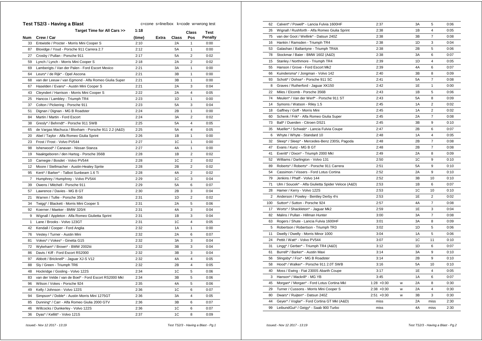|                | Test TS2/3 - Having a Blast                           |        | c=cone s=line/box k=code w=wrong test |                |                         |                |
|----------------|-------------------------------------------------------|--------|---------------------------------------|----------------|-------------------------|----------------|
|                | Target Time for All Cars >>                           | 1:18   |                                       |                | Class                   | Test           |
| Num            | Crew / Car                                            | (time) | Extra                                 | Class          | Pos                     | <b>Penalty</b> |
| 33             | Entwistle / Procter - Morris Mini Cooper S            | 2:10   |                                       | 2Α             | 1                       | 0:00           |
| 87             | Bloxidge / Youd - Porsche 911 Carrera 2.7             | 2:12   |                                       | 5A             | 1                       | 0:00           |
| 27             | Crosby / Pullan - Porsche 911                         | 2:17   |                                       | 5A             | $\overline{2}$          | 0:02           |
| 59             | Lynch / Lynch - Morris Mini Cooper S                  | 2:18   |                                       | 2A             | $\overline{2}$          | 0:02           |
| 69             | Lamberigts / Van der Palen - Ford Escort Mexico       | 2:21   |                                       | 3A             | $\mathbf{1}$            | 0:00           |
| 64             | Leurs* / de Rijk* - Opel Ascona                       | 2:21   |                                       | 3B             | $\mathbf{1}$            | 0:00           |
| 68             | van der Leeuw / van Egmond - Alfa Romeo Giulia Super  | 2:21   |                                       | 3B             | 1                       | 0:00           |
| 67             | Haselden / Evans* - Austin Mini Cooper S              | 2:21   |                                       | 2A             | 3                       | 0:04           |
| 43             | Cleyndert / Harrison - Morris Mini Cooper S           | 2:22   |                                       | 2A             | 4                       | 0:05           |
| 25             | Hancox / Lambley - Triumph TR4                        | 2:23   |                                       | 1D             | 1                       | 0:00           |
| 37             | Colton / Pickering - Porsche 911                      | 2:23   |                                       | 5A             | 3                       | 0:04           |
| 51             | Dignan / Dignan - MG B Roadster                       | 2:24   |                                       | 2B             | 1                       | 0:00           |
| 84             | Martin / Martin - Ford Escort                         | 2:24   |                                       | 3A             | $\overline{2}$          | 0:02           |
| 38             | Gresly* / Behrndt* - Porsche 911 SWB                  | 2:25   |                                       | 5A             | 4                       | 0:05           |
| 65             | de Vargas Machuca / Bloxham - Porsche 911 2.2 (A&D)   | 2:25   |                                       | 5A             | 4                       | 0:05           |
| 20             | Abel / Taylor - Alfa Romeo Giulia Sprint              | 2:26   |                                       | 1B             | 1                       | 0:00           |
| 23             | Frost / Frost - Volvo PV544                           | 2:27   |                                       | 1C             | $\mathbf{1}$            | 0:00           |
| 98             | Isherwood* / Canavan - Nissan Stanza                  | 2:27   |                                       | 4A             | 1                       | 0:00           |
| 19             | Naaktgeboren / den Hartog - Porsche 356B              | 2:28   |                                       | 1B             | $\overline{2}$          | 0:02           |
| 10             | Carnegie / Bosdet - Volvo PV544                       | 2:28   |                                       | 1C             | $\overline{\mathbf{c}}$ | 0:02           |
| 12             | Moore / Stellmacher - Austin-Healey Sprite            | 2:28   |                                       | 2B             | $\overline{2}$          | 0:02           |
| 95             | Kent* / Barker* - Talbot Sunbeam 1.6 Ti               | 2:28   |                                       | 4A             | $\overline{2}$          | 0:02           |
| $\overline{7}$ | Humphrey / Humphrey - Volvo PV544                     | 2:29   |                                       | 1 <sup>C</sup> | 3                       | 0:04           |
| 39             | Owens / Mitchell - Porsche 911                        | 2:29   |                                       | 5A             | 6                       | 0:07           |
| 57             | Lawrence / Davies - MG B GT                           | 2:30   |                                       | 2B             | 3                       | 0:04           |
| 21             | Warren / Tullie - Porsche 356                         | 2:31   |                                       | 1D             | $\overline{2}$          | 0:02           |
| 34             | Twigg* / Blackett - Morris Mini Cooper S              | 2:31   |                                       | 2A             | 5                       | 0:06           |
| 92             | Koerner / Maeker - BMW 320/4                          | 2:31   |                                       | 4A             | 3                       | 0:04           |
| 9              | Wignall / Appleton - Alfa Romeo Giulietta Sprint      | 2:31   |                                       | 1B             | 3                       | 0:04           |
| $\mathbf{1}$   | Lane / Brooks - Volvo 123GT                           | 2:31   |                                       | 1C             | $\overline{4}$          | 0:05           |
| 42             | Kendall / Cooper - Ford Anglia                        | 2:32   |                                       | 1A             | 1                       | 0:00           |
| 76             | Vestey / Turner - Austin Mini                         | 2:32   |                                       | 2A             | 6                       | 0:07           |
| 81             | Vokes* / Vokes* - Ginetta G15                         | 2:32   |                                       | 3A             | 3                       | 0:04           |
| 72             | Wykeham* / Brown* - BMW 2002tii                       | 2:32   |                                       | 3B             | 3                       | 0:04           |
| 86             | Davis / Kiff - Ford Escort RS2000                     | 2:32   |                                       | 3B             | 3                       | 0:04           |
| 97             | Abbott / Bricknell* - Jaguar XJ-S V12                 | 2:32   |                                       | 4A             | 4                       | 0:05           |
| 88             | Sly / Green - Triumph TR6                             | 2:32   |                                       | 2B             | $\overline{\mathbf{4}}$ | 0:05           |
| 48             | Hockridge / Gosling - Volvo 122S                      | 2:34   |                                       | 1C             | 5                       | 0:06           |
| 83             | van der Velde / van de Boel* - Ford Escort RS2000 Mkl | 2:34   |                                       | 3B             | 5                       | 0:06           |
| 96             | Wilson / Vokes - Porsche 924                          | 2:35   |                                       | 4A             | 5                       | 0:06           |
| 49             | Kelly / Johnson - Volvo 122S                          | 2:36   |                                       | 1C             | 6                       | 0:07           |
| 94             | Simpson* / Doble* - Austin Morris Mini 1275GT         | 2:36   |                                       | 3A             | 4                       | 0:05           |
| 85             | Dunning* / Carr - Alfa Romeo Giulia 2000 GTV          | 2:36   |                                       | 3B             | 6                       | 0:07           |
| 46             | Willcocks / Dunkerley - Volvo 122S                    | 2:36   |                                       | 1C             | 6                       | 0:07           |
| 36             | Dyas* / Kellitt* - Volvo 121S                         | 2:37   |                                       | 1C             | 8                       | 0:09           |
|                |                                                       |        |                                       |                |                         |                |

| 62  | Calvert* / Powell* - Lancia Fulvia 1600HF          | 2:37          |   | 3A        | 5              | 0:06 |
|-----|----------------------------------------------------|---------------|---|-----------|----------------|------|
| 26  | Wignall / Rushforth - Alfa Romeo Giulia Sprint     | 2:38          |   | 1B        | 4              | 0:05 |
| 75  | van der Goot / Wellink* - Datsun 240Z              | 2:38          |   | 3B        | 7              | 0:08 |
| 16  | Hankin / Ramsden - Triumph TR4                     | 2:38          |   | 1D        | 3              | 0:04 |
| 53  | Galashan / Ballantyne - Triumph TR4A               | 2:38          |   | 2B        | 5              | 0:06 |
| 78  | Stockmar / Baier - BMW 1602 (A&D)                  | 2:38          |   | 3A        | 6              | 0:07 |
| 15  | Stanley / Northmore - Triumph TR4                  | 2:39          |   | 1D        | 4              | 0:05 |
| 55  | Hanson / Grove - Ford Escort Mk2                   | 2:39          |   | 4A        | 6              | 0:07 |
| 66  | Kuindersma* / Jongman - Volvo 142                  | 2:40          |   | 3B        | 8              | 0:09 |
| 93  | Schott* / Dohse* - Porsche 911 SC                  | 2:41          |   | 5A        | $\overline{7}$ | 0:08 |
| 8   | Graves / Rutherford - Jaguar XK150                 | 2:42          |   | 1E        | $\mathbf{1}$   | 0:00 |
| 22  | Miles / Elcomb - Porsche 356B                      | 2:43          |   | 1B        | 5              | 0:06 |
| 74  | Meulen* / Van der Werf* - Porsche 911 ST           | 2:43          |   | <b>5A</b> | 8              | 0:09 |
| 14  | Symons / Watson - Riley 1.5                        | 2:45          |   | 1A        | $\overline{c}$ | 0:02 |
| 18  | Gaffney / Goff - Morris Mini                       | 2:45          |   | 1A        | $\overline{2}$ | 0:02 |
| 60  | Schenk / Frik* - Alfa Romeo Giulia Super           | 2:45          |   | 2A        | $\overline{7}$ | 0:08 |
| 73  | Ball* / Duerden - Citroen DS21                     | 2:45          |   | 3B        | 9              | 0:10 |
| 35  | Mueller* / Schwab* - Lancia Fulvia Coupe           | 2:47          |   | 2B        | 6              | 0:07 |
| 6   | Whyte / Whyte - Standard 10                        | 2:48          |   | 1A        | 4              | 0:05 |
| 32  | Sleep* / Sleep* - Mercedes-Benz 230SL Pagoda       | 2:48          |   | 2B        | 7              | 0:08 |
| 47  | Evans / Kunz - MG B GT                             | 2:48          |   | 2B        | $\overline{7}$ | 0:08 |
| 41  | Everitt* / Dixon* - Triumph 2000 Mkl               | 2:49          |   | 2A        | 8              | 0:09 |
| 52  | Williams / Darlington - Volvo 131                  | 2:50          |   | 1C        | 9              | 0:10 |
| 89  | Roberts* / Roberts* - Porsche 911 Carrera          | 2:51          |   | 5A        | 9              | 0:10 |
| 54  | Cassimon / Vissers - Ford Lotus Cortina            | 2:52          |   | 2A        | 9              | 0:10 |
| 79  | Jenkins / Phaff - Volvo 144                        | 2:52          |   | 3B        | 10             | 0:10 |
| 71  | Ulm / Soucek* - Alfa Giulietta Spider Veloce (A&D) | 2:53          |   | 1B        | 6              | 0:07 |
| 28  | Hamer / Kerry - Volvo 122S                         | 2:53          |   | 1C        | 10             | 0:10 |
| 2   | Anderson / Powley - Bentley Derby 41/4             | 2:53          |   | 1E        | $\overline{c}$ | 0:02 |
| 100 | Sutton* / Sutton - Porsche 924                     | 2:57          |   | 4A        | $\overline{7}$ | 0:08 |
| 17  | Worts* / Shackleton* - Jaguar Mk2                  | 2:59          |   | 1E        | 3              | 0:04 |
| 82  | Malins / Pullan - Hillman Hunter                   | 3:00          |   | 3A        | $\overline{7}$ | 0:08 |
| 63  | Rogers / Shute - Lancia Fulvia 1600HF              | 3:01          |   | 3A        | 8              | 0:09 |
| 5   | Robertson / Robertson - Triumph TR3                | 3:02          |   | 1D        | 5              | 0:06 |
| 11  | Dwelly / Dwelly - Morris Minor 1000                | 3:04          |   | 1A        | 5              | 0:06 |
| 24  | Pettit / Watt* - Volvo PV544                       | 3:07          |   | 1C        | 11             | 0:10 |
| 31  | Lingg* / Gerber* - Triumph TR4 (A&D)               | 3:12          |   | 1D        | 6              | 0:07 |
| 61  | Burrell* / Barker* - Austin Maxi                   | 3:14          |   | 3A        | 9              | 0:10 |
| 56  | Slingsby* / Fox* - MG B Roadster                   | 3:14          |   | 2B        | 9              | 0:10 |
| 58  | Hood* / Walker* - Porsche 911 2.0T SWB             | 3:16          |   | <b>5A</b> | 10             | 0:10 |
| 40  | Moss / Ewing - Fiat 2300S Abarth Coupe             | 3:17          |   | 1E        | $\overline{4}$ | 0:05 |
| 3   | Hanson* / Mackrill* - MG YB                        | 3:45          |   | 1A        | 6              | 0:07 |
| 45  | Morgan* / Morgan* - Ford Lotus Cortina Mkl         | $1:28 + 0:30$ | w | 2A        | 8              | 0:30 |
| 29  | Turner / Cussons - Morris Mini Cooper S            | $2:38 + 0:30$ | W | 2A        | $\overline{4}$ | 0:30 |
| 80  | Dwars* / Ruijten* - Datsun 240Z                    | $2:51 + 0:30$ | w | 3B        | 3              | 0:30 |
| 44  | Geyer* / Voglar* - Ford Cortina GT MkI (A&D)       | miss          |   | 2A        | miss           | 2:30 |
| 99  | LeibundGut* / Geigy* - Saab 900 Turbo              | miss          |   | 4A        | miss           | 2:30 |
|     |                                                    |               |   |           |                |      |

 *Issued:- Nov 12 2017 - 13:19 Test TS2/3 - Having a Blast - Pg.1*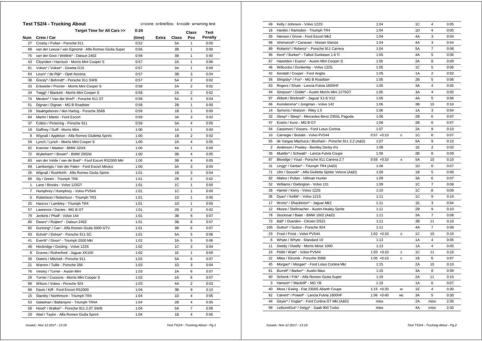| Target Time for All Cars >><br>0:24<br>Test<br>Class<br>Crew / Car<br>Num<br>(time)<br>Extra<br>Class<br>Pos<br><b>Penalty</b><br>Crosby / Pullan - Porsche 911<br>0:52<br>5Α<br>27<br>1<br>0:00<br>van der Leeuw / van Egmond - Alfa Romeo Giulia Super<br>0:56<br>ЗB<br>1<br>0:00<br>68<br>75<br>van der Goot / Wellink* - Datsun 240Z<br>0:56<br>3B<br>1<br>0:00<br>0:57<br>2A<br>$\mathbf{1}$<br>0:00<br>43<br>Cleyndert / Harrison - Morris Mini Cooper S<br>Vokes* / Vokes* - Ginetta G15<br>0:57<br>3A<br>1<br>0:00<br>81<br>64<br>Leurs* / de Rijk* - Opel Ascona<br>0:57<br>3B<br>3<br>0:04<br>Gresly* / Behrndt* - Porsche 911 SWB<br>5A<br>2<br>38<br>0:57<br>0:02<br>$\overline{2}$<br>2A<br>33<br>Entwistle / Procter - Morris Mini Cooper S<br>0:58<br>0:02<br>2A<br>2<br>34<br>Twigg* / Blackett - Morris Mini Cooper S<br>0:58<br>0:02<br>74<br>Meulen* / Van der Werf* - Porsche 911 ST<br>0:58<br><b>5A</b><br>3<br>0:04<br>Dignan / Dignan - MG B Roadster<br>0:58<br>2B<br>1<br>0:00<br>51<br>0:59<br>1B<br>0:00<br>19<br>Naaktgeboren / den Hartog - Porsche 356B<br>1<br>0:59<br>$\overline{2}$<br>0:02<br>84<br>Martin / Martin - Ford Escort<br>3A<br>5A<br>4<br>37<br>Colton / Pickering - Porsche 911<br>0:59<br>0:05<br>18<br>Gaffney / Goff - Morris Mini<br>1:00<br>1A<br>1<br>0:00<br>1:00<br>1B<br>$\overline{2}$<br>0:02<br>9<br>Wignall / Appleton - Alfa Romeo Giulietta Sprint<br>$\overline{\mathbf{4}}$<br>59<br>1:00<br>2A<br>0:05<br>Lynch / Lynch - Morris Mini Cooper S<br>4A<br>Koerner / Maeker - BMW 320/4<br>1<br>92<br>1:00<br>0:00<br>72<br>Wykeham* / Brown* - BMW 2002tii<br>3B<br>4<br>1:00<br>0:05<br>van der Velde / van de Boel* - Ford Escort RS2000 Mkl<br>3B<br>4<br>83<br>1:00<br>0:05<br>Lamberigts / Van der Palen - Ford Escort Mexico<br>1:00<br>3A<br>3<br>0:04<br>69<br>26<br>Wignall / Rushforth - Alfa Romeo Giulia Sprint<br>1:01<br>1B<br>3<br>0:04<br>88<br>Sly / Green - Triumph TR6<br>1:01<br>2B<br>$\overline{2}$<br>0:02<br>Lane / Brooks - Volvo 123GT<br>1:01<br>1C<br>1<br>0:00<br>1<br>1:01<br>1C<br>0:00<br>7<br>Humphrey / Humphrey - Volvo PV544<br>1<br>1<br>5<br>Robertson / Robertson - Triumph TR3<br>1:01<br>1D<br>0:00<br>Hancox / Lambley - Triumph TR4<br>1:01<br>1D<br>1<br>0:00<br>25<br>$\overline{2}$<br>57<br>Lawrence / Davies - MG B GT<br>1:01<br>2B<br>0:02<br>79<br>Jenkins / Phaff - Volvo 144<br>1:01<br>3B<br>6<br>0:07<br>Dwars* / Ruijten* - Datsun 240Z<br>1:01<br>3B<br>6<br>0:07<br>80<br>Dunning* / Carr - Alfa Romeo Giulia 2000 GTV<br>3B<br>6<br>0:07<br>85<br>1:01<br>93<br>Schott* / Dohse* - Porsche 911 SC<br>1:01<br>5A<br>5<br>0:06<br>41<br>Everitt* / Dixon* - Triumph 2000 Mkl<br>1:02<br>2A<br>5<br>0:06<br>1:02<br>1C<br>3<br>0:04<br>48<br>Hockridge / Gosling - Volvo 122S<br>1:02<br>1<br>0:00<br>1E<br>8<br>Graves / Rutherford - Jaguar XK150<br>1:02<br>5A<br>0:07<br>39<br>Owens / Mitchell - Porsche 911<br>6<br>Warren / Tullie - Porsche 356<br>1:03<br>1D<br>3<br>0:04<br>21<br>76<br>Vestey / Turner - Austin Mini<br>1:03<br>2A<br>6<br>0:07<br>6<br>29<br>Turner / Cussons - Morris Mini Cooper S<br>1:03<br>2A<br>0:07<br>Wilson / Vokes - Porsche 924<br>4A<br>$\overline{2}$<br>1:03<br>0:02<br>96<br>9<br>0:10<br>86<br>Davis / Kiff - Ford Escort RS2000<br>1:04<br>3B<br>1D<br>4<br>15<br>Stanley / Northmore - Triumph TR4<br>1:04<br>0:05<br>53<br>Galashan / Ballantyne - Triumph TR4A<br>1:04<br>2B<br>4<br>0:05<br>58<br>Hood* / Walker* - Porsche 911 2.0T SWB<br>1:04<br>5A<br>7<br>0:08<br>Abel / Taylor - Alfa Romeo Giulia Sprint<br>1:04<br>1B<br>4<br>0:05<br>20 | <b>Test TS2/4 - Trucking About</b> | c=cone s=line/box k=code w=wrong test |  |  |
|---------------------------------------------------------------------------------------------------------------------------------------------------------------------------------------------------------------------------------------------------------------------------------------------------------------------------------------------------------------------------------------------------------------------------------------------------------------------------------------------------------------------------------------------------------------------------------------------------------------------------------------------------------------------------------------------------------------------------------------------------------------------------------------------------------------------------------------------------------------------------------------------------------------------------------------------------------------------------------------------------------------------------------------------------------------------------------------------------------------------------------------------------------------------------------------------------------------------------------------------------------------------------------------------------------------------------------------------------------------------------------------------------------------------------------------------------------------------------------------------------------------------------------------------------------------------------------------------------------------------------------------------------------------------------------------------------------------------------------------------------------------------------------------------------------------------------------------------------------------------------------------------------------------------------------------------------------------------------------------------------------------------------------------------------------------------------------------------------------------------------------------------------------------------------------------------------------------------------------------------------------------------------------------------------------------------------------------------------------------------------------------------------------------------------------------------------------------------------------------------------------------------------------------------------------------------------------------------------------------------------------------------------------------------------------------------------------------------------------------------------------------------------------------------------------------------------------------------------------------------------------------------------------------------------------------------------------------------------------------------------------------------------------------------------------------------------------------------------------------------------------------------------------------------------------------------------------------------------------------------------------------------------------------------------------------------------------------------------------------------------------------------------------------------------------------------------------------------------------------------------------------------------------------------------------------------------------------------------------------------------|------------------------------------|---------------------------------------|--|--|
|                                                                                                                                                                                                                                                                                                                                                                                                                                                                                                                                                                                                                                                                                                                                                                                                                                                                                                                                                                                                                                                                                                                                                                                                                                                                                                                                                                                                                                                                                                                                                                                                                                                                                                                                                                                                                                                                                                                                                                                                                                                                                                                                                                                                                                                                                                                                                                                                                                                                                                                                                                                                                                                                                                                                                                                                                                                                                                                                                                                                                                                                                                                                                                                                                                                                                                                                                                                                                                                                                                                                                                                                                           |                                    |                                       |  |  |
|                                                                                                                                                                                                                                                                                                                                                                                                                                                                                                                                                                                                                                                                                                                                                                                                                                                                                                                                                                                                                                                                                                                                                                                                                                                                                                                                                                                                                                                                                                                                                                                                                                                                                                                                                                                                                                                                                                                                                                                                                                                                                                                                                                                                                                                                                                                                                                                                                                                                                                                                                                                                                                                                                                                                                                                                                                                                                                                                                                                                                                                                                                                                                                                                                                                                                                                                                                                                                                                                                                                                                                                                                           |                                    |                                       |  |  |
|                                                                                                                                                                                                                                                                                                                                                                                                                                                                                                                                                                                                                                                                                                                                                                                                                                                                                                                                                                                                                                                                                                                                                                                                                                                                                                                                                                                                                                                                                                                                                                                                                                                                                                                                                                                                                                                                                                                                                                                                                                                                                                                                                                                                                                                                                                                                                                                                                                                                                                                                                                                                                                                                                                                                                                                                                                                                                                                                                                                                                                                                                                                                                                                                                                                                                                                                                                                                                                                                                                                                                                                                                           |                                    |                                       |  |  |
|                                                                                                                                                                                                                                                                                                                                                                                                                                                                                                                                                                                                                                                                                                                                                                                                                                                                                                                                                                                                                                                                                                                                                                                                                                                                                                                                                                                                                                                                                                                                                                                                                                                                                                                                                                                                                                                                                                                                                                                                                                                                                                                                                                                                                                                                                                                                                                                                                                                                                                                                                                                                                                                                                                                                                                                                                                                                                                                                                                                                                                                                                                                                                                                                                                                                                                                                                                                                                                                                                                                                                                                                                           |                                    |                                       |  |  |
|                                                                                                                                                                                                                                                                                                                                                                                                                                                                                                                                                                                                                                                                                                                                                                                                                                                                                                                                                                                                                                                                                                                                                                                                                                                                                                                                                                                                                                                                                                                                                                                                                                                                                                                                                                                                                                                                                                                                                                                                                                                                                                                                                                                                                                                                                                                                                                                                                                                                                                                                                                                                                                                                                                                                                                                                                                                                                                                                                                                                                                                                                                                                                                                                                                                                                                                                                                                                                                                                                                                                                                                                                           |                                    |                                       |  |  |
|                                                                                                                                                                                                                                                                                                                                                                                                                                                                                                                                                                                                                                                                                                                                                                                                                                                                                                                                                                                                                                                                                                                                                                                                                                                                                                                                                                                                                                                                                                                                                                                                                                                                                                                                                                                                                                                                                                                                                                                                                                                                                                                                                                                                                                                                                                                                                                                                                                                                                                                                                                                                                                                                                                                                                                                                                                                                                                                                                                                                                                                                                                                                                                                                                                                                                                                                                                                                                                                                                                                                                                                                                           |                                    |                                       |  |  |
|                                                                                                                                                                                                                                                                                                                                                                                                                                                                                                                                                                                                                                                                                                                                                                                                                                                                                                                                                                                                                                                                                                                                                                                                                                                                                                                                                                                                                                                                                                                                                                                                                                                                                                                                                                                                                                                                                                                                                                                                                                                                                                                                                                                                                                                                                                                                                                                                                                                                                                                                                                                                                                                                                                                                                                                                                                                                                                                                                                                                                                                                                                                                                                                                                                                                                                                                                                                                                                                                                                                                                                                                                           |                                    |                                       |  |  |
|                                                                                                                                                                                                                                                                                                                                                                                                                                                                                                                                                                                                                                                                                                                                                                                                                                                                                                                                                                                                                                                                                                                                                                                                                                                                                                                                                                                                                                                                                                                                                                                                                                                                                                                                                                                                                                                                                                                                                                                                                                                                                                                                                                                                                                                                                                                                                                                                                                                                                                                                                                                                                                                                                                                                                                                                                                                                                                                                                                                                                                                                                                                                                                                                                                                                                                                                                                                                                                                                                                                                                                                                                           |                                    |                                       |  |  |
|                                                                                                                                                                                                                                                                                                                                                                                                                                                                                                                                                                                                                                                                                                                                                                                                                                                                                                                                                                                                                                                                                                                                                                                                                                                                                                                                                                                                                                                                                                                                                                                                                                                                                                                                                                                                                                                                                                                                                                                                                                                                                                                                                                                                                                                                                                                                                                                                                                                                                                                                                                                                                                                                                                                                                                                                                                                                                                                                                                                                                                                                                                                                                                                                                                                                                                                                                                                                                                                                                                                                                                                                                           |                                    |                                       |  |  |
|                                                                                                                                                                                                                                                                                                                                                                                                                                                                                                                                                                                                                                                                                                                                                                                                                                                                                                                                                                                                                                                                                                                                                                                                                                                                                                                                                                                                                                                                                                                                                                                                                                                                                                                                                                                                                                                                                                                                                                                                                                                                                                                                                                                                                                                                                                                                                                                                                                                                                                                                                                                                                                                                                                                                                                                                                                                                                                                                                                                                                                                                                                                                                                                                                                                                                                                                                                                                                                                                                                                                                                                                                           |                                    |                                       |  |  |
|                                                                                                                                                                                                                                                                                                                                                                                                                                                                                                                                                                                                                                                                                                                                                                                                                                                                                                                                                                                                                                                                                                                                                                                                                                                                                                                                                                                                                                                                                                                                                                                                                                                                                                                                                                                                                                                                                                                                                                                                                                                                                                                                                                                                                                                                                                                                                                                                                                                                                                                                                                                                                                                                                                                                                                                                                                                                                                                                                                                                                                                                                                                                                                                                                                                                                                                                                                                                                                                                                                                                                                                                                           |                                    |                                       |  |  |
|                                                                                                                                                                                                                                                                                                                                                                                                                                                                                                                                                                                                                                                                                                                                                                                                                                                                                                                                                                                                                                                                                                                                                                                                                                                                                                                                                                                                                                                                                                                                                                                                                                                                                                                                                                                                                                                                                                                                                                                                                                                                                                                                                                                                                                                                                                                                                                                                                                                                                                                                                                                                                                                                                                                                                                                                                                                                                                                                                                                                                                                                                                                                                                                                                                                                                                                                                                                                                                                                                                                                                                                                                           |                                    |                                       |  |  |
|                                                                                                                                                                                                                                                                                                                                                                                                                                                                                                                                                                                                                                                                                                                                                                                                                                                                                                                                                                                                                                                                                                                                                                                                                                                                                                                                                                                                                                                                                                                                                                                                                                                                                                                                                                                                                                                                                                                                                                                                                                                                                                                                                                                                                                                                                                                                                                                                                                                                                                                                                                                                                                                                                                                                                                                                                                                                                                                                                                                                                                                                                                                                                                                                                                                                                                                                                                                                                                                                                                                                                                                                                           |                                    |                                       |  |  |
|                                                                                                                                                                                                                                                                                                                                                                                                                                                                                                                                                                                                                                                                                                                                                                                                                                                                                                                                                                                                                                                                                                                                                                                                                                                                                                                                                                                                                                                                                                                                                                                                                                                                                                                                                                                                                                                                                                                                                                                                                                                                                                                                                                                                                                                                                                                                                                                                                                                                                                                                                                                                                                                                                                                                                                                                                                                                                                                                                                                                                                                                                                                                                                                                                                                                                                                                                                                                                                                                                                                                                                                                                           |                                    |                                       |  |  |
|                                                                                                                                                                                                                                                                                                                                                                                                                                                                                                                                                                                                                                                                                                                                                                                                                                                                                                                                                                                                                                                                                                                                                                                                                                                                                                                                                                                                                                                                                                                                                                                                                                                                                                                                                                                                                                                                                                                                                                                                                                                                                                                                                                                                                                                                                                                                                                                                                                                                                                                                                                                                                                                                                                                                                                                                                                                                                                                                                                                                                                                                                                                                                                                                                                                                                                                                                                                                                                                                                                                                                                                                                           |                                    |                                       |  |  |
|                                                                                                                                                                                                                                                                                                                                                                                                                                                                                                                                                                                                                                                                                                                                                                                                                                                                                                                                                                                                                                                                                                                                                                                                                                                                                                                                                                                                                                                                                                                                                                                                                                                                                                                                                                                                                                                                                                                                                                                                                                                                                                                                                                                                                                                                                                                                                                                                                                                                                                                                                                                                                                                                                                                                                                                                                                                                                                                                                                                                                                                                                                                                                                                                                                                                                                                                                                                                                                                                                                                                                                                                                           |                                    |                                       |  |  |
|                                                                                                                                                                                                                                                                                                                                                                                                                                                                                                                                                                                                                                                                                                                                                                                                                                                                                                                                                                                                                                                                                                                                                                                                                                                                                                                                                                                                                                                                                                                                                                                                                                                                                                                                                                                                                                                                                                                                                                                                                                                                                                                                                                                                                                                                                                                                                                                                                                                                                                                                                                                                                                                                                                                                                                                                                                                                                                                                                                                                                                                                                                                                                                                                                                                                                                                                                                                                                                                                                                                                                                                                                           |                                    |                                       |  |  |
|                                                                                                                                                                                                                                                                                                                                                                                                                                                                                                                                                                                                                                                                                                                                                                                                                                                                                                                                                                                                                                                                                                                                                                                                                                                                                                                                                                                                                                                                                                                                                                                                                                                                                                                                                                                                                                                                                                                                                                                                                                                                                                                                                                                                                                                                                                                                                                                                                                                                                                                                                                                                                                                                                                                                                                                                                                                                                                                                                                                                                                                                                                                                                                                                                                                                                                                                                                                                                                                                                                                                                                                                                           |                                    |                                       |  |  |
|                                                                                                                                                                                                                                                                                                                                                                                                                                                                                                                                                                                                                                                                                                                                                                                                                                                                                                                                                                                                                                                                                                                                                                                                                                                                                                                                                                                                                                                                                                                                                                                                                                                                                                                                                                                                                                                                                                                                                                                                                                                                                                                                                                                                                                                                                                                                                                                                                                                                                                                                                                                                                                                                                                                                                                                                                                                                                                                                                                                                                                                                                                                                                                                                                                                                                                                                                                                                                                                                                                                                                                                                                           |                                    |                                       |  |  |
|                                                                                                                                                                                                                                                                                                                                                                                                                                                                                                                                                                                                                                                                                                                                                                                                                                                                                                                                                                                                                                                                                                                                                                                                                                                                                                                                                                                                                                                                                                                                                                                                                                                                                                                                                                                                                                                                                                                                                                                                                                                                                                                                                                                                                                                                                                                                                                                                                                                                                                                                                                                                                                                                                                                                                                                                                                                                                                                                                                                                                                                                                                                                                                                                                                                                                                                                                                                                                                                                                                                                                                                                                           |                                    |                                       |  |  |
|                                                                                                                                                                                                                                                                                                                                                                                                                                                                                                                                                                                                                                                                                                                                                                                                                                                                                                                                                                                                                                                                                                                                                                                                                                                                                                                                                                                                                                                                                                                                                                                                                                                                                                                                                                                                                                                                                                                                                                                                                                                                                                                                                                                                                                                                                                                                                                                                                                                                                                                                                                                                                                                                                                                                                                                                                                                                                                                                                                                                                                                                                                                                                                                                                                                                                                                                                                                                                                                                                                                                                                                                                           |                                    |                                       |  |  |
|                                                                                                                                                                                                                                                                                                                                                                                                                                                                                                                                                                                                                                                                                                                                                                                                                                                                                                                                                                                                                                                                                                                                                                                                                                                                                                                                                                                                                                                                                                                                                                                                                                                                                                                                                                                                                                                                                                                                                                                                                                                                                                                                                                                                                                                                                                                                                                                                                                                                                                                                                                                                                                                                                                                                                                                                                                                                                                                                                                                                                                                                                                                                                                                                                                                                                                                                                                                                                                                                                                                                                                                                                           |                                    |                                       |  |  |
|                                                                                                                                                                                                                                                                                                                                                                                                                                                                                                                                                                                                                                                                                                                                                                                                                                                                                                                                                                                                                                                                                                                                                                                                                                                                                                                                                                                                                                                                                                                                                                                                                                                                                                                                                                                                                                                                                                                                                                                                                                                                                                                                                                                                                                                                                                                                                                                                                                                                                                                                                                                                                                                                                                                                                                                                                                                                                                                                                                                                                                                                                                                                                                                                                                                                                                                                                                                                                                                                                                                                                                                                                           |                                    |                                       |  |  |
|                                                                                                                                                                                                                                                                                                                                                                                                                                                                                                                                                                                                                                                                                                                                                                                                                                                                                                                                                                                                                                                                                                                                                                                                                                                                                                                                                                                                                                                                                                                                                                                                                                                                                                                                                                                                                                                                                                                                                                                                                                                                                                                                                                                                                                                                                                                                                                                                                                                                                                                                                                                                                                                                                                                                                                                                                                                                                                                                                                                                                                                                                                                                                                                                                                                                                                                                                                                                                                                                                                                                                                                                                           |                                    |                                       |  |  |
|                                                                                                                                                                                                                                                                                                                                                                                                                                                                                                                                                                                                                                                                                                                                                                                                                                                                                                                                                                                                                                                                                                                                                                                                                                                                                                                                                                                                                                                                                                                                                                                                                                                                                                                                                                                                                                                                                                                                                                                                                                                                                                                                                                                                                                                                                                                                                                                                                                                                                                                                                                                                                                                                                                                                                                                                                                                                                                                                                                                                                                                                                                                                                                                                                                                                                                                                                                                                                                                                                                                                                                                                                           |                                    |                                       |  |  |
|                                                                                                                                                                                                                                                                                                                                                                                                                                                                                                                                                                                                                                                                                                                                                                                                                                                                                                                                                                                                                                                                                                                                                                                                                                                                                                                                                                                                                                                                                                                                                                                                                                                                                                                                                                                                                                                                                                                                                                                                                                                                                                                                                                                                                                                                                                                                                                                                                                                                                                                                                                                                                                                                                                                                                                                                                                                                                                                                                                                                                                                                                                                                                                                                                                                                                                                                                                                                                                                                                                                                                                                                                           |                                    |                                       |  |  |
|                                                                                                                                                                                                                                                                                                                                                                                                                                                                                                                                                                                                                                                                                                                                                                                                                                                                                                                                                                                                                                                                                                                                                                                                                                                                                                                                                                                                                                                                                                                                                                                                                                                                                                                                                                                                                                                                                                                                                                                                                                                                                                                                                                                                                                                                                                                                                                                                                                                                                                                                                                                                                                                                                                                                                                                                                                                                                                                                                                                                                                                                                                                                                                                                                                                                                                                                                                                                                                                                                                                                                                                                                           |                                    |                                       |  |  |
|                                                                                                                                                                                                                                                                                                                                                                                                                                                                                                                                                                                                                                                                                                                                                                                                                                                                                                                                                                                                                                                                                                                                                                                                                                                                                                                                                                                                                                                                                                                                                                                                                                                                                                                                                                                                                                                                                                                                                                                                                                                                                                                                                                                                                                                                                                                                                                                                                                                                                                                                                                                                                                                                                                                                                                                                                                                                                                                                                                                                                                                                                                                                                                                                                                                                                                                                                                                                                                                                                                                                                                                                                           |                                    |                                       |  |  |
|                                                                                                                                                                                                                                                                                                                                                                                                                                                                                                                                                                                                                                                                                                                                                                                                                                                                                                                                                                                                                                                                                                                                                                                                                                                                                                                                                                                                                                                                                                                                                                                                                                                                                                                                                                                                                                                                                                                                                                                                                                                                                                                                                                                                                                                                                                                                                                                                                                                                                                                                                                                                                                                                                                                                                                                                                                                                                                                                                                                                                                                                                                                                                                                                                                                                                                                                                                                                                                                                                                                                                                                                                           |                                    |                                       |  |  |
|                                                                                                                                                                                                                                                                                                                                                                                                                                                                                                                                                                                                                                                                                                                                                                                                                                                                                                                                                                                                                                                                                                                                                                                                                                                                                                                                                                                                                                                                                                                                                                                                                                                                                                                                                                                                                                                                                                                                                                                                                                                                                                                                                                                                                                                                                                                                                                                                                                                                                                                                                                                                                                                                                                                                                                                                                                                                                                                                                                                                                                                                                                                                                                                                                                                                                                                                                                                                                                                                                                                                                                                                                           |                                    |                                       |  |  |
|                                                                                                                                                                                                                                                                                                                                                                                                                                                                                                                                                                                                                                                                                                                                                                                                                                                                                                                                                                                                                                                                                                                                                                                                                                                                                                                                                                                                                                                                                                                                                                                                                                                                                                                                                                                                                                                                                                                                                                                                                                                                                                                                                                                                                                                                                                                                                                                                                                                                                                                                                                                                                                                                                                                                                                                                                                                                                                                                                                                                                                                                                                                                                                                                                                                                                                                                                                                                                                                                                                                                                                                                                           |                                    |                                       |  |  |
|                                                                                                                                                                                                                                                                                                                                                                                                                                                                                                                                                                                                                                                                                                                                                                                                                                                                                                                                                                                                                                                                                                                                                                                                                                                                                                                                                                                                                                                                                                                                                                                                                                                                                                                                                                                                                                                                                                                                                                                                                                                                                                                                                                                                                                                                                                                                                                                                                                                                                                                                                                                                                                                                                                                                                                                                                                                                                                                                                                                                                                                                                                                                                                                                                                                                                                                                                                                                                                                                                                                                                                                                                           |                                    |                                       |  |  |
|                                                                                                                                                                                                                                                                                                                                                                                                                                                                                                                                                                                                                                                                                                                                                                                                                                                                                                                                                                                                                                                                                                                                                                                                                                                                                                                                                                                                                                                                                                                                                                                                                                                                                                                                                                                                                                                                                                                                                                                                                                                                                                                                                                                                                                                                                                                                                                                                                                                                                                                                                                                                                                                                                                                                                                                                                                                                                                                                                                                                                                                                                                                                                                                                                                                                                                                                                                                                                                                                                                                                                                                                                           |                                    |                                       |  |  |
|                                                                                                                                                                                                                                                                                                                                                                                                                                                                                                                                                                                                                                                                                                                                                                                                                                                                                                                                                                                                                                                                                                                                                                                                                                                                                                                                                                                                                                                                                                                                                                                                                                                                                                                                                                                                                                                                                                                                                                                                                                                                                                                                                                                                                                                                                                                                                                                                                                                                                                                                                                                                                                                                                                                                                                                                                                                                                                                                                                                                                                                                                                                                                                                                                                                                                                                                                                                                                                                                                                                                                                                                                           |                                    |                                       |  |  |
|                                                                                                                                                                                                                                                                                                                                                                                                                                                                                                                                                                                                                                                                                                                                                                                                                                                                                                                                                                                                                                                                                                                                                                                                                                                                                                                                                                                                                                                                                                                                                                                                                                                                                                                                                                                                                                                                                                                                                                                                                                                                                                                                                                                                                                                                                                                                                                                                                                                                                                                                                                                                                                                                                                                                                                                                                                                                                                                                                                                                                                                                                                                                                                                                                                                                                                                                                                                                                                                                                                                                                                                                                           |                                    |                                       |  |  |
|                                                                                                                                                                                                                                                                                                                                                                                                                                                                                                                                                                                                                                                                                                                                                                                                                                                                                                                                                                                                                                                                                                                                                                                                                                                                                                                                                                                                                                                                                                                                                                                                                                                                                                                                                                                                                                                                                                                                                                                                                                                                                                                                                                                                                                                                                                                                                                                                                                                                                                                                                                                                                                                                                                                                                                                                                                                                                                                                                                                                                                                                                                                                                                                                                                                                                                                                                                                                                                                                                                                                                                                                                           |                                    |                                       |  |  |
|                                                                                                                                                                                                                                                                                                                                                                                                                                                                                                                                                                                                                                                                                                                                                                                                                                                                                                                                                                                                                                                                                                                                                                                                                                                                                                                                                                                                                                                                                                                                                                                                                                                                                                                                                                                                                                                                                                                                                                                                                                                                                                                                                                                                                                                                                                                                                                                                                                                                                                                                                                                                                                                                                                                                                                                                                                                                                                                                                                                                                                                                                                                                                                                                                                                                                                                                                                                                                                                                                                                                                                                                                           |                                    |                                       |  |  |
|                                                                                                                                                                                                                                                                                                                                                                                                                                                                                                                                                                                                                                                                                                                                                                                                                                                                                                                                                                                                                                                                                                                                                                                                                                                                                                                                                                                                                                                                                                                                                                                                                                                                                                                                                                                                                                                                                                                                                                                                                                                                                                                                                                                                                                                                                                                                                                                                                                                                                                                                                                                                                                                                                                                                                                                                                                                                                                                                                                                                                                                                                                                                                                                                                                                                                                                                                                                                                                                                                                                                                                                                                           |                                    |                                       |  |  |
|                                                                                                                                                                                                                                                                                                                                                                                                                                                                                                                                                                                                                                                                                                                                                                                                                                                                                                                                                                                                                                                                                                                                                                                                                                                                                                                                                                                                                                                                                                                                                                                                                                                                                                                                                                                                                                                                                                                                                                                                                                                                                                                                                                                                                                                                                                                                                                                                                                                                                                                                                                                                                                                                                                                                                                                                                                                                                                                                                                                                                                                                                                                                                                                                                                                                                                                                                                                                                                                                                                                                                                                                                           |                                    |                                       |  |  |
|                                                                                                                                                                                                                                                                                                                                                                                                                                                                                                                                                                                                                                                                                                                                                                                                                                                                                                                                                                                                                                                                                                                                                                                                                                                                                                                                                                                                                                                                                                                                                                                                                                                                                                                                                                                                                                                                                                                                                                                                                                                                                                                                                                                                                                                                                                                                                                                                                                                                                                                                                                                                                                                                                                                                                                                                                                                                                                                                                                                                                                                                                                                                                                                                                                                                                                                                                                                                                                                                                                                                                                                                                           |                                    |                                       |  |  |
|                                                                                                                                                                                                                                                                                                                                                                                                                                                                                                                                                                                                                                                                                                                                                                                                                                                                                                                                                                                                                                                                                                                                                                                                                                                                                                                                                                                                                                                                                                                                                                                                                                                                                                                                                                                                                                                                                                                                                                                                                                                                                                                                                                                                                                                                                                                                                                                                                                                                                                                                                                                                                                                                                                                                                                                                                                                                                                                                                                                                                                                                                                                                                                                                                                                                                                                                                                                                                                                                                                                                                                                                                           |                                    |                                       |  |  |
|                                                                                                                                                                                                                                                                                                                                                                                                                                                                                                                                                                                                                                                                                                                                                                                                                                                                                                                                                                                                                                                                                                                                                                                                                                                                                                                                                                                                                                                                                                                                                                                                                                                                                                                                                                                                                                                                                                                                                                                                                                                                                                                                                                                                                                                                                                                                                                                                                                                                                                                                                                                                                                                                                                                                                                                                                                                                                                                                                                                                                                                                                                                                                                                                                                                                                                                                                                                                                                                                                                                                                                                                                           |                                    |                                       |  |  |
|                                                                                                                                                                                                                                                                                                                                                                                                                                                                                                                                                                                                                                                                                                                                                                                                                                                                                                                                                                                                                                                                                                                                                                                                                                                                                                                                                                                                                                                                                                                                                                                                                                                                                                                                                                                                                                                                                                                                                                                                                                                                                                                                                                                                                                                                                                                                                                                                                                                                                                                                                                                                                                                                                                                                                                                                                                                                                                                                                                                                                                                                                                                                                                                                                                                                                                                                                                                                                                                                                                                                                                                                                           |                                    |                                       |  |  |
|                                                                                                                                                                                                                                                                                                                                                                                                                                                                                                                                                                                                                                                                                                                                                                                                                                                                                                                                                                                                                                                                                                                                                                                                                                                                                                                                                                                                                                                                                                                                                                                                                                                                                                                                                                                                                                                                                                                                                                                                                                                                                                                                                                                                                                                                                                                                                                                                                                                                                                                                                                                                                                                                                                                                                                                                                                                                                                                                                                                                                                                                                                                                                                                                                                                                                                                                                                                                                                                                                                                                                                                                                           |                                    |                                       |  |  |
|                                                                                                                                                                                                                                                                                                                                                                                                                                                                                                                                                                                                                                                                                                                                                                                                                                                                                                                                                                                                                                                                                                                                                                                                                                                                                                                                                                                                                                                                                                                                                                                                                                                                                                                                                                                                                                                                                                                                                                                                                                                                                                                                                                                                                                                                                                                                                                                                                                                                                                                                                                                                                                                                                                                                                                                                                                                                                                                                                                                                                                                                                                                                                                                                                                                                                                                                                                                                                                                                                                                                                                                                                           |                                    |                                       |  |  |
|                                                                                                                                                                                                                                                                                                                                                                                                                                                                                                                                                                                                                                                                                                                                                                                                                                                                                                                                                                                                                                                                                                                                                                                                                                                                                                                                                                                                                                                                                                                                                                                                                                                                                                                                                                                                                                                                                                                                                                                                                                                                                                                                                                                                                                                                                                                                                                                                                                                                                                                                                                                                                                                                                                                                                                                                                                                                                                                                                                                                                                                                                                                                                                                                                                                                                                                                                                                                                                                                                                                                                                                                                           |                                    |                                       |  |  |
|                                                                                                                                                                                                                                                                                                                                                                                                                                                                                                                                                                                                                                                                                                                                                                                                                                                                                                                                                                                                                                                                                                                                                                                                                                                                                                                                                                                                                                                                                                                                                                                                                                                                                                                                                                                                                                                                                                                                                                                                                                                                                                                                                                                                                                                                                                                                                                                                                                                                                                                                                                                                                                                                                                                                                                                                                                                                                                                                                                                                                                                                                                                                                                                                                                                                                                                                                                                                                                                                                                                                                                                                                           |                                    |                                       |  |  |

| 49             | Kelly / Johnson - Volvo 122S                                                       | 1:04                  |           | 1C             | 4                       | 0:05 |
|----------------|------------------------------------------------------------------------------------|-----------------------|-----------|----------------|-------------------------|------|
| 16             | Hankin / Ramsden - Triumph TR4                                                     | 1:04                  |           | 1D             | $\overline{\mathbf{4}}$ | 0:05 |
| 55             | Hanson / Grove - Ford Escort Mk2                                                   | 1:04                  |           | 4A             | 3                       | 0:04 |
| 98             | Isherwood* / Canavan - Nissan Stanza                                               | 1:04                  |           | 4A             | 3                       | 0:04 |
| 89             | Roberts* / Roberts* - Porsche 911 Carrera                                          | 1:04                  |           | 5A             | $\overline{7}$          | 0:08 |
| 95             | Kent* / Barker* - Talbot Sunbeam 1.6 Ti                                            | 1:05                  |           | 4A             | 5                       | 0:06 |
| 67             | Haselden / Evans* - Austin Mini Cooper S                                           | 1:05                  |           | 2A             | 8                       | 0:09 |
| 46             | Willcocks / Dunkerley - Volvo 122S                                                 | 1:05                  |           | 1C             | 5                       | 0:06 |
| 42             | Kendall / Cooper - Ford Anglia                                                     | 1:05                  |           | 1A             | $\overline{2}$          | 0:02 |
| 56             | Slingsby* / Fox* - MG B Roadster                                                   | 1:05                  |           | 2B             | 5                       | 0:06 |
| 63             | Rogers / Shute - Lancia Fulvia 1600HF                                              | 1:05                  |           | 3A             | $\overline{4}$          | 0:05 |
| 94             | Simpson* / Doble* - Austin Morris Mini 1275GT                                      | 1:05                  |           | 3A             | 4                       | 0:05 |
| 97             | Abbott / Bricknell* - Jaguar XJ-S V12                                              | 1:05                  |           | 4A             | 5                       | 0:06 |
| 66             | Kuindersma* / Jongman - Volvo 142                                                  | 1:06                  |           | 3B             | 10                      | 0:10 |
| 14             | Symons / Watson - Riley 1.5                                                        | 1:06                  |           | 1A             | 3                       | 0:04 |
| 32             | Sleep* / Sleep* - Mercedes-Benz 230SL Pagoda                                       | 1:06                  |           | 2B             | 6                       | 0:07 |
| 47             | Evans / Kunz - MG B GT                                                             | 1:06                  |           | 2B             | 6                       | 0:07 |
| 54             | Cassimon / Vissers - Ford Lotus Cortina                                            | 1:07                  |           | 2A             | 9                       | 0:10 |
| 10             | Carnegie / Bosdet - Volvo PV544                                                    | $0:57 +0:10$          | c         | 1C             | 6                       | 0:07 |
| 65             | de Vargas Machuca / Bloxham - Porsche 911 2.2 (A&D)                                | 1:07                  |           | <b>5A</b>      | 9                       | 0:10 |
| $\overline{2}$ |                                                                                    | 1:08                  |           | 1E             | $\overline{2}$          | 0:02 |
| 35             | Anderson / Powley - Bentley Derby 41/4<br>Mueller* / Schwab* - Lancia Fulvia Coupe | 1:08                  |           | 2B             | 8                       | 0:09 |
| 87             |                                                                                    |                       |           | 5A             | 10                      | 0:10 |
| 31             | Bloxidge / Youd - Porsche 911 Carrera 2.7                                          | $0:58 + 0:10$<br>1:08 | s         | 1D             | 6                       | 0:07 |
| 71             | Lingg* / Gerber* - Triumph TR4 (A&D)                                               |                       |           |                | 5                       |      |
| 82             | Ulm / Soucek* - Alfa Giulietta Spider Veloce (A&D)                                 | 1:09<br>1:09          |           | 1B<br>3A       | 6                       | 0:06 |
| 52             | Malins / Pullan - Hillman Hunter                                                   |                       |           | 1C             | $\overline{7}$          | 0:07 |
|                | Williams / Darlington - Volvo 131                                                  | 1:09                  |           |                |                         | 0:08 |
| 28             | Hamer / Kerry - Volvo 122S                                                         | 1:10                  |           | 1C             | 8                       | 0:09 |
| 36             | Dyas* / Kellitt* - Volvo 121S                                                      | 1:11                  |           | 1C             | 9                       | 0:10 |
| 17             | Worts* / Shackleton* - Jaguar Mk2                                                  | 1:11                  |           | 1E             | 3                       | 0:04 |
| 12             | Moore / Stellmacher - Austin-Healey Sprite                                         | 1:11                  |           | 2B             | 9                       | 0:10 |
| 78             | Stockmar / Baier - BMW 1602 (A&D)                                                  | 1:11                  |           | 3A             | $\overline{7}$          | 0:08 |
| 73             | Ball* / Duerden - Citroen DS21                                                     | 1:11                  |           | 3B             | 11                      | 0:10 |
| 100            | Sutton* / Sutton - Porsche 924                                                     | 1:11                  |           | 4A             | $\overline{7}$          | 0:08 |
| 23             | Frost / Frost - Volvo PV544                                                        | $1:02 +0:10$          | c         | 1 <sup>C</sup> | 10                      | 0:10 |
| 6              | Whyte / Whyte - Standard 10                                                        | 1:13                  |           | 1A             | 4                       | 0:05 |
| 11             | Dwelly / Dwelly - Morris Minor 1000                                                | 1:13                  |           | 1A             | 4                       | 0:05 |
| 24             | Pettit / Watt* - Volvo PV544                                                       | $1:03 +0:10$          | С         | 1C             | 11                      | 0:10 |
| 22             | Miles / Elcomb - Porsche 356B                                                      | $1:05 +0:10$          | C         | 1B             | 6                       | 0:07 |
| 45             | Morgan* / Morgan* - Ford Lotus Cortina Mkl                                         | 1:15                  |           | 2A             | 10                      | 0:10 |
| 61             | Burrell* / Barker* - Austin Maxi                                                   | 1:15                  |           | 3A             | 8                       | 0:09 |
| 60             | Schenk / Frik* - Alfa Romeo Giulia Super                                           | 1:19                  |           | 2A             | 11                      | 0:10 |
| 3              | Hanson* / Mackrill* - MG YB                                                        | 1:19                  |           | 1A             | 6                       | 0:07 |
| 40             | Moss / Ewing - Fiat 2300S Abarth Coupe                                             | $1:15 + 0:30$         | W         | 1E             | $\overline{4}$          | 0:30 |
| 62             | Calvert* / Powell* - Lancia Fulvia 1600HF                                          | $1:06 + 0:40$         | <b>WC</b> | 3A             | 5                       | 0:30 |
| 44             | Geyer* / Voglar* - Ford Cortina GT MkI (A&D)                                       | miss                  |           | 2A             | miss                    | 2:30 |
| 99             | LeibundGut* / Geigy* - Saab 900 Turbo                                              | miss                  |           | 4A             | miss                    | 2:30 |
|                |                                                                                    |                       |           |                |                         |      |

 *Issued:- Nov 12 2017 - 13:19 Test TS2/4 - Trucking About - Pg.1*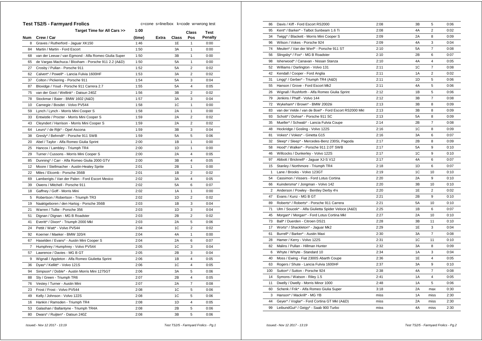|            | <b>Test TS2/5 - Farmyard Frolics</b>                 |        | c=cone s=line/box k=code w=wrong test |       |                         |                |
|------------|------------------------------------------------------|--------|---------------------------------------|-------|-------------------------|----------------|
|            | Target Time for All Cars >>                          | 1:00   |                                       |       | Class                   | <b>Test</b>    |
| <b>Num</b> | Crew / Car                                           | (time) | <b>Extra</b>                          | Class | Pos                     | <b>Penalty</b> |
| 8          | Graves / Rutherford - Jaguar XK150                   | 1:46   |                                       | 1E    | $\mathbf{1}$            | 0:00           |
| 84         | Martin / Martin - Ford Escort                        | 1:50   |                                       | 3A    | $\mathbf{1}$            | 0:00           |
| 68         | van der Leeuw / van Egmond - Alfa Romeo Giulia Super | 1:50   |                                       | 3B    | $\mathbf{1}$            | 0:00           |
| 65         | de Vargas Machuca / Bloxham - Porsche 911 2.2 (A&D)  | 1:50   |                                       | 5A    | $\mathbf{1}$            | 0:00           |
| 27         | Crosby / Pullan - Porsche 911                        | 1:52   |                                       | 5A    | $\overline{2}$          | 0:02           |
| 62         | Calvert* / Powell* - Lancia Fulvia 1600HF            | 1:53   |                                       | 3A    | $\overline{2}$          | 0:02           |
| 37         | Colton / Pickering - Porsche 911                     | 1:54   |                                       | 5A    | 3                       | 0:04           |
| 87         | Bloxidge / Youd - Porsche 911 Carrera 2.7            | 1:55   |                                       | 5A    | 4                       | 0:05           |
| 75         | van der Goot / Wellink* - Datsun 240Z                | 1:56   |                                       | 3B    | $\overline{\mathbf{c}}$ | 0:02           |
| 78         | Stockmar / Baier - BMW 1602 (A&D)                    | 1:57   |                                       | 3A    | 3                       | 0:04           |
| 10         | Carnegie / Bosdet - Volvo PV544                      | 1:58   |                                       | 1C    | 1                       | 0:00           |
| 59         | Lynch / Lynch - Morris Mini Cooper S                 | 1:58   |                                       | 2A    | $\mathbf{1}$            | 0:00           |
| 33         | Entwistle / Procter - Morris Mini Cooper S           | 1:59   |                                       | 2A    | $\overline{2}$          | 0:02           |
| 43         | Cleyndert / Harrison - Morris Mini Cooper S          | 1:59   |                                       | 2A    | $\overline{2}$          | 0:02           |
| 64         | Leurs* / de Rijk* - Opel Ascona                      | 1:59   |                                       | 3B    | 3                       | 0:04           |
| 38         | Gresly* / Behrndt* - Porsche 911 SWB                 | 1:59   |                                       | 5Α    | 5                       | 0:06           |
| 20         | Abel / Taylor - Alfa Romeo Giulia Sprint             | 2:00   |                                       | 1B    | $\mathbf{1}$            | 0:00           |
| 25         | Hancox / Lambley - Triumph TR4                       | 2:00   |                                       | 1D    | $\mathbf{1}$            | 0:00           |
| 29         | Turner / Cussons - Morris Mini Cooper S              | 2:00   |                                       | 2A    | 4                       | 0:05           |
| 85         | Dunning* / Carr - Alfa Romeo Giulia 2000 GTV         | 2:00   |                                       | 3B    | $\overline{4}$          | 0:05           |
| 12         | Moore / Stellmacher - Austin-Healey Sprite           | 2:01   |                                       | 2B    | $\mathbf{1}$            | 0:00           |
| 22         | Miles / Elcomb - Porsche 356B                        | 2:01   |                                       | 1B    | $\overline{2}$          | 0:02           |
| 69         | Lamberigts / Van der Palen - Ford Escort Mexico      | 2:02   |                                       | 3A    | $\overline{4}$          | 0:05           |
| 39         | Owens / Mitchell - Porsche 911                       | 2:02   |                                       | 5A    | 6                       | 0:07           |
| 18         | Gaffney / Goff - Morris Mini                         | 2:02   |                                       | 1A    | 1                       | 0:00           |
| 5          | Robertson / Robertson - Triumph TR3                  | 2:02   |                                       | 1D    | $\overline{2}$          | 0:02           |
| 19         | Naaktgeboren / den Hartog - Porsche 356B             | 2:03   |                                       | 1B    | 3                       | 0:04           |
| 21         | Warren / Tullie - Porsche 356                        | 2:03   |                                       | 1D    | 3                       | 0:04           |
| 51         | Dignan / Dignan - MG B Roadster                      | 2:03   |                                       | 2B    | $\overline{2}$          | 0:02           |
| 41         | Everitt* / Dixon* - Triumph 2000 Mkl                 | 2:03   |                                       | 2A    | 5                       | 0:06           |
| 24         | Pettit / Watt* - Volvo PV544                         | 2:04   |                                       | 1C    | $\overline{2}$          | 0:02           |
| 92         | Koerner / Maeker - BMW 320/4                         | 2:04   |                                       | 4A    | $\mathbf{1}$            | 0:00           |
| 67         | Haselden / Evans* - Austin Mini Cooper S             | 2:04   |                                       | 2A    | 6                       | 0:07           |
| 7          | Humphrey / Humphrey - Volvo PV544                    | 2:05   |                                       | 1C    | 3                       | 0:04           |
| 57         | Lawrence / Davies - MG B GT                          | 2:05   |                                       | 2B    | 3                       | 0:04           |
| 9          | Wignall / Appleton - Alfa Romeo Giulietta Sprint     | 2:06   |                                       | 1B    | $\overline{4}$          | 0:05           |
| 36         | Dyas* / Kellitt* - Volvo 121S                        | 2:06   |                                       | 1C    | $\overline{4}$          | 0:05           |
| 94         | Simpson* / Doble* - Austin Morris Mini 1275GT        | 2:06   |                                       | 3A    | 5                       | 0:06           |
| 88         | Sly / Green - Triumph TR6                            | 2:07   |                                       | 2B    | $\overline{4}$          | 0:05           |
| 76         | Vestey / Turner - Austin Mini                        | 2:07   |                                       | 2A    | $\overline{7}$          | 0:08           |
| 23         | Frost / Frost - Volvo PV544                          | 2:08   |                                       | 1C    | 5                       | 0:06           |
| 49         | Kelly / Johnson - Volvo 122S                         | 2:08   |                                       | 1C    | 5                       | 0:06           |
| 16         | Hankin / Ramsden - Triumph TR4                       | 2:08   |                                       | 1D    | 4                       | 0:05           |
| 53         | Galashan / Ballantyne - Triumph TR4A                 | 2:08   |                                       | 2B    | 5                       | 0:06           |
| 80         | Dwars* / Ruijten* - Datsun 240Z                      | 2:08   |                                       | 3B    | 5                       | 0:06           |

| 86           | Davis / Kiff - Ford Escort RS2000                     | 2:08 | 3B        | 5                       | 0:06 |
|--------------|-------------------------------------------------------|------|-----------|-------------------------|------|
| 95           | Kent* / Barker* - Talbot Sunbeam 1.6 Ti               | 2:08 | 4A        | $\overline{c}$          | 0:02 |
| 34           | Twigg* / Blackett - Morris Mini Cooper S              | 2:09 | 2A        | 8                       | 0:09 |
| 96           | Wilson / Vokes - Porsche 924                          | 2:09 | 4A        | 3                       | 0:04 |
| 74           | Meulen* / Van der Werf* - Porsche 911 ST              | 2:10 | <b>5A</b> | $\overline{7}$          | 0:08 |
| 56           | Slingsby* / Fox* - MG B Roadster                      | 2:10 | 2B        | 6                       | 0:07 |
| 98           | Isherwood* / Canavan - Nissan Stanza                  | 2:10 | 4A        | $\overline{4}$          | 0:05 |
| 52           | Williams / Darlington - Volvo 131                     | 2:11 | 1C        | $\overline{7}$          | 0:08 |
| 42           | Kendall / Cooper - Ford Anglia                        | 2:11 | 1A        | $\overline{2}$          | 0:02 |
| 31           | Lingg* / Gerber* - Triumph TR4 (A&D)                  | 2:11 | 1D        | 5                       | 0:06 |
| 55           | Hanson / Grove - Ford Escort Mk2                      | 2:11 | 4A        | 5                       | 0:06 |
| 26           | Wignall / Rushforth - Alfa Romeo Giulia Sprint        | 2:12 | 1B        | 5                       | 0:06 |
| 79           | Jenkins / Phaff - Volvo 144                           | 2:12 | 3B        | $\overline{7}$          | 0:08 |
| 72           | Wykeham* / Brown* - BMW 2002tii                       | 2:13 | 3B        | 8                       | 0:09 |
| 83           | van der Velde / van de Boel* - Ford Escort RS2000 Mkl | 2:13 | 3B        | 8                       | 0:09 |
| 93           | Schott* / Dohse* - Porsche 911 SC                     | 2:13 | 5A        | 8                       | 0:09 |
| 35           | Mueller* / Schwab* - Lancia Fulvia Coupe              | 2:14 | 2B        | $\overline{7}$          | 0:08 |
| 48           | Hockridge / Gosling - Volvo 122S                      | 2:16 | 1C        | 8                       | 0:09 |
| 81           | Vokes* / Vokes* - Ginetta G15                         | 2:16 | 3A        | 6                       | 0:07 |
| 32           | Sleep* / Sleep* - Mercedes-Benz 230SL Pagoda          | 2:17 | 2B        | 8                       | 0:09 |
| 58           | Hood* / Walker* - Porsche 911 2.0T SWB                | 2:17 | 5A        | 9                       | 0:10 |
| 46           | Willcocks / Dunkerley - Volvo 122S                    | 2:17 | 1C        | 9                       | 0:10 |
| 97           | Abbott / Bricknell* - Jaguar XJ-S V12                 | 2:17 | 4A        | 6                       | 0:07 |
| 15           | Stanley / Northmore - Triumph TR4                     | 2:18 | 1D        | 6                       | 0:07 |
| $\mathbf{1}$ | Lane / Brooks - Volvo 123GT                           | 2:19 | 1C        | 10                      | 0:10 |
| 54           | Cassimon / Vissers - Ford Lotus Cortina               | 2:20 | 2A        | 9                       | 0:10 |
| 66           | Kuindersma* / Jongman - Volvo 142                     | 2:20 | 3B        | 10                      | 0:10 |
| 2            | Anderson / Powley - Bentley Derby 41/4                | 2:20 | 1E        | $\overline{2}$          | 0:02 |
| 47           | Evans / Kunz - MG B GT                                | 2:21 | 2B        | 9                       | 0:10 |
| 89           | Roberts* / Roberts* - Porsche 911 Carrera             | 2:21 | 5A        | 10                      | 0:10 |
| 71           | Ulm / Soucek* - Alfa Giulietta Spider Veloce (A&D)    | 2:25 | 1B        | 6                       | 0:07 |
| 45           | Morgan* / Morgan* - Ford Lotus Cortina Mkl            | 2:27 | 2A        | 10                      | 0:10 |
| 73           | Ball* / Duerden - Citroen DS21                        | 2:28 | 3B        | 11                      | 0:10 |
| 17           | Worts* / Shackleton* - Jaguar Mk2                     | 2:29 | 1E        | 3                       | 0:04 |
| 61           | Burrell* / Barker* - Austin Maxi                      | 2:30 | 3A        | $\overline{7}$          | 0:08 |
| 28           | Hamer / Kerry - Volvo 122S                            | 2:31 | 1C        | 11                      | 0:10 |
| 82           | Malins / Pullan - Hillman Hunter                      | 2:32 | 3A        | 8                       | 0:09 |
| 6            | Whyte / Whyte - Standard 10                           | 2:34 | 1A        | 3                       | 0:04 |
| 40           | Moss / Ewing - Fiat 2300S Abarth Coupe                | 2:36 | 1E        | $\overline{\mathbf{4}}$ | 0:05 |
| 63           | Rogers / Shute - Lancia Fulvia 1600HF                 | 2:37 | 3A        | 9                       | 0:10 |
| 100          | Sutton* / Sutton - Porsche 924                        | 2:38 | 4A        | $\overline{7}$          | 0:08 |
| 14           | Symons / Watson - Riley 1.5                           | 2:41 | 1A        | $\overline{4}$          | 0:05 |
| 11           | Dwelly / Dwelly - Morris Minor 1000                   | 2:48 | 1A        | 5                       | 0:06 |
| 60           | Schenk / Frik* - Alfa Romeo Giulia Super              | 3:18 | 2A        | max                     | 0:30 |
| 3            | Hanson* / Mackrill* - MG YB                           | miss | 1A        | miss                    | 2:30 |
| 44           | Geyer* / Voglar* - Ford Cortina GT MkI (A&D)          | miss | 2A        | miss                    | 2:30 |
| 99           | LeibundGut* / Geigy* - Saab 900 Turbo                 | miss | 4A        | miss                    | 2:30 |
|              |                                                       |      |           |                         |      |

 *Issued:- Nov 12 2017 - 13:19 Test TS2/5 - Farmyard Frolics - Pg.1*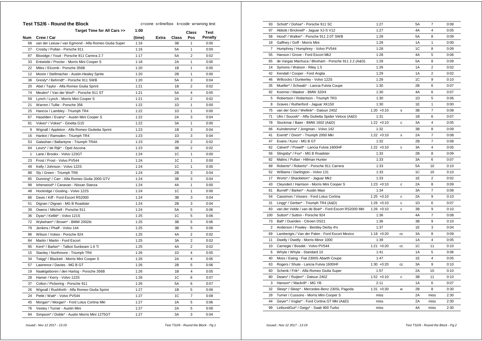| Target Time for All Cars >><br>1:00<br><b>Test</b><br>Class<br>Crew / Car<br><b>Penalty</b><br>Num<br>(time)<br>Extra<br>Class<br>Pos<br>0:00<br>68<br>van der Leeuw / van Egmond - Alfa Romeo Giulia Super<br>1:16<br>3B<br>$\mathbf{1}$<br>0:00<br>27<br>Crosby / Pullan - Porsche 911<br>1:16<br>5A<br>1<br>1:17<br>5A<br>$\overline{2}$<br>0:02<br>87<br>Bloxidge / Youd - Porsche 911 Carrera 2.7<br>$\mathbf{1}$<br>0:00<br>Entwistle / Procter - Morris Mini Cooper S<br>1:18<br>2A<br>33<br>22<br>Miles / Elcomb - Porsche 356B<br>1:20<br>1B<br>1<br>0:00<br>12<br>Moore / Stellmacher - Austin-Healey Sprite<br>1:20<br>2B<br>$\mathbf{1}$<br>0:00<br>Gresly* / Behrndt* - Porsche 911 SWB<br>1:20<br>3<br>0:04<br>38<br>5A<br>$\overline{2}$<br>20<br>1:21<br>1B<br>0:02<br>Abel / Taylor - Alfa Romeo Giulia Sprint<br>74<br>Meulen* / Van der Werf* - Porsche 911 ST<br>1:21<br>5A<br>$\overline{4}$<br>0:05<br>1:21<br>2A<br>$\boldsymbol{2}$<br>0:02<br>59<br>Lynch / Lynch - Morris Mini Cooper S<br>Warren / Tullie - Porsche 356<br>21<br>1:22<br>1D<br>1<br>0:00<br>Hancox / Lambley - Triumph TR4<br>1:22<br>1D<br>1<br>0:00<br>25<br>Haselden / Evans* - Austin Mini Cooper S<br>1:22<br>2A<br>3<br>0:04<br>67<br>0:00<br>81<br>Vokes* / Vokes* - Ginetta G15<br>1:22<br>3A<br>$\mathbf{1}$<br>0:04<br>Wignall / Appleton - Alfa Romeo Giulietta Sprint<br>1:23<br>1B<br>3<br>9<br>1:23<br>1D<br>3<br>0:04<br>16<br>Hankin / Ramsden - Triumph TR4<br>1:23<br>$\overline{2}$<br>2B<br>0:02<br>53<br>Galashan / Ballantyne - Triumph TR4A<br>Leurs* / de Rijk* - Opel Ascona<br>1:23<br>3B<br>$\overline{2}$<br>0:02<br>64<br>0:00<br>$\mathbf{1}$<br>Lane / Brooks - Volvo 123GT<br>1:24<br>1C<br>$\mathbf{1}$<br>1C<br>$\mathbf{1}$<br>23<br>Frost / Frost - Volvo PV544<br>1:24<br>0:00<br>1:24<br>1C<br>1<br>0:00<br>49<br>Kelly / Johnson - Volvo 122S<br>Sly / Green - Triumph TR6<br>1:24<br>2B<br>3<br>0:04<br>88<br>3<br>Dunning* / Carr - Alfa Romeo Giulia 2000 GTV<br>1:24<br>3B<br>0:04<br>85<br>98<br>Isherwood* / Canavan - Nissan Stanza<br>1:24<br>4A<br>1<br>0:00<br>1:24<br>1C<br>0:00<br>48<br>Hockridge / Gosling - Volvo 122S<br>$\mathbf{1}$<br>1:24<br>3<br>0:04<br>86<br>Davis / Kiff - Ford Escort RS2000<br>3B<br>1:24<br>2B<br>3<br>0:04<br>51<br>Dignan / Dignan - MG B Roadster<br>1:24<br>0:06<br>Owens / Mitchell - Porsche 911<br>5A<br>5<br>39<br>1C<br>36<br>Dyas* / Kellitt* - Volvo 121S<br>1:25<br>5<br>0:06<br>5<br>72<br>Wykeham* / Brown* - BMW 2002tii<br>1:25<br>3B<br>0:06<br>79<br>Jenkins / Phaff - Volvo 144<br>1:25<br>3B<br>5<br>0:06<br>1:25<br>4A<br>$\overline{2}$<br>0:02<br>96<br>Wilson / Vokes - Porsche 924<br>3A<br>$\overline{2}$<br>Martin / Martin - Ford Escort<br>1:25<br>0:02<br>84<br>4A<br>$\overline{2}$<br>95<br>Kent* / Barker* - Talbot Sunbeam 1.6 Ti<br>1:25<br>0:02<br>15<br>Stanley / Northmore - Triumph TR4<br>1:26<br>1D<br>$\overline{4}$<br>0:05<br>1:26<br>2A<br>$\overline{4}$<br>0:05<br>34<br>Twigg* / Blackett - Morris Mini Cooper S<br>Lawrence / Davies - MG B GT<br>1:26<br>2B<br>0:06<br>57<br>5<br>1:26<br>1B<br>$\overline{4}$<br>0:05<br>19<br>Naaktgeboren / den Hartog - Porsche 356B<br>1:26<br>1C<br>6<br>0:07<br>28<br>Hamer / Kerry - Volvo 122S<br>37<br>Colton / Pickering - Porsche 911<br>1:26<br>5Α<br>6<br>0:07<br>1:27<br>26<br>Wignall / Rushforth - Alfa Romeo Giulia Sprint<br>1B<br>5<br>0:06<br>Pettit / Watt* - Volvo PV544<br>1:27<br>1C<br>$\overline{7}$<br>0:08<br>24<br>45<br>Morgan* / Morgan* - Ford Lotus Cortina Mkl<br>1:27<br>2A<br>5<br>0:06<br>76<br>1:27<br>2A<br>5<br>0:06<br>Vestey / Turner - Austin Mini<br>1:27<br>0:04<br>94<br>Simpson* / Doble* - Austin Morris Mini 1275GT<br>ЗA<br>3 | <b>Test TS2/6 - Round the Block</b> | c=cone s=line/box k=code w=wrong test |  |  |
|-------------------------------------------------------------------------------------------------------------------------------------------------------------------------------------------------------------------------------------------------------------------------------------------------------------------------------------------------------------------------------------------------------------------------------------------------------------------------------------------------------------------------------------------------------------------------------------------------------------------------------------------------------------------------------------------------------------------------------------------------------------------------------------------------------------------------------------------------------------------------------------------------------------------------------------------------------------------------------------------------------------------------------------------------------------------------------------------------------------------------------------------------------------------------------------------------------------------------------------------------------------------------------------------------------------------------------------------------------------------------------------------------------------------------------------------------------------------------------------------------------------------------------------------------------------------------------------------------------------------------------------------------------------------------------------------------------------------------------------------------------------------------------------------------------------------------------------------------------------------------------------------------------------------------------------------------------------------------------------------------------------------------------------------------------------------------------------------------------------------------------------------------------------------------------------------------------------------------------------------------------------------------------------------------------------------------------------------------------------------------------------------------------------------------------------------------------------------------------------------------------------------------------------------------------------------------------------------------------------------------------------------------------------------------------------------------------------------------------------------------------------------------------------------------------------------------------------------------------------------------------------------------------------------------------------------------------------------------------------------------------------------------------------------------------------------------------------------------------------------------------------------------------------------------------------------------------------------------------------------------------------------------------------------------------------------------------------------------------------------------------------------------------------------------------------------------------------------------------------------------------------------------------------------------------------------------------------------------------------------------------------------------------------------------------------------------------------------------------------------------|-------------------------------------|---------------------------------------|--|--|
|                                                                                                                                                                                                                                                                                                                                                                                                                                                                                                                                                                                                                                                                                                                                                                                                                                                                                                                                                                                                                                                                                                                                                                                                                                                                                                                                                                                                                                                                                                                                                                                                                                                                                                                                                                                                                                                                                                                                                                                                                                                                                                                                                                                                                                                                                                                                                                                                                                                                                                                                                                                                                                                                                                                                                                                                                                                                                                                                                                                                                                                                                                                                                                                                                                                                                                                                                                                                                                                                                                                                                                                                                                                                                                                                                 |                                     |                                       |  |  |
|                                                                                                                                                                                                                                                                                                                                                                                                                                                                                                                                                                                                                                                                                                                                                                                                                                                                                                                                                                                                                                                                                                                                                                                                                                                                                                                                                                                                                                                                                                                                                                                                                                                                                                                                                                                                                                                                                                                                                                                                                                                                                                                                                                                                                                                                                                                                                                                                                                                                                                                                                                                                                                                                                                                                                                                                                                                                                                                                                                                                                                                                                                                                                                                                                                                                                                                                                                                                                                                                                                                                                                                                                                                                                                                                                 |                                     |                                       |  |  |
|                                                                                                                                                                                                                                                                                                                                                                                                                                                                                                                                                                                                                                                                                                                                                                                                                                                                                                                                                                                                                                                                                                                                                                                                                                                                                                                                                                                                                                                                                                                                                                                                                                                                                                                                                                                                                                                                                                                                                                                                                                                                                                                                                                                                                                                                                                                                                                                                                                                                                                                                                                                                                                                                                                                                                                                                                                                                                                                                                                                                                                                                                                                                                                                                                                                                                                                                                                                                                                                                                                                                                                                                                                                                                                                                                 |                                     |                                       |  |  |
|                                                                                                                                                                                                                                                                                                                                                                                                                                                                                                                                                                                                                                                                                                                                                                                                                                                                                                                                                                                                                                                                                                                                                                                                                                                                                                                                                                                                                                                                                                                                                                                                                                                                                                                                                                                                                                                                                                                                                                                                                                                                                                                                                                                                                                                                                                                                                                                                                                                                                                                                                                                                                                                                                                                                                                                                                                                                                                                                                                                                                                                                                                                                                                                                                                                                                                                                                                                                                                                                                                                                                                                                                                                                                                                                                 |                                     |                                       |  |  |
|                                                                                                                                                                                                                                                                                                                                                                                                                                                                                                                                                                                                                                                                                                                                                                                                                                                                                                                                                                                                                                                                                                                                                                                                                                                                                                                                                                                                                                                                                                                                                                                                                                                                                                                                                                                                                                                                                                                                                                                                                                                                                                                                                                                                                                                                                                                                                                                                                                                                                                                                                                                                                                                                                                                                                                                                                                                                                                                                                                                                                                                                                                                                                                                                                                                                                                                                                                                                                                                                                                                                                                                                                                                                                                                                                 |                                     |                                       |  |  |
|                                                                                                                                                                                                                                                                                                                                                                                                                                                                                                                                                                                                                                                                                                                                                                                                                                                                                                                                                                                                                                                                                                                                                                                                                                                                                                                                                                                                                                                                                                                                                                                                                                                                                                                                                                                                                                                                                                                                                                                                                                                                                                                                                                                                                                                                                                                                                                                                                                                                                                                                                                                                                                                                                                                                                                                                                                                                                                                                                                                                                                                                                                                                                                                                                                                                                                                                                                                                                                                                                                                                                                                                                                                                                                                                                 |                                     |                                       |  |  |
|                                                                                                                                                                                                                                                                                                                                                                                                                                                                                                                                                                                                                                                                                                                                                                                                                                                                                                                                                                                                                                                                                                                                                                                                                                                                                                                                                                                                                                                                                                                                                                                                                                                                                                                                                                                                                                                                                                                                                                                                                                                                                                                                                                                                                                                                                                                                                                                                                                                                                                                                                                                                                                                                                                                                                                                                                                                                                                                                                                                                                                                                                                                                                                                                                                                                                                                                                                                                                                                                                                                                                                                                                                                                                                                                                 |                                     |                                       |  |  |
|                                                                                                                                                                                                                                                                                                                                                                                                                                                                                                                                                                                                                                                                                                                                                                                                                                                                                                                                                                                                                                                                                                                                                                                                                                                                                                                                                                                                                                                                                                                                                                                                                                                                                                                                                                                                                                                                                                                                                                                                                                                                                                                                                                                                                                                                                                                                                                                                                                                                                                                                                                                                                                                                                                                                                                                                                                                                                                                                                                                                                                                                                                                                                                                                                                                                                                                                                                                                                                                                                                                                                                                                                                                                                                                                                 |                                     |                                       |  |  |
|                                                                                                                                                                                                                                                                                                                                                                                                                                                                                                                                                                                                                                                                                                                                                                                                                                                                                                                                                                                                                                                                                                                                                                                                                                                                                                                                                                                                                                                                                                                                                                                                                                                                                                                                                                                                                                                                                                                                                                                                                                                                                                                                                                                                                                                                                                                                                                                                                                                                                                                                                                                                                                                                                                                                                                                                                                                                                                                                                                                                                                                                                                                                                                                                                                                                                                                                                                                                                                                                                                                                                                                                                                                                                                                                                 |                                     |                                       |  |  |
|                                                                                                                                                                                                                                                                                                                                                                                                                                                                                                                                                                                                                                                                                                                                                                                                                                                                                                                                                                                                                                                                                                                                                                                                                                                                                                                                                                                                                                                                                                                                                                                                                                                                                                                                                                                                                                                                                                                                                                                                                                                                                                                                                                                                                                                                                                                                                                                                                                                                                                                                                                                                                                                                                                                                                                                                                                                                                                                                                                                                                                                                                                                                                                                                                                                                                                                                                                                                                                                                                                                                                                                                                                                                                                                                                 |                                     |                                       |  |  |
|                                                                                                                                                                                                                                                                                                                                                                                                                                                                                                                                                                                                                                                                                                                                                                                                                                                                                                                                                                                                                                                                                                                                                                                                                                                                                                                                                                                                                                                                                                                                                                                                                                                                                                                                                                                                                                                                                                                                                                                                                                                                                                                                                                                                                                                                                                                                                                                                                                                                                                                                                                                                                                                                                                                                                                                                                                                                                                                                                                                                                                                                                                                                                                                                                                                                                                                                                                                                                                                                                                                                                                                                                                                                                                                                                 |                                     |                                       |  |  |
|                                                                                                                                                                                                                                                                                                                                                                                                                                                                                                                                                                                                                                                                                                                                                                                                                                                                                                                                                                                                                                                                                                                                                                                                                                                                                                                                                                                                                                                                                                                                                                                                                                                                                                                                                                                                                                                                                                                                                                                                                                                                                                                                                                                                                                                                                                                                                                                                                                                                                                                                                                                                                                                                                                                                                                                                                                                                                                                                                                                                                                                                                                                                                                                                                                                                                                                                                                                                                                                                                                                                                                                                                                                                                                                                                 |                                     |                                       |  |  |
|                                                                                                                                                                                                                                                                                                                                                                                                                                                                                                                                                                                                                                                                                                                                                                                                                                                                                                                                                                                                                                                                                                                                                                                                                                                                                                                                                                                                                                                                                                                                                                                                                                                                                                                                                                                                                                                                                                                                                                                                                                                                                                                                                                                                                                                                                                                                                                                                                                                                                                                                                                                                                                                                                                                                                                                                                                                                                                                                                                                                                                                                                                                                                                                                                                                                                                                                                                                                                                                                                                                                                                                                                                                                                                                                                 |                                     |                                       |  |  |
|                                                                                                                                                                                                                                                                                                                                                                                                                                                                                                                                                                                                                                                                                                                                                                                                                                                                                                                                                                                                                                                                                                                                                                                                                                                                                                                                                                                                                                                                                                                                                                                                                                                                                                                                                                                                                                                                                                                                                                                                                                                                                                                                                                                                                                                                                                                                                                                                                                                                                                                                                                                                                                                                                                                                                                                                                                                                                                                                                                                                                                                                                                                                                                                                                                                                                                                                                                                                                                                                                                                                                                                                                                                                                                                                                 |                                     |                                       |  |  |
|                                                                                                                                                                                                                                                                                                                                                                                                                                                                                                                                                                                                                                                                                                                                                                                                                                                                                                                                                                                                                                                                                                                                                                                                                                                                                                                                                                                                                                                                                                                                                                                                                                                                                                                                                                                                                                                                                                                                                                                                                                                                                                                                                                                                                                                                                                                                                                                                                                                                                                                                                                                                                                                                                                                                                                                                                                                                                                                                                                                                                                                                                                                                                                                                                                                                                                                                                                                                                                                                                                                                                                                                                                                                                                                                                 |                                     |                                       |  |  |
|                                                                                                                                                                                                                                                                                                                                                                                                                                                                                                                                                                                                                                                                                                                                                                                                                                                                                                                                                                                                                                                                                                                                                                                                                                                                                                                                                                                                                                                                                                                                                                                                                                                                                                                                                                                                                                                                                                                                                                                                                                                                                                                                                                                                                                                                                                                                                                                                                                                                                                                                                                                                                                                                                                                                                                                                                                                                                                                                                                                                                                                                                                                                                                                                                                                                                                                                                                                                                                                                                                                                                                                                                                                                                                                                                 |                                     |                                       |  |  |
|                                                                                                                                                                                                                                                                                                                                                                                                                                                                                                                                                                                                                                                                                                                                                                                                                                                                                                                                                                                                                                                                                                                                                                                                                                                                                                                                                                                                                                                                                                                                                                                                                                                                                                                                                                                                                                                                                                                                                                                                                                                                                                                                                                                                                                                                                                                                                                                                                                                                                                                                                                                                                                                                                                                                                                                                                                                                                                                                                                                                                                                                                                                                                                                                                                                                                                                                                                                                                                                                                                                                                                                                                                                                                                                                                 |                                     |                                       |  |  |
|                                                                                                                                                                                                                                                                                                                                                                                                                                                                                                                                                                                                                                                                                                                                                                                                                                                                                                                                                                                                                                                                                                                                                                                                                                                                                                                                                                                                                                                                                                                                                                                                                                                                                                                                                                                                                                                                                                                                                                                                                                                                                                                                                                                                                                                                                                                                                                                                                                                                                                                                                                                                                                                                                                                                                                                                                                                                                                                                                                                                                                                                                                                                                                                                                                                                                                                                                                                                                                                                                                                                                                                                                                                                                                                                                 |                                     |                                       |  |  |
|                                                                                                                                                                                                                                                                                                                                                                                                                                                                                                                                                                                                                                                                                                                                                                                                                                                                                                                                                                                                                                                                                                                                                                                                                                                                                                                                                                                                                                                                                                                                                                                                                                                                                                                                                                                                                                                                                                                                                                                                                                                                                                                                                                                                                                                                                                                                                                                                                                                                                                                                                                                                                                                                                                                                                                                                                                                                                                                                                                                                                                                                                                                                                                                                                                                                                                                                                                                                                                                                                                                                                                                                                                                                                                                                                 |                                     |                                       |  |  |
|                                                                                                                                                                                                                                                                                                                                                                                                                                                                                                                                                                                                                                                                                                                                                                                                                                                                                                                                                                                                                                                                                                                                                                                                                                                                                                                                                                                                                                                                                                                                                                                                                                                                                                                                                                                                                                                                                                                                                                                                                                                                                                                                                                                                                                                                                                                                                                                                                                                                                                                                                                                                                                                                                                                                                                                                                                                                                                                                                                                                                                                                                                                                                                                                                                                                                                                                                                                                                                                                                                                                                                                                                                                                                                                                                 |                                     |                                       |  |  |
|                                                                                                                                                                                                                                                                                                                                                                                                                                                                                                                                                                                                                                                                                                                                                                                                                                                                                                                                                                                                                                                                                                                                                                                                                                                                                                                                                                                                                                                                                                                                                                                                                                                                                                                                                                                                                                                                                                                                                                                                                                                                                                                                                                                                                                                                                                                                                                                                                                                                                                                                                                                                                                                                                                                                                                                                                                                                                                                                                                                                                                                                                                                                                                                                                                                                                                                                                                                                                                                                                                                                                                                                                                                                                                                                                 |                                     |                                       |  |  |
|                                                                                                                                                                                                                                                                                                                                                                                                                                                                                                                                                                                                                                                                                                                                                                                                                                                                                                                                                                                                                                                                                                                                                                                                                                                                                                                                                                                                                                                                                                                                                                                                                                                                                                                                                                                                                                                                                                                                                                                                                                                                                                                                                                                                                                                                                                                                                                                                                                                                                                                                                                                                                                                                                                                                                                                                                                                                                                                                                                                                                                                                                                                                                                                                                                                                                                                                                                                                                                                                                                                                                                                                                                                                                                                                                 |                                     |                                       |  |  |
|                                                                                                                                                                                                                                                                                                                                                                                                                                                                                                                                                                                                                                                                                                                                                                                                                                                                                                                                                                                                                                                                                                                                                                                                                                                                                                                                                                                                                                                                                                                                                                                                                                                                                                                                                                                                                                                                                                                                                                                                                                                                                                                                                                                                                                                                                                                                                                                                                                                                                                                                                                                                                                                                                                                                                                                                                                                                                                                                                                                                                                                                                                                                                                                                                                                                                                                                                                                                                                                                                                                                                                                                                                                                                                                                                 |                                     |                                       |  |  |
|                                                                                                                                                                                                                                                                                                                                                                                                                                                                                                                                                                                                                                                                                                                                                                                                                                                                                                                                                                                                                                                                                                                                                                                                                                                                                                                                                                                                                                                                                                                                                                                                                                                                                                                                                                                                                                                                                                                                                                                                                                                                                                                                                                                                                                                                                                                                                                                                                                                                                                                                                                                                                                                                                                                                                                                                                                                                                                                                                                                                                                                                                                                                                                                                                                                                                                                                                                                                                                                                                                                                                                                                                                                                                                                                                 |                                     |                                       |  |  |
|                                                                                                                                                                                                                                                                                                                                                                                                                                                                                                                                                                                                                                                                                                                                                                                                                                                                                                                                                                                                                                                                                                                                                                                                                                                                                                                                                                                                                                                                                                                                                                                                                                                                                                                                                                                                                                                                                                                                                                                                                                                                                                                                                                                                                                                                                                                                                                                                                                                                                                                                                                                                                                                                                                                                                                                                                                                                                                                                                                                                                                                                                                                                                                                                                                                                                                                                                                                                                                                                                                                                                                                                                                                                                                                                                 |                                     |                                       |  |  |
|                                                                                                                                                                                                                                                                                                                                                                                                                                                                                                                                                                                                                                                                                                                                                                                                                                                                                                                                                                                                                                                                                                                                                                                                                                                                                                                                                                                                                                                                                                                                                                                                                                                                                                                                                                                                                                                                                                                                                                                                                                                                                                                                                                                                                                                                                                                                                                                                                                                                                                                                                                                                                                                                                                                                                                                                                                                                                                                                                                                                                                                                                                                                                                                                                                                                                                                                                                                                                                                                                                                                                                                                                                                                                                                                                 |                                     |                                       |  |  |
|                                                                                                                                                                                                                                                                                                                                                                                                                                                                                                                                                                                                                                                                                                                                                                                                                                                                                                                                                                                                                                                                                                                                                                                                                                                                                                                                                                                                                                                                                                                                                                                                                                                                                                                                                                                                                                                                                                                                                                                                                                                                                                                                                                                                                                                                                                                                                                                                                                                                                                                                                                                                                                                                                                                                                                                                                                                                                                                                                                                                                                                                                                                                                                                                                                                                                                                                                                                                                                                                                                                                                                                                                                                                                                                                                 |                                     |                                       |  |  |
|                                                                                                                                                                                                                                                                                                                                                                                                                                                                                                                                                                                                                                                                                                                                                                                                                                                                                                                                                                                                                                                                                                                                                                                                                                                                                                                                                                                                                                                                                                                                                                                                                                                                                                                                                                                                                                                                                                                                                                                                                                                                                                                                                                                                                                                                                                                                                                                                                                                                                                                                                                                                                                                                                                                                                                                                                                                                                                                                                                                                                                                                                                                                                                                                                                                                                                                                                                                                                                                                                                                                                                                                                                                                                                                                                 |                                     |                                       |  |  |
|                                                                                                                                                                                                                                                                                                                                                                                                                                                                                                                                                                                                                                                                                                                                                                                                                                                                                                                                                                                                                                                                                                                                                                                                                                                                                                                                                                                                                                                                                                                                                                                                                                                                                                                                                                                                                                                                                                                                                                                                                                                                                                                                                                                                                                                                                                                                                                                                                                                                                                                                                                                                                                                                                                                                                                                                                                                                                                                                                                                                                                                                                                                                                                                                                                                                                                                                                                                                                                                                                                                                                                                                                                                                                                                                                 |                                     |                                       |  |  |
|                                                                                                                                                                                                                                                                                                                                                                                                                                                                                                                                                                                                                                                                                                                                                                                                                                                                                                                                                                                                                                                                                                                                                                                                                                                                                                                                                                                                                                                                                                                                                                                                                                                                                                                                                                                                                                                                                                                                                                                                                                                                                                                                                                                                                                                                                                                                                                                                                                                                                                                                                                                                                                                                                                                                                                                                                                                                                                                                                                                                                                                                                                                                                                                                                                                                                                                                                                                                                                                                                                                                                                                                                                                                                                                                                 |                                     |                                       |  |  |
|                                                                                                                                                                                                                                                                                                                                                                                                                                                                                                                                                                                                                                                                                                                                                                                                                                                                                                                                                                                                                                                                                                                                                                                                                                                                                                                                                                                                                                                                                                                                                                                                                                                                                                                                                                                                                                                                                                                                                                                                                                                                                                                                                                                                                                                                                                                                                                                                                                                                                                                                                                                                                                                                                                                                                                                                                                                                                                                                                                                                                                                                                                                                                                                                                                                                                                                                                                                                                                                                                                                                                                                                                                                                                                                                                 |                                     |                                       |  |  |
|                                                                                                                                                                                                                                                                                                                                                                                                                                                                                                                                                                                                                                                                                                                                                                                                                                                                                                                                                                                                                                                                                                                                                                                                                                                                                                                                                                                                                                                                                                                                                                                                                                                                                                                                                                                                                                                                                                                                                                                                                                                                                                                                                                                                                                                                                                                                                                                                                                                                                                                                                                                                                                                                                                                                                                                                                                                                                                                                                                                                                                                                                                                                                                                                                                                                                                                                                                                                                                                                                                                                                                                                                                                                                                                                                 |                                     |                                       |  |  |
|                                                                                                                                                                                                                                                                                                                                                                                                                                                                                                                                                                                                                                                                                                                                                                                                                                                                                                                                                                                                                                                                                                                                                                                                                                                                                                                                                                                                                                                                                                                                                                                                                                                                                                                                                                                                                                                                                                                                                                                                                                                                                                                                                                                                                                                                                                                                                                                                                                                                                                                                                                                                                                                                                                                                                                                                                                                                                                                                                                                                                                                                                                                                                                                                                                                                                                                                                                                                                                                                                                                                                                                                                                                                                                                                                 |                                     |                                       |  |  |
|                                                                                                                                                                                                                                                                                                                                                                                                                                                                                                                                                                                                                                                                                                                                                                                                                                                                                                                                                                                                                                                                                                                                                                                                                                                                                                                                                                                                                                                                                                                                                                                                                                                                                                                                                                                                                                                                                                                                                                                                                                                                                                                                                                                                                                                                                                                                                                                                                                                                                                                                                                                                                                                                                                                                                                                                                                                                                                                                                                                                                                                                                                                                                                                                                                                                                                                                                                                                                                                                                                                                                                                                                                                                                                                                                 |                                     |                                       |  |  |
|                                                                                                                                                                                                                                                                                                                                                                                                                                                                                                                                                                                                                                                                                                                                                                                                                                                                                                                                                                                                                                                                                                                                                                                                                                                                                                                                                                                                                                                                                                                                                                                                                                                                                                                                                                                                                                                                                                                                                                                                                                                                                                                                                                                                                                                                                                                                                                                                                                                                                                                                                                                                                                                                                                                                                                                                                                                                                                                                                                                                                                                                                                                                                                                                                                                                                                                                                                                                                                                                                                                                                                                                                                                                                                                                                 |                                     |                                       |  |  |
|                                                                                                                                                                                                                                                                                                                                                                                                                                                                                                                                                                                                                                                                                                                                                                                                                                                                                                                                                                                                                                                                                                                                                                                                                                                                                                                                                                                                                                                                                                                                                                                                                                                                                                                                                                                                                                                                                                                                                                                                                                                                                                                                                                                                                                                                                                                                                                                                                                                                                                                                                                                                                                                                                                                                                                                                                                                                                                                                                                                                                                                                                                                                                                                                                                                                                                                                                                                                                                                                                                                                                                                                                                                                                                                                                 |                                     |                                       |  |  |
|                                                                                                                                                                                                                                                                                                                                                                                                                                                                                                                                                                                                                                                                                                                                                                                                                                                                                                                                                                                                                                                                                                                                                                                                                                                                                                                                                                                                                                                                                                                                                                                                                                                                                                                                                                                                                                                                                                                                                                                                                                                                                                                                                                                                                                                                                                                                                                                                                                                                                                                                                                                                                                                                                                                                                                                                                                                                                                                                                                                                                                                                                                                                                                                                                                                                                                                                                                                                                                                                                                                                                                                                                                                                                                                                                 |                                     |                                       |  |  |
|                                                                                                                                                                                                                                                                                                                                                                                                                                                                                                                                                                                                                                                                                                                                                                                                                                                                                                                                                                                                                                                                                                                                                                                                                                                                                                                                                                                                                                                                                                                                                                                                                                                                                                                                                                                                                                                                                                                                                                                                                                                                                                                                                                                                                                                                                                                                                                                                                                                                                                                                                                                                                                                                                                                                                                                                                                                                                                                                                                                                                                                                                                                                                                                                                                                                                                                                                                                                                                                                                                                                                                                                                                                                                                                                                 |                                     |                                       |  |  |
|                                                                                                                                                                                                                                                                                                                                                                                                                                                                                                                                                                                                                                                                                                                                                                                                                                                                                                                                                                                                                                                                                                                                                                                                                                                                                                                                                                                                                                                                                                                                                                                                                                                                                                                                                                                                                                                                                                                                                                                                                                                                                                                                                                                                                                                                                                                                                                                                                                                                                                                                                                                                                                                                                                                                                                                                                                                                                                                                                                                                                                                                                                                                                                                                                                                                                                                                                                                                                                                                                                                                                                                                                                                                                                                                                 |                                     |                                       |  |  |
|                                                                                                                                                                                                                                                                                                                                                                                                                                                                                                                                                                                                                                                                                                                                                                                                                                                                                                                                                                                                                                                                                                                                                                                                                                                                                                                                                                                                                                                                                                                                                                                                                                                                                                                                                                                                                                                                                                                                                                                                                                                                                                                                                                                                                                                                                                                                                                                                                                                                                                                                                                                                                                                                                                                                                                                                                                                                                                                                                                                                                                                                                                                                                                                                                                                                                                                                                                                                                                                                                                                                                                                                                                                                                                                                                 |                                     |                                       |  |  |
|                                                                                                                                                                                                                                                                                                                                                                                                                                                                                                                                                                                                                                                                                                                                                                                                                                                                                                                                                                                                                                                                                                                                                                                                                                                                                                                                                                                                                                                                                                                                                                                                                                                                                                                                                                                                                                                                                                                                                                                                                                                                                                                                                                                                                                                                                                                                                                                                                                                                                                                                                                                                                                                                                                                                                                                                                                                                                                                                                                                                                                                                                                                                                                                                                                                                                                                                                                                                                                                                                                                                                                                                                                                                                                                                                 |                                     |                                       |  |  |
|                                                                                                                                                                                                                                                                                                                                                                                                                                                                                                                                                                                                                                                                                                                                                                                                                                                                                                                                                                                                                                                                                                                                                                                                                                                                                                                                                                                                                                                                                                                                                                                                                                                                                                                                                                                                                                                                                                                                                                                                                                                                                                                                                                                                                                                                                                                                                                                                                                                                                                                                                                                                                                                                                                                                                                                                                                                                                                                                                                                                                                                                                                                                                                                                                                                                                                                                                                                                                                                                                                                                                                                                                                                                                                                                                 |                                     |                                       |  |  |
|                                                                                                                                                                                                                                                                                                                                                                                                                                                                                                                                                                                                                                                                                                                                                                                                                                                                                                                                                                                                                                                                                                                                                                                                                                                                                                                                                                                                                                                                                                                                                                                                                                                                                                                                                                                                                                                                                                                                                                                                                                                                                                                                                                                                                                                                                                                                                                                                                                                                                                                                                                                                                                                                                                                                                                                                                                                                                                                                                                                                                                                                                                                                                                                                                                                                                                                                                                                                                                                                                                                                                                                                                                                                                                                                                 |                                     |                                       |  |  |
|                                                                                                                                                                                                                                                                                                                                                                                                                                                                                                                                                                                                                                                                                                                                                                                                                                                                                                                                                                                                                                                                                                                                                                                                                                                                                                                                                                                                                                                                                                                                                                                                                                                                                                                                                                                                                                                                                                                                                                                                                                                                                                                                                                                                                                                                                                                                                                                                                                                                                                                                                                                                                                                                                                                                                                                                                                                                                                                                                                                                                                                                                                                                                                                                                                                                                                                                                                                                                                                                                                                                                                                                                                                                                                                                                 |                                     |                                       |  |  |
|                                                                                                                                                                                                                                                                                                                                                                                                                                                                                                                                                                                                                                                                                                                                                                                                                                                                                                                                                                                                                                                                                                                                                                                                                                                                                                                                                                                                                                                                                                                                                                                                                                                                                                                                                                                                                                                                                                                                                                                                                                                                                                                                                                                                                                                                                                                                                                                                                                                                                                                                                                                                                                                                                                                                                                                                                                                                                                                                                                                                                                                                                                                                                                                                                                                                                                                                                                                                                                                                                                                                                                                                                                                                                                                                                 |                                     |                                       |  |  |
|                                                                                                                                                                                                                                                                                                                                                                                                                                                                                                                                                                                                                                                                                                                                                                                                                                                                                                                                                                                                                                                                                                                                                                                                                                                                                                                                                                                                                                                                                                                                                                                                                                                                                                                                                                                                                                                                                                                                                                                                                                                                                                                                                                                                                                                                                                                                                                                                                                                                                                                                                                                                                                                                                                                                                                                                                                                                                                                                                                                                                                                                                                                                                                                                                                                                                                                                                                                                                                                                                                                                                                                                                                                                                                                                                 |                                     |                                       |  |  |
|                                                                                                                                                                                                                                                                                                                                                                                                                                                                                                                                                                                                                                                                                                                                                                                                                                                                                                                                                                                                                                                                                                                                                                                                                                                                                                                                                                                                                                                                                                                                                                                                                                                                                                                                                                                                                                                                                                                                                                                                                                                                                                                                                                                                                                                                                                                                                                                                                                                                                                                                                                                                                                                                                                                                                                                                                                                                                                                                                                                                                                                                                                                                                                                                                                                                                                                                                                                                                                                                                                                                                                                                                                                                                                                                                 |                                     |                                       |  |  |

| 93             | Schott* / Dohse* - Porsche 911 SC                     | 1:27          |              | 5A        | $\overline{7}$          | 0:08 |
|----------------|-------------------------------------------------------|---------------|--------------|-----------|-------------------------|------|
| 97             | Abbott / Bricknell* - Jaguar XJ-S V12                 | 1:27          |              | 4A        | 4                       | 0:05 |
| 58             | Hood* / Walker* - Porsche 911 2.0T SWB                | 1:28          |              | <b>5A</b> | 8                       | 0:09 |
| 18             | Gaffney / Goff - Morris Mini                          | 1:28          |              | 1A        | 1                       | 0:00 |
| $\overline{7}$ | Humphrey / Humphrey - Volvo PV544                     | 1:28          |              | 1C        | 8                       | 0:09 |
| 55             | Hanson / Grove - Ford Escort Mk2                      | 1:28          |              | 4A        | 5                       | 0:06 |
| 65             | de Vargas Machuca / Bloxham - Porsche 911 2.2 (A&D)   | 1:28          |              | <b>5A</b> | 8                       | 0:09 |
| 14             | Symons / Watson - Riley 1.5                           | 1:29          |              | 1A        | $\overline{2}$          | 0:02 |
| 42             | Kendall / Cooper - Ford Anglia                        | 1:29          |              | 1A        | $\overline{2}$          | 0:02 |
| 46             | Willcocks / Dunkerley - Volvo 122S                    | 1:29          |              | 1C        | 9                       | 0:10 |
| 35             | Mueller* / Schwab* - Lancia Fulvia Coupe              | 1:30          |              | 2B        | 6                       | 0:07 |
| 92             | Koerner / Maeker - BMW 320/4                          | 1:30          |              | 4A        | 6                       | 0:07 |
| 5              | Robertson / Robertson - Triumph TR3                   | 1:30          |              | 1D        | 5                       | 0:06 |
| 8              | Graves / Rutherford - Jaguar XK150                    | 1:30          |              | 1E        | $\mathbf{1}$            | 0:00 |
| 75             | van der Goot / Wellink* - Datsun 240Z                 | $1:20 +0:10$  | $\mathsf{s}$ | 3B        | $\overline{7}$          | 0:08 |
| 71             | Ulm / Soucek* - Alfa Giulietta Spider Veloce (A&D)    | 1:31          |              | 1B        | 6                       | 0:07 |
| 78             | Stockmar / Baier - BMW 1602 (A&D)                     | $1:22 + 0:10$ | с            | 3A        | $\overline{4}$          | 0:05 |
| 66             | Kuindersma* / Jongman - Volvo 142                     | 1:32          |              | 3B        | 8                       | 0:09 |
| 41             | Everitt* / Dixon* - Triumph 2000 Mkl                  | $1:22 +0:10$  | s            | 2A        | $\overline{7}$          | 0:08 |
| 47             | Evans / Kunz - MG B GT                                | 1:32          |              | 2B        | $\overline{7}$          | 0:08 |
| 62             | Calvert* / Powell* - Lancia Fulvia 1600HF             | $1:22 +0:10$  | $\mathbf c$  | 3A        | $\overline{4}$          | 0:05 |
| 56             | Slingsby* / Fox* - MG B Roadster                      | 1:33          |              | 2B        | 8                       | 0:09 |
| 82             | Malins / Pullan - Hillman Hunter                      | 1:33          |              | 3A        | 6                       | 0:07 |
| 89             | Roberts* / Roberts* - Porsche 911 Carrera             | 1:33          |              | 5A        | 10                      | 0:10 |
| 52             | Williams / Darlington - Volvo 131                     | 1:33          |              | 1C        | 10                      | 0:10 |
| 17             | Worts* / Shackleton* - Jaguar Mk2                     | 1:33          |              | 1E        | 2                       | 0:02 |
| 43             | Cleyndert / Harrison - Morris Mini Cooper S           | $1:23 +0:10$  | $\mathbf c$  | 2A        | 8                       | 0:09 |
| 61             | Burrell* / Barker* - Austin Maxi                      | 1:34          |              | 3A        | $\overline{7}$          | 0:08 |
| 54             | Cassimon / Vissers - Ford Lotus Cortina               | $1:25 +0:10$  | c            | 2A        | 9                       | 0:10 |
| 31             | Lingg* / Gerber* - Triumph TR4 (A&D)                  | $1:26 + 0:10$ | $\mathbf c$  | 1D        | 6                       | 0:07 |
| 83             | van der Velde / van de Boel* - Ford Escort RS2000 Mkl | $1:26 + 0:10$ | $\mathbf{C}$ | 3B        | 9                       | 0:10 |
| 100            | Sutton* / Sutton - Porsche 924                        | 1:36          |              | 4A        | $\overline{7}$          | 0:08 |
| 73             | Ball* / Duerden - Citroen DS21                        | 1:36          |              | 3B        | 9                       | 0:10 |
| $\overline{2}$ | Anderson / Powley - Bentley Derby 41/4                | 1:37          |              | 1E        | 3                       | 0:04 |
| 69             | Lamberigts / Van der Palen - Ford Escort Mexico       | $1:18 + 0:20$ | cc           | 3A        | 8                       | 0:09 |
| 11             | Dwelly / Dwelly - Morris Minor 1000                   | 1:39          |              | 1A        | $\overline{\mathbf{4}}$ | 0:05 |
| 10             | Carnegie / Bosdet - Volvo PV544                       | $1:21 + 0:20$ | cc           | 1C        | 11                      | 0:10 |
| 6              | Whyte / Whyte - Standard 10                           | 1:41          |              | 1A        | 5                       | 0:06 |
| 40             | Moss / Ewing - Fiat 2300S Abarth Coupe                | 1:47          |              | 1E        | $\overline{4}$          | 0:05 |
| 63             | Rogers / Shute - Lancia Fulvia 1600HF                 | $1:30 + 0:20$ | $_{\rm CC}$  | 3A        | 9                       | 0:10 |
| 60             | Schenk / Frik* - Alfa Romeo Giulia Super              | 1:57          |              | 2A        | 10                      | 0:10 |
| 80             | Dwars* / Ruijten* - Datsun 240Z                       | $1:52 +0:10$  | $\mathbf c$  | 3B        | 11                      | 0:10 |
| 3              | Hanson* / Mackrill* - MG YB                           | 2:11          |              | 1A        | 6                       | 0:07 |
| 32             | Sleep* / Sleep* - Mercedes-Benz 230SL Pagoda          | $1:31 + 0:30$ | W            | 2B        | 8                       | 0:30 |
| 29             | Turner / Cussons - Morris Mini Cooper S               | miss          |              | 2A        | miss                    | 2:30 |
| 44             | Geyer* / Voglar* - Ford Cortina GT MkI (A&D)          | miss          |              | 2A        | miss                    | 2:30 |
| 99             | LeibundGut* / Geigy* - Saab 900 Turbo                 | miss          |              | 4A        | miss                    | 2:30 |
|                |                                                       |               |              |           |                         |      |

 *Issued:- Nov 12 2017 - 13:19 Test TS2/6 - Round the Block - Pg.1*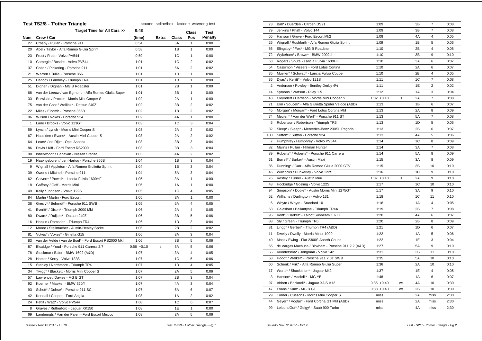|              | <b>Test TS2/8 - T'other Triangle</b>                  |               | c=cone s=line/box k=code w=wrong test |       |                         |                |
|--------------|-------------------------------------------------------|---------------|---------------------------------------|-------|-------------------------|----------------|
|              | Target Time for All Cars >>                           | 0:48          |                                       |       | Class                   | <b>Test</b>    |
| <b>Num</b>   | Crew / Car                                            | (time)        | Extra                                 | Class | Pos                     | <b>Penalty</b> |
| 27           | Crosby / Pullan - Porsche 911                         | 0:54          |                                       | 5A    | 1                       | 0:00           |
| 20           | Abel / Taylor - Alfa Romeo Giulia Sprint              | 0:58          |                                       | 1B    | 1                       | 0:00           |
| 23           | Frost / Frost - Volvo PV544                           | 0:59          |                                       | 1C    | 1                       | 0:00           |
| 10           | Carnegie / Bosdet - Volvo PV544                       | 1:01          |                                       | 1C    | $\overline{2}$          | 0:02           |
| 37           | Colton / Pickering - Porsche 911                      | 1:01          |                                       | 5A    | $\overline{2}$          | 0:02           |
| 21           | Warren / Tullie - Porsche 356                         | 1:01          |                                       | 1D    | 1                       | 0:00           |
| 25           | Hancox / Lambley - Triumph TR4                        | 1:01          |                                       | 1D    | 1                       | 0:00           |
| 51           | Dignan / Dignan - MG B Roadster                       | 1:01          |                                       | 2B    | 1                       | 0:00           |
| 68           | van der Leeuw / van Egmond - Alfa Romeo Giulia Super  | 1:01          |                                       | 3B    | 1                       | 0:00           |
| 33           | Entwistle / Procter - Morris Mini Cooper S            | 1:02          |                                       | 2A    | 1                       | 0:00           |
| 75           | van der Goot / Wellink* - Datsun 240Z                 | 1:02          |                                       | 3B    | $\overline{\mathbf{c}}$ | 0:02           |
| 22           | Miles / Elcomb - Porsche 356B                         | 1:02          |                                       | 1B    | $\overline{2}$          | 0:02           |
| 96           | Wilson / Vokes - Porsche 924                          | 1:02          |                                       | 4A    | $\mathbf{1}$            | 0:00           |
| $\mathbf{1}$ | Lane / Brooks - Volvo 123GT                           | 1:03          |                                       | 1C    | 3                       | 0:04           |
| 59           | Lynch / Lynch - Morris Mini Cooper S                  | 1:03          |                                       | 2A    | $\overline{2}$          | 0:02           |
| 67           | Haselden / Evans* - Austin Mini Cooper S              | 1:03          |                                       | 2A    | $\overline{2}$          | 0:02           |
| 64           | Leurs* / de Rijk* - Opel Ascona                       | 1:03          |                                       | 3B    | 3                       | 0:04           |
| 86           | Davis / Kiff - Ford Escort RS2000                     | 1:03          |                                       | 3B    | 3                       | 0:04           |
| 98           | Isherwood* / Canavan - Nissan Stanza                  | 1:03          |                                       | 4A    | $\overline{2}$          | 0:02           |
| 19           | Naaktgeboren / den Hartog - Porsche 356B              | 1:04          |                                       | 1B    | 3                       | 0:04           |
| 9            | Wignall / Appleton - Alfa Romeo Giulietta Sprint      | 1:04          |                                       | 1B    | 3                       | 0:04           |
| 39           | Owens / Mitchell - Porsche 911                        | 1:04          |                                       | 5A    | 3                       | 0:04           |
| 62           | Calvert* / Powell* - Lancia Fulvia 1600HF             | 1:05          |                                       | 3A    | 1                       | 0:00           |
| 18           | Gaffney / Goff - Morris Mini                          | 1:05          |                                       | 1A    | 1                       | 0:00           |
| 49           | Kelly / Johnson - Volvo 122S                          | 1:05          |                                       | 1C    | $\overline{\mathbf{4}}$ | 0:05           |
| 84           | Martin / Martin - Ford Escort                         | 1:05          |                                       | 3A    | 1                       | 0:00           |
| 38           | Gresly* / Behrndt* - Porsche 911 SWB                  | 1:05          |                                       | 5A    | 4                       | 0:05           |
| 41           | Everitt* / Dixon* - Triumph 2000 Mkl                  | 1:06          |                                       | 2A    | 4                       | 0:05           |
| 80           | Dwars* / Ruijten* - Datsun 240Z                       | 1:06          |                                       | 3B    | 5                       | 0:06           |
| 16           | Hankin / Ramsden - Triumph TR4                        | 1:06          |                                       | 1D    | 3                       | 0:04           |
| 12           | Moore / Stellmacher - Austin-Healey Sprite            | 1:06          |                                       | 2B    | $\overline{2}$          | 0:02           |
| 81           | Vokes* / Vokes* - Ginetta G15                         | 1:06          |                                       | 3A    | 3                       | 0:04           |
| 83           | van der Velde / van de Boel* - Ford Escort RS2000 Mkl | 1:06          |                                       | 3B    | 5                       | 0:06           |
| 87           | Bloxidge / Youd - Porsche 911 Carrera 2.7             | $0:56 + 0:10$ | s                                     | 5A    | 5                       | 0:06           |
| 78           | Stockmar / Baier - BMW 1602 (A&D)                     | 1:07          |                                       | 3A    | $\overline{4}$          | 0:05           |
| 28           | Hamer / Kerry - Volvo 122S                            | 1:07          |                                       | 1C    | 5                       | 0:06           |
| 15           | Stanley / Northmore - Triumph TR4                     | 1:07          |                                       | 1D    | $\overline{\mathbf{4}}$ | 0:05           |
| 34           | Twigg* / Blackett - Morris Mini Cooper S              | 1:07          |                                       | 2A    | 5                       | 0:06           |
| 57           | Lawrence / Davies - MG B GT                           | 1:07          |                                       | 2B    | 3                       | 0:04           |
| 92           | Koerner / Maeker - BMW 320/4                          | 1:07          |                                       | 4A    | 3                       | 0:04           |
| 93           | Schott* / Dohse* - Porsche 911 SC                     | 1:07          |                                       | 5A    | 6                       | 0:07           |
| 42           | Kendall / Cooper - Ford Anglia                        | 1:08          |                                       | 1A    | $\overline{\mathbf{c}}$ | 0:02           |
| 24           | Pettit / Watt* - Volvo PV544                          | 1:08          |                                       | 1C    | 6                       | 0:07           |
| 8            | Graves / Rutherford - Jaguar XK150                    | 1:08          |                                       | 1E    | 1                       | 0:00           |
| 69           | Lamberigts / Van der Palen - Ford Escort Mexico       | 1:08          |                                       | 3A    | 5                       | 0:06           |
|              |                                                       |               |                                       |       |                         |                |

| 73             | Ball* / Duerden - Citroen DS21                      | 1:09          |           | 3B             | $\overline{7}$ | 0:08 |
|----------------|-----------------------------------------------------|---------------|-----------|----------------|----------------|------|
| 79             | Jenkins / Phaff - Volvo 144                         | 1:09          |           | 3B             | $\overline{7}$ | 0:08 |
| 55             | Hanson / Grove - Ford Escort Mk2                    | 1:09          |           | 4A             | 4              | 0:05 |
| 26             | Wignall / Rushforth - Alfa Romeo Giulia Sprint      | 1:09          |           | 1B             | 5              | 0:06 |
| 56             | Slingsby* / Fox* - MG B Roadster                    | 1:10          |           | 2B             | $\overline{4}$ | 0:05 |
| 72             | Wykeham* / Brown* - BMW 2002tii                     | 1:10          |           | 3B             | 9              | 0:10 |
| 63             | Rogers / Shute - Lancia Fulvia 1600HF               | 1:10          |           | 3A             | 6              | 0:07 |
| 54             | Cassimon / Vissers - Ford Lotus Cortina             | 1:10          |           | 2A             | 6              | 0:07 |
| 35             | Mueller* / Schwab* - Lancia Fulvia Coupe            | 1:10          |           | 2B             | 4              | 0:05 |
| 36             | Dyas* / Kellitt* - Volvo 121S                       | 1:11          |           | 1C             | $\overline{7}$ | 0:08 |
| 2              | Anderson / Powley - Bentley Derby 41/4              | 1:11          |           | 1E             | $\overline{2}$ | 0:02 |
| 14             | Symons / Watson - Riley 1.5                         | 1:12          |           | 1A             | 3              | 0:04 |
| 43             | Cleyndert / Harrison - Morris Mini Cooper S         | $1:02 +0:10$  | s         | 2A             | 7              | 0:08 |
| 71             | Ulm / Soucek* - Alfa Giulietta Spider Veloce (A&D)  | 1:13          |           | 1B             | 6              | 0:07 |
| 45             | Morgan* / Morgan* - Ford Lotus Cortina Mkl          | 1:13          |           | 2A             | 8              | 0:09 |
| 74             | Meulen* / Van der Werf* - Porsche 911 ST            | 1:13          |           | 5A             | $\overline{7}$ | 0:08 |
| 5              | Robertson / Robertson - Triumph TR3                 | 1:13          |           | 1D             | 5              | 0:06 |
| 32             | Sleep* / Sleep* - Mercedes-Benz 230SL Pagoda        | 1:13          |           | 2B             | 6              | 0:07 |
| 100            | Sutton* / Sutton - Porsche 924                      | 1:13          |           | 4A             | 5              | 0:06 |
| $\overline{7}$ | Humphrey / Humphrey - Volvo PV544                   | 1:14          |           | 1C             | 8              | 0:09 |
| 82             | Malins / Pullan - Hillman Hunter                    | 1:14          |           | 3A             | $\overline{7}$ | 0:08 |
| 89             | Roberts* / Roberts* - Porsche 911 Carrera           | 1:14          |           | 5A             | 8              | 0:09 |
| 61             | Burrell* / Barker* - Austin Maxi                    | 1:15          |           | 3A             | 8              | 0:09 |
| 85             | Dunning* / Carr - Alfa Romeo Giulia 2000 GTV        | 1:15          |           | 3B             | 10             | 0:10 |
| 46             | Willcocks / Dunkerley - Volvo 122S                  | 1:16          |           | 1 <sup>C</sup> | 9              | 0:10 |
| 76             | Vestey / Turner - Austin Mini                       | $1:07 +0:10$  | s         | 2A             | 9              | 0:10 |
| 48             | Hockridge / Gosling - Volvo 122S                    | 1:17          |           | 1C             | 10             | 0:10 |
| 94             | Simpson* / Doble* - Austin Morris Mini 1275GT       | 1:17          |           | 3A             | 9              | 0:10 |
| 52             | Williams / Darlington - Volvo 131                   | 1:18          |           | 1 <sup>C</sup> | 11             | 0:10 |
| 6              | Whyte / Whyte - Standard 10                         | 1:18          |           | 1A             | 4              | 0:05 |
| 53             | Galashan / Ballantyne - Triumph TR4A                | 1:19          |           | 2B             | $\overline{7}$ | 0:08 |
| 95             | Kent* / Barker* - Talbot Sunbeam 1.6 Ti             | 1:20          |           | 4A             | 6              | 0:07 |
| 88             | Sly / Green - Triumph TR6                           | 1:20          |           | 2B             | 8              | 0:09 |
| 31             | Lingg* / Gerber* - Triumph TR4 (A&D)                | 1:21          |           | 1D             | 6              | 0:07 |
| 11             | Dwelly / Dwelly - Morris Minor 1000                 | 1:22          |           | 1A             | 5              | 0:06 |
| 40             | Moss / Ewing - Fiat 2300S Abarth Coupe              | 1:22          |           | 1E             | 3              | 0:04 |
| 65             | de Vargas Machuca / Bloxham - Porsche 911 2.2 (A&D) | 1:27          |           | 5A             | 9              | 0:10 |
| 66             | Kuindersma* / Jongman - Volvo 142                   | 1:31          |           | 3B             | 11             | 0:10 |
| 58             | Hood* / Walker* - Porsche 911 2.0T SWB              | 1:35          |           | <b>5A</b>      | 10             | 0:10 |
| 60             | Schenk / Frik* - Alfa Romeo Giulia Super            | 1:36          |           | 2A             | 10             | 0:10 |
| 17             | Worts* / Shackleton* - Jaguar Mk2                   | 1:37          |           | 1E             | $\overline{4}$ | 0:05 |
| 3              | Hanson* / Mackrill* - MG YB                         | 1:48          |           | 1A             | 6              | 0:07 |
| 97             | Abbott / Bricknell* - Jaguar XJ-S V12               | $0:35 + 0:40$ | <b>WS</b> | 4A             | 10             | 0:30 |
| 47             | Evans / Kunz - MG B GT                              | $0:38 + 0:40$ | WS        | 2B             | 10             | 0:30 |
| 29             | Turner / Cussons - Morris Mini Cooper S             | miss          |           | 2A             | miss           | 2:30 |
| 44             | Geyer* / Voglar* - Ford Cortina GT MkI (A&D)        | miss          |           | 2A             | miss           | 2:30 |
| 99             | LeibundGut* / Geigy* - Saab 900 Turbo               | miss          |           | 4A             | miss           | 2:30 |
|                |                                                     |               |           |                |                |      |

 *Issued:- Nov 12 2017 - 13:19 Test TS2/8 - T'other Triangle - Pg.1*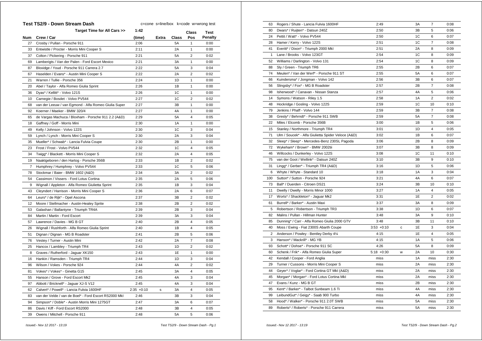| Target Time for All Cars >><br>1:42<br><b>Test</b><br>Class<br><b>Penalty</b><br>Num<br>Crew / Car<br>(time)<br>Extra<br>Class<br>Pos<br>Crosby / Pullan - Porsche 911<br>2:06<br>0:00<br>27<br>5A<br>$\mathbf{1}$<br>2A<br>0:00<br>33<br>Entwistle / Procter - Morris Mini Cooper S<br>2:11<br>1<br>2:21<br>$\overline{2}$<br>37<br>5A<br>0:02<br>Colton / Pickering - Porsche 911<br>69<br>Lamberigts / Van der Palen - Ford Escort Mexico<br>2:21<br>3A<br>1<br>0:00<br>2:22<br>0:04<br>87<br>Bloxidge / Youd - Porsche 911 Carrera 2.7<br>5A<br>3<br>$\overline{2}$<br>67<br>Haselden / Evans* - Austin Mini Cooper S<br>2:22<br>2A<br>0:02<br>2:24<br>21<br>Warren / Tullie - Porsche 356<br>1D<br>1<br>0:00<br>Abel / Taylor - Alfa Romeo Giulia Sprint<br>2:26<br>1B<br>1<br>0:00<br>20<br>Dyas* / Kellitt* - Volvo 121S<br>2:26<br>1C<br>1<br>0:00<br>36<br>10<br>2:27<br>1C<br>$\overline{2}$<br>0:02<br>Carnegie / Bosdet - Volvo PV544<br>2:27<br>3B<br>$\mathbf{1}$<br>0:00<br>68<br>van der Leeuw / van Egmond - Alfa Romeo Giulia Super<br>92<br>2:27<br>4A<br>1<br>0:00<br>Koerner / Maeker - BMW 320/4<br>5A<br>$\overline{4}$<br>de Vargas Machuca / Bloxham - Porsche 911 2.2 (A&D)<br>2:29<br>0:05<br>65<br>1A<br>$\mathbf{1}$<br>18<br>Gaffney / Goff - Morris Mini<br>2:30<br>0:00<br>Kelly / Johnson - Volvo 122S<br>1C<br>0:04<br>49<br>2:30<br>3<br>2A<br>0:04<br>59<br>Lynch / Lynch - Morris Mini Cooper S<br>2:30<br>3<br>Mueller* / Schwab* - Lancia Fulvia Coupe<br>2:30<br>2B<br>$\mathbf{1}$<br>0:00<br>35<br>4<br>23<br>Frost / Frost - Volvo PV544<br>2:32<br>1C<br>0:05<br>$\overline{4}$<br>34<br>Twigg* / Blackett - Morris Mini Cooper S<br>2:32<br>2A<br>0:05<br>19<br>Naaktgeboren / den Hartog - Porsche 356B<br>2:33<br>1B<br>$\overline{2}$<br>0:02<br>5<br>$\overline{7}$<br>Humphrey / Humphrey - Volvo PV544<br>2:33<br>1C<br>0:06<br>$\overline{\mathbf{c}}$<br>78<br>Stockmar / Baier - BMW 1602 (A&D)<br>2:34<br>3A<br>0:02<br>54<br>2:35<br>2A<br>5<br>0:06<br>Cassimon / Vissers - Ford Lotus Cortina<br>1B<br>3<br>9<br>Wignall / Appleton - Alfa Romeo Giulietta Sprint<br>2:35<br>0:04<br>2:36<br>2A<br>6<br>0:07<br>43<br>Cleyndert / Harrison - Morris Mini Cooper S<br>Leurs* / de Rijk* - Opel Ascona<br>2:37<br>3B<br>$\overline{2}$<br>0:02<br>64<br>2:38<br>$\overline{2}$<br>0:02<br>12<br>Moore / Stellmacher - Austin-Healey Sprite<br>2B<br>0:04<br>2:39<br>2B<br>3<br>53<br>Galashan / Ballantyne - Triumph TR4A<br>84<br>Martin / Martin - Ford Escort<br>2:39<br>3A<br>3<br>0:04<br>$\overline{4}$<br>57<br>Lawrence / Davies - MG B GT<br>2:40<br>2B<br>0:05<br>26<br>Wignall / Rushforth - Alfa Romeo Giulia Sprint<br>2:40<br>1B<br>$\overline{4}$<br>0:05<br>2:41<br>2B<br>5<br>0:06<br>51<br>Dignan / Dignan - MG B Roadster<br>$\overline{7}$<br>Vestey / Turner - Austin Mini<br>2:42<br>2A<br>0:08<br>76<br>$\overline{2}$<br>25<br>2:43<br>1D<br>0:02<br>Hancox / Lambley - Triumph TR4<br>Graves / Rutherford - Jaguar XK150<br>2:43<br>1E<br>1<br>0:00<br>8<br>2:44<br>1D<br>3<br>0:04<br>16<br>Hankin / Ramsden - Triumph TR4<br>96<br>2:44<br>4A<br>$\overline{2}$<br>0:02<br>Wilson / Vokes - Porsche 924<br>2:45<br>$\overline{4}$<br>Vokes* / Vokes* - Ginetta G15<br>ЗA<br>0:05<br>81<br>2:45<br>3<br>55<br>Hanson / Grove - Ford Escort Mk2<br>4A<br>0:04<br>2:45<br>4A<br>3<br>0:04<br>97<br>Abbott / Bricknell* - Jaguar XJ-S V12<br>$\overline{4}$<br>0:05<br>62<br>Calvert* / Powell* - Lancia Fulvia 1600HF<br>$2:35 +0:10$<br>3A<br>s<br>3B<br>3<br>0:04<br>83<br>van der Velde / van de Boel* - Ford Escort RS2000 Mkl<br>2:46<br>3A<br>94<br>Simpson* / Doble* - Austin Morris Mini 1275GT<br>2:47<br>6<br>0:07<br>Davis / Kiff - Ford Escort RS2000<br>2:48<br>3B<br>4<br>0:05<br>86<br>5A<br>39<br>Owens / Mitchell - Porsche 911<br>2:48<br>5<br>0:06 | Test TS2/9 - Down Stream Dash | c=cone s=line/box k=code w=wrong test |  |  |  |  |
|-------------------------------------------------------------------------------------------------------------------------------------------------------------------------------------------------------------------------------------------------------------------------------------------------------------------------------------------------------------------------------------------------------------------------------------------------------------------------------------------------------------------------------------------------------------------------------------------------------------------------------------------------------------------------------------------------------------------------------------------------------------------------------------------------------------------------------------------------------------------------------------------------------------------------------------------------------------------------------------------------------------------------------------------------------------------------------------------------------------------------------------------------------------------------------------------------------------------------------------------------------------------------------------------------------------------------------------------------------------------------------------------------------------------------------------------------------------------------------------------------------------------------------------------------------------------------------------------------------------------------------------------------------------------------------------------------------------------------------------------------------------------------------------------------------------------------------------------------------------------------------------------------------------------------------------------------------------------------------------------------------------------------------------------------------------------------------------------------------------------------------------------------------------------------------------------------------------------------------------------------------------------------------------------------------------------------------------------------------------------------------------------------------------------------------------------------------------------------------------------------------------------------------------------------------------------------------------------------------------------------------------------------------------------------------------------------------------------------------------------------------------------------------------------------------------------------------------------------------------------------------------------------------------------------------------------------------------------------------------------------------------------------------------------------------------------------------------------------------------------------------------------------------------------------------------------------------------------------------------------------------------------------------------------------------------------------------------------------------------------------------------------------------------------------------------------------------------------------------------------------------------------------------------------------------------------------------------------------------------------------------------------------------------------------------------------------------------------------------------------------------------------------------------------------------------------------------------------------------|-------------------------------|---------------------------------------|--|--|--|--|
|                                                                                                                                                                                                                                                                                                                                                                                                                                                                                                                                                                                                                                                                                                                                                                                                                                                                                                                                                                                                                                                                                                                                                                                                                                                                                                                                                                                                                                                                                                                                                                                                                                                                                                                                                                                                                                                                                                                                                                                                                                                                                                                                                                                                                                                                                                                                                                                                                                                                                                                                                                                                                                                                                                                                                                                                                                                                                                                                                                                                                                                                                                                                                                                                                                                                                                                                                                                                                                                                                                                                                                                                                                                                                                                                                                                                                                                       |                               |                                       |  |  |  |  |
|                                                                                                                                                                                                                                                                                                                                                                                                                                                                                                                                                                                                                                                                                                                                                                                                                                                                                                                                                                                                                                                                                                                                                                                                                                                                                                                                                                                                                                                                                                                                                                                                                                                                                                                                                                                                                                                                                                                                                                                                                                                                                                                                                                                                                                                                                                                                                                                                                                                                                                                                                                                                                                                                                                                                                                                                                                                                                                                                                                                                                                                                                                                                                                                                                                                                                                                                                                                                                                                                                                                                                                                                                                                                                                                                                                                                                                                       |                               |                                       |  |  |  |  |
|                                                                                                                                                                                                                                                                                                                                                                                                                                                                                                                                                                                                                                                                                                                                                                                                                                                                                                                                                                                                                                                                                                                                                                                                                                                                                                                                                                                                                                                                                                                                                                                                                                                                                                                                                                                                                                                                                                                                                                                                                                                                                                                                                                                                                                                                                                                                                                                                                                                                                                                                                                                                                                                                                                                                                                                                                                                                                                                                                                                                                                                                                                                                                                                                                                                                                                                                                                                                                                                                                                                                                                                                                                                                                                                                                                                                                                                       |                               |                                       |  |  |  |  |
|                                                                                                                                                                                                                                                                                                                                                                                                                                                                                                                                                                                                                                                                                                                                                                                                                                                                                                                                                                                                                                                                                                                                                                                                                                                                                                                                                                                                                                                                                                                                                                                                                                                                                                                                                                                                                                                                                                                                                                                                                                                                                                                                                                                                                                                                                                                                                                                                                                                                                                                                                                                                                                                                                                                                                                                                                                                                                                                                                                                                                                                                                                                                                                                                                                                                                                                                                                                                                                                                                                                                                                                                                                                                                                                                                                                                                                                       |                               |                                       |  |  |  |  |
|                                                                                                                                                                                                                                                                                                                                                                                                                                                                                                                                                                                                                                                                                                                                                                                                                                                                                                                                                                                                                                                                                                                                                                                                                                                                                                                                                                                                                                                                                                                                                                                                                                                                                                                                                                                                                                                                                                                                                                                                                                                                                                                                                                                                                                                                                                                                                                                                                                                                                                                                                                                                                                                                                                                                                                                                                                                                                                                                                                                                                                                                                                                                                                                                                                                                                                                                                                                                                                                                                                                                                                                                                                                                                                                                                                                                                                                       |                               |                                       |  |  |  |  |
|                                                                                                                                                                                                                                                                                                                                                                                                                                                                                                                                                                                                                                                                                                                                                                                                                                                                                                                                                                                                                                                                                                                                                                                                                                                                                                                                                                                                                                                                                                                                                                                                                                                                                                                                                                                                                                                                                                                                                                                                                                                                                                                                                                                                                                                                                                                                                                                                                                                                                                                                                                                                                                                                                                                                                                                                                                                                                                                                                                                                                                                                                                                                                                                                                                                                                                                                                                                                                                                                                                                                                                                                                                                                                                                                                                                                                                                       |                               |                                       |  |  |  |  |
|                                                                                                                                                                                                                                                                                                                                                                                                                                                                                                                                                                                                                                                                                                                                                                                                                                                                                                                                                                                                                                                                                                                                                                                                                                                                                                                                                                                                                                                                                                                                                                                                                                                                                                                                                                                                                                                                                                                                                                                                                                                                                                                                                                                                                                                                                                                                                                                                                                                                                                                                                                                                                                                                                                                                                                                                                                                                                                                                                                                                                                                                                                                                                                                                                                                                                                                                                                                                                                                                                                                                                                                                                                                                                                                                                                                                                                                       |                               |                                       |  |  |  |  |
|                                                                                                                                                                                                                                                                                                                                                                                                                                                                                                                                                                                                                                                                                                                                                                                                                                                                                                                                                                                                                                                                                                                                                                                                                                                                                                                                                                                                                                                                                                                                                                                                                                                                                                                                                                                                                                                                                                                                                                                                                                                                                                                                                                                                                                                                                                                                                                                                                                                                                                                                                                                                                                                                                                                                                                                                                                                                                                                                                                                                                                                                                                                                                                                                                                                                                                                                                                                                                                                                                                                                                                                                                                                                                                                                                                                                                                                       |                               |                                       |  |  |  |  |
|                                                                                                                                                                                                                                                                                                                                                                                                                                                                                                                                                                                                                                                                                                                                                                                                                                                                                                                                                                                                                                                                                                                                                                                                                                                                                                                                                                                                                                                                                                                                                                                                                                                                                                                                                                                                                                                                                                                                                                                                                                                                                                                                                                                                                                                                                                                                                                                                                                                                                                                                                                                                                                                                                                                                                                                                                                                                                                                                                                                                                                                                                                                                                                                                                                                                                                                                                                                                                                                                                                                                                                                                                                                                                                                                                                                                                                                       |                               |                                       |  |  |  |  |
|                                                                                                                                                                                                                                                                                                                                                                                                                                                                                                                                                                                                                                                                                                                                                                                                                                                                                                                                                                                                                                                                                                                                                                                                                                                                                                                                                                                                                                                                                                                                                                                                                                                                                                                                                                                                                                                                                                                                                                                                                                                                                                                                                                                                                                                                                                                                                                                                                                                                                                                                                                                                                                                                                                                                                                                                                                                                                                                                                                                                                                                                                                                                                                                                                                                                                                                                                                                                                                                                                                                                                                                                                                                                                                                                                                                                                                                       |                               |                                       |  |  |  |  |
|                                                                                                                                                                                                                                                                                                                                                                                                                                                                                                                                                                                                                                                                                                                                                                                                                                                                                                                                                                                                                                                                                                                                                                                                                                                                                                                                                                                                                                                                                                                                                                                                                                                                                                                                                                                                                                                                                                                                                                                                                                                                                                                                                                                                                                                                                                                                                                                                                                                                                                                                                                                                                                                                                                                                                                                                                                                                                                                                                                                                                                                                                                                                                                                                                                                                                                                                                                                                                                                                                                                                                                                                                                                                                                                                                                                                                                                       |                               |                                       |  |  |  |  |
|                                                                                                                                                                                                                                                                                                                                                                                                                                                                                                                                                                                                                                                                                                                                                                                                                                                                                                                                                                                                                                                                                                                                                                                                                                                                                                                                                                                                                                                                                                                                                                                                                                                                                                                                                                                                                                                                                                                                                                                                                                                                                                                                                                                                                                                                                                                                                                                                                                                                                                                                                                                                                                                                                                                                                                                                                                                                                                                                                                                                                                                                                                                                                                                                                                                                                                                                                                                                                                                                                                                                                                                                                                                                                                                                                                                                                                                       |                               |                                       |  |  |  |  |
|                                                                                                                                                                                                                                                                                                                                                                                                                                                                                                                                                                                                                                                                                                                                                                                                                                                                                                                                                                                                                                                                                                                                                                                                                                                                                                                                                                                                                                                                                                                                                                                                                                                                                                                                                                                                                                                                                                                                                                                                                                                                                                                                                                                                                                                                                                                                                                                                                                                                                                                                                                                                                                                                                                                                                                                                                                                                                                                                                                                                                                                                                                                                                                                                                                                                                                                                                                                                                                                                                                                                                                                                                                                                                                                                                                                                                                                       |                               |                                       |  |  |  |  |
|                                                                                                                                                                                                                                                                                                                                                                                                                                                                                                                                                                                                                                                                                                                                                                                                                                                                                                                                                                                                                                                                                                                                                                                                                                                                                                                                                                                                                                                                                                                                                                                                                                                                                                                                                                                                                                                                                                                                                                                                                                                                                                                                                                                                                                                                                                                                                                                                                                                                                                                                                                                                                                                                                                                                                                                                                                                                                                                                                                                                                                                                                                                                                                                                                                                                                                                                                                                                                                                                                                                                                                                                                                                                                                                                                                                                                                                       |                               |                                       |  |  |  |  |
|                                                                                                                                                                                                                                                                                                                                                                                                                                                                                                                                                                                                                                                                                                                                                                                                                                                                                                                                                                                                                                                                                                                                                                                                                                                                                                                                                                                                                                                                                                                                                                                                                                                                                                                                                                                                                                                                                                                                                                                                                                                                                                                                                                                                                                                                                                                                                                                                                                                                                                                                                                                                                                                                                                                                                                                                                                                                                                                                                                                                                                                                                                                                                                                                                                                                                                                                                                                                                                                                                                                                                                                                                                                                                                                                                                                                                                                       |                               |                                       |  |  |  |  |
|                                                                                                                                                                                                                                                                                                                                                                                                                                                                                                                                                                                                                                                                                                                                                                                                                                                                                                                                                                                                                                                                                                                                                                                                                                                                                                                                                                                                                                                                                                                                                                                                                                                                                                                                                                                                                                                                                                                                                                                                                                                                                                                                                                                                                                                                                                                                                                                                                                                                                                                                                                                                                                                                                                                                                                                                                                                                                                                                                                                                                                                                                                                                                                                                                                                                                                                                                                                                                                                                                                                                                                                                                                                                                                                                                                                                                                                       |                               |                                       |  |  |  |  |
|                                                                                                                                                                                                                                                                                                                                                                                                                                                                                                                                                                                                                                                                                                                                                                                                                                                                                                                                                                                                                                                                                                                                                                                                                                                                                                                                                                                                                                                                                                                                                                                                                                                                                                                                                                                                                                                                                                                                                                                                                                                                                                                                                                                                                                                                                                                                                                                                                                                                                                                                                                                                                                                                                                                                                                                                                                                                                                                                                                                                                                                                                                                                                                                                                                                                                                                                                                                                                                                                                                                                                                                                                                                                                                                                                                                                                                                       |                               |                                       |  |  |  |  |
|                                                                                                                                                                                                                                                                                                                                                                                                                                                                                                                                                                                                                                                                                                                                                                                                                                                                                                                                                                                                                                                                                                                                                                                                                                                                                                                                                                                                                                                                                                                                                                                                                                                                                                                                                                                                                                                                                                                                                                                                                                                                                                                                                                                                                                                                                                                                                                                                                                                                                                                                                                                                                                                                                                                                                                                                                                                                                                                                                                                                                                                                                                                                                                                                                                                                                                                                                                                                                                                                                                                                                                                                                                                                                                                                                                                                                                                       |                               |                                       |  |  |  |  |
|                                                                                                                                                                                                                                                                                                                                                                                                                                                                                                                                                                                                                                                                                                                                                                                                                                                                                                                                                                                                                                                                                                                                                                                                                                                                                                                                                                                                                                                                                                                                                                                                                                                                                                                                                                                                                                                                                                                                                                                                                                                                                                                                                                                                                                                                                                                                                                                                                                                                                                                                                                                                                                                                                                                                                                                                                                                                                                                                                                                                                                                                                                                                                                                                                                                                                                                                                                                                                                                                                                                                                                                                                                                                                                                                                                                                                                                       |                               |                                       |  |  |  |  |
|                                                                                                                                                                                                                                                                                                                                                                                                                                                                                                                                                                                                                                                                                                                                                                                                                                                                                                                                                                                                                                                                                                                                                                                                                                                                                                                                                                                                                                                                                                                                                                                                                                                                                                                                                                                                                                                                                                                                                                                                                                                                                                                                                                                                                                                                                                                                                                                                                                                                                                                                                                                                                                                                                                                                                                                                                                                                                                                                                                                                                                                                                                                                                                                                                                                                                                                                                                                                                                                                                                                                                                                                                                                                                                                                                                                                                                                       |                               |                                       |  |  |  |  |
|                                                                                                                                                                                                                                                                                                                                                                                                                                                                                                                                                                                                                                                                                                                                                                                                                                                                                                                                                                                                                                                                                                                                                                                                                                                                                                                                                                                                                                                                                                                                                                                                                                                                                                                                                                                                                                                                                                                                                                                                                                                                                                                                                                                                                                                                                                                                                                                                                                                                                                                                                                                                                                                                                                                                                                                                                                                                                                                                                                                                                                                                                                                                                                                                                                                                                                                                                                                                                                                                                                                                                                                                                                                                                                                                                                                                                                                       |                               |                                       |  |  |  |  |
|                                                                                                                                                                                                                                                                                                                                                                                                                                                                                                                                                                                                                                                                                                                                                                                                                                                                                                                                                                                                                                                                                                                                                                                                                                                                                                                                                                                                                                                                                                                                                                                                                                                                                                                                                                                                                                                                                                                                                                                                                                                                                                                                                                                                                                                                                                                                                                                                                                                                                                                                                                                                                                                                                                                                                                                                                                                                                                                                                                                                                                                                                                                                                                                                                                                                                                                                                                                                                                                                                                                                                                                                                                                                                                                                                                                                                                                       |                               |                                       |  |  |  |  |
|                                                                                                                                                                                                                                                                                                                                                                                                                                                                                                                                                                                                                                                                                                                                                                                                                                                                                                                                                                                                                                                                                                                                                                                                                                                                                                                                                                                                                                                                                                                                                                                                                                                                                                                                                                                                                                                                                                                                                                                                                                                                                                                                                                                                                                                                                                                                                                                                                                                                                                                                                                                                                                                                                                                                                                                                                                                                                                                                                                                                                                                                                                                                                                                                                                                                                                                                                                                                                                                                                                                                                                                                                                                                                                                                                                                                                                                       |                               |                                       |  |  |  |  |
|                                                                                                                                                                                                                                                                                                                                                                                                                                                                                                                                                                                                                                                                                                                                                                                                                                                                                                                                                                                                                                                                                                                                                                                                                                                                                                                                                                                                                                                                                                                                                                                                                                                                                                                                                                                                                                                                                                                                                                                                                                                                                                                                                                                                                                                                                                                                                                                                                                                                                                                                                                                                                                                                                                                                                                                                                                                                                                                                                                                                                                                                                                                                                                                                                                                                                                                                                                                                                                                                                                                                                                                                                                                                                                                                                                                                                                                       |                               |                                       |  |  |  |  |
|                                                                                                                                                                                                                                                                                                                                                                                                                                                                                                                                                                                                                                                                                                                                                                                                                                                                                                                                                                                                                                                                                                                                                                                                                                                                                                                                                                                                                                                                                                                                                                                                                                                                                                                                                                                                                                                                                                                                                                                                                                                                                                                                                                                                                                                                                                                                                                                                                                                                                                                                                                                                                                                                                                                                                                                                                                                                                                                                                                                                                                                                                                                                                                                                                                                                                                                                                                                                                                                                                                                                                                                                                                                                                                                                                                                                                                                       |                               |                                       |  |  |  |  |
|                                                                                                                                                                                                                                                                                                                                                                                                                                                                                                                                                                                                                                                                                                                                                                                                                                                                                                                                                                                                                                                                                                                                                                                                                                                                                                                                                                                                                                                                                                                                                                                                                                                                                                                                                                                                                                                                                                                                                                                                                                                                                                                                                                                                                                                                                                                                                                                                                                                                                                                                                                                                                                                                                                                                                                                                                                                                                                                                                                                                                                                                                                                                                                                                                                                                                                                                                                                                                                                                                                                                                                                                                                                                                                                                                                                                                                                       |                               |                                       |  |  |  |  |
|                                                                                                                                                                                                                                                                                                                                                                                                                                                                                                                                                                                                                                                                                                                                                                                                                                                                                                                                                                                                                                                                                                                                                                                                                                                                                                                                                                                                                                                                                                                                                                                                                                                                                                                                                                                                                                                                                                                                                                                                                                                                                                                                                                                                                                                                                                                                                                                                                                                                                                                                                                                                                                                                                                                                                                                                                                                                                                                                                                                                                                                                                                                                                                                                                                                                                                                                                                                                                                                                                                                                                                                                                                                                                                                                                                                                                                                       |                               |                                       |  |  |  |  |
|                                                                                                                                                                                                                                                                                                                                                                                                                                                                                                                                                                                                                                                                                                                                                                                                                                                                                                                                                                                                                                                                                                                                                                                                                                                                                                                                                                                                                                                                                                                                                                                                                                                                                                                                                                                                                                                                                                                                                                                                                                                                                                                                                                                                                                                                                                                                                                                                                                                                                                                                                                                                                                                                                                                                                                                                                                                                                                                                                                                                                                                                                                                                                                                                                                                                                                                                                                                                                                                                                                                                                                                                                                                                                                                                                                                                                                                       |                               |                                       |  |  |  |  |
|                                                                                                                                                                                                                                                                                                                                                                                                                                                                                                                                                                                                                                                                                                                                                                                                                                                                                                                                                                                                                                                                                                                                                                                                                                                                                                                                                                                                                                                                                                                                                                                                                                                                                                                                                                                                                                                                                                                                                                                                                                                                                                                                                                                                                                                                                                                                                                                                                                                                                                                                                                                                                                                                                                                                                                                                                                                                                                                                                                                                                                                                                                                                                                                                                                                                                                                                                                                                                                                                                                                                                                                                                                                                                                                                                                                                                                                       |                               |                                       |  |  |  |  |
|                                                                                                                                                                                                                                                                                                                                                                                                                                                                                                                                                                                                                                                                                                                                                                                                                                                                                                                                                                                                                                                                                                                                                                                                                                                                                                                                                                                                                                                                                                                                                                                                                                                                                                                                                                                                                                                                                                                                                                                                                                                                                                                                                                                                                                                                                                                                                                                                                                                                                                                                                                                                                                                                                                                                                                                                                                                                                                                                                                                                                                                                                                                                                                                                                                                                                                                                                                                                                                                                                                                                                                                                                                                                                                                                                                                                                                                       |                               |                                       |  |  |  |  |
|                                                                                                                                                                                                                                                                                                                                                                                                                                                                                                                                                                                                                                                                                                                                                                                                                                                                                                                                                                                                                                                                                                                                                                                                                                                                                                                                                                                                                                                                                                                                                                                                                                                                                                                                                                                                                                                                                                                                                                                                                                                                                                                                                                                                                                                                                                                                                                                                                                                                                                                                                                                                                                                                                                                                                                                                                                                                                                                                                                                                                                                                                                                                                                                                                                                                                                                                                                                                                                                                                                                                                                                                                                                                                                                                                                                                                                                       |                               |                                       |  |  |  |  |
|                                                                                                                                                                                                                                                                                                                                                                                                                                                                                                                                                                                                                                                                                                                                                                                                                                                                                                                                                                                                                                                                                                                                                                                                                                                                                                                                                                                                                                                                                                                                                                                                                                                                                                                                                                                                                                                                                                                                                                                                                                                                                                                                                                                                                                                                                                                                                                                                                                                                                                                                                                                                                                                                                                                                                                                                                                                                                                                                                                                                                                                                                                                                                                                                                                                                                                                                                                                                                                                                                                                                                                                                                                                                                                                                                                                                                                                       |                               |                                       |  |  |  |  |
|                                                                                                                                                                                                                                                                                                                                                                                                                                                                                                                                                                                                                                                                                                                                                                                                                                                                                                                                                                                                                                                                                                                                                                                                                                                                                                                                                                                                                                                                                                                                                                                                                                                                                                                                                                                                                                                                                                                                                                                                                                                                                                                                                                                                                                                                                                                                                                                                                                                                                                                                                                                                                                                                                                                                                                                                                                                                                                                                                                                                                                                                                                                                                                                                                                                                                                                                                                                                                                                                                                                                                                                                                                                                                                                                                                                                                                                       |                               |                                       |  |  |  |  |
|                                                                                                                                                                                                                                                                                                                                                                                                                                                                                                                                                                                                                                                                                                                                                                                                                                                                                                                                                                                                                                                                                                                                                                                                                                                                                                                                                                                                                                                                                                                                                                                                                                                                                                                                                                                                                                                                                                                                                                                                                                                                                                                                                                                                                                                                                                                                                                                                                                                                                                                                                                                                                                                                                                                                                                                                                                                                                                                                                                                                                                                                                                                                                                                                                                                                                                                                                                                                                                                                                                                                                                                                                                                                                                                                                                                                                                                       |                               |                                       |  |  |  |  |
|                                                                                                                                                                                                                                                                                                                                                                                                                                                                                                                                                                                                                                                                                                                                                                                                                                                                                                                                                                                                                                                                                                                                                                                                                                                                                                                                                                                                                                                                                                                                                                                                                                                                                                                                                                                                                                                                                                                                                                                                                                                                                                                                                                                                                                                                                                                                                                                                                                                                                                                                                                                                                                                                                                                                                                                                                                                                                                                                                                                                                                                                                                                                                                                                                                                                                                                                                                                                                                                                                                                                                                                                                                                                                                                                                                                                                                                       |                               |                                       |  |  |  |  |
|                                                                                                                                                                                                                                                                                                                                                                                                                                                                                                                                                                                                                                                                                                                                                                                                                                                                                                                                                                                                                                                                                                                                                                                                                                                                                                                                                                                                                                                                                                                                                                                                                                                                                                                                                                                                                                                                                                                                                                                                                                                                                                                                                                                                                                                                                                                                                                                                                                                                                                                                                                                                                                                                                                                                                                                                                                                                                                                                                                                                                                                                                                                                                                                                                                                                                                                                                                                                                                                                                                                                                                                                                                                                                                                                                                                                                                                       |                               |                                       |  |  |  |  |
|                                                                                                                                                                                                                                                                                                                                                                                                                                                                                                                                                                                                                                                                                                                                                                                                                                                                                                                                                                                                                                                                                                                                                                                                                                                                                                                                                                                                                                                                                                                                                                                                                                                                                                                                                                                                                                                                                                                                                                                                                                                                                                                                                                                                                                                                                                                                                                                                                                                                                                                                                                                                                                                                                                                                                                                                                                                                                                                                                                                                                                                                                                                                                                                                                                                                                                                                                                                                                                                                                                                                                                                                                                                                                                                                                                                                                                                       |                               |                                       |  |  |  |  |
|                                                                                                                                                                                                                                                                                                                                                                                                                                                                                                                                                                                                                                                                                                                                                                                                                                                                                                                                                                                                                                                                                                                                                                                                                                                                                                                                                                                                                                                                                                                                                                                                                                                                                                                                                                                                                                                                                                                                                                                                                                                                                                                                                                                                                                                                                                                                                                                                                                                                                                                                                                                                                                                                                                                                                                                                                                                                                                                                                                                                                                                                                                                                                                                                                                                                                                                                                                                                                                                                                                                                                                                                                                                                                                                                                                                                                                                       |                               |                                       |  |  |  |  |
|                                                                                                                                                                                                                                                                                                                                                                                                                                                                                                                                                                                                                                                                                                                                                                                                                                                                                                                                                                                                                                                                                                                                                                                                                                                                                                                                                                                                                                                                                                                                                                                                                                                                                                                                                                                                                                                                                                                                                                                                                                                                                                                                                                                                                                                                                                                                                                                                                                                                                                                                                                                                                                                                                                                                                                                                                                                                                                                                                                                                                                                                                                                                                                                                                                                                                                                                                                                                                                                                                                                                                                                                                                                                                                                                                                                                                                                       |                               |                                       |  |  |  |  |
|                                                                                                                                                                                                                                                                                                                                                                                                                                                                                                                                                                                                                                                                                                                                                                                                                                                                                                                                                                                                                                                                                                                                                                                                                                                                                                                                                                                                                                                                                                                                                                                                                                                                                                                                                                                                                                                                                                                                                                                                                                                                                                                                                                                                                                                                                                                                                                                                                                                                                                                                                                                                                                                                                                                                                                                                                                                                                                                                                                                                                                                                                                                                                                                                                                                                                                                                                                                                                                                                                                                                                                                                                                                                                                                                                                                                                                                       |                               |                                       |  |  |  |  |
|                                                                                                                                                                                                                                                                                                                                                                                                                                                                                                                                                                                                                                                                                                                                                                                                                                                                                                                                                                                                                                                                                                                                                                                                                                                                                                                                                                                                                                                                                                                                                                                                                                                                                                                                                                                                                                                                                                                                                                                                                                                                                                                                                                                                                                                                                                                                                                                                                                                                                                                                                                                                                                                                                                                                                                                                                                                                                                                                                                                                                                                                                                                                                                                                                                                                                                                                                                                                                                                                                                                                                                                                                                                                                                                                                                                                                                                       |                               |                                       |  |  |  |  |
|                                                                                                                                                                                                                                                                                                                                                                                                                                                                                                                                                                                                                                                                                                                                                                                                                                                                                                                                                                                                                                                                                                                                                                                                                                                                                                                                                                                                                                                                                                                                                                                                                                                                                                                                                                                                                                                                                                                                                                                                                                                                                                                                                                                                                                                                                                                                                                                                                                                                                                                                                                                                                                                                                                                                                                                                                                                                                                                                                                                                                                                                                                                                                                                                                                                                                                                                                                                                                                                                                                                                                                                                                                                                                                                                                                                                                                                       |                               |                                       |  |  |  |  |
|                                                                                                                                                                                                                                                                                                                                                                                                                                                                                                                                                                                                                                                                                                                                                                                                                                                                                                                                                                                                                                                                                                                                                                                                                                                                                                                                                                                                                                                                                                                                                                                                                                                                                                                                                                                                                                                                                                                                                                                                                                                                                                                                                                                                                                                                                                                                                                                                                                                                                                                                                                                                                                                                                                                                                                                                                                                                                                                                                                                                                                                                                                                                                                                                                                                                                                                                                                                                                                                                                                                                                                                                                                                                                                                                                                                                                                                       |                               |                                       |  |  |  |  |
|                                                                                                                                                                                                                                                                                                                                                                                                                                                                                                                                                                                                                                                                                                                                                                                                                                                                                                                                                                                                                                                                                                                                                                                                                                                                                                                                                                                                                                                                                                                                                                                                                                                                                                                                                                                                                                                                                                                                                                                                                                                                                                                                                                                                                                                                                                                                                                                                                                                                                                                                                                                                                                                                                                                                                                                                                                                                                                                                                                                                                                                                                                                                                                                                                                                                                                                                                                                                                                                                                                                                                                                                                                                                                                                                                                                                                                                       |                               |                                       |  |  |  |  |
|                                                                                                                                                                                                                                                                                                                                                                                                                                                                                                                                                                                                                                                                                                                                                                                                                                                                                                                                                                                                                                                                                                                                                                                                                                                                                                                                                                                                                                                                                                                                                                                                                                                                                                                                                                                                                                                                                                                                                                                                                                                                                                                                                                                                                                                                                                                                                                                                                                                                                                                                                                                                                                                                                                                                                                                                                                                                                                                                                                                                                                                                                                                                                                                                                                                                                                                                                                                                                                                                                                                                                                                                                                                                                                                                                                                                                                                       |                               |                                       |  |  |  |  |
|                                                                                                                                                                                                                                                                                                                                                                                                                                                                                                                                                                                                                                                                                                                                                                                                                                                                                                                                                                                                                                                                                                                                                                                                                                                                                                                                                                                                                                                                                                                                                                                                                                                                                                                                                                                                                                                                                                                                                                                                                                                                                                                                                                                                                                                                                                                                                                                                                                                                                                                                                                                                                                                                                                                                                                                                                                                                                                                                                                                                                                                                                                                                                                                                                                                                                                                                                                                                                                                                                                                                                                                                                                                                                                                                                                                                                                                       |                               |                                       |  |  |  |  |
|                                                                                                                                                                                                                                                                                                                                                                                                                                                                                                                                                                                                                                                                                                                                                                                                                                                                                                                                                                                                                                                                                                                                                                                                                                                                                                                                                                                                                                                                                                                                                                                                                                                                                                                                                                                                                                                                                                                                                                                                                                                                                                                                                                                                                                                                                                                                                                                                                                                                                                                                                                                                                                                                                                                                                                                                                                                                                                                                                                                                                                                                                                                                                                                                                                                                                                                                                                                                                                                                                                                                                                                                                                                                                                                                                                                                                                                       |                               |                                       |  |  |  |  |

| 63           | Rogers / Shute - Lancia Fulvia 1600HF              | 2:49          |   | 3A        | $\overline{7}$          | 0:08 |
|--------------|----------------------------------------------------|---------------|---|-----------|-------------------------|------|
| 80           | Dwars* / Ruijten* - Datsun 240Z                    | 2:50          |   | 3B        | 5                       | 0:06 |
| 24           | Pettit / Watt* - Volvo PV544                       | 2:50          |   | 1C        | 6                       | 0:07 |
| 28           | Hamer / Kerry - Volvo 122S                         | 2:51          |   | 1C        | $\overline{7}$          | 0:08 |
| 41           | Everitt* / Dixon* - Triumph 2000 Mkl               | 2:51          |   | 2A        | 8                       | 0:09 |
| $\mathbf{1}$ | Lane / Brooks - Volvo 123GT                        | 2:54          |   | 1C        | 8                       | 0:09 |
| 52           | Williams / Darlington - Volvo 131                  | 2:54          |   | 1C        | 8                       | 0:09 |
| 88           | Sly / Green - Triumph TR6                          | 2:55          |   | 2B        | 6                       | 0:07 |
| 74           | Meulen* / Van der Werf* - Porsche 911 ST           | 2:55          |   | 5A        | 6                       | 0:07 |
| 66           | Kuindersma* / Jongman - Volvo 142                  | 2:56          |   | 3B        | 6                       | 0:07 |
| 56           | Slingsby* / Fox* - MG B Roadster                   | 2:57          |   | 2B        | $\overline{7}$          | 0:08 |
| 98           | Isherwood* / Canavan - Nissan Stanza               | 2:57          |   | 4A        | 5                       | 0:06 |
| 14           | Symons / Watson - Riley 1.5                        | 2:58          |   | 1A        | $\overline{c}$          | 0:02 |
| 48           | Hockridge / Gosling - Volvo 122S                   | 2:59          |   | 1C        | 10                      | 0:10 |
| 79           | Jenkins / Phaff - Volvo 144                        | 2:59          |   | 3B        | $\overline{7}$          | 0:08 |
| 38           | Gresly* / Behrndt* - Porsche 911 SWB               | 2:59          |   | 5A        | $\overline{7}$          | 0:08 |
| 22           | Miles / Elcomb - Porsche 356B                      | 3:00          |   | 1B        | 5                       | 0:06 |
| 15           | Stanley / Northmore - Triumph TR4                  | 3:01          |   | 1D        | $\overline{\mathbf{4}}$ | 0:05 |
| 71           | Ulm / Soucek* - Alfa Giulietta Spider Veloce (A&D) | 3:02          |   | 1B        | 6                       | 0:07 |
| 32           | Sleep* / Sleep* - Mercedes-Benz 230SL Pagoda       | 3:06          |   | 2B        | 8                       | 0:09 |
| 72           | Wykeham* / Brown* - BMW 2002tii                    | 3:07          |   | 3B        | 8                       | 0:09 |
| 46           | Willcocks / Dunkerley - Volvo 122S                 | 3:08          |   | 1C        | 11                      | 0:10 |
| 75           | van der Goot / Wellink* - Datsun 240Z              | 3:10          |   | 3B        | 9                       | 0:10 |
| 31           | Lingg* / Gerber* - Triumph TR4 (A&D)               | 3:16          |   | 1D        | 5                       | 0:06 |
| 6            | Whyte / Whyte - Standard 10                        | 3:18          |   | 1A        | 3                       | 0:04 |
| 100          | Sutton* / Sutton - Porsche 924                     | 3:21          |   | 4A        | 6                       | 0:07 |
| 73           | Ball* / Duerden - Citroen DS21                     | 3:24          |   | 3B        | 10                      | 0:10 |
| 11           | Dwelly / Dwelly - Morris Minor 1000                | 3:27          |   | 1A        | 4                       | 0:05 |
| 17           | Worts* / Shackleton* - Jaguar Mk2                  | 3:31          |   | 1E        | $\overline{2}$          | 0:02 |
| 61           | Burrell* / Barker* - Austin Maxi                   | 3:37          |   | 3A        | 8                       | 0:09 |
| 5            | Robertson / Robertson - Triumph TR3                | 3:38          |   | 1D        | 6                       | 0:07 |
| 82           | Malins / Pullan - Hillman Hunter                   | 3:48          |   | 3A        | 9                       | 0:10 |
| 85           | Dunning* / Carr - Alfa Romeo Giulia 2000 GTV       | 3:48          |   | 3B        | 11                      | 0:10 |
| 40           | Moss / Ewing - Fiat 2300S Abarth Coupe             | $3:53 +0:10$  | C | 1E        | 3                       | 0:04 |
| 2            | Anderson / Powley - Bentley Derby 41/4             | 4:15          |   | 1E        | 4                       | 0:05 |
| 3            | Hanson* / Mackrill* - MG YB                        | 4:15          |   | 1A        | 5                       | 0:06 |
| 93           | Schott* / Dohse* - Porsche 911 SC                  | 4:26          |   | <b>5A</b> | 8                       | 0:09 |
| 60           | Schenk / Frik* - Alfa Romeo Giulia Super           | $5:18 + 0:30$ | W | 2A        | 10                      | 0:30 |
| 42           | Kendall / Cooper - Ford Anglia                     | miss          |   | 1A        | miss                    | 2:30 |
| 29           | Turner / Cussons - Morris Mini Cooper S            | miss          |   | 2A        | miss                    | 2:30 |
| 44           | Geyer* / Voglar* - Ford Cortina GT MkI (A&D)       | miss          |   | 2A        | miss                    | 2:30 |
| 45           | Morgan* / Morgan* - Ford Lotus Cortina Mkl         | miss          |   | 2A        | miss                    | 2:30 |
| 47           | Evans / Kunz - MG B GT                             | miss          |   | 2B        | miss                    | 2:30 |
| 95           | Kent* / Barker* - Talbot Sunbeam 1.6 Ti            | miss          |   | 4A        | miss                    | 2:30 |
| 99           | LeibundGut* / Geigy* - Saab 900 Turbo              | miss          |   | 4A        | miss                    | 2:30 |
| 58           | Hood* / Walker* - Porsche 911 2.0T SWB             | miss          |   | 5A        | miss                    | 2:30 |
| 89           | Roberts* / Roberts* - Porsche 911 Carrera          | miss          |   | 5A        | miss                    | 2:30 |
|              |                                                    |               |   |           |                         |      |

 *Issued:- Nov 12 2017 - 13:19 Test TS2/9 - Down Stream Dash - Pg.1*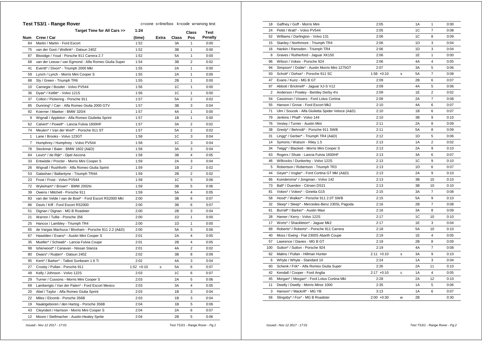|            | Test TS3/1 - Range Rover                              |              | c=cone s=line/box k=code w=wrong test |       |                |                |
|------------|-------------------------------------------------------|--------------|---------------------------------------|-------|----------------|----------------|
|            | Target Time for All Cars >>                           | 1:24         |                                       |       | Class          | <b>Test</b>    |
| <b>Num</b> | Crew / Car                                            | (time)       | <b>Extra</b>                          | Class | Pos            | <b>Penalty</b> |
| 84         | Martin / Martin - Ford Escort                         | 1:52         |                                       | ЗA    | 1              | 0:00           |
| 75         | van der Goot / Wellink* - Datsun 240Z                 | 1:52         |                                       | ЗB    | 1              | 0:00           |
| 87         | Bloxidge / Youd - Porsche 911 Carrera 2.7             | 1:52         |                                       | 5A    | 1              | 0:00           |
| 68         | van der Leeuw / van Egmond - Alfa Romeo Giulia Super  | 1:54         |                                       | ЗB    | 2              | 0:02           |
| 41         | Everitt* / Dixon* - Triumph 2000 Mkl                  | 1:55         |                                       | 2A    | 1              | 0:00           |
| 59         | Lynch / Lynch - Morris Mini Cooper S                  | 1:55         |                                       | 2A    | 1              | 0:00           |
| 88         | Sly / Green - Triumph TR6                             | 1:55         |                                       | 2Β    | 1              | 0:00           |
| 10         | Carnegie / Bosdet - Volvo PV544                       | 1:56         |                                       | 1C    | 1              | 0:00           |
| 36         | Dyas* / Kellitt* - Volvo 121S                         | 1:56         |                                       | 1C    | 1              | 0:00           |
| 37         | Colton / Pickering - Porsche 911                      | 1:57         |                                       | 5A    | 2              | 0:02           |
| 85         | Dunning* / Carr - Alfa Romeo Giulia 2000 GTV          | 1:57         |                                       | 3B    | 3              | 0:04           |
| 92         | Koerner / Maeker - BMW 320/4                          | 1:57         |                                       | 4A    | $\mathbf{1}$   | 0:00           |
| 9          | Wignall / Appleton - Alfa Romeo Giulietta Sprint      | 1:57         |                                       | 1В    | 1              | 0:00           |
| 62         | Calvert* / Powell* - Lancia Fulvia 1600HF             | 1:57         |                                       | ЗA    | 2              | 0:02           |
| 74         | Meulen* / Van der Werf* - Porsche 911 ST              | 1:57         |                                       | 5A    | $\overline{2}$ | 0:02           |
| 1          | Lane / Brooks - Volvo 123GT                           | 1:58         |                                       | 1C    | 3              | 0:04           |
| 7          | Humphrey / Humphrey - Volvo PV544                     | 1:58         |                                       | 1C    | 3              | 0:04           |
| 78         | Stockmar / Baier - BMW 1602 (A&D)                     | 1:58         |                                       | ЗA    | 3              | 0:04           |
| 64         | Leurs* / de Rijk* - Opel Ascona                       | 1:58         |                                       | ЗB    | 4              | 0:05           |
| 33         | Entwistle / Procter - Morris Mini Cooper S            | 1:59         |                                       | 2A    | 3              | 0:04           |
| 26         | Wignall / Rushforth - Alfa Romeo Giulia Sprint        | 1:59         |                                       | 1В    | 2              | 0:02           |
| 53         | Galashan / Ballantyne - Triumph TR4A                  | 1:59         |                                       | 2Β    | 2              | 0:02           |
| 23         | Frost / Frost - Volvo PV544                           | 1:59         |                                       | 1C    | 5              | 0:06           |
| 72         | Wykeham* / Brown* - BMW 2002tii                       | 1:59         |                                       | ЗB    | 5              | 0:06           |
| 39         | Owens / Mitchell - Porsche 911                        | 1:59         |                                       | 5A    | 4              | 0:05           |
| 83         | van der Velde / van de Boel* - Ford Escort RS2000 Mkl | 2:00         |                                       | ЗB    | 6              | 0:07           |
| 86         | Davis / Kiff - Ford Escort RS2000                     | 2:00         |                                       | ЗB    | 6              | 0:07           |
| 51         | Dignan / Dignan - MG B Roadster                       | 2:00         |                                       | 2В    | 3              | 0:04           |
| 21         | Warren / Tullie - Porsche 356                         | 2:00         |                                       | 1D    | 1              | 0:00           |
| 25         | Hancox / Lambley - Triumph TR4                        | 2:00         |                                       | 1D    | 1              | 0:00           |
| 65         | de Vargas Machuca / Bloxham - Porsche 911 2.2 (A&D)   | 2:00         |                                       | 5A    | 5              | 0:06           |
| 67         | Haselden / Evans* - Austin Mini Cooper S              | 2:01         |                                       | 2A    | 4              | 0:05           |
| 35         | Mueller* / Schwab* - Lancia Fulvia Coupe              | 2:01         |                                       | 2В    | 4              | 0:05           |
| 98         | Isherwood* / Canavan - Nissan Stanza                  | 2:01         |                                       | 4A    | 2              | 0:02           |
| 80         | Dwars* / Ruijten* - Datsun 240Z                       | 2:02         |                                       | ЗB    | 8              | 0:09           |
| 95         | Kent* / Barker* - Talbot Sunbeam 1.6 Ti               | 2:02         |                                       | 4A    | 3              | 0:04           |
| 27         | Crosby / Pullan - Porsche 911                         | $1:52 +0:10$ | s                                     | 5A    | 6              | 0:07           |
| 49         | Kelly / Johnson - Volvo 122S                          | 2:03         |                                       | 1C    | 6              | 0:07           |
| 29         | Turner / Cussons - Morris Mini Cooper S               | 2:03         |                                       | 2A    | 5              | 0:06           |
| 69         | Lamberigts / Van der Palen* - Ford Escort Mexico      | 2:03         |                                       | ЗA    | 4              | 0:05           |
| 20         | Abel / Taylor - Alfa Romeo Giulia Sprint              | 2:03         |                                       | 1B    | 3              | 0:04           |
| 22         | Miles / Elcomb - Porsche 356B                         | 2:03         |                                       | 1B    | 3              | 0:04           |
| 19         | Naaktgeboren / den Hartog - Porsche 356B              | 2:04         |                                       | 1В    | 5              | 0:06           |
| 43         | Cleyndert / Harrison - Morris Mini Cooper S           | 2:04         |                                       | 2A    | 6              | 0:07           |
| 12         | Moore / Stellmacher - Austin-Healey Sprite            | 2:04         |                                       | 2B    | 5              | 0:06           |
|            |                                                       |              |                                       |       |                |                |

| 18             | Gaffney / Goff - Morris Mini                      | 2:05          |   | 1A        | $\mathbf{1}$   | 0:00 |
|----------------|---------------------------------------------------|---------------|---|-----------|----------------|------|
| 24             | Pettit / Watt* - Volvo PV544                      | 2:05          |   | 1C        | $\overline{7}$ | 0:08 |
| 52             | Williams / Darlington - Volvo 131                 | 2:06          |   | 1C        | 8              | 0:09 |
| 15             | Stanley / Northmore - Triumph TR4                 | 2:06          |   | 1D        | 3              | 0:04 |
| 16             | Hankin / Ramsden - Triumph TR4                    | 2:06          |   | 1D        | 3              | 0:04 |
| 8              | Graves / Rutherford - Jaguar XK150                | 2:06          |   | 1E        | $\mathbf{1}$   | 0:00 |
| 96             | Wilson / Vokes - Porsche 924                      | 2:06          |   | 4A        | $\overline{4}$ | 0:05 |
| 94             | Simpson* / Doble* - Austin Morris Mini 1275GT     | 2:07          |   | 3A        | 5              | 0:06 |
| 93             | Schott* / Dohse* - Porsche 911 SC                 | $1:58 + 0:10$ | s | 5A        | $\overline{7}$ | 0:08 |
| 47             | Evans / Kunz - MG B GT                            | 2:09          |   | 2B        | 6              | 0:07 |
| 97             | Abbott / Bricknell* - Jaquar XJ-S V12             | 2:09          |   | 4A        | 5              | 0:06 |
| $\overline{2}$ | Anderson / Powley - Bentley Derby 41/4            | 2:09          |   | 1E        | 2              | 0:02 |
| 54             | Cassimon / Vissers - Ford Lotus Cortina           | 2:09          |   | 2A        | $\overline{7}$ | 0:08 |
| 55             | Hanson / Grove - Ford Escort Mk2                  | 2:10          |   | 4A        | 6              | 0:07 |
| 71             | Ulm / Soucek - Alfa Giulietta Spider Veloce (A&D) | 2:10          |   | 1B        | 6              | 0:07 |
| 79             | Jenkins / Phaff - Volvo 144                       | 2:10          |   | 3B        | 9              | 0:10 |
| 76             | Vestey / Turner - Austin Mini                     | 2:11          |   | 2A        | 8              | 0:09 |
| 38             | Gresly* / Behrndt* - Porsche 911 SWB              | 2:11          |   | 5A        | 8              | 0:09 |
| 31             | Lingg* / Gerber* - Triumph TR4 (A&D)              | 2:12          |   | 1D        | 5              | 0:06 |
| 14             | Symons / Watson - Riley 1.5                       | 2:13          |   | 1A        | $\overline{2}$ | 0:02 |
| 34             | Twigg* / Blackett - Morris Mini Cooper S          | 2:13          |   | 2A        | 9              | 0:10 |
| 63             | Rogers / Shute - Lancia Fulvia 1600HF             | 2:13          |   | 3A        | 6              | 0:07 |
| 46             | Willcocks / Dunkerley - Volvo 122S                | 2:13          |   | 1C        | 9              | 0:10 |
| 5              | Robertson / Robertson - Triumph TR3               | 2:13          |   | 1D        | 6              | 0:07 |
| 44             | Geyer* / Voglar* - Ford Cortina GT MkI (A&D)      | 2:13          |   | 2A        | 9              | 0:10 |
| 66             | Kuindersma* / Jongman - Volvo 142                 | 2:13          |   | 3B        | 10             | 0:10 |
| 73             | Ball* / Duerden - Citroen DS21                    | 2:13          |   | 3B        | 10             | 0:10 |
| 81             | Vokes* / Vokes* - Ginetta G15                     | 2:15          |   | 3A        | 7              | 0:08 |
| 58             | Hood* / Walker* - Porsche 911 2.0T SWB            | 2:15          |   | 5A        | 9              | 0:10 |
| 32             | Sleep* / Sleep* - Mercedes-Benz 230SL Pagoda      | 2:16          |   | 2B        | $\overline{7}$ | 0:08 |
| 61             | Burrell* / Barker* - Austin Maxi                  | 2:16          |   | 3A        | 8              | 0:09 |
| 28             | Hamer / Kerry - Volvo 122S                        | 2:17          |   | 1C        | 10             | 0:10 |
| 17             | Worts* / Shackleton* - Jaguar Mk2                 | 2:17          |   | 1E        | 3              | 0:04 |
| 89             | Roberts* / Roberts* - Porsche 911 Carrera         | 2:18          |   | <b>5A</b> | 10             | 0:10 |
| 40             | Moss / Ewing - Fiat 2300S Abarth Coupe            | 2:19          |   | 1E        | 4              | 0:05 |
| 57             | Lawrence / Davies - MG B GT                       | 2:19          |   | 2B        | 8              | 0:09 |
| 100            | Sutton* / Sutton - Porsche 924                    | 2:19          |   | 4A        | $\overline{7}$ | 0:08 |
| 82             | Malins / Pullan - Hillman Hunter                  | $2:11 + 0:10$ | S | ЗA        | 9              | 0:10 |
| 6              | Whyte / Whyte - Standard 10                       | 2:24          |   | 1A        | 3              | 0:04 |
| 60             | Schenk / Frik* - Alfa Romeo Giulia Super          | 2:26          |   | 2A        | 11             | 0:10 |
| 42             | Kendall / Cooper - Ford Anglia                    | $2:17 + 0:10$ | с | 1A        | $\overline{4}$ | 0:05 |
| 45             | Morgan* / Morgan* - Ford Lotus Cortina Mkl        | 2:28          |   | 2A        | 12             | 0:10 |
| 11             | Dwelly / Dwelly - Morris Minor 1000               | 2:35          |   | 1A        | 5              | 0:06 |
| 3              | Hanson* / Mackrill* - MG YB                       | 3:13          |   | 1A        | 6              | 0:07 |
| 56             | Slingsby* / Fox* - MG B Roadster                  | $2:00 + 0:30$ | W | 2B        |                | 0:30 |
|                |                                                   |               |   |           |                |      |

 *Issued:- Nov 12 2017 - 17:01 Test TS3/1 - Range Rover - Pg.1*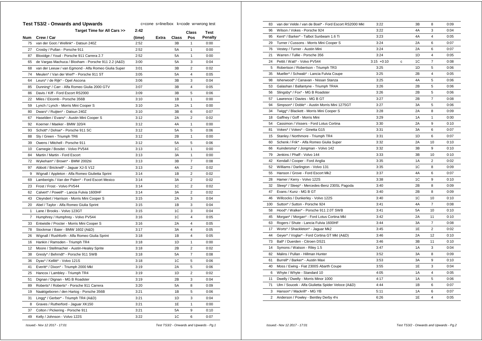|     | <b>Test TS3/2 - Onwards and Upwards</b>              | c=cone s=line/box k=code w=wrong test |       |       |                |         |
|-----|------------------------------------------------------|---------------------------------------|-------|-------|----------------|---------|
|     | Target Time for All Cars >>                          | 2:42                                  |       |       | Class          | Test    |
| Num | Crew / Car                                           | (time)                                | Extra | Class | Pos            | Penalty |
| 75  | van der Goot / Wellink* - Datsun 240Z                | 2:52                                  |       | 3B    | 1              | 0:00    |
| 27  | Crosby / Pullan - Porsche 911                        | 2:52                                  |       | 5A    | $\mathbf{1}$   | 0:00    |
| 87  | Bloxidge / Youd - Porsche 911 Carrera 2.7            | 2:52                                  |       | 5A    | $\mathbf{1}$   | 0:00    |
| 65  | de Vargas Machuca / Bloxham - Porsche 911 2.2 (A&D)  | 3:00                                  |       | 5А    | 3              | 0:04    |
| 68  | van der Leeuw / van Egmond - Alfa Romeo Giulia Super | 3:01                                  |       | 3B    | 2              | 0:02    |
| 74  | Meulen* / Van der Werf* - Porsche 911 ST             | 3:05                                  |       | 5A    | 4              | 0:05    |
| 64  | Leurs* / de Rijk* - Opel Ascona                      | 3:06                                  |       | 3B    | 3              | 0:04    |
| 85  | Dunning* / Carr - Alfa Romeo Giulia 2000 GTV         | 3:07                                  |       | 3B    | 4              | 0:05    |
| 86  | Davis / Kiff - Ford Escort RS2000                    | 3:09                                  |       | 3B    | 5              | 0:06    |
| 22  | Miles / Elcomb - Porsche 356B                        | 3:10                                  |       | 1B    | 1              | 0:00    |
| 59  | Lynch / Lynch - Morris Mini Cooper S                 | 3:10                                  |       | 2A    | $\mathbf{1}$   | 0:00    |
| 80  | Dwars* / Ruijten* - Datsun 240Z                      | 3:10                                  |       | ЗB    | 6              | 0:07    |
| 67  | Haselden / Evans* - Austin Mini Cooper S             | 3:12                                  |       | 2A    | 2              | 0:02    |
| 92  | Koerner / Maeker - BMW 320/4                         | 3:12                                  |       | 4A    | 1              | 0:00    |
| 93  | Schott* / Dohse* - Porsche 911 SC                    | 3:12                                  |       | 5A    | 5              | 0:06    |
| 88  | Sly / Green - Triumph TR6                            | 3:12                                  |       | 2B    | $\mathbf{1}$   | 0:00    |
| 39  | Owens / Mitchell - Porsche 911                       | 3:12                                  |       | 5A    | 5              | 0:06    |
| 10  | Carnegie / Bosdet - Volvo PV544                      | 3:13                                  |       | 1C    | 1              | 0:00    |
| 84  | Martin / Martin - Ford Escort                        | 3:13                                  |       | 3A    | 1              | 0:00    |
| 72  | Wykeham* / Brown* - BMW 2002tii                      | 3:13                                  |       | ЗB    | $\overline{7}$ | 0:08    |
| 97  | Abbott / Bricknell* - Jaguar XJ-S V12                | 3:13                                  |       | 4A    | $\overline{2}$ | 0:02    |
| 9   | Wignall / Appleton - Alfa Romeo Giulietta Sprint     | 3:14                                  |       | 1B    | $\overline{2}$ | 0:02    |
| 69  | Lamberigts / Van der Palen* - Ford Escort Mexico     | 3:14                                  |       | 3A    | $\overline{2}$ | 0:02    |
| 23  | Frost / Frost - Volvo PV544                          | 3:14                                  |       | 1C    | 2              | 0:02    |
| 62  | Calvert* / Powell* - Lancia Fulvia 1600HF            | 3:14                                  |       | 3A    | $\overline{2}$ | 0:02    |
| 43  | Cleyndert / Harrison - Morris Mini Cooper S          | 3:15                                  |       | 2A    | 3              | 0:04    |
| 20  | Abel / Taylor - Alfa Romeo Giulia Sprint             | 3:15                                  |       | 1B    | 3              | 0:04    |
| 1   | Lane / Brooks - Volvo 123GT                          | 3:15                                  |       | 1C    | 3              | 0:04    |
| 7   | Humphrey / Humphrey - Volvo PV544                    | 3:16                                  |       | 1C    | $\overline{4}$ | 0:05    |
| 33  | Entwistle / Procter - Morris Mini Cooper S           | 3:16                                  |       | 2A    | 4              | 0:05    |
| 78  | Stockmar / Baier - BMW 1602 (A&D)                    | 3:17                                  |       | ЗA    | 4              | 0:05    |
| 26  | Wignall / Rushforth - Alfa Romeo Giulia Sprint       | 3:18                                  |       | 1B    | $\overline{4}$ | 0:05    |
| 16  | Hankin / Ramsden - Triumph TR4                       | 3:18                                  |       | 1D    | $\mathbf{1}$   | 0:00    |
| 12  | Moore / Stellmacher - Austin-Healey Sprite           | 3:18                                  |       | 2Β    | 2              | 0:02    |
| 38  | Gresly* / Behrndt* - Porsche 911 SWB                 | 3:18                                  |       | 5A    | 7              | 0:08    |
| 36  | Dyas* / Kellitt* - Volvo 121S                        | 3:18                                  |       | 1C    | 5              | 0:06    |
| 41  | Everitt* / Dixon* - Triumph 2000 Mkl                 | 3:19                                  |       | 2A    | 5              | 0:06    |
| 25  | Hancox / Lambley - Triumph TR4                       | 3:19                                  |       | 1D    | $\overline{2}$ | 0:02    |
| 51  | Dignan / Dignan - MG B Roadster                      | 3:19                                  |       | 2B    | 3              | 0:04    |
| 89  | Roberts* / Roberts* - Porsche 911 Carrera            | 3:20                                  |       | 5A    | 8              | 0:09    |
| 19  | Naaktgeboren / den Hartog - Porsche 356B             | 3:21                                  |       | 1B    | 5              | 0:06    |
| 31  | Lingg* / Gerber* - Triumph TR4 (A&D)                 | 3:21                                  |       | 1D    | 3              | 0:04    |
| 8   | Graves / Rutherford - Jaguar XK150                   | 3:21                                  |       | 1E    | $\mathbf{1}$   | 0:00    |
| 37  | Colton / Pickering - Porsche 911                     | 3:21                                  |       | 5A    | 9              | 0:10    |
| 49  | Kelly / Johnson - Volvo 122S                         | 3:22                                  |       | 1C    | 6              | 0:07    |
|     |                                                      |                                       |       |       |                |         |

| 83             | van der Velde / van de Boel* - Ford Escort RS2000 Mkl | 3:22          |             | 3B | 8              | 0:09 |
|----------------|-------------------------------------------------------|---------------|-------------|----|----------------|------|
| 96             | Wilson / Vokes - Porsche 924                          | 3:22          |             | 4A | 3              | 0:04 |
| 95             | Kent* / Barker* - Talbot Sunbeam 1.6 Ti               | 3:23          |             | 4A | 4              | 0:05 |
| 29             | Turner / Cussons - Morris Mini Cooper S               | 3:24          |             | 2A | 6              | 0:07 |
| 76             | Vestey / Turner - Austin Mini                         | 3:24          |             | 2A | 6              | 0:07 |
| 21             | Warren / Tullie - Porsche 356                         | 3:24          |             | 1D | 4              | 0:05 |
| 24             | Pettit / Watt* - Volvo PV544                          | $3:15 + 0:10$ | $\mathbf c$ | 1C | $\overline{7}$ | 0:08 |
| 5              | Robertson / Robertson - Triumph TR3                   | 3:25          |             | 1D | 5              | 0:06 |
| 35             | Mueller* / Schwab* - Lancia Fulvia Coupe              | 3:25          |             | 2B | 4              | 0:05 |
| 98             | Isherwood* / Canavan - Nissan Stanza                  | 3:25          |             | 4A | 5              | 0:06 |
| 53             | Galashan / Ballantyne - Triumph TR4A                  | 3:26          |             | 2B | 5              | 0:06 |
| 56             | Slingsby* / Fox* - MG B Roadster                      | 3:26          |             | 2B | 5              | 0:06 |
| 57             | Lawrence / Davies - MG B GT                           | 3:27          |             | 2B | $\overline{7}$ | 0:08 |
| 94             | Simpson* / Doble* - Austin Morris Mini 1275GT         | 3:27          |             | 3A | 5              | 0:06 |
| 34             | Twigg* / Blackett - Morris Mini Cooper S              | 3:28          |             | 2A | 8              | 0:09 |
| 18             | Gaffney / Goff - Morris Mini                          | 3:29          |             | 1A | 1              | 0:00 |
| 54             | Cassimon / Vissers - Ford Lotus Cortina               | 3:30          |             | 2A | 9              | 0:10 |
| 81             | Vokes* / Vokes* - Ginetta G15                         | 3:31          |             | 3A | 6              | 0:07 |
| 15             | Stanley / Northmore - Triumph TR4                     | 3:31          |             | 1D | 6              | 0:07 |
| 60             | Schenk / Frik* - Alfa Romeo Giulia Super              | 3:32          |             | 2A | 10             | 0:10 |
| 66             | Kuindersma* / Jongman - Volvo 142                     | 3:32          |             | 3B | 9              | 0:10 |
| 79             | Jenkins / Phaff - Volvo 144                           | 3:33          |             | 3B | 10             | 0:10 |
| 42             | Kendall / Cooper - Ford Anglia                        | 3:35          |             | 1A | 2              | 0:02 |
| 52             | Williams / Darlington - Volvo 131                     | 3:35          |             | 1C | 8              | 0:09 |
| 55             | Hanson / Grove - Ford Escort Mk2                      | 3:37          |             | 4A | 6              | 0:07 |
| 28             | Hamer / Kerry - Volvo 122S                            | 3:38          |             | 1C | 9              | 0:10 |
| 32             | Sleep* / Sleep* - Mercedes-Benz 230SL Pagoda          | 3:40          |             | 2B | 8              | 0:09 |
| 47             | Evans / Kunz - MG B GT                                | 3:40          |             | 2B | 8              | 0:09 |
| 46             | Willcocks / Dunkerley - Volvo 122S                    | 3:40          |             | 1C | 10             | 0:10 |
| 100            | Sutton* / Sutton - Porsche 924                        | 3:41          |             | 4A | $\overline{7}$ | 0:08 |
| 58             | Hood* / Walker* - Porsche 911 2.0T SWB                | 3:41          |             | 5A | 10             | 0:10 |
| 45             | Morgan* / Morgan* - Ford Lotus Cortina Mkl            | 3:42          |             | 2A | 11             | 0:10 |
| 63             | Rogers / Shute - Lancia Fulvia 1600HF                 | 3:44          |             | 3A | $\overline{7}$ | 0:08 |
| 17             | Worts* / Shackleton* - Jaquar Mk2                     | 3:45          |             | 1E | $\overline{2}$ | 0:02 |
| 44             | Geyer* / Voglar* - Ford Cortina GT MkI (A&D)          | 3:46          |             | 2A | 12             | 0:10 |
| 73             | Ball* / Duerden - Citroen DS21                        | 3:46          |             | 3B | 11             | 0:10 |
| 14             | Symons / Watson - Riley 1.5                           | 3:47          |             | 1A | 3              | 0:04 |
| 82             | Malins / Pullan - Hillman Hunter                      | 3:52          |             | 3A | 8              | 0:09 |
| 61             | Burrell* / Barker* - Austin Maxi                      | 3:53          |             | 3A | 9              | 0:10 |
| 40             | Moss / Ewing - Fiat 2300S Abarth Coupe                | 3:55          |             | 1E | 3              | 0:04 |
| 6              | Whyte / Whyte - Standard 10                           | 4:05          |             | 1A | 4              | 0:05 |
| 11             | Dwelly / Dwelly - Morris Minor 1000                   | 4:17          |             | 1A | 5              | 0:06 |
| 71             | Ulm / Soucek - Alfa Giulietta Spider Veloce (A&D)     | 4:44          |             | 1B | 6              | 0:07 |
| 3              | Hanson* / Mackrill* - MG YB                           | 5:11          |             | 1A | 6              | 0:07 |
| $\overline{2}$ | Anderson / Powley - Bentley Derby 41/4                | 6:26          |             | 1E | 4              | 0:05 |

 *Issued:- Nov 12 2017 - 17:01 Test TS3/2 - Onwards and Upwards - Pg.1*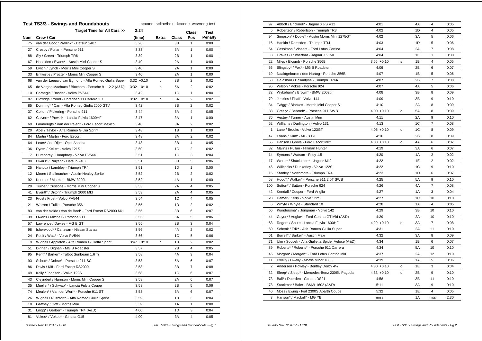|     | <b>Test TS3/3 - Swings and Roundabouts</b>            | c=cone s=line/box k=code w=wrong test |              |       |                |                |
|-----|-------------------------------------------------------|---------------------------------------|--------------|-------|----------------|----------------|
|     | Target Time for All Cars >>                           | 2:24                                  |              |       | <b>Class</b>   | Test           |
| Num | Crew / Car                                            | (time)                                | <b>Extra</b> | Class | Pos            | <b>Penalty</b> |
| 75  | van der Goot / Wellink* - Datsun 240Z                 | 3:26                                  |              | ЗB    | 1              | 0:00           |
| 27  | Crosby / Pullan - Porsche 911                         | 3:33                                  |              | 5A    | 1              | 0:00           |
| 88  | Sly / Green - Triumph TR6                             | 3:39                                  |              | 2B    | 1              | 0:00           |
| 67  | Haselden / Evans* - Austin Mini Cooper S              | 3:40                                  |              | 2A    | 1              | 0:00           |
| 59  | Lynch / Lynch - Morris Mini Cooper S                  | 3:40                                  |              | 2A    | 1              | 0:00           |
| 33  | Entwistle / Procter - Morris Mini Cooper S            | 3:40                                  |              | 2A    | 1              | 0:00           |
| 68  | van der Leeuw / van Egmond - Alfa Romeo Giulia Super  | $3:32 +0:10$                          | с            | ЗB    | 2              | 0:02           |
| 65  | de Vargas Machuca / Bloxham - Porsche 911 2.2 (A&D)   | $3:32 +0:10$                          | с            | 5A    | 2              | 0:02           |
| 10  | Carnegie / Bosdet - Volvo PV544                       | 3:42                                  |              | 1C    | 1              | 0:00           |
| 87  | Bloxidge / Youd - Porsche 911 Carrera 2.7             | $3:32 +0:10$                          | с            | 5A    | 2              | 0:02           |
| 85  | Dunning* / Carr - Alfa Romeo Giulia 2000 GTV          | 3:42                                  |              | ЗB    | $\overline{2}$ | 0:02           |
| 37  | Colton / Pickering - Porsche 911                      | 3:44                                  |              | 5A    | 4              | 0:05           |
| 62  | Calvert* / Powell* - Lancia Fulvia 1600HF             | 3:47                                  |              | 3A    | 1              | 0:00           |
| 69  | Lamberigts / Van der Palen* - Ford Escort Mexico      | 3:48                                  |              | ЗA    | 2              | 0:02           |
| 20  | Abel / Taylor - Alfa Romeo Giulia Sprint              | 3:48                                  |              | 1В    | 1              | 0:00           |
| 84  | Martin / Martin - Ford Escort                         | 3:48                                  |              | 3A    | 2              | 0:02           |
| 64  | Leurs* / de Rijk* - Opel Ascona                       | 3:48                                  |              | ЗB    | 4              | 0:05           |
| 36  | Dyas* / Kellitt* - Volvo 121S                         | 3:50                                  |              | 1C    | 2              | 0:02           |
| 7   | Humphrey / Humphrey - Volvo PV544                     | 3:51                                  |              | 1C    | 3              | 0:04           |
| 80  | Dwars* / Ruijten* - Datsun 240Z                       | 3:51                                  |              | ЗB    | 5              | 0:06           |
| 25  | Hancox / Lambley - Triumph TR4                        | 3:51                                  |              | 1D    | 1              | 0:00           |
| 12  | Moore / Stellmacher - Austin-Healey Sprite            | 3:52                                  |              | 2B    | 2              | 0:02           |
| 92  | Koerner / Maeker - BMW 320/4                          | 3:52                                  |              | 4A    | 1              | 0:00           |
| 29  | Turner / Cussons - Morris Mini Cooper S               | 3:53                                  |              | 2A    | 4              | 0:05           |
| 41  | Everitt* / Dixon* - Triumph 2000 Mkl                  | 3:53                                  |              | 2A    | 4              | 0:05           |
| 23  | Frost / Frost - Volvo PV544                           | 3:54                                  |              | 1C    | 4              | 0:05           |
| 21  | Warren / Tullie - Porsche 356                         | 3:55                                  |              | 1D    | 2              | 0:02           |
| 83  | van der Velde / van de Boel* - Ford Escort RS2000 MkI | 3:55                                  |              | ЗB    | 6              | 0:07           |
| 39  | Owens / Mitchell - Porsche 911                        | 3:55                                  |              | 5A    | 5              | 0:06           |
| 57  | Lawrence / Davies - MG B GT                           | 3:55                                  |              | 2В    | 3              | 0:04           |
| 98  | Isherwood* / Canavan - Nissan Stanza                  | 3:56                                  |              | 4A    | $\overline{2}$ | 0:02           |
| 24  | Pettit / Watt* - Volvo PV544                          | 3:56                                  |              | 1C    | 5              | 0:06           |
| 9   | Wignall / Appleton - Alfa Romeo Giulietta Sprint      | $3:47 +0:10$                          | с            | 1B    | $\overline{2}$ | 0:02           |
| 51  | Dignan / Dignan - MG B Roadster                       | 3:57                                  |              | 2В    | 4              | 0:05           |
| 95  | Kent* / Barker* - Talbot Sunbeam 1.6 Ti               | 3:58                                  |              | 4A    | 3              | 0:04           |
| 93  | Schott* / Dohse* - Porsche 911 SC                     | 3:58                                  |              | 5A    | 6              | 0:07           |
| 86  | Davis / Kiff - Ford Escort RS2000                     | 3:58                                  |              | 3B    | $\overline{7}$ | 0:08           |
| 49  | Kelly / Johnson - Volvo 122S                          | 3:58                                  |              | 1C    | 6              | 0:07           |
| 43  | Cleyndert / Harrison - Morris Mini Cooper S           | 3:58                                  |              | 2A    | 6              | 0:07           |
| 35  | Mueller* / Schwab* - Lancia Fulvia Coupe              | 3:58                                  |              | 2B    | 5              | 0:06           |
| 74  | Meulen* / Van der Werf* - Porsche 911 ST              | 3:58                                  |              | 5A    | 6              | 0:07           |
| 26  | Wignall / Rushforth - Alfa Romeo Giulia Sprint        | 3:59                                  |              | 1B    | 3              | 0:04           |
| 18  | Gaffney / Goff - Morris Mini                          | 3:59                                  |              | 1A    | 1              | 0:00           |
| 31  | Lingg* / Gerber* - Triumph TR4 (A&D)                  | 4:00                                  |              | 1D    | 3              | 0:04           |
| 81  | Vokes* / Vokes* - Ginetta G15                         | 4:00                                  |              | ЗA    | 4              | 0:05           |
|     |                                                       |                                       |              |       |                |                |

| 97  | Abbott / Bricknell* - Jaguar XJ-S V12             | 4:01          |   | 4A | 4              | 0:05 |
|-----|---------------------------------------------------|---------------|---|----|----------------|------|
| 5   | Robertson / Robertson - Triumph TR3               | 4:02          |   | 1D | 4              | 0:05 |
| 94  | Simpson* / Doble* - Austin Morris Mini 1275GT     | 4:02          |   | 3A | 5              | 0:06 |
| 16  | Hankin / Ramsden - Triumph TR4                    | 4:03          |   | 1D | 5              | 0:06 |
| 54  | Cassimon / Vissers - Ford Lotus Cortina           | 4:04          |   | 2A | $\overline{7}$ | 0:08 |
| 8   | Graves / Rutherford - Jaguar XK150                | 4:04          |   | 1E | $\mathbf{1}$   | 0:00 |
| 22  | Miles / Elcomb - Porsche 356B                     | $3:55 + 0:10$ | s | 1B | 4              | 0:05 |
| 56  | Slingsby* / Fox* - MG B Roadster                  | 4:06          |   | 2B | 6              | 0:07 |
| 19  | Naaktgeboren / den Hartog - Porsche 356B          | 4:07          |   | 1B | 5              | 0:06 |
| 53  | Galashan / Ballantyne - Triumph TR4A              | 4:07          |   | 2B | $\overline{7}$ | 0:08 |
| 96  | Wilson / Vokes - Porsche 924                      | 4:07          |   | 4A | 5              | 0:06 |
| 72  | Wykeham* / Brown* - BMW 2002tii                   | 4:08          |   | 3B | 8              | 0:09 |
| 79  | Jenkins / Phaff - Volvo 144                       | 4:09          |   | 3B | 9              | 0:10 |
| 34  | Twigg* / Blackett - Morris Mini Cooper S          | 4:10          |   | 2A | 8              | 0:09 |
| 38  | Gresly* / Behrndt* - Porsche 911 SWB              | $4:00 + 0:10$ | с | 5A | 8              | 0:09 |
| 76  | Vestey / Turner - Austin Mini                     | 4:11          |   | 2A | 9              | 0:10 |
| 52  | Williams / Darlington - Volvo 131                 | 4:13          |   | 1C | $\overline{7}$ | 0:08 |
| 1   | Lane / Brooks - Volvo 123GT                       | $4:05 +0:10$  | C | 1C | 8              | 0:09 |
| 47  | Evans / Kunz - MG B GT                            | 4:16          |   | 2B | 8              | 0:09 |
| 55  | Hanson / Grove - Ford Escort Mk2                  | $4:08 +0:10$  | c | 4A | 6              | 0:07 |
| 82  | Malins / Pullan - Hillman Hunter                  | 4:19          |   | 3A | 6              | 0:07 |
| 14  | Symons / Watson - Riley 1.5                       | 4:20          |   | 1A | $\overline{c}$ | 0:02 |
| 17  | Worts* / Shackleton* - Jaguar Mk2                 | 4:22          |   | 1E | $\overline{c}$ | 0:02 |
| 46  | Willcocks / Dunkerley - Volvo 122S                | 4:22          |   | 1C | 9              | 0:10 |
| 15  | Stanley / Northmore - Triumph TR4                 | 4:23          |   | 1D | 6              | 0:07 |
| 58  | Hood* / Walker* - Porsche 911 2.0T SWB            | 4:25          |   | 5A | 9              | 0:10 |
| 100 | Sutton* / Sutton - Porsche 924                    | 4:26          |   | 4A | $\overline{7}$ | 0:08 |
| 42  | Kendall / Cooper - Ford Anglia                    | 4:27          |   | 1A | 3              | 0:04 |
| 28  | Hamer / Kerry - Volvo 122S                        | 4:27          |   | 1C | 10             | 0:10 |
| 6   | Whyte / Whyte - Standard 10                       | 4:28          |   | 1A | $\overline{4}$ | 0:05 |
| 66  | Kuindersma* / Jongman - Volvo 142                 | 4:29          |   | 3B | 10             | 0:10 |
| 44  | Geyer* / Voglar* - Ford Cortina GT MkI (A&D)      | 4:29          |   | 2A | 10             | 0:10 |
| 63  | Rogers / Shute - Lancia Fulvia 1600HF             | $4:20 +0:10$  | c | 3A | $\overline{7}$ | 0:08 |
| 60  | Schenk / Frik* - Alfa Romeo Giulia Super          | 4:31          |   | 2A | 11             | 0:10 |
| 61  | Burrell* / Barker* - Austin Maxi                  | 4:32          |   | 3A | 8              | 0:09 |
| 71  | Ulm / Soucek - Alfa Giulietta Spider Veloce (A&D) | 4:34          |   | 1B | 6              | 0:07 |
| 89  | Roberts* / Roberts* - Porsche 911 Carrera         | 4:34          |   | 5A | 10             | 0:10 |
| 45  | Morgan* / Morgan* - Ford Lotus Cortina Mkl        | 4:37          |   | 2A | 12             | 0:10 |
| 11  | Dwelly / Dwelly - Morris Minor 1000               | 4:39          |   | 1A | 5              | 0:06 |
| 2   | Anderson / Powley - Bentley Derby 41/4            | $4:30 + 0:10$ | с | 1E | 3              | 0:04 |
| 32  | Sleep* / Sleep* - Mercedes-Benz 230SL Pagoda      | $4:33 + 0:10$ | c | 2Β | 9              | 0:10 |
| 73  | Ball* / Duerden - Citroen DS21                    | 4:58          |   | 3B | 11             | 0:10 |
| 78  | Stockmar / Baier - BMW 1602 (A&D)                 | 5:11          |   | 3A | 9              | 0:10 |
| 40  | Moss / Ewing - Fiat 2300S Abarth Coupe            | 5:32          |   | 1E | 4              | 0:05 |
| 3   | Hanson* / Mackrill* - MG YB                       | miss          |   | 1A | miss           | 2:30 |
|     |                                                   |               |   |    |                |      |

 *Issued:- Nov 12 2017 - 17:01 Test TS3/3 - Swings and Roundabouts - Pg.1*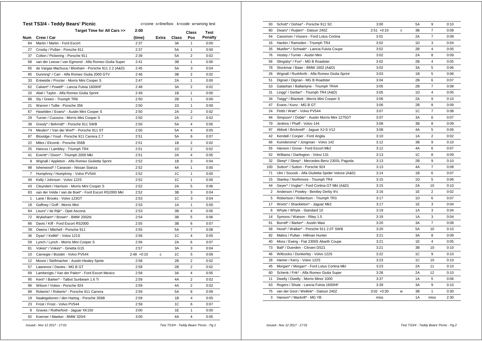|     | Test TS3/4 - Teddy Bears' Picnic                      | c=cone s=line/box k=code w=wrong test |       |       |                |                |  |
|-----|-------------------------------------------------------|---------------------------------------|-------|-------|----------------|----------------|--|
|     | Target Time for All Cars >>                           | 2:00                                  |       |       | Class          | Test           |  |
| Num | Crew / Car                                            | (time)                                | Extra | Class | Pos            | <b>Penalty</b> |  |
| 84  | Martin / Martin - Ford Escort                         | 2:37                                  |       | ЗA    | $\mathbf{1}$   | 0:00           |  |
| 27  | Crosby / Pullan - Porsche 911                         | 2:37                                  |       | 5A    | 1              | 0:00           |  |
| 37  | Colton / Pickering - Porsche 911                      | 2:39                                  |       | 5A    | $\overline{2}$ | 0:02           |  |
| 68  | van der Leeuw / van Egmond - Alfa Romeo Giulia Super  | 2:41                                  |       | ЗB    | 1              | 0:00           |  |
| 65  | de Vargas Machuca / Bloxham - Porsche 911 2.2 (A&D)   | 2:45                                  |       | 5Α    | 3              | 0:04           |  |
| 85  | Dunning* / Carr - Alfa Romeo Giulia 2000 GTV          | 2:46                                  |       | 3B    | 2              | 0:02           |  |
| 33  | Entwistle / Procter - Morris Mini Cooper S            | 2:47                                  |       | 2A    | $\mathbf{1}$   | 0:00           |  |
| 62  | Calvert* / Powell* - Lancia Fulvia 1600HF             | 2:48                                  |       | ЗA    | 2              | 0:02           |  |
| 20  | Abel / Taylor - Alfa Romeo Giulia Sprint              | 2:49                                  |       | 1B    | 1              | 0:00           |  |
| 88  | Sly / Green - Triumph TR6                             | 2:50                                  |       | 2B    | 1              | 0:00           |  |
| 21  | Warren / Tullie - Porsche 356                         | 2:50                                  |       | 1D    | $\mathbf{1}$   | 0:00           |  |
| 67  | Haselden / Evans* - Austin Mini Cooper S              | 2:50                                  |       | 2A    | 2              | 0:02           |  |
| 29  | Turner / Cussons - Morris Mini Cooper S               | 2:50                                  |       | 2A    | 2              | 0:02           |  |
| 38  | Gresly* / Behrndt* - Porsche 911 SWB                  | 2:50                                  |       | 5Α    | 4              | 0:05           |  |
| 74  | Meulen* / Van der Werf* - Porsche 911 ST              | 2:50                                  |       | 5Α    | 4              | 0:05           |  |
| 87  | Bloxidge / Youd - Porsche 911 Carrera 2.7             | 2:51                                  |       | 5A    | 6              | 0:07           |  |
| 22  | Miles / Elcomb - Porsche 356B                         | 2:51                                  |       | 1Β    | 2              | 0:02           |  |
| 25  | Hancox / Lambley - Triumph TR4                        | 2:51                                  |       | 1D    | 2              | 0:02           |  |
| 41  | Everitt* / Dixon* - Triumph 2000 Mkl                  | 2:51                                  |       | 2A    | 4              | 0:05           |  |
| 9   | Wignall / Appleton - Alfa Romeo Giulietta Sprint      | 2:52                                  |       | 1B    | 3              | 0:04           |  |
| 98  | Isherwood* / Canavan - Nissan Stanza                  | 2:52                                  |       | 4A    | 1              | 0:00           |  |
| 7   | Humphrey / Humphrey - Volvo PV544                     | 2:52                                  |       | 1C    | 1              | 0:00           |  |
| 49  | Kelly / Johnson - Volvo 122S                          | 2:52                                  |       | 1C    | 1              | 0:00           |  |
| 43  | Cleyndert / Harrison - Morris Mini Cooper S           | 2:52                                  |       | 2A    | 5              | 0:06           |  |
| 83  | van der Velde / van de Boel* - Ford Escort RS2000 Mkl | 2:52                                  |       | 3B    | 3              | 0:04           |  |
| 1   | Lane / Brooks - Volvo 123GT                           | 2:53                                  |       | 1C    | 3              | 0:04           |  |
| 18  | Gaffney / Goff - Morris Mini                          | 2:53                                  |       | 1A    | 1              | 0:00           |  |
| 64  | Leurs* / de Rijk* - Opel Ascona                       | 2:53                                  |       | 3B    | 4              | 0:05           |  |
| 72  | Wykeham* / Brown* - BMW 2002tii                       | 2:54                                  |       | 3B    | 5              | 0:06           |  |
| 86  | Davis / Kiff - Ford Escort RS2000                     | 2:55                                  |       | ЗB    | 6              | 0:07           |  |
| 39  | Owens / Mitchell - Porsche 911                        | 2:55                                  |       | 5A    | 7              | 0:08           |  |
| 36  | Dyas* / Kellitt* - Volvo 121S                         | 2:56                                  |       | 1C    | 4              | 0:05           |  |
| 59  | Lynch / Lynch - Morris Mini Cooper S                  | 2:56                                  |       | 2Α    | 6              | 0:07           |  |
| 81  | Vokes* / Vokes* - Ginetta G15                         | 2:57                                  |       | ЗA    | 3              | 0:04           |  |
| 10  | Carnegie / Bosdet - Volvo PV544                       | $2:48 + 0:10$                         | с     | 1C    | 5              | 0:06           |  |
| 12  | Moore / Stellmacher - Austin-Healey Sprite            | 2:58                                  |       | 2B    | 2              | 0:02           |  |
| 57  | Lawrence / Davies - MG B GT                           | 2:58                                  |       | 2B    | 2              | 0:02           |  |
| 69  | Lamberigts / Van der Palen* - Ford Escort Mexico      | 2:58                                  |       | ЗA    | 4              | 0:05           |  |
| 95  | Kent* / Barker* - Talbot Sunbeam 1.6 Ti               | 2:59                                  |       | 4A    | 2              | 0:02           |  |
| 96  | Wilson / Vokes - Porsche 924                          | 2:59                                  |       | 4A    | $\overline{2}$ | 0:02           |  |
| 89  | Roberts* / Roberts* - Porsche 911 Carrera             | 2:59                                  |       | 5А    | 8              | 0:09           |  |
| 19  | Naaktgeboren / den Hartog - Porsche 356B              | 2:59                                  |       | 1B    | 4              | 0:05           |  |
| 23  | Frost / Frost - Volvo PV544                           | 2:59                                  |       | 1C    | 6              | 0:07           |  |
| 8   | Graves / Rutherford - Jaguar XK150                    | 3:00                                  |       | 1E    | 1              | 0:00           |  |
| 92  | Koerner / Maeker - BMW 320/4                          | 3:00                                  |       | 4A    | 4              | 0:05           |  |
|     |                                                       |                                       |       |       |                |                |  |

| 93             | Schott* / Dohse* - Porsche 911 SC                 | 3:00          |   | <b>5A</b> | 9              | 0:10 |
|----------------|---------------------------------------------------|---------------|---|-----------|----------------|------|
| 80             | Dwars* / Ruijten* - Datsun 240Z                   | $2:51 + 0:10$ | C | 3B        | 7              | 0:08 |
| 54             | Cassimon / Vissers - Ford Lotus Cortina           | 3:01          |   | 2A        | $\overline{7}$ | 0:08 |
| 16             | Hankin / Ramsden - Triumph TR4                    | 3:02          |   | 1D        | 3              | 0:04 |
| 35             | Mueller* / Schwab* - Lancia Fulvia Coupe          | 3:02          |   | 2B        | 4              | 0:05 |
| 76             | Vestey / Turner - Austin Mini                     | 3:02          |   | 2A        | 8              | 0:09 |
| 56             | Slingsby* / Fox* - MG B Roadster                  | 3:02          |   | 2B        | 4              | 0:05 |
| 78             | Stockmar / Baier - BMW 1602 (A&D)                 | 3:02          |   | 3A        | 5              | 0:06 |
| 26             | Wignall / Rushforth - Alfa Romeo Giulia Sprint    | 3:03          |   | 1B        | 5              | 0:06 |
| 51             | Dignan / Dignan - MG B Roadster                   | 3:04          |   | 2B        | 6              | 0:07 |
| 53             | Galashan / Ballantyne - Triumph TR4A              | 3:05          |   | 2B        | $\overline{7}$ | 0:08 |
| 31             | Lingg* / Gerber* - Triumph TR4 (A&D)              | 3:05          |   | 1D        | 4              | 0:05 |
| 34             | Twigg* / Blackett - Morris Mini Cooper S          | 3:06          |   | 2A        | 9              | 0:10 |
| 47             | Evans / Kunz - MG B GT                            | 3:06          |   | 2B        | 8              | 0:09 |
| 24             | Pettit / Watt* - Volvo PV544                      | 3:07          |   | 1C        | $\overline{7}$ | 0:08 |
| 94             | Simpson* / Doble* - Austin Morris Mini 1275GT     | 3:07          |   | 3A        | 6              | 0:07 |
| 79             | Jenkins / Phaff - Volvo 144                       | 3:08          |   | 3B        | 8              | 0:09 |
| 97             | Abbott / Bricknell* - Jaguar XJ-S V12             | 3:08          |   | 4A        | 5              | 0:06 |
| 42             | Kendall / Cooper - Ford Anglia                    | 3:10          |   | 1A        | $\overline{c}$ | 0:02 |
| 66             | Kuindersma* / Jongman - Volvo 142                 | 3:12          |   | 3B        | 9              | 0:10 |
| 55             | Hanson / Grove - Ford Escort Mk2                  | 3:12          |   | 4A        | 6              | 0:07 |
| 52             | Williams / Darlington - Volvo 131                 | 3:13          |   | 1C        | 8              | 0:09 |
| 32             | Sleep* / Sleep* - Mercedes-Benz 230SL Pagoda      | 3:13          |   | 2B        | 9              | 0:10 |
| 100            | Sutton* / Sutton - Porsche 924                    | 3:13          |   | 4A        | $\overline{7}$ | 0:08 |
| 71             | Ulm / Soucek - Alfa Giulietta Spider Veloce (A&D) | 3:14          |   | 1B        | 6              | 0:07 |
| 15             | Stanley / Northmore - Triumph TR4                 | 3:15          |   | 1D        | 5              | 0:06 |
| 44             | Geyer* / Voglar* - Ford Cortina GT MkI (A&D)      | 3:15          |   | 2A        | 10             | 0:10 |
| $\overline{2}$ | Anderson / Powley - Bentley Derby 41/4            | 3:16          |   | 1E        | $\overline{2}$ | 0:02 |
| 5              | Robertson / Robertson - Triumph TR3               | 3:17          |   | 1D        | 6              | 0:07 |
| 17             | Worts* / Shackleton* - Jaquar Mk2                 | 3:17          |   | 1E        | 3              | 0:04 |
| 6              | Whyte / Whyte - Standard 10                       | 3:19          |   | 1A        | 3              | 0:04 |
| 14             | Symons / Watson - Riley 1.5                       | 3:19          |   | 1A        | 3              | 0:04 |
| 61             | Burrell* / Barker* - Austin Maxi                  | 3:20          |   | 3A        | $\overline{7}$ | 0:08 |
| 58             | Hood* / Walker* - Porsche 911 2.0T SWB            | 3:20          |   | 5A        | 10             | 0:10 |
| 82             | Malins / Pullan - Hillman Hunter                  | 3:21          |   | 3A        | 8              | 0:09 |
| 40             | Moss / Ewing - Fiat 2300S Abarth Coupe            | 3:21          |   | 1E        | 4              | 0:05 |
| 73             | Ball* / Duerden - Citroen DS21                    | 3:21          |   | 3B        | 10             | 0:10 |
| 46             | Willcocks / Dunkerley - Volvo 122S                | 3:22          |   | 1C        | 9              | 0:10 |
| 28             | Hamer / Kerry - Volvo 122S                        | 3:23          |   | 1C        | 10             | 0:10 |
| 45             | Morgan* / Morgan* - Ford Lotus Cortina Mkl        | 3:23          |   | 2A        | 11             | 0:10 |
| 60             | Schenk / Frik* - Alfa Romeo Giulia Super          | 3:28          |   | 2A        | 12             | 0:10 |
| 11             | Dwelly / Dwelly - Morris Minor 1000               | 3:37          |   | 1A        | 5              | 0:06 |
| 63             | Rogers / Shute - Lancia Fulvia 1600HF             | 3:39          |   | ЗA        | 9              | 0:10 |
| 75             | van der Goot / Wellink* - Datsun 240Z             | $3:02 +0:30$  | w | 3B        | 1              | 0:30 |
| 3              | Hanson* / Mackrill* - MG YB                       | miss          |   | 1A        | miss           | 2:30 |
|                |                                                   |               |   |           |                |      |

 *Issued:- Nov 12 2017 - 17:01 Test TS3/4 - Teddy Bears' Picnic - Pg.1*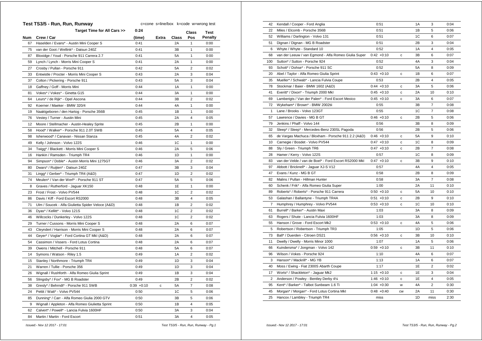|     | Test TS3/5 - Run, Run, Runway                     | c=cone s=line/box k=code w=wrong test |       |       |                |                |  |
|-----|---------------------------------------------------|---------------------------------------|-------|-------|----------------|----------------|--|
|     | Target Time for All Cars >>                       | 0:24                                  |       |       | Class          | Test           |  |
| Num | Crew / Car                                        | (time)                                | Extra | Class | Pos            | <b>Penalty</b> |  |
| 67  | Haselden / Evans* - Austin Mini Cooper S          | 0:41                                  |       | 2Α    | $\mathbf{1}$   | 0:00           |  |
| 75  | van der Goot / Wellink* - Datsun 240Z             | 0:41                                  |       | 3B    | 1              | 0:00           |  |
| 87  | Bloxidge / Youd - Porsche 911 Carrera 2.7         | 0:41                                  |       | 5A    | 1              | 0:00           |  |
| 59  | Lynch / Lynch - Morris Mini Cooper S              | 0:41                                  |       | 2A    | 1              | 0:00           |  |
| 27  | Crosby / Pullan - Porsche 911                     | 0:42                                  |       | 5Α    | 2              | 0:02           |  |
| 33  | Entwistle / Procter - Morris Mini Cooper S        | 0:43                                  |       | 2A    | 3              | 0:04           |  |
| 37  | Colton / Pickering - Porsche 911                  | 0:43                                  |       | 5A    | 3              | 0:04           |  |
| 18  | Gaffney / Goff - Morris Mini                      | 0:44                                  |       | 1A    | 1              | 0:00           |  |
| 81  | Vokes* / Vokes* - Ginetta G15                     | 0:44                                  |       | ЗA    | 1              | 0:00           |  |
| 64  | Leurs* / de Rijk* - Opel Ascona                   | 0:44                                  |       | 3B    | 2              | 0:02           |  |
| 92  | Koerner / Maeker - BMW 320/4                      | 0:44                                  |       | 4A    | 1              | 0:00           |  |
| 19  | Naaktgeboren / den Hartog - Porsche 356B          | 0:45                                  |       | 1B    | 1              | 0:00           |  |
| 76  | Vestey / Turner - Austin Mini                     | 0:45                                  |       | 2Α    | 4              | 0:05           |  |
| 12  | Moore / Stellmacher - Austin-Healey Sprite        | 0:45                                  |       | 2B    | 1              | 0:00           |  |
| 58  | Hood* / Walker* - Porsche 911 2.0T SWB            | 0:45                                  |       | 5Α    | 4              | 0:05           |  |
| 98  | Isherwood* / Canavan - Nissan Stanza              | 0:45                                  |       | 4A    | 2              | 0:02           |  |
| 49  | Kelly / Johnson - Volvo 122S                      | 0:46                                  |       | 1C    | 1              | 0:00           |  |
| 34  | Twigg* / Blackett - Morris Mini Cooper S          | 0:46                                  |       | 2Α    | 5              | 0:06           |  |
| 16  | Hankin / Ramsden - Triumph TR4                    | 0:46                                  |       | 1D    | 1              | 0:00           |  |
| 94  | Simpson* / Doble* - Austin Morris Mini 1275GT     | 0:46                                  |       | ЗA    | 2              | 0:02           |  |
| 80  | Dwars* / Ruijten* - Datsun 240Z                   | 0:47                                  |       | ЗВ    | 3              | 0:04           |  |
| 31  | Lingg* / Gerber* - Triumph TR4 (A&D)              | 0:47                                  |       | 1D    | $\overline{2}$ | 0:02           |  |
| 74  | Meulen* / Van der Werf* - Porsche 911 ST          | 0:47                                  |       | 5Α    | 5              | 0:06           |  |
| 8   | Graves / Rutherford - Jaguar XK150                | 0:48                                  |       | 1E    | $\mathbf{1}$   | 0:00           |  |
| 23  | Frost / Frost - Volvo PV544                       | 0:48                                  |       | 1C    | 2              | 0:02           |  |
| 86  | Davis / Kiff - Ford Escort RS2000                 | 0:48                                  |       | 3B    | 4              | 0:05           |  |
| 71  | Ulm / Soucek - Alfa Giulietta Spider Veloce (A&D) | 0:48                                  |       | 1B    | 2              | 0:02           |  |
| 36  | Dyas* / Kellitt* - Volvo 121S                     | 0:48                                  |       | 1C    | 2              | 0:02           |  |
| 46  | Willcocks / Dunkerley - Volvo 122S                | 0:48                                  |       | 1C    | $\overline{2}$ | 0:02           |  |
| 29  | Turner / Cussons - Morris Mini Cooper S           | 0:48                                  |       | 2A    | 6              | 0:07           |  |
| 43  | Cleyndert / Harrison - Morris Mini Cooper S       | 0:48                                  |       | 2Α    | 6              | 0:07           |  |
| 44  | Geyer* / Voglar* - Ford Cortina GT MkI (A&D)      | 0:48                                  |       | 2A    | 6              | 0:07           |  |
| 54  | Cassimon / Vissers - Ford Lotus Cortina           | 0:48                                  |       | 2Α    | 6              | 0:07           |  |
| 39  | Owens / Mitchell - Porsche 911                    | 0:48                                  |       | 5A    | 6              | 0:07           |  |
| 14  | Symons / Watson - Riley 1.5                       | 0:49                                  |       | 1A    | 2              | 0:02           |  |
| 15  | Stanley / Northmore - Triumph TR4                 | 0:49                                  |       | 1D    | 3              | 0:04           |  |
| 21  | Warren / Tullie - Porsche 356                     | 0:49                                  |       | 1D    | 3              | 0:04           |  |
| 26  | Wignall / Rushforth - Alfa Romeo Giulia Sprint    | 0:49                                  |       | 1B    | 3              | 0:04           |  |
| 56  | Slingsby* / Fox* - MG B Roadster                  | 0:49                                  |       | 2B    | 2              | 0:02           |  |
| 38  | Gresly* / Behrndt* - Porsche 911 SWB              | $0:39 + 0:10$                         | с     | 5Α    | 7              | 0:08           |  |
| 24  | Pettit / Watt* - Volvo PV544                      | 0:50                                  |       | 1C    | 5              | 0:06           |  |
| 85  | Dunning* / Carr - Alfa Romeo Giulia 2000 GTV      | 0:50                                  |       | 3B    | 5              | 0:06           |  |
| 9   | Wignall / Appleton - Alfa Romeo Giulietta Sprint  | 0:50                                  |       | 1В    | 4              | 0:05           |  |
| 62  | Calvert* / Powell* - Lancia Fulvia 1600HF         | 0:50                                  |       | ЗA    | 3              | 0:04           |  |
| 84  | Martin / Martin - Ford Escort                     | 0:51                                  |       | 3A    | 4              | 0:05           |  |
|     |                                                   |                                       |       |       |                |                |  |

| 42             | Kendall / Cooper - Ford Anglia                        | 0:51          |           | 1A        | 3              | 0:04 |
|----------------|-------------------------------------------------------|---------------|-----------|-----------|----------------|------|
| 22             | Miles / Elcomb - Porsche 356B                         | 0:51          |           | 1B        | 5              | 0:06 |
| 52             | Williams / Darlington - Volvo 131                     | 0:51          |           | 1C        | 6              | 0:07 |
| 51             | Dignan / Dignan - MG B Roadster                       | 0:51          |           | 2B        | 3              | 0:04 |
| 6              | Whyte / Whyte - Standard 10                           | 0:52          |           | 1A        | $\overline{4}$ | 0:05 |
| 68             | van der Leeuw / van Egmond - Alfa Romeo Giulia Super  | $0:42 +0:10$  | c         | 3B        | 6              | 0:07 |
| 100            | Sutton* / Sutton - Porsche 924                        | 0:52          |           | 4A        | 3              | 0:04 |
| 93             | Schott* / Dohse* - Porsche 911 SC                     | 0:52          |           | <b>5A</b> | 8              | 0:09 |
| 20             | Abel / Taylor - Alfa Romeo Giulia Sprint              | $0:43 +0:10$  | с         | 1B        | 6              | 0:07 |
| 35             | Mueller* / Schwab* - Lancia Fulvia Coupe              | 0:53          |           | 2B        | $\overline{4}$ | 0:05 |
| 78             | Stockmar / Baier - BMW 1602 (A&D)                     | $0:44 + 0:10$ | с         | 3A        | 5              | 0:06 |
| 41             | Everitt* / Dixon* - Triumph 2000 Mkl                  | $0:45 +0:10$  | c         | 2A        | 10             | 0:10 |
| 69             | Lamberigts / Van der Palen* - Ford Escort Mexico      | $0:45 + 0:10$ | с         | ЗA        | 6              | 0:07 |
| 72             | Wykeham* / Brown* - BMW 2002tii                       | 0:55          |           | 3B        | $\overline{7}$ | 0:08 |
| 1              | Lane / Brooks - Volvo 123GT                           | 0:55          |           | 1C        | $\overline{7}$ | 0:08 |
| 57             | Lawrence / Davies - MG B GT                           | $0:46 + 0:10$ | с         | 2B        | 5              | 0:06 |
| 79             | Jenkins / Phaff - Volvo 144                           | 0:56          |           | 3B        | 8              | 0:09 |
| 32             | Sleep* / Sleep* - Mercedes-Benz 230SL Pagoda          | 0:56          |           | 2B        | 5              | 0:06 |
| 65             | de Vargas Machuca / Bloxham - Porsche 911 2.2 (A&D)   | $0:46 + 0:10$ | c         | <b>5A</b> | 9              | 0:10 |
| 10             | Carnegie / Bosdet - Volvo PV544                       | $0:47 +0:10$  | c         | 1C        | 8              | 0:09 |
| 88             | Sly / Green - Triumph TR6                             | $0:47 +0:10$  | c         | 2B        | $\overline{7}$ | 0:08 |
| 28             | Hamer / Kerry - Volvo 122S                            | 0:57          |           | 1C        | 8              | 0:09 |
| 83             | van der Velde / van de Boel* - Ford Escort RS2000 Mkl | $0:47 +0:10$  | c         | 3B        | 9              | 0:10 |
| 97             | Abbott / Bricknell* - Jaguar XJ-S V12                 | 0:57          |           | 4A        | $\overline{4}$ | 0:05 |
| 47             | Evans / Kunz - MG B GT                                | 0:58          |           | 2B        | 8              | 0:09 |
| 82             | Malins / Pullan - Hillman Hunter                      | 0:58          |           | 3A        | $\overline{7}$ | 0:08 |
| 60             | Schenk / Frik* - Alfa Romeo Giulia Super              | 1:00          |           | 2A        | 11             | 0:10 |
| 89             | Roberts* / Roberts* - Porsche 911 Carrera             | $0:50 + 0:10$ | с         | <b>5A</b> | 10             | 0:10 |
| 53             | Galashan / Ballantyne - Triumph TR4A                  | $0:51 + 0:10$ | c         | 2B        | 9              | 0:10 |
| $\overline{7}$ | Humphrey / Humphrey - Volvo PV544                     | $0:53 +0:10$  | c         | 1C        | 10             | 0:10 |
| 61             | Burrell* / Barker* - Austin Maxi                      | 1:03          |           | 3A        | 8              | 0:09 |
| 63             | Rogers / Shute - Lancia Fulvia 1600HF                 | 1:03          |           | 3A        | 8              | 0:09 |
| 55             | Hanson / Grove - Ford Escort Mk2                      | $0:53 + 0:10$ | с         | 4A        | 5              | 0:06 |
| 5              | Robertson / Robertson - Triumph TR3                   | 1:05          |           | 1D        | 5              | 0:06 |
| 73             | Ball* / Duerden - Citroen DS21                        | $0:56 + 0:10$ | с         | 3B        | 10             | 0:10 |
| 11             | Dwelly / Dwelly - Morris Minor 1000                   | 1:07          |           | 1A        | 5              | 0:06 |
| 66             | Kuindersma* / Jongman - Volvo 142                     | $0:59 + 0:10$ | c         | 3B        | 11             | 0:10 |
| 96             | Wilson / Vokes - Porsche 924                          | 1:10          |           | 4A        | 6              | 0:07 |
| 3              | Hanson* / Mackrill* - MG YB                           | 1:13          |           | 1A        | 6              | 0:07 |
| 40             | Moss / Ewing - Fiat 2300S Abarth Coupe                | 1:17          |           | 1E        | $\overline{2}$ | 0:02 |
| 17             | Worts* / Shackleton* - Jaguar Mk2                     | $1:15 + 0:10$ | c         | 1E        | 3              | 0:04 |
| 2              | Anderson / Powley - Bentley Derby 41/4                | $1:46 + 0:10$ | с         | 1E        | 4              | 0:05 |
| 95             | Kent* / Barker* - Talbot Sunbeam 1.6 Ti               | $1:04 +0:30$  | W         | 4A        | 2              | 0:30 |
| 45             | Morgan* / Morgan* - Ford Lotus Cortina Mkl            | $0:48 + 0:40$ | <b>CW</b> | 2A        | 11             | 0:30 |
| 25             | Hancox / Lambley - Triumph TR4                        | miss          |           | 1D        | miss           | 2:30 |
|                |                                                       |               |           |           |                |      |

 *Issued:- Nov 12 2017 - 17:01 Test TS3/5 - Run, Run, Runway - Pg.1*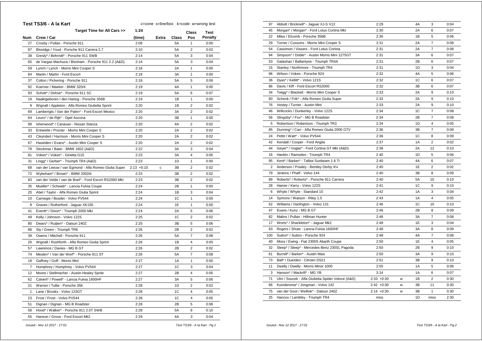|     | Test TS3/6 - A la Kart                                | c=cone s=line/box k=code w=wrong test |       |       |                |                |  |
|-----|-------------------------------------------------------|---------------------------------------|-------|-------|----------------|----------------|--|
|     | Target Time for All Cars >>                           | 1:24                                  |       |       | Class          | Test           |  |
| Num | Crew / Car                                            | (time)                                | Extra | Class | Pos            | <b>Penalty</b> |  |
| 27  | Crosby / Pullan - Porsche 911                         | 2:08                                  |       | 5А    | 1              | 0:00           |  |
| 87  | Bloxidge / Youd - Porsche 911 Carrera 2.7             | 2:10                                  |       | 5A    | 2              | 0:02           |  |
| 38  | Gresly* / Behrndt* - Porsche 911 SWB                  | 2:14                                  |       | 5A    | 3              | 0:04           |  |
| 65  | de Vargas Machuca / Bloxham - Porsche 911 2.2 (A&D)   | 2:14                                  |       | 5A    | 3              | 0:04           |  |
| 59  | Lynch / Lynch - Morris Mini Cooper S                  | 2:18                                  |       | 2A    | 1              | 0:00           |  |
| 84  | Martin / Martin - Ford Escort                         | 2:18                                  |       | 3A    | 1              | 0:00           |  |
| 37  | Colton / Pickering - Porsche 911                      | 2:18                                  |       | 5A    | 5              | 0:06           |  |
| 92  | Koerner / Maeker - BMW 320/4                          | 2:19                                  |       | 4A    | 1              | 0:00           |  |
| 93  | Schott* / Dohse* - Porsche 911 SC                     | 2:19                                  |       | 5A    | 6              | 0:07           |  |
| 19  | Naaktgeboren / den Hartog - Porsche 356B              | 2:19                                  |       | 1В    | 1              | 0:00           |  |
| 9   | Wignall / Appleton - Alfa Romeo Giulietta Sprint      | 2:20                                  |       | 1B    | $\overline{2}$ | 0:02           |  |
| 69  | Lamberigts / Van der Palen* - Ford Escort Mexico      | 2:20                                  |       | ЗA    | 2              | 0:02           |  |
| 64  | Leurs* / de Rijk* - Opel Ascona                       | 2:20                                  |       | ЗB    | 1              | 0:00           |  |
| 98  | Isherwood* / Canavan - Nissan Stanza                  | 2:20                                  |       | 4Α    | 2              | 0:02           |  |
| 33  | Entwistle / Procter - Morris Mini Cooper S            | 2:20                                  |       | 2A    | 2              | 0:02           |  |
| 43  | Cleyndert / Harrison - Morris Mini Cooper S           | 2:20                                  |       | 2A    | $\overline{2}$ | 0:02           |  |
| 67  | Haselden / Evans* - Austin Mini Cooper S              | 2:20                                  |       | 2A    | $\overline{2}$ | 0:02           |  |
| 78  | Stockmar / Baier - BMW 1602 (A&D)                     | 2:22                                  |       | ЗA    | 3              | 0:04           |  |
| 81  | Vokes* / Vokes* - Ginetta G15                         | 2:23                                  |       | 3A    | 4              | 0:05           |  |
| 31  | Lingg* / Gerber* - Triumph TR4 (A&D)                  | 2:23                                  |       | 1D    | 1              | 0:00           |  |
| 68  | van der Leeuw / van Egmond - Alfa Romeo Giulia Super  | $2:13 + 0:10$                         | с     | 3B    | 2              | 0:02           |  |
| 72  | Wykeham* / Brown* - BMW 2002tii                       | 2:23                                  |       | 3B    | 2              | 0:02           |  |
| 83  | van der Velde / van de Boel* - Ford Escort RS2000 MkI | 2:23                                  |       | 3B    | $\overline{2}$ | 0:02           |  |
| 35  | Mueller* / Schwab* - Lancia Fulvia Coupe              | 2:24                                  |       | 2B    | $\mathbf{1}$   | 0:00           |  |
| 20  | Abel / Taylor - Alfa Romeo Giulia Sprint              | 2:24                                  |       | 1B    | 3              | 0:04           |  |
| 10  | Carnegie / Bosdet - Volvo PV544                       | 2:24                                  |       | 1C    | 1              | 0:00           |  |
| 8   | Graves / Rutherford - Jaguar XK150                    | 2:24                                  |       | 1E    | 1              | 0:00           |  |
| 41  | Everitt* / Dixon* - Triumph 2000 Mkl                  | 2:24                                  |       | 2A    | 5              | 0:06           |  |
| 49  | Kelly / Johnson - Volvo 122S                          | 2:25                                  |       | 1C    | $\overline{2}$ | 0:02           |  |
| 80  | Dwars* / Ruijten* - Datsun 240Z                       | 2:25                                  |       | ЗB    | 5              | 0:06           |  |
| 88  | Sly / Green - Triumph TR6                             | 2:26                                  |       | 2В    | 2              | 0:02           |  |
| 39  | Owens / Mitchell - Porsche 911                        | 2:26                                  |       | 5A    | 7              | 0:08           |  |
| 26  | Wignall / Rushforth - Alfa Romeo Giulia Sprint        | 2:26                                  |       | 1B    | 4              | 0:05           |  |
| 57  | Lawrence / Davies - MG B GT                           | 2:26                                  |       | 2В    | 2              | 0:02           |  |
| 74  | Meulen* / Van der Werf* - Porsche 911 ST              | 2:26                                  |       | 5A    | 7              | 0:08           |  |
| 18  | Gaffney / Goff - Morris Mini                          | 2:27                                  |       | 1A    | 1              | 0:00           |  |
| 7   | Humphrey / Humphrey - Volvo PV544                     | 2:27                                  |       | 1C    | 3              | 0:04           |  |
| 12  | Moore / Stellmacher - Austin-Healey Sprite            | 2:27                                  |       | 2B    | 4              | 0:05           |  |
| 62  | Calvert* / Powell* - Lancia Fulvia 1600HF             | 2:27                                  |       | ЗA    | 5              | 0:06           |  |
| 21  | Warren / Tullie - Porsche 356                         | 2:28                                  |       | 1D    | 2              | 0:02           |  |
| 1   | Lane / Brooks - Volvo 123GT                           | 2:28                                  |       | 1C    | 4              | 0:05           |  |
| 23  | Frost / Frost - Volvo PV544                           | 2:28                                  |       | 1C    | 4              | 0:05           |  |
| 51  | Dignan / Dignan - MG B Roadster                       | 2:28                                  |       | 2B    | 5              | 0:06           |  |
| 58  | Hood* / Walker* - Porsche 911 2.0T SWB                | 2:28                                  |       | 5A    | 9              | 0:10           |  |
| 55  | Hanson / Grove - Ford Escort Mk2                      | 2:29                                  |       | 4A    | 3              | 0:04           |  |
|     |                                                       |                                       |       |       |                |                |  |

| Abbott / Bricknell* - Jaguar XJ-S V12<br>2:29<br>3<br>97<br>4A<br>0:04<br>45<br>Morgan* / Morgan* - Ford Lotus Cortina Mkl<br>2:30<br>2A<br>6<br>0:07<br>5<br>22<br>Miles / Elcomb - Porsche 356B<br>2:30<br>1B<br>0:06<br>$\overline{7}$<br>Turner / Cussons - Morris Mini Cooper S<br>2:31<br>2A<br>29<br>0:08<br>$\overline{7}$<br>2A<br>54<br>Cassimon / Vissers - Ford Lotus Cortina<br>2:31<br>0:08<br>6<br>94<br>Simpson* / Doble* - Austin Morris Mini 1275GT<br>2:31<br>3A<br>0:07<br>Galashan / Ballantyne - Triumph TR4A<br>2B<br>6<br>0:07<br>53<br>2:31<br>1D<br>3<br>15<br>2:31<br>0:04<br>Stanley / Northmore - Triumph TR4<br>5<br>96<br>Wilson / Vokes - Porsche 924<br>2:32<br>4A<br>0:06<br>1C<br>6<br>36<br>Dyas* / Kellitt* - Volvo 121S<br>2:32<br>0:07<br>6<br>86<br>2:32<br>3B<br>0:07<br>Davis / Kiff - Ford Escort RS2000<br>34<br>Twigg* / Blackett - Morris Mini Cooper S<br>2:33<br>2A<br>9<br>0:10<br>9<br>60<br>Schenk / Frik* - Alfa Romeo Giulia Super<br>2:33<br>2A<br>0:10<br>9<br>76<br>Vestey / Turner - Austin Mini<br>2:33<br>2A<br>0:10<br>$\overline{7}$<br>1C<br>46<br>Willcocks / Dunkerley - Volvo 122S<br>2:34<br>0:08<br>$\overline{7}$<br>56<br>Slingsby* / Fox* - MG B Roadster<br>2:34<br>2B<br>0:08<br>5<br>Robertson / Robertson - Triumph TR3<br>2:34<br>1D<br>$\overline{4}$<br>0:05<br>$\overline{7}$<br>Dunning* / Carr - Alfa Romeo Giulia 2000 GTV<br>85<br>2:36<br>3B<br>0:08<br>1 <sup>C</sup><br>8<br>24<br>Pettit / Watt* - Volvo PV544<br>2:36<br>0:09<br>$\overline{2}$<br>42<br>1A<br>0:02<br>Kendall / Cooper - Ford Anglia<br>2:37<br>12<br>44<br>Geyer* / Voglar* - Ford Cortina GT MkI (A&D)<br>2:38<br>2A<br>0:10<br>16<br>1D<br>5<br>Hankin / Ramsden - Triumph TR4<br>2:40<br>0:06<br>95<br>Kent* / Barker* - Talbot Sunbeam 1.6 Ti<br>2:40<br>4A<br>6<br>0:07<br>$\overline{2}$<br>$\overline{2}$<br>Anderson / Powley - Bentley Derby 41/4<br>2:40<br>1E<br>0:02<br>79<br>2:40<br>3B<br>8<br>0:09<br>Jenkins / Phaff - Volvo 144<br>Roberts* / Roberts* - Porsche 911 Carrera<br>5A<br>10<br>89<br>2:40<br>0:10<br>9<br>28<br>Hamer / Kerry - Volvo 122S<br>2:41<br>1C<br>0:10<br>2:42<br>3<br>0:04<br>6<br>Whyte / Whyte - Standard 10<br>1A<br>14<br>Symons / Watson - Riley 1.5<br>2:43<br>1A<br>$\overline{4}$<br>0:05<br>2:46<br>1C<br>10<br>0:10<br>52<br>Williams / Darlington - Volvo 131<br>Evans / Kunz - MG B GT<br>2:46<br>2B<br>8<br>0:09<br>47<br>$\overline{7}$<br>82<br>Malins / Pullan - Hillman Hunter<br>3A<br>2:46<br>0:08<br>2:48<br>3<br>0:04<br>17<br>Worts* / Shackleton* - Jaguar Mk2<br>1E<br>63<br>Rogers / Shute - Lancia Fulvia 1600HF<br>2:48<br>3A<br>8<br>0:09<br>$\overline{7}$<br>Sutton* / Sutton - Porsche 924<br>4A<br>100<br>2:48<br>0:08<br>$\overline{\mathbf{4}}$<br>40<br>Moss / Ewing - Fiat 2300S Abarth Coupe<br>2:50<br>1Е<br>0:05<br>9<br>2:50<br>2B<br>0:10<br>32<br>Sleep* / Sleep* - Mercedes-Benz 230SL Pagoda<br>Burrell* / Barker* - Austin Maxi<br>9<br>61<br>2:50<br>ЗA<br>0:10<br>9<br>73<br>Ball* / Duerden - Citroen DS21<br>2:51<br>3B<br>0:10<br>11<br>Dwelly / Dwelly - Morris Minor 1000<br>2:55<br>1A<br>5<br>0:06<br>6<br>3<br>Hanson* / Mackrill* - MG YB<br>3:14<br>1A<br>0:07<br>$\overline{2}$<br>71<br>1B<br>0:30<br>Ulm / Soucek - Alfa Giulietta Spider Veloce (A&D)<br>$2:33 + 0:30$<br>W<br>Kuindersma* / Jongman - Volvo 142<br>$2:42 +0:30$<br>3B<br>11<br>0:30<br>66<br>W<br>75<br>van der Goot / Wellink* - Datsun 240Z<br>$2:14 + 0:30$<br>3B<br>1<br>0:30<br>W<br>25<br>Hancox / Lambley - Triumph TR4<br>1D<br>miss<br>2:30<br>miss |  |  |  |  |
|----------------------------------------------------------------------------------------------------------------------------------------------------------------------------------------------------------------------------------------------------------------------------------------------------------------------------------------------------------------------------------------------------------------------------------------------------------------------------------------------------------------------------------------------------------------------------------------------------------------------------------------------------------------------------------------------------------------------------------------------------------------------------------------------------------------------------------------------------------------------------------------------------------------------------------------------------------------------------------------------------------------------------------------------------------------------------------------------------------------------------------------------------------------------------------------------------------------------------------------------------------------------------------------------------------------------------------------------------------------------------------------------------------------------------------------------------------------------------------------------------------------------------------------------------------------------------------------------------------------------------------------------------------------------------------------------------------------------------------------------------------------------------------------------------------------------------------------------------------------------------------------------------------------------------------------------------------------------------------------------------------------------------------------------------------------------------------------------------------------------------------------------------------------------------------------------------------------------------------------------------------------------------------------------------------------------------------------------------------------------------------------------------------------------------------------------------------------------------------------------------------------------------------------------------------------------------------------------------------------------------------------------------------------------------------------------------------------------------------------------------------------------------------------------------------------------------------------------------------------------------------------------------------------------------------------------------------------------------------------------------------------------------------------------------------------------------------------------------------------------------------------------------------------------------------------------------------------------------------------------------------------------------------------------------------------------------------------------------------------------------------------------------------------------------------------------------------------------------------------------------------------------------------------------------------------------------------------------|--|--|--|--|
|                                                                                                                                                                                                                                                                                                                                                                                                                                                                                                                                                                                                                                                                                                                                                                                                                                                                                                                                                                                                                                                                                                                                                                                                                                                                                                                                                                                                                                                                                                                                                                                                                                                                                                                                                                                                                                                                                                                                                                                                                                                                                                                                                                                                                                                                                                                                                                                                                                                                                                                                                                                                                                                                                                                                                                                                                                                                                                                                                                                                                                                                                                                                                                                                                                                                                                                                                                                                                                                                                                                                                                                              |  |  |  |  |
|                                                                                                                                                                                                                                                                                                                                                                                                                                                                                                                                                                                                                                                                                                                                                                                                                                                                                                                                                                                                                                                                                                                                                                                                                                                                                                                                                                                                                                                                                                                                                                                                                                                                                                                                                                                                                                                                                                                                                                                                                                                                                                                                                                                                                                                                                                                                                                                                                                                                                                                                                                                                                                                                                                                                                                                                                                                                                                                                                                                                                                                                                                                                                                                                                                                                                                                                                                                                                                                                                                                                                                                              |  |  |  |  |
|                                                                                                                                                                                                                                                                                                                                                                                                                                                                                                                                                                                                                                                                                                                                                                                                                                                                                                                                                                                                                                                                                                                                                                                                                                                                                                                                                                                                                                                                                                                                                                                                                                                                                                                                                                                                                                                                                                                                                                                                                                                                                                                                                                                                                                                                                                                                                                                                                                                                                                                                                                                                                                                                                                                                                                                                                                                                                                                                                                                                                                                                                                                                                                                                                                                                                                                                                                                                                                                                                                                                                                                              |  |  |  |  |
|                                                                                                                                                                                                                                                                                                                                                                                                                                                                                                                                                                                                                                                                                                                                                                                                                                                                                                                                                                                                                                                                                                                                                                                                                                                                                                                                                                                                                                                                                                                                                                                                                                                                                                                                                                                                                                                                                                                                                                                                                                                                                                                                                                                                                                                                                                                                                                                                                                                                                                                                                                                                                                                                                                                                                                                                                                                                                                                                                                                                                                                                                                                                                                                                                                                                                                                                                                                                                                                                                                                                                                                              |  |  |  |  |
|                                                                                                                                                                                                                                                                                                                                                                                                                                                                                                                                                                                                                                                                                                                                                                                                                                                                                                                                                                                                                                                                                                                                                                                                                                                                                                                                                                                                                                                                                                                                                                                                                                                                                                                                                                                                                                                                                                                                                                                                                                                                                                                                                                                                                                                                                                                                                                                                                                                                                                                                                                                                                                                                                                                                                                                                                                                                                                                                                                                                                                                                                                                                                                                                                                                                                                                                                                                                                                                                                                                                                                                              |  |  |  |  |
|                                                                                                                                                                                                                                                                                                                                                                                                                                                                                                                                                                                                                                                                                                                                                                                                                                                                                                                                                                                                                                                                                                                                                                                                                                                                                                                                                                                                                                                                                                                                                                                                                                                                                                                                                                                                                                                                                                                                                                                                                                                                                                                                                                                                                                                                                                                                                                                                                                                                                                                                                                                                                                                                                                                                                                                                                                                                                                                                                                                                                                                                                                                                                                                                                                                                                                                                                                                                                                                                                                                                                                                              |  |  |  |  |
|                                                                                                                                                                                                                                                                                                                                                                                                                                                                                                                                                                                                                                                                                                                                                                                                                                                                                                                                                                                                                                                                                                                                                                                                                                                                                                                                                                                                                                                                                                                                                                                                                                                                                                                                                                                                                                                                                                                                                                                                                                                                                                                                                                                                                                                                                                                                                                                                                                                                                                                                                                                                                                                                                                                                                                                                                                                                                                                                                                                                                                                                                                                                                                                                                                                                                                                                                                                                                                                                                                                                                                                              |  |  |  |  |
|                                                                                                                                                                                                                                                                                                                                                                                                                                                                                                                                                                                                                                                                                                                                                                                                                                                                                                                                                                                                                                                                                                                                                                                                                                                                                                                                                                                                                                                                                                                                                                                                                                                                                                                                                                                                                                                                                                                                                                                                                                                                                                                                                                                                                                                                                                                                                                                                                                                                                                                                                                                                                                                                                                                                                                                                                                                                                                                                                                                                                                                                                                                                                                                                                                                                                                                                                                                                                                                                                                                                                                                              |  |  |  |  |
|                                                                                                                                                                                                                                                                                                                                                                                                                                                                                                                                                                                                                                                                                                                                                                                                                                                                                                                                                                                                                                                                                                                                                                                                                                                                                                                                                                                                                                                                                                                                                                                                                                                                                                                                                                                                                                                                                                                                                                                                                                                                                                                                                                                                                                                                                                                                                                                                                                                                                                                                                                                                                                                                                                                                                                                                                                                                                                                                                                                                                                                                                                                                                                                                                                                                                                                                                                                                                                                                                                                                                                                              |  |  |  |  |
|                                                                                                                                                                                                                                                                                                                                                                                                                                                                                                                                                                                                                                                                                                                                                                                                                                                                                                                                                                                                                                                                                                                                                                                                                                                                                                                                                                                                                                                                                                                                                                                                                                                                                                                                                                                                                                                                                                                                                                                                                                                                                                                                                                                                                                                                                                                                                                                                                                                                                                                                                                                                                                                                                                                                                                                                                                                                                                                                                                                                                                                                                                                                                                                                                                                                                                                                                                                                                                                                                                                                                                                              |  |  |  |  |
|                                                                                                                                                                                                                                                                                                                                                                                                                                                                                                                                                                                                                                                                                                                                                                                                                                                                                                                                                                                                                                                                                                                                                                                                                                                                                                                                                                                                                                                                                                                                                                                                                                                                                                                                                                                                                                                                                                                                                                                                                                                                                                                                                                                                                                                                                                                                                                                                                                                                                                                                                                                                                                                                                                                                                                                                                                                                                                                                                                                                                                                                                                                                                                                                                                                                                                                                                                                                                                                                                                                                                                                              |  |  |  |  |
|                                                                                                                                                                                                                                                                                                                                                                                                                                                                                                                                                                                                                                                                                                                                                                                                                                                                                                                                                                                                                                                                                                                                                                                                                                                                                                                                                                                                                                                                                                                                                                                                                                                                                                                                                                                                                                                                                                                                                                                                                                                                                                                                                                                                                                                                                                                                                                                                                                                                                                                                                                                                                                                                                                                                                                                                                                                                                                                                                                                                                                                                                                                                                                                                                                                                                                                                                                                                                                                                                                                                                                                              |  |  |  |  |
|                                                                                                                                                                                                                                                                                                                                                                                                                                                                                                                                                                                                                                                                                                                                                                                                                                                                                                                                                                                                                                                                                                                                                                                                                                                                                                                                                                                                                                                                                                                                                                                                                                                                                                                                                                                                                                                                                                                                                                                                                                                                                                                                                                                                                                                                                                                                                                                                                                                                                                                                                                                                                                                                                                                                                                                                                                                                                                                                                                                                                                                                                                                                                                                                                                                                                                                                                                                                                                                                                                                                                                                              |  |  |  |  |
|                                                                                                                                                                                                                                                                                                                                                                                                                                                                                                                                                                                                                                                                                                                                                                                                                                                                                                                                                                                                                                                                                                                                                                                                                                                                                                                                                                                                                                                                                                                                                                                                                                                                                                                                                                                                                                                                                                                                                                                                                                                                                                                                                                                                                                                                                                                                                                                                                                                                                                                                                                                                                                                                                                                                                                                                                                                                                                                                                                                                                                                                                                                                                                                                                                                                                                                                                                                                                                                                                                                                                                                              |  |  |  |  |
|                                                                                                                                                                                                                                                                                                                                                                                                                                                                                                                                                                                                                                                                                                                                                                                                                                                                                                                                                                                                                                                                                                                                                                                                                                                                                                                                                                                                                                                                                                                                                                                                                                                                                                                                                                                                                                                                                                                                                                                                                                                                                                                                                                                                                                                                                                                                                                                                                                                                                                                                                                                                                                                                                                                                                                                                                                                                                                                                                                                                                                                                                                                                                                                                                                                                                                                                                                                                                                                                                                                                                                                              |  |  |  |  |
|                                                                                                                                                                                                                                                                                                                                                                                                                                                                                                                                                                                                                                                                                                                                                                                                                                                                                                                                                                                                                                                                                                                                                                                                                                                                                                                                                                                                                                                                                                                                                                                                                                                                                                                                                                                                                                                                                                                                                                                                                                                                                                                                                                                                                                                                                                                                                                                                                                                                                                                                                                                                                                                                                                                                                                                                                                                                                                                                                                                                                                                                                                                                                                                                                                                                                                                                                                                                                                                                                                                                                                                              |  |  |  |  |
|                                                                                                                                                                                                                                                                                                                                                                                                                                                                                                                                                                                                                                                                                                                                                                                                                                                                                                                                                                                                                                                                                                                                                                                                                                                                                                                                                                                                                                                                                                                                                                                                                                                                                                                                                                                                                                                                                                                                                                                                                                                                                                                                                                                                                                                                                                                                                                                                                                                                                                                                                                                                                                                                                                                                                                                                                                                                                                                                                                                                                                                                                                                                                                                                                                                                                                                                                                                                                                                                                                                                                                                              |  |  |  |  |
|                                                                                                                                                                                                                                                                                                                                                                                                                                                                                                                                                                                                                                                                                                                                                                                                                                                                                                                                                                                                                                                                                                                                                                                                                                                                                                                                                                                                                                                                                                                                                                                                                                                                                                                                                                                                                                                                                                                                                                                                                                                                                                                                                                                                                                                                                                                                                                                                                                                                                                                                                                                                                                                                                                                                                                                                                                                                                                                                                                                                                                                                                                                                                                                                                                                                                                                                                                                                                                                                                                                                                                                              |  |  |  |  |
|                                                                                                                                                                                                                                                                                                                                                                                                                                                                                                                                                                                                                                                                                                                                                                                                                                                                                                                                                                                                                                                                                                                                                                                                                                                                                                                                                                                                                                                                                                                                                                                                                                                                                                                                                                                                                                                                                                                                                                                                                                                                                                                                                                                                                                                                                                                                                                                                                                                                                                                                                                                                                                                                                                                                                                                                                                                                                                                                                                                                                                                                                                                                                                                                                                                                                                                                                                                                                                                                                                                                                                                              |  |  |  |  |
|                                                                                                                                                                                                                                                                                                                                                                                                                                                                                                                                                                                                                                                                                                                                                                                                                                                                                                                                                                                                                                                                                                                                                                                                                                                                                                                                                                                                                                                                                                                                                                                                                                                                                                                                                                                                                                                                                                                                                                                                                                                                                                                                                                                                                                                                                                                                                                                                                                                                                                                                                                                                                                                                                                                                                                                                                                                                                                                                                                                                                                                                                                                                                                                                                                                                                                                                                                                                                                                                                                                                                                                              |  |  |  |  |
|                                                                                                                                                                                                                                                                                                                                                                                                                                                                                                                                                                                                                                                                                                                                                                                                                                                                                                                                                                                                                                                                                                                                                                                                                                                                                                                                                                                                                                                                                                                                                                                                                                                                                                                                                                                                                                                                                                                                                                                                                                                                                                                                                                                                                                                                                                                                                                                                                                                                                                                                                                                                                                                                                                                                                                                                                                                                                                                                                                                                                                                                                                                                                                                                                                                                                                                                                                                                                                                                                                                                                                                              |  |  |  |  |
|                                                                                                                                                                                                                                                                                                                                                                                                                                                                                                                                                                                                                                                                                                                                                                                                                                                                                                                                                                                                                                                                                                                                                                                                                                                                                                                                                                                                                                                                                                                                                                                                                                                                                                                                                                                                                                                                                                                                                                                                                                                                                                                                                                                                                                                                                                                                                                                                                                                                                                                                                                                                                                                                                                                                                                                                                                                                                                                                                                                                                                                                                                                                                                                                                                                                                                                                                                                                                                                                                                                                                                                              |  |  |  |  |
|                                                                                                                                                                                                                                                                                                                                                                                                                                                                                                                                                                                                                                                                                                                                                                                                                                                                                                                                                                                                                                                                                                                                                                                                                                                                                                                                                                                                                                                                                                                                                                                                                                                                                                                                                                                                                                                                                                                                                                                                                                                                                                                                                                                                                                                                                                                                                                                                                                                                                                                                                                                                                                                                                                                                                                                                                                                                                                                                                                                                                                                                                                                                                                                                                                                                                                                                                                                                                                                                                                                                                                                              |  |  |  |  |
|                                                                                                                                                                                                                                                                                                                                                                                                                                                                                                                                                                                                                                                                                                                                                                                                                                                                                                                                                                                                                                                                                                                                                                                                                                                                                                                                                                                                                                                                                                                                                                                                                                                                                                                                                                                                                                                                                                                                                                                                                                                                                                                                                                                                                                                                                                                                                                                                                                                                                                                                                                                                                                                                                                                                                                                                                                                                                                                                                                                                                                                                                                                                                                                                                                                                                                                                                                                                                                                                                                                                                                                              |  |  |  |  |
|                                                                                                                                                                                                                                                                                                                                                                                                                                                                                                                                                                                                                                                                                                                                                                                                                                                                                                                                                                                                                                                                                                                                                                                                                                                                                                                                                                                                                                                                                                                                                                                                                                                                                                                                                                                                                                                                                                                                                                                                                                                                                                                                                                                                                                                                                                                                                                                                                                                                                                                                                                                                                                                                                                                                                                                                                                                                                                                                                                                                                                                                                                                                                                                                                                                                                                                                                                                                                                                                                                                                                                                              |  |  |  |  |
|                                                                                                                                                                                                                                                                                                                                                                                                                                                                                                                                                                                                                                                                                                                                                                                                                                                                                                                                                                                                                                                                                                                                                                                                                                                                                                                                                                                                                                                                                                                                                                                                                                                                                                                                                                                                                                                                                                                                                                                                                                                                                                                                                                                                                                                                                                                                                                                                                                                                                                                                                                                                                                                                                                                                                                                                                                                                                                                                                                                                                                                                                                                                                                                                                                                                                                                                                                                                                                                                                                                                                                                              |  |  |  |  |
|                                                                                                                                                                                                                                                                                                                                                                                                                                                                                                                                                                                                                                                                                                                                                                                                                                                                                                                                                                                                                                                                                                                                                                                                                                                                                                                                                                                                                                                                                                                                                                                                                                                                                                                                                                                                                                                                                                                                                                                                                                                                                                                                                                                                                                                                                                                                                                                                                                                                                                                                                                                                                                                                                                                                                                                                                                                                                                                                                                                                                                                                                                                                                                                                                                                                                                                                                                                                                                                                                                                                                                                              |  |  |  |  |
|                                                                                                                                                                                                                                                                                                                                                                                                                                                                                                                                                                                                                                                                                                                                                                                                                                                                                                                                                                                                                                                                                                                                                                                                                                                                                                                                                                                                                                                                                                                                                                                                                                                                                                                                                                                                                                                                                                                                                                                                                                                                                                                                                                                                                                                                                                                                                                                                                                                                                                                                                                                                                                                                                                                                                                                                                                                                                                                                                                                                                                                                                                                                                                                                                                                                                                                                                                                                                                                                                                                                                                                              |  |  |  |  |
|                                                                                                                                                                                                                                                                                                                                                                                                                                                                                                                                                                                                                                                                                                                                                                                                                                                                                                                                                                                                                                                                                                                                                                                                                                                                                                                                                                                                                                                                                                                                                                                                                                                                                                                                                                                                                                                                                                                                                                                                                                                                                                                                                                                                                                                                                                                                                                                                                                                                                                                                                                                                                                                                                                                                                                                                                                                                                                                                                                                                                                                                                                                                                                                                                                                                                                                                                                                                                                                                                                                                                                                              |  |  |  |  |
|                                                                                                                                                                                                                                                                                                                                                                                                                                                                                                                                                                                                                                                                                                                                                                                                                                                                                                                                                                                                                                                                                                                                                                                                                                                                                                                                                                                                                                                                                                                                                                                                                                                                                                                                                                                                                                                                                                                                                                                                                                                                                                                                                                                                                                                                                                                                                                                                                                                                                                                                                                                                                                                                                                                                                                                                                                                                                                                                                                                                                                                                                                                                                                                                                                                                                                                                                                                                                                                                                                                                                                                              |  |  |  |  |
|                                                                                                                                                                                                                                                                                                                                                                                                                                                                                                                                                                                                                                                                                                                                                                                                                                                                                                                                                                                                                                                                                                                                                                                                                                                                                                                                                                                                                                                                                                                                                                                                                                                                                                                                                                                                                                                                                                                                                                                                                                                                                                                                                                                                                                                                                                                                                                                                                                                                                                                                                                                                                                                                                                                                                                                                                                                                                                                                                                                                                                                                                                                                                                                                                                                                                                                                                                                                                                                                                                                                                                                              |  |  |  |  |
|                                                                                                                                                                                                                                                                                                                                                                                                                                                                                                                                                                                                                                                                                                                                                                                                                                                                                                                                                                                                                                                                                                                                                                                                                                                                                                                                                                                                                                                                                                                                                                                                                                                                                                                                                                                                                                                                                                                                                                                                                                                                                                                                                                                                                                                                                                                                                                                                                                                                                                                                                                                                                                                                                                                                                                                                                                                                                                                                                                                                                                                                                                                                                                                                                                                                                                                                                                                                                                                                                                                                                                                              |  |  |  |  |
|                                                                                                                                                                                                                                                                                                                                                                                                                                                                                                                                                                                                                                                                                                                                                                                                                                                                                                                                                                                                                                                                                                                                                                                                                                                                                                                                                                                                                                                                                                                                                                                                                                                                                                                                                                                                                                                                                                                                                                                                                                                                                                                                                                                                                                                                                                                                                                                                                                                                                                                                                                                                                                                                                                                                                                                                                                                                                                                                                                                                                                                                                                                                                                                                                                                                                                                                                                                                                                                                                                                                                                                              |  |  |  |  |
|                                                                                                                                                                                                                                                                                                                                                                                                                                                                                                                                                                                                                                                                                                                                                                                                                                                                                                                                                                                                                                                                                                                                                                                                                                                                                                                                                                                                                                                                                                                                                                                                                                                                                                                                                                                                                                                                                                                                                                                                                                                                                                                                                                                                                                                                                                                                                                                                                                                                                                                                                                                                                                                                                                                                                                                                                                                                                                                                                                                                                                                                                                                                                                                                                                                                                                                                                                                                                                                                                                                                                                                              |  |  |  |  |
|                                                                                                                                                                                                                                                                                                                                                                                                                                                                                                                                                                                                                                                                                                                                                                                                                                                                                                                                                                                                                                                                                                                                                                                                                                                                                                                                                                                                                                                                                                                                                                                                                                                                                                                                                                                                                                                                                                                                                                                                                                                                                                                                                                                                                                                                                                                                                                                                                                                                                                                                                                                                                                                                                                                                                                                                                                                                                                                                                                                                                                                                                                                                                                                                                                                                                                                                                                                                                                                                                                                                                                                              |  |  |  |  |
|                                                                                                                                                                                                                                                                                                                                                                                                                                                                                                                                                                                                                                                                                                                                                                                                                                                                                                                                                                                                                                                                                                                                                                                                                                                                                                                                                                                                                                                                                                                                                                                                                                                                                                                                                                                                                                                                                                                                                                                                                                                                                                                                                                                                                                                                                                                                                                                                                                                                                                                                                                                                                                                                                                                                                                                                                                                                                                                                                                                                                                                                                                                                                                                                                                                                                                                                                                                                                                                                                                                                                                                              |  |  |  |  |
|                                                                                                                                                                                                                                                                                                                                                                                                                                                                                                                                                                                                                                                                                                                                                                                                                                                                                                                                                                                                                                                                                                                                                                                                                                                                                                                                                                                                                                                                                                                                                                                                                                                                                                                                                                                                                                                                                                                                                                                                                                                                                                                                                                                                                                                                                                                                                                                                                                                                                                                                                                                                                                                                                                                                                                                                                                                                                                                                                                                                                                                                                                                                                                                                                                                                                                                                                                                                                                                                                                                                                                                              |  |  |  |  |
|                                                                                                                                                                                                                                                                                                                                                                                                                                                                                                                                                                                                                                                                                                                                                                                                                                                                                                                                                                                                                                                                                                                                                                                                                                                                                                                                                                                                                                                                                                                                                                                                                                                                                                                                                                                                                                                                                                                                                                                                                                                                                                                                                                                                                                                                                                                                                                                                                                                                                                                                                                                                                                                                                                                                                                                                                                                                                                                                                                                                                                                                                                                                                                                                                                                                                                                                                                                                                                                                                                                                                                                              |  |  |  |  |
|                                                                                                                                                                                                                                                                                                                                                                                                                                                                                                                                                                                                                                                                                                                                                                                                                                                                                                                                                                                                                                                                                                                                                                                                                                                                                                                                                                                                                                                                                                                                                                                                                                                                                                                                                                                                                                                                                                                                                                                                                                                                                                                                                                                                                                                                                                                                                                                                                                                                                                                                                                                                                                                                                                                                                                                                                                                                                                                                                                                                                                                                                                                                                                                                                                                                                                                                                                                                                                                                                                                                                                                              |  |  |  |  |
|                                                                                                                                                                                                                                                                                                                                                                                                                                                                                                                                                                                                                                                                                                                                                                                                                                                                                                                                                                                                                                                                                                                                                                                                                                                                                                                                                                                                                                                                                                                                                                                                                                                                                                                                                                                                                                                                                                                                                                                                                                                                                                                                                                                                                                                                                                                                                                                                                                                                                                                                                                                                                                                                                                                                                                                                                                                                                                                                                                                                                                                                                                                                                                                                                                                                                                                                                                                                                                                                                                                                                                                              |  |  |  |  |
|                                                                                                                                                                                                                                                                                                                                                                                                                                                                                                                                                                                                                                                                                                                                                                                                                                                                                                                                                                                                                                                                                                                                                                                                                                                                                                                                                                                                                                                                                                                                                                                                                                                                                                                                                                                                                                                                                                                                                                                                                                                                                                                                                                                                                                                                                                                                                                                                                                                                                                                                                                                                                                                                                                                                                                                                                                                                                                                                                                                                                                                                                                                                                                                                                                                                                                                                                                                                                                                                                                                                                                                              |  |  |  |  |
|                                                                                                                                                                                                                                                                                                                                                                                                                                                                                                                                                                                                                                                                                                                                                                                                                                                                                                                                                                                                                                                                                                                                                                                                                                                                                                                                                                                                                                                                                                                                                                                                                                                                                                                                                                                                                                                                                                                                                                                                                                                                                                                                                                                                                                                                                                                                                                                                                                                                                                                                                                                                                                                                                                                                                                                                                                                                                                                                                                                                                                                                                                                                                                                                                                                                                                                                                                                                                                                                                                                                                                                              |  |  |  |  |
|                                                                                                                                                                                                                                                                                                                                                                                                                                                                                                                                                                                                                                                                                                                                                                                                                                                                                                                                                                                                                                                                                                                                                                                                                                                                                                                                                                                                                                                                                                                                                                                                                                                                                                                                                                                                                                                                                                                                                                                                                                                                                                                                                                                                                                                                                                                                                                                                                                                                                                                                                                                                                                                                                                                                                                                                                                                                                                                                                                                                                                                                                                                                                                                                                                                                                                                                                                                                                                                                                                                                                                                              |  |  |  |  |
|                                                                                                                                                                                                                                                                                                                                                                                                                                                                                                                                                                                                                                                                                                                                                                                                                                                                                                                                                                                                                                                                                                                                                                                                                                                                                                                                                                                                                                                                                                                                                                                                                                                                                                                                                                                                                                                                                                                                                                                                                                                                                                                                                                                                                                                                                                                                                                                                                                                                                                                                                                                                                                                                                                                                                                                                                                                                                                                                                                                                                                                                                                                                                                                                                                                                                                                                                                                                                                                                                                                                                                                              |  |  |  |  |
|                                                                                                                                                                                                                                                                                                                                                                                                                                                                                                                                                                                                                                                                                                                                                                                                                                                                                                                                                                                                                                                                                                                                                                                                                                                                                                                                                                                                                                                                                                                                                                                                                                                                                                                                                                                                                                                                                                                                                                                                                                                                                                                                                                                                                                                                                                                                                                                                                                                                                                                                                                                                                                                                                                                                                                                                                                                                                                                                                                                                                                                                                                                                                                                                                                                                                                                                                                                                                                                                                                                                                                                              |  |  |  |  |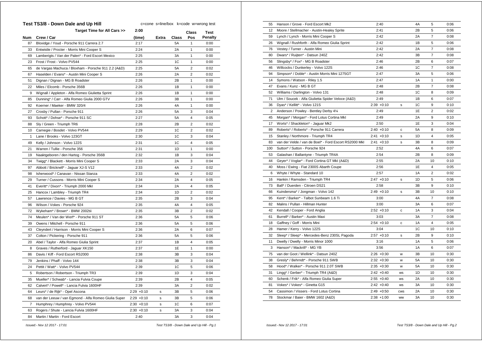| Class<br>Crew / Car<br><b>Extra</b><br><b>Class</b><br>Pos<br>Num<br>(time)<br>87<br>Bloxidge / Youd - Porsche 911 Carrera 2.7<br>2:17<br>5A<br>$\mathbf{1}$<br>33<br>Entwistle / Procter - Morris Mini Cooper S<br>2:24<br>2A<br>$\mathbf{1}$<br>Lamberigts / Van der Palen* - Ford Escort Mexico<br>$\mathbf{1}$<br>69<br>2:25<br>ЗA<br>1C<br>$\mathbf{1}$<br>23<br>Frost / Frost - Volvo PV544<br>2:25<br>65<br>de Vargas Machuca / Bloxham - Porsche 911 2.2 (A&D)<br>2:25<br>5A<br>$\overline{2}$<br>2:26<br>$\overline{2}$<br>67<br>Haselden / Evans* - Austin Mini Cooper S<br>2A<br>$\mathbf{1}$<br>51<br>Dignan / Dignan - MG B Roadster<br>2:26<br>2B<br>22<br>2:26<br>1B<br>$\mathbf{1}$<br>Miles / Elcomb - Porsche 356B<br>2:26<br>1B<br>$\mathbf{1}$<br>9<br>Wignall / Appleton - Alfa Romeo Giulietta Sprint<br>$\mathbf{1}$<br>Dunning* / Carr - Alfa Romeo Giulia 2000 GTV<br>2:26<br>3B<br>85<br>2:26<br>4A<br>$\mathbf{1}$<br>92<br>Koerner / Maeker - BMW 320/4<br>2:26<br>5A<br>3<br>27<br>Crosby / Pullan - Porsche 911<br>2:27<br>5A<br>4<br>93<br>Schott* / Dohse* - Porsche 911 SC<br>2:28<br>2B<br>$\overline{2}$<br>88<br>Sly / Green - Triumph TR6<br>1C<br>$\overline{2}$<br>10<br>Carnegie / Bosdet - Volvo PV544<br>2:29<br>3<br>$\mathbf{1}$<br>2:30<br>1C<br>Lane / Brooks - Volvo 123GT<br>Kelly / Johnson - Volvo 122S<br>1C<br>$\overline{4}$<br>49<br>2:31 | Test    |
|-------------------------------------------------------------------------------------------------------------------------------------------------------------------------------------------------------------------------------------------------------------------------------------------------------------------------------------------------------------------------------------------------------------------------------------------------------------------------------------------------------------------------------------------------------------------------------------------------------------------------------------------------------------------------------------------------------------------------------------------------------------------------------------------------------------------------------------------------------------------------------------------------------------------------------------------------------------------------------------------------------------------------------------------------------------------------------------------------------------------------------------------------------------------------------------------------------------------------------------------------------------------------------------------------------------------------------------------------------------------------------------------------|---------|
|                                                                                                                                                                                                                                                                                                                                                                                                                                                                                                                                                                                                                                                                                                                                                                                                                                                                                                                                                                                                                                                                                                                                                                                                                                                                                                                                                                                                 | Penalty |
|                                                                                                                                                                                                                                                                                                                                                                                                                                                                                                                                                                                                                                                                                                                                                                                                                                                                                                                                                                                                                                                                                                                                                                                                                                                                                                                                                                                                 | 0:00    |
|                                                                                                                                                                                                                                                                                                                                                                                                                                                                                                                                                                                                                                                                                                                                                                                                                                                                                                                                                                                                                                                                                                                                                                                                                                                                                                                                                                                                 | 0:00    |
|                                                                                                                                                                                                                                                                                                                                                                                                                                                                                                                                                                                                                                                                                                                                                                                                                                                                                                                                                                                                                                                                                                                                                                                                                                                                                                                                                                                                 | 0:00    |
|                                                                                                                                                                                                                                                                                                                                                                                                                                                                                                                                                                                                                                                                                                                                                                                                                                                                                                                                                                                                                                                                                                                                                                                                                                                                                                                                                                                                 | 0:00    |
|                                                                                                                                                                                                                                                                                                                                                                                                                                                                                                                                                                                                                                                                                                                                                                                                                                                                                                                                                                                                                                                                                                                                                                                                                                                                                                                                                                                                 | 0:02    |
|                                                                                                                                                                                                                                                                                                                                                                                                                                                                                                                                                                                                                                                                                                                                                                                                                                                                                                                                                                                                                                                                                                                                                                                                                                                                                                                                                                                                 | 0:02    |
|                                                                                                                                                                                                                                                                                                                                                                                                                                                                                                                                                                                                                                                                                                                                                                                                                                                                                                                                                                                                                                                                                                                                                                                                                                                                                                                                                                                                 | 0:00    |
|                                                                                                                                                                                                                                                                                                                                                                                                                                                                                                                                                                                                                                                                                                                                                                                                                                                                                                                                                                                                                                                                                                                                                                                                                                                                                                                                                                                                 | 0:00    |
|                                                                                                                                                                                                                                                                                                                                                                                                                                                                                                                                                                                                                                                                                                                                                                                                                                                                                                                                                                                                                                                                                                                                                                                                                                                                                                                                                                                                 | 0:00    |
|                                                                                                                                                                                                                                                                                                                                                                                                                                                                                                                                                                                                                                                                                                                                                                                                                                                                                                                                                                                                                                                                                                                                                                                                                                                                                                                                                                                                 | 0:00    |
|                                                                                                                                                                                                                                                                                                                                                                                                                                                                                                                                                                                                                                                                                                                                                                                                                                                                                                                                                                                                                                                                                                                                                                                                                                                                                                                                                                                                 | 0:00    |
|                                                                                                                                                                                                                                                                                                                                                                                                                                                                                                                                                                                                                                                                                                                                                                                                                                                                                                                                                                                                                                                                                                                                                                                                                                                                                                                                                                                                 | 0:04    |
|                                                                                                                                                                                                                                                                                                                                                                                                                                                                                                                                                                                                                                                                                                                                                                                                                                                                                                                                                                                                                                                                                                                                                                                                                                                                                                                                                                                                 | 0:05    |
|                                                                                                                                                                                                                                                                                                                                                                                                                                                                                                                                                                                                                                                                                                                                                                                                                                                                                                                                                                                                                                                                                                                                                                                                                                                                                                                                                                                                 | 0:02    |
|                                                                                                                                                                                                                                                                                                                                                                                                                                                                                                                                                                                                                                                                                                                                                                                                                                                                                                                                                                                                                                                                                                                                                                                                                                                                                                                                                                                                 | 0:02    |
|                                                                                                                                                                                                                                                                                                                                                                                                                                                                                                                                                                                                                                                                                                                                                                                                                                                                                                                                                                                                                                                                                                                                                                                                                                                                                                                                                                                                 | 0:04    |
|                                                                                                                                                                                                                                                                                                                                                                                                                                                                                                                                                                                                                                                                                                                                                                                                                                                                                                                                                                                                                                                                                                                                                                                                                                                                                                                                                                                                 | 0:05    |
| 2:31<br>1D<br>21<br>Warren / Tullie - Porsche 356<br>1                                                                                                                                                                                                                                                                                                                                                                                                                                                                                                                                                                                                                                                                                                                                                                                                                                                                                                                                                                                                                                                                                                                                                                                                                                                                                                                                          | 0:00    |
| 2:32<br>3<br>19<br>Naaktgeboren / den Hartog - Porsche 356B<br>1B                                                                                                                                                                                                                                                                                                                                                                                                                                                                                                                                                                                                                                                                                                                                                                                                                                                                                                                                                                                                                                                                                                                                                                                                                                                                                                                               | 0:04    |
| 3<br>34<br>Twigg* / Blackett - Morris Mini Cooper S<br>2:33<br>2A                                                                                                                                                                                                                                                                                                                                                                                                                                                                                                                                                                                                                                                                                                                                                                                                                                                                                                                                                                                                                                                                                                                                                                                                                                                                                                                               | 0:04    |
| 4A<br>$\overline{2}$<br>97<br>Abbott / Bricknell* - Jaguar XJ-S V12<br>2:33                                                                                                                                                                                                                                                                                                                                                                                                                                                                                                                                                                                                                                                                                                                                                                                                                                                                                                                                                                                                                                                                                                                                                                                                                                                                                                                     | 0:02    |
| 4A<br>$\overline{2}$<br>98<br>Isherwood* / Canavan - Nissan Stanza<br>2:33                                                                                                                                                                                                                                                                                                                                                                                                                                                                                                                                                                                                                                                                                                                                                                                                                                                                                                                                                                                                                                                                                                                                                                                                                                                                                                                      | 0:02    |
| 2:34<br>$\overline{4}$<br>29<br>Turner / Cussons - Morris Mini Cooper S<br>2A                                                                                                                                                                                                                                                                                                                                                                                                                                                                                                                                                                                                                                                                                                                                                                                                                                                                                                                                                                                                                                                                                                                                                                                                                                                                                                                   | 0:05    |
| $\overline{4}$<br>41<br>Everitt* / Dixon* - Triumph 2000 Mkl<br>2:34<br>2A                                                                                                                                                                                                                                                                                                                                                                                                                                                                                                                                                                                                                                                                                                                                                                                                                                                                                                                                                                                                                                                                                                                                                                                                                                                                                                                      | 0:05    |
| 1D<br>25<br>2:34<br>$\overline{2}$<br>Hancox / Lambley - Triumph TR4                                                                                                                                                                                                                                                                                                                                                                                                                                                                                                                                                                                                                                                                                                                                                                                                                                                                                                                                                                                                                                                                                                                                                                                                                                                                                                                            | 0:02    |
| 57<br>Lawrence / Davies - MG B GT<br>2:35<br>2B<br>3                                                                                                                                                                                                                                                                                                                                                                                                                                                                                                                                                                                                                                                                                                                                                                                                                                                                                                                                                                                                                                                                                                                                                                                                                                                                                                                                            | 0:04    |
| $\overline{4}$<br>96<br>Wilson / Vokes - Porsche 924<br>2:35<br>4A                                                                                                                                                                                                                                                                                                                                                                                                                                                                                                                                                                                                                                                                                                                                                                                                                                                                                                                                                                                                                                                                                                                                                                                                                                                                                                                              | 0:05    |
| 72<br>2:35<br>$\overline{2}$<br>Wykeham* / Brown* - BMW 2002tii<br>3B                                                                                                                                                                                                                                                                                                                                                                                                                                                                                                                                                                                                                                                                                                                                                                                                                                                                                                                                                                                                                                                                                                                                                                                                                                                                                                                           | 0:02    |
| 74<br>Meulen* / Van der Werf* - Porsche 911 ST<br>2:36<br>5A<br>5                                                                                                                                                                                                                                                                                                                                                                                                                                                                                                                                                                                                                                                                                                                                                                                                                                                                                                                                                                                                                                                                                                                                                                                                                                                                                                                               | 0:06    |
| Owens / Mitchell - Porsche 911<br>2:36<br>5A<br>5<br>39                                                                                                                                                                                                                                                                                                                                                                                                                                                                                                                                                                                                                                                                                                                                                                                                                                                                                                                                                                                                                                                                                                                                                                                                                                                                                                                                         | 0:06    |
| 2:36<br>43<br>Cleyndert / Harrison - Morris Mini Cooper S<br>2A<br>6                                                                                                                                                                                                                                                                                                                                                                                                                                                                                                                                                                                                                                                                                                                                                                                                                                                                                                                                                                                                                                                                                                                                                                                                                                                                                                                            | 0:07    |
| 37<br>Colton / Pickering - Porsche 911<br>2:36<br><b>5A</b><br>5                                                                                                                                                                                                                                                                                                                                                                                                                                                                                                                                                                                                                                                                                                                                                                                                                                                                                                                                                                                                                                                                                                                                                                                                                                                                                                                                | 0:06    |
| $\overline{4}$<br>20<br>2:37<br>1B<br>Abel / Taylor - Alfa Romeo Giulia Sprint                                                                                                                                                                                                                                                                                                                                                                                                                                                                                                                                                                                                                                                                                                                                                                                                                                                                                                                                                                                                                                                                                                                                                                                                                                                                                                                  | 0:05    |
| $\mathbf{1}$<br>8<br>2:37<br>1E<br>Graves / Rutherford - Jaguar XK150                                                                                                                                                                                                                                                                                                                                                                                                                                                                                                                                                                                                                                                                                                                                                                                                                                                                                                                                                                                                                                                                                                                                                                                                                                                                                                                           | 0:00    |
| 2:38<br>3B<br>3<br>86<br>Davis / Kiff - Ford Escort RS2000                                                                                                                                                                                                                                                                                                                                                                                                                                                                                                                                                                                                                                                                                                                                                                                                                                                                                                                                                                                                                                                                                                                                                                                                                                                                                                                                      | 0:04    |
| Jenkins / Phaff - Volvo 144<br>2:38<br>3<br>79<br>3B                                                                                                                                                                                                                                                                                                                                                                                                                                                                                                                                                                                                                                                                                                                                                                                                                                                                                                                                                                                                                                                                                                                                                                                                                                                                                                                                            | 0:04    |
| 24<br>Pettit / Watt* - Volvo PV544<br>2:39<br>1C<br>5                                                                                                                                                                                                                                                                                                                                                                                                                                                                                                                                                                                                                                                                                                                                                                                                                                                                                                                                                                                                                                                                                                                                                                                                                                                                                                                                           | 0:06    |
| 2:39<br>1D<br>3<br>5<br>Robertson / Robertson - Triumph TR3                                                                                                                                                                                                                                                                                                                                                                                                                                                                                                                                                                                                                                                                                                                                                                                                                                                                                                                                                                                                                                                                                                                                                                                                                                                                                                                                     | 0:04    |
| 2B<br>4<br>35<br>Mueller* / Schwab* - Lancia Fulvia Coupe<br>2:39                                                                                                                                                                                                                                                                                                                                                                                                                                                                                                                                                                                                                                                                                                                                                                                                                                                                                                                                                                                                                                                                                                                                                                                                                                                                                                                               | 0:05    |
| $\overline{\mathbf{c}}$<br>62<br>Calvert* / Powell* - Lancia Fulvia 1600HF<br>2:39<br>3A                                                                                                                                                                                                                                                                                                                                                                                                                                                                                                                                                                                                                                                                                                                                                                                                                                                                                                                                                                                                                                                                                                                                                                                                                                                                                                        | 0:02    |
| 64<br>Leurs* / de Rijk* - Opel Ascona<br>$2:29 + 0:10$<br>3B<br>5<br>s                                                                                                                                                                                                                                                                                                                                                                                                                                                                                                                                                                                                                                                                                                                                                                                                                                                                                                                                                                                                                                                                                                                                                                                                                                                                                                                          | 0:06    |
| 68<br>van der Leeuw / van Egmond - Alfa Romeo Giulia Super<br>$2:29 + 0:10$<br>3B<br>5<br>s                                                                                                                                                                                                                                                                                                                                                                                                                                                                                                                                                                                                                                                                                                                                                                                                                                                                                                                                                                                                                                                                                                                                                                                                                                                                                                     | 0:06    |
| 1C<br>6<br>7<br>Humphrey / Humphrey - Volvo PV544<br>$2:30 + 0:10$<br>s                                                                                                                                                                                                                                                                                                                                                                                                                                                                                                                                                                                                                                                                                                                                                                                                                                                                                                                                                                                                                                                                                                                                                                                                                                                                                                                         | 0:07    |
| 63<br>Rogers / Shute - Lancia Fulvia 1600HF<br>$2:30 + 0:10$<br>3A<br>3<br>s                                                                                                                                                                                                                                                                                                                                                                                                                                                                                                                                                                                                                                                                                                                                                                                                                                                                                                                                                                                                                                                                                                                                                                                                                                                                                                                    | 0:04    |
| 3A<br>3<br>84<br>Martin / Martin - Ford Escort<br>2:40                                                                                                                                                                                                                                                                                                                                                                                                                                                                                                                                                                                                                                                                                                                                                                                                                                                                                                                                                                                                                                                                                                                                                                                                                                                                                                                                          | 0:04    |

| 55             | Hanson / Grove - Ford Escort Mk2                      | 2:40          |            | 4A | 5              | 0:06 |
|----------------|-------------------------------------------------------|---------------|------------|----|----------------|------|
| 12             | Moore / Stellmacher - Austin-Healey Sprite            | 2:41          |            | 2B | 5              | 0:06 |
| 59             | Lynch / Lynch - Morris Mini Cooper S                  | 2:42          |            | 2A | $\overline{7}$ | 0:08 |
| 26             | Wignall / Rushforth - Alfa Romeo Giulia Sprint        | 2:42          |            | 1B | 5              | 0:06 |
| 76             | Vestey / Turner - Austin Mini                         | 2:42          |            | 2A | $\overline{7}$ | 0:08 |
| 80             | Dwars* / Ruijten* - Datsun 240Z                       | 2:42          |            | 3B | $\overline{7}$ | 0:08 |
| 56             | Slingsby* / Fox* - MG B Roadster                      | 2:46          |            | 2B | 6              | 0:07 |
| 46             | Willcocks / Dunkerley - Volvo 122S                    | 2:46          |            | 1C | $\overline{7}$ | 0:08 |
| 94             | Simpson* / Doble* - Austin Morris Mini 1275GT         | 2:47          |            | 3A | 5              | 0:06 |
| 14             | Symons / Watson - Riley 1.5                           | 2:47          |            | 1A | $\mathbf{1}$   | 0:00 |
| 47             | Evans / Kunz - MG B GT                                | 2:48          |            | 2B | $\overline{7}$ | 0:08 |
| 52             | Williams / Darlington - Volvo 131                     | 2:48          |            | 1C | 8              | 0:09 |
| 71             | Ulm / Soucek - Alfa Giulietta Spider Veloce (A&D)     | 2:49          |            | 1B | 6              | 0:07 |
| 36             | Dyas* / Kellitt* - Volvo 121S                         | $2:39 +0:10$  | s          | 1C | 9              | 0:10 |
| $\overline{2}$ | Anderson / Powley - Bentley Derby 41/4                | 2:49          |            | 1E | $\overline{2}$ | 0:02 |
| 45             | Morgan* / Morgan* - Ford Lotus Cortina Mkl            | 2:49          |            | 2A | 9              | 0:10 |
| 17             | Worts* / Shackleton* - Jaguar Mk2                     | 2:50          |            | 1E | 3              | 0:04 |
| 89             | Roberts* / Roberts* - Porsche 911 Carrera             | $2:40 +0:10$  | С          | 5Α | 8              | 0:09 |
| 15             | Stanley / Northmore - Triumph TR4                     | $2:41 + 0:10$ | s          | 1D | 4              | 0:05 |
| 83             | van der Velde / van de Boel* - Ford Escort RS2000 MkI | $2:41 + 0:10$ | s          | 3B | 8              | 0:09 |
| 100            | Sutton* / Sutton - Porsche 924                        | 2:52          |            | 4A | 6              | 0:07 |
| 53             | Galashan / Ballantyne - Triumph TR4A                  | 2:54          |            | 2B | 8              | 0:09 |
| 44             | Geyer* / Voglar* - Ford Cortina GT MkI (A&D)          | 2:55          |            | 2A | 10             | 0:10 |
| 40             | Moss / Ewing - Fiat 2300S Abarth Coupe                | 2:56          |            | 1E | 4              | 0:05 |
| 6              | Whyte / Whyte - Standard 10                           | 2:57          |            | 1A | 2              | 0:02 |
| 16             | Hankin / Ramsden - Triumph TR4                        | $2:47 +0:10$  | s          | 1D | 5              | 0:06 |
| 73             | Ball* / Duerden - Citroen DS21                        | 2:58          |            | ЗB | 9              | 0:10 |
| 66             | Kuindersma* / Jongman - Volvo 142                     | $2:49 +0:10$  | s          | 3B | 10             | 0:10 |
| 95             | Kent* / Barker* - Talbot Sunbeam 1.6 Ti               | 3:00          |            | 4A | $\overline{7}$ | 0:08 |
| 82             | Malins / Pullan - Hillman Hunter                      | 3:00          |            | 3A | 6              | 0:07 |
| 42             | Kendall / Cooper - Ford Anglia                        | $2:52 +0:10$  | c          | 1A | 3              | 0:04 |
| 61             | Burrell* / Barker* - Austin Maxi                      | 3:03          |            | 3A | $\overline{7}$ | 0:08 |
| 18             | Gaffney / Goff - Morris Mini                          | $2:54 +0:10$  | с          | 1A | 4              | 0:05 |
| 28             | Hamer / Kerry - Volvo 122S                            | 3:04          |            | 1C | 10             | 0:10 |
| 32             | Sleep* / Sleep* - Mercedes-Benz 230SL Pagoda          | $2:57 +0:10$  | s          | 2B | 9              | 0:10 |
| 11             | Dwelly / Dwelly - Morris Minor 1000                   | 3:16          |            | 1A | 5              | 0:06 |
| 3              | Hanson* / Mackrill* - MG YB                           | 3:56          |            | 1A | 6              | 0:07 |
| 75             | van der Goot / Wellink* - Datsun 240Z                 | $2:26 + 0:30$ | W          | 3B | 10             | 0:30 |
| 38             | Gresly* / Behrndt* - Porsche 911 SWB                  | $2:32 + 0:30$ | w          | 5A | 10             | 0:30 |
| 58             | Hood* / Walker* - Porsche 911 2.0T SWB                | $2:35 + 0:30$ | W          | 5A | 10             | 0:30 |
| 31             | Lingg* / Gerber* - Triumph TR4 (A&D)                  | $2:42 + 0:40$ | <b>WS</b>  | 1D | 10             | 0:30 |
| 60             | Schenk / Frik* - Alfa Romeo Giulia Super              | $2:55 + 0:40$ | <b>WS</b>  | 2A | 10             | 0:30 |
| 81             | Vokes* / Vokes* - Ginetta G15                         | $2:42 +0:40$  | ws         | ЗA | 10             | 0:30 |
| 54             | Cassimon / Vissers - Ford Lotus Cortina               | $2:49 + 0:50$ | <b>CWS</b> | 2A | 10             | 0:30 |
| 78             | Stockmar / Baier - BMW 1602 (A&D)                     | $2:38 + 1:00$ | <b>WW</b>  | 3A | 10             | 0:30 |
|                |                                                       |               |            |    |                |      |

**Test TS3/8 - Down Dale and Up Hill**

 *Issued:- Nov 12 2017 - 17:01 Test TS3/8 - Down Dale and Up Hill - Pg.1*

c=cone s=line/box k=code w=wrong test